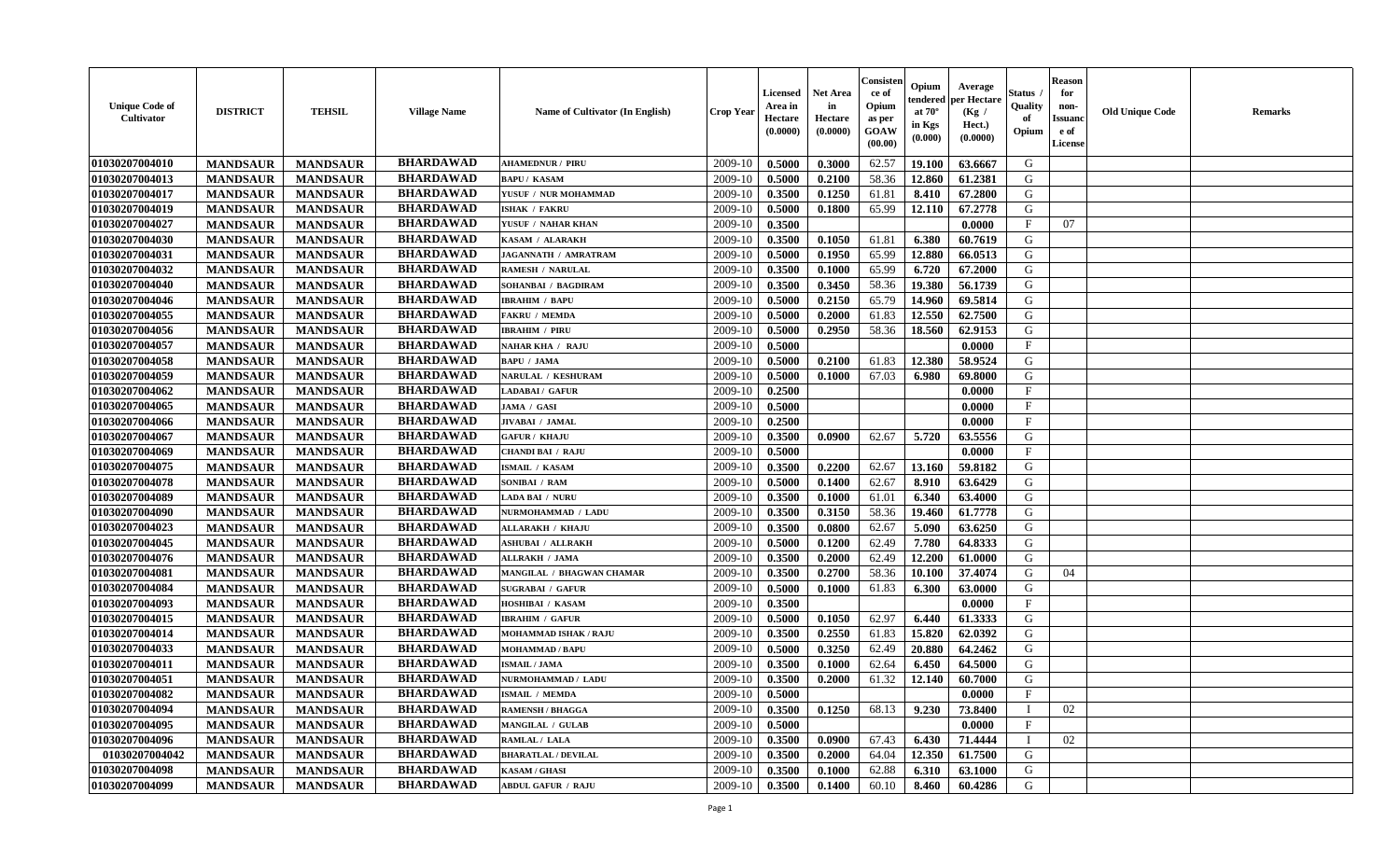| <b>Unique Code of</b><br><b>Cultivator</b> | <b>DISTRICT</b> | <b>TEHSIL</b>   | <b>Village Name</b> | Name of Cultivator (In English) | <b>Crop Year</b> | <b>Licensed</b><br>Area in<br>Hectare<br>(0.0000) | Net Area<br>in<br>Hectare<br>(0.0000) | Consister<br>ce of<br>Opium<br>as per<br><b>GOAW</b><br>(00.00) | Opium<br>endered<br>at $70^\circ$<br>in Kgs<br>(0.000) | Average<br>per Hectare<br>(Kg /<br>Hect.)<br>(0.0000) | Status<br>Quality<br>of<br>Opium | <b>Reason</b><br>for<br>non-<br><b>Issuand</b><br>e of<br><b>License</b> | <b>Old Unique Code</b> | <b>Remarks</b> |
|--------------------------------------------|-----------------|-----------------|---------------------|---------------------------------|------------------|---------------------------------------------------|---------------------------------------|-----------------------------------------------------------------|--------------------------------------------------------|-------------------------------------------------------|----------------------------------|--------------------------------------------------------------------------|------------------------|----------------|
| 01030207004010                             | <b>MANDSAUR</b> | <b>MANDSAUR</b> | <b>BHARDAWAD</b>    | <b>AHAMEDNUR / PIRU</b>         | 2009-10          | 0.5000                                            | 0.3000                                | 62.57                                                           | 19.100                                                 | 63.6667                                               | G                                |                                                                          |                        |                |
| 01030207004013                             | <b>MANDSAUR</b> | <b>MANDSAUR</b> | <b>BHARDAWAD</b>    | <b>BAPU / KASAM</b>             | 2009-10          | 0.5000                                            | 0.2100                                | 58.36                                                           | 12.860                                                 | 61.2381                                               | G                                |                                                                          |                        |                |
| 01030207004017                             | <b>MANDSAUR</b> | <b>MANDSAUR</b> | <b>BHARDAWAD</b>    | YUSUF / NUR MOHAMMAD            | 2009-10          | 0.3500                                            | 0.1250                                | 61.81                                                           | 8.410                                                  | 67.2800                                               | G                                |                                                                          |                        |                |
| 01030207004019                             | <b>MANDSAUR</b> | <b>MANDSAUR</b> | <b>BHARDAWAD</b>    | <b>ISHAK / FAKRU</b>            | 2009-10          | 0.5000                                            | 0.1800                                | 65.99                                                           | 12.110                                                 | 67.2778                                               | G                                |                                                                          |                        |                |
| 01030207004027                             | <b>MANDSAUR</b> | <b>MANDSAUR</b> | <b>BHARDAWAD</b>    | YUSUF / NAHAR KHAN              | 2009-10          | 0.3500                                            |                                       |                                                                 |                                                        | 0.0000                                                | $\mathbf{F}$                     | 07                                                                       |                        |                |
| 01030207004030                             | <b>MANDSAUR</b> | <b>MANDSAUR</b> | <b>BHARDAWAD</b>    | KASAM / ALARAKH                 | 2009-10          | 0.3500                                            | 0.1050                                | 61.81                                                           | 6.380                                                  | 60.7619                                               | G                                |                                                                          |                        |                |
| 01030207004031                             | <b>MANDSAUR</b> | <b>MANDSAUR</b> | <b>BHARDAWAD</b>    | <b>JAGANNATH / AMRATRAM</b>     | 2009-10          | 0.5000                                            | 0.1950                                | 65.99                                                           | 12.880                                                 | 66.0513                                               | G                                |                                                                          |                        |                |
| 01030207004032                             | <b>MANDSAUR</b> | <b>MANDSAUR</b> | <b>BHARDAWAD</b>    | RAMESH / NARULAL                | 2009-10          | 0.3500                                            | 0.1000                                | 65.99                                                           | 6.720                                                  | 67.2000                                               | ${\bf G}$                        |                                                                          |                        |                |
| 01030207004040                             | <b>MANDSAUR</b> | <b>MANDSAUR</b> | <b>BHARDAWAD</b>    | SOHANBAI / BAGDIRAM             | 2009-10          | 0.3500                                            | 0.3450                                | 58.36                                                           | 19.380                                                 | 56.1739                                               | G                                |                                                                          |                        |                |
| 01030207004046                             | <b>MANDSAUR</b> | <b>MANDSAUR</b> | <b>BHARDAWAD</b>    | <b>IBRAHIM / BAPU</b>           | 2009-10          | 0.5000                                            | 0.2150                                | 65.79                                                           | 14.960                                                 | 69.5814                                               | G                                |                                                                          |                        |                |
| 01030207004055                             | <b>MANDSAUR</b> | <b>MANDSAUR</b> | <b>BHARDAWAD</b>    | <b>FAKRU / MEMDA</b>            | 2009-10          | 0.5000                                            | 0.2000                                | 61.83                                                           | 12.550                                                 | 62.7500                                               | G                                |                                                                          |                        |                |
| 01030207004056                             | <b>MANDSAUR</b> | <b>MANDSAUR</b> | <b>BHARDAWAD</b>    | <b>IBRAHIM / PIRU</b>           | 2009-10          | 0.5000                                            | 0.2950                                | 58.36                                                           | 18.560                                                 | 62.9153                                               | G                                |                                                                          |                        |                |
| 01030207004057                             | <b>MANDSAUR</b> | <b>MANDSAUR</b> | <b>BHARDAWAD</b>    | <b>NAHAR KHA / RAJU</b>         | 2009-10          | 0.5000                                            |                                       |                                                                 |                                                        | 0.0000                                                | $\mathbf{F}$                     |                                                                          |                        |                |
| 01030207004058                             | <b>MANDSAUR</b> | <b>MANDSAUR</b> | <b>BHARDAWAD</b>    | <b>BAPU / JAMA</b>              | 2009-10          | 0.5000                                            | 0.2100                                | 61.83                                                           | 12.380                                                 | 58.9524                                               | G                                |                                                                          |                        |                |
| 01030207004059                             | <b>MANDSAUR</b> | <b>MANDSAUR</b> | <b>BHARDAWAD</b>    | <b>NARULAL / KESHURAM</b>       | 2009-10          | 0.5000                                            | 0.1000                                | 67.03                                                           | 6.980                                                  | 69.8000                                               | G                                |                                                                          |                        |                |
| 01030207004062                             | <b>MANDSAUR</b> | <b>MANDSAUR</b> | <b>BHARDAWAD</b>    | LADABAI / GAFUR                 | 2009-10          | 0.2500                                            |                                       |                                                                 |                                                        | 0.0000                                                | $\rm F$                          |                                                                          |                        |                |
| 01030207004065                             | <b>MANDSAUR</b> | <b>MANDSAUR</b> | <b>BHARDAWAD</b>    | JAMA / GASI                     | 2009-10          | 0.5000                                            |                                       |                                                                 |                                                        | 0.0000                                                | $_{\rm F}$                       |                                                                          |                        |                |
| 01030207004066                             | <b>MANDSAUR</b> | <b>MANDSAUR</b> | <b>BHARDAWAD</b>    | JIVABAI / JAMAL                 | 2009-10          | 0.2500                                            |                                       |                                                                 |                                                        | 0.0000                                                | $_{\rm F}$                       |                                                                          |                        |                |
| 01030207004067                             | <b>MANDSAUR</b> | <b>MANDSAUR</b> | <b>BHARDAWAD</b>    | <b>GAFUR / KHAJU</b>            | 2009-10          | 0.3500                                            | 0.0900                                | 62.67                                                           | 5.720                                                  | 63.5556                                               | G                                |                                                                          |                        |                |
| 01030207004069                             | <b>MANDSAUR</b> | <b>MANDSAUR</b> | <b>BHARDAWAD</b>    | <b>CHANDI BAI / RAJU</b>        | 2009-10          | 0.5000                                            |                                       |                                                                 |                                                        | 0.0000                                                | $\mathbf{F}$                     |                                                                          |                        |                |
| 01030207004075                             | <b>MANDSAUR</b> | <b>MANDSAUR</b> | <b>BHARDAWAD</b>    | ISMAIL / KASAM                  | 2009-10          | 0.3500                                            | 0.2200                                | 62.67                                                           | 13.160                                                 | 59.8182                                               | G                                |                                                                          |                        |                |
| 01030207004078                             | <b>MANDSAUR</b> | <b>MANDSAUR</b> | <b>BHARDAWAD</b>    | SONIBAI / RAM                   | 2009-10          | 0.5000                                            | 0.1400                                | 62.67                                                           | 8.910                                                  | 63.6429                                               | G                                |                                                                          |                        |                |
| 01030207004089                             | <b>MANDSAUR</b> | <b>MANDSAUR</b> | <b>BHARDAWAD</b>    | <b>LADA BAI / NURU</b>          | 2009-10          | 0.3500                                            | 0.1000                                | 61.01                                                           | 6.340                                                  | 63.4000                                               | G                                |                                                                          |                        |                |
| 01030207004090                             | <b>MANDSAUR</b> | <b>MANDSAUR</b> | <b>BHARDAWAD</b>    | NURMOHAMMAD / LADU              | 2009-10          | 0.3500                                            | 0.3150                                | 58.36                                                           | 19.460                                                 | 61.7778                                               | G                                |                                                                          |                        |                |
| 01030207004023                             | <b>MANDSAUR</b> | <b>MANDSAUR</b> | <b>BHARDAWAD</b>    | <b>ALLARAKH / KHAJU</b>         | 2009-10          | 0.3500                                            | 0.0800                                | 62.67                                                           | 5.090                                                  | 63.6250                                               | G                                |                                                                          |                        |                |
| 01030207004045                             | <b>MANDSAUR</b> | <b>MANDSAUR</b> | <b>BHARDAWAD</b>    | <b>ASHUBAI / ALLRAKH</b>        | 2009-10          | 0.5000                                            | 0.1200                                | 62.49                                                           | 7.780                                                  | 64.8333                                               | G                                |                                                                          |                        |                |
| 01030207004076                             | <b>MANDSAUR</b> | <b>MANDSAUR</b> | <b>BHARDAWAD</b>    | <b>ALLRAKH / JAMA</b>           | 2009-10          | 0.3500                                            | 0.2000                                | 62.49                                                           | 12.200                                                 | 61.0000                                               | G                                |                                                                          |                        |                |
| 01030207004081                             | <b>MANDSAUR</b> | <b>MANDSAUR</b> | <b>BHARDAWAD</b>    | MANGILAL / BHAGWAN CHAMAR       | 2009-10          | 0.3500                                            | 0.2700                                | 58.36                                                           | 10.100                                                 | 37.4074                                               | G                                | 04                                                                       |                        |                |
| 01030207004084                             | <b>MANDSAUR</b> | <b>MANDSAUR</b> | <b>BHARDAWAD</b>    | <b>SUGRABAI / GAFUR</b>         | 2009-10          | 0.5000                                            | 0.1000                                | 61.83                                                           | 6.300                                                  | 63.0000                                               | G                                |                                                                          |                        |                |
| 01030207004093                             | <b>MANDSAUR</b> | <b>MANDSAUR</b> | <b>BHARDAWAD</b>    | HOSHIBAI / KASAM                | 2009-10          | 0.3500                                            |                                       |                                                                 |                                                        | 0.0000                                                | $_{\rm F}$                       |                                                                          |                        |                |
| 01030207004015                             | <b>MANDSAUR</b> | <b>MANDSAUR</b> | <b>BHARDAWAD</b>    | <b>IBRAHIM / GAFUR</b>          | 2009-10          | 0.5000                                            | 0.1050                                | 62.97                                                           | 6.440                                                  | 61.3333                                               | G                                |                                                                          |                        |                |
| 01030207004014                             | <b>MANDSAUR</b> | <b>MANDSAUR</b> | <b>BHARDAWAD</b>    | MOHAMMAD ISHAK / RAJU           | 2009-10          | 0.3500                                            | 0.2550                                | 61.83                                                           | 15.820                                                 | 62.0392                                               | ${\bf G}$                        |                                                                          |                        |                |
| 01030207004033                             | <b>MANDSAUR</b> | <b>MANDSAUR</b> | <b>BHARDAWAD</b>    | <b>MOHAMMAD / BAPU</b>          | 2009-10          | 0.5000                                            | 0.3250                                | 62.49                                                           | 20.880                                                 | 64.2462                                               | G                                |                                                                          |                        |                |
| 01030207004011                             | <b>MANDSAUR</b> | <b>MANDSAUR</b> | <b>BHARDAWAD</b>    | <b>ISMAIL / JAMA</b>            | 2009-10          | 0.3500                                            | 0.1000                                | 62.64                                                           | 6.450                                                  | 64.5000                                               | G                                |                                                                          |                        |                |
| 01030207004051                             | <b>MANDSAUR</b> | <b>MANDSAUR</b> | <b>BHARDAWAD</b>    | NURMOHAMMAD / LADU              | 2009-10          | 0.3500                                            | 0.2000                                | 61.32                                                           | 12.140                                                 | 60.7000                                               | G                                |                                                                          |                        |                |
| 01030207004082                             | <b>MANDSAUR</b> | <b>MANDSAUR</b> | <b>BHARDAWAD</b>    | <b>ISMAIL / MEMDA</b>           | 2009-10          | 0.5000                                            |                                       |                                                                 |                                                        | 0.0000                                                | F                                |                                                                          |                        |                |
| 01030207004094                             | <b>MANDSAUR</b> | <b>MANDSAUR</b> | <b>BHARDAWAD</b>    | <b>RAMENSH / BHAGGA</b>         | 2009-10          | 0.3500                                            | 0.1250                                | 68.13                                                           | 9.230                                                  | 73.8400                                               | $\mathbf I$                      | 02                                                                       |                        |                |
| 01030207004095                             | <b>MANDSAUR</b> | <b>MANDSAUR</b> | <b>BHARDAWAD</b>    | <b>MANGILAL / GULAB</b>         | 2009-10          | 0.5000                                            |                                       |                                                                 |                                                        | 0.0000                                                | $\mathbf{F}$                     |                                                                          |                        |                |
| 01030207004096                             | <b>MANDSAUR</b> | <b>MANDSAUR</b> | <b>BHARDAWAD</b>    | RAMLAL / LALA                   | 2009-10          | 0.3500                                            | 0.0900                                | 67.43                                                           | 6.430                                                  | 71.4444                                               | T                                | 02                                                                       |                        |                |
| 01030207004042                             | <b>MANDSAUR</b> | <b>MANDSAUR</b> | <b>BHARDAWAD</b>    | <b>BHARATLAL / DEVILAL</b>      | 2009-10          | 0.3500                                            | 0.2000                                | 64.04                                                           | 12.350                                                 | 61.7500                                               | G                                |                                                                          |                        |                |
| 01030207004098                             | <b>MANDSAUR</b> | <b>MANDSAUR</b> | <b>BHARDAWAD</b>    | <b>KASAM / GHASI</b>            | 2009-10          | 0.3500                                            | 0.1000                                | 62.88                                                           | 6.310                                                  | 63.1000                                               | G                                |                                                                          |                        |                |
| 01030207004099                             | <b>MANDSAUR</b> | <b>MANDSAUR</b> | <b>BHARDAWAD</b>    | <b>ABDUL GAFUR / RAJU</b>       | 2009-10          | 0.3500                                            | 0.1400                                | 60.10                                                           | 8.460                                                  | 60.4286                                               | G                                |                                                                          |                        |                |
|                                            |                 |                 |                     |                                 |                  |                                                   |                                       |                                                                 |                                                        |                                                       |                                  |                                                                          |                        |                |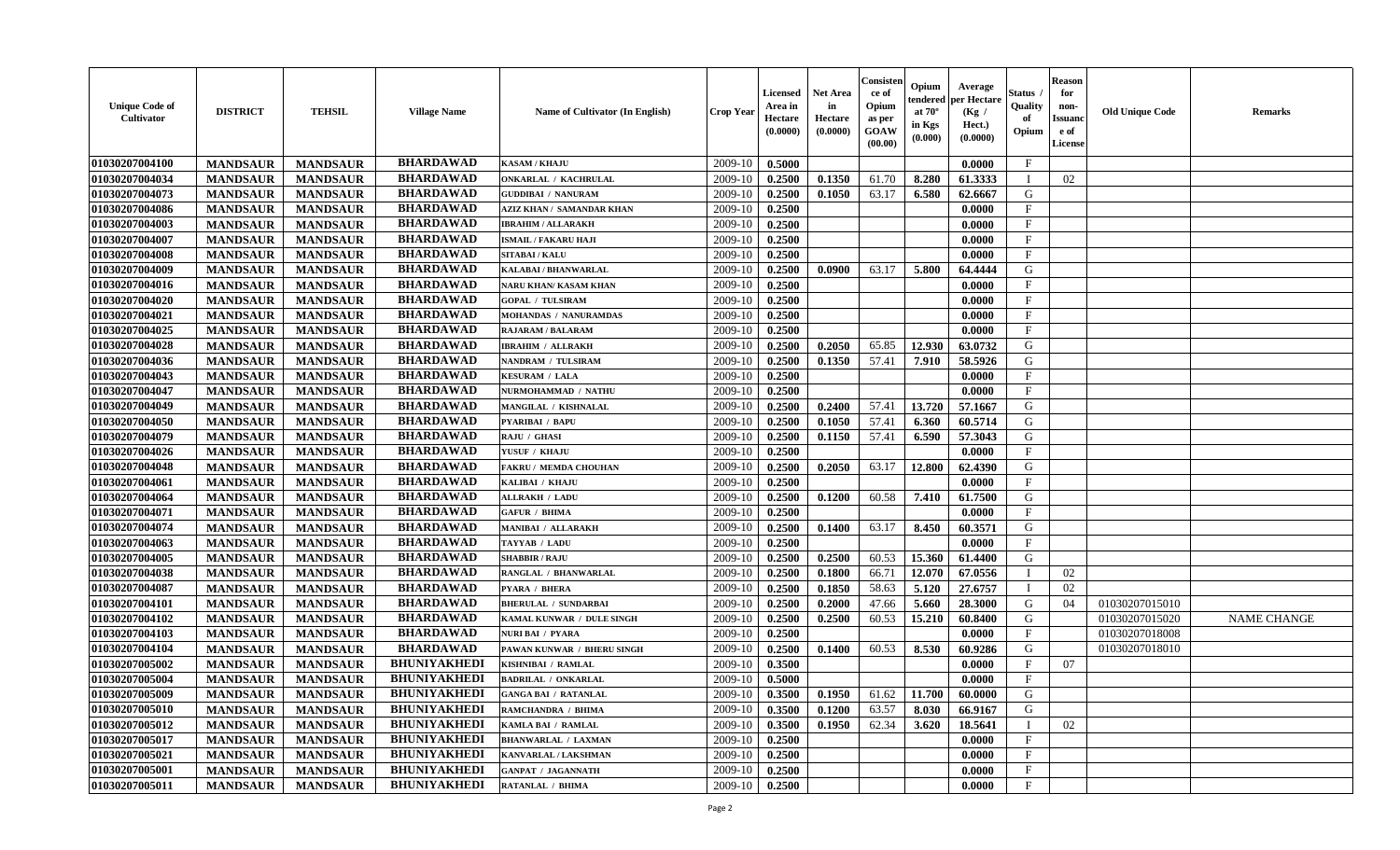| <b>Unique Code of</b><br><b>Cultivator</b> | <b>DISTRICT</b> | <b>TEHSIL</b>   | <b>Village Name</b> | Name of Cultivator (In English)  | <b>Crop Year</b> | <b>Licensed</b><br>Area in<br>Hectare<br>(0.0000) | <b>Net Area</b><br>in<br>Hectare<br>(0.0000) | Consisteı<br>ce of<br>Opium<br>as per<br><b>GOAW</b><br>(00.00) | Opium<br>endered<br>at $70^\circ$<br>in Kgs<br>(0.000) | Average<br>per Hectare<br>(Kg /<br>Hect.)<br>(0.0000) | Status<br>Quality<br>of<br>Opium | <b>Reason</b><br>for<br>non-<br>Issuan<br>e of<br>License | <b>Old Unique Code</b> | <b>Remarks</b>     |
|--------------------------------------------|-----------------|-----------------|---------------------|----------------------------------|------------------|---------------------------------------------------|----------------------------------------------|-----------------------------------------------------------------|--------------------------------------------------------|-------------------------------------------------------|----------------------------------|-----------------------------------------------------------|------------------------|--------------------|
| 01030207004100                             | <b>MANDSAUR</b> | <b>MANDSAUR</b> | <b>BHARDAWAD</b>    | <b>KASAM / KHAJU</b>             | 2009-10          | 0.5000                                            |                                              |                                                                 |                                                        | 0.0000                                                | $\mathbf{F}$                     |                                                           |                        |                    |
| 01030207004034                             | <b>MANDSAUR</b> | <b>MANDSAUR</b> | <b>BHARDAWAD</b>    | ONKARLAL / KACHRULAL             | 2009-10          | 0.2500                                            | 0.1350                                       | 61.70                                                           | 8.280                                                  | 61.3333                                               |                                  | 02                                                        |                        |                    |
| 01030207004073                             | <b>MANDSAUR</b> | <b>MANDSAUR</b> | <b>BHARDAWAD</b>    | <b>GUDDIBAI / NANURAM</b>        | 2009-10          | 0.2500                                            | 0.1050                                       | 63.17                                                           | 6.580                                                  | 62.6667                                               | G                                |                                                           |                        |                    |
| 01030207004086                             | <b>MANDSAUR</b> | <b>MANDSAUR</b> | <b>BHARDAWAD</b>    | <b>AZIZ KHAN / SAMANDAR KHAN</b> | 2009-10          | 0.2500                                            |                                              |                                                                 |                                                        | 0.0000                                                | $\mathbf{F}$                     |                                                           |                        |                    |
| 01030207004003                             | <b>MANDSAUR</b> | <b>MANDSAUR</b> | <b>BHARDAWAD</b>    | <b>IBRAHIM / ALLARAKH</b>        | 2009-10          | 0.2500                                            |                                              |                                                                 |                                                        | 0.0000                                                | $\mathbf{F}$                     |                                                           |                        |                    |
| 01030207004007                             | <b>MANDSAUR</b> | <b>MANDSAUR</b> | <b>BHARDAWAD</b>    | <b>ISMAIL / FAKARU HAJI</b>      | 2009-10          | 0.2500                                            |                                              |                                                                 |                                                        | 0.0000                                                | $\mathbf{F}$                     |                                                           |                        |                    |
| 01030207004008                             | <b>MANDSAUR</b> | <b>MANDSAUR</b> | <b>BHARDAWAD</b>    | <b>SITABAI/KALU</b>              | 2009-10          | 0.2500                                            |                                              |                                                                 |                                                        | 0.0000                                                | $\mathbf{F}$                     |                                                           |                        |                    |
| 01030207004009                             | <b>MANDSAUR</b> | <b>MANDSAUR</b> | <b>BHARDAWAD</b>    | <b>KALABAI/BHANWARLAL</b>        | 2009-10          | 0.2500                                            | 0.0900                                       | 63.17                                                           | 5.800                                                  | 64.4444                                               | G                                |                                                           |                        |                    |
| 01030207004016                             | <b>MANDSAUR</b> | <b>MANDSAUR</b> | <b>BHARDAWAD</b>    | <b>NARU KHAN/ KASAM KHAN</b>     | 2009-10          | 0.2500                                            |                                              |                                                                 |                                                        | 0.0000                                                | $_{\rm F}$                       |                                                           |                        |                    |
| 01030207004020                             | <b>MANDSAUR</b> | <b>MANDSAUR</b> | <b>BHARDAWAD</b>    | <b>GOPAL / TULSIRAM</b>          | 2009-10          | 0.2500                                            |                                              |                                                                 |                                                        | 0.0000                                                | $_{\rm F}$                       |                                                           |                        |                    |
| 01030207004021                             | <b>MANDSAUR</b> | <b>MANDSAUR</b> | <b>BHARDAWAD</b>    | <b>MOHANDAS / NANURAMDAS</b>     | 2009-10          | 0.2500                                            |                                              |                                                                 |                                                        | 0.0000                                                | $\mathbf{F}$                     |                                                           |                        |                    |
| 01030207004025                             | <b>MANDSAUR</b> | <b>MANDSAUR</b> | <b>BHARDAWAD</b>    | <b>RAJARAM / BALARAM</b>         | 2009-10          | 0.2500                                            |                                              |                                                                 |                                                        | 0.0000                                                | $\mathbf{F}$                     |                                                           |                        |                    |
| 01030207004028                             | <b>MANDSAUR</b> | <b>MANDSAUR</b> | <b>BHARDAWAD</b>    | <b>IBRAHIM / ALLRAKH</b>         | 2009-10          | 0.2500                                            | 0.2050                                       | 65.85                                                           | 12.930                                                 | 63.0732                                               | G                                |                                                           |                        |                    |
| 01030207004036                             | <b>MANDSAUR</b> | <b>MANDSAUR</b> | <b>BHARDAWAD</b>    | NANDRAM / TULSIRAM               | 2009-10          | 0.2500                                            | 0.1350                                       | 57.41                                                           | 7.910                                                  | 58.5926                                               | G                                |                                                           |                        |                    |
| 01030207004043                             | <b>MANDSAUR</b> | <b>MANDSAUR</b> | <b>BHARDAWAD</b>    | <b>KESURAM / LALA</b>            | 2009-10          | 0.2500                                            |                                              |                                                                 |                                                        | 0.0000                                                | $\mathbf{F}$                     |                                                           |                        |                    |
| 01030207004047                             | <b>MANDSAUR</b> | <b>MANDSAUR</b> | <b>BHARDAWAD</b>    | NURMOHAMMAD / NATHU              | 2009-10          | 0.2500                                            |                                              |                                                                 |                                                        | 0.0000                                                | F                                |                                                           |                        |                    |
| 01030207004049                             | <b>MANDSAUR</b> | <b>MANDSAUR</b> | <b>BHARDAWAD</b>    | MANGILAL / KISHNALAL             | 2009-10          | 0.2500                                            | 0.2400                                       | 57.41                                                           | 13.720                                                 | 57.1667                                               | G                                |                                                           |                        |                    |
| 01030207004050                             | <b>MANDSAUR</b> | <b>MANDSAUR</b> | <b>BHARDAWAD</b>    | PYARIBAI / BAPU                  | 2009-10          | 0.2500                                            | 0.1050                                       | 57.41                                                           | 6.360                                                  | 60.5714                                               | G                                |                                                           |                        |                    |
| 01030207004079                             | <b>MANDSAUR</b> | <b>MANDSAUR</b> | <b>BHARDAWAD</b>    | RAJU / GHASI                     | 2009-10          | 0.2500                                            | 0.1150                                       | 57.41                                                           | 6.590                                                  | 57.3043                                               | G                                |                                                           |                        |                    |
| 01030207004026                             | <b>MANDSAUR</b> | <b>MANDSAUR</b> | <b>BHARDAWAD</b>    | YUSUF / KHAJU                    | 2009-10          | 0.2500                                            |                                              |                                                                 |                                                        | 0.0000                                                | $\mathbf{F}$                     |                                                           |                        |                    |
| 01030207004048                             | <b>MANDSAUR</b> | <b>MANDSAUR</b> | <b>BHARDAWAD</b>    | <b>FAKRU / MEMDA CHOUHAN</b>     | 2009-10          | 0.2500                                            | 0.2050                                       | 63.17                                                           | 12.800                                                 | 62.4390                                               | G                                |                                                           |                        |                    |
| 01030207004061                             | <b>MANDSAUR</b> | <b>MANDSAUR</b> | <b>BHARDAWAD</b>    | KALIBAI / KHAJU                  | 2009-10          | 0.2500                                            |                                              |                                                                 |                                                        | 0.0000                                                | $\mathbf{F}$                     |                                                           |                        |                    |
| 01030207004064                             | <b>MANDSAUR</b> | <b>MANDSAUR</b> | <b>BHARDAWAD</b>    | <b>ALLRAKH / LADU</b>            | 2009-10          | 0.2500                                            | 0.1200                                       | 60.58                                                           | 7.410                                                  | 61.7500                                               | G                                |                                                           |                        |                    |
| 01030207004071                             | <b>MANDSAUR</b> | <b>MANDSAUR</b> | <b>BHARDAWAD</b>    | <b>GAFUR / BHIMA</b>             | 2009-10          | 0.2500                                            |                                              |                                                                 |                                                        | 0.0000                                                | $\mathbf{F}$                     |                                                           |                        |                    |
| 01030207004074                             | <b>MANDSAUR</b> | <b>MANDSAUR</b> | <b>BHARDAWAD</b>    | <b>MANIBAI / ALLARAKH</b>        | 2009-10          | 0.2500                                            | 0.1400                                       | 63.17                                                           | 8.450                                                  | 60.3571                                               | G                                |                                                           |                        |                    |
| 01030207004063                             | <b>MANDSAUR</b> | <b>MANDSAUR</b> | <b>BHARDAWAD</b>    | TAYYAB / LADU                    | 2009-10          | 0.2500                                            |                                              |                                                                 |                                                        | 0.0000                                                | $\mathbf{F}$                     |                                                           |                        |                    |
| 01030207004005                             | <b>MANDSAUR</b> | <b>MANDSAUR</b> | <b>BHARDAWAD</b>    | <b>SHABBIR / RAJU</b>            | 2009-10          | 0.2500                                            | 0.2500                                       | 60.53                                                           | 15.360                                                 | 61.4400                                               | G                                |                                                           |                        |                    |
| 01030207004038                             | <b>MANDSAUR</b> | <b>MANDSAUR</b> | <b>BHARDAWAD</b>    | RANGLAL / BHANWARLAL             | 2009-10          | 0.2500                                            | 0.1800                                       | 66.71                                                           | 12.070                                                 | 67.0556                                               | $\blacksquare$                   | 02                                                        |                        |                    |
| 01030207004087                             | <b>MANDSAUR</b> | <b>MANDSAUR</b> | <b>BHARDAWAD</b>    | PYARA / BHERA                    | 2009-10          | 0.2500                                            | 0.1850                                       | 58.63                                                           | 5.120                                                  | 27.6757                                               | - 1                              | 02                                                        |                        |                    |
| 01030207004101                             | <b>MANDSAUR</b> | <b>MANDSAUR</b> | <b>BHARDAWAD</b>    | <b>BHERULAL / SUNDARBAI</b>      | 2009-10          | 0.2500                                            | 0.2000                                       | 47.66                                                           | 5.660                                                  | 28.3000                                               | G                                | 04                                                        | 01030207015010         |                    |
| 01030207004102                             | <b>MANDSAUR</b> | <b>MANDSAUR</b> | <b>BHARDAWAD</b>    | KAMAL KUNWAR / DULE SINGH        | 2009-10          | 0.2500                                            | 0.2500                                       | 60.53                                                           | 15.210                                                 | 60.8400                                               | G                                |                                                           | 01030207015020         | <b>NAME CHANGE</b> |
| 01030207004103                             | <b>MANDSAUR</b> | <b>MANDSAUR</b> | <b>BHARDAWAD</b>    | <b>NURI BAI / PYARA</b>          | 2009-10          | 0.2500                                            |                                              |                                                                 |                                                        | 0.0000                                                | $\mathbf{F}$                     |                                                           | 01030207018008         |                    |
| 01030207004104                             | <b>MANDSAUR</b> | <b>MANDSAUR</b> | <b>BHARDAWAD</b>    | PAWAN KUNWAR / BHERU SINGH       | 2009-10          | 0.2500                                            | 0.1400                                       | 60.53                                                           | 8.530                                                  | 60.9286                                               | G                                |                                                           | 01030207018010         |                    |
| 01030207005002                             | <b>MANDSAUR</b> | <b>MANDSAUR</b> | <b>BHUNIYAKHEDI</b> | KISHNIBAI / RAMLAL               | 2009-10          | 0.3500                                            |                                              |                                                                 |                                                        | 0.0000                                                | F                                | 07                                                        |                        |                    |
| 01030207005004                             | <b>MANDSAUR</b> | <b>MANDSAUR</b> | <b>BHUNIYAKHEDI</b> | <b>BADRILAL / ONKARLAL</b>       | 2009-10          | 0.5000                                            |                                              |                                                                 |                                                        | 0.0000                                                | $\mathbf{F}$                     |                                                           |                        |                    |
| 01030207005009                             | <b>MANDSAUR</b> | <b>MANDSAUR</b> | <b>BHUNIYAKHEDI</b> | <b>GANGA BAI / RATANLAL</b>      | $2009-10$ 0.3500 |                                                   | 0.1950                                       | 61.62                                                           | 11.700                                                 | 60.0000                                               | G                                |                                                           |                        |                    |
| 01030207005010                             | <b>MANDSAUR</b> | <b>MANDSAUR</b> | <b>BHUNIYAKHEDI</b> | RAMCHANDRA / BHIMA               | 2009-10          | 0.3500                                            | 0.1200                                       | 63.57                                                           | 8.030                                                  | 66.9167                                               | G                                |                                                           |                        |                    |
| 01030207005012                             | <b>MANDSAUR</b> | <b>MANDSAUR</b> | <b>BHUNIYAKHEDI</b> | KAMLA BAI / RAMLAL               | 2009-10          | 0.3500                                            | 0.1950                                       | 62.34                                                           | 3.620                                                  | 18.5641                                               |                                  | 02                                                        |                        |                    |
| 01030207005017                             | <b>MANDSAUR</b> | <b>MANDSAUR</b> | <b>BHUNIYAKHEDI</b> | <b>BHANWARLAL / LAXMAN</b>       | 2009-10          | 0.2500                                            |                                              |                                                                 |                                                        | 0.0000                                                | $\mathbf{F}$                     |                                                           |                        |                    |
| 01030207005021                             | <b>MANDSAUR</b> | <b>MANDSAUR</b> | <b>BHUNIYAKHEDI</b> | <b>KANVARLAL / LAKSHMAN</b>      | 2009-10          | 0.2500                                            |                                              |                                                                 |                                                        | 0.0000                                                | $\mathbf{F}$                     |                                                           |                        |                    |
| 01030207005001                             | <b>MANDSAUR</b> | <b>MANDSAUR</b> | <b>BHUNIYAKHEDI</b> | <b>GANPAT / JAGANNATH</b>        | 2009-10          | 0.2500                                            |                                              |                                                                 |                                                        | 0.0000                                                | $\mathbf{F}$                     |                                                           |                        |                    |
| 01030207005011                             | <b>MANDSAUR</b> | <b>MANDSAUR</b> | <b>BHUNIYAKHEDI</b> | <b>RATANLAL / BHIMA</b>          | 2009-10          | 0.2500                                            |                                              |                                                                 |                                                        | 0.0000                                                | $\mathbf{F}$                     |                                                           |                        |                    |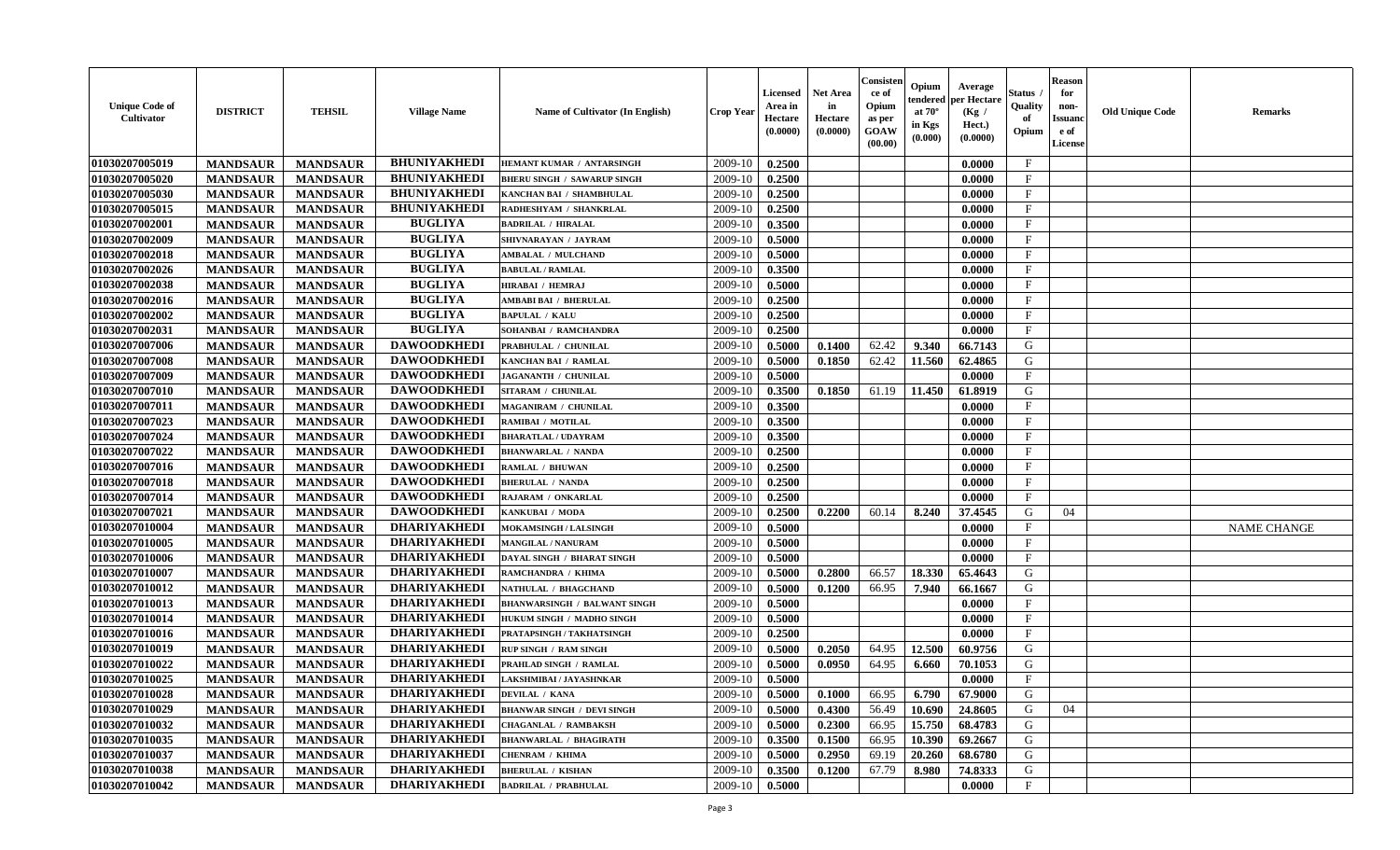| <b>Unique Code of</b><br><b>Cultivator</b> | <b>DISTRICT</b> | <b>TEHSIL</b>   | <b>Village Name</b> | Name of Cultivator (In English)     | <b>Crop Year</b> | <b>Licensed</b><br>Area in<br>Hectare<br>(0.0000) | <b>Net Area</b><br>in<br>Hectare<br>(0.0000) | Consisteı<br>ce of<br>Opium<br>as per<br><b>GOAW</b><br>(00.00) | Opium<br>endered<br>at $70^\circ$<br>in Kgs<br>(0.000) | Average<br>per Hectare<br>(Kg /<br>Hect.)<br>(0.0000) | Status<br>Quality<br>of<br>Opium | <b>Reason</b><br>for<br>non-<br>Issuan<br>e of<br>License | <b>Old Unique Code</b> | <b>Remarks</b>     |
|--------------------------------------------|-----------------|-----------------|---------------------|-------------------------------------|------------------|---------------------------------------------------|----------------------------------------------|-----------------------------------------------------------------|--------------------------------------------------------|-------------------------------------------------------|----------------------------------|-----------------------------------------------------------|------------------------|--------------------|
| 01030207005019                             | <b>MANDSAUR</b> | <b>MANDSAUR</b> | <b>BHUNIYAKHEDI</b> | HEMANT KUMAR / ANTARSINGH           | 2009-10          | 0.2500                                            |                                              |                                                                 |                                                        | 0.0000                                                | $\mathbf{F}$                     |                                                           |                        |                    |
| 01030207005020                             | <b>MANDSAUR</b> | <b>MANDSAUR</b> | <b>BHUNIYAKHEDI</b> | <b>BHERU SINGH / SAWARUP SINGH</b>  | 2009-10          | 0.2500                                            |                                              |                                                                 |                                                        | 0.0000                                                | $_{\rm F}$                       |                                                           |                        |                    |
| 01030207005030                             | <b>MANDSAUR</b> | <b>MANDSAUR</b> | <b>BHUNIYAKHEDI</b> | KANCHAN BAI / SHAMBHULAL            | 2009-10          | 0.2500                                            |                                              |                                                                 |                                                        | 0.0000                                                | $\mathbf{F}$                     |                                                           |                        |                    |
| 01030207005015                             | <b>MANDSAUR</b> | <b>MANDSAUR</b> | <b>BHUNIYAKHEDI</b> | RADHESHYAM / SHANKRLAL              | 2009-10          | 0.2500                                            |                                              |                                                                 |                                                        | 0.0000                                                | $\mathbf{F}$                     |                                                           |                        |                    |
| 01030207002001                             | <b>MANDSAUR</b> | <b>MANDSAUR</b> | <b>BUGLIYA</b>      | <b>BADRILAL / HIRALAL</b>           | 2009-10          | 0.3500                                            |                                              |                                                                 |                                                        | 0.0000                                                | $_{\rm F}$                       |                                                           |                        |                    |
| 01030207002009                             | <b>MANDSAUR</b> | <b>MANDSAUR</b> | <b>BUGLIYA</b>      | SHIVNARAYAN / JAYRAM                | 2009-10          | 0.5000                                            |                                              |                                                                 |                                                        | 0.0000                                                | $\mathbf{F}$                     |                                                           |                        |                    |
| 01030207002018                             | <b>MANDSAUR</b> | <b>MANDSAUR</b> | <b>BUGLIYA</b>      | <b>AMBALAL / MULCHAND</b>           | 2009-10          | 0.5000                                            |                                              |                                                                 |                                                        | 0.0000                                                | $\mathbf{F}$                     |                                                           |                        |                    |
| 01030207002026                             | <b>MANDSAUR</b> | <b>MANDSAUR</b> | <b>BUGLIYA</b>      | <b>BABULAL / RAMLAL</b>             | 2009-10          | 0.3500                                            |                                              |                                                                 |                                                        | 0.0000                                                | $\mathbf{F}$                     |                                                           |                        |                    |
| 01030207002038                             | <b>MANDSAUR</b> | <b>MANDSAUR</b> | <b>BUGLIYA</b>      | <b>HIRABAI / HEMRAJ</b>             | 2009-10          | 0.5000                                            |                                              |                                                                 |                                                        | 0.0000                                                | $_{\rm F}$                       |                                                           |                        |                    |
| 01030207002016                             | <b>MANDSAUR</b> | <b>MANDSAUR</b> | <b>BUGLIYA</b>      | AMBABI BAI / BHERULAL               | 2009-10          | 0.2500                                            |                                              |                                                                 |                                                        | 0.0000                                                | $_{\rm F}$                       |                                                           |                        |                    |
| 01030207002002                             | <b>MANDSAUR</b> | <b>MANDSAUR</b> | <b>BUGLIYA</b>      | <b>BAPULAL / KALU</b>               | 2009-10          | 0.2500                                            |                                              |                                                                 |                                                        | 0.0000                                                | $\mathbf{F}$                     |                                                           |                        |                    |
| 01030207002031                             | <b>MANDSAUR</b> | <b>MANDSAUR</b> | <b>BUGLIYA</b>      | SOHANBAI / RAMCHANDRA               | 2009-10          | 0.2500                                            |                                              |                                                                 |                                                        | 0.0000                                                | $\mathbf{F}$                     |                                                           |                        |                    |
| 01030207007006                             | <b>MANDSAUR</b> | <b>MANDSAUR</b> | <b>DAWOODKHEDI</b>  | PRABHULAL / CHUNILAL                | 2009-10          | 0.5000                                            | 0.1400                                       | 62.42                                                           | 9.340                                                  | 66.7143                                               | G                                |                                                           |                        |                    |
| 01030207007008                             | <b>MANDSAUR</b> | <b>MANDSAUR</b> | <b>DAWOODKHEDI</b>  | KANCHAN BAI / RAMLAL                | 2009-10          | 0.5000                                            | 0.1850                                       | 62.42                                                           | 11.560                                                 | 62.4865                                               | G                                |                                                           |                        |                    |
| 01030207007009                             | <b>MANDSAUR</b> | <b>MANDSAUR</b> | <b>DAWOODKHEDI</b>  | JAGANANTH / CHUNILAL                | 2009-10          | 0.5000                                            |                                              |                                                                 |                                                        | 0.0000                                                | $\mathbf{F}$                     |                                                           |                        |                    |
| 01030207007010                             | <b>MANDSAUR</b> | <b>MANDSAUR</b> | <b>DAWOODKHEDI</b>  | SITARAM / CHUNILAL                  | 2009-10          | 0.3500                                            | 0.1850                                       | 61.19                                                           | 11.450                                                 | 61.8919                                               | G                                |                                                           |                        |                    |
| 01030207007011                             | <b>MANDSAUR</b> | <b>MANDSAUR</b> | <b>DAWOODKHEDI</b>  | MAGANIRAM / CHUNILAL                | 2009-10          | 0.3500                                            |                                              |                                                                 |                                                        | 0.0000                                                | $\mathbf{F}$                     |                                                           |                        |                    |
| 01030207007023                             | <b>MANDSAUR</b> | <b>MANDSAUR</b> | <b>DAWOODKHEDI</b>  | RAMIBAI / MOTILAL                   | 2009-10          | 0.3500                                            |                                              |                                                                 |                                                        | 0.0000                                                | $\mathbf F$                      |                                                           |                        |                    |
| 01030207007024                             | <b>MANDSAUR</b> | <b>MANDSAUR</b> | <b>DAWOODKHEDI</b>  | <b>BHARATLAL / UDAYRAM</b>          | 2009-10          | 0.3500                                            |                                              |                                                                 |                                                        | 0.0000                                                | $_{\rm F}$                       |                                                           |                        |                    |
| 01030207007022                             | <b>MANDSAUR</b> | <b>MANDSAUR</b> | <b>DAWOODKHEDI</b>  | <b>BHANWARLAL / NANDA</b>           | 2009-10          | 0.2500                                            |                                              |                                                                 |                                                        | 0.0000                                                | $_{\rm F}$                       |                                                           |                        |                    |
| 01030207007016                             | <b>MANDSAUR</b> | <b>MANDSAUR</b> | <b>DAWOODKHEDI</b>  | RAMLAL / BHUWAN                     | 2009-10          | 0.2500                                            |                                              |                                                                 |                                                        | 0.0000                                                | F                                |                                                           |                        |                    |
| 01030207007018                             | <b>MANDSAUR</b> | <b>MANDSAUR</b> | <b>DAWOODKHEDI</b>  | <b>BHERULAL / NANDA</b>             | 2009-10          | 0.2500                                            |                                              |                                                                 |                                                        | 0.0000                                                | $\mathbf{F}$                     |                                                           |                        |                    |
| 01030207007014                             | <b>MANDSAUR</b> | <b>MANDSAUR</b> | <b>DAWOODKHEDI</b>  | RAJARAM / ONKARLAL                  | 2009-10          | 0.2500                                            |                                              |                                                                 |                                                        | 0.0000                                                | $\mathbf{F}$                     |                                                           |                        |                    |
| 01030207007021                             | <b>MANDSAUR</b> | <b>MANDSAUR</b> | <b>DAWOODKHEDI</b>  | KANKUBAI / MODA                     | 2009-10          | 0.2500                                            | 0.2200                                       | 60.14                                                           | 8.240                                                  | 37.4545                                               | G                                | 04                                                        |                        |                    |
| 01030207010004                             | <b>MANDSAUR</b> | <b>MANDSAUR</b> | <b>DHARIYAKHEDI</b> | MOKAMSINGH / LALSINGH               | 2009-10          | 0.5000                                            |                                              |                                                                 |                                                        | 0.0000                                                | $\mathbf{F}$                     |                                                           |                        | <b>NAME CHANGE</b> |
| 01030207010005                             | <b>MANDSAUR</b> | <b>MANDSAUR</b> | <b>DHARIYAKHEDI</b> | <b>MANGILAL / NANURAM</b>           | 2009-10          | 0.5000                                            |                                              |                                                                 |                                                        | 0.0000                                                | $\mathbf{F}$                     |                                                           |                        |                    |
| 01030207010006                             | <b>MANDSAUR</b> | <b>MANDSAUR</b> | <b>DHARIYAKHEDI</b> | DAYAL SINGH / BHARAT SINGH          | 2009-10          | 0.5000                                            |                                              |                                                                 |                                                        | 0.0000                                                | $_{\rm F}$                       |                                                           |                        |                    |
| 01030207010007                             | <b>MANDSAUR</b> | <b>MANDSAUR</b> | <b>DHARIYAKHEDI</b> | RAMCHANDRA / KHIMA                  | 2009-10          | 0.5000                                            | 0.2800                                       | 66.57                                                           | 18.330                                                 | 65.4643                                               | G                                |                                                           |                        |                    |
| 01030207010012                             | <b>MANDSAUR</b> | <b>MANDSAUR</b> | <b>DHARIYAKHEDI</b> | NATHULAL / BHAGCHAND                | 2009-10          | 0.5000                                            | 0.1200                                       | 66.95                                                           | 7.940                                                  | 66.1667                                               | G                                |                                                           |                        |                    |
| 01030207010013                             | <b>MANDSAUR</b> | <b>MANDSAUR</b> | <b>DHARIYAKHEDI</b> | <b>BHANWARSINGH / BALWANT SINGH</b> | 2009-10          | 0.5000                                            |                                              |                                                                 |                                                        | 0.0000                                                | $_{\rm F}$                       |                                                           |                        |                    |
| 01030207010014                             | <b>MANDSAUR</b> | <b>MANDSAUR</b> | <b>DHARIYAKHEDI</b> | HUKUM SINGH / MADHO SINGH           | 2009-10          | 0.5000                                            |                                              |                                                                 |                                                        | 0.0000                                                | $_{\rm F}$                       |                                                           |                        |                    |
| 01030207010016                             | <b>MANDSAUR</b> | <b>MANDSAUR</b> | <b>DHARIYAKHEDI</b> | PRATAPSINGH / TAKHATSINGH           | 2009-10          | 0.2500                                            |                                              |                                                                 |                                                        | 0.0000                                                | $\mathbf{F}$                     |                                                           |                        |                    |
| 01030207010019                             | <b>MANDSAUR</b> | <b>MANDSAUR</b> | <b>DHARIYAKHEDI</b> | <b>RUP SINGH / RAM SINGH</b>        | 2009-10          | 0.5000                                            | 0.2050                                       | 64.95                                                           | 12.500                                                 | 60.9756                                               | G                                |                                                           |                        |                    |
| 01030207010022                             | <b>MANDSAUR</b> | <b>MANDSAUR</b> | <b>DHARIYAKHEDI</b> | PRAHLAD SINGH / RAMLAL              | 2009-10          | 0.5000                                            | 0.0950                                       | 64.95                                                           | 6.660                                                  | 70.1053                                               | G                                |                                                           |                        |                    |
| 01030207010025                             | <b>MANDSAUR</b> | <b>MANDSAUR</b> | <b>DHARIYAKHEDI</b> | LAKSHMIBAI / JAYASHNKAR             | 2009-10          | 0.5000                                            |                                              |                                                                 |                                                        | 0.0000                                                | $\mathbf{F}$                     |                                                           |                        |                    |
| <b>01030207010028</b>                      | <b>MANDSAUR</b> | <b>MANDSAUR</b> | <b>DHARIYAKHEDI</b> | <b>DEVILAL / KANA</b>               | $2009-10$ 0.5000 |                                                   | 0.1000                                       | 66.95                                                           | $6.790$                                                | 67.9000                                               | G                                |                                                           |                        |                    |
| 01030207010029                             | <b>MANDSAUR</b> | <b>MANDSAUR</b> | <b>DHARIYAKHEDI</b> | <b>BHANWAR SINGH / DEVI SINGH</b>   | 2009-10          | 0.5000                                            | 0.4300                                       | 56.49                                                           | 10.690                                                 | 24.8605                                               | G                                | 04                                                        |                        |                    |
| <b>01030207010032</b>                      | <b>MANDSAUR</b> | <b>MANDSAUR</b> | <b>DHARIYAKHEDI</b> | <b>CHAGANLAL / RAMBAKSH</b>         | 2009-10          | 0.5000                                            | 0.2300                                       | 66.95                                                           | 15.750                                                 | 68.4783                                               | G                                |                                                           |                        |                    |
| 01030207010035                             | <b>MANDSAUR</b> | <b>MANDSAUR</b> | <b>DHARIYAKHEDI</b> | <b>BHANWARLAL / BHAGIRATH</b>       | 2009-10          | 0.3500                                            | 0.1500                                       | 66.95                                                           | 10.390                                                 | 69.2667                                               | G                                |                                                           |                        |                    |
| 01030207010037                             | <b>MANDSAUR</b> | <b>MANDSAUR</b> | <b>DHARIYAKHEDI</b> | <b>CHENRAM / KHIMA</b>              | 2009-10          | 0.5000                                            | 0.2950                                       | 69.19                                                           | 20.260                                                 | 68.6780                                               | G                                |                                                           |                        |                    |
| 01030207010038                             | <b>MANDSAUR</b> | <b>MANDSAUR</b> | <b>DHARIYAKHEDI</b> | <b>BHERULAL / KISHAN</b>            | 2009-10          | 0.3500                                            | 0.1200                                       | 67.79                                                           | 8.980                                                  | 74.8333                                               | G                                |                                                           |                        |                    |
| 01030207010042                             | <b>MANDSAUR</b> | <b>MANDSAUR</b> | <b>DHARIYAKHEDI</b> | <b>BADRILAL / PRABHULAL</b>         | 2009-10          | 0.5000                                            |                                              |                                                                 |                                                        | 0.0000                                                | $\mathbf{F}$                     |                                                           |                        |                    |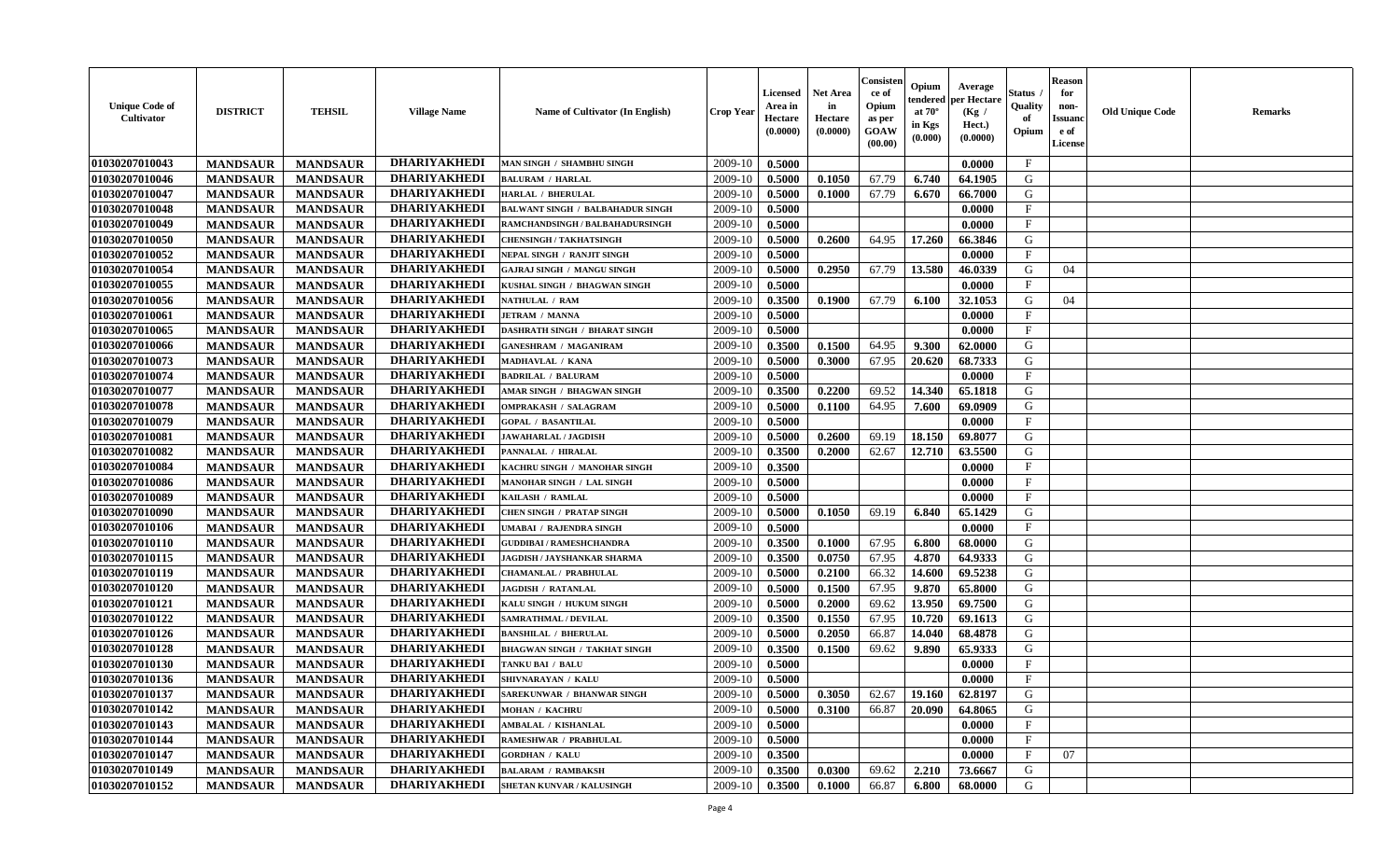| <b>Unique Code of</b><br>Cultivator | <b>DISTRICT</b> | <b>TEHSIL</b>   | <b>Village Name</b> | <b>Name of Cultivator (In English)</b>  | <b>Crop Year</b> | Licensed<br>Area in<br>Hectare<br>(0.0000) | <b>Net Area</b><br>in<br>Hectare<br>(0.0000) | Consister<br>ce of<br>Opium<br>as per<br><b>GOAW</b><br>(00.00) | Opium<br>endered<br>at $70^{\circ}$<br>in Kgs<br>(0.000) | Average<br>per Hectare<br>(Kg /<br>Hect.)<br>(0.0000) | Status<br>Quality<br>of<br>Opium | <b>Reason</b><br>for<br>non-<br><b>Issuano</b><br>e of<br>License | <b>Old Unique Code</b> | <b>Remarks</b> |
|-------------------------------------|-----------------|-----------------|---------------------|-----------------------------------------|------------------|--------------------------------------------|----------------------------------------------|-----------------------------------------------------------------|----------------------------------------------------------|-------------------------------------------------------|----------------------------------|-------------------------------------------------------------------|------------------------|----------------|
| 01030207010043                      | <b>MANDSAUR</b> | <b>MANDSAUR</b> | <b>DHARIYAKHEDI</b> | MAN SINGH / SHAMBHU SINGH               | 2009-10          | 0.5000                                     |                                              |                                                                 |                                                          | 0.0000                                                | $\mathbf{F}$                     |                                                                   |                        |                |
| 01030207010046                      | <b>MANDSAUR</b> | <b>MANDSAUR</b> | <b>DHARIYAKHEDI</b> | <b>BALURAM / HARLAL</b>                 | 2009-10          | 0.5000                                     | 0.1050                                       | 67.79                                                           | 6.740                                                    | 64.1905                                               | G                                |                                                                   |                        |                |
| 01030207010047                      | <b>MANDSAUR</b> | <b>MANDSAUR</b> | <b>DHARIYAKHEDI</b> | <b>HARLAL / BHERULAL</b>                | 2009-10          | 0.5000                                     | 0.1000                                       | 67.79                                                           | 6.670                                                    | 66.7000                                               | G                                |                                                                   |                        |                |
| 01030207010048                      | <b>MANDSAUR</b> | <b>MANDSAUR</b> | <b>DHARIYAKHEDI</b> | <b>BALWANT SINGH / BALBAHADUR SINGH</b> | 2009-10          | 0.5000                                     |                                              |                                                                 |                                                          | 0.0000                                                | $\mathbf{F}$                     |                                                                   |                        |                |
| 01030207010049                      | <b>MANDSAUR</b> | <b>MANDSAUR</b> | <b>DHARIYAKHEDI</b> | RAMCHANDSINGH / BALBAHADURSINGH         | 2009-10          | 0.5000                                     |                                              |                                                                 |                                                          | 0.0000                                                | $\mathbf F$                      |                                                                   |                        |                |
| 01030207010050                      | <b>MANDSAUR</b> | <b>MANDSAUR</b> | <b>DHARIYAKHEDI</b> | <b>CHENSINGH / TAKHATSINGH</b>          | 2009-10          | 0.5000                                     | 0.2600                                       | 64.95                                                           | 17.260                                                   | 66.3846                                               | G                                |                                                                   |                        |                |
| 01030207010052                      | <b>MANDSAUR</b> | <b>MANDSAUR</b> | <b>DHARIYAKHEDI</b> | NEPAL SINGH / RANJIT SINGH              | 2009-10          | 0.5000                                     |                                              |                                                                 |                                                          | 0.0000                                                | $\mathbf{F}$                     |                                                                   |                        |                |
| 01030207010054                      | <b>MANDSAUR</b> | <b>MANDSAUR</b> | <b>DHARIYAKHEDI</b> | <b>GAJRAJ SINGH / MANGU SINGH</b>       | 2009-10          | 0.5000                                     | 0.2950                                       | 67.79                                                           | 13.580                                                   | 46.0339                                               | G                                | 04                                                                |                        |                |
| 01030207010055                      | <b>MANDSAUR</b> | <b>MANDSAUR</b> | <b>DHARIYAKHEDI</b> | KUSHAL SINGH / BHAGWAN SINGH            | 2009-10          | 0.5000                                     |                                              |                                                                 |                                                          | 0.0000                                                | $_{\rm F}$                       |                                                                   |                        |                |
| 01030207010056                      | <b>MANDSAUR</b> | <b>MANDSAUR</b> | <b>DHARIYAKHEDI</b> | NATHULAL / RAM                          | 2009-10          | 0.3500                                     | 0.1900                                       | 67.79                                                           | 6.100                                                    | 32.1053                                               | G                                | 04                                                                |                        |                |
| 01030207010061                      | <b>MANDSAUR</b> | <b>MANDSAUR</b> | <b>DHARIYAKHEDI</b> | <b>JETRAM / MANNA</b>                   | 2009-10          | 0.5000                                     |                                              |                                                                 |                                                          | 0.0000                                                | $\mathbf{F}$                     |                                                                   |                        |                |
| 01030207010065                      | <b>MANDSAUR</b> | <b>MANDSAUR</b> | <b>DHARIYAKHEDI</b> | <b>DASHRATH SINGH / BHARAT SINGH</b>    | 2009-10          | 0.5000                                     |                                              |                                                                 |                                                          | 0.0000                                                | $\mathbf{F}$                     |                                                                   |                        |                |
| 01030207010066                      | <b>MANDSAUR</b> | <b>MANDSAUR</b> | <b>DHARIYAKHEDI</b> | <b>GANESHRAM / MAGANIRAM</b>            | 2009-10          | 0.3500                                     | 0.1500                                       | 64.95                                                           | 9.300                                                    | 62.0000                                               | G                                |                                                                   |                        |                |
| 01030207010073                      | <b>MANDSAUR</b> | <b>MANDSAUR</b> | <b>DHARIYAKHEDI</b> | MADHAVLAL / KANA                        | 2009-10          | 0.5000                                     | 0.3000                                       | 67.95                                                           | 20.620                                                   | 68.7333                                               | G                                |                                                                   |                        |                |
| 01030207010074                      | <b>MANDSAUR</b> | <b>MANDSAUR</b> | <b>DHARIYAKHEDI</b> | <b>BADRILAL / BALURAM</b>               | 2009-10          | 0.5000                                     |                                              |                                                                 |                                                          | 0.0000                                                | $\mathbf{F}$                     |                                                                   |                        |                |
| 01030207010077                      | <b>MANDSAUR</b> | <b>MANDSAUR</b> | <b>DHARIYAKHEDI</b> | AMAR SINGH / BHAGWAN SINGH              | 2009-10          | 0.3500                                     | 0.2200                                       | 69.52                                                           | 14.340                                                   | 65.1818                                               | G                                |                                                                   |                        |                |
| 01030207010078                      | <b>MANDSAUR</b> | <b>MANDSAUR</b> | <b>DHARIYAKHEDI</b> | <b>OMPRAKASH / SALAGRAM</b>             | 2009-10          | 0.5000                                     | 0.1100                                       | 64.95                                                           | 7.600                                                    | 69.0909                                               | G                                |                                                                   |                        |                |
| 01030207010079                      | <b>MANDSAUR</b> | <b>MANDSAUR</b> | <b>DHARIYAKHEDI</b> | <b>GOPAL / BASANTILAL</b>               | 2009-10          | 0.5000                                     |                                              |                                                                 |                                                          | 0.0000                                                | $\mathbf{F}$                     |                                                                   |                        |                |
| 01030207010081                      | <b>MANDSAUR</b> | <b>MANDSAUR</b> | <b>DHARIYAKHEDI</b> | <b>JAWAHARLAL / JAGDISH</b>             | 2009-10          | 0.5000                                     | 0.2600                                       | 69.19                                                           | 18.150                                                   | 69.8077                                               | G                                |                                                                   |                        |                |
| 01030207010082                      | <b>MANDSAUR</b> | <b>MANDSAUR</b> | <b>DHARIYAKHEDI</b> | PANNALAL / HIRALAL                      | 2009-10          | 0.3500                                     | 0.2000                                       | 62.67                                                           | 12.710                                                   | 63.5500                                               | G                                |                                                                   |                        |                |
| 01030207010084                      | <b>MANDSAUR</b> | <b>MANDSAUR</b> | <b>DHARIYAKHEDI</b> | KACHRU SINGH / MANOHAR SINGH            | 2009-10          | 0.3500                                     |                                              |                                                                 |                                                          | 0.0000                                                | F                                |                                                                   |                        |                |
| 01030207010086                      | <b>MANDSAUR</b> | <b>MANDSAUR</b> | <b>DHARIYAKHEDI</b> | MANOHAR SINGH / LAL SINGH               | 2009-10          | 0.5000                                     |                                              |                                                                 |                                                          | 0.0000                                                | $\mathbf{F}$                     |                                                                   |                        |                |
| 01030207010089                      | <b>MANDSAUR</b> | <b>MANDSAUR</b> | <b>DHARIYAKHEDI</b> | KAILASH / RAMLAL                        | 2009-10          | 0.5000                                     |                                              |                                                                 |                                                          | 0.0000                                                | $\mathbf{F}$                     |                                                                   |                        |                |
| 01030207010090                      | <b>MANDSAUR</b> | <b>MANDSAUR</b> | <b>DHARIYAKHEDI</b> | <b>CHEN SINGH / PRATAP SINGH</b>        | 2009-10          | 0.5000                                     | 0.1050                                       | 69.19                                                           | 6.840                                                    | 65.1429                                               | G                                |                                                                   |                        |                |
| 01030207010106                      | <b>MANDSAUR</b> | <b>MANDSAUR</b> | <b>DHARIYAKHEDI</b> | JMABAI / RAJENDRA SINGH                 | 2009-10          | 0.5000                                     |                                              |                                                                 |                                                          | 0.0000                                                | $\mathbf{F}$                     |                                                                   |                        |                |
| 01030207010110                      | <b>MANDSAUR</b> | <b>MANDSAUR</b> | <b>DHARIYAKHEDI</b> | <b>GUDDIBAI / RAMESHCHANDRA</b>         | 2009-10          | 0.3500                                     | 0.1000                                       | 67.95                                                           | 6.800                                                    | 68.0000                                               | G                                |                                                                   |                        |                |
| 01030207010115                      | <b>MANDSAUR</b> | <b>MANDSAUR</b> | <b>DHARIYAKHEDI</b> | JAGDISH / JAYSHANKAR SHARMA             | 2009-10          | 0.3500                                     | 0.0750                                       | 67.95                                                           | 4.870                                                    | 64.9333                                               | G                                |                                                                   |                        |                |
| 01030207010119                      | <b>MANDSAUR</b> | <b>MANDSAUR</b> | <b>DHARIYAKHEDI</b> | <b>CHAMANLAL / PRABHULAL</b>            | 2009-10          | 0.5000                                     | 0.2100                                       | 66.32                                                           | 14.600                                                   | 69.5238                                               | G                                |                                                                   |                        |                |
| 01030207010120                      | <b>MANDSAUR</b> | <b>MANDSAUR</b> | <b>DHARIYAKHEDI</b> | <b>JAGDISH / RATANLAL</b>               | 2009-10          | 0.5000                                     | 0.1500                                       | 67.95                                                           | 9.870                                                    | 65.8000                                               | G                                |                                                                   |                        |                |
| 01030207010121                      | <b>MANDSAUR</b> | <b>MANDSAUR</b> | <b>DHARIYAKHEDI</b> | KALU SINGH / HUKUM SINGH                | 2009-10          | 0.5000                                     | 0.2000                                       | 69.62                                                           | 13.950                                                   | 69.7500                                               | G                                |                                                                   |                        |                |
| 01030207010122                      | <b>MANDSAUR</b> | <b>MANDSAUR</b> | <b>DHARIYAKHEDI</b> | SAMRATHMAL / DEVILAL                    | 2009-10          | 0.3500                                     | 0.1550                                       | 67.95                                                           | 10.720                                                   | 69.1613                                               | G                                |                                                                   |                        |                |
| 01030207010126                      | <b>MANDSAUR</b> | <b>MANDSAUR</b> | <b>DHARIYAKHEDI</b> | <b>BANSHILAL / BHERULAL</b>             | 2009-10          | 0.5000                                     | 0.2050                                       | 66.87                                                           | 14.040                                                   | 68.4878                                               | G                                |                                                                   |                        |                |
| 01030207010128                      | <b>MANDSAUR</b> | <b>MANDSAUR</b> | <b>DHARIYAKHEDI</b> | <b>BHAGWAN SINGH / TAKHAT SINGH</b>     | 2009-10          | 0.3500                                     | 0.1500                                       | 69.62                                                           | 9.890                                                    | 65.9333                                               | G                                |                                                                   |                        |                |
| 01030207010130                      | <b>MANDSAUR</b> | <b>MANDSAUR</b> | <b>DHARIYAKHEDI</b> | TANKU BAI / BALU                        | 2009-10          | 0.5000                                     |                                              |                                                                 |                                                          | 0.0000                                                | F                                |                                                                   |                        |                |
| 01030207010136                      | <b>MANDSAUR</b> | <b>MANDSAUR</b> | <b>DHARIYAKHEDI</b> | SHIVNARAYAN / KALU                      | 2009-10          | 0.5000                                     |                                              |                                                                 |                                                          | 0.0000                                                | $\mathbf{F}$                     |                                                                   |                        |                |
| 01030207010137                      | <b>MANDSAUR</b> | <b>MANDSAUR</b> | DHARIYAKHEDI        | <b>SAREKUNWAR / BHANWAR SINGH</b>       | $2009-10$        | 0.5000                                     | 0.3050                                       | 62.67                                                           |                                                          | $19.160 \cdot 62.8197$                                | G                                |                                                                   |                        |                |
| 01030207010142                      | <b>MANDSAUR</b> | <b>MANDSAUR</b> | <b>DHARIYAKHEDI</b> | <b>MOHAN / KACHRU</b>                   | 2009-10          | 0.5000                                     | 0.3100                                       | 66.87                                                           | 20.090                                                   | 64.8065                                               | G                                |                                                                   |                        |                |
| 01030207010143                      | <b>MANDSAUR</b> | <b>MANDSAUR</b> | <b>DHARIYAKHEDI</b> | AMBALAL / KISHANLAL                     | 2009-10          | 0.5000                                     |                                              |                                                                 |                                                          | 0.0000                                                | $\mathbf F$                      |                                                                   |                        |                |
| 01030207010144                      | <b>MANDSAUR</b> | <b>MANDSAUR</b> | <b>DHARIYAKHEDI</b> | <b>RAMESHWAR / PRABHULAL</b>            | 2009-10          | 0.5000                                     |                                              |                                                                 |                                                          | 0.0000                                                | $\mathbf{F}$                     |                                                                   |                        |                |
| 01030207010147                      | <b>MANDSAUR</b> | <b>MANDSAUR</b> | <b>DHARIYAKHEDI</b> | <b>GORDHAN / KALU</b>                   | 2009-10          | 0.3500                                     |                                              |                                                                 |                                                          | 0.0000                                                | $\mathbf{F}$                     | 07                                                                |                        |                |
| 01030207010149                      | <b>MANDSAUR</b> | <b>MANDSAUR</b> | <b>DHARIYAKHEDI</b> | <b>BALARAM / RAMBAKSH</b>               | 2009-10          | 0.3500                                     | 0.0300                                       | 69.62                                                           | 2.210                                                    | 73.6667                                               | G                                |                                                                   |                        |                |
| 01030207010152                      | <b>MANDSAUR</b> | <b>MANDSAUR</b> | <b>DHARIYAKHEDI</b> | <b>SHETAN KUNVAR / KALUSINGH</b>        | 2009-10          | 0.3500                                     | 0.1000                                       | 66.87                                                           | 6.800                                                    | 68.0000                                               | G                                |                                                                   |                        |                |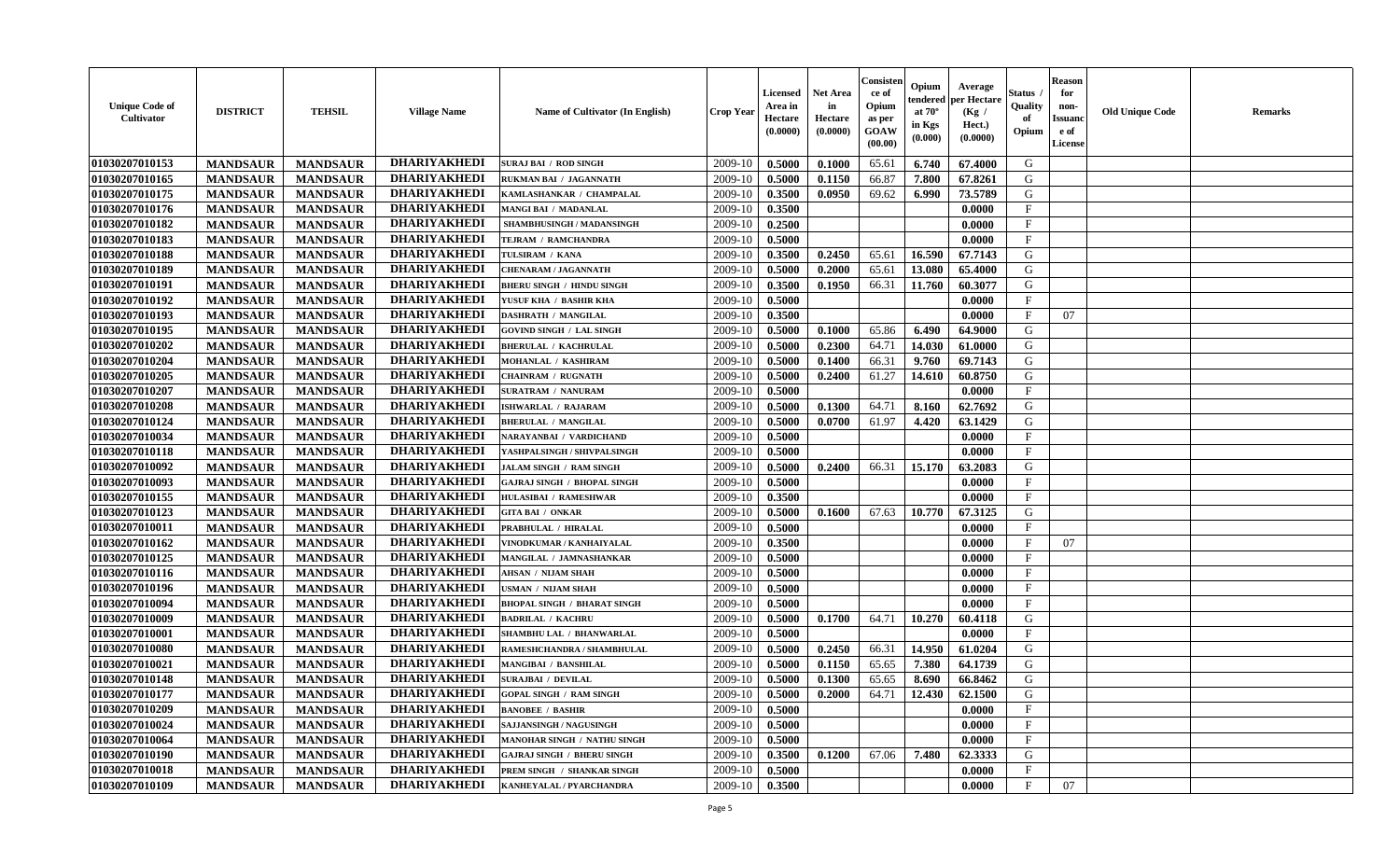| <b>Unique Code of</b><br><b>Cultivator</b> | <b>DISTRICT</b> | <b>TEHSIL</b>   | <b>Village Name</b> | Name of Cultivator (In English)    | <b>Crop Year</b> | <b>Licensed</b><br>Area in<br>Hectare<br>(0.0000) | <b>Net Area</b><br>in<br>Hectare<br>(0.0000) | Consisteı<br>ce of<br>Opium<br>as per<br><b>GOAW</b><br>(00.00) | Opium<br>endered<br>at $70^\circ$<br>in Kgs<br>$(\mathbf{0.000})$ | Average<br>per Hectare<br>(Kg /<br>Hect.)<br>(0.0000) | Status<br>Quality<br>of<br>Opium | Reason<br>for<br>non-<br>Issuan<br>e of<br>License | <b>Old Unique Code</b> | <b>Remarks</b> |
|--------------------------------------------|-----------------|-----------------|---------------------|------------------------------------|------------------|---------------------------------------------------|----------------------------------------------|-----------------------------------------------------------------|-------------------------------------------------------------------|-------------------------------------------------------|----------------------------------|----------------------------------------------------|------------------------|----------------|
| 01030207010153                             | <b>MANDSAUR</b> | <b>MANDSAUR</b> | <b>DHARIYAKHEDI</b> | <b>SURAJ BAI / ROD SINGH</b>       | 2009-10          | 0.5000                                            | 0.1000                                       | 65.61                                                           | 6.740                                                             | 67.4000                                               | G                                |                                                    |                        |                |
| 01030207010165                             | <b>MANDSAUR</b> | <b>MANDSAUR</b> | <b>DHARIYAKHEDI</b> | RUKMAN BAI / JAGANNATH             | 2009-10          | 0.5000                                            | 0.1150                                       | 66.87                                                           | 7.800                                                             | 67.8261                                               | G                                |                                                    |                        |                |
| 01030207010175                             | <b>MANDSAUR</b> | <b>MANDSAUR</b> | <b>DHARIYAKHEDI</b> | KAMLASHANKAR / CHAMPALAL           | 2009-10          | 0.3500                                            | 0.0950                                       | 69.62                                                           | 6.990                                                             | 73.5789                                               | G                                |                                                    |                        |                |
| 01030207010176                             | <b>MANDSAUR</b> | <b>MANDSAUR</b> | <b>DHARIYAKHEDI</b> | MANGI BAI / MADANLAL               | 2009-10          | 0.3500                                            |                                              |                                                                 |                                                                   | 0.0000                                                | $_{\rm F}$                       |                                                    |                        |                |
| 01030207010182                             | <b>MANDSAUR</b> | <b>MANDSAUR</b> | <b>DHARIYAKHEDI</b> | SHAMBHUSINGH / MADANSINGH          | 2009-10          | 0.2500                                            |                                              |                                                                 |                                                                   | 0.0000                                                | $\mathbf{F}$                     |                                                    |                        |                |
| 01030207010183                             | <b>MANDSAUR</b> | <b>MANDSAUR</b> | <b>DHARIYAKHEDI</b> | TEJRAM / RAMCHANDRA                | 2009-10          | 0.5000                                            |                                              |                                                                 |                                                                   | 0.0000                                                | $\mathbf{F}$                     |                                                    |                        |                |
| 01030207010188                             | <b>MANDSAUR</b> | <b>MANDSAUR</b> | <b>DHARIYAKHEDI</b> | TULSIRAM / KANA                    | 2009-10          | 0.3500                                            | 0.2450                                       | 65.61                                                           | 16.590                                                            | 67.7143                                               | G                                |                                                    |                        |                |
| 01030207010189                             | <b>MANDSAUR</b> | <b>MANDSAUR</b> | <b>DHARIYAKHEDI</b> | <b>CHENARAM / JAGANNATH</b>        | 2009-10          | 0.5000                                            | 0.2000                                       | 65.61                                                           | 13.080                                                            | 65.4000                                               | G                                |                                                    |                        |                |
| 01030207010191                             | <b>MANDSAUR</b> | <b>MANDSAUR</b> | <b>DHARIYAKHEDI</b> | <b>BHERU SINGH / HINDU SINGH</b>   | 2009-10          | 0.3500                                            | 0.1950                                       | 66.31                                                           | 11.760                                                            | 60.3077                                               | G                                |                                                    |                        |                |
| 01030207010192                             | <b>MANDSAUR</b> | <b>MANDSAUR</b> | <b>DHARIYAKHEDI</b> | YUSUF KHA / BASHIR KHA             | 2009-10          | 0.5000                                            |                                              |                                                                 |                                                                   | 0.0000                                                | $\mathbf{F}$                     |                                                    |                        |                |
| 01030207010193                             | <b>MANDSAUR</b> | <b>MANDSAUR</b> | <b>DHARIYAKHEDI</b> | DASHRATH / MANGILAL                | 2009-10          | 0.3500                                            |                                              |                                                                 |                                                                   | 0.0000                                                | $\mathbf{F}$                     | 07                                                 |                        |                |
| 01030207010195                             | <b>MANDSAUR</b> | <b>MANDSAUR</b> | <b>DHARIYAKHEDI</b> | <b>GOVIND SINGH / LAL SINGH</b>    | 2009-10          | 0.5000                                            | 0.1000                                       | 65.86                                                           | 6.490                                                             | 64.9000                                               | G                                |                                                    |                        |                |
| 01030207010202                             | <b>MANDSAUR</b> | <b>MANDSAUR</b> | <b>DHARIYAKHEDI</b> | <b>BHERULAL / KACHRULAL</b>        | 2009-10          | 0.5000                                            | 0.2300                                       | 64.71                                                           | 14.030                                                            | 61.0000                                               | G                                |                                                    |                        |                |
| 01030207010204                             | <b>MANDSAUR</b> | <b>MANDSAUR</b> | <b>DHARIYAKHEDI</b> | MOHANLAL / KASHIRAM                | 2009-10          | 0.5000                                            | 0.1400                                       | 66.31                                                           | 9.760                                                             | 69.7143                                               | G                                |                                                    |                        |                |
| 01030207010205                             | <b>MANDSAUR</b> | <b>MANDSAUR</b> | <b>DHARIYAKHEDI</b> | <b>CHAINRAM / RUGNATH</b>          | 2009-10          | 0.5000                                            | 0.2400                                       | 61.27                                                           | 14.610                                                            | 60.8750                                               | G                                |                                                    |                        |                |
| 01030207010207                             | <b>MANDSAUR</b> | <b>MANDSAUR</b> | <b>DHARIYAKHEDI</b> | <b>SURATRAM / NANURAM</b>          | 2009-10          | 0.5000                                            |                                              |                                                                 |                                                                   | 0.0000                                                | F                                |                                                    |                        |                |
| 01030207010208                             | <b>MANDSAUR</b> | <b>MANDSAUR</b> | <b>DHARIYAKHEDI</b> | <b>ISHWARLAL / RAJARAM</b>         | 2009-10          | 0.5000                                            | 0.1300                                       | 64.71                                                           | 8.160                                                             | 62.7692                                               | G                                |                                                    |                        |                |
| 01030207010124                             | <b>MANDSAUR</b> | <b>MANDSAUR</b> | <b>DHARIYAKHEDI</b> | <b>BHERULAL / MANGILAL</b>         | 2009-10          | 0.5000                                            | 0.0700                                       | 61.97                                                           | 4.420                                                             | 63.1429                                               | G                                |                                                    |                        |                |
| 01030207010034                             | <b>MANDSAUR</b> | <b>MANDSAUR</b> | <b>DHARIYAKHEDI</b> | NARAYANBAI / VARDICHAND            | 2009-10          | 0.5000                                            |                                              |                                                                 |                                                                   | 0.0000                                                | F                                |                                                    |                        |                |
| 01030207010118                             | <b>MANDSAUR</b> | <b>MANDSAUR</b> | <b>DHARIYAKHEDI</b> | YASHPALSINGH / SHIVPALSINGH        | 2009-10          | 0.5000                                            |                                              |                                                                 |                                                                   | 0.0000                                                | $_{\rm F}$                       |                                                    |                        |                |
| 01030207010092                             | <b>MANDSAUR</b> | <b>MANDSAUR</b> | <b>DHARIYAKHEDI</b> | JALAM SINGH / RAM SINGH            | 2009-10          | 0.5000                                            | 0.2400                                       | 66.31                                                           | 15.170                                                            | 63.2083                                               | G                                |                                                    |                        |                |
| 01030207010093                             | <b>MANDSAUR</b> | <b>MANDSAUR</b> | <b>DHARIYAKHEDI</b> | <b>GAJRAJ SINGH / BHOPAL SINGH</b> | 2009-10          | 0.5000                                            |                                              |                                                                 |                                                                   | 0.0000                                                | $\mathbf{F}$                     |                                                    |                        |                |
| 01030207010155                             | <b>MANDSAUR</b> | <b>MANDSAUR</b> | <b>DHARIYAKHEDI</b> | <b>HULASIBAI / RAMESHWAR</b>       | 2009-10          | 0.3500                                            |                                              |                                                                 |                                                                   | 0.0000                                                | F.                               |                                                    |                        |                |
| 01030207010123                             | <b>MANDSAUR</b> | <b>MANDSAUR</b> | <b>DHARIYAKHEDI</b> | <b>GITA BAI / ONKAR</b>            | 2009-10          | 0.5000                                            | 0.1600                                       | 67.63                                                           | 10.770                                                            | 67.3125                                               | G                                |                                                    |                        |                |
| 01030207010011                             | <b>MANDSAUR</b> | <b>MANDSAUR</b> | <b>DHARIYAKHEDI</b> | PRABHULAL / HIRALAL                | 2009-10          | 0.5000                                            |                                              |                                                                 |                                                                   | 0.0000                                                | $\mathbf{F}$                     |                                                    |                        |                |
| 01030207010162                             | <b>MANDSAUR</b> | <b>MANDSAUR</b> | <b>DHARIYAKHEDI</b> | VINODKUMAR / KANHAIYALAL           | 2009-10          | 0.3500                                            |                                              |                                                                 |                                                                   | 0.0000                                                | $_{\rm F}$                       | 07                                                 |                        |                |
| 01030207010125                             | <b>MANDSAUR</b> | <b>MANDSAUR</b> | <b>DHARIYAKHEDI</b> | MANGILAL / JAMNASHANKAR            | 2009-10          | 0.5000                                            |                                              |                                                                 |                                                                   | 0.0000                                                | $_{\rm F}$                       |                                                    |                        |                |
| 01030207010116                             | <b>MANDSAUR</b> | <b>MANDSAUR</b> | <b>DHARIYAKHEDI</b> | <b>AHSAN / NIJAM SHAH</b>          | 2009-10          | 0.5000                                            |                                              |                                                                 |                                                                   | 0.0000                                                | $\mathbf{F}$                     |                                                    |                        |                |
| 01030207010196                             | <b>MANDSAUR</b> | <b>MANDSAUR</b> | <b>DHARIYAKHEDI</b> | USMAN / NIJAM SHAH                 | 2009-10          | 0.5000                                            |                                              |                                                                 |                                                                   | 0.0000                                                | $\mathbf{F}$                     |                                                    |                        |                |
| 01030207010094                             | <b>MANDSAUR</b> | <b>MANDSAUR</b> | <b>DHARIYAKHEDI</b> | <b>BHOPAL SINGH / BHARAT SINGH</b> | 2009-10          | 0.5000                                            |                                              |                                                                 |                                                                   | 0.0000                                                | $\mathbf{F}$                     |                                                    |                        |                |
| 01030207010009                             | <b>MANDSAUR</b> | <b>MANDSAUR</b> | <b>DHARIYAKHEDI</b> | <b>BADRILAL / KACHRU</b>           | 2009-10          | 0.5000                                            | 0.1700                                       | 64.71                                                           | 10.270                                                            | 60.4118                                               | G                                |                                                    |                        |                |
| 01030207010001                             | <b>MANDSAUR</b> | <b>MANDSAUR</b> | <b>DHARIYAKHEDI</b> | SHAMBHU LAL / BHANWARLAL           | 2009-10          | 0.5000                                            |                                              |                                                                 |                                                                   | 0.0000                                                | $\mathbf{F}$                     |                                                    |                        |                |
| 01030207010080                             | <b>MANDSAUR</b> | <b>MANDSAUR</b> | <b>DHARIYAKHEDI</b> | RAMESHCHANDRA / SHAMBHULAL         | 2009-10          | 0.5000                                            | 0.2450                                       | 66.31                                                           | 14.950                                                            | 61.0204                                               | G                                |                                                    |                        |                |
| 01030207010021                             | <b>MANDSAUR</b> | <b>MANDSAUR</b> | <b>DHARIYAKHEDI</b> | MANGIBAI / BANSHILAL               | 2009-10          | 0.5000                                            | 0.1150                                       | 65.65                                                           | 7.380                                                             | 64.1739                                               | G                                |                                                    |                        |                |
| 01030207010148                             | <b>MANDSAUR</b> | <b>MANDSAUR</b> | <b>DHARIYAKHEDI</b> | <b>SURAJBAI / DEVILAL</b>          | 2009-10          | 0.5000                                            | 0.1300                                       | 65.65                                                           | 8.690                                                             | 66.8462                                               | G                                |                                                    |                        |                |
| 01030207010177                             | <b>MANDSAUR</b> | <b>MANDSAUR</b> | <b>DHARIYAKHEDI</b> | <b>GOPAL SINGH / RAM SINGH</b>     | $2009-10$ 0.5000 |                                                   | 0.2000                                       |                                                                 |                                                                   | $64.71$   12.430   62.1500                            | G                                |                                                    |                        |                |
| 01030207010209                             | <b>MANDSAUR</b> | <b>MANDSAUR</b> | <b>DHARIYAKHEDI</b> | <b>BANOBEE / BASHIR</b>            | 2009-10          | 0.5000                                            |                                              |                                                                 |                                                                   | 0.0000                                                | $_{\rm F}$                       |                                                    |                        |                |
| 01030207010024                             | <b>MANDSAUR</b> | <b>MANDSAUR</b> | <b>DHARIYAKHEDI</b> | SAJJANSINGH / NAGUSINGH            | 2009-10          | 0.5000                                            |                                              |                                                                 |                                                                   | 0.0000                                                | $\mathbf{F}$                     |                                                    |                        |                |
| 01030207010064                             | <b>MANDSAUR</b> | <b>MANDSAUR</b> | <b>DHARIYAKHEDI</b> | <b>MANOHAR SINGH / NATHU SINGH</b> | 2009-10          | 0.5000                                            |                                              |                                                                 |                                                                   | 0.0000                                                | $\mathbf{F}$                     |                                                    |                        |                |
| 01030207010190                             | <b>MANDSAUR</b> | <b>MANDSAUR</b> | <b>DHARIYAKHEDI</b> | <b>GAJRAJ SINGH / BHERU SINGH</b>  | 2009-10          | 0.3500                                            | 0.1200                                       | 67.06                                                           | 7.480                                                             | 62.3333                                               | G                                |                                                    |                        |                |
| 01030207010018                             | <b>MANDSAUR</b> | <b>MANDSAUR</b> | <b>DHARIYAKHEDI</b> | PREM SINGH / SHANKAR SINGH         | 2009-10          | 0.5000                                            |                                              |                                                                 |                                                                   | 0.0000                                                | $\mathbf{F}$                     |                                                    |                        |                |
| 01030207010109                             | <b>MANDSAUR</b> | <b>MANDSAUR</b> | <b>DHARIYAKHEDI</b> | KANHEYALAL / PYARCHANDRA           | 2009-10          | 0.3500                                            |                                              |                                                                 |                                                                   | 0.0000                                                | $\mathbf{F}$                     | 07                                                 |                        |                |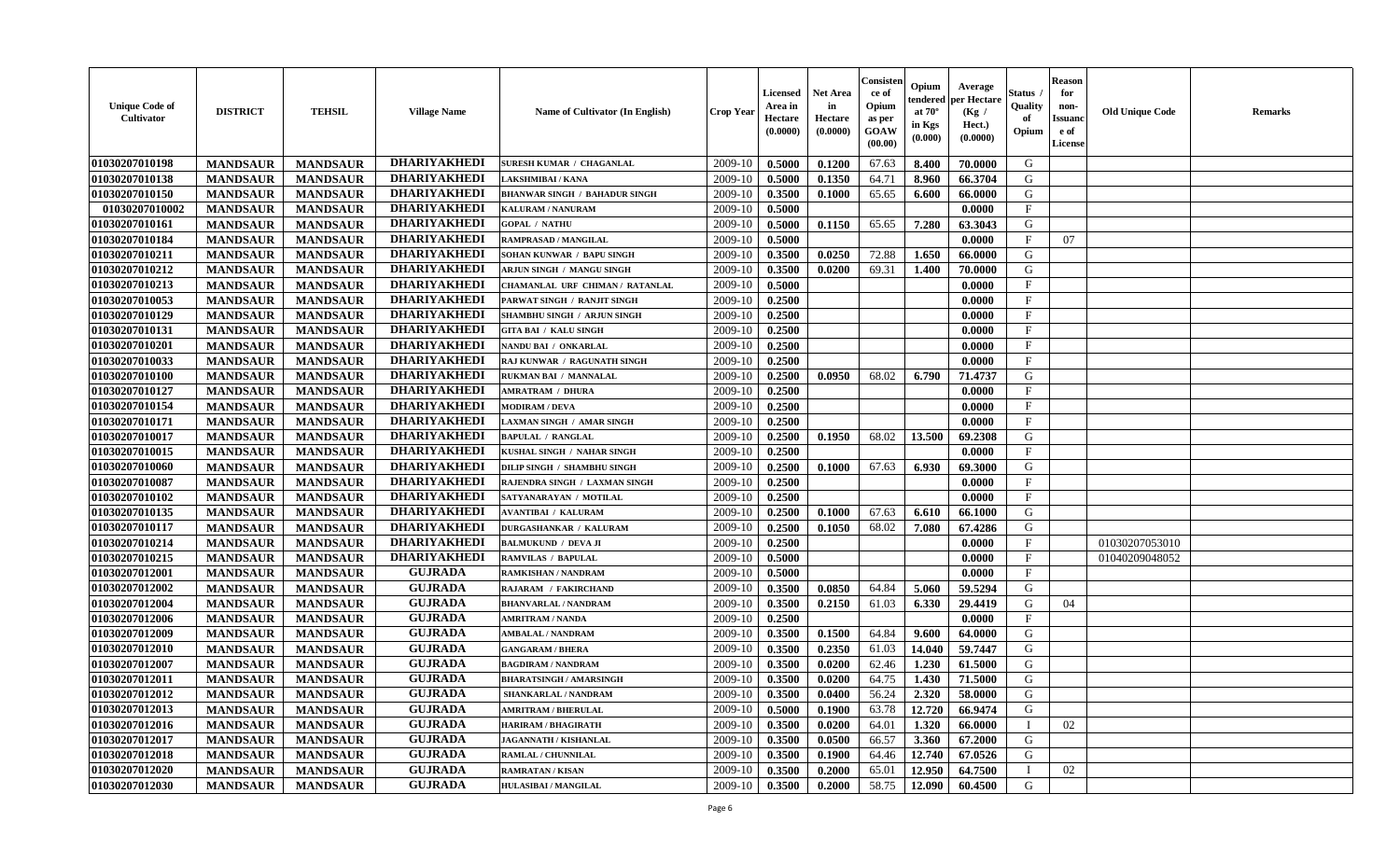| <b>Unique Code of</b><br><b>Cultivator</b> | <b>DISTRICT</b> | <b>TEHSIL</b>   | <b>Village Name</b> | Name of Cultivator (In English)      | <b>Crop Year</b> | <b>Licensed</b><br>Area in<br>Hectare<br>(0.0000) | <b>Net Area</b><br>in<br>Hectare<br>(0.0000) | Consister<br>ce of<br>Opium<br>as per<br>GOAW<br>(00.00) | Opium<br>endered<br>at $70^\circ$<br>in Kgs<br>(0.000) | Average<br>per Hectare<br>(Kg /<br>Hect.)<br>(0.0000) | Status<br>Quality<br>of<br>Opium | <b>Reason</b><br>for<br>non-<br><b>Issuand</b><br>e of<br>License | <b>Old Unique Code</b> | <b>Remarks</b> |
|--------------------------------------------|-----------------|-----------------|---------------------|--------------------------------------|------------------|---------------------------------------------------|----------------------------------------------|----------------------------------------------------------|--------------------------------------------------------|-------------------------------------------------------|----------------------------------|-------------------------------------------------------------------|------------------------|----------------|
| 01030207010198                             | <b>MANDSAUR</b> | <b>MANDSAUR</b> | <b>DHARIYAKHEDI</b> | <b>SURESH KUMAR / CHAGANLAL</b>      | 2009-10          | 0.5000                                            | 0.1200                                       | 67.63                                                    | 8.400                                                  | 70.0000                                               | G                                |                                                                   |                        |                |
| 01030207010138                             | <b>MANDSAUR</b> | <b>MANDSAUR</b> | <b>DHARIYAKHEDI</b> | LAKSHMIBAI / KANA                    | 2009-10          | 0.5000                                            | 0.1350                                       | 64.71                                                    | 8.960                                                  | 66.3704                                               | G                                |                                                                   |                        |                |
| 01030207010150                             | <b>MANDSAUR</b> | <b>MANDSAUR</b> | <b>DHARIYAKHEDI</b> | <b>BHANWAR SINGH / BAHADUR SINGH</b> | 2009-10          | 0.3500                                            | 0.1000                                       | 65.65                                                    | 6.600                                                  | 66.0000                                               | G                                |                                                                   |                        |                |
| 01030207010002                             | <b>MANDSAUR</b> | <b>MANDSAUR</b> | <b>DHARIYAKHEDI</b> | KALURAM / NANURAM                    | 2009-10          | 0.5000                                            |                                              |                                                          |                                                        | 0.0000                                                | $\mathbf{F}$                     |                                                                   |                        |                |
| 01030207010161                             | <b>MANDSAUR</b> | <b>MANDSAUR</b> | <b>DHARIYAKHEDI</b> | <b>GOPAL / NATHU</b>                 | 2009-10          | 0.5000                                            | 0.1150                                       | 65.65                                                    | 7.280                                                  | 63.3043                                               | G                                |                                                                   |                        |                |
| 01030207010184                             | <b>MANDSAUR</b> | <b>MANDSAUR</b> | <b>DHARIYAKHEDI</b> | <b>RAMPRASAD / MANGILAL</b>          | 2009-10          | 0.5000                                            |                                              |                                                          |                                                        | 0.0000                                                | $\mathbf{F}$                     | 07                                                                |                        |                |
| 01030207010211                             | <b>MANDSAUR</b> | <b>MANDSAUR</b> | <b>DHARIYAKHEDI</b> | SOHAN KUNWAR / BAPU SINGH            | 2009-10          | 0.3500                                            | 0.0250                                       | 72.88                                                    | 1.650                                                  | 66.0000                                               | G                                |                                                                   |                        |                |
| 01030207010212                             | <b>MANDSAUR</b> | <b>MANDSAUR</b> | <b>DHARIYAKHEDI</b> | ARJUN SINGH / MANGU SINGH            | 2009-10          | 0.3500                                            | 0.0200                                       | 69.31                                                    | 1.400                                                  | 70.0000                                               | G                                |                                                                   |                        |                |
| 01030207010213                             | <b>MANDSAUR</b> | <b>MANDSAUR</b> | <b>DHARIYAKHEDI</b> | CHAMANLAL URF CHIMAN / RATANLAL      | 2009-10          | 0.5000                                            |                                              |                                                          |                                                        | 0.0000                                                | $_{\rm F}$                       |                                                                   |                        |                |
| 01030207010053                             | <b>MANDSAUR</b> | <b>MANDSAUR</b> | <b>DHARIYAKHEDI</b> | PARWAT SINGH / RANJIT SINGH          | 2009-10          | 0.2500                                            |                                              |                                                          |                                                        | 0.0000                                                | $\mathbf{F}$                     |                                                                   |                        |                |
| 01030207010129                             | <b>MANDSAUR</b> | <b>MANDSAUR</b> | <b>DHARIYAKHEDI</b> | <b>SHAMBHU SINGH / ARJUN SINGH</b>   | 2009-10          | 0.2500                                            |                                              |                                                          |                                                        | 0.0000                                                | F                                |                                                                   |                        |                |
| 01030207010131                             | <b>MANDSAUR</b> | <b>MANDSAUR</b> | <b>DHARIYAKHEDI</b> | <b>GITA BAI / KALU SINGH</b>         | 2009-10          | 0.2500                                            |                                              |                                                          |                                                        | 0.0000                                                | F                                |                                                                   |                        |                |
| 01030207010201                             | <b>MANDSAUR</b> | <b>MANDSAUR</b> | <b>DHARIYAKHEDI</b> | NANDU BAI / ONKARLAL                 | 2009-10          | 0.2500                                            |                                              |                                                          |                                                        | 0.0000                                                | $_{\rm F}$                       |                                                                   |                        |                |
| 01030207010033                             | <b>MANDSAUR</b> | <b>MANDSAUR</b> | <b>DHARIYAKHEDI</b> | RAJ KUNWAR / RAGUNATH SINGH          | 2009-10          | 0.2500                                            |                                              |                                                          |                                                        | 0.0000                                                | $\mathbf{F}$                     |                                                                   |                        |                |
| 01030207010100                             | <b>MANDSAUR</b> | <b>MANDSAUR</b> | <b>DHARIYAKHEDI</b> | <b>RUKMAN BAI / MANNALAL</b>         | 2009-10          | 0.2500                                            | 0.0950                                       | 68.02                                                    | 6.790                                                  | 71.4737                                               | G                                |                                                                   |                        |                |
| 01030207010127                             | <b>MANDSAUR</b> | <b>MANDSAUR</b> | <b>DHARIYAKHEDI</b> | <b>AMRATRAM / DHURA</b>              | 2009-10          | 0.2500                                            |                                              |                                                          |                                                        | 0.0000                                                | $\rm F$                          |                                                                   |                        |                |
| 01030207010154                             | <b>MANDSAUR</b> | <b>MANDSAUR</b> | <b>DHARIYAKHEDI</b> | <b>MODIRAM / DEVA</b>                | 2009-10          | 0.2500                                            |                                              |                                                          |                                                        | 0.0000                                                | $\mathbf{F}$                     |                                                                   |                        |                |
| 01030207010171                             |                 |                 | <b>DHARIYAKHEDI</b> |                                      | 2009-10          |                                                   |                                              |                                                          |                                                        | 0.0000                                                | $\mathbf{F}$                     |                                                                   |                        |                |
|                                            | <b>MANDSAUR</b> | <b>MANDSAUR</b> | <b>DHARIYAKHEDI</b> | <b>LAXMAN SINGH / AMAR SINGH</b>     |                  | 0.2500                                            |                                              |                                                          |                                                        |                                                       |                                  |                                                                   |                        |                |
| 01030207010017                             | <b>MANDSAUR</b> | <b>MANDSAUR</b> | <b>DHARIYAKHEDI</b> | <b>BAPULAL / RANGLAL</b>             | 2009-10          | 0.2500                                            | 0.1950                                       | 68.02                                                    | 13.500                                                 | 69.2308                                               | G                                |                                                                   |                        |                |
| 01030207010015                             | <b>MANDSAUR</b> | <b>MANDSAUR</b> |                     | KUSHAL SINGH / NAHAR SINGH           | 2009-10          | 0.2500                                            |                                              |                                                          |                                                        | 0.0000                                                | $\mathbf{F}$                     |                                                                   |                        |                |
| 01030207010060                             | <b>MANDSAUR</b> | <b>MANDSAUR</b> | <b>DHARIYAKHEDI</b> | DILIP SINGH / SHAMBHU SINGH          | 2009-10          | 0.2500                                            | 0.1000                                       | 67.63                                                    | 6.930                                                  | 69.3000                                               | G                                |                                                                   |                        |                |
| 01030207010087                             | <b>MANDSAUR</b> | <b>MANDSAUR</b> | <b>DHARIYAKHEDI</b> | RAJENDRA SINGH / LAXMAN SINGH        | 2009-10          | 0.2500                                            |                                              |                                                          |                                                        | 0.0000                                                | $\mathbf{F}$                     |                                                                   |                        |                |
| 01030207010102                             | <b>MANDSAUR</b> | <b>MANDSAUR</b> | <b>DHARIYAKHEDI</b> | SATYANARAYAN / MOTILAL               | 2009-10          | 0.2500                                            |                                              |                                                          |                                                        | 0.0000                                                | $\mathbf{F}$                     |                                                                   |                        |                |
| 01030207010135                             | <b>MANDSAUR</b> | <b>MANDSAUR</b> | <b>DHARIYAKHEDI</b> | <b>AVANTIBAI / KALURAM</b>           | 2009-10          | 0.2500                                            | 0.1000                                       | 67.63                                                    | 6.610                                                  | 66.1000                                               | G                                |                                                                   |                        |                |
| 01030207010117                             | <b>MANDSAUR</b> | <b>MANDSAUR</b> | <b>DHARIYAKHEDI</b> | <b>DURGASHANKAR / KALURAM</b>        | 2009-10          | 0.2500                                            | 0.1050                                       | 68.02                                                    | 7.080                                                  | 67.4286                                               | G                                |                                                                   |                        |                |
| 01030207010214                             | <b>MANDSAUR</b> | <b>MANDSAUR</b> | <b>DHARIYAKHEDI</b> | <b>BALMUKUND / DEVA JI</b>           | 2009-10          | 0.2500                                            |                                              |                                                          |                                                        | 0.0000                                                | $\mathbf F$                      |                                                                   | 01030207053010         |                |
| 01030207010215                             | <b>MANDSAUR</b> | <b>MANDSAUR</b> | <b>DHARIYAKHEDI</b> | <b>RAMVILAS / BAPULAL</b>            | 2009-10          | 0.5000                                            |                                              |                                                          |                                                        | 0.0000                                                | $\mathbf{F}$                     |                                                                   | 01040209048052         |                |
| 01030207012001                             | <b>MANDSAUR</b> | <b>MANDSAUR</b> | <b>GUJRADA</b>      | RAMKISHAN / NANDRAM                  | 2009-10          | 0.5000                                            |                                              |                                                          |                                                        | 0.0000                                                | $\mathbf{F}$                     |                                                                   |                        |                |
| 01030207012002                             | <b>MANDSAUR</b> | <b>MANDSAUR</b> | <b>GUJRADA</b>      | RAJARAM / FAKIRCHAND                 | 2009-10          | 0.3500                                            | 0.0850                                       | 64.84                                                    | 5.060                                                  | 59.5294                                               | G                                |                                                                   |                        |                |
| 01030207012004                             | <b>MANDSAUR</b> | <b>MANDSAUR</b> | <b>GUJRADA</b>      | <b>BHANVARLAL / NANDRAM</b>          | 2009-10          | 0.3500                                            | 0.2150                                       | 61.03                                                    | 6.330                                                  | 29.4419                                               | G                                | 04                                                                |                        |                |
| 01030207012006                             | <b>MANDSAUR</b> | <b>MANDSAUR</b> | <b>GUJRADA</b>      | <b>AMRITRAM / NANDA</b>              | 2009-10          | 0.2500                                            |                                              |                                                          |                                                        | 0.0000                                                | $\mathbf{F}$                     |                                                                   |                        |                |
| 01030207012009                             | <b>MANDSAUR</b> | <b>MANDSAUR</b> | <b>GUJRADA</b>      | <b>AMBALAL / NANDRAM</b>             | 2009-10          | 0.3500                                            | 0.1500                                       | 64.84                                                    | 9.600                                                  | 64.0000                                               | G                                |                                                                   |                        |                |
| 01030207012010                             | <b>MANDSAUR</b> | <b>MANDSAUR</b> | <b>GUJRADA</b>      | <b>GANGARAM / BHERA</b>              | 2009-10          | 0.3500                                            | 0.2350                                       | 61.03                                                    | 14.040                                                 | 59.7447                                               | G                                |                                                                   |                        |                |
| 01030207012007                             | <b>MANDSAUR</b> | <b>MANDSAUR</b> | <b>GUJRADA</b>      | <b>BAGDIRAM / NANDRAM</b>            | 2009-10          | 0.3500                                            | 0.0200                                       | 62.46                                                    | 1.230                                                  | 61.5000                                               | G                                |                                                                   |                        |                |
| 01030207012011                             | <b>MANDSAUR</b> | <b>MANDSAUR</b> | <b>GUJRADA</b>      | <b>BHARATSINGH / AMARSINGH</b>       | 2009-10          | 0.3500                                            | 0.0200                                       | 64.75                                                    | 1.430                                                  | 71.5000                                               | G                                |                                                                   |                        |                |
| 01030207012012                             | <b>MANDSAUR</b> | <b>MANDSAUR</b> | <b>GUJRADA</b>      | SHANKARLAL / NANDRAM                 | 2009-10          | 0.3500                                            | 0.0400                                       | 56.24                                                    | 2.320                                                  | 58.0000                                               | G                                |                                                                   |                        |                |
| 01030207012013                             | <b>MANDSAUR</b> | <b>MANDSAUR</b> | <b>GUJRADA</b>      | <b>AMRITRAM / BHERULAL</b>           | 2009-10          | 0.5000                                            | 0.1900                                       | 63.78                                                    | 12.720                                                 | 66.9474                                               | G                                |                                                                   |                        |                |
| 01030207012016                             | <b>MANDSAUR</b> | <b>MANDSAUR</b> | <b>GUJRADA</b>      | <b>HARIRAM / BHAGIRATH</b>           | 2009-10          | 0.3500                                            | 0.0200                                       | 64.01                                                    | 1.320                                                  | 66.0000                                               | $\mathbf{I}$                     | 02                                                                |                        |                |
| 01030207012017                             | <b>MANDSAUR</b> | <b>MANDSAUR</b> | <b>GUJRADA</b>      | <b>JAGANNATH / KISHANLAL</b>         | 2009-10          | 0.3500                                            | 0.0500                                       | 66.57                                                    | 3.360                                                  | 67.2000                                               | G                                |                                                                   |                        |                |
| 01030207012018                             | <b>MANDSAUR</b> | <b>MANDSAUR</b> | <b>GUJRADA</b>      | RAMLAL / CHUNNILAL                   | 2009-10          | 0.3500                                            | 0.1900                                       | 64.46                                                    | 12.740                                                 | 67.0526                                               | G                                |                                                                   |                        |                |
| 01030207012020                             | <b>MANDSAUR</b> | <b>MANDSAUR</b> | <b>GUJRADA</b>      | <b>RAMRATAN / KISAN</b>              | 2009-10          | 0.3500                                            | 0.2000                                       | 65.01                                                    | 12.950                                                 | 64.7500                                               |                                  | 02                                                                |                        |                |
| 01030207012030                             | <b>MANDSAUR</b> | <b>MANDSAUR</b> | <b>GUJRADA</b>      | <b>HULASIBAI / MANGILAL</b>          | 2009-10          | 0.3500                                            | 0.2000                                       | 58.75                                                    | 12.090                                                 | 60.4500                                               | G                                |                                                                   |                        |                |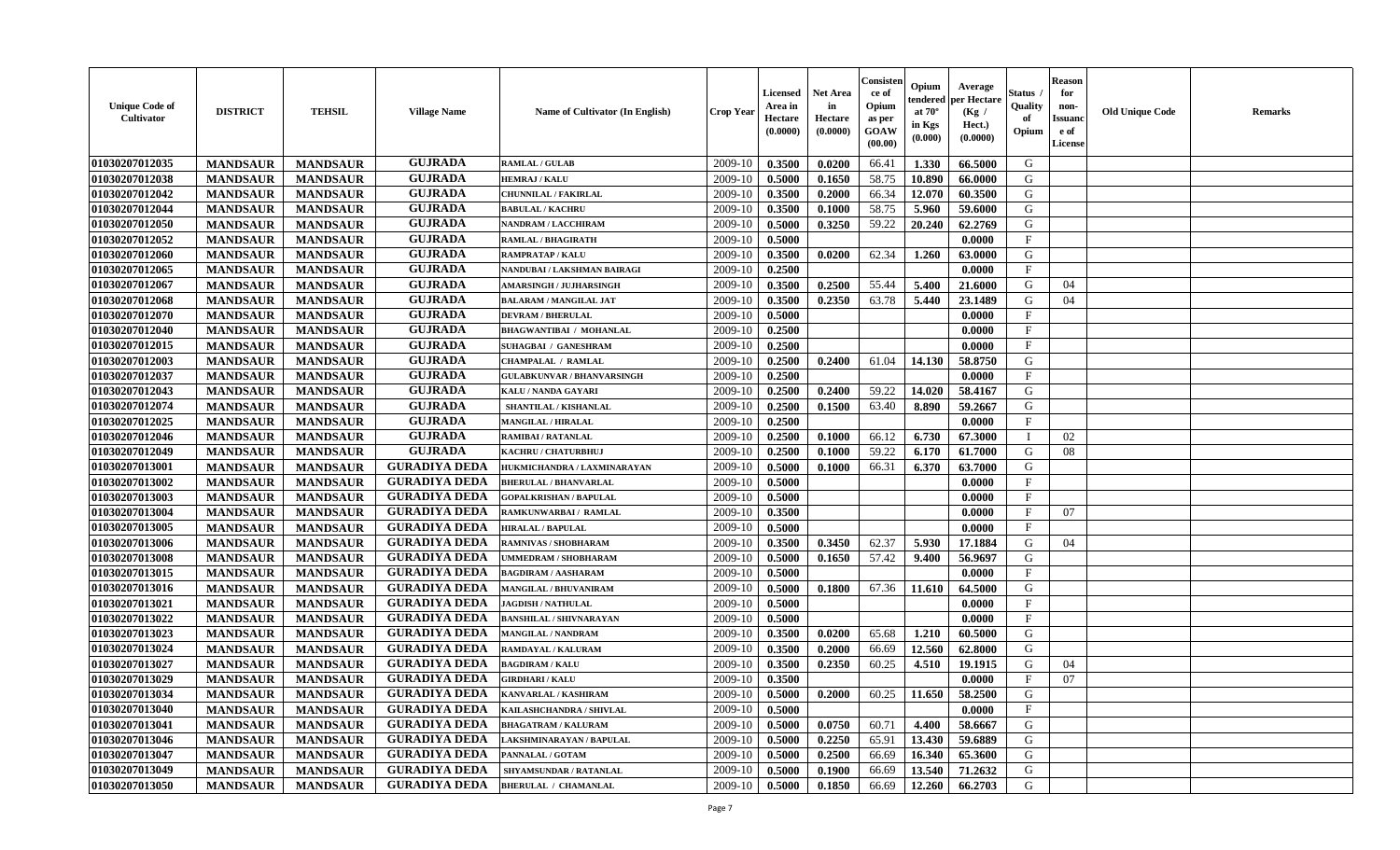| <b>Unique Code of</b><br>Cultivator | <b>DISTRICT</b> | <b>TEHSIL</b>   | <b>Village Name</b>  | <b>Name of Cultivator (In English)</b> | <b>Crop Year</b> | Licensed<br>Area in<br>Hectare<br>(0.0000) | Net Area<br>in<br>Hectare<br>(0.0000) | Consisten<br>ce of<br>Opium<br>as per<br><b>GOAW</b><br>(00.00) | Opium<br>tendered<br>at $70^\circ$<br>in Kgs<br>$(\mathbf{0.000})$ | Average<br>per Hectare<br>(Kg /<br>Hect.)<br>(0.0000) | Status<br>Quality<br>of<br>Opium | <b>Reason</b><br>for<br>non-<br>Issuan<br>e of<br>License | <b>Old Unique Code</b> | Remarks |
|-------------------------------------|-----------------|-----------------|----------------------|----------------------------------------|------------------|--------------------------------------------|---------------------------------------|-----------------------------------------------------------------|--------------------------------------------------------------------|-------------------------------------------------------|----------------------------------|-----------------------------------------------------------|------------------------|---------|
| 01030207012035                      | <b>MANDSAUR</b> | <b>MANDSAUR</b> | <b>GUJRADA</b>       | <b>RAMLAL / GULAB</b>                  | 2009-10          | 0.3500                                     | 0.0200                                | 66.41                                                           | 1.330                                                              | 66.5000                                               | G                                |                                                           |                        |         |
| 01030207012038                      | <b>MANDSAUR</b> | <b>MANDSAUR</b> | <b>GUJRADA</b>       | <b>HEMRAJ / KALU</b>                   | 2009-10          | 0.5000                                     | 0.1650                                | 58.75                                                           | 10.890                                                             | 66.0000                                               | G                                |                                                           |                        |         |
| 01030207012042                      | <b>MANDSAUR</b> | <b>MANDSAUR</b> | <b>GUJRADA</b>       | <b>CHUNNILAL / FAKIRLAL</b>            | 2009-10          | 0.3500                                     | 0.2000                                | 66.34                                                           | 12.070                                                             | 60.3500                                               | G                                |                                                           |                        |         |
| 01030207012044                      | <b>MANDSAUR</b> | <b>MANDSAUR</b> | <b>GUJRADA</b>       | <b>BABULAL / KACHRU</b>                | 2009-10          | 0.3500                                     | 0.1000                                | 58.75                                                           | 5.960                                                              | 59.6000                                               | G                                |                                                           |                        |         |
| 01030207012050                      | <b>MANDSAUR</b> | <b>MANDSAUR</b> | <b>GUJRADA</b>       | NANDRAM / LACCHIRAM                    | 2009-10          | 0.5000                                     | 0.3250                                | 59.22                                                           | 20.240                                                             | 62.2769                                               | G                                |                                                           |                        |         |
| 01030207012052                      | <b>MANDSAUR</b> | <b>MANDSAUR</b> | <b>GUJRADA</b>       | <b>RAMLAL / BHAGIRATH</b>              | 2009-10          | 0.5000                                     |                                       |                                                                 |                                                                    | 0.0000                                                | $\mathbf F$                      |                                                           |                        |         |
| 01030207012060                      | <b>MANDSAUR</b> | <b>MANDSAUR</b> | <b>GUJRADA</b>       | <b>RAMPRATAP / KALU</b>                | 2009-10          | 0.3500                                     | 0.0200                                | 62.34                                                           | 1.260                                                              | 63.0000                                               | G                                |                                                           |                        |         |
| 01030207012065                      | <b>MANDSAUR</b> | <b>MANDSAUR</b> | <b>GUJRADA</b>       | NANDUBAI / LAKSHMAN BAIRAGI            | 2009-10          | 0.2500                                     |                                       |                                                                 |                                                                    | 0.0000                                                | $\mathbf{F}$                     |                                                           |                        |         |
| 01030207012067                      | <b>MANDSAUR</b> | <b>MANDSAUR</b> | <b>GUJRADA</b>       | <b>AMARSINGH / JUJHARSINGH</b>         | 2009-10          | 0.3500                                     | 0.2500                                | 55.44                                                           | 5.400                                                              | 21.6000                                               | G                                | 04                                                        |                        |         |
| 01030207012068                      | <b>MANDSAUR</b> | <b>MANDSAUR</b> | <b>GUJRADA</b>       | <b>BALARAM / MANGILAL JAT</b>          | 2009-10          | 0.3500                                     | 0.2350                                | 63.78                                                           | 5.440                                                              | 23.1489                                               | G                                | 04                                                        |                        |         |
| 01030207012070                      | <b>MANDSAUR</b> | <b>MANDSAUR</b> | <b>GUJRADA</b>       | <b>DEVRAM / BHERULAL</b>               | 2009-10          | 0.5000                                     |                                       |                                                                 |                                                                    | 0.0000                                                | $\mathbf{F}$                     |                                                           |                        |         |
| 01030207012040                      | <b>MANDSAUR</b> | <b>MANDSAUR</b> | <b>GUJRADA</b>       | <b>BHAGWANTIBAI / MOHANLAL</b>         | 2009-10          | 0.2500                                     |                                       |                                                                 |                                                                    | 0.0000                                                | $\mathbf{F}$                     |                                                           |                        |         |
| 01030207012015                      | <b>MANDSAUR</b> | <b>MANDSAUR</b> | <b>GUJRADA</b>       | <b>SUHAGBAI / GANESHRAM</b>            | 2009-10          | 0.2500                                     |                                       |                                                                 |                                                                    | 0.0000                                                | F                                |                                                           |                        |         |
| 01030207012003                      | <b>MANDSAUR</b> | <b>MANDSAUR</b> | <b>GUJRADA</b>       | <b>CHAMPALAL / RAMLAL</b>              | 2009-10          | 0.2500                                     | 0.2400                                | 61.04                                                           | 14.130                                                             | 58.8750                                               | G                                |                                                           |                        |         |
| 01030207012037                      | <b>MANDSAUR</b> | <b>MANDSAUR</b> | <b>GUJRADA</b>       | <b>GULABKUNVAR / BHANVARSINGH</b>      | 2009-10          | 0.2500                                     |                                       |                                                                 |                                                                    | 0.0000                                                | $\mathbf F$                      |                                                           |                        |         |
| 01030207012043                      | <b>MANDSAUR</b> | <b>MANDSAUR</b> | <b>GUJRADA</b>       | KALU / NANDA GAYARI                    | 2009-10          | 0.2500                                     | 0.2400                                | 59.22                                                           | 14.020                                                             | 58.4167                                               | G                                |                                                           |                        |         |
| 01030207012074                      | <b>MANDSAUR</b> | <b>MANDSAUR</b> | <b>GUJRADA</b>       | SHANTILAL / KISHANLAL                  | 2009-10          | 0.2500                                     | 0.1500                                | 63.40                                                           | 8.890                                                              | 59.2667                                               | G                                |                                                           |                        |         |
| 01030207012025                      | <b>MANDSAUR</b> | <b>MANDSAUR</b> | <b>GUJRADA</b>       | <b>MANGILAL / HIRALAL</b>              | 2009-10          | 0.2500                                     |                                       |                                                                 |                                                                    | 0.0000                                                | $\mathbf F$                      |                                                           |                        |         |
| 01030207012046                      | <b>MANDSAUR</b> | <b>MANDSAUR</b> | <b>GUJRADA</b>       | <b>RAMIBAI / RATANLAL</b>              | 2009-10          | 0.2500                                     | 0.1000                                | 66.12                                                           | 6.730                                                              | 67.3000                                               |                                  | 02                                                        |                        |         |
| 01030207012049                      | <b>MANDSAUR</b> | <b>MANDSAUR</b> | <b>GUJRADA</b>       | KACHRU / CHATURBHUJ                    | 2009-10          | 0.2500                                     | 0.1000                                | 59.22                                                           | 6.170                                                              | 61.7000                                               | G                                | 08                                                        |                        |         |
| 01030207013001                      | <b>MANDSAUR</b> | <b>MANDSAUR</b> | <b>GURADIYA DEDA</b> | HUKMICHANDRA / LAXMINARAYAN            | 2009-10          | 0.5000                                     | 0.1000                                | 66.31                                                           | 6.370                                                              | 63.7000                                               | G                                |                                                           |                        |         |
| 01030207013002                      | <b>MANDSAUR</b> | <b>MANDSAUR</b> | <b>GURADIYA DEDA</b> | <b>BHERULAL / BHANVARLAL</b>           | 2009-10          | 0.5000                                     |                                       |                                                                 |                                                                    | 0.0000                                                | F                                |                                                           |                        |         |
| 01030207013003                      | <b>MANDSAUR</b> | <b>MANDSAUR</b> | <b>GURADIYA DEDA</b> | <b>GOPALKRISHAN / BAPULAL</b>          | 2009-10          | 0.5000                                     |                                       |                                                                 |                                                                    | 0.0000                                                | $\mathbf F$                      |                                                           |                        |         |
| 01030207013004                      | <b>MANDSAUR</b> | <b>MANDSAUR</b> | <b>GURADIYA DEDA</b> | RAMKUNWARBAI/ RAMLAL                   | 2009-10          | 0.3500                                     |                                       |                                                                 |                                                                    | 0.0000                                                | $\mathbf{F}$                     | 07                                                        |                        |         |
| 01030207013005                      | <b>MANDSAUR</b> | <b>MANDSAUR</b> | <b>GURADIYA DEDA</b> | <b>HIRALAL / BAPULAL</b>               | 2009-10          | 0.5000                                     |                                       |                                                                 |                                                                    | 0.0000                                                | $\mathbf{F}$                     |                                                           |                        |         |
| 01030207013006                      | <b>MANDSAUR</b> | <b>MANDSAUR</b> | <b>GURADIYA DEDA</b> | RAMNIVAS / SHOBHARAM                   | 2009-10          | 0.3500                                     | 0.3450                                | 62.37                                                           | 5.930                                                              | 17.1884                                               | G                                | 04                                                        |                        |         |
| 01030207013008                      | <b>MANDSAUR</b> | <b>MANDSAUR</b> | <b>GURADIYA DEDA</b> | <b>JMMEDRAM / SHOBHARAM</b>            | 2009-10          | 0.5000                                     | 0.1650                                | 57.42                                                           | 9.400                                                              | 56.9697                                               | G                                |                                                           |                        |         |
| 01030207013015                      | <b>MANDSAUR</b> | <b>MANDSAUR</b> | <b>GURADIYA DEDA</b> | <b>BAGDIRAM / AASHARAM</b>             | 2009-10          | 0.5000                                     |                                       |                                                                 |                                                                    | 0.0000                                                | $\mathbf{F}$                     |                                                           |                        |         |
| 01030207013016                      | <b>MANDSAUR</b> | <b>MANDSAUR</b> | <b>GURADIYA DEDA</b> | <b>MANGILAL / BHUVANIRAM</b>           | 2009-10          | 0.5000                                     | 0.1800                                | 67.36                                                           | 11.610                                                             | 64.5000                                               | G                                |                                                           |                        |         |
| 01030207013021                      | <b>MANDSAUR</b> | <b>MANDSAUR</b> | <b>GURADIYA DEDA</b> | <b>JAGDISH / NATHULAL</b>              | 2009-10          | 0.5000                                     |                                       |                                                                 |                                                                    | 0.0000                                                | $\mathbf{F}$                     |                                                           |                        |         |
| 01030207013022                      | <b>MANDSAUR</b> | <b>MANDSAUR</b> | <b>GURADIYA DEDA</b> | <b>BANSHILAL / SHIVNARAYAN</b>         | 2009-10          | 0.5000                                     |                                       |                                                                 |                                                                    | 0.0000                                                | $_{\rm F}$                       |                                                           |                        |         |
| 01030207013023                      | <b>MANDSAUR</b> | <b>MANDSAUR</b> | <b>GURADIYA DEDA</b> | MANGILAL / NANDRAM                     | 2009-10          | 0.3500                                     | 0.0200                                | 65.68                                                           | 1.210                                                              | 60.5000                                               | G                                |                                                           |                        |         |
| 01030207013024                      | <b>MANDSAUR</b> | <b>MANDSAUR</b> | <b>GURADIYA DEDA</b> | RAMDAYAL / KALURAM                     | 2009-10          | 0.3500                                     | 0.2000                                | 66.69                                                           | 12.560                                                             | 62.8000                                               | G                                |                                                           |                        |         |
| 01030207013027                      | <b>MANDSAUR</b> | <b>MANDSAUR</b> | <b>GURADIYA DEDA</b> | <b>BAGDIRAM / KALU</b>                 | 2009-10          | 0.3500                                     | 0.2350                                | 60.25                                                           | 4.510                                                              | 19.1915                                               | G                                | 04                                                        |                        |         |
| 01030207013029                      | <b>MANDSAUR</b> | <b>MANDSAUR</b> | <b>GURADIYA DEDA</b> | <b>GIRDHARI / KALU</b>                 | 2009-10          | 0.3500                                     |                                       |                                                                 |                                                                    | 0.0000                                                | F                                | 07                                                        |                        |         |
| 01030207013034                      | <b>MANDSAUR</b> | <b>MANDSAUR</b> | <b>GURADIYA DEDA</b> | KANVARLAL / KASHIRAM                   | 2009-10 0.5000   |                                            | 0.2000                                |                                                                 |                                                                    | $60.25$   11.650   58.2500                            | G                                |                                                           |                        |         |
| 01030207013040                      | <b>MANDSAUR</b> | <b>MANDSAUR</b> | <b>GURADIYA DEDA</b> | KAILASHCHANDRA / SHIVLAL               | 2009-10          | 0.5000                                     |                                       |                                                                 |                                                                    | 0.0000                                                | $\mathbf F$                      |                                                           |                        |         |
| 01030207013041                      | <b>MANDSAUR</b> | <b>MANDSAUR</b> | <b>GURADIYA DEDA</b> | <b>BHAGATRAM / KALURAM</b>             | 2009-10          | 0.5000                                     | 0.0750                                | 60.71                                                           | 4.400                                                              | 58.6667                                               | G                                |                                                           |                        |         |
| 01030207013046                      | <b>MANDSAUR</b> | <b>MANDSAUR</b> | <b>GURADIYA DEDA</b> | LAKSHMINARAYAN / BAPULAL               | 2009-10          | 0.5000                                     | 0.2250                                | 65.91                                                           | 13.430                                                             | 59.6889                                               | G                                |                                                           |                        |         |
| 01030207013047                      | <b>MANDSAUR</b> | <b>MANDSAUR</b> | <b>GURADIYA DEDA</b> | PANNALAL / GOTAM                       | 2009-10          | 0.5000                                     | 0.2500                                | 66.69                                                           | 16.340                                                             | 65.3600                                               | G                                |                                                           |                        |         |
| 01030207013049                      | <b>MANDSAUR</b> | <b>MANDSAUR</b> | <b>GURADIYA DEDA</b> | SHYAMSUNDAR / RATANLAL                 | 2009-10          | 0.5000                                     | 0.1900                                | 66.69                                                           | 13.540                                                             | 71.2632                                               | G                                |                                                           |                        |         |
| 01030207013050                      | <b>MANDSAUR</b> | <b>MANDSAUR</b> | <b>GURADIYA DEDA</b> | <b>BHERULAL / CHAMANLAL</b>            | 2009-10          | 0.5000                                     | 0.1850                                | 66.69                                                           |                                                                    | 12.260 66.2703                                        | G                                |                                                           |                        |         |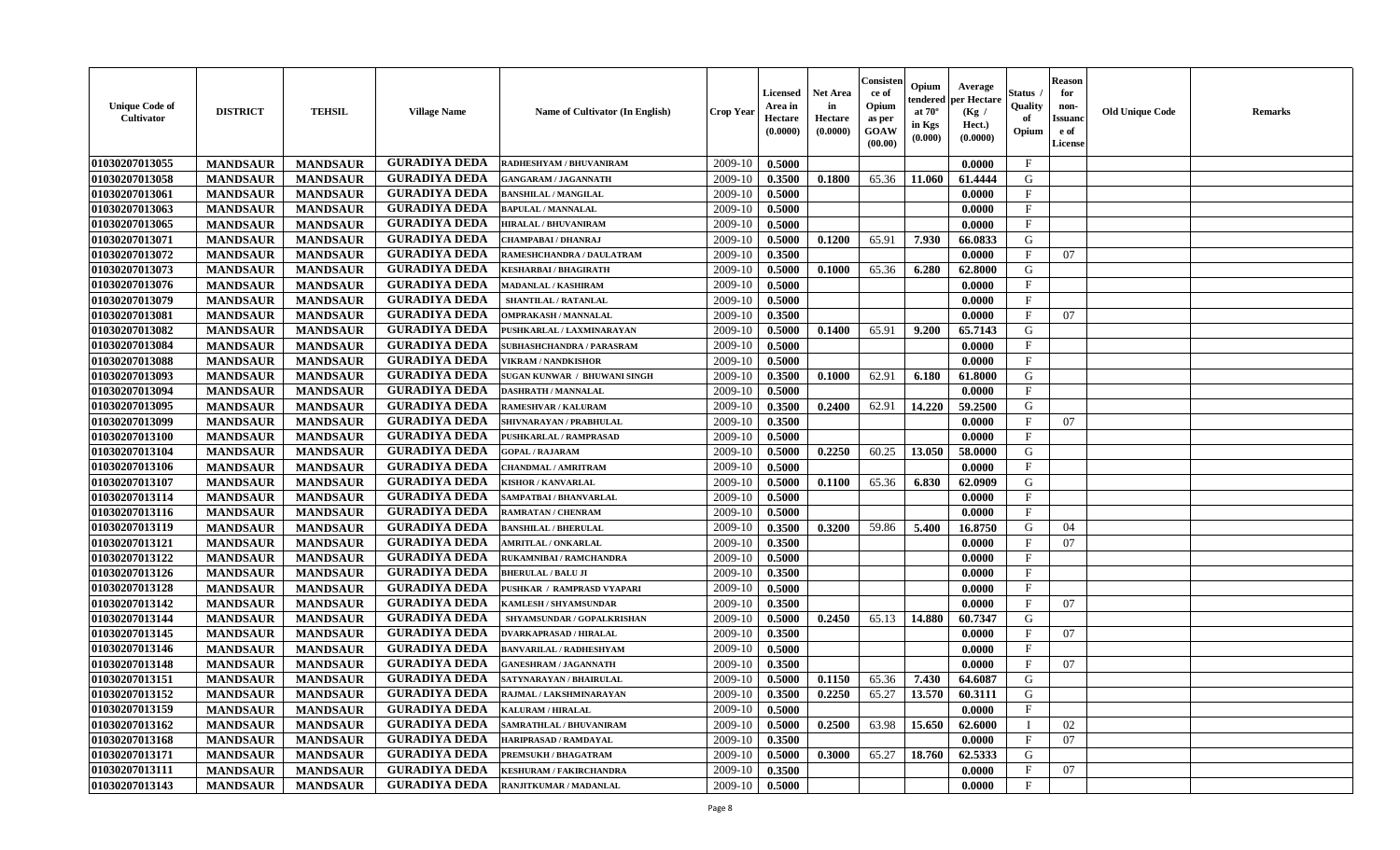| <b>Unique Code of</b><br>Cultivator | <b>DISTRICT</b> | <b>TEHSIL</b>   | <b>Village Name</b>  | <b>Name of Cultivator (In English)</b> | <b>Crop Year</b> | Licensed<br>Area in<br>Hectare<br>(0.0000) | <b>Net Area</b><br>in<br>Hectare<br>(0.0000) | Consister<br>ce of<br>Opium<br>as per<br><b>GOAW</b><br>(00.00) | Opium<br>tendered<br>at $70^{\circ}$<br>in Kgs<br>(0.000) | Average<br>per Hectare<br>(Kg /<br>Hect.)<br>(0.0000) | Status<br>Quality<br>of<br>Opium | <b>Reason</b><br>for<br>non-<br><b>Issuano</b><br>e of<br>License | <b>Old Unique Code</b> | <b>Remarks</b> |
|-------------------------------------|-----------------|-----------------|----------------------|----------------------------------------|------------------|--------------------------------------------|----------------------------------------------|-----------------------------------------------------------------|-----------------------------------------------------------|-------------------------------------------------------|----------------------------------|-------------------------------------------------------------------|------------------------|----------------|
| 01030207013055                      | <b>MANDSAUR</b> | <b>MANDSAUR</b> | <b>GURADIYA DEDA</b> | RADHESHYAM / BHUVANIRAM                | 2009-10          | 0.5000                                     |                                              |                                                                 |                                                           | 0.0000                                                | $\mathbf{F}$                     |                                                                   |                        |                |
| 01030207013058                      | <b>MANDSAUR</b> | <b>MANDSAUR</b> | <b>GURADIYA DEDA</b> | <b>GANGARAM / JAGANNATH</b>            | 2009-10          | 0.3500                                     | 0.1800                                       | 65.36                                                           | 11.060                                                    | 61.4444                                               | G                                |                                                                   |                        |                |
| 01030207013061                      | <b>MANDSAUR</b> | <b>MANDSAUR</b> | <b>GURADIYA DEDA</b> | <b>BANSHILAL / MANGILAL</b>            | 2009-10          | 0.5000                                     |                                              |                                                                 |                                                           | 0.0000                                                | $\mathbf{F}$                     |                                                                   |                        |                |
| 01030207013063                      | <b>MANDSAUR</b> | <b>MANDSAUR</b> | <b>GURADIYA DEDA</b> | <b>BAPULAL / MANNALAL</b>              | 2009-10          | 0.5000                                     |                                              |                                                                 |                                                           | 0.0000                                                | $\mathbf{F}$                     |                                                                   |                        |                |
| 01030207013065                      | <b>MANDSAUR</b> | <b>MANDSAUR</b> | <b>GURADIYA DEDA</b> | <b>HIRALAL / BHUVANIRAM</b>            | 2009-10          | 0.5000                                     |                                              |                                                                 |                                                           | 0.0000                                                | $\mathbf{F}$                     |                                                                   |                        |                |
| 01030207013071                      | <b>MANDSAUR</b> | <b>MANDSAUR</b> | <b>GURADIYA DEDA</b> | CHAMPABAI / DHANRAJ                    | 2009-10          | 0.5000                                     | 0.1200                                       | 65.91                                                           | 7.930                                                     | 66.0833                                               | G                                |                                                                   |                        |                |
| 01030207013072                      | <b>MANDSAUR</b> | <b>MANDSAUR</b> | <b>GURADIYA DEDA</b> | RAMESHCHANDRA / DAULATRAM              | 2009-10          | 0.3500                                     |                                              |                                                                 |                                                           | 0.0000                                                | $\mathbf{F}$                     | 07                                                                |                        |                |
| 01030207013073                      | <b>MANDSAUR</b> | <b>MANDSAUR</b> | <b>GURADIYA DEDA</b> | KESHARBAI / BHAGIRATH                  | 2009-10          | 0.5000                                     | 0.1000                                       | 65.36                                                           | 6.280                                                     | 62.8000                                               | G                                |                                                                   |                        |                |
| 01030207013076                      | <b>MANDSAUR</b> | <b>MANDSAUR</b> | <b>GURADIYA DEDA</b> | <b>MADANLAL / KASHIRAM</b>             | 2009-10          | 0.5000                                     |                                              |                                                                 |                                                           | 0.0000                                                | $_{\rm F}$                       |                                                                   |                        |                |
| 01030207013079                      | <b>MANDSAUR</b> | <b>MANDSAUR</b> | <b>GURADIYA DEDA</b> | SHANTILAL / RATANLAL                   | 2009-10          | 0.5000                                     |                                              |                                                                 |                                                           | 0.0000                                                | F                                |                                                                   |                        |                |
| 01030207013081                      | <b>MANDSAUR</b> | <b>MANDSAUR</b> | <b>GURADIYA DEDA</b> | <b>OMPRAKASH / MANNALAL</b>            | 2009-10          | 0.3500                                     |                                              |                                                                 |                                                           | 0.0000                                                | $\mathbf{F}$                     | 07                                                                |                        |                |
| 01030207013082                      | <b>MANDSAUR</b> | <b>MANDSAUR</b> | <b>GURADIYA DEDA</b> | PUSHKARLAL / LAXMINARAYAN              | 2009-10          | 0.5000                                     | 0.1400                                       | 65.91                                                           | 9.200                                                     | 65.7143                                               | G                                |                                                                   |                        |                |
| 01030207013084                      | <b>MANDSAUR</b> | <b>MANDSAUR</b> | <b>GURADIYA DEDA</b> | SUBHASHCHANDRA / PARASRAM              | 2009-10          | 0.5000                                     |                                              |                                                                 |                                                           | 0.0000                                                | $\mathbf{F}$                     |                                                                   |                        |                |
| 01030207013088                      | <b>MANDSAUR</b> | <b>MANDSAUR</b> | <b>GURADIYA DEDA</b> | <b>VIKRAM / NANDKISHOR</b>             | 2009-10          | 0.5000                                     |                                              |                                                                 |                                                           | 0.0000                                                | $\mathbf{F}$                     |                                                                   |                        |                |
| 01030207013093                      | <b>MANDSAUR</b> | <b>MANDSAUR</b> | <b>GURADIYA DEDA</b> | SUGAN KUNWAR / BHUWANI SINGH           | 2009-10          | 0.3500                                     | 0.1000                                       | 62.91                                                           | 6.180                                                     | 61.8000                                               | G                                |                                                                   |                        |                |
| 01030207013094                      | <b>MANDSAUR</b> | <b>MANDSAUR</b> | <b>GURADIYA DEDA</b> | <b>DASHRATH / MANNALAL</b>             | 2009-10          | 0.5000                                     |                                              |                                                                 |                                                           | 0.0000                                                | F                                |                                                                   |                        |                |
| 01030207013095                      | <b>MANDSAUR</b> | <b>MANDSAUR</b> | <b>GURADIYA DEDA</b> | <b>RAMESHVAR / KALURAM</b>             | 2009-10          | 0.3500                                     | 0.2400                                       | 62.91                                                           | 14.220                                                    | 59.2500                                               | G                                |                                                                   |                        |                |
| 01030207013099                      | <b>MANDSAUR</b> | <b>MANDSAUR</b> | <b>GURADIYA DEDA</b> | SHIVNARAYAN / PRABHULAL                | 2009-10          | 0.3500                                     |                                              |                                                                 |                                                           | 0.0000                                                | $\mathbf{F}$                     | 07                                                                |                        |                |
| 01030207013100                      | <b>MANDSAUR</b> | <b>MANDSAUR</b> | <b>GURADIYA DEDA</b> | PUSHKARLAL / RAMPRASAD                 | 2009-10          | 0.5000                                     |                                              |                                                                 |                                                           | 0.0000                                                | $\mathbf{F}$                     |                                                                   |                        |                |
| 01030207013104                      | <b>MANDSAUR</b> | <b>MANDSAUR</b> | <b>GURADIYA DEDA</b> | <b>GOPAL / RAJARAM</b>                 | 2009-10          | 0.5000                                     | 0.2250                                       | 60.25                                                           | 13.050                                                    | 58.0000                                               | G                                |                                                                   |                        |                |
| 01030207013106                      | <b>MANDSAUR</b> | <b>MANDSAUR</b> | <b>GURADIYA DEDA</b> | <b>CHANDMAL / AMRITRAM</b>             | 2009-10          | 0.5000                                     |                                              |                                                                 |                                                           | 0.0000                                                | F                                |                                                                   |                        |                |
| 01030207013107                      | <b>MANDSAUR</b> | <b>MANDSAUR</b> | <b>GURADIYA DEDA</b> | <b>KISHOR / KANVARLAL</b>              | 2009-10          | 0.5000                                     | 0.1100                                       | 65.36                                                           | 6.830                                                     | 62.0909                                               | G                                |                                                                   |                        |                |
| 01030207013114                      | <b>MANDSAUR</b> | <b>MANDSAUR</b> | <b>GURADIYA DEDA</b> | SAMPATBAI / BHANVARLAL                 | 2009-10          | 0.5000                                     |                                              |                                                                 |                                                           | 0.0000                                                | $\mathbf{F}$                     |                                                                   |                        |                |
| 01030207013116                      | <b>MANDSAUR</b> | <b>MANDSAUR</b> | <b>GURADIYA DEDA</b> | RAMRATAN / CHENRAM                     | 2009-10          | 0.5000                                     |                                              |                                                                 |                                                           | 0.0000                                                | $\mathbf{F}$                     |                                                                   |                        |                |
| 01030207013119                      | <b>MANDSAUR</b> | <b>MANDSAUR</b> | <b>GURADIYA DEDA</b> | <b>BANSHILAL / BHERULAL</b>            | 2009-10          | 0.3500                                     | 0.3200                                       | 59.86                                                           | 5.400                                                     | 16.8750                                               | G                                | 04                                                                |                        |                |
| 01030207013121                      | <b>MANDSAUR</b> | <b>MANDSAUR</b> | <b>GURADIYA DEDA</b> | <b>AMRITLAL / ONKARLAL</b>             | 2009-10          | 0.3500                                     |                                              |                                                                 |                                                           | 0.0000                                                | $\mathbf F$                      | 07                                                                |                        |                |
| 01030207013122                      | <b>MANDSAUR</b> | <b>MANDSAUR</b> | <b>GURADIYA DEDA</b> | RUKAMNIBAI / RAMCHANDRA                | 2009-10          | 0.5000                                     |                                              |                                                                 |                                                           | 0.0000                                                | F                                |                                                                   |                        |                |
| 01030207013126                      | <b>MANDSAUR</b> | <b>MANDSAUR</b> | <b>GURADIYA DEDA</b> | <b>BHERULAL / BALU JI</b>              | 2009-10          | 0.3500                                     |                                              |                                                                 |                                                           | 0.0000                                                | $\mathbf{F}$                     |                                                                   |                        |                |
| 01030207013128                      | <b>MANDSAUR</b> | <b>MANDSAUR</b> | <b>GURADIYA DEDA</b> | PUSHKAR / RAMPRASD VYAPARI             | 2009-10          | 0.5000                                     |                                              |                                                                 |                                                           | 0.0000                                                | $\mathbf{F}$                     |                                                                   |                        |                |
| 01030207013142                      | <b>MANDSAUR</b> | <b>MANDSAUR</b> | <b>GURADIYA DEDA</b> | KAMLESH / SHYAMSUNDAR                  | 2009-10          | 0.3500                                     |                                              |                                                                 |                                                           | 0.0000                                                | $\mathbf{F}$                     | 07                                                                |                        |                |
| 01030207013144                      | <b>MANDSAUR</b> | <b>MANDSAUR</b> | <b>GURADIYA DEDA</b> | SHYAMSUNDAR / GOPALKRISHAN             | 2009-10          | 0.5000                                     | 0.2450                                       | 65.13                                                           | 14.880                                                    | 60.7347                                               | G                                |                                                                   |                        |                |
| 01030207013145                      | <b>MANDSAUR</b> | <b>MANDSAUR</b> | <b>GURADIYA DEDA</b> | <b>DVARKAPRASAD / HIRALAL</b>          | 2009-10          | 0.3500                                     |                                              |                                                                 |                                                           | 0.0000                                                | $\mathbf F$                      | 07                                                                |                        |                |
| 01030207013146                      | <b>MANDSAUR</b> | <b>MANDSAUR</b> | <b>GURADIYA DEDA</b> | <b>BANVARILAL / RADHESHYAM</b>         | 2009-10          | 0.5000                                     |                                              |                                                                 |                                                           | 0.0000                                                | $\mathbf{F}$                     |                                                                   |                        |                |
| 01030207013148                      | <b>MANDSAUR</b> | <b>MANDSAUR</b> | <b>GURADIYA DEDA</b> | <b>GANESHRAM / JAGANNATH</b>           | 2009-10          | 0.3500                                     |                                              |                                                                 |                                                           | 0.0000                                                | $_{\rm F}$                       | 07                                                                |                        |                |
| 01030207013151                      | <b>MANDSAUR</b> | <b>MANDSAUR</b> | <b>GURADIYA DEDA</b> | SATYNARAYAN / BHAIRULAL                | 2009-10          | 0.5000                                     | 0.1150                                       | 65.36                                                           | 7.430                                                     | 64.6087                                               | G                                |                                                                   |                        |                |
| 01030207013152                      | <b>MANDSAUR</b> | <b>MANDSAUR</b> | GURADIYA DEDA        | RAJMAL / LAKSHMINARAYAN                | $2009-10$ 0.3500 |                                            | 0.2250                                       |                                                                 |                                                           | $65.27$   13.570   60.3111                            | G                                |                                                                   |                        |                |
| 01030207013159                      | <b>MANDSAUR</b> | <b>MANDSAUR</b> | <b>GURADIYA DEDA</b> | <b>KALURAM / HIRALAL</b>               | 2009-10          | 0.5000                                     |                                              |                                                                 |                                                           | 0.0000                                                | $_{\rm F}$                       |                                                                   |                        |                |
| 01030207013162                      | <b>MANDSAUR</b> | <b>MANDSAUR</b> | <b>GURADIYA DEDA</b> | <b>SAMRATHLAL / BHUVANIRAM</b>         | 2009-10          | 0.5000                                     | 0.2500                                       | 63.98                                                           | 15.650                                                    | 62.6000                                               |                                  | 02                                                                |                        |                |
| 01030207013168                      | <b>MANDSAUR</b> | <b>MANDSAUR</b> | <b>GURADIYA DEDA</b> | HARIPRASAD / RAMDAYAL                  | 2009-10          | 0.3500                                     |                                              |                                                                 |                                                           | 0.0000                                                | $\mathbf{F}$                     | 07                                                                |                        |                |
| 01030207013171                      | <b>MANDSAUR</b> | <b>MANDSAUR</b> | <b>GURADIYA DEDA</b> | PREMSUKH / BHAGATRAM                   | 2009-10          | 0.5000                                     | 0.3000                                       | 65.27                                                           | 18.760                                                    | 62.5333                                               | G                                |                                                                   |                        |                |
| 01030207013111                      | <b>MANDSAUR</b> | <b>MANDSAUR</b> | <b>GURADIYA DEDA</b> | <b>KESHURAM / FAKIRCHANDRA</b>         | 2009-10          | 0.3500                                     |                                              |                                                                 |                                                           | 0.0000                                                | $\mathbf{F}$                     | 07                                                                |                        |                |
| 01030207013143                      | <b>MANDSAUR</b> | <b>MANDSAUR</b> | <b>GURADIYA DEDA</b> | RANJITKUMAR / MADANLAL                 | 2009-10          | 0.5000                                     |                                              |                                                                 |                                                           | 0.0000                                                | $\mathbf{F}$                     |                                                                   |                        |                |
|                                     |                 |                 |                      |                                        |                  |                                            |                                              |                                                                 |                                                           |                                                       |                                  |                                                                   |                        |                |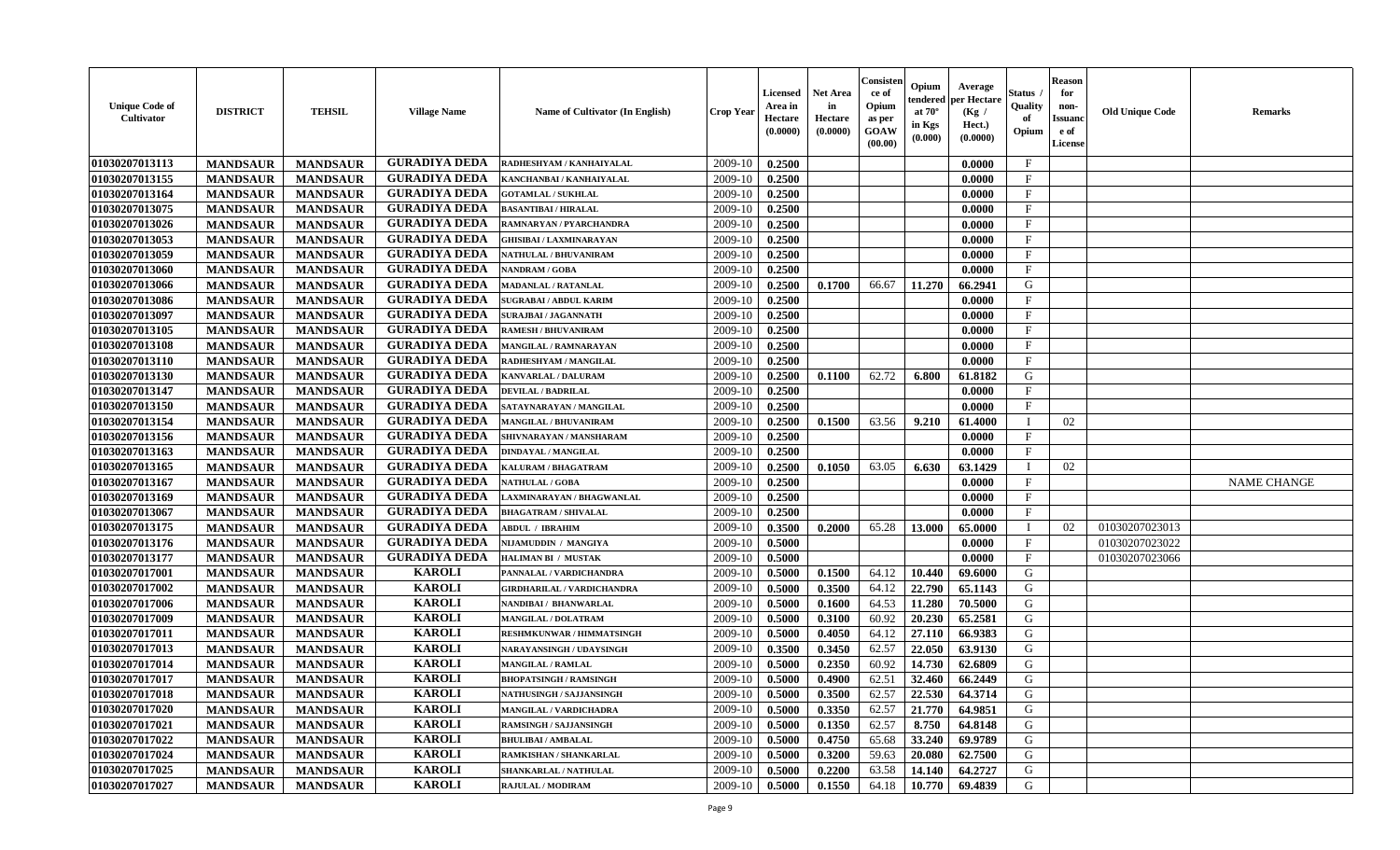| <b>Unique Code of</b><br><b>Cultivator</b> | <b>DISTRICT</b> | <b>TEHSIL</b>   | <b>Village Name</b>  | Name of Cultivator (In English)   | <b>Crop Year</b> | <b>Licensed</b><br>Area in<br>Hectare<br>(0.0000) | <b>Net Area</b><br>in<br>Hectare<br>(0.0000) | Consister<br>ce of<br>Opium<br>as per<br>GOAW<br>(00.00) | Opium<br>endered<br>at $70^\circ$<br>in Kgs<br>(0.000) | Average<br>oer Hectare<br>(Kg /<br>Hect.)<br>(0.0000) | Status<br>Quality<br>of<br>Opium | <b>Reason</b><br>for<br>non-<br><b>Issuand</b><br>e of<br>License | <b>Old Unique Code</b> | Remarks            |
|--------------------------------------------|-----------------|-----------------|----------------------|-----------------------------------|------------------|---------------------------------------------------|----------------------------------------------|----------------------------------------------------------|--------------------------------------------------------|-------------------------------------------------------|----------------------------------|-------------------------------------------------------------------|------------------------|--------------------|
| 01030207013113                             | <b>MANDSAUR</b> | <b>MANDSAUR</b> | <b>GURADIYA DEDA</b> | RADHESHYAM / KANHAIYALAL          | 2009-10          | 0.2500                                            |                                              |                                                          |                                                        | 0.0000                                                | $\mathbf{F}$                     |                                                                   |                        |                    |
| 01030207013155                             | <b>MANDSAUR</b> | <b>MANDSAUR</b> | <b>GURADIYA DEDA</b> | KANCHANBAI / KANHAIYALAL          | 2009-10          | 0.2500                                            |                                              |                                                          |                                                        | 0.0000                                                | $\mathbf{F}$                     |                                                                   |                        |                    |
| 01030207013164                             | <b>MANDSAUR</b> | <b>MANDSAUR</b> | <b>GURADIYA DEDA</b> | <b>GOTAMLAL / SUKHLAL</b>         | 2009-10          | 0.2500                                            |                                              |                                                          |                                                        | 0.0000                                                | $\mathbf{F}$                     |                                                                   |                        |                    |
| 01030207013075                             | <b>MANDSAUR</b> | <b>MANDSAUR</b> | <b>GURADIYA DEDA</b> | <b>BASANTIBAI / HIRALAL</b>       | 2009-10          | 0.2500                                            |                                              |                                                          |                                                        | 0.0000                                                | $\mathbf{F}$                     |                                                                   |                        |                    |
| 01030207013026                             | <b>MANDSAUR</b> | <b>MANDSAUR</b> | <b>GURADIYA DEDA</b> | RAMNARYAN / PYARCHANDRA           | 2009-10          | 0.2500                                            |                                              |                                                          |                                                        | 0.0000                                                | $_{\rm F}$                       |                                                                   |                        |                    |
| 01030207013053                             | <b>MANDSAUR</b> | <b>MANDSAUR</b> | <b>GURADIYA DEDA</b> | GHISIBAI / LAXMINARAYAN           | 2009-10          | 0.2500                                            |                                              |                                                          |                                                        | 0.0000                                                | F                                |                                                                   |                        |                    |
| 01030207013059                             | <b>MANDSAUR</b> | <b>MANDSAUR</b> | <b>GURADIYA DEDA</b> | <b>NATHULAL / BHUVANIRAM</b>      | 2009-10          | 0.2500                                            |                                              |                                                          |                                                        | 0.0000                                                | $\mathbf{F}$                     |                                                                   |                        |                    |
| 01030207013060                             | <b>MANDSAUR</b> | <b>MANDSAUR</b> | <b>GURADIYA DEDA</b> | <b>NANDRAM / GOBA</b>             | 2009-10          | 0.2500                                            |                                              |                                                          |                                                        | 0.0000                                                | $\mathbf{F}$                     |                                                                   |                        |                    |
| 01030207013066                             | <b>MANDSAUR</b> | <b>MANDSAUR</b> | <b>GURADIYA DEDA</b> | <b>MADANLAL / RATANLAL</b>        | 2009-10          | 0.2500                                            | 0.1700                                       | 66.67                                                    | 11.270                                                 | 66.2941                                               | G                                |                                                                   |                        |                    |
| 01030207013086                             | <b>MANDSAUR</b> | <b>MANDSAUR</b> | <b>GURADIYA DEDA</b> | <b>SUGRABAI/ ABDUL KARIM</b>      | 2009-10          | 0.2500                                            |                                              |                                                          |                                                        | 0.0000                                                | $_{\rm F}$                       |                                                                   |                        |                    |
| 01030207013097                             | <b>MANDSAUR</b> | <b>MANDSAUR</b> | <b>GURADIYA DEDA</b> | <b>SURAJBAI / JAGANNATH</b>       | 2009-10          | 0.2500                                            |                                              |                                                          |                                                        | 0.0000                                                | F                                |                                                                   |                        |                    |
| 01030207013105                             | <b>MANDSAUR</b> | <b>MANDSAUR</b> | <b>GURADIYA DEDA</b> | <b>RAMESH / BHUVANIRAM</b>        | 2009-10          | 0.2500                                            |                                              |                                                          |                                                        | 0.0000                                                | $_{\rm F}$                       |                                                                   |                        |                    |
| 01030207013108                             | <b>MANDSAUR</b> | <b>MANDSAUR</b> | <b>GURADIYA DEDA</b> | MANGILAL / RAMNARAYAN             | 2009-10          | 0.2500                                            |                                              |                                                          |                                                        | 0.0000                                                | $\mathbf{F}$                     |                                                                   |                        |                    |
| 01030207013110                             | <b>MANDSAUR</b> | <b>MANDSAUR</b> | <b>GURADIYA DEDA</b> | RADHESHYAM / MANGILAL             | 2009-10          | 0.2500                                            |                                              |                                                          |                                                        | 0.0000                                                | $\mathbf{F}$                     |                                                                   |                        |                    |
| 01030207013130                             | <b>MANDSAUR</b> | <b>MANDSAUR</b> | <b>GURADIYA DEDA</b> | KANVARLAL / DALURAM               | 2009-10          | 0.2500                                            | 0.1100                                       | 62.72                                                    | 6.800                                                  | 61.8182                                               | $\mathbf G$                      |                                                                   |                        |                    |
| 01030207013147                             | <b>MANDSAUR</b> | <b>MANDSAUR</b> | <b>GURADIYA DEDA</b> | <b>DEVILAL / BADRILAL</b>         | 2009-10          | 0.2500                                            |                                              |                                                          |                                                        | 0.0000                                                | $\mathbf{F}$                     |                                                                   |                        |                    |
| 01030207013150                             | <b>MANDSAUR</b> | <b>MANDSAUR</b> | <b>GURADIYA DEDA</b> | SATAYNARAYAN / MANGILAL           | 2009-10          | 0.2500                                            |                                              |                                                          |                                                        | 0.0000                                                | $\mathbf{F}$                     |                                                                   |                        |                    |
| 01030207013154                             | <b>MANDSAUR</b> | <b>MANDSAUR</b> | <b>GURADIYA DEDA</b> | <b>MANGILAL / BHUVANIRAM</b>      | 2009-10          | 0.2500                                            | 0.1500                                       | 63.56                                                    | 9.210                                                  | 61.4000                                               | $\mathbf{I}$                     | 02                                                                |                        |                    |
| 01030207013156                             | <b>MANDSAUR</b> | <b>MANDSAUR</b> | <b>GURADIYA DEDA</b> | SHIVNARAYAN / MANSHARAM           | 2009-10          | 0.2500                                            |                                              |                                                          |                                                        | 0.0000                                                | $\mathbf{F}$                     |                                                                   |                        |                    |
| 01030207013163                             | <b>MANDSAUR</b> | <b>MANDSAUR</b> | <b>GURADIYA DEDA</b> | <b>DINDAYAL / MANGILAL</b>        | 2009-10          | 0.2500                                            |                                              |                                                          |                                                        | 0.0000                                                | $\mathbf{F}$                     |                                                                   |                        |                    |
| 01030207013165                             | <b>MANDSAUR</b> | <b>MANDSAUR</b> | <b>GURADIYA DEDA</b> | KALURAM / BHAGATRAM               | 2009-10          | 0.2500                                            | 0.1050                                       | 63.05                                                    | 6.630                                                  | 63.1429                                               | $\mathbf{I}$                     | 02                                                                |                        |                    |
| 01030207013167                             | <b>MANDSAUR</b> | <b>MANDSAUR</b> | <b>GURADIYA DEDA</b> | <b>NATHULAL / GOBA</b>            | 2009-10          | 0.2500                                            |                                              |                                                          |                                                        | 0.0000                                                | $_{\rm F}$                       |                                                                   |                        | <b>NAME CHANGE</b> |
| 01030207013169                             | <b>MANDSAUR</b> | <b>MANDSAUR</b> | <b>GURADIYA DEDA</b> | AXMINARAYAN / BHAGWANLAL          | 2009-10          | 0.2500                                            |                                              |                                                          |                                                        | 0.0000                                                | F                                |                                                                   |                        |                    |
| 01030207013067                             | <b>MANDSAUR</b> | <b>MANDSAUR</b> | <b>GURADIYA DEDA</b> | <b>BHAGATRAM / SHIVALAL</b>       | 2009-10          | 0.2500                                            |                                              |                                                          |                                                        | 0.0000                                                | $\mathbf{F}$                     |                                                                   |                        |                    |
| 01030207013175                             | <b>MANDSAUR</b> | <b>MANDSAUR</b> | <b>GURADIYA DEDA</b> | <b>ABDUL / IBRAHIM</b>            | 2009-10          | 0.3500                                            | 0.2000                                       | 65.28                                                    | 13.000                                                 | 65.0000                                               | T                                | 02                                                                | 01030207023013         |                    |
| 01030207013176                             | <b>MANDSAUR</b> | <b>MANDSAUR</b> | <b>GURADIYA DEDA</b> | NIJAMUDDIN / MANGIYA              | 2009-10          | 0.5000                                            |                                              |                                                          |                                                        | 0.0000                                                | $\mathbf{F}$                     |                                                                   | 01030207023022         |                    |
| 01030207013177                             | <b>MANDSAUR</b> | <b>MANDSAUR</b> | <b>GURADIYA DEDA</b> | <b>HALIMAN BI / MUSTAK</b>        | 2009-10          | 0.5000                                            |                                              |                                                          |                                                        | 0.0000                                                | F                                |                                                                   | 01030207023066         |                    |
| 01030207017001                             | <b>MANDSAUR</b> | <b>MANDSAUR</b> | <b>KAROLI</b>        | PANNALAL / VARDICHANDRA           | 2009-10          | 0.5000                                            | 0.1500                                       | 64.12                                                    | 10.440                                                 | 69.6000                                               | G                                |                                                                   |                        |                    |
| 01030207017002                             | <b>MANDSAUR</b> | <b>MANDSAUR</b> | <b>KAROLI</b>        | <b>GIRDHARILAL / VARDICHANDRA</b> | 2009-10          | 0.5000                                            | 0.3500                                       | 64.12                                                    | 22.790                                                 | 65.1143                                               | G                                |                                                                   |                        |                    |
| 01030207017006                             | <b>MANDSAUR</b> | <b>MANDSAUR</b> | <b>KAROLI</b>        | NANDIBAI / BHANWARLAL             | 2009-10          | 0.5000                                            | 0.1600                                       | 64.53                                                    | 11.280                                                 | 70.5000                                               | G                                |                                                                   |                        |                    |
| 01030207017009                             | <b>MANDSAUR</b> | <b>MANDSAUR</b> | <b>KAROLI</b>        | <b>MANGILAL / DOLATRAM</b>        | 2009-10          | 0.5000                                            | 0.3100                                       | 60.92                                                    | 20.230                                                 | 65.2581                                               | G                                |                                                                   |                        |                    |
| 01030207017011                             | <b>MANDSAUR</b> | <b>MANDSAUR</b> | <b>KAROLI</b>        | RESHMKUNWAR / HIMMATSINGH         | 2009-10          | 0.5000                                            | 0.4050                                       | 64.12                                                    | 27.110                                                 | 66.9383                                               | G                                |                                                                   |                        |                    |
| 01030207017013                             | <b>MANDSAUR</b> | <b>MANDSAUR</b> | <b>KAROLI</b>        | NARAYANSINGH / UDAYSINGH          | 2009-10          | 0.3500                                            | 0.3450                                       | 62.57                                                    | 22.050                                                 | 63.9130                                               | G                                |                                                                   |                        |                    |
| 01030207017014                             | <b>MANDSAUR</b> | <b>MANDSAUR</b> | <b>KAROLI</b>        | <b>MANGILAL / RAMLAL</b>          | 2009-10          | 0.5000                                            | 0.2350                                       | 60.92                                                    | 14.730                                                 | 62.6809                                               | G                                |                                                                   |                        |                    |
| 01030207017017                             | <b>MANDSAUR</b> | <b>MANDSAUR</b> | <b>KAROLI</b>        | <b>BHOPATSINGH / RAMSINGH</b>     | 2009-10          | 0.5000                                            | 0.4900                                       | 62.51                                                    | 32.460                                                 | 66.2449                                               | G                                |                                                                   |                        |                    |
| 01030207017018                             | <b>MANDSAUR</b> | <b>MANDSAUR</b> | <b>KAROLI</b>        | <b>NATHUSINGH / SAJJANSINGH</b>   | 2009-10          | 0.5000                                            | 0.3500                                       | 62.57                                                    | 22.530                                                 | 64.3714                                               | G                                |                                                                   |                        |                    |
| 01030207017020                             | <b>MANDSAUR</b> | <b>MANDSAUR</b> | <b>KAROLI</b>        | MANGILAL / VARDICHADRA            | 2009-10          | 0.5000                                            | 0.3350                                       | 62.57                                                    | 21.770                                                 | 64.9851                                               | G                                |                                                                   |                        |                    |
| 01030207017021                             | <b>MANDSAUR</b> | <b>MANDSAUR</b> | <b>KAROLI</b>        | <b>RAMSINGH / SAJJANSINGH</b>     | 2009-10          | 0.5000                                            | 0.1350                                       | 62.57                                                    | 8.750                                                  | 64.8148                                               | G                                |                                                                   |                        |                    |
| 01030207017022                             | <b>MANDSAUR</b> | <b>MANDSAUR</b> | <b>KAROLI</b>        | <b>BHULIBAI / AMBALAL</b>         | 2009-10          | 0.5000                                            | 0.4750                                       | 65.68                                                    | 33.240                                                 | 69.9789                                               | G                                |                                                                   |                        |                    |
| 01030207017024                             | <b>MANDSAUR</b> | <b>MANDSAUR</b> | <b>KAROLI</b>        | RAMKISHAN / SHANKARLAL            | 2009-10          | 0.5000                                            | 0.3200                                       | 59.63                                                    | 20.080                                                 | 62.7500                                               | ${\bf G}$                        |                                                                   |                        |                    |
| 01030207017025                             | <b>MANDSAUR</b> | <b>MANDSAUR</b> | <b>KAROLI</b>        | SHANKARLAL / NATHULAL             | 2009-10          | 0.5000                                            | 0.2200                                       | 63.58                                                    | 14.140                                                 | 64.2727                                               | G                                |                                                                   |                        |                    |
| 01030207017027                             | <b>MANDSAUR</b> | <b>MANDSAUR</b> | <b>KAROLI</b>        | <b>RAJULAL / MODIRAM</b>          | 2009-10          | 0.5000                                            | 0.1550                                       | 64.18                                                    | 10.770                                                 | 69.4839                                               | G                                |                                                                   |                        |                    |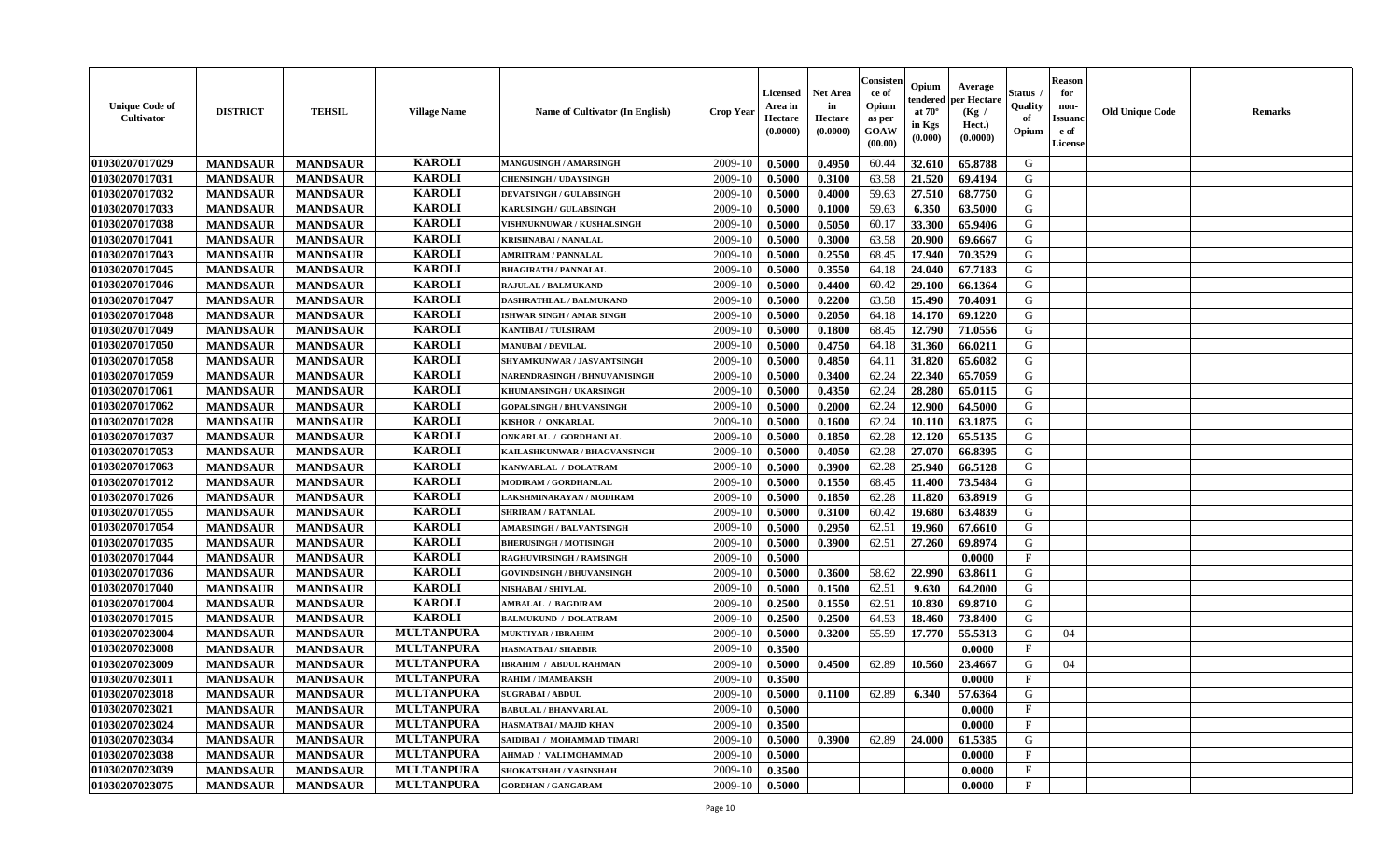| <b>Unique Code of</b><br><b>Cultivator</b> | <b>DISTRICT</b> | <b>TEHSIL</b>   | <b>Village Name</b> | <b>Name of Cultivator (In English)</b> | <b>Crop Year</b> | <b>Licensed</b><br>Area in<br>Hectare<br>(0.0000) | <b>Net Area</b><br>in<br>Hectare<br>(0.0000) | Consister<br>ce of<br>Opium<br>as per<br>GOAW<br>(00.00) | Opium<br>endered<br>at $70^\circ$<br>in Kgs<br>$(\mathbf{0.000})$ | Average<br>per Hectare<br>(Kg)<br>Hect.)<br>(0.0000) | Status<br>Quality<br>of<br>Opium | <b>Reason</b><br>for<br>non-<br><b>Issuano</b><br>e of<br>License | <b>Old Unique Code</b> | <b>Remarks</b> |
|--------------------------------------------|-----------------|-----------------|---------------------|----------------------------------------|------------------|---------------------------------------------------|----------------------------------------------|----------------------------------------------------------|-------------------------------------------------------------------|------------------------------------------------------|----------------------------------|-------------------------------------------------------------------|------------------------|----------------|
| 01030207017029                             | <b>MANDSAUR</b> | <b>MANDSAUR</b> | <b>KAROLI</b>       | MANGUSINGH / AMARSINGH                 | 2009-10          | 0.5000                                            | 0.4950                                       | 60.44                                                    | 32.610                                                            | 65.8788                                              | G                                |                                                                   |                        |                |
| 01030207017031                             | <b>MANDSAUR</b> | <b>MANDSAUR</b> | <b>KAROLI</b>       | <b>CHENSINGH / UDAYSINGH</b>           | 2009-10          | 0.5000                                            | 0.3100                                       | 63.58                                                    | 21.520                                                            | 69.4194                                              | G                                |                                                                   |                        |                |
| 01030207017032                             | <b>MANDSAUR</b> | <b>MANDSAUR</b> | <b>KAROLI</b>       | <b>DEVATSINGH / GULABSINGH</b>         | 2009-10          | 0.5000                                            | 0.4000                                       | 59.63                                                    | 27.510                                                            | 68.7750                                              | G                                |                                                                   |                        |                |
| 01030207017033                             | <b>MANDSAUR</b> | <b>MANDSAUR</b> | <b>KAROLI</b>       | KARUSINGH / GULABSINGH                 | 2009-10          | 0.5000                                            | 0.1000                                       | 59.63                                                    | 6.350                                                             | 63.5000                                              | G                                |                                                                   |                        |                |
| 01030207017038                             | <b>MANDSAUR</b> | <b>MANDSAUR</b> | <b>KAROLI</b>       | VISHNUKNUWAR / KUSHALSINGH             | 2009-10          | 0.5000                                            | 0.5050                                       | 60.17                                                    | 33.300                                                            | 65.9406                                              | G                                |                                                                   |                        |                |
| 01030207017041                             | <b>MANDSAUR</b> | <b>MANDSAUR</b> | <b>KAROLI</b>       | <b>KRISHNABAI / NANALAL</b>            | 2009-10          | 0.5000                                            | 0.3000                                       | 63.58                                                    | 20.900                                                            | 69.6667                                              | G                                |                                                                   |                        |                |
| 01030207017043                             | <b>MANDSAUR</b> | <b>MANDSAUR</b> | <b>KAROLI</b>       | <b>AMRITRAM / PANNALAL</b>             | 2009-10          | 0.5000                                            | 0.2550                                       | 68.45                                                    | 17.940                                                            | 70.3529                                              | G                                |                                                                   |                        |                |
| 01030207017045                             | <b>MANDSAUR</b> | <b>MANDSAUR</b> | <b>KAROLI</b>       | <b>BHAGIRATH / PANNALAL</b>            | 2009-10          | 0.5000                                            | 0.3550                                       | 64.18                                                    | 24.040                                                            | 67.7183                                              | G                                |                                                                   |                        |                |
| 01030207017046                             | <b>MANDSAUR</b> | <b>MANDSAUR</b> | <b>KAROLI</b>       | RAJULAL / BALMUKAND                    | 2009-10          | 0.5000                                            | 0.4400                                       | 60.42                                                    | 29.100                                                            | 66.1364                                              | G                                |                                                                   |                        |                |
| 01030207017047                             | <b>MANDSAUR</b> | <b>MANDSAUR</b> | <b>KAROLI</b>       | DASHRATHLAL / BALMUKAND                | 2009-10          | 0.5000                                            | 0.2200                                       | 63.58                                                    | 15.490                                                            | 70.4091                                              | G                                |                                                                   |                        |                |
| 01030207017048                             | <b>MANDSAUR</b> | <b>MANDSAUR</b> | <b>KAROLI</b>       | ISHWAR SINGH / AMAR SINGH              | 2009-10          | 0.5000                                            | 0.2050                                       | 64.18                                                    | 14.170                                                            | 69.1220                                              | G                                |                                                                   |                        |                |
| 01030207017049                             | <b>MANDSAUR</b> | <b>MANDSAUR</b> | <b>KAROLI</b>       | <b>KANTIBAI / TULSIRAM</b>             | 2009-10          | 0.5000                                            | 0.1800                                       | 68.45                                                    | 12.790                                                            | 71.0556                                              | G                                |                                                                   |                        |                |
| 01030207017050                             | <b>MANDSAUR</b> | <b>MANDSAUR</b> | <b>KAROLI</b>       | <b>MANUBAI/DEVILAL</b>                 | 2009-10          | 0.5000                                            | 0.4750                                       | 64.18                                                    | 31.360                                                            | 66.0211                                              | G                                |                                                                   |                        |                |
| 01030207017058                             | <b>MANDSAUR</b> | <b>MANDSAUR</b> | <b>KAROLI</b>       | SHYAMKUNWAR / JASVANTSINGH             | 2009-10          | 0.5000                                            | 0.4850                                       | 64.11                                                    | 31.820                                                            | 65.6082                                              | G                                |                                                                   |                        |                |
| 01030207017059                             | <b>MANDSAUR</b> | <b>MANDSAUR</b> | <b>KAROLI</b>       | NARENDRASINGH / BHNUVANISINGH          | 2009-10          | 0.5000                                            | 0.3400                                       | 62.24                                                    | 22.340                                                            | 65.7059                                              | G                                |                                                                   |                        |                |
| 01030207017061                             | <b>MANDSAUR</b> | <b>MANDSAUR</b> | <b>KAROLI</b>       | KHUMANSINGH / UKARSINGH                | 2009-10          | 0.5000                                            | 0.4350                                       | 62.24                                                    | 28.280                                                            | 65.0115                                              | G                                |                                                                   |                        |                |
| 01030207017062                             | <b>MANDSAUR</b> | <b>MANDSAUR</b> | <b>KAROLI</b>       | <b>GOPALSINGH / BHUVANSINGH</b>        | 2009-10          | 0.5000                                            | 0.2000                                       | 62.24                                                    | 12.900                                                            | 64.5000                                              | G                                |                                                                   |                        |                |
| 01030207017028                             | <b>MANDSAUR</b> | <b>MANDSAUR</b> | <b>KAROLI</b>       | <b>KISHOR / ONKARLAL</b>               | 2009-10          | 0.5000                                            | 0.1600                                       | 62.24                                                    | 10.110                                                            | 63.1875                                              | G                                |                                                                   |                        |                |
| 01030207017037                             | <b>MANDSAUR</b> | <b>MANDSAUR</b> | <b>KAROLI</b>       | ONKARLAL / GORDHANLAL                  | 2009-10          | 0.5000                                            | 0.1850                                       | 62.28                                                    | 12.120                                                            | 65.5135                                              | G                                |                                                                   |                        |                |
| 01030207017053                             | <b>MANDSAUR</b> | <b>MANDSAUR</b> | <b>KAROLI</b>       | KAILASHKUNWAR / BHAGVANSINGH           | 2009-10          | 0.5000                                            | 0.4050                                       | 62.28                                                    | 27.070                                                            | 66.8395                                              | G                                |                                                                   |                        |                |
| 01030207017063                             | <b>MANDSAUR</b> | <b>MANDSAUR</b> | <b>KAROLI</b>       | KANWARLAL / DOLATRAM                   | 2009-10          | 0.5000                                            | 0.3900                                       | 62.28                                                    | 25.940                                                            | 66.5128                                              | G                                |                                                                   |                        |                |
| 01030207017012                             | <b>MANDSAUR</b> | <b>MANDSAUR</b> | <b>KAROLI</b>       | MODIRAM / GORDHANLAL                   | 2009-10          | 0.5000                                            | 0.1550                                       | 68.45                                                    | 11.400                                                            | 73.5484                                              | G                                |                                                                   |                        |                |
| 01030207017026                             | <b>MANDSAUR</b> | <b>MANDSAUR</b> | <b>KAROLI</b>       | LAKSHMINARAYAN / MODIRAM               | 2009-10          | 0.5000                                            | 0.1850                                       | 62.28                                                    | 11.820                                                            | 63.8919                                              | G                                |                                                                   |                        |                |
| 01030207017055                             | <b>MANDSAUR</b> | <b>MANDSAUR</b> | <b>KAROLI</b>       | <b>SHRIRAM / RATANLAL</b>              | 2009-10          | 0.5000                                            | 0.3100                                       | 60.42                                                    | 19.680                                                            | 63.4839                                              | G                                |                                                                   |                        |                |
| 01030207017054                             | <b>MANDSAUR</b> | <b>MANDSAUR</b> | <b>KAROLI</b>       | <b>AMARSINGH / BALVANTSINGH</b>        | 2009-10          | 0.5000                                            | 0.2950                                       | 62.51                                                    | 19.960                                                            | 67.6610                                              | G                                |                                                                   |                        |                |
| 01030207017035                             | <b>MANDSAUR</b> | <b>MANDSAUR</b> | <b>KAROLI</b>       | <b>BHERUSINGH / MOTISINGH</b>          | 2009-10          | 0.5000                                            | 0.3900                                       | 62.51                                                    | 27.260                                                            | 69.8974                                              | G                                |                                                                   |                        |                |
| 01030207017044                             | <b>MANDSAUR</b> | <b>MANDSAUR</b> | <b>KAROLI</b>       | <b>RAGHUVIRSINGH / RAMSINGH</b>        | 2009-10          | 0.5000                                            |                                              |                                                          |                                                                   | 0.0000                                               | $\mathbf{F}$                     |                                                                   |                        |                |
| 01030207017036                             | <b>MANDSAUR</b> | <b>MANDSAUR</b> | <b>KAROLI</b>       | <b>GOVINDSINGH / BHUVANSINGH</b>       | 2009-10          | 0.5000                                            | 0.3600                                       | 58.62                                                    | 22.990                                                            | 63.8611                                              | G                                |                                                                   |                        |                |
| 01030207017040                             | <b>MANDSAUR</b> | <b>MANDSAUR</b> | <b>KAROLI</b>       | NISHABAI / SHIVLAL                     | 2009-10          | 0.5000                                            | 0.1500                                       | 62.51                                                    | 9.630                                                             | 64.2000                                              | G                                |                                                                   |                        |                |
| 01030207017004                             | <b>MANDSAUR</b> | <b>MANDSAUR</b> | <b>KAROLI</b>       | <b>AMBALAL / BAGDIRAM</b>              | 2009-10          | 0.2500                                            | 0.1550                                       | 62.51                                                    | 10.830                                                            | 69.8710                                              | G                                |                                                                   |                        |                |
| 01030207017015                             | <b>MANDSAUR</b> | <b>MANDSAUR</b> | <b>KAROLI</b>       | <b>BALMUKUND / DOLATRAM</b>            | 2009-10          | 0.2500                                            | 0.2500                                       | 64.53                                                    | 18.460                                                            | 73.8400                                              | G                                |                                                                   |                        |                |
| 01030207023004                             | <b>MANDSAUR</b> | <b>MANDSAUR</b> | <b>MULTANPURA</b>   | <b>MUKTIYAR / IBRAHIM</b>              | 2009-10          | 0.5000                                            | 0.3200                                       | 55.59                                                    | 17.770                                                            | 55.5313                                              | G                                | 04                                                                |                        |                |
| 01030207023008                             | <b>MANDSAUR</b> | <b>MANDSAUR</b> | <b>MULTANPURA</b>   | <b>HASMATBAI/SHABBIR</b>               | 2009-10          | 0.3500                                            |                                              |                                                          |                                                                   | 0.0000                                               | $_{\rm F}$                       |                                                                   |                        |                |
| 01030207023009                             | <b>MANDSAUR</b> | <b>MANDSAUR</b> | <b>MULTANPURA</b>   | <b>IBRAHIM / ABDUL RAHMAN</b>          | 2009-10          | 0.5000                                            | 0.4500                                       | 62.89                                                    | 10.560                                                            | 23.4667                                              | G                                | 04                                                                |                        |                |
| 01030207023011                             | <b>MANDSAUR</b> | <b>MANDSAUR</b> | <b>MULTANPURA</b>   | <b>RAHIM / IMAMBAKSH</b>               | 2009-10          | 0.3500                                            |                                              |                                                          |                                                                   | 0.0000                                               | $\mathbf{F}$                     |                                                                   |                        |                |
| 01030207023018                             | <b>MANDSAUR</b> | <b>MANDSAUR</b> | <b>MULTANPURA</b>   | <b>SUGRABAI/ABDUL</b>                  | $2009-10$ 0.5000 |                                                   | 0.1100                                       | 62.89                                                    |                                                                   | $6.340$   57.6364                                    | G                                |                                                                   |                        |                |
| 01030207023021                             | <b>MANDSAUR</b> | <b>MANDSAUR</b> | <b>MULTANPURA</b>   | <b>BABULAL / BHANVARLAL</b>            | 2009-10          | 0.5000                                            |                                              |                                                          |                                                                   | 0.0000                                               | $\mathbf{F}$                     |                                                                   |                        |                |
| 01030207023024                             | <b>MANDSAUR</b> | <b>MANDSAUR</b> | <b>MULTANPURA</b>   | <b>HASMATBAI/MAJID KHAN</b>            | 2009-10          | 0.3500                                            |                                              |                                                          |                                                                   | 0.0000                                               | $\mathbf{F}$                     |                                                                   |                        |                |
| 01030207023034                             | <b>MANDSAUR</b> | <b>MANDSAUR</b> | <b>MULTANPURA</b>   | SAIDIBAI / MOHAMMAD TIMARI             | 2009-10          | 0.5000                                            | 0.3900                                       | 62.89                                                    | 24.000                                                            | 61.5385                                              | G                                |                                                                   |                        |                |
| 01030207023038                             | <b>MANDSAUR</b> | <b>MANDSAUR</b> | <b>MULTANPURA</b>   | <b>AHMAD / VALI MOHAMMAD</b>           | 2009-10          | 0.5000                                            |                                              |                                                          |                                                                   | 0.0000                                               | $\mathbf{F}$                     |                                                                   |                        |                |
| 01030207023039                             | <b>MANDSAUR</b> | <b>MANDSAUR</b> | <b>MULTANPURA</b>   | SHOKATSHAH / YASINSHAH                 | 2009-10          | 0.3500                                            |                                              |                                                          |                                                                   | 0.0000                                               | $\mathbf F$                      |                                                                   |                        |                |
| 01030207023075                             | <b>MANDSAUR</b> | <b>MANDSAUR</b> | <b>MULTANPURA</b>   | <b>GORDHAN / GANGARAM</b>              | 2009-10          | 0.5000                                            |                                              |                                                          |                                                                   | 0.0000                                               | $\mathbf{F}$                     |                                                                   |                        |                |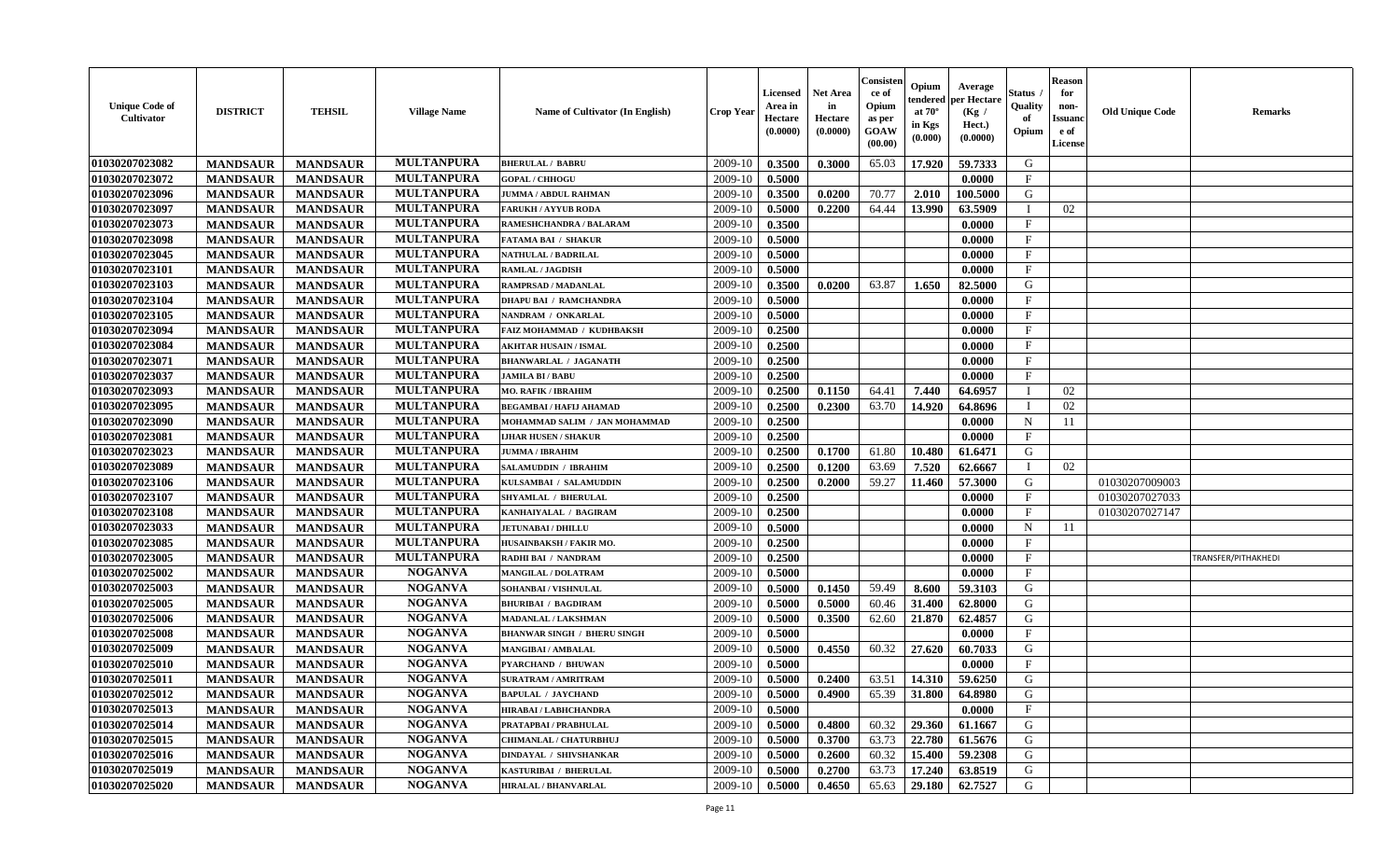| <b>Unique Code of</b><br><b>Cultivator</b> | <b>DISTRICT</b> | <b>TEHSIL</b>   | <b>Village Name</b> | Name of Cultivator (In English)    | <b>Crop Year</b> | Licensed<br>Area in<br>Hectare<br>(0.0000) | <b>Net Area</b><br>in<br>Hectare<br>(0.0000) | Consisteı<br>ce of<br>Opium<br>as per<br>GOAW<br>(00.00) | Opium<br>endered<br>at $70^\circ$<br>in Kgs<br>(0.000) | Average<br>per Hectare<br>(Kg /<br>Hect.)<br>(0.0000) | Status<br>Quality<br>of<br>Opium | <b>Reason</b><br>for<br>non-<br><b>Issuand</b><br>e of<br>License | <b>Old Unique Code</b> | Remarks             |
|--------------------------------------------|-----------------|-----------------|---------------------|------------------------------------|------------------|--------------------------------------------|----------------------------------------------|----------------------------------------------------------|--------------------------------------------------------|-------------------------------------------------------|----------------------------------|-------------------------------------------------------------------|------------------------|---------------------|
| 01030207023082                             | <b>MANDSAUR</b> | <b>MANDSAUR</b> | <b>MULTANPURA</b>   | <b>BHERULAL / BABRU</b>            | 2009-10          | 0.3500                                     | 0.3000                                       | 65.03                                                    | 17.920                                                 | 59.7333                                               | G                                |                                                                   |                        |                     |
| 01030207023072                             | <b>MANDSAUR</b> | <b>MANDSAUR</b> | <b>MULTANPURA</b>   | <b>GOPAL / CHHOGU</b>              | 2009-10          | 0.5000                                     |                                              |                                                          |                                                        | 0.0000                                                | $\mathbf{F}$                     |                                                                   |                        |                     |
| 01030207023096                             | <b>MANDSAUR</b> | <b>MANDSAUR</b> | <b>MULTANPURA</b>   | <b>JUMMA / ABDUL RAHMAN</b>        | 2009-10          | 0.3500                                     | 0.0200                                       | 70.77                                                    | 2.010                                                  | 100.5000                                              | G                                |                                                                   |                        |                     |
| 01030207023097                             | <b>MANDSAUR</b> | <b>MANDSAUR</b> | <b>MULTANPURA</b>   | <b>FARUKH/AYYUB RODA</b>           | 2009-10          | 0.5000                                     | 0.2200                                       | 64.44                                                    | 13.990                                                 | 63.5909                                               | $\mathbf{I}$                     | 02                                                                |                        |                     |
| 01030207023073                             | <b>MANDSAUR</b> | <b>MANDSAUR</b> | <b>MULTANPURA</b>   | RAMESHCHANDRA / BALARAM            | 2009-10          | 0.3500                                     |                                              |                                                          |                                                        | 0.0000                                                | $\mathbf{F}$                     |                                                                   |                        |                     |
| 01030207023098                             | <b>MANDSAUR</b> | <b>MANDSAUR</b> | <b>MULTANPURA</b>   | <b>FATAMA BAI / SHAKUR</b>         | 2009-10          | 0.5000                                     |                                              |                                                          |                                                        | 0.0000                                                | F                                |                                                                   |                        |                     |
| 01030207023045                             | <b>MANDSAUR</b> | <b>MANDSAUR</b> | <b>MULTANPURA</b>   | <b>NATHULAL / BADRILAL</b>         | 2009-10          | 0.5000                                     |                                              |                                                          |                                                        | 0.0000                                                | $\mathbf{F}$                     |                                                                   |                        |                     |
| 01030207023101                             | <b>MANDSAUR</b> | <b>MANDSAUR</b> | <b>MULTANPURA</b>   | <b>RAMLAL / JAGDISH</b>            | 2009-10          | 0.5000                                     |                                              |                                                          |                                                        | 0.0000                                                | $\mathbf{F}$                     |                                                                   |                        |                     |
| 01030207023103                             | <b>MANDSAUR</b> | <b>MANDSAUR</b> | <b>MULTANPURA</b>   | RAMPRSAD / MADANLAL                | 2009-10          | 0.3500                                     | 0.0200                                       | 63.87                                                    | 1.650                                                  | 82.5000                                               | G                                |                                                                   |                        |                     |
| 01030207023104                             | <b>MANDSAUR</b> | <b>MANDSAUR</b> | <b>MULTANPURA</b>   | <b>DHAPU BAI / RAMCHANDRA</b>      | 2009-10          | 0.5000                                     |                                              |                                                          |                                                        | 0.0000                                                | $_{\rm F}$                       |                                                                   |                        |                     |
| 01030207023105                             | <b>MANDSAUR</b> | <b>MANDSAUR</b> | <b>MULTANPURA</b>   | NANDRAM / ONKARLAL                 | 2009-10          | 0.5000                                     |                                              |                                                          |                                                        | 0.0000                                                | F                                |                                                                   |                        |                     |
| 01030207023094                             | <b>MANDSAUR</b> | <b>MANDSAUR</b> | <b>MULTANPURA</b>   | FAIZ MOHAMMAD / KUDHBAKSH          | 2009-10          | 0.2500                                     |                                              |                                                          |                                                        | 0.0000                                                | $_{\rm F}$                       |                                                                   |                        |                     |
| 01030207023084                             | <b>MANDSAUR</b> | <b>MANDSAUR</b> | <b>MULTANPURA</b>   | <b>AKHTAR HUSAIN / ISMAL</b>       | 2009-10          | 0.2500                                     |                                              |                                                          |                                                        | 0.0000                                                | $\mathbf{F}$                     |                                                                   |                        |                     |
| 01030207023071                             | <b>MANDSAUR</b> | <b>MANDSAUR</b> | <b>MULTANPURA</b>   | <b>BHANWARLAL / JAGANATH</b>       | 2009-10          | 0.2500                                     |                                              |                                                          |                                                        | 0.0000                                                | $\mathbf{F}$                     |                                                                   |                        |                     |
| 01030207023037                             | <b>MANDSAUR</b> | <b>MANDSAUR</b> | <b>MULTANPURA</b>   | <b>JAMILA BI/BABU</b>              | 2009-10          | 0.2500                                     |                                              |                                                          |                                                        | 0.0000                                                | F                                |                                                                   |                        |                     |
| 01030207023093                             | <b>MANDSAUR</b> | <b>MANDSAUR</b> | <b>MULTANPURA</b>   | <b>MO. RAFIK / IBRAHIM</b>         | 2009-10          | 0.2500                                     | 0.1150                                       | 64.41                                                    | 7.440                                                  | 64.6957                                               |                                  | 02                                                                |                        |                     |
| 01030207023095                             | <b>MANDSAUR</b> | <b>MANDSAUR</b> | <b>MULTANPURA</b>   | <b>BEGAMBAI / HAFIJ AHAMAD</b>     | 2009-10          | 0.2500                                     | 0.2300                                       | 63.70                                                    | 14.920                                                 | 64.8696                                               | T                                | 02                                                                |                        |                     |
| 01030207023090                             | <b>MANDSAUR</b> | <b>MANDSAUR</b> | <b>MULTANPURA</b>   | MOHAMMAD SALIM / JAN MOHAMMAD      | 2009-10          | 0.2500                                     |                                              |                                                          |                                                        | 0.0000                                                | $\mathbf N$                      | 11                                                                |                        |                     |
| 01030207023081                             | <b>MANDSAUR</b> | <b>MANDSAUR</b> | <b>MULTANPURA</b>   | <b>LJHAR HUSEN / SHAKUR</b>        | 2009-10          | 0.2500                                     |                                              |                                                          |                                                        | 0.0000                                                | $\mathbf{F}$                     |                                                                   |                        |                     |
| 01030207023023                             | <b>MANDSAUR</b> | <b>MANDSAUR</b> | <b>MULTANPURA</b>   | <b>JUMMA / IBRAHIM</b>             | 2009-10          | 0.2500                                     | 0.1700                                       | 61.80                                                    | 10.480                                                 | 61.6471                                               | G                                |                                                                   |                        |                     |
| 01030207023089                             | <b>MANDSAUR</b> | <b>MANDSAUR</b> | <b>MULTANPURA</b>   | <b>SALAMUDDIN / IBRAHIM</b>        | 2009-10          | 0.2500                                     | 0.1200                                       | 63.69                                                    | 7.520                                                  | 62.6667                                               | $\mathbf I$                      | 02                                                                |                        |                     |
| 01030207023106                             | <b>MANDSAUR</b> | <b>MANDSAUR</b> | <b>MULTANPURA</b>   | KULSAMBAI / SALAMUDDIN             | 2009-10          | 0.2500                                     | 0.2000                                       | 59.27                                                    | 11.460                                                 | 57.3000                                               | G                                |                                                                   | 01030207009003         |                     |
| 01030207023107                             | <b>MANDSAUR</b> | <b>MANDSAUR</b> | <b>MULTANPURA</b>   | <b>SHYAMLAL / BHERULAL</b>         | 2009-10          | 0.2500                                     |                                              |                                                          |                                                        | 0.0000                                                | F                                |                                                                   | 01030207027033         |                     |
| 01030207023108                             | <b>MANDSAUR</b> | <b>MANDSAUR</b> | <b>MULTANPURA</b>   | KANHAIYALAL / BAGIRAM              | 2009-10          | 0.2500                                     |                                              |                                                          |                                                        | 0.0000                                                | $\rm F$                          |                                                                   | 01030207027147         |                     |
| 01030207023033                             | <b>MANDSAUR</b> | <b>MANDSAUR</b> | <b>MULTANPURA</b>   | <b>JETUNABAI / DHILLU</b>          | 2009-10          | 0.5000                                     |                                              |                                                          |                                                        | 0.0000                                                | $\mathbf N$                      | 11                                                                |                        |                     |
| 01030207023085                             | <b>MANDSAUR</b> | <b>MANDSAUR</b> | <b>MULTANPURA</b>   | HUSAINBAKSH / FAKIR MO.            | 2009-10          | 0.2500                                     |                                              |                                                          |                                                        | 0.0000                                                | $\mathbf{F}$                     |                                                                   |                        |                     |
| 01030207023005                             | <b>MANDSAUR</b> | <b>MANDSAUR</b> | <b>MULTANPURA</b>   | RADHI BAI / NANDRAM                | 2009-10          | 0.2500                                     |                                              |                                                          |                                                        | 0.0000                                                | F                                |                                                                   |                        | TRANSFER/PITHAKHEDI |
| 01030207025002                             | <b>MANDSAUR</b> | <b>MANDSAUR</b> | <b>NOGANVA</b>      | <b>MANGILAL / DOLATRAM</b>         | 2009-10          | 0.5000                                     |                                              |                                                          |                                                        | 0.0000                                                | $\mathbf{F}$                     |                                                                   |                        |                     |
| 01030207025003                             | <b>MANDSAUR</b> | <b>MANDSAUR</b> | <b>NOGANVA</b>      | SOHANBAI / VISHNULAL               | 2009-10          | 0.5000                                     | 0.1450                                       | 59.49                                                    | 8.600                                                  | 59.3103                                               | G                                |                                                                   |                        |                     |
| 01030207025005                             | <b>MANDSAUR</b> | <b>MANDSAUR</b> | <b>NOGANVA</b>      | <b>BHURIBAI / BAGDIRAM</b>         | 2009-10          | 0.5000                                     | 0.5000                                       | 60.46                                                    | 31.400                                                 | 62.8000                                               | G                                |                                                                   |                        |                     |
| 01030207025006                             | <b>MANDSAUR</b> | <b>MANDSAUR</b> | <b>NOGANVA</b>      | <b>MADANLAL / LAKSHMAN</b>         | 2009-10          | 0.5000                                     | 0.3500                                       | 62.60                                                    | 21.870                                                 | 62.4857                                               | G                                |                                                                   |                        |                     |
| 01030207025008                             | <b>MANDSAUR</b> | <b>MANDSAUR</b> | <b>NOGANVA</b>      | <b>BHANWAR SINGH / BHERU SINGH</b> | 2009-10          | 0.5000                                     |                                              |                                                          |                                                        | 0.0000                                                | $\mathbf{F}$                     |                                                                   |                        |                     |
| 01030207025009                             | <b>MANDSAUR</b> | <b>MANDSAUR</b> | <b>NOGANVA</b>      | <b>MANGIBAI/AMBALAL</b>            | 2009-10          | 0.5000                                     | 0.4550                                       | 60.32                                                    | 27.620                                                 | 60.7033                                               | G                                |                                                                   |                        |                     |
| 01030207025010                             | <b>MANDSAUR</b> | <b>MANDSAUR</b> | <b>NOGANVA</b>      | <b>PYARCHAND / BHUWAN</b>          | 2009-10          | 0.5000                                     |                                              |                                                          |                                                        | 0.0000                                                | $\mathbf{F}$                     |                                                                   |                        |                     |
| 01030207025011                             | <b>MANDSAUR</b> | <b>MANDSAUR</b> | <b>NOGANVA</b>      | <b>SURATRAM / AMRITRAM</b>         | 2009-10          | 0.5000                                     | 0.2400                                       | 63.51                                                    | 14.310                                                 | 59.6250                                               | G                                |                                                                   |                        |                     |
| 01030207025012                             | <b>MANDSAUR</b> | <b>MANDSAUR</b> | <b>NOGANVA</b>      | <b>BAPULAL / JAYCHAND</b>          | 2009-10          | 0.5000                                     | 0.4900                                       | 65.39                                                    | 31.800                                                 | 64.8980                                               | G                                |                                                                   |                        |                     |
| 01030207025013                             | <b>MANDSAUR</b> | <b>MANDSAUR</b> | <b>NOGANVA</b>      | <b>HIRABAI/LABHCHANDRA</b>         | 2009-10          | 0.5000                                     |                                              |                                                          |                                                        | 0.0000                                                | $\rm F$                          |                                                                   |                        |                     |
| 01030207025014                             | <b>MANDSAUR</b> | <b>MANDSAUR</b> | <b>NOGANVA</b>      | PRATAPBAI / PRABHULAL              | 2009-10          | 0.5000                                     | 0.4800                                       | 60.32                                                    | 29.360                                                 | 61.1667                                               | G                                |                                                                   |                        |                     |
| 01030207025015                             | <b>MANDSAUR</b> | <b>MANDSAUR</b> | <b>NOGANVA</b>      | CHIMANLAL / CHATURBHUJ             | 2009-10          | 0.5000                                     | 0.3700                                       | 63.73                                                    | 22.780                                                 | 61.5676                                               | G                                |                                                                   |                        |                     |
| 01030207025016                             | <b>MANDSAUR</b> | <b>MANDSAUR</b> | <b>NOGANVA</b>      | DINDAYAL / SHIVSHANKAR             | 2009-10          | 0.5000                                     | 0.2600                                       | 60.32                                                    | 15.400                                                 | 59.2308                                               | ${\bf G}$                        |                                                                   |                        |                     |
| 01030207025019                             | <b>MANDSAUR</b> | <b>MANDSAUR</b> | <b>NOGANVA</b>      | KASTURIBAI / BHERULAL              | 2009-10          | 0.5000                                     | 0.2700                                       | 63.73                                                    | 17.240                                                 | 63.8519                                               | G                                |                                                                   |                        |                     |
| 01030207025020                             | <b>MANDSAUR</b> | <b>MANDSAUR</b> | <b>NOGANVA</b>      | <b>HIRALAL / BHANVARLAL</b>        | 2009-10          | 0.5000                                     | 0.4650                                       | 65.63                                                    | 29.180                                                 | 62.7527                                               | G                                |                                                                   |                        |                     |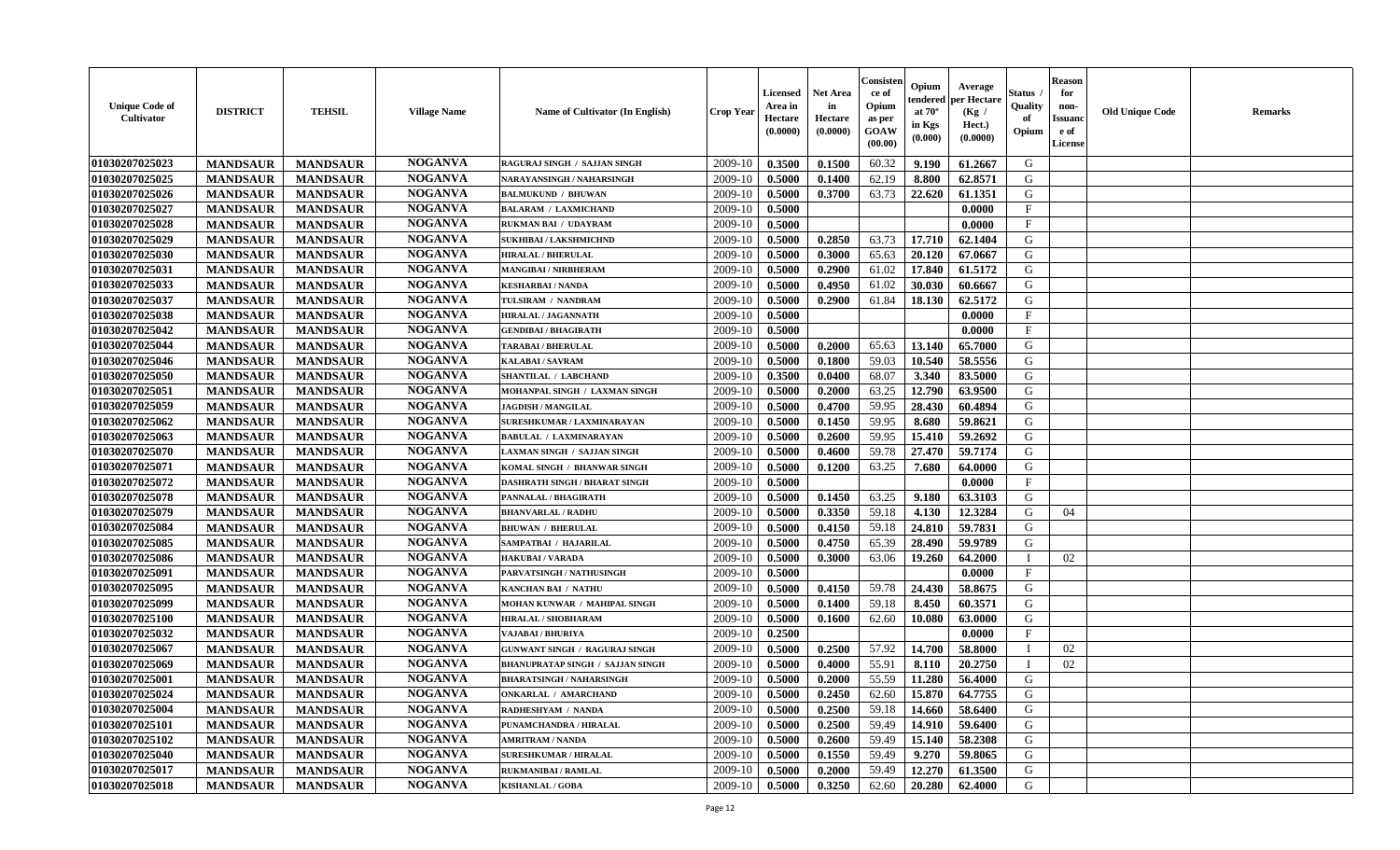| <b>Unique Code of</b><br><b>Cultivator</b> | <b>DISTRICT</b> | <b>TEHSIL</b>   | <b>Village Name</b> | Name of Cultivator (In English)         | <b>Crop Year</b> | Licensed<br>Area in<br>Hectare<br>(0.0000) | <b>Net Area</b><br>in<br>Hectare<br>(0.0000) | Consisteı<br>ce of<br>Opium<br>as per<br>GOAW<br>(00.00) | Opium<br>endered<br>at $70^\circ$<br>in Kgs<br>(0.000) | Average<br>per Hectare<br>(Kg /<br>Hect.)<br>(0.0000) | Status<br>Quality<br>of<br>Opium | <b>Reason</b><br>for<br>non-<br><b>Issuand</b><br>e of<br><b>License</b> | <b>Old Unique Code</b> | <b>Remarks</b> |
|--------------------------------------------|-----------------|-----------------|---------------------|-----------------------------------------|------------------|--------------------------------------------|----------------------------------------------|----------------------------------------------------------|--------------------------------------------------------|-------------------------------------------------------|----------------------------------|--------------------------------------------------------------------------|------------------------|----------------|
| 01030207025023                             | <b>MANDSAUR</b> | <b>MANDSAUR</b> | <b>NOGANVA</b>      | RAGURAJ SINGH / SAJJAN SINGH            | 2009-10          | 0.3500                                     | 0.1500                                       | 60.32                                                    | 9.190                                                  | 61.2667                                               | G                                |                                                                          |                        |                |
| 01030207025025                             | <b>MANDSAUR</b> | <b>MANDSAUR</b> | <b>NOGANVA</b>      | NARAYANSINGH / NAHARSINGH               | 2009-10          | 0.5000                                     | 0.1400                                       | 62.19                                                    | 8.800                                                  | 62.8571                                               | G                                |                                                                          |                        |                |
| 01030207025026                             | <b>MANDSAUR</b> | <b>MANDSAUR</b> | <b>NOGANVA</b>      | <b>BALMUKUND / BHUWAN</b>               | 2009-10          | 0.5000                                     | 0.3700                                       | 63.73                                                    | 22.620                                                 | 61.1351                                               | G                                |                                                                          |                        |                |
| 01030207025027                             | <b>MANDSAUR</b> | <b>MANDSAUR</b> | <b>NOGANVA</b>      | <b>BALARAM / LAXMICHAND</b>             | 2009-10          | 0.5000                                     |                                              |                                                          |                                                        | 0.0000                                                | $\mathbf{F}$                     |                                                                          |                        |                |
| 01030207025028                             | <b>MANDSAUR</b> | <b>MANDSAUR</b> | <b>NOGANVA</b>      | RUKMAN BAI / UDAYRAM                    | 2009-10          | 0.5000                                     |                                              |                                                          |                                                        | 0.0000                                                | $\mathbf{F}$                     |                                                                          |                        |                |
| 01030207025029                             | <b>MANDSAUR</b> | <b>MANDSAUR</b> | <b>NOGANVA</b>      | <b>SUKHIBAI / LAKSHMICHND</b>           | 2009-10          | 0.5000                                     | 0.2850                                       | 63.73                                                    | 17.710                                                 | 62.1404                                               | G                                |                                                                          |                        |                |
| 01030207025030                             | <b>MANDSAUR</b> | <b>MANDSAUR</b> | <b>NOGANVA</b>      | <b>HIRALAL / BHERULAL</b>               | 2009-10          | 0.5000                                     | 0.3000                                       | 65.63                                                    | 20.120                                                 | 67.0667                                               | G                                |                                                                          |                        |                |
| 01030207025031                             | <b>MANDSAUR</b> | <b>MANDSAUR</b> | <b>NOGANVA</b>      | MANGIBAI / NIRBHERAM                    | 2009-10          | 0.5000                                     | 0.2900                                       | 61.02                                                    | 17.840                                                 | 61.5172                                               | G                                |                                                                          |                        |                |
| 01030207025033                             | <b>MANDSAUR</b> | <b>MANDSAUR</b> | <b>NOGANVA</b>      | <b>KESHARBAI/NANDA</b>                  | 2009-10          | 0.5000                                     | 0.4950                                       | 61.02                                                    | 30.030                                                 | 60.6667                                               | G                                |                                                                          |                        |                |
| 01030207025037                             | <b>MANDSAUR</b> | <b>MANDSAUR</b> | <b>NOGANVA</b>      | TULSIRAM / NANDRAM                      | 2009-10          | 0.5000                                     | 0.2900                                       | 61.84                                                    | 18.130                                                 | 62.5172                                               | G                                |                                                                          |                        |                |
| 01030207025038                             | <b>MANDSAUR</b> | <b>MANDSAUR</b> | <b>NOGANVA</b>      | <b>HIRALAL / JAGANNATH</b>              | 2009-10          | 0.5000                                     |                                              |                                                          |                                                        | 0.0000                                                | F                                |                                                                          |                        |                |
| 01030207025042                             | <b>MANDSAUR</b> | <b>MANDSAUR</b> | <b>NOGANVA</b>      | <b>GENDIBAI / BHAGIRATH</b>             | 2009-10          | 0.5000                                     |                                              |                                                          |                                                        | 0.0000                                                | $_{\rm F}$                       |                                                                          |                        |                |
| 01030207025044                             | <b>MANDSAUR</b> | <b>MANDSAUR</b> | <b>NOGANVA</b>      | <b>TARABAI/BHERULAL</b>                 | 2009-10          | 0.5000                                     | 0.2000                                       | 65.63                                                    | 13.140                                                 | 65.7000                                               | G                                |                                                                          |                        |                |
| 01030207025046                             | <b>MANDSAUR</b> | <b>MANDSAUR</b> | <b>NOGANVA</b>      | KALABAI / SAVRAM                        | 2009-10          | 0.5000                                     | 0.1800                                       | 59.03                                                    | 10.540                                                 | 58.5556                                               | G                                |                                                                          |                        |                |
| 01030207025050                             | <b>MANDSAUR</b> | <b>MANDSAUR</b> | <b>NOGANVA</b>      | <b>SHANTILAL / LABCHAND</b>             | 2009-10          | 0.3500                                     | 0.0400                                       | 68.07                                                    | 3.340                                                  | 83.5000                                               | G                                |                                                                          |                        |                |
| 01030207025051                             | <b>MANDSAUR</b> | <b>MANDSAUR</b> | <b>NOGANVA</b>      | MOHANPAL SINGH / LAXMAN SINGH           | 2009-10          | 0.5000                                     | 0.2000                                       | 63.25                                                    | 12.790                                                 | 63.9500                                               | G                                |                                                                          |                        |                |
| 01030207025059                             | <b>MANDSAUR</b> | <b>MANDSAUR</b> | <b>NOGANVA</b>      | <b>JAGDISH / MANGILAL</b>               | 2009-10          | 0.5000                                     | 0.4700                                       | 59.95                                                    | 28.430                                                 | 60.4894                                               | G                                |                                                                          |                        |                |
| 01030207025062                             | <b>MANDSAUR</b> | <b>MANDSAUR</b> | <b>NOGANVA</b>      | SURESHKUMAR / LAXMINARAYAN              | 2009-10          | 0.5000                                     | 0.1450                                       | 59.95                                                    | 8.680                                                  | 59.8621                                               | G                                |                                                                          |                        |                |
| 01030207025063                             | <b>MANDSAUR</b> | <b>MANDSAUR</b> | <b>NOGANVA</b>      | <b>BABULAL / LAXMINARAYAN</b>           | 2009-10          | 0.5000                                     | 0.2600                                       | 59.95                                                    | 15.410                                                 | 59.2692                                               | G                                |                                                                          |                        |                |
| 01030207025070                             | <b>MANDSAUR</b> | <b>MANDSAUR</b> | <b>NOGANVA</b>      | LAXMAN SINGH / SAJJAN SINGH             | 2009-10          | 0.5000                                     | 0.4600                                       | 59.78                                                    | 27.470                                                 | 59.7174                                               | G                                |                                                                          |                        |                |
| 01030207025071                             | <b>MANDSAUR</b> | <b>MANDSAUR</b> | <b>NOGANVA</b>      | KOMAL SINGH / BHANWAR SINGH             | 2009-10          | 0.5000                                     | 0.1200                                       | 63.25                                                    | 7.680                                                  | 64.0000                                               | G                                |                                                                          |                        |                |
| 01030207025072                             | <b>MANDSAUR</b> | <b>MANDSAUR</b> | <b>NOGANVA</b>      | <b>DASHRATH SINGH / BHARAT SINGH</b>    | 2009-10          | 0.5000                                     |                                              |                                                          |                                                        | 0.0000                                                | $\mathbf{F}$                     |                                                                          |                        |                |
| 01030207025078                             | <b>MANDSAUR</b> | <b>MANDSAUR</b> | <b>NOGANVA</b>      | PANNALAL / BHAGIRATH                    | 2009-10          | 0.5000                                     | 0.1450                                       | 63.25                                                    | 9.180                                                  | 63.3103                                               | G                                |                                                                          |                        |                |
| 01030207025079                             | <b>MANDSAUR</b> | <b>MANDSAUR</b> | <b>NOGANVA</b>      | <b>BHANVARLAL / RADHU</b>               | 2009-10          | 0.5000                                     | 0.3350                                       | 59.18                                                    | 4.130                                                  | 12.3284                                               | G                                | 04                                                                       |                        |                |
| 01030207025084                             | <b>MANDSAUR</b> | <b>MANDSAUR</b> | <b>NOGANVA</b>      | <b>BHUWAN / BHERULAL</b>                | 2009-10          | 0.5000                                     | 0.4150                                       | 59.18                                                    | 24.810                                                 | 59.7831                                               | G                                |                                                                          |                        |                |
| 01030207025085                             | <b>MANDSAUR</b> | <b>MANDSAUR</b> | <b>NOGANVA</b>      | SAMPATBAI / HAJARILAL                   | 2009-10          | 0.5000                                     | 0.4750                                       | 65.39                                                    | 28.490                                                 | 59.9789                                               | G                                |                                                                          |                        |                |
| 01030207025086                             | <b>MANDSAUR</b> | <b>MANDSAUR</b> | <b>NOGANVA</b>      | <b>HAKUBAI/VARADA</b>                   | 2009-10          | 0.5000                                     | 0.3000                                       | 63.06                                                    | 19.260                                                 | 64.2000                                               | $\mathbf{I}$                     | 02                                                                       |                        |                |
| 01030207025091                             | <b>MANDSAUR</b> | <b>MANDSAUR</b> | <b>NOGANVA</b>      | PARVATSINGH / NATHUSINGH                | 2009-10          | 0.5000                                     |                                              |                                                          |                                                        | 0.0000                                                | $\mathbf{F}$                     |                                                                          |                        |                |
| 01030207025095                             | <b>MANDSAUR</b> | <b>MANDSAUR</b> | <b>NOGANVA</b>      | <b>KANCHAN BAI / NATHU</b>              | 2009-10          | 0.5000                                     | 0.4150                                       | 59.78                                                    | 24.430                                                 | 58.8675                                               | G                                |                                                                          |                        |                |
| 01030207025099                             | <b>MANDSAUR</b> | <b>MANDSAUR</b> | <b>NOGANVA</b>      | MOHAN KUNWAR / MAHIPAL SINGH            | 2009-10          | 0.5000                                     | 0.1400                                       | 59.18                                                    | 8.450                                                  | 60.3571                                               | G                                |                                                                          |                        |                |
| 01030207025100                             | <b>MANDSAUR</b> | <b>MANDSAUR</b> | <b>NOGANVA</b>      | <b>HIRALAL / SHOBHARAM</b>              | 2009-10          | 0.5000                                     | 0.1600                                       | 62.60                                                    | 10.080                                                 | 63.0000                                               | G                                |                                                                          |                        |                |
| 01030207025032                             | <b>MANDSAUR</b> | <b>MANDSAUR</b> | <b>NOGANVA</b>      | VAJABAI / BHURIYA                       | 2009-10          | 0.2500                                     |                                              |                                                          |                                                        | 0.0000                                                | $_{\rm F}$                       |                                                                          |                        |                |
| 01030207025067                             | <b>MANDSAUR</b> | <b>MANDSAUR</b> | <b>NOGANVA</b>      | <b>GUNWANT SINGH / RAGURAJ SINGH</b>    | 2009-10          | 0.5000                                     | 0.2500                                       | 57.92                                                    | 14.700                                                 | 58.8000                                               | $\mathbf I$                      | 02                                                                       |                        |                |
| 01030207025069                             | <b>MANDSAUR</b> | <b>MANDSAUR</b> | <b>NOGANVA</b>      | <b>BHANUPRATAP SINGH / SAJJAN SINGH</b> | 2009-10          | 0.5000                                     | 0.4000                                       | 55.91                                                    | 8.110                                                  | 20.2750                                               | $\mathbf{I}$                     | 02                                                                       |                        |                |
| 01030207025001                             | <b>MANDSAUR</b> | <b>MANDSAUR</b> | <b>NOGANVA</b>      | <b>BHARATSINGH / NAHARSINGH</b>         | 2009-10          | 0.5000                                     | 0.2000                                       | 55.59                                                    | 11.280                                                 | 56.4000                                               | G                                |                                                                          |                        |                |
| 01030207025024                             | <b>MANDSAUR</b> | <b>MANDSAUR</b> | <b>NOGANVA</b>      | <b>ONKARLAL / AMARCHAND</b>             | 2009-10          | 0.5000                                     | 0.2450                                       | 62.60                                                    | 15.870                                                 | 64.7755                                               | G                                |                                                                          |                        |                |
| 01030207025004                             | <b>MANDSAUR</b> | <b>MANDSAUR</b> | <b>NOGANVA</b>      | RADHESHYAM / NANDA                      | 2009-10          | 0.5000                                     | 0.2500                                       | 59.18                                                    | 14.660                                                 | 58.6400                                               | G                                |                                                                          |                        |                |
| 01030207025101                             | <b>MANDSAUR</b> | <b>MANDSAUR</b> | <b>NOGANVA</b>      | PUNAMCHANDRA / HIRALAL                  | 2009-10          | 0.5000                                     | 0.2500                                       | 59.49                                                    | 14.910                                                 | 59.6400                                               | G                                |                                                                          |                        |                |
| 01030207025102                             | <b>MANDSAUR</b> | <b>MANDSAUR</b> | <b>NOGANVA</b>      | <b>AMRITRAM / NANDA</b>                 | 2009-10          | 0.5000                                     | 0.2600                                       | 59.49                                                    | 15.140                                                 | 58.2308                                               | G                                |                                                                          |                        |                |
| 01030207025040                             | <b>MANDSAUR</b> | <b>MANDSAUR</b> | <b>NOGANVA</b>      | <b>SURESHKUMAR / HIRALAL</b>            | 2009-10          | 0.5000                                     | 0.1550                                       | 59.49                                                    | 9.270                                                  | 59.8065                                               | G                                |                                                                          |                        |                |
| 01030207025017                             | <b>MANDSAUR</b> | <b>MANDSAUR</b> | <b>NOGANVA</b>      | <b>RUKMANIBAI / RAMLAL</b>              | 2009-10          | 0.5000                                     | 0.2000                                       | 59.49                                                    | 12.270                                                 | 61.3500                                               | G                                |                                                                          |                        |                |
| 01030207025018                             | <b>MANDSAUR</b> | <b>MANDSAUR</b> | <b>NOGANVA</b>      | <b>KISHANLAL / GOBA</b>                 | 2009-10          | 0.5000                                     | 0.3250                                       | 62.60                                                    | 20.280                                                 | 62.4000                                               | G                                |                                                                          |                        |                |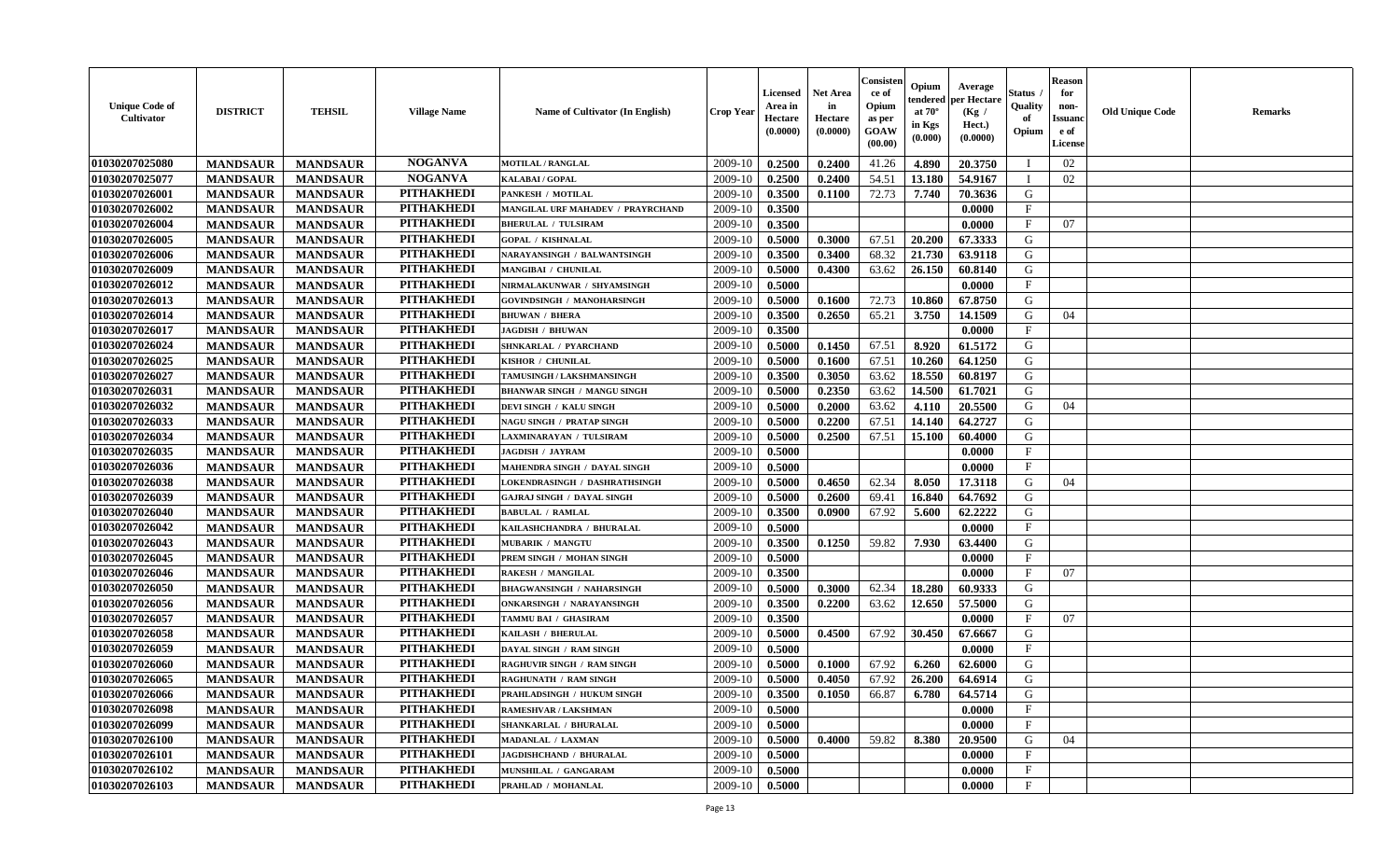| <b>Unique Code of</b><br><b>Cultivator</b> | <b>DISTRICT</b> | <b>TEHSIL</b>   | <b>Village Name</b> | Name of Cultivator (In English)    | <b>Crop Year</b> | <b>Licensed</b><br>Area in<br>Hectare<br>(0.0000) | <b>Net Area</b><br>in<br>Hectare<br>(0.0000) | Consister<br>ce of<br>Opium<br>as per<br><b>GOAW</b><br>(00.00) | Opium<br>endered<br>at $70^\circ$<br>in Kgs<br>$(\mathbf{0.000})$ | Average<br>per Hectare<br>(Kg)<br>Hect.)<br>(0.0000) | Status<br>Quality<br>of<br>Opium | Reason<br>for<br>non-<br>Issuan<br>e of<br><b>License</b> | <b>Old Unique Code</b> | <b>Remarks</b> |
|--------------------------------------------|-----------------|-----------------|---------------------|------------------------------------|------------------|---------------------------------------------------|----------------------------------------------|-----------------------------------------------------------------|-------------------------------------------------------------------|------------------------------------------------------|----------------------------------|-----------------------------------------------------------|------------------------|----------------|
| 01030207025080                             | <b>MANDSAUR</b> | <b>MANDSAUR</b> | <b>NOGANVA</b>      | <b>MOTILAL / RANGLAL</b>           | 2009-10          | 0.2500                                            | 0.2400                                       | 41.26                                                           | 4.890                                                             | 20.3750                                              |                                  | 02                                                        |                        |                |
| 01030207025077                             | <b>MANDSAUR</b> | <b>MANDSAUR</b> | <b>NOGANVA</b>      | KALABAI / GOPAL                    | 2009-10          | 0.2500                                            | 0.2400                                       | 54.51                                                           | 13.180                                                            | 54.9167                                              |                                  | 02                                                        |                        |                |
| 01030207026001                             | <b>MANDSAUR</b> | <b>MANDSAUR</b> | <b>PITHAKHEDI</b>   | PANKESH / MOTILAL                  | 2009-10          | 0.3500                                            | 0.1100                                       | 72.73                                                           | 7.740                                                             | 70.3636                                              | G                                |                                                           |                        |                |
| 01030207026002                             | <b>MANDSAUR</b> | <b>MANDSAUR</b> | <b>PITHAKHEDI</b>   | MANGILAL URF MAHADEV / PRAYRCHAND  | 2009-10          | 0.3500                                            |                                              |                                                                 |                                                                   | 0.0000                                               | $\mathbf{F}$                     |                                                           |                        |                |
| 01030207026004                             | <b>MANDSAUR</b> | <b>MANDSAUR</b> | <b>PITHAKHEDI</b>   | <b>BHERULAL / TULSIRAM</b>         | 2009-10          | 0.3500                                            |                                              |                                                                 |                                                                   | 0.0000                                               | $_{\rm F}$                       | 07                                                        |                        |                |
| 01030207026005                             | <b>MANDSAUR</b> | <b>MANDSAUR</b> | <b>PITHAKHEDI</b>   | <b>GOPAL / KISHNALAL</b>           | 2009-10          | 0.5000                                            | 0.3000                                       | 67.51                                                           | 20.200                                                            | 67.3333                                              | G                                |                                                           |                        |                |
| 01030207026006                             | <b>MANDSAUR</b> | <b>MANDSAUR</b> | <b>PITHAKHEDI</b>   | <b>NARAYANSINGH / BALWANTSINGH</b> | 2009-10          | 0.3500                                            | 0.3400                                       | 68.32                                                           | 21.730                                                            | 63.9118                                              | G                                |                                                           |                        |                |
| 01030207026009                             | <b>MANDSAUR</b> | <b>MANDSAUR</b> | <b>PITHAKHEDI</b>   | MANGIBAI / CHUNILAL                | 2009-10          | 0.5000                                            | 0.4300                                       | 63.62                                                           | 26.150                                                            | 60.8140                                              | G                                |                                                           |                        |                |
| 01030207026012                             | <b>MANDSAUR</b> | <b>MANDSAUR</b> | <b>PITHAKHEDI</b>   | NIRMALAKUNWAR / SHYAMSINGH         | 2009-10          | 0.5000                                            |                                              |                                                                 |                                                                   | 0.0000                                               | $_{\rm F}$                       |                                                           |                        |                |
| 01030207026013                             | <b>MANDSAUR</b> | <b>MANDSAUR</b> | <b>PITHAKHEDI</b>   | GOVINDSINGH / MANOHARSINGH         | 2009-10          | 0.5000                                            | 0.1600                                       | 72.73                                                           | 10.860                                                            | 67.8750                                              | G                                |                                                           |                        |                |
| 01030207026014                             | <b>MANDSAUR</b> | <b>MANDSAUR</b> | <b>PITHAKHEDI</b>   | <b>BHUWAN / BHERA</b>              | 2009-10          | 0.3500                                            | 0.2650                                       | 65.21                                                           | 3.750                                                             | 14.1509                                              | G                                | 04                                                        |                        |                |
| 01030207026017                             | <b>MANDSAUR</b> | <b>MANDSAUR</b> | <b>PITHAKHEDI</b>   | <b>JAGDISH / BHUWAN</b>            | 2009-10          | 0.3500                                            |                                              |                                                                 |                                                                   | 0.0000                                               | $_{\rm F}$                       |                                                           |                        |                |
| 01030207026024                             | <b>MANDSAUR</b> | <b>MANDSAUR</b> | <b>PITHAKHEDI</b>   | SHNKARLAL / PYARCHAND              | 2009-10          | 0.5000                                            | 0.1450                                       | 67.51                                                           | 8.920                                                             | 61.5172                                              | G                                |                                                           |                        |                |
| 01030207026025                             | <b>MANDSAUR</b> | <b>MANDSAUR</b> | <b>PITHAKHEDI</b>   | KISHOR / CHUNILAL                  | 2009-10          | 0.5000                                            | 0.1600                                       | 67.51                                                           | 10.260                                                            | 64.1250                                              | G                                |                                                           |                        |                |
| 01030207026027                             | <b>MANDSAUR</b> | <b>MANDSAUR</b> | <b>PITHAKHEDI</b>   | TAMUSINGH / LAKSHMANSINGH          | 2009-10          | 0.3500                                            | 0.3050                                       | 63.62                                                           | 18.550                                                            | 60.8197                                              | G                                |                                                           |                        |                |
| 01030207026031                             | <b>MANDSAUR</b> | <b>MANDSAUR</b> | <b>PITHAKHEDI</b>   | <b>BHANWAR SINGH / MANGU SINGH</b> | 2009-10          | 0.5000                                            | 0.2350                                       | 63.62                                                           | 14.500                                                            | 61.7021                                              | G                                |                                                           |                        |                |
| 01030207026032                             | <b>MANDSAUR</b> | <b>MANDSAUR</b> | <b>PITHAKHEDI</b>   | DEVI SINGH / KALU SINGH            | 2009-10          | 0.5000                                            | 0.2000                                       | 63.62                                                           | 4.110                                                             | 20.5500                                              | G                                | 04                                                        |                        |                |
| 01030207026033                             | <b>MANDSAUR</b> | <b>MANDSAUR</b> | <b>PITHAKHEDI</b>   | <b>NAGU SINGH / PRATAP SINGH</b>   | 2009-10          | 0.5000                                            | 0.2200                                       | 67.51                                                           | 14.140                                                            | 64.2727                                              | G                                |                                                           |                        |                |
| 01030207026034                             | <b>MANDSAUR</b> | <b>MANDSAUR</b> | <b>PITHAKHEDI</b>   | LAXMINARAYAN / TULSIRAM            | 2009-10          | 0.5000                                            | 0.2500                                       | 67.51                                                           | 15.100                                                            | 60.4000                                              | G                                |                                                           |                        |                |
| 01030207026035                             | <b>MANDSAUR</b> | <b>MANDSAUR</b> | <b>PITHAKHEDI</b>   | <b>JAGDISH / JAYRAM</b>            | 2009-10          | 0.5000                                            |                                              |                                                                 |                                                                   | 0.0000                                               | F                                |                                                           |                        |                |
| 01030207026036                             | <b>MANDSAUR</b> | <b>MANDSAUR</b> | <b>PITHAKHEDI</b>   | MAHENDRA SINGH / DAYAL SINGH       | 2009-10          | 0.5000                                            |                                              |                                                                 |                                                                   | 0.0000                                               | $_{\rm F}$                       |                                                           |                        |                |
| 01030207026038                             | <b>MANDSAUR</b> | <b>MANDSAUR</b> | <b>PITHAKHEDI</b>   | LOKENDRASINGH / DASHRATHSINGH      | 2009-10          | 0.5000                                            | 0.4650                                       | 62.34                                                           | 8.050                                                             | 17.3118                                              | G                                | 04                                                        |                        |                |
| 01030207026039                             | <b>MANDSAUR</b> | <b>MANDSAUR</b> | <b>PITHAKHEDI</b>   | <b>GAJRAJ SINGH / DAYAL SINGH</b>  | 2009-10          | 0.5000                                            | 0.2600                                       | 69.41                                                           | 16.840                                                            | 64.7692                                              | G                                |                                                           |                        |                |
| 01030207026040                             | <b>MANDSAUR</b> | <b>MANDSAUR</b> | <b>PITHAKHEDI</b>   | <b>BABULAL / RAMLAL</b>            | 2009-10          | 0.3500                                            | 0.0900                                       | 67.92                                                           | 5.600                                                             | 62.2222                                              | G                                |                                                           |                        |                |
| 01030207026042                             | <b>MANDSAUR</b> | <b>MANDSAUR</b> | <b>PITHAKHEDI</b>   | KAILASHCHANDRA / BHURALAL          | 2009-10          | 0.5000                                            |                                              |                                                                 |                                                                   | 0.0000                                               | $\mathbf{F}$                     |                                                           |                        |                |
| 01030207026043                             | <b>MANDSAUR</b> | <b>MANDSAUR</b> | <b>PITHAKHEDI</b>   | <b>MUBARIK / MANGTU</b>            | 2009-10          | 0.3500                                            | 0.1250                                       | 59.82                                                           | 7.930                                                             | 63.4400                                              | G                                |                                                           |                        |                |
| 01030207026045                             | <b>MANDSAUR</b> | <b>MANDSAUR</b> | <b>PITHAKHEDI</b>   | PREM SINGH / MOHAN SINGH           | 2009-10          | 0.5000                                            |                                              |                                                                 |                                                                   | 0.0000                                               | $_{\rm F}$                       |                                                           |                        |                |
| 01030207026046                             | <b>MANDSAUR</b> | <b>MANDSAUR</b> | <b>PITHAKHEDI</b>   | <b>RAKESH / MANGILAL</b>           | 2009-10          | 0.3500                                            |                                              |                                                                 |                                                                   | 0.0000                                               | $\mathbf{F}$                     | 07                                                        |                        |                |
| 01030207026050                             | <b>MANDSAUR</b> | <b>MANDSAUR</b> | <b>PITHAKHEDI</b>   | <b>BHAGWANSINGH / NAHARSINGH</b>   | 2009-10          | 0.5000                                            | 0.3000                                       | 62.34                                                           | 18.280                                                            | 60.9333                                              | G                                |                                                           |                        |                |
| 01030207026056                             | <b>MANDSAUR</b> | <b>MANDSAUR</b> | <b>PITHAKHEDI</b>   | <b>ONKARSINGH / NARAYANSINGH</b>   | 2009-10          | 0.3500                                            | 0.2200                                       | 63.62                                                           | 12.650                                                            | 57.5000                                              | G                                |                                                           |                        |                |
| 01030207026057                             | <b>MANDSAUR</b> | <b>MANDSAUR</b> | <b>PITHAKHEDI</b>   | TAMMU BAI / GHASIRAM               | 2009-10          | 0.3500                                            |                                              |                                                                 |                                                                   | 0.0000                                               | $_{\rm F}$                       | 07                                                        |                        |                |
| 01030207026058                             | <b>MANDSAUR</b> | <b>MANDSAUR</b> | <b>PITHAKHEDI</b>   | KAILASH / BHERULAL                 | 2009-10          | 0.5000                                            | 0.4500                                       | 67.92                                                           | 30.450                                                            | 67.6667                                              | G                                |                                                           |                        |                |
| 01030207026059                             | <b>MANDSAUR</b> | <b>MANDSAUR</b> | <b>PITHAKHEDI</b>   | DAYAL SINGH / RAM SINGH            | 2009-10          | 0.5000                                            |                                              |                                                                 |                                                                   | 0.0000                                               | $\mathbf{F}$                     |                                                           |                        |                |
| 01030207026060                             | <b>MANDSAUR</b> | <b>MANDSAUR</b> | <b>PITHAKHEDI</b>   | <b>RAGHUVIR SINGH / RAM SINGH</b>  | 2009-10          | 0.5000                                            | 0.1000                                       | 67.92                                                           | 6.260                                                             | 62.6000                                              | G                                |                                                           |                        |                |
| 01030207026065                             | <b>MANDSAUR</b> | <b>MANDSAUR</b> | <b>PITHAKHEDI</b>   | <b>RAGHUNATH / RAM SINGH</b>       | 2009-10          | 0.5000                                            | 0.4050                                       | 67.92                                                           | 26.200                                                            | 64.6914                                              | G                                |                                                           |                        |                |
| 01030207026066                             | <b>MANDSAUR</b> | <b>MANDSAUR</b> | PITHAKHEDI          | PRAHLADSINGH / HUKUM SINGH         | $2009-10$ 0.3500 |                                                   | 0.1050                                       | 66.87                                                           | $6.780$                                                           | 64.5714                                              | G                                |                                                           |                        |                |
| 01030207026098                             | <b>MANDSAUR</b> | <b>MANDSAUR</b> | <b>PITHAKHEDI</b>   | RAMESHVAR / LAKSHMAN               | 2009-10          | 0.5000                                            |                                              |                                                                 |                                                                   | 0.0000                                               | $\mathbf{F}$                     |                                                           |                        |                |
| 01030207026099                             | <b>MANDSAUR</b> | <b>MANDSAUR</b> | <b>PITHAKHEDI</b>   | SHANKARLAL / BHURALAL              | 2009-10          | 0.5000                                            |                                              |                                                                 |                                                                   | 0.0000                                               | $\mathbf{F}$                     |                                                           |                        |                |
| 01030207026100                             | <b>MANDSAUR</b> | <b>MANDSAUR</b> | <b>PITHAKHEDI</b>   | MADANLAL / LAXMAN                  | 2009-10          | 0.5000                                            | 0.4000                                       | 59.82                                                           | 8.380                                                             | 20.9500                                              | G                                | 04                                                        |                        |                |
| 01030207026101                             | <b>MANDSAUR</b> | <b>MANDSAUR</b> | <b>PITHAKHEDI</b>   | JAGDISHCHAND / BHURALAL            | 2009-10          | 0.5000                                            |                                              |                                                                 |                                                                   | 0.0000                                               | $\mathbf{F}$                     |                                                           |                        |                |
| 01030207026102                             | <b>MANDSAUR</b> | <b>MANDSAUR</b> | <b>PITHAKHEDI</b>   | MUNSHILAL / GANGARAM               | 2009-10          | 0.5000                                            |                                              |                                                                 |                                                                   | 0.0000                                               | $\mathbf{F}$                     |                                                           |                        |                |
| 01030207026103                             | <b>MANDSAUR</b> | <b>MANDSAUR</b> | <b>PITHAKHEDI</b>   | PRAHLAD / MOHANLAL                 | 2009-10          | 0.5000                                            |                                              |                                                                 |                                                                   | 0.0000                                               | $\mathbf{F}$                     |                                                           |                        |                |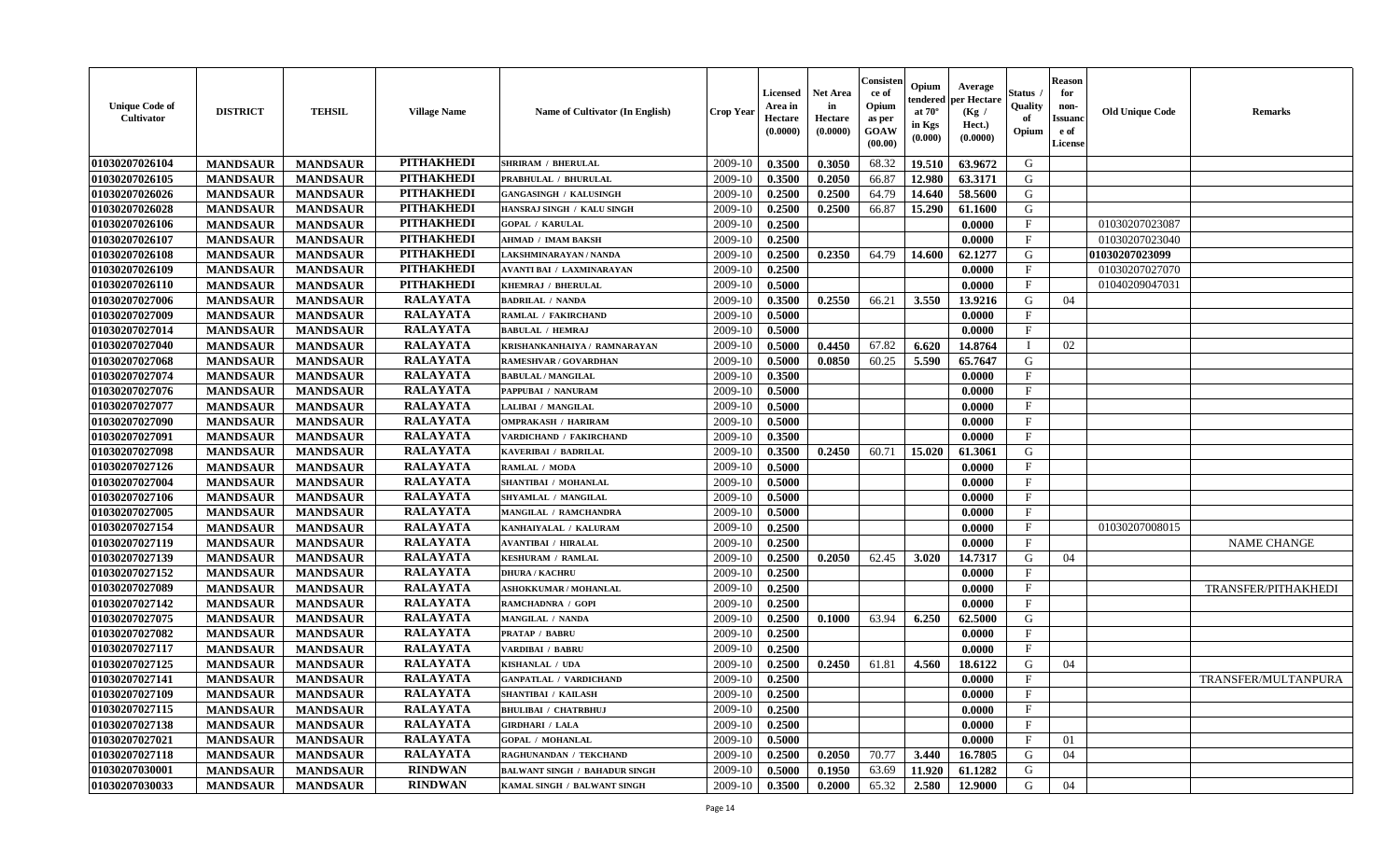| <b>Unique Code of</b><br>Cultivator | <b>DISTRICT</b> | <b>TEHSIL</b>   | <b>Village Name</b> | <b>Name of Cultivator (In English)</b> | <b>Crop Year</b> | <b>Licensed</b><br>Area in<br>Hectare<br>(0.0000) | <b>Net Area</b><br>in<br>Hectare<br>(0.0000) | Consister<br>ce of<br>Opium<br>as per<br><b>GOAW</b><br>(00.00) | Opium<br>endered<br>at $70^{\circ}$<br>in Kgs<br>(0.000) | Average<br>per Hectare<br>(Kg /<br>Hect.)<br>(0.0000) | <b>Status</b><br>Quality<br>of<br>Opium | <b>Reason</b><br>for<br>non-<br><b>Issuand</b><br>e of<br>License | <b>Old Unique Code</b> | <b>Remarks</b>      |
|-------------------------------------|-----------------|-----------------|---------------------|----------------------------------------|------------------|---------------------------------------------------|----------------------------------------------|-----------------------------------------------------------------|----------------------------------------------------------|-------------------------------------------------------|-----------------------------------------|-------------------------------------------------------------------|------------------------|---------------------|
| 01030207026104                      | <b>MANDSAUR</b> | <b>MANDSAUR</b> | <b>PITHAKHEDI</b>   | <b>SHRIRAM / BHERULAL</b>              | 2009-10          | 0.3500                                            | 0.3050                                       | 68.32                                                           | 19.510                                                   | 63.9672                                               | G                                       |                                                                   |                        |                     |
| 01030207026105                      | <b>MANDSAUR</b> | <b>MANDSAUR</b> | <b>PITHAKHEDI</b>   | PRABHULAL / BHURULAL                   | 2009-10          | 0.3500                                            | 0.2050                                       | 66.87                                                           | 12.980                                                   | 63.3171                                               | G                                       |                                                                   |                        |                     |
| 01030207026026                      | <b>MANDSAUR</b> | <b>MANDSAUR</b> | <b>PITHAKHEDI</b>   | <b>GANGASINGH / KALUSINGH</b>          | 2009-10          | 0.2500                                            | 0.2500                                       | 64.79                                                           | 14.640                                                   | 58.5600                                               | G                                       |                                                                   |                        |                     |
| 01030207026028                      | <b>MANDSAUR</b> | <b>MANDSAUR</b> | <b>PITHAKHEDI</b>   | HANSRAJ SINGH / KALU SINGH             | 2009-10          | 0.2500                                            | 0.2500                                       | 66.87                                                           | 15.290                                                   | 61.1600                                               | G                                       |                                                                   |                        |                     |
| 01030207026106                      | <b>MANDSAUR</b> | <b>MANDSAUR</b> | <b>PITHAKHEDI</b>   | <b>GOPAL / KARULAL</b>                 | 2009-10          | 0.2500                                            |                                              |                                                                 |                                                          | 0.0000                                                | $\mathbf{F}$                            |                                                                   | 01030207023087         |                     |
| 01030207026107                      | <b>MANDSAUR</b> | <b>MANDSAUR</b> | <b>PITHAKHEDI</b>   | <b>AHMAD / IMAM BAKSH</b>              | 2009-10          | 0.2500                                            |                                              |                                                                 |                                                          | 0.0000                                                | $\mathbf{F}$                            |                                                                   | 01030207023040         |                     |
| 01030207026108                      | <b>MANDSAUR</b> | <b>MANDSAUR</b> | <b>PITHAKHEDI</b>   | LAKSHMINARAYAN / NANDA                 | 2009-10          | 0.2500                                            | 0.2350                                       | 64.79                                                           | 14.600                                                   | 62.1277                                               | G                                       |                                                                   | 01030207023099         |                     |
| 01030207026109                      | <b>MANDSAUR</b> | <b>MANDSAUR</b> | <b>PITHAKHEDI</b>   | <b>AVANTI BAI / LAXMINARAYAN</b>       | 2009-10          | 0.2500                                            |                                              |                                                                 |                                                          | 0.0000                                                | $\mathbf{F}$                            |                                                                   | 01030207027070         |                     |
| 01030207026110                      | <b>MANDSAUR</b> | <b>MANDSAUR</b> | <b>PITHAKHEDI</b>   | KHEMRAJ / BHERULAL                     | 2009-10          | 0.5000                                            |                                              |                                                                 |                                                          | 0.0000                                                | F                                       |                                                                   | 01040209047031         |                     |
| 01030207027006                      | <b>MANDSAUR</b> | <b>MANDSAUR</b> | <b>RALAYATA</b>     | <b>BADRILAL / NANDA</b>                | 2009-10          | 0.3500                                            | 0.2550                                       | 66.21                                                           | 3.550                                                    | 13.9216                                               | G                                       | 04                                                                |                        |                     |
| 01030207027009                      | <b>MANDSAUR</b> | <b>MANDSAUR</b> | <b>RALAYATA</b>     | RAMLAL / FAKIRCHAND                    | 2009-10          | 0.5000                                            |                                              |                                                                 |                                                          | 0.0000                                                | $\mathbf{F}$                            |                                                                   |                        |                     |
| 01030207027014                      | <b>MANDSAUR</b> | <b>MANDSAUR</b> | <b>RALAYATA</b>     | <b>BABULAL / HEMRAJ</b>                | 2009-10          | 0.5000                                            |                                              |                                                                 |                                                          | 0.0000                                                | $\mathbf{F}$                            |                                                                   |                        |                     |
| 01030207027040                      | <b>MANDSAUR</b> | <b>MANDSAUR</b> | <b>RALAYATA</b>     | KRISHANKANHAIYA / RAMNARAYAN           | 2009-10          | 0.5000                                            | 0.4450                                       | 67.82                                                           | 6.620                                                    | 14.8764                                               |                                         | 02                                                                |                        |                     |
| 01030207027068                      | <b>MANDSAUR</b> | <b>MANDSAUR</b> | <b>RALAYATA</b>     | RAMESHVAR / GOVARDHAN                  | 2009-10          | 0.5000                                            | 0.0850                                       | 60.25                                                           | 5.590                                                    | 65.7647                                               | G                                       |                                                                   |                        |                     |
| 01030207027074                      | <b>MANDSAUR</b> | <b>MANDSAUR</b> | <b>RALAYATA</b>     | <b>BABULAL / MANGILAL</b>              | 2009-10          | 0.3500                                            |                                              |                                                                 |                                                          | 0.0000                                                | $\mathbf{F}$                            |                                                                   |                        |                     |
| 01030207027076                      | <b>MANDSAUR</b> | <b>MANDSAUR</b> | <b>RALAYATA</b>     | PAPPUBAI / NANURAM                     | 2009-10          | 0.5000                                            |                                              |                                                                 |                                                          | 0.0000                                                | $\mathbf{F}$                            |                                                                   |                        |                     |
| 01030207027077                      | <b>MANDSAUR</b> | <b>MANDSAUR</b> | <b>RALAYATA</b>     | LALIBAI / MANGILAL                     | 2009-10          | 0.5000                                            |                                              |                                                                 |                                                          | 0.0000                                                | $\mathbf{F}$                            |                                                                   |                        |                     |
| 01030207027090                      | <b>MANDSAUR</b> | <b>MANDSAUR</b> | <b>RALAYATA</b>     | <b>OMPRAKASH / HARIRAM</b>             | 2009-10          | 0.5000                                            |                                              |                                                                 |                                                          | 0.0000                                                | $\mathbf{F}$                            |                                                                   |                        |                     |
| 01030207027091                      | <b>MANDSAUR</b> | <b>MANDSAUR</b> | <b>RALAYATA</b>     | VARDICHAND / FAKIRCHAND                | 2009-10          | 0.3500                                            |                                              |                                                                 |                                                          | 0.0000                                                | $\mathbf{F}$                            |                                                                   |                        |                     |
| 01030207027098                      | <b>MANDSAUR</b> | <b>MANDSAUR</b> | <b>RALAYATA</b>     | KAVERIBAI / BADRILAL                   | 2009-10          | 0.3500                                            | 0.2450                                       | 60.71                                                           | 15.020                                                   | 61.3061                                               | G                                       |                                                                   |                        |                     |
| 01030207027126                      | <b>MANDSAUR</b> | <b>MANDSAUR</b> | <b>RALAYATA</b>     | RAMLAL / MODA                          | 2009-10          | 0.5000                                            |                                              |                                                                 |                                                          | 0.0000                                                | F                                       |                                                                   |                        |                     |
| 01030207027004                      | <b>MANDSAUR</b> | <b>MANDSAUR</b> | <b>RALAYATA</b>     | SHANTIBAI / MOHANLAL                   | 2009-10          | 0.5000                                            |                                              |                                                                 |                                                          | 0.0000                                                | $\mathbf{F}$                            |                                                                   |                        |                     |
| 01030207027106                      | <b>MANDSAUR</b> | <b>MANDSAUR</b> | <b>RALAYATA</b>     | SHYAMLAL / MANGILAL                    | 2009-10          | 0.5000                                            |                                              |                                                                 |                                                          | 0.0000                                                | $\mathbf{F}$                            |                                                                   |                        |                     |
| 01030207027005                      | <b>MANDSAUR</b> | <b>MANDSAUR</b> | <b>RALAYATA</b>     | MANGILAL / RAMCHANDRA                  | 2009-10          | 0.5000                                            |                                              |                                                                 |                                                          | 0.0000                                                | $\mathbf{F}$                            |                                                                   |                        |                     |
| 01030207027154                      | <b>MANDSAUR</b> | <b>MANDSAUR</b> | <b>RALAYATA</b>     | KANHAIYALAL / KALURAM                  | 2009-10          | 0.2500                                            |                                              |                                                                 |                                                          | 0.0000                                                | $\mathbf F$                             |                                                                   | 01030207008015         |                     |
| 01030207027119                      | <b>MANDSAUR</b> | <b>MANDSAUR</b> | <b>RALAYATA</b>     | <b>AVANTIBAI / HIRALAL</b>             | 2009-10          | 0.2500                                            |                                              |                                                                 |                                                          | 0.0000                                                | $\mathbf{F}$                            |                                                                   |                        | <b>NAME CHANGE</b>  |
| 01030207027139                      | <b>MANDSAUR</b> | <b>MANDSAUR</b> | <b>RALAYATA</b>     | <b>KESHURAM / RAMLAL</b>               | 2009-10          | 0.2500                                            | 0.2050                                       | 62.45                                                           | 3.020                                                    | 14.7317                                               | G                                       | 04                                                                |                        |                     |
| 01030207027152                      | <b>MANDSAUR</b> | <b>MANDSAUR</b> | <b>RALAYATA</b>     | <b>DHURA / KACHRU</b>                  | 2009-10          | 0.2500                                            |                                              |                                                                 |                                                          | 0.0000                                                | $\mathbf{F}$                            |                                                                   |                        |                     |
| 01030207027089                      | <b>MANDSAUR</b> | <b>MANDSAUR</b> | <b>RALAYATA</b>     | <b>ASHOKKUMAR / MOHANLAL</b>           | 2009-10          | 0.2500                                            |                                              |                                                                 |                                                          | 0.0000                                                | $\mathbf{F}$                            |                                                                   |                        | TRANSFER/PITHAKHEDI |
| 01030207027142                      | <b>MANDSAUR</b> | <b>MANDSAUR</b> | <b>RALAYATA</b>     | RAMCHADNRA / GOPI                      | 2009-10          | 0.2500                                            |                                              |                                                                 |                                                          | 0.0000                                                | $\mathbf{F}$                            |                                                                   |                        |                     |
| 01030207027075                      | <b>MANDSAUR</b> | <b>MANDSAUR</b> | <b>RALAYATA</b>     | <b>MANGILAL / NANDA</b>                | 2009-10          | 0.2500                                            | 0.1000                                       | 63.94                                                           | 6.250                                                    | 62.5000                                               | G                                       |                                                                   |                        |                     |
| 01030207027082                      | <b>MANDSAUR</b> | <b>MANDSAUR</b> | <b>RALAYATA</b>     | <b>PRATAP / BABRU</b>                  | 2009-10          | 0.2500                                            |                                              |                                                                 |                                                          | 0.0000                                                | $\mathbf{F}$                            |                                                                   |                        |                     |
| 01030207027117                      | <b>MANDSAUR</b> | <b>MANDSAUR</b> | <b>RALAYATA</b>     | VARDIBAI / BABRU                       | 2009-10          | 0.2500                                            |                                              |                                                                 |                                                          | 0.0000                                                | $\mathbf{F}$                            |                                                                   |                        |                     |
| 01030207027125                      | <b>MANDSAUR</b> | <b>MANDSAUR</b> | <b>RALAYATA</b>     | KISHANLAL / UDA                        | 2009-10          | 0.2500                                            | 0.2450                                       | 61.81                                                           | 4.560                                                    | 18.6122                                               | G                                       | 04                                                                |                        |                     |
| 01030207027141                      | <b>MANDSAUR</b> | <b>MANDSAUR</b> | <b>RALAYATA</b>     | <b>GANPATLAL / VARDICHAND</b>          | 2009-10          | 0.2500                                            |                                              |                                                                 |                                                          | 0.0000                                                | $\mathbf{F}$                            |                                                                   |                        | TRANSFER/MULTANPURA |
| 01030207027109                      | <b>MANDSAUR</b> | MANDSAUR        | RALAYATA            | <b>SHANTIBAI / KAILASH</b>             |                  | $2009-10$ 0.2500                                  |                                              |                                                                 |                                                          | 0.0000                                                | F                                       |                                                                   |                        |                     |
| 01030207027115                      | <b>MANDSAUR</b> | <b>MANDSAUR</b> | <b>RALAYATA</b>     | <b>BHULIBAI / CHATRBHUJ</b>            | 2009-10          | 0.2500                                            |                                              |                                                                 |                                                          | 0.0000                                                | $_{\rm F}$                              |                                                                   |                        |                     |
| 01030207027138                      | <b>MANDSAUR</b> | <b>MANDSAUR</b> | <b>RALAYATA</b>     | <b>GIRDHARI / LALA</b>                 | 2009-10          | 0.2500                                            |                                              |                                                                 |                                                          | 0.0000                                                | $\mathbf F$                             |                                                                   |                        |                     |
| 01030207027021                      | <b>MANDSAUR</b> | <b>MANDSAUR</b> | <b>RALAYATA</b>     | <b>GOPAL / MOHANLAL</b>                | 2009-10          | 0.5000                                            |                                              |                                                                 |                                                          | 0.0000                                                | $\mathbf{F}$                            | 01                                                                |                        |                     |
| 01030207027118                      | <b>MANDSAUR</b> | <b>MANDSAUR</b> | <b>RALAYATA</b>     | RAGHUNANDAN / TEKCHAND                 | 2009-10          | 0.2500                                            | 0.2050                                       | 70.77                                                           | 3.440                                                    | 16.7805                                               | G                                       | 04                                                                |                        |                     |
| 01030207030001                      | <b>MANDSAUR</b> | <b>MANDSAUR</b> | <b>RINDWAN</b>      | <b>BALWANT SINGH / BAHADUR SINGH</b>   | 2009-10          | 0.5000                                            | 0.1950                                       | 63.69                                                           | 11.920                                                   | 61.1282                                               | G                                       |                                                                   |                        |                     |
| 01030207030033                      | <b>MANDSAUR</b> | <b>MANDSAUR</b> | <b>RINDWAN</b>      | KAMAL SINGH / BALWANT SINGH            | 2009-10          | 0.3500                                            | 0.2000                                       | 65.32                                                           | 2.580                                                    | 12.9000                                               | G                                       | 04                                                                |                        |                     |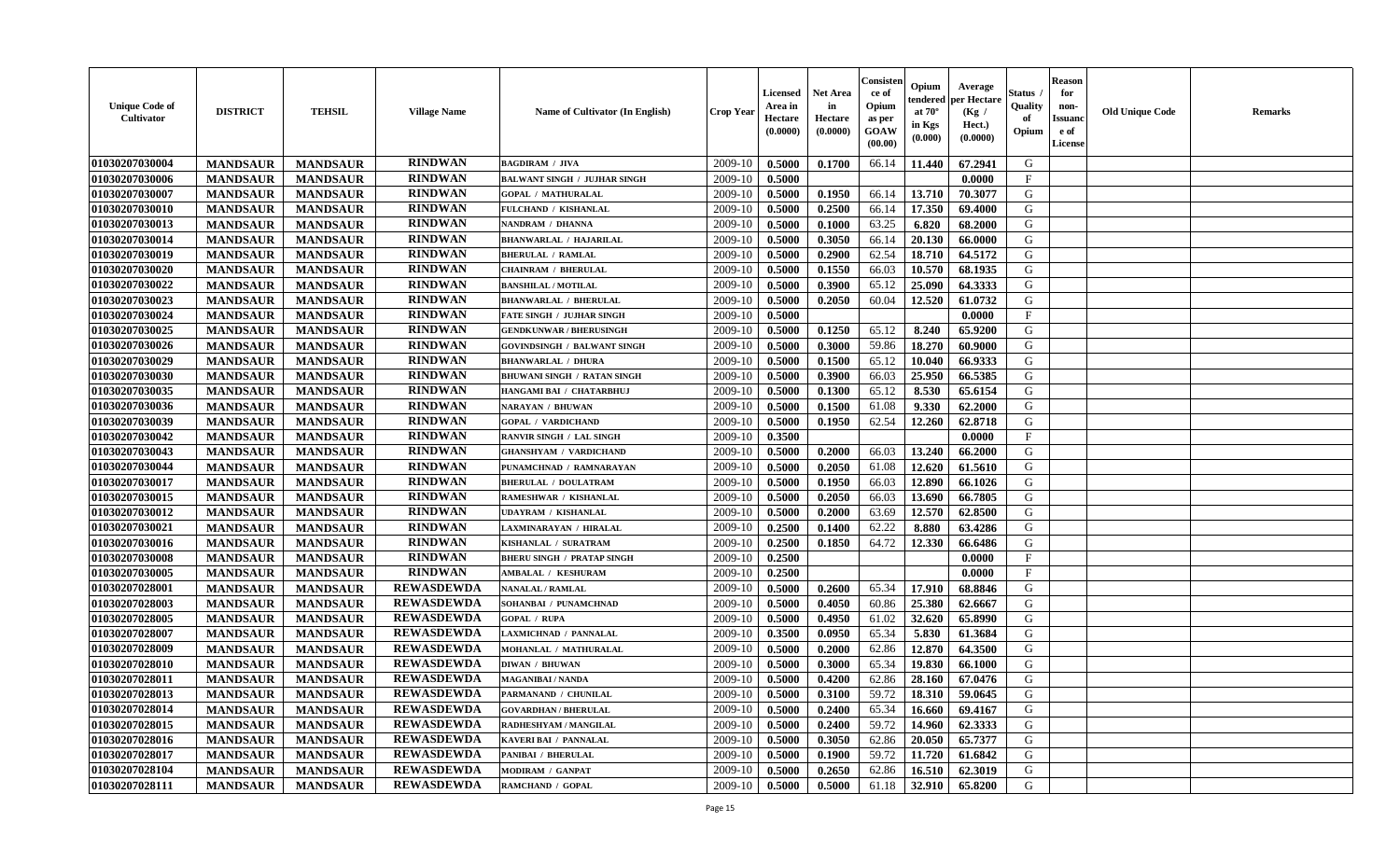| <b>Unique Code of</b><br><b>Cultivator</b> | <b>DISTRICT</b> | <b>TEHSIL</b>   | <b>Village Name</b> | Name of Cultivator (In English)     | <b>Crop Year</b> | <b>Licensed</b><br>Area in<br>Hectare<br>(0.0000) | Net Area<br>in<br>Hectare<br>(0.0000) | Consisteı<br>ce of<br>Opium<br>as per<br>GOAW<br>(00.00) | Opium<br>endered<br>at $70^\circ$<br>in Kgs<br>(0.000) | Average<br>per Hectare<br>(Kg /<br>Hect.)<br>(0.0000) | Status<br>Quality<br>of<br>Opium | <b>Reason</b><br>for<br>non-<br><b>Issuanc</b><br>e of<br>License | <b>Old Unique Code</b> | Remarks |
|--------------------------------------------|-----------------|-----------------|---------------------|-------------------------------------|------------------|---------------------------------------------------|---------------------------------------|----------------------------------------------------------|--------------------------------------------------------|-------------------------------------------------------|----------------------------------|-------------------------------------------------------------------|------------------------|---------|
| 01030207030004                             | <b>MANDSAUR</b> | <b>MANDSAUR</b> | <b>RINDWAN</b>      | <b>BAGDIRAM / JIVA</b>              | 2009-10          | 0.5000                                            | 0.1700                                | 66.14                                                    | 11.440                                                 | 67.2941                                               | G                                |                                                                   |                        |         |
| 01030207030006                             | <b>MANDSAUR</b> | <b>MANDSAUR</b> | <b>RINDWAN</b>      | <b>BALWANT SINGH / JUJHAR SINGH</b> | 2009-10          | 0.5000                                            |                                       |                                                          |                                                        | 0.0000                                                | $\mathbf{F}$                     |                                                                   |                        |         |
| 01030207030007                             | <b>MANDSAUR</b> | <b>MANDSAUR</b> | <b>RINDWAN</b>      | <b>GOPAL / MATHURALAL</b>           | 2009-10          | 0.5000                                            | 0.1950                                | 66.14                                                    | 13.710                                                 | 70.3077                                               | G                                |                                                                   |                        |         |
| 01030207030010                             | <b>MANDSAUR</b> | <b>MANDSAUR</b> | <b>RINDWAN</b>      | FULCHAND / KISHANLAL                | 2009-10          | 0.5000                                            | 0.2500                                | 66.14                                                    | 17.350                                                 | 69.4000                                               | G                                |                                                                   |                        |         |
| 01030207030013                             | <b>MANDSAUR</b> | <b>MANDSAUR</b> | <b>RINDWAN</b>      | NANDRAM / DHANNA                    | 2009-10          | 0.5000                                            | 0.1000                                | 63.25                                                    | 6.820                                                  | 68.2000                                               | G                                |                                                                   |                        |         |
| 01030207030014                             | <b>MANDSAUR</b> | <b>MANDSAUR</b> | <b>RINDWAN</b>      | <b>BHANWARLAL / HAJARILAL</b>       | 2009-10          | 0.5000                                            | 0.3050                                | 66.14                                                    | 20.130                                                 | 66.0000                                               | G                                |                                                                   |                        |         |
| 01030207030019                             | <b>MANDSAUR</b> | <b>MANDSAUR</b> | <b>RINDWAN</b>      | <b>BHERULAL / RAMLAL</b>            | 2009-10          | 0.5000                                            | 0.2900                                | 62.54                                                    | 18.710                                                 | 64.5172                                               | G                                |                                                                   |                        |         |
| 01030207030020                             | <b>MANDSAUR</b> | <b>MANDSAUR</b> | <b>RINDWAN</b>      | <b>CHAINRAM / BHERULAL</b>          | 2009-10          | 0.5000                                            | 0.1550                                | 66.03                                                    | 10.570                                                 | 68.1935                                               | G                                |                                                                   |                        |         |
| 01030207030022                             | <b>MANDSAUR</b> | <b>MANDSAUR</b> | <b>RINDWAN</b>      | <b>BANSHILAL / MOTILAL</b>          | 2009-10          | 0.5000                                            | 0.3900                                | 65.12                                                    | 25.090                                                 | 64.3333                                               | G                                |                                                                   |                        |         |
| 01030207030023                             | <b>MANDSAUR</b> | <b>MANDSAUR</b> | <b>RINDWAN</b>      | <b>BHANWARLAL / BHERULAL</b>        | 2009-10          | 0.5000                                            | 0.2050                                | 60.04                                                    | 12.520                                                 | 61.0732                                               | G                                |                                                                   |                        |         |
| 01030207030024                             | <b>MANDSAUR</b> | <b>MANDSAUR</b> | <b>RINDWAN</b>      | <b>FATE SINGH / JUJHAR SINGH</b>    | 2009-10          | 0.5000                                            |                                       |                                                          |                                                        | 0.0000                                                | F                                |                                                                   |                        |         |
| 01030207030025                             | <b>MANDSAUR</b> | <b>MANDSAUR</b> | <b>RINDWAN</b>      | <b>GENDKUNWAR / BHERUSINGH</b>      | 2009-10          | 0.5000                                            | 0.1250                                | 65.12                                                    | 8.240                                                  | 65.9200                                               | G                                |                                                                   |                        |         |
| 01030207030026                             | <b>MANDSAUR</b> | <b>MANDSAUR</b> | <b>RINDWAN</b>      | <b>GOVINDSINGH / BALWANT SINGH</b>  | 2009-10          | 0.5000                                            | 0.3000                                | 59.86                                                    | 18.270                                                 | 60.9000                                               | G                                |                                                                   |                        |         |
| 01030207030029                             | <b>MANDSAUR</b> | <b>MANDSAUR</b> | <b>RINDWAN</b>      | <b>BHANWARLAL / DHURA</b>           | 2009-10          | 0.5000                                            | 0.1500                                | 65.12                                                    | 10.040                                                 | 66.9333                                               | G                                |                                                                   |                        |         |
| 01030207030030                             | <b>MANDSAUR</b> | <b>MANDSAUR</b> | <b>RINDWAN</b>      | <b>BHUWANI SINGH / RATAN SINGH</b>  | 2009-10          | 0.5000                                            | 0.3900                                | 66.03                                                    | 25.950                                                 | 66.5385                                               | $\mathbf G$                      |                                                                   |                        |         |
| 01030207030035                             | <b>MANDSAUR</b> | <b>MANDSAUR</b> | <b>RINDWAN</b>      | HANGAMI BAI / CHATARBHUJ            | 2009-10          | 0.5000                                            | 0.1300                                | 65.12                                                    | 8.530                                                  | 65.6154                                               | G                                |                                                                   |                        |         |
| 01030207030036                             | <b>MANDSAUR</b> | <b>MANDSAUR</b> | <b>RINDWAN</b>      | <b>NARAYAN / BHUWAN</b>             | 2009-10          | 0.5000                                            | 0.1500                                | 61.08                                                    | 9.330                                                  | 62.2000                                               | G                                |                                                                   |                        |         |
| 01030207030039                             | <b>MANDSAUR</b> | <b>MANDSAUR</b> | <b>RINDWAN</b>      | <b>GOPAL / VARDICHAND</b>           | 2009-10          | 0.5000                                            | 0.1950                                | 62.54                                                    | 12.260                                                 | 62.8718                                               | G                                |                                                                   |                        |         |
| 01030207030042                             | <b>MANDSAUR</b> | <b>MANDSAUR</b> | <b>RINDWAN</b>      | RANVIR SINGH / LAL SINGH            | 2009-10          | 0.3500                                            |                                       |                                                          |                                                        | 0.0000                                                | F                                |                                                                   |                        |         |
| 01030207030043                             | <b>MANDSAUR</b> | <b>MANDSAUR</b> | <b>RINDWAN</b>      | <b>GHANSHYAM / VARDICHAND</b>       | 2009-10          | 0.5000                                            | 0.2000                                | 66.03                                                    | 13.240                                                 | 66.2000                                               | G                                |                                                                   |                        |         |
| 01030207030044                             | <b>MANDSAUR</b> | <b>MANDSAUR</b> | <b>RINDWAN</b>      | PUNAMCHNAD / RAMNARAYAN             | 2009-10          | 0.5000                                            | 0.2050                                | 61.08                                                    | 12.620                                                 | 61.5610                                               | G                                |                                                                   |                        |         |
| 01030207030017                             | <b>MANDSAUR</b> | <b>MANDSAUR</b> | <b>RINDWAN</b>      | <b>BHERULAL / DOULATRAM</b>         | 2009-10          | 0.5000                                            | 0.1950                                | 66.03                                                    | 12.890                                                 | 66.1026                                               | G                                |                                                                   |                        |         |
| 01030207030015                             | <b>MANDSAUR</b> | <b>MANDSAUR</b> | <b>RINDWAN</b>      | RAMESHWAR / KISHANLAL               | 2009-10          | 0.5000                                            | 0.2050                                | 66.03                                                    | 13.690                                                 | 66.7805                                               | G                                |                                                                   |                        |         |
| 01030207030012                             | <b>MANDSAUR</b> | <b>MANDSAUR</b> | <b>RINDWAN</b>      | UDAYRAM / KISHANLAL                 | 2009-10          | 0.5000                                            | 0.2000                                | 63.69                                                    | 12.570                                                 | 62.8500                                               | G                                |                                                                   |                        |         |
| 01030207030021                             | <b>MANDSAUR</b> | <b>MANDSAUR</b> | <b>RINDWAN</b>      | LAXMINARAYAN / HIRALAL              | 2009-10          | 0.2500                                            | 0.1400                                | 62.22                                                    | 8.880                                                  | 63.4286                                               | G                                |                                                                   |                        |         |
| 01030207030016                             | <b>MANDSAUR</b> | <b>MANDSAUR</b> | <b>RINDWAN</b>      | KISHANLAL / SURATRAM                | 2009-10          | 0.2500                                            | 0.1850                                | 64.72                                                    | 12.330                                                 | 66.6486                                               | G                                |                                                                   |                        |         |
| 01030207030008                             | <b>MANDSAUR</b> | <b>MANDSAUR</b> | <b>RINDWAN</b>      | <b>BHERU SINGH / PRATAP SINGH</b>   | 2009-10          | 0.2500                                            |                                       |                                                          |                                                        | 0.0000                                                | F                                |                                                                   |                        |         |
| 01030207030005                             | <b>MANDSAUR</b> | <b>MANDSAUR</b> | <b>RINDWAN</b>      | AMBALAL / KESHURAM                  | 2009-10          | 0.2500                                            |                                       |                                                          |                                                        | 0.0000                                                | $\mathbf{F}$                     |                                                                   |                        |         |
| 01030207028001                             | <b>MANDSAUR</b> | <b>MANDSAUR</b> | <b>REWASDEWDA</b>   | <b>NANALAL / RAMLAL</b>             | 2009-10          | 0.5000                                            | 0.2600                                | 65.34                                                    | 17.910                                                 | 68.8846                                               | G                                |                                                                   |                        |         |
| 01030207028003                             | <b>MANDSAUR</b> | <b>MANDSAUR</b> | <b>REWASDEWDA</b>   | SOHANBAI / PUNAMCHNAD               | 2009-10          | 0.5000                                            | 0.4050                                | 60.86                                                    | 25.380                                                 | 62.6667                                               | G                                |                                                                   |                        |         |
| 01030207028005                             | <b>MANDSAUR</b> | <b>MANDSAUR</b> | <b>REWASDEWDA</b>   | <b>GOPAL / RUPA</b>                 | 2009-10          | 0.5000                                            | 0.4950                                | 61.02                                                    | 32.620                                                 | 65.8990                                               | G                                |                                                                   |                        |         |
| 01030207028007                             | <b>MANDSAUR</b> | <b>MANDSAUR</b> | <b>REWASDEWDA</b>   | LAXMICHNAD / PANNALAL               | 2009-10          | 0.3500                                            | 0.0950                                | 65.34                                                    | 5.830                                                  | 61.3684                                               | G                                |                                                                   |                        |         |
| 01030207028009                             | <b>MANDSAUR</b> | <b>MANDSAUR</b> | <b>REWASDEWDA</b>   | MOHANLAL / MATHURALAL               | 2009-10          | 0.5000                                            | 0.2000                                | 62.86                                                    | 12.870                                                 | 64.3500                                               | G                                |                                                                   |                        |         |
| 01030207028010                             | <b>MANDSAUR</b> | <b>MANDSAUR</b> | <b>REWASDEWDA</b>   | <b>DIWAN / BHUWAN</b>               | 2009-10          | 0.5000                                            | 0.3000                                | 65.34                                                    | 19.830                                                 | 66.1000                                               | G                                |                                                                   |                        |         |
| 01030207028011                             | <b>MANDSAUR</b> | <b>MANDSAUR</b> | <b>REWASDEWDA</b>   | <b>MAGANIBAI / NANDA</b>            | 2009-10          | 0.5000                                            | 0.4200                                | 62.86                                                    | 28.160                                                 | 67.0476                                               | G                                |                                                                   |                        |         |
| 01030207028013                             | <b>MANDSAUR</b> | <b>MANDSAUR</b> | <b>REWASDEWDA</b>   | PARMANAND / CHUNILAL                | 2009-10          | 0.5000                                            | 0.3100                                | 59.72                                                    | 18.310                                                 | 59.0645                                               | G                                |                                                                   |                        |         |
| 01030207028014                             | <b>MANDSAUR</b> | <b>MANDSAUR</b> | <b>REWASDEWDA</b>   | <b>GOVARDHAN / BHERULAL</b>         | 2009-10          | 0.5000                                            | 0.2400                                | 65.34                                                    | 16.660                                                 | 69.4167                                               | G                                |                                                                   |                        |         |
| 01030207028015                             | <b>MANDSAUR</b> | <b>MANDSAUR</b> | <b>REWASDEWDA</b>   | RADHESHYAM / MANGILAL               | 2009-10          | 0.5000                                            | 0.2400                                | 59.72                                                    | 14.960                                                 | 62.3333                                               | G                                |                                                                   |                        |         |
| 01030207028016                             | <b>MANDSAUR</b> | <b>MANDSAUR</b> | <b>REWASDEWDA</b>   | KAVERI BAI / PANNALAL               | 2009-10          | 0.5000                                            | 0.3050                                | 62.86                                                    | 20.050                                                 | 65.7377                                               | G                                |                                                                   |                        |         |
| 01030207028017                             | <b>MANDSAUR</b> | <b>MANDSAUR</b> | <b>REWASDEWDA</b>   | PANIBAI / BHERULAL                  | 2009-10          | 0.5000                                            | 0.1900                                | 59.72                                                    | 11.720                                                 | 61.6842                                               | ${\bf G}$                        |                                                                   |                        |         |
| 01030207028104                             | <b>MANDSAUR</b> | <b>MANDSAUR</b> | <b>REWASDEWDA</b>   | MODIRAM / GANPAT                    | 2009-10          | 0.5000                                            | 0.2650                                | 62.86                                                    | 16.510                                                 | 62.3019                                               | G                                |                                                                   |                        |         |
| 01030207028111                             | <b>MANDSAUR</b> | <b>MANDSAUR</b> | <b>REWASDEWDA</b>   | RAMCHAND / GOPAL                    | 2009-10          | 0.5000                                            | 0.5000                                | 61.18                                                    | 32.910                                                 | 65.8200                                               | G                                |                                                                   |                        |         |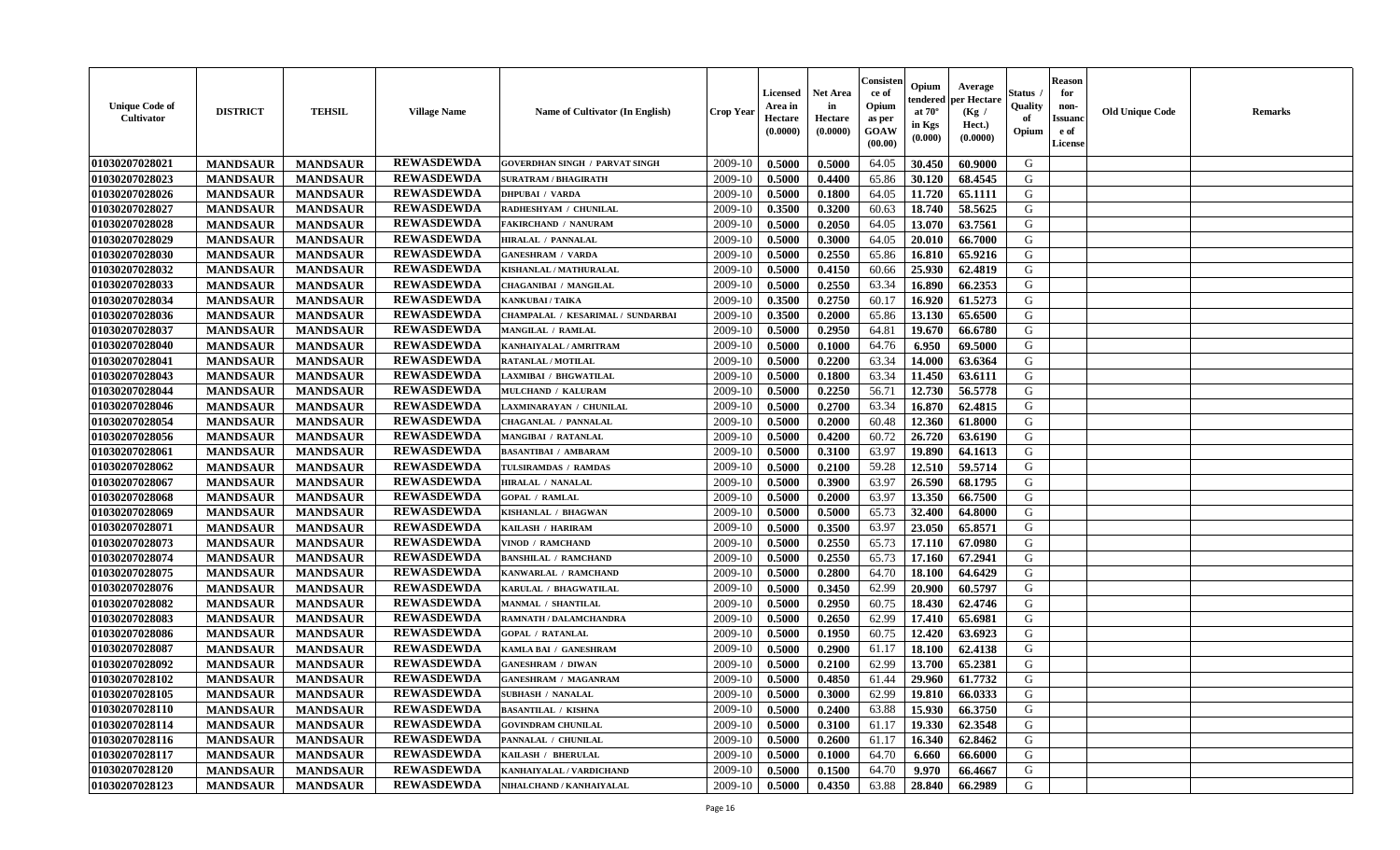| <b>Unique Code of</b><br>Cultivator | <b>DISTRICT</b> | <b>TEHSIL</b>   | <b>Village Name</b> | <b>Name of Cultivator (In English)</b> | <b>Crop Year</b> | <b>Licensed</b><br>Area in<br>Hectare<br>(0.0000) | <b>Net Area</b><br>in<br>Hectare<br>(0.0000) | Consister<br>ce of<br>Opium<br>as per<br>GOAW<br>(00.00) | Opium<br>endered<br>at $70^\circ$<br>in Kgs<br>$(\mathbf{0.000})$ | Average<br>per Hectare<br>(Kg /<br>Hect.)<br>(0.0000) | <b>Status</b> .<br>Quality<br>of<br>Opium | <b>Reason</b><br>for<br>non-<br><b>Issuanc</b><br>e of<br>License | <b>Old Unique Code</b> | <b>Remarks</b> |
|-------------------------------------|-----------------|-----------------|---------------------|----------------------------------------|------------------|---------------------------------------------------|----------------------------------------------|----------------------------------------------------------|-------------------------------------------------------------------|-------------------------------------------------------|-------------------------------------------|-------------------------------------------------------------------|------------------------|----------------|
| 01030207028021                      | <b>MANDSAUR</b> | <b>MANDSAUR</b> | <b>REWASDEWDA</b>   | <b>GOVERDHAN SINGH / PARVAT SINGH</b>  | 2009-10          | 0.5000                                            | 0.5000                                       | 64.05                                                    | 30.450                                                            | 60.9000                                               | G                                         |                                                                   |                        |                |
| 01030207028023                      | <b>MANDSAUR</b> | <b>MANDSAUR</b> | <b>REWASDEWDA</b>   | <b>SURATRAM / BHAGIRATH</b>            | 2009-10          | 0.5000                                            | 0.4400                                       | 65.86                                                    | 30.120                                                            | 68.4545                                               | G                                         |                                                                   |                        |                |
| 01030207028026                      | <b>MANDSAUR</b> | <b>MANDSAUR</b> | <b>REWASDEWDA</b>   | <b>DHPUBAI / VARDA</b>                 | 2009-10          | 0.5000                                            | 0.1800                                       | 64.05                                                    | 11.720                                                            | 65.1111                                               | G                                         |                                                                   |                        |                |
| 01030207028027                      | <b>MANDSAUR</b> | <b>MANDSAUR</b> | <b>REWASDEWDA</b>   | RADHESHYAM / CHUNILAL                  | 2009-10          | 0.3500                                            | 0.3200                                       | 60.63                                                    | 18.740                                                            | 58.5625                                               | G                                         |                                                                   |                        |                |
| 01030207028028                      | <b>MANDSAUR</b> | <b>MANDSAUR</b> | <b>REWASDEWDA</b>   | <b>FAKIRCHAND / NANURAM</b>            | 2009-10          | 0.5000                                            | 0.2050                                       | 64.05                                                    | 13.070                                                            | 63.7561                                               | G                                         |                                                                   |                        |                |
| 01030207028029                      | <b>MANDSAUR</b> | <b>MANDSAUR</b> | <b>REWASDEWDA</b>   | <b>HIRALAL / PANNALAL</b>              | 2009-10          | 0.5000                                            | 0.3000                                       | 64.05                                                    | 20.010                                                            | 66.7000                                               | G                                         |                                                                   |                        |                |
| 01030207028030                      | <b>MANDSAUR</b> | <b>MANDSAUR</b> | <b>REWASDEWDA</b>   | <b>GANESHRAM / VARDA</b>               | 2009-10          | 0.5000                                            | 0.2550                                       | 65.86                                                    | 16.810                                                            | 65.9216                                               | G                                         |                                                                   |                        |                |
| 01030207028032                      | <b>MANDSAUR</b> | <b>MANDSAUR</b> | <b>REWASDEWDA</b>   | KISHANLAL / MATHURALAL                 | 2009-10          | 0.5000                                            | 0.4150                                       | 60.66                                                    | 25.930                                                            | 62.4819                                               | G                                         |                                                                   |                        |                |
| 01030207028033                      | <b>MANDSAUR</b> | <b>MANDSAUR</b> | <b>REWASDEWDA</b>   | <b>CHAGANIBAI / MANGILAL</b>           | 2009-10          | 0.5000                                            | 0.2550                                       | 63.34                                                    | 16.890                                                            | 66.2353                                               | G                                         |                                                                   |                        |                |
| 01030207028034                      | <b>MANDSAUR</b> | <b>MANDSAUR</b> | <b>REWASDEWDA</b>   | <b>KANKUBAI/TAIKA</b>                  | 2009-10          | 0.3500                                            | 0.2750                                       | 60.17                                                    | 16.920                                                            | 61.5273                                               | G                                         |                                                                   |                        |                |
| 01030207028036                      | <b>MANDSAUR</b> | <b>MANDSAUR</b> | <b>REWASDEWDA</b>   | CHAMPALAL / KESARIMAL / SUNDARBAI      | 2009-10          | 0.3500                                            | 0.2000                                       | 65.86                                                    | 13.130                                                            | 65.6500                                               | G                                         |                                                                   |                        |                |
| 01030207028037                      | <b>MANDSAUR</b> | <b>MANDSAUR</b> | <b>REWASDEWDA</b>   | MANGILAL / RAMLAL                      | 2009-10          | 0.5000                                            | 0.2950                                       | 64.81                                                    | 19.670                                                            | 66.6780                                               | G                                         |                                                                   |                        |                |
| 01030207028040                      | <b>MANDSAUR</b> | <b>MANDSAUR</b> | <b>REWASDEWDA</b>   | KANHAIYALAL / AMRITRAM                 | 2009-10          | 0.5000                                            | 0.1000                                       | 64.76                                                    | 6.950                                                             | 69.5000                                               | G                                         |                                                                   |                        |                |
| 01030207028041                      | <b>MANDSAUR</b> | <b>MANDSAUR</b> | <b>REWASDEWDA</b>   | RATANLAL / MOTILAL                     | 2009-10          | 0.5000                                            | 0.2200                                       | 63.34                                                    | 14.000                                                            | 63.6364                                               | G                                         |                                                                   |                        |                |
| 01030207028043                      | <b>MANDSAUR</b> | <b>MANDSAUR</b> | <b>REWASDEWDA</b>   | AXMIBAI / BHGWATILAL                   | 2009-10          | 0.5000                                            | 0.1800                                       | 63.34                                                    | 11.450                                                            | 63.6111                                               | ${\bf G}$                                 |                                                                   |                        |                |
| 01030207028044                      | <b>MANDSAUR</b> | <b>MANDSAUR</b> | <b>REWASDEWDA</b>   | MULCHAND / KALURAM                     | 2009-10          | 0.5000                                            | 0.2250                                       | 56.71                                                    | 12.730                                                            | 56.5778                                               | G                                         |                                                                   |                        |                |
| 01030207028046                      | <b>MANDSAUR</b> | <b>MANDSAUR</b> | <b>REWASDEWDA</b>   | LAXMINARAYAN / CHUNILAL                | 2009-10          | 0.5000                                            | 0.2700                                       | 63.34                                                    | 16.870                                                            | 62.4815                                               | G                                         |                                                                   |                        |                |
| 01030207028054                      | <b>MANDSAUR</b> | <b>MANDSAUR</b> | <b>REWASDEWDA</b>   | CHAGANLAL / PANNALAL                   | 2009-10          | 0.5000                                            | 0.2000                                       | 60.48                                                    | 12.360                                                            | 61.8000                                               | G                                         |                                                                   |                        |                |
| 01030207028056                      | <b>MANDSAUR</b> | <b>MANDSAUR</b> | <b>REWASDEWDA</b>   | MANGIBAI / RATANLAL                    | 2009-10          | 0.5000                                            | 0.4200                                       | 60.72                                                    | 26.720                                                            | 63.6190                                               | G                                         |                                                                   |                        |                |
|                                     |                 |                 | <b>REWASDEWDA</b>   |                                        |                  |                                                   |                                              |                                                          | 19.890                                                            | 64.1613                                               | G                                         |                                                                   |                        |                |
| 01030207028061                      | <b>MANDSAUR</b> | <b>MANDSAUR</b> | <b>REWASDEWDA</b>   | <b>BASANTIBAI / AMBARAM</b>            | 2009-10          | 0.5000                                            | 0.3100                                       | 63.97                                                    |                                                                   |                                                       |                                           |                                                                   |                        |                |
| 01030207028062                      | <b>MANDSAUR</b> | <b>MANDSAUR</b> |                     | TULSIRAMDAS / RAMDAS                   | 2009-10          | 0.5000                                            | 0.2100                                       | 59.28                                                    | 12.510                                                            | 59.5714                                               | G                                         |                                                                   |                        |                |
| 01030207028067                      | <b>MANDSAUR</b> | <b>MANDSAUR</b> | <b>REWASDEWDA</b>   | <b>HIRALAL / NANALAL</b>               | 2009-10          | 0.5000                                            | 0.3900                                       | 63.97                                                    | 26.590                                                            | 68.1795                                               | G                                         |                                                                   |                        |                |
| 01030207028068                      | <b>MANDSAUR</b> | <b>MANDSAUR</b> | <b>REWASDEWDA</b>   | <b>GOPAL / RAMLAL</b>                  | 2009-10          | 0.5000                                            | 0.2000                                       | 63.97                                                    | 13.350                                                            | 66.7500                                               | ${\bf G}$                                 |                                                                   |                        |                |
| 01030207028069                      | <b>MANDSAUR</b> | <b>MANDSAUR</b> | <b>REWASDEWDA</b>   | KISHANLAL / BHAGWAN                    | 2009-10          | 0.5000                                            | 0.5000                                       | 65.73                                                    | 32.400                                                            | 64.8000                                               | ${\bf G}$                                 |                                                                   |                        |                |
| 01030207028071                      | <b>MANDSAUR</b> | <b>MANDSAUR</b> | <b>REWASDEWDA</b>   | KAILASH / HARIRAM                      | 2009-10          | 0.5000                                            | 0.3500                                       | 63.97                                                    | 23.050                                                            | 65.8571                                               | G                                         |                                                                   |                        |                |
| 01030207028073                      | <b>MANDSAUR</b> | <b>MANDSAUR</b> | <b>REWASDEWDA</b>   | VINOD / RAMCHAND                       | 2009-10          | 0.5000                                            | 0.2550                                       | 65.73                                                    | 17.110                                                            | 67.0980                                               | G                                         |                                                                   |                        |                |
| 01030207028074                      | <b>MANDSAUR</b> | <b>MANDSAUR</b> | <b>REWASDEWDA</b>   | <b>BANSHILAL / RAMCHAND</b>            | 2009-10          | 0.5000                                            | 0.2550                                       | 65.73                                                    | 17.160                                                            | 67.2941                                               | G                                         |                                                                   |                        |                |
| 01030207028075                      | <b>MANDSAUR</b> | <b>MANDSAUR</b> | <b>REWASDEWDA</b>   | KANWARLAL / RAMCHAND                   | 2009-10          | 0.5000                                            | 0.2800                                       | 64.70                                                    | 18.100                                                            | 64.6429                                               | G                                         |                                                                   |                        |                |
| 01030207028076                      | <b>MANDSAUR</b> | <b>MANDSAUR</b> | <b>REWASDEWDA</b>   | KARULAL / BHAGWATILAL                  | 2009-10          | 0.5000                                            | 0.3450                                       | 62.99                                                    | 20.900                                                            | 60.5797                                               | G                                         |                                                                   |                        |                |
| 01030207028082                      | <b>MANDSAUR</b> | <b>MANDSAUR</b> | <b>REWASDEWDA</b>   | <b>MANMAL / SHANTILAL</b>              | 2009-10          | 0.5000                                            | 0.2950                                       | 60.75                                                    | 18.430                                                            | 62.4746                                               | G                                         |                                                                   |                        |                |
| 01030207028083                      | <b>MANDSAUR</b> | <b>MANDSAUR</b> | <b>REWASDEWDA</b>   | RAMNATH / DALAMCHANDRA                 | 2009-10          | 0.5000                                            | 0.2650                                       | 62.99                                                    | 17.410                                                            | 65.6981                                               | G                                         |                                                                   |                        |                |
| 01030207028086                      | <b>MANDSAUR</b> | <b>MANDSAUR</b> | <b>REWASDEWDA</b>   | <b>GOPAL / RATANLAL</b>                | 2009-10          | 0.5000                                            | 0.1950                                       | 60.75                                                    | 12.420                                                            | 63.6923                                               | G                                         |                                                                   |                        |                |
| 01030207028087                      | <b>MANDSAUR</b> | <b>MANDSAUR</b> | <b>REWASDEWDA</b>   | KAMLA BAI / GANESHRAM                  | 2009-10          | 0.5000                                            | 0.2900                                       | 61.17                                                    | 18.100                                                            | 62.4138                                               | G                                         |                                                                   |                        |                |
| 01030207028092                      | <b>MANDSAUR</b> | <b>MANDSAUR</b> | <b>REWASDEWDA</b>   | <b>GANESHRAM / DIWAN</b>               | 2009-10          | 0.5000                                            | 0.2100                                       | 62.99                                                    | 13.700                                                            | 65.2381                                               | G                                         |                                                                   |                        |                |
| 01030207028102                      | <b>MANDSAUR</b> | <b>MANDSAUR</b> | <b>REWASDEWDA</b>   | <b>GANESHRAM / MAGANRAM</b>            | 2009-10          | 0.5000                                            | 0.4850                                       | 61.44                                                    | 29.960                                                            | 61.7732                                               | ${\bf G}$                                 |                                                                   |                        |                |
| 01030207028105                      | <b>MANDSAUR</b> | <b>MANDSAUR</b> | <b>REWASDEWDA</b>   | SUBHASH / NANALAL                      | 2009-10          | 0.5000                                            | 0.3000                                       | 62.99                                                    | 19.810                                                            | 66.0333                                               | G                                         |                                                                   |                        |                |
| 01030207028110                      | <b>MANDSAUR</b> | <b>MANDSAUR</b> | <b>REWASDEWDA</b>   | <b>BASANTILAL / KISHNA</b>             | 2009-10          | 0.5000                                            | 0.2400                                       | 63.88                                                    | 15.930                                                            | 66.3750                                               | G                                         |                                                                   |                        |                |
| 01030207028114                      | <b>MANDSAUR</b> | <b>MANDSAUR</b> | <b>REWASDEWDA</b>   | <b>GOVINDRAM CHUNILAL</b>              | 2009-10          | 0.5000                                            | 0.3100                                       | 61.17                                                    | 19.330                                                            | 62.3548                                               | G                                         |                                                                   |                        |                |
| 01030207028116                      | <b>MANDSAUR</b> | <b>MANDSAUR</b> | <b>REWASDEWDA</b>   | PANNALAL / CHUNILAL                    | 2009-10          | 0.5000                                            | 0.2600                                       | 61.17                                                    | 16.340                                                            | 62.8462                                               | G                                         |                                                                   |                        |                |
| 01030207028117                      | <b>MANDSAUR</b> | <b>MANDSAUR</b> | <b>REWASDEWDA</b>   | <b>KAILASH / BHERULAL</b>              | 2009-10          | 0.5000                                            | 0.1000                                       | 64.70                                                    | 6.660                                                             | 66.6000                                               | ${\bf G}$                                 |                                                                   |                        |                |
| 01030207028120                      | <b>MANDSAUR</b> | <b>MANDSAUR</b> | <b>REWASDEWDA</b>   | KANHAIYALAL / VARDICHAND               | 2009-10          | 0.5000                                            | 0.1500                                       | 64.70                                                    | 9.970                                                             | 66.4667                                               | G                                         |                                                                   |                        |                |
| 01030207028123                      | <b>MANDSAUR</b> | <b>MANDSAUR</b> | <b>REWASDEWDA</b>   | NIHALCHAND / KANHAIYALAL               | 2009-10          | 0.5000                                            | 0.4350                                       | 63.88                                                    | 28.840                                                            | 66.2989                                               | G                                         |                                                                   |                        |                |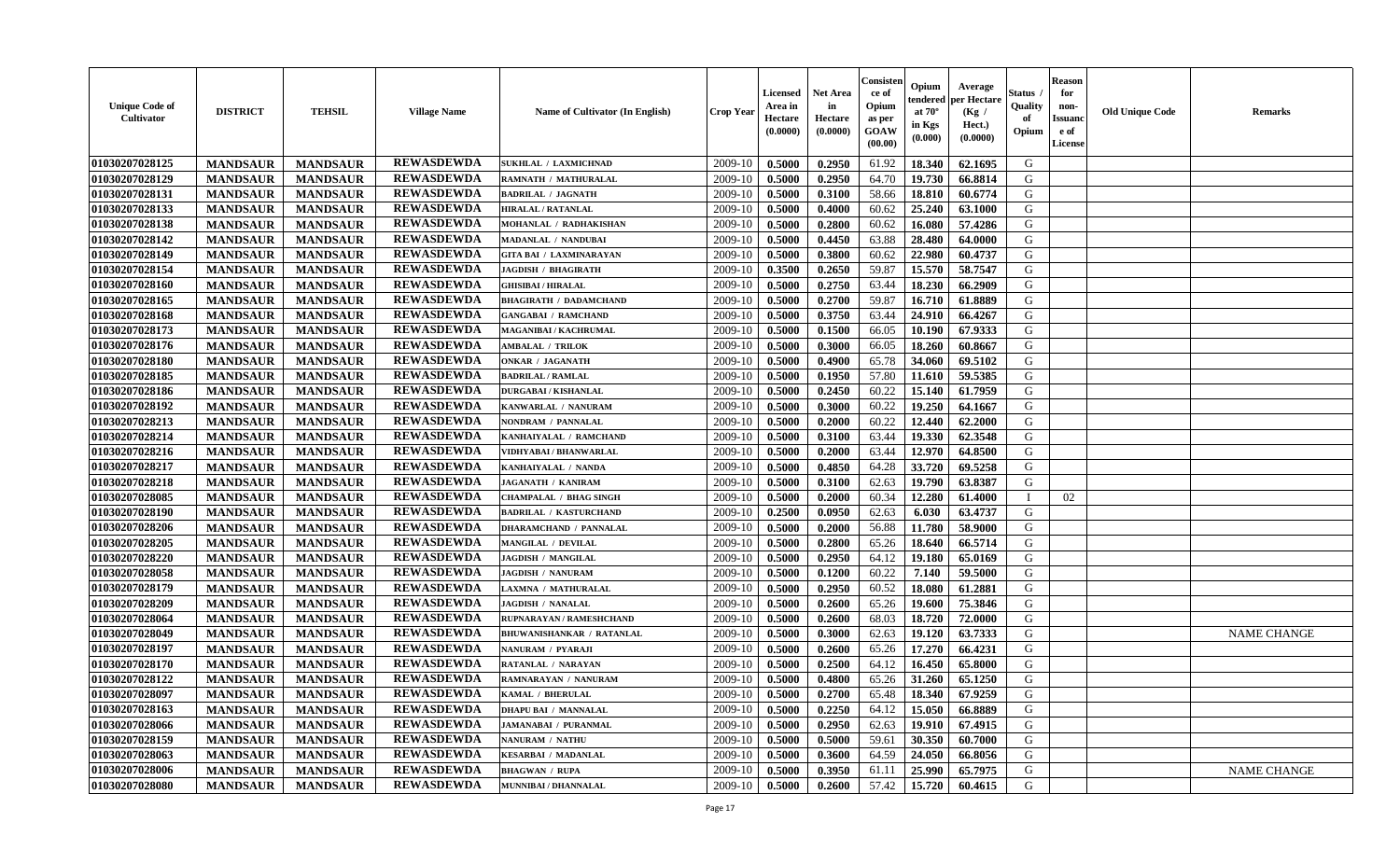| <b>Unique Code of</b><br>Cultivator | <b>DISTRICT</b> | <b>TEHSIL</b>   | <b>Village Name</b> | Name of Cultivator (In English)  | <b>Crop Year</b> | <b>Licensed</b><br>Area in<br>Hectare<br>(0.0000) | <b>Net Area</b><br>in<br>Hectare<br>(0.0000) | Consister<br>ce of<br>Opium<br>as per<br>GOAW<br>(00.00) | Opium<br>endered<br>at $70^\circ$<br>in Kgs<br>(0.000) | Average<br>per Hectare<br>(Kg /<br>Hect.)<br>(0.0000) | <b>Status</b><br>Quality<br>of<br>Opium | <b>Reason</b><br>for<br>non-<br><b>Issuanc</b><br>e of<br>License | <b>Old Unique Code</b> | <b>Remarks</b>     |
|-------------------------------------|-----------------|-----------------|---------------------|----------------------------------|------------------|---------------------------------------------------|----------------------------------------------|----------------------------------------------------------|--------------------------------------------------------|-------------------------------------------------------|-----------------------------------------|-------------------------------------------------------------------|------------------------|--------------------|
| 01030207028125                      | <b>MANDSAUR</b> | <b>MANDSAUR</b> | <b>REWASDEWDA</b>   | SUKHLAL / LAXMICHNAD             | 2009-10          | 0.5000                                            | 0.2950                                       | 61.92                                                    | 18.340                                                 | 62.1695                                               | G                                       |                                                                   |                        |                    |
| 01030207028129                      | <b>MANDSAUR</b> | <b>MANDSAUR</b> | <b>REWASDEWDA</b>   | RAMNATH / MATHURALAL             | 2009-10          | 0.5000                                            | 0.2950                                       | 64.70                                                    | 19.730                                                 | 66.8814                                               | G                                       |                                                                   |                        |                    |
| 01030207028131                      | <b>MANDSAUR</b> | <b>MANDSAUR</b> | <b>REWASDEWDA</b>   | <b>BADRILAL / JAGNATH</b>        | 2009-10          | 0.5000                                            | 0.3100                                       | 58.66                                                    | 18.810                                                 | 60.6774                                               | G                                       |                                                                   |                        |                    |
| 01030207028133                      | <b>MANDSAUR</b> | <b>MANDSAUR</b> | <b>REWASDEWDA</b>   | <b>HIRALAL / RATANLAL</b>        | 2009-10          | 0.5000                                            | 0.4000                                       | 60.62                                                    | 25.240                                                 | 63.1000                                               | G                                       |                                                                   |                        |                    |
| 01030207028138                      | <b>MANDSAUR</b> | <b>MANDSAUR</b> | <b>REWASDEWDA</b>   | MOHANLAL / RADHAKISHAN           | 2009-10          | 0.5000                                            | 0.2800                                       | 60.62                                                    | 16.080                                                 | 57.4286                                               | G                                       |                                                                   |                        |                    |
| 01030207028142                      | <b>MANDSAUR</b> | <b>MANDSAUR</b> | <b>REWASDEWDA</b>   | <b>MADANLAL / NANDUBAI</b>       | 2009-10          | 0.5000                                            | 0.4450                                       | 63.88                                                    | 28.480                                                 | 64.0000                                               | G                                       |                                                                   |                        |                    |
| 01030207028149                      | <b>MANDSAUR</b> | <b>MANDSAUR</b> | <b>REWASDEWDA</b>   | <b>GITA BAI / LAXMINARAYAN</b>   | 2009-10          | 0.5000                                            | 0.3800                                       | 60.62                                                    | 22.980                                                 | 60.4737                                               | G                                       |                                                                   |                        |                    |
| 01030207028154                      | <b>MANDSAUR</b> | <b>MANDSAUR</b> | <b>REWASDEWDA</b>   | <b>JAGDISH / BHAGIRATH</b>       | 2009-10          | 0.3500                                            | 0.2650                                       | 59.87                                                    | 15.570                                                 | 58.7547                                               | G                                       |                                                                   |                        |                    |
| 01030207028160                      | <b>MANDSAUR</b> | <b>MANDSAUR</b> | <b>REWASDEWDA</b>   | <b>GHISIBAI / HIRALAL</b>        | 2009-10          | 0.5000                                            | 0.2750                                       | 63.44                                                    | 18.230                                                 | 66.2909                                               | G                                       |                                                                   |                        |                    |
| 01030207028165                      | <b>MANDSAUR</b> | <b>MANDSAUR</b> | <b>REWASDEWDA</b>   | <b>BHAGIRATH / DADAMCHAND</b>    | 2009-10          | 0.5000                                            | 0.2700                                       | 59.87                                                    | 16.710                                                 | 61.8889                                               | G                                       |                                                                   |                        |                    |
| 01030207028168                      | <b>MANDSAUR</b> | <b>MANDSAUR</b> | <b>REWASDEWDA</b>   | <b>GANGABAI / RAMCHAND</b>       | 2009-10          | 0.5000                                            | 0.3750                                       | 63.44                                                    | 24.910                                                 | 66.4267                                               | G                                       |                                                                   |                        |                    |
| 01030207028173                      | <b>MANDSAUR</b> | <b>MANDSAUR</b> | <b>REWASDEWDA</b>   | MAGANIBAI / KACHRUMAL            | 2009-10          | 0.5000                                            | 0.1500                                       | 66.05                                                    | 10.190                                                 | 67.9333                                               | G                                       |                                                                   |                        |                    |
| 01030207028176                      | <b>MANDSAUR</b> | <b>MANDSAUR</b> | <b>REWASDEWDA</b>   | <b>AMBALAL / TRILOK</b>          | 2009-10          | 0.5000                                            | 0.3000                                       | 66.05                                                    | 18.260                                                 | 60.8667                                               | G                                       |                                                                   |                        |                    |
| 01030207028180                      | <b>MANDSAUR</b> | <b>MANDSAUR</b> | <b>REWASDEWDA</b>   | ONKAR / JAGANATH                 | 2009-10          | 0.5000                                            | 0.4900                                       | 65.78                                                    | 34.060                                                 | 69.5102                                               | G                                       |                                                                   |                        |                    |
| 01030207028185                      | <b>MANDSAUR</b> | <b>MANDSAUR</b> | <b>REWASDEWDA</b>   | <b>BADRILAL / RAMLAL</b>         | 2009-10          | 0.5000                                            | 0.1950                                       | 57.80                                                    | 11.610                                                 | 59.5385                                               | G                                       |                                                                   |                        |                    |
| 01030207028186                      | <b>MANDSAUR</b> | <b>MANDSAUR</b> | <b>REWASDEWDA</b>   | <b>DURGABAI/KISHANLAL</b>        | 2009-10          | 0.5000                                            | 0.2450                                       | 60.22                                                    | 15.140                                                 | 61.7959                                               | G                                       |                                                                   |                        |                    |
| 01030207028192                      | <b>MANDSAUR</b> | <b>MANDSAUR</b> | <b>REWASDEWDA</b>   | KANWARLAL / NANURAM              | 2009-10          | 0.5000                                            | 0.3000                                       | 60.22                                                    | 19.250                                                 | 64.1667                                               | G                                       |                                                                   |                        |                    |
| 01030207028213                      | <b>MANDSAUR</b> | <b>MANDSAUR</b> | <b>REWASDEWDA</b>   | NONDRAM / PANNALAL               | 2009-10          | 0.5000                                            | 0.2000                                       | 60.22                                                    | 12.440                                                 | 62.2000                                               | G                                       |                                                                   |                        |                    |
|                                     |                 |                 | <b>REWASDEWDA</b>   |                                  |                  |                                                   |                                              |                                                          |                                                        |                                                       | G                                       |                                                                   |                        |                    |
| 01030207028214                      | <b>MANDSAUR</b> | <b>MANDSAUR</b> | <b>REWASDEWDA</b>   | KANHAIYALAL / RAMCHAND           | 2009-10          | 0.5000                                            | 0.3100                                       | 63.44                                                    | 19.330                                                 | 62.3548                                               |                                         |                                                                   |                        |                    |
| 01030207028216                      | <b>MANDSAUR</b> | <b>MANDSAUR</b> |                     | VIDHYABAI / BHANWARLAL           | 2009-10          | 0.5000                                            | 0.2000                                       | 63.44                                                    | 12.970                                                 | 64.8500                                               | G                                       |                                                                   |                        |                    |
| 01030207028217                      | <b>MANDSAUR</b> | <b>MANDSAUR</b> | <b>REWASDEWDA</b>   | KANHAIYALAL / NANDA              | 2009-10          | 0.5000                                            | 0.4850                                       | 64.28                                                    | 33.720                                                 | 69.5258                                               | G                                       |                                                                   |                        |                    |
| 01030207028218                      | <b>MANDSAUR</b> | <b>MANDSAUR</b> | <b>REWASDEWDA</b>   | <b>JAGANATH / KANIRAM</b>        | 2009-10          | 0.5000                                            | 0.3100                                       | 62.63                                                    | 19.790                                                 | 63.8387                                               | G                                       |                                                                   |                        |                    |
| 01030207028085                      | <b>MANDSAUR</b> | <b>MANDSAUR</b> | <b>REWASDEWDA</b>   | <b>CHAMPALAL / BHAG SINGH</b>    | 2009-10          | 0.5000                                            | 0.2000                                       | 60.34                                                    | 12.280                                                 | 61.4000                                               |                                         | 02                                                                |                        |                    |
| 01030207028190                      | <b>MANDSAUR</b> | <b>MANDSAUR</b> | <b>REWASDEWDA</b>   | <b>BADRILAL / KASTURCHAND</b>    | 2009-10          | 0.2500                                            | 0.0950                                       | 62.63                                                    | 6.030                                                  | 63.4737                                               | G                                       |                                                                   |                        |                    |
| 01030207028206                      | <b>MANDSAUR</b> | <b>MANDSAUR</b> | <b>REWASDEWDA</b>   | <b>DHARAMCHAND / PANNALAL</b>    | 2009-10          | 0.5000                                            | 0.2000                                       | 56.88                                                    | 11.780                                                 | 58.9000                                               | G                                       |                                                                   |                        |                    |
| 01030207028205                      | <b>MANDSAUR</b> | <b>MANDSAUR</b> | <b>REWASDEWDA</b>   | MANGILAL / DEVILAL               | 2009-10          | 0.5000                                            | 0.2800                                       | 65.26                                                    | 18.640                                                 | 66.5714                                               | G                                       |                                                                   |                        |                    |
| 01030207028220                      | <b>MANDSAUR</b> | <b>MANDSAUR</b> | <b>REWASDEWDA</b>   | <b>JAGDISH / MANGILAL</b>        | 2009-10          | 0.5000                                            | 0.2950                                       | 64.12                                                    | 19.180                                                 | 65.0169                                               | G                                       |                                                                   |                        |                    |
| 01030207028058                      | <b>MANDSAUR</b> | <b>MANDSAUR</b> | <b>REWASDEWDA</b>   | <b>JAGDISH / NANURAM</b>         | 2009-10          | 0.5000                                            | 0.1200                                       | 60.22                                                    | 7.140                                                  | 59.5000                                               | G                                       |                                                                   |                        |                    |
| 01030207028179                      | <b>MANDSAUR</b> | <b>MANDSAUR</b> | <b>REWASDEWDA</b>   | LAXMNA / MATHURALAL              | 2009-10          | 0.5000                                            | 0.2950                                       | 60.52                                                    | 18.080                                                 | 61.2881                                               | G                                       |                                                                   |                        |                    |
| 01030207028209                      | <b>MANDSAUR</b> | <b>MANDSAUR</b> | <b>REWASDEWDA</b>   | JAGDISH / NANALAL                | 2009-10          | 0.5000                                            | 0.2600                                       | 65.26                                                    | 19.600                                                 | 75.3846                                               | G                                       |                                                                   |                        |                    |
| 01030207028064                      | <b>MANDSAUR</b> | <b>MANDSAUR</b> | <b>REWASDEWDA</b>   | RUPNARAYAN / RAMESHCHAND         | 2009-10          | 0.5000                                            | 0.2600                                       | 68.03                                                    | 18.720                                                 | 72.0000                                               | G                                       |                                                                   |                        |                    |
| 01030207028049                      | <b>MANDSAUR</b> | <b>MANDSAUR</b> | <b>REWASDEWDA</b>   | <b>BHUWANISHANKAR / RATANLAL</b> | 2009-10          | 0.5000                                            | 0.3000                                       | 62.63                                                    | 19.120                                                 | 63.7333                                               | ${\bf G}$                               |                                                                   |                        | <b>NAME CHANGE</b> |
| 01030207028197                      | <b>MANDSAUR</b> | <b>MANDSAUR</b> | <b>REWASDEWDA</b>   | NANURAM / PYARAJI                | 2009-10          | 0.5000                                            | 0.2600                                       | 65.26                                                    | 17.270                                                 | 66.4231                                               | G                                       |                                                                   |                        |                    |
| 01030207028170                      | <b>MANDSAUR</b> | <b>MANDSAUR</b> | <b>REWASDEWDA</b>   | RATANLAL / NARAYAN               | 2009-10          | 0.5000                                            | 0.2500                                       | 64.12                                                    | 16.450                                                 | 65.8000                                               | G                                       |                                                                   |                        |                    |
| 01030207028122                      | <b>MANDSAUR</b> | <b>MANDSAUR</b> | <b>REWASDEWDA</b>   | RAMNARAYAN / NANURAM             | 2009-10          | 0.5000                                            | 0.4800                                       | 65.26                                                    | 31.260                                                 | 65.1250                                               | G                                       |                                                                   |                        |                    |
| 01030207028097                      | <b>MANDSAUR</b> | <b>MANDSAUR</b> | <b>REWASDEWDA</b>   | KAMAL / BHERULAL                 | 2009-10          | 0.5000                                            | 0.2700                                       | 65.48                                                    | 18.340                                                 | 67.9259                                               | G                                       |                                                                   |                        |                    |
| 01030207028163                      | <b>MANDSAUR</b> | <b>MANDSAUR</b> | <b>REWASDEWDA</b>   | <b>DHAPU BAI / MANNALAL</b>      | 2009-10          | 0.5000                                            | 0.2250                                       | 64.12                                                    | 15.050                                                 | 66.8889                                               | G                                       |                                                                   |                        |                    |
| 01030207028066                      | <b>MANDSAUR</b> | <b>MANDSAUR</b> | <b>REWASDEWDA</b>   | <b>JAMANABAI / PURANMAL</b>      | 2009-10          | 0.5000                                            | 0.2950                                       | 62.63                                                    | 19.910                                                 | 67.4915                                               | G                                       |                                                                   |                        |                    |
| 01030207028159                      | <b>MANDSAUR</b> | <b>MANDSAUR</b> | <b>REWASDEWDA</b>   | <b>NANURAM / NATHU</b>           | 2009-10          | 0.5000                                            | 0.5000                                       | 59.61                                                    | 30.350                                                 | 60.7000                                               | G                                       |                                                                   |                        |                    |
| 01030207028063                      | <b>MANDSAUR</b> | <b>MANDSAUR</b> | <b>REWASDEWDA</b>   | <b>KESARBAI / MADANLAL</b>       | 2009-10          | 0.5000                                            | 0.3600                                       | 64.59                                                    | 24.050                                                 | 66.8056                                               | G                                       |                                                                   |                        |                    |
| 01030207028006                      | <b>MANDSAUR</b> | <b>MANDSAUR</b> | <b>REWASDEWDA</b>   | <b>BHAGWAN / RUPA</b>            | 2009-10          | 0.5000                                            | 0.3950                                       | 61.11                                                    | 25.990                                                 | 65.7975                                               | G                                       |                                                                   |                        | <b>NAME CHANGE</b> |
| 01030207028080                      | <b>MANDSAUR</b> | <b>MANDSAUR</b> | <b>REWASDEWDA</b>   | MUNNIBAI / DHANNALAL             | 2009-10          | 0.5000                                            | 0.2600                                       | 57.42                                                    | 15.720                                                 | 60.4615                                               | G                                       |                                                                   |                        |                    |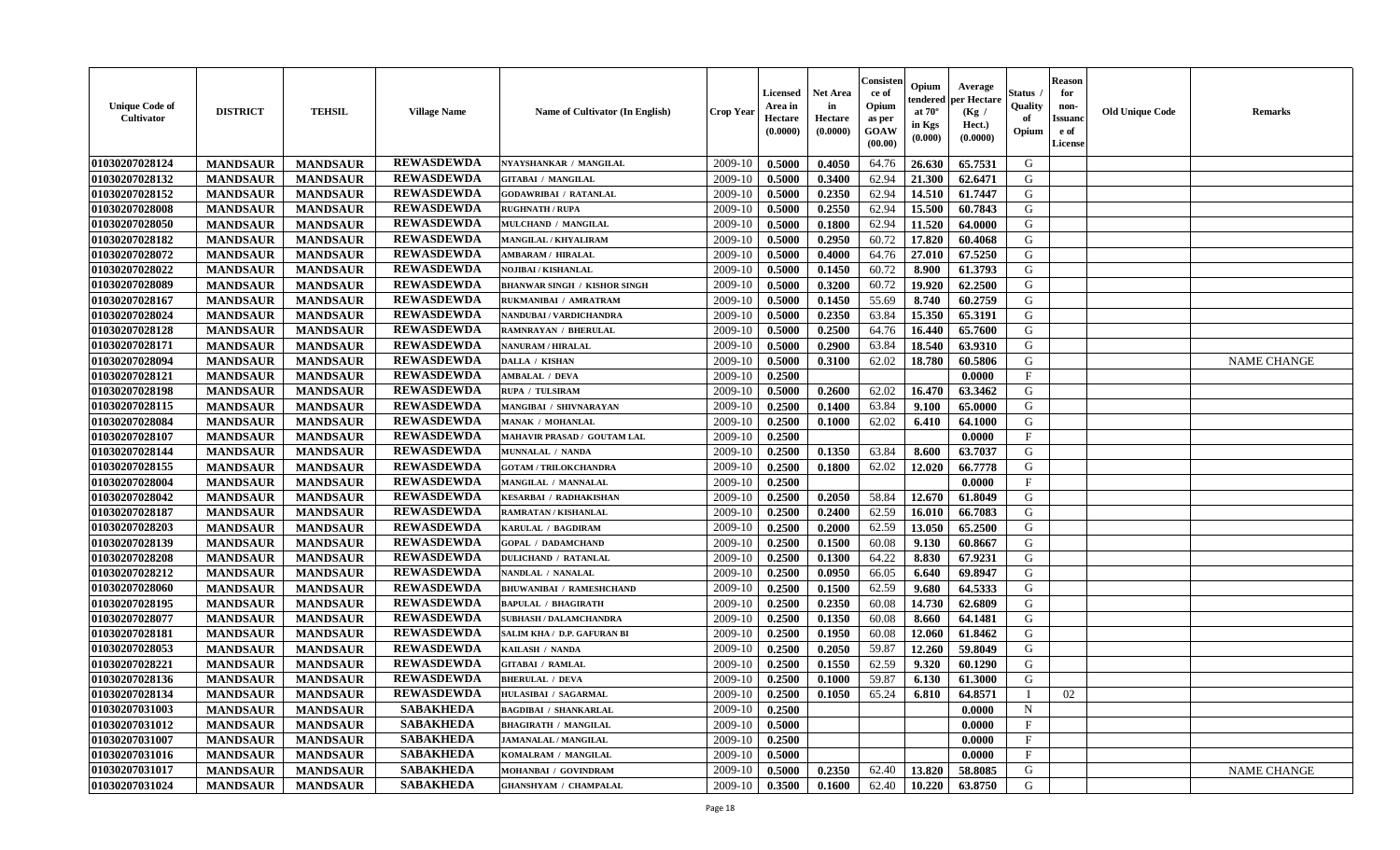| <b>Unique Code of</b><br>Cultivator | <b>DISTRICT</b> | <b>TEHSIL</b>   | <b>Village Name</b> | Name of Cultivator (In English)     | <b>Crop Year</b> | <b>Licensed</b><br>Area in<br>Hectare<br>(0.0000) | <b>Net Area</b><br>in<br>Hectare<br>(0.0000) | Consister<br>ce of<br>Opium<br>as per<br>GOAW<br>(00.00) | Opium<br>endered<br>at $70^\circ$<br>in Kgs<br>(0.000) | Average<br>per Hectare<br>(Kg /<br>Hect.)<br>(0.0000) | Status .<br>Quality<br>of<br>Opium | <b>Reason</b><br>for<br>non-<br><b>Issuanc</b><br>e of<br>License | <b>Old Unique Code</b> | <b>Remarks</b>     |
|-------------------------------------|-----------------|-----------------|---------------------|-------------------------------------|------------------|---------------------------------------------------|----------------------------------------------|----------------------------------------------------------|--------------------------------------------------------|-------------------------------------------------------|------------------------------------|-------------------------------------------------------------------|------------------------|--------------------|
| 01030207028124                      | <b>MANDSAUR</b> | <b>MANDSAUR</b> | <b>REWASDEWDA</b>   | NYAYSHANKAR / MANGILAL              | 2009-10          | 0.5000                                            | 0.4050                                       | 64.76                                                    | 26.630                                                 | 65.7531                                               | G                                  |                                                                   |                        |                    |
| 01030207028132                      | <b>MANDSAUR</b> | <b>MANDSAUR</b> | <b>REWASDEWDA</b>   | <b>GITABAI / MANGILAL</b>           | 2009-10          | 0.5000                                            | 0.3400                                       | 62.94                                                    | 21.300                                                 | 62.6471                                               | G                                  |                                                                   |                        |                    |
| 01030207028152                      | <b>MANDSAUR</b> | <b>MANDSAUR</b> | <b>REWASDEWDA</b>   | <b>GODAWRIBAI / RATANLAL</b>        | 2009-10          | 0.5000                                            | 0.2350                                       | 62.94                                                    | 14.510                                                 | 61.7447                                               | G                                  |                                                                   |                        |                    |
| 01030207028008                      | <b>MANDSAUR</b> | <b>MANDSAUR</b> | <b>REWASDEWDA</b>   | <b>RUGHNATH / RUPA</b>              | 2009-10          | 0.5000                                            | 0.2550                                       | 62.94                                                    | 15.500                                                 | 60.7843                                               | G                                  |                                                                   |                        |                    |
| 01030207028050                      | <b>MANDSAUR</b> | <b>MANDSAUR</b> | <b>REWASDEWDA</b>   | MULCHAND / MANGILAL                 | 2009-10          | 0.5000                                            | 0.1800                                       | 62.94                                                    | 11.520                                                 | 64.0000                                               | G                                  |                                                                   |                        |                    |
| 01030207028182                      | <b>MANDSAUR</b> | <b>MANDSAUR</b> | <b>REWASDEWDA</b>   | <b>MANGILAL / KHYALIRAM</b>         | 2009-10          | 0.5000                                            | 0.2950                                       | 60.72                                                    | 17.820                                                 | 60.4068                                               | G                                  |                                                                   |                        |                    |
| 01030207028072                      | <b>MANDSAUR</b> | <b>MANDSAUR</b> | <b>REWASDEWDA</b>   | <b>AMBARAM / HIRALAL</b>            | 2009-10          | 0.5000                                            | 0.4000                                       | 64.76                                                    | 27.010                                                 | 67.5250                                               | G                                  |                                                                   |                        |                    |
| 01030207028022                      | <b>MANDSAUR</b> | <b>MANDSAUR</b> | <b>REWASDEWDA</b>   | NOJIBAI / KISHANLAL                 | 2009-10          | 0.5000                                            | 0.1450                                       | 60.72                                                    | 8.900                                                  | 61.3793                                               | G                                  |                                                                   |                        |                    |
| 01030207028089                      | <b>MANDSAUR</b> | <b>MANDSAUR</b> | <b>REWASDEWDA</b>   | <b>BHANWAR SINGH / KISHOR SINGH</b> | 2009-10          | 0.5000                                            | 0.3200                                       | 60.72                                                    | 19.920                                                 | 62.2500                                               | G                                  |                                                                   |                        |                    |
| 01030207028167                      | <b>MANDSAUR</b> | <b>MANDSAUR</b> | <b>REWASDEWDA</b>   | RUKMANIBAI / AMRATRAM               | 2009-10          | 0.5000                                            | 0.1450                                       | 55.69                                                    | 8.740                                                  | 60.2759                                               | G                                  |                                                                   |                        |                    |
| 01030207028024                      | <b>MANDSAUR</b> | <b>MANDSAUR</b> | <b>REWASDEWDA</b>   | NANDUBAI / VARDICHANDRA             | 2009-10          | 0.5000                                            | 0.2350                                       | 63.84                                                    | 15.350                                                 | 65.3191                                               | G                                  |                                                                   |                        |                    |
| 01030207028128                      | <b>MANDSAUR</b> | <b>MANDSAUR</b> | <b>REWASDEWDA</b>   | <b>RAMNRAYAN / BHERULAL</b>         | 2009-10          | 0.5000                                            | 0.2500                                       | 64.76                                                    | 16.440                                                 | 65.7600                                               | G                                  |                                                                   |                        |                    |
| 01030207028171                      | <b>MANDSAUR</b> | <b>MANDSAUR</b> | <b>REWASDEWDA</b>   | <b>NANURAM / HIRALAL</b>            | 2009-10          | 0.5000                                            | 0.2900                                       | 63.84                                                    | 18.540                                                 | 63.9310                                               | G                                  |                                                                   |                        |                    |
| 01030207028094                      | <b>MANDSAUR</b> | <b>MANDSAUR</b> | <b>REWASDEWDA</b>   | DALLA / KISHAN                      | 2009-10          | 0.5000                                            | 0.3100                                       | 62.02                                                    | 18.780                                                 | 60.5806                                               | G                                  |                                                                   |                        | <b>NAME CHANGE</b> |
| 01030207028121                      | <b>MANDSAUR</b> | <b>MANDSAUR</b> | <b>REWASDEWDA</b>   | <b>AMBALAL / DEVA</b>               | 2009-10          | 0.2500                                            |                                              |                                                          |                                                        | 0.0000                                                | $\mathbf{F}$                       |                                                                   |                        |                    |
| 01030207028198                      | <b>MANDSAUR</b> | <b>MANDSAUR</b> | <b>REWASDEWDA</b>   | RUPA / TULSIRAM                     | 2009-10          | 0.5000                                            | 0.2600                                       | 62.02                                                    | 16.470                                                 | 63.3462                                               | G                                  |                                                                   |                        |                    |
| 01030207028115                      | <b>MANDSAUR</b> | <b>MANDSAUR</b> | <b>REWASDEWDA</b>   | MANGIBAI / SHIVNARAYAN              | 2009-10          | 0.2500                                            | 0.1400                                       | 63.84                                                    | 9.100                                                  | 65.0000                                               | G                                  |                                                                   |                        |                    |
| 01030207028084                      | <b>MANDSAUR</b> | <b>MANDSAUR</b> | <b>REWASDEWDA</b>   | <b>MANAK / MOHANLAL</b>             | 2009-10          | 0.2500                                            | 0.1000                                       | 62.02                                                    | 6.410                                                  | 64.1000                                               | G                                  |                                                                   |                        |                    |
| 01030207028107                      | <b>MANDSAUR</b> | <b>MANDSAUR</b> | <b>REWASDEWDA</b>   | MAHAVIR PRASAD / GOUTAM LAL         | 2009-10          | 0.2500                                            |                                              |                                                          |                                                        | 0.0000                                                | $\mathbf{F}$                       |                                                                   |                        |                    |
| 01030207028144                      | <b>MANDSAUR</b> | <b>MANDSAUR</b> | <b>REWASDEWDA</b>   | MUNNALAL / NANDA                    | 2009-10          | 0.2500                                            | 0.1350                                       | 63.84                                                    | 8.600                                                  | 63.7037                                               | G                                  |                                                                   |                        |                    |
| 01030207028155                      | <b>MANDSAUR</b> | <b>MANDSAUR</b> | <b>REWASDEWDA</b>   | <b>GOTAM / TRILOKCHANDRA</b>        | 2009-10          | 0.2500                                            | 0.1800                                       | 62.02                                                    | 12.020                                                 | 66.7778                                               | G                                  |                                                                   |                        |                    |
| 01030207028004                      | <b>MANDSAUR</b> | <b>MANDSAUR</b> | <b>REWASDEWDA</b>   | MANGILAL / MANNALAL                 | 2009-10          | 0.2500                                            |                                              |                                                          |                                                        | 0.0000                                                | F                                  |                                                                   |                        |                    |
| 01030207028042                      | <b>MANDSAUR</b> | <b>MANDSAUR</b> | <b>REWASDEWDA</b>   | <b>KESARBAI / RADHAKISHAN</b>       | 2009-10          | 0.2500                                            | 0.2050                                       | 58.84                                                    | 12.670                                                 | 61.8049                                               | G                                  |                                                                   |                        |                    |
| 01030207028187                      | <b>MANDSAUR</b> | <b>MANDSAUR</b> | <b>REWASDEWDA</b>   | RAMRATAN / KISHANLAL                | 2009-10          | 0.2500                                            | 0.2400                                       | 62.59                                                    | 16.010                                                 | 66.7083                                               | G                                  |                                                                   |                        |                    |
| 01030207028203                      | <b>MANDSAUR</b> | <b>MANDSAUR</b> | <b>REWASDEWDA</b>   | KARULAL / BAGDIRAM                  | 2009-10          | 0.2500                                            | 0.2000                                       | 62.59                                                    | 13.050                                                 | 65.2500                                               | G                                  |                                                                   |                        |                    |
| 01030207028139                      | <b>MANDSAUR</b> | <b>MANDSAUR</b> | <b>REWASDEWDA</b>   | <b>GOPAL / DADAMCHAND</b>           | 2009-10          | 0.2500                                            | 0.1500                                       | 60.08                                                    | 9.130                                                  | 60.8667                                               | G                                  |                                                                   |                        |                    |
| 01030207028208                      | <b>MANDSAUR</b> | <b>MANDSAUR</b> | <b>REWASDEWDA</b>   | <b>DULICHAND / RATANLAL</b>         | 2009-10          | 0.2500                                            | 0.1300                                       | 64.22                                                    | 8.830                                                  | 67.9231                                               | ${\bf G}$                          |                                                                   |                        |                    |
| 01030207028212                      | <b>MANDSAUR</b> | <b>MANDSAUR</b> | <b>REWASDEWDA</b>   | NANDLAL / NANALAL                   | 2009-10          | 0.2500                                            | 0.0950                                       | 66.05                                                    | 6.640                                                  | 69.8947                                               | G                                  |                                                                   |                        |                    |
| 01030207028060                      | <b>MANDSAUR</b> | <b>MANDSAUR</b> | <b>REWASDEWDA</b>   | <b>BHUWANIBAI / RAMESHCHAND</b>     | 2009-10          | 0.2500                                            | 0.1500                                       | 62.59                                                    | 9.680                                                  | 64.5333                                               | G                                  |                                                                   |                        |                    |
| 01030207028195                      | <b>MANDSAUR</b> | <b>MANDSAUR</b> | <b>REWASDEWDA</b>   | <b>BAPULAL / BHAGIRATH</b>          | 2009-10          | 0.2500                                            | 0.2350                                       | 60.08                                                    | 14.730                                                 | 62.6809                                               | G                                  |                                                                   |                        |                    |
| 01030207028077                      | <b>MANDSAUR</b> | <b>MANDSAUR</b> | <b>REWASDEWDA</b>   | <b>SUBHASH / DALAMCHANDRA</b>       | 2009-10          | 0.2500                                            | 0.1350                                       | 60.08                                                    | 8.660                                                  | 64.1481                                               | G                                  |                                                                   |                        |                    |
| 01030207028181                      | <b>MANDSAUR</b> | <b>MANDSAUR</b> | <b>REWASDEWDA</b>   | SALIM KHA / D.P. GAFURAN BI         | 2009-10          | 0.2500                                            | 0.1950                                       | 60.08                                                    | 12.060                                                 | 61.8462                                               | G                                  |                                                                   |                        |                    |
| 01030207028053                      | <b>MANDSAUR</b> | <b>MANDSAUR</b> | <b>REWASDEWDA</b>   | KAILASH / NANDA                     | 2009-10          | 0.2500                                            | 0.2050                                       | 59.87                                                    | 12.260                                                 | 59.8049                                               | G                                  |                                                                   |                        |                    |
| 01030207028221                      | <b>MANDSAUR</b> | <b>MANDSAUR</b> | <b>REWASDEWDA</b>   | <b>GITABAI / RAMLAL</b>             | 2009-10          | 0.2500                                            | 0.1550                                       | 62.59                                                    | 9.320                                                  | 60.1290                                               | G                                  |                                                                   |                        |                    |
| 01030207028136                      | <b>MANDSAUR</b> | <b>MANDSAUR</b> | <b>REWASDEWDA</b>   | <b>BHERULAL / DEVA</b>              | 2009-10          | 0.2500                                            | 0.1000                                       | 59.87                                                    | 6.130                                                  | 61.3000                                               | G                                  |                                                                   |                        |                    |
| 01030207028134                      | <b>MANDSAUR</b> | <b>MANDSAUR</b> | <b>REWASDEWDA</b>   | <b>HULASIBAI / SAGARMAL</b>         | 2009-10          | 0.2500                                            | 0.1050                                       | 65.24                                                    | 6.810                                                  | 64.8571                                               |                                    | 02                                                                |                        |                    |
| 01030207031003                      | <b>MANDSAUR</b> | <b>MANDSAUR</b> | <b>SABAKHEDA</b>    | <b>BAGDIBAI / SHANKARLAL</b>        | 2009-10          | 0.2500                                            |                                              |                                                          |                                                        | 0.0000                                                | $\mathbf N$                        |                                                                   |                        |                    |
| 01030207031012                      | <b>MANDSAUR</b> | <b>MANDSAUR</b> | <b>SABAKHEDA</b>    | <b>BHAGIRATH / MANGILAL</b>         | 2009-10          | 0.5000                                            |                                              |                                                          |                                                        | 0.0000                                                | $\mathbf{F}$                       |                                                                   |                        |                    |
| 01030207031007                      | <b>MANDSAUR</b> | <b>MANDSAUR</b> | <b>SABAKHEDA</b>    | <b>JAMANALAL / MANGILAL</b>         | 2009-10          | 0.2500                                            |                                              |                                                          |                                                        | 0.0000                                                | $\mathbf{F}$                       |                                                                   |                        |                    |
| 01030207031016                      | <b>MANDSAUR</b> | <b>MANDSAUR</b> | <b>SABAKHEDA</b>    | KOMALRAM / MANGILAL                 | 2009-10          | 0.5000                                            |                                              |                                                          |                                                        | 0.0000                                                | F                                  |                                                                   |                        |                    |
| 01030207031017                      | <b>MANDSAUR</b> | <b>MANDSAUR</b> | <b>SABAKHEDA</b>    | MOHANBAI / GOVINDRAM                | 2009-10          | 0.5000                                            | 0.2350                                       | 62.40                                                    | 13.820                                                 | 58.8085                                               | G                                  |                                                                   |                        | <b>NAME CHANGE</b> |
| 01030207031024                      | <b>MANDSAUR</b> | <b>MANDSAUR</b> | <b>SABAKHEDA</b>    | <b>GHANSHYAM / CHAMPALAL</b>        | 2009-10          | 0.3500                                            | 0.1600                                       | 62.40                                                    | 10.220                                                 | 63.8750                                               | G                                  |                                                                   |                        |                    |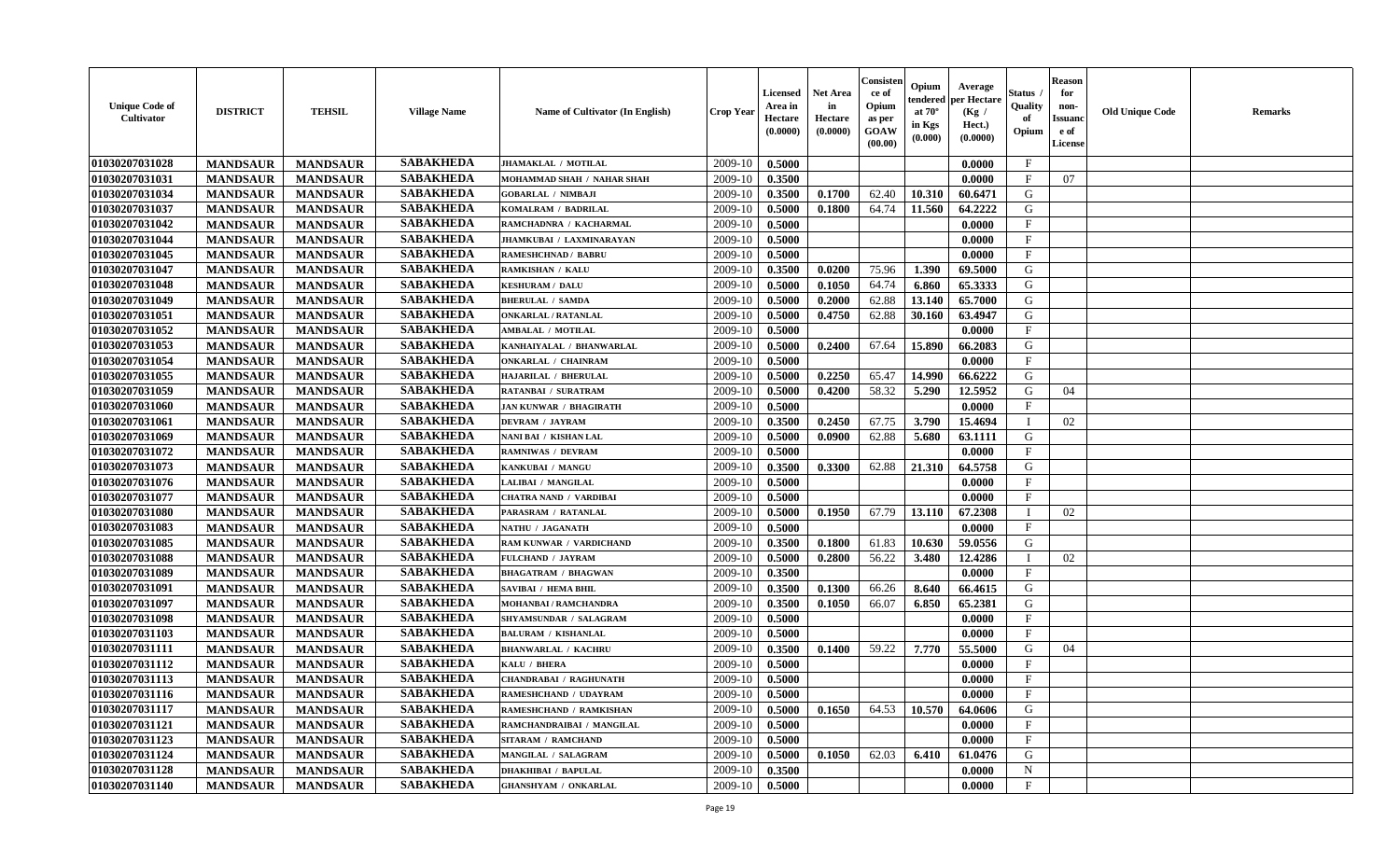| <b>Unique Code of</b><br><b>Cultivator</b> | <b>DISTRICT</b> | <b>TEHSIL</b>   | <b>Village Name</b> | Name of Cultivator (In English) | <b>Crop Year</b> | <b>Licensed</b><br>Area in<br>Hectare<br>(0.0000) | Net Area<br>in<br>Hectare<br>(0.0000) | Consister<br>ce of<br>Opium<br>as per<br>GOAW<br>(00.00) | Opium<br>endered<br>at $70^\circ$<br>in Kgs<br>(0.000) | Average<br>per Hectare<br>(Kg /<br>Hect.)<br>(0.0000) | Status<br>Quality<br>of<br>Opium | <b>Reason</b><br>for<br>non-<br><b>Issuand</b><br>e of<br>License | <b>Old Unique Code</b> | Remarks |
|--------------------------------------------|-----------------|-----------------|---------------------|---------------------------------|------------------|---------------------------------------------------|---------------------------------------|----------------------------------------------------------|--------------------------------------------------------|-------------------------------------------------------|----------------------------------|-------------------------------------------------------------------|------------------------|---------|
| 01030207031028                             | <b>MANDSAUR</b> | <b>MANDSAUR</b> | <b>SABAKHEDA</b>    | JHAMAKLAL / MOTILAL             | 2009-10          | 0.5000                                            |                                       |                                                          |                                                        | 0.0000                                                | $\mathbf{F}$                     |                                                                   |                        |         |
| 01030207031031                             | <b>MANDSAUR</b> | <b>MANDSAUR</b> | <b>SABAKHEDA</b>    | MOHAMMAD SHAH / NAHAR SHAH      | 2009-10          | 0.3500                                            |                                       |                                                          |                                                        | 0.0000                                                | $\mathbf{F}$                     | 07                                                                |                        |         |
| 01030207031034                             | <b>MANDSAUR</b> | <b>MANDSAUR</b> | <b>SABAKHEDA</b>    | <b>GOBARLAL / NIMBAJI</b>       | 2009-10          | 0.3500                                            | 0.1700                                | 62.40                                                    | 10.310                                                 | 60.6471                                               | G                                |                                                                   |                        |         |
| 01030207031037                             | <b>MANDSAUR</b> | <b>MANDSAUR</b> | <b>SABAKHEDA</b>    | KOMALRAM / BADRILAL             | 2009-10          | 0.5000                                            | 0.1800                                | 64.74                                                    | 11.560                                                 | 64.2222                                               | G                                |                                                                   |                        |         |
| 01030207031042                             | <b>MANDSAUR</b> | <b>MANDSAUR</b> | <b>SABAKHEDA</b>    | RAMCHADNRA / KACHARMAL          | 2009-10          | 0.5000                                            |                                       |                                                          |                                                        | 0.0000                                                | $_{\rm F}$                       |                                                                   |                        |         |
| 01030207031044                             | <b>MANDSAUR</b> | <b>MANDSAUR</b> | <b>SABAKHEDA</b>    | JHAMKUBAI / LAXMINARAYAN        | 2009-10          | 0.5000                                            |                                       |                                                          |                                                        | 0.0000                                                | $\mathbf{F}$                     |                                                                   |                        |         |
| 01030207031045                             | <b>MANDSAUR</b> | <b>MANDSAUR</b> | <b>SABAKHEDA</b>    | <b>RAMESHCHNAD / BABRU</b>      | 2009-10          | 0.5000                                            |                                       |                                                          |                                                        | 0.0000                                                | $\mathbf{F}$                     |                                                                   |                        |         |
| 01030207031047                             | <b>MANDSAUR</b> | <b>MANDSAUR</b> | <b>SABAKHEDA</b>    | RAMKISHAN / KALU                | 2009-10          | 0.3500                                            | 0.0200                                | 75.96                                                    | 1.390                                                  | 69.5000                                               | G                                |                                                                   |                        |         |
| 01030207031048                             | <b>MANDSAUR</b> | <b>MANDSAUR</b> | <b>SABAKHEDA</b>    | <b>KESHURAM / DALU</b>          | 2009-10          | 0.5000                                            | 0.1050                                | 64.74                                                    | 6.860                                                  | 65.3333                                               | G                                |                                                                   |                        |         |
| 01030207031049                             | <b>MANDSAUR</b> | <b>MANDSAUR</b> | <b>SABAKHEDA</b>    | <b>BHERULAL / SAMDA</b>         | 2009-10          | 0.5000                                            | 0.2000                                | 62.88                                                    | 13.140                                                 | 65.7000                                               | G                                |                                                                   |                        |         |
| 01030207031051                             | <b>MANDSAUR</b> | <b>MANDSAUR</b> | <b>SABAKHEDA</b>    | <b>ONKARLAL / RATANLAL</b>      | 2009-10          | 0.5000                                            | 0.4750                                | 62.88                                                    | 30.160                                                 | 63.4947                                               | G                                |                                                                   |                        |         |
| 01030207031052                             | <b>MANDSAUR</b> | <b>MANDSAUR</b> | <b>SABAKHEDA</b>    | <b>AMBALAL / MOTILAL</b>        | 2009-10          | 0.5000                                            |                                       |                                                          |                                                        | 0.0000                                                | $_{\rm F}$                       |                                                                   |                        |         |
| 01030207031053                             | <b>MANDSAUR</b> | <b>MANDSAUR</b> | <b>SABAKHEDA</b>    | KANHAIYALAL / BHANWARLAL        | 2009-10          | 0.5000                                            | 0.2400                                | 67.64                                                    | 15.890                                                 | 66.2083                                               | G                                |                                                                   |                        |         |
| 01030207031054                             | <b>MANDSAUR</b> | <b>MANDSAUR</b> | <b>SABAKHEDA</b>    | <b>ONKARLAL / CHAINRAM</b>      | 2009-10          | 0.5000                                            |                                       |                                                          |                                                        | 0.0000                                                | $\mathbf{F}$                     |                                                                   |                        |         |
| 01030207031055                             | <b>MANDSAUR</b> | <b>MANDSAUR</b> | <b>SABAKHEDA</b>    | HAJARILAL / BHERULAL            | 2009-10          | 0.5000                                            | 0.2250                                | 65.47                                                    | 14.990                                                 | 66.6222                                               | $\mathbf G$                      |                                                                   |                        |         |
| 01030207031059                             | <b>MANDSAUR</b> | <b>MANDSAUR</b> | <b>SABAKHEDA</b>    | <b>RATANBAI / SURATRAM</b>      | 2009-10          | 0.5000                                            | 0.4200                                | 58.32                                                    | 5.290                                                  | 12.5952                                               | G                                | 04                                                                |                        |         |
| 01030207031060                             | <b>MANDSAUR</b> | <b>MANDSAUR</b> | <b>SABAKHEDA</b>    | <b>JAN KUNWAR / BHAGIRATH</b>   | 2009-10          | 0.5000                                            |                                       |                                                          |                                                        | 0.0000                                                | $\mathbf{F}$                     |                                                                   |                        |         |
| 01030207031061                             | <b>MANDSAUR</b> | <b>MANDSAUR</b> | <b>SABAKHEDA</b>    | <b>DEVRAM / JAYRAM</b>          | 2009-10          | 0.3500                                            | 0.2450                                | 67.75                                                    | 3.790                                                  | 15.4694                                               | $\mathbf{I}$                     | 02                                                                |                        |         |
| 01030207031069                             | <b>MANDSAUR</b> | <b>MANDSAUR</b> | <b>SABAKHEDA</b>    | NANI BAI / KISHAN LAL           | 2009-10          | 0.5000                                            | 0.0900                                | 62.88                                                    | 5.680                                                  | 63.1111                                               | G                                |                                                                   |                        |         |
| 01030207031072                             | <b>MANDSAUR</b> | <b>MANDSAUR</b> | <b>SABAKHEDA</b>    | <b>RAMNIWAS / DEVRAM</b>        | 2009-10          | 0.5000                                            |                                       |                                                          |                                                        | 0.0000                                                | $\mathbf{F}$                     |                                                                   |                        |         |
| 01030207031073                             | <b>MANDSAUR</b> | <b>MANDSAUR</b> | <b>SABAKHEDA</b>    | KANKUBAI / MANGU                | 2009-10          | 0.3500                                            | 0.3300                                | 62.88                                                    | 21.310                                                 | 64.5758                                               | G                                |                                                                   |                        |         |
| 01030207031076                             | <b>MANDSAUR</b> | <b>MANDSAUR</b> | <b>SABAKHEDA</b>    | LALIBAI / MANGILAL              | 2009-10          | 0.5000                                            |                                       |                                                          |                                                        | 0.0000                                                | $_{\rm F}$                       |                                                                   |                        |         |
| 01030207031077                             | <b>MANDSAUR</b> | <b>MANDSAUR</b> | <b>SABAKHEDA</b>    | <b>CHATRA NAND / VARDIBAI</b>   | 2009-10          | 0.5000                                            |                                       |                                                          |                                                        | 0.0000                                                | F                                |                                                                   |                        |         |
| 01030207031080                             | <b>MANDSAUR</b> | <b>MANDSAUR</b> | <b>SABAKHEDA</b>    | PARASRAM / RATANLAL             | 2009-10          | 0.5000                                            | 0.1950                                | 67.79                                                    | 13.110                                                 | 67.2308                                               |                                  | 02                                                                |                        |         |
| 01030207031083                             | <b>MANDSAUR</b> | <b>MANDSAUR</b> | <b>SABAKHEDA</b>    | NATHU / JAGANATH                | 2009-10          | 0.5000                                            |                                       |                                                          |                                                        | 0.0000                                                | $\mathbf{F}$                     |                                                                   |                        |         |
| 01030207031085                             | <b>MANDSAUR</b> | <b>MANDSAUR</b> | <b>SABAKHEDA</b>    | RAM KUNWAR / VARDICHAND         | 2009-10          | 0.3500                                            | 0.1800                                | 61.83                                                    | 10.630                                                 | 59.0556                                               | G                                |                                                                   |                        |         |
| 01030207031088                             | <b>MANDSAUR</b> | <b>MANDSAUR</b> | <b>SABAKHEDA</b>    | FULCHAND / JAYRAM               | 2009-10          | 0.5000                                            | 0.2800                                | 56.22                                                    | 3.480                                                  | 12.4286                                               | $\mathbf I$                      | 02                                                                |                        |         |
| 01030207031089                             | <b>MANDSAUR</b> | <b>MANDSAUR</b> | <b>SABAKHEDA</b>    | <b>BHAGATRAM / BHAGWAN</b>      | 2009-10          | 0.3500                                            |                                       |                                                          |                                                        | 0.0000                                                | $\mathbf{F}$                     |                                                                   |                        |         |
| 01030207031091                             | <b>MANDSAUR</b> | <b>MANDSAUR</b> | <b>SABAKHEDA</b>    | <b>SAVIBAI / HEMA BHIL</b>      | 2009-10          | 0.3500                                            | 0.1300                                | 66.26                                                    | 8.640                                                  | 66.4615                                               | G                                |                                                                   |                        |         |
| 01030207031097                             | <b>MANDSAUR</b> | <b>MANDSAUR</b> | <b>SABAKHEDA</b>    | <b>MOHANBAI/RAMCHANDRA</b>      | 2009-10          | 0.3500                                            | 0.1050                                | 66.07                                                    | 6.850                                                  | 65.2381                                               | G                                |                                                                   |                        |         |
| 01030207031098                             | <b>MANDSAUR</b> | <b>MANDSAUR</b> | <b>SABAKHEDA</b>    | SHYAMSUNDAR / SALAGRAM          | 2009-10          | 0.5000                                            |                                       |                                                          |                                                        | 0.0000                                                | $\mathbf{F}$                     |                                                                   |                        |         |
| 01030207031103                             | <b>MANDSAUR</b> | <b>MANDSAUR</b> | <b>SABAKHEDA</b>    | <b>BALURAM / KISHANLAL</b>      | 2009-10          | 0.5000                                            |                                       |                                                          |                                                        | 0.0000                                                | $\mathbf{F}$                     |                                                                   |                        |         |
| 01030207031111                             | <b>MANDSAUR</b> | <b>MANDSAUR</b> | <b>SABAKHEDA</b>    | <b>BHANWARLAL / KACHRU</b>      | 2009-10          | 0.3500                                            | 0.1400                                | 59.22                                                    | 7.770                                                  | 55.5000                                               | G                                | 04                                                                |                        |         |
| 01030207031112                             | <b>MANDSAUR</b> | <b>MANDSAUR</b> | <b>SABAKHEDA</b>    | KALU / BHERA                    | 2009-10          | 0.5000                                            |                                       |                                                          |                                                        | 0.0000                                                | $\mathbf{F}$                     |                                                                   |                        |         |
| 01030207031113                             | <b>MANDSAUR</b> | <b>MANDSAUR</b> | <b>SABAKHEDA</b>    | <b>CHANDRABAI / RAGHUNATH</b>   | 2009-10          | 0.5000                                            |                                       |                                                          |                                                        | 0.0000                                                | $_{\rm F}$                       |                                                                   |                        |         |
| 01030207031116                             | <b>MANDSAUR</b> | <b>MANDSAUR</b> | <b>SABAKHEDA</b>    | RAMESHCHAND / UDAYRAM           | 2009-10          | 0.5000                                            |                                       |                                                          |                                                        | 0.0000                                                | $\mathbf{F}$                     |                                                                   |                        |         |
| 01030207031117                             | <b>MANDSAUR</b> | <b>MANDSAUR</b> | <b>SABAKHEDA</b>    | RAMESHCHAND / RAMKISHAN         | 2009-10          | 0.5000                                            | 0.1650                                | 64.53                                                    | 10.570                                                 | 64.0606                                               | G                                |                                                                   |                        |         |
| 01030207031121                             | <b>MANDSAUR</b> | <b>MANDSAUR</b> | <b>SABAKHEDA</b>    | RAMCHANDRAIBAI / MANGILAL       | 2009-10          | 0.5000                                            |                                       |                                                          |                                                        | 0.0000                                                | $\mathbf{F}$                     |                                                                   |                        |         |
| 01030207031123                             | <b>MANDSAUR</b> | <b>MANDSAUR</b> | <b>SABAKHEDA</b>    | <b>SITARAM / RAMCHAND</b>       | 2009-10          | 0.5000                                            |                                       |                                                          |                                                        | 0.0000                                                | $\mathbf{F}$                     |                                                                   |                        |         |
| 01030207031124                             | <b>MANDSAUR</b> | <b>MANDSAUR</b> | <b>SABAKHEDA</b>    | MANGILAL / SALAGRAM             | 2009-10          | 0.5000                                            | 0.1050                                | 62.03                                                    | 6.410                                                  | 61.0476                                               | G                                |                                                                   |                        |         |
| 01030207031128                             | <b>MANDSAUR</b> | <b>MANDSAUR</b> | <b>SABAKHEDA</b>    | <b>DHAKHIBAI / BAPULAL</b>      | 2009-10          | 0.3500                                            |                                       |                                                          |                                                        | 0.0000                                                | N                                |                                                                   |                        |         |
| 01030207031140                             | <b>MANDSAUR</b> | <b>MANDSAUR</b> | <b>SABAKHEDA</b>    | <b>GHANSHYAM / ONKARLAL</b>     | 2009-10          | 0.5000                                            |                                       |                                                          |                                                        | 0.0000                                                | $\mathbf{F}$                     |                                                                   |                        |         |
|                                            |                 |                 |                     |                                 |                  |                                                   |                                       |                                                          |                                                        |                                                       |                                  |                                                                   |                        |         |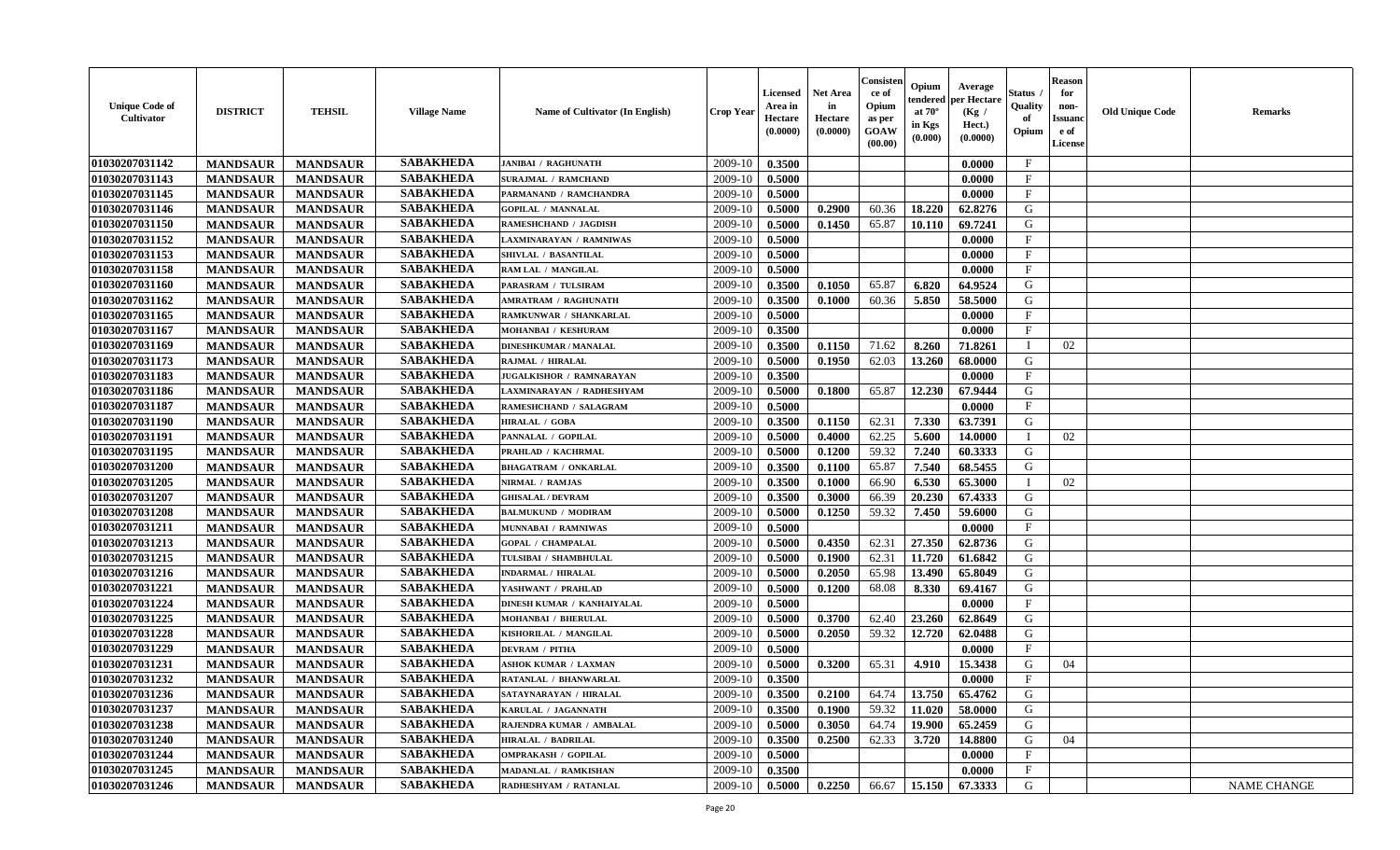| <b>Unique Code of</b><br><b>Cultivator</b> | <b>DISTRICT</b> | <b>TEHSIL</b>   | <b>Village Name</b> | Name of Cultivator (In English) | <b>Crop Year</b> | <b>Licensed</b><br>Area in<br>Hectare<br>(0.0000) | <b>Net Area</b><br>in<br>Hectare<br>(0.0000) | Consisteı<br>ce of<br>Opium<br>as per<br><b>GOAW</b><br>(00.00) | Opium<br>endered<br>at $70^\circ$<br>in Kgs<br>$(\mathbf{0.000})$ | Average<br>per Hectare<br>(Kg /<br>Hect.)<br>(0.0000) | Status<br>Quality<br>of<br>Opium | Reason<br>for<br>non-<br>Issuan<br>e of<br>License | <b>Old Unique Code</b> | <b>Remarks</b>     |
|--------------------------------------------|-----------------|-----------------|---------------------|---------------------------------|------------------|---------------------------------------------------|----------------------------------------------|-----------------------------------------------------------------|-------------------------------------------------------------------|-------------------------------------------------------|----------------------------------|----------------------------------------------------|------------------------|--------------------|
| 01030207031142                             | <b>MANDSAUR</b> | <b>MANDSAUR</b> | <b>SABAKHEDA</b>    | <b>JANIBAI / RAGHUNATH</b>      | 2009-10          | 0.3500                                            |                                              |                                                                 |                                                                   | 0.0000                                                | $\mathbf{F}$                     |                                                    |                        |                    |
| 01030207031143                             | <b>MANDSAUR</b> | <b>MANDSAUR</b> | <b>SABAKHEDA</b>    | <b>SURAJMAL / RAMCHAND</b>      | 2009-10          | 0.5000                                            |                                              |                                                                 |                                                                   | 0.0000                                                | $\mathbf{F}$                     |                                                    |                        |                    |
| 01030207031145                             | <b>MANDSAUR</b> | <b>MANDSAUR</b> | <b>SABAKHEDA</b>    | PARMANAND / RAMCHANDRA          | 2009-10          | 0.5000                                            |                                              |                                                                 |                                                                   | 0.0000                                                | $\mathbf{F}$                     |                                                    |                        |                    |
| 01030207031146                             | <b>MANDSAUR</b> | <b>MANDSAUR</b> | <b>SABAKHEDA</b>    | <b>GOPILAL / MANNALAL</b>       | 2009-10          | 0.5000                                            | 0.2900                                       | 60.36                                                           | 18.220                                                            | 62.8276                                               | G                                |                                                    |                        |                    |
| 01030207031150                             | <b>MANDSAUR</b> | <b>MANDSAUR</b> | <b>SABAKHEDA</b>    | RAMESHCHAND / JAGDISH           | 2009-10          | 0.5000                                            | 0.1450                                       | 65.87                                                           | 10.110                                                            | 69.7241                                               | G                                |                                                    |                        |                    |
| 01030207031152                             | <b>MANDSAUR</b> | <b>MANDSAUR</b> | <b>SABAKHEDA</b>    | LAXMINARAYAN / RAMNIWAS         | 2009-10          | 0.5000                                            |                                              |                                                                 |                                                                   | 0.0000                                                | $_{\rm F}$                       |                                                    |                        |                    |
| 01030207031153                             | <b>MANDSAUR</b> | <b>MANDSAUR</b> | <b>SABAKHEDA</b>    | SHIVLAL / BASANTILAL            | 2009-10          | 0.5000                                            |                                              |                                                                 |                                                                   | 0.0000                                                | $\mathbf{F}$                     |                                                    |                        |                    |
| 01030207031158                             | <b>MANDSAUR</b> | <b>MANDSAUR</b> | <b>SABAKHEDA</b>    | RAM LAL / MANGILAL              | 2009-10          | 0.5000                                            |                                              |                                                                 |                                                                   | 0.0000                                                | $\mathbf{F}$                     |                                                    |                        |                    |
| 01030207031160                             | <b>MANDSAUR</b> | <b>MANDSAUR</b> | <b>SABAKHEDA</b>    | PARASRAM / TULSIRAM             | 2009-10          | 0.3500                                            | 0.1050                                       | 65.87                                                           | 6.820                                                             | 64.9524                                               | G                                |                                                    |                        |                    |
| 01030207031162                             | <b>MANDSAUR</b> | <b>MANDSAUR</b> | <b>SABAKHEDA</b>    | <b>AMRATRAM / RAGHUNATH</b>     | 2009-10          | 0.3500                                            | 0.1000                                       | 60.36                                                           | 5.850                                                             | 58.5000                                               | G                                |                                                    |                        |                    |
| 01030207031165                             | <b>MANDSAUR</b> | <b>MANDSAUR</b> | <b>SABAKHEDA</b>    | RAMKUNWAR / SHANKARLAL          | 2009-10          | 0.5000                                            |                                              |                                                                 |                                                                   | 0.0000                                                | $\mathbf{F}$                     |                                                    |                        |                    |
| 01030207031167                             | <b>MANDSAUR</b> | <b>MANDSAUR</b> | <b>SABAKHEDA</b>    | MOHANBAI / KESHURAM             | 2009-10          | 0.3500                                            |                                              |                                                                 |                                                                   | 0.0000                                                | $_{\rm F}$                       |                                                    |                        |                    |
| 01030207031169                             | <b>MANDSAUR</b> | <b>MANDSAUR</b> | <b>SABAKHEDA</b>    | <b>DINESHKUMAR / MANALAL</b>    | 2009-10          | 0.3500                                            | 0.1150                                       | 71.62                                                           | 8.260                                                             | 71.8261                                               | $\blacksquare$                   | 02                                                 |                        |                    |
| 01030207031173                             | <b>MANDSAUR</b> | <b>MANDSAUR</b> | <b>SABAKHEDA</b>    | RAJMAL / HIRALAL                | 2009-10          | 0.5000                                            | 0.1950                                       | 62.03                                                           | 13.260                                                            | 68.0000                                               | G                                |                                                    |                        |                    |
| 01030207031183                             | <b>MANDSAUR</b> | <b>MANDSAUR</b> | <b>SABAKHEDA</b>    | JUGALKISHOR / RAMNARAYAN        | 2009-10          | 0.3500                                            |                                              |                                                                 |                                                                   | 0.0000                                                | $\mathbf{F}$                     |                                                    |                        |                    |
| 01030207031186                             | <b>MANDSAUR</b> | <b>MANDSAUR</b> | <b>SABAKHEDA</b>    | LAXMINARAYAN / RADHESHYAM       | 2009-10          | 0.5000                                            | 0.1800                                       | 65.87                                                           | 12.230                                                            | 67.9444                                               | G                                |                                                    |                        |                    |
| 01030207031187                             | <b>MANDSAUR</b> | <b>MANDSAUR</b> | <b>SABAKHEDA</b>    | RAMESHCHAND / SALAGRAM          | 2009-10          | 0.5000                                            |                                              |                                                                 |                                                                   | 0.0000                                                | $\mathbf F$                      |                                                    |                        |                    |
| 01030207031190                             | <b>MANDSAUR</b> | <b>MANDSAUR</b> | <b>SABAKHEDA</b>    | HIRALAL / GOBA                  | 2009-10          | 0.3500                                            | 0.1150                                       | 62.31                                                           | 7.330                                                             | 63.7391                                               | G                                |                                                    |                        |                    |
| 01030207031191                             | <b>MANDSAUR</b> | <b>MANDSAUR</b> | <b>SABAKHEDA</b>    | PANNALAL / GOPILAL              | 2009-10          | 0.5000                                            | 0.4000                                       | 62.25                                                           | 5.600                                                             | 14.0000                                               |                                  | 02                                                 |                        |                    |
| 01030207031195                             | <b>MANDSAUR</b> | <b>MANDSAUR</b> | <b>SABAKHEDA</b>    | PRAHLAD / KACHRMAL              | 2009-10          | 0.5000                                            | 0.1200                                       | 59.32                                                           | 7.240                                                             | 60.3333                                               | G                                |                                                    |                        |                    |
| 01030207031200                             | <b>MANDSAUR</b> | <b>MANDSAUR</b> | <b>SABAKHEDA</b>    | <b>BHAGATRAM / ONKARLAL</b>     | 2009-10          | 0.3500                                            | 0.1100                                       | 65.87                                                           | 7.540                                                             | 68.5455                                               | G                                |                                                    |                        |                    |
| 01030207031205                             | <b>MANDSAUR</b> | <b>MANDSAUR</b> | <b>SABAKHEDA</b>    | NIRMAL / RAMJAS                 | 2009-10          | 0.3500                                            | 0.1000                                       | 66.90                                                           | 6.530                                                             | 65.3000                                               | - 1                              | 02                                                 |                        |                    |
| 01030207031207                             | <b>MANDSAUR</b> | <b>MANDSAUR</b> | <b>SABAKHEDA</b>    | <b>GHISALAL / DEVRAM</b>        | 2009-10          | 0.3500                                            | 0.3000                                       | 66.39                                                           | 20.230                                                            | 67.4333                                               | G                                |                                                    |                        |                    |
| 01030207031208                             | <b>MANDSAUR</b> | <b>MANDSAUR</b> | <b>SABAKHEDA</b>    | <b>BALMUKUND / MODIRAM</b>      | 2009-10          | 0.5000                                            | 0.1250                                       | 59.32                                                           | 7.450                                                             | 59.6000                                               | G                                |                                                    |                        |                    |
| 01030207031211                             | <b>MANDSAUR</b> | <b>MANDSAUR</b> | <b>SABAKHEDA</b>    | MUNNABAI / RAMNIWAS             | 2009-10          | 0.5000                                            |                                              |                                                                 |                                                                   | 0.0000                                                | $\mathbf{F}$                     |                                                    |                        |                    |
| 01030207031213                             | <b>MANDSAUR</b> | <b>MANDSAUR</b> | <b>SABAKHEDA</b>    | <b>GOPAL / CHAMPALAL</b>        | 2009-10          | 0.5000                                            | 0.4350                                       | 62.31                                                           | 27.350                                                            | 62.8736                                               | G                                |                                                    |                        |                    |
| 01030207031215                             | <b>MANDSAUR</b> | <b>MANDSAUR</b> | <b>SABAKHEDA</b>    | TULSIBAI / SHAMBHULAL           | 2009-10          | 0.5000                                            | 0.1900                                       | 62.31                                                           | 11.720                                                            | 61.6842                                               | G                                |                                                    |                        |                    |
| 01030207031216                             | <b>MANDSAUR</b> | <b>MANDSAUR</b> | <b>SABAKHEDA</b>    | <b>INDARMAL / HIRALAL</b>       | 2009-10          | 0.5000                                            | 0.2050                                       | 65.98                                                           | 13.490                                                            | 65.8049                                               | G                                |                                                    |                        |                    |
| 01030207031221                             | <b>MANDSAUR</b> | <b>MANDSAUR</b> | <b>SABAKHEDA</b>    | YASHWANT / PRAHLAD              | 2009-10          | 0.5000                                            | 0.1200                                       | 68.08                                                           | 8.330                                                             | 69.4167                                               | G                                |                                                    |                        |                    |
| 01030207031224                             | <b>MANDSAUR</b> | <b>MANDSAUR</b> | <b>SABAKHEDA</b>    | DINESH KUMAR / KANHAIYALAL      | 2009-10          | 0.5000                                            |                                              |                                                                 |                                                                   | 0.0000                                                | $\mathbf{F}$                     |                                                    |                        |                    |
| 01030207031225                             | <b>MANDSAUR</b> | <b>MANDSAUR</b> | <b>SABAKHEDA</b>    | <b>MOHANBAI / BHERULAL</b>      | 2009-10          | 0.5000                                            | 0.3700                                       | 62.40                                                           | 23.260                                                            | 62.8649                                               | G                                |                                                    |                        |                    |
| 01030207031228                             | <b>MANDSAUR</b> | <b>MANDSAUR</b> | <b>SABAKHEDA</b>    | KISHORILAL / MANGILAL           | 2009-10          | 0.5000                                            | 0.2050                                       | 59.32                                                           | 12.720                                                            | 62.0488                                               | G                                |                                                    |                        |                    |
| 01030207031229                             | <b>MANDSAUR</b> | <b>MANDSAUR</b> | <b>SABAKHEDA</b>    | <b>DEVRAM / PITHA</b>           | 2009-10          | 0.5000                                            |                                              |                                                                 |                                                                   | 0.0000                                                | $\mathbf{F}$                     |                                                    |                        |                    |
| 01030207031231                             | <b>MANDSAUR</b> | <b>MANDSAUR</b> | <b>SABAKHEDA</b>    | <b>ASHOK KUMAR / LAXMAN</b>     | 2009-10          | 0.5000                                            | 0.3200                                       | 65.31                                                           | 4.910                                                             | 15.3438                                               | G                                | 04                                                 |                        |                    |
| 01030207031232                             | <b>MANDSAUR</b> | <b>MANDSAUR</b> | <b>SABAKHEDA</b>    | RATANLAL / BHANWARLAL           | 2009-10          | 0.3500                                            |                                              |                                                                 |                                                                   | 0.0000                                                | $\mathbf{F}$                     |                                                    |                        |                    |
| 01030207031236                             | <b>MANDSAUR</b> | <b>MANDSAUR</b> | <b>SABAKHEDA</b>    | SATAYNARAYAN / HIRALAL          | $2009-10$ 0.3500 |                                                   | 0.2100                                       |                                                                 |                                                                   | 64.74   13.750   65.4762                              | G                                |                                                    |                        |                    |
| 01030207031237                             | <b>MANDSAUR</b> | <b>MANDSAUR</b> | <b>SABAKHEDA</b>    | KARULAL / JAGANNATH             | 2009-10          | 0.3500                                            | 0.1900                                       | 59.32                                                           | 11.020                                                            | 58.0000                                               | G                                |                                                    |                        |                    |
| 01030207031238                             | <b>MANDSAUR</b> | <b>MANDSAUR</b> | <b>SABAKHEDA</b>    | RAJENDRA KUMAR / AMBALAL        | 2009-10          | 0.5000                                            | 0.3050                                       | 64.74                                                           | 19.900                                                            | 65.2459                                               | G                                |                                                    |                        |                    |
| 01030207031240                             | <b>MANDSAUR</b> | <b>MANDSAUR</b> | <b>SABAKHEDA</b>    | <b>HIRALAL / BADRILAL</b>       | 2009-10          | 0.3500                                            | 0.2500                                       | 62.33                                                           | 3.720                                                             | 14.8800                                               | G                                | 04                                                 |                        |                    |
| 01030207031244                             | <b>MANDSAUR</b> | <b>MANDSAUR</b> | <b>SABAKHEDA</b>    | <b>OMPRAKASH / GOPILAL</b>      | 2009-10          | 0.5000                                            |                                              |                                                                 |                                                                   | 0.0000                                                | $\mathbf{F}$                     |                                                    |                        |                    |
| 01030207031245                             | <b>MANDSAUR</b> | <b>MANDSAUR</b> | <b>SABAKHEDA</b>    | MADANLAL / RAMKISHAN            | 2009-10          | 0.3500                                            |                                              |                                                                 |                                                                   | 0.0000                                                | $\mathbf{F}$                     |                                                    |                        |                    |
| 01030207031246                             | <b>MANDSAUR</b> | <b>MANDSAUR</b> | <b>SABAKHEDA</b>    | RADHESHYAM / RATANLAL           | 2009-10          | 0.5000                                            | 0.2250                                       | 66.67                                                           | 15.150                                                            | 67.3333                                               | G                                |                                                    |                        | <b>NAME CHANGE</b> |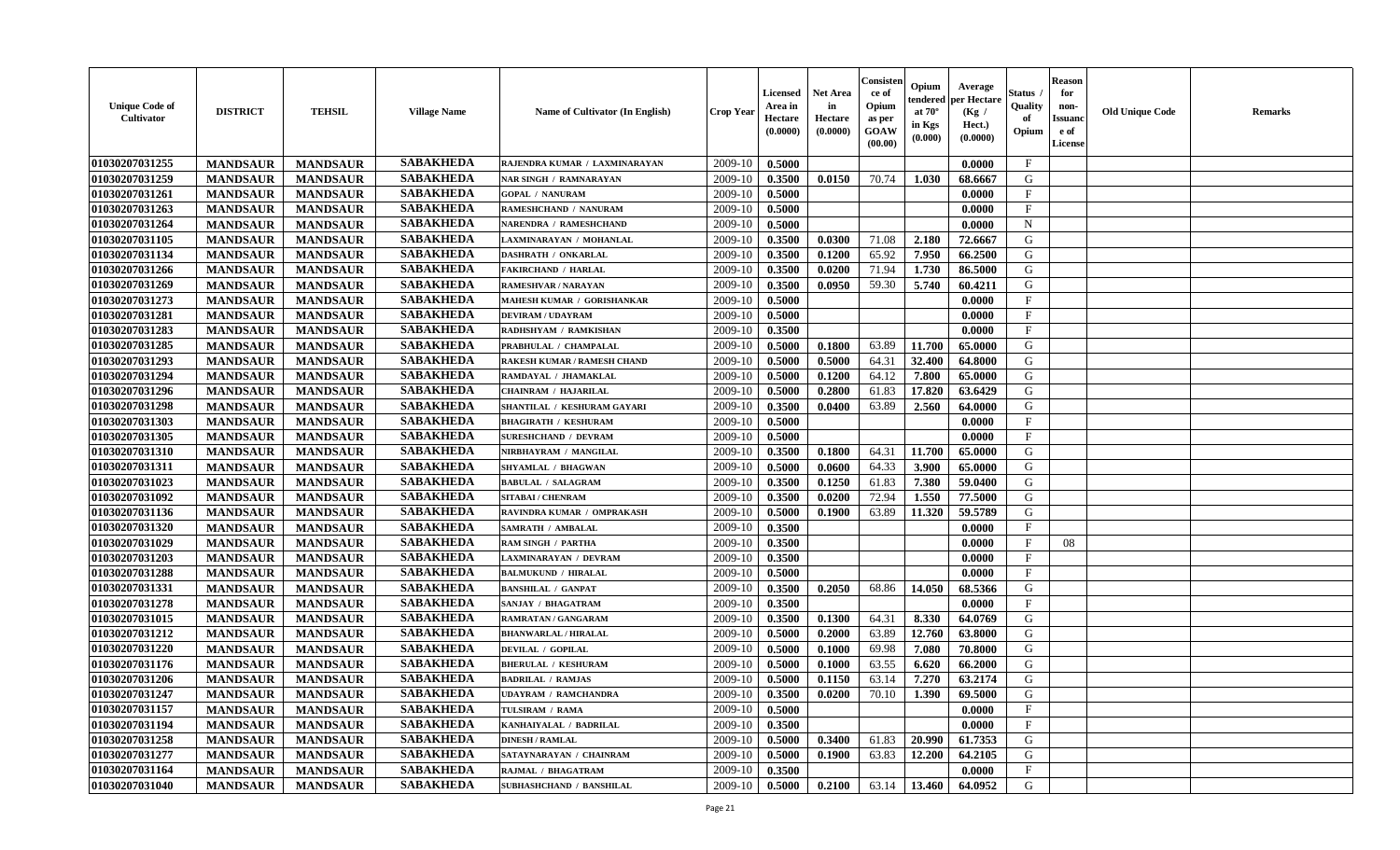| <b>SABAKHEDA</b><br>01030207031255<br>2009-10<br>0.5000<br>$\mathbf{F}$<br><b>MANDSAUR</b><br><b>MANDSAUR</b><br>0.0000<br>RAJENDRA KUMAR / LAXMINARAYAN<br>01030207031259<br><b>SABAKHEDA</b><br>2009-10<br>G<br><b>MANDSAUR</b><br><b>MANDSAUR</b><br>0.0150<br>70.74<br>1.030<br><b>NAR SINGH / RAMNARAYAN</b><br>0.3500<br>68.6667<br><b>SABAKHEDA</b><br>01030207031261<br><b>MANDSAUR</b><br>2009-10<br>$\mathbf{F}$<br><b>MANDSAUR</b><br><b>GOPAL / NANURAM</b><br>0.5000<br>0.0000<br><b>SABAKHEDA</b><br>01030207031263<br><b>MANDSAUR</b><br><b>MANDSAUR</b><br>2009-10<br>0.5000<br>$\mathbf{F}$<br>RAMESHCHAND / NANURAM<br>0.0000<br><b>SABAKHEDA</b><br>01030207031264<br><b>MANDSAUR</b><br><b>MANDSAUR</b><br>2009-10<br>0.5000<br>0.0000<br>$\mathbf N$<br>NARENDRA / RAMESHCHAND<br><b>SABAKHEDA</b><br>01030207031105<br><b>MANDSAUR</b><br><b>MANDSAUR</b><br>0.3500<br>2.180<br>72.6667<br>G<br>2009-10<br>0.0300<br>71.08<br>LAXMINARAYAN / MOHANLAL<br><b>SABAKHEDA</b><br>01030207031134<br><b>MANDSAUR</b><br><b>MANDSAUR</b><br>65.92<br>7.950<br>66.2500<br>G<br><b>DASHRATH / ONKARLAL</b><br>2009-10<br>0.3500<br>0.1200<br>01030207031266<br><b>SABAKHEDA</b><br><b>MANDSAUR</b><br><b>MANDSAUR</b><br>2009-10<br>0.3500<br>0.0200<br>71.94<br>1.730<br>86.5000<br>G<br><b>FAKIRCHAND / HARLAL</b><br>01030207031269<br><b>SABAKHEDA</b><br>2009-10<br>59.30<br><b>MANDSAUR</b><br><b>MANDSAUR</b><br>0.3500<br>0.0950<br>5.740<br>60.4211<br>G<br><b>RAMESHVAR / NARAYAN</b><br><b>SABAKHEDA</b><br>01030207031273<br>2009-10<br>$\mathbf{F}$<br><b>MANDSAUR</b><br><b>MANDSAUR</b><br>0.5000<br>MAHESH KUMAR / GORISHANKAR<br>0.0000<br><b>SABAKHEDA</b><br>01030207031281<br>F<br><b>MANDSAUR</b><br><b>MANDSAUR</b><br><b>DEVIRAM / UDAYRAM</b><br>2009-10<br>0.5000<br>0.0000<br><b>SABAKHEDA</b><br>01030207031283<br><b>MANDSAUR</b><br><b>MANDSAUR</b><br>RADHSHYAM / RAMKISHAN<br>2009-10<br>0.3500<br>0.0000<br>$\mathbf{F}$<br><b>SABAKHEDA</b><br>01030207031285<br><b>MANDSAUR</b><br><b>MANDSAUR</b><br>PRABHULAL / CHAMPALAL<br>2009-10<br>0.5000<br>0.1800<br>63.89<br>11.700<br>65.0000<br>G<br><b>SABAKHEDA</b><br>01030207031293<br><b>MANDSAUR</b><br><b>MANDSAUR</b><br>0.5000<br>32.400<br>64.8000<br>G<br><b>RAKESH KUMAR / RAMESH CHAND</b><br>2009-10<br>0.5000<br>64.31<br><b>SABAKHEDA</b><br>01030207031294<br>7.800<br>$\mathbf G$<br><b>MANDSAUR</b><br><b>MANDSAUR</b><br>0.1200<br>64.12<br>65.0000<br>RAMDAYAL / JHAMAKLAL<br>2009-10<br>0.5000<br><b>SABAKHEDA</b><br>01030207031296<br><b>MANDSAUR</b><br>17.820<br>63.6429<br>G<br><b>MANDSAUR</b><br>2009-10<br>0.5000<br>0.2800<br>61.83<br><b>CHAINRAM / HAJARILAL</b><br><b>SABAKHEDA</b><br>01030207031298<br>2009-10<br>63.89<br>2.560<br>G<br><b>MANDSAUR</b><br><b>MANDSAUR</b><br>0.3500<br>0.0400<br>64.0000<br>SHANTILAL / KESHURAM GAYARI<br>01030207031303<br><b>SABAKHEDA</b><br><b>MANDSAUR</b><br>2009-10<br>$_{\rm F}$<br><b>MANDSAUR</b><br>0.5000<br>0.0000<br><b>BHAGIRATH / KESHURAM</b><br><b>SABAKHEDA</b><br>01030207031305<br>$\mathbf{F}$<br><b>MANDSAUR</b><br><b>MANDSAUR</b><br><b>SURESHCHAND / DEVRAM</b><br>2009-10<br>0.5000<br>0.0000<br><b>SABAKHEDA</b><br>01030207031310<br><b>MANDSAUR</b><br>2009-10<br>0.1800<br>11.700<br><b>MANDSAUR</b><br>NIRBHAYRAM / MANGILAL<br>0.3500<br>64.31<br>65.0000<br>G<br><b>SABAKHEDA</b><br>01030207031311<br><b>MANDSAUR</b><br><b>MANDSAUR</b><br>2009-10<br>3.900<br>G<br>SHYAMLAL / BHAGWAN<br>0.5000<br>0.0600<br>64.33<br>65.0000<br>01030207031023<br><b>SABAKHEDA</b><br><b>MANDSAUR</b><br><b>MANDSAUR</b><br>2009-10<br>0.3500<br>0.1250<br>61.83<br>7.380<br>59.0400<br>G<br><b>BABULAL / SALAGRAM</b><br><b>SABAKHEDA</b><br>01030207031092<br><b>MANDSAUR</b><br>1.550<br>77.5000<br>G<br><b>MANDSAUR</b><br>2009-10<br>0.3500<br>0.0200<br>72.94<br><b>SITABAI / CHENRAM</b><br><b>SABAKHEDA</b><br>G<br>01030207031136<br>2009-10<br>63.89<br><b>MANDSAUR</b><br><b>MANDSAUR</b><br>0.5000<br>0.1900<br>11.320<br>59.5789<br>RAVINDRA KUMAR / OMPRAKASH<br><b>SABAKHEDA</b><br>01030207031320<br><b>MANDSAUR</b><br><b>MANDSAUR</b><br>2009-10<br>$_{\rm F}$<br><b>SAMRATH / AMBALAL</b><br>0.3500<br>0.0000<br>01030207031029<br><b>SABAKHEDA</b><br><b>MANDSAUR</b><br>2009-10<br>0.3500<br>$_{\rm F}$<br>08<br><b>MANDSAUR</b><br>0.0000<br><b>RAM SINGH / PARTHA</b><br><b>SABAKHEDA</b><br>01030207031203<br><b>MANDSAUR</b><br>2009-10<br>0.3500<br>$_{\rm F}$<br><b>MANDSAUR</b><br><b>LAXMINARAYAN / DEVRAM</b><br>0.0000<br><b>SABAKHEDA</b><br>01030207031288<br><b>MANDSAUR</b><br>2009-10<br>0.0000<br>$\mathbf{F}$<br><b>MANDSAUR</b><br><b>BALMUKUND / HIRALAL</b><br>0.5000<br><b>SABAKHEDA</b><br>01030207031331<br><b>MANDSAUR</b><br><b>MANDSAUR</b><br>2009-10<br>0.3500<br>0.2050<br>68.86<br>14.050<br>68.5366<br>G<br><b>BANSHILAL / GANPAT</b><br><b>SABAKHEDA</b><br>01030207031278<br><b>MANDSAUR</b><br><b>MANDSAUR</b><br>SANJAY / BHAGATRAM<br>2009-10<br>0.3500<br>0.0000<br>$_{\rm F}$<br><b>SABAKHEDA</b><br>01030207031015<br><b>MANDSAUR</b><br><b>MANDSAUR</b><br>0.3500<br>8.330<br>64.0769<br>G<br>2009-10<br>0.1300<br>64.31<br><b>RAMRATAN / GANGARAM</b><br><b>SABAKHEDA</b><br>01030207031212<br>G<br><b>MANDSAUR</b><br><b>MANDSAUR</b><br>2009-10<br>0.2000<br>63.89<br>12.760<br>63.8000<br><b>BHANWARLAL / HIRALAL</b><br>0.5000<br><b>SABAKHEDA</b><br>01030207031220<br><b>MANDSAUR</b><br><b>MANDSAUR</b><br>2009-10<br>0.5000<br>0.1000<br>69.98<br>7.080<br>G<br><b>DEVILAL / GOPILAL</b><br>70.8000<br><b>SABAKHEDA</b><br>01030207031176<br><b>MANDSAUR</b><br>63.55<br><b>MANDSAUR</b><br><b>BHERULAL / KESHURAM</b><br>2009-10<br>0.5000<br>0.1000<br>6.620<br>66.2000<br>G<br><b>SABAKHEDA</b><br>01030207031206<br><b>MANDSAUR</b><br><b>MANDSAUR</b><br>2009-10<br>0.1150<br>63.14<br>7.270<br>63.2174<br>G<br><b>BADRILAL / RAMJAS</b><br>0.5000<br><b>SABAKHEDA</b><br>01030207031247<br>G<br><b>MANDSAUR</b><br><b>MANDSAUR</b><br>2009-10<br>0.0200<br>70.10<br>1.390<br>69.5000<br><b>UDAYRAM / RAMCHANDRA</b><br>0.3500<br><b>SABAKHEDA</b><br>01030207031157<br>$\rm F$<br><b>MANDSAUR</b><br><b>MANDSAUR</b><br>TULSIRAM / RAMA<br>2009-10<br>0.5000<br>0.0000<br><b>SABAKHEDA</b><br>01030207031194<br><b>MANDSAUR</b><br><b>MANDSAUR</b><br>$\mathbf{F}$<br>KANHAIYALAL / BADRILAL<br>2009-10<br>0.3500<br>0.0000<br>01030207031258<br><b>SABAKHEDA</b><br><b>MANDSAUR</b><br><b>MANDSAUR</b><br>0.3400<br>61.83<br>20.990<br>61.7353<br>G<br><b>DINESH / RAMLAL</b><br>2009-10<br>0.5000<br>01030207031277<br><b>SABAKHEDA</b><br>12.200<br>${\bf G}$<br><b>MANDSAUR</b><br><b>MANDSAUR</b><br>0.1900<br>63.83<br>64.2105<br>2009-10<br>0.5000<br>SATAYNARAYAN / CHAINRAM<br><b>SABAKHEDA</b><br>01030207031164<br>$\mathbf{F}$<br><b>MANDSAUR</b><br>2009-10<br>0.3500<br>0.0000<br><b>MANDSAUR</b><br>RAJMAL / BHAGATRAM<br><b>SABAKHEDA</b><br>01030207031040<br>2009-10<br>0.5000<br>63.14<br>G<br><b>MANDSAUR</b><br><b>MANDSAUR</b><br><b>SUBHASHCHAND / BANSHILAL</b><br>0.2100<br>13.460<br>64.0952 | <b>Unique Code of</b><br><b>Cultivator</b> | <b>DISTRICT</b> | <b>TEHSIL</b> | <b>Village Name</b> | Name of Cultivator (In English) | <b>Crop Year</b> | <b>Licensed</b><br>Area in<br>Hectare<br>(0.0000) | Net Area<br>in<br>Hectare<br>(0.0000) | Consister<br>ce of<br>Opium<br>as per<br>GOAW<br>(00.00) | Opium<br>endered<br>at $70^\circ$<br>in Kgs<br>(0.000) | Average<br>per Hectare<br>(Kg /<br>Hect.)<br>(0.0000) | Status<br>Quality<br>of<br>Opium | <b>Reason</b><br>for<br>non-<br><b>Issuand</b><br>e of<br>License | <b>Old Unique Code</b> | Remarks |
|--------------------------------------------------------------------------------------------------------------------------------------------------------------------------------------------------------------------------------------------------------------------------------------------------------------------------------------------------------------------------------------------------------------------------------------------------------------------------------------------------------------------------------------------------------------------------------------------------------------------------------------------------------------------------------------------------------------------------------------------------------------------------------------------------------------------------------------------------------------------------------------------------------------------------------------------------------------------------------------------------------------------------------------------------------------------------------------------------------------------------------------------------------------------------------------------------------------------------------------------------------------------------------------------------------------------------------------------------------------------------------------------------------------------------------------------------------------------------------------------------------------------------------------------------------------------------------------------------------------------------------------------------------------------------------------------------------------------------------------------------------------------------------------------------------------------------------------------------------------------------------------------------------------------------------------------------------------------------------------------------------------------------------------------------------------------------------------------------------------------------------------------------------------------------------------------------------------------------------------------------------------------------------------------------------------------------------------------------------------------------------------------------------------------------------------------------------------------------------------------------------------------------------------------------------------------------------------------------------------------------------------------------------------------------------------------------------------------------------------------------------------------------------------------------------------------------------------------------------------------------------------------------------------------------------------------------------------------------------------------------------------------------------------------------------------------------------------------------------------------------------------------------------------------------------------------------------------------------------------------------------------------------------------------------------------------------------------------------------------------------------------------------------------------------------------------------------------------------------------------------------------------------------------------------------------------------------------------------------------------------------------------------------------------------------------------------------------------------------------------------------------------------------------------------------------------------------------------------------------------------------------------------------------------------------------------------------------------------------------------------------------------------------------------------------------------------------------------------------------------------------------------------------------------------------------------------------------------------------------------------------------------------------------------------------------------------------------------------------------------------------------------------------------------------------------------------------------------------------------------------------------------------------------------------------------------------------------------------------------------------------------------------------------------------------------------------------------------------------------------------------------------------------------------------------------------------------------------------------------------------------------------------------------------------------------------------------------------------------------------------------------------------------------------------------------------------------------------------------------------------------------------------------------------------------------------------------------------------------------------------------------------------------------------------------------------------------------------------------------------------------------------------------------------------------------------------------------------------------------------------------------------------------------------------------------------------------------------------------------------------------------------------------------------------------------------------------------------------------------------------------------------------------------------------------------------------------------------------------------------------------------------------------------------------------------------------------------------------------------------------------------------------------------------------------------------------------------------------------------------------------------------------------------------------------------------------------------------------------------------------------------------------------------------------------------------------------------------------------------------------------------------------------------------------------------------------------------------------------------------------------------------------------------------------------------------------------------------------------------------------------------------------------------------------------------------------------------------------------------------------------------------------------------------------------------------------------------------------------------------------------------------------------------------------------------------------------------------------------------------------------------------------------------------------------------------------------------------|--------------------------------------------|-----------------|---------------|---------------------|---------------------------------|------------------|---------------------------------------------------|---------------------------------------|----------------------------------------------------------|--------------------------------------------------------|-------------------------------------------------------|----------------------------------|-------------------------------------------------------------------|------------------------|---------|
|                                                                                                                                                                                                                                                                                                                                                                                                                                                                                                                                                                                                                                                                                                                                                                                                                                                                                                                                                                                                                                                                                                                                                                                                                                                                                                                                                                                                                                                                                                                                                                                                                                                                                                                                                                                                                                                                                                                                                                                                                                                                                                                                                                                                                                                                                                                                                                                                                                                                                                                                                                                                                                                                                                                                                                                                                                                                                                                                                                                                                                                                                                                                                                                                                                                                                                                                                                                                                                                                                                                                                                                                                                                                                                                                                                                                                                                                                                                                                                                                                                                                                                                                                                                                                                                                                                                                                                                                                                                                                                                                                                                                                                                                                                                                                                                                                                                                                                                                                                                                                                                                                                                                                                                                                                                                                                                                                                                                                                                                                                                                                                                                                                                                                                                                                                                                                                                                                                                                                                                                                                                                                                                                                                                                                                                                                                                                                                                                                                                                                                                                                                                                                                                                                                                                                                                                                                                                                                                                                                                                                                                                                            |                                            |                 |               |                     |                                 |                  |                                                   |                                       |                                                          |                                                        |                                                       |                                  |                                                                   |                        |         |
|                                                                                                                                                                                                                                                                                                                                                                                                                                                                                                                                                                                                                                                                                                                                                                                                                                                                                                                                                                                                                                                                                                                                                                                                                                                                                                                                                                                                                                                                                                                                                                                                                                                                                                                                                                                                                                                                                                                                                                                                                                                                                                                                                                                                                                                                                                                                                                                                                                                                                                                                                                                                                                                                                                                                                                                                                                                                                                                                                                                                                                                                                                                                                                                                                                                                                                                                                                                                                                                                                                                                                                                                                                                                                                                                                                                                                                                                                                                                                                                                                                                                                                                                                                                                                                                                                                                                                                                                                                                                                                                                                                                                                                                                                                                                                                                                                                                                                                                                                                                                                                                                                                                                                                                                                                                                                                                                                                                                                                                                                                                                                                                                                                                                                                                                                                                                                                                                                                                                                                                                                                                                                                                                                                                                                                                                                                                                                                                                                                                                                                                                                                                                                                                                                                                                                                                                                                                                                                                                                                                                                                                                                            |                                            |                 |               |                     |                                 |                  |                                                   |                                       |                                                          |                                                        |                                                       |                                  |                                                                   |                        |         |
|                                                                                                                                                                                                                                                                                                                                                                                                                                                                                                                                                                                                                                                                                                                                                                                                                                                                                                                                                                                                                                                                                                                                                                                                                                                                                                                                                                                                                                                                                                                                                                                                                                                                                                                                                                                                                                                                                                                                                                                                                                                                                                                                                                                                                                                                                                                                                                                                                                                                                                                                                                                                                                                                                                                                                                                                                                                                                                                                                                                                                                                                                                                                                                                                                                                                                                                                                                                                                                                                                                                                                                                                                                                                                                                                                                                                                                                                                                                                                                                                                                                                                                                                                                                                                                                                                                                                                                                                                                                                                                                                                                                                                                                                                                                                                                                                                                                                                                                                                                                                                                                                                                                                                                                                                                                                                                                                                                                                                                                                                                                                                                                                                                                                                                                                                                                                                                                                                                                                                                                                                                                                                                                                                                                                                                                                                                                                                                                                                                                                                                                                                                                                                                                                                                                                                                                                                                                                                                                                                                                                                                                                                            |                                            |                 |               |                     |                                 |                  |                                                   |                                       |                                                          |                                                        |                                                       |                                  |                                                                   |                        |         |
|                                                                                                                                                                                                                                                                                                                                                                                                                                                                                                                                                                                                                                                                                                                                                                                                                                                                                                                                                                                                                                                                                                                                                                                                                                                                                                                                                                                                                                                                                                                                                                                                                                                                                                                                                                                                                                                                                                                                                                                                                                                                                                                                                                                                                                                                                                                                                                                                                                                                                                                                                                                                                                                                                                                                                                                                                                                                                                                                                                                                                                                                                                                                                                                                                                                                                                                                                                                                                                                                                                                                                                                                                                                                                                                                                                                                                                                                                                                                                                                                                                                                                                                                                                                                                                                                                                                                                                                                                                                                                                                                                                                                                                                                                                                                                                                                                                                                                                                                                                                                                                                                                                                                                                                                                                                                                                                                                                                                                                                                                                                                                                                                                                                                                                                                                                                                                                                                                                                                                                                                                                                                                                                                                                                                                                                                                                                                                                                                                                                                                                                                                                                                                                                                                                                                                                                                                                                                                                                                                                                                                                                                                            |                                            |                 |               |                     |                                 |                  |                                                   |                                       |                                                          |                                                        |                                                       |                                  |                                                                   |                        |         |
|                                                                                                                                                                                                                                                                                                                                                                                                                                                                                                                                                                                                                                                                                                                                                                                                                                                                                                                                                                                                                                                                                                                                                                                                                                                                                                                                                                                                                                                                                                                                                                                                                                                                                                                                                                                                                                                                                                                                                                                                                                                                                                                                                                                                                                                                                                                                                                                                                                                                                                                                                                                                                                                                                                                                                                                                                                                                                                                                                                                                                                                                                                                                                                                                                                                                                                                                                                                                                                                                                                                                                                                                                                                                                                                                                                                                                                                                                                                                                                                                                                                                                                                                                                                                                                                                                                                                                                                                                                                                                                                                                                                                                                                                                                                                                                                                                                                                                                                                                                                                                                                                                                                                                                                                                                                                                                                                                                                                                                                                                                                                                                                                                                                                                                                                                                                                                                                                                                                                                                                                                                                                                                                                                                                                                                                                                                                                                                                                                                                                                                                                                                                                                                                                                                                                                                                                                                                                                                                                                                                                                                                                                            |                                            |                 |               |                     |                                 |                  |                                                   |                                       |                                                          |                                                        |                                                       |                                  |                                                                   |                        |         |
|                                                                                                                                                                                                                                                                                                                                                                                                                                                                                                                                                                                                                                                                                                                                                                                                                                                                                                                                                                                                                                                                                                                                                                                                                                                                                                                                                                                                                                                                                                                                                                                                                                                                                                                                                                                                                                                                                                                                                                                                                                                                                                                                                                                                                                                                                                                                                                                                                                                                                                                                                                                                                                                                                                                                                                                                                                                                                                                                                                                                                                                                                                                                                                                                                                                                                                                                                                                                                                                                                                                                                                                                                                                                                                                                                                                                                                                                                                                                                                                                                                                                                                                                                                                                                                                                                                                                                                                                                                                                                                                                                                                                                                                                                                                                                                                                                                                                                                                                                                                                                                                                                                                                                                                                                                                                                                                                                                                                                                                                                                                                                                                                                                                                                                                                                                                                                                                                                                                                                                                                                                                                                                                                                                                                                                                                                                                                                                                                                                                                                                                                                                                                                                                                                                                                                                                                                                                                                                                                                                                                                                                                                            |                                            |                 |               |                     |                                 |                  |                                                   |                                       |                                                          |                                                        |                                                       |                                  |                                                                   |                        |         |
|                                                                                                                                                                                                                                                                                                                                                                                                                                                                                                                                                                                                                                                                                                                                                                                                                                                                                                                                                                                                                                                                                                                                                                                                                                                                                                                                                                                                                                                                                                                                                                                                                                                                                                                                                                                                                                                                                                                                                                                                                                                                                                                                                                                                                                                                                                                                                                                                                                                                                                                                                                                                                                                                                                                                                                                                                                                                                                                                                                                                                                                                                                                                                                                                                                                                                                                                                                                                                                                                                                                                                                                                                                                                                                                                                                                                                                                                                                                                                                                                                                                                                                                                                                                                                                                                                                                                                                                                                                                                                                                                                                                                                                                                                                                                                                                                                                                                                                                                                                                                                                                                                                                                                                                                                                                                                                                                                                                                                                                                                                                                                                                                                                                                                                                                                                                                                                                                                                                                                                                                                                                                                                                                                                                                                                                                                                                                                                                                                                                                                                                                                                                                                                                                                                                                                                                                                                                                                                                                                                                                                                                                                            |                                            |                 |               |                     |                                 |                  |                                                   |                                       |                                                          |                                                        |                                                       |                                  |                                                                   |                        |         |
|                                                                                                                                                                                                                                                                                                                                                                                                                                                                                                                                                                                                                                                                                                                                                                                                                                                                                                                                                                                                                                                                                                                                                                                                                                                                                                                                                                                                                                                                                                                                                                                                                                                                                                                                                                                                                                                                                                                                                                                                                                                                                                                                                                                                                                                                                                                                                                                                                                                                                                                                                                                                                                                                                                                                                                                                                                                                                                                                                                                                                                                                                                                                                                                                                                                                                                                                                                                                                                                                                                                                                                                                                                                                                                                                                                                                                                                                                                                                                                                                                                                                                                                                                                                                                                                                                                                                                                                                                                                                                                                                                                                                                                                                                                                                                                                                                                                                                                                                                                                                                                                                                                                                                                                                                                                                                                                                                                                                                                                                                                                                                                                                                                                                                                                                                                                                                                                                                                                                                                                                                                                                                                                                                                                                                                                                                                                                                                                                                                                                                                                                                                                                                                                                                                                                                                                                                                                                                                                                                                                                                                                                                            |                                            |                 |               |                     |                                 |                  |                                                   |                                       |                                                          |                                                        |                                                       |                                  |                                                                   |                        |         |
|                                                                                                                                                                                                                                                                                                                                                                                                                                                                                                                                                                                                                                                                                                                                                                                                                                                                                                                                                                                                                                                                                                                                                                                                                                                                                                                                                                                                                                                                                                                                                                                                                                                                                                                                                                                                                                                                                                                                                                                                                                                                                                                                                                                                                                                                                                                                                                                                                                                                                                                                                                                                                                                                                                                                                                                                                                                                                                                                                                                                                                                                                                                                                                                                                                                                                                                                                                                                                                                                                                                                                                                                                                                                                                                                                                                                                                                                                                                                                                                                                                                                                                                                                                                                                                                                                                                                                                                                                                                                                                                                                                                                                                                                                                                                                                                                                                                                                                                                                                                                                                                                                                                                                                                                                                                                                                                                                                                                                                                                                                                                                                                                                                                                                                                                                                                                                                                                                                                                                                                                                                                                                                                                                                                                                                                                                                                                                                                                                                                                                                                                                                                                                                                                                                                                                                                                                                                                                                                                                                                                                                                                                            |                                            |                 |               |                     |                                 |                  |                                                   |                                       |                                                          |                                                        |                                                       |                                  |                                                                   |                        |         |
|                                                                                                                                                                                                                                                                                                                                                                                                                                                                                                                                                                                                                                                                                                                                                                                                                                                                                                                                                                                                                                                                                                                                                                                                                                                                                                                                                                                                                                                                                                                                                                                                                                                                                                                                                                                                                                                                                                                                                                                                                                                                                                                                                                                                                                                                                                                                                                                                                                                                                                                                                                                                                                                                                                                                                                                                                                                                                                                                                                                                                                                                                                                                                                                                                                                                                                                                                                                                                                                                                                                                                                                                                                                                                                                                                                                                                                                                                                                                                                                                                                                                                                                                                                                                                                                                                                                                                                                                                                                                                                                                                                                                                                                                                                                                                                                                                                                                                                                                                                                                                                                                                                                                                                                                                                                                                                                                                                                                                                                                                                                                                                                                                                                                                                                                                                                                                                                                                                                                                                                                                                                                                                                                                                                                                                                                                                                                                                                                                                                                                                                                                                                                                                                                                                                                                                                                                                                                                                                                                                                                                                                                                            |                                            |                 |               |                     |                                 |                  |                                                   |                                       |                                                          |                                                        |                                                       |                                  |                                                                   |                        |         |
|                                                                                                                                                                                                                                                                                                                                                                                                                                                                                                                                                                                                                                                                                                                                                                                                                                                                                                                                                                                                                                                                                                                                                                                                                                                                                                                                                                                                                                                                                                                                                                                                                                                                                                                                                                                                                                                                                                                                                                                                                                                                                                                                                                                                                                                                                                                                                                                                                                                                                                                                                                                                                                                                                                                                                                                                                                                                                                                                                                                                                                                                                                                                                                                                                                                                                                                                                                                                                                                                                                                                                                                                                                                                                                                                                                                                                                                                                                                                                                                                                                                                                                                                                                                                                                                                                                                                                                                                                                                                                                                                                                                                                                                                                                                                                                                                                                                                                                                                                                                                                                                                                                                                                                                                                                                                                                                                                                                                                                                                                                                                                                                                                                                                                                                                                                                                                                                                                                                                                                                                                                                                                                                                                                                                                                                                                                                                                                                                                                                                                                                                                                                                                                                                                                                                                                                                                                                                                                                                                                                                                                                                                            |                                            |                 |               |                     |                                 |                  |                                                   |                                       |                                                          |                                                        |                                                       |                                  |                                                                   |                        |         |
|                                                                                                                                                                                                                                                                                                                                                                                                                                                                                                                                                                                                                                                                                                                                                                                                                                                                                                                                                                                                                                                                                                                                                                                                                                                                                                                                                                                                                                                                                                                                                                                                                                                                                                                                                                                                                                                                                                                                                                                                                                                                                                                                                                                                                                                                                                                                                                                                                                                                                                                                                                                                                                                                                                                                                                                                                                                                                                                                                                                                                                                                                                                                                                                                                                                                                                                                                                                                                                                                                                                                                                                                                                                                                                                                                                                                                                                                                                                                                                                                                                                                                                                                                                                                                                                                                                                                                                                                                                                                                                                                                                                                                                                                                                                                                                                                                                                                                                                                                                                                                                                                                                                                                                                                                                                                                                                                                                                                                                                                                                                                                                                                                                                                                                                                                                                                                                                                                                                                                                                                                                                                                                                                                                                                                                                                                                                                                                                                                                                                                                                                                                                                                                                                                                                                                                                                                                                                                                                                                                                                                                                                                            |                                            |                 |               |                     |                                 |                  |                                                   |                                       |                                                          |                                                        |                                                       |                                  |                                                                   |                        |         |
|                                                                                                                                                                                                                                                                                                                                                                                                                                                                                                                                                                                                                                                                                                                                                                                                                                                                                                                                                                                                                                                                                                                                                                                                                                                                                                                                                                                                                                                                                                                                                                                                                                                                                                                                                                                                                                                                                                                                                                                                                                                                                                                                                                                                                                                                                                                                                                                                                                                                                                                                                                                                                                                                                                                                                                                                                                                                                                                                                                                                                                                                                                                                                                                                                                                                                                                                                                                                                                                                                                                                                                                                                                                                                                                                                                                                                                                                                                                                                                                                                                                                                                                                                                                                                                                                                                                                                                                                                                                                                                                                                                                                                                                                                                                                                                                                                                                                                                                                                                                                                                                                                                                                                                                                                                                                                                                                                                                                                                                                                                                                                                                                                                                                                                                                                                                                                                                                                                                                                                                                                                                                                                                                                                                                                                                                                                                                                                                                                                                                                                                                                                                                                                                                                                                                                                                                                                                                                                                                                                                                                                                                                            |                                            |                 |               |                     |                                 |                  |                                                   |                                       |                                                          |                                                        |                                                       |                                  |                                                                   |                        |         |
|                                                                                                                                                                                                                                                                                                                                                                                                                                                                                                                                                                                                                                                                                                                                                                                                                                                                                                                                                                                                                                                                                                                                                                                                                                                                                                                                                                                                                                                                                                                                                                                                                                                                                                                                                                                                                                                                                                                                                                                                                                                                                                                                                                                                                                                                                                                                                                                                                                                                                                                                                                                                                                                                                                                                                                                                                                                                                                                                                                                                                                                                                                                                                                                                                                                                                                                                                                                                                                                                                                                                                                                                                                                                                                                                                                                                                                                                                                                                                                                                                                                                                                                                                                                                                                                                                                                                                                                                                                                                                                                                                                                                                                                                                                                                                                                                                                                                                                                                                                                                                                                                                                                                                                                                                                                                                                                                                                                                                                                                                                                                                                                                                                                                                                                                                                                                                                                                                                                                                                                                                                                                                                                                                                                                                                                                                                                                                                                                                                                                                                                                                                                                                                                                                                                                                                                                                                                                                                                                                                                                                                                                                            |                                            |                 |               |                     |                                 |                  |                                                   |                                       |                                                          |                                                        |                                                       |                                  |                                                                   |                        |         |
|                                                                                                                                                                                                                                                                                                                                                                                                                                                                                                                                                                                                                                                                                                                                                                                                                                                                                                                                                                                                                                                                                                                                                                                                                                                                                                                                                                                                                                                                                                                                                                                                                                                                                                                                                                                                                                                                                                                                                                                                                                                                                                                                                                                                                                                                                                                                                                                                                                                                                                                                                                                                                                                                                                                                                                                                                                                                                                                                                                                                                                                                                                                                                                                                                                                                                                                                                                                                                                                                                                                                                                                                                                                                                                                                                                                                                                                                                                                                                                                                                                                                                                                                                                                                                                                                                                                                                                                                                                                                                                                                                                                                                                                                                                                                                                                                                                                                                                                                                                                                                                                                                                                                                                                                                                                                                                                                                                                                                                                                                                                                                                                                                                                                                                                                                                                                                                                                                                                                                                                                                                                                                                                                                                                                                                                                                                                                                                                                                                                                                                                                                                                                                                                                                                                                                                                                                                                                                                                                                                                                                                                                                            |                                            |                 |               |                     |                                 |                  |                                                   |                                       |                                                          |                                                        |                                                       |                                  |                                                                   |                        |         |
|                                                                                                                                                                                                                                                                                                                                                                                                                                                                                                                                                                                                                                                                                                                                                                                                                                                                                                                                                                                                                                                                                                                                                                                                                                                                                                                                                                                                                                                                                                                                                                                                                                                                                                                                                                                                                                                                                                                                                                                                                                                                                                                                                                                                                                                                                                                                                                                                                                                                                                                                                                                                                                                                                                                                                                                                                                                                                                                                                                                                                                                                                                                                                                                                                                                                                                                                                                                                                                                                                                                                                                                                                                                                                                                                                                                                                                                                                                                                                                                                                                                                                                                                                                                                                                                                                                                                                                                                                                                                                                                                                                                                                                                                                                                                                                                                                                                                                                                                                                                                                                                                                                                                                                                                                                                                                                                                                                                                                                                                                                                                                                                                                                                                                                                                                                                                                                                                                                                                                                                                                                                                                                                                                                                                                                                                                                                                                                                                                                                                                                                                                                                                                                                                                                                                                                                                                                                                                                                                                                                                                                                                                            |                                            |                 |               |                     |                                 |                  |                                                   |                                       |                                                          |                                                        |                                                       |                                  |                                                                   |                        |         |
|                                                                                                                                                                                                                                                                                                                                                                                                                                                                                                                                                                                                                                                                                                                                                                                                                                                                                                                                                                                                                                                                                                                                                                                                                                                                                                                                                                                                                                                                                                                                                                                                                                                                                                                                                                                                                                                                                                                                                                                                                                                                                                                                                                                                                                                                                                                                                                                                                                                                                                                                                                                                                                                                                                                                                                                                                                                                                                                                                                                                                                                                                                                                                                                                                                                                                                                                                                                                                                                                                                                                                                                                                                                                                                                                                                                                                                                                                                                                                                                                                                                                                                                                                                                                                                                                                                                                                                                                                                                                                                                                                                                                                                                                                                                                                                                                                                                                                                                                                                                                                                                                                                                                                                                                                                                                                                                                                                                                                                                                                                                                                                                                                                                                                                                                                                                                                                                                                                                                                                                                                                                                                                                                                                                                                                                                                                                                                                                                                                                                                                                                                                                                                                                                                                                                                                                                                                                                                                                                                                                                                                                                                            |                                            |                 |               |                     |                                 |                  |                                                   |                                       |                                                          |                                                        |                                                       |                                  |                                                                   |                        |         |
|                                                                                                                                                                                                                                                                                                                                                                                                                                                                                                                                                                                                                                                                                                                                                                                                                                                                                                                                                                                                                                                                                                                                                                                                                                                                                                                                                                                                                                                                                                                                                                                                                                                                                                                                                                                                                                                                                                                                                                                                                                                                                                                                                                                                                                                                                                                                                                                                                                                                                                                                                                                                                                                                                                                                                                                                                                                                                                                                                                                                                                                                                                                                                                                                                                                                                                                                                                                                                                                                                                                                                                                                                                                                                                                                                                                                                                                                                                                                                                                                                                                                                                                                                                                                                                                                                                                                                                                                                                                                                                                                                                                                                                                                                                                                                                                                                                                                                                                                                                                                                                                                                                                                                                                                                                                                                                                                                                                                                                                                                                                                                                                                                                                                                                                                                                                                                                                                                                                                                                                                                                                                                                                                                                                                                                                                                                                                                                                                                                                                                                                                                                                                                                                                                                                                                                                                                                                                                                                                                                                                                                                                                            |                                            |                 |               |                     |                                 |                  |                                                   |                                       |                                                          |                                                        |                                                       |                                  |                                                                   |                        |         |
|                                                                                                                                                                                                                                                                                                                                                                                                                                                                                                                                                                                                                                                                                                                                                                                                                                                                                                                                                                                                                                                                                                                                                                                                                                                                                                                                                                                                                                                                                                                                                                                                                                                                                                                                                                                                                                                                                                                                                                                                                                                                                                                                                                                                                                                                                                                                                                                                                                                                                                                                                                                                                                                                                                                                                                                                                                                                                                                                                                                                                                                                                                                                                                                                                                                                                                                                                                                                                                                                                                                                                                                                                                                                                                                                                                                                                                                                                                                                                                                                                                                                                                                                                                                                                                                                                                                                                                                                                                                                                                                                                                                                                                                                                                                                                                                                                                                                                                                                                                                                                                                                                                                                                                                                                                                                                                                                                                                                                                                                                                                                                                                                                                                                                                                                                                                                                                                                                                                                                                                                                                                                                                                                                                                                                                                                                                                                                                                                                                                                                                                                                                                                                                                                                                                                                                                                                                                                                                                                                                                                                                                                                            |                                            |                 |               |                     |                                 |                  |                                                   |                                       |                                                          |                                                        |                                                       |                                  |                                                                   |                        |         |
|                                                                                                                                                                                                                                                                                                                                                                                                                                                                                                                                                                                                                                                                                                                                                                                                                                                                                                                                                                                                                                                                                                                                                                                                                                                                                                                                                                                                                                                                                                                                                                                                                                                                                                                                                                                                                                                                                                                                                                                                                                                                                                                                                                                                                                                                                                                                                                                                                                                                                                                                                                                                                                                                                                                                                                                                                                                                                                                                                                                                                                                                                                                                                                                                                                                                                                                                                                                                                                                                                                                                                                                                                                                                                                                                                                                                                                                                                                                                                                                                                                                                                                                                                                                                                                                                                                                                                                                                                                                                                                                                                                                                                                                                                                                                                                                                                                                                                                                                                                                                                                                                                                                                                                                                                                                                                                                                                                                                                                                                                                                                                                                                                                                                                                                                                                                                                                                                                                                                                                                                                                                                                                                                                                                                                                                                                                                                                                                                                                                                                                                                                                                                                                                                                                                                                                                                                                                                                                                                                                                                                                                                                            |                                            |                 |               |                     |                                 |                  |                                                   |                                       |                                                          |                                                        |                                                       |                                  |                                                                   |                        |         |
|                                                                                                                                                                                                                                                                                                                                                                                                                                                                                                                                                                                                                                                                                                                                                                                                                                                                                                                                                                                                                                                                                                                                                                                                                                                                                                                                                                                                                                                                                                                                                                                                                                                                                                                                                                                                                                                                                                                                                                                                                                                                                                                                                                                                                                                                                                                                                                                                                                                                                                                                                                                                                                                                                                                                                                                                                                                                                                                                                                                                                                                                                                                                                                                                                                                                                                                                                                                                                                                                                                                                                                                                                                                                                                                                                                                                                                                                                                                                                                                                                                                                                                                                                                                                                                                                                                                                                                                                                                                                                                                                                                                                                                                                                                                                                                                                                                                                                                                                                                                                                                                                                                                                                                                                                                                                                                                                                                                                                                                                                                                                                                                                                                                                                                                                                                                                                                                                                                                                                                                                                                                                                                                                                                                                                                                                                                                                                                                                                                                                                                                                                                                                                                                                                                                                                                                                                                                                                                                                                                                                                                                                                            |                                            |                 |               |                     |                                 |                  |                                                   |                                       |                                                          |                                                        |                                                       |                                  |                                                                   |                        |         |
|                                                                                                                                                                                                                                                                                                                                                                                                                                                                                                                                                                                                                                                                                                                                                                                                                                                                                                                                                                                                                                                                                                                                                                                                                                                                                                                                                                                                                                                                                                                                                                                                                                                                                                                                                                                                                                                                                                                                                                                                                                                                                                                                                                                                                                                                                                                                                                                                                                                                                                                                                                                                                                                                                                                                                                                                                                                                                                                                                                                                                                                                                                                                                                                                                                                                                                                                                                                                                                                                                                                                                                                                                                                                                                                                                                                                                                                                                                                                                                                                                                                                                                                                                                                                                                                                                                                                                                                                                                                                                                                                                                                                                                                                                                                                                                                                                                                                                                                                                                                                                                                                                                                                                                                                                                                                                                                                                                                                                                                                                                                                                                                                                                                                                                                                                                                                                                                                                                                                                                                                                                                                                                                                                                                                                                                                                                                                                                                                                                                                                                                                                                                                                                                                                                                                                                                                                                                                                                                                                                                                                                                                                            |                                            |                 |               |                     |                                 |                  |                                                   |                                       |                                                          |                                                        |                                                       |                                  |                                                                   |                        |         |
|                                                                                                                                                                                                                                                                                                                                                                                                                                                                                                                                                                                                                                                                                                                                                                                                                                                                                                                                                                                                                                                                                                                                                                                                                                                                                                                                                                                                                                                                                                                                                                                                                                                                                                                                                                                                                                                                                                                                                                                                                                                                                                                                                                                                                                                                                                                                                                                                                                                                                                                                                                                                                                                                                                                                                                                                                                                                                                                                                                                                                                                                                                                                                                                                                                                                                                                                                                                                                                                                                                                                                                                                                                                                                                                                                                                                                                                                                                                                                                                                                                                                                                                                                                                                                                                                                                                                                                                                                                                                                                                                                                                                                                                                                                                                                                                                                                                                                                                                                                                                                                                                                                                                                                                                                                                                                                                                                                                                                                                                                                                                                                                                                                                                                                                                                                                                                                                                                                                                                                                                                                                                                                                                                                                                                                                                                                                                                                                                                                                                                                                                                                                                                                                                                                                                                                                                                                                                                                                                                                                                                                                                                            |                                            |                 |               |                     |                                 |                  |                                                   |                                       |                                                          |                                                        |                                                       |                                  |                                                                   |                        |         |
|                                                                                                                                                                                                                                                                                                                                                                                                                                                                                                                                                                                                                                                                                                                                                                                                                                                                                                                                                                                                                                                                                                                                                                                                                                                                                                                                                                                                                                                                                                                                                                                                                                                                                                                                                                                                                                                                                                                                                                                                                                                                                                                                                                                                                                                                                                                                                                                                                                                                                                                                                                                                                                                                                                                                                                                                                                                                                                                                                                                                                                                                                                                                                                                                                                                                                                                                                                                                                                                                                                                                                                                                                                                                                                                                                                                                                                                                                                                                                                                                                                                                                                                                                                                                                                                                                                                                                                                                                                                                                                                                                                                                                                                                                                                                                                                                                                                                                                                                                                                                                                                                                                                                                                                                                                                                                                                                                                                                                                                                                                                                                                                                                                                                                                                                                                                                                                                                                                                                                                                                                                                                                                                                                                                                                                                                                                                                                                                                                                                                                                                                                                                                                                                                                                                                                                                                                                                                                                                                                                                                                                                                                            |                                            |                 |               |                     |                                 |                  |                                                   |                                       |                                                          |                                                        |                                                       |                                  |                                                                   |                        |         |
|                                                                                                                                                                                                                                                                                                                                                                                                                                                                                                                                                                                                                                                                                                                                                                                                                                                                                                                                                                                                                                                                                                                                                                                                                                                                                                                                                                                                                                                                                                                                                                                                                                                                                                                                                                                                                                                                                                                                                                                                                                                                                                                                                                                                                                                                                                                                                                                                                                                                                                                                                                                                                                                                                                                                                                                                                                                                                                                                                                                                                                                                                                                                                                                                                                                                                                                                                                                                                                                                                                                                                                                                                                                                                                                                                                                                                                                                                                                                                                                                                                                                                                                                                                                                                                                                                                                                                                                                                                                                                                                                                                                                                                                                                                                                                                                                                                                                                                                                                                                                                                                                                                                                                                                                                                                                                                                                                                                                                                                                                                                                                                                                                                                                                                                                                                                                                                                                                                                                                                                                                                                                                                                                                                                                                                                                                                                                                                                                                                                                                                                                                                                                                                                                                                                                                                                                                                                                                                                                                                                                                                                                                            |                                            |                 |               |                     |                                 |                  |                                                   |                                       |                                                          |                                                        |                                                       |                                  |                                                                   |                        |         |
|                                                                                                                                                                                                                                                                                                                                                                                                                                                                                                                                                                                                                                                                                                                                                                                                                                                                                                                                                                                                                                                                                                                                                                                                                                                                                                                                                                                                                                                                                                                                                                                                                                                                                                                                                                                                                                                                                                                                                                                                                                                                                                                                                                                                                                                                                                                                                                                                                                                                                                                                                                                                                                                                                                                                                                                                                                                                                                                                                                                                                                                                                                                                                                                                                                                                                                                                                                                                                                                                                                                                                                                                                                                                                                                                                                                                                                                                                                                                                                                                                                                                                                                                                                                                                                                                                                                                                                                                                                                                                                                                                                                                                                                                                                                                                                                                                                                                                                                                                                                                                                                                                                                                                                                                                                                                                                                                                                                                                                                                                                                                                                                                                                                                                                                                                                                                                                                                                                                                                                                                                                                                                                                                                                                                                                                                                                                                                                                                                                                                                                                                                                                                                                                                                                                                                                                                                                                                                                                                                                                                                                                                                            |                                            |                 |               |                     |                                 |                  |                                                   |                                       |                                                          |                                                        |                                                       |                                  |                                                                   |                        |         |
|                                                                                                                                                                                                                                                                                                                                                                                                                                                                                                                                                                                                                                                                                                                                                                                                                                                                                                                                                                                                                                                                                                                                                                                                                                                                                                                                                                                                                                                                                                                                                                                                                                                                                                                                                                                                                                                                                                                                                                                                                                                                                                                                                                                                                                                                                                                                                                                                                                                                                                                                                                                                                                                                                                                                                                                                                                                                                                                                                                                                                                                                                                                                                                                                                                                                                                                                                                                                                                                                                                                                                                                                                                                                                                                                                                                                                                                                                                                                                                                                                                                                                                                                                                                                                                                                                                                                                                                                                                                                                                                                                                                                                                                                                                                                                                                                                                                                                                                                                                                                                                                                                                                                                                                                                                                                                                                                                                                                                                                                                                                                                                                                                                                                                                                                                                                                                                                                                                                                                                                                                                                                                                                                                                                                                                                                                                                                                                                                                                                                                                                                                                                                                                                                                                                                                                                                                                                                                                                                                                                                                                                                                            |                                            |                 |               |                     |                                 |                  |                                                   |                                       |                                                          |                                                        |                                                       |                                  |                                                                   |                        |         |
|                                                                                                                                                                                                                                                                                                                                                                                                                                                                                                                                                                                                                                                                                                                                                                                                                                                                                                                                                                                                                                                                                                                                                                                                                                                                                                                                                                                                                                                                                                                                                                                                                                                                                                                                                                                                                                                                                                                                                                                                                                                                                                                                                                                                                                                                                                                                                                                                                                                                                                                                                                                                                                                                                                                                                                                                                                                                                                                                                                                                                                                                                                                                                                                                                                                                                                                                                                                                                                                                                                                                                                                                                                                                                                                                                                                                                                                                                                                                                                                                                                                                                                                                                                                                                                                                                                                                                                                                                                                                                                                                                                                                                                                                                                                                                                                                                                                                                                                                                                                                                                                                                                                                                                                                                                                                                                                                                                                                                                                                                                                                                                                                                                                                                                                                                                                                                                                                                                                                                                                                                                                                                                                                                                                                                                                                                                                                                                                                                                                                                                                                                                                                                                                                                                                                                                                                                                                                                                                                                                                                                                                                                            |                                            |                 |               |                     |                                 |                  |                                                   |                                       |                                                          |                                                        |                                                       |                                  |                                                                   |                        |         |
|                                                                                                                                                                                                                                                                                                                                                                                                                                                                                                                                                                                                                                                                                                                                                                                                                                                                                                                                                                                                                                                                                                                                                                                                                                                                                                                                                                                                                                                                                                                                                                                                                                                                                                                                                                                                                                                                                                                                                                                                                                                                                                                                                                                                                                                                                                                                                                                                                                                                                                                                                                                                                                                                                                                                                                                                                                                                                                                                                                                                                                                                                                                                                                                                                                                                                                                                                                                                                                                                                                                                                                                                                                                                                                                                                                                                                                                                                                                                                                                                                                                                                                                                                                                                                                                                                                                                                                                                                                                                                                                                                                                                                                                                                                                                                                                                                                                                                                                                                                                                                                                                                                                                                                                                                                                                                                                                                                                                                                                                                                                                                                                                                                                                                                                                                                                                                                                                                                                                                                                                                                                                                                                                                                                                                                                                                                                                                                                                                                                                                                                                                                                                                                                                                                                                                                                                                                                                                                                                                                                                                                                                                            |                                            |                 |               |                     |                                 |                  |                                                   |                                       |                                                          |                                                        |                                                       |                                  |                                                                   |                        |         |
|                                                                                                                                                                                                                                                                                                                                                                                                                                                                                                                                                                                                                                                                                                                                                                                                                                                                                                                                                                                                                                                                                                                                                                                                                                                                                                                                                                                                                                                                                                                                                                                                                                                                                                                                                                                                                                                                                                                                                                                                                                                                                                                                                                                                                                                                                                                                                                                                                                                                                                                                                                                                                                                                                                                                                                                                                                                                                                                                                                                                                                                                                                                                                                                                                                                                                                                                                                                                                                                                                                                                                                                                                                                                                                                                                                                                                                                                                                                                                                                                                                                                                                                                                                                                                                                                                                                                                                                                                                                                                                                                                                                                                                                                                                                                                                                                                                                                                                                                                                                                                                                                                                                                                                                                                                                                                                                                                                                                                                                                                                                                                                                                                                                                                                                                                                                                                                                                                                                                                                                                                                                                                                                                                                                                                                                                                                                                                                                                                                                                                                                                                                                                                                                                                                                                                                                                                                                                                                                                                                                                                                                                                            |                                            |                 |               |                     |                                 |                  |                                                   |                                       |                                                          |                                                        |                                                       |                                  |                                                                   |                        |         |
|                                                                                                                                                                                                                                                                                                                                                                                                                                                                                                                                                                                                                                                                                                                                                                                                                                                                                                                                                                                                                                                                                                                                                                                                                                                                                                                                                                                                                                                                                                                                                                                                                                                                                                                                                                                                                                                                                                                                                                                                                                                                                                                                                                                                                                                                                                                                                                                                                                                                                                                                                                                                                                                                                                                                                                                                                                                                                                                                                                                                                                                                                                                                                                                                                                                                                                                                                                                                                                                                                                                                                                                                                                                                                                                                                                                                                                                                                                                                                                                                                                                                                                                                                                                                                                                                                                                                                                                                                                                                                                                                                                                                                                                                                                                                                                                                                                                                                                                                                                                                                                                                                                                                                                                                                                                                                                                                                                                                                                                                                                                                                                                                                                                                                                                                                                                                                                                                                                                                                                                                                                                                                                                                                                                                                                                                                                                                                                                                                                                                                                                                                                                                                                                                                                                                                                                                                                                                                                                                                                                                                                                                                            |                                            |                 |               |                     |                                 |                  |                                                   |                                       |                                                          |                                                        |                                                       |                                  |                                                                   |                        |         |
|                                                                                                                                                                                                                                                                                                                                                                                                                                                                                                                                                                                                                                                                                                                                                                                                                                                                                                                                                                                                                                                                                                                                                                                                                                                                                                                                                                                                                                                                                                                                                                                                                                                                                                                                                                                                                                                                                                                                                                                                                                                                                                                                                                                                                                                                                                                                                                                                                                                                                                                                                                                                                                                                                                                                                                                                                                                                                                                                                                                                                                                                                                                                                                                                                                                                                                                                                                                                                                                                                                                                                                                                                                                                                                                                                                                                                                                                                                                                                                                                                                                                                                                                                                                                                                                                                                                                                                                                                                                                                                                                                                                                                                                                                                                                                                                                                                                                                                                                                                                                                                                                                                                                                                                                                                                                                                                                                                                                                                                                                                                                                                                                                                                                                                                                                                                                                                                                                                                                                                                                                                                                                                                                                                                                                                                                                                                                                                                                                                                                                                                                                                                                                                                                                                                                                                                                                                                                                                                                                                                                                                                                                            |                                            |                 |               |                     |                                 |                  |                                                   |                                       |                                                          |                                                        |                                                       |                                  |                                                                   |                        |         |
|                                                                                                                                                                                                                                                                                                                                                                                                                                                                                                                                                                                                                                                                                                                                                                                                                                                                                                                                                                                                                                                                                                                                                                                                                                                                                                                                                                                                                                                                                                                                                                                                                                                                                                                                                                                                                                                                                                                                                                                                                                                                                                                                                                                                                                                                                                                                                                                                                                                                                                                                                                                                                                                                                                                                                                                                                                                                                                                                                                                                                                                                                                                                                                                                                                                                                                                                                                                                                                                                                                                                                                                                                                                                                                                                                                                                                                                                                                                                                                                                                                                                                                                                                                                                                                                                                                                                                                                                                                                                                                                                                                                                                                                                                                                                                                                                                                                                                                                                                                                                                                                                                                                                                                                                                                                                                                                                                                                                                                                                                                                                                                                                                                                                                                                                                                                                                                                                                                                                                                                                                                                                                                                                                                                                                                                                                                                                                                                                                                                                                                                                                                                                                                                                                                                                                                                                                                                                                                                                                                                                                                                                                            |                                            |                 |               |                     |                                 |                  |                                                   |                                       |                                                          |                                                        |                                                       |                                  |                                                                   |                        |         |
|                                                                                                                                                                                                                                                                                                                                                                                                                                                                                                                                                                                                                                                                                                                                                                                                                                                                                                                                                                                                                                                                                                                                                                                                                                                                                                                                                                                                                                                                                                                                                                                                                                                                                                                                                                                                                                                                                                                                                                                                                                                                                                                                                                                                                                                                                                                                                                                                                                                                                                                                                                                                                                                                                                                                                                                                                                                                                                                                                                                                                                                                                                                                                                                                                                                                                                                                                                                                                                                                                                                                                                                                                                                                                                                                                                                                                                                                                                                                                                                                                                                                                                                                                                                                                                                                                                                                                                                                                                                                                                                                                                                                                                                                                                                                                                                                                                                                                                                                                                                                                                                                                                                                                                                                                                                                                                                                                                                                                                                                                                                                                                                                                                                                                                                                                                                                                                                                                                                                                                                                                                                                                                                                                                                                                                                                                                                                                                                                                                                                                                                                                                                                                                                                                                                                                                                                                                                                                                                                                                                                                                                                                            |                                            |                 |               |                     |                                 |                  |                                                   |                                       |                                                          |                                                        |                                                       |                                  |                                                                   |                        |         |
|                                                                                                                                                                                                                                                                                                                                                                                                                                                                                                                                                                                                                                                                                                                                                                                                                                                                                                                                                                                                                                                                                                                                                                                                                                                                                                                                                                                                                                                                                                                                                                                                                                                                                                                                                                                                                                                                                                                                                                                                                                                                                                                                                                                                                                                                                                                                                                                                                                                                                                                                                                                                                                                                                                                                                                                                                                                                                                                                                                                                                                                                                                                                                                                                                                                                                                                                                                                                                                                                                                                                                                                                                                                                                                                                                                                                                                                                                                                                                                                                                                                                                                                                                                                                                                                                                                                                                                                                                                                                                                                                                                                                                                                                                                                                                                                                                                                                                                                                                                                                                                                                                                                                                                                                                                                                                                                                                                                                                                                                                                                                                                                                                                                                                                                                                                                                                                                                                                                                                                                                                                                                                                                                                                                                                                                                                                                                                                                                                                                                                                                                                                                                                                                                                                                                                                                                                                                                                                                                                                                                                                                                                            |                                            |                 |               |                     |                                 |                  |                                                   |                                       |                                                          |                                                        |                                                       |                                  |                                                                   |                        |         |
|                                                                                                                                                                                                                                                                                                                                                                                                                                                                                                                                                                                                                                                                                                                                                                                                                                                                                                                                                                                                                                                                                                                                                                                                                                                                                                                                                                                                                                                                                                                                                                                                                                                                                                                                                                                                                                                                                                                                                                                                                                                                                                                                                                                                                                                                                                                                                                                                                                                                                                                                                                                                                                                                                                                                                                                                                                                                                                                                                                                                                                                                                                                                                                                                                                                                                                                                                                                                                                                                                                                                                                                                                                                                                                                                                                                                                                                                                                                                                                                                                                                                                                                                                                                                                                                                                                                                                                                                                                                                                                                                                                                                                                                                                                                                                                                                                                                                                                                                                                                                                                                                                                                                                                                                                                                                                                                                                                                                                                                                                                                                                                                                                                                                                                                                                                                                                                                                                                                                                                                                                                                                                                                                                                                                                                                                                                                                                                                                                                                                                                                                                                                                                                                                                                                                                                                                                                                                                                                                                                                                                                                                                            |                                            |                 |               |                     |                                 |                  |                                                   |                                       |                                                          |                                                        |                                                       |                                  |                                                                   |                        |         |
|                                                                                                                                                                                                                                                                                                                                                                                                                                                                                                                                                                                                                                                                                                                                                                                                                                                                                                                                                                                                                                                                                                                                                                                                                                                                                                                                                                                                                                                                                                                                                                                                                                                                                                                                                                                                                                                                                                                                                                                                                                                                                                                                                                                                                                                                                                                                                                                                                                                                                                                                                                                                                                                                                                                                                                                                                                                                                                                                                                                                                                                                                                                                                                                                                                                                                                                                                                                                                                                                                                                                                                                                                                                                                                                                                                                                                                                                                                                                                                                                                                                                                                                                                                                                                                                                                                                                                                                                                                                                                                                                                                                                                                                                                                                                                                                                                                                                                                                                                                                                                                                                                                                                                                                                                                                                                                                                                                                                                                                                                                                                                                                                                                                                                                                                                                                                                                                                                                                                                                                                                                                                                                                                                                                                                                                                                                                                                                                                                                                                                                                                                                                                                                                                                                                                                                                                                                                                                                                                                                                                                                                                                            |                                            |                 |               |                     |                                 |                  |                                                   |                                       |                                                          |                                                        |                                                       |                                  |                                                                   |                        |         |
|                                                                                                                                                                                                                                                                                                                                                                                                                                                                                                                                                                                                                                                                                                                                                                                                                                                                                                                                                                                                                                                                                                                                                                                                                                                                                                                                                                                                                                                                                                                                                                                                                                                                                                                                                                                                                                                                                                                                                                                                                                                                                                                                                                                                                                                                                                                                                                                                                                                                                                                                                                                                                                                                                                                                                                                                                                                                                                                                                                                                                                                                                                                                                                                                                                                                                                                                                                                                                                                                                                                                                                                                                                                                                                                                                                                                                                                                                                                                                                                                                                                                                                                                                                                                                                                                                                                                                                                                                                                                                                                                                                                                                                                                                                                                                                                                                                                                                                                                                                                                                                                                                                                                                                                                                                                                                                                                                                                                                                                                                                                                                                                                                                                                                                                                                                                                                                                                                                                                                                                                                                                                                                                                                                                                                                                                                                                                                                                                                                                                                                                                                                                                                                                                                                                                                                                                                                                                                                                                                                                                                                                                                            |                                            |                 |               |                     |                                 |                  |                                                   |                                       |                                                          |                                                        |                                                       |                                  |                                                                   |                        |         |
|                                                                                                                                                                                                                                                                                                                                                                                                                                                                                                                                                                                                                                                                                                                                                                                                                                                                                                                                                                                                                                                                                                                                                                                                                                                                                                                                                                                                                                                                                                                                                                                                                                                                                                                                                                                                                                                                                                                                                                                                                                                                                                                                                                                                                                                                                                                                                                                                                                                                                                                                                                                                                                                                                                                                                                                                                                                                                                                                                                                                                                                                                                                                                                                                                                                                                                                                                                                                                                                                                                                                                                                                                                                                                                                                                                                                                                                                                                                                                                                                                                                                                                                                                                                                                                                                                                                                                                                                                                                                                                                                                                                                                                                                                                                                                                                                                                                                                                                                                                                                                                                                                                                                                                                                                                                                                                                                                                                                                                                                                                                                                                                                                                                                                                                                                                                                                                                                                                                                                                                                                                                                                                                                                                                                                                                                                                                                                                                                                                                                                                                                                                                                                                                                                                                                                                                                                                                                                                                                                                                                                                                                                            |                                            |                 |               |                     |                                 |                  |                                                   |                                       |                                                          |                                                        |                                                       |                                  |                                                                   |                        |         |
|                                                                                                                                                                                                                                                                                                                                                                                                                                                                                                                                                                                                                                                                                                                                                                                                                                                                                                                                                                                                                                                                                                                                                                                                                                                                                                                                                                                                                                                                                                                                                                                                                                                                                                                                                                                                                                                                                                                                                                                                                                                                                                                                                                                                                                                                                                                                                                                                                                                                                                                                                                                                                                                                                                                                                                                                                                                                                                                                                                                                                                                                                                                                                                                                                                                                                                                                                                                                                                                                                                                                                                                                                                                                                                                                                                                                                                                                                                                                                                                                                                                                                                                                                                                                                                                                                                                                                                                                                                                                                                                                                                                                                                                                                                                                                                                                                                                                                                                                                                                                                                                                                                                                                                                                                                                                                                                                                                                                                                                                                                                                                                                                                                                                                                                                                                                                                                                                                                                                                                                                                                                                                                                                                                                                                                                                                                                                                                                                                                                                                                                                                                                                                                                                                                                                                                                                                                                                                                                                                                                                                                                                                            |                                            |                 |               |                     |                                 |                  |                                                   |                                       |                                                          |                                                        |                                                       |                                  |                                                                   |                        |         |
|                                                                                                                                                                                                                                                                                                                                                                                                                                                                                                                                                                                                                                                                                                                                                                                                                                                                                                                                                                                                                                                                                                                                                                                                                                                                                                                                                                                                                                                                                                                                                                                                                                                                                                                                                                                                                                                                                                                                                                                                                                                                                                                                                                                                                                                                                                                                                                                                                                                                                                                                                                                                                                                                                                                                                                                                                                                                                                                                                                                                                                                                                                                                                                                                                                                                                                                                                                                                                                                                                                                                                                                                                                                                                                                                                                                                                                                                                                                                                                                                                                                                                                                                                                                                                                                                                                                                                                                                                                                                                                                                                                                                                                                                                                                                                                                                                                                                                                                                                                                                                                                                                                                                                                                                                                                                                                                                                                                                                                                                                                                                                                                                                                                                                                                                                                                                                                                                                                                                                                                                                                                                                                                                                                                                                                                                                                                                                                                                                                                                                                                                                                                                                                                                                                                                                                                                                                                                                                                                                                                                                                                                                            |                                            |                 |               |                     |                                 |                  |                                                   |                                       |                                                          |                                                        |                                                       |                                  |                                                                   |                        |         |
|                                                                                                                                                                                                                                                                                                                                                                                                                                                                                                                                                                                                                                                                                                                                                                                                                                                                                                                                                                                                                                                                                                                                                                                                                                                                                                                                                                                                                                                                                                                                                                                                                                                                                                                                                                                                                                                                                                                                                                                                                                                                                                                                                                                                                                                                                                                                                                                                                                                                                                                                                                                                                                                                                                                                                                                                                                                                                                                                                                                                                                                                                                                                                                                                                                                                                                                                                                                                                                                                                                                                                                                                                                                                                                                                                                                                                                                                                                                                                                                                                                                                                                                                                                                                                                                                                                                                                                                                                                                                                                                                                                                                                                                                                                                                                                                                                                                                                                                                                                                                                                                                                                                                                                                                                                                                                                                                                                                                                                                                                                                                                                                                                                                                                                                                                                                                                                                                                                                                                                                                                                                                                                                                                                                                                                                                                                                                                                                                                                                                                                                                                                                                                                                                                                                                                                                                                                                                                                                                                                                                                                                                                            |                                            |                 |               |                     |                                 |                  |                                                   |                                       |                                                          |                                                        |                                                       |                                  |                                                                   |                        |         |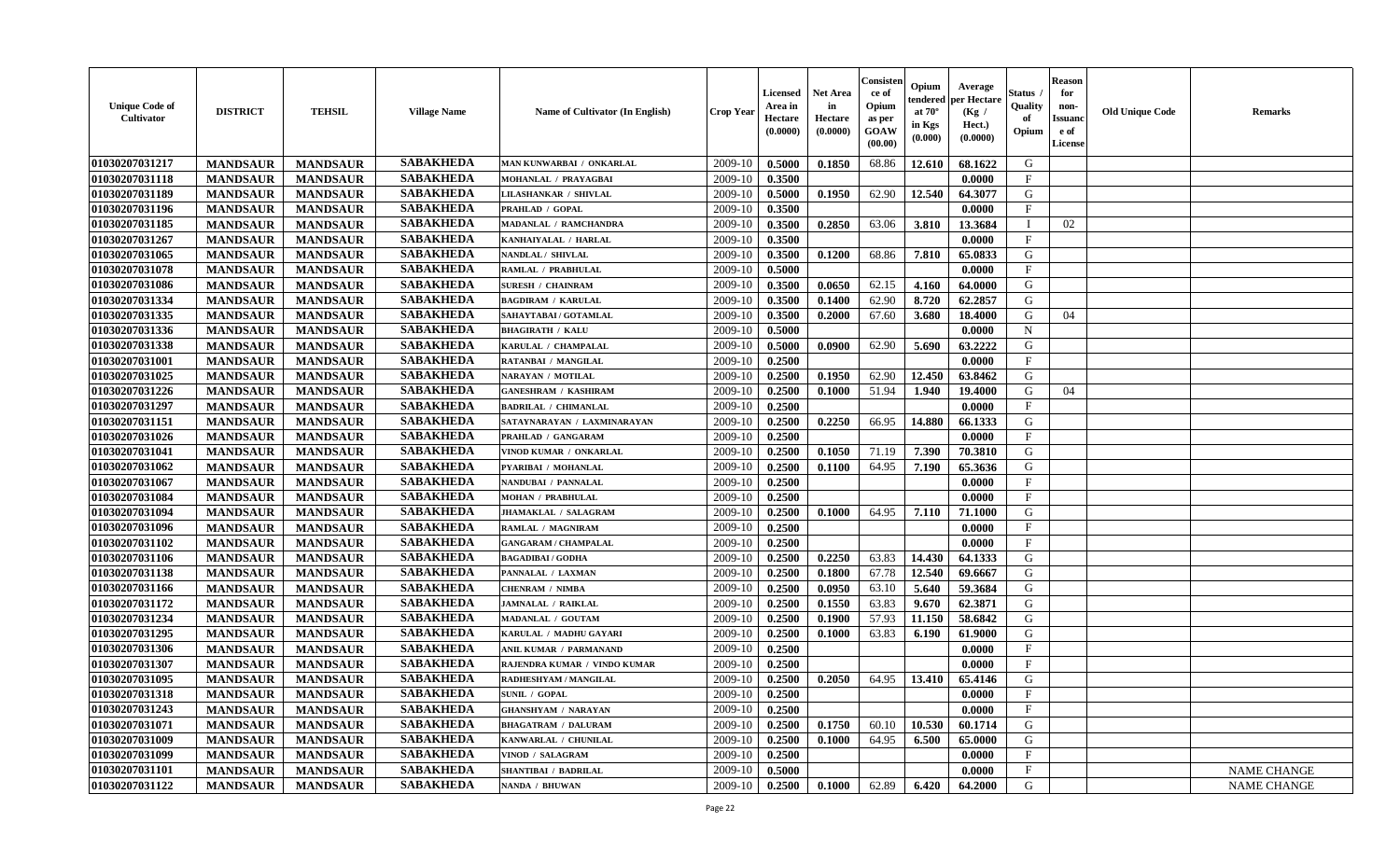| <b>Unique Code of</b><br><b>Cultivator</b> | <b>DISTRICT</b> | <b>TEHSIL</b>   | <b>Village Name</b> | Name of Cultivator (In English) | <b>Crop Year</b> | <b>Licensed</b><br>Area in<br>Hectare<br>(0.0000) | <b>Net Area</b><br>in<br>Hectare<br>(0.0000) | Consister<br>ce of<br>Opium<br>as per<br><b>GOAW</b><br>(00.00) | Opium<br>endered<br>at $70^\circ$<br>in Kgs<br>$(\mathbf{0.000})$ | Average<br>per Hectare<br>(Kg /<br>Hect.)<br>(0.0000) | Status<br>Quality<br>of<br>Opium | <b>Reason</b><br>for<br>non-<br>Issuan<br>e of<br>License | <b>Old Unique Code</b> | <b>Remarks</b>     |
|--------------------------------------------|-----------------|-----------------|---------------------|---------------------------------|------------------|---------------------------------------------------|----------------------------------------------|-----------------------------------------------------------------|-------------------------------------------------------------------|-------------------------------------------------------|----------------------------------|-----------------------------------------------------------|------------------------|--------------------|
| 01030207031217                             | <b>MANDSAUR</b> | <b>MANDSAUR</b> | <b>SABAKHEDA</b>    | MAN KUNWARBAI / ONKARLAL        | 2009-10          | 0.5000                                            | 0.1850                                       | 68.86                                                           | 12.610                                                            | 68.1622                                               | G                                |                                                           |                        |                    |
| 01030207031118                             | <b>MANDSAUR</b> | <b>MANDSAUR</b> | <b>SABAKHEDA</b>    | MOHANLAL / PRAYAGBAI            | 2009-10          | 0.3500                                            |                                              |                                                                 |                                                                   | 0.0000                                                | $\mathbf{F}$                     |                                                           |                        |                    |
| 01030207031189                             | <b>MANDSAUR</b> | <b>MANDSAUR</b> | <b>SABAKHEDA</b>    | <b>LILASHANKAR / SHIVLAL</b>    | 2009-10          | 0.5000                                            | 0.1950                                       | 62.90                                                           | 12.540                                                            | 64.3077                                               | G                                |                                                           |                        |                    |
| 01030207031196                             | <b>MANDSAUR</b> | <b>MANDSAUR</b> | <b>SABAKHEDA</b>    | PRAHLAD / GOPAL                 | 2009-10          | 0.3500                                            |                                              |                                                                 |                                                                   | 0.0000                                                | $\mathbf{F}$                     |                                                           |                        |                    |
| 01030207031185                             | <b>MANDSAUR</b> | <b>MANDSAUR</b> | <b>SABAKHEDA</b>    | MADANLAL / RAMCHANDRA           | 2009-10          | 0.3500                                            | 0.2850                                       | 63.06                                                           | 3.810                                                             | 13.3684                                               | $\blacksquare$                   | 02                                                        |                        |                    |
| 01030207031267                             | <b>MANDSAUR</b> | <b>MANDSAUR</b> | <b>SABAKHEDA</b>    | KANHAIYALAL / HARLAL            | 2009-10          | 0.3500                                            |                                              |                                                                 |                                                                   | 0.0000                                                | $\mathbf{F}$                     |                                                           |                        |                    |
| 01030207031065                             | <b>MANDSAUR</b> | <b>MANDSAUR</b> | <b>SABAKHEDA</b>    | NANDLAL / SHIVLAL               | 2009-10          | 0.3500                                            | 0.1200                                       | 68.86                                                           | 7.810                                                             | 65.0833                                               | G                                |                                                           |                        |                    |
| 01030207031078                             | <b>MANDSAUR</b> | <b>MANDSAUR</b> | <b>SABAKHEDA</b>    | RAMLAL / PRABHULAL              | 2009-10          | 0.5000                                            |                                              |                                                                 |                                                                   | 0.0000                                                | $\mathbf{F}$                     |                                                           |                        |                    |
| 01030207031086                             | <b>MANDSAUR</b> | <b>MANDSAUR</b> | <b>SABAKHEDA</b>    | <b>SURESH / CHAINRAM</b>        | 2009-10          | 0.3500                                            | 0.0650                                       | 62.15                                                           | 4.160                                                             | 64.0000                                               | G                                |                                                           |                        |                    |
| 01030207031334                             | <b>MANDSAUR</b> | <b>MANDSAUR</b> | <b>SABAKHEDA</b>    | <b>BAGDIRAM / KARULAL</b>       | 2009-10          | 0.3500                                            | 0.1400                                       | 62.90                                                           | 8.720                                                             | 62.2857                                               | G                                |                                                           |                        |                    |
| 01030207031335                             | <b>MANDSAUR</b> | <b>MANDSAUR</b> | <b>SABAKHEDA</b>    | SAHAYTABAI / GOTAMLAL           | 2009-10          | 0.3500                                            | 0.2000                                       | 67.60                                                           | 3.680                                                             | 18.4000                                               | G                                | 04                                                        |                        |                    |
| 01030207031336                             | <b>MANDSAUR</b> | <b>MANDSAUR</b> | <b>SABAKHEDA</b>    | <b>BHAGIRATH / KALU</b>         | 2009-10          | 0.5000                                            |                                              |                                                                 |                                                                   | 0.0000                                                | $\mathbf N$                      |                                                           |                        |                    |
| 01030207031338                             | <b>MANDSAUR</b> | <b>MANDSAUR</b> | <b>SABAKHEDA</b>    | KARULAL / CHAMPALAL             | 2009-10          | 0.5000                                            | 0.0900                                       | 62.90                                                           | 5.690                                                             | 63.2222                                               | G                                |                                                           |                        |                    |
| 01030207031001                             | <b>MANDSAUR</b> | <b>MANDSAUR</b> | <b>SABAKHEDA</b>    | RATANBAI / MANGILAL             | 2009-10          | 0.2500                                            |                                              |                                                                 |                                                                   | 0.0000                                                | $\mathbf{F}$                     |                                                           |                        |                    |
| 01030207031025                             | <b>MANDSAUR</b> | <b>MANDSAUR</b> | <b>SABAKHEDA</b>    | NARAYAN / MOTILAL               | 2009-10          | 0.2500                                            | 0.1950                                       | 62.90                                                           | 12.450                                                            | 63.8462                                               | G                                |                                                           |                        |                    |
| 01030207031226                             | <b>MANDSAUR</b> | <b>MANDSAUR</b> | <b>SABAKHEDA</b>    | <b>GANESHRAM / KASHIRAM</b>     | 2009-10          | 0.2500                                            | 0.1000                                       | 51.94                                                           | 1.940                                                             | 19.4000                                               | G                                | 04                                                        |                        |                    |
| 01030207031297                             | <b>MANDSAUR</b> | <b>MANDSAUR</b> | <b>SABAKHEDA</b>    | <b>BADRILAL / CHIMANLAL</b>     | 2009-10          | 0.2500                                            |                                              |                                                                 |                                                                   | 0.0000                                                | $\mathbf{F}$                     |                                                           |                        |                    |
| 01030207031151                             | <b>MANDSAUR</b> | <b>MANDSAUR</b> | <b>SABAKHEDA</b>    | SATAYNARAYAN / LAXMINARAYAN     | 2009-10          | 0.2500                                            | 0.2250                                       | 66.95                                                           | 14.880                                                            | 66.1333                                               | G                                |                                                           |                        |                    |
| 01030207031026                             | <b>MANDSAUR</b> | <b>MANDSAUR</b> | <b>SABAKHEDA</b>    | PRAHLAD / GANGARAM              | 2009-10          | 0.2500                                            |                                              |                                                                 |                                                                   | 0.0000                                                | $_{\rm F}$                       |                                                           |                        |                    |
| 01030207031041                             | <b>MANDSAUR</b> | <b>MANDSAUR</b> | <b>SABAKHEDA</b>    | VINOD KUMAR / ONKARLAL          | 2009-10          | 0.2500                                            | 0.1050                                       | 71.19                                                           | 7.390                                                             | 70.3810                                               | G                                |                                                           |                        |                    |
| 01030207031062                             | <b>MANDSAUR</b> | <b>MANDSAUR</b> | <b>SABAKHEDA</b>    | PYARIBAI / MOHANLAL             | 2009-10          | 0.2500                                            | 0.1100                                       | 64.95                                                           | 7.190                                                             | 65.3636                                               | G                                |                                                           |                        |                    |
| 01030207031067                             | <b>MANDSAUR</b> | <b>MANDSAUR</b> | <b>SABAKHEDA</b>    | NANDUBAI / PANNALAL             | 2009-10          | 0.2500                                            |                                              |                                                                 |                                                                   | 0.0000                                                | $\mathbf{F}$                     |                                                           |                        |                    |
| 01030207031084                             | <b>MANDSAUR</b> | <b>MANDSAUR</b> | <b>SABAKHEDA</b>    | <b>MOHAN / PRABHULAL</b>        | 2009-10          | 0.2500                                            |                                              |                                                                 |                                                                   | 0.0000                                                | $\mathbf{F}$                     |                                                           |                        |                    |
| 01030207031094                             | <b>MANDSAUR</b> | <b>MANDSAUR</b> | <b>SABAKHEDA</b>    | JHAMAKLAL / SALAGRAM            | 2009-10          | 0.2500                                            | 0.1000                                       | 64.95                                                           | 7.110                                                             | 71.1000                                               | G                                |                                                           |                        |                    |
| 01030207031096                             | <b>MANDSAUR</b> | <b>MANDSAUR</b> | <b>SABAKHEDA</b>    | RAMLAL / MAGNIRAM               | 2009-10          | 0.2500                                            |                                              |                                                                 |                                                                   | 0.0000                                                | $\mathbf{F}$                     |                                                           |                        |                    |
| 01030207031102                             | <b>MANDSAUR</b> | <b>MANDSAUR</b> | <b>SABAKHEDA</b>    | <b>GANGARAM / CHAMPALAL</b>     | 2009-10          | 0.2500                                            |                                              |                                                                 |                                                                   | 0.0000                                                | $\mathbf{F}$                     |                                                           |                        |                    |
| 01030207031106                             | <b>MANDSAUR</b> | <b>MANDSAUR</b> | <b>SABAKHEDA</b>    | <b>BAGADIBAI/GODHA</b>          | 2009-10          | 0.2500                                            | 0.2250                                       | 63.83                                                           | 14.430                                                            | 64.1333                                               | G                                |                                                           |                        |                    |
| 01030207031138                             | <b>MANDSAUR</b> | <b>MANDSAUR</b> | <b>SABAKHEDA</b>    | PANNALAL / LAXMAN               | 2009-10          | 0.2500                                            | 0.1800                                       | 67.78                                                           | 12.540                                                            | 69.6667                                               | G                                |                                                           |                        |                    |
| 01030207031166                             | <b>MANDSAUR</b> | <b>MANDSAUR</b> | <b>SABAKHEDA</b>    | <b>CHENRAM / NIMBA</b>          | 2009-10          | 0.2500                                            | 0.0950                                       | 63.10                                                           | 5.640                                                             | 59.3684                                               | G                                |                                                           |                        |                    |
| 01030207031172                             | <b>MANDSAUR</b> | <b>MANDSAUR</b> | <b>SABAKHEDA</b>    | JAMNALAL / RAIKLAL              | 2009-10          | 0.2500                                            | 0.1550                                       | 63.83                                                           | 9.670                                                             | 62.3871                                               | G                                |                                                           |                        |                    |
| 01030207031234                             | <b>MANDSAUR</b> | <b>MANDSAUR</b> | <b>SABAKHEDA</b>    | MADANLAL / GOUTAM               | 2009-10          | 0.2500                                            | 0.1900                                       | 57.93                                                           | 11.150                                                            | 58.6842                                               | G                                |                                                           |                        |                    |
| 01030207031295                             | <b>MANDSAUR</b> | <b>MANDSAUR</b> | <b>SABAKHEDA</b>    | KARULAL / MADHU GAYARI          | 2009-10          | 0.2500                                            | 0.1000                                       | 63.83                                                           | 6.190                                                             | 61.9000                                               | G                                |                                                           |                        |                    |
| 01030207031306                             | <b>MANDSAUR</b> | <b>MANDSAUR</b> | <b>SABAKHEDA</b>    | ANIL KUMAR / PARMANAND          | 2009-10          | 0.2500                                            |                                              |                                                                 |                                                                   | 0.0000                                                | $\mathbf{F}$                     |                                                           |                        |                    |
| 01030207031307                             | <b>MANDSAUR</b> | <b>MANDSAUR</b> | <b>SABAKHEDA</b>    | RAJENDRA KUMAR / VINDO KUMAR    | 2009-10          | 0.2500                                            |                                              |                                                                 |                                                                   | 0.0000                                                | $_{\rm F}$                       |                                                           |                        |                    |
| 01030207031095                             | <b>MANDSAUR</b> | <b>MANDSAUR</b> | <b>SABAKHEDA</b>    | RADHESHYAM / MANGILAL           | 2009-10          | 0.2500                                            | 0.2050                                       | 64.95                                                           | 13.410                                                            | 65.4146                                               | G                                |                                                           |                        |                    |
| 01030207031318                             | <b>MANDSAUR</b> | <b>MANDSAUR</b> | <b>SABAKHEDA</b>    | <b>SUNIL / GOPAL</b>            | $2009-10$ 0.2500 |                                                   |                                              |                                                                 |                                                                   | 0.0000                                                | F                                |                                                           |                        |                    |
| 01030207031243                             | <b>MANDSAUR</b> | <b>MANDSAUR</b> | <b>SABAKHEDA</b>    | <b>GHANSHYAM / NARAYAN</b>      | 2009-10          | 0.2500                                            |                                              |                                                                 |                                                                   | 0.0000                                                | $_{\rm F}$                       |                                                           |                        |                    |
| 01030207031071                             | <b>MANDSAUR</b> | <b>MANDSAUR</b> | <b>SABAKHEDA</b>    | <b>BHAGATRAM / DALURAM</b>      | 2009-10          | 0.2500                                            | 0.1750                                       | 60.10                                                           | 10.530                                                            | 60.1714                                               | G                                |                                                           |                        |                    |
| 01030207031009                             | <b>MANDSAUR</b> | <b>MANDSAUR</b> | <b>SABAKHEDA</b>    | KANWARLAL / CHUNILAL            | 2009-10          | 0.2500                                            | 0.1000                                       | 64.95                                                           | 6.500                                                             | 65.0000                                               | G                                |                                                           |                        |                    |
| 01030207031099                             | <b>MANDSAUR</b> | <b>MANDSAUR</b> | <b>SABAKHEDA</b>    | VINOD / SALAGRAM                | 2009-10          | 0.2500                                            |                                              |                                                                 |                                                                   | 0.0000                                                | $\mathbf{F}$                     |                                                           |                        |                    |
| 01030207031101                             | <b>MANDSAUR</b> | <b>MANDSAUR</b> | <b>SABAKHEDA</b>    | <b>SHANTIBAI / BADRILAL</b>     | 2009-10          | 0.5000                                            |                                              |                                                                 |                                                                   | 0.0000                                                | $\mathbf{F}$                     |                                                           |                        | <b>NAME CHANGE</b> |
| 01030207031122                             | <b>MANDSAUR</b> | <b>MANDSAUR</b> | <b>SABAKHEDA</b>    | NANDA / BHUWAN                  | 2009-10          | 0.2500                                            | 0.1000                                       | 62.89                                                           | 6.420                                                             | 64.2000                                               | G                                |                                                           |                        | NAME CHANGE        |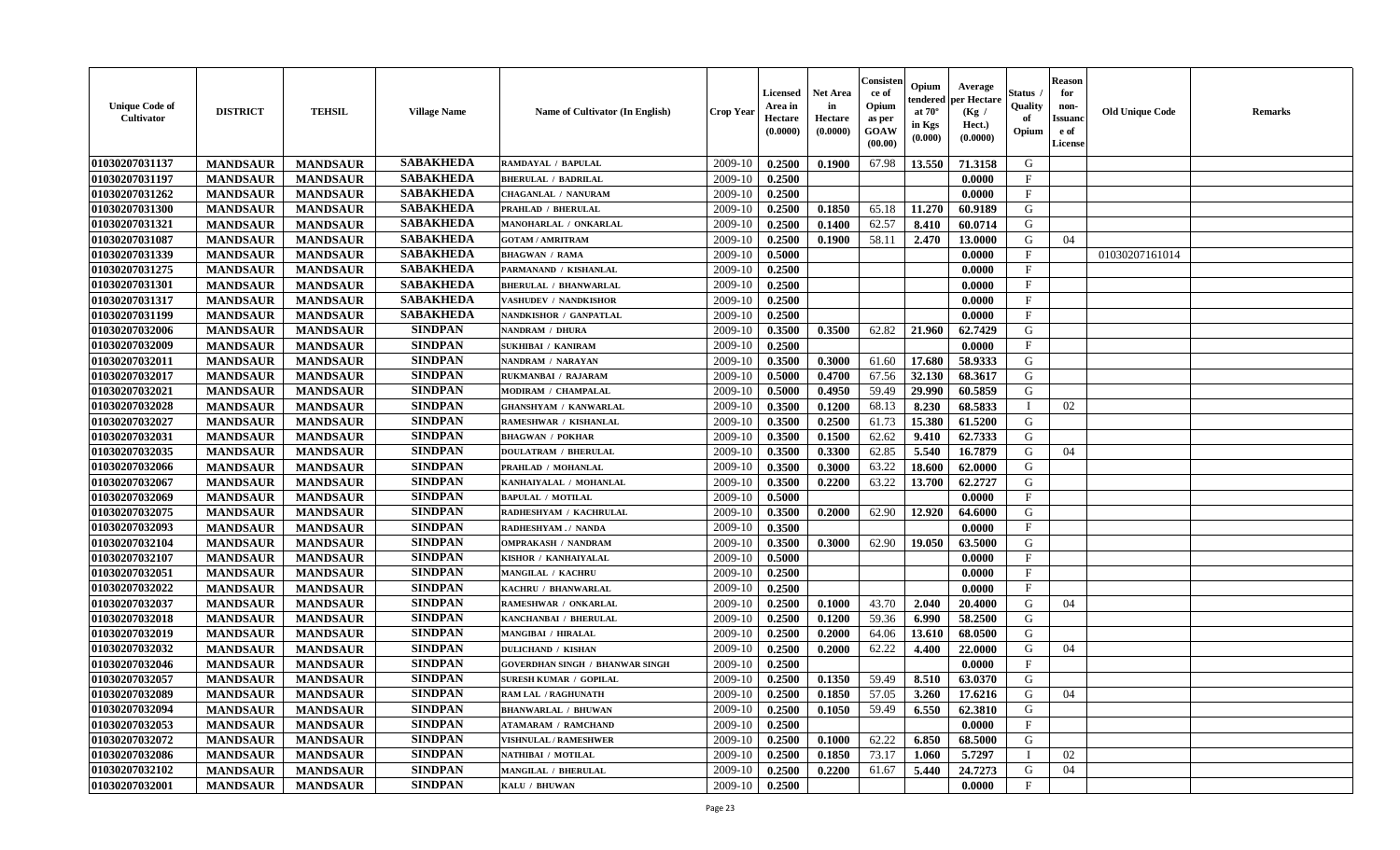| <b>Unique Code of</b><br><b>Cultivator</b> | <b>DISTRICT</b> | <b>TEHSIL</b>   | <b>Village Name</b> | Name of Cultivator (In English)        | <b>Crop Year</b> | Licensed<br>Area in<br>Hectare<br>(0.0000) | <b>Net Area</b><br>in<br>Hectare<br>(0.0000) | Consister<br>ce of<br>Opium<br>as per<br>GOAW<br>(00.00) | Opium<br>endered<br>at $70^\circ$<br>in Kgs<br>(0.000) | Average<br>per Hectare<br>(Kg /<br>Hect.)<br>(0.0000) | Status<br>Quality<br>of<br>Opium | <b>Reason</b><br>for<br>non-<br><b>Issuand</b><br>e of<br>License | <b>Old Unique Code</b> | <b>Remarks</b> |
|--------------------------------------------|-----------------|-----------------|---------------------|----------------------------------------|------------------|--------------------------------------------|----------------------------------------------|----------------------------------------------------------|--------------------------------------------------------|-------------------------------------------------------|----------------------------------|-------------------------------------------------------------------|------------------------|----------------|
| 01030207031137                             | <b>MANDSAUR</b> | <b>MANDSAUR</b> | <b>SABAKHEDA</b>    | RAMDAYAL / BAPULAL                     | 2009-10          | 0.2500                                     | 0.1900                                       | 67.98                                                    | 13.550                                                 | 71.3158                                               | G                                |                                                                   |                        |                |
| 01030207031197                             | <b>MANDSAUR</b> | <b>MANDSAUR</b> | <b>SABAKHEDA</b>    | <b>BHERULAL / BADRILAL</b>             | 2009-10          | 0.2500                                     |                                              |                                                          |                                                        | 0.0000                                                | $\mathbf{F}$                     |                                                                   |                        |                |
| 01030207031262                             | <b>MANDSAUR</b> | <b>MANDSAUR</b> | <b>SABAKHEDA</b>    | CHAGANLAL / NANURAM                    | 2009-10          | 0.2500                                     |                                              |                                                          |                                                        | 0.0000                                                | $_{\rm F}$                       |                                                                   |                        |                |
| 01030207031300                             | <b>MANDSAUR</b> | <b>MANDSAUR</b> | <b>SABAKHEDA</b>    | PRAHLAD / BHERULAL                     | 2009-10          | 0.2500                                     | 0.1850                                       | 65.18                                                    | 11.270                                                 | 60.9189                                               | G                                |                                                                   |                        |                |
| 01030207031321                             | <b>MANDSAUR</b> | <b>MANDSAUR</b> | <b>SABAKHEDA</b>    | MANOHARLAL / ONKARLAL                  | 2009-10          | 0.2500                                     | 0.1400                                       | 62.57                                                    | 8.410                                                  | 60.0714                                               | G                                |                                                                   |                        |                |
| 01030207031087                             | <b>MANDSAUR</b> | <b>MANDSAUR</b> | <b>SABAKHEDA</b>    | <b>GOTAM / AMRITRAM</b>                | 2009-10          | 0.2500                                     | 0.1900                                       | 58.11                                                    | 2.470                                                  | 13.0000                                               | G                                | 04                                                                |                        |                |
| 01030207031339                             | <b>MANDSAUR</b> | <b>MANDSAUR</b> | <b>SABAKHEDA</b>    | <b>BHAGWAN / RAMA</b>                  | 2009-10          | 0.5000                                     |                                              |                                                          |                                                        | 0.0000                                                | $\rm F$                          |                                                                   | 01030207161014         |                |
| 01030207031275                             | <b>MANDSAUR</b> | <b>MANDSAUR</b> | <b>SABAKHEDA</b>    | PARMANAND / KISHANLAL                  | 2009-10          | 0.2500                                     |                                              |                                                          |                                                        | 0.0000                                                | $\mathbf{F}$                     |                                                                   |                        |                |
| 01030207031301                             | <b>MANDSAUR</b> | <b>MANDSAUR</b> | <b>SABAKHEDA</b>    | <b>BHERULAL / BHANWARLAL</b>           | 2009-10          | 0.2500                                     |                                              |                                                          |                                                        | 0.0000                                                | $\mathbf{F}$                     |                                                                   |                        |                |
| 01030207031317                             | <b>MANDSAUR</b> | <b>MANDSAUR</b> | <b>SABAKHEDA</b>    | VASHUDEV / NANDKISHOR                  | 2009-10          | 0.2500                                     |                                              |                                                          |                                                        | 0.0000                                                | $\mathbf{F}$                     |                                                                   |                        |                |
| 01030207031199                             | <b>MANDSAUR</b> | <b>MANDSAUR</b> | <b>SABAKHEDA</b>    | NANDKISHOR / GANPATLAL                 | 2009-10          | 0.2500                                     |                                              |                                                          |                                                        | 0.0000                                                | F                                |                                                                   |                        |                |
| 01030207032006                             | <b>MANDSAUR</b> | <b>MANDSAUR</b> | <b>SINDPAN</b>      | NANDRAM / DHURA                        | 2009-10          | 0.3500                                     | 0.3500                                       | 62.82                                                    | 21.960                                                 | 62.7429                                               | G                                |                                                                   |                        |                |
| 01030207032009                             | <b>MANDSAUR</b> | <b>MANDSAUR</b> | <b>SINDPAN</b>      | <b>SUKHIBAI / KANIRAM</b>              | 2009-10          | 0.2500                                     |                                              |                                                          |                                                        | 0.0000                                                | $_{\rm F}$                       |                                                                   |                        |                |
| 01030207032011                             | <b>MANDSAUR</b> | <b>MANDSAUR</b> | <b>SINDPAN</b>      | NANDRAM / NARAYAN                      | 2009-10          | 0.3500                                     | 0.3000                                       | 61.60                                                    | 17.680                                                 | 58.9333                                               | G                                |                                                                   |                        |                |
| 01030207032017                             | <b>MANDSAUR</b> | <b>MANDSAUR</b> | <b>SINDPAN</b>      | RUKMANBAI / RAJARAM                    | 2009-10          | 0.5000                                     | 0.4700                                       | 67.56                                                    | 32.130                                                 | 68.3617                                               | G                                |                                                                   |                        |                |
| 01030207032021                             | <b>MANDSAUR</b> | <b>MANDSAUR</b> | <b>SINDPAN</b>      | MODIRAM / CHAMPALAL                    | 2009-10          | 0.5000                                     | 0.4950                                       | 59.49                                                    | 29.990                                                 | 60.5859                                               | G                                |                                                                   |                        |                |
| 01030207032028                             | <b>MANDSAUR</b> | <b>MANDSAUR</b> | <b>SINDPAN</b>      | <b>GHANSHYAM / KANWARLAL</b>           | 2009-10          | 0.3500                                     | 0.1200                                       | 68.13                                                    | 8.230                                                  | 68.5833                                               | <sup>1</sup>                     | 02                                                                |                        |                |
| 01030207032027                             | <b>MANDSAUR</b> | <b>MANDSAUR</b> | <b>SINDPAN</b>      | RAMESHWAR / KISHANLAL                  | 2009-10          | 0.3500                                     | 0.2500                                       | 61.73                                                    | 15.380                                                 | 61.5200                                               | G                                |                                                                   |                        |                |
| 01030207032031                             | <b>MANDSAUR</b> | <b>MANDSAUR</b> | <b>SINDPAN</b>      | <b>BHAGWAN / POKHAR</b>                | 2009-10          | 0.3500                                     | 0.1500                                       | 62.62                                                    | 9.410                                                  | 62.7333                                               | G                                |                                                                   |                        |                |
| 01030207032035                             | <b>MANDSAUR</b> | <b>MANDSAUR</b> | <b>SINDPAN</b>      | <b>DOULATRAM / BHERULAL</b>            | 2009-10          | 0.3500                                     | 0.3300                                       | 62.85                                                    | 5.540                                                  | 16.7879                                               | G                                | 04                                                                |                        |                |
| 01030207032066                             | <b>MANDSAUR</b> | <b>MANDSAUR</b> | <b>SINDPAN</b>      | PRAHLAD / MOHANLAL                     | 2009-10          | 0.3500                                     | 0.3000                                       | 63.22                                                    | 18.600                                                 | 62.0000                                               | G                                |                                                                   |                        |                |
| 01030207032067                             | <b>MANDSAUR</b> | <b>MANDSAUR</b> | <b>SINDPAN</b>      | KANHAIYALAL / MOHANLAL                 | 2009-10          | 0.3500                                     | 0.2200                                       | 63.22                                                    | 13.700                                                 | 62.2727                                               | G                                |                                                                   |                        |                |
| 01030207032069                             | <b>MANDSAUR</b> | <b>MANDSAUR</b> | <b>SINDPAN</b>      | <b>BAPULAL / MOTILAL</b>               | 2009-10          | 0.5000                                     |                                              |                                                          |                                                        | 0.0000                                                | $\mathbf{F}$                     |                                                                   |                        |                |
| 01030207032075                             | <b>MANDSAUR</b> | <b>MANDSAUR</b> | <b>SINDPAN</b>      | RADHESHYAM / KACHRULAL                 | 2009-10          | 0.3500                                     | 0.2000                                       | 62.90                                                    | 12.920                                                 | 64.6000                                               | G                                |                                                                   |                        |                |
| 01030207032093                             | <b>MANDSAUR</b> | <b>MANDSAUR</b> | <b>SINDPAN</b>      | RADHESHYAM./ NANDA                     | 2009-10          | 0.3500                                     |                                              |                                                          |                                                        | 0.0000                                                | $\mathbf{F}$                     |                                                                   |                        |                |
| 01030207032104                             | <b>MANDSAUR</b> | <b>MANDSAUR</b> | <b>SINDPAN</b>      | <b>OMPRAKASH / NANDRAM</b>             | 2009-10          | 0.3500                                     | 0.3000                                       | 62.90                                                    | 19.050                                                 | 63.5000                                               | G                                |                                                                   |                        |                |
| 01030207032107                             | <b>MANDSAUR</b> | <b>MANDSAUR</b> | <b>SINDPAN</b>      | KISHOR / KANHAIYALAL                   | 2009-10          | 0.5000                                     |                                              |                                                          |                                                        | 0.0000                                                | $\mathbf{F}$                     |                                                                   |                        |                |
| 01030207032051                             | <b>MANDSAUR</b> | <b>MANDSAUR</b> | <b>SINDPAN</b>      | MANGILAL / KACHRU                      | 2009-10          | 0.2500                                     |                                              |                                                          |                                                        | 0.0000                                                | $_{\rm F}$                       |                                                                   |                        |                |
| 01030207032022                             | <b>MANDSAUR</b> | <b>MANDSAUR</b> | <b>SINDPAN</b>      | KACHRU / BHANWARLAL                    | 2009-10          | 0.2500                                     |                                              |                                                          |                                                        | 0.0000                                                | $\mathbf{F}$                     |                                                                   |                        |                |
| 01030207032037                             | <b>MANDSAUR</b> | <b>MANDSAUR</b> | <b>SINDPAN</b>      | RAMESHWAR / ONKARLAL                   | 2009-10          | 0.2500                                     | 0.1000                                       | 43.70                                                    | 2.040                                                  | 20.4000                                               | G                                | 04                                                                |                        |                |
| 01030207032018                             | <b>MANDSAUR</b> | <b>MANDSAUR</b> | <b>SINDPAN</b>      | KANCHANBAI / BHERULAL                  | 2009-10          | 0.2500                                     | 0.1200                                       | 59.36                                                    | 6.990                                                  | 58.2500                                               | G                                |                                                                   |                        |                |
| 01030207032019                             | <b>MANDSAUR</b> | <b>MANDSAUR</b> | <b>SINDPAN</b>      | <b>MANGIBAI / HIRALAL</b>              | 2009-10          | 0.2500                                     | 0.2000                                       | 64.06                                                    | 13.610                                                 | 68.0500                                               | G                                |                                                                   |                        |                |
| 01030207032032                             | <b>MANDSAUR</b> | <b>MANDSAUR</b> | <b>SINDPAN</b>      | <b>DULICHAND / KISHAN</b>              | 2009-10          | 0.2500                                     | 0.2000                                       | 62.22                                                    | 4.400                                                  | 22.0000                                               | G                                | 04                                                                |                        |                |
| 01030207032046                             | <b>MANDSAUR</b> | <b>MANDSAUR</b> | <b>SINDPAN</b>      | <b>GOVERDHAN SINGH / BHANWAR SINGH</b> | 2009-10          | 0.2500                                     |                                              |                                                          |                                                        | 0.0000                                                | $\mathbf F$                      |                                                                   |                        |                |
| 01030207032057                             | <b>MANDSAUR</b> | <b>MANDSAUR</b> | <b>SINDPAN</b>      | <b>SURESH KUMAR / GOPILAL</b>          | 2009-10          | 0.2500                                     | 0.1350                                       | 59.49                                                    | 8.510                                                  | 63.0370                                               | G                                |                                                                   |                        |                |
| 01030207032089                             | <b>MANDSAUR</b> | <b>MANDSAUR</b> | <b>SINDPAN</b>      | <b>RAM LAL / RAGHUNATH</b>             | 2009-10          | 0.2500                                     | 0.1850                                       | 57.05                                                    | 3.260                                                  | 17.6216                                               | G                                | 04                                                                |                        |                |
| 01030207032094                             | <b>MANDSAUR</b> | <b>MANDSAUR</b> | <b>SINDPAN</b>      | <b>BHANWARLAL / BHUWAN</b>             | 2009-10          | 0.2500                                     | 0.1050                                       | 59.49                                                    | 6.550                                                  | 62.3810                                               | G                                |                                                                   |                        |                |
| 01030207032053                             | <b>MANDSAUR</b> | <b>MANDSAUR</b> | <b>SINDPAN</b>      | <b>ATAMARAM / RAMCHAND</b>             | 2009-10          | 0.2500                                     |                                              |                                                          |                                                        | 0.0000                                                | F                                |                                                                   |                        |                |
| 01030207032072                             | <b>MANDSAUR</b> | <b>MANDSAUR</b> | <b>SINDPAN</b>      | <b>VISHNULAL / RAMESHWER</b>           | 2009-10          | 0.2500                                     | 0.1000                                       | 62.22                                                    | 6.850                                                  | 68.5000                                               | G                                |                                                                   |                        |                |
| 01030207032086                             | <b>MANDSAUR</b> | <b>MANDSAUR</b> | <b>SINDPAN</b>      | NATHIBAI / MOTILAL                     | 2009-10          | 0.2500                                     | 0.1850                                       | 73.17                                                    | 1.060                                                  | 5.7297                                                |                                  | 02                                                                |                        |                |
| 01030207032102                             | <b>MANDSAUR</b> | <b>MANDSAUR</b> | <b>SINDPAN</b>      | <b>MANGILAL / BHERULAL</b>             | 2009-10          | 0.2500                                     | 0.2200                                       | 61.67                                                    | 5.440                                                  | 24.7273                                               | G                                | 04                                                                |                        |                |
| 01030207032001                             | <b>MANDSAUR</b> | <b>MANDSAUR</b> | <b>SINDPAN</b>      | KALU / BHUWAN                          | 2009-10          | 0.2500                                     |                                              |                                                          |                                                        | 0.0000                                                | $\mathbf{F}$                     |                                                                   |                        |                |
|                                            |                 |                 |                     |                                        |                  |                                            |                                              |                                                          |                                                        |                                                       |                                  |                                                                   |                        |                |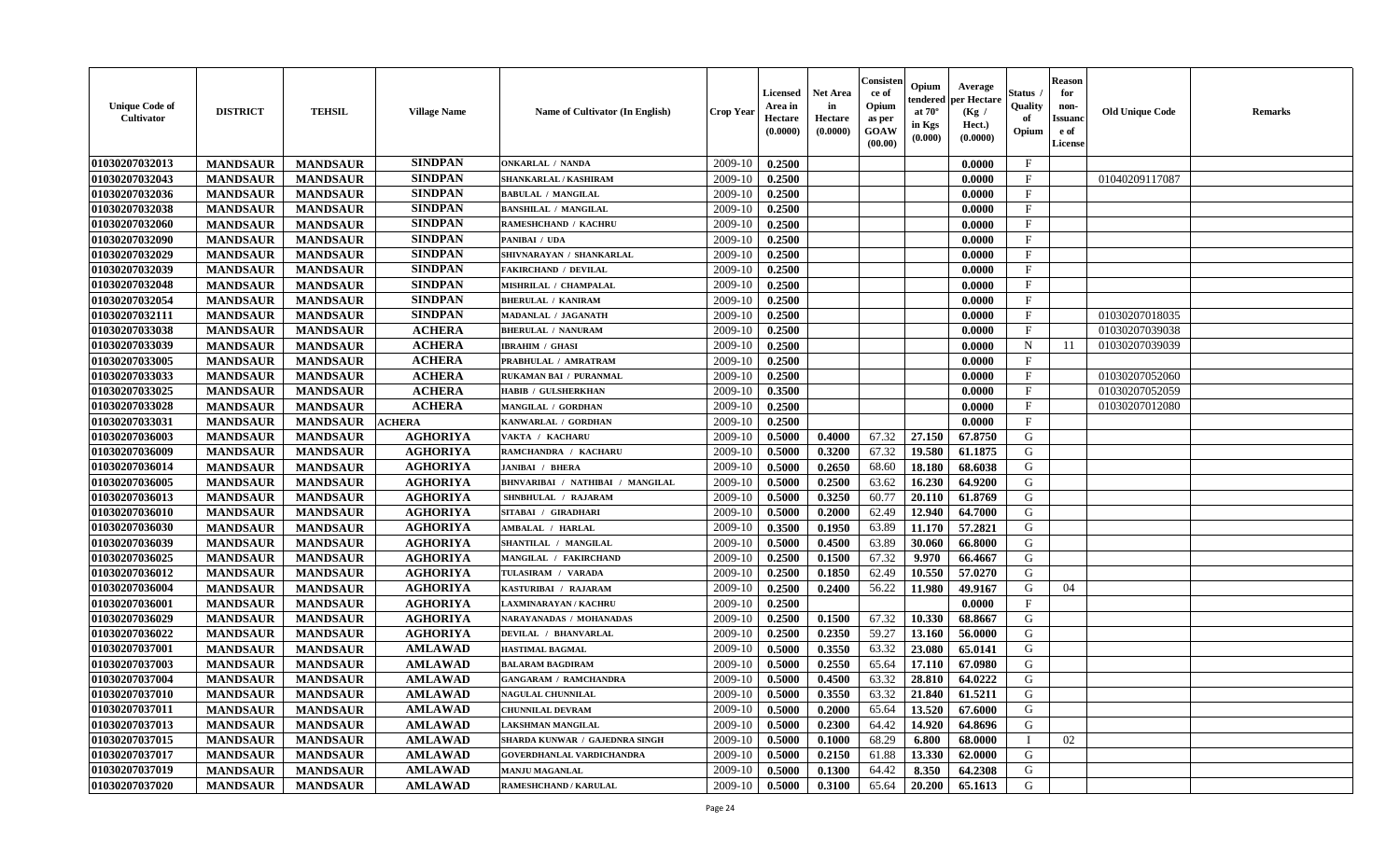| <b>Unique Code of</b><br>Cultivator | <b>DISTRICT</b> | <b>TEHSIL</b>   | <b>Village Name</b> | Name of Cultivator (In English)  | <b>Crop Year</b> | Licensed<br>Area in<br>Hectare<br>(0.0000) | <b>Net Area</b><br>in<br>Hectare<br>(0.0000) | Consister<br>ce of<br>Opium<br>as per<br>GOAW<br>(00.00) | Opium<br>endered<br>at $70^{\circ}$<br>in Kgs<br>$(\mathbf{0.000})$ | Average<br>per Hectare<br>(Kg /<br>Hect.)<br>(0.0000) | <b>Status</b> .<br>Quality<br>of<br>Opium | <b>Reason</b><br>for<br>non-<br><b>Issuand</b><br>e of<br>License | <b>Old Unique Code</b> | <b>Remarks</b> |
|-------------------------------------|-----------------|-----------------|---------------------|----------------------------------|------------------|--------------------------------------------|----------------------------------------------|----------------------------------------------------------|---------------------------------------------------------------------|-------------------------------------------------------|-------------------------------------------|-------------------------------------------------------------------|------------------------|----------------|
| 01030207032013                      | <b>MANDSAUR</b> | <b>MANDSAUR</b> | <b>SINDPAN</b>      | ONKARLAL / NANDA                 | 2009-10          | 0.2500                                     |                                              |                                                          |                                                                     | 0.0000                                                | $\mathbf{F}$                              |                                                                   |                        |                |
| 01030207032043                      | <b>MANDSAUR</b> | <b>MANDSAUR</b> | <b>SINDPAN</b>      | SHANKARLAL / KASHIRAM            | 2009-10          | 0.2500                                     |                                              |                                                          |                                                                     | 0.0000                                                | $\mathbf{F}$                              |                                                                   | 01040209117087         |                |
| 01030207032036                      | <b>MANDSAUR</b> | <b>MANDSAUR</b> | <b>SINDPAN</b>      | <b>BABULAL / MANGILAL</b>        | 2009-10          | 0.2500                                     |                                              |                                                          |                                                                     | 0.0000                                                | $\mathbf{F}$                              |                                                                   |                        |                |
| 01030207032038                      | <b>MANDSAUR</b> | <b>MANDSAUR</b> | <b>SINDPAN</b>      | <b>BANSHILAL / MANGILAL</b>      | 2009-10          | 0.2500                                     |                                              |                                                          |                                                                     | 0.0000                                                | $\mathbf{F}$                              |                                                                   |                        |                |
| 01030207032060                      | <b>MANDSAUR</b> | <b>MANDSAUR</b> | <b>SINDPAN</b>      | RAMESHCHAND / KACHRU             | 2009-10          | 0.2500                                     |                                              |                                                          |                                                                     | 0.0000                                                | $\mathbf F$                               |                                                                   |                        |                |
| 01030207032090                      | <b>MANDSAUR</b> | <b>MANDSAUR</b> | <b>SINDPAN</b>      | PANIBAI / UDA                    | 2009-10          | 0.2500                                     |                                              |                                                          |                                                                     | 0.0000                                                | $\mathbf F$                               |                                                                   |                        |                |
| 01030207032029                      | <b>MANDSAUR</b> | <b>MANDSAUR</b> | <b>SINDPAN</b>      | SHIVNARAYAN / SHANKARLAL         | 2009-10          | 0.2500                                     |                                              |                                                          |                                                                     | 0.0000                                                | $\mathbf F$                               |                                                                   |                        |                |
| 01030207032039                      | <b>MANDSAUR</b> | <b>MANDSAUR</b> | <b>SINDPAN</b>      | <b>FAKIRCHAND / DEVILAL</b>      | 2009-10          | 0.2500                                     |                                              |                                                          |                                                                     | 0.0000                                                | $\mathbf{F}$                              |                                                                   |                        |                |
| 01030207032048                      | <b>MANDSAUR</b> | <b>MANDSAUR</b> | <b>SINDPAN</b>      | MISHRILAL / CHAMPALAL            | 2009-10          | 0.2500                                     |                                              |                                                          |                                                                     | 0.0000                                                | F                                         |                                                                   |                        |                |
| 01030207032054                      | <b>MANDSAUR</b> | <b>MANDSAUR</b> | <b>SINDPAN</b>      | <b>BHERULAL / KANIRAM</b>        | 2009-10          | 0.2500                                     |                                              |                                                          |                                                                     | 0.0000                                                | $\mathbf{F}$                              |                                                                   |                        |                |
| 01030207032111                      | <b>MANDSAUR</b> | <b>MANDSAUR</b> | <b>SINDPAN</b>      | MADANLAL / JAGANATH              | 2009-10          | 0.2500                                     |                                              |                                                          |                                                                     | 0.0000                                                | $\rm F$                                   |                                                                   | 01030207018035         |                |
| 01030207033038                      | <b>MANDSAUR</b> | <b>MANDSAUR</b> | <b>ACHERA</b>       | <b>BHERULAL / NANURAM</b>        | 2009-10          | 0.2500                                     |                                              |                                                          |                                                                     | 0.0000                                                | $\mathbf F$                               |                                                                   | 01030207039038         |                |
| 01030207033039                      | <b>MANDSAUR</b> | <b>MANDSAUR</b> | <b>ACHERA</b>       | <b>IBRAHIM / GHASI</b>           | 2009-10          | 0.2500                                     |                                              |                                                          |                                                                     | 0.0000                                                | N                                         | 11                                                                | 01030207039039         |                |
| 01030207033005                      | <b>MANDSAUR</b> | <b>MANDSAUR</b> | <b>ACHERA</b>       | PRABHULAL / AMRATRAM             | 2009-10          | 0.2500                                     |                                              |                                                          |                                                                     | 0.0000                                                | $\mathbf{F}$                              |                                                                   |                        |                |
| 01030207033033                      | <b>MANDSAUR</b> | <b>MANDSAUR</b> | <b>ACHERA</b>       | RUKAMAN BAI / PURANMAL           | 2009-10          | 0.2500                                     |                                              |                                                          |                                                                     | 0.0000                                                | $\mathbf{F}$                              |                                                                   | 01030207052060         |                |
| 01030207033025                      | <b>MANDSAUR</b> | <b>MANDSAUR</b> | <b>ACHERA</b>       | <b>HABIB / GULSHERKHAN</b>       | 2009-10          | 0.3500                                     |                                              |                                                          |                                                                     | 0.0000                                                | $\mathbf F$                               |                                                                   | 01030207052059         |                |
| 01030207033028                      | <b>MANDSAUR</b> | <b>MANDSAUR</b> | <b>ACHERA</b>       | MANGILAL / GORDHAN               | 2009-10          | 0.2500                                     |                                              |                                                          |                                                                     | 0.0000                                                | $\mathbf{F}$                              |                                                                   | 01030207012080         |                |
| 01030207033031                      | <b>MANDSAUR</b> | <b>MANDSAUR</b> | <b>ACHERA</b>       | KANWARLAL / GORDHAN              | 2009-10          | 0.2500                                     |                                              |                                                          |                                                                     | 0.0000                                                | $\mathbf{F}$                              |                                                                   |                        |                |
| 01030207036003                      | <b>MANDSAUR</b> | <b>MANDSAUR</b> | <b>AGHORIYA</b>     | VAKTA / KACHARU                  | 2009-10          | 0.5000                                     | 0.4000                                       | 67.32                                                    | 27.150                                                              | 67.8750                                               | G                                         |                                                                   |                        |                |
|                                     |                 |                 |                     |                                  |                  |                                            |                                              | 67.32                                                    | 19.580                                                              |                                                       | G                                         |                                                                   |                        |                |
| 01030207036009                      | <b>MANDSAUR</b> | <b>MANDSAUR</b> | <b>AGHORIYA</b>     | RAMCHANDRA / KACHARU             | 2009-10          | 0.5000                                     | 0.3200                                       |                                                          |                                                                     | 61.1875                                               |                                           |                                                                   |                        |                |
| 01030207036014                      | <b>MANDSAUR</b> | <b>MANDSAUR</b> | <b>AGHORIYA</b>     | JANIBAI / BHERA                  | 2009-10          | 0.5000                                     | 0.2650                                       | 68.60                                                    | 18.180                                                              | 68.6038                                               | G                                         |                                                                   |                        |                |
| 01030207036005                      | <b>MANDSAUR</b> | <b>MANDSAUR</b> | <b>AGHORIYA</b>     | BHNVARIBAI / NATHIBAI / MANGILAL | 2009-10          | 0.5000                                     | 0.2500                                       | 63.62                                                    | 16.230                                                              | 64.9200                                               | G                                         |                                                                   |                        |                |
| 01030207036013                      | <b>MANDSAUR</b> | <b>MANDSAUR</b> | <b>AGHORIYA</b>     | SHNBHULAL / RAJARAM              | 2009-10          | 0.5000                                     | 0.3250                                       | 60.77                                                    | 20.110                                                              | 61.8769                                               | ${\bf G}$                                 |                                                                   |                        |                |
| 01030207036010                      | <b>MANDSAUR</b> | <b>MANDSAUR</b> | <b>AGHORIYA</b>     | SITABAI / GIRADHARI              | 2009-10          | 0.5000                                     | 0.2000                                       | 62.49                                                    | 12.940                                                              | 64.7000                                               | ${\bf G}$                                 |                                                                   |                        |                |
| 01030207036030                      | <b>MANDSAUR</b> | <b>MANDSAUR</b> | <b>AGHORIYA</b>     | AMBALAL / HARLAL                 | 2009-10          | 0.3500                                     | 0.1950                                       | 63.89                                                    | 11.170                                                              | 57.2821                                               | G                                         |                                                                   |                        |                |
| 01030207036039                      | <b>MANDSAUR</b> | <b>MANDSAUR</b> | <b>AGHORIYA</b>     | SHANTILAL / MANGILAL             | 2009-10          | 0.5000                                     | 0.4500                                       | 63.89                                                    | 30.060                                                              | 66.8000                                               | $\mathsf G$                               |                                                                   |                        |                |
| 01030207036025                      | <b>MANDSAUR</b> | <b>MANDSAUR</b> | <b>AGHORIYA</b>     | MANGILAL / FAKIRCHAND            | 2009-10          | 0.2500                                     | 0.1500                                       | 67.32                                                    | 9.970                                                               | 66.4667                                               | G                                         |                                                                   |                        |                |
| 01030207036012                      | <b>MANDSAUR</b> | <b>MANDSAUR</b> | <b>AGHORIYA</b>     | TULASIRAM / VARADA               | 2009-10          | 0.2500                                     | 0.1850                                       | 62.49                                                    | 10.550                                                              | 57.0270                                               | G                                         |                                                                   |                        |                |
| 01030207036004                      | <b>MANDSAUR</b> | <b>MANDSAUR</b> | <b>AGHORIYA</b>     | KASTURIBAI / RAJARAM             | 2009-10          | 0.2500                                     | 0.2400                                       | 56.22                                                    | 11.980                                                              | 49.9167                                               | G                                         | 04                                                                |                        |                |
| 01030207036001                      | <b>MANDSAUR</b> | <b>MANDSAUR</b> | <b>AGHORIYA</b>     | LAXMINARAYAN / KACHRI            | 2009-10          | 0.2500                                     |                                              |                                                          |                                                                     | 0.0000                                                | $_{\rm F}$                                |                                                                   |                        |                |
| 01030207036029                      | <b>MANDSAUR</b> | <b>MANDSAUR</b> | <b>AGHORIYA</b>     | NARAYANADAS / MOHANADAS          | 2009-10          | 0.2500                                     | 0.1500                                       | 67.32                                                    | 10.330                                                              | 68.8667                                               | G                                         |                                                                   |                        |                |
| 01030207036022                      | <b>MANDSAUR</b> | <b>MANDSAUR</b> | <b>AGHORIYA</b>     | DEVILAL / BHANVARLAL             | 2009-10          | 0.2500                                     | 0.2350                                       | 59.27                                                    | 13.160                                                              | 56.0000                                               | G                                         |                                                                   |                        |                |
| 01030207037001                      | <b>MANDSAUR</b> | <b>MANDSAUR</b> | <b>AMLAWAD</b>      | <b>HASTIMAL BAGMAL</b>           | 2009-10          | 0.5000                                     | 0.3550                                       | 63.32                                                    | 23.080                                                              | 65.0141                                               | G                                         |                                                                   |                        |                |
| 01030207037003                      | <b>MANDSAUR</b> | <b>MANDSAUR</b> | <b>AMLAWAD</b>      | <b>BALARAM BAGDIRAM</b>          | 2009-10          | 0.5000                                     | 0.2550                                       | 65.64                                                    | 17.110                                                              | 67.0980                                               | G                                         |                                                                   |                        |                |
| 01030207037004                      | <b>MANDSAUR</b> | <b>MANDSAUR</b> | <b>AMLAWAD</b>      | <b>GANGARAM / RAMCHANDRA</b>     | 2009-10          | 0.5000                                     | 0.4500                                       | 63.32                                                    | 28.810                                                              | 64.0222                                               | ${\bf G}$                                 |                                                                   |                        |                |
| 01030207037010                      | <b>MANDSAUR</b> | <b>MANDSAUR</b> | <b>AMLAWAD</b>      | <b>NAGULAL CHUNNILAL</b>         | 2009-10          | 0.5000                                     | 0.3550                                       | 63.32                                                    | 21.840                                                              | 61.5211                                               | G                                         |                                                                   |                        |                |
| 01030207037011                      | <b>MANDSAUR</b> | <b>MANDSAUR</b> | <b>AMLAWAD</b>      | <b>CHUNNILAL DEVRAM</b>          | 2009-10          | 0.5000                                     | 0.2000                                       | 65.64                                                    | 13.520                                                              | 67.6000                                               | G                                         |                                                                   |                        |                |
| 01030207037013                      | <b>MANDSAUR</b> | <b>MANDSAUR</b> | <b>AMLAWAD</b>      | LAKSHMAN MANGILAL                | 2009-10          | 0.5000                                     | 0.2300                                       | 64.42                                                    | 14.920                                                              | 64.8696                                               | G                                         |                                                                   |                        |                |
| 01030207037015                      | <b>MANDSAUR</b> | <b>MANDSAUR</b> | <b>AMLAWAD</b>      | SHARDA KUNWAR / GAJEDNRA SINGH   | 2009-10          | 0.5000                                     | 0.1000                                       | 68.29                                                    | 6.800                                                               | 68.0000                                               |                                           | 02                                                                |                        |                |
| 01030207037017                      | <b>MANDSAUR</b> | <b>MANDSAUR</b> | <b>AMLAWAD</b>      | <b>GOVERDHANLAL VARDICHANDRA</b> | 2009-10          | 0.5000                                     | 0.2150                                       | 61.88                                                    | 13.330                                                              | 62.0000                                               | G                                         |                                                                   |                        |                |
| 01030207037019                      | <b>MANDSAUR</b> | <b>MANDSAUR</b> | <b>AMLAWAD</b>      | <b>MANJU MAGANLAL</b>            | 2009-10          | 0.5000                                     | 0.1300                                       | 64.42                                                    | 8.350                                                               | 64.2308                                               | G                                         |                                                                   |                        |                |
| 01030207037020                      | <b>MANDSAUR</b> | <b>MANDSAUR</b> | <b>AMLAWAD</b>      | <b>RAMESHCHAND / KARULAL</b>     | 2009-10          | 0.5000                                     | 0.3100                                       | 65.64                                                    | 20.200                                                              | 65.1613                                               | G                                         |                                                                   |                        |                |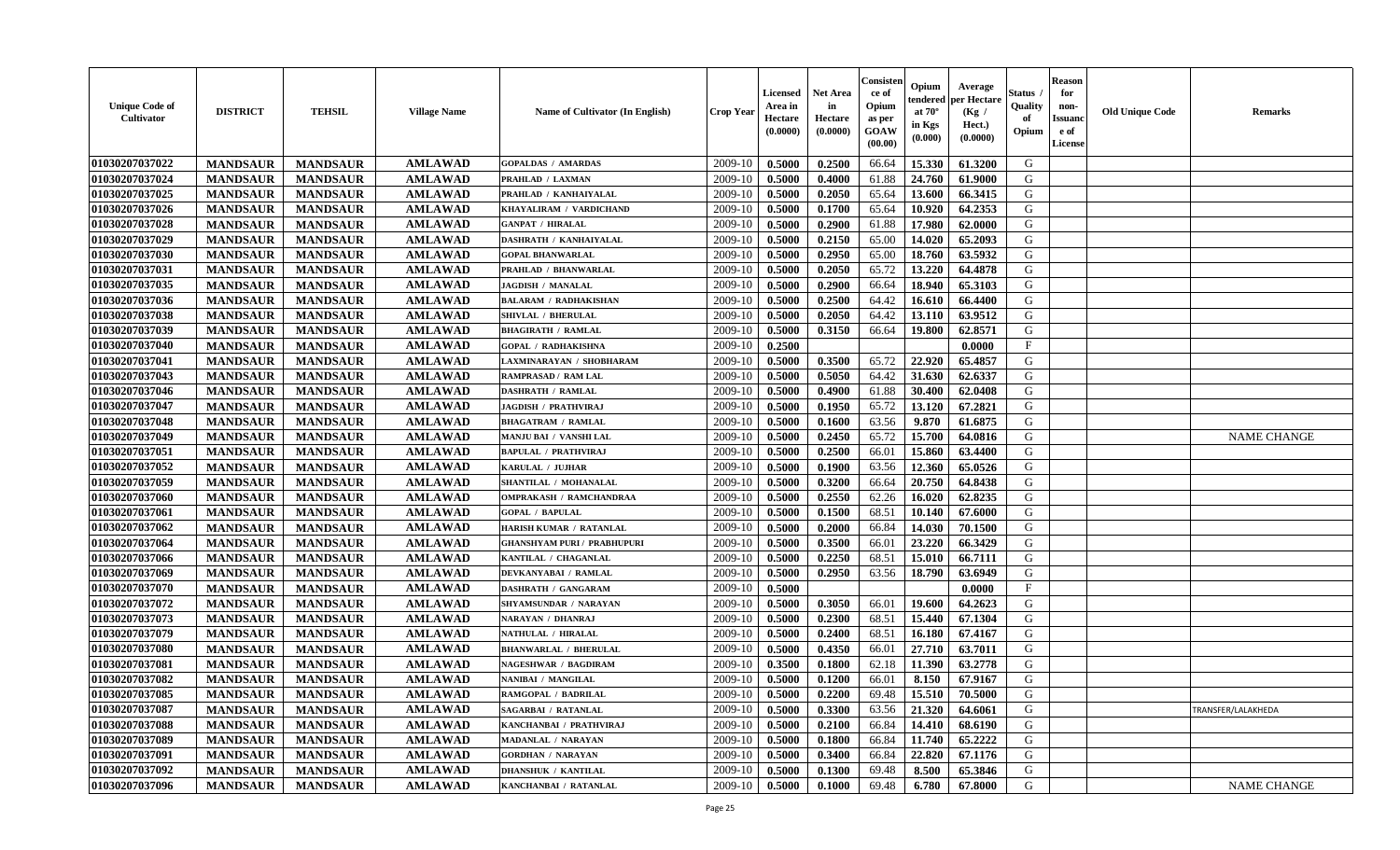| <b>Unique Code of</b><br><b>Cultivator</b> | <b>DISTRICT</b> | <b>TEHSIL</b>   | <b>Village Name</b> | Name of Cultivator (In English)    | Crop Year | <b>Licensed</b><br>Area in<br>Hectare<br>(0.0000) | <b>Net Area</b><br>in<br>Hectare<br>(0.0000) | Consister<br>ce of<br>Opium<br>as per<br>GOAW<br>(00.00) | Opium<br>tendered<br>at $70^{\circ}$<br>in Kgs<br>(0.000) | Average<br>oer Hectare<br>(Kg /<br>Hect.)<br>(0.0000) | Status<br>Quality<br>of<br>Opium | <b>Reason</b><br>for<br>non-<br><b>Issuand</b><br>e of<br>License | <b>Old Unique Code</b> | Remarks            |
|--------------------------------------------|-----------------|-----------------|---------------------|------------------------------------|-----------|---------------------------------------------------|----------------------------------------------|----------------------------------------------------------|-----------------------------------------------------------|-------------------------------------------------------|----------------------------------|-------------------------------------------------------------------|------------------------|--------------------|
| 01030207037022                             | <b>MANDSAUR</b> | <b>MANDSAUR</b> | <b>AMLAWAD</b>      | <b>GOPALDAS / AMARDAS</b>          | 2009-10   | 0.5000                                            | 0.2500                                       | 66.64                                                    | 15.330                                                    | 61.3200                                               | G                                |                                                                   |                        |                    |
| 01030207037024                             | <b>MANDSAUR</b> | <b>MANDSAUR</b> | <b>AMLAWAD</b>      | PRAHLAD / LAXMAN                   | 2009-10   | 0.5000                                            | 0.4000                                       | 61.88                                                    | 24.760                                                    | 61.9000                                               | G                                |                                                                   |                        |                    |
| 01030207037025                             | <b>MANDSAUR</b> | <b>MANDSAUR</b> | <b>AMLAWAD</b>      | PRAHLAD / KANHAIYALAL              | 2009-10   | 0.5000                                            | 0.2050                                       | 65.64                                                    | 13.600                                                    | 66.3415                                               | G                                |                                                                   |                        |                    |
| 01030207037026                             | <b>MANDSAUR</b> | <b>MANDSAUR</b> | <b>AMLAWAD</b>      | KHAYALIRAM / VARDICHAND            | 2009-10   | 0.5000                                            | 0.1700                                       | 65.64                                                    | 10.920                                                    | 64.2353                                               | G                                |                                                                   |                        |                    |
| 01030207037028                             | <b>MANDSAUR</b> | <b>MANDSAUR</b> | <b>AMLAWAD</b>      | <b>GANPAT / HIRALAL</b>            | 2009-10   | 0.5000                                            | 0.2900                                       | 61.88                                                    | 17.980                                                    | 62.0000                                               | G                                |                                                                   |                        |                    |
| 01030207037029                             | <b>MANDSAUR</b> | <b>MANDSAUR</b> | <b>AMLAWAD</b>      | DASHRATH / KANHAIYALAL             | 2009-10   | 0.5000                                            | 0.2150                                       | 65.00                                                    | 14.020                                                    | 65.2093                                               | G                                |                                                                   |                        |                    |
| 01030207037030                             | <b>MANDSAUR</b> | <b>MANDSAUR</b> | <b>AMLAWAD</b>      | <b>GOPAL BHANWARLAL</b>            | 2009-10   | 0.5000                                            | 0.2950                                       | 65.00                                                    | 18.760                                                    | 63.5932                                               | G                                |                                                                   |                        |                    |
| 01030207037031                             | <b>MANDSAUR</b> | <b>MANDSAUR</b> | <b>AMLAWAD</b>      | PRAHLAD / BHANWARLAL               | 2009-10   | 0.5000                                            | 0.2050                                       | 65.72                                                    | 13.220                                                    | 64.4878                                               | G                                |                                                                   |                        |                    |
| 01030207037035                             | <b>MANDSAUR</b> | <b>MANDSAUR</b> | <b>AMLAWAD</b>      | <b>JAGDISH / MANALAL</b>           | 2009-10   | 0.5000                                            | 0.2900                                       | 66.64                                                    | 18.940                                                    | 65.3103                                               | G                                |                                                                   |                        |                    |
| 01030207037036                             | <b>MANDSAUR</b> | <b>MANDSAUR</b> | <b>AMLAWAD</b>      | <b>BALARAM / RADHAKISHAN</b>       | 2009-10   | 0.5000                                            | 0.2500                                       | 64.42                                                    | 16.610                                                    | 66.4400                                               | G                                |                                                                   |                        |                    |
| 01030207037038                             | <b>MANDSAUR</b> | <b>MANDSAUR</b> | <b>AMLAWAD</b>      | SHIVLAL / BHERULAL                 | 2009-10   | 0.5000                                            | 0.2050                                       | 64.42                                                    | 13.110                                                    | 63.9512                                               | G                                |                                                                   |                        |                    |
| 01030207037039                             | <b>MANDSAUR</b> | <b>MANDSAUR</b> | <b>AMLAWAD</b>      | <b>BHAGIRATH / RAMLAL</b>          | 2009-10   | 0.5000                                            | 0.3150                                       | 66.64                                                    | 19.800                                                    | 62.8571                                               | G                                |                                                                   |                        |                    |
| 01030207037040                             | <b>MANDSAUR</b> | <b>MANDSAUR</b> | <b>AMLAWAD</b>      | <b>GOPAL / RADHAKISHNA</b>         | 2009-10   | 0.2500                                            |                                              |                                                          |                                                           | 0.0000                                                | $\mathbf{F}$                     |                                                                   |                        |                    |
| 01030207037041                             | <b>MANDSAUR</b> | <b>MANDSAUR</b> | <b>AMLAWAD</b>      | LAXMINARAYAN / SHOBHARAM           | 2009-10   | 0.5000                                            | 0.3500                                       | 65.72                                                    | 22.920                                                    | 65.4857                                               | G                                |                                                                   |                        |                    |
| 01030207037043                             | <b>MANDSAUR</b> | <b>MANDSAUR</b> | <b>AMLAWAD</b>      | <b>RAMPRASAD / RAM LAL</b>         | 2009-10   | 0.5000                                            | 0.5050                                       | 64.42                                                    | 31.630                                                    | 62.6337                                               | G                                |                                                                   |                        |                    |
| 01030207037046                             | <b>MANDSAUR</b> | <b>MANDSAUR</b> | <b>AMLAWAD</b>      | <b>DASHRATH / RAMLAL</b>           | 2009-10   | 0.5000                                            | 0.4900                                       | 61.88                                                    | 30.400                                                    | 62.0408                                               | G                                |                                                                   |                        |                    |
| 01030207037047                             | <b>MANDSAUR</b> | <b>MANDSAUR</b> | <b>AMLAWAD</b>      | <b>JAGDISH / PRATHVIRAJ</b>        | 2009-10   | 0.5000                                            | 0.1950                                       | 65.72                                                    | 13.120                                                    | 67.2821                                               | G                                |                                                                   |                        |                    |
| 01030207037048                             | <b>MANDSAUR</b> | <b>MANDSAUR</b> | <b>AMLAWAD</b>      | <b>BHAGATRAM / RAMLAL</b>          | 2009-10   | 0.5000                                            | 0.1600                                       | 63.56                                                    | 9.870                                                     | 61.6875                                               | G                                |                                                                   |                        |                    |
| 01030207037049                             | <b>MANDSAUR</b> | <b>MANDSAUR</b> | <b>AMLAWAD</b>      | MANJU BAI / VANSHI LAL             | 2009-10   | 0.5000                                            | 0.2450                                       | 65.72                                                    | 15.700                                                    | 64.0816                                               | G                                |                                                                   |                        | <b>NAME CHANGE</b> |
| 01030207037051                             | <b>MANDSAUR</b> | <b>MANDSAUR</b> | <b>AMLAWAD</b>      | <b>BAPULAL / PRATHVIRAJ</b>        | 2009-10   | 0.5000                                            | 0.2500                                       | 66.01                                                    | 15.860                                                    | 63.4400                                               | G                                |                                                                   |                        |                    |
| 01030207037052                             | <b>MANDSAUR</b> | <b>MANDSAUR</b> | <b>AMLAWAD</b>      | KARULAL / JUJHAR                   | 2009-10   | 0.5000                                            | 0.1900                                       | 63.56                                                    | 12.360                                                    | 65.0526                                               | G                                |                                                                   |                        |                    |
| 01030207037059                             | <b>MANDSAUR</b> | <b>MANDSAUR</b> | <b>AMLAWAD</b>      | SHANTILAL / MOHANALAL              | 2009-10   | 0.5000                                            | 0.3200                                       | 66.64                                                    | 20.750                                                    | 64.8438                                               | G                                |                                                                   |                        |                    |
| 01030207037060                             | <b>MANDSAUR</b> | <b>MANDSAUR</b> | <b>AMLAWAD</b>      | <b>OMPRAKASH / RAMCHANDRAA</b>     | 2009-10   | 0.5000                                            | 0.2550                                       | 62.26                                                    | 16.020                                                    | 62.8235                                               | G                                |                                                                   |                        |                    |
| 01030207037061                             | <b>MANDSAUR</b> | <b>MANDSAUR</b> | <b>AMLAWAD</b>      | <b>GOPAL / BAPULAL</b>             | 2009-10   | 0.5000                                            | 0.1500                                       | 68.51                                                    | 10.140                                                    | 67.6000                                               | G                                |                                                                   |                        |                    |
| 01030207037062                             | <b>MANDSAUR</b> | <b>MANDSAUR</b> | <b>AMLAWAD</b>      | HARISH KUMAR / RATANLAL            | 2009-10   | 0.5000                                            | 0.2000                                       | 66.84                                                    | 14.030                                                    | 70.1500                                               | G                                |                                                                   |                        |                    |
| 01030207037064                             | <b>MANDSAUR</b> | <b>MANDSAUR</b> | <b>AMLAWAD</b>      | <b>GHANSHYAM PURI / PRABHUPURI</b> | 2009-10   | 0.5000                                            | 0.3500                                       | 66.01                                                    | 23.220                                                    | 66.3429                                               | G                                |                                                                   |                        |                    |
| 01030207037066                             | <b>MANDSAUR</b> | <b>MANDSAUR</b> | <b>AMLAWAD</b>      | KANTILAL / CHAGANLAL               | 2009-10   | 0.5000                                            | 0.2250                                       | 68.51                                                    | 15.010                                                    | 66.7111                                               | G                                |                                                                   |                        |                    |
| 01030207037069                             | <b>MANDSAUR</b> | <b>MANDSAUR</b> | <b>AMLAWAD</b>      | DEVKANYABAI / RAMLAL               | 2009-10   | 0.5000                                            | 0.2950                                       | 63.56                                                    | 18.790                                                    | 63.6949                                               | G                                |                                                                   |                        |                    |
| 01030207037070                             | <b>MANDSAUR</b> | <b>MANDSAUR</b> | <b>AMLAWAD</b>      | <b>DASHRATH / GANGARAM</b>         | 2009-10   | 0.5000                                            |                                              |                                                          |                                                           | 0.0000                                                | $\mathbf{F}$                     |                                                                   |                        |                    |
| 01030207037072                             | <b>MANDSAUR</b> | <b>MANDSAUR</b> | <b>AMLAWAD</b>      | SHYAMSUNDAR / NARAYAN              | 2009-10   | 0.5000                                            | 0.3050                                       | 66.01                                                    | 19.600                                                    | 64.2623                                               | G                                |                                                                   |                        |                    |
| 01030207037073                             | <b>MANDSAUR</b> | <b>MANDSAUR</b> | <b>AMLAWAD</b>      | NARAYAN / DHANRAJ                  | 2009-10   | 0.5000                                            | 0.2300                                       | 68.51                                                    | 15.440                                                    | 67.1304                                               | G                                |                                                                   |                        |                    |
| 01030207037079                             | <b>MANDSAUR</b> | <b>MANDSAUR</b> | <b>AMLAWAD</b>      | NATHULAL / HIRALAL                 | 2009-10   | 0.5000                                            | 0.2400                                       | 68.51                                                    | 16.180                                                    | 67.4167                                               | G                                |                                                                   |                        |                    |
| 01030207037080                             | <b>MANDSAUR</b> | <b>MANDSAUR</b> | <b>AMLAWAD</b>      | <b>BHANWARLAL / BHERULAL</b>       | 2009-10   | 0.5000                                            | 0.4350                                       | 66.01                                                    | 27.710                                                    | 63.7011                                               | G                                |                                                                   |                        |                    |
| 01030207037081                             | <b>MANDSAUR</b> | <b>MANDSAUR</b> | <b>AMLAWAD</b>      | <b>NAGESHWAR / BAGDIRAM</b>        | 2009-10   | 0.3500                                            | 0.1800                                       | 62.18                                                    | 11.390                                                    | 63.2778                                               | G                                |                                                                   |                        |                    |
| 01030207037082                             | <b>MANDSAUR</b> | <b>MANDSAUR</b> | <b>AMLAWAD</b>      | NANIBAI / MANGILAL                 | 2009-10   | 0.5000                                            | 0.1200                                       | 66.01                                                    | 8.150                                                     | 67.9167                                               | G                                |                                                                   |                        |                    |
| 01030207037085                             | <b>MANDSAUR</b> | <b>MANDSAUR</b> | <b>AMLAWAD</b>      | RAMGOPAL / BADRILAL                | 2009-10   | 0.5000                                            | 0.2200                                       | 69.48                                                    | 15.510                                                    | 70.5000                                               | G                                |                                                                   |                        |                    |
| 01030207037087                             | <b>MANDSAUR</b> | <b>MANDSAUR</b> | <b>AMLAWAD</b>      | <b>SAGARBAI / RATANLAL</b>         | 2009-10   | 0.5000                                            | 0.3300                                       | 63.56                                                    | 21.320                                                    | 64.6061                                               | G                                |                                                                   |                        | TRANSFER/LALAKHEDA |
| 01030207037088                             | <b>MANDSAUR</b> | <b>MANDSAUR</b> | <b>AMLAWAD</b>      | KANCHANBAI / PRATHVIRAJ            | 2009-10   | 0.5000                                            | 0.2100                                       | 66.84                                                    | 14.410                                                    | 68.6190                                               | G                                |                                                                   |                        |                    |
| 01030207037089                             | <b>MANDSAUR</b> | <b>MANDSAUR</b> | <b>AMLAWAD</b>      | MADANLAL / NARAYAN                 | 2009-10   | 0.5000                                            | 0.1800                                       | 66.84                                                    | 11.740                                                    | 65.2222                                               | G                                |                                                                   |                        |                    |
| 01030207037091                             | <b>MANDSAUR</b> | <b>MANDSAUR</b> | <b>AMLAWAD</b>      | <b>GORDHAN / NARAYAN</b>           | 2009-10   | 0.5000                                            | 0.3400                                       | 66.84                                                    | 22.820                                                    | 67.1176                                               | G                                |                                                                   |                        |                    |
| 01030207037092                             | <b>MANDSAUR</b> | <b>MANDSAUR</b> | <b>AMLAWAD</b>      | <b>DHANSHUK / KANTILAL</b>         | 2009-10   | 0.5000                                            | 0.1300                                       | 69.48                                                    | 8.500                                                     | 65.3846                                               | G                                |                                                                   |                        |                    |
| 01030207037096                             | <b>MANDSAUR</b> | <b>MANDSAUR</b> | <b>AMLAWAD</b>      | KANCHANBAI / RATANLAL              | 2009-10   | 0.5000                                            | 0.1000                                       | 69.48                                                    | 6.780                                                     | 67.8000                                               | G                                |                                                                   |                        | <b>NAME CHANGE</b> |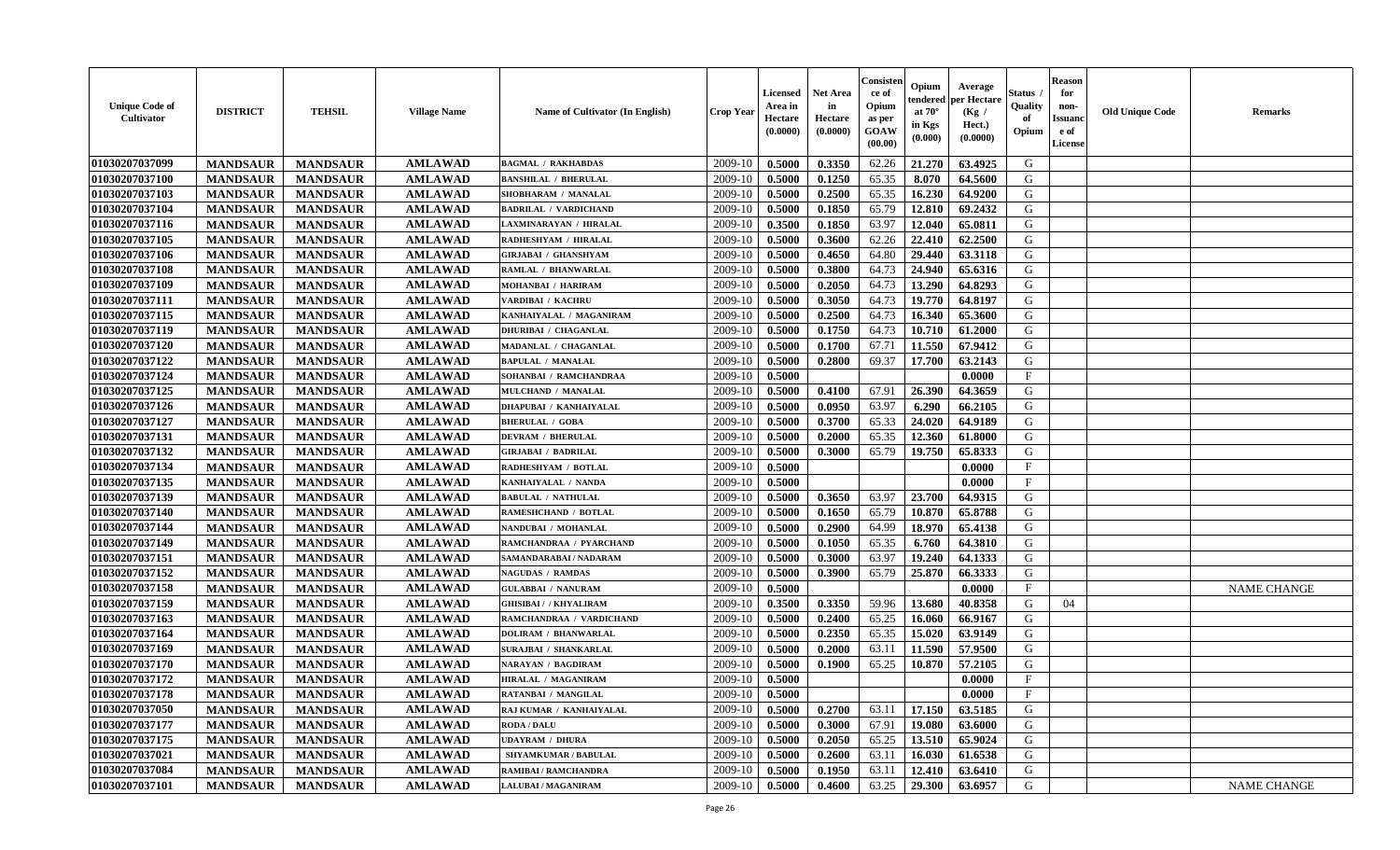| <b>Unique Code of</b><br>Cultivator | <b>DISTRICT</b> | <b>TEHSIL</b>   | <b>Village Name</b> | Name of Cultivator (In English) | <b>Crop Year</b> | <b>Licensed</b><br>Area in<br>Hectare<br>(0.0000) | <b>Net Area</b><br>in<br>Hectare<br>(0.0000) | Consister<br>ce of<br>Opium<br>as per<br><b>GOAW</b><br>(00.00) | Opium<br>endered<br>at $70^{\circ}$<br>in Kgs<br>$(\mathbf{0.000})$ | Average<br>per Hectare<br>(Kg /<br>Hect.)<br>(0.0000) | <b>Status</b><br>Quality<br>of<br>Opium | <b>Reason</b><br>for<br>non-<br><b>Issuanc</b><br>e of<br>License | <b>Old Unique Code</b> | <b>Remarks</b>     |
|-------------------------------------|-----------------|-----------------|---------------------|---------------------------------|------------------|---------------------------------------------------|----------------------------------------------|-----------------------------------------------------------------|---------------------------------------------------------------------|-------------------------------------------------------|-----------------------------------------|-------------------------------------------------------------------|------------------------|--------------------|
| 01030207037099                      | <b>MANDSAUR</b> | <b>MANDSAUR</b> | <b>AMLAWAD</b>      | <b>BAGMAL / RAKHABDAS</b>       | 2009-10          | 0.5000                                            | 0.3350                                       | 62.26                                                           | 21.270                                                              | 63.4925                                               | G                                       |                                                                   |                        |                    |
| 01030207037100                      | <b>MANDSAUR</b> | <b>MANDSAUR</b> | <b>AMLAWAD</b>      | <b>BANSHILAL / BHERULAL</b>     | 2009-10          | 0.5000                                            | 0.1250                                       | 65.35                                                           | 8.070                                                               | 64.5600                                               | G                                       |                                                                   |                        |                    |
| 01030207037103                      | <b>MANDSAUR</b> | <b>MANDSAUR</b> | <b>AMLAWAD</b>      | SHOBHARAM / MANALAL             | 2009-10          | 0.5000                                            | 0.2500                                       | 65.35                                                           | 16.230                                                              | 64.9200                                               | G                                       |                                                                   |                        |                    |
| 01030207037104                      | <b>MANDSAUR</b> | <b>MANDSAUR</b> | <b>AMLAWAD</b>      | <b>BADRILAL / VARDICHAND</b>    | 2009-10          | 0.5000                                            | 0.1850                                       | 65.79                                                           | 12.810                                                              | 69.2432                                               | G                                       |                                                                   |                        |                    |
| 01030207037116                      | <b>MANDSAUR</b> | <b>MANDSAUR</b> | <b>AMLAWAD</b>      | LAXMINARAYAN / HIRALAL          | 2009-10          | 0.3500                                            | 0.1850                                       | 63.97                                                           | 12.040                                                              | 65.0811                                               | G                                       |                                                                   |                        |                    |
| 01030207037105                      | <b>MANDSAUR</b> | <b>MANDSAUR</b> | <b>AMLAWAD</b>      | RADHESHYAM / HIRALAL            | 2009-10          | 0.5000                                            | 0.3600                                       | 62.26                                                           | 22.410                                                              | 62.2500                                               | G                                       |                                                                   |                        |                    |
| 01030207037106                      | <b>MANDSAUR</b> | <b>MANDSAUR</b> | <b>AMLAWAD</b>      | <b>GIRJABAI / GHANSHYAM</b>     | 2009-10          | 0.5000                                            | 0.4650                                       | 64.80                                                           | 29.440                                                              | 63.3118                                               | G                                       |                                                                   |                        |                    |
| 01030207037108                      | <b>MANDSAUR</b> | <b>MANDSAUR</b> | <b>AMLAWAD</b>      | RAMLAL / BHANWARLAL             | 2009-10          | 0.5000                                            | 0.3800                                       | 64.73                                                           | 24.940                                                              | 65.6316                                               | G                                       |                                                                   |                        |                    |
| 01030207037109                      | <b>MANDSAUR</b> | <b>MANDSAUR</b> | <b>AMLAWAD</b>      | MOHANBAI / HARIRAM              | 2009-10          | 0.5000                                            | 0.2050                                       | 64.73                                                           | 13.290                                                              | 64.8293                                               | G                                       |                                                                   |                        |                    |
| 01030207037111                      | <b>MANDSAUR</b> | <b>MANDSAUR</b> | <b>AMLAWAD</b>      | VARDIBAI / KACHRU               | 2009-10          | 0.5000                                            | 0.3050                                       | 64.73                                                           | 19.770                                                              | 64.8197                                               | G                                       |                                                                   |                        |                    |
| 01030207037115                      | <b>MANDSAUR</b> | <b>MANDSAUR</b> | <b>AMLAWAD</b>      | KANHAIYALAL / MAGANIRAM         | 2009-10          | 0.5000                                            | 0.2500                                       | 64.73                                                           | 16.340                                                              | 65.3600                                               | G                                       |                                                                   |                        |                    |
| 01030207037119                      | <b>MANDSAUR</b> | <b>MANDSAUR</b> | <b>AMLAWAD</b>      | <b>DHURIBAI / CHAGANLAL</b>     | 2009-10          | 0.5000                                            | 0.1750                                       | 64.73                                                           | 10.710                                                              | 61.2000                                               | G                                       |                                                                   |                        |                    |
| 01030207037120                      | <b>MANDSAUR</b> | <b>MANDSAUR</b> | <b>AMLAWAD</b>      | MADANLAL / CHAGANLAL            | 2009-10          | 0.5000                                            | 0.1700                                       | 67.71                                                           | 11.550                                                              | 67.9412                                               | G                                       |                                                                   |                        |                    |
| 01030207037122                      | <b>MANDSAUR</b> | <b>MANDSAUR</b> | <b>AMLAWAD</b>      | <b>BAPULAL / MANALAL</b>        | 2009-10          | 0.5000                                            | 0.2800                                       | 69.37                                                           | 17.700                                                              | 63.2143                                               | G                                       |                                                                   |                        |                    |
| 01030207037124                      | <b>MANDSAUR</b> | <b>MANDSAUR</b> | <b>AMLAWAD</b>      | SOHANBAI / RAMCHANDRAA          | 2009-10          | 0.5000                                            |                                              |                                                                 |                                                                     | 0.0000                                                | $\mathbf{F}$                            |                                                                   |                        |                    |
| 01030207037125                      | <b>MANDSAUR</b> | <b>MANDSAUR</b> | <b>AMLAWAD</b>      | MULCHAND / MANALAL              | 2009-10          | 0.5000                                            | 0.4100                                       | 67.91                                                           | 26.390                                                              | 64.3659                                               | G                                       |                                                                   |                        |                    |
| 01030207037126                      | <b>MANDSAUR</b> | <b>MANDSAUR</b> | <b>AMLAWAD</b>      | <b>DHAPUBAI / KANHAIYALAL</b>   | 2009-10          | 0.5000                                            | 0.0950                                       | 63.97                                                           | 6.290                                                               | 66.2105                                               | G                                       |                                                                   |                        |                    |
| 01030207037127                      | <b>MANDSAUR</b> | <b>MANDSAUR</b> | <b>AMLAWAD</b>      | <b>BHERULAL / GOBA</b>          | 2009-10          | 0.5000                                            | 0.3700                                       | 65.33                                                           | 24.020                                                              | 64.9189                                               | G                                       |                                                                   |                        |                    |
| 01030207037131                      | <b>MANDSAUR</b> | <b>MANDSAUR</b> | <b>AMLAWAD</b>      | <b>DEVRAM / BHERULAL</b>        | 2009-10          | 0.5000                                            | 0.2000                                       | 65.35                                                           | 12.360                                                              | 61.8000                                               | G                                       |                                                                   |                        |                    |
| 01030207037132                      | <b>MANDSAUR</b> | <b>MANDSAUR</b> | <b>AMLAWAD</b>      | <b>GIRJABAI / BADRILAL</b>      | 2009-10          | 0.5000                                            | 0.3000                                       | 65.79                                                           | 19.750                                                              | 65.8333                                               | G                                       |                                                                   |                        |                    |
| 01030207037134                      | <b>MANDSAUR</b> | <b>MANDSAUR</b> | <b>AMLAWAD</b>      | RADHESHYAM / BOTLAL             | 2009-10          | 0.5000                                            |                                              |                                                                 |                                                                     | 0.0000                                                | $\mathbf{F}$                            |                                                                   |                        |                    |
| 01030207037135                      | <b>MANDSAUR</b> | <b>MANDSAUR</b> | <b>AMLAWAD</b>      | KANHAIYALAL / NANDA             | 2009-10          | 0.5000                                            |                                              |                                                                 |                                                                     | 0.0000                                                | $\mathbf{F}$                            |                                                                   |                        |                    |
| 01030207037139                      | <b>MANDSAUR</b> | <b>MANDSAUR</b> | <b>AMLAWAD</b>      | <b>BABULAL / NATHULAL</b>       | 2009-10          | 0.5000                                            | 0.3650                                       | 63.97                                                           | 23.700                                                              | 64.9315                                               | G                                       |                                                                   |                        |                    |
| 01030207037140                      | <b>MANDSAUR</b> | <b>MANDSAUR</b> | <b>AMLAWAD</b>      | RAMESHCHAND / BOTLAL            | 2009-10          | 0.5000                                            | 0.1650                                       | 65.79                                                           | 10.870                                                              | 65.8788                                               | G                                       |                                                                   |                        |                    |
| 01030207037144                      | <b>MANDSAUR</b> | <b>MANDSAUR</b> | <b>AMLAWAD</b>      | NANDUBAI / MOHANLAL             | 2009-10          | 0.5000                                            | 0.2900                                       | 64.99                                                           | 18.970                                                              | 65.4138                                               | G                                       |                                                                   |                        |                    |
| 01030207037149                      | <b>MANDSAUR</b> | <b>MANDSAUR</b> | <b>AMLAWAD</b>      | RAMCHANDRAA / PYARCHAND         | 2009-10          | 0.5000                                            | 0.1050                                       | 65.35                                                           | 6.760                                                               | 64.3810                                               | G                                       |                                                                   |                        |                    |
| 01030207037151                      | <b>MANDSAUR</b> | <b>MANDSAUR</b> | <b>AMLAWAD</b>      | SAMANDARABAI / NADARAM          | 2009-10          | 0.5000                                            | 0.3000                                       | 63.97                                                           | 19.240                                                              | 64.1333                                               | G                                       |                                                                   |                        |                    |
| 01030207037152                      | <b>MANDSAUR</b> | <b>MANDSAUR</b> | <b>AMLAWAD</b>      | <b>NAGUDAS / RAMDAS</b>         | 2009-10          | 0.5000                                            | 0.3900                                       | 65.79                                                           | 25.870                                                              | 66.3333                                               | G                                       |                                                                   |                        |                    |
| 01030207037158                      | <b>MANDSAUR</b> | <b>MANDSAUR</b> | <b>AMLAWAD</b>      | <b>GULABBAI / NANURAM</b>       | 2009-10          | 0.5000                                            |                                              |                                                                 |                                                                     | 0.0000                                                | $\mathbf{F}$                            |                                                                   |                        | <b>NAME CHANGE</b> |
| 01030207037159                      | <b>MANDSAUR</b> | <b>MANDSAUR</b> | <b>AMLAWAD</b>      | <b>GHISIBAI / / KHYALIRAM</b>   | 2009-10          | 0.3500                                            | 0.3350                                       | 59.96                                                           | 13.680                                                              | 40.8358                                               | G                                       | 04                                                                |                        |                    |
| 01030207037163                      | <b>MANDSAUR</b> | <b>MANDSAUR</b> | <b>AMLAWAD</b>      | RAMCHANDRAA / VARDICHAND        | 2009-10          | 0.5000                                            | 0.2400                                       | 65.25                                                           | 16.060                                                              | 66.9167                                               | G                                       |                                                                   |                        |                    |
| 01030207037164                      | <b>MANDSAUR</b> | <b>MANDSAUR</b> | <b>AMLAWAD</b>      | <b>DOLIRAM / BHANWARLAL</b>     | 2009-10          | 0.5000                                            | 0.2350                                       | 65.35                                                           | 15.020                                                              | 63.9149                                               | G                                       |                                                                   |                        |                    |
| 01030207037169                      | <b>MANDSAUR</b> | <b>MANDSAUR</b> | <b>AMLAWAD</b>      | SURAJBAI / SHANKARLAL           | 2009-10          | 0.5000                                            | 0.2000                                       | 63.11                                                           | 11.590                                                              | 57.9500                                               | G                                       |                                                                   |                        |                    |
| 01030207037170                      | <b>MANDSAUR</b> | <b>MANDSAUR</b> | <b>AMLAWAD</b>      | NARAYAN / BAGDIRAM              | 2009-10          | 0.5000                                            | 0.1900                                       | 65.25                                                           | 10.870                                                              | 57.2105                                               | G                                       |                                                                   |                        |                    |
| 01030207037172                      | <b>MANDSAUR</b> | <b>MANDSAUR</b> | <b>AMLAWAD</b>      | <b>HIRALAL / MAGANIRAM</b>      | 2009-10          | 0.5000                                            |                                              |                                                                 |                                                                     | 0.0000                                                | $\mathbf{F}$                            |                                                                   |                        |                    |
| 01030207037178                      | <b>MANDSAUR</b> | MANDSAUR        | AMLAWAD             | RATANBAI / MANGILAL             | $2009-10$ 0.5000 |                                                   |                                              |                                                                 |                                                                     | 0.0000                                                | F                                       |                                                                   |                        |                    |
| 01030207037050                      | <b>MANDSAUR</b> | <b>MANDSAUR</b> | <b>AMLAWAD</b>      | RAJ KUMAR / KANHAIYALAL         | 2009-10          | 0.5000                                            | 0.2700                                       | 63.11                                                           | 17.150                                                              | 63.5185                                               | G                                       |                                                                   |                        |                    |
| 01030207037177                      | <b>MANDSAUR</b> | <b>MANDSAUR</b> | <b>AMLAWAD</b>      | <b>RODA / DALU</b>              | 2009-10          | 0.5000                                            | 0.3000                                       | 67.91                                                           | 19.080                                                              | 63.6000                                               | G                                       |                                                                   |                        |                    |
| 01030207037175                      | <b>MANDSAUR</b> | <b>MANDSAUR</b> | <b>AMLAWAD</b>      | <b>UDAYRAM / DHURA</b>          | 2009-10          | 0.5000                                            | 0.2050                                       | 65.25                                                           | 13.510                                                              | 65.9024                                               | G                                       |                                                                   |                        |                    |
| 01030207037021                      | <b>MANDSAUR</b> | <b>MANDSAUR</b> | <b>AMLAWAD</b>      | <b>SHYAMKUMAR / BABULAL</b>     | 2009-10          | 0.5000                                            | 0.2600                                       | 63.11                                                           | 16.030                                                              | 61.6538                                               | G                                       |                                                                   |                        |                    |
| 01030207037084                      | <b>MANDSAUR</b> | <b>MANDSAUR</b> | <b>AMLAWAD</b>      | RAMIBAI / RAMCHANDRA            | 2009-10          | 0.5000                                            | 0.1950                                       | 63.11                                                           | 12.410                                                              | 63.6410                                               | G                                       |                                                                   |                        |                    |
| 01030207037101                      | <b>MANDSAUR</b> | <b>MANDSAUR</b> | <b>AMLAWAD</b>      | LALUBAI / MAGANIRAM             | 2009-10          | 0.5000                                            | 0.4600                                       | 63.25                                                           | 29.300                                                              | 63.6957                                               | G                                       |                                                                   |                        | NAME CHANGE        |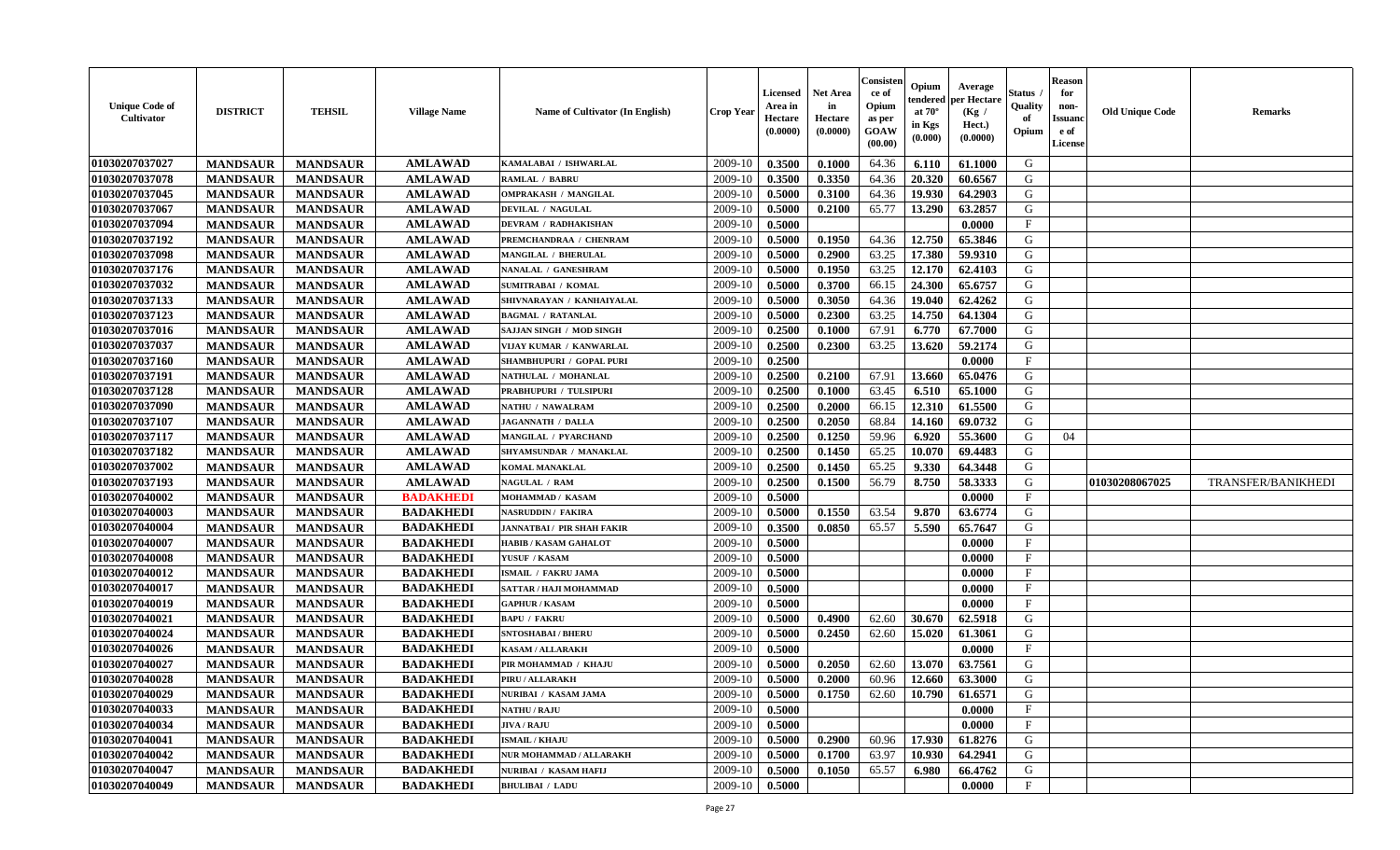| <b>Unique Code of</b><br>Cultivator | <b>DISTRICT</b> | <b>TEHSIL</b>   | <b>Village Name</b> | Name of Cultivator (In English)   | <b>Crop Year</b> | <b>Licensed</b><br>Area in<br>Hectare<br>(0.0000) | <b>Net Area</b><br>in<br>Hectare<br>(0.0000) | Consisten<br>ce of<br>Opium<br>as per<br><b>GOAW</b><br>(00.00) | Opium<br>tendered<br>at $70^\circ$<br>in Kgs<br>$(\mathbf{0.000})$ | Average<br>per Hectare<br>(Kg /<br>Hect.)<br>(0.0000) | Status .<br>Quality<br>of<br>Opium | <b>Reason</b><br>for<br>non-<br><b>Issuanc</b><br>e of<br>License | <b>Old Unique Code</b> | <b>Remarks</b>            |
|-------------------------------------|-----------------|-----------------|---------------------|-----------------------------------|------------------|---------------------------------------------------|----------------------------------------------|-----------------------------------------------------------------|--------------------------------------------------------------------|-------------------------------------------------------|------------------------------------|-------------------------------------------------------------------|------------------------|---------------------------|
| 01030207037027                      | <b>MANDSAUR</b> | <b>MANDSAUR</b> | <b>AMLAWAD</b>      | KAMALABAI / ISHWARLAL             | 2009-10          | 0.3500                                            | 0.1000                                       | 64.36                                                           | 6.110                                                              | 61.1000                                               | G                                  |                                                                   |                        |                           |
| 01030207037078                      | <b>MANDSAUR</b> | <b>MANDSAUR</b> | <b>AMLAWAD</b>      | <b>RAMLAL / BABRU</b>             | 2009-10          | 0.3500                                            | 0.3350                                       | 64.36                                                           | 20.320                                                             | 60.6567                                               | G                                  |                                                                   |                        |                           |
| 01030207037045                      | <b>MANDSAUR</b> | <b>MANDSAUR</b> | <b>AMLAWAD</b>      | OMPRAKASH / MANGILAL              | 2009-10          | 0.5000                                            | 0.3100                                       | 64.36                                                           | 19.930                                                             | 64.2903                                               | G                                  |                                                                   |                        |                           |
| 01030207037067                      | <b>MANDSAUR</b> | <b>MANDSAUR</b> | <b>AMLAWAD</b>      | <b>DEVILAL / NAGULAL</b>          | 2009-10          | 0.5000                                            | 0.2100                                       | 65.77                                                           | 13.290                                                             | 63.2857                                               | G                                  |                                                                   |                        |                           |
| 01030207037094                      | <b>MANDSAUR</b> | <b>MANDSAUR</b> | <b>AMLAWAD</b>      | DEVRAM / RADHAKISHAN              | 2009-10          | 0.5000                                            |                                              |                                                                 |                                                                    | 0.0000                                                | $\mathbf{F}$                       |                                                                   |                        |                           |
| 01030207037192                      | <b>MANDSAUR</b> | <b>MANDSAUR</b> | <b>AMLAWAD</b>      | PREMCHANDRAA / CHENRAM            | 2009-10          | 0.5000                                            | 0.1950                                       | 64.36                                                           | 12.750                                                             | 65.3846                                               | G                                  |                                                                   |                        |                           |
| 01030207037098                      | <b>MANDSAUR</b> | <b>MANDSAUR</b> | <b>AMLAWAD</b>      | <b>MANGILAL / BHERULAL</b>        | 2009-10          | 0.5000                                            | 0.2900                                       | 63.25                                                           | 17.380                                                             | 59.9310                                               | G                                  |                                                                   |                        |                           |
| 01030207037176                      | <b>MANDSAUR</b> | <b>MANDSAUR</b> | <b>AMLAWAD</b>      | NANALAL / GANESHRAM               | 2009-10          | 0.5000                                            | 0.1950                                       | 63.25                                                           | 12.170                                                             | 62.4103                                               | G                                  |                                                                   |                        |                           |
| 01030207037032                      | <b>MANDSAUR</b> | <b>MANDSAUR</b> | <b>AMLAWAD</b>      | <b>SUMITRABAI / KOMAL</b>         | 2009-10          | 0.5000                                            | 0.3700                                       | 66.15                                                           | 24.300                                                             | 65.6757                                               | G                                  |                                                                   |                        |                           |
| 01030207037133                      | <b>MANDSAUR</b> | <b>MANDSAUR</b> | <b>AMLAWAD</b>      | SHIVNARAYAN / KANHAIYALAL         | 2009-10          | 0.5000                                            | 0.3050                                       | 64.36                                                           | 19.040                                                             | 62.4262                                               | G                                  |                                                                   |                        |                           |
| 01030207037123                      | <b>MANDSAUR</b> | <b>MANDSAUR</b> | <b>AMLAWAD</b>      | <b>BAGMAL / RATANLAL</b>          | 2009-10          | 0.5000                                            | 0.2300                                       | 63.25                                                           | 14.750                                                             | 64.1304                                               | G                                  |                                                                   |                        |                           |
| 01030207037016                      | <b>MANDSAUR</b> | <b>MANDSAUR</b> | <b>AMLAWAD</b>      | SAJJAN SINGH / MOD SINGH          | 2009-10          | 0.2500                                            | 0.1000                                       | 67.91                                                           | 6.770                                                              | 67.7000                                               | G                                  |                                                                   |                        |                           |
| 01030207037037                      | <b>MANDSAUR</b> | <b>MANDSAUR</b> | <b>AMLAWAD</b>      | VIJAY KUMAR / KANWARLAL           | 2009-10          | 0.2500                                            | 0.2300                                       | 63.25                                                           | 13.620                                                             | 59.2174                                               | G                                  |                                                                   |                        |                           |
| 01030207037160                      | <b>MANDSAUR</b> | <b>MANDSAUR</b> | <b>AMLAWAD</b>      | SHAMBHUPURI / GOPAL PURI          | 2009-10          | 0.2500                                            |                                              |                                                                 |                                                                    | 0.0000                                                | $\mathbf{F}$                       |                                                                   |                        |                           |
| 01030207037191                      | <b>MANDSAUR</b> | <b>MANDSAUR</b> | <b>AMLAWAD</b>      | NATHULAL / MOHANLAL               | 2009-10          | 0.2500                                            | 0.2100                                       | 67.91                                                           | 13.660                                                             | 65.0476                                               | G                                  |                                                                   |                        |                           |
| 01030207037128                      | <b>MANDSAUR</b> | <b>MANDSAUR</b> | <b>AMLAWAD</b>      | <b>PRABHUPURI / TULSIPURI</b>     | 2009-10          | 0.2500                                            | 0.1000                                       | 63.45                                                           | 6.510                                                              | 65.1000                                               | G                                  |                                                                   |                        |                           |
| 01030207037090                      | <b>MANDSAUR</b> | <b>MANDSAUR</b> | <b>AMLAWAD</b>      | NATHU / NAWALRAM                  | 2009-10          | 0.2500                                            | 0.2000                                       | 66.15                                                           | 12.310                                                             | 61.5500                                               | G                                  |                                                                   |                        |                           |
| 01030207037107                      | <b>MANDSAUR</b> | <b>MANDSAUR</b> | <b>AMLAWAD</b>      | <b>JAGANNATH / DALLA</b>          | 2009-10          | 0.2500                                            | 0.2050                                       | 68.84                                                           | 14.160                                                             | 69.0732                                               | G                                  |                                                                   |                        |                           |
| 01030207037117                      | <b>MANDSAUR</b> | <b>MANDSAUR</b> | <b>AMLAWAD</b>      | MANGILAL / PYARCHAND              | 2009-10          | 0.2500                                            | 0.1250                                       | 59.96                                                           | 6.920                                                              | 55.3600                                               | G                                  | 04                                                                |                        |                           |
| 01030207037182                      | <b>MANDSAUR</b> | <b>MANDSAUR</b> | <b>AMLAWAD</b>      | SHYAMSUNDAR / MANAKLAL            | 2009-10          | 0.2500                                            | 0.1450                                       | 65.25                                                           | 10.070                                                             | 69.4483                                               | G                                  |                                                                   |                        |                           |
| 01030207037002                      | <b>MANDSAUR</b> | <b>MANDSAUR</b> | <b>AMLAWAD</b>      | <b>KOMAL MANAKLAL</b>             | 2009-10          | 0.2500                                            | 0.1450                                       | 65.25                                                           | 9.330                                                              | 64.3448                                               | G                                  |                                                                   |                        |                           |
| 01030207037193                      | <b>MANDSAUR</b> | <b>MANDSAUR</b> | <b>AMLAWAD</b>      | <b>NAGULAL / RAM</b>              | 2009-10          | 0.2500                                            | 0.1500                                       | 56.79                                                           | 8.750                                                              | 58.3333                                               | G                                  |                                                                   | 01030208067025         | <b>TRANSFER/BANIKHEDI</b> |
| 01030207040002                      | <b>MANDSAUR</b> | <b>MANDSAUR</b> | <b>BADAKHEDI</b>    | MOHAMMAD / KASAM                  | 2009-10          | 0.5000                                            |                                              |                                                                 |                                                                    | 0.0000                                                | $\mathbf{F}$                       |                                                                   |                        |                           |
| 01030207040003                      | <b>MANDSAUR</b> | <b>MANDSAUR</b> | <b>BADAKHEDI</b>    | <b>NASRUDDIN / FAKIRA</b>         | 2009-10          | 0.5000                                            | 0.1550                                       | 63.54                                                           | 9.870                                                              | 63.6774                                               | G                                  |                                                                   |                        |                           |
| 01030207040004                      | <b>MANDSAUR</b> | <b>MANDSAUR</b> | <b>BADAKHEDI</b>    | <b>JANNATBAI / PIR SHAH FAKIR</b> | 2009-10          | 0.3500                                            | 0.0850                                       | 65.57                                                           | 5.590                                                              | 65.7647                                               | G                                  |                                                                   |                        |                           |
| 01030207040007                      | <b>MANDSAUR</b> | <b>MANDSAUR</b> | <b>BADAKHEDI</b>    | <b>HABIB / KASAM GAHALOT</b>      | 2009-10          | 0.5000                                            |                                              |                                                                 |                                                                    | 0.0000                                                | F                                  |                                                                   |                        |                           |
| 01030207040008                      | <b>MANDSAUR</b> | <b>MANDSAUR</b> | <b>BADAKHEDI</b>    | <b>YUSUF / KASAM</b>              | 2009-10          | 0.5000                                            |                                              |                                                                 |                                                                    | 0.0000                                                | $\mathbf{F}$                       |                                                                   |                        |                           |
| 01030207040012                      | <b>MANDSAUR</b> | <b>MANDSAUR</b> | <b>BADAKHEDI</b>    | ISMAIL / FAKRU JAMA               | 2009-10          | 0.5000                                            |                                              |                                                                 |                                                                    | 0.0000                                                | $\mathbf{F}$                       |                                                                   |                        |                           |
| 01030207040017                      | <b>MANDSAUR</b> | <b>MANDSAUR</b> | <b>BADAKHEDI</b>    | SATTAR / HAJI MOHAMMAD            | 2009-10          | 0.5000                                            |                                              |                                                                 |                                                                    | 0.0000                                                | $\mathbf{F}$                       |                                                                   |                        |                           |
| 01030207040019                      | <b>MANDSAUR</b> | <b>MANDSAUR</b> | <b>BADAKHEDI</b>    | <b>GAPHUR / KASAM</b>             | 2009-10          | 0.5000                                            |                                              |                                                                 |                                                                    | 0.0000                                                | $\mathbf{F}$                       |                                                                   |                        |                           |
| 01030207040021                      | <b>MANDSAUR</b> | <b>MANDSAUR</b> | <b>BADAKHEDI</b>    | <b>BAPU / FAKRU</b>               | 2009-10          | 0.5000                                            | 0.4900                                       | 62.60                                                           | 30.670                                                             | 62.5918                                               | G                                  |                                                                   |                        |                           |
| 01030207040024                      | <b>MANDSAUR</b> | <b>MANDSAUR</b> | <b>BADAKHEDI</b>    | <b>SNTOSHABAI / BHERU</b>         | 2009-10          | 0.5000                                            | 0.2450                                       | 62.60                                                           | 15.020                                                             | 61.3061                                               | G                                  |                                                                   |                        |                           |
| 01030207040026                      | <b>MANDSAUR</b> | <b>MANDSAUR</b> | <b>BADAKHEDI</b>    | KASAM / ALLARAKH                  | 2009-10          | 0.5000                                            |                                              |                                                                 |                                                                    | 0.0000                                                | $\mathbf{F}$                       |                                                                   |                        |                           |
| 01030207040027                      | <b>MANDSAUR</b> | <b>MANDSAUR</b> | <b>BADAKHEDI</b>    | PIR MOHAMMAD / KHAJU              | 2009-10          | 0.5000                                            | 0.2050                                       | 62.60                                                           | 13.070                                                             | 63.7561                                               | G                                  |                                                                   |                        |                           |
| 01030207040028                      | <b>MANDSAUR</b> | <b>MANDSAUR</b> | <b>BADAKHEDI</b>    | PIRU / ALLARAKH                   | 2009-10          | 0.5000                                            | 0.2000                                       | 60.96                                                           | 12.660                                                             | 63.3000                                               | G                                  |                                                                   |                        |                           |
| 01030207040029                      | <b>MANDSAUR</b> | <b>MANDSAUR</b> | <b>BADAKHEDI</b>    | NURIBAI / KASAM JAMA              |                  | $2009-10$ 0.5000                                  | 0.1750                                       | 62.60                                                           | 10.790                                                             | 61.6571                                               | G                                  |                                                                   |                        |                           |
| 01030207040033                      | <b>MANDSAUR</b> | <b>MANDSAUR</b> | <b>BADAKHEDI</b>    | <b>NATHU / RAJU</b>               | 2009-10          | 0.5000                                            |                                              |                                                                 |                                                                    | 0.0000                                                | $\mathbf{F}$                       |                                                                   |                        |                           |
| 01030207040034                      | <b>MANDSAUR</b> | <b>MANDSAUR</b> | <b>BADAKHEDI</b>    | <b>JIVA / RAJU</b>                | 2009-10          | 0.5000                                            |                                              |                                                                 |                                                                    | 0.0000                                                | $\mathbf{F}$                       |                                                                   |                        |                           |
| 01030207040041                      | <b>MANDSAUR</b> | <b>MANDSAUR</b> | <b>BADAKHEDI</b>    | <b>ISMAIL / KHAJU</b>             | 2009-10          | 0.5000                                            | 0.2900                                       | 60.96                                                           | 17.930                                                             | 61.8276                                               | G                                  |                                                                   |                        |                           |
| 01030207040042                      | <b>MANDSAUR</b> | <b>MANDSAUR</b> | <b>BADAKHEDI</b>    | NUR MOHAMMAD / ALLARAKH           | 2009-10          | 0.5000                                            | 0.1700                                       | 63.97                                                           | 10.930                                                             | 64.2941                                               | G                                  |                                                                   |                        |                           |
| 01030207040047                      | <b>MANDSAUR</b> | <b>MANDSAUR</b> | <b>BADAKHEDI</b>    | <b>NURIBAI / KASAM HAFIJ</b>      | 2009-10          | 0.5000                                            | 0.1050                                       | 65.57                                                           | 6.980                                                              | 66.4762                                               | G                                  |                                                                   |                        |                           |
| 01030207040049                      | <b>MANDSAUR</b> | <b>MANDSAUR</b> | <b>BADAKHEDI</b>    | <b>BHULIBAI / LADU</b>            | 2009-10          | 0.5000                                            |                                              |                                                                 |                                                                    | 0.0000                                                | $\mathbf{F}$                       |                                                                   |                        |                           |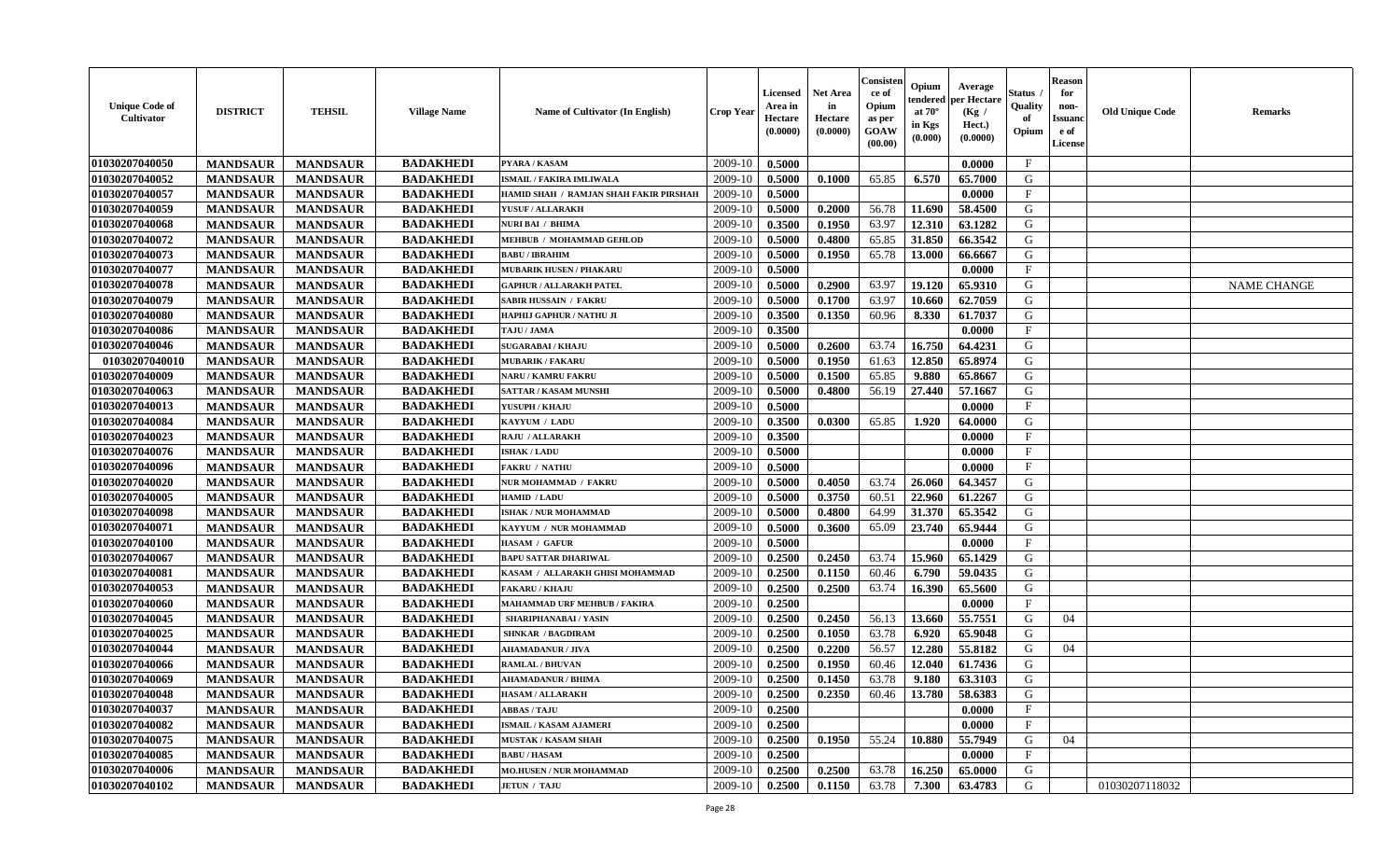| <b>Unique Code of</b><br><b>Cultivator</b> | <b>DISTRICT</b> | <b>TEHSIL</b>   | <b>Village Name</b> | Name of Cultivator (In English)        | <b>Crop Year</b> | <b>Licensed</b><br>Area in<br>Hectare<br>(0.0000) | Net Area<br>in<br>Hectare<br>(0.0000) | Consisteı<br>ce of<br>Opium<br>as per<br>GOAW<br>(00.00) | Opium<br>endered<br>at $70^\circ$<br>in Kgs<br>(0.000) | Average<br>per Hectare<br>(Kg /<br>Hect.)<br>(0.0000) | Status<br>Quality<br>of<br>Opium | <b>Reason</b><br>for<br>non-<br>Issuano<br>e of<br>License | <b>Old Unique Code</b> | Remarks            |
|--------------------------------------------|-----------------|-----------------|---------------------|----------------------------------------|------------------|---------------------------------------------------|---------------------------------------|----------------------------------------------------------|--------------------------------------------------------|-------------------------------------------------------|----------------------------------|------------------------------------------------------------|------------------------|--------------------|
| 01030207040050                             | <b>MANDSAUR</b> | <b>MANDSAUR</b> | <b>BADAKHEDI</b>    | PYARA / KASAM                          | 2009-10          | 0.5000                                            |                                       |                                                          |                                                        | 0.0000                                                | $\mathbf{F}$                     |                                                            |                        |                    |
| 01030207040052                             | <b>MANDSAUR</b> | <b>MANDSAUR</b> | <b>BADAKHEDI</b>    | <b>ISMAIL / FAKIRA IMLIWALA</b>        | 2009-10          | 0.5000                                            | 0.1000                                | 65.85                                                    | 6.570                                                  | 65.7000                                               | G                                |                                                            |                        |                    |
| 01030207040057                             | <b>MANDSAUR</b> | <b>MANDSAUR</b> | <b>BADAKHEDI</b>    | HAMID SHAH / RAMJAN SHAH FAKIR PIRSHAH | 2009-10          | 0.5000                                            |                                       |                                                          |                                                        | 0.0000                                                | $\mathbf{F}$                     |                                                            |                        |                    |
| 01030207040059                             | <b>MANDSAUR</b> | <b>MANDSAUR</b> | <b>BADAKHEDI</b>    | YUSUF / ALLARAKH                       | 2009-10          | 0.5000                                            | 0.2000                                | 56.78                                                    | 11.690                                                 | 58.4500                                               | G                                |                                                            |                        |                    |
| 01030207040068                             | <b>MANDSAUR</b> | <b>MANDSAUR</b> | <b>BADAKHEDI</b>    | <b>NURI BAI / BHIMA</b>                | 2009-10          | 0.3500                                            | 0.1950                                | 63.97                                                    | 12.310                                                 | 63.1282                                               | G                                |                                                            |                        |                    |
| 01030207040072                             | <b>MANDSAUR</b> | <b>MANDSAUR</b> | <b>BADAKHEDI</b>    | MEHBUB / MOHAMMAD GEHLOD               | 2009-10          | 0.5000                                            | 0.4800                                | 65.85                                                    | 31.850                                                 | 66.3542                                               | G                                |                                                            |                        |                    |
| 01030207040073                             | <b>MANDSAUR</b> | <b>MANDSAUR</b> | <b>BADAKHEDI</b>    | <b>BABU / IBRAHIM</b>                  | 2009-10          | 0.5000                                            | 0.1950                                | 65.78                                                    | 13.000                                                 | 66.6667                                               | G                                |                                                            |                        |                    |
| 01030207040077                             | <b>MANDSAUR</b> | <b>MANDSAUR</b> | <b>BADAKHEDI</b>    | <b>MUBARIK HUSEN / PHAKARU</b>         | 2009-10          | 0.5000                                            |                                       |                                                          |                                                        | 0.0000                                                | $\mathbf{F}$                     |                                                            |                        |                    |
| 01030207040078                             | <b>MANDSAUR</b> | <b>MANDSAUR</b> | <b>BADAKHEDI</b>    | <b>GAPHUR / ALLARAKH PATEL</b>         | 2009-10          | 0.5000                                            | 0.2900                                | 63.97                                                    | 19.120                                                 | 65.9310                                               | G                                |                                                            |                        | <b>NAME CHANGE</b> |
| 01030207040079                             | <b>MANDSAUR</b> | <b>MANDSAUR</b> | <b>BADAKHEDI</b>    | SABIR HUSSAIN / FAKRU                  | 2009-10          | 0.5000                                            | 0.1700                                | 63.97                                                    | 10.660                                                 | 62.7059                                               | G                                |                                                            |                        |                    |
| 01030207040080                             | <b>MANDSAUR</b> | <b>MANDSAUR</b> | <b>BADAKHEDI</b>    | <b>HAPHIJ GAPHUR / NATHU JI</b>        | 2009-10          | 0.3500                                            | 0.1350                                | 60.96                                                    | 8.330                                                  | 61.7037                                               | G                                |                                                            |                        |                    |
| 01030207040086                             | <b>MANDSAUR</b> | <b>MANDSAUR</b> | <b>BADAKHEDI</b>    | TAJU / JAMA                            | 2009-10          | 0.3500                                            |                                       |                                                          |                                                        | 0.0000                                                | $\mathbf{F}$                     |                                                            |                        |                    |
| 01030207040046                             | <b>MANDSAUR</b> | <b>MANDSAUR</b> | <b>BADAKHEDI</b>    | <b>SUGARABAI/KHAJU</b>                 | 2009-10          | 0.5000                                            | 0.2600                                | 63.74                                                    | 16.750                                                 | 64.4231                                               | G                                |                                                            |                        |                    |
| 01030207040010                             | <b>MANDSAUR</b> | <b>MANDSAUR</b> | <b>BADAKHEDI</b>    | <b>MUBARIK / FAKARU</b>                | 2009-10          | 0.5000                                            | 0.1950                                | 61.63                                                    | 12.850                                                 | 65.8974                                               | G                                |                                                            |                        |                    |
| 01030207040009                             | <b>MANDSAUR</b> | <b>MANDSAUR</b> | <b>BADAKHEDI</b>    | <b>NARU / KAMRU FAKRU</b>              | 2009-10          | 0.5000                                            | 0.1500                                | 65.85                                                    | 9.880                                                  | 65.8667                                               | ${\bf G}$                        |                                                            |                        |                    |
| 01030207040063                             | <b>MANDSAUR</b> | <b>MANDSAUR</b> | <b>BADAKHEDI</b>    | <b>SATTAR / KASAM MUNSHI</b>           | 2009-10          | 0.5000                                            | 0.4800                                | 56.19                                                    | 27.440                                                 | 57.1667                                               | G                                |                                                            |                        |                    |
| 01030207040013                             | <b>MANDSAUR</b> | <b>MANDSAUR</b> | <b>BADAKHEDI</b>    | YUSUPH / KHAJU                         | 2009-10          | 0.5000                                            |                                       |                                                          |                                                        | 0.0000                                                | $\mathbf{F}$                     |                                                            |                        |                    |
| 01030207040084                             | <b>MANDSAUR</b> | <b>MANDSAUR</b> | <b>BADAKHEDI</b>    | KAYYUM / LADU                          | 2009-10          | 0.3500                                            | 0.0300                                | 65.85                                                    | 1.920                                                  | 64.0000                                               | G                                |                                                            |                        |                    |
| 01030207040023                             | <b>MANDSAUR</b> | <b>MANDSAUR</b> | <b>BADAKHEDI</b>    | RAJU / ALLARAKH                        | 2009-10          | 0.3500                                            |                                       |                                                          |                                                        | 0.0000                                                | F                                |                                                            |                        |                    |
| 01030207040076                             | <b>MANDSAUR</b> | <b>MANDSAUR</b> | <b>BADAKHEDI</b>    | <b>ISHAK / LADU</b>                    | 2009-10          | 0.5000                                            |                                       |                                                          |                                                        | 0.0000                                                | $\mathbf{F}$                     |                                                            |                        |                    |
| 01030207040096                             | <b>MANDSAUR</b> | <b>MANDSAUR</b> | <b>BADAKHEDI</b>    | <b>FAKRU / NATHU</b>                   | 2009-10          | 0.5000                                            |                                       |                                                          |                                                        | 0.0000                                                | $\mathbf{F}$                     |                                                            |                        |                    |
| 01030207040020                             | <b>MANDSAUR</b> | <b>MANDSAUR</b> | <b>BADAKHEDI</b>    | NUR MOHAMMAD / FAKRU                   | 2009-10          | 0.5000                                            | 0.4050                                | 63.74                                                    | 26.060                                                 | 64.3457                                               | G                                |                                                            |                        |                    |
| 01030207040005                             | <b>MANDSAUR</b> | <b>MANDSAUR</b> | <b>BADAKHEDI</b>    | HAMID / LADU                           | 2009-10          | 0.5000                                            | 0.3750                                | 60.51                                                    | 22.960                                                 | 61.2267                                               | G                                |                                                            |                        |                    |
| 01030207040098                             | <b>MANDSAUR</b> | <b>MANDSAUR</b> | <b>BADAKHEDI</b>    | ISHAK / NUR MOHAMMAD                   | 2009-10          | 0.5000                                            | 0.4800                                | 64.99                                                    | 31.370                                                 | 65.3542                                               | G                                |                                                            |                        |                    |
| 01030207040071                             | <b>MANDSAUR</b> | <b>MANDSAUR</b> | <b>BADAKHEDI</b>    | KAYYUM / NUR MOHAMMAD                  | 2009-10          | 0.5000                                            | 0.3600                                | 65.09                                                    | 23.740                                                 | 65.9444                                               | G                                |                                                            |                        |                    |
| 01030207040100                             | <b>MANDSAUR</b> | <b>MANDSAUR</b> | <b>BADAKHEDI</b>    | HASAM / GAFUR                          | 2009-10          | 0.5000                                            |                                       |                                                          |                                                        | 0.0000                                                | $\mathbf{F}$                     |                                                            |                        |                    |
| 01030207040067                             | <b>MANDSAUR</b> | <b>MANDSAUR</b> | <b>BADAKHEDI</b>    | <b>BAPU SATTAR DHARIWAL</b>            | 2009-10          | 0.2500                                            | 0.2450                                | 63.74                                                    | 15.960                                                 | 65.1429                                               | G                                |                                                            |                        |                    |
| 01030207040081                             | <b>MANDSAUR</b> | <b>MANDSAUR</b> | <b>BADAKHEDI</b>    | KASAM / ALLARAKH GHISI MOHAMMAD        | 2009-10          | 0.2500                                            | 0.1150                                | 60.46                                                    | 6.790                                                  | 59.0435                                               | G                                |                                                            |                        |                    |
| 01030207040053                             | <b>MANDSAUR</b> | <b>MANDSAUR</b> | <b>BADAKHEDI</b>    | <b>FAKARU / KHAJU</b>                  | 2009-10          | 0.2500                                            | 0.2500                                | 63.74                                                    | 16.390                                                 | 65.5600                                               | G                                |                                                            |                        |                    |
| 01030207040060                             | <b>MANDSAUR</b> | <b>MANDSAUR</b> | <b>BADAKHEDI</b>    | <b>MAHAMMAD URF MEHBUB / FAKIRA</b>    | 2009-10          | 0.2500                                            |                                       |                                                          |                                                        | 0.0000                                                | $_{\rm F}$                       |                                                            |                        |                    |
| 01030207040045                             | <b>MANDSAUR</b> | <b>MANDSAUR</b> | <b>BADAKHEDI</b>    | SHARIPHANABAI / YASIN                  | 2009-10          | 0.2500                                            | 0.2450                                | 56.13                                                    | 13.660                                                 | 55.7551                                               | G                                | 04                                                         |                        |                    |
| 01030207040025                             | <b>MANDSAUR</b> | <b>MANDSAUR</b> | <b>BADAKHEDI</b>    | <b>SHNKAR / BAGDIRAM</b>               | 2009-10          | 0.2500                                            | 0.1050                                | 63.78                                                    | 6.920                                                  | 65.9048                                               | G                                |                                                            |                        |                    |
| 01030207040044                             | <b>MANDSAUR</b> | <b>MANDSAUR</b> | <b>BADAKHEDI</b>    | <b>AHAMADANUR / JIVA</b>               | 2009-10          | 0.2500                                            | 0.2200                                | 56.57                                                    | 12.280                                                 | 55.8182                                               | G                                | 04                                                         |                        |                    |
| 01030207040066                             | <b>MANDSAUR</b> | <b>MANDSAUR</b> | <b>BADAKHEDI</b>    | <b>RAMLAL / BHUVAN</b>                 | 2009-10          | 0.2500                                            | 0.1950                                | 60.46                                                    | 12.040                                                 | 61.7436                                               | G                                |                                                            |                        |                    |
| 01030207040069                             | <b>MANDSAUR</b> | <b>MANDSAUR</b> | <b>BADAKHEDI</b>    | <b>AHAMADANUR / BHIMA</b>              | 2009-10          | 0.2500                                            | 0.1450                                | 63.78                                                    | 9.180                                                  | 63.3103                                               | G                                |                                                            |                        |                    |
| 01030207040048                             | <b>MANDSAUR</b> | <b>MANDSAUR</b> | <b>BADAKHEDI</b>    | <b>HASAM / ALLARAKH</b>                | 2009-10          | 0.2500                                            | 0.2350                                | 60.46                                                    | 13.780                                                 | 58.6383                                               | G                                |                                                            |                        |                    |
| 01030207040037                             | <b>MANDSAUR</b> | <b>MANDSAUR</b> | <b>BADAKHEDI</b>    | <b>ABBAS / TAJU</b>                    | 2009-10          | 0.2500                                            |                                       |                                                          |                                                        | 0.0000                                                | $\rm F$                          |                                                            |                        |                    |
| 01030207040082                             | <b>MANDSAUR</b> | <b>MANDSAUR</b> | <b>BADAKHEDI</b>    | <b>ISMAIL / KASAM AJAMERI</b>          | 2009-10          | 0.2500                                            |                                       |                                                          |                                                        | 0.0000                                                | $\mathbf{F}$                     |                                                            |                        |                    |
| 01030207040075                             | <b>MANDSAUR</b> | <b>MANDSAUR</b> | <b>BADAKHEDI</b>    | <b>MUSTAK / KASAM SHAH</b>             | 2009-10          | 0.2500                                            | 0.1950                                | 55.24                                                    | 10.880                                                 | 55.7949                                               | G                                | 04                                                         |                        |                    |
| 01030207040085                             | <b>MANDSAUR</b> | <b>MANDSAUR</b> | <b>BADAKHEDI</b>    | <b>BABU/HASAM</b>                      | 2009-10          | 0.2500                                            |                                       |                                                          |                                                        | 0.0000                                                | F                                |                                                            |                        |                    |
| 01030207040006                             | <b>MANDSAUR</b> | <b>MANDSAUR</b> | <b>BADAKHEDI</b>    | <b>MO.HUSEN / NUR MOHAMMAD</b>         | 2009-10          | 0.2500                                            | 0.2500                                | 63.78                                                    | 16.250                                                 | 65.0000                                               | G                                |                                                            |                        |                    |
| 01030207040102                             | <b>MANDSAUR</b> | <b>MANDSAUR</b> | <b>BADAKHEDI</b>    | <b>JETUN / TAJU</b>                    | 2009-10          | 0.2500                                            | 0.1150                                | 63.78                                                    | 7.300                                                  | 63.4783                                               | G                                |                                                            | 01030207118032         |                    |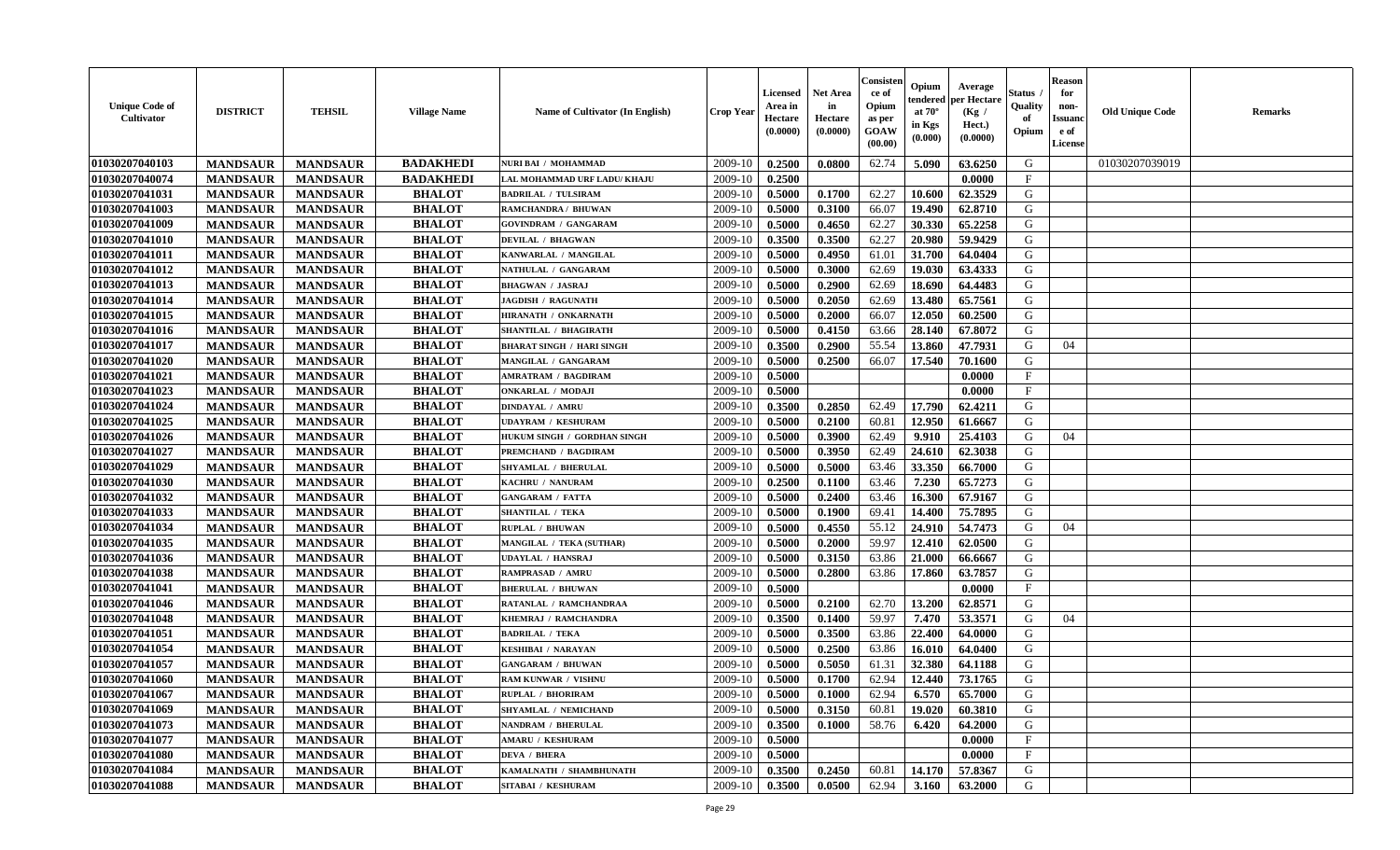| <b>Unique Code of</b><br><b>Cultivator</b> | <b>DISTRICT</b> | <b>TEHSIL</b>   | <b>Village Name</b> | Name of Cultivator (In English)  | <b>Crop Year</b> | <b>Licensed</b><br>Area in<br>Hectare<br>(0.0000) | <b>Net Area</b><br>in<br>Hectare<br>(0.0000) | Consister<br>ce of<br>Opium<br>as per<br><b>GOAW</b><br>(00.00) | Opium<br>endered<br>at $70^{\circ}$<br>in Kgs<br>$(\mathbf{0.000})$ | Average<br>per Hectare<br>(Kg)<br>Hect.)<br>(0.0000) | Status<br>Quality<br>of<br>Opium | <b>Reason</b><br>for<br>non-<br><b>Issuano</b><br>e of<br>License | <b>Old Unique Code</b> | <b>Remarks</b> |
|--------------------------------------------|-----------------|-----------------|---------------------|----------------------------------|------------------|---------------------------------------------------|----------------------------------------------|-----------------------------------------------------------------|---------------------------------------------------------------------|------------------------------------------------------|----------------------------------|-------------------------------------------------------------------|------------------------|----------------|
| 01030207040103                             | <b>MANDSAUR</b> | <b>MANDSAUR</b> | <b>BADAKHEDI</b>    | <b>NURI BAI / MOHAMMAD</b>       | 2009-10          | 0.2500                                            | 0.0800                                       | 62.74                                                           | 5.090                                                               | 63.6250                                              | G                                |                                                                   | 01030207039019         |                |
| 01030207040074                             | <b>MANDSAUR</b> | <b>MANDSAUR</b> | <b>BADAKHEDI</b>    | LAL MOHAMMAD URF LADU/ KHAJU     | 2009-10          | 0.2500                                            |                                              |                                                                 |                                                                     | 0.0000                                               | $\mathbf{F}$                     |                                                                   |                        |                |
| 01030207041031                             | <b>MANDSAUR</b> | <b>MANDSAUR</b> | <b>BHALOT</b>       | <b>BADRILAL / TULSIRAM</b>       | 2009-10          | 0.5000                                            | 0.1700                                       | 62.27                                                           | 10.600                                                              | 62.3529                                              | G                                |                                                                   |                        |                |
| 01030207041003                             | <b>MANDSAUR</b> | <b>MANDSAUR</b> | <b>BHALOT</b>       | RAMCHANDRA / BHUWAN              | 2009-10          | 0.5000                                            | 0.3100                                       | 66.07                                                           | 19.490                                                              | 62.8710                                              | G                                |                                                                   |                        |                |
| 01030207041009                             | <b>MANDSAUR</b> | <b>MANDSAUR</b> | <b>BHALOT</b>       | <b>GOVINDRAM / GANGARAM</b>      | 2009-10          | 0.5000                                            | 0.4650                                       | 62.27                                                           | 30.330                                                              | 65,2258                                              | G                                |                                                                   |                        |                |
| 01030207041010                             | <b>MANDSAUR</b> | <b>MANDSAUR</b> | <b>BHALOT</b>       | <b>DEVILAL / BHAGWAN</b>         | 2009-10          | 0.3500                                            | 0.3500                                       | 62.27                                                           | 20.980                                                              | 59.9429                                              | G                                |                                                                   |                        |                |
| 01030207041011                             | <b>MANDSAUR</b> | <b>MANDSAUR</b> | <b>BHALOT</b>       | KANWARLAL / MANGILAL             | 2009-10          | 0.5000                                            | 0.4950                                       | 61.01                                                           | 31.700                                                              | 64.0404                                              | G                                |                                                                   |                        |                |
| 01030207041012                             | <b>MANDSAUR</b> | <b>MANDSAUR</b> | <b>BHALOT</b>       | NATHULAL / GANGARAM              | 2009-10          | 0.5000                                            | 0.3000                                       | 62.69                                                           | 19.030                                                              | 63.4333                                              | G                                |                                                                   |                        |                |
| 01030207041013                             | <b>MANDSAUR</b> | <b>MANDSAUR</b> | <b>BHALOT</b>       | <b>BHAGWAN / JASRAJ</b>          | 2009-10          | 0.5000                                            | 0.2900                                       | 62.69                                                           | 18.690                                                              | 64.4483                                              | G                                |                                                                   |                        |                |
| 01030207041014                             | <b>MANDSAUR</b> | <b>MANDSAUR</b> | <b>BHALOT</b>       | <b>JAGDISH / RAGUNATH</b>        | 2009-10          | 0.5000                                            | 0.2050                                       | 62.69                                                           | 13.480                                                              | 65.7561                                              | G                                |                                                                   |                        |                |
| 01030207041015                             | <b>MANDSAUR</b> | <b>MANDSAUR</b> | <b>BHALOT</b>       | HIRANATH / ONKARNATH             | 2009-10          | 0.5000                                            | 0.2000                                       | 66.07                                                           | 12.050                                                              | 60.2500                                              | G                                |                                                                   |                        |                |
| 01030207041016                             | <b>MANDSAUR</b> | <b>MANDSAUR</b> | <b>BHALOT</b>       | SHANTILAL / BHAGIRATH            | 2009-10          | 0.5000                                            | 0.4150                                       | 63.66                                                           | 28.140                                                              | 67.8072                                              | G                                |                                                                   |                        |                |
| 01030207041017                             | <b>MANDSAUR</b> | <b>MANDSAUR</b> | <b>BHALOT</b>       | <b>BHARAT SINGH / HARI SINGH</b> | 2009-10          | 0.3500                                            | 0.2900                                       | 55.54                                                           | 13.860                                                              | 47.7931                                              | G                                | 04                                                                |                        |                |
| 01030207041020                             | <b>MANDSAUR</b> | <b>MANDSAUR</b> | <b>BHALOT</b>       | MANGILAL / GANGARAM              | 2009-10          | 0.5000                                            | 0.2500                                       | 66.07                                                           | 17.540                                                              | 70.1600                                              | G                                |                                                                   |                        |                |
| 01030207041021                             | <b>MANDSAUR</b> | <b>MANDSAUR</b> | <b>BHALOT</b>       | AMRATRAM / BAGDIRAM              | 2009-10          | 0.5000                                            |                                              |                                                                 |                                                                     | 0.0000                                               | $_{\rm F}$                       |                                                                   |                        |                |
| 01030207041023                             | <b>MANDSAUR</b> | <b>MANDSAUR</b> | <b>BHALOT</b>       | ONKARLAL / MODAJI                | 2009-10          | 0.5000                                            |                                              |                                                                 |                                                                     | 0.0000                                               | $\mathbf{F}$                     |                                                                   |                        |                |
| 01030207041024                             | <b>MANDSAUR</b> | <b>MANDSAUR</b> | <b>BHALOT</b>       | <b>DINDAYAL / AMRU</b>           | 2009-10          | 0.3500                                            | 0.2850                                       | 62.49                                                           | 17.790                                                              | 62.4211                                              | G                                |                                                                   |                        |                |
| 01030207041025                             | <b>MANDSAUR</b> | <b>MANDSAUR</b> | <b>BHALOT</b>       | <b>UDAYRAM / KESHURAM</b>        | 2009-10          | 0.5000                                            | 0.2100                                       | 60.81                                                           | 12.950                                                              | 61.6667                                              | G                                |                                                                   |                        |                |
| 01030207041026                             | <b>MANDSAUR</b> | <b>MANDSAUR</b> | <b>BHALOT</b>       | HUKUM SINGH / GORDHAN SINGH      | 2009-10          | 0.5000                                            | 0.3900                                       | 62.49                                                           | 9.910                                                               | 25.4103                                              | G                                | 04                                                                |                        |                |
| 01030207041027                             | <b>MANDSAUR</b> | <b>MANDSAUR</b> | <b>BHALOT</b>       | <b>PREMCHAND / BAGDIRAM</b>      | 2009-10          | 0.5000                                            | 0.3950                                       | 62.49                                                           | 24.610                                                              | 62.3038                                              | G                                |                                                                   |                        |                |
| 01030207041029                             | <b>MANDSAUR</b> | <b>MANDSAUR</b> | <b>BHALOT</b>       | SHYAMLAL / BHERULAL              | 2009-10          | 0.5000                                            | 0.5000                                       | 63.46                                                           | 33.350                                                              | 66.7000                                              | G                                |                                                                   |                        |                |
| 01030207041030                             | <b>MANDSAUR</b> | <b>MANDSAUR</b> | <b>BHALOT</b>       | KACHRU / NANURAM                 | 2009-10          | 0.2500                                            | 0.1100                                       | 63.46                                                           | 7.230                                                               | 65.7273                                              | G                                |                                                                   |                        |                |
| 01030207041032                             | <b>MANDSAUR</b> | <b>MANDSAUR</b> | <b>BHALOT</b>       | <b>GANGARAM / FATTA</b>          | 2009-10          | 0.5000                                            | 0.2400                                       | 63.46                                                           | 16.300                                                              | 67.9167                                              | G                                |                                                                   |                        |                |
| 01030207041033                             | <b>MANDSAUR</b> | <b>MANDSAUR</b> | <b>BHALOT</b>       | <b>SHANTILAL / TEKA</b>          | 2009-10          | 0.5000                                            | 0.1900                                       | 69.41                                                           | 14.400                                                              | 75.7895                                              | G                                |                                                                   |                        |                |
| 01030207041034                             | <b>MANDSAUR</b> | <b>MANDSAUR</b> | <b>BHALOT</b>       | <b>RUPLAL / BHUWAN</b>           | 2009-10          | 0.5000                                            | 0.4550                                       | 55.12                                                           | 24.910                                                              | 54.7473                                              | G                                | 04                                                                |                        |                |
| 01030207041035                             | <b>MANDSAUR</b> | <b>MANDSAUR</b> | <b>BHALOT</b>       | MANGILAL / TEKA (SUTHAR)         | 2009-10          | 0.5000                                            | 0.2000                                       | 59.97                                                           | 12.410                                                              | 62.0500                                              | G                                |                                                                   |                        |                |
| 01030207041036                             | <b>MANDSAUR</b> | <b>MANDSAUR</b> | <b>BHALOT</b>       | UDAYLAL / HANSRAJ                | 2009-10          | 0.5000                                            | 0.3150                                       | 63.86                                                           | 21.000                                                              | 66.6667                                              | G                                |                                                                   |                        |                |
| 01030207041038                             | <b>MANDSAUR</b> | <b>MANDSAUR</b> | <b>BHALOT</b>       | RAMPRASAD / AMRU                 | 2009-10          | 0.5000                                            | 0.2800                                       | 63.86                                                           | 17.860                                                              | 63.7857                                              | G                                |                                                                   |                        |                |
| 01030207041041                             | <b>MANDSAUR</b> | <b>MANDSAUR</b> | <b>BHALOT</b>       | <b>BHERULAL / BHUWAN</b>         | 2009-10          | 0.5000                                            |                                              |                                                                 |                                                                     | 0.0000                                               | $_{\rm F}$                       |                                                                   |                        |                |
| 01030207041046                             | <b>MANDSAUR</b> | <b>MANDSAUR</b> | <b>BHALOT</b>       | RATANLAL / RAMCHANDRAA           | 2009-10          | 0.5000                                            | 0.2100                                       | 62.70                                                           | 13.200                                                              | 62.8571                                              | G                                |                                                                   |                        |                |
| 01030207041048                             | <b>MANDSAUR</b> | <b>MANDSAUR</b> | <b>BHALOT</b>       | KHEMRAJ / RAMCHANDRA             | 2009-10          | 0.3500                                            | 0.1400                                       | 59.97                                                           | 7.470                                                               | 53.3571                                              | G                                | 04                                                                |                        |                |
| 01030207041051                             | <b>MANDSAUR</b> | <b>MANDSAUR</b> | <b>BHALOT</b>       | <b>BADRILAL / TEKA</b>           | 2009-10          | 0.5000                                            | 0.3500                                       | 63.86                                                           | 22.400                                                              | 64.0000                                              | G                                |                                                                   |                        |                |
| 01030207041054                             | <b>MANDSAUR</b> | <b>MANDSAUR</b> | <b>BHALOT</b>       | KESHIBAI / NARAYAN               | 2009-10          | 0.5000                                            | 0.2500                                       | 63.86                                                           | 16.010                                                              | 64.0400                                              | G                                |                                                                   |                        |                |
| 01030207041057                             | <b>MANDSAUR</b> | <b>MANDSAUR</b> | <b>BHALOT</b>       | <b>GANGARAM / BHUWAN</b>         | 2009-10          | 0.5000                                            | 0.5050                                       | 61.31                                                           | 32.380                                                              | 64.1188                                              | G                                |                                                                   |                        |                |
| 01030207041060                             | <b>MANDSAUR</b> | <b>MANDSAUR</b> | <b>BHALOT</b>       | RAM KUNWAR / VISHNU              | 2009-10          | 0.5000                                            | 0.1700                                       | 62.94                                                           | 12.440                                                              | 73.1765                                              | G                                |                                                                   |                        |                |
| 01030207041067                             | <b>MANDSAUR</b> | <b>MANDSAUR</b> | <b>BHALOT</b>       | RUPLAL / BHORIRAM                | $2009-10$ 0.5000 |                                                   | 0.1000                                       | 62.94                                                           | 6.570                                                               | 65.7000                                              | G                                |                                                                   |                        |                |
| 01030207041069                             | <b>MANDSAUR</b> | <b>MANDSAUR</b> | <b>BHALOT</b>       | SHYAMLAL / NEMICHAND             | 2009-10          | 0.5000                                            | 0.3150                                       | 60.81                                                           | 19.020                                                              | 60.3810                                              | G                                |                                                                   |                        |                |
| 01030207041073                             | <b>MANDSAUR</b> | <b>MANDSAUR</b> | <b>BHALOT</b>       | NANDRAM / BHERULAL               | 2009-10          | 0.3500                                            | 0.1000                                       | 58.76                                                           | 6.420                                                               | 64.2000                                              | G                                |                                                                   |                        |                |
| 01030207041077                             | <b>MANDSAUR</b> | <b>MANDSAUR</b> | <b>BHALOT</b>       | <b>AMARU / KESHURAM</b>          | 2009-10          | 0.5000                                            |                                              |                                                                 |                                                                     | 0.0000                                               | $\mathbf{F}$                     |                                                                   |                        |                |
| 01030207041080                             | <b>MANDSAUR</b> | <b>MANDSAUR</b> | <b>BHALOT</b>       | <b>DEVA / BHERA</b>              | 2009-10          | 0.5000                                            |                                              |                                                                 |                                                                     | 0.0000                                               | $\mathbf{F}$                     |                                                                   |                        |                |
| 01030207041084                             | <b>MANDSAUR</b> | <b>MANDSAUR</b> | <b>BHALOT</b>       | KAMALNATH / SHAMBHUNATH          | 2009-10          | 0.3500                                            | 0.2450                                       | 60.81                                                           | 14.170                                                              | 57.8367                                              | G                                |                                                                   |                        |                |
| 01030207041088                             | <b>MANDSAUR</b> | <b>MANDSAUR</b> | <b>BHALOT</b>       | SITABAI / KESHURAM               | 2009-10          | 0.3500                                            | 0.0500                                       | 62.94                                                           | 3.160                                                               | 63.2000                                              | G                                |                                                                   |                        |                |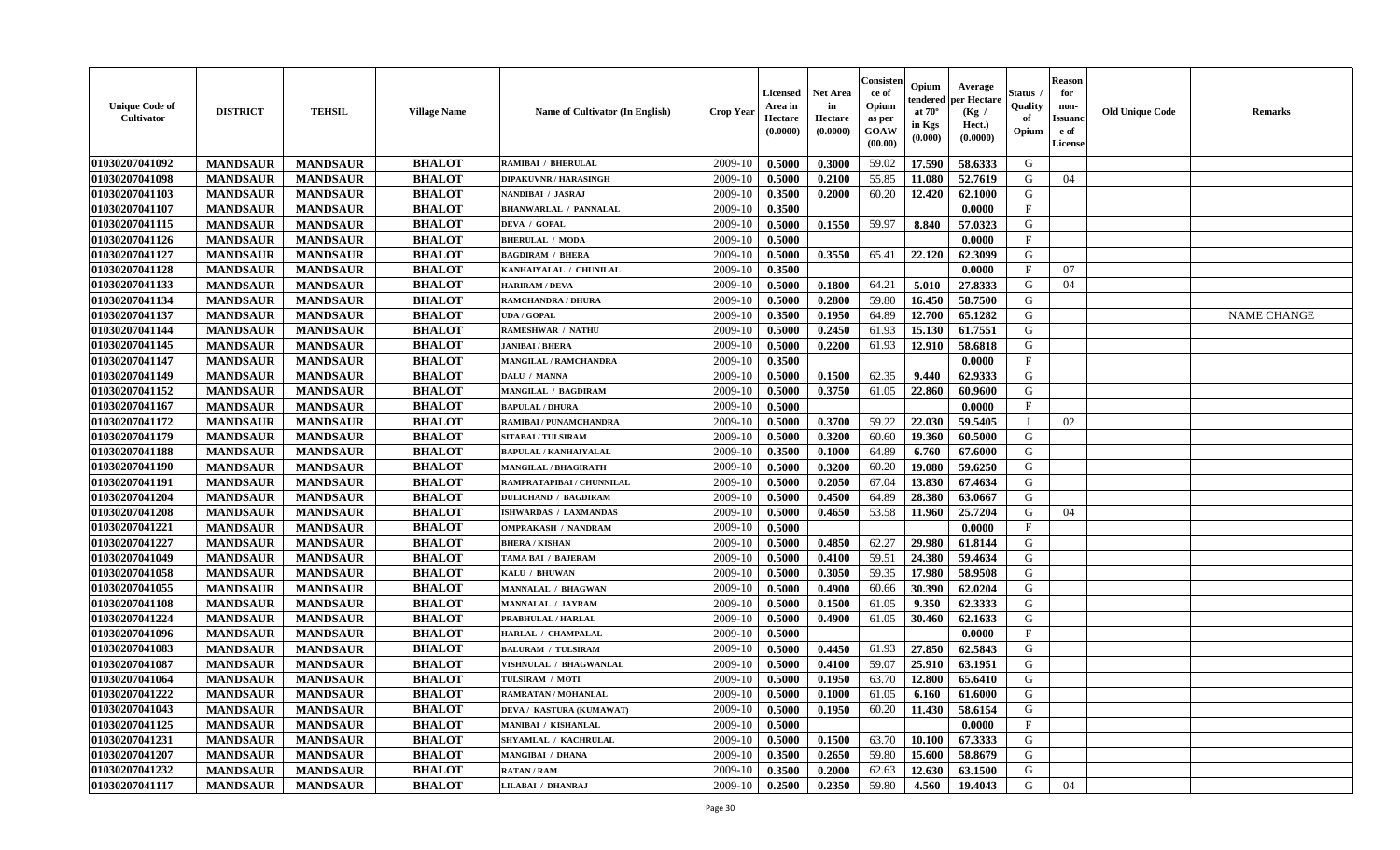| <b>Unique Code of</b><br>Cultivator | <b>DISTRICT</b> | <b>TEHSIL</b>   | <b>Village Name</b> | Name of Cultivator (In English) | <b>Crop Year</b> | <b>Licensed</b><br>Area in<br>Hectare<br>(0.0000) | <b>Net Area</b><br>in<br>Hectare<br>(0.0000) | Consisten<br>ce of<br>Opium<br>as per<br><b>GOAW</b><br>(00.00) | Opium<br>endered<br>at $70^\circ$<br>in Kgs<br>(0.000) | Average<br>per Hectare<br>(Kg /<br>Hect.)<br>(0.0000) | Status ,<br>Quality<br>of<br>Opium | <b>Reason</b><br>for<br>non-<br><b>Issuanc</b><br>e of<br><b>License</b> | <b>Old Unique Code</b> | <b>Remarks</b>     |
|-------------------------------------|-----------------|-----------------|---------------------|---------------------------------|------------------|---------------------------------------------------|----------------------------------------------|-----------------------------------------------------------------|--------------------------------------------------------|-------------------------------------------------------|------------------------------------|--------------------------------------------------------------------------|------------------------|--------------------|
| 01030207041092                      | <b>MANDSAUR</b> | <b>MANDSAUR</b> | <b>BHALOT</b>       | <b>RAMIBAI / BHERULAL</b>       | 2009-10          | 0.5000                                            | 0.3000                                       | 59.02                                                           | 17.590                                                 | 58.6333                                               | G                                  |                                                                          |                        |                    |
| 01030207041098                      | <b>MANDSAUR</b> | <b>MANDSAUR</b> | <b>BHALOT</b>       | <b>DIPAKUVNR / HARASINGH</b>    | 2009-10          | 0.5000                                            | 0.2100                                       | 55.85                                                           | 11.080                                                 | 52.7619                                               | G                                  | 04                                                                       |                        |                    |
| 01030207041103                      | <b>MANDSAUR</b> | <b>MANDSAUR</b> | <b>BHALOT</b>       | NANDIBAI / JASRAJ               | 2009-10          | 0.3500                                            | 0.2000                                       | 60.20                                                           | 12.420                                                 | 62.1000                                               | G                                  |                                                                          |                        |                    |
| 01030207041107                      | <b>MANDSAUR</b> | <b>MANDSAUR</b> | <b>BHALOT</b>       | <b>BHANWARLAL / PANNALAL</b>    | 2009-10          | 0.3500                                            |                                              |                                                                 |                                                        | 0.0000                                                | $\mathbf{F}$                       |                                                                          |                        |                    |
| 01030207041115                      | <b>MANDSAUR</b> | <b>MANDSAUR</b> | <b>BHALOT</b>       | DEVA / GOPAL                    | 2009-10          | 0.5000                                            | 0.1550                                       | 59.97                                                           | 8.840                                                  | 57.0323                                               | G                                  |                                                                          |                        |                    |
| 01030207041126                      | <b>MANDSAUR</b> | <b>MANDSAUR</b> | <b>BHALOT</b>       | <b>BHERULAL / MODA</b>          | 2009-10          | 0.5000                                            |                                              |                                                                 |                                                        | 0.0000                                                | $\mathbf{F}$                       |                                                                          |                        |                    |
| 01030207041127                      | <b>MANDSAUR</b> | <b>MANDSAUR</b> | <b>BHALOT</b>       | <b>BAGDIRAM / BHERA</b>         | 2009-10          | 0.5000                                            | 0.3550                                       | 65.41                                                           | 22.120                                                 | 62.3099                                               | G                                  |                                                                          |                        |                    |
| 01030207041128                      | <b>MANDSAUR</b> | <b>MANDSAUR</b> | <b>BHALOT</b>       | KANHAIYALAL / CHUNILAL          | 2009-10          | 0.3500                                            |                                              |                                                                 |                                                        | 0.0000                                                | $\mathbf{F}$                       | 07                                                                       |                        |                    |
| 01030207041133                      | <b>MANDSAUR</b> | <b>MANDSAUR</b> | <b>BHALOT</b>       | <b>HARIRAM / DEVA</b>           | 2009-10          | 0.5000                                            | 0.1800                                       | 64.21                                                           | 5.010                                                  | 27.8333                                               | G                                  | 04                                                                       |                        |                    |
| 01030207041134                      | <b>MANDSAUR</b> | <b>MANDSAUR</b> | <b>BHALOT</b>       | RAMCHANDRA / DHURA              | 2009-10          | 0.5000                                            | 0.2800                                       | 59.80                                                           | 16.450                                                 | 58.7500                                               | G                                  |                                                                          |                        |                    |
| 01030207041137                      | <b>MANDSAUR</b> | <b>MANDSAUR</b> | <b>BHALOT</b>       | <b>UDA / GOPAL</b>              | 2009-10          | 0.3500                                            | 0.1950                                       | 64.89                                                           | 12.700                                                 | 65.1282                                               | G                                  |                                                                          |                        | <b>NAME CHANGE</b> |
| 01030207041144                      | <b>MANDSAUR</b> | <b>MANDSAUR</b> | <b>BHALOT</b>       | <b>RAMESHWAR / NATHU</b>        | 2009-10          | 0.5000                                            | 0.2450                                       | 61.93                                                           | 15.130                                                 | 61.7551                                               | G                                  |                                                                          |                        |                    |
| 01030207041145                      | <b>MANDSAUR</b> | <b>MANDSAUR</b> | <b>BHALOT</b>       | <b>JANIBAI / BHERA</b>          | 2009-10          | 0.5000                                            | 0.2200                                       | 61.93                                                           | 12.910                                                 | 58.6818                                               | G                                  |                                                                          |                        |                    |
| 01030207041147                      | <b>MANDSAUR</b> | <b>MANDSAUR</b> | <b>BHALOT</b>       | <b>MANGILAL / RAMCHANDRA</b>    | 2009-10          | 0.3500                                            |                                              |                                                                 |                                                        | 0.0000                                                | $\mathbf{F}$                       |                                                                          |                        |                    |
| 01030207041149                      | <b>MANDSAUR</b> | <b>MANDSAUR</b> | <b>BHALOT</b>       | DALU / MANNA                    | 2009-10          | 0.5000                                            | 0.1500                                       | 62.35                                                           | 9.440                                                  | 62.9333                                               | ${\bf G}$                          |                                                                          |                        |                    |
| 01030207041152                      | <b>MANDSAUR</b> | <b>MANDSAUR</b> | <b>BHALOT</b>       | <b>MANGILAL / BAGDIRAM</b>      | 2009-10          | 0.5000                                            | 0.3750                                       | 61.05                                                           | 22.860                                                 | 60.9600                                               | G                                  |                                                                          |                        |                    |
| 01030207041167                      | <b>MANDSAUR</b> | <b>MANDSAUR</b> | <b>BHALOT</b>       | <b>BAPULAL / DHURA</b>          | 2009-10          | 0.5000                                            |                                              |                                                                 |                                                        | 0.0000                                                | $\mathbf{F}$                       |                                                                          |                        |                    |
| 01030207041172                      | <b>MANDSAUR</b> | <b>MANDSAUR</b> | <b>BHALOT</b>       | RAMIBAI / PUNAMCHANDRA          | 2009-10          | 0.5000                                            | 0.3700                                       | 59.22                                                           | 22.030                                                 | 59.5405                                               | T                                  | 02                                                                       |                        |                    |
| 01030207041179                      | <b>MANDSAUR</b> | <b>MANDSAUR</b> | <b>BHALOT</b>       | <b>SITABAI/TULSIRAM</b>         | 2009-10          | 0.5000                                            | 0.3200                                       | 60.60                                                           | 19.360                                                 | 60.5000                                               | G                                  |                                                                          |                        |                    |
| 01030207041188                      | <b>MANDSAUR</b> | <b>MANDSAUR</b> | <b>BHALOT</b>       | <b>BAPULAL / KANHAIYALAL</b>    | 2009-10          | 0.3500                                            | 0.1000                                       | 64.89                                                           | 6.760                                                  | 67.6000                                               | G                                  |                                                                          |                        |                    |
| 01030207041190                      | <b>MANDSAUR</b> | <b>MANDSAUR</b> | <b>BHALOT</b>       | <b>MANGILAL / BHAGIRATH</b>     | 2009-10          | 0.5000                                            | 0.3200                                       | 60.20                                                           | 19.080                                                 | 59.6250                                               | G                                  |                                                                          |                        |                    |
| 01030207041191                      | <b>MANDSAUR</b> | <b>MANDSAUR</b> | <b>BHALOT</b>       | RAMPRATAPIBAI / CHUNNILAL       | 2009-10          | 0.5000                                            | 0.2050                                       | 67.04                                                           | 13.830                                                 | 67.4634                                               | G                                  |                                                                          |                        |                    |
| 01030207041204                      | <b>MANDSAUR</b> | <b>MANDSAUR</b> | <b>BHALOT</b>       | <b>DULICHAND / BAGDIRAM</b>     | 2009-10          | 0.5000                                            | 0.4500                                       | 64.89                                                           | 28.380                                                 | 63.0667                                               | G                                  |                                                                          |                        |                    |
| 01030207041208                      | <b>MANDSAUR</b> | <b>MANDSAUR</b> | <b>BHALOT</b>       | ISHWARDAS / LAXMANDAS           | 2009-10          | 0.5000                                            | 0.4650                                       | 53.58                                                           | 11.960                                                 | 25.7204                                               | G                                  | 04                                                                       |                        |                    |
| 01030207041221                      | <b>MANDSAUR</b> | <b>MANDSAUR</b> | <b>BHALOT</b>       | <b>OMPRAKASH / NANDRAM</b>      | 2009-10          | 0.5000                                            |                                              |                                                                 |                                                        | 0.0000                                                | $\mathbf{F}$                       |                                                                          |                        |                    |
| 01030207041227                      | <b>MANDSAUR</b> | <b>MANDSAUR</b> | <b>BHALOT</b>       | <b>BHERA / KISHAN</b>           | 2009-10          | 0.5000                                            | 0.4850                                       | 62.27                                                           | 29.980                                                 | 61.8144                                               | G                                  |                                                                          |                        |                    |
| 01030207041049                      | <b>MANDSAUR</b> | <b>MANDSAUR</b> | <b>BHALOT</b>       | TAMA BAI / BAJERAM              | 2009-10          | 0.5000                                            | 0.4100                                       | 59.51                                                           | 24.380                                                 | 59.4634                                               | G                                  |                                                                          |                        |                    |
| 01030207041058                      | <b>MANDSAUR</b> | <b>MANDSAUR</b> | <b>BHALOT</b>       | KALU / BHUWAN                   | 2009-10          | 0.5000                                            | 0.3050                                       | 59.35                                                           | 17.980                                                 | 58.9508                                               | G                                  |                                                                          |                        |                    |
| 01030207041055                      | <b>MANDSAUR</b> | <b>MANDSAUR</b> | <b>BHALOT</b>       | <b>MANNALAL / BHAGWAN</b>       | 2009-10          | 0.5000                                            | 0.4900                                       | 60.66                                                           | 30.390                                                 | 62.0204                                               | G                                  |                                                                          |                        |                    |
| 01030207041108                      | <b>MANDSAUR</b> | <b>MANDSAUR</b> | <b>BHALOT</b>       | <b>MANNALAL / JAYRAM</b>        | 2009-10          | 0.5000                                            | 0.1500                                       | 61.05                                                           | 9.350                                                  | 62.3333                                               | G                                  |                                                                          |                        |                    |
| 01030207041224                      | <b>MANDSAUR</b> | <b>MANDSAUR</b> | <b>BHALOT</b>       | PRABHULAL / HARLAL              | 2009-10          | 0.5000                                            | 0.4900                                       | 61.05                                                           | 30.460                                                 | 62.1633                                               | G                                  |                                                                          |                        |                    |
| 01030207041096                      | <b>MANDSAUR</b> | <b>MANDSAUR</b> | <b>BHALOT</b>       | HARLAL / CHAMPALAL              | 2009-10          | 0.5000                                            |                                              |                                                                 |                                                        | 0.0000                                                | $_{\rm F}$                         |                                                                          |                        |                    |
| 01030207041083                      | <b>MANDSAUR</b> | <b>MANDSAUR</b> | <b>BHALOT</b>       | <b>BALURAM / TULSIRAM</b>       | 2009-10          | 0.5000                                            | 0.4450                                       | 61.93                                                           | 27.850                                                 | 62.5843                                               | G                                  |                                                                          |                        |                    |
| 01030207041087                      | <b>MANDSAUR</b> | <b>MANDSAUR</b> | <b>BHALOT</b>       | VISHNULAL / BHAGWANLAL          | 2009-10          | 0.5000                                            | 0.4100                                       | 59.07                                                           | 25.910                                                 | 63.1951                                               | G                                  |                                                                          |                        |                    |
| 01030207041064                      | <b>MANDSAUR</b> | <b>MANDSAUR</b> | <b>BHALOT</b>       | TULSIRAM / MOTI                 | 2009-10          | 0.5000                                            | 0.1950                                       | 63.70                                                           | 12.800                                                 | 65.6410                                               | G                                  |                                                                          |                        |                    |
| 01030207041222                      | <b>MANDSAUR</b> | <b>MANDSAUR</b> | <b>BHALOT</b>       | RAMRATAN / MOHANLAL             | 2009-10          | 0.5000                                            | 0.1000                                       | 61.05                                                           | 6.160                                                  | 61.6000                                               | G                                  |                                                                          |                        |                    |
| 01030207041043                      | <b>MANDSAUR</b> | <b>MANDSAUR</b> | <b>BHALOT</b>       | DEVA / KASTURA (KUMAWAT)        | 2009-10          | 0.5000                                            | 0.1950                                       | 60.20                                                           | 11.430                                                 | 58.6154                                               | G                                  |                                                                          |                        |                    |
| 01030207041125                      | <b>MANDSAUR</b> | <b>MANDSAUR</b> | <b>BHALOT</b>       | <b>MANIBAI / KISHANLAL</b>      | 2009-10          | 0.5000                                            |                                              |                                                                 |                                                        | 0.0000                                                | $\mathbf{F}$                       |                                                                          |                        |                    |
| 01030207041231                      | <b>MANDSAUR</b> | <b>MANDSAUR</b> | <b>BHALOT</b>       | <b>SHYAMLAL / KACHRULAL</b>     | 2009-10          | 0.5000                                            | 0.1500                                       | 63.70                                                           | 10.100                                                 | 67.3333                                               | G                                  |                                                                          |                        |                    |
| 01030207041207                      | <b>MANDSAUR</b> | <b>MANDSAUR</b> | <b>BHALOT</b>       | <b>MANGIBAI / DHANA</b>         | 2009-10          | 0.3500                                            | 0.2650                                       | 59.80                                                           | 15.600                                                 | 58.8679                                               | G                                  |                                                                          |                        |                    |
| 01030207041232                      | <b>MANDSAUR</b> | <b>MANDSAUR</b> | <b>BHALOT</b>       | <b>RATAN / RAM</b>              | 2009-10          | 0.3500                                            | 0.2000                                       | 62.63                                                           | 12.630                                                 | 63.1500                                               | G                                  |                                                                          |                        |                    |
| 01030207041117                      | <b>MANDSAUR</b> | <b>MANDSAUR</b> | <b>BHALOT</b>       | LILABAI / DHANRAJ               | 2009-10          | 0.2500                                            | 0.2350                                       | 59.80                                                           | 4.560                                                  | 19.4043                                               | G                                  | 04                                                                       |                        |                    |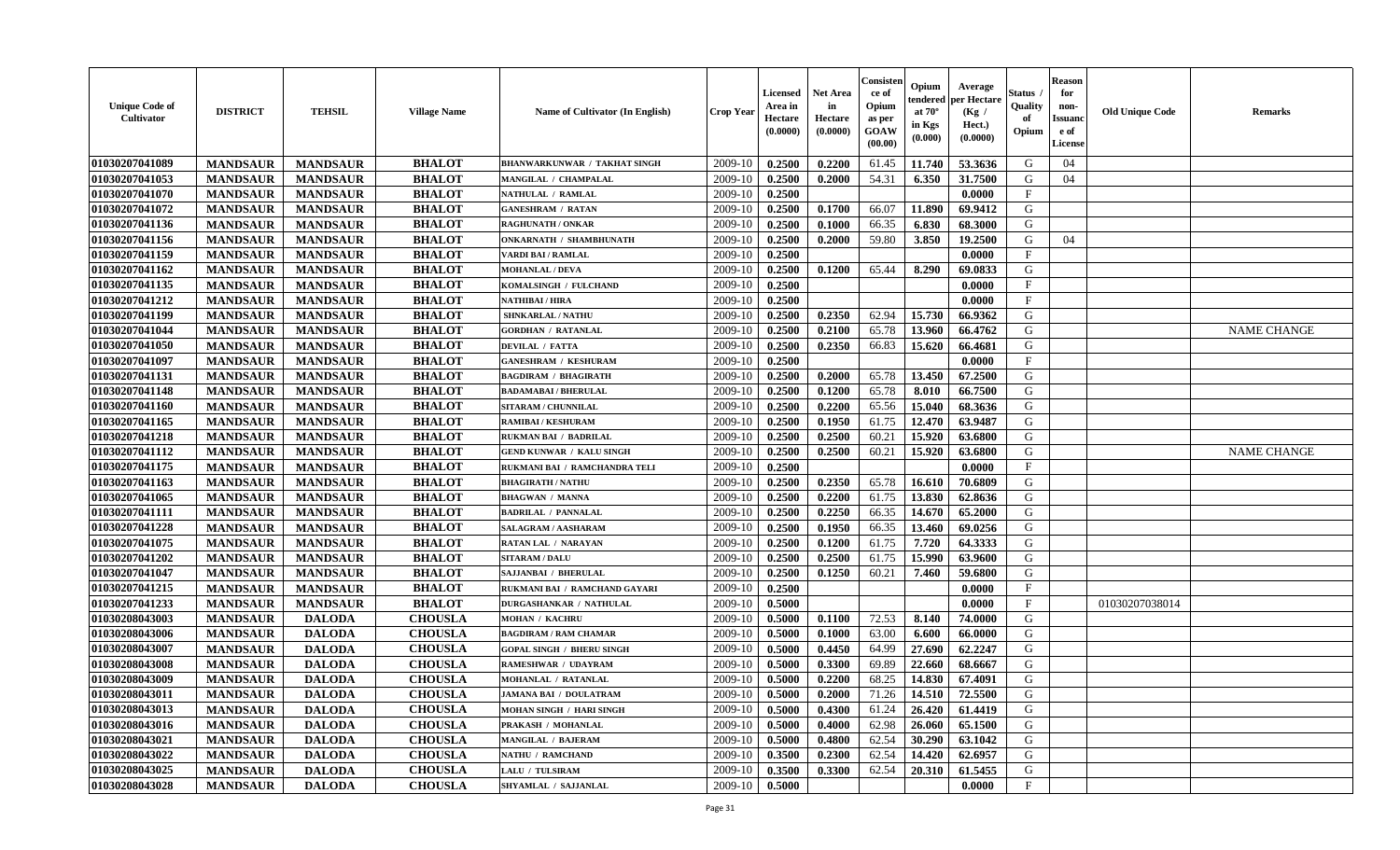| <b>Unique Code of</b><br><b>Cultivator</b> | <b>DISTRICT</b> | <b>TEHSIL</b>   | <b>Village Name</b> | Name of Cultivator (In English)     | <b>Crop Year</b> | Licensed<br>Area in<br>Hectare<br>(0.0000) | <b>Net Area</b><br>in<br>Hectare<br>(0.0000) | Consisteı<br>ce of<br>Opium<br>as per<br>GOAW<br>(00.00) | Opium<br>endered<br>at $70^\circ$<br>in Kgs<br>(0.000) | Average<br>per Hectare<br>(Kg /<br>Hect.)<br>(0.0000) | Status<br>Quality<br>of<br>Opium | <b>Reason</b><br>for<br>non-<br><b>Issuand</b><br>e of<br><b>License</b> | <b>Old Unique Code</b> | <b>Remarks</b>     |
|--------------------------------------------|-----------------|-----------------|---------------------|-------------------------------------|------------------|--------------------------------------------|----------------------------------------------|----------------------------------------------------------|--------------------------------------------------------|-------------------------------------------------------|----------------------------------|--------------------------------------------------------------------------|------------------------|--------------------|
| 01030207041089                             | <b>MANDSAUR</b> | <b>MANDSAUR</b> | <b>BHALOT</b>       | <b>BHANWARKUNWAR / TAKHAT SINGH</b> | 2009-10          | 0.2500                                     | 0.2200                                       | 61.45                                                    | 11.740                                                 | 53.3636                                               | G                                | 04                                                                       |                        |                    |
| 01030207041053                             | <b>MANDSAUR</b> | <b>MANDSAUR</b> | <b>BHALOT</b>       | MANGILAL / CHAMPALAL                | 2009-10          | 0.2500                                     | 0.2000                                       | 54.31                                                    | 6.350                                                  | 31.7500                                               | G                                | 04                                                                       |                        |                    |
| 01030207041070                             | <b>MANDSAUR</b> | <b>MANDSAUR</b> | <b>BHALOT</b>       | NATHULAL / RAMLAL                   | 2009-10          | 0.2500                                     |                                              |                                                          |                                                        | 0.0000                                                | $_{\rm F}$                       |                                                                          |                        |                    |
| 01030207041072                             | <b>MANDSAUR</b> | <b>MANDSAUR</b> | <b>BHALOT</b>       | <b>GANESHRAM / RATAN</b>            | 2009-10          | 0.2500                                     | 0.1700                                       | 66.07                                                    | 11.890                                                 | 69.9412                                               | G                                |                                                                          |                        |                    |
| 01030207041136                             | <b>MANDSAUR</b> | <b>MANDSAUR</b> | <b>BHALOT</b>       | <b>RAGHUNATH / ONKAR</b>            | 2009-10          | 0.2500                                     | 0.1000                                       | 66.35                                                    | 6.830                                                  | 68.3000                                               | G                                |                                                                          |                        |                    |
| 01030207041156                             | <b>MANDSAUR</b> | <b>MANDSAUR</b> | <b>BHALOT</b>       | <b>ONKARNATH / SHAMBHUNATH</b>      | 2009-10          | 0.2500                                     | 0.2000                                       | 59.80                                                    | 3.850                                                  | 19.2500                                               | G                                | 04                                                                       |                        |                    |
| 01030207041159                             | <b>MANDSAUR</b> | <b>MANDSAUR</b> | <b>BHALOT</b>       | VARDI BAI / RAMLAL                  | 2009-10          | 0.2500                                     |                                              |                                                          |                                                        | 0.0000                                                | $\rm F$                          |                                                                          |                        |                    |
| 01030207041162                             | <b>MANDSAUR</b> | <b>MANDSAUR</b> | <b>BHALOT</b>       | <b>MOHANLAL / DEVA</b>              | 2009-10          | 0.2500                                     | 0.1200                                       | 65.44                                                    | 8.290                                                  | 69.0833                                               | G                                |                                                                          |                        |                    |
| 01030207041135                             | <b>MANDSAUR</b> | <b>MANDSAUR</b> | <b>BHALOT</b>       | KOMALSINGH / FULCHAND               | 2009-10          | 0.2500                                     |                                              |                                                          |                                                        | 0.0000                                                | $_{\rm F}$                       |                                                                          |                        |                    |
| 01030207041212                             | <b>MANDSAUR</b> | <b>MANDSAUR</b> | <b>BHALOT</b>       | NATHIBAI / HIRA                     | 2009-10          | 0.2500                                     |                                              |                                                          |                                                        | 0.0000                                                | $\mathbf{F}$                     |                                                                          |                        |                    |
| 01030207041199                             | <b>MANDSAUR</b> | <b>MANDSAUR</b> | <b>BHALOT</b>       | <b>SHNKARLAL / NATHU</b>            | 2009-10          | 0.2500                                     | 0.2350                                       | 62.94                                                    | 15.730                                                 | 66.9362                                               | G                                |                                                                          |                        |                    |
| 01030207041044                             | <b>MANDSAUR</b> | <b>MANDSAUR</b> | <b>BHALOT</b>       | <b>GORDHAN / RATANLAL</b>           | 2009-10          | 0.2500                                     | 0.2100                                       | 65.78                                                    | 13.960                                                 | 66.4762                                               | G                                |                                                                          |                        | <b>NAME CHANGE</b> |
| 01030207041050                             | <b>MANDSAUR</b> | <b>MANDSAUR</b> | <b>BHALOT</b>       | <b>DEVILAL / FATTA</b>              | 2009-10          | 0.2500                                     | 0.2350                                       | 66.83                                                    | 15.620                                                 | 66.4681                                               | G                                |                                                                          |                        |                    |
| 01030207041097                             | <b>MANDSAUR</b> | <b>MANDSAUR</b> | <b>BHALOT</b>       | <b>GANESHRAM / KESHURAM</b>         | 2009-10          | 0.2500                                     |                                              |                                                          |                                                        | 0.0000                                                | F                                |                                                                          |                        |                    |
| 01030207041131                             | <b>MANDSAUR</b> | <b>MANDSAUR</b> | <b>BHALOT</b>       | <b>BAGDIRAM / BHAGIRATH</b>         | 2009-10          | 0.2500                                     | 0.2000                                       | 65.78                                                    | 13.450                                                 | 67.2500                                               | G                                |                                                                          |                        |                    |
| 01030207041148                             | <b>MANDSAUR</b> | <b>MANDSAUR</b> | <b>BHALOT</b>       | <b>BADAMABAI/BHERULAL</b>           | 2009-10          | 0.2500                                     | 0.1200                                       | 65.78                                                    | 8.010                                                  | 66.7500                                               | G                                |                                                                          |                        |                    |
| 01030207041160                             | <b>MANDSAUR</b> | <b>MANDSAUR</b> | <b>BHALOT</b>       | SITARAM / CHUNNILAL                 | 2009-10          | 0.2500                                     | 0.2200                                       | 65.56                                                    | 15.040                                                 | 68.3636                                               | G                                |                                                                          |                        |                    |
| 01030207041165                             | <b>MANDSAUR</b> | <b>MANDSAUR</b> | <b>BHALOT</b>       | <b>RAMIBAI/KESHURAM</b>             | 2009-10          | 0.2500                                     | 0.1950                                       | 61.75                                                    | 12.470                                                 | 63.9487                                               | G                                |                                                                          |                        |                    |
| 01030207041218                             | <b>MANDSAUR</b> | <b>MANDSAUR</b> | <b>BHALOT</b>       | <b>RUKMAN BAI / BADRILAL</b>        | 2009-10          | 0.2500                                     | 0.2500                                       | 60.21                                                    | 15.920                                                 | 63.6800                                               | G                                |                                                                          |                        |                    |
| 01030207041112                             | <b>MANDSAUR</b> | <b>MANDSAUR</b> | <b>BHALOT</b>       | <b>GEND KUNWAR / KALU SINGH</b>     | 2009-10          | 0.2500                                     | 0.2500                                       | 60.21                                                    | 15.920                                                 | 63.6800                                               | G                                |                                                                          |                        | <b>NAME CHANGE</b> |
| 01030207041175                             | <b>MANDSAUR</b> | <b>MANDSAUR</b> | <b>BHALOT</b>       | RUKMANI BAI / RAMCHANDRA TELI       | 2009-10          | 0.2500                                     |                                              |                                                          |                                                        | 0.0000                                                | F                                |                                                                          |                        |                    |
| 01030207041163                             | <b>MANDSAUR</b> | <b>MANDSAUR</b> | <b>BHALOT</b>       | <b>BHAGIRATH / NATHU</b>            | 2009-10          | 0.2500                                     | 0.2350                                       | 65.78                                                    | 16.610                                                 | 70.6809                                               | G                                |                                                                          |                        |                    |
| 01030207041065                             | <b>MANDSAUR</b> | <b>MANDSAUR</b> | <b>BHALOT</b>       | <b>BHAGWAN / MANNA</b>              | 2009-10          | 0.2500                                     | 0.2200                                       | 61.75                                                    | 13.830                                                 | 62.8636                                               | G                                |                                                                          |                        |                    |
| 01030207041111                             | <b>MANDSAUR</b> | <b>MANDSAUR</b> | <b>BHALOT</b>       | <b>BADRILAL / PANNALAL</b>          | 2009-10          | 0.2500                                     | 0.2250                                       | 66.35                                                    | 14.670                                                 | 65.2000                                               | G                                |                                                                          |                        |                    |
| 01030207041228                             | <b>MANDSAUR</b> | <b>MANDSAUR</b> | <b>BHALOT</b>       | SALAGRAM / AASHARAM                 | 2009-10          | 0.2500                                     | 0.1950                                       | 66.35                                                    | 13.460                                                 | 69.0256                                               | G                                |                                                                          |                        |                    |
| 01030207041075                             | <b>MANDSAUR</b> | <b>MANDSAUR</b> | <b>BHALOT</b>       | <b>RATAN LAL / NARAYAN</b>          | 2009-10          | 0.2500                                     | 0.1200                                       | 61.75                                                    | 7.720                                                  | 64.3333                                               | G                                |                                                                          |                        |                    |
| 01030207041202                             | <b>MANDSAUR</b> | <b>MANDSAUR</b> | <b>BHALOT</b>       | <b>SITARAM / DALU</b>               | 2009-10          | 0.2500                                     | 0.2500                                       | 61.75                                                    | 15.990                                                 | 63.9600                                               | G                                |                                                                          |                        |                    |
| 01030207041047                             | <b>MANDSAUR</b> | <b>MANDSAUR</b> | <b>BHALOT</b>       | <b>SAJJANBAI / BHERULAL</b>         | 2009-10          | 0.2500                                     | 0.1250                                       | 60.21                                                    | 7.460                                                  | 59.6800                                               | G                                |                                                                          |                        |                    |
| 01030207041215                             | <b>MANDSAUR</b> | <b>MANDSAUR</b> | <b>BHALOT</b>       | RUKMANI BAI / RAMCHAND GAYARI       | 2009-10          | 0.2500                                     |                                              |                                                          |                                                        | 0.0000                                                | $\mathbf{F}$                     |                                                                          |                        |                    |
| 01030207041233                             | <b>MANDSAUR</b> | <b>MANDSAUR</b> | <b>BHALOT</b>       | <b>DURGASHANKAR / NATHULAL</b>      | 2009-10          | 0.5000                                     |                                              |                                                          |                                                        | 0.0000                                                | $\mathbf{F}$                     |                                                                          | 01030207038014         |                    |
| 01030208043003                             | <b>MANDSAUR</b> | <b>DALODA</b>   | <b>CHOUSLA</b>      | <b>MOHAN / KACHRU</b>               | 2009-10          | 0.5000                                     | 0.1100                                       | 72.53                                                    | 8.140                                                  | 74.0000                                               | ${\bf G}$                        |                                                                          |                        |                    |
| 01030208043006                             | <b>MANDSAUR</b> | <b>DALODA</b>   | <b>CHOUSLA</b>      | <b>BAGDIRAM / RAM CHAMAR</b>        | 2009-10          | 0.5000                                     | 0.1000                                       | 63.00                                                    | 6.600                                                  | 66.0000                                               | G                                |                                                                          |                        |                    |
| 01030208043007                             | <b>MANDSAUR</b> | <b>DALODA</b>   | <b>CHOUSLA</b>      | <b>GOPAL SINGH / BHERU SINGH</b>    | 2009-10          | 0.5000                                     | 0.4450                                       | 64.99                                                    | 27.690                                                 | 62.2247                                               | G                                |                                                                          |                        |                    |
| 01030208043008                             | <b>MANDSAUR</b> | <b>DALODA</b>   | <b>CHOUSLA</b>      | RAMESHWAR / UDAYRAM                 | 2009-10          | 0.5000                                     | 0.3300                                       | 69.89                                                    | 22.660                                                 | 68.6667                                               | G                                |                                                                          |                        |                    |
| 01030208043009                             | <b>MANDSAUR</b> | <b>DALODA</b>   | <b>CHOUSLA</b>      | <b>MOHANLAL / RATANLAL</b>          | 2009-10          | 0.5000                                     | 0.2200                                       | 68.25                                                    | 14.830                                                 | 67.4091                                               | G                                |                                                                          |                        |                    |
| 01030208043011                             | <b>MANDSAUR</b> | <b>DALODA</b>   | <b>CHOUSLA</b>      | <b>JAMANA BAI / DOULATRAM</b>       | 2009-10          | 0.5000                                     | 0.2000                                       | 71.26                                                    | 14.510                                                 | 72.5500                                               | G                                |                                                                          |                        |                    |
| 01030208043013                             | <b>MANDSAUR</b> | <b>DALODA</b>   | <b>CHOUSLA</b>      | <b>MOHAN SINGH / HARI SINGH</b>     | 2009-10          | 0.5000                                     | 0.4300                                       | 61.24                                                    | 26.420                                                 | 61.4419                                               | G                                |                                                                          |                        |                    |
| 01030208043016                             | <b>MANDSAUR</b> | <b>DALODA</b>   | <b>CHOUSLA</b>      | PRAKASH / MOHANLAL                  | 2009-10          | 0.5000                                     | 0.4000                                       | 62.98                                                    | 26.060                                                 | 65.1500                                               | G                                |                                                                          |                        |                    |
| 01030208043021                             | <b>MANDSAUR</b> | <b>DALODA</b>   | <b>CHOUSLA</b>      | <b>MANGILAL / BAJERAM</b>           | 2009-10          | 0.5000                                     | 0.4800                                       | 62.54                                                    | 30.290                                                 | 63.1042                                               | G                                |                                                                          |                        |                    |
| 01030208043022                             | <b>MANDSAUR</b> | <b>DALODA</b>   | <b>CHOUSLA</b>      | NATHU / RAMCHAND                    | 2009-10          | 0.3500                                     | 0.2300                                       | 62.54                                                    | 14.420                                                 | 62.6957                                               | G                                |                                                                          |                        |                    |
| 01030208043025                             | <b>MANDSAUR</b> | <b>DALODA</b>   | <b>CHOUSLA</b>      | LALU / TULSIRAM                     | 2009-10          | 0.3500                                     | 0.3300                                       | 62.54                                                    | 20.310                                                 | 61.5455                                               | G                                |                                                                          |                        |                    |
| 01030208043028                             | <b>MANDSAUR</b> | <b>DALODA</b>   | <b>CHOUSLA</b>      | SHYAMLAL / SAJJANLAL                | 2009-10          | 0.5000                                     |                                              |                                                          |                                                        | 0.0000                                                | F                                |                                                                          |                        |                    |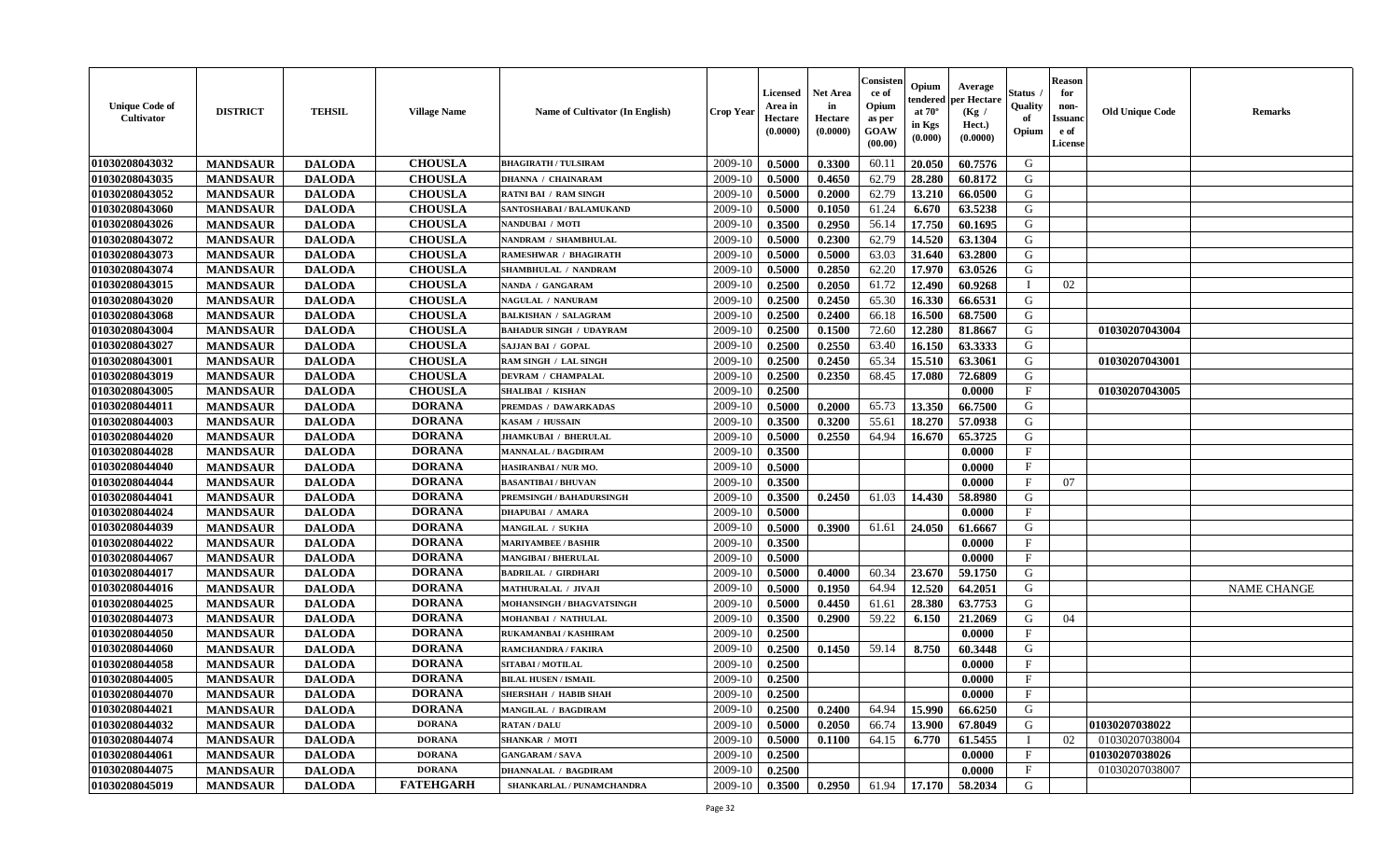| <b>Unique Code of</b><br>Cultivator | <b>DISTRICT</b> | <b>TEHSIL</b> | <b>Village Name</b> | Name of Cultivator (In English) | <b>Crop Year</b> | <b>Licensed</b><br>Area in<br>Hectare<br>(0.0000) | <b>Net Area</b><br>in<br>Hectare<br>(0.0000) | Consister<br>ce of<br>Opium<br>as per<br><b>GOAW</b><br>(00.00) | Opium<br>endered<br>at $70^{\circ}$<br>in Kgs<br>$(\mathbf{0.000})$ | Average<br>per Hectare<br>(Kg /<br>Hect.)<br>(0.0000) | Status<br>Quality<br>of<br>Opium | <b>Reason</b><br>for<br>non-<br><b>Issuanc</b><br>e of<br>License | <b>Old Unique Code</b> | <b>Remarks</b>     |
|-------------------------------------|-----------------|---------------|---------------------|---------------------------------|------------------|---------------------------------------------------|----------------------------------------------|-----------------------------------------------------------------|---------------------------------------------------------------------|-------------------------------------------------------|----------------------------------|-------------------------------------------------------------------|------------------------|--------------------|
| 01030208043032                      | <b>MANDSAUR</b> | <b>DALODA</b> | <b>CHOUSLA</b>      | <b>BHAGIRATH / TULSIRAM</b>     | 2009-10          | 0.5000                                            | 0.3300                                       | 60.11                                                           | 20.050                                                              | 60.7576                                               | G                                |                                                                   |                        |                    |
| 01030208043035                      | <b>MANDSAUR</b> | <b>DALODA</b> | <b>CHOUSLA</b>      | <b>DHANNA / CHAINARAM</b>       | 2009-10          | 0.5000                                            | 0.4650                                       | 62.79                                                           | 28.280                                                              | 60.8172                                               | G                                |                                                                   |                        |                    |
| 01030208043052                      | <b>MANDSAUR</b> | <b>DALODA</b> | <b>CHOUSLA</b>      | <b>RATNI BAI / RAM SINGH</b>    | 2009-10          | 0.5000                                            | 0.2000                                       | 62.79                                                           | 13.210                                                              | 66.0500                                               | G                                |                                                                   |                        |                    |
| 01030208043060                      | <b>MANDSAUR</b> | <b>DALODA</b> | <b>CHOUSLA</b>      | SANTOSHABAI / BALAMUKAND        | 2009-10          | 0.5000                                            | 0.1050                                       | 61.24                                                           | 6.670                                                               | 63.5238                                               | G                                |                                                                   |                        |                    |
| 01030208043026                      | <b>MANDSAUR</b> | <b>DALODA</b> | <b>CHOUSLA</b>      | NANDUBAI / MOTI                 | 2009-10          | 0.3500                                            | 0.2950                                       | 56.14                                                           | 17.750                                                              | 60.1695                                               | G                                |                                                                   |                        |                    |
| 01030208043072                      | <b>MANDSAUR</b> | <b>DALODA</b> | <b>CHOUSLA</b>      | NANDRAM / SHAMBHULAL            | 2009-10          | 0.5000                                            | 0.2300                                       | 62.79                                                           | 14.520                                                              | 63.1304                                               | G                                |                                                                   |                        |                    |
| 01030208043073                      | <b>MANDSAUR</b> | <b>DALODA</b> | <b>CHOUSLA</b>      | RAMESHWAR / BHAGIRATH           | 2009-10          | 0.5000                                            | 0.5000                                       | 63.03                                                           | 31.640                                                              | 63.2800                                               | G                                |                                                                   |                        |                    |
| 01030208043074                      | <b>MANDSAUR</b> | <b>DALODA</b> | <b>CHOUSLA</b>      | SHAMBHULAL / NANDRAM            | 2009-10          | 0.5000                                            | 0.2850                                       | 62.20                                                           | 17.970                                                              | 63.0526                                               | G                                |                                                                   |                        |                    |
| 01030208043015                      | <b>MANDSAUR</b> | <b>DALODA</b> | <b>CHOUSLA</b>      | NANDA / GANGARAM                | 2009-10          | 0.2500                                            | 0.2050                                       | 61.72                                                           | 12.490                                                              | 60.9268                                               |                                  | 02                                                                |                        |                    |
| 01030208043020                      | <b>MANDSAUR</b> | <b>DALODA</b> | <b>CHOUSLA</b>      | NAGULAL / NANURAM               | 2009-10          | 0.2500                                            | 0.2450                                       | 65.30                                                           | 16.330                                                              | 66.6531                                               | G                                |                                                                   |                        |                    |
| 01030208043068                      | <b>MANDSAUR</b> | <b>DALODA</b> | <b>CHOUSLA</b>      | <b>BALKISHAN / SALAGRAM</b>     | 2009-10          | 0.2500                                            | 0.2400                                       | 66.18                                                           | 16.500                                                              | 68.7500                                               | G                                |                                                                   |                        |                    |
| 01030208043004                      | <b>MANDSAUR</b> | <b>DALODA</b> | <b>CHOUSLA</b>      | <b>BAHADUR SINGH / UDAYRAM</b>  | 2009-10          | 0.2500                                            | 0.1500                                       | 72.60                                                           | 12.280                                                              | 81.8667                                               | G                                |                                                                   | 01030207043004         |                    |
| 01030208043027                      | <b>MANDSAUR</b> | <b>DALODA</b> | <b>CHOUSLA</b>      | SAJJAN BAI / GOPAL              | 2009-10          | 0.2500                                            | 0.2550                                       | 63.40                                                           | 16.150                                                              | 63.3333                                               | G                                |                                                                   |                        |                    |
| 01030208043001                      | <b>MANDSAUR</b> | <b>DALODA</b> | <b>CHOUSLA</b>      | RAM SINGH / LAL SINGH           | 2009-10          | 0.2500                                            | 0.2450                                       | 65.34                                                           | 15.510                                                              | 63.3061                                               | G                                |                                                                   | 01030207043001         |                    |
| 01030208043019                      | <b>MANDSAUR</b> | <b>DALODA</b> | <b>CHOUSLA</b>      | DEVRAM / CHAMPALAL              | 2009-10          | 0.2500                                            | 0.2350                                       | 68.45                                                           | 17.080                                                              | 72.6809                                               | G                                |                                                                   |                        |                    |
| 01030208043005                      | <b>MANDSAUR</b> | <b>DALODA</b> | <b>CHOUSLA</b>      | <b>SHALIBAI / KISHAN</b>        | 2009-10          | 0.2500                                            |                                              |                                                                 |                                                                     | 0.0000                                                | $\mathbf{F}$                     |                                                                   | 01030207043005         |                    |
| 01030208044011                      | <b>MANDSAUR</b> | <b>DALODA</b> | <b>DORANA</b>       | PREMDAS / DAWARKADAS            | 2009-10          | 0.5000                                            | 0.2000                                       | 65.73                                                           | 13.350                                                              | 66.7500                                               | G                                |                                                                   |                        |                    |
| 01030208044003                      | <b>MANDSAUR</b> | <b>DALODA</b> | <b>DORANA</b>       | KASAM / HUSSAIN                 | 2009-10          | 0.3500                                            | 0.3200                                       | 55.61                                                           | 18.270                                                              | 57.0938                                               | G                                |                                                                   |                        |                    |
| 01030208044020                      | <b>MANDSAUR</b> | <b>DALODA</b> | <b>DORANA</b>       | <b>JHAMKUBAI / BHERULAL</b>     | 2009-10          | 0.5000                                            | 0.2550                                       | 64.94                                                           | 16.670                                                              | 65.3725                                               | G                                |                                                                   |                        |                    |
| 01030208044028                      | <b>MANDSAUR</b> | <b>DALODA</b> | <b>DORANA</b>       | <b>MANNALAL / BAGDIRAM</b>      | 2009-10          | 0.3500                                            |                                              |                                                                 |                                                                     | 0.0000                                                | F                                |                                                                   |                        |                    |
| 01030208044040                      | <b>MANDSAUR</b> | <b>DALODA</b> | <b>DORANA</b>       | HASIRANBAI / NUR MO.            | 2009-10          | 0.5000                                            |                                              |                                                                 |                                                                     | 0.0000                                                | $\mathbf F$                      |                                                                   |                        |                    |
| 01030208044044                      | <b>MANDSAUR</b> | <b>DALODA</b> | <b>DORANA</b>       | <b>BASANTIBAI / BHUVAN</b>      | 2009-10          | 0.3500                                            |                                              |                                                                 |                                                                     | 0.0000                                                | $\mathbf{F}$                     | 07                                                                |                        |                    |
| 01030208044041                      | <b>MANDSAUR</b> | <b>DALODA</b> | <b>DORANA</b>       | <b>PREMSINGH / BAHADURSINGH</b> | 2009-10          | 0.3500                                            | 0.2450                                       | 61.03                                                           | 14.430                                                              | 58.8980                                               | G                                |                                                                   |                        |                    |
| 01030208044024                      | <b>MANDSAUR</b> | <b>DALODA</b> | <b>DORANA</b>       | <b>DHAPUBAI / AMARA</b>         | 2009-10          | 0.5000                                            |                                              |                                                                 |                                                                     | 0.0000                                                | $_{\rm F}$                       |                                                                   |                        |                    |
| 01030208044039                      | <b>MANDSAUR</b> | <b>DALODA</b> | <b>DORANA</b>       | MANGILAL / SUKHA                | 2009-10          | 0.5000                                            | 0.3900                                       | 61.61                                                           | 24.050                                                              | 61.6667                                               | G                                |                                                                   |                        |                    |
| 01030208044022                      | <b>MANDSAUR</b> | <b>DALODA</b> | <b>DORANA</b>       | <b>MARIYAMBEE / BASHIR</b>      | 2009-10          | 0.3500                                            |                                              |                                                                 |                                                                     | 0.0000                                                | $\mathbf{F}$                     |                                                                   |                        |                    |
| 01030208044067                      | <b>MANDSAUR</b> | <b>DALODA</b> | <b>DORANA</b>       | <b>MANGIBAI / BHERULAL</b>      | 2009-10          | 0.5000                                            |                                              |                                                                 |                                                                     | 0.0000                                                | $\mathbf F$                      |                                                                   |                        |                    |
| 01030208044017                      | <b>MANDSAUR</b> | <b>DALODA</b> | <b>DORANA</b>       | <b>BADRILAL / GIRDHARI</b>      | 2009-10          | 0.5000                                            | 0.4000                                       | 60.34                                                           | 23.670                                                              | 59.1750                                               | G                                |                                                                   |                        |                    |
| 01030208044016                      | <b>MANDSAUR</b> | <b>DALODA</b> | <b>DORANA</b>       | <b>MATHURALAL / JIVAJI</b>      | 2009-10          | 0.5000                                            | 0.1950                                       | 64.94                                                           | 12.520                                                              | 64.2051                                               | G                                |                                                                   |                        | <b>NAME CHANGE</b> |
| 01030208044025                      | <b>MANDSAUR</b> | <b>DALODA</b> | <b>DORANA</b>       | MOHANSINGH / BHAGVATSINGH       | 2009-10          | 0.5000                                            | 0.4450                                       | 61.61                                                           | 28.380                                                              | 63.7753                                               | G                                |                                                                   |                        |                    |
| 01030208044073                      | <b>MANDSAUR</b> | <b>DALODA</b> | <b>DORANA</b>       | MOHANBAI / NATHULAL             | 2009-10          | 0.3500                                            | 0.2900                                       | 59.22                                                           | 6.150                                                               | 21.2069                                               | G                                | 04                                                                |                        |                    |
| 01030208044050                      | <b>MANDSAUR</b> | <b>DALODA</b> | <b>DORANA</b>       | RUKAMANBAI / KASHIRAM           | 2009-10          | 0.2500                                            |                                              |                                                                 |                                                                     | 0.0000                                                | F                                |                                                                   |                        |                    |
| 01030208044060                      | <b>MANDSAUR</b> | <b>DALODA</b> | <b>DORANA</b>       | RAMCHANDRA / FAKIRA             | 2009-10          | 0.2500                                            | 0.1450                                       | 59.14                                                           | 8.750                                                               | 60.3448                                               | G                                |                                                                   |                        |                    |
| 01030208044058                      | <b>MANDSAUR</b> | <b>DALODA</b> | <b>DORANA</b>       | SITABAI / MOTILAL               | 2009-10          | 0.2500                                            |                                              |                                                                 |                                                                     | 0.0000                                                | F                                |                                                                   |                        |                    |
| 01030208044005                      | <b>MANDSAUR</b> | <b>DALODA</b> | <b>DORANA</b>       | <b>BILAL HUSEN / ISMAIL</b>     | 2009-10          | 0.2500                                            |                                              |                                                                 |                                                                     | 0.0000                                                | $\mathbf{F}$                     |                                                                   |                        |                    |
| 01030208044070                      | <b>MANDSAUR</b> | <b>DALODA</b> | DORANA              | <b>SHERSHAH / HABIB SHAH</b>    |                  | $2009-10$ 0.2500                                  |                                              |                                                                 |                                                                     | 0.0000                                                | F                                |                                                                   |                        |                    |
| 01030208044021                      | <b>MANDSAUR</b> | <b>DALODA</b> | <b>DORANA</b>       | <b>MANGILAL / BAGDIRAM</b>      | 2009-10          | 0.2500                                            | 0.2400                                       | 64.94                                                           | 15.990                                                              | 66.6250                                               | G                                |                                                                   |                        |                    |
| 01030208044032                      | <b>MANDSAUR</b> | <b>DALODA</b> | <b>DORANA</b>       | <b>RATAN / DALU</b>             | 2009-10          | 0.5000                                            | 0.2050                                       | 66.74                                                           | 13.900                                                              | 67.8049                                               | G                                |                                                                   | 01030207038022         |                    |
| 01030208044074                      | <b>MANDSAUR</b> | <b>DALODA</b> | <b>DORANA</b>       | <b>SHANKAR / MOTI</b>           | 2009-10          | 0.5000                                            | 0.1100                                       | 64.15                                                           | 6.770                                                               | 61.5455                                               |                                  | 02                                                                | 01030207038004         |                    |
| 01030208044061                      | <b>MANDSAUR</b> | <b>DALODA</b> | <b>DORANA</b>       | <b>GANGARAM / SAVA</b>          | 2009-10          | 0.2500                                            |                                              |                                                                 |                                                                     | 0.0000                                                | $\mathbf{F}$                     |                                                                   | 01030207038026         |                    |
| 01030208044075                      | <b>MANDSAUR</b> | <b>DALODA</b> | <b>DORANA</b>       | <b>DHANNALAL / BAGDIRAM</b>     | 2009-10          | 0.2500                                            |                                              |                                                                 |                                                                     | 0.0000                                                | $\mathbf{F}$                     |                                                                   | 01030207038007         |                    |
| 01030208045019                      | <b>MANDSAUR</b> | <b>DALODA</b> | <b>FATEHGARH</b>    | SHANKARLAL / PUNAMCHANDRA       | 2009-10          | 0.3500                                            | 0.2950                                       | 61.94                                                           | 17.170                                                              | 58.2034                                               | G                                |                                                                   |                        |                    |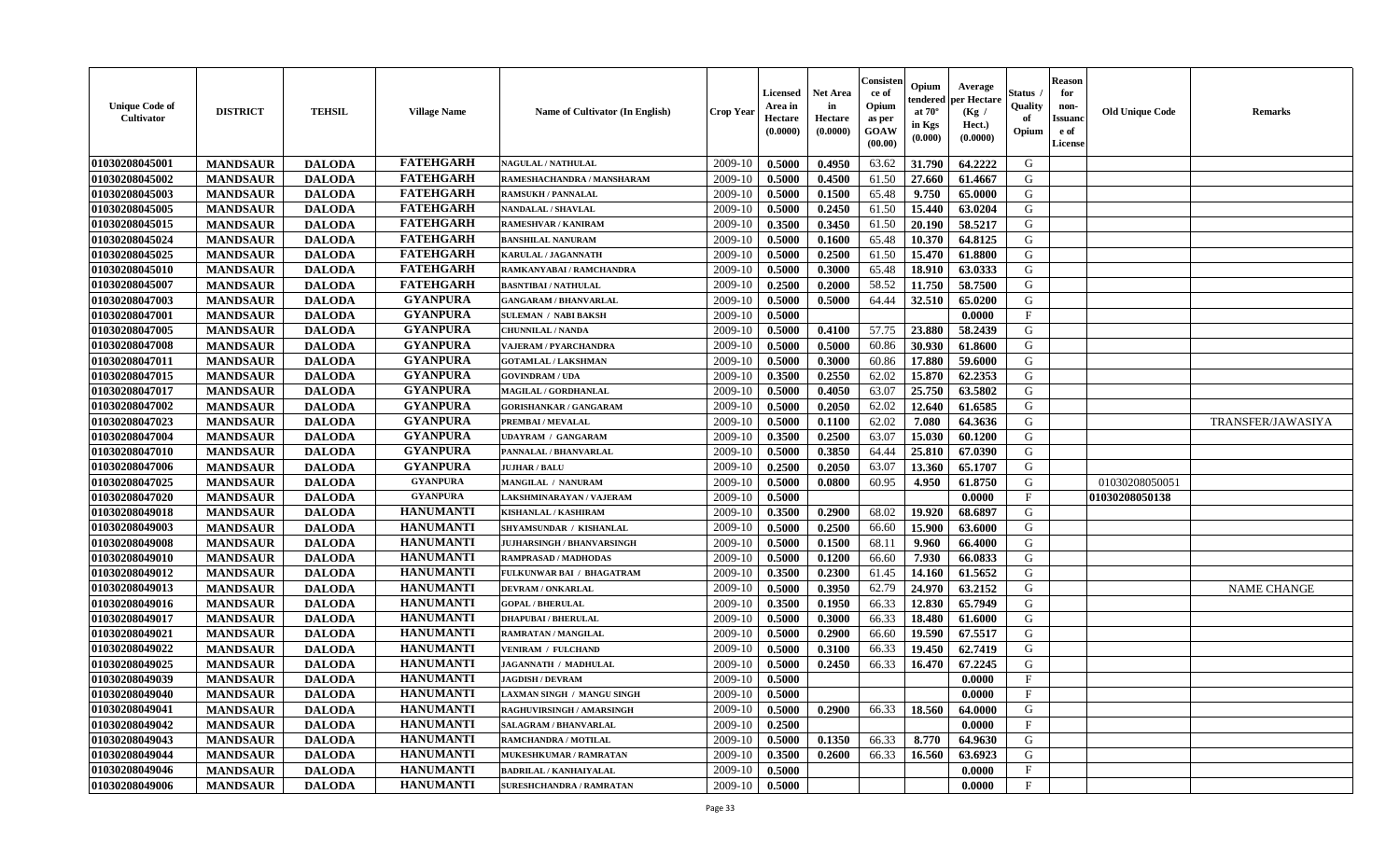| <b>Unique Code of</b><br><b>Cultivator</b> | <b>DISTRICT</b> | <b>TEHSIL</b> | <b>Village Name</b> | Name of Cultivator (In English)   | <b>Crop Year</b> | <b>Licensed</b><br>Area in<br>Hectare<br>(0.0000) | <b>Net Area</b><br>in<br>Hectare<br>(0.0000) | Consister<br>ce of<br>Opium<br>as per<br><b>GOAW</b><br>(00.00) | Opium<br>endered<br>at $70^\circ$<br>in Kgs<br>$(\mathbf{0.000})$ | Average<br>per Hectare<br>(Kg)<br>Hect.)<br>(0.0000) | Status<br>Quality<br>of<br>Opium | <b>Reason</b><br>for<br>non-<br><b>Issuano</b><br>e of<br>License | <b>Old Unique Code</b> | <b>Remarks</b>     |
|--------------------------------------------|-----------------|---------------|---------------------|-----------------------------------|------------------|---------------------------------------------------|----------------------------------------------|-----------------------------------------------------------------|-------------------------------------------------------------------|------------------------------------------------------|----------------------------------|-------------------------------------------------------------------|------------------------|--------------------|
| 01030208045001                             | <b>MANDSAUR</b> | <b>DALODA</b> | <b>FATEHGARH</b>    | <b>NAGULAL / NATHULAL</b>         | 2009-10          | 0.5000                                            | 0.4950                                       | 63.62                                                           | 31.790                                                            | 64.2222                                              | G                                |                                                                   |                        |                    |
| 01030208045002                             | <b>MANDSAUR</b> | <b>DALODA</b> | <b>FATEHGARH</b>    | RAMESHACHANDRA / MANSHARAM        | 2009-10          | 0.5000                                            | 0.4500                                       | 61.50                                                           | 27.660                                                            | 61.4667                                              | G                                |                                                                   |                        |                    |
| 01030208045003                             | <b>MANDSAUR</b> | <b>DALODA</b> | <b>FATEHGARH</b>    | <b>RAMSUKH / PANNALAL</b>         | 2009-10          | 0.5000                                            | 0.1500                                       | 65.48                                                           | 9.750                                                             | 65.0000                                              | G                                |                                                                   |                        |                    |
| 01030208045005                             | <b>MANDSAUR</b> | <b>DALODA</b> | <b>FATEHGARH</b>    | <b>NANDALAL / SHAVLAL</b>         | 2009-10          | 0.5000                                            | 0.2450                                       | 61.50                                                           | 15.440                                                            | 63.0204                                              | G                                |                                                                   |                        |                    |
| 01030208045015                             | <b>MANDSAUR</b> | <b>DALODA</b> | <b>FATEHGARH</b>    | RAMESHVAR / KANIRAM               | 2009-10          | 0.3500                                            | 0.3450                                       | 61.50                                                           | 20.190                                                            | 58.5217                                              | G                                |                                                                   |                        |                    |
| 01030208045024                             | <b>MANDSAUR</b> | <b>DALODA</b> | <b>FATEHGARH</b>    | <b>BANSHILAL NANURAM</b>          | 2009-10          | 0.5000                                            | 0.1600                                       | 65.48                                                           | 10.370                                                            | 64.8125                                              | G                                |                                                                   |                        |                    |
| 01030208045025                             | <b>MANDSAUR</b> | <b>DALODA</b> | <b>FATEHGARH</b>    | KARULAL / JAGANNATH               | 2009-10          | 0.5000                                            | 0.2500                                       | 61.50                                                           | 15.470                                                            | 61.8800                                              | G                                |                                                                   |                        |                    |
| 01030208045010                             | <b>MANDSAUR</b> | <b>DALODA</b> | <b>FATEHGARH</b>    | RAMKANYABAI / RAMCHANDRA          | 2009-10          | 0.5000                                            | 0.3000                                       | 65.48                                                           | 18.910                                                            | 63.0333                                              | G                                |                                                                   |                        |                    |
| 01030208045007                             | <b>MANDSAUR</b> | <b>DALODA</b> | <b>FATEHGARH</b>    | <b>BASNTIBAI / NATHULAL</b>       | 2009-10          | 0.2500                                            | 0.2000                                       | 58.52                                                           | 11.750                                                            | 58.7500                                              | G                                |                                                                   |                        |                    |
| 01030208047003                             | <b>MANDSAUR</b> | <b>DALODA</b> | <b>GYANPURA</b>     | <b>GANGARAM / BHANVARLAL</b>      | 2009-10          | 0.5000                                            | 0.5000                                       | 64.44                                                           | 32.510                                                            | 65.0200                                              | G                                |                                                                   |                        |                    |
| 01030208047001                             | <b>MANDSAUR</b> | <b>DALODA</b> | <b>GYANPURA</b>     | <b>SULEMAN / NABI BAKSH</b>       | 2009-10          | 0.5000                                            |                                              |                                                                 |                                                                   | 0.0000                                               | $_{\rm F}$                       |                                                                   |                        |                    |
| 01030208047005                             | <b>MANDSAUR</b> | <b>DALODA</b> | <b>GYANPURA</b>     | <b>CHUNNILAL / NANDA</b>          | 2009-10          | 0.5000                                            | 0.4100                                       | 57.75                                                           | 23.880                                                            | 58.2439                                              | G                                |                                                                   |                        |                    |
| 01030208047008                             | <b>MANDSAUR</b> | <b>DALODA</b> | <b>GYANPURA</b>     | <b>VAJERAM / PYARCHANDRA</b>      | 2009-10          | 0.5000                                            | 0.5000                                       | 60.86                                                           | 30.930                                                            | 61.8600                                              | G                                |                                                                   |                        |                    |
| 01030208047011                             | <b>MANDSAUR</b> | <b>DALODA</b> | <b>GYANPURA</b>     | <b>GOTAMLAL / LAKSHMAN</b>        | 2009-10          | 0.5000                                            | 0.3000                                       | 60.86                                                           | 17.880                                                            | 59.6000                                              | G                                |                                                                   |                        |                    |
| 01030208047015                             | <b>MANDSAUR</b> | <b>DALODA</b> | <b>GYANPURA</b>     | <b>GOVINDRAM / UDA</b>            | 2009-10          | 0.3500                                            | 0.2550                                       | 62.02                                                           | 15.870                                                            | 62.2353                                              | G                                |                                                                   |                        |                    |
| 01030208047017                             | <b>MANDSAUR</b> | <b>DALODA</b> | <b>GYANPURA</b>     | MAGILAL / GORDHANLAL              | 2009-10          | 0.5000                                            | 0.4050                                       | 63.07                                                           | 25.750                                                            | 63.5802                                              | G                                |                                                                   |                        |                    |
| 01030208047002                             | <b>MANDSAUR</b> | <b>DALODA</b> | <b>GYANPURA</b>     | <b>GORISHANKAR / GANGARAM</b>     | 2009-10          | 0.5000                                            | 0.2050                                       | 62.02                                                           | 12.640                                                            | 61.6585                                              | G                                |                                                                   |                        |                    |
| 01030208047023                             | <b>MANDSAUR</b> | <b>DALODA</b> | <b>GYANPURA</b>     | PREMBAI / MEVALAL                 | 2009-10          | 0.5000                                            | 0.1100                                       | 62.02                                                           | 7.080                                                             | 64.3636                                              | G                                |                                                                   |                        | TRANSFER/JAWASIYA  |
| 01030208047004                             | <b>MANDSAUR</b> | <b>DALODA</b> | <b>GYANPURA</b>     | UDAYRAM / GANGARAM                | 2009-10          | 0.3500                                            | 0.2500                                       | 63.07                                                           | 15.030                                                            | 60.1200                                              | G                                |                                                                   |                        |                    |
| 01030208047010                             | <b>MANDSAUR</b> | <b>DALODA</b> | <b>GYANPURA</b>     | PANNALAL / BHANVARLAL             | 2009-10          | 0.5000                                            | 0.3850                                       | 64.44                                                           | 25.810                                                            | 67.0390                                              | G                                |                                                                   |                        |                    |
| 01030208047006                             | <b>MANDSAUR</b> | <b>DALODA</b> | <b>GYANPURA</b>     | <b>JUJHAR / BALU</b>              | 2009-10          | 0.2500                                            | 0.2050                                       | 63.07                                                           | 13.360                                                            | 65.1707                                              | G                                |                                                                   |                        |                    |
| 01030208047025                             | <b>MANDSAUR</b> | <b>DALODA</b> | <b>GYANPURA</b>     | MANGILAL / NANURAM                | 2009-10          | 0.5000                                            | 0.0800                                       | 60.95                                                           | 4.950                                                             | 61.8750                                              | G                                |                                                                   | 01030208050051         |                    |
| 01030208047020                             | <b>MANDSAUR</b> | <b>DALODA</b> | <b>GYANPURA</b>     | LAKSHMINARAYAN / VAJERAM          | 2009-10          | 0.5000                                            |                                              |                                                                 |                                                                   | 0.0000                                               | $\mathbf{F}$                     |                                                                   | 01030208050138         |                    |
| 01030208049018                             | <b>MANDSAUR</b> | <b>DALODA</b> | <b>HANUMANTI</b>    | <b>KISHANLAL / KASHIRAM</b>       | 2009-10          | 0.3500                                            | 0.2900                                       | 68.02                                                           | 19.920                                                            | 68.6897                                              | G                                |                                                                   |                        |                    |
| 01030208049003                             | <b>MANDSAUR</b> | <b>DALODA</b> | <b>HANUMANTI</b>    | SHYAMSUNDAR / KISHANLAL           | 2009-10          | 0.5000                                            | 0.2500                                       | 66.60                                                           | 15.900                                                            | 63.6000                                              | G                                |                                                                   |                        |                    |
| 01030208049008                             | <b>MANDSAUR</b> | <b>DALODA</b> | <b>HANUMANTI</b>    | <b>JUJHARSINGH / BHANVARSINGH</b> | 2009-10          | 0.5000                                            | 0.1500                                       | 68.11                                                           | 9.960                                                             | 66.4000                                              | G                                |                                                                   |                        |                    |
| 01030208049010                             | <b>MANDSAUR</b> | <b>DALODA</b> | <b>HANUMANTI</b>    | <b>RAMPRASAD / MADHODAS</b>       | 2009-10          | 0.5000                                            | 0.1200                                       | 66.60                                                           | 7.930                                                             | 66.0833                                              | G                                |                                                                   |                        |                    |
| 01030208049012                             | <b>MANDSAUR</b> | <b>DALODA</b> | <b>HANUMANTI</b>    | FULKUNWAR BAI / BHAGATRAM         | 2009-10          | 0.3500                                            | 0.2300                                       | 61.45                                                           | 14.160                                                            | 61.5652                                              | G                                |                                                                   |                        |                    |
| 01030208049013                             | <b>MANDSAUR</b> | <b>DALODA</b> | <b>HANUMANTI</b>    | <b>DEVRAM / ONKARLAL</b>          | 2009-10          | 0.5000                                            | 0.3950                                       | 62.79                                                           | 24.970                                                            | 63.2152                                              | G                                |                                                                   |                        | <b>NAME CHANGE</b> |
| 01030208049016                             | <b>MANDSAUR</b> | <b>DALODA</b> | <b>HANUMANTI</b>    | <b>GOPAL / BHERULAL</b>           | 2009-10          | 0.3500                                            | 0.1950                                       | 66.33                                                           | 12.830                                                            | 65.7949                                              | G                                |                                                                   |                        |                    |
| 01030208049017                             | <b>MANDSAUR</b> | <b>DALODA</b> | <b>HANUMANTI</b>    | <b>DHAPUBAI/BHERULAL</b>          | 2009-10          | 0.5000                                            | 0.3000                                       | 66.33                                                           | 18.480                                                            | 61.6000                                              | G                                |                                                                   |                        |                    |
| 01030208049021                             | <b>MANDSAUR</b> | <b>DALODA</b> | <b>HANUMANTI</b>    | <b>RAMRATAN / MANGILAL</b>        | 2009-10          | 0.5000                                            | 0.2900                                       | 66.60                                                           | 19.590                                                            | 67.5517                                              | G                                |                                                                   |                        |                    |
| 01030208049022                             | <b>MANDSAUR</b> | <b>DALODA</b> | <b>HANUMANTI</b>    | <b>VENIRAM / FULCHAND</b>         | 2009-10          | 0.5000                                            | 0.3100                                       | 66.33                                                           | 19.450                                                            | 62.7419                                              | G                                |                                                                   |                        |                    |
| 01030208049025                             | <b>MANDSAUR</b> | <b>DALODA</b> | <b>HANUMANTI</b>    | JAGANNATH / MADHULAL              | 2009-10          | 0.5000                                            | 0.2450                                       | 66.33                                                           | 16.470                                                            | 67.2245                                              | G                                |                                                                   |                        |                    |
| 01030208049039                             | <b>MANDSAUR</b> | <b>DALODA</b> | <b>HANUMANTI</b>    | <b>JAGDISH / DEVRAM</b>           | 2009-10          | 0.5000                                            |                                              |                                                                 |                                                                   | 0.0000                                               | $\mathbf{F}$                     |                                                                   |                        |                    |
| 01030208049040                             | <b>MANDSAUR</b> | <b>DALODA</b> | <b>HANUMANTI</b>    | <b>LAXMAN SINGH / MANGU SINGH</b> | $2009-10$        | 0.5000                                            |                                              |                                                                 |                                                                   | 0.0000                                               | $\mathbf{F}$                     |                                                                   |                        |                    |
| 01030208049041                             | <b>MANDSAUR</b> | <b>DALODA</b> | <b>HANUMANTI</b>    | RAGHUVIRSINGH / AMARSINGH         | 2009-10          | 0.5000                                            | 0.2900                                       | 66.33                                                           | 18.560                                                            | 64.0000                                              | G                                |                                                                   |                        |                    |
| 01030208049042                             | <b>MANDSAUR</b> | <b>DALODA</b> | <b>HANUMANTI</b>    | SALAGRAM / BHANVARLAL             | 2009-10          | 0.2500                                            |                                              |                                                                 |                                                                   | 0.0000                                               | $\mathbf{F}$                     |                                                                   |                        |                    |
| 01030208049043                             | <b>MANDSAUR</b> | <b>DALODA</b> | <b>HANUMANTI</b>    | RAMCHANDRA / MOTILAL              | 2009-10          | 0.5000                                            | 0.1350                                       | 66.33                                                           | 8.770                                                             | 64.9630                                              | G                                |                                                                   |                        |                    |
| 01030208049044                             | <b>MANDSAUR</b> | <b>DALODA</b> | <b>HANUMANTI</b>    | <b>MUKESHKUMAR / RAMRATAN</b>     | 2009-10          | 0.3500                                            | 0.2600                                       | 66.33                                                           | 16.560                                                            | 63.6923                                              | G                                |                                                                   |                        |                    |
| 01030208049046                             | <b>MANDSAUR</b> | <b>DALODA</b> | <b>HANUMANTI</b>    | <b>BADRILAL / KANHAIYALAL</b>     | 2009-10          | 0.5000                                            |                                              |                                                                 |                                                                   | 0.0000                                               | $\mathbf F$                      |                                                                   |                        |                    |
| 01030208049006                             | <b>MANDSAUR</b> | <b>DALODA</b> | <b>HANUMANTI</b>    | <b>SURESHCHANDRA / RAMRATAN</b>   | 2009-10          | 0.5000                                            |                                              |                                                                 |                                                                   | 0.0000                                               | $\mathbf{F}$                     |                                                                   |                        |                    |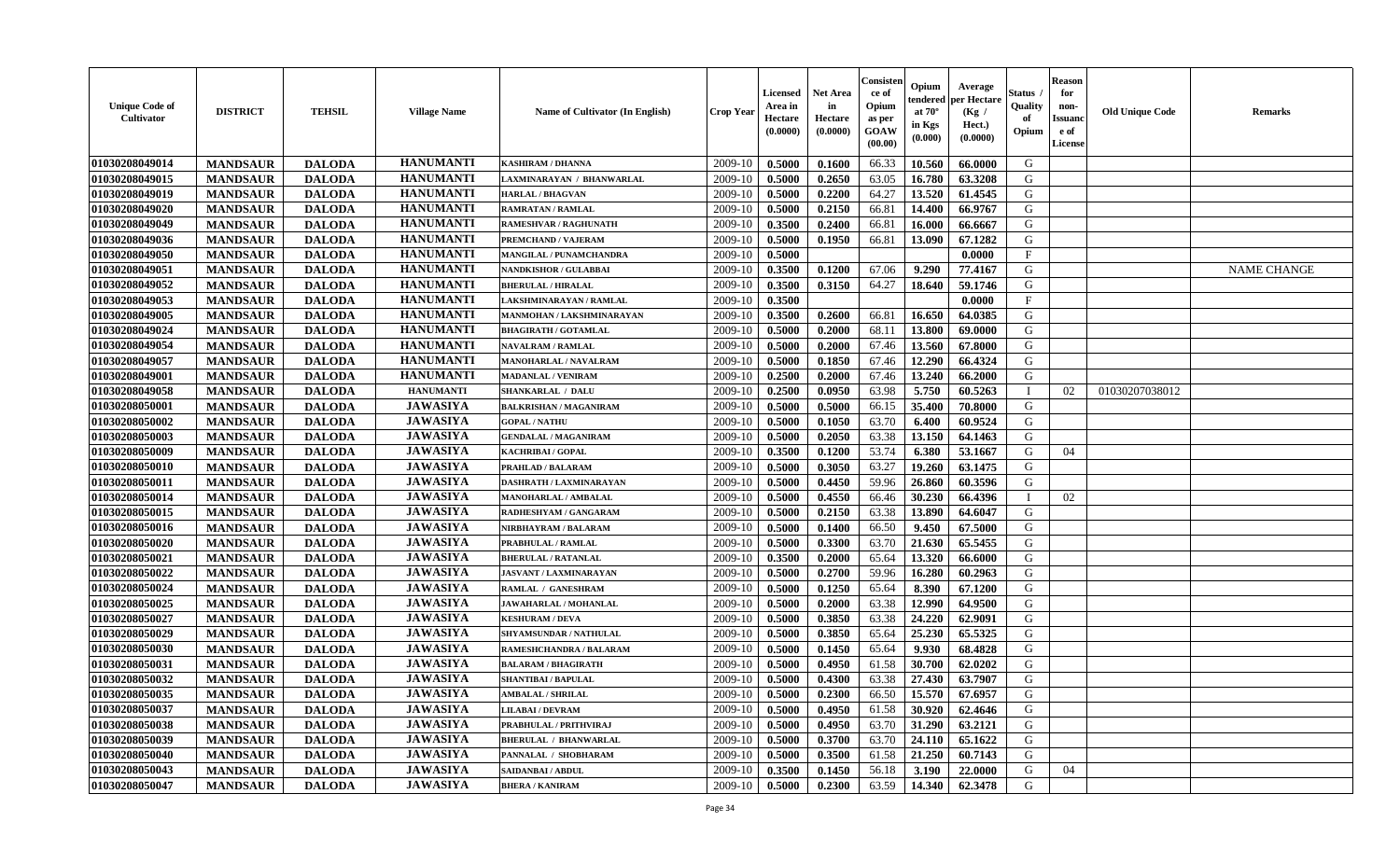| <b>Unique Code of</b><br>Cultivator | <b>DISTRICT</b> | <b>TEHSIL</b> | <b>Village Name</b> | Name of Cultivator (In English) | <b>Crop Year</b> | Licensed<br>Area in<br>Hectare<br>(0.0000) | <b>Net Area</b><br>in<br>Hectare<br>(0.0000) | Consisten<br>ce of<br>Opium<br>as per<br>GOAW<br>(00.00) | Opium<br>tendered<br>at $70^\circ$<br>in Kgs<br>(0.000) | Average<br>per Hectare<br>(Kg /<br>Hect.)<br>(0.0000) | Status<br><b>Quality</b><br>of<br>Opium | Reason<br>for<br>non-<br>Issuanc<br>e of<br>License | <b>Old Unique Code</b> | <b>Remarks</b>     |
|-------------------------------------|-----------------|---------------|---------------------|---------------------------------|------------------|--------------------------------------------|----------------------------------------------|----------------------------------------------------------|---------------------------------------------------------|-------------------------------------------------------|-----------------------------------------|-----------------------------------------------------|------------------------|--------------------|
| 01030208049014                      | <b>MANDSAUR</b> | <b>DALODA</b> | <b>HANUMANTI</b>    | <b>KASHIRAM / DHANNA</b>        | 2009-10          | 0.5000                                     | 0.1600                                       | 66.33                                                    | 10.560                                                  | 66.0000                                               | G                                       |                                                     |                        |                    |
| 01030208049015                      | <b>MANDSAUR</b> | <b>DALODA</b> | <b>HANUMANTI</b>    | LAXMINARAYAN / BHANWARLAL       | 2009-10          | 0.5000                                     | 0.2650                                       | 63.05                                                    | 16.780                                                  | 63.3208                                               | G                                       |                                                     |                        |                    |
| 01030208049019                      | <b>MANDSAUR</b> | <b>DALODA</b> | <b>HANUMANTI</b>    | <b>HARLAL / BHAGVAN</b>         | 2009-10          | 0.5000                                     | 0.2200                                       | 64.27                                                    | 13.520                                                  | 61.4545                                               | G                                       |                                                     |                        |                    |
| 01030208049020                      | <b>MANDSAUR</b> | <b>DALODA</b> | <b>HANUMANTI</b>    | <b>RAMRATAN / RAMLAL</b>        | 2009-10          | 0.5000                                     | 0.2150                                       | 66.81                                                    | 14.400                                                  | 66.9767                                               | G                                       |                                                     |                        |                    |
| 01030208049049                      | <b>MANDSAUR</b> | <b>DALODA</b> | <b>HANUMANTI</b>    | <b>RAMESHVAR / RAGHUNATH</b>    | 2009-10          | 0.3500                                     | 0.2400                                       | 66.81                                                    | 16.000                                                  | 66.6667                                               | G                                       |                                                     |                        |                    |
| 01030208049036                      | <b>MANDSAUR</b> | <b>DALODA</b> | <b>HANUMANTI</b>    | <b>PREMCHAND / VAJERAM</b>      | 2009-10          | 0.5000                                     | 0.1950                                       | 66.81                                                    | 13.090                                                  | 67.1282                                               | G                                       |                                                     |                        |                    |
| 01030208049050                      | <b>MANDSAUR</b> | <b>DALODA</b> | <b>HANUMANTI</b>    | <b>MANGILAL / PUNAMCHANDRA</b>  | 2009-10          | 0.5000                                     |                                              |                                                          |                                                         | 0.0000                                                | $\mathbf{F}$                            |                                                     |                        |                    |
| 01030208049051                      | <b>MANDSAUR</b> | <b>DALODA</b> | <b>HANUMANTI</b>    | <b>NANDKISHOR / GULABBAI</b>    | 2009-10          | 0.3500                                     | 0.1200                                       | 67.06                                                    | 9.290                                                   | 77.4167                                               | G                                       |                                                     |                        | <b>NAME CHANGE</b> |
| 01030208049052                      | <b>MANDSAUR</b> | <b>DALODA</b> | <b>HANUMANTI</b>    | <b>BHERULAL / HIRALAL</b>       | 2009-10          | 0.3500                                     | 0.3150                                       | 64.27                                                    | 18.640                                                  | 59.1746                                               | G                                       |                                                     |                        |                    |
| 01030208049053                      | <b>MANDSAUR</b> | <b>DALODA</b> | <b>HANUMANTI</b>    | LAKSHMINARAYAN / RAMLAL         | 2009-10          | 0.3500                                     |                                              |                                                          |                                                         | 0.0000                                                | $\mathbf{F}$                            |                                                     |                        |                    |
| 01030208049005                      | <b>MANDSAUR</b> | <b>DALODA</b> | <b>HANUMANTI</b>    | MANMOHAN / LAKSHMINARAYAN       | 2009-10          | 0.3500                                     | 0.2600                                       | 66.81                                                    | 16.650                                                  | 64.0385                                               | G                                       |                                                     |                        |                    |
| 01030208049024                      | <b>MANDSAUR</b> | <b>DALODA</b> | <b>HANUMANTI</b>    | <b>BHAGIRATH / GOTAMLAL</b>     | 2009-10          | 0.5000                                     | 0.2000                                       | 68.11                                                    | 13.800                                                  | 69.0000                                               | G                                       |                                                     |                        |                    |
| 01030208049054                      | <b>MANDSAUR</b> | <b>DALODA</b> | <b>HANUMANTI</b>    | <b>NAVALRAM / RAMLAL</b>        | 2009-10          | 0.5000                                     | 0.2000                                       | 67.46                                                    | 13.560                                                  | 67.8000                                               | G                                       |                                                     |                        |                    |
| 01030208049057                      | <b>MANDSAUR</b> | <b>DALODA</b> | <b>HANUMANTI</b>    | MANOHARLAL / NAVALRAM           | 2009-10          | 0.5000                                     | 0.1850                                       | 67.46                                                    | 12.290                                                  | 66.4324                                               | G                                       |                                                     |                        |                    |
| 01030208049001                      | <b>MANDSAUR</b> | <b>DALODA</b> | <b>HANUMANTI</b>    | <b>MADANLAL / VENIRAM</b>       | 2009-10          | 0.2500                                     | 0.2000                                       | 67.46                                                    | 13.240                                                  | 66.2000                                               | G                                       |                                                     |                        |                    |
| 01030208049058                      | <b>MANDSAUR</b> | <b>DALODA</b> | <b>HANUMANTI</b>    | <b>SHANKARLAL / DALU</b>        | 2009-10          | 0.2500                                     | 0.0950                                       | 63.98                                                    | 5.750                                                   | 60.5263                                               | $\mathbf I$                             | 02                                                  | 01030207038012         |                    |
| 01030208050001                      | <b>MANDSAUR</b> | <b>DALODA</b> | <b>JAWASIYA</b>     | <b>BALKRISHAN / MAGANIRAM</b>   | 2009-10          | 0.5000                                     | 0.5000                                       | 66.15                                                    | 35.400                                                  | 70.8000                                               | G                                       |                                                     |                        |                    |
| 01030208050002                      | <b>MANDSAUR</b> | <b>DALODA</b> | <b>JAWASIYA</b>     | <b>GOPAL / NATHU</b>            | 2009-10          | 0.5000                                     | 0.1050                                       | 63.70                                                    | 6.400                                                   | 60.9524                                               | G                                       |                                                     |                        |                    |
| 01030208050003                      | <b>MANDSAUR</b> | <b>DALODA</b> | <b>JAWASIYA</b>     | <b>GENDALAL / MAGANIRAM</b>     | 2009-10          | 0.5000                                     | 0.2050                                       | 63.38                                                    | 13.150                                                  | 64.1463                                               | G                                       |                                                     |                        |                    |
| 01030208050009                      | <b>MANDSAUR</b> | <b>DALODA</b> | <b>JAWASIYA</b>     | KACHRIBAI / GOPAL               | 2009-10          | 0.3500                                     | 0.1200                                       | 53.74                                                    | 6.380                                                   | 53.1667                                               | G                                       | 04                                                  |                        |                    |
| 01030208050010                      | <b>MANDSAUR</b> | <b>DALODA</b> | <b>JAWASIYA</b>     | PRAHLAD / BALARAM               | 2009-10          | 0.5000                                     | 0.3050                                       | 63.27                                                    | 19.260                                                  | 63.1475                                               | G                                       |                                                     |                        |                    |
| 01030208050011                      | <b>MANDSAUR</b> | <b>DALODA</b> | <b>JAWASIYA</b>     | DASHRATH / LAXMINARAYAN         | 2009-10          | 0.5000                                     | 0.4450                                       | 59.96                                                    | 26.860                                                  | 60.3596                                               | G                                       |                                                     |                        |                    |
| 01030208050014                      | <b>MANDSAUR</b> | <b>DALODA</b> | <b>JAWASIYA</b>     | MANOHARLAL / AMBALAL            | 2009-10          | 0.5000                                     | 0.4550                                       | 66.46                                                    | 30.230                                                  | 66.4396                                               |                                         | 02                                                  |                        |                    |
| 01030208050015                      | <b>MANDSAUR</b> | <b>DALODA</b> | <b>JAWASIYA</b>     | RADHESHYAM / GANGARAM           | 2009-10          | 0.5000                                     | 0.2150                                       | 63.38                                                    | 13.890                                                  | 64.6047                                               | G                                       |                                                     |                        |                    |
| 01030208050016                      | <b>MANDSAUR</b> | <b>DALODA</b> | <b>JAWASIYA</b>     | NIRBHAYRAM / BALARAM            | 2009-10          | 0.5000                                     | 0.1400                                       | 66.50                                                    | 9.450                                                   | 67.5000                                               | G                                       |                                                     |                        |                    |
| 01030208050020                      | <b>MANDSAUR</b> | <b>DALODA</b> | <b>JAWASIYA</b>     | PRABHULAL / RAMLAL              | 2009-10          | 0.5000                                     | 0.3300                                       | 63.70                                                    | 21.630                                                  | 65.5455                                               | G                                       |                                                     |                        |                    |
| 01030208050021                      | <b>MANDSAUR</b> | <b>DALODA</b> | <b>JAWASIYA</b>     | <b>BHERULAL / RATANLAL</b>      | 2009-10          | 0.3500                                     | 0.2000                                       | 65.64                                                    | 13.320                                                  | 66.6000                                               | G                                       |                                                     |                        |                    |
| 01030208050022                      | <b>MANDSAUR</b> | <b>DALODA</b> | <b>JAWASIYA</b>     | <b>JASVANT / LAXMINARAYAN</b>   | 2009-10          | 0.5000                                     | 0.2700                                       | 59.96                                                    | 16.280                                                  | 60.2963                                               | G                                       |                                                     |                        |                    |
| 01030208050024                      | <b>MANDSAUR</b> | <b>DALODA</b> | <b>JAWASIYA</b>     | RAMLAL / GANESHRAM              | 2009-10          | 0.5000                                     | 0.1250                                       | 65.64                                                    | 8.390                                                   | 67.1200                                               | G                                       |                                                     |                        |                    |
| 01030208050025                      | <b>MANDSAUR</b> | <b>DALODA</b> | <b>JAWASIYA</b>     | JAWAHARLAL / MOHANLAL           | 2009-10          | 0.5000                                     | 0.2000                                       | 63.38                                                    | 12.990                                                  | 64.9500                                               | G                                       |                                                     |                        |                    |
| 01030208050027                      | <b>MANDSAUR</b> | <b>DALODA</b> | <b>JAWASIYA</b>     | <b>KESHURAM / DEVA</b>          | 2009-10          | 0.5000                                     | 0.3850                                       | 63.38                                                    | 24.220                                                  | 62.9091                                               | G                                       |                                                     |                        |                    |
| 01030208050029                      | <b>MANDSAUR</b> | <b>DALODA</b> | <b>JAWASIYA</b>     | SHYAMSUNDAR / NATHULAL          | 2009-10          | 0.5000                                     | 0.3850                                       | 65.64                                                    | 25.230                                                  | 65.5325                                               | G                                       |                                                     |                        |                    |
| 01030208050030                      | <b>MANDSAUR</b> | <b>DALODA</b> | <b>JAWASIYA</b>     | RAMESHCHANDRA / BALARAM         | 2009-10          | 0.5000                                     | 0.1450                                       | 65.64                                                    | 9.930                                                   | 68.4828                                               | G                                       |                                                     |                        |                    |
| 01030208050031                      | <b>MANDSAUR</b> | <b>DALODA</b> | <b>JAWASIYA</b>     | <b>BALARAM / BHAGIRATH</b>      | 2009-10          | 0.5000                                     | 0.4950                                       | 61.58                                                    | 30.700                                                  | 62.0202                                               | G                                       |                                                     |                        |                    |
| 01030208050032                      | <b>MANDSAUR</b> | <b>DALODA</b> | <b>JAWASIYA</b>     | <b>SHANTIBAI / BAPULAL</b>      | 2009-10          | 0.5000                                     | 0.4300                                       | 63.38                                                    | 27.430                                                  | 63.7907                                               | G                                       |                                                     |                        |                    |
| 01030208050035                      | <b>MANDSAUR</b> | <b>DALODA</b> | <b>JAWASIYA</b>     | <b>AMBALAL / SHRILAL</b>        | 2009-10          | 0.5000                                     | 0.2300                                       | 66.50                                                    | 15.570                                                  | 67.6957                                               | G                                       |                                                     |                        |                    |
| 01030208050037                      | <b>MANDSAUR</b> | <b>DALODA</b> | <b>JAWASIYA</b>     | <b>LILABAI/DEVRAM</b>           | 2009-10          | 0.5000                                     | 0.4950                                       | 61.58                                                    | 30.920                                                  | 62.4646                                               | G                                       |                                                     |                        |                    |
| 01030208050038                      | <b>MANDSAUR</b> | <b>DALODA</b> | <b>JAWASIYA</b>     | PRABHULAL / PRITHVIRAJ          | 2009-10          | 0.5000                                     | 0.4950                                       | 63.70                                                    | 31.290                                                  | 63.2121                                               | G                                       |                                                     |                        |                    |
| 01030208050039                      | <b>MANDSAUR</b> | <b>DALODA</b> | <b>JAWASIYA</b>     | <b>BHERULAL / BHANWARLAL</b>    | 2009-10          | 0.5000                                     | 0.3700                                       | 63.70                                                    | 24.110                                                  | 65.1622                                               | G                                       |                                                     |                        |                    |
| 01030208050040                      | <b>MANDSAUR</b> | <b>DALODA</b> | <b>JAWASIYA</b>     | PANNALAL / SHOBHARAM            | 2009-10          | 0.5000                                     | 0.3500                                       | 61.58                                                    | 21.250                                                  | 60.7143                                               | G                                       |                                                     |                        |                    |
| 01030208050043                      | <b>MANDSAUR</b> | <b>DALODA</b> | <b>JAWASIYA</b>     | SAIDANBAI / ABDUL               | 2009-10          | 0.3500                                     | 0.1450                                       | 56.18                                                    | 3.190                                                   | 22.0000                                               | G                                       | 04                                                  |                        |                    |
| 01030208050047                      | <b>MANDSAUR</b> | <b>DALODA</b> | <b>JAWASIYA</b>     | <b>BHERA / KANIRAM</b>          | 2009-10          | 0.5000                                     | 0.2300                                       | 63.59                                                    | 14.340                                                  | 62.3478                                               | G                                       |                                                     |                        |                    |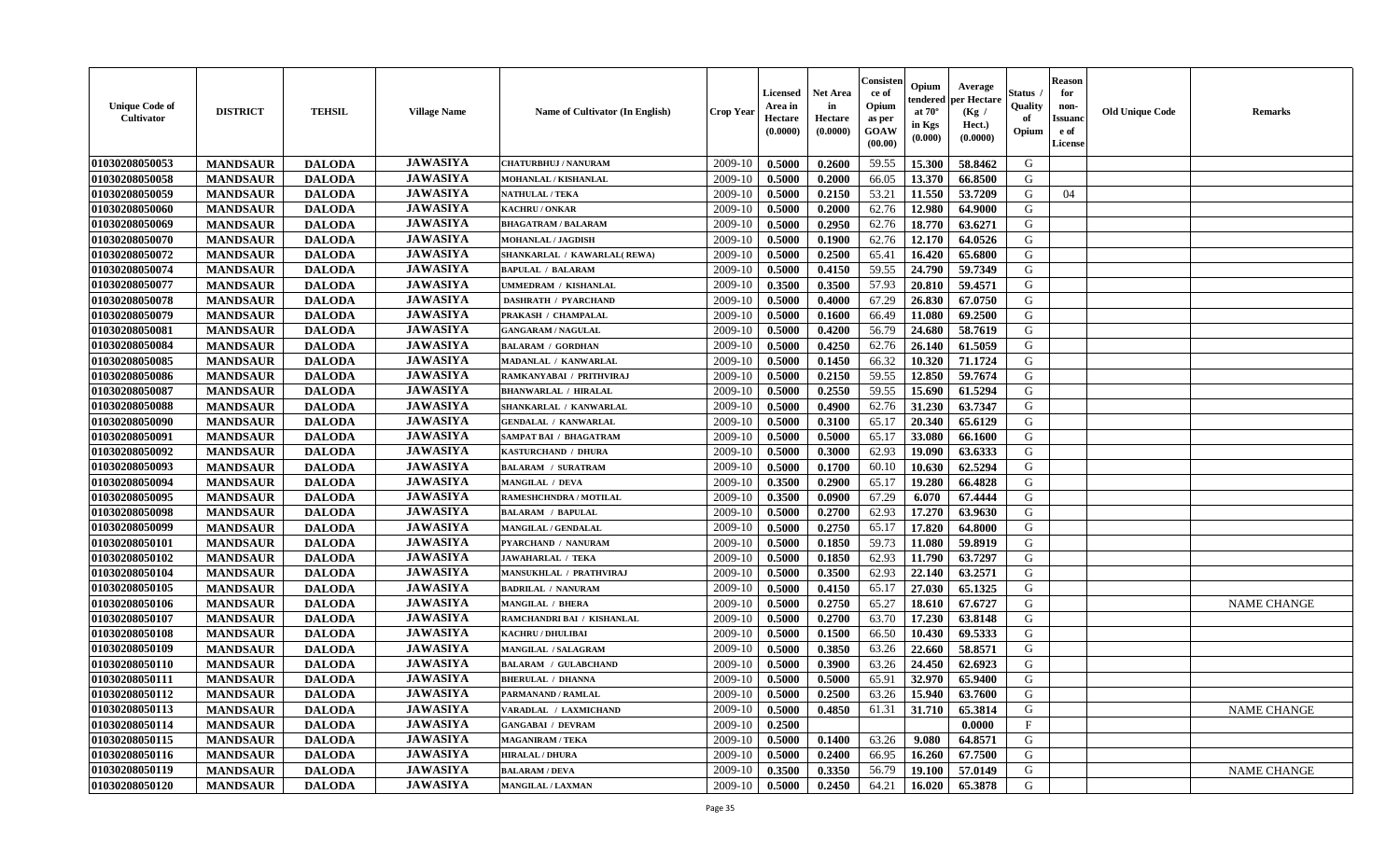| <b>Unique Code of</b><br>Cultivator | <b>DISTRICT</b> | <b>TEHSIL</b> | <b>Village Name</b> | <b>Name of Cultivator (In English)</b> | <b>Crop Year</b> | <b>Licensed</b><br>Area in<br>Hectare<br>(0.0000) | <b>Net Area</b><br>in<br>Hectare<br>(0.0000) | Consisten<br>ce of<br>Opium<br>as per<br><b>GOAW</b><br>(00.00) | Opium<br>endered<br>at $70^\circ$<br>in Kgs<br>(0.000) | Average<br>per Hectare<br>(Kg /<br>Hect.)<br>(0.0000) | <b>Status</b><br>Quality<br>of<br>Opium | <b>Reason</b><br>for<br>non-<br><b>Issuand</b><br>e of<br>License | <b>Old Unique Code</b> | <b>Remarks</b>     |
|-------------------------------------|-----------------|---------------|---------------------|----------------------------------------|------------------|---------------------------------------------------|----------------------------------------------|-----------------------------------------------------------------|--------------------------------------------------------|-------------------------------------------------------|-----------------------------------------|-------------------------------------------------------------------|------------------------|--------------------|
| 01030208050053                      | <b>MANDSAUR</b> | <b>DALODA</b> | <b>JAWASIYA</b>     | <b>CHATURBHUJ / NANURAM</b>            | 2009-10          | 0.5000                                            | 0.2600                                       | 59.55                                                           | 15.300                                                 | 58.8462                                               | G                                       |                                                                   |                        |                    |
| 01030208050058                      | <b>MANDSAUR</b> | <b>DALODA</b> | <b>JAWASIYA</b>     | MOHANLAL / KISHANLAL                   | 2009-10          | 0.5000                                            | 0.2000                                       | 66.05                                                           | 13.370                                                 | 66.8500                                               | G                                       |                                                                   |                        |                    |
| 01030208050059                      | <b>MANDSAUR</b> | <b>DALODA</b> | <b>JAWASIYA</b>     | <b>NATHULAL / TEKA</b>                 | 2009-10          | 0.5000                                            | 0.2150                                       | 53.21                                                           | 11.550                                                 | 53.7209                                               | G                                       | 04                                                                |                        |                    |
| 01030208050060                      | <b>MANDSAUR</b> | <b>DALODA</b> | <b>JAWASIYA</b>     | <b>KACHRU / ONKAR</b>                  | 2009-10          | 0.5000                                            | 0.2000                                       | 62.76                                                           | 12.980                                                 | 64.9000                                               | G                                       |                                                                   |                        |                    |
| 01030208050069                      | <b>MANDSAUR</b> | <b>DALODA</b> | <b>JAWASIYA</b>     | <b>BHAGATRAM / BALARAM</b>             | 2009-10          | 0.5000                                            | 0.2950                                       | 62.76                                                           | 18.770                                                 | 63.6271                                               | G                                       |                                                                   |                        |                    |
| 01030208050070                      | <b>MANDSAUR</b> | <b>DALODA</b> | <b>JAWASIYA</b>     | <b>MOHANLAL / JAGDISH</b>              | 2009-10          | 0.5000                                            | 0.1900                                       | 62.76                                                           | 12.170                                                 | 64.0526                                               | G                                       |                                                                   |                        |                    |
| 01030208050072                      | <b>MANDSAUR</b> | <b>DALODA</b> | <b>JAWASIYA</b>     | SHANKARLAL / KAWARLAL (REWA)           | 2009-10          | 0.5000                                            | 0.2500                                       | 65.41                                                           | 16.420                                                 | 65.6800                                               | G                                       |                                                                   |                        |                    |
| 01030208050074                      | <b>MANDSAUR</b> | <b>DALODA</b> | <b>JAWASIYA</b>     | <b>BAPULAL / BALARAM</b>               | 2009-10          | 0.5000                                            | 0.4150                                       | 59.55                                                           | 24.790                                                 | 59.7349                                               | G                                       |                                                                   |                        |                    |
| 01030208050077                      | <b>MANDSAUR</b> | <b>DALODA</b> | <b>JAWASIYA</b>     | UMMEDRAM / KISHANLAL                   | 2009-10          | 0.3500                                            | 0.3500                                       | 57.93                                                           | 20.810                                                 | 59.4571                                               | G                                       |                                                                   |                        |                    |
| 01030208050078                      | <b>MANDSAUR</b> | <b>DALODA</b> | <b>JAWASIYA</b>     | <b>DASHRATH / PYARCHAND</b>            | 2009-10          | 0.5000                                            | 0.4000                                       | 67.29                                                           | 26.830                                                 | 67.0750                                               | G                                       |                                                                   |                        |                    |
| 01030208050079                      | <b>MANDSAUR</b> | <b>DALODA</b> | <b>JAWASIYA</b>     | PRAKASH / CHAMPALAL                    | 2009-10          | 0.5000                                            | 0.1600                                       | 66.49                                                           | 11.080                                                 | 69.2500                                               | G                                       |                                                                   |                        |                    |
| 01030208050081                      | <b>MANDSAUR</b> | <b>DALODA</b> | <b>JAWASIYA</b>     | <b>GANGARAM / NAGULAL</b>              | 2009-10          | 0.5000                                            | 0.4200                                       | 56.79                                                           | 24.680                                                 | 58.7619                                               | G                                       |                                                                   |                        |                    |
| 01030208050084                      | <b>MANDSAUR</b> | <b>DALODA</b> | <b>JAWASIYA</b>     | <b>BALARAM / GORDHAN</b>               | 2009-10          | 0.5000                                            | 0.4250                                       | 62.76                                                           | 26.140                                                 | 61.5059                                               | G                                       |                                                                   |                        |                    |
| 01030208050085                      | <b>MANDSAUR</b> | <b>DALODA</b> | <b>JAWASIYA</b>     | MADANLAL / KANWARLAI                   | 2009-10          | 0.5000                                            | 0.1450                                       | 66.32                                                           | 10.320                                                 | 71.1724                                               | G                                       |                                                                   |                        |                    |
| 01030208050086                      | <b>MANDSAUR</b> | <b>DALODA</b> | <b>JAWASIYA</b>     | RAMKANYABAI / PRITHVIRAJ               | 2009-10          | 0.5000                                            | 0.2150                                       | 59.55                                                           | 12.850                                                 | 59.7674                                               | G                                       |                                                                   |                        |                    |
| 01030208050087                      | <b>MANDSAUR</b> | <b>DALODA</b> | <b>JAWASIYA</b>     | <b>BHANWARLAL / HIRALAL</b>            | 2009-10          | 0.5000                                            | 0.2550                                       | 59.55                                                           | 15.690                                                 | 61.5294                                               | G                                       |                                                                   |                        |                    |
| 01030208050088                      | <b>MANDSAUR</b> | <b>DALODA</b> | <b>JAWASIYA</b>     | SHANKARLAL / KANWARLAL                 | 2009-10          | 0.5000                                            | 0.4900                                       | 62.76                                                           | 31.230                                                 | 63.7347                                               | G                                       |                                                                   |                        |                    |
| 01030208050090                      | <b>MANDSAUR</b> | <b>DALODA</b> | <b>JAWASIYA</b>     | <b>GENDALAL / KANWARLAL</b>            | 2009-10          | 0.5000                                            | 0.3100                                       | 65.17                                                           | 20.340                                                 | 65.6129                                               | G                                       |                                                                   |                        |                    |
| 01030208050091                      | <b>MANDSAUR</b> | <b>DALODA</b> | <b>JAWASIYA</b>     | <b>SAMPAT BAI / BHAGATRAM</b>          | 2009-10          | 0.5000                                            | 0.5000                                       | 65.17                                                           | 33.080                                                 | 66.1600                                               | G                                       |                                                                   |                        |                    |
| 01030208050092                      | <b>MANDSAUR</b> | <b>DALODA</b> | <b>JAWASIYA</b>     | KASTURCHAND / DHURA                    | 2009-10          | 0.5000                                            | 0.3000                                       | 62.93                                                           | 19.090                                                 | 63.6333                                               | G                                       |                                                                   |                        |                    |
| 01030208050093                      | <b>MANDSAUR</b> | <b>DALODA</b> | <b>JAWASIYA</b>     | <b>BALARAM / SURATRAM</b>              | 2009-10          | 0.5000                                            | 0.1700                                       | 60.10                                                           | 10.630                                                 | 62.5294                                               | G                                       |                                                                   |                        |                    |
| 01030208050094                      | <b>MANDSAUR</b> | <b>DALODA</b> | <b>JAWASIYA</b>     | <b>MANGILAL / DEVA</b>                 | 2009-10          | 0.3500                                            | 0.2900                                       | 65.17                                                           | 19.280                                                 | 66.4828                                               | G                                       |                                                                   |                        |                    |
| 01030208050095                      | <b>MANDSAUR</b> | <b>DALODA</b> | <b>JAWASIYA</b>     | RAMESHCHNDRA / MOTILAL                 | 2009-10          | 0.3500                                            | 0.0900                                       | 67.29                                                           | 6.070                                                  | 67.4444                                               | G                                       |                                                                   |                        |                    |
| 01030208050098                      | <b>MANDSAUR</b> | <b>DALODA</b> | <b>JAWASIYA</b>     | <b>BALARAM / BAPULAL</b>               | 2009-10          | 0.5000                                            | 0.2700                                       | 62.93                                                           | 17.270                                                 | 63.9630                                               | G                                       |                                                                   |                        |                    |
| 01030208050099                      | <b>MANDSAUR</b> | <b>DALODA</b> | <b>JAWASIYA</b>     | MANGILAL / GENDALAL                    | 2009-10          | 0.5000                                            | 0.2750                                       | 65.17                                                           | 17.820                                                 | 64.8000                                               | G                                       |                                                                   |                        |                    |
| 01030208050101                      | <b>MANDSAUR</b> | <b>DALODA</b> | <b>JAWASIYA</b>     | PYARCHAND / NANURAM                    | 2009-10          | 0.5000                                            | 0.1850                                       | 59.73                                                           | 11.080                                                 | 59.8919                                               | G                                       |                                                                   |                        |                    |
| 01030208050102                      | <b>MANDSAUR</b> | <b>DALODA</b> | <b>JAWASIYA</b>     | <b>JAWAHARLAL / TEKA</b>               | 2009-10          | 0.5000                                            | 0.1850                                       | 62.93                                                           | 11.790                                                 | 63.7297                                               | G                                       |                                                                   |                        |                    |
| 01030208050104                      | <b>MANDSAUR</b> | <b>DALODA</b> | <b>JAWASIYA</b>     | MANSUKHLAL / PRATHVIRAJ                | 2009-10          | 0.5000                                            | 0.3500                                       | 62.93                                                           | 22.140                                                 | 63.2571                                               | G                                       |                                                                   |                        |                    |
| 01030208050105                      | <b>MANDSAUR</b> | <b>DALODA</b> | <b>JAWASIYA</b>     | <b>BADRILAL / NANURAM</b>              | 2009-10          | 0.5000                                            | 0.4150                                       | 65.17                                                           | 27.030                                                 | 65.1325                                               | G                                       |                                                                   |                        |                    |
| 01030208050106                      | <b>MANDSAUR</b> | <b>DALODA</b> | <b>JAWASIYA</b>     | <b>MANGILAL / BHERA</b>                | 2009-10          | 0.5000                                            | 0.2750                                       | 65.27                                                           | 18.610                                                 | 67.6727                                               | G                                       |                                                                   |                        | <b>NAME CHANGE</b> |
| 01030208050107                      | <b>MANDSAUR</b> | <b>DALODA</b> | <b>JAWASIYA</b>     | RAMCHANDRI BAI / KISHANLAL             | 2009-10          | 0.5000                                            | 0.2700                                       | 63.70                                                           | 17.230                                                 | 63.8148                                               | G                                       |                                                                   |                        |                    |
| 01030208050108                      | <b>MANDSAUR</b> | <b>DALODA</b> | <b>JAWASIYA</b>     | <b>KACHRU / DHULIBAI</b>               | 2009-10          | 0.5000                                            | 0.1500                                       | 66.50                                                           | 10.430                                                 | 69.5333                                               | G                                       |                                                                   |                        |                    |
| 01030208050109                      | <b>MANDSAUR</b> | <b>DALODA</b> | <b>JAWASIYA</b>     | <b>MANGILAL / SALAGRAM</b>             | 2009-10          | 0.5000                                            | 0.3850                                       | 63.26                                                           | 22.660                                                 | 58.8571                                               | G                                       |                                                                   |                        |                    |
| 01030208050110                      | <b>MANDSAUR</b> | <b>DALODA</b> | <b>JAWASIYA</b>     | <b>BALARAM / GULABCHAND</b>            | 2009-10          | 0.5000                                            | 0.3900                                       | 63.26                                                           | 24.450                                                 | 62.6923                                               | G                                       |                                                                   |                        |                    |
| 01030208050111                      | <b>MANDSAUR</b> | <b>DALODA</b> | <b>JAWASIYA</b>     | <b>BHERULAL / DHANNA</b>               | 2009-10          | 0.5000                                            | 0.5000                                       | 65.91                                                           | 32.970                                                 | 65.9400                                               | G                                       |                                                                   |                        |                    |
| 01030208050112                      |                 |               | <b>JAWASIYA</b>     | PARMANAND / RAMLAL                     | 2009-10          | 0.5000                                            | 0.2500                                       | 63.26                                                           | 15.940                                                 | 63.7600                                               | G                                       |                                                                   |                        |                    |
| 01030208050113                      | <b>MANDSAUR</b> | <b>DALODA</b> | <b>JAWASIYA</b>     | VARADLAL / LAXMICHAND                  | 2009-10          |                                                   | 0.4850                                       |                                                                 |                                                        | 65.3814                                               | G                                       |                                                                   |                        | <b>NAME CHANGE</b> |
|                                     | <b>MANDSAUR</b> | <b>DALODA</b> | <b>JAWASIYA</b>     | <b>GANGABAI / DEVRAM</b>               | 2009-10          | 0.5000                                            |                                              | 61.31                                                           | 31.710                                                 | 0.0000                                                | $\mathbf{F}$                            |                                                                   |                        |                    |
| 01030208050114                      | <b>MANDSAUR</b> | <b>DALODA</b> | <b>JAWASIYA</b>     |                                        |                  | 0.2500                                            |                                              |                                                                 |                                                        |                                                       | G                                       |                                                                   |                        |                    |
| 01030208050115                      | <b>MANDSAUR</b> | <b>DALODA</b> | <b>JAWASIYA</b>     | <b>MAGANIRAM / TEKA</b>                | 2009-10          | 0.5000                                            | 0.1400                                       | 63.26                                                           | 9.080                                                  | 64.8571                                               |                                         |                                                                   |                        |                    |
| 01030208050116                      | <b>MANDSAUR</b> | <b>DALODA</b> |                     | <b>HIRALAL / DHURA</b>                 | 2009-10          | 0.5000                                            | 0.2400                                       | 66.95                                                           | 16.260                                                 | 67.7500                                               | G                                       |                                                                   |                        |                    |
| 01030208050119                      | <b>MANDSAUR</b> | <b>DALODA</b> | <b>JAWASIYA</b>     | <b>BALARAM / DEVA</b>                  | 2009-10          | 0.3500                                            | 0.3350                                       | 56.79                                                           | 19.100                                                 | 57.0149                                               | G                                       |                                                                   |                        | <b>NAME CHANGE</b> |
| 01030208050120                      | <b>MANDSAUR</b> | <b>DALODA</b> | <b>JAWASIYA</b>     | <b>MANGILAL / LAXMAN</b>               | 2009-10          | 0.5000                                            | 0.2450                                       | 64.21                                                           | 16.020                                                 | 65.3878                                               | G                                       |                                                                   |                        |                    |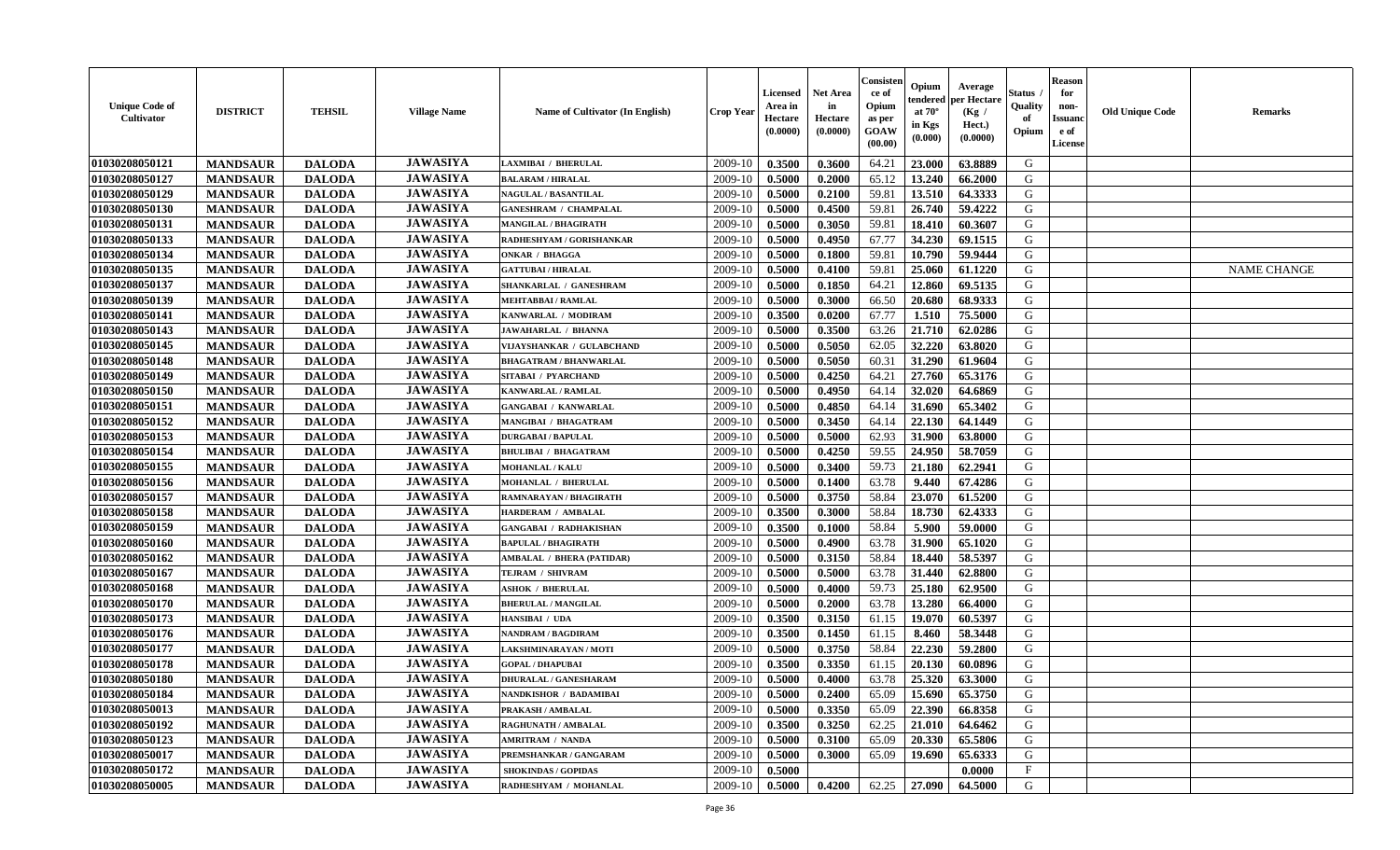| <b>Unique Code of</b><br>Cultivator | <b>DISTRICT</b> | <b>TEHSIL</b> | <b>Village Name</b> | Name of Cultivator (In English) | <b>Crop Year</b> | <b>Licensed</b><br>Area in<br>Hectare<br>(0.0000) | <b>Net Area</b><br>in<br>Hectare<br>(0.0000) | Consisteı<br>ce of<br>Opium<br>as per<br><b>GOAW</b><br>(00.00) | Opium<br>endered<br>at $70^\circ$<br>in Kgs<br>(0.000) | Average<br>oer Hectare<br>(Kg /<br>Hect.)<br>(0.0000) | Status<br>Quality<br>of<br>Opium | <b>Reason</b><br>for<br>non-<br><b>Issuano</b><br>e of<br>License | <b>Old Unique Code</b> | <b>Remarks</b>     |
|-------------------------------------|-----------------|---------------|---------------------|---------------------------------|------------------|---------------------------------------------------|----------------------------------------------|-----------------------------------------------------------------|--------------------------------------------------------|-------------------------------------------------------|----------------------------------|-------------------------------------------------------------------|------------------------|--------------------|
| 01030208050121                      | <b>MANDSAUR</b> | <b>DALODA</b> | <b>JAWASIYA</b>     | LAXMIBAI / BHERULAL             | 2009-10          | 0.3500                                            | 0.3600                                       | 64.21                                                           | 23.000                                                 | 63.8889                                               | G                                |                                                                   |                        |                    |
| 01030208050127                      | <b>MANDSAUR</b> | <b>DALODA</b> | <b>JAWASIYA</b>     | <b>BALARAM / HIRALAL</b>        | 2009-10          | 0.5000                                            | 0.2000                                       | 65.12                                                           | 13.240                                                 | 66.2000                                               | G                                |                                                                   |                        |                    |
| 01030208050129                      | <b>MANDSAUR</b> | <b>DALODA</b> | <b>JAWASIYA</b>     | <b>NAGULAL / BASANTILAL</b>     | 2009-10          | 0.5000                                            | 0.2100                                       | 59.81                                                           | 13.510                                                 | 64.3333                                               | G                                |                                                                   |                        |                    |
| 01030208050130                      | <b>MANDSAUR</b> | <b>DALODA</b> | <b>JAWASIYA</b>     | <b>GANESHRAM / CHAMPALAL</b>    | 2009-10          | 0.5000                                            | 0.4500                                       | 59.81                                                           | 26.740                                                 | 59.4222                                               | G                                |                                                                   |                        |                    |
| 01030208050131                      | <b>MANDSAUR</b> | <b>DALODA</b> | <b>JAWASIYA</b>     | <b>MANGILAL / BHAGIRATH</b>     | 2009-10          | 0.5000                                            | 0.3050                                       | 59.81                                                           | 18.410                                                 | 60.3607                                               | G                                |                                                                   |                        |                    |
| 01030208050133                      | <b>MANDSAUR</b> | <b>DALODA</b> | <b>JAWASIYA</b>     | RADHESHYAM / GORISHANKAR        | 2009-10          | 0.5000                                            | 0.4950                                       | 67.77                                                           | 34.230                                                 | 69.1515                                               | G                                |                                                                   |                        |                    |
| 01030208050134                      | <b>MANDSAUR</b> | <b>DALODA</b> | <b>JAWASIYA</b>     | <b>ONKAR / BHAGGA</b>           | 2009-10          | 0.5000                                            | 0.1800                                       | 59.81                                                           | 10.790                                                 | 59.9444                                               | $\mathbf G$                      |                                                                   |                        |                    |
| 01030208050135                      | <b>MANDSAUR</b> | <b>DALODA</b> | <b>JAWASIYA</b>     | <b>GATTUBAI/HIRALAL</b>         | 2009-10          | 0.5000                                            | 0.4100                                       | 59.81                                                           | 25.060                                                 | 61.1220                                               | G                                |                                                                   |                        | <b>NAME CHANGE</b> |
| 01030208050137                      | <b>MANDSAUR</b> | <b>DALODA</b> | <b>JAWASIYA</b>     | SHANKARLAL / GANESHRAM          | 2009-10          | 0.5000                                            | 0.1850                                       | 64.21                                                           | 12.860                                                 | 69.5135                                               | G                                |                                                                   |                        |                    |
| 01030208050139                      | <b>MANDSAUR</b> | <b>DALODA</b> | <b>JAWASIYA</b>     | <b>MEHTABBAI/RAMLAL</b>         | 2009-10          | 0.5000                                            | 0.3000                                       | 66.50                                                           | 20.680                                                 | 68.9333                                               | G                                |                                                                   |                        |                    |
| 01030208050141                      | <b>MANDSAUR</b> | <b>DALODA</b> | <b>JAWASIYA</b>     | KANWARLAL / MODIRAM             | 2009-10          | 0.3500                                            | 0.0200                                       | 67.77                                                           | 1.510                                                  | 75.5000                                               | G                                |                                                                   |                        |                    |
| 01030208050143                      | <b>MANDSAUR</b> | <b>DALODA</b> | <b>JAWASIYA</b>     | JAWAHARLAL / BHANNA             | 2009-10          | 0.5000                                            | 0.3500                                       | 63.26                                                           | 21.710                                                 | 62.0286                                               | G                                |                                                                   |                        |                    |
| 01030208050145                      | <b>MANDSAUR</b> | <b>DALODA</b> | <b>JAWASIYA</b>     | VIJAYSHANKAR / GULABCHAND       | 2009-10          | 0.5000                                            | 0.5050                                       | 62.05                                                           | 32.220                                                 | 63.8020                                               | G                                |                                                                   |                        |                    |
| 01030208050148                      | <b>MANDSAUR</b> | <b>DALODA</b> | <b>JAWASIYA</b>     | <b>BHAGATRAM / BHANWARLAL</b>   | 2009-10          | 0.5000                                            | 0.5050                                       | 60.31                                                           | 31.290                                                 | 61.9604                                               | G                                |                                                                   |                        |                    |
| 01030208050149                      | <b>MANDSAUR</b> | <b>DALODA</b> | <b>JAWASIYA</b>     | SITABAI / PYARCHAND             | 2009-10          | 0.5000                                            | 0.4250                                       | 64.21                                                           | 27.760                                                 | 65.3176                                               | ${\bf G}$                        |                                                                   |                        |                    |
| 01030208050150                      | <b>MANDSAUR</b> | <b>DALODA</b> | <b>JAWASIYA</b>     | <b>KANWARLAL / RAMLAL</b>       | 2009-10          | 0.5000                                            | 0.4950                                       | 64.14                                                           | 32.020                                                 | 64.6869                                               | G                                |                                                                   |                        |                    |
| 01030208050151                      | <b>MANDSAUR</b> | <b>DALODA</b> | <b>JAWASIYA</b>     | <b>GANGABAI / KANWARLAL</b>     | 2009-10          | 0.5000                                            | 0.4850                                       | 64.14                                                           | 31.690                                                 | 65.3402                                               | G                                |                                                                   |                        |                    |
| 01030208050152                      | <b>MANDSAUR</b> | <b>DALODA</b> | <b>JAWASIYA</b>     | MANGIBAI / BHAGATRAM            | 2009-10          | 0.5000                                            | 0.3450                                       | 64.14                                                           | 22.130                                                 | 64.1449                                               | G                                |                                                                   |                        |                    |
| 01030208050153                      | <b>MANDSAUR</b> | <b>DALODA</b> | <b>JAWASIYA</b>     | <b>DURGABAI/BAPULAL</b>         | 2009-10          | 0.5000                                            | 0.5000                                       | 62.93                                                           | 31.900                                                 | 63.8000                                               | G                                |                                                                   |                        |                    |
| 01030208050154                      | <b>MANDSAUR</b> | <b>DALODA</b> | <b>JAWASIYA</b>     | <b>BHULIBAI / BHAGATRAM</b>     | 2009-10          | 0.5000                                            | 0.4250                                       | 59.55                                                           | 24.950                                                 | 58.7059                                               | G                                |                                                                   |                        |                    |
| 01030208050155                      | <b>MANDSAUR</b> | <b>DALODA</b> | <b>JAWASIYA</b>     | <b>MOHANLAL / KALU</b>          | 2009-10          | 0.5000                                            | 0.3400                                       | 59.73                                                           | 21.180                                                 | 62.2941                                               | G                                |                                                                   |                        |                    |
| 01030208050156                      | <b>MANDSAUR</b> | <b>DALODA</b> | <b>JAWASIYA</b>     | MOHANLAL / BHERULAL             | 2009-10          | 0.5000                                            | 0.1400                                       | 63.78                                                           | 9.440                                                  | 67.4286                                               | G                                |                                                                   |                        |                    |
| 01030208050157                      | <b>MANDSAUR</b> | <b>DALODA</b> | <b>JAWASIYA</b>     | RAMNARAYAN / BHAGIRATH          | 2009-10          | 0.5000                                            | 0.3750                                       | 58.84                                                           | 23.070                                                 | 61.5200                                               | ${\bf G}$                        |                                                                   |                        |                    |
| 01030208050158                      | <b>MANDSAUR</b> | <b>DALODA</b> | <b>JAWASIYA</b>     | <b>HARDERAM / AMBALAL</b>       | 2009-10          | 0.3500                                            | 0.3000                                       | 58.84                                                           | 18.730                                                 | 62.4333                                               | G                                |                                                                   |                        |                    |
| 01030208050159                      | <b>MANDSAUR</b> | <b>DALODA</b> | <b>JAWASIYA</b>     | <b>GANGABAI / RADHAKISHAN</b>   | 2009-10          | 0.3500                                            | 0.1000                                       | 58.84                                                           | 5.900                                                  | 59.0000                                               | G                                |                                                                   |                        |                    |
| 01030208050160                      | <b>MANDSAUR</b> | <b>DALODA</b> | <b>JAWASIYA</b>     | <b>BAPULAL / BHAGIRATH</b>      | 2009-10          | 0.5000                                            | 0.4900                                       | 63.78                                                           | 31.900                                                 | 65.1020                                               | G                                |                                                                   |                        |                    |
| 01030208050162                      | <b>MANDSAUR</b> | <b>DALODA</b> | <b>JAWASIYA</b>     | AMBALAL / BHERA (PATIDAR)       | 2009-10          | 0.5000                                            | 0.3150                                       | 58.84                                                           | 18.440                                                 | 58.5397                                               | G                                |                                                                   |                        |                    |
| 01030208050167                      | <b>MANDSAUR</b> | <b>DALODA</b> | <b>JAWASIYA</b>     | TEJRAM / SHIVRAM                | 2009-10          | 0.5000                                            | 0.5000                                       | 63.78                                                           | 31.440                                                 | 62.8800                                               | G                                |                                                                   |                        |                    |
| 01030208050168                      | <b>MANDSAUR</b> | <b>DALODA</b> | <b>JAWASIYA</b>     | <b>ASHOK / BHERULAL</b>         | 2009-10          | 0.5000                                            | 0.4000                                       | 59.73                                                           | 25.180                                                 | 62.9500                                               | G                                |                                                                   |                        |                    |
| 01030208050170                      | <b>MANDSAUR</b> | <b>DALODA</b> | <b>JAWASIYA</b>     | <b>BHERULAL / MANGILAL</b>      | 2009-10          | 0.5000                                            | 0.2000                                       | 63.78                                                           | 13.280                                                 | 66.4000                                               | G                                |                                                                   |                        |                    |
| 01030208050173                      | <b>MANDSAUR</b> | <b>DALODA</b> | <b>JAWASIYA</b>     | HANSIBAI / UDA                  | 2009-10          | 0.3500                                            | 0.3150                                       | 61.15                                                           | 19.070                                                 | 60.5397                                               | G                                |                                                                   |                        |                    |
| 01030208050176                      | <b>MANDSAUR</b> | <b>DALODA</b> | <b>JAWASIYA</b>     | NANDRAM / BAGDIRAM              | 2009-10          | 0.3500                                            | 0.1450                                       | 61.15                                                           | 8.460                                                  | 58.3448                                               | G                                |                                                                   |                        |                    |
| 01030208050177                      | <b>MANDSAUR</b> | <b>DALODA</b> | <b>JAWASIYA</b>     | LAKSHMINARAYAN / MOTI           | 2009-10          | 0.5000                                            | 0.3750                                       | 58.84                                                           | 22.230                                                 | 59.2800                                               | G                                |                                                                   |                        |                    |
| 01030208050178                      | <b>MANDSAUR</b> | <b>DALODA</b> | <b>JAWASIYA</b>     | <b>GOPAL / DHAPUBAI</b>         | 2009-10          | 0.3500                                            | 0.3350                                       | 61.15                                                           | 20.130                                                 | 60.0896                                               | G                                |                                                                   |                        |                    |
| 01030208050180                      | <b>MANDSAUR</b> | <b>DALODA</b> | <b>JAWASIYA</b>     | DHURALAL / GANESHARAM           | 2009-10          | 0.5000                                            | 0.4000                                       | 63.78                                                           | 25.320                                                 | 63.3000                                               | G                                |                                                                   |                        |                    |
| 01030208050184                      | <b>MANDSAUR</b> | <b>DALODA</b> | <b>JAWASIYA</b>     | NANDKISHOR / BADAMIBAI          | 2009-10          | 0.5000                                            | 0.2400                                       | 65.09                                                           | 15.690                                                 | 65.3750                                               | G                                |                                                                   |                        |                    |
| 01030208050013                      | <b>MANDSAUR</b> | <b>DALODA</b> | <b>JAWASIYA</b>     | PRAKASH / AMBALAL               | 2009-10          | 0.5000                                            | 0.3350                                       | 65.09                                                           | 22.390                                                 | 66.8358                                               | G                                |                                                                   |                        |                    |
| 01030208050192                      | <b>MANDSAUR</b> | <b>DALODA</b> | <b>JAWASIYA</b>     | RAGHUNATH / AMBALAL             | 2009-10          | 0.3500                                            | 0.3250                                       | 62.25                                                           | 21.010                                                 | 64.6462                                               | G                                |                                                                   |                        |                    |
| 01030208050123                      | <b>MANDSAUR</b> | <b>DALODA</b> | <b>JAWASIYA</b>     | <b>AMRITRAM / NANDA</b>         | 2009-10          | 0.5000                                            | 0.3100                                       | 65.09                                                           | 20.330                                                 | 65.5806                                               | $\mathbf G$                      |                                                                   |                        |                    |
| 01030208050017                      | <b>MANDSAUR</b> | <b>DALODA</b> | <b>JAWASIYA</b>     | PREMSHANKAR / GANGARAM          | 2009-10          | 0.5000                                            | 0.3000                                       | 65.09                                                           | 19.690                                                 | 65.6333                                               | G                                |                                                                   |                        |                    |
| 01030208050172                      | <b>MANDSAUR</b> | <b>DALODA</b> | <b>JAWASIYA</b>     | <b>SHOKINDAS / GOPIDAS</b>      | 2009-10          | 0.5000                                            |                                              |                                                                 |                                                        | 0.0000                                                | $_{\rm F}$                       |                                                                   |                        |                    |
| 01030208050005                      | <b>MANDSAUR</b> | <b>DALODA</b> | <b>JAWASIYA</b>     | RADHESHYAM / MOHANLAL           | 2009-10          | 0.5000                                            | 0.4200                                       | 62.25                                                           | 27.090                                                 | 64.5000                                               | G                                |                                                                   |                        |                    |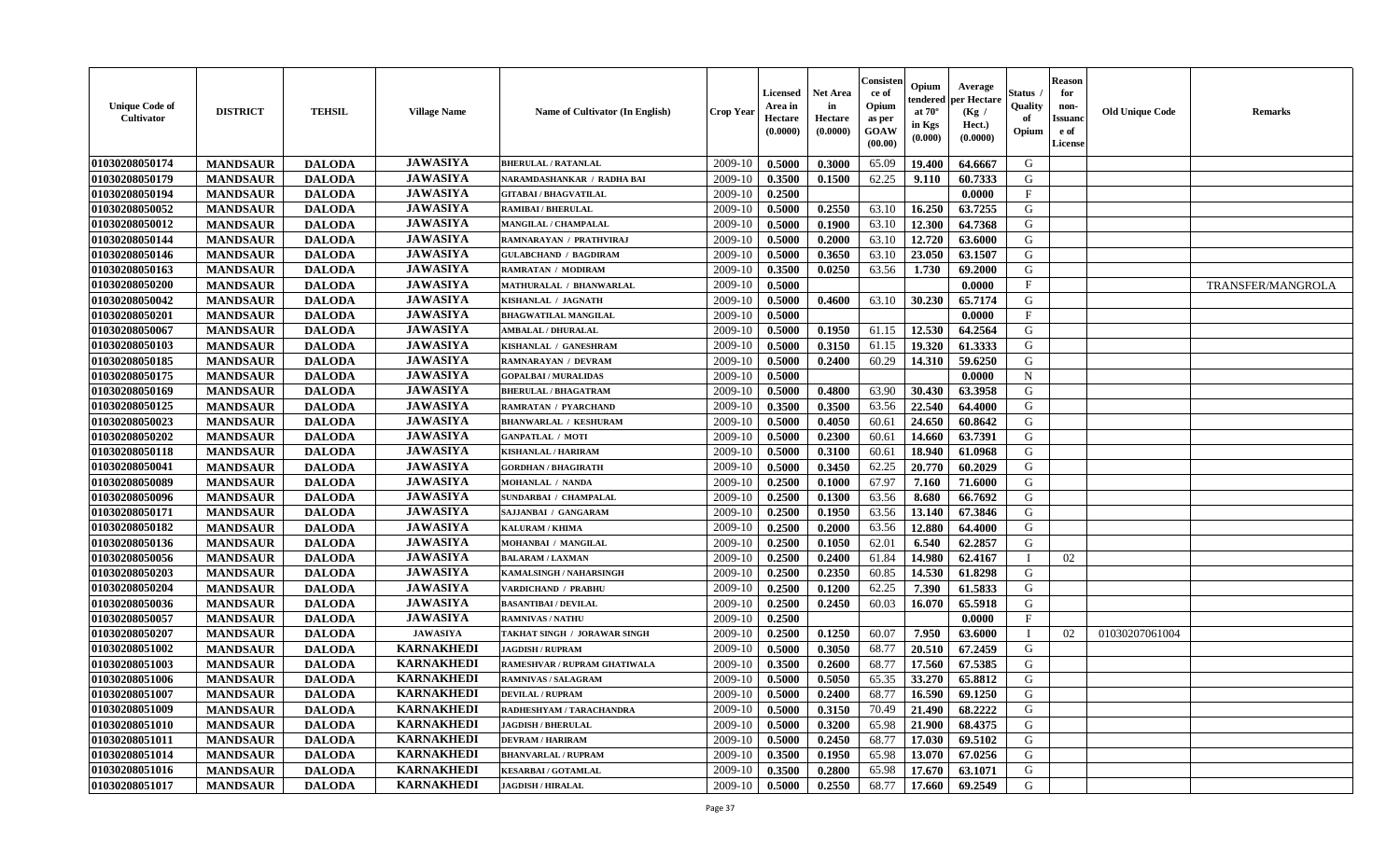| <b>Unique Code of</b><br><b>Cultivator</b> | <b>DISTRICT</b> | <b>TEHSIL</b> | <b>Village Name</b> | Name of Cultivator (In English) | <b>Crop Year</b> | Licensed<br>Area in<br>Hectare<br>(0.0000) | Net Area<br>in<br>Hectare<br>(0.0000) | Consisteı<br>ce of<br>Opium<br>as per<br>GOAW<br>(00.00) | Opium<br>endered<br>at $70^\circ$<br>in Kgs<br>(0.000) | Average<br>per Hectare<br>(Kg /<br>Hect.)<br>(0.0000) | Status<br>Quality<br>of<br>Opium | <b>Reason</b><br>for<br>non-<br>Issuano<br>e of<br>License | <b>Old Unique Code</b> | Remarks                  |
|--------------------------------------------|-----------------|---------------|---------------------|---------------------------------|------------------|--------------------------------------------|---------------------------------------|----------------------------------------------------------|--------------------------------------------------------|-------------------------------------------------------|----------------------------------|------------------------------------------------------------|------------------------|--------------------------|
| 01030208050174                             | <b>MANDSAUR</b> | <b>DALODA</b> | <b>JAWASIYA</b>     | <b>BHERULAL / RATANLAL</b>      | 2009-10          | 0.5000                                     | 0.3000                                | 65.09                                                    | 19.400                                                 | 64.6667                                               | G                                |                                                            |                        |                          |
| 01030208050179                             | <b>MANDSAUR</b> | <b>DALODA</b> | <b>JAWASIYA</b>     | NARAMDASHANKAR / RADHA BAI      | 2009-10          | 0.3500                                     | 0.1500                                | 62.25                                                    | 9.110                                                  | 60.7333                                               | G                                |                                                            |                        |                          |
| 01030208050194                             | <b>MANDSAUR</b> | <b>DALODA</b> | <b>JAWASIYA</b>     | <b>GITABAI/BHAGVATILAL</b>      | 2009-10          | 0.2500                                     |                                       |                                                          |                                                        | 0.0000                                                | $\mathbf{F}$                     |                                                            |                        |                          |
| 01030208050052                             | <b>MANDSAUR</b> | <b>DALODA</b> | <b>JAWASIYA</b>     | <b>RAMIBAI / BHERULAL</b>       | 2009-10          | 0.5000                                     | 0.2550                                | 63.10                                                    | 16.250                                                 | 63.7255                                               | G                                |                                                            |                        |                          |
| 01030208050012                             | <b>MANDSAUR</b> | <b>DALODA</b> | <b>JAWASIYA</b>     | <b>MANGILAL / CHAMPALAL</b>     | 2009-10          | 0.5000                                     | 0.1900                                | 63.10                                                    | 12.300                                                 | 64.7368                                               | G                                |                                                            |                        |                          |
| 01030208050144                             | <b>MANDSAUR</b> | <b>DALODA</b> | <b>JAWASIYA</b>     | RAMNARAYAN / PRATHVIRAJ         | 2009-10          | 0.5000                                     | 0.2000                                | 63.10                                                    | 12.720                                                 | 63.6000                                               | G                                |                                                            |                        |                          |
| 01030208050146                             | <b>MANDSAUR</b> | <b>DALODA</b> | <b>JAWASIYA</b>     | <b>GULABCHAND / BAGDIRAM</b>    | 2009-10          | 0.5000                                     | 0.3650                                | 63.10                                                    | 23.050                                                 | 63.1507                                               | G                                |                                                            |                        |                          |
| 01030208050163                             | <b>MANDSAUR</b> | <b>DALODA</b> | <b>JAWASIYA</b>     | RAMRATAN / MODIRAM              | 2009-10          | 0.3500                                     | 0.0250                                | 63.56                                                    | 1.730                                                  | 69.2000                                               | G                                |                                                            |                        |                          |
| 01030208050200                             | <b>MANDSAUR</b> | <b>DALODA</b> | <b>JAWASIYA</b>     | MATHURALAL / BHANWARLAL         | 2009-10          | 0.5000                                     |                                       |                                                          |                                                        | 0.0000                                                | $\mathbf{F}$                     |                                                            |                        | <b>TRANSFER/MANGROLA</b> |
| 01030208050042                             | <b>MANDSAUR</b> | <b>DALODA</b> | <b>JAWASIYA</b>     | KISHANLAL / JAGNATH             | 2009-10          | 0.5000                                     | 0.4600                                | 63.10                                                    | 30.230                                                 | 65.7174                                               | G                                |                                                            |                        |                          |
| 01030208050201                             | <b>MANDSAUR</b> | <b>DALODA</b> | <b>JAWASIYA</b>     | <b>BHAGWATILAL MANGILAL</b>     | 2009-10          | 0.5000                                     |                                       |                                                          |                                                        | 0.0000                                                | F                                |                                                            |                        |                          |
| 01030208050067                             | <b>MANDSAUR</b> | <b>DALODA</b> | <b>JAWASIYA</b>     | <b>AMBALAL / DHURALAL</b>       | 2009-10          | 0.5000                                     | 0.1950                                | 61.15                                                    | 12.530                                                 | 64.2564                                               | G                                |                                                            |                        |                          |
| 01030208050103                             | <b>MANDSAUR</b> | <b>DALODA</b> | <b>JAWASIYA</b>     | KISHANLAL / GANESHRAM           | 2009-10          | 0.5000                                     | 0.3150                                | 61.15                                                    | 19.320                                                 | 61.3333                                               | G                                |                                                            |                        |                          |
| 01030208050185                             | <b>MANDSAUR</b> | <b>DALODA</b> | <b>JAWASIYA</b>     | RAMNARAYAN / DEVRAM             | 2009-10          | 0.5000                                     | 0.2400                                | 60.29                                                    | 14.310                                                 | 59.6250                                               | G                                |                                                            |                        |                          |
| 01030208050175                             | <b>MANDSAUR</b> | <b>DALODA</b> | <b>JAWASIYA</b>     | <b>GOPALBAI/MURALIDAS</b>       | 2009-10          | 0.5000                                     |                                       |                                                          |                                                        | 0.0000                                                | N                                |                                                            |                        |                          |
| 01030208050169                             | <b>MANDSAUR</b> | <b>DALODA</b> | <b>JAWASIYA</b>     | <b>BHERULAL / BHAGATRAM</b>     | 2009-10          | 0.5000                                     | 0.4800                                | 63.90                                                    | 30.430                                                 | 63.3958                                               | G                                |                                                            |                        |                          |
| 01030208050125                             | <b>MANDSAUR</b> | <b>DALODA</b> | <b>JAWASIYA</b>     | <b>RAMRATAN / PYARCHAND</b>     | 2009-10          | 0.3500                                     | 0.3500                                | 63.56                                                    | 22.540                                                 | 64.4000                                               | G                                |                                                            |                        |                          |
| 01030208050023                             | <b>MANDSAUR</b> | <b>DALODA</b> | <b>JAWASIYA</b>     | <b>BHANWARLAL / KESHURAM</b>    | 2009-10          | 0.5000                                     | 0.4050                                | 60.61                                                    | 24.650                                                 | 60.8642                                               | G                                |                                                            |                        |                          |
| 01030208050202                             | <b>MANDSAUR</b> | <b>DALODA</b> | <b>JAWASIYA</b>     | <b>GANPATLAL / MOTI</b>         | 2009-10          | 0.5000                                     | 0.2300                                | 60.61                                                    | 14.660                                                 | 63.7391                                               | G                                |                                                            |                        |                          |
| 01030208050118                             | <b>MANDSAUR</b> | <b>DALODA</b> | <b>JAWASIYA</b>     | <b>KISHANLAL / HARIRAM</b>      | 2009-10          | 0.5000                                     | 0.3100                                | 60.61                                                    | 18.940                                                 | 61.0968                                               | G                                |                                                            |                        |                          |
| 01030208050041                             | <b>MANDSAUR</b> | <b>DALODA</b> | <b>JAWASIYA</b>     | <b>GORDHAN / BHAGIRATH</b>      | 2009-10          | 0.5000                                     | 0.3450                                | 62.25                                                    | 20.770                                                 | 60.2029                                               | G                                |                                                            |                        |                          |
| 01030208050089                             | <b>MANDSAUR</b> | <b>DALODA</b> | <b>JAWASIYA</b>     | <b>MOHANLAL / NANDA</b>         | 2009-10          | 0.2500                                     | 0.1000                                | 67.97                                                    | 7.160                                                  | 71.6000                                               | G                                |                                                            |                        |                          |
| 01030208050096                             | <b>MANDSAUR</b> | <b>DALODA</b> | <b>JAWASIYA</b>     | SUNDARBAI / CHAMPALAL           | 2009-10          | 0.2500                                     | 0.1300                                | 63.56                                                    | 8.680                                                  | 66.7692                                               | G                                |                                                            |                        |                          |
| 01030208050171                             | <b>MANDSAUR</b> | <b>DALODA</b> | <b>JAWASIYA</b>     | SAJJANBAI / GANGARAM            | 2009-10          | 0.2500                                     | 0.1950                                | 63.56                                                    | 13.140                                                 | 67.3846                                               | G                                |                                                            |                        |                          |
| 01030208050182                             | <b>MANDSAUR</b> | <b>DALODA</b> | <b>JAWASIYA</b>     | <b>KALURAM / KHIMA</b>          | 2009-10          | 0.2500                                     | 0.2000                                | 63.56                                                    | 12.880                                                 | 64.4000                                               | G                                |                                                            |                        |                          |
| 01030208050136                             | <b>MANDSAUR</b> | <b>DALODA</b> | <b>JAWASIYA</b>     | MOHANBAI / MANGILAL             | 2009-10          | 0.2500                                     | 0.1050                                | 62.01                                                    | 6.540                                                  | 62.2857                                               | G                                |                                                            |                        |                          |
| 01030208050056                             | <b>MANDSAUR</b> | <b>DALODA</b> | <b>JAWASIYA</b>     | <b>BALARAM / LAXMAN</b>         | 2009-10          | 0.2500                                     | 0.2400                                | 61.84                                                    | 14.980                                                 | 62.4167                                               | $\mathbf I$                      | 02                                                         |                        |                          |
| 01030208050203                             | <b>MANDSAUR</b> | <b>DALODA</b> | <b>JAWASIYA</b>     | KAMALSINGH / NAHARSINGH         | 2009-10          | 0.2500                                     | 0.2350                                | 60.85                                                    | 14.530                                                 | 61.8298                                               | G                                |                                                            |                        |                          |
| 01030208050204                             | <b>MANDSAUR</b> | <b>DALODA</b> | <b>JAWASIYA</b>     | VARDICHAND / PRABHU             | 2009-10          | 0.2500                                     | 0.1200                                | 62.25                                                    | 7.390                                                  | 61.5833                                               | G                                |                                                            |                        |                          |
| 01030208050036                             | <b>MANDSAUR</b> | <b>DALODA</b> | <b>JAWASIYA</b>     | <b>BASANTIBAI/DEVILAL</b>       | 2009-10          | 0.2500                                     | 0.2450                                | 60.03                                                    | 16.070                                                 | 65.5918                                               | G                                |                                                            |                        |                          |
| 01030208050057                             | <b>MANDSAUR</b> | <b>DALODA</b> | <b>JAWASIYA</b>     | <b>RAMNIVAS / NATHU</b>         | 2009-10          | 0.2500                                     |                                       |                                                          |                                                        | 0.0000                                                | $\mathbf{F}$                     |                                                            |                        |                          |
| 01030208050207                             | <b>MANDSAUR</b> | <b>DALODA</b> | <b>JAWASIYA</b>     | TAKHAT SINGH / JORAWAR SINGH    | 2009-10          | 0.2500                                     | 0.1250                                | 60.07                                                    | 7.950                                                  | 63.6000                                               |                                  | 02                                                         | 01030207061004         |                          |
| 01030208051002                             | <b>MANDSAUR</b> | <b>DALODA</b> | <b>KARNAKHEDI</b>   | <b>JAGDISH / RUPRAM</b>         | 2009-10          | 0.5000                                     | 0.3050                                | 68.77                                                    | 20.510                                                 | 67.2459                                               | G                                |                                                            |                        |                          |
| 01030208051003                             | <b>MANDSAUR</b> | <b>DALODA</b> | <b>KARNAKHEDI</b>   | RAMESHVAR / RUPRAM GHATIWALA    | 2009-10          | 0.3500                                     | 0.2600                                | 68.77                                                    | 17.560                                                 | 67.5385                                               | G                                |                                                            |                        |                          |
| 01030208051006                             | <b>MANDSAUR</b> | <b>DALODA</b> | <b>KARNAKHEDI</b>   | <b>RAMNIVAS / SALAGRAM</b>      | 2009-10          | 0.5000                                     | 0.5050                                | 65.35                                                    | 33.270                                                 | 65.8812                                               | G                                |                                                            |                        |                          |
| 01030208051007                             | <b>MANDSAUR</b> | <b>DALODA</b> | <b>KARNAKHEDI</b>   | <b>DEVILAL / RUPRAM</b>         | 2009-10          | 0.5000                                     | 0.2400                                | 68.77                                                    | 16.590                                                 | 69.1250                                               | G                                |                                                            |                        |                          |
| 01030208051009                             | <b>MANDSAUR</b> | <b>DALODA</b> | <b>KARNAKHEDI</b>   | RADHESHYAM / TARACHANDRA        | 2009-10          | 0.5000                                     | 0.3150                                | 70.49                                                    | 21.490                                                 | 68.2222                                               | G                                |                                                            |                        |                          |
| 01030208051010                             | <b>MANDSAUR</b> | <b>DALODA</b> | <b>KARNAKHEDI</b>   | <b>JAGDISH / BHERULAL</b>       | 2009-10          | 0.5000                                     | 0.3200                                | 65.98                                                    | 21.900                                                 | 68.4375                                               | G                                |                                                            |                        |                          |
| 01030208051011                             | <b>MANDSAUR</b> | <b>DALODA</b> | <b>KARNAKHEDI</b>   | <b>DEVRAM / HARIRAM</b>         | 2009-10          | 0.5000                                     | 0.2450                                | 68.77                                                    | 17.030                                                 | 69.5102                                               | G                                |                                                            |                        |                          |
| 01030208051014                             | <b>MANDSAUR</b> | <b>DALODA</b> | <b>KARNAKHEDI</b>   | <b>BHANVARLAL / RUPRAM</b>      | 2009-10          | 0.3500                                     | 0.1950                                | 65.98                                                    | 13.070                                                 | 67.0256                                               | ${\bf G}$                        |                                                            |                        |                          |
| 01030208051016                             | <b>MANDSAUR</b> | <b>DALODA</b> | <b>KARNAKHEDI</b>   | <b>KESARBAI/GOTAMLAL</b>        | 2009-10          | 0.3500                                     | 0.2800                                | 65.98                                                    | 17.670                                                 | 63.1071                                               | G                                |                                                            |                        |                          |
| 01030208051017                             | <b>MANDSAUR</b> | <b>DALODA</b> | <b>KARNAKHEDI</b>   | <b>JAGDISH / HIRALAL</b>        | 2009-10          | 0.5000                                     | 0.2550                                | 68.77                                                    | 17.660                                                 | 69.2549                                               | G                                |                                                            |                        |                          |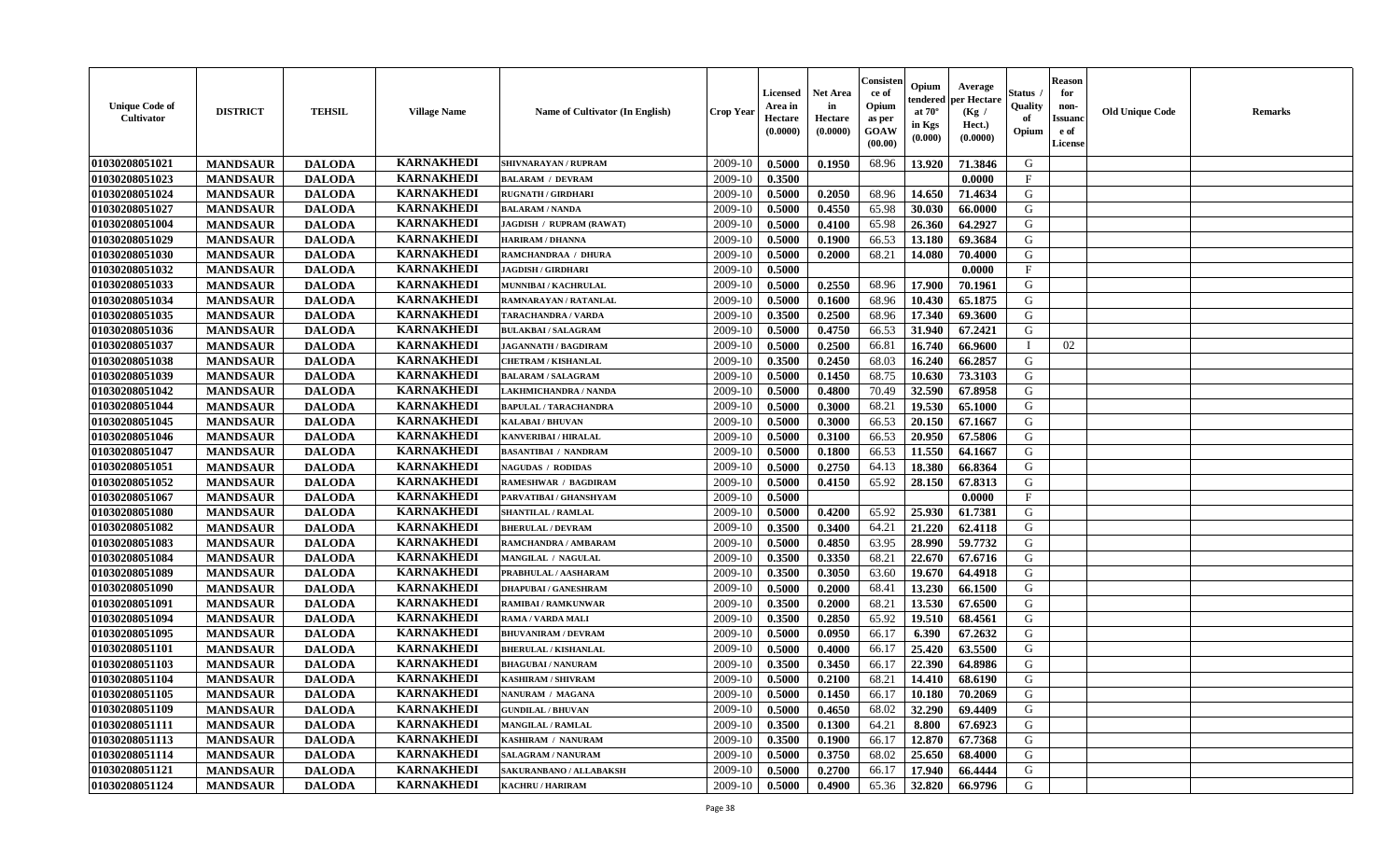| <b>Unique Code of</b><br><b>Cultivator</b> | <b>DISTRICT</b> | <b>TEHSIL</b> | <b>Village Name</b>                    | Name of Cultivator (In English)                        | <b>Crop Year</b> | <b>Licensed</b><br>Area in<br>Hectare<br>(0.0000) | <b>Net Area</b><br>in<br>Hectare<br>(0.0000) | Consister<br>ce of<br>Opium<br>as per<br><b>GOAW</b><br>(00.00) | Opium<br>endered<br>at $70^\circ$<br>in Kgs<br>(0.000) | Average<br>per Hectare<br>(Kg /<br>Hect.)<br>(0.0000) | Status<br>Quality<br>of<br>Opium | <b>Reason</b><br>for<br>non-<br><b>Issuand</b><br>e of<br><b>License</b> | <b>Old Unique Code</b> | <b>Remarks</b> |
|--------------------------------------------|-----------------|---------------|----------------------------------------|--------------------------------------------------------|------------------|---------------------------------------------------|----------------------------------------------|-----------------------------------------------------------------|--------------------------------------------------------|-------------------------------------------------------|----------------------------------|--------------------------------------------------------------------------|------------------------|----------------|
| 01030208051021                             | <b>MANDSAUR</b> | <b>DALODA</b> | <b>KARNAKHEDI</b>                      | <b>SHIVNARAYAN / RUPRAM</b>                            | 2009-10          | 0.5000                                            | 0.1950                                       | 68.96                                                           | 13.920                                                 | 71.3846                                               | G                                |                                                                          |                        |                |
| 01030208051023                             | <b>MANDSAUR</b> | <b>DALODA</b> | <b>KARNAKHEDI</b>                      | <b>BALARAM / DEVRAM</b>                                | 2009-10          | 0.3500                                            |                                              |                                                                 |                                                        | 0.0000                                                | $\mathbf{F}$                     |                                                                          |                        |                |
| 01030208051024                             | <b>MANDSAUR</b> | <b>DALODA</b> | <b>KARNAKHEDI</b>                      | <b>RUGNATH / GIRDHARI</b>                              | 2009-10          | 0.5000                                            | 0.2050                                       | 68.96                                                           | 14.650                                                 | 71.4634                                               | G                                |                                                                          |                        |                |
| 01030208051027                             | <b>MANDSAUR</b> | <b>DALODA</b> | <b>KARNAKHEDI</b>                      | <b>BALARAM / NANDA</b>                                 | 2009-10          | 0.5000                                            | 0.4550                                       | 65.98                                                           | 30.030                                                 | 66.0000                                               | G                                |                                                                          |                        |                |
| 01030208051004                             | <b>MANDSAUR</b> | <b>DALODA</b> | <b>KARNAKHEDI</b>                      | <b>JAGDISH / RUPRAM (RAWAT)</b>                        | 2009-10          | 0.5000                                            | 0.4100                                       | 65.98                                                           | 26.360                                                 | 64.2927                                               | G                                |                                                                          |                        |                |
| 01030208051029                             | <b>MANDSAUR</b> | <b>DALODA</b> | <b>KARNAKHEDI</b>                      | <b>HARIRAM / DHANNA</b>                                | 2009-10          | 0.5000                                            | 0.1900                                       | 66.53                                                           | 13.180                                                 | 69.3684                                               | G                                |                                                                          |                        |                |
| 01030208051030                             | <b>MANDSAUR</b> | <b>DALODA</b> | <b>KARNAKHEDI</b>                      | RAMCHANDRAA / DHURA                                    | 2009-10          | 0.5000                                            | 0.2000                                       | 68.21                                                           | 14.080                                                 | 70.4000                                               | ${\bf G}$                        |                                                                          |                        |                |
| 01030208051032                             | <b>MANDSAUR</b> | <b>DALODA</b> | <b>KARNAKHEDI</b>                      | <b>JAGDISH / GIRDHARI</b>                              | 2009-10          | 0.5000                                            |                                              |                                                                 |                                                        | 0.0000                                                | $\mathbf{F}$                     |                                                                          |                        |                |
| 01030208051033                             | <b>MANDSAUR</b> | <b>DALODA</b> | <b>KARNAKHEDI</b>                      | MUNNIBAI / KACHRULAL                                   | 2009-10          | 0.5000                                            | 0.2550                                       | 68.96                                                           | 17.900                                                 | 70.1961                                               | G                                |                                                                          |                        |                |
| 01030208051034                             | <b>MANDSAUR</b> | <b>DALODA</b> | <b>KARNAKHEDI</b>                      | RAMNARAYAN / RATANLAL                                  | 2009-10          | 0.5000                                            | 0.1600                                       | 68.96                                                           | 10.430                                                 | 65.1875                                               | G                                |                                                                          |                        |                |
| 01030208051035                             | <b>MANDSAUR</b> | <b>DALODA</b> | <b>KARNAKHEDI</b>                      | <b>TARACHANDRA / VARDA</b>                             | 2009-10          | 0.3500                                            | 0.2500                                       | 68.96                                                           | 17.340                                                 | 69.3600                                               | G                                |                                                                          |                        |                |
| 01030208051036                             | <b>MANDSAUR</b> | <b>DALODA</b> | <b>KARNAKHEDI</b>                      | <b>BULAKBAI/SALAGRAM</b>                               | 2009-10          | 0.5000                                            | 0.4750                                       | 66.53                                                           | 31.940                                                 | 67.2421                                               | G                                |                                                                          |                        |                |
| 01030208051037                             | <b>MANDSAUR</b> | <b>DALODA</b> | <b>KARNAKHEDI</b>                      | <b>JAGANNATH / BAGDIRAM</b>                            | 2009-10          | 0.5000                                            | 0.2500                                       | 66.81                                                           | 16.740                                                 | 66.9600                                               | $\mathbf I$                      | 02                                                                       |                        |                |
| 01030208051038                             | <b>MANDSAUR</b> | <b>DALODA</b> | <b>KARNAKHEDI</b>                      | <b>CHETRAM / KISHANLAL</b>                             | 2009-10          | 0.3500                                            | 0.2450                                       | 68.03                                                           | 16.240                                                 | 66.2857                                               | G                                |                                                                          |                        |                |
| 01030208051039                             | <b>MANDSAUR</b> | <b>DALODA</b> | <b>KARNAKHEDI</b>                      | <b>BALARAM / SALAGRAM</b>                              | 2009-10          | 0.5000                                            | 0.1450                                       | 68.75                                                           | 10.630                                                 | 73.3103                                               | ${\bf G}$                        |                                                                          |                        |                |
| 01030208051042                             | <b>MANDSAUR</b> | <b>DALODA</b> | <b>KARNAKHEDI</b>                      | LAKHMICHANDRA / NANDA                                  | 2009-10          | 0.5000                                            | 0.4800                                       | 70.49                                                           | 32.590                                                 | 67.8958                                               | G                                |                                                                          |                        |                |
| 01030208051044                             | <b>MANDSAUR</b> | <b>DALODA</b> | <b>KARNAKHEDI</b>                      | <b>BAPULAL / TARACHANDRA</b>                           | 2009-10          | 0.5000                                            | 0.3000                                       | 68.21                                                           | 19.530                                                 | 65.1000                                               | G                                |                                                                          |                        |                |
| 01030208051045                             | <b>MANDSAUR</b> | <b>DALODA</b> | <b>KARNAKHEDI</b>                      | <b>KALABAI/BHUVAN</b>                                  | 2009-10          | 0.5000                                            | 0.3000                                       | 66.53                                                           | 20.150                                                 | 67.1667                                               | G                                |                                                                          |                        |                |
| 01030208051046                             | <b>MANDSAUR</b> | <b>DALODA</b> | <b>KARNAKHEDI</b>                      | KANVERIBAI / HIRALAL                                   | 2009-10          | 0.5000                                            | 0.3100                                       | 66.53                                                           | 20.950                                                 | 67.5806                                               | G                                |                                                                          |                        |                |
| 01030208051047                             | <b>MANDSAUR</b> | <b>DALODA</b> | <b>KARNAKHEDI</b>                      | <b>BASANTIBAI / NANDRAM</b>                            | 2009-10          | 0.5000                                            | 0.1800                                       | 66.53                                                           | 11.550                                                 | 64.1667                                               | G                                |                                                                          |                        |                |
| 01030208051051                             | <b>MANDSAUR</b> | <b>DALODA</b> | <b>KARNAKHEDI</b>                      | <b>NAGUDAS / RODIDAS</b>                               | 2009-10          | 0.5000                                            | 0.2750                                       | 64.13                                                           | 18.380                                                 | 66.8364                                               | G                                |                                                                          |                        |                |
| 01030208051052                             | <b>MANDSAUR</b> | <b>DALODA</b> | <b>KARNAKHEDI</b>                      | <b>RAMESHWAR / BAGDIRAM</b>                            | 2009-10          | 0.5000                                            | 0.4150                                       | 65.92                                                           | 28.150                                                 | 67.8313                                               | G                                |                                                                          |                        |                |
| 01030208051067                             | <b>MANDSAUR</b> | <b>DALODA</b> | <b>KARNAKHEDI</b>                      | PARVATIBAI / GHANSHYAM                                 | 2009-10          | 0.5000                                            |                                              |                                                                 |                                                        | 0.0000                                                | $\mathbf F$                      |                                                                          |                        |                |
| 01030208051080                             | <b>MANDSAUR</b> | <b>DALODA</b> | <b>KARNAKHEDI</b>                      | <b>SHANTILAL / RAMLAL</b>                              | 2009-10          | 0.5000                                            | 0.4200                                       | 65.92                                                           | 25.930                                                 | 61.7381                                               | G                                |                                                                          |                        |                |
| 01030208051082                             | <b>MANDSAUR</b> | <b>DALODA</b> | <b>KARNAKHEDI</b>                      | <b>BHERULAL / DEVRAM</b>                               | 2009-10          | 0.3500                                            | 0.3400                                       | 64.21                                                           | 21.220                                                 | 62.4118                                               | G                                |                                                                          |                        |                |
| 01030208051083                             | <b>MANDSAUR</b> | <b>DALODA</b> | <b>KARNAKHEDI</b>                      | RAMCHANDRA / AMBARAM                                   | 2009-10          | 0.5000                                            | 0.4850                                       | 63.95                                                           | 28.990                                                 | 59.7732                                               | G                                |                                                                          |                        |                |
| 01030208051084                             | <b>MANDSAUR</b> | <b>DALODA</b> | <b>KARNAKHEDI</b>                      | MANGILAL / NAGULAL                                     | 2009-10          | 0.3500                                            | 0.3350                                       | 68.21                                                           | 22.670                                                 | 67.6716                                               | G                                |                                                                          |                        |                |
| 01030208051089                             | <b>MANDSAUR</b> | <b>DALODA</b> | <b>KARNAKHEDI</b>                      | PRABHULAL / AASHARAM                                   | 2009-10          | 0.3500                                            | 0.3050                                       | 63.60                                                           | 19.670                                                 | 64.4918                                               | G                                |                                                                          |                        |                |
| 01030208051090                             | <b>MANDSAUR</b> | <b>DALODA</b> | <b>KARNAKHEDI</b>                      | <b>DHAPUBAI/GANESHRAM</b>                              | 2009-10          | 0.5000                                            | 0.2000                                       | 68.41                                                           | 13.230                                                 | 66.1500                                               | G                                |                                                                          |                        |                |
| 01030208051091                             | <b>MANDSAUR</b> | <b>DALODA</b> | <b>KARNAKHEDI</b>                      | <b>RAMIBAI / RAMKUNWAR</b>                             | 2009-10          | 0.3500                                            | 0.2000                                       | 68.21                                                           | 13.530                                                 | 67.6500                                               | G                                |                                                                          |                        |                |
| 01030208051094                             | <b>MANDSAUR</b> | <b>DALODA</b> | <b>KARNAKHEDI</b>                      | RAMA / VARDA MALI                                      | 2009-10          | 0.3500                                            | 0.2850                                       | 65.92                                                           | 19.510                                                 | 68.4561                                               | $\mathbf G$                      |                                                                          |                        |                |
| 01030208051095                             | <b>MANDSAUR</b> | <b>DALODA</b> | <b>KARNAKHEDI</b>                      | <b>BHUVANIRAM / DEVRAM</b>                             | 2009-10          | 0.5000                                            | 0.0950                                       | 66.17                                                           | 6.390                                                  | 67.2632                                               | G                                |                                                                          |                        |                |
| 01030208051101                             |                 |               | <b>KARNAKHEDI</b>                      |                                                        | 2009-10          |                                                   |                                              | 66.17                                                           |                                                        |                                                       | G                                |                                                                          |                        |                |
| 01030208051103                             | <b>MANDSAUR</b> | <b>DALODA</b> | <b>KARNAKHEDI</b>                      | <b>BHERULAL / KISHANLAL</b>                            | 2009-10          | 0.5000<br>0.3500                                  | 0.4000                                       | 66.17                                                           | 25.420<br>22.390                                       | 63.5500<br>64.8986                                    | G                                |                                                                          |                        |                |
|                                            | <b>MANDSAUR</b> | <b>DALODA</b> | <b>KARNAKHEDI</b>                      | <b>BHAGUBAI / NANURAM</b><br><b>KASHIRAM / SHIVRAM</b> |                  |                                                   | 0.3450                                       |                                                                 |                                                        |                                                       | G                                |                                                                          |                        |                |
| 01030208051104                             | <b>MANDSAUR</b> | <b>DALODA</b> |                                        |                                                        | 2009-10          | 0.5000                                            | 0.2100                                       | 68.21                                                           | 14.410                                                 | 68.6190                                               |                                  |                                                                          |                        |                |
| 01030208051105                             | <b>MANDSAUR</b> | <b>DALODA</b> | <b>KARNAKHEDI</b><br><b>KARNAKHEDI</b> | NANURAM / MAGANA                                       | 2009-10          | 0.5000                                            | 0.1450                                       | 66.17                                                           | 10.180                                                 | 70.2069                                               | G                                |                                                                          |                        |                |
| 01030208051109                             | <b>MANDSAUR</b> | <b>DALODA</b> |                                        | <b>GUNDILAL / BHUVAN</b>                               | 2009-10          | 0.5000                                            | 0.4650                                       | 68.02                                                           | 32.290                                                 | 69.4409                                               | G                                |                                                                          |                        |                |
| 01030208051111                             | <b>MANDSAUR</b> | <b>DALODA</b> | <b>KARNAKHEDI</b>                      | <b>MANGILAL / RAMLAL</b>                               | 2009-10          | 0.3500                                            | 0.1300                                       | 64.21                                                           | 8.800                                                  | 67.6923                                               | G                                |                                                                          |                        |                |
| 01030208051113                             | <b>MANDSAUR</b> | <b>DALODA</b> | <b>KARNAKHEDI</b>                      | KASHIRAM / NANURAM                                     | 2009-10          | 0.3500                                            | 0.1900                                       | 66.17                                                           | 12.870                                                 | 67.7368                                               | G                                |                                                                          |                        |                |
| 01030208051114                             | <b>MANDSAUR</b> | <b>DALODA</b> | <b>KARNAKHEDI</b>                      | <b>SALAGRAM / NANURAM</b>                              | 2009-10          | 0.5000                                            | 0.3750                                       | 68.02                                                           | 25.650                                                 | 68.4000                                               | G                                |                                                                          |                        |                |
| 01030208051121                             | <b>MANDSAUR</b> | <b>DALODA</b> | <b>KARNAKHEDI</b>                      | SAKURANBANO / ALLABAKSH                                | 2009-10          | 0.5000                                            | 0.2700                                       | 66.17                                                           | 17.940                                                 | 66.4444                                               | G                                |                                                                          |                        |                |
| 01030208051124                             | <b>MANDSAUR</b> | <b>DALODA</b> | <b>KARNAKHEDI</b>                      | <b>KACHRU / HARIRAM</b>                                | 2009-10          | 0.5000                                            | 0.4900                                       | 65.36                                                           | 32.820                                                 | 66.9796                                               | G                                |                                                                          |                        |                |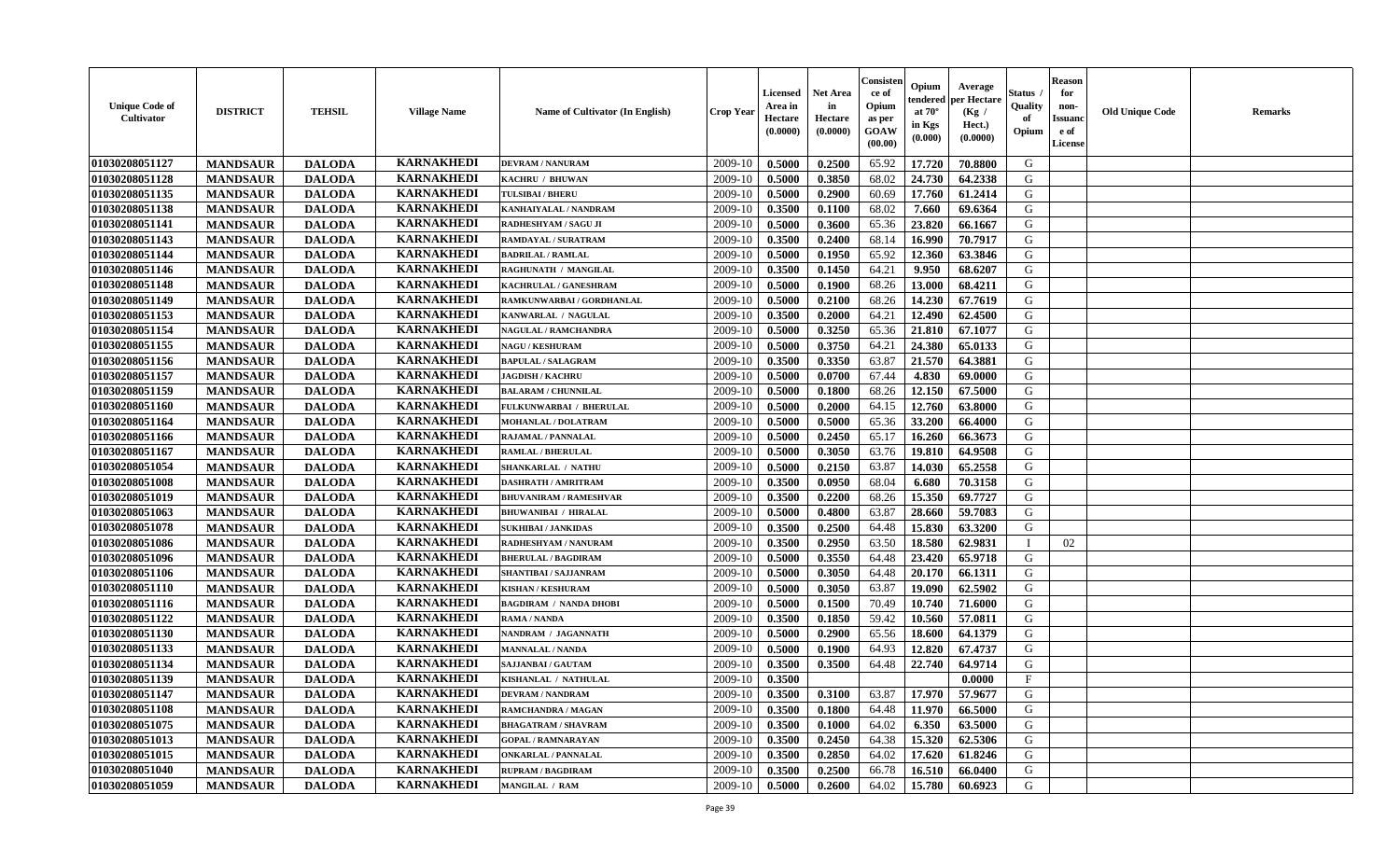| <b>Unique Code of</b><br><b>Cultivator</b> | <b>DISTRICT</b> | <b>TEHSIL</b> | <b>Village Name</b> | Name of Cultivator (In English) | <b>Crop Year</b> | <b>Licensed</b><br>Area in<br>Hectare<br>(0.0000) | <b>Net Area</b><br>in<br>Hectare<br>(0.0000) | Consisteı<br>ce of<br>Opium<br>as per<br>GOAW<br>(00.00) | Opium<br>endered<br>at $70^\circ$<br>in Kgs<br>(0.000) | Average<br>per Hectare<br>(Kg /<br>Hect.)<br>(0.0000) | Status<br>Quality<br>of<br>Opium | <b>Reason</b><br>for<br>non-<br><b>Issuand</b><br>e of<br>License | <b>Old Unique Code</b> | <b>Remarks</b> |
|--------------------------------------------|-----------------|---------------|---------------------|---------------------------------|------------------|---------------------------------------------------|----------------------------------------------|----------------------------------------------------------|--------------------------------------------------------|-------------------------------------------------------|----------------------------------|-------------------------------------------------------------------|------------------------|----------------|
| 01030208051127                             | <b>MANDSAUR</b> | <b>DALODA</b> | <b>KARNAKHEDI</b>   | <b>DEVRAM / NANURAM</b>         | 2009-10          | 0.5000                                            | 0.2500                                       | 65.92                                                    | 17.720                                                 | 70.8800                                               | G                                |                                                                   |                        |                |
| 01030208051128                             | <b>MANDSAUR</b> | <b>DALODA</b> | <b>KARNAKHEDI</b>   | KACHRU / BHUWAN                 | 2009-10          | 0.5000                                            | 0.3850                                       | 68.02                                                    | 24.730                                                 | 64.2338                                               | G                                |                                                                   |                        |                |
| 01030208051135                             | <b>MANDSAUR</b> | <b>DALODA</b> | <b>KARNAKHEDI</b>   | <b>TULSIBAI / BHERU</b>         | 2009-10          | 0.5000                                            | 0.2900                                       | 60.69                                                    | 17.760                                                 | 61.2414                                               | G                                |                                                                   |                        |                |
| 01030208051138                             | <b>MANDSAUR</b> | <b>DALODA</b> | <b>KARNAKHEDI</b>   | KANHAIYALAL / NANDRAM           | 2009-10          | 0.3500                                            | 0.1100                                       | 68.02                                                    | 7.660                                                  | 69.6364                                               | G                                |                                                                   |                        |                |
| 01030208051141                             | <b>MANDSAUR</b> | <b>DALODA</b> | <b>KARNAKHEDI</b>   | RADHESHYAM / SAGU JI            | 2009-10          | 0.5000                                            | 0.3600                                       | 65.36                                                    | 23.820                                                 | 66.1667                                               | G                                |                                                                   |                        |                |
| 01030208051143                             | <b>MANDSAUR</b> | <b>DALODA</b> | <b>KARNAKHEDI</b>   | RAMDAYAL / SURATRAM             | 2009-10          | 0.3500                                            | 0.2400                                       | 68.14                                                    | 16.990                                                 | 70.7917                                               | G                                |                                                                   |                        |                |
| 01030208051144                             | <b>MANDSAUR</b> | <b>DALODA</b> | <b>KARNAKHEDI</b>   | <b>BADRILAL / RAMLAL</b>        | 2009-10          | 0.5000                                            | 0.1950                                       | 65.92                                                    | 12.360                                                 | 63.3846                                               | G                                |                                                                   |                        |                |
| 01030208051146                             | <b>MANDSAUR</b> | <b>DALODA</b> | <b>KARNAKHEDI</b>   | RAGHUNATH / MANGILAL            | 2009-10          | 0.3500                                            | 0.1450                                       | 64.21                                                    | 9.950                                                  | 68.6207                                               | G                                |                                                                   |                        |                |
| 01030208051148                             | <b>MANDSAUR</b> | <b>DALODA</b> | <b>KARNAKHEDI</b>   | KACHRULAL / GANESHRAM           | 2009-10          | 0.5000                                            | 0.1900                                       | 68.26                                                    | 13.000                                                 | 68.4211                                               | G                                |                                                                   |                        |                |
| 01030208051149                             | <b>MANDSAUR</b> | <b>DALODA</b> | <b>KARNAKHEDI</b>   | RAMKUNWARBAI / GORDHANLAL       | 2009-10          | 0.5000                                            | 0.2100                                       | 68.26                                                    | 14.230                                                 | 67.7619                                               | G                                |                                                                   |                        |                |
| 01030208051153                             | <b>MANDSAUR</b> | <b>DALODA</b> | <b>KARNAKHEDI</b>   | KANWARLAL / NAGULAL             | 2009-10          | 0.3500                                            | 0.2000                                       | 64.21                                                    | 12.490                                                 | 62.4500                                               | $\mathbf G$                      |                                                                   |                        |                |
| 01030208051154                             | <b>MANDSAUR</b> | <b>DALODA</b> | <b>KARNAKHEDI</b>   | <b>NAGULAL / RAMCHANDRA</b>     | 2009-10          | 0.5000                                            | 0.3250                                       | 65.36                                                    | 21.810                                                 | 67.1077                                               | G                                |                                                                   |                        |                |
| 01030208051155                             | <b>MANDSAUR</b> | <b>DALODA</b> | <b>KARNAKHEDI</b>   | <b>NAGU / KESHURAM</b>          | 2009-10          | 0.5000                                            | 0.3750                                       | 64.21                                                    | 24.380                                                 | 65.0133                                               | G                                |                                                                   |                        |                |
| 01030208051156                             | <b>MANDSAUR</b> | <b>DALODA</b> | <b>KARNAKHEDI</b>   | <b>BAPULAL / SALAGRAM</b>       | 2009-10          | 0.3500                                            | 0.3350                                       | 63.87                                                    | 21.570                                                 | 64.3881                                               | G                                |                                                                   |                        |                |
| 01030208051157                             | <b>MANDSAUR</b> | <b>DALODA</b> | <b>KARNAKHEDI</b>   | <b>JAGDISH / KACHRU</b>         | 2009-10          | 0.5000                                            | 0.0700                                       | 67.44                                                    | 4.830                                                  | 69.0000                                               | G                                |                                                                   |                        |                |
| 01030208051159                             | <b>MANDSAUR</b> | <b>DALODA</b> | <b>KARNAKHEDI</b>   | <b>BALARAM / CHUNNILAL</b>      | 2009-10          | 0.5000                                            | 0.1800                                       | 68.26                                                    | 12.150                                                 | 67.5000                                               | G                                |                                                                   |                        |                |
| 01030208051160                             | <b>MANDSAUR</b> | <b>DALODA</b> | <b>KARNAKHEDI</b>   | FULKUNWARBAI / BHERULAL         | 2009-10          | 0.5000                                            | 0.2000                                       | 64.15                                                    | 12.760                                                 | 63.8000                                               | G                                |                                                                   |                        |                |
| 01030208051164                             | <b>MANDSAUR</b> | <b>DALODA</b> | <b>KARNAKHEDI</b>   | <b>MOHANLAL / DOLATRAM</b>      | 2009-10          | 0.5000                                            | 0.5000                                       | 65.36                                                    | 33.200                                                 | 66.4000                                               | G                                |                                                                   |                        |                |
| 01030208051166                             | <b>MANDSAUR</b> | <b>DALODA</b> | <b>KARNAKHEDI</b>   | RAJAMAL / PANNALAL              | 2009-10          | 0.5000                                            | 0.2450                                       | 65.17                                                    | 16.260                                                 | 66.3673                                               | G                                |                                                                   |                        |                |
| 01030208051167                             | <b>MANDSAUR</b> | <b>DALODA</b> | <b>KARNAKHEDI</b>   | <b>RAMLAL / BHERULAL</b>        | 2009-10          | 0.5000                                            | 0.3050                                       | 63.76                                                    | 19.810                                                 | 64.9508                                               | G                                |                                                                   |                        |                |
| 01030208051054                             | <b>MANDSAUR</b> | <b>DALODA</b> | <b>KARNAKHEDI</b>   | <b>SHANKARLAL / NATHU</b>       | 2009-10          | 0.5000                                            | 0.2150                                       | 63.87                                                    | 14.030                                                 | 65.2558                                               | G                                |                                                                   |                        |                |
| 01030208051008                             | <b>MANDSAUR</b> | <b>DALODA</b> | <b>KARNAKHEDI</b>   | <b>DASHRATH / AMRITRAM</b>      | 2009-10          | 0.3500                                            | 0.0950                                       | 68.04                                                    | 6.680                                                  | 70.3158                                               | G                                |                                                                   |                        |                |
| 01030208051019                             | <b>MANDSAUR</b> | <b>DALODA</b> | <b>KARNAKHEDI</b>   | <b>BHUVANIRAM / RAMESHVAR</b>   | 2009-10          | 0.3500                                            | 0.2200                                       | 68.26                                                    | 15.350                                                 | 69.7727                                               | G                                |                                                                   |                        |                |
| 01030208051063                             | <b>MANDSAUR</b> | <b>DALODA</b> | <b>KARNAKHEDI</b>   | <b>BHUWANIBAI / HIRALAL</b>     | 2009-10          | 0.5000                                            | 0.4800                                       | 63.87                                                    | 28.660                                                 | 59.7083                                               | G                                |                                                                   |                        |                |
| 01030208051078                             | <b>MANDSAUR</b> | <b>DALODA</b> | <b>KARNAKHEDI</b>   | <b>SUKHIBAI / JANKIDAS</b>      | 2009-10          | 0.3500                                            | 0.2500                                       | 64.48                                                    | 15.830                                                 | 63.3200                                               | G                                |                                                                   |                        |                |
| 01030208051086                             | <b>MANDSAUR</b> | <b>DALODA</b> | <b>KARNAKHEDI</b>   | RADHESHYAM / NANURAM            | 2009-10          | 0.3500                                            | 0.2950                                       | 63.50                                                    | 18.580                                                 | 62.9831                                               | $\mathbf{I}$                     | 02                                                                |                        |                |
| 01030208051096                             | <b>MANDSAUR</b> | <b>DALODA</b> | <b>KARNAKHEDI</b>   | <b>BHERULAL / BAGDIRAM</b>      | 2009-10          | 0.5000                                            | 0.3550                                       | 64.48                                                    | 23.420                                                 | 65.9718                                               | G                                |                                                                   |                        |                |
| 01030208051106                             | <b>MANDSAUR</b> | <b>DALODA</b> | <b>KARNAKHEDI</b>   | SHANTIBAI / SAJJANRAM           | 2009-10          | 0.5000                                            | 0.3050                                       | 64.48                                                    | 20.170                                                 | 66.1311                                               | G                                |                                                                   |                        |                |
| 01030208051110                             | <b>MANDSAUR</b> | <b>DALODA</b> | <b>KARNAKHEDI</b>   | <b>KISHAN / KESHURAM</b>        | 2009-10          | 0.5000                                            | 0.3050                                       | 63.87                                                    | 19.090                                                 | 62.5902                                               | G                                |                                                                   |                        |                |
| 01030208051116                             | <b>MANDSAUR</b> | <b>DALODA</b> | <b>KARNAKHEDI</b>   | <b>BAGDIRAM / NANDA DHOBI</b>   | 2009-10          | 0.5000                                            | 0.1500                                       | 70.49                                                    | 10.740                                                 | 71.6000                                               | G                                |                                                                   |                        |                |
| 01030208051122                             | <b>MANDSAUR</b> | <b>DALODA</b> | <b>KARNAKHEDI</b>   | RAMA / NANDA                    | 2009-10          | 0.3500                                            | 0.1850                                       | 59.42                                                    | 10.560                                                 | 57.0811                                               | ${\bf G}$                        |                                                                   |                        |                |
| 01030208051130                             | <b>MANDSAUR</b> | <b>DALODA</b> | <b>KARNAKHEDI</b>   | NANDRAM / JAGANNATH             | 2009-10          | 0.5000                                            | 0.2900                                       | 65.56                                                    | 18.600                                                 | 64.1379                                               | G                                |                                                                   |                        |                |
| 01030208051133                             | <b>MANDSAUR</b> | <b>DALODA</b> | <b>KARNAKHEDI</b>   | <b>MANNALAL / NANDA</b>         | 2009-10          | 0.5000                                            | 0.1900                                       | 64.93                                                    | 12.820                                                 | 67.4737                                               | G                                |                                                                   |                        |                |
| 01030208051134                             | <b>MANDSAUR</b> | <b>DALODA</b> | <b>KARNAKHEDI</b>   | <b>SAJJANBAI / GAUTAM</b>       | 2009-10          | 0.3500                                            | 0.3500                                       | 64.48                                                    | 22.740                                                 | 64.9714                                               | G                                |                                                                   |                        |                |
| 01030208051139                             | <b>MANDSAUR</b> | <b>DALODA</b> | <b>KARNAKHEDI</b>   | KISHANLAL / NATHULAL            | 2009-10          | 0.3500                                            |                                              |                                                          |                                                        | 0.0000                                                | $\mathbf{F}$                     |                                                                   |                        |                |
| 01030208051147                             | <b>MANDSAUR</b> | <b>DALODA</b> | <b>KARNAKHEDI</b>   | <b>DEVRAM / NANDRAM</b>         | 2009-10          | 0.3500                                            | 0.3100                                       | 63.87                                                    | 17.970                                                 | 57.9677                                               | G                                |                                                                   |                        |                |
| 01030208051108                             | <b>MANDSAUR</b> | <b>DALODA</b> | <b>KARNAKHEDI</b>   | <b>RAMCHANDRA / MAGAN</b>       | 2009-10          | 0.3500                                            | 0.1800                                       | 64.48                                                    | 11.970                                                 | 66.5000                                               | G                                |                                                                   |                        |                |
| 01030208051075                             | <b>MANDSAUR</b> | <b>DALODA</b> | <b>KARNAKHEDI</b>   | <b>BHAGATRAM / SHAVRAM</b>      | 2009-10          | 0.3500                                            | 0.1000                                       | 64.02                                                    | 6.350                                                  | 63.5000                                               | G                                |                                                                   |                        |                |
| 01030208051013                             | <b>MANDSAUR</b> | <b>DALODA</b> | <b>KARNAKHEDI</b>   | <b>GOPAL / RAMNARAYAN</b>       | 2009-10          | 0.3500                                            | 0.2450                                       | 64.38                                                    | 15.320                                                 | 62.5306                                               | G                                |                                                                   |                        |                |
| 01030208051015                             | <b>MANDSAUR</b> | <b>DALODA</b> | <b>KARNAKHEDI</b>   | <b>ONKARLAL / PANNALAL</b>      | 2009-10          | 0.3500                                            | 0.2850                                       | 64.02                                                    | 17.620                                                 | 61.8246                                               | G                                |                                                                   |                        |                |
| 01030208051040                             | <b>MANDSAUR</b> | <b>DALODA</b> | <b>KARNAKHEDI</b>   | <b>RUPRAM / BAGDIRAM</b>        | 2009-10          | 0.3500                                            | 0.2500                                       | 66.78                                                    | 16.510                                                 | 66.0400                                               | G                                |                                                                   |                        |                |
| 01030208051059                             | <b>MANDSAUR</b> | <b>DALODA</b> | <b>KARNAKHEDI</b>   | MANGILAL / RAM                  | 2009-10          | 0.5000                                            | 0.2600                                       | 64.02                                                    | 15.780                                                 | 60.6923                                               | G                                |                                                                   |                        |                |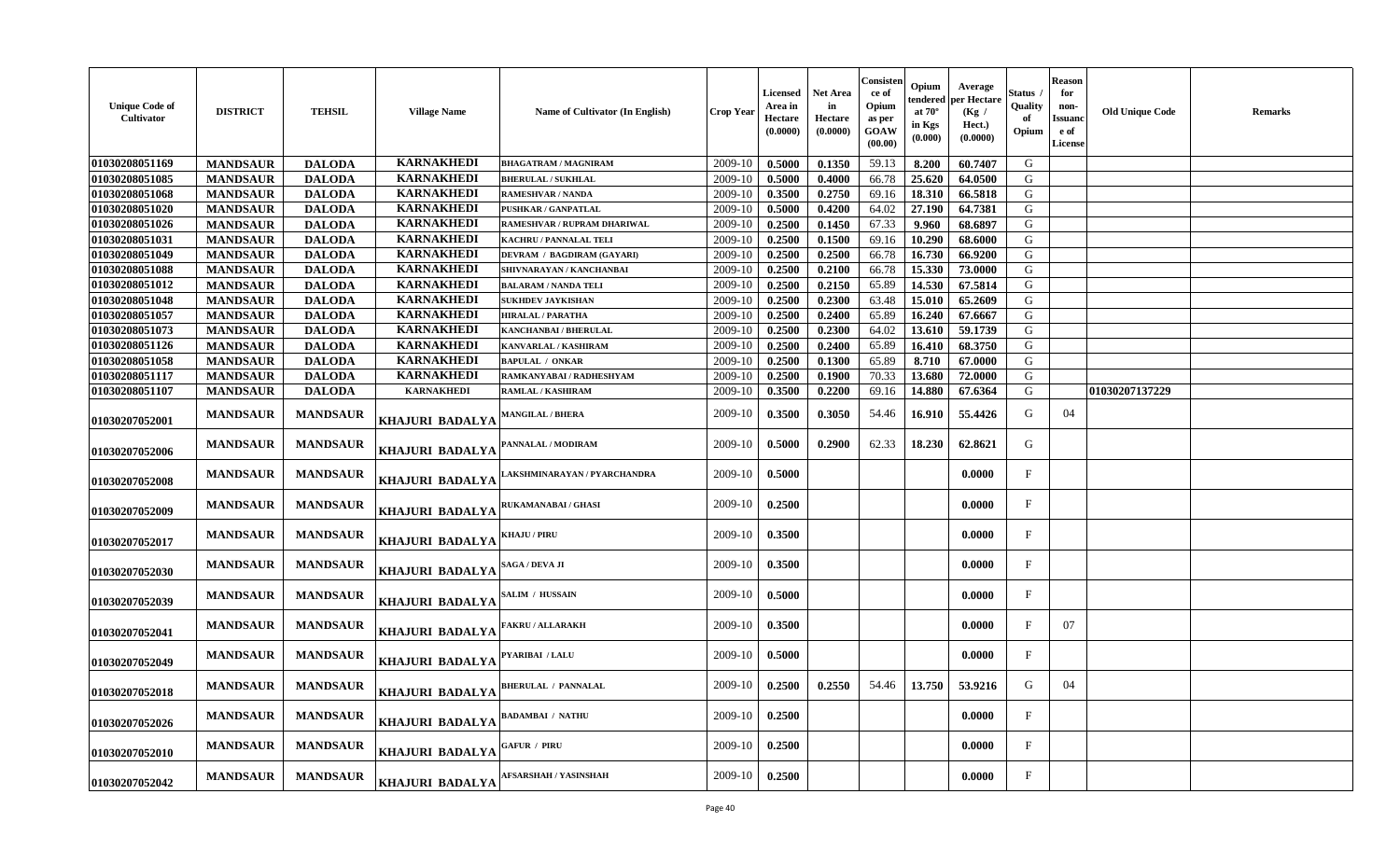| <b>Unique Code of</b><br>Cultivator | <b>DISTRICT</b> | <b>TEHSIL</b>   | <b>Village Name</b>    | Name of Cultivator (In English) | Crop Year | Licensed<br>Area in<br>Hectare<br>(0.0000) | Net Area<br>in<br>Hectare<br>(0.0000) | Consisten<br>ce of<br>Opium<br>as per<br><b>GOAW</b><br>(00.00) | Opium<br>endered<br>at $70^\circ$<br>in Kgs<br>$(\mathbf{0.000})$ | Average<br>per Hectaro<br>(Kg /<br>Hect.)<br>(0.0000) | Status<br>Quality<br>Opium | <b>Reason</b><br>for<br>non-<br><b>Issuanc</b><br>e of<br><b>License</b> | <b>Old Unique Code</b> | Remarks |
|-------------------------------------|-----------------|-----------------|------------------------|---------------------------------|-----------|--------------------------------------------|---------------------------------------|-----------------------------------------------------------------|-------------------------------------------------------------------|-------------------------------------------------------|----------------------------|--------------------------------------------------------------------------|------------------------|---------|
| 01030208051169                      | <b>MANDSAUR</b> | <b>DALODA</b>   | <b>KARNAKHEDI</b>      | <b>BHAGATRAM / MAGNIRAM</b>     | 2009-10   | 0.5000                                     | 0.1350                                | 59.13                                                           | 8.200                                                             | 60.7407                                               | G                          |                                                                          |                        |         |
| 01030208051085                      | <b>MANDSAUR</b> | <b>DALODA</b>   | <b>KARNAKHEDI</b>      | <b>BHERULAL / SUKHLAL</b>       | 2009-10   | 0.5000                                     | 0.4000                                | 66.78                                                           | 25.620                                                            | 64.0500                                               | G                          |                                                                          |                        |         |
| 01030208051068                      | <b>MANDSAUR</b> | <b>DALODA</b>   | <b>KARNAKHEDI</b>      | <b>RAMESHVAR / NANDA</b>        | 2009-10   | 0.3500                                     | 0.2750                                | 69.16                                                           | 18.310                                                            | 66.5818                                               | G                          |                                                                          |                        |         |
| 01030208051020                      | <b>MANDSAUR</b> | <b>DALODA</b>   | <b>KARNAKHEDI</b>      | PUSHKAR / GANPATLAL             | 2009-10   | 0.5000                                     | 0.4200                                | 64.02                                                           | 27.190                                                            | 64.7381                                               | G                          |                                                                          |                        |         |
| 01030208051026                      | <b>MANDSAUR</b> | <b>DALODA</b>   | <b>KARNAKHEDI</b>      | RAMESHVAR / RUPRAM DHARIWAL     | 2009-10   | 0.2500                                     | 0.1450                                | 67.33                                                           | 9.960                                                             | 68.6897                                               | G                          |                                                                          |                        |         |
| 01030208051031                      | <b>MANDSAUR</b> | <b>DALODA</b>   | <b>KARNAKHEDI</b>      | <b>KACHRU / PANNALAL TELI</b>   | 2009-10   | 0.2500                                     | 0.1500                                | 69.16                                                           | 10.290                                                            | 68.6000                                               | G                          |                                                                          |                        |         |
| 01030208051049                      | <b>MANDSAUR</b> | <b>DALODA</b>   | <b>KARNAKHEDI</b>      | DEVRAM / BAGDIRAM (GAYARI)      | 2009-10   | 0.2500                                     | 0.2500                                | 66.78                                                           | 16.730                                                            | 66.9200                                               | G                          |                                                                          |                        |         |
| 01030208051088                      | <b>MANDSAUR</b> | <b>DALODA</b>   | <b>KARNAKHEDI</b>      | SHIVNARAYAN / KANCHANBAI        | 2009-10   | 0.2500                                     | 0.2100                                | 66.78                                                           | 15.330                                                            | 73.0000                                               | G                          |                                                                          |                        |         |
| 01030208051012                      | <b>MANDSAUR</b> | <b>DALODA</b>   | <b>KARNAKHEDI</b>      | <b>BALARAM / NANDA TELI</b>     | 2009-10   | 0.2500                                     | 0.2150                                | 65.89                                                           | 14.530                                                            | 67.5814                                               | G                          |                                                                          |                        |         |
| 01030208051048                      | <b>MANDSAUR</b> | <b>DALODA</b>   | <b>KARNAKHEDI</b>      | <b>SUKHDEV JAYKISHAN</b>        | 2009-10   | 0.2500                                     | 0.2300                                | 63.48                                                           | 15.010                                                            | 65.2609                                               | G                          |                                                                          |                        |         |
| 01030208051057                      | <b>MANDSAUR</b> | <b>DALODA</b>   | <b>KARNAKHEDI</b>      | <b>HIRALAL / PARATHA</b>        | 2009-10   | 0.2500                                     | 0.2400                                | 65.89                                                           | 16.240                                                            | 67.6667                                               | G                          |                                                                          |                        |         |
| 01030208051073                      | <b>MANDSAUR</b> | <b>DALODA</b>   | <b>KARNAKHEDI</b>      | <b>KANCHANBAI / BHERULAL</b>    | 2009-10   | 0.2500                                     | 0.2300                                | 64.02                                                           | 13.610                                                            | 59.1739                                               | G                          |                                                                          |                        |         |
| 01030208051126                      | <b>MANDSAUR</b> | <b>DALODA</b>   | <b>KARNAKHEDI</b>      | KANVARLAL / KASHIRAM            | 2009-10   | 0.2500                                     | 0.2400                                | 65.89                                                           | 16.410                                                            | 68.3750                                               | G                          |                                                                          |                        |         |
| 01030208051058                      | <b>MANDSAUR</b> | <b>DALODA</b>   | <b>KARNAKHEDI</b>      | <b>BAPULAL / ONKAR</b>          | 2009-10   | 0.2500                                     | 0.1300                                | 65.89                                                           | 8.710                                                             | 67.0000                                               | ${\bf G}$                  |                                                                          |                        |         |
| 01030208051117                      | <b>MANDSAUR</b> | <b>DALODA</b>   | <b>KARNAKHEDI</b>      | RAMKANYABAI / RADHESHYAM        | 2009-10   | 0.2500                                     | 0.1900                                | 70.33                                                           | 13.680                                                            | 72.0000                                               | G                          |                                                                          |                        |         |
| 01030208051107                      | <b>MANDSAUR</b> | <b>DALODA</b>   | <b>KARNAKHEDI</b>      | RAMLAL / KASHIRAM               | 2009-10   | 0.3500                                     | 0.2200                                | 69.16                                                           | 14.880                                                            | 67.6364                                               | G                          |                                                                          | 01030207137229         |         |
| 01030207052001                      | <b>MANDSAUR</b> | <b>MANDSAUR</b> | KHAJURI BADALYA        | MANGILAL / BHERA                | 2009-10   | 0.3500                                     | 0.3050                                | 54.46                                                           | 16.910                                                            | 55.4426                                               | G                          | 04                                                                       |                        |         |
| 01030207052006                      | <b>MANDSAUR</b> | <b>MANDSAUR</b> | <b>KHAJURI BADALYA</b> | PANNALAL / MODIRAM              | 2009-10   | 0.5000                                     | 0.2900                                | 62.33                                                           | 18.230                                                            | 62.8621                                               | G                          |                                                                          |                        |         |
| 01030207052008                      | <b>MANDSAUR</b> | <b>MANDSAUR</b> | <b>KHAJURI BADALYA</b> | AKSHMINARAYAN / PYARCHANDRA     | 2009-10   | 0.5000                                     |                                       |                                                                 |                                                                   | 0.0000                                                | F                          |                                                                          |                        |         |
| 01030207052009                      | <b>MANDSAUR</b> | <b>MANDSAUR</b> | KHAJURI BADALYA        | RUKAMANABAI / GHASI             | 2009-10   | 0.2500                                     |                                       |                                                                 |                                                                   | 0.0000                                                | F                          |                                                                          |                        |         |
| 01030207052017                      | <b>MANDSAUR</b> | <b>MANDSAUR</b> | KHAJURI BADALYA        | <b>KHAJU / PIRU</b>             | 2009-10   | 0.3500                                     |                                       |                                                                 |                                                                   | 0.0000                                                | $\mathbf F$                |                                                                          |                        |         |
| 01030207052030                      | <b>MANDSAUR</b> | <b>MANDSAUR</b> | KHAJURI BADALYA        | SAGA / DEVA JI                  | 2009-10   | 0.3500                                     |                                       |                                                                 |                                                                   | 0.0000                                                | $\mathbf F$                |                                                                          |                        |         |
| 01030207052039                      | <b>MANDSAUR</b> | <b>MANDSAUR</b> | <b>KHAJURI BADALYA</b> | SALIM / HUSSAIN                 | 2009-10   | 0.5000                                     |                                       |                                                                 |                                                                   | 0.0000                                                | $\mathbf{F}$               |                                                                          |                        |         |
| 01030207052041                      | <b>MANDSAUR</b> | <b>MANDSAUR</b> | KHAJURI BADALYA        | <b>FAKRU / ALLARAKH</b>         | 2009-10   | 0.3500                                     |                                       |                                                                 |                                                                   | 0.0000                                                | $\mathbf F$                | 07                                                                       |                        |         |
| 01030207052049                      | <b>MANDSAUR</b> | <b>MANDSAUR</b> | KHAJURI BADALYA        | PYARIBAI / LALU                 | 2009-10   | 0.5000                                     |                                       |                                                                 |                                                                   | 0.0000                                                | $\mathbf{F}$               |                                                                          |                        |         |
| 01030207052018                      | <b>MANDSAUR</b> | <b>MANDSAUR</b> | KHAJURI BADALYA        | <b>BHERULAL / PANNALAL</b>      | 2009-10   | 0.2500                                     | 0.2550                                | 54.46                                                           | 13.750                                                            | 53.9216                                               | G                          | 04                                                                       |                        |         |
| 01030207052026                      | <b>MANDSAUR</b> | <b>MANDSAUR</b> | KHAJURI BADALYA        | <b>BADAMBAI / NATHU</b>         | 2009-10   | 0.2500                                     |                                       |                                                                 |                                                                   | 0.0000                                                | F                          |                                                                          |                        |         |
| 01030207052010                      | <b>MANDSAUR</b> | <b>MANDSAUR</b> | <b>KHAJURI BADALYA</b> | GAFUR / PIRU                    | 2009-10   | 0.2500                                     |                                       |                                                                 |                                                                   | 0.0000                                                | $\mathbf{F}$               |                                                                          |                        |         |
| 01030207052042                      | <b>MANDSAUR</b> | <b>MANDSAUR</b> | KHAJURI BADALYA        | AFSARSHAH / YASINSHAH           | 2009-10   | 0.2500                                     |                                       |                                                                 |                                                                   | 0.0000                                                | $\mathbf{F}$               |                                                                          |                        |         |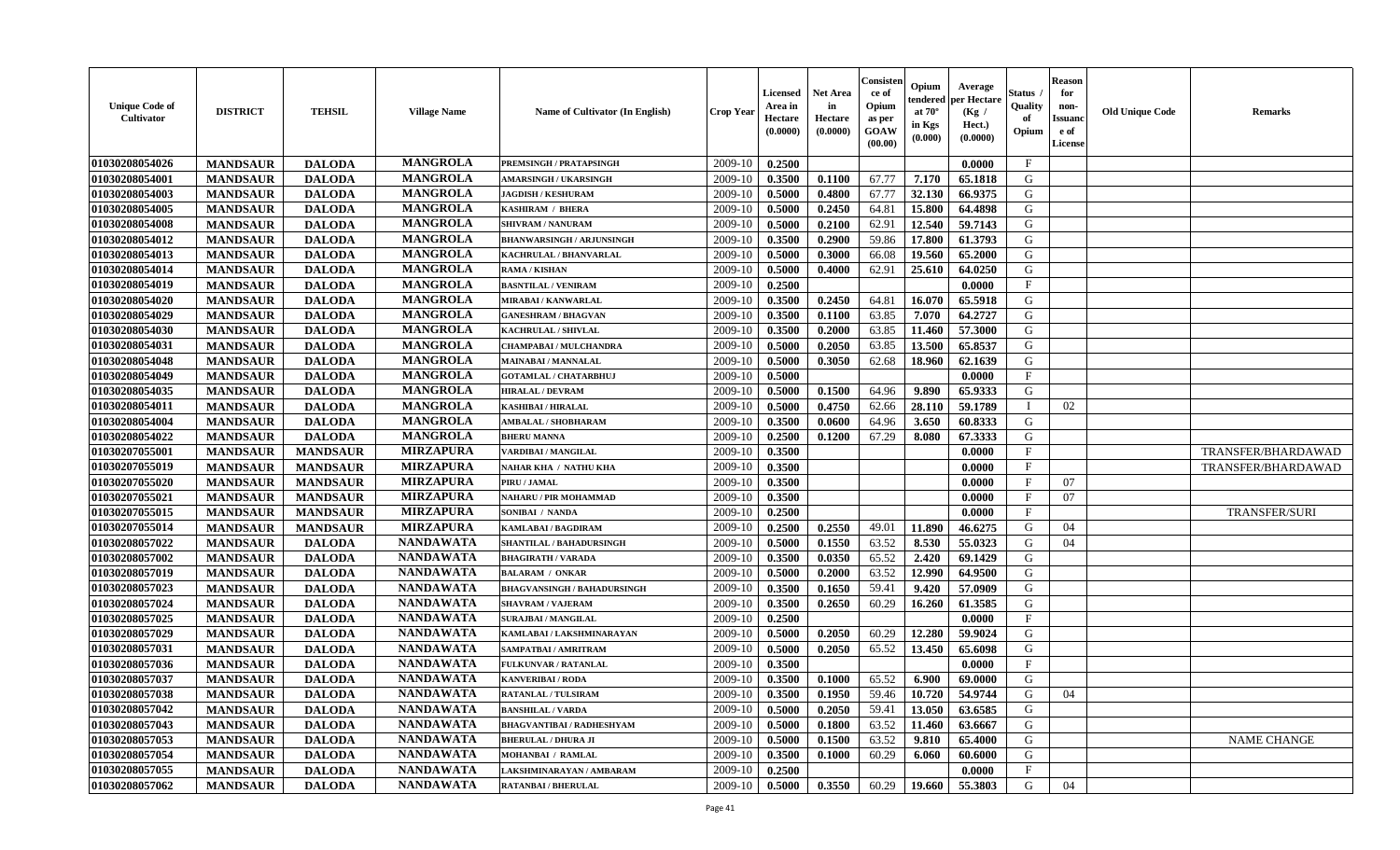| <b>Unique Code of</b><br><b>Cultivator</b> | <b>DISTRICT</b> | <b>TEHSIL</b>   | <b>Village Name</b> | Name of Cultivator (In English)    | <b>Crop Year</b> | Licensed<br>Area in<br>Hectare<br>(0.0000) | <b>Net Area</b><br>in<br>Hectare<br>(0.0000) | Consisteı<br>ce of<br>Opium<br>as per<br>GOAW<br>(00.00) | Opium<br>endered<br>at $70^\circ$<br>in Kgs<br>(0.000) | Average<br>per Hectare<br>(Kg /<br>Hect.)<br>(0.0000) | Status<br>Quality<br>of<br>Opium | <b>Reason</b><br>for<br>non-<br>Issuano<br>e of<br>License | <b>Old Unique Code</b> | <b>Remarks</b>       |
|--------------------------------------------|-----------------|-----------------|---------------------|------------------------------------|------------------|--------------------------------------------|----------------------------------------------|----------------------------------------------------------|--------------------------------------------------------|-------------------------------------------------------|----------------------------------|------------------------------------------------------------|------------------------|----------------------|
| 01030208054026                             | <b>MANDSAUR</b> | <b>DALODA</b>   | <b>MANGROLA</b>     | PREMSINGH / PRATAPSINGH            | 2009-10          | 0.2500                                     |                                              |                                                          |                                                        | 0.0000                                                | $\mathbf{F}$                     |                                                            |                        |                      |
| 01030208054001                             | <b>MANDSAUR</b> | <b>DALODA</b>   | <b>MANGROLA</b>     | <b>AMARSINGH / UKARSINGH</b>       | 2009-10          | 0.3500                                     | 0.1100                                       | 67.77                                                    | 7.170                                                  | 65.1818                                               | G                                |                                                            |                        |                      |
| 01030208054003                             | <b>MANDSAUR</b> | <b>DALODA</b>   | <b>MANGROLA</b>     | <b>JAGDISH / KESHURAM</b>          | 2009-10          | 0.5000                                     | 0.4800                                       | 67.77                                                    | 32.130                                                 | 66.9375                                               | G                                |                                                            |                        |                      |
| 01030208054005                             | <b>MANDSAUR</b> | <b>DALODA</b>   | <b>MANGROLA</b>     | <b>KASHIRAM / BHERA</b>            | 2009-10          | 0.5000                                     | 0.2450                                       | 64.81                                                    | 15.800                                                 | 64.4898                                               | G                                |                                                            |                        |                      |
| 01030208054008                             | <b>MANDSAUR</b> | <b>DALODA</b>   | <b>MANGROLA</b>     | <b>SHIVRAM / NANURAM</b>           | 2009-10          | 0.5000                                     | 0.2100                                       | 62.91                                                    | 12.540                                                 | 59.7143                                               | G                                |                                                            |                        |                      |
| 01030208054012                             | <b>MANDSAUR</b> | <b>DALODA</b>   | <b>MANGROLA</b>     | <b>BHANWARSINGH / ARJUNSINGH</b>   | 2009-10          | 0.3500                                     | 0.2900                                       | 59.86                                                    | 17.800                                                 | 61.3793                                               | G                                |                                                            |                        |                      |
| 01030208054013                             | <b>MANDSAUR</b> | <b>DALODA</b>   | <b>MANGROLA</b>     | <b>KACHRULAL / BHANVARLAL</b>      | 2009-10          | 0.5000                                     | 0.3000                                       | 66.08                                                    | 19.560                                                 | 65.2000                                               | G                                |                                                            |                        |                      |
| 01030208054014                             | <b>MANDSAUR</b> | <b>DALODA</b>   | <b>MANGROLA</b>     | <b>RAMA / KISHAN</b>               | 2009-10          | 0.5000                                     | 0.4000                                       | 62.91                                                    | 25.610                                                 | 64.0250                                               | G                                |                                                            |                        |                      |
| 01030208054019                             | <b>MANDSAUR</b> | <b>DALODA</b>   | <b>MANGROLA</b>     | <b>BASNTILAL / VENIRAM</b>         | 2009-10          | 0.2500                                     |                                              |                                                          |                                                        | 0.0000                                                | $\mathbf{F}$                     |                                                            |                        |                      |
| 01030208054020                             | <b>MANDSAUR</b> | <b>DALODA</b>   | <b>MANGROLA</b>     | <b>MIRABAI/KANWARLAL</b>           | 2009-10          | 0.3500                                     | 0.2450                                       | 64.81                                                    | 16.070                                                 | 65.5918                                               | G                                |                                                            |                        |                      |
| 01030208054029                             | <b>MANDSAUR</b> | <b>DALODA</b>   | <b>MANGROLA</b>     | <b>GANESHRAM / BHAGVAN</b>         | 2009-10          | 0.3500                                     | 0.1100                                       | 63.85                                                    | 7.070                                                  | 64.2727                                               | $\mathbf G$                      |                                                            |                        |                      |
| 01030208054030                             | <b>MANDSAUR</b> | <b>DALODA</b>   | <b>MANGROLA</b>     | KACHRULAL / SHIVLAL                | 2009-10          | 0.3500                                     | 0.2000                                       | 63.85                                                    | 11.460                                                 | 57.3000                                               | G                                |                                                            |                        |                      |
| 01030208054031                             | <b>MANDSAUR</b> | <b>DALODA</b>   | <b>MANGROLA</b>     | <b>CHAMPABAI/MULCHANDRA</b>        | 2009-10          | 0.5000                                     | 0.2050                                       | 63.85                                                    | 13.500                                                 | 65.8537                                               | G                                |                                                            |                        |                      |
| 01030208054048                             | <b>MANDSAUR</b> | <b>DALODA</b>   | <b>MANGROLA</b>     | <b>MAINABAI/MANNALAL</b>           | 2009-10          | 0.5000                                     | 0.3050                                       | 62.68                                                    | 18.960                                                 | 62.1639                                               | G                                |                                                            |                        |                      |
| 01030208054049                             | <b>MANDSAUR</b> | <b>DALODA</b>   | <b>MANGROLA</b>     | GOTAMLAL / CHATARBHUJ              | 2009-10          | 0.5000                                     |                                              |                                                          |                                                        | 0.0000                                                | $\mathbf{F}$                     |                                                            |                        |                      |
| 01030208054035                             | <b>MANDSAUR</b> | <b>DALODA</b>   | <b>MANGROLA</b>     | <b>HIRALAL / DEVRAM</b>            | 2009-10          | 0.5000                                     | 0.1500                                       | 64.96                                                    | 9.890                                                  | 65.9333                                               | G                                |                                                            |                        |                      |
| 01030208054011                             | <b>MANDSAUR</b> | <b>DALODA</b>   | <b>MANGROLA</b>     | <b>KASHIBAI / HIRALAL</b>          | 2009-10          | 0.5000                                     | 0.4750                                       | 62.66                                                    | 28.110                                                 | 59.1789                                               | <sup>1</sup>                     | 02                                                         |                        |                      |
| 01030208054004                             | <b>MANDSAUR</b> | <b>DALODA</b>   | <b>MANGROLA</b>     | AMBALAL / SHOBHARAM                | 2009-10          | 0.3500                                     | 0.0600                                       | 64.96                                                    | 3.650                                                  | 60.8333                                               | G                                |                                                            |                        |                      |
| 01030208054022                             | <b>MANDSAUR</b> | <b>DALODA</b>   | <b>MANGROLA</b>     | <b>BHERU MANNA</b>                 | 2009-10          | 0.2500                                     | 0.1200                                       | 67.29                                                    | 8.080                                                  | 67.3333                                               | G                                |                                                            |                        |                      |
| 01030207055001                             | <b>MANDSAUR</b> | <b>MANDSAUR</b> | <b>MIRZAPURA</b>    | VARDIBAI / MANGILAL                | 2009-10          | 0.3500                                     |                                              |                                                          |                                                        | 0.0000                                                | $\mathbf{F}$                     |                                                            |                        | TRANSFER/BHARDAWAD   |
| 01030207055019                             | <b>MANDSAUR</b> | <b>MANDSAUR</b> | <b>MIRZAPURA</b>    | <b>NAHAR KHA / NATHU KHA</b>       | 2009-10          | 0.3500                                     |                                              |                                                          |                                                        | 0.0000                                                | F                                |                                                            |                        | TRANSFER/BHARDAWAD   |
| 01030207055020                             | <b>MANDSAUR</b> | <b>MANDSAUR</b> | <b>MIRZAPURA</b>    | PIRU / JAMAL                       | 2009-10          | 0.3500                                     |                                              |                                                          |                                                        | 0.0000                                                | $\mathbf{F}$                     | 07                                                         |                        |                      |
| 01030207055021                             | <b>MANDSAUR</b> | <b>MANDSAUR</b> | <b>MIRZAPURA</b>    | NAHARU / PIR MOHAMMAD              | 2009-10          | 0.3500                                     |                                              |                                                          |                                                        | 0.0000                                                | $\mathbf{F}$                     | 07                                                         |                        |                      |
| 01030207055015                             | <b>MANDSAUR</b> | <b>MANDSAUR</b> | <b>MIRZAPURA</b>    | SONIBAI / NANDA                    | 2009-10          | 0.2500                                     |                                              |                                                          |                                                        | 0.0000                                                | $\mathbf{F}$                     |                                                            |                        | <b>TRANSFER/SURI</b> |
| 01030207055014                             | <b>MANDSAUR</b> | <b>MANDSAUR</b> | <b>MIRZAPURA</b>    | <b>KAMLABAI/BAGDIRAM</b>           | 2009-10          | 0.2500                                     | 0.2550                                       | 49.01                                                    | 11.890                                                 | 46.6275                                               | G                                | 04                                                         |                        |                      |
| 01030208057022                             | <b>MANDSAUR</b> | <b>DALODA</b>   | <b>NANDAWATA</b>    | SHANTILAL / BAHADURSINGH           | 2009-10          | 0.5000                                     | 0.1550                                       | 63.52                                                    | 8.530                                                  | 55.0323                                               | G                                | 04                                                         |                        |                      |
| 01030208057002                             | <b>MANDSAUR</b> | <b>DALODA</b>   | <b>NANDAWATA</b>    | <b>BHAGIRATH / VARADA</b>          | 2009-10          | 0.3500                                     | 0.0350                                       | 65.52                                                    | 2.420                                                  | 69.1429                                               | G                                |                                                            |                        |                      |
| 01030208057019                             | <b>MANDSAUR</b> | <b>DALODA</b>   | <b>NANDAWATA</b>    | <b>BALARAM / ONKAR</b>             | 2009-10          | 0.5000                                     | 0.2000                                       | 63.52                                                    | 12.990                                                 | 64.9500                                               | G                                |                                                            |                        |                      |
| 01030208057023                             | <b>MANDSAUR</b> | <b>DALODA</b>   | <b>NANDAWATA</b>    | <b>BHAGVANSINGH / BAHADURSINGH</b> | 2009-10          | 0.3500                                     | 0.1650                                       | 59.41                                                    | 9.420                                                  | 57.0909                                               | G                                |                                                            |                        |                      |
| 01030208057024                             | <b>MANDSAUR</b> | <b>DALODA</b>   | <b>NANDAWATA</b>    | <b>SHAVRAM / VAJERAM</b>           | 2009-10          | 0.3500                                     | 0.2650                                       | 60.29                                                    | 16.260                                                 | 61.3585                                               | G                                |                                                            |                        |                      |
| 01030208057025                             | <b>MANDSAUR</b> | <b>DALODA</b>   | <b>NANDAWATA</b>    | <b>SURAJBAI / MANGILAL</b>         | 2009-10          | 0.2500                                     |                                              |                                                          |                                                        | 0.0000                                                | $\mathbf F$                      |                                                            |                        |                      |
| 01030208057029                             | <b>MANDSAUR</b> | <b>DALODA</b>   | <b>NANDAWATA</b>    | KAMLABAI / LAKSHMINARAYAN          | 2009-10          | 0.5000                                     | 0.2050                                       | 60.29                                                    | 12.280                                                 | 59.9024                                               | G                                |                                                            |                        |                      |
| 01030208057031                             | <b>MANDSAUR</b> | <b>DALODA</b>   | <b>NANDAWATA</b>    | SAMPATBAI / AMRITRAM               | 2009-10          | 0.5000                                     | 0.2050                                       | 65.52                                                    | 13.450                                                 | 65.6098                                               | G                                |                                                            |                        |                      |
| 01030208057036                             | <b>MANDSAUR</b> | <b>DALODA</b>   | <b>NANDAWATA</b>    | FULKUNVAR / RATANLAL               | 2009-10          | 0.3500                                     |                                              |                                                          |                                                        | 0.0000                                                | $\mathbf{F}$                     |                                                            |                        |                      |
| 01030208057037                             | <b>MANDSAUR</b> | <b>DALODA</b>   | <b>NANDAWATA</b>    | <b>KANVERIBAI / RODA</b>           | 2009-10          | 0.3500                                     | 0.1000                                       | 65.52                                                    | 6.900                                                  | 69.0000                                               | G                                |                                                            |                        |                      |
| 01030208057038                             | <b>MANDSAUR</b> | <b>DALODA</b>   | <b>NANDAWATA</b>    | <b>RATANLAL / TULSIRAM</b>         | 2009-10          | 0.3500                                     | 0.1950                                       | 59.46                                                    | 10.720                                                 | 54.9744                                               | G                                | 04                                                         |                        |                      |
| 01030208057042                             | <b>MANDSAUR</b> | <b>DALODA</b>   | <b>NANDAWATA</b>    | <b>BANSHILAL / VARDA</b>           | 2009-10          | 0.5000                                     | 0.2050                                       | 59.41                                                    | 13.050                                                 | 63.6585                                               | G                                |                                                            |                        |                      |
| 01030208057043                             | <b>MANDSAUR</b> | <b>DALODA</b>   | <b>NANDAWATA</b>    | <b>BHAGVANTIBAI / RADHESHYAM</b>   | 2009-10          | 0.5000                                     | 0.1800                                       | 63.52                                                    | 11.460                                                 | 63.6667                                               | G                                |                                                            |                        |                      |
| 01030208057053                             | <b>MANDSAUR</b> | <b>DALODA</b>   | <b>NANDAWATA</b>    | <b>BHERULAL / DHURA JI</b>         | 2009-10          | 0.5000                                     | 0.1500                                       | 63.52                                                    | 9.810                                                  | 65.4000                                               | G                                |                                                            |                        | <b>NAME CHANGE</b>   |
| 01030208057054                             | <b>MANDSAUR</b> | <b>DALODA</b>   | <b>NANDAWATA</b>    | MOHANBAI / RAMLAL                  | 2009-10          | 0.3500                                     | 0.1000                                       | 60.29                                                    | 6.060                                                  | 60.6000                                               | G                                |                                                            |                        |                      |
| 01030208057055                             | <b>MANDSAUR</b> | <b>DALODA</b>   | <b>NANDAWATA</b>    | LAKSHMINARAYAN / AMBARAM           | 2009-10          | 0.2500                                     |                                              |                                                          |                                                        | 0.0000                                                | $\mathbf{F}$                     |                                                            |                        |                      |
| 01030208057062                             | <b>MANDSAUR</b> | <b>DALODA</b>   | <b>NANDAWATA</b>    | <b>RATANBAI/BHERULAL</b>           | 2009-10          | 0.5000                                     | 0.3550                                       | 60.29                                                    | 19.660                                                 | 55.3803                                               | G                                | 04                                                         |                        |                      |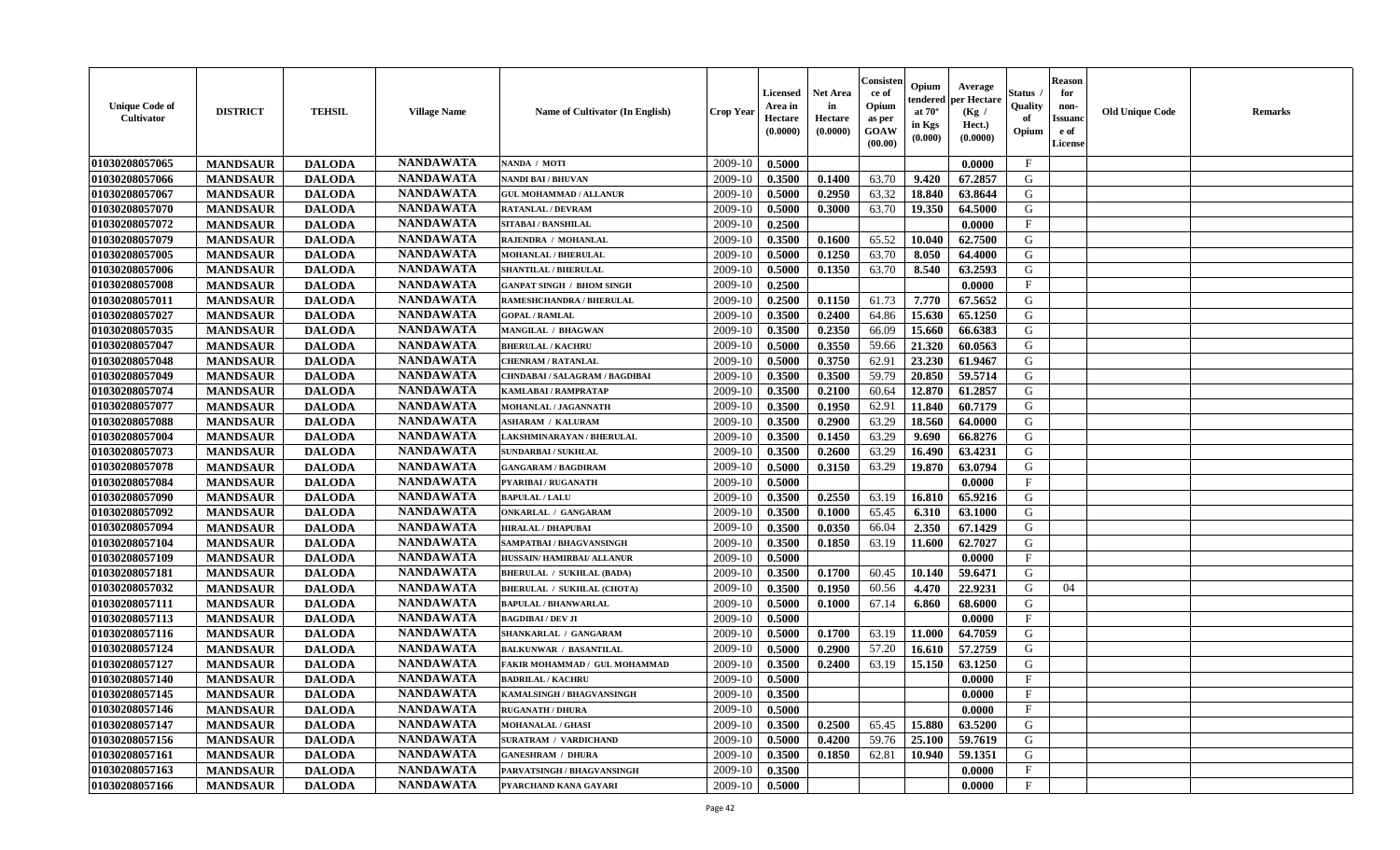| <b>Unique Code of</b><br><b>Cultivator</b> | <b>DISTRICT</b> | <b>TEHSIL</b> | <b>Village Name</b> | Name of Cultivator (In English)   | <b>Crop Year</b> | <b>Licensed</b><br>Area in<br>Hectare<br>(0.0000) | <b>Net Area</b><br>in<br>Hectare<br>(0.0000) | Consisteı<br>ce of<br>Opium<br>as per<br><b>GOAW</b><br>(00.00) | Opium<br>endered<br>at $70^\circ$<br>in Kgs<br>$(\mathbf{0.000})$ | Average<br>per Hectare<br>(Kg /<br>Hect.)<br>(0.0000) | Status<br>Quality<br>of<br>Opium | <b>Reason</b><br>for<br>non-<br>Issuan<br>e of<br><b>License</b> | <b>Old Unique Code</b> | <b>Remarks</b> |
|--------------------------------------------|-----------------|---------------|---------------------|-----------------------------------|------------------|---------------------------------------------------|----------------------------------------------|-----------------------------------------------------------------|-------------------------------------------------------------------|-------------------------------------------------------|----------------------------------|------------------------------------------------------------------|------------------------|----------------|
| 01030208057065                             | <b>MANDSAUR</b> | <b>DALODA</b> | <b>NANDAWATA</b>    | NANDA / MOTI                      | 2009-10          | 0.5000                                            |                                              |                                                                 |                                                                   | 0.0000                                                | $\mathbf{F}$                     |                                                                  |                        |                |
| 01030208057066                             | <b>MANDSAUR</b> | <b>DALODA</b> | <b>NANDAWATA</b>    | NANDI BAI / BHUVAN                | 2009-10          | 0.3500                                            | 0.1400                                       | 63.70                                                           | 9.420                                                             | 67.2857                                               | G                                |                                                                  |                        |                |
| 01030208057067                             | <b>MANDSAUR</b> | <b>DALODA</b> | <b>NANDAWATA</b>    | <b>GUL MOHAMMAD / ALLANUR</b>     | 2009-10          | 0.5000                                            | 0.2950                                       | 63.32                                                           | 18.840                                                            | 63.8644                                               | G                                |                                                                  |                        |                |
| 01030208057070                             | <b>MANDSAUR</b> | <b>DALODA</b> | <b>NANDAWATA</b>    | <b>RATANLAL / DEVRAM</b>          | 2009-10          | 0.5000                                            | 0.3000                                       | 63.70                                                           | 19.350                                                            | 64.5000                                               | G                                |                                                                  |                        |                |
| 01030208057072                             | <b>MANDSAUR</b> | <b>DALODA</b> | <b>NANDAWATA</b>    | SITABAI / BANSHILAL               | 2009-10          | 0.2500                                            |                                              |                                                                 |                                                                   | 0.0000                                                | $\mathbf{F}$                     |                                                                  |                        |                |
| 01030208057079                             | <b>MANDSAUR</b> | <b>DALODA</b> | <b>NANDAWATA</b>    | RAJENDRA / MOHANLAL               | 2009-10          | 0.3500                                            | 0.1600                                       | 65.52                                                           | 10.040                                                            | 62.7500                                               | G                                |                                                                  |                        |                |
| 01030208057005                             | <b>MANDSAUR</b> | <b>DALODA</b> | <b>NANDAWATA</b>    | <b>MOHANLAL / BHERULAL</b>        | 2009-10          | 0.5000                                            | 0.1250                                       | 63.70                                                           | 8.050                                                             | 64.4000                                               | G                                |                                                                  |                        |                |
| 01030208057006                             | <b>MANDSAUR</b> | <b>DALODA</b> | <b>NANDAWATA</b>    | <b>SHANTILAL / BHERULAL</b>       | 2009-10          | 0.5000                                            | 0.1350                                       | 63.70                                                           | 8.540                                                             | 63.2593                                               | G                                |                                                                  |                        |                |
| 01030208057008                             | <b>MANDSAUR</b> | <b>DALODA</b> | <b>NANDAWATA</b>    | <b>GANPAT SINGH / BHOM SINGH</b>  | 2009-10          | 0.2500                                            |                                              |                                                                 |                                                                   | 0.0000                                                | $_{\rm F}$                       |                                                                  |                        |                |
| 01030208057011                             | <b>MANDSAUR</b> | <b>DALODA</b> | <b>NANDAWATA</b>    | RAMESHCHANDRA / BHERULAL          | 2009-10          | 0.2500                                            | 0.1150                                       | 61.73                                                           | 7.770                                                             | 67.5652                                               | G                                |                                                                  |                        |                |
| 01030208057027                             | <b>MANDSAUR</b> | <b>DALODA</b> | <b>NANDAWATA</b>    | <b>GOPAL / RAMLAL</b>             | 2009-10          | 0.3500                                            | 0.2400                                       | 64.86                                                           | 15.630                                                            | 65.1250                                               | G                                |                                                                  |                        |                |
| 01030208057035                             | <b>MANDSAUR</b> | <b>DALODA</b> | <b>NANDAWATA</b>    | <b>MANGILAL / BHAGWAN</b>         | 2009-10          | 0.3500                                            | 0.2350                                       | 66.09                                                           | 15.660                                                            | 66.6383                                               | G                                |                                                                  |                        |                |
| 01030208057047                             | <b>MANDSAUR</b> | <b>DALODA</b> | <b>NANDAWATA</b>    | <b>BHERULAL / KACHRU</b>          | 2009-10          | 0.5000                                            | 0.3550                                       | 59.66                                                           | 21.320                                                            | 60.0563                                               | G                                |                                                                  |                        |                |
| 01030208057048                             | <b>MANDSAUR</b> | <b>DALODA</b> | <b>NANDAWATA</b>    | CHENRAM / RATANLAL                | 2009-10          | 0.5000                                            | 0.3750                                       | 62.91                                                           | 23.230                                                            | 61.9467                                               | G                                |                                                                  |                        |                |
| 01030208057049                             | <b>MANDSAUR</b> | <b>DALODA</b> | <b>NANDAWATA</b>    | CHNDABAI / SALAGRAM / BAGDIBAI    | 2009-10          | 0.3500                                            | 0.3500                                       | 59.79                                                           | 20.850                                                            | 59.5714                                               | G                                |                                                                  |                        |                |
| 01030208057074                             | <b>MANDSAUR</b> | <b>DALODA</b> | <b>NANDAWATA</b>    | KAMLABAI / RAMPRATAP              | 2009-10          | 0.3500                                            | 0.2100                                       | 60.64                                                           | 12.870                                                            | 61.2857                                               | G                                |                                                                  |                        |                |
| 01030208057077                             | <b>MANDSAUR</b> | <b>DALODA</b> | <b>NANDAWATA</b>    | MOHANLAL / JAGANNATH              | 2009-10          | 0.3500                                            | 0.1950                                       | 62.91                                                           | 11.840                                                            | 60.7179                                               | G                                |                                                                  |                        |                |
| 01030208057088                             | <b>MANDSAUR</b> | <b>DALODA</b> | <b>NANDAWATA</b>    | <b>ASHARAM / KALURAM</b>          | 2009-10          | 0.3500                                            | 0.2900                                       | 63.29                                                           | 18.560                                                            | 64.0000                                               | G                                |                                                                  |                        |                |
| 01030208057004                             | <b>MANDSAUR</b> | <b>DALODA</b> | <b>NANDAWATA</b>    | LAKSHMINARAYAN / BHERULAL         | 2009-10          | 0.3500                                            | 0.1450                                       | 63.29                                                           | 9.690                                                             | 66.8276                                               | G                                |                                                                  |                        |                |
| 01030208057073                             | <b>MANDSAUR</b> | <b>DALODA</b> | <b>NANDAWATA</b>    | <b>SUNDARBAI / SUKHLAL</b>        | 2009-10          | 0.3500                                            | 0.2600                                       | 63.29                                                           | 16.490                                                            | 63.4231                                               | G                                |                                                                  |                        |                |
| 01030208057078                             | <b>MANDSAUR</b> | <b>DALODA</b> | <b>NANDAWATA</b>    | <b>GANGARAM / BAGDIRAM</b>        | 2009-10          | 0.5000                                            | 0.3150                                       | 63.29                                                           | 19.870                                                            | 63.0794                                               | G                                |                                                                  |                        |                |
| 01030208057084                             | <b>MANDSAUR</b> | <b>DALODA</b> | <b>NANDAWATA</b>    | PYARIBAI / RUGANATH               | 2009-10          | 0.5000                                            |                                              |                                                                 |                                                                   | 0.0000                                                | $\mathbf{F}$                     |                                                                  |                        |                |
| 01030208057090                             | <b>MANDSAUR</b> | <b>DALODA</b> | <b>NANDAWATA</b>    | <b>BAPULAL / LALU</b>             | 2009-10          | 0.3500                                            | 0.2550                                       | 63.19                                                           | 16.810                                                            | 65.9216                                               | G                                |                                                                  |                        |                |
| 01030208057092                             | <b>MANDSAUR</b> | <b>DALODA</b> | <b>NANDAWATA</b>    | <b>ONKARLAL / GANGARAM</b>        | 2009-10          | 0.3500                                            | 0.1000                                       | 65.45                                                           | 6.310                                                             | 63.1000                                               | G                                |                                                                  |                        |                |
| 01030208057094                             | <b>MANDSAUR</b> | <b>DALODA</b> | <b>NANDAWATA</b>    | <b>HIRALAL / DHAPUBAI</b>         | 2009-10          | 0.3500                                            | 0.0350                                       | 66.04                                                           | 2.350                                                             | 67.1429                                               | G                                |                                                                  |                        |                |
| 01030208057104                             | <b>MANDSAUR</b> | <b>DALODA</b> | <b>NANDAWATA</b>    | SAMPATBAI / BHAGVANSINGH          | 2009-10          | 0.3500                                            | 0.1850                                       | 63.19                                                           | 11.600                                                            | 62.7027                                               | G                                |                                                                  |                        |                |
| 01030208057109                             | <b>MANDSAUR</b> | <b>DALODA</b> | <b>NANDAWATA</b>    | HUSSAIN/HAMIRBAI/ ALLANUR         | 2009-10          | 0.5000                                            |                                              |                                                                 |                                                                   | 0.0000                                                | $_{\rm F}$                       |                                                                  |                        |                |
| 01030208057181                             | <b>MANDSAUR</b> | <b>DALODA</b> | <b>NANDAWATA</b>    | <b>BHERULAL / SUKHLAL (BADA)</b>  | 2009-10          | 0.3500                                            | 0.1700                                       | 60.45                                                           | 10.140                                                            | 59.6471                                               | G                                |                                                                  |                        |                |
| 01030208057032                             | <b>MANDSAUR</b> | <b>DALODA</b> | <b>NANDAWATA</b>    | <b>BHERULAL / SUKHLAL (CHOTA)</b> | 2009-10          | 0.3500                                            | 0.1950                                       | 60.56                                                           | 4.470                                                             | 22,9231                                               | G                                | 04                                                               |                        |                |
| 01030208057111                             | <b>MANDSAUR</b> | <b>DALODA</b> | <b>NANDAWATA</b>    | <b>BAPULAL / BHANWARLAL</b>       | 2009-10          | 0.5000                                            | 0.1000                                       | 67.14                                                           | 6.860                                                             | 68.6000                                               | G                                |                                                                  |                        |                |
| 01030208057113                             | <b>MANDSAUR</b> | <b>DALODA</b> | <b>NANDAWATA</b>    | <b>BAGDIBAI / DEV JI</b>          | 2009-10          | 0.5000                                            |                                              |                                                                 |                                                                   | 0.0000                                                | $_{\rm F}$                       |                                                                  |                        |                |
| 01030208057116                             | <b>MANDSAUR</b> | <b>DALODA</b> | <b>NANDAWATA</b>    | SHANKARLAL / GANGARAM             | 2009-10          | 0.5000                                            | 0.1700                                       | 63.19                                                           | 11.000                                                            | 64.7059                                               | G                                |                                                                  |                        |                |
| 01030208057124                             | <b>MANDSAUR</b> | <b>DALODA</b> | <b>NANDAWATA</b>    | <b>BALKUNWAR / BASANTILAL</b>     | 2009-10          | 0.5000                                            | 0.2900                                       | 57.20                                                           | 16.610                                                            | 57,2759                                               | G                                |                                                                  |                        |                |
| 01030208057127                             | <b>MANDSAUR</b> | <b>DALODA</b> | <b>NANDAWATA</b>    | FAKIR MOHAMMAD / GUL MOHAMMAD     | 2009-10          | 0.3500                                            | 0.2400                                       | 63.19                                                           | 15.150                                                            | 63.1250                                               | G                                |                                                                  |                        |                |
| 01030208057140                             | <b>MANDSAUR</b> | <b>DALODA</b> | <b>NANDAWATA</b>    | <b>BADRILAL / KACHRU</b>          | 2009-10          | 0.5000                                            |                                              |                                                                 |                                                                   | 0.0000                                                | $\mathbf{F}$                     |                                                                  |                        |                |
| 01030208057145                             | <b>MANDSAUR</b> | <b>DALODA</b> | <b>NANDAWATA</b>    | KAMALSINGH / BHAGVANSINGH         | $2009-10$ 0.3500 |                                                   |                                              |                                                                 |                                                                   | 0.0000                                                | F                                |                                                                  |                        |                |
| 01030208057146                             | <b>MANDSAUR</b> | <b>DALODA</b> | <b>NANDAWATA</b>    | <b>RUGANATH / DHURA</b>           | 2009-10          | 0.5000                                            |                                              |                                                                 |                                                                   | 0.0000                                                | $_{\rm F}$                       |                                                                  |                        |                |
| 01030208057147                             | <b>MANDSAUR</b> | <b>DALODA</b> | <b>NANDAWATA</b>    | <b>MOHANALAL / GHASI</b>          | 2009-10          | 0.3500                                            | 0.2500                                       | 65.45                                                           | 15.880                                                            | 63.5200                                               | G                                |                                                                  |                        |                |
| 01030208057156                             | <b>MANDSAUR</b> | <b>DALODA</b> | <b>NANDAWATA</b>    | <b>SURATRAM / VARDICHAND</b>      | 2009-10          | 0.5000                                            | 0.4200                                       | 59.76                                                           | 25.100                                                            | 59.7619                                               | G                                |                                                                  |                        |                |
| 01030208057161                             | <b>MANDSAUR</b> | <b>DALODA</b> | <b>NANDAWATA</b>    | <b>GANESHRAM / DHURA</b>          | 2009-10          |                                                   | 0.1850                                       | 62.81                                                           | 10.940                                                            | 59.1351                                               | G                                |                                                                  |                        |                |
| 01030208057163                             |                 |               | <b>NANDAWATA</b>    |                                   | 2009-10          | 0.3500                                            |                                              |                                                                 |                                                                   |                                                       | $\mathbf{F}$                     |                                                                  |                        |                |
| 01030208057166                             | <b>MANDSAUR</b> | <b>DALODA</b> | <b>NANDAWATA</b>    | PARVATSINGH / BHAGVANSINGH        |                  | 0.3500                                            |                                              |                                                                 |                                                                   | 0.0000                                                | $\mathbf{F}$                     |                                                                  |                        |                |
|                                            | <b>MANDSAUR</b> | <b>DALODA</b> |                     | PYARCHAND KANA GAYARI             | 2009-10          | 0.5000                                            |                                              |                                                                 |                                                                   | 0.0000                                                |                                  |                                                                  |                        |                |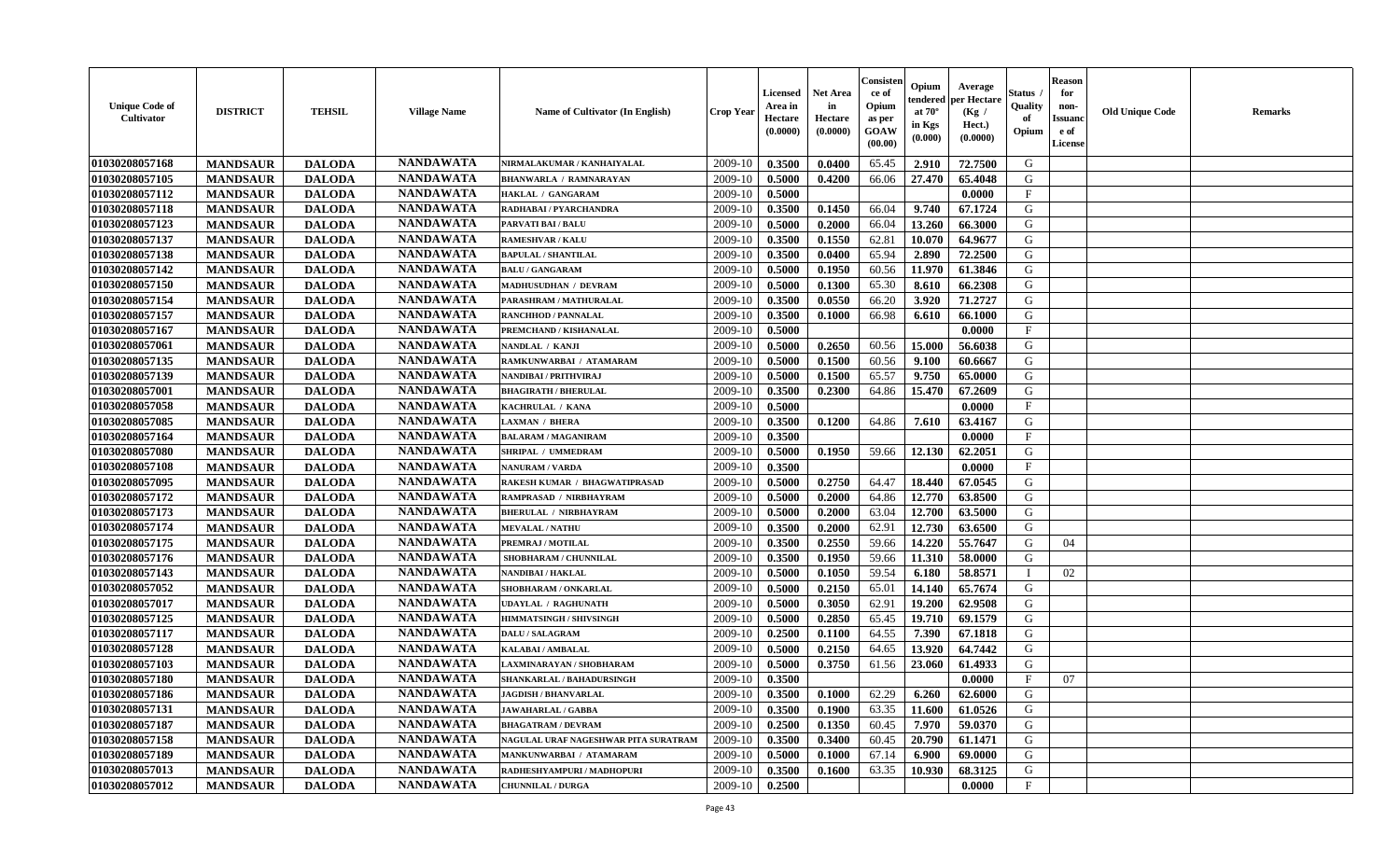| <b>Unique Code of</b><br><b>Cultivator</b> | <b>DISTRICT</b> | <b>TEHSIL</b> | <b>Village Name</b> | Name of Cultivator (In English)      | <b>Crop Year</b> | <b>Licensed</b><br>Area in<br>Hectare<br>(0.0000) | Net Area<br>in<br>Hectare<br>(0.0000) | Consister<br>ce of<br>Opium<br>as per<br>GOAW<br>(00.00) | Opium<br>endered<br>at $70^\circ$<br>in Kgs<br>(0.000) | Average<br>per Hectare<br>(Kg /<br>Hect.)<br>(0.0000) | Status<br>Quality<br>of<br>Opium | <b>Reason</b><br>for<br>non-<br><b>Issuand</b><br>e of<br>License | <b>Old Unique Code</b> | Remarks |
|--------------------------------------------|-----------------|---------------|---------------------|--------------------------------------|------------------|---------------------------------------------------|---------------------------------------|----------------------------------------------------------|--------------------------------------------------------|-------------------------------------------------------|----------------------------------|-------------------------------------------------------------------|------------------------|---------|
| 01030208057168                             | <b>MANDSAUR</b> | <b>DALODA</b> | <b>NANDAWATA</b>    | NIRMALAKUMAR / KANHAIYALAL           | 2009-10          | 0.3500                                            | 0.0400                                | 65.45                                                    | 2.910                                                  | 72.7500                                               | G                                |                                                                   |                        |         |
| 01030208057105                             | <b>MANDSAUR</b> | <b>DALODA</b> | <b>NANDAWATA</b>    | <b>BHANWARLA / RAMNARAYAN</b>        | 2009-10          | 0.5000                                            | 0.4200                                | 66.06                                                    | 27.470                                                 | 65.4048                                               | G                                |                                                                   |                        |         |
| 01030208057112                             | <b>MANDSAUR</b> | <b>DALODA</b> | <b>NANDAWATA</b>    | HAKLAL / GANGARAM                    | 2009-10          | 0.5000                                            |                                       |                                                          |                                                        | 0.0000                                                | $\mathbf{F}$                     |                                                                   |                        |         |
| 01030208057118                             | <b>MANDSAUR</b> | <b>DALODA</b> | <b>NANDAWATA</b>    | RADHABAI / PYARCHANDRA               | 2009-10          | 0.3500                                            | 0.1450                                | 66.04                                                    | 9.740                                                  | 67.1724                                               | G                                |                                                                   |                        |         |
| 01030208057123                             | <b>MANDSAUR</b> | <b>DALODA</b> | <b>NANDAWATA</b>    | PARVATI BAI / BALU                   | 2009-10          | 0.5000                                            | 0.2000                                | 66.04                                                    | 13.260                                                 | 66.3000                                               | G                                |                                                                   |                        |         |
| 01030208057137                             | <b>MANDSAUR</b> | <b>DALODA</b> | <b>NANDAWATA</b>    | <b>RAMESHVAR / KALU</b>              | 2009-10          | 0.3500                                            | 0.1550                                | 62.81                                                    | 10.070                                                 | 64.9677                                               | G                                |                                                                   |                        |         |
| 01030208057138                             | <b>MANDSAUR</b> | <b>DALODA</b> | <b>NANDAWATA</b>    | <b>BAPULAL / SHANTILAL</b>           | 2009-10          | 0.3500                                            | 0.0400                                | 65.94                                                    | 2.890                                                  | 72.2500                                               | G                                |                                                                   |                        |         |
| 01030208057142                             | <b>MANDSAUR</b> | <b>DALODA</b> | <b>NANDAWATA</b>    | <b>BALU / GANGARAM</b>               | 2009-10          | 0.5000                                            | 0.1950                                | 60.56                                                    | 11.970                                                 | 61.3846                                               | G                                |                                                                   |                        |         |
| 01030208057150                             | <b>MANDSAUR</b> | <b>DALODA</b> | <b>NANDAWATA</b>    | <b>MADHUSUDHAN / DEVRAM</b>          | 2009-10          | 0.5000                                            | 0.1300                                | 65.30                                                    | 8.610                                                  | 66.2308                                               | G                                |                                                                   |                        |         |
| 01030208057154                             | <b>MANDSAUR</b> | <b>DALODA</b> | <b>NANDAWATA</b>    | PARASHRAM / MATHURALAL               | 2009-10          | 0.3500                                            | 0.0550                                | 66.20                                                    | 3.920                                                  | 71.2727                                               | G                                |                                                                   |                        |         |
| 01030208057157                             | <b>MANDSAUR</b> | <b>DALODA</b> | <b>NANDAWATA</b>    | <b>RANCHHOD / PANNALAL</b>           | 2009-10          | 0.3500                                            | 0.1000                                | 66.98                                                    | 6.610                                                  | 66.1000                                               | G                                |                                                                   |                        |         |
| 01030208057167                             | <b>MANDSAUR</b> | <b>DALODA</b> | <b>NANDAWATA</b>    | PREMCHAND / KISHANALAL               | 2009-10          | 0.5000                                            |                                       |                                                          |                                                        | 0.0000                                                | $_{\rm F}$                       |                                                                   |                        |         |
| 01030208057061                             | <b>MANDSAUR</b> | <b>DALODA</b> | <b>NANDAWATA</b>    | NANDLAL / KANJI                      | 2009-10          | 0.5000                                            | 0.2650                                | 60.56                                                    | 15.000                                                 | 56.6038                                               | G                                |                                                                   |                        |         |
| 01030208057135                             | <b>MANDSAUR</b> | <b>DALODA</b> | <b>NANDAWATA</b>    | RAMKUNWARBAI / ATAMARAM              | 2009-10          | 0.5000                                            | 0.1500                                | 60.56                                                    | 9.100                                                  | 60.6667                                               | G                                |                                                                   |                        |         |
| 01030208057139                             | <b>MANDSAUR</b> | <b>DALODA</b> | <b>NANDAWATA</b>    | <b>NANDIBAI / PRITHVIRAJ</b>         | 2009-10          | 0.5000                                            | 0.1500                                | 65.57                                                    | 9.750                                                  | 65.0000                                               | $\mathbf G$                      |                                                                   |                        |         |
| 01030208057001                             | <b>MANDSAUR</b> | <b>DALODA</b> | <b>NANDAWATA</b>    | <b>BHAGIRATH / BHERULAL</b>          | 2009-10          | 0.3500                                            | 0.2300                                | 64.86                                                    | 15.470                                                 | 67.2609                                               | G                                |                                                                   |                        |         |
| 01030208057058                             | <b>MANDSAUR</b> | <b>DALODA</b> | <b>NANDAWATA</b>    | KACHRULAL / KANA                     | 2009-10          | 0.5000                                            |                                       |                                                          |                                                        | 0.0000                                                | $\mathbf{F}$                     |                                                                   |                        |         |
| 01030208057085                             | <b>MANDSAUR</b> | <b>DALODA</b> | <b>NANDAWATA</b>    | <b>LAXMAN / BHERA</b>                | 2009-10          | 0.3500                                            | 0.1200                                | 64.86                                                    | 7.610                                                  | 63.4167                                               | G                                |                                                                   |                        |         |
| 01030208057164                             | <b>MANDSAUR</b> | <b>DALODA</b> | <b>NANDAWATA</b>    | <b>BALARAM / MAGANIRAM</b>           | 2009-10          | 0.3500                                            |                                       |                                                          |                                                        | 0.0000                                                | F                                |                                                                   |                        |         |
| 01030208057080                             | <b>MANDSAUR</b> | <b>DALODA</b> | <b>NANDAWATA</b>    | SHRIPAL / UMMEDRAM                   | 2009-10          | 0.5000                                            | 0.1950                                | 59.66                                                    | 12.130                                                 | 62.2051                                               | G                                |                                                                   |                        |         |
| 01030208057108                             | <b>MANDSAUR</b> | <b>DALODA</b> | <b>NANDAWATA</b>    | <b>NANURAM / VARDA</b>               | 2009-10          | 0.3500                                            |                                       |                                                          |                                                        | 0.0000                                                | $\mathbf{F}$                     |                                                                   |                        |         |
| 01030208057095                             | <b>MANDSAUR</b> | <b>DALODA</b> | <b>NANDAWATA</b>    | RAKESH KUMAR / BHAGWATIPRASAD        | 2009-10          | 0.5000                                            | 0.2750                                | 64.47                                                    | 18.440                                                 | 67.0545                                               | G                                |                                                                   |                        |         |
| 01030208057172                             | <b>MANDSAUR</b> | <b>DALODA</b> | <b>NANDAWATA</b>    | RAMPRASAD / NIRBHAYRAM               | 2009-10          | 0.5000                                            | 0.2000                                | 64.86                                                    | 12.770                                                 | 63.8500                                               | G                                |                                                                   |                        |         |
| 01030208057173                             | <b>MANDSAUR</b> | <b>DALODA</b> | <b>NANDAWATA</b>    | <b>BHERULAL / NIRBHAYRAM</b>         | 2009-10          | 0.5000                                            | 0.2000                                | 63.04                                                    | 12.700                                                 | 63.5000                                               | G                                |                                                                   |                        |         |
| 01030208057174                             | <b>MANDSAUR</b> | <b>DALODA</b> | <b>NANDAWATA</b>    | <b>MEVALAL / NATHU</b>               | 2009-10          | 0.3500                                            | 0.2000                                | 62.91                                                    | 12.730                                                 | 63.6500                                               | G                                |                                                                   |                        |         |
| 01030208057175                             | <b>MANDSAUR</b> | <b>DALODA</b> | <b>NANDAWATA</b>    | PREMRAJ / MOTILAL                    | 2009-10          | 0.3500                                            | 0.2550                                | 59.66                                                    | 14.220                                                 | 55.7647                                               | G                                | 04                                                                |                        |         |
| 01030208057176                             | <b>MANDSAUR</b> | <b>DALODA</b> | <b>NANDAWATA</b>    | SHOBHARAM / CHUNNILAL                | 2009-10          | 0.3500                                            | 0.1950                                | 59.66                                                    | 11.310                                                 | 58.0000                                               | G                                |                                                                   |                        |         |
| 01030208057143                             | <b>MANDSAUR</b> | <b>DALODA</b> | <b>NANDAWATA</b>    | NANDIBAI / HAKLAL                    | 2009-10          | 0.5000                                            | 0.1050                                | 59.54                                                    | 6.180                                                  | 58.8571                                               | $\mathbf{I}$                     | 02                                                                |                        |         |
| 01030208057052                             | <b>MANDSAUR</b> | <b>DALODA</b> | <b>NANDAWATA</b>    | SHOBHARAM / ONKARLAL                 | 2009-10          | 0.5000                                            | 0.2150                                | 65.01                                                    | 14.140                                                 | 65.7674                                               | G                                |                                                                   |                        |         |
| 01030208057017                             | <b>MANDSAUR</b> | <b>DALODA</b> | <b>NANDAWATA</b>    | <b>UDAYLAL / RAGHUNATH</b>           | 2009-10          | 0.5000                                            | 0.3050                                | 62.91                                                    | 19.200                                                 | 62.9508                                               | G                                |                                                                   |                        |         |
| 01030208057125                             | <b>MANDSAUR</b> | <b>DALODA</b> | <b>NANDAWATA</b>    | <b>HIMMATSINGH / SHIVSINGH</b>       | 2009-10          | 0.5000                                            | 0.2850                                | 65.45                                                    | 19.710                                                 | 69.1579                                               | G                                |                                                                   |                        |         |
| 01030208057117                             | <b>MANDSAUR</b> | <b>DALODA</b> | <b>NANDAWATA</b>    | <b>DALU / SALAGRAM</b>               | 2009-10          | 0.2500                                            | 0.1100                                | 64.55                                                    | 7.390                                                  | 67.1818                                               | G                                |                                                                   |                        |         |
| 01030208057128                             | <b>MANDSAUR</b> | <b>DALODA</b> | <b>NANDAWATA</b>    | KALABAI/AMBALAL                      | 2009-10          | 0.5000                                            | 0.2150                                | 64.65                                                    | 13.920                                                 | 64.7442                                               | G                                |                                                                   |                        |         |
| 01030208057103                             | <b>MANDSAUR</b> | <b>DALODA</b> | <b>NANDAWATA</b>    | LAXMINARAYAN / SHOBHARAM             | 2009-10          | 0.5000                                            | 0.3750                                | 61.56                                                    | 23.060                                                 | 61.4933                                               | G                                |                                                                   |                        |         |
| 01030208057180                             | <b>MANDSAUR</b> | <b>DALODA</b> | <b>NANDAWATA</b>    | SHANKARLAL / BAHADURSINGH            | 2009-10          | 0.3500                                            |                                       |                                                          |                                                        | 0.0000                                                | $_{\rm F}$                       | 07                                                                |                        |         |
| 01030208057186                             | <b>MANDSAUR</b> | <b>DALODA</b> | <b>NANDAWATA</b>    | <b>JAGDISH / BHANVARLAL</b>          | 2009-10          | 0.3500                                            | 0.1000                                | 62.29                                                    | 6.260                                                  | 62.6000                                               | G                                |                                                                   |                        |         |
| 01030208057131                             | <b>MANDSAUR</b> | <b>DALODA</b> | <b>NANDAWATA</b>    | <b>JAWAHARLAL / GABBA</b>            | 2009-10          | 0.3500                                            | 0.1900                                | 63.35                                                    | 11.600                                                 | 61.0526                                               | G                                |                                                                   |                        |         |
| 01030208057187                             | <b>MANDSAUR</b> | <b>DALODA</b> | <b>NANDAWATA</b>    | <b>BHAGATRAM / DEVRAM</b>            | 2009-10          | 0.2500                                            | 0.1350                                | 60.45                                                    | 7.970                                                  | 59.0370                                               | G                                |                                                                   |                        |         |
| 01030208057158                             | <b>MANDSAUR</b> | <b>DALODA</b> | <b>NANDAWATA</b>    | NAGULAL URAF NAGESHWAR PITA SURATRAM | 2009-10          | 0.3500                                            | 0.3400                                | 60.45                                                    | 20.790                                                 | 61.1471                                               | G                                |                                                                   |                        |         |
| 01030208057189                             | <b>MANDSAUR</b> | <b>DALODA</b> | <b>NANDAWATA</b>    | MANKUNWARBAI / ATAMARAM              | 2009-10          | 0.5000                                            | 0.1000                                | 67.14                                                    | 6.900                                                  | 69.0000                                               | ${\bf G}$                        |                                                                   |                        |         |
| 01030208057013                             | <b>MANDSAUR</b> | <b>DALODA</b> | <b>NANDAWATA</b>    | RADHESHYAMPURI / MADHOPURI           | 2009-10          | 0.3500                                            | 0.1600                                | 63.35                                                    | 10.930                                                 | 68.3125                                               | G                                |                                                                   |                        |         |
| 01030208057012                             | <b>MANDSAUR</b> | <b>DALODA</b> | <b>NANDAWATA</b>    | <b>CHUNNILAL / DURGA</b>             | 2009-10          | 0.2500                                            |                                       |                                                          |                                                        | 0.0000                                                | $\mathbf{F}$                     |                                                                   |                        |         |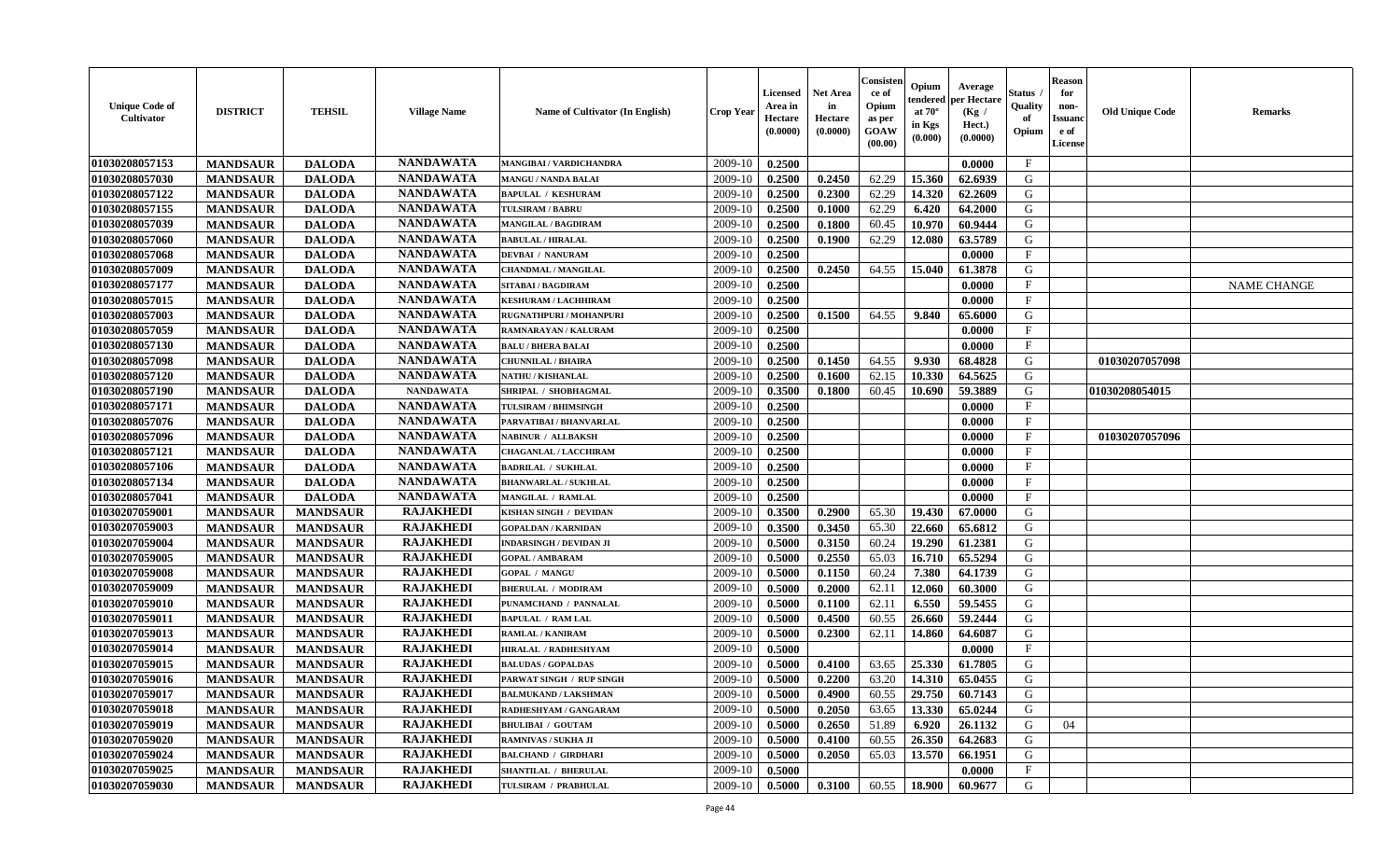| <b>Unique Code of</b><br>Cultivator | <b>DISTRICT</b> | <b>TEHSIL</b>   | <b>Village Name</b> | Name of Cultivator (In English) | <b>Crop Year</b> | <b>Licensed</b><br>Area in<br>Hectare<br>(0.0000) | <b>Net Area</b><br>in<br>Hectare<br>(0.0000) | Consisteı<br>ce of<br>Opium<br>as per<br>GOAW<br>(00.00) | Opium<br>endered<br>at 70°<br>in Kgs<br>(0.000) | Average<br>er Hectare<br>(Kg /<br>Hect.)<br>(0.0000) | Status<br>Quality<br>of<br>Opium | <b>Reason</b><br>for<br>non-<br><b>Issuand</b><br>e of<br>License | <b>Old Unique Code</b> | Remarks            |
|-------------------------------------|-----------------|-----------------|---------------------|---------------------------------|------------------|---------------------------------------------------|----------------------------------------------|----------------------------------------------------------|-------------------------------------------------|------------------------------------------------------|----------------------------------|-------------------------------------------------------------------|------------------------|--------------------|
| 01030208057153                      | <b>MANDSAUR</b> | <b>DALODA</b>   | <b>NANDAWATA</b>    | MANGIBAI / VARDICHANDRA         | 2009-10          | 0.2500                                            |                                              |                                                          |                                                 | 0.0000                                               | $\mathbf{F}$                     |                                                                   |                        |                    |
| 01030208057030                      | <b>MANDSAUR</b> | <b>DALODA</b>   | <b>NANDAWATA</b>    | <b>MANGU / NANDA BALAI</b>      | 2009-10          | 0.2500                                            | 0.2450                                       | 62.29                                                    | 15.360                                          | 62.6939                                              | G                                |                                                                   |                        |                    |
| 01030208057122                      | <b>MANDSAUR</b> | <b>DALODA</b>   | <b>NANDAWATA</b>    | <b>BAPULAL / KESHURAM</b>       | 2009-10          | 0.2500                                            | 0.2300                                       | 62.29                                                    | 14.320                                          | 62.2609                                              | G                                |                                                                   |                        |                    |
| 01030208057155                      | <b>MANDSAUR</b> | <b>DALODA</b>   | <b>NANDAWATA</b>    | <b>TULSIRAM / BABRU</b>         | 2009-10          | 0.2500                                            | 0.1000                                       | 62.29                                                    | 6.420                                           | 64.2000                                              | G                                |                                                                   |                        |                    |
| 01030208057039                      | <b>MANDSAUR</b> | <b>DALODA</b>   | <b>NANDAWATA</b>    | <b>MANGILAL / BAGDIRAM</b>      | 2009-10          | 0.2500                                            | 0.1800                                       | 60.45                                                    | 10.970                                          | 60.9444                                              | G                                |                                                                   |                        |                    |
| 01030208057060                      | <b>MANDSAUR</b> | <b>DALODA</b>   | <b>NANDAWATA</b>    | <b>BABULAL / HIRALAL</b>        | 2009-10          | 0.2500                                            | 0.1900                                       | 62.29                                                    | 12.080                                          | 63.5789                                              | G                                |                                                                   |                        |                    |
| 01030208057068                      | <b>MANDSAUR</b> | <b>DALODA</b>   | <b>NANDAWATA</b>    | <b>DEVBAI / NANURAM</b>         | 2009-10          | 0.2500                                            |                                              |                                                          |                                                 | 0.0000                                               | $\mathbf{F}$                     |                                                                   |                        |                    |
| 01030208057009                      | <b>MANDSAUR</b> | <b>DALODA</b>   | <b>NANDAWATA</b>    | <b>CHANDMAL / MANGILAL</b>      | 2009-10          | 0.2500                                            | 0.2450                                       | 64.55                                                    | 15.040                                          | 61.3878                                              | G                                |                                                                   |                        |                    |
| 01030208057177                      | <b>MANDSAUR</b> | <b>DALODA</b>   | <b>NANDAWATA</b>    | SITABAI / BAGDIRAM              | 2009-10          | 0.2500                                            |                                              |                                                          |                                                 | 0.0000                                               | $_{\rm F}$                       |                                                                   |                        | <b>NAME CHANGE</b> |
| 01030208057015                      | <b>MANDSAUR</b> | <b>DALODA</b>   | <b>NANDAWATA</b>    | <b>KESHURAM / LACHHIRAM</b>     | 2009-10          | 0.2500                                            |                                              |                                                          |                                                 | 0.0000                                               | $\mathbf{F}$                     |                                                                   |                        |                    |
| 01030208057003                      | <b>MANDSAUR</b> | <b>DALODA</b>   | <b>NANDAWATA</b>    | RUGNATHPURI / MOHANPURI         | 2009-10          | 0.2500                                            | 0.1500                                       | 64.55                                                    | 9.840                                           | 65.6000                                              | G                                |                                                                   |                        |                    |
| 01030208057059                      | <b>MANDSAUR</b> | <b>DALODA</b>   | <b>NANDAWATA</b>    | RAMNARAYAN / KALURAM            | 2009-10          | 0.2500                                            |                                              |                                                          |                                                 | 0.0000                                               | $\mathbf F$                      |                                                                   |                        |                    |
| 01030208057130                      | <b>MANDSAUR</b> | <b>DALODA</b>   | <b>NANDAWATA</b>    | <b>BALU / BHERA BALAI</b>       | 2009-10          | 0.2500                                            |                                              |                                                          |                                                 | 0.0000                                               | $\rm F$                          |                                                                   |                        |                    |
| 01030208057098                      | <b>MANDSAUR</b> | <b>DALODA</b>   | <b>NANDAWATA</b>    | <b>CHUNNILAL / BHAIRA</b>       | 2009-10          | 0.2500                                            | 0.1450                                       | 64.55                                                    | 9.930                                           | 68.4828                                              | G                                |                                                                   | 01030207057098         |                    |
| 01030208057120                      | <b>MANDSAUR</b> | <b>DALODA</b>   | <b>NANDAWATA</b>    | <b>NATHU / KISHANLAL</b>        | 2009-10          | 0.2500                                            | 0.1600                                       | 62.15                                                    | 10.330                                          | 64.5625                                              | $\mathbf G$                      |                                                                   |                        |                    |
| 01030208057190                      | <b>MANDSAUR</b> | <b>DALODA</b>   | <b>NANDAWATA</b>    | SHRIPAL / SHOBHAGMAL            | 2009-10          | 0.3500                                            | 0.1800                                       | 60.45                                                    | 10.690                                          | 59.3889                                              | G                                |                                                                   | 01030208054015         |                    |
| 01030208057171                      | <b>MANDSAUR</b> | <b>DALODA</b>   | <b>NANDAWATA</b>    | <b>TULSIRAM / BHIMSINGH</b>     | 2009-10          | 0.2500                                            |                                              |                                                          |                                                 | 0.0000                                               | $\mathbf{F}$                     |                                                                   |                        |                    |
| 01030208057076                      | <b>MANDSAUR</b> | <b>DALODA</b>   | <b>NANDAWATA</b>    | PARVATIBAI / BHANVARLAL         | 2009-10          | 0.2500                                            |                                              |                                                          |                                                 | 0.0000                                               | $\mathbf F$                      |                                                                   |                        |                    |
| 01030208057096                      | <b>MANDSAUR</b> | <b>DALODA</b>   | <b>NANDAWATA</b>    | NABINUR / ALLBAKSH              | 2009-10          | 0.2500                                            |                                              |                                                          |                                                 | 0.0000                                               | F                                |                                                                   | 01030207057096         |                    |
| 01030208057121                      | <b>MANDSAUR</b> | <b>DALODA</b>   | <b>NANDAWATA</b>    | <b>CHAGANLAL / LACCHIRAM</b>    | 2009-10          | 0.2500                                            |                                              |                                                          |                                                 | 0.0000                                               | $\mathbf{F}$                     |                                                                   |                        |                    |
| 01030208057106                      | <b>MANDSAUR</b> | <b>DALODA</b>   | <b>NANDAWATA</b>    | <b>BADRILAL / SUKHLAL</b>       | 2009-10          | 0.2500                                            |                                              |                                                          |                                                 | 0.0000                                               | $\mathbf{F}$                     |                                                                   |                        |                    |
| 01030208057134                      | <b>MANDSAUR</b> | <b>DALODA</b>   | <b>NANDAWATA</b>    | <b>BHANWARLAL / SUKHLAL</b>     | 2009-10          | 0.2500                                            |                                              |                                                          |                                                 | 0.0000                                               | $\mathbf{F}$                     |                                                                   |                        |                    |
| 01030208057041                      | <b>MANDSAUR</b> | <b>DALODA</b>   | <b>NANDAWATA</b>    | MANGILAL / RAMLAL               | 2009-10          | 0.2500                                            |                                              |                                                          |                                                 | 0.0000                                               | F                                |                                                                   |                        |                    |
| 01030207059001                      | <b>MANDSAUR</b> | <b>MANDSAUR</b> | <b>RAJAKHEDI</b>    | KISHAN SINGH / DEVIDAN          | 2009-10          | 0.3500                                            | 0.2900                                       | 65.30                                                    | 19.430                                          | 67.0000                                              | G                                |                                                                   |                        |                    |
| 01030207059003                      | <b>MANDSAUR</b> | <b>MANDSAUR</b> | <b>RAJAKHEDI</b>    | <b>GOPALDAN / KARNIDAN</b>      | 2009-10          | 0.3500                                            | 0.3450                                       | 65.30                                                    | 22.660                                          | 65.6812                                              | G                                |                                                                   |                        |                    |
| 01030207059004                      | <b>MANDSAUR</b> | <b>MANDSAUR</b> | <b>RAJAKHEDI</b>    | <b>INDARSINGH / DEVIDAN JI</b>  | 2009-10          | 0.5000                                            | 0.3150                                       | 60.24                                                    | 19.290                                          | 61.2381                                              | G                                |                                                                   |                        |                    |
| 01030207059005                      | <b>MANDSAUR</b> | <b>MANDSAUR</b> | <b>RAJAKHEDI</b>    | <b>GOPAL / AMBARAM</b>          | 2009-10          | 0.5000                                            | 0.2550                                       | 65.03                                                    | 16.710                                          | 65.5294                                              | G                                |                                                                   |                        |                    |
| 01030207059008                      | <b>MANDSAUR</b> | <b>MANDSAUR</b> | <b>RAJAKHEDI</b>    | <b>GOPAL / MANGU</b>            | 2009-10          | 0.5000                                            | 0.1150                                       | 60.24                                                    | 7.380                                           | 64.1739                                              | G                                |                                                                   |                        |                    |
| 01030207059009                      | <b>MANDSAUR</b> | <b>MANDSAUR</b> | <b>RAJAKHEDI</b>    | <b>BHERULAL / MODIRAM</b>       | 2009-10          | 0.5000                                            | 0.2000                                       | 62.11                                                    | 12.060                                          | 60.3000                                              | G                                |                                                                   |                        |                    |
| 01030207059010                      | <b>MANDSAUR</b> | <b>MANDSAUR</b> | <b>RAJAKHEDI</b>    | PUNAMCHAND / PANNALAL           | 2009-10          | 0.5000                                            | 0.1100                                       | 62.11                                                    | 6.550                                           | 59.5455                                              | G                                |                                                                   |                        |                    |
| 01030207059011                      | <b>MANDSAUR</b> | <b>MANDSAUR</b> | <b>RAJAKHEDI</b>    | <b>BAPULAL / RAM LAL</b>        | 2009-10          | 0.5000                                            | 0.4500                                       | 60.55                                                    | 26.660                                          | 59.2444                                              | G                                |                                                                   |                        |                    |
| 01030207059013                      | <b>MANDSAUR</b> | <b>MANDSAUR</b> | <b>RAJAKHEDI</b>    | RAMLAL / KANIRAM                | 2009-10          | 0.5000                                            | 0.2300                                       | 62.11                                                    | 14.860                                          | 64.6087                                              | G                                |                                                                   |                        |                    |
| 01030207059014                      | <b>MANDSAUR</b> | <b>MANDSAUR</b> | <b>RAJAKHEDI</b>    | HIRALAL / RADHESHYAM            | 2009-10          | 0.5000                                            |                                              |                                                          |                                                 | 0.0000                                               | $\mathbf{F}$                     |                                                                   |                        |                    |
| 01030207059015                      | <b>MANDSAUR</b> | <b>MANDSAUR</b> | <b>RAJAKHEDI</b>    | <b>BALUDAS / GOPALDAS</b>       | 2009-10          | 0.5000                                            | 0.4100                                       | 63.65                                                    | 25.330                                          | 61.7805                                              | G                                |                                                                   |                        |                    |
| 01030207059016                      | <b>MANDSAUR</b> | <b>MANDSAUR</b> | <b>RAJAKHEDI</b>    | PARWAT SINGH / RUP SINGH        | 2009-10          | 0.5000                                            | 0.2200                                       | 63.20                                                    | 14.310                                          | 65.0455                                              | G                                |                                                                   |                        |                    |
| 01030207059017                      | <b>MANDSAUR</b> | <b>MANDSAUR</b> | <b>RAJAKHEDI</b>    | <b>BALMUKAND / LAKSHMAN</b>     | 2009-10          | 0.5000                                            | 0.4900                                       | 60.55                                                    | 29.750                                          | 60.7143                                              | G                                |                                                                   |                        |                    |
| 01030207059018                      | <b>MANDSAUR</b> | <b>MANDSAUR</b> | <b>RAJAKHEDI</b>    | RADHESHYAM / GANGARAM           | 2009-10          | 0.5000                                            | 0.2050                                       | 63.65                                                    | 13.330                                          | 65.0244                                              | G                                |                                                                   |                        |                    |
| 01030207059019                      | <b>MANDSAUR</b> | <b>MANDSAUR</b> | <b>RAJAKHEDI</b>    | <b>BHULIBAI / GOUTAM</b>        | 2009-10          | 0.5000                                            | 0.2650                                       | 51.89                                                    | 6.920                                           | 26.1132                                              | G                                | 04                                                                |                        |                    |
| 01030207059020                      | <b>MANDSAUR</b> | <b>MANDSAUR</b> | <b>RAJAKHEDI</b>    | RAMNIVAS / SUKHA JI             | 2009-10          | 0.5000                                            | 0.4100                                       | 60.55                                                    | 26.350                                          | 64.2683                                              | G                                |                                                                   |                        |                    |
| 01030207059024                      | <b>MANDSAUR</b> | <b>MANDSAUR</b> | <b>RAJAKHEDI</b>    | <b>BALCHAND / GIRDHARI</b>      | 2009-10          | 0.5000                                            | 0.2050                                       | 65.03                                                    | 13.570                                          | 66.1951                                              | ${\bf G}$                        |                                                                   |                        |                    |
| 01030207059025                      | <b>MANDSAUR</b> | <b>MANDSAUR</b> | <b>RAJAKHEDI</b>    | <b>SHANTILAL / BHERULAL</b>     | 2009-10          | 0.5000                                            |                                              |                                                          |                                                 | 0.0000                                               | $\mathbf{F}$                     |                                                                   |                        |                    |
| 01030207059030                      | <b>MANDSAUR</b> | <b>MANDSAUR</b> | <b>RAJAKHEDI</b>    | TULSIRAM / PRABHULAL            | 2009-10          | 0.5000                                            | 0.3100                                       | 60.55                                                    | 18.900                                          | 60.9677                                              | G                                |                                                                   |                        |                    |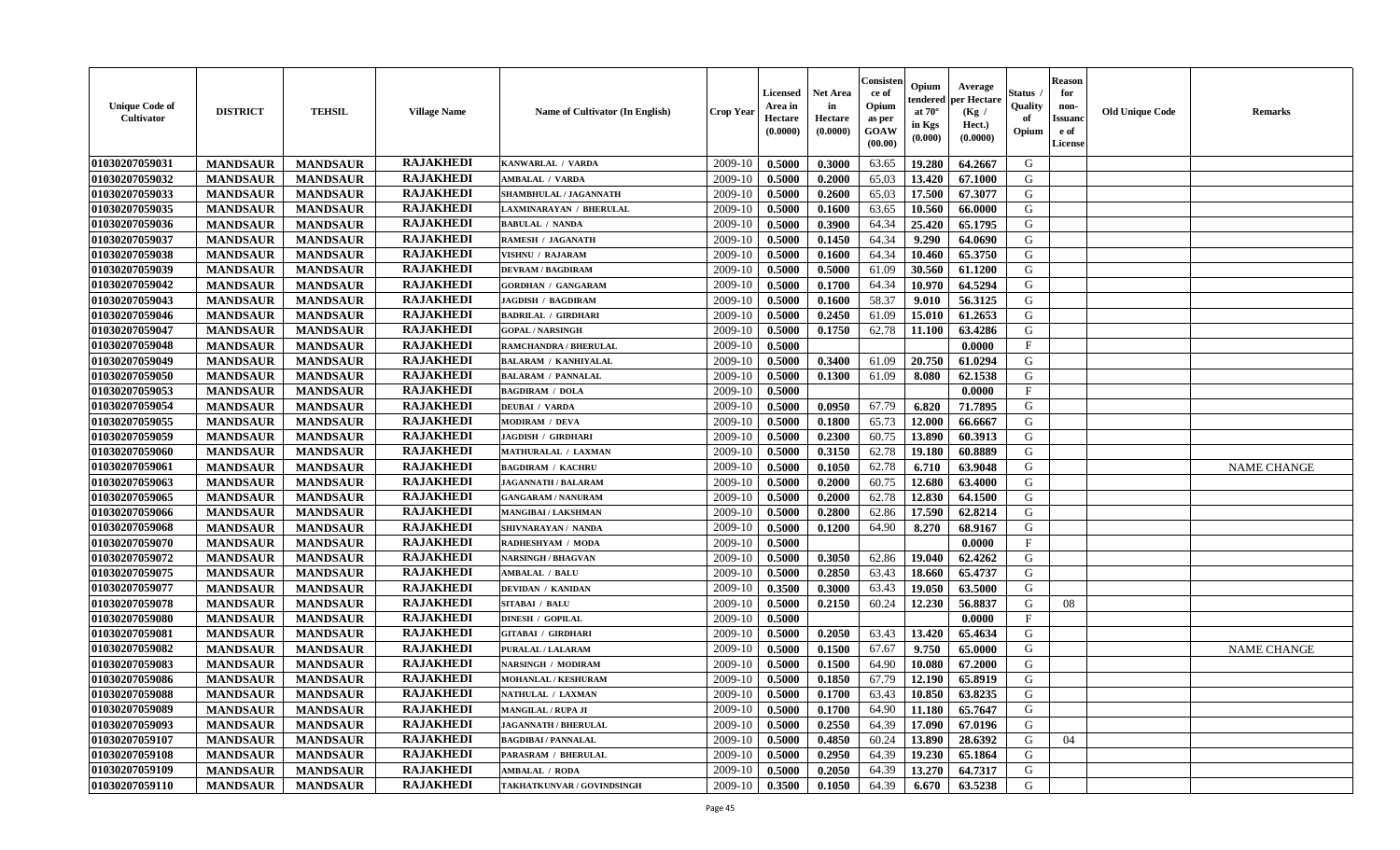| <b>Unique Code of</b><br>Cultivator | <b>DISTRICT</b> | <b>TEHSIL</b>   | <b>Village Name</b> | Name of Cultivator (In English) | <b>Crop Year</b> | <b>Licensed</b><br>Area in<br>Hectare<br>(0.0000) | <b>Net Area</b><br>in<br>Hectare<br>(0.0000) | Consister<br>ce of<br>Opium<br>as per<br>GOAW<br>(00.00) | Opium<br>endered<br>at $70^\circ$<br>in Kgs<br>(0.000) | Average<br>per Hectare<br>(Kg /<br>Hect.)<br>(0.0000) | <b>Status</b> .<br>Quality<br>of<br>Opium | <b>Reason</b><br>for<br>non-<br><b>Issuanc</b><br>e of<br>License | <b>Old Unique Code</b> | <b>Remarks</b>     |
|-------------------------------------|-----------------|-----------------|---------------------|---------------------------------|------------------|---------------------------------------------------|----------------------------------------------|----------------------------------------------------------|--------------------------------------------------------|-------------------------------------------------------|-------------------------------------------|-------------------------------------------------------------------|------------------------|--------------------|
| 01030207059031                      | <b>MANDSAUR</b> | <b>MANDSAUR</b> | <b>RAJAKHEDI</b>    | KANWARLAL / VARDA               | 2009-10          | 0.5000                                            | 0.3000                                       | 63.65                                                    | 19.280                                                 | 64.2667                                               | G                                         |                                                                   |                        |                    |
| 01030207059032                      | <b>MANDSAUR</b> | <b>MANDSAUR</b> | <b>RAJAKHEDI</b>    | <b>AMBALAL / VARDA</b>          | 2009-10          | 0.5000                                            | 0.2000                                       | 65.03                                                    | 13.420                                                 | 67.1000                                               | G                                         |                                                                   |                        |                    |
| 01030207059033                      | <b>MANDSAUR</b> | <b>MANDSAUR</b> | <b>RAJAKHEDI</b>    | SHAMBHULAL / JAGANNATH          | 2009-10          | 0.5000                                            | 0.2600                                       | 65.03                                                    | 17.500                                                 | 67.3077                                               | G                                         |                                                                   |                        |                    |
| 01030207059035                      | <b>MANDSAUR</b> | <b>MANDSAUR</b> | <b>RAJAKHEDI</b>    | LAXMINARAYAN / BHERULAL         | 2009-10          | 0.5000                                            | 0.1600                                       | 63.65                                                    | 10.560                                                 | 66.0000                                               | G                                         |                                                                   |                        |                    |
| 01030207059036                      | <b>MANDSAUR</b> | <b>MANDSAUR</b> | <b>RAJAKHEDI</b>    | <b>BABULAL / NANDA</b>          | 2009-10          | 0.5000                                            | 0.3900                                       | 64.34                                                    | 25.420                                                 | 65.1795                                               | G                                         |                                                                   |                        |                    |
| 01030207059037                      | <b>MANDSAUR</b> | <b>MANDSAUR</b> | <b>RAJAKHEDI</b>    | RAMESH / JAGANATH               | 2009-10          | 0.5000                                            | 0.1450                                       | 64.34                                                    | 9.290                                                  | 64.0690                                               | G                                         |                                                                   |                        |                    |
| 01030207059038                      | <b>MANDSAUR</b> | <b>MANDSAUR</b> | <b>RAJAKHEDI</b>    | <b>VISHNU / RAJARAM</b>         | 2009-10          | 0.5000                                            | 0.1600                                       | 64.34                                                    | 10.460                                                 | 65.3750                                               | G                                         |                                                                   |                        |                    |
| 01030207059039                      | <b>MANDSAUR</b> | <b>MANDSAUR</b> | <b>RAJAKHEDI</b>    | <b>DEVRAM / BAGDIRAM</b>        | 2009-10          | 0.5000                                            | 0.5000                                       | 61.09                                                    | 30.560                                                 | 61.1200                                               | G                                         |                                                                   |                        |                    |
| 01030207059042                      | <b>MANDSAUR</b> | <b>MANDSAUR</b> | <b>RAJAKHEDI</b>    | <b>GORDHAN / GANGARAM</b>       | 2009-10          | 0.5000                                            | 0.1700                                       | 64.34                                                    | 10.970                                                 | 64.5294                                               | G                                         |                                                                   |                        |                    |
| 01030207059043                      | <b>MANDSAUR</b> | <b>MANDSAUR</b> | <b>RAJAKHEDI</b>    | <b>JAGDISH / BAGDIRAM</b>       | 2009-10          | 0.5000                                            | 0.1600                                       | 58.37                                                    | 9.010                                                  | 56.3125                                               | G                                         |                                                                   |                        |                    |
| 01030207059046                      | <b>MANDSAUR</b> | <b>MANDSAUR</b> | <b>RAJAKHEDI</b>    | <b>BADRILAL / GIRDHARI</b>      | 2009-10          | 0.5000                                            | 0.2450                                       | 61.09                                                    | 15.010                                                 | 61.2653                                               | G                                         |                                                                   |                        |                    |
| 01030207059047                      | <b>MANDSAUR</b> | <b>MANDSAUR</b> | <b>RAJAKHEDI</b>    | <b>GOPAL / NARSINGH</b>         | 2009-10          | 0.5000                                            | 0.1750                                       | 62.78                                                    | 11.100                                                 | 63.4286                                               | G                                         |                                                                   |                        |                    |
| 01030207059048                      | <b>MANDSAUR</b> | <b>MANDSAUR</b> | <b>RAJAKHEDI</b>    | <b>RAMCHANDRA / BHERULAL</b>    | 2009-10          | 0.5000                                            |                                              |                                                          |                                                        | 0.0000                                                | $\mathbf{F}$                              |                                                                   |                        |                    |
| 01030207059049                      | <b>MANDSAUR</b> | <b>MANDSAUR</b> | <b>RAJAKHEDI</b>    | <b>BALARAM / KANHIYALAL</b>     | 2009-10          | 0.5000                                            | 0.3400                                       | 61.09                                                    | 20.750                                                 | 61.0294                                               | G                                         |                                                                   |                        |                    |
| 01030207059050                      | <b>MANDSAUR</b> | <b>MANDSAUR</b> | <b>RAJAKHEDI</b>    | <b>BALARAM / PANNALAL</b>       | 2009-10          | 0.5000                                            | 0.1300                                       | 61.09                                                    | 8.080                                                  | 62.1538                                               | ${\bf G}$                                 |                                                                   |                        |                    |
| 01030207059053                      | <b>MANDSAUR</b> | <b>MANDSAUR</b> | <b>RAJAKHEDI</b>    | <b>BAGDIRAM / DOLA</b>          | 2009-10          | 0.5000                                            |                                              |                                                          |                                                        | 0.0000                                                | $\mathbf{F}$                              |                                                                   |                        |                    |
| 01030207059054                      | <b>MANDSAUR</b> | <b>MANDSAUR</b> | <b>RAJAKHEDI</b>    | <b>DEUBAI / VARDA</b>           | 2009-10          | 0.5000                                            | 0.0950                                       | 67.79                                                    | 6.820                                                  | 71.7895                                               | G                                         |                                                                   |                        |                    |
| 01030207059055                      | <b>MANDSAUR</b> | <b>MANDSAUR</b> | <b>RAJAKHEDI</b>    | <b>MODIRAM / DEVA</b>           | 2009-10          | 0.5000                                            | 0.1800                                       | 65.73                                                    | 12.000                                                 | 66.6667                                               | G                                         |                                                                   |                        |                    |
| 01030207059059                      | <b>MANDSAUR</b> | <b>MANDSAUR</b> | <b>RAJAKHEDI</b>    | <b>JAGDISH / GIRDHARI</b>       | 2009-10          | 0.5000                                            | 0.2300                                       | 60.75                                                    | 13.890                                                 | 60.3913                                               | G                                         |                                                                   |                        |                    |
| 01030207059060                      | <b>MANDSAUR</b> | <b>MANDSAUR</b> | <b>RAJAKHEDI</b>    | MATHURALAL / LAXMAN             | 2009-10          | 0.5000                                            | 0.3150                                       | 62.78                                                    | 19.180                                                 | 60.8889                                               | G                                         |                                                                   |                        |                    |
| 01030207059061                      | <b>MANDSAUR</b> | <b>MANDSAUR</b> | <b>RAJAKHEDI</b>    | <b>BAGDIRAM / KACHRU</b>        | 2009-10          | 0.5000                                            | 0.1050                                       | 62.78                                                    | 6.710                                                  | 63.9048                                               | G                                         |                                                                   |                        | <b>NAME CHANGE</b> |
| 01030207059063                      | <b>MANDSAUR</b> | <b>MANDSAUR</b> | <b>RAJAKHEDI</b>    | <b>JAGANNATH / BALARAM</b>      | 2009-10          | 0.5000                                            | 0.2000                                       | 60.75                                                    | 12.680                                                 | 63.4000                                               | G                                         |                                                                   |                        |                    |
|                                     |                 |                 | <b>RAJAKHEDI</b>    |                                 |                  |                                                   |                                              |                                                          |                                                        |                                                       | G                                         |                                                                   |                        |                    |
| 01030207059065                      | <b>MANDSAUR</b> | <b>MANDSAUR</b> |                     | <b>GANGARAM / NANURAM</b>       | 2009-10          | 0.5000                                            | 0.2000                                       | 62.78                                                    | 12.830                                                 | 64.1500                                               |                                           |                                                                   |                        |                    |
| 01030207059066                      | <b>MANDSAUR</b> | <b>MANDSAUR</b> | <b>RAJAKHEDI</b>    | MANGIBAI / LAKSHMAN             | 2009-10          | 0.5000                                            | 0.2800                                       | 62.86                                                    | 17.590                                                 | 62.8214                                               | ${\bf G}$                                 |                                                                   |                        |                    |
| 01030207059068                      | <b>MANDSAUR</b> | <b>MANDSAUR</b> | <b>RAJAKHEDI</b>    | SHIVNARAYAN / NANDA             | 2009-10          | 0.5000                                            | 0.1200                                       | 64.90                                                    | 8.270                                                  | 68.9167                                               | G                                         |                                                                   |                        |                    |
| 01030207059070                      | <b>MANDSAUR</b> | <b>MANDSAUR</b> | <b>RAJAKHEDI</b>    | RADHESHYAM / MODA               | 2009-10          | 0.5000                                            |                                              |                                                          |                                                        | 0.0000                                                | $\mathbf F$                               |                                                                   |                        |                    |
| 01030207059072                      | <b>MANDSAUR</b> | <b>MANDSAUR</b> | <b>RAJAKHEDI</b>    | <b>NARSINGH / BHAGVAN</b>       | 2009-10          | 0.5000                                            | 0.3050                                       | 62.86                                                    | 19.040                                                 | 62.4262                                               | G                                         |                                                                   |                        |                    |
| 01030207059075                      | <b>MANDSAUR</b> | <b>MANDSAUR</b> | <b>RAJAKHEDI</b>    | AMBALAL / BALU                  | 2009-10          | 0.5000                                            | 0.2850                                       | 63.43                                                    | 18.660                                                 | 65.4737                                               | G                                         |                                                                   |                        |                    |
| 01030207059077                      | <b>MANDSAUR</b> | <b>MANDSAUR</b> | <b>RAJAKHEDI</b>    | <b>DEVIDAN / KANIDAN</b>        | 2009-10          | 0.3500                                            | 0.3000                                       | 63.43                                                    | 19.050                                                 | 63.5000                                               | G                                         |                                                                   |                        |                    |
| 01030207059078                      | <b>MANDSAUR</b> | <b>MANDSAUR</b> | <b>RAJAKHEDI</b>    | <b>SITABAI / BALU</b>           | 2009-10          | 0.5000                                            | 0.2150                                       | 60.24                                                    | 12.230                                                 | 56.8837                                               | G                                         | 08                                                                |                        |                    |
| 01030207059080                      | <b>MANDSAUR</b> | <b>MANDSAUR</b> | <b>RAJAKHEDI</b>    | <b>DINESH / GOPILAL</b>         | 2009-10          | 0.5000                                            |                                              |                                                          |                                                        | 0.0000                                                | $\mathbf{F}$                              |                                                                   |                        |                    |
| 01030207059081                      | <b>MANDSAUR</b> | <b>MANDSAUR</b> | <b>RAJAKHEDI</b>    | <b>GITABAI / GIRDHARI</b>       | 2009-10          | 0.5000                                            | 0.2050                                       | 63.43                                                    | 13.420                                                 | 65.4634                                               | G                                         |                                                                   |                        |                    |
| 01030207059082                      | <b>MANDSAUR</b> | <b>MANDSAUR</b> | <b>RAJAKHEDI</b>    | PURALAL / LALARAM               | 2009-10          | 0.5000                                            | 0.1500                                       | 67.67                                                    | 9.750                                                  | 65.0000                                               | G                                         |                                                                   |                        | <b>NAME CHANGE</b> |
| 01030207059083                      | <b>MANDSAUR</b> | <b>MANDSAUR</b> | <b>RAJAKHEDI</b>    | <b>NARSINGH / MODIRAM</b>       | 2009-10          | 0.5000                                            | 0.1500                                       | 64.90                                                    | 10.080                                                 | 67.2000                                               | G                                         |                                                                   |                        |                    |
| 01030207059086                      | <b>MANDSAUR</b> | <b>MANDSAUR</b> | <b>RAJAKHEDI</b>    | <b>MOHANLAL / KESHURAM</b>      | 2009-10          | 0.5000                                            | 0.1850                                       | 67.79                                                    | 12.190                                                 | 65.8919                                               | ${\bf G}$                                 |                                                                   |                        |                    |
| 01030207059088                      | <b>MANDSAUR</b> | <b>MANDSAUR</b> | <b>RAJAKHEDI</b>    | NATHULAL / LAXMAN               | 2009-10          | 0.5000                                            | 0.1700                                       | 63.43                                                    | 10.850                                                 | 63.8235                                               | G                                         |                                                                   |                        |                    |
| 01030207059089                      | <b>MANDSAUR</b> | <b>MANDSAUR</b> | <b>RAJAKHEDI</b>    | <b>MANGILAL / RUPA JI</b>       | 2009-10          | 0.5000                                            | 0.1700                                       | 64.90                                                    | 11.180                                                 | 65.7647                                               | G                                         |                                                                   |                        |                    |
| 01030207059093                      | <b>MANDSAUR</b> | <b>MANDSAUR</b> | <b>RAJAKHEDI</b>    | <b>JAGANNATH / BHERULAL</b>     | 2009-10          | 0.5000                                            | 0.2550                                       | 64.39                                                    | 17.090                                                 | 67.0196                                               | G                                         |                                                                   |                        |                    |
| 01030207059107                      | <b>MANDSAUR</b> | <b>MANDSAUR</b> | <b>RAJAKHEDI</b>    | <b>BAGDIBAI / PANNALAL</b>      | 2009-10          | 0.5000                                            | 0.4850                                       | 60.24                                                    | 13.890                                                 | 28.6392                                               | G                                         | 04                                                                |                        |                    |
| 01030207059108                      | <b>MANDSAUR</b> | <b>MANDSAUR</b> | <b>RAJAKHEDI</b>    | PARASRAM / BHERULAL             | 2009-10          | 0.5000                                            | 0.2950                                       | 64.39                                                    | 19.230                                                 | 65.1864                                               | ${\bf G}$                                 |                                                                   |                        |                    |
| 01030207059109                      | <b>MANDSAUR</b> | <b>MANDSAUR</b> | RAJAKHEDI           | <b>AMBALAL / RODA</b>           | 2009-10          | 0.5000                                            | 0.2050                                       | 64.39                                                    | 13.270                                                 | 64.7317                                               | G                                         |                                                                   |                        |                    |
| 01030207059110                      | <b>MANDSAUR</b> | <b>MANDSAUR</b> | <b>RAJAKHEDI</b>    | TAKHATKUNVAR / GOVINDSINGH      | 2009-10          | 0.3500                                            | 0.1050                                       | 64.39                                                    | 6.670                                                  | 63.5238                                               | G                                         |                                                                   |                        |                    |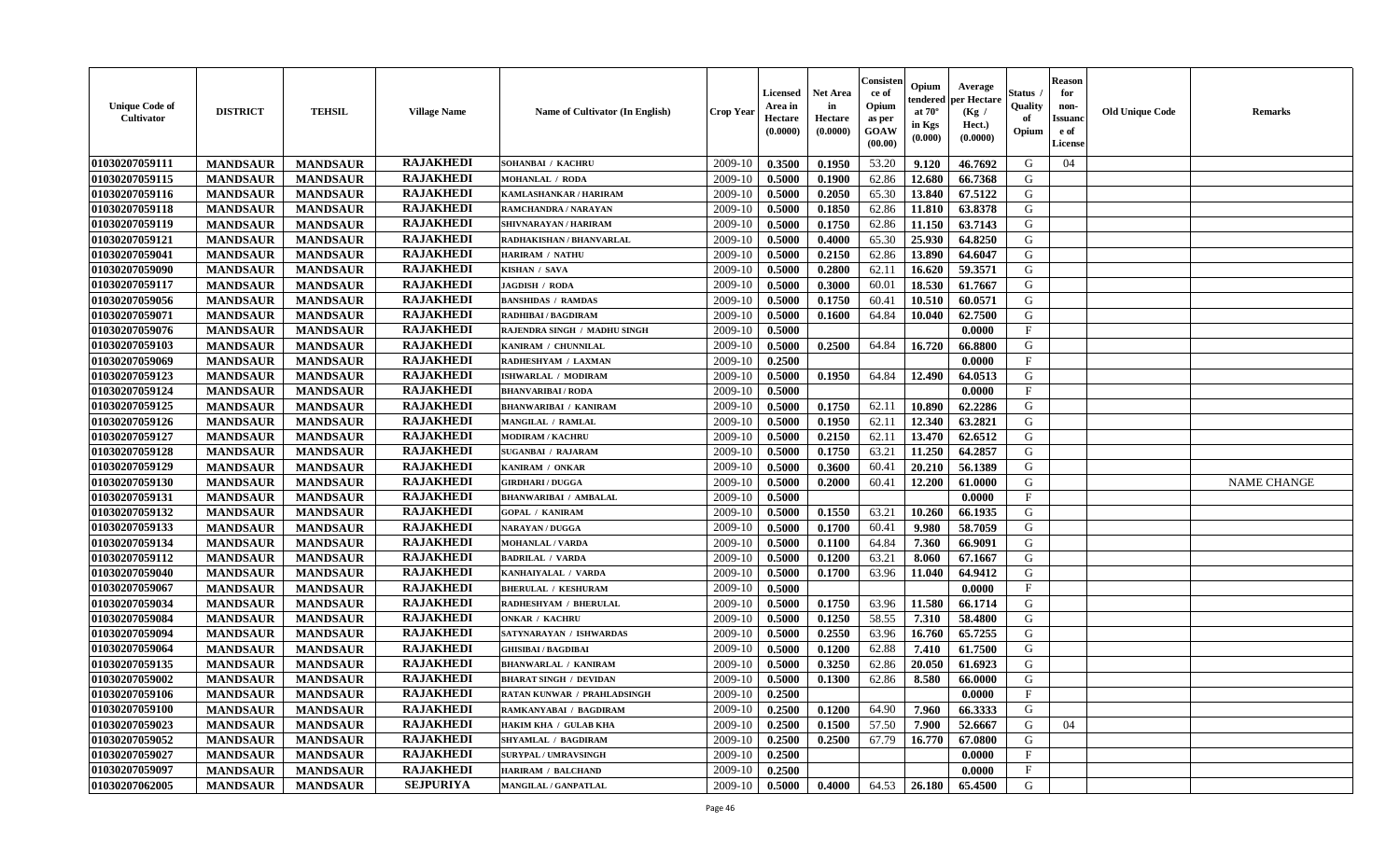| <b>Unique Code of</b><br><b>Cultivator</b> | <b>DISTRICT</b> | <b>TEHSIL</b>   | <b>Village Name</b> | Name of Cultivator (In English) | <b>Crop Year</b> | <b>Licensed</b><br>Area in<br>Hectare<br>(0.0000) | <b>Net Area</b><br>in<br>Hectare<br>(0.0000) | Consister<br>ce of<br>Opium<br>as per<br>GOAW<br>(00.00) | Opium<br>endered<br>at $70^\circ$<br>in Kgs<br>(0.000) | Average<br>per Hectare<br>(Kg /<br>Hect.)<br>(0.0000) | <b>Status</b> .<br>Quality<br>of<br>Opium | <b>Reason</b><br>for<br>non-<br><b>Issuand</b><br>e of<br>License | <b>Old Unique Code</b> | <b>Remarks</b>     |
|--------------------------------------------|-----------------|-----------------|---------------------|---------------------------------|------------------|---------------------------------------------------|----------------------------------------------|----------------------------------------------------------|--------------------------------------------------------|-------------------------------------------------------|-------------------------------------------|-------------------------------------------------------------------|------------------------|--------------------|
| 01030207059111                             | <b>MANDSAUR</b> | <b>MANDSAUR</b> | <b>RAJAKHEDI</b>    | SOHANBAI / KACHRU               | 2009-10          | 0.3500                                            | 0.1950                                       | 53.20                                                    | 9.120                                                  | 46.7692                                               | G                                         | 04                                                                |                        |                    |
| 01030207059115                             | <b>MANDSAUR</b> | <b>MANDSAUR</b> | <b>RAJAKHEDI</b>    | <b>MOHANLAL / RODA</b>          | 2009-10          | 0.5000                                            | 0.1900                                       | 62.86                                                    | 12.680                                                 | 66.7368                                               | G                                         |                                                                   |                        |                    |
| 01030207059116                             | <b>MANDSAUR</b> | <b>MANDSAUR</b> | <b>RAJAKHEDI</b>    | KAMLASHANKAR / HARIRAM          | 2009-10          | 0.5000                                            | 0.2050                                       | 65.30                                                    | 13.840                                                 | 67.5122                                               | G                                         |                                                                   |                        |                    |
| 01030207059118                             | <b>MANDSAUR</b> | <b>MANDSAUR</b> | <b>RAJAKHEDI</b>    | RAMCHANDRA / NARAYAN            | 2009-10          | 0.5000                                            | 0.1850                                       | 62.86                                                    | 11.810                                                 | 63.8378                                               | G                                         |                                                                   |                        |                    |
| 01030207059119                             | <b>MANDSAUR</b> | <b>MANDSAUR</b> | <b>RAJAKHEDI</b>    | SHIVNARAYAN / HARIRAM           | 2009-10          | 0.5000                                            | 0.1750                                       | 62.86                                                    | 11.150                                                 | 63.7143                                               | G                                         |                                                                   |                        |                    |
| 01030207059121                             | <b>MANDSAUR</b> | <b>MANDSAUR</b> | <b>RAJAKHEDI</b>    | RADHAKISHAN / BHANVARLAL        | 2009-10          | 0.5000                                            | 0.4000                                       | 65.30                                                    | 25.930                                                 | 64.8250                                               | G                                         |                                                                   |                        |                    |
| 01030207059041                             | <b>MANDSAUR</b> | <b>MANDSAUR</b> | <b>RAJAKHEDI</b>    | <b>HARIRAM / NATHU</b>          | 2009-10          | 0.5000                                            | 0.2150                                       | 62.86                                                    | 13.890                                                 | 64.6047                                               | G                                         |                                                                   |                        |                    |
| 01030207059090                             | <b>MANDSAUR</b> | <b>MANDSAUR</b> | <b>RAJAKHEDI</b>    | KISHAN / SAVA                   | 2009-10          | 0.5000                                            | 0.2800                                       | 62.11                                                    | 16.620                                                 | 59.3571                                               | G                                         |                                                                   |                        |                    |
| 01030207059117                             | <b>MANDSAUR</b> | <b>MANDSAUR</b> | <b>RAJAKHEDI</b>    | JAGDISH / RODA                  | 2009-10          | 0.5000                                            | 0.3000                                       | 60.01                                                    | 18.530                                                 | 61.7667                                               | G                                         |                                                                   |                        |                    |
| 01030207059056                             | <b>MANDSAUR</b> | <b>MANDSAUR</b> | <b>RAJAKHEDI</b>    | <b>BANSHIDAS / RAMDAS</b>       | 2009-10          | 0.5000                                            | 0.1750                                       | 60.41                                                    | 10.510                                                 | 60.0571                                               | G                                         |                                                                   |                        |                    |
| 01030207059071                             | <b>MANDSAUR</b> | <b>MANDSAUR</b> | <b>RAJAKHEDI</b>    | RADHIBAI / BAGDIRAM             | 2009-10          | 0.5000                                            | 0.1600                                       | 64.84                                                    | 10.040                                                 | 62.7500                                               | G                                         |                                                                   |                        |                    |
| 01030207059076                             | <b>MANDSAUR</b> | <b>MANDSAUR</b> | <b>RAJAKHEDI</b>    | RAJENDRA SINGH / MADHU SINGH    | 2009-10          | 0.5000                                            |                                              |                                                          |                                                        | 0.0000                                                | $\mathbf F$                               |                                                                   |                        |                    |
| 01030207059103                             | <b>MANDSAUR</b> | <b>MANDSAUR</b> | <b>RAJAKHEDI</b>    | KANIRAM / CHUNNILAL             | 2009-10          | 0.5000                                            | 0.2500                                       | 64.84                                                    | 16.720                                                 | 66.8800                                               | G                                         |                                                                   |                        |                    |
| 01030207059069                             | <b>MANDSAUR</b> | <b>MANDSAUR</b> | <b>RAJAKHEDI</b>    | RADHESHYAM / LAXMAN             | 2009-10          | 0.2500                                            |                                              |                                                          |                                                        | 0.0000                                                | $\mathbf F$                               |                                                                   |                        |                    |
| 01030207059123                             | <b>MANDSAUR</b> | <b>MANDSAUR</b> | <b>RAJAKHEDI</b>    | <b>ISHWARLAL / MODIRAM</b>      | 2009-10          | 0.5000                                            | 0.1950                                       | 64.84                                                    | 12.490                                                 | 64.0513                                               | ${\bf G}$                                 |                                                                   |                        |                    |
| 01030207059124                             | <b>MANDSAUR</b> | <b>MANDSAUR</b> | <b>RAJAKHEDI</b>    | <b>BHANVARIBAI/RODA</b>         | 2009-10          | 0.5000                                            |                                              |                                                          |                                                        | 0.0000                                                | $\mathbf{F}$                              |                                                                   |                        |                    |
| 01030207059125                             | <b>MANDSAUR</b> | <b>MANDSAUR</b> | <b>RAJAKHEDI</b>    | <b>BHANWARIBAI / KANIRAM</b>    | 2009-10          | 0.5000                                            | 0.1750                                       | 62.11                                                    | 10.890                                                 | 62.2286                                               | G                                         |                                                                   |                        |                    |
| 01030207059126                             | <b>MANDSAUR</b> | <b>MANDSAUR</b> | <b>RAJAKHEDI</b>    | MANGILAL / RAMLAL               | 2009-10          | 0.5000                                            | 0.1950                                       | 62.11                                                    | 12.340                                                 | 63.2821                                               | G                                         |                                                                   |                        |                    |
|                                            |                 |                 | <b>RAJAKHEDI</b>    | <b>MODIRAM / KACHRU</b>         |                  |                                                   |                                              |                                                          |                                                        |                                                       | G                                         |                                                                   |                        |                    |
| 01030207059127                             | <b>MANDSAUR</b> | <b>MANDSAUR</b> | <b>RAJAKHEDI</b>    |                                 | 2009-10          | 0.5000                                            | 0.2150                                       | 62.11                                                    | 13.470                                                 | 62.6512                                               |                                           |                                                                   |                        |                    |
| 01030207059128                             | <b>MANDSAUR</b> | <b>MANDSAUR</b> |                     | <b>SUGANBAI / RAJARAM</b>       | 2009-10          | 0.5000                                            | 0.1750                                       | 63.21                                                    | 11.250                                                 | 64.2857                                               | G                                         |                                                                   |                        |                    |
| 01030207059129                             | <b>MANDSAUR</b> | <b>MANDSAUR</b> | <b>RAJAKHEDI</b>    | KANIRAM / ONKAR                 | 2009-10          | 0.5000                                            | 0.3600                                       | 60.41                                                    | 20.210                                                 | 56.1389                                               | G                                         |                                                                   |                        |                    |
| 01030207059130                             | <b>MANDSAUR</b> | <b>MANDSAUR</b> | <b>RAJAKHEDI</b>    | <b>GIRDHARI / DUGGA</b>         | 2009-10          | 0.5000                                            | 0.2000                                       | 60.41                                                    | 12.200                                                 | 61.0000                                               | G                                         |                                                                   |                        | <b>NAME CHANGE</b> |
| 01030207059131                             | <b>MANDSAUR</b> | <b>MANDSAUR</b> | <b>RAJAKHEDI</b>    | <b>BHANWARIBAI / AMBALAL</b>    | 2009-10          | 0.5000                                            |                                              |                                                          |                                                        | 0.0000                                                | $\mathbf{F}$                              |                                                                   |                        |                    |
| 01030207059132                             | <b>MANDSAUR</b> | <b>MANDSAUR</b> | <b>RAJAKHEDI</b>    | <b>GOPAL / KANIRAM</b>          | 2009-10          | 0.5000                                            | 0.1550                                       | 63.21                                                    | 10.260                                                 | 66.1935                                               | $\mathsf G$                               |                                                                   |                        |                    |
| 01030207059133                             | <b>MANDSAUR</b> | <b>MANDSAUR</b> | <b>RAJAKHEDI</b>    | <b>NARAYAN / DUGGA</b>          | 2009-10          | 0.5000                                            | 0.1700                                       | 60.41                                                    | 9.980                                                  | 58.7059                                               | G                                         |                                                                   |                        |                    |
| 01030207059134                             | <b>MANDSAUR</b> | <b>MANDSAUR</b> | <b>RAJAKHEDI</b>    | <b>MOHANLAL / VARDA</b>         | 2009-10          | 0.5000                                            | 0.1100                                       | 64.84                                                    | 7.360                                                  | 66.9091                                               | G                                         |                                                                   |                        |                    |
| 01030207059112                             | <b>MANDSAUR</b> | <b>MANDSAUR</b> | <b>RAJAKHEDI</b>    | <b>BADRILAL / VARDA</b>         | 2009-10          | 0.5000                                            | 0.1200                                       | 63.21                                                    | 8.060                                                  | 67.1667                                               | G                                         |                                                                   |                        |                    |
| 01030207059040                             | <b>MANDSAUR</b> | <b>MANDSAUR</b> | <b>RAJAKHEDI</b>    | KANHAIYALAL / VARDA             | 2009-10          | 0.5000                                            | 0.1700                                       | 63.96                                                    | 11.040                                                 | 64.9412                                               | G                                         |                                                                   |                        |                    |
| 01030207059067                             | <b>MANDSAUR</b> | <b>MANDSAUR</b> | <b>RAJAKHEDI</b>    | <b>BHERULAL / KESHURAM</b>      | 2009-10          | 0.5000                                            |                                              |                                                          |                                                        | 0.0000                                                | $\mathbf{F}$                              |                                                                   |                        |                    |
| 01030207059034                             | <b>MANDSAUR</b> | <b>MANDSAUR</b> | <b>RAJAKHEDI</b>    | RADHESHYAM / BHERULAL           | 2009-10          | 0.5000                                            | 0.1750                                       | 63.96                                                    | 11.580                                                 | 66.1714                                               | G                                         |                                                                   |                        |                    |
| 01030207059084                             | <b>MANDSAUR</b> | <b>MANDSAUR</b> | <b>RAJAKHEDI</b>    | <b>ONKAR / KACHRU</b>           | 2009-10          | 0.5000                                            | 0.1250                                       | 58.55                                                    | 7.310                                                  | 58.4800                                               | G                                         |                                                                   |                        |                    |
| 01030207059094                             | <b>MANDSAUR</b> | <b>MANDSAUR</b> | <b>RAJAKHEDI</b>    | SATYNARAYAN / ISHWARDAS         | 2009-10          | 0.5000                                            | 0.2550                                       | 63.96                                                    | 16.760                                                 | 65.7255                                               | G                                         |                                                                   |                        |                    |
| 01030207059064                             | <b>MANDSAUR</b> | <b>MANDSAUR</b> | <b>RAJAKHEDI</b>    | <b>GHISIBAI / BAGDIBAI</b>      | 2009-10          | 0.5000                                            | 0.1200                                       | 62.88                                                    | 7.410                                                  | 61.7500                                               | G                                         |                                                                   |                        |                    |
| 01030207059135                             | <b>MANDSAUR</b> | <b>MANDSAUR</b> | <b>RAJAKHEDI</b>    | <b>BHANWARLAL / KANIRAM</b>     | 2009-10          | 0.5000                                            | 0.3250                                       | 62.86                                                    | 20.050                                                 | 61.6923                                               | G                                         |                                                                   |                        |                    |
| 01030207059002                             | <b>MANDSAUR</b> | <b>MANDSAUR</b> | <b>RAJAKHEDI</b>    | <b>BHARAT SINGH / DEVIDAN</b>   | 2009-10          | 0.5000                                            | 0.1300                                       | 62.86                                                    | 8.580                                                  | 66.0000                                               | ${\bf G}$                                 |                                                                   |                        |                    |
| 01030207059106                             | <b>MANDSAUR</b> | <b>MANDSAUR</b> | <b>RAJAKHEDI</b>    | RATAN KUNWAR / PRAHLADSINGH     | 2009-10          | 0.2500                                            |                                              |                                                          |                                                        | 0.0000                                                | F                                         |                                                                   |                        |                    |
| 01030207059100                             | <b>MANDSAUR</b> | <b>MANDSAUR</b> | <b>RAJAKHEDI</b>    | RAMKANYABAI / BAGDIRAM          | 2009-10          | 0.2500                                            | 0.1200                                       | 64.90                                                    | 7.960                                                  | 66.3333                                               | G                                         |                                                                   |                        |                    |
| 01030207059023                             | <b>MANDSAUR</b> | <b>MANDSAUR</b> | <b>RAJAKHEDI</b>    | HAKIM KHA / GULAB KHA           | 2009-10          | 0.2500                                            | 0.1500                                       | 57.50                                                    | 7.900                                                  | 52.6667                                               | G                                         | 04                                                                |                        |                    |
| 01030207059052                             | <b>MANDSAUR</b> | <b>MANDSAUR</b> | <b>RAJAKHEDI</b>    | <b>SHYAMLAL / BAGDIRAM</b>      | 2009-10          | 0.2500                                            | 0.2500                                       | 67.79                                                    | 16.770                                                 | 67.0800                                               | G                                         |                                                                   |                        |                    |
| 01030207059027                             | <b>MANDSAUR</b> | <b>MANDSAUR</b> | <b>RAJAKHEDI</b>    | <b>SURYPAL / UMRAVSINGH</b>     | 2009-10          | 0.2500                                            |                                              |                                                          |                                                        | 0.0000                                                | F                                         |                                                                   |                        |                    |
| 01030207059097                             | <b>MANDSAUR</b> | <b>MANDSAUR</b> | <b>RAJAKHEDI</b>    | <b>HARIRAM / BALCHAND</b>       | 2009-10          | 0.2500                                            |                                              |                                                          |                                                        | 0.0000                                                | $\mathbf{F}$                              |                                                                   |                        |                    |
| 01030207062005                             | <b>MANDSAUR</b> | <b>MANDSAUR</b> | <b>SEJPURIYA</b>    | MANGILAL / GANPATLAL            | 2009-10          | 0.5000                                            | 0.4000                                       | 64.53                                                    | 26.180                                                 | 65.4500                                               | G                                         |                                                                   |                        |                    |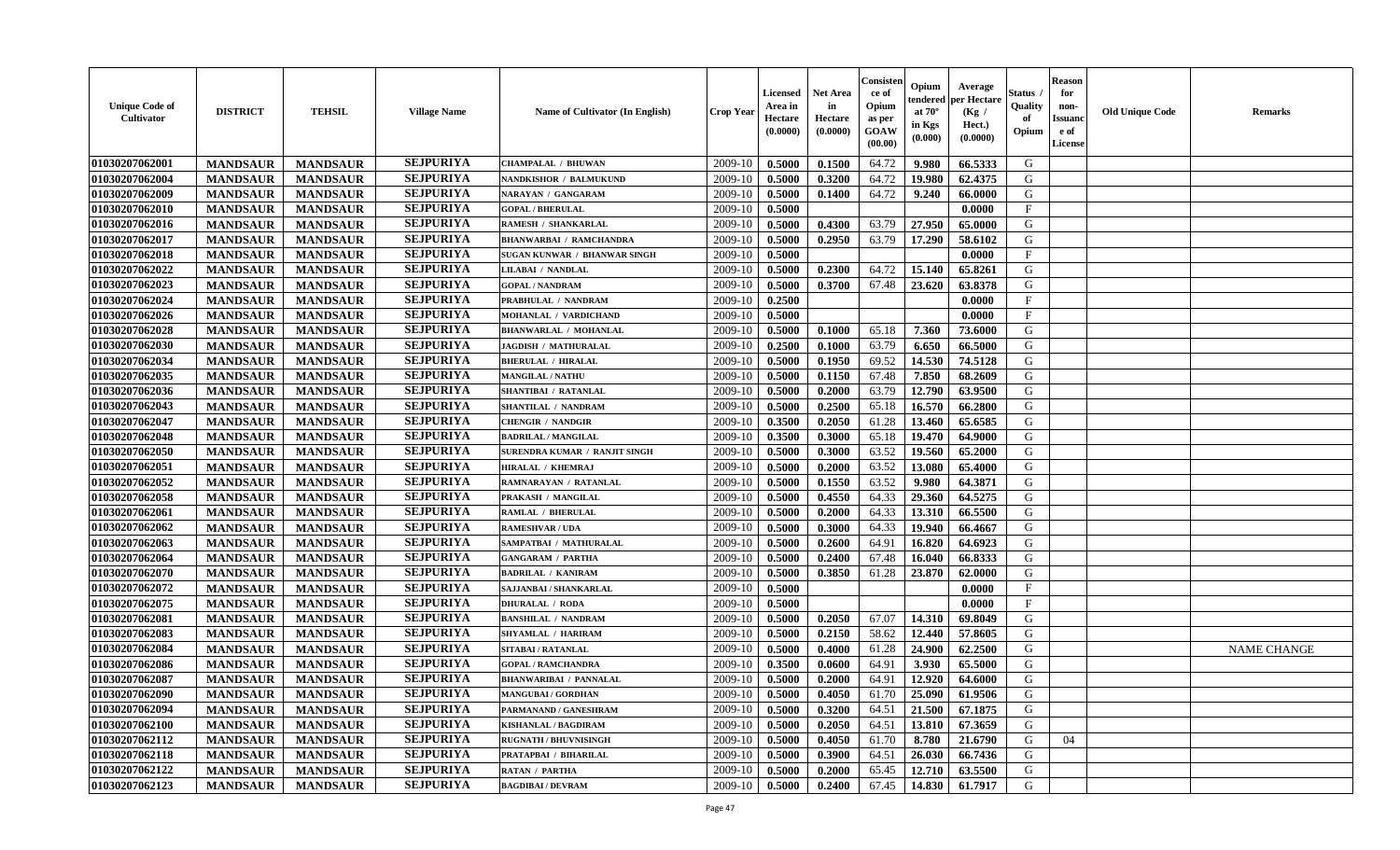| <b>Unique Code of</b><br><b>Cultivator</b> | <b>DISTRICT</b> | <b>TEHSIL</b>   | <b>Village Name</b> | <b>Name of Cultivator (In English)</b> | <b>Crop Year</b> | <b>Licensed</b><br>Area in<br>Hectare<br>(0.0000) | Net Area<br>in<br>Hectare<br>(0.0000) | Consisteı<br>ce of<br>Opium<br>as per<br>GOAW<br>(00.00) | Opium<br>endered<br>at $70^\circ$<br>in Kgs<br>(0.000) | Average<br>per Hectare<br>(Kg /<br>Hect.)<br>(0.0000) | Status<br>Quality<br>of<br>Opium | <b>Reason</b><br>for<br>non-<br><b>Issuand</b><br>e of<br>License | <b>Old Unique Code</b> | Remarks            |
|--------------------------------------------|-----------------|-----------------|---------------------|----------------------------------------|------------------|---------------------------------------------------|---------------------------------------|----------------------------------------------------------|--------------------------------------------------------|-------------------------------------------------------|----------------------------------|-------------------------------------------------------------------|------------------------|--------------------|
| 01030207062001                             | <b>MANDSAUR</b> | <b>MANDSAUR</b> | <b>SEJPURIYA</b>    | <b>CHAMPALAL / BHUWAN</b>              | 2009-10          | 0.5000                                            | 0.1500                                | 64.72                                                    | 9.980                                                  | 66.5333                                               | G                                |                                                                   |                        |                    |
| 01030207062004                             | <b>MANDSAUR</b> | <b>MANDSAUR</b> | <b>SEJPURIYA</b>    | <b>NANDKISHOR / BALMUKUND</b>          | 2009-10          | 0.5000                                            | 0.3200                                | 64.72                                                    | 19.980                                                 | 62.4375                                               | G                                |                                                                   |                        |                    |
| 01030207062009                             | <b>MANDSAUR</b> | <b>MANDSAUR</b> | <b>SEJPURIYA</b>    | NARAYAN / GANGARAM                     | 2009-10          | 0.5000                                            | 0.1400                                | 64.72                                                    | 9.240                                                  | 66.0000                                               | G                                |                                                                   |                        |                    |
| 01030207062010                             | <b>MANDSAUR</b> | <b>MANDSAUR</b> | <b>SEJPURIYA</b>    | <b>GOPAL / BHERULAL</b>                | 2009-10          | 0.5000                                            |                                       |                                                          |                                                        | 0.0000                                                | $\mathbf{F}$                     |                                                                   |                        |                    |
| 01030207062016                             | <b>MANDSAUR</b> | <b>MANDSAUR</b> | <b>SEJPURIYA</b>    | RAMESH / SHANKARLAL                    | 2009-10          | 0.5000                                            | 0.4300                                | 63.79                                                    | 27.950                                                 | 65.0000                                               | G                                |                                                                   |                        |                    |
| 01030207062017                             | <b>MANDSAUR</b> | <b>MANDSAUR</b> | <b>SEJPURIYA</b>    | <b>BHANWARBAI / RAMCHANDRA</b>         | 2009-10          | 0.5000                                            | 0.2950                                | 63.79                                                    | 17.290                                                 | 58.6102                                               | G                                |                                                                   |                        |                    |
| 01030207062018                             | <b>MANDSAUR</b> | <b>MANDSAUR</b> | <b>SEJPURIYA</b>    | SUGAN KUNWAR / BHANWAR SINGH           | 2009-10          | 0.5000                                            |                                       |                                                          |                                                        | 0.0000                                                | $\mathbf{F}$                     |                                                                   |                        |                    |
| 01030207062022                             | <b>MANDSAUR</b> | <b>MANDSAUR</b> | <b>SEJPURIYA</b>    | LILABAI / NANDLAL                      | 2009-10          | 0.5000                                            | 0.2300                                | 64.72                                                    | 15.140                                                 | 65.8261                                               | G                                |                                                                   |                        |                    |
| 01030207062023                             | <b>MANDSAUR</b> | <b>MANDSAUR</b> | <b>SEJPURIYA</b>    | <b>GOPAL / NANDRAM</b>                 | 2009-10          | 0.5000                                            | 0.3700                                | 67.48                                                    | 23.620                                                 | 63.8378                                               | G                                |                                                                   |                        |                    |
| 01030207062024                             | <b>MANDSAUR</b> | <b>MANDSAUR</b> | <b>SEJPURIYA</b>    | PRABHULAL / NANDRAM                    | 2009-10          | 0.2500                                            |                                       |                                                          |                                                        | 0.0000                                                | $\mathbf{F}$                     |                                                                   |                        |                    |
| 01030207062026                             | <b>MANDSAUR</b> | <b>MANDSAUR</b> | <b>SEJPURIYA</b>    | MOHANLAL / VARDICHAND                  | 2009-10          | 0.5000                                            |                                       |                                                          |                                                        | 0.0000                                                | F                                |                                                                   |                        |                    |
| 01030207062028                             | <b>MANDSAUR</b> | <b>MANDSAUR</b> | <b>SEJPURIYA</b>    | <b>BHANWARLAL / MOHANLAL</b>           | 2009-10          | 0.5000                                            | 0.1000                                | 65.18                                                    | 7.360                                                  | 73.6000                                               | G                                |                                                                   |                        |                    |
| 01030207062030                             | <b>MANDSAUR</b> | <b>MANDSAUR</b> | <b>SEJPURIYA</b>    | <b>JAGDISH / MATHURALAL</b>            | 2009-10          | 0.2500                                            | 0.1000                                | 63.79                                                    | 6.650                                                  | 66.5000                                               | G                                |                                                                   |                        |                    |
| 01030207062034                             | <b>MANDSAUR</b> | <b>MANDSAUR</b> | <b>SEJPURIYA</b>    | <b>BHERULAL / HIRALAL</b>              | 2009-10          | 0.5000                                            | 0.1950                                | 69.52                                                    | 14.530                                                 | 74.5128                                               | G                                |                                                                   |                        |                    |
| 01030207062035                             | <b>MANDSAUR</b> | <b>MANDSAUR</b> | <b>SEJPURIYA</b>    | <b>MANGILAL / NATHU</b>                | 2009-10          | 0.5000                                            | 0.1150                                | 67.48                                                    | 7.850                                                  | 68.2609                                               | $\mathbf G$                      |                                                                   |                        |                    |
| 01030207062036                             | <b>MANDSAUR</b> | <b>MANDSAUR</b> | <b>SEJPURIYA</b>    | <b>SHANTIBAI / RATANLAL</b>            | 2009-10          | 0.5000                                            | 0.2000                                | 63.79                                                    | 12.790                                                 | 63.9500                                               | G                                |                                                                   |                        |                    |
| 01030207062043                             | <b>MANDSAUR</b> | <b>MANDSAUR</b> | <b>SEJPURIYA</b>    | SHANTILAL / NANDRAM                    | 2009-10          | 0.5000                                            | 0.2500                                | 65.18                                                    | 16.570                                                 | 66.2800                                               | G                                |                                                                   |                        |                    |
| 01030207062047                             | <b>MANDSAUR</b> | <b>MANDSAUR</b> | <b>SEJPURIYA</b>    | <b>CHENGIR / NANDGIR</b>               | 2009-10          | 0.3500                                            | 0.2050                                | 61.28                                                    | 13.460                                                 | 65.6585                                               | G                                |                                                                   |                        |                    |
| 01030207062048                             | <b>MANDSAUR</b> | <b>MANDSAUR</b> | <b>SEJPURIYA</b>    | <b>BADRILAL / MANGILAL</b>             | 2009-10          | 0.3500                                            | 0.3000                                | 65.18                                                    | 19.470                                                 | 64.9000                                               | G                                |                                                                   |                        |                    |
| 01030207062050                             | <b>MANDSAUR</b> | <b>MANDSAUR</b> | <b>SEJPURIYA</b>    | SURENDRA KUMAR / RANJIT SINGH          | 2009-10          | 0.5000                                            | 0.3000                                | 63.52                                                    | 19.560                                                 | 65.2000                                               | G                                |                                                                   |                        |                    |
| 01030207062051                             | <b>MANDSAUR</b> | <b>MANDSAUR</b> | <b>SEJPURIYA</b>    | HIRALAL / KHEMRAJ                      | 2009-10          | 0.5000                                            | 0.2000                                | 63.52                                                    | 13.080                                                 | 65.4000                                               | G                                |                                                                   |                        |                    |
| 01030207062052                             | <b>MANDSAUR</b> | <b>MANDSAUR</b> | <b>SEJPURIYA</b>    | RAMNARAYAN / RATANLAL                  | 2009-10          | 0.5000                                            | 0.1550                                | 63.52                                                    | 9.980                                                  | 64.3871                                               | G                                |                                                                   |                        |                    |
| 01030207062058                             | <b>MANDSAUR</b> | <b>MANDSAUR</b> | <b>SEJPURIYA</b>    | PRAKASH / MANGILAL                     | 2009-10          | 0.5000                                            | 0.4550                                | 64.33                                                    | 29.360                                                 | 64.5275                                               | G                                |                                                                   |                        |                    |
| 01030207062061                             | <b>MANDSAUR</b> | <b>MANDSAUR</b> | <b>SEJPURIYA</b>    | RAMLAL / BHERULAL                      | 2009-10          | 0.5000                                            | 0.2000                                | 64.33                                                    | 13.310                                                 | 66.5500                                               | G                                |                                                                   |                        |                    |
| 01030207062062                             | <b>MANDSAUR</b> | <b>MANDSAUR</b> | <b>SEJPURIYA</b>    | <b>RAMESHVAR / UDA</b>                 | 2009-10          | 0.5000                                            | 0.3000                                | 64.33                                                    | 19.940                                                 | 66.4667                                               | G                                |                                                                   |                        |                    |
| 01030207062063                             | <b>MANDSAUR</b> | <b>MANDSAUR</b> | <b>SEJPURIYA</b>    | SAMPATBAI / MATHURALAL                 | 2009-10          | 0.5000                                            | 0.2600                                | 64.91                                                    | 16.820                                                 | 64.6923                                               | G                                |                                                                   |                        |                    |
| 01030207062064                             | <b>MANDSAUR</b> | <b>MANDSAUR</b> | <b>SEJPURIYA</b>    | <b>GANGARAM / PARTHA</b>               | 2009-10          | 0.5000                                            | 0.2400                                | 67.48                                                    | 16.040                                                 | 66.8333                                               | G                                |                                                                   |                        |                    |
| 01030207062070                             | <b>MANDSAUR</b> | <b>MANDSAUR</b> | <b>SEJPURIYA</b>    | <b>BADRILAL / KANIRAM</b>              | 2009-10          | 0.5000                                            | 0.3850                                | 61.28                                                    | 23.870                                                 | 62.0000                                               | G                                |                                                                   |                        |                    |
| 01030207062072                             | <b>MANDSAUR</b> | <b>MANDSAUR</b> | <b>SEJPURIYA</b>    | SAJJANBAI / SHANKARLAL                 | 2009-10          | 0.5000                                            |                                       |                                                          |                                                        | 0.0000                                                | $\mathbf{F}$                     |                                                                   |                        |                    |
| 01030207062075                             | <b>MANDSAUR</b> | <b>MANDSAUR</b> | <b>SEJPURIYA</b>    | <b>DHURALAL / RODA</b>                 | 2009-10          | 0.5000                                            |                                       |                                                          |                                                        | 0.0000                                                | $_{\rm F}$                       |                                                                   |                        |                    |
| 01030207062081                             | <b>MANDSAUR</b> | <b>MANDSAUR</b> | <b>SEJPURIYA</b>    | <b>BANSHILAL / NANDRAM</b>             | 2009-10          | 0.5000                                            | 0.2050                                | 67.07                                                    | 14.310                                                 | 69.8049                                               | G                                |                                                                   |                        |                    |
| 01030207062083                             | <b>MANDSAUR</b> | <b>MANDSAUR</b> | <b>SEJPURIYA</b>    | SHYAMLAL / HARIRAM                     | 2009-10          | 0.5000                                            | 0.2150                                | 58.62                                                    | 12.440                                                 | 57.8605                                               | G                                |                                                                   |                        |                    |
| 01030207062084                             | <b>MANDSAUR</b> | <b>MANDSAUR</b> | <b>SEJPURIYA</b>    | SITABAI / RATANLAL                     | 2009-10          | 0.5000                                            | 0.4000                                | 61.28                                                    | 24.900                                                 | 62.2500                                               | G                                |                                                                   |                        | <b>NAME CHANGE</b> |
| 01030207062086                             | <b>MANDSAUR</b> | <b>MANDSAUR</b> | <b>SEJPURIYA</b>    | <b>GOPAL / RAMCHANDRA</b>              | 2009-10          | 0.3500                                            | 0.0600                                | 64.91                                                    | 3.930                                                  | 65.5000                                               | G                                |                                                                   |                        |                    |
| 01030207062087                             | <b>MANDSAUR</b> | <b>MANDSAUR</b> | <b>SEJPURIYA</b>    | <b>BHANWARIBAI / PANNALAL</b>          | 2009-10          | 0.5000                                            | 0.2000                                | 64.91                                                    | 12.920                                                 | 64.6000                                               | G                                |                                                                   |                        |                    |
| 01030207062090                             | <b>MANDSAUR</b> | <b>MANDSAUR</b> | <b>SEJPURIYA</b>    | <b>MANGUBAI/GORDHAN</b>                | 2009-10          | 0.5000                                            | 0.4050                                | 61.70                                                    | 25.090                                                 | 61.9506                                               | G                                |                                                                   |                        |                    |
| 01030207062094                             | <b>MANDSAUR</b> | <b>MANDSAUR</b> | <b>SEJPURIYA</b>    | PARMANAND / GANESHRAM                  | 2009-10          | 0.5000                                            | 0.3200                                | 64.51                                                    | 21.500                                                 | 67.1875                                               | G                                |                                                                   |                        |                    |
| 01030207062100                             | <b>MANDSAUR</b> | <b>MANDSAUR</b> | <b>SEJPURIYA</b>    | <b>KISHANLAL / BAGDIRAM</b>            | 2009-10          | 0.5000                                            | 0.2050                                | 64.51                                                    | 13.810                                                 | 67.3659                                               | G                                |                                                                   |                        |                    |
| 01030207062112                             | <b>MANDSAUR</b> | <b>MANDSAUR</b> | <b>SEJPURIYA</b>    | <b>RUGNATH / BHUVNISINGH</b>           | 2009-10          | 0.5000                                            | 0.4050                                | 61.70                                                    | 8.780                                                  | 21.6790                                               | G                                | 04                                                                |                        |                    |
| 01030207062118                             | <b>MANDSAUR</b> | <b>MANDSAUR</b> | <b>SEJPURIYA</b>    | PRATAPBAI / BIHARILAL                  | 2009-10          | 0.5000                                            | 0.3900                                | 64.51                                                    | 26.030                                                 | 66.7436                                               | ${\bf G}$                        |                                                                   |                        |                    |
| 01030207062122                             | <b>MANDSAUR</b> | <b>MANDSAUR</b> | <b>SEJPURIYA</b>    | <b>RATAN / PARTHA</b>                  | 2009-10          | 0.5000                                            | 0.2000                                | 65.45                                                    | 12.710                                                 | 63.5500                                               | G                                |                                                                   |                        |                    |
| 01030207062123                             | <b>MANDSAUR</b> | <b>MANDSAUR</b> | <b>SEJPURIYA</b>    | <b>BAGDIBAI/DEVRAM</b>                 | 2009-10          | 0.5000                                            | 0.2400                                | 67.45                                                    | 14.830                                                 | 61.7917                                               | G                                |                                                                   |                        |                    |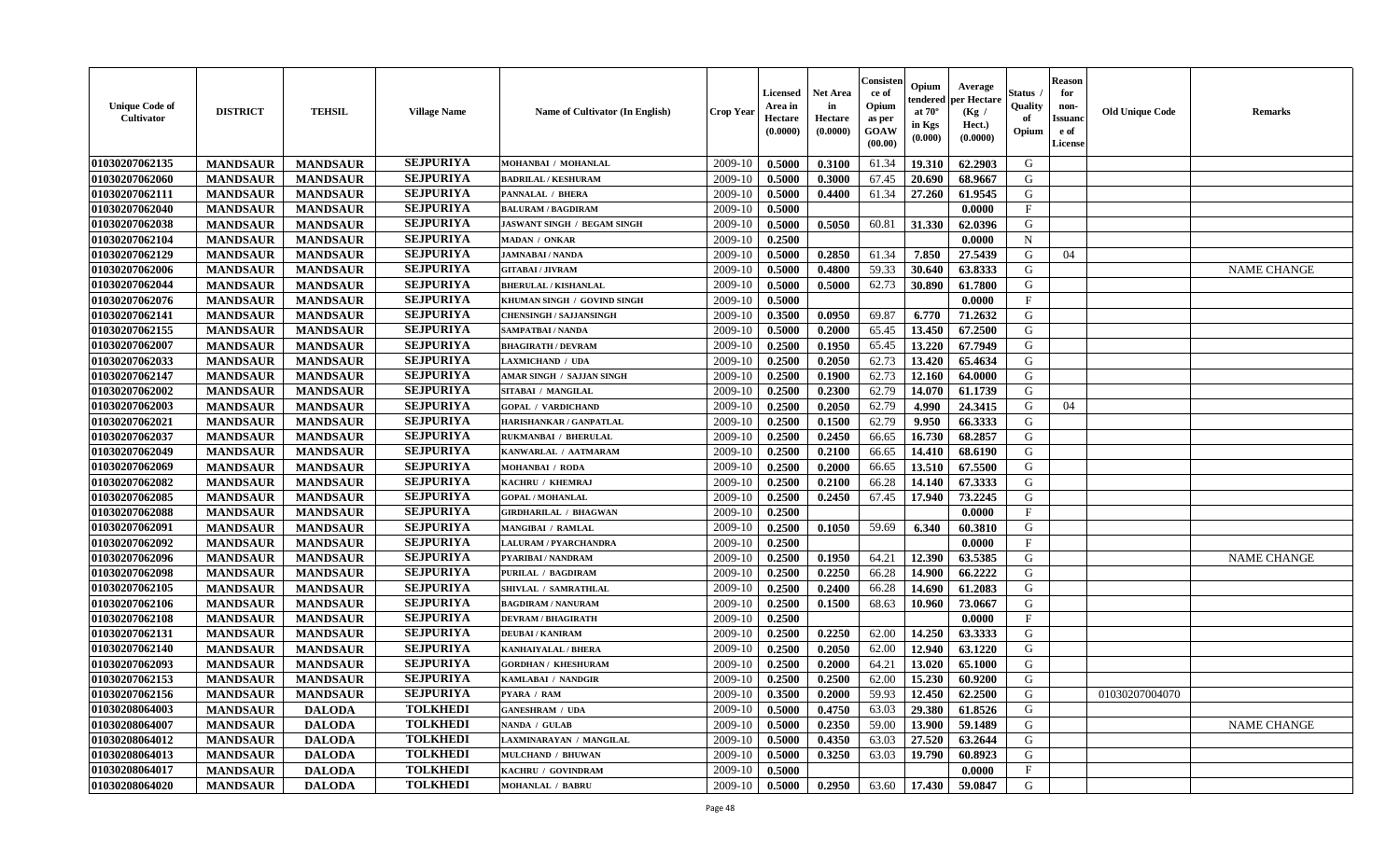| <b>Unique Code of</b><br><b>Cultivator</b> | <b>DISTRICT</b> | <b>TEHSIL</b>   | <b>Village Name</b> | Name of Cultivator (In English)    | <b>Crop Year</b> | <b>Licensed</b><br>Area in<br>Hectare<br>(0.0000) | Net Area<br>in<br>Hectare<br>(0.0000) | Consisteı<br>ce of<br>Opium<br>as per<br>GOAW<br>(00.00) | Opium<br>endered<br>at $70^\circ$<br>in Kgs<br>(0.000) | Average<br>per Hectare<br>(Kg /<br>Hect.)<br>(0.0000) | Status<br>Quality<br>of<br>Opium | <b>Reason</b><br>for<br>non-<br>Issuano<br>e of<br>License | <b>Old Unique Code</b> | Remarks            |
|--------------------------------------------|-----------------|-----------------|---------------------|------------------------------------|------------------|---------------------------------------------------|---------------------------------------|----------------------------------------------------------|--------------------------------------------------------|-------------------------------------------------------|----------------------------------|------------------------------------------------------------|------------------------|--------------------|
| 01030207062135                             | <b>MANDSAUR</b> | <b>MANDSAUR</b> | <b>SEJPURIYA</b>    | MOHANBAI / MOHANLAL                | 2009-10          | 0.5000                                            | 0.3100                                | 61.34                                                    | 19.310                                                 | 62.2903                                               | G                                |                                                            |                        |                    |
| 01030207062060                             | <b>MANDSAUR</b> | <b>MANDSAUR</b> | <b>SEJPURIYA</b>    | <b>BADRILAL / KESHURAM</b>         | 2009-10          | 0.5000                                            | 0.3000                                | 67.45                                                    | 20.690                                                 | 68.9667                                               | G                                |                                                            |                        |                    |
| 01030207062111                             | <b>MANDSAUR</b> | <b>MANDSAUR</b> | <b>SEJPURIYA</b>    | PANNALAL / BHERA                   | 2009-10          | 0.5000                                            | 0.4400                                | 61.34                                                    | 27.260                                                 | 61.9545                                               | G                                |                                                            |                        |                    |
| 01030207062040                             | <b>MANDSAUR</b> | <b>MANDSAUR</b> | <b>SEJPURIYA</b>    | <b>BALURAM / BAGDIRAM</b>          | 2009-10          | 0.5000                                            |                                       |                                                          |                                                        | 0.0000                                                | $\mathbf{F}$                     |                                                            |                        |                    |
| 01030207062038                             | <b>MANDSAUR</b> | <b>MANDSAUR</b> | <b>SEJPURIYA</b>    | <b>JASWANT SINGH / BEGAM SINGH</b> | 2009-10          | 0.5000                                            | 0.5050                                | 60.81                                                    | 31.330                                                 | 62.0396                                               | G                                |                                                            |                        |                    |
| 01030207062104                             | <b>MANDSAUR</b> | <b>MANDSAUR</b> | <b>SEJPURIYA</b>    | MADAN / ONKAR                      | 2009-10          | 0.2500                                            |                                       |                                                          |                                                        | 0.0000                                                | $\mathbf N$                      |                                                            |                        |                    |
| 01030207062129                             | <b>MANDSAUR</b> | <b>MANDSAUR</b> | <b>SEJPURIYA</b>    | <b>JAMNABAI/NANDA</b>              | 2009-10          | 0.5000                                            | 0.2850                                | 61.34                                                    | 7.850                                                  | 27.5439                                               | G                                | 04                                                         |                        |                    |
| 01030207062006                             | <b>MANDSAUR</b> | <b>MANDSAUR</b> | <b>SEJPURIYA</b>    | <b>GITABAI / JIVRAM</b>            | 2009-10          | 0.5000                                            | 0.4800                                | 59.33                                                    | 30.640                                                 | 63.8333                                               | G                                |                                                            |                        | <b>NAME CHANGE</b> |
| 01030207062044                             | <b>MANDSAUR</b> | <b>MANDSAUR</b> | <b>SEJPURIYA</b>    | <b>BHERULAL / KISHANLAL</b>        | 2009-10          | 0.5000                                            | 0.5000                                | 62.73                                                    | 30.890                                                 | 61.7800                                               | G                                |                                                            |                        |                    |
| 01030207062076                             | <b>MANDSAUR</b> | <b>MANDSAUR</b> | <b>SEJPURIYA</b>    | KHUMAN SINGH / GOVIND SINGH        | 2009-10          | 0.5000                                            |                                       |                                                          |                                                        | 0.0000                                                | $\mathbf{F}$                     |                                                            |                        |                    |
| 01030207062141                             | <b>MANDSAUR</b> | <b>MANDSAUR</b> | <b>SEJPURIYA</b>    | <b>CHENSINGH / SAJJANSINGH</b>     | 2009-10          | 0.3500                                            | 0.0950                                | 69.87                                                    | 6.770                                                  | 71.2632                                               | G                                |                                                            |                        |                    |
| 01030207062155                             | <b>MANDSAUR</b> | <b>MANDSAUR</b> | <b>SEJPURIYA</b>    | <b>SAMPATBAI/NANDA</b>             | 2009-10          | 0.5000                                            | 0.2000                                | 65.45                                                    | 13.450                                                 | 67.2500                                               | G                                |                                                            |                        |                    |
| 01030207062007                             | <b>MANDSAUR</b> | <b>MANDSAUR</b> | <b>SEJPURIYA</b>    | <b>BHAGIRATH / DEVRAM</b>          | 2009-10          | 0.2500                                            | 0.1950                                | 65.45                                                    | 13.220                                                 | 67.7949                                               | G                                |                                                            |                        |                    |
| 01030207062033                             | <b>MANDSAUR</b> | <b>MANDSAUR</b> | <b>SEJPURIYA</b>    | <b>LAXMICHAND / UDA</b>            | 2009-10          | 0.2500                                            | 0.2050                                | 62.73                                                    | 13.420                                                 | 65.4634                                               | G                                |                                                            |                        |                    |
| 01030207062147                             | <b>MANDSAUR</b> | <b>MANDSAUR</b> | <b>SEJPURIYA</b>    | AMAR SINGH / SAJJAN SINGH          | 2009-10          | 0.2500                                            | 0.1900                                | 62.73                                                    | 12.160                                                 | 64.0000                                               | $\mathbf G$                      |                                                            |                        |                    |
| 01030207062002                             | <b>MANDSAUR</b> | <b>MANDSAUR</b> | <b>SEJPURIYA</b>    | SITABAI / MANGILAL                 | 2009-10          | 0.2500                                            | 0.2300                                | 62.79                                                    | 14.070                                                 | 61.1739                                               | G                                |                                                            |                        |                    |
| 01030207062003                             | <b>MANDSAUR</b> | <b>MANDSAUR</b> | <b>SEJPURIYA</b>    | <b>GOPAL / VARDICHAND</b>          | 2009-10          | 0.2500                                            | 0.2050                                | 62.79                                                    | 4.990                                                  | 24.3415                                               | G                                | 04                                                         |                        |                    |
| 01030207062021                             | <b>MANDSAUR</b> | <b>MANDSAUR</b> | <b>SEJPURIYA</b>    | HARISHANKAR / GANPATLAL            | 2009-10          | 0.2500                                            | 0.1500                                | 62.79                                                    | 9.950                                                  | 66.3333                                               | G                                |                                                            |                        |                    |
| 01030207062037                             | <b>MANDSAUR</b> | <b>MANDSAUR</b> | <b>SEJPURIYA</b>    | RUKMANBAI / BHERULAL               | 2009-10          | 0.2500                                            | 0.2450                                | 66.65                                                    | 16.730                                                 | 68.2857                                               | G                                |                                                            |                        |                    |
| 01030207062049                             | <b>MANDSAUR</b> | <b>MANDSAUR</b> | <b>SEJPURIYA</b>    | KANWARLAL / AATMARAM               | 2009-10          | 0.2500                                            | 0.2100                                | 66.65                                                    | 14.410                                                 | 68.6190                                               | G                                |                                                            |                        |                    |
| 01030207062069                             | <b>MANDSAUR</b> | <b>MANDSAUR</b> | <b>SEJPURIYA</b>    | <b>MOHANBAI / RODA</b>             | 2009-10          | 0.2500                                            | 0.2000                                | 66.65                                                    | 13.510                                                 | 67.5500                                               | G                                |                                                            |                        |                    |
| 01030207062082                             | <b>MANDSAUR</b> | <b>MANDSAUR</b> | <b>SEJPURIYA</b>    | KACHRU / KHEMRAJ                   | 2009-10          | 0.2500                                            | 0.2100                                | 66.28                                                    | 14.140                                                 | 67.3333                                               | G                                |                                                            |                        |                    |
| 01030207062085                             | <b>MANDSAUR</b> | <b>MANDSAUR</b> | <b>SEJPURIYA</b>    | <b>GOPAL / MOHANLAL</b>            | 2009-10          | 0.2500                                            | 0.2450                                | 67.45                                                    | 17.940                                                 | 73.2245                                               | G                                |                                                            |                        |                    |
| 01030207062088                             | <b>MANDSAUR</b> | <b>MANDSAUR</b> | <b>SEJPURIYA</b>    | <b>GIRDHARILAL / BHAGWAN</b>       | 2009-10          | 0.2500                                            |                                       |                                                          |                                                        | 0.0000                                                | $\rm F$                          |                                                            |                        |                    |
| 01030207062091                             | <b>MANDSAUR</b> | <b>MANDSAUR</b> | <b>SEJPURIYA</b>    | MANGIBAI / RAMLAL                  | 2009-10          | 0.2500                                            | 0.1050                                | 59.69                                                    | 6.340                                                  | 60.3810                                               | G                                |                                                            |                        |                    |
| 01030207062092                             | <b>MANDSAUR</b> | <b>MANDSAUR</b> | <b>SEJPURIYA</b>    | <b>LALURAM / PYARCHANDRA</b>       | 2009-10          | 0.2500                                            |                                       |                                                          |                                                        | 0.0000                                                | $\mathbf{F}$                     |                                                            |                        |                    |
| 01030207062096                             | <b>MANDSAUR</b> | <b>MANDSAUR</b> | <b>SEJPURIYA</b>    | PYARIBAI / NANDRAM                 | 2009-10          | 0.2500                                            | 0.1950                                | 64.21                                                    | 12.390                                                 | 63.5385                                               | G                                |                                                            |                        | <b>NAME CHANGE</b> |
| 01030207062098                             | <b>MANDSAUR</b> | <b>MANDSAUR</b> | <b>SEJPURIYA</b>    | PURILAL / BAGDIRAM                 | 2009-10          | 0.2500                                            | 0.2250                                | 66.28                                                    | 14.900                                                 | 66.2222                                               | G                                |                                                            |                        |                    |
| 01030207062105                             | <b>MANDSAUR</b> | <b>MANDSAUR</b> | <b>SEJPURIYA</b>    | SHIVLAL / SAMRATHLAL               | 2009-10          | 0.2500                                            | 0.2400                                | 66.28                                                    | 14.690                                                 | 61.2083                                               | G                                |                                                            |                        |                    |
| 01030207062106                             | <b>MANDSAUR</b> | <b>MANDSAUR</b> | <b>SEJPURIYA</b>    | <b>BAGDIRAM / NANURAM</b>          | 2009-10          | 0.2500                                            | 0.1500                                | 68.63                                                    | 10.960                                                 | 73.0667                                               | G                                |                                                            |                        |                    |
| 01030207062108                             | <b>MANDSAUR</b> | <b>MANDSAUR</b> | <b>SEJPURIYA</b>    | <b>DEVRAM / BHAGIRATH</b>          | 2009-10          | 0.2500                                            |                                       |                                                          |                                                        | 0.0000                                                | $\mathbf{F}$                     |                                                            |                        |                    |
| 01030207062131                             | <b>MANDSAUR</b> | <b>MANDSAUR</b> | <b>SEJPURIYA</b>    | <b>DEUBAI/KANIRAM</b>              | 2009-10          | 0.2500                                            | 0.2250                                | 62.00                                                    | 14.250                                                 | 63.3333                                               | G                                |                                                            |                        |                    |
| 01030207062140                             | <b>MANDSAUR</b> | <b>MANDSAUR</b> | <b>SEJPURIYA</b>    | <b>KANHAIYALAL / BHERA</b>         | 2009-10          | 0.2500                                            | 0.2050                                | 62.00                                                    | 12.940                                                 | 63.1220                                               | G                                |                                                            |                        |                    |
| 01030207062093                             | <b>MANDSAUR</b> | <b>MANDSAUR</b> | <b>SEJPURIYA</b>    | <b>GORDHAN / KHESHURAM</b>         | 2009-10          | 0.2500                                            | 0.2000                                | 64.21                                                    | 13.020                                                 | 65.1000                                               | G                                |                                                            |                        |                    |
| 01030207062153                             | <b>MANDSAUR</b> | <b>MANDSAUR</b> | <b>SEJPURIYA</b>    | KAMLABAI / NANDGIR                 | 2009-10          | 0.2500                                            | 0.2500                                | 62.00                                                    | 15.230                                                 | 60.9200                                               | G                                |                                                            |                        |                    |
| 01030207062156                             | <b>MANDSAUR</b> | <b>MANDSAUR</b> | <b>SEJPURIYA</b>    | <b>PYARA / RAM</b>                 | 2009-10          | 0.3500                                            | 0.2000                                | 59.93                                                    | 12.450                                                 | 62.2500                                               | G                                |                                                            | 01030207004070         |                    |
| 01030208064003                             | <b>MANDSAUR</b> | <b>DALODA</b>   | <b>TOLKHEDI</b>     | <b>GANESHRAM / UDA</b>             | 2009-10          | 0.5000                                            | 0.4750                                | 63.03                                                    | 29.380                                                 | 61.8526                                               | G                                |                                                            |                        |                    |
| 01030208064007                             | <b>MANDSAUR</b> | <b>DALODA</b>   | <b>TOLKHEDI</b>     | NANDA / GULAB                      | 2009-10          | 0.5000                                            | 0.2350                                | 59.00                                                    | 13.900                                                 | 59.1489                                               | G                                |                                                            |                        | <b>NAME CHANGE</b> |
| 01030208064012                             | <b>MANDSAUR</b> | <b>DALODA</b>   | <b>TOLKHEDI</b>     | LAXMINARAYAN / MANGILAL            | 2009-10          | 0.5000                                            | 0.4350                                | 63.03                                                    | 27.520                                                 | 63.2644                                               | G                                |                                                            |                        |                    |
| 01030208064013                             | <b>MANDSAUR</b> | <b>DALODA</b>   | <b>TOLKHEDI</b>     | <b>MULCHAND / BHUWAN</b>           | 2009-10          | 0.5000                                            | 0.3250                                | 63.03                                                    | 19.790                                                 | 60.8923                                               | G                                |                                                            |                        |                    |
| 01030208064017                             | <b>MANDSAUR</b> | <b>DALODA</b>   | <b>TOLKHEDI</b>     | KACHRU / GOVINDRAM                 | 2009-10          | 0.5000                                            |                                       |                                                          |                                                        | 0.0000                                                | $\mathbf{F}$                     |                                                            |                        |                    |
| 01030208064020                             | <b>MANDSAUR</b> | <b>DALODA</b>   | <b>TOLKHEDI</b>     | <b>MOHANLAL / BABRU</b>            | 2009-10          | 0.5000                                            | 0.2950                                | 63.60                                                    | 17.430                                                 | 59.0847                                               | G                                |                                                            |                        |                    |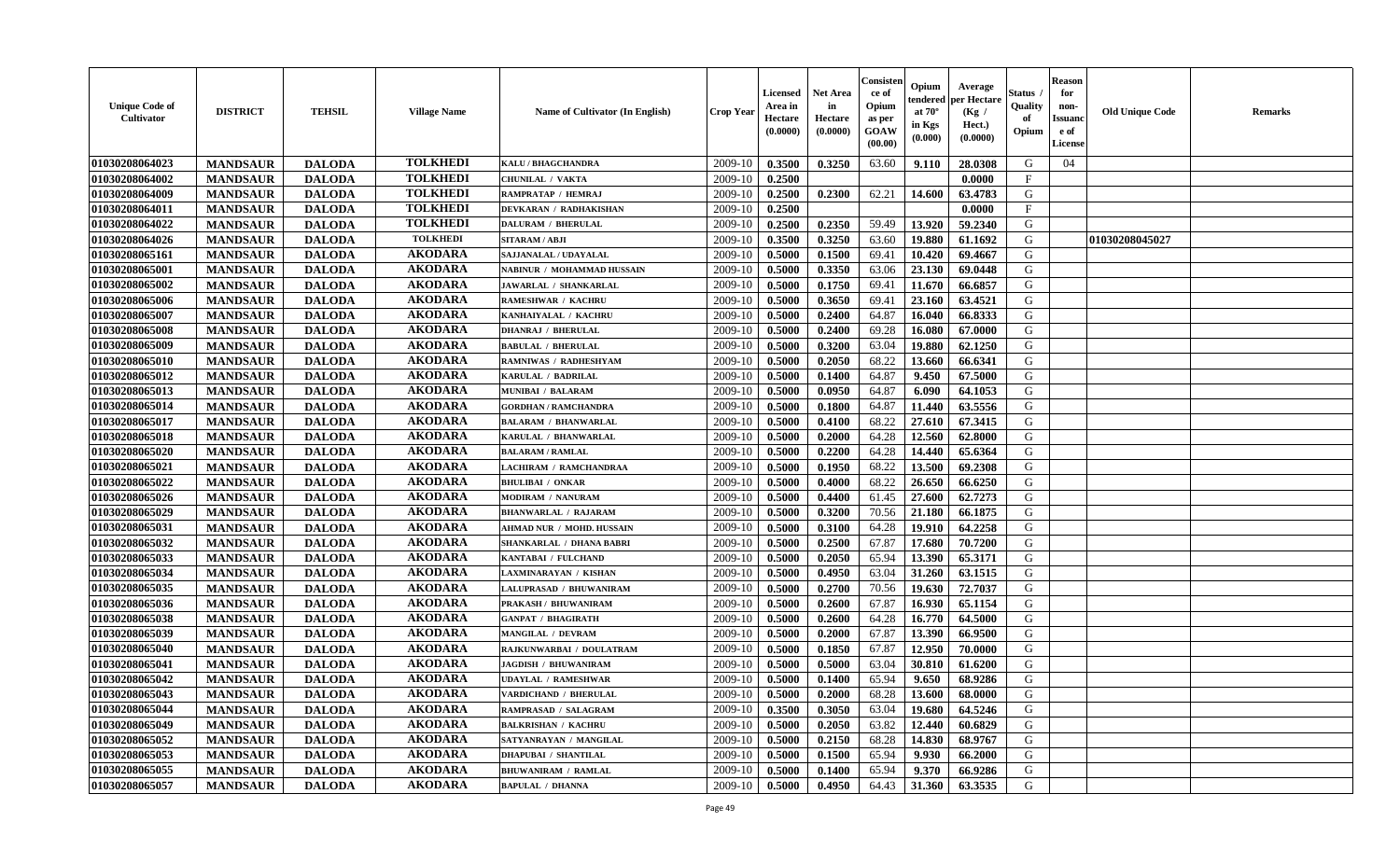| <b>Unique Code of</b><br><b>Cultivator</b> | <b>DISTRICT</b> | <b>TEHSIL</b> | <b>Village Name</b> | <b>Name of Cultivator (In English)</b> | <b>Crop Year</b> | Licensed<br>Area in<br>Hectare<br>(0.0000) | <b>Net Area</b><br>in<br>Hectare<br>(0.0000) | Consister<br>ce of<br>Opium<br>as per<br>GOAW<br>(00.00) | Opium<br>endered<br>at $70^\circ$<br>in Kgs<br>(0.000) | Average<br>per Hectare<br>(Kg /<br>Hect.)<br>(0.0000) | Status<br>Quality<br>of<br>Opium | <b>Reason</b><br>for<br>non-<br><b>Issuanc</b><br>e of<br><b>License</b> | <b>Old Unique Code</b> | <b>Remarks</b> |
|--------------------------------------------|-----------------|---------------|---------------------|----------------------------------------|------------------|--------------------------------------------|----------------------------------------------|----------------------------------------------------------|--------------------------------------------------------|-------------------------------------------------------|----------------------------------|--------------------------------------------------------------------------|------------------------|----------------|
| 01030208064023                             | <b>MANDSAUR</b> | <b>DALODA</b> | <b>TOLKHEDI</b>     | KALU / BHAGCHANDRA                     | 2009-10          | 0.3500                                     | 0.3250                                       | 63.60                                                    | 9.110                                                  | 28.0308                                               | G                                | 04                                                                       |                        |                |
| 01030208064002                             | <b>MANDSAUR</b> | <b>DALODA</b> | <b>TOLKHEDI</b>     | CHUNILAL / VAKTA                       | 2009-10          | 0.2500                                     |                                              |                                                          |                                                        | 0.0000                                                | $\mathbf{F}$                     |                                                                          |                        |                |
| 01030208064009                             | <b>MANDSAUR</b> | <b>DALODA</b> | <b>TOLKHEDI</b>     | RAMPRATAP / HEMRAJ                     | 2009-10          | 0.2500                                     | 0.2300                                       | 62.21                                                    | 14.600                                                 | 63.4783                                               | G                                |                                                                          |                        |                |
| 01030208064011                             | <b>MANDSAUR</b> | <b>DALODA</b> | <b>TOLKHEDI</b>     | DEVKARAN / RADHAKISHAN                 | 2009-10          | 0.2500                                     |                                              |                                                          |                                                        | 0.0000                                                | $\mathbf{F}$                     |                                                                          |                        |                |
| 01030208064022                             | <b>MANDSAUR</b> | <b>DALODA</b> | <b>TOLKHEDI</b>     | <b>DALURAM / BHERULAL</b>              | 2009-10          | 0.2500                                     | 0.2350                                       | 59.49                                                    | 13.920                                                 | 59.2340                                               | G                                |                                                                          |                        |                |
| 01030208064026                             | <b>MANDSAUR</b> | <b>DALODA</b> | <b>TOLKHEDI</b>     | SITARAM / ABJI                         | 2009-10          | 0.3500                                     | 0.3250                                       | 63.60                                                    | 19.880                                                 | 61.1692                                               | G                                |                                                                          | 01030208045027         |                |
| 01030208065161                             | <b>MANDSAUR</b> | <b>DALODA</b> | <b>AKODARA</b>      | SAJJANALAL / UDAYALAL                  | 2009-10          | 0.5000                                     | 0.1500                                       | 69.41                                                    | 10.420                                                 | 69.4667                                               | G                                |                                                                          |                        |                |
| 01030208065001                             | <b>MANDSAUR</b> | <b>DALODA</b> | <b>AKODARA</b>      | NABINUR / MOHAMMAD HUSSAIN             | 2009-10          | 0.5000                                     | 0.3350                                       | 63.06                                                    | 23.130                                                 | 69.0448                                               | G                                |                                                                          |                        |                |
| 01030208065002                             | <b>MANDSAUR</b> | <b>DALODA</b> | <b>AKODARA</b>      | JAWARLAL / SHANKARLAL                  | 2009-10          | 0.5000                                     | 0.1750                                       | 69.41                                                    | 11.670                                                 | 66.6857                                               | G                                |                                                                          |                        |                |
| 01030208065006                             | <b>MANDSAUR</b> | <b>DALODA</b> | <b>AKODARA</b>      | <b>RAMESHWAR / KACHRU</b>              | 2009-10          | 0.5000                                     | 0.3650                                       | 69.41                                                    | 23.160                                                 | 63.4521                                               | G                                |                                                                          |                        |                |
| 01030208065007                             | <b>MANDSAUR</b> | <b>DALODA</b> | <b>AKODARA</b>      | KANHAIYALAL / KACHRU                   | 2009-10          | 0.5000                                     | 0.2400                                       | 64.87                                                    | 16.040                                                 | 66.8333                                               | $\mathbf G$                      |                                                                          |                        |                |
| 01030208065008                             | <b>MANDSAUR</b> | <b>DALODA</b> | <b>AKODARA</b>      | <b>DHANRAJ / BHERULAL</b>              | 2009-10          | 0.5000                                     | 0.2400                                       | 69.28                                                    | 16.080                                                 | 67.0000                                               | G                                |                                                                          |                        |                |
| 01030208065009                             | <b>MANDSAUR</b> | <b>DALODA</b> | <b>AKODARA</b>      | <b>BABULAL / BHERULAL</b>              | 2009-10          | 0.5000                                     | 0.3200                                       | 63.04                                                    | 19.880                                                 | 62.1250                                               | G                                |                                                                          |                        |                |
| 01030208065010                             | <b>MANDSAUR</b> | <b>DALODA</b> | <b>AKODARA</b>      | RAMNIWAS / RADHESHYAM                  | 2009-10          | 0.5000                                     | 0.2050                                       | 68.22                                                    | 13.660                                                 | 66.6341                                               | G                                |                                                                          |                        |                |
| 01030208065012                             | <b>MANDSAUR</b> | <b>DALODA</b> | <b>AKODARA</b>      | KARULAL / BADRILAL                     | 2009-10          | 0.5000                                     | 0.1400                                       | 64.87                                                    | 9.450                                                  | 67.5000                                               | G                                |                                                                          |                        |                |
| 01030208065013                             | <b>MANDSAUR</b> | <b>DALODA</b> | <b>AKODARA</b>      | <b>MUNIBAI / BALARAM</b>               | 2009-10          | 0.5000                                     | 0.0950                                       | 64.87                                                    | 6.090                                                  | 64.1053                                               | G                                |                                                                          |                        |                |
| 01030208065014                             | <b>MANDSAUR</b> | <b>DALODA</b> | <b>AKODARA</b>      | <b>GORDHAN / RAMCHANDRA</b>            | 2009-10          | 0.5000                                     | 0.1800                                       | 64.87                                                    | 11.440                                                 | 63.5556                                               | G                                |                                                                          |                        |                |
| 01030208065017                             | <b>MANDSAUR</b> | <b>DALODA</b> | <b>AKODARA</b>      | <b>BALARAM / BHANWARLAL</b>            | 2009-10          | 0.5000                                     | 0.4100                                       | 68.22                                                    | 27.610                                                 | 67.3415                                               | G                                |                                                                          |                        |                |
| 01030208065018                             | <b>MANDSAUR</b> | <b>DALODA</b> | <b>AKODARA</b>      | KARULAL / BHANWARLAL                   | 2009-10          | 0.5000                                     | 0.2000                                       | 64.28                                                    | 12.560                                                 | 62.8000                                               | G                                |                                                                          |                        |                |
| 01030208065020                             | <b>MANDSAUR</b> | <b>DALODA</b> | <b>AKODARA</b>      | <b>BALARAM / RAMLAL</b>                | 2009-10          | 0.5000                                     | 0.2200                                       | 64.28                                                    | 14.440                                                 | 65.6364                                               | G                                |                                                                          |                        |                |
| 01030208065021                             | <b>MANDSAUR</b> | <b>DALODA</b> | <b>AKODARA</b>      | LACHIRAM / RAMCHANDRAA                 | 2009-10          | 0.5000                                     | 0.1950                                       | 68.22                                                    | 13.500                                                 | 69.2308                                               | G                                |                                                                          |                        |                |
| 01030208065022                             | <b>MANDSAUR</b> | <b>DALODA</b> | <b>AKODARA</b>      | <b>BHULIBAI / ONKAR</b>                | 2009-10          | 0.5000                                     | 0.4000                                       | 68.22                                                    | 26.650                                                 | 66.6250                                               | G                                |                                                                          |                        |                |
| 01030208065026                             | <b>MANDSAUR</b> | <b>DALODA</b> | <b>AKODARA</b>      | MODIRAM / NANURAM                      | 2009-10          | 0.5000                                     | 0.4400                                       | 61.45                                                    | 27.600                                                 | 62.7273                                               | G                                |                                                                          |                        |                |
| 01030208065029                             | <b>MANDSAUR</b> | <b>DALODA</b> | <b>AKODARA</b>      | <b>BHANWARLAL / RAJARAM</b>            | 2009-10          | 0.5000                                     | 0.3200                                       | 70.56                                                    | 21.180                                                 | 66.1875                                               | G                                |                                                                          |                        |                |
| 01030208065031                             | <b>MANDSAUR</b> | <b>DALODA</b> | <b>AKODARA</b>      | AHMAD NUR / MOHD. HUSSAIN              | 2009-10          | 0.5000                                     | 0.3100                                       | 64.28                                                    | 19.910                                                 | 64.2258                                               | G                                |                                                                          |                        |                |
| 01030208065032                             | <b>MANDSAUR</b> | <b>DALODA</b> | <b>AKODARA</b>      | SHANKARLAL / DHANA BABRI               | 2009-10          | 0.5000                                     | 0.2500                                       | 67.87                                                    | 17.680                                                 | 70.7200                                               | G                                |                                                                          |                        |                |
| 01030208065033                             | <b>MANDSAUR</b> | <b>DALODA</b> | <b>AKODARA</b>      | KANTABAI / FULCHAND                    | 2009-10          | 0.5000                                     | 0.2050                                       | 65.94                                                    | 13.390                                                 | 65.3171                                               | G                                |                                                                          |                        |                |
| 01030208065034                             | <b>MANDSAUR</b> | <b>DALODA</b> | <b>AKODARA</b>      | LAXMINARAYAN / KISHAN                  | 2009-10          | 0.5000                                     | 0.4950                                       | 63.04                                                    | 31.260                                                 | 63.1515                                               | G                                |                                                                          |                        |                |
| 01030208065035                             | <b>MANDSAUR</b> | <b>DALODA</b> | <b>AKODARA</b>      | LALUPRASAD / BHUWANIRAM                | 2009-10          | 0.5000                                     | 0.2700                                       | 70.56                                                    | 19.630                                                 | 72.7037                                               | G                                |                                                                          |                        |                |
| 01030208065036                             | <b>MANDSAUR</b> | <b>DALODA</b> | <b>AKODARA</b>      | PRAKASH / BHUWANIRAM                   | 2009-10          | 0.5000                                     | 0.2600                                       | 67.87                                                    | 16.930                                                 | 65.1154                                               | G                                |                                                                          |                        |                |
| 01030208065038                             | <b>MANDSAUR</b> | <b>DALODA</b> | <b>AKODARA</b>      | <b>GANPAT / BHAGIRATH</b>              | 2009-10          | 0.5000                                     | 0.2600                                       | 64.28                                                    | 16.770                                                 | 64.5000                                               | ${\bf G}$                        |                                                                          |                        |                |
| 01030208065039                             | <b>MANDSAUR</b> | <b>DALODA</b> | <b>AKODARA</b>      | <b>MANGILAL / DEVRAM</b>               | 2009-10          | 0.5000                                     | 0.2000                                       | 67.87                                                    | 13.390                                                 | 66.9500                                               | G                                |                                                                          |                        |                |
| 01030208065040                             | <b>MANDSAUR</b> | <b>DALODA</b> | <b>AKODARA</b>      | RAJKUNWARBAI / DOULATRAM               | 2009-10          | 0.5000                                     | 0.1850                                       | 67.87                                                    | 12.950                                                 | 70.0000                                               | G                                |                                                                          |                        |                |
| 01030208065041                             | <b>MANDSAUR</b> | <b>DALODA</b> | <b>AKODARA</b>      | <b>JAGDISH / BHUWANIRAM</b>            | 2009-10          | 0.5000                                     | 0.5000                                       | 63.04                                                    | 30.810                                                 | 61.6200                                               | G                                |                                                                          |                        |                |
| 01030208065042                             | <b>MANDSAUR</b> | <b>DALODA</b> | <b>AKODARA</b>      | <b>UDAYLAL / RAMESHWAR</b>             | 2009-10          | 0.5000                                     | 0.1400                                       | 65.94                                                    | 9.650                                                  | 68.9286                                               | G                                |                                                                          |                        |                |
| 01030208065043                             | <b>MANDSAUR</b> | <b>DALODA</b> | <b>AKODARA</b>      | VARDICHAND / BHERULAL                  | 2009-10          | 0.5000                                     | 0.2000                                       | 68.28                                                    | 13.600                                                 | 68.0000                                               | G                                |                                                                          |                        |                |
| 01030208065044                             | <b>MANDSAUR</b> | <b>DALODA</b> | <b>AKODARA</b>      | RAMPRASAD / SALAGRAM                   | 2009-10          | 0.3500                                     | 0.3050                                       | 63.04                                                    | 19.680                                                 | 64.5246                                               | G                                |                                                                          |                        |                |
| 01030208065049                             | <b>MANDSAUR</b> | <b>DALODA</b> | <b>AKODARA</b>      | <b>BALKRISHAN / KACHRI</b>             | 2009-10          | 0.5000                                     | 0.2050                                       | 63.82                                                    | 12.440                                                 | 60.6829                                               | G                                |                                                                          |                        |                |
| 01030208065052                             | <b>MANDSAUR</b> | <b>DALODA</b> | <b>AKODARA</b>      | SATYANRAYAN / MANGILAL                 | 2009-10          | 0.5000                                     | 0.2150                                       | 68.28                                                    | 14.830                                                 | 68.9767                                               | G                                |                                                                          |                        |                |
| 01030208065053                             | <b>MANDSAUR</b> | <b>DALODA</b> | <b>AKODARA</b>      | <b>DHAPUBAI / SHANTILAL</b>            | 2009-10          | 0.5000                                     | 0.1500                                       | 65.94                                                    | 9.930                                                  | 66.2000                                               | G                                |                                                                          |                        |                |
| 01030208065055                             | <b>MANDSAUR</b> | <b>DALODA</b> | <b>AKODARA</b>      | <b>BHUWANIRAM / RAMLAL</b>             | 2009-10          | 0.5000                                     | 0.1400                                       | 65.94                                                    | 9.370                                                  | 66.9286                                               | G                                |                                                                          |                        |                |
| 01030208065057                             | <b>MANDSAUR</b> | <b>DALODA</b> | <b>AKODARA</b>      | <b>BAPULAL / DHANNA</b>                | 2009-10          | 0.5000                                     | 0.4950                                       | 64.43                                                    | 31.360                                                 | 63.3535                                               | G                                |                                                                          |                        |                |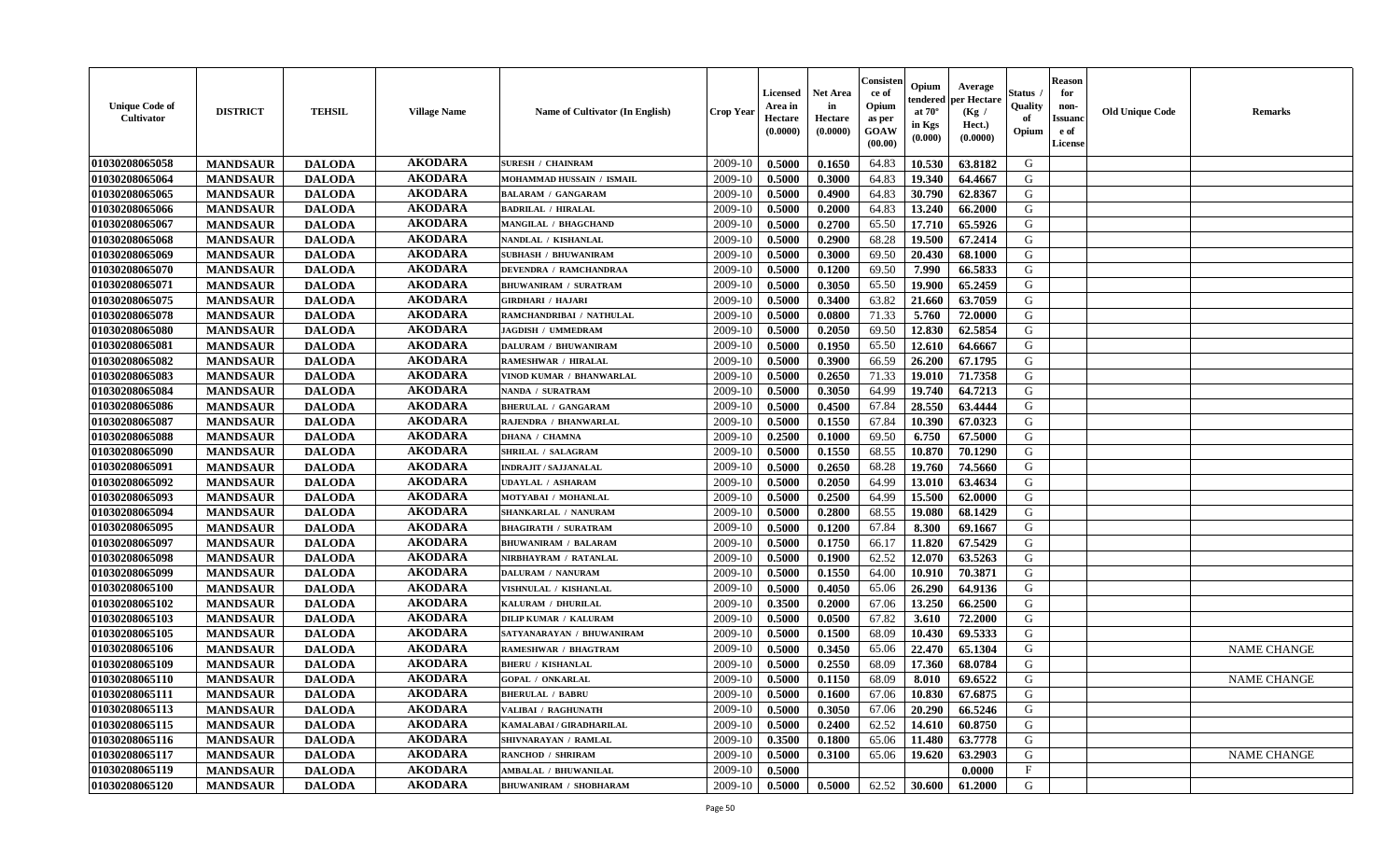| <b>Unique Code of</b><br>Cultivator | <b>DISTRICT</b> | <b>TEHSIL</b> | <b>Village Name</b> | Name of Cultivator (In English) | <b>Crop Year</b> | Licensed<br>Area in<br>Hectare<br>(0.0000) | <b>Net Area</b><br>in<br>Hectare<br>(0.0000) | Consister<br>ce of<br>Opium<br>as per<br>GOAW<br>(00.00) | Opium<br>endered<br>at $70^\circ$<br>in Kgs<br>(0.000) | Average<br>per Hectare<br>(Kg /<br>Hect.)<br>(0.0000) | <b>Status</b><br>Quality<br>of<br>Opium | <b>Reason</b><br>for<br>non-<br><b>Issuanc</b><br>e of<br>License | <b>Old Unique Code</b> | <b>Remarks</b>     |
|-------------------------------------|-----------------|---------------|---------------------|---------------------------------|------------------|--------------------------------------------|----------------------------------------------|----------------------------------------------------------|--------------------------------------------------------|-------------------------------------------------------|-----------------------------------------|-------------------------------------------------------------------|------------------------|--------------------|
| 01030208065058                      | <b>MANDSAUR</b> | <b>DALODA</b> | <b>AKODARA</b>      | <b>SURESH / CHAINRAM</b>        | 2009-10          | 0.5000                                     | 0.1650                                       | 64.83                                                    | 10.530                                                 | 63.8182                                               | G                                       |                                                                   |                        |                    |
| 01030208065064                      | <b>MANDSAUR</b> | <b>DALODA</b> | <b>AKODARA</b>      | MOHAMMAD HUSSAIN / ISMAIL       | 2009-10          | 0.5000                                     | 0.3000                                       | 64.83                                                    | 19.340                                                 | 64.4667                                               | G                                       |                                                                   |                        |                    |
| 01030208065065                      | <b>MANDSAUR</b> | <b>DALODA</b> | <b>AKODARA</b>      | <b>BALARAM / GANGARAM</b>       | 2009-10          | 0.5000                                     | 0.4900                                       | 64.83                                                    | 30.790                                                 | 62.8367                                               | G                                       |                                                                   |                        |                    |
| 01030208065066                      | <b>MANDSAUR</b> | <b>DALODA</b> | <b>AKODARA</b>      | <b>BADRILAL / HIRALAL</b>       | 2009-10          | 0.5000                                     | 0.2000                                       | 64.83                                                    | 13.240                                                 | 66.2000                                               | G                                       |                                                                   |                        |                    |
| 01030208065067                      | <b>MANDSAUR</b> | <b>DALODA</b> | <b>AKODARA</b>      | <b>MANGILAL / BHAGCHAND</b>     | 2009-10          | 0.5000                                     | 0.2700                                       | 65.50                                                    | 17.710                                                 | 65.5926                                               | G                                       |                                                                   |                        |                    |
| 01030208065068                      | <b>MANDSAUR</b> | <b>DALODA</b> | <b>AKODARA</b>      | NANDLAL / KISHANLAL             | 2009-10          | 0.5000                                     | 0.2900                                       | 68.28                                                    | 19.500                                                 | 67.2414                                               | G                                       |                                                                   |                        |                    |
| 01030208065069                      | <b>MANDSAUR</b> | <b>DALODA</b> | <b>AKODARA</b>      | <b>SUBHASH / BHUWANIRAM</b>     | 2009-10          | 0.5000                                     | 0.3000                                       | 69.50                                                    | 20.430                                                 | 68.1000                                               | G                                       |                                                                   |                        |                    |
| 01030208065070                      | <b>MANDSAUR</b> | <b>DALODA</b> | <b>AKODARA</b>      | DEVENDRA / RAMCHANDRAA          | 2009-10          | 0.5000                                     | 0.1200                                       | 69.50                                                    | 7.990                                                  | 66.5833                                               | G                                       |                                                                   |                        |                    |
| 01030208065071                      | <b>MANDSAUR</b> | <b>DALODA</b> | <b>AKODARA</b>      | <b>BHUWANIRAM / SURATRAM</b>    | 2009-10          | 0.5000                                     | 0.3050                                       | 65.50                                                    | 19.900                                                 | 65.2459                                               | G                                       |                                                                   |                        |                    |
| 01030208065075                      | <b>MANDSAUR</b> | <b>DALODA</b> | <b>AKODARA</b>      | GIRDHARI / HAJARI               | 2009-10          | 0.5000                                     | 0.3400                                       | 63.82                                                    | 21.660                                                 | 63.7059                                               | G                                       |                                                                   |                        |                    |
| 01030208065078                      | <b>MANDSAUR</b> | <b>DALODA</b> | <b>AKODARA</b>      | RAMCHANDRIBAI / NATHULAL        | 2009-10          | 0.5000                                     | 0.0800                                       | 71.33                                                    | 5.760                                                  | 72.0000                                               | G                                       |                                                                   |                        |                    |
| 01030208065080                      | <b>MANDSAUR</b> | <b>DALODA</b> | <b>AKODARA</b>      | <b>JAGDISH / UMMEDRAM</b>       | 2009-10          | 0.5000                                     | 0.2050                                       | 69.50                                                    | 12.830                                                 | 62.5854                                               | G                                       |                                                                   |                        |                    |
| 01030208065081                      | <b>MANDSAUR</b> | <b>DALODA</b> | <b>AKODARA</b>      | <b>DALURAM / BHUWANIRAM</b>     | 2009-10          | 0.5000                                     | 0.1950                                       | 65.50                                                    | 12.610                                                 | 64.6667                                               | G                                       |                                                                   |                        |                    |
| 01030208065082                      | <b>MANDSAUR</b> | <b>DALODA</b> | <b>AKODARA</b>      | <b>RAMESHWAR / HIRALAL</b>      | 2009-10          | 0.5000                                     | 0.3900                                       | 66.59                                                    | 26.200                                                 | 67.1795                                               | G                                       |                                                                   |                        |                    |
| 01030208065083                      | <b>MANDSAUR</b> | <b>DALODA</b> | <b>AKODARA</b>      | VINOD KUMAR / BHANWARLAL        | 2009-10          | 0.5000                                     | 0.2650                                       | 71.33                                                    | 19.010                                                 | 71.7358                                               | G                                       |                                                                   |                        |                    |
| 01030208065084                      | <b>MANDSAUR</b> | <b>DALODA</b> | <b>AKODARA</b>      | NANDA / SURATRAM                | 2009-10          | 0.5000                                     | 0.3050                                       | 64.99                                                    | 19.740                                                 | 64.7213                                               | G                                       |                                                                   |                        |                    |
| 01030208065086                      | <b>MANDSAUR</b> | <b>DALODA</b> | <b>AKODARA</b>      | <b>BHERULAL / GANGARAM</b>      | 2009-10          | 0.5000                                     | 0.4500                                       | 67.84                                                    | 28.550                                                 | 63.4444                                               | G                                       |                                                                   |                        |                    |
| 01030208065087                      | <b>MANDSAUR</b> | <b>DALODA</b> | <b>AKODARA</b>      | RAJENDRA / BHANWARLAL           | 2009-10          | 0.5000                                     | 0.1550                                       | 67.84                                                    | 10.390                                                 | 67.0323                                               | G                                       |                                                                   |                        |                    |
| 01030208065088                      | <b>MANDSAUR</b> | <b>DALODA</b> | <b>AKODARA</b>      | <b>DHANA / CHAMNA</b>           | 2009-10          | 0.2500                                     | 0.1000                                       | 69.50                                                    | 6.750                                                  | 67.5000                                               | G                                       |                                                                   |                        |                    |
| 01030208065090                      | <b>MANDSAUR</b> | <b>DALODA</b> | <b>AKODARA</b>      | SHRILAL / SALAGRAM              | 2009-10          | 0.5000                                     | 0.1550                                       | 68.55                                                    | 10.870                                                 | 70.1290                                               | G                                       |                                                                   |                        |                    |
|                                     |                 |               | <b>AKODARA</b>      | <b>INDRAJIT / SAJJANALAL</b>    | 2009-10          | 0.5000                                     |                                              |                                                          |                                                        |                                                       | G                                       |                                                                   |                        |                    |
| 01030208065091                      | <b>MANDSAUR</b> | <b>DALODA</b> | <b>AKODARA</b>      |                                 |                  |                                            | 0.2650                                       | 68.28                                                    | 19.760                                                 | 74.5660                                               | G                                       |                                                                   |                        |                    |
| 01030208065092                      | <b>MANDSAUR</b> | <b>DALODA</b> |                     | UDAYLAL / ASHARAM               | 2009-10          | 0.5000                                     | 0.2050                                       | 64.99                                                    | 13.010                                                 | 63.4634                                               |                                         |                                                                   |                        |                    |
| 01030208065093                      | <b>MANDSAUR</b> | <b>DALODA</b> | <b>AKODARA</b>      | MOTYABAI / MOHANLAL             | 2009-10          | 0.5000                                     | 0.2500                                       | 64.99                                                    | 15.500                                                 | 62.0000                                               | ${\bf G}$                               |                                                                   |                        |                    |
| 01030208065094                      | <b>MANDSAUR</b> | <b>DALODA</b> | <b>AKODARA</b>      | SHANKARLAL / NANURAM            | 2009-10          | 0.5000                                     | 0.2800                                       | 68.55                                                    | 19.080                                                 | 68.1429                                               | G                                       |                                                                   |                        |                    |
| 01030208065095                      | <b>MANDSAUR</b> | <b>DALODA</b> | <b>AKODARA</b>      | <b>BHAGIRATH / SURATRAM</b>     | 2009-10          | 0.5000                                     | 0.1200                                       | 67.84                                                    | 8.300                                                  | 69.1667                                               | G                                       |                                                                   |                        |                    |
| 01030208065097                      | <b>MANDSAUR</b> | <b>DALODA</b> | <b>AKODARA</b>      | <b>BHUWANIRAM / BALARAM</b>     | 2009-10          | 0.5000                                     | 0.1750                                       | 66.17                                                    | 11.820                                                 | 67.5429                                               | G                                       |                                                                   |                        |                    |
| 01030208065098                      | <b>MANDSAUR</b> | <b>DALODA</b> | <b>AKODARA</b>      | NIRBHAYRAM / RATANLAL           | 2009-10          | 0.5000                                     | 0.1900                                       | 62.52                                                    | 12.070                                                 | 63.5263                                               | G                                       |                                                                   |                        |                    |
| 01030208065099                      | <b>MANDSAUR</b> | <b>DALODA</b> | <b>AKODARA</b>      | <b>DALURAM / NANURAM</b>        | 2009-10          | 0.5000                                     | 0.1550                                       | 64.00                                                    | 10.910                                                 | 70.3871                                               | G                                       |                                                                   |                        |                    |
| 01030208065100                      | <b>MANDSAUR</b> | <b>DALODA</b> | <b>AKODARA</b>      | VISHNULAL / KISHANLAL           | 2009-10          | 0.5000                                     | 0.4050                                       | 65.06                                                    | 26.290                                                 | 64.9136                                               | G                                       |                                                                   |                        |                    |
| 01030208065102                      | <b>MANDSAUR</b> | <b>DALODA</b> | <b>AKODARA</b>      | KALURAM / DHURILAL              | 2009-10          | 0.3500                                     | 0.2000                                       | 67.06                                                    | 13.250                                                 | 66.2500                                               | G                                       |                                                                   |                        |                    |
| 01030208065103                      | <b>MANDSAUR</b> | <b>DALODA</b> | <b>AKODARA</b>      | <b>DILIP KUMAR / KALURAM</b>    | 2009-10          | 0.5000                                     | 0.0500                                       | 67.82                                                    | 3.610                                                  | 72.2000                                               | G                                       |                                                                   |                        |                    |
| 01030208065105                      | <b>MANDSAUR</b> | <b>DALODA</b> | <b>AKODARA</b>      | SATYANARAYAN / BHUWANIRAM       | 2009-10          | 0.5000                                     | 0.1500                                       | 68.09                                                    | 10.430                                                 | 69.5333                                               | G                                       |                                                                   |                        |                    |
| 01030208065106                      | <b>MANDSAUR</b> | <b>DALODA</b> | <b>AKODARA</b>      | RAMESHWAR / BHAGTRAM            | 2009-10          | 0.5000                                     | 0.3450                                       | 65.06                                                    | 22.470                                                 | 65.1304                                               | G                                       |                                                                   |                        | <b>NAME CHANGE</b> |
| 01030208065109                      | <b>MANDSAUR</b> | <b>DALODA</b> | <b>AKODARA</b>      | <b>BHERU / KISHANLAL</b>        | 2009-10          | 0.5000                                     | 0.2550                                       | 68.09                                                    | 17.360                                                 | 68.0784                                               | G                                       |                                                                   |                        |                    |
| 01030208065110                      | <b>MANDSAUR</b> | <b>DALODA</b> | <b>AKODARA</b>      | <b>GOPAL / ONKARLAL</b>         | 2009-10          | 0.5000                                     | 0.1150                                       | 68.09                                                    | 8.010                                                  | 69.6522                                               | G                                       |                                                                   |                        | <b>NAME CHANGE</b> |
| 01030208065111                      | <b>MANDSAUR</b> | <b>DALODA</b> | <b>AKODARA</b>      | <b>BHERULAL / BABRU</b>         | 2009-10          | 0.5000                                     | 0.1600                                       | 67.06                                                    | 10.830                                                 | 67.6875                                               | G                                       |                                                                   |                        |                    |
| 01030208065113                      | <b>MANDSAUR</b> | <b>DALODA</b> | <b>AKODARA</b>      | VALIBAI / RAGHUNATH             | 2009-10          | 0.5000                                     | 0.3050                                       | 67.06                                                    | 20.290                                                 | 66.5246                                               | G                                       |                                                                   |                        |                    |
| 01030208065115                      | <b>MANDSAUR</b> | <b>DALODA</b> | <b>AKODARA</b>      | KAMALABAI / GIRADHARILAL        | 2009-10          | 0.5000                                     | 0.2400                                       | 62.52                                                    | 14.610                                                 | 60.8750                                               | G                                       |                                                                   |                        |                    |
| 01030208065116                      | <b>MANDSAUR</b> | <b>DALODA</b> | <b>AKODARA</b>      | SHIVNARAYAN / RAMLAL            | 2009-10          | 0.3500                                     | 0.1800                                       | 65.06                                                    | 11.480                                                 | 63.7778                                               | G                                       |                                                                   |                        |                    |
| 01030208065117                      | <b>MANDSAUR</b> | <b>DALODA</b> | <b>AKODARA</b>      | <b>RANCHOD / SHRIRAM</b>        | 2009-10          | 0.5000                                     | 0.3100                                       | 65.06                                                    | 19.620                                                 | 63.2903                                               | G                                       |                                                                   |                        | <b>NAME CHANGE</b> |
| 01030208065119                      | <b>MANDSAUR</b> | <b>DALODA</b> | <b>AKODARA</b>      | <b>AMBALAL / BHUWANILAL</b>     | 2009-10          | 0.5000                                     |                                              |                                                          |                                                        | 0.0000                                                | $\mathbf{F}$                            |                                                                   |                        |                    |
| 01030208065120                      | <b>MANDSAUR</b> | <b>DALODA</b> | <b>AKODARA</b>      | <b>BHUWANIRAM / SHOBHARAM</b>   | 2009-10          | 0.5000                                     | 0.5000                                       | 62.52                                                    | 30.600                                                 | 61.2000                                               | G                                       |                                                                   |                        |                    |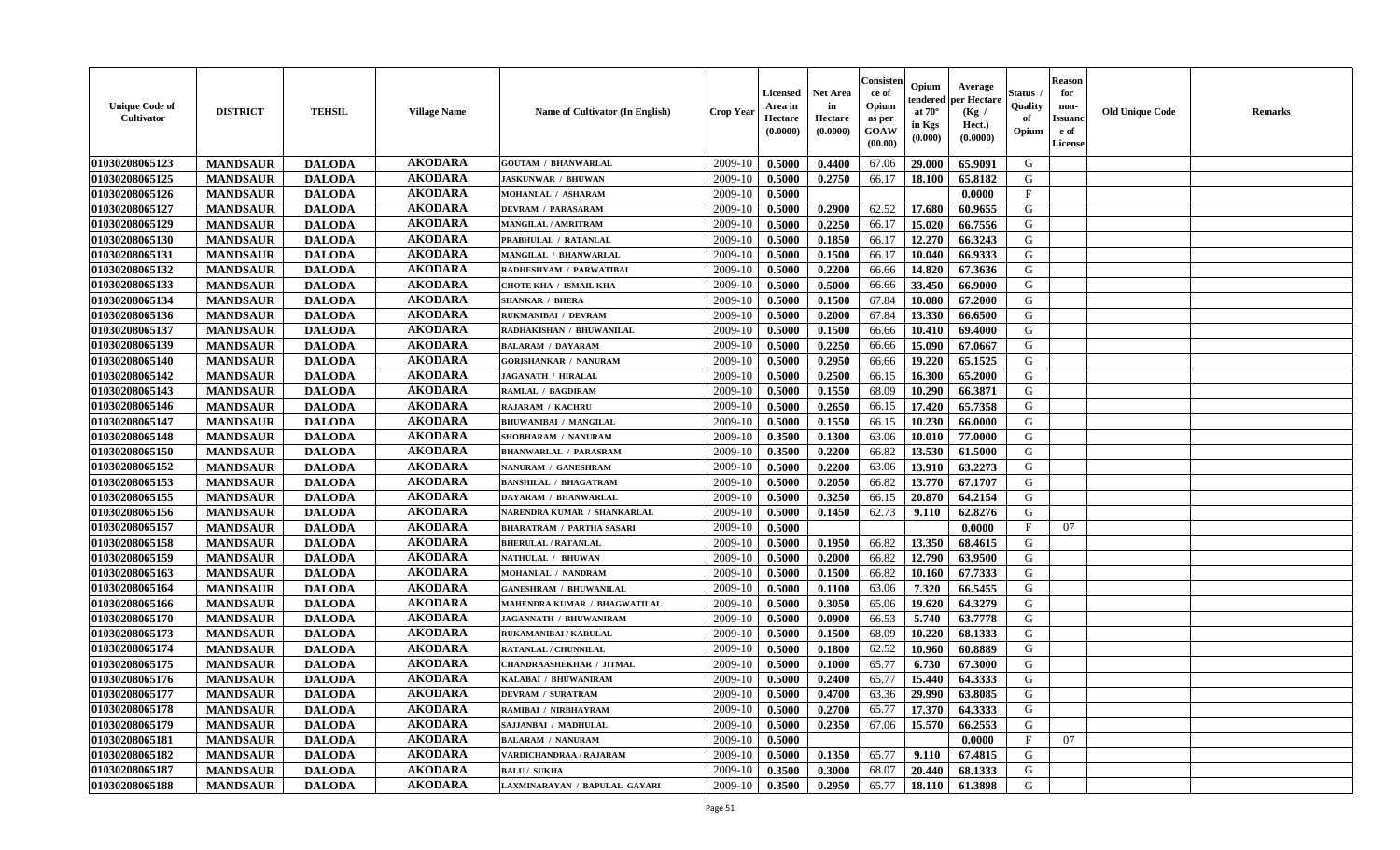| <b>Unique Code of</b><br><b>Cultivator</b> | <b>DISTRICT</b> | <b>TEHSIL</b> | <b>Village Name</b> | Name of Cultivator (In English)  | <b>Crop Year</b> | Licensed<br>Area in<br>Hectare<br>(0.0000) | <b>Net Area</b><br>in<br>Hectare<br>(0.0000) | Consisteı<br>ce of<br>Opium<br>as per<br>GOAW<br>(00.00) | Opium<br>endered<br>at $70^\circ$<br>in Kgs<br>(0.000) | Average<br>per Hectare<br>(Kg /<br>Hect.)<br>(0.0000) | Status<br>Quality<br>of<br>Opium | <b>Reason</b><br>for<br>non-<br><b>Issuand</b><br>e of<br><b>License</b> | <b>Old Unique Code</b> | <b>Remarks</b> |
|--------------------------------------------|-----------------|---------------|---------------------|----------------------------------|------------------|--------------------------------------------|----------------------------------------------|----------------------------------------------------------|--------------------------------------------------------|-------------------------------------------------------|----------------------------------|--------------------------------------------------------------------------|------------------------|----------------|
| 01030208065123                             | <b>MANDSAUR</b> | <b>DALODA</b> | <b>AKODARA</b>      | <b>GOUTAM / BHANWARLAL</b>       | 2009-10          | 0.5000                                     | 0.4400                                       | 67.06                                                    | 29.000                                                 | 65.9091                                               | G                                |                                                                          |                        |                |
| 01030208065125                             | <b>MANDSAUR</b> | <b>DALODA</b> | <b>AKODARA</b>      | <b>JASKUNWAR / BHUWAN</b>        | 2009-10          | 0.5000                                     | 0.2750                                       | 66.17                                                    | 18.100                                                 | 65.8182                                               | G                                |                                                                          |                        |                |
| 01030208065126                             | <b>MANDSAUR</b> | <b>DALODA</b> | <b>AKODARA</b>      | MOHANLAL / ASHARAM               | 2009-10          | 0.5000                                     |                                              |                                                          |                                                        | 0.0000                                                | $\mathbf{F}$                     |                                                                          |                        |                |
| 01030208065127                             | <b>MANDSAUR</b> | <b>DALODA</b> | <b>AKODARA</b>      | <b>DEVRAM / PARASARAM</b>        | 2009-10          | 0.5000                                     | 0.2900                                       | 62.52                                                    | 17.680                                                 | 60.9655                                               | G                                |                                                                          |                        |                |
| 01030208065129                             | <b>MANDSAUR</b> | <b>DALODA</b> | <b>AKODARA</b>      | <b>MANGILAL / AMRITRAM</b>       | 2009-10          | 0.5000                                     | 0.2250                                       | 66.17                                                    | 15.020                                                 | 66.7556                                               | G                                |                                                                          |                        |                |
| 01030208065130                             | <b>MANDSAUR</b> | <b>DALODA</b> | <b>AKODARA</b>      | PRABHULAL / RATANLAL             | 2009-10          | 0.5000                                     | 0.1850                                       | 66.17                                                    | 12.270                                                 | 66.3243                                               | G                                |                                                                          |                        |                |
| 01030208065131                             | <b>MANDSAUR</b> | <b>DALODA</b> | <b>AKODARA</b>      | MANGILAL / BHANWARLAL            | 2009-10          | 0.5000                                     | 0.1500                                       | 66.17                                                    | 10.040                                                 | 66.9333                                               | G                                |                                                                          |                        |                |
| 01030208065132                             | <b>MANDSAUR</b> | <b>DALODA</b> | <b>AKODARA</b>      | RADHESHYAM / PARWATIBAI          | 2009-10          | 0.5000                                     | 0.2200                                       | 66.66                                                    | 14.820                                                 | 67.3636                                               | G                                |                                                                          |                        |                |
| 01030208065133                             | <b>MANDSAUR</b> | <b>DALODA</b> | <b>AKODARA</b>      | <b>CHOTE KHA / ISMAIL KHA</b>    | 2009-10          | 0.5000                                     | 0.5000                                       | 66.66                                                    | 33.450                                                 | 66.9000                                               | G                                |                                                                          |                        |                |
| 01030208065134                             | <b>MANDSAUR</b> | <b>DALODA</b> | <b>AKODARA</b>      | <b>SHANKAR / BHERA</b>           | 2009-10          | 0.5000                                     | 0.1500                                       | 67.84                                                    | 10.080                                                 | 67.2000                                               | G                                |                                                                          |                        |                |
| 01030208065136                             | <b>MANDSAUR</b> | <b>DALODA</b> | <b>AKODARA</b>      | RUKMANIBAI / DEVRAM              | 2009-10          | 0.5000                                     | 0.2000                                       | 67.84                                                    | 13.330                                                 | 66.6500                                               | G                                |                                                                          |                        |                |
| 01030208065137                             | <b>MANDSAUR</b> | <b>DALODA</b> | <b>AKODARA</b>      | RADHAKISHAN / BHUWANILAL         | 2009-10          | 0.5000                                     | 0.1500                                       | 66.66                                                    | 10.410                                                 | 69.4000                                               | G                                |                                                                          |                        |                |
| 01030208065139                             | <b>MANDSAUR</b> | <b>DALODA</b> | <b>AKODARA</b>      | <b>BALARAM / DAYARAM</b>         | 2009-10          | 0.5000                                     | 0.2250                                       | 66.66                                                    | 15.090                                                 | 67.0667                                               | G                                |                                                                          |                        |                |
| 01030208065140                             | <b>MANDSAUR</b> | <b>DALODA</b> | <b>AKODARA</b>      | <b>GORISHANKAR / NANURAM</b>     | 2009-10          | 0.5000                                     | 0.2950                                       | 66.66                                                    | 19.220                                                 | 65.1525                                               | G                                |                                                                          |                        |                |
| 01030208065142                             | <b>MANDSAUR</b> | <b>DALODA</b> | <b>AKODARA</b>      | JAGANATH / HIRALAL               | 2009-10          | 0.5000                                     | 0.2500                                       | 66.15                                                    | 16.300                                                 | 65.2000                                               | G                                |                                                                          |                        |                |
| 01030208065143                             | <b>MANDSAUR</b> | <b>DALODA</b> | <b>AKODARA</b>      | <b>RAMLAL / BAGDIRAM</b>         | 2009-10          | 0.5000                                     | 0.1550                                       | 68.09                                                    | 10.290                                                 | 66.3871                                               | G                                |                                                                          |                        |                |
| 01030208065146                             | <b>MANDSAUR</b> | <b>DALODA</b> | <b>AKODARA</b>      | <b>RAJARAM / KACHRU</b>          | 2009-10          | 0.5000                                     | 0.2650                                       | 66.15                                                    | 17.420                                                 | 65.7358                                               | G                                |                                                                          |                        |                |
| 01030208065147                             | <b>MANDSAUR</b> | <b>DALODA</b> | <b>AKODARA</b>      | <b>BHUWANIBAI / MANGILAL</b>     | 2009-10          | 0.5000                                     | 0.1550                                       | 66.15                                                    | 10.230                                                 | 66.0000                                               | G                                |                                                                          |                        |                |
| 01030208065148                             | <b>MANDSAUR</b> | <b>DALODA</b> | <b>AKODARA</b>      | SHOBHARAM / NANURAM              | 2009-10          | 0.3500                                     | 0.1300                                       | 63.06                                                    | 10.010                                                 | 77.0000                                               | G                                |                                                                          |                        |                |
| 01030208065150                             | <b>MANDSAUR</b> | <b>DALODA</b> | <b>AKODARA</b>      | <b>BHANWARLAL / PARASRAM</b>     | 2009-10          | 0.3500                                     | 0.2200                                       | 66.82                                                    | 13.530                                                 | 61.5000                                               | G                                |                                                                          |                        |                |
| 01030208065152                             | <b>MANDSAUR</b> | <b>DALODA</b> | <b>AKODARA</b>      | NANURAM / GANESHRAM              | 2009-10          | 0.5000                                     | 0.2200                                       | 63.06                                                    | 13.910                                                 | 63.2273                                               | G                                |                                                                          |                        |                |
| 01030208065153                             | <b>MANDSAUR</b> | <b>DALODA</b> | <b>AKODARA</b>      | <b>BANSHILAL / BHAGATRAM</b>     | 2009-10          | 0.5000                                     | 0.2050                                       | 66.82                                                    | 13.770                                                 | 67.1707                                               | G                                |                                                                          |                        |                |
| 01030208065155                             | <b>MANDSAUR</b> | <b>DALODA</b> | <b>AKODARA</b>      | DAYARAM / BHANWARLAL             | 2009-10          | 0.5000                                     | 0.3250                                       | 66.15                                                    | 20.870                                                 | 64.2154                                               | G                                |                                                                          |                        |                |
| 01030208065156                             | <b>MANDSAUR</b> | <b>DALODA</b> | <b>AKODARA</b>      | NARENDRA KUMAR / SHANKARLAL      | 2009-10          | 0.5000                                     | 0.1450                                       | 62.73                                                    | 9.110                                                  | 62.8276                                               | G                                |                                                                          |                        |                |
| 01030208065157                             | <b>MANDSAUR</b> | <b>DALODA</b> | <b>AKODARA</b>      | <b>BHARATRAM / PARTHA SASARI</b> | 2009-10          | 0.5000                                     |                                              |                                                          |                                                        | 0.0000                                                | $\mathbf{F}$                     | 07                                                                       |                        |                |
| 01030208065158                             | <b>MANDSAUR</b> | <b>DALODA</b> | <b>AKODARA</b>      | <b>BHERULAL / RATANLAL</b>       | 2009-10          | 0.5000                                     | 0.1950                                       | 66.82                                                    | 13.350                                                 | 68.4615                                               | G                                |                                                                          |                        |                |
| 01030208065159                             | <b>MANDSAUR</b> | <b>DALODA</b> | <b>AKODARA</b>      | NATHULAL / BHUWAN                | 2009-10          | 0.5000                                     | 0.2000                                       | 66.82                                                    | 12.790                                                 | 63.9500                                               | G                                |                                                                          |                        |                |
| 01030208065163                             | <b>MANDSAUR</b> | <b>DALODA</b> | <b>AKODARA</b>      | MOHANLAL / NANDRAM               | 2009-10          | 0.5000                                     | 0.1500                                       | 66.82                                                    | 10.160                                                 | 67.7333                                               | G                                |                                                                          |                        |                |
| 01030208065164                             | <b>MANDSAUR</b> | <b>DALODA</b> | <b>AKODARA</b>      | <b>GANESHRAM / BHUWANILAL</b>    | 2009-10          | 0.5000                                     | 0.1100                                       | 63.06                                                    | 7.320                                                  | 66.5455                                               | G                                |                                                                          |                        |                |
| 01030208065166                             | <b>MANDSAUR</b> | <b>DALODA</b> | <b>AKODARA</b>      | MAHENDRA KUMAR / BHAGWATILAL     | 2009-10          | 0.5000                                     | 0.3050                                       | 65.06                                                    | 19.620                                                 | 64.3279                                               | G                                |                                                                          |                        |                |
| 01030208065170                             | <b>MANDSAUR</b> | <b>DALODA</b> | <b>AKODARA</b>      | JAGANNATH / BHUWANIRAM           | 2009-10          | 0.5000                                     | 0.0900                                       | 66.53                                                    | 5.740                                                  | 63.7778                                               | ${\bf G}$                        |                                                                          |                        |                |
| 01030208065173                             | <b>MANDSAUR</b> | <b>DALODA</b> | <b>AKODARA</b>      | RUKAMANIBAI / KARULAL            | 2009-10          | 0.5000                                     | 0.1500                                       | 68.09                                                    | 10.220                                                 | 68.1333                                               | G                                |                                                                          |                        |                |
| 01030208065174                             | <b>MANDSAUR</b> | <b>DALODA</b> | <b>AKODARA</b>      | RATANLAL / CHUNNILAL             | 2009-10          | 0.5000                                     | 0.1800                                       | 62.52                                                    | 10.960                                                 | 60.8889                                               | G                                |                                                                          |                        |                |
| 01030208065175                             | <b>MANDSAUR</b> | <b>DALODA</b> | <b>AKODARA</b>      | <b>CHANDRAASHEKHAR / JITMAL</b>  | 2009-10          | 0.5000                                     | 0.1000                                       | 65.77                                                    | 6.730                                                  | 67.3000                                               | G                                |                                                                          |                        |                |
| 01030208065176                             | <b>MANDSAUR</b> | <b>DALODA</b> | <b>AKODARA</b>      | KALABAI / BHUWANIRAM             | 2009-10          | 0.5000                                     | 0.2400                                       | 65.77                                                    | 15.440                                                 | 64.3333                                               | G                                |                                                                          |                        |                |
| 01030208065177                             | <b>MANDSAUR</b> | <b>DALODA</b> | <b>AKODARA</b>      | <b>DEVRAM / SURATRAM</b>         | 2009-10          | 0.5000                                     | 0.4700                                       | 63.36                                                    | 29.990                                                 | 63.8085                                               | G                                |                                                                          |                        |                |
| 01030208065178                             | <b>MANDSAUR</b> | <b>DALODA</b> | <b>AKODARA</b>      | RAMIBAI / NIRBHAYRAM             | 2009-10          | 0.5000                                     | 0.2700                                       | 65.77                                                    | 17.370                                                 | 64.3333                                               | G                                |                                                                          |                        |                |
| 01030208065179                             | <b>MANDSAUR</b> | <b>DALODA</b> | <b>AKODARA</b>      | SAJJANBAI / MADHULAL             | 2009-10          | 0.5000                                     | 0.2350                                       | 67.06                                                    | 15.570                                                 | 66.2553                                               | G                                |                                                                          |                        |                |
| 01030208065181                             | <b>MANDSAUR</b> | <b>DALODA</b> | <b>AKODARA</b>      | <b>BALARAM / NANURAM</b>         | 2009-10          | 0.5000                                     |                                              |                                                          |                                                        | 0.0000                                                | F                                | 07                                                                       |                        |                |
| 01030208065182                             | <b>MANDSAUR</b> | <b>DALODA</b> | <b>AKODARA</b>      | VARDICHANDRAA / RAJARAM          | 2009-10          | 0.5000                                     | 0.1350                                       | 65.77                                                    | 9.110                                                  | 67.4815                                               | G                                |                                                                          |                        |                |
| 01030208065187                             | <b>MANDSAUR</b> | <b>DALODA</b> | <b>AKODARA</b>      | <b>BALU / SUKHA</b>              | 2009-10          | 0.3500                                     | 0.3000                                       | 68.07                                                    | 20.440                                                 | 68.1333                                               | G                                |                                                                          |                        |                |
| 01030208065188                             | <b>MANDSAUR</b> | <b>DALODA</b> | <b>AKODARA</b>      | LAXMINARAYAN / BAPULAL GAYARI    | 2009-10          | 0.3500                                     | 0.2950                                       | 65.77                                                    | 18.110                                                 | 61.3898                                               | G                                |                                                                          |                        |                |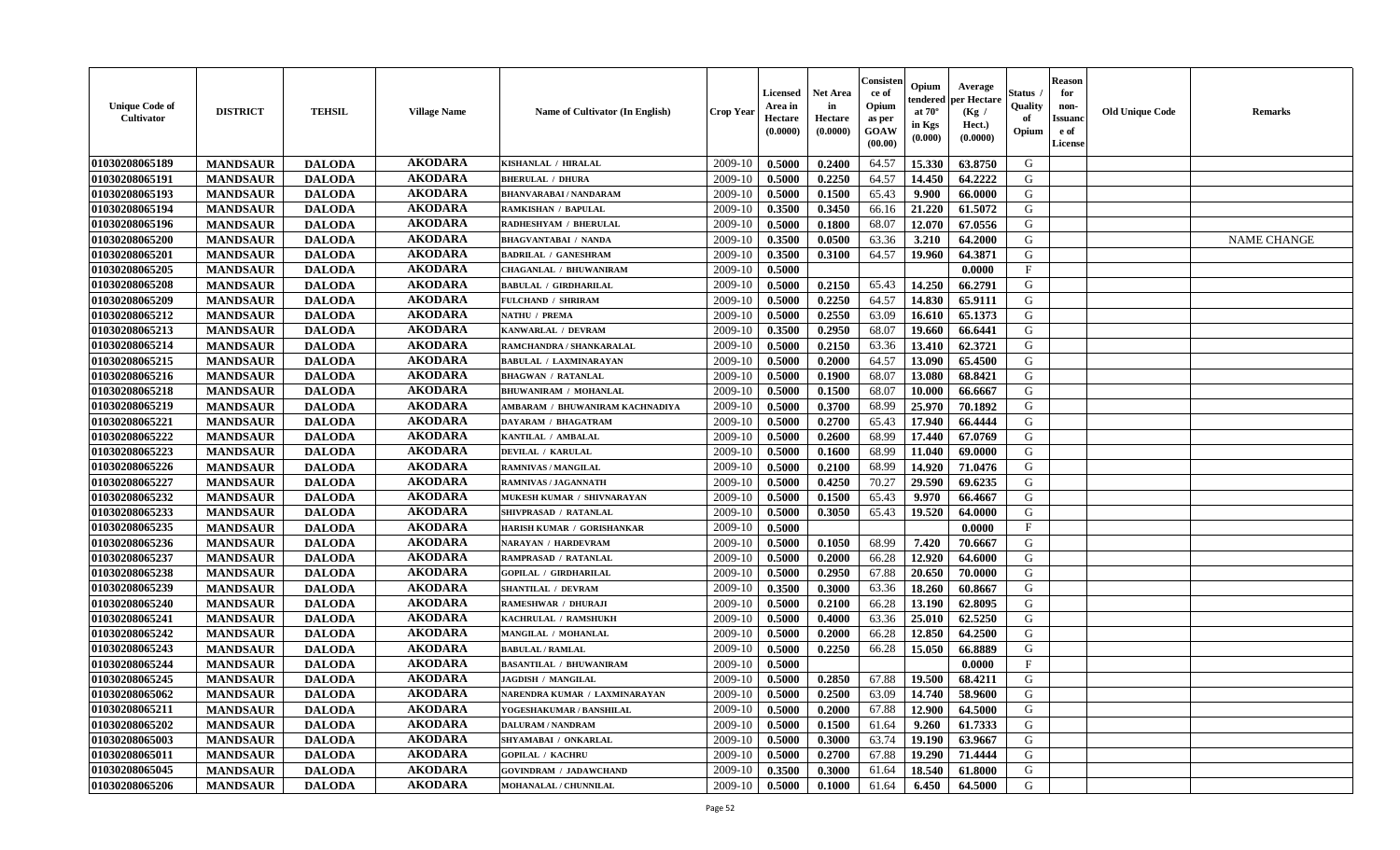| <b>Unique Code of</b><br>Cultivator | <b>DISTRICT</b> | <b>TEHSIL</b> | <b>Village Name</b> | Name of Cultivator (In English) | <b>Crop Year</b> | Licensed<br>Area in<br>Hectare<br>(0.0000) | <b>Net Area</b><br>in<br>Hectare<br>(0.0000) | Consister<br>ce of<br>Opium<br>as per<br>GOAW<br>(00.00) | Opium<br>endered<br>at $70^\circ$<br>in Kgs<br>(0.000) | Average<br>per Hectare<br>(Kg /<br>Hect.)<br>(0.0000) | Status<br>Quality<br>of<br>Opium | <b>Reason</b><br>for<br>non-<br><b>Issuanc</b><br>e of<br>License | <b>Old Unique Code</b> | Remarks            |
|-------------------------------------|-----------------|---------------|---------------------|---------------------------------|------------------|--------------------------------------------|----------------------------------------------|----------------------------------------------------------|--------------------------------------------------------|-------------------------------------------------------|----------------------------------|-------------------------------------------------------------------|------------------------|--------------------|
| 01030208065189                      | <b>MANDSAUR</b> | <b>DALODA</b> | <b>AKODARA</b>      | KISHANLAL / HIRALAL             | 2009-10          | 0.5000                                     | 0.2400                                       | 64.57                                                    | 15.330                                                 | 63.8750                                               | G                                |                                                                   |                        |                    |
| 01030208065191                      | <b>MANDSAUR</b> | <b>DALODA</b> | <b>AKODARA</b>      | <b>BHERULAL / DHURA</b>         | 2009-10          | 0.5000                                     | 0.2250                                       | 64.57                                                    | 14.450                                                 | 64.2222                                               | G                                |                                                                   |                        |                    |
| 01030208065193                      | <b>MANDSAUR</b> | <b>DALODA</b> | <b>AKODARA</b>      | <b>BHANVARABAI/NANDARAM</b>     | 2009-10          | 0.5000                                     | 0.1500                                       | 65.43                                                    | 9.900                                                  | 66.0000                                               | G                                |                                                                   |                        |                    |
| 01030208065194                      | <b>MANDSAUR</b> | <b>DALODA</b> | <b>AKODARA</b>      | RAMKISHAN / BAPULAL             | 2009-10          | 0.3500                                     | 0.3450                                       | 66.16                                                    | 21.220                                                 | 61.5072                                               | G                                |                                                                   |                        |                    |
| 01030208065196                      | <b>MANDSAUR</b> | <b>DALODA</b> | <b>AKODARA</b>      | RADHESHYAM / BHERULAL           | 2009-10          | 0.5000                                     | 0.1800                                       | 68.07                                                    | 12.070                                                 | 67.0556                                               | G                                |                                                                   |                        |                    |
| 01030208065200                      | <b>MANDSAUR</b> | <b>DALODA</b> | <b>AKODARA</b>      | <b>BHAGVANTABAI / NANDA</b>     | 2009-10          | 0.3500                                     | 0.0500                                       | 63.36                                                    | 3.210                                                  | 64.2000                                               | G                                |                                                                   |                        | <b>NAME CHANGE</b> |
| 01030208065201                      | <b>MANDSAUR</b> | <b>DALODA</b> | <b>AKODARA</b>      | <b>BADRILAL / GANESHRAM</b>     | 2009-10          | 0.3500                                     | 0.3100                                       | 64.57                                                    | 19.960                                                 | 64.3871                                               | G                                |                                                                   |                        |                    |
| 01030208065205                      | <b>MANDSAUR</b> | <b>DALODA</b> | <b>AKODARA</b>      | <b>CHAGANLAL / BHUWANIRAM</b>   | 2009-10          | 0.5000                                     |                                              |                                                          |                                                        | 0.0000                                                | $\mathbf{F}$                     |                                                                   |                        |                    |
| 01030208065208                      | <b>MANDSAUR</b> | <b>DALODA</b> | <b>AKODARA</b>      | <b>BABULAL / GIRDHARILAL</b>    | 2009-10          | 0.5000                                     | 0.2150                                       | 65.43                                                    | 14.250                                                 | 66.2791                                               | G                                |                                                                   |                        |                    |
| 01030208065209                      | <b>MANDSAUR</b> | <b>DALODA</b> | <b>AKODARA</b>      | <b>FULCHAND / SHRIRAM</b>       | 2009-10          | 0.5000                                     | 0.2250                                       | 64.57                                                    | 14.830                                                 | 65.9111                                               | G                                |                                                                   |                        |                    |
| 01030208065212                      | <b>MANDSAUR</b> | <b>DALODA</b> | <b>AKODARA</b>      | <b>NATHU / PREMA</b>            | 2009-10          | 0.5000                                     | 0.2550                                       | 63.09                                                    | 16.610                                                 | 65.1373                                               | G                                |                                                                   |                        |                    |
| 01030208065213                      | <b>MANDSAUR</b> | <b>DALODA</b> | <b>AKODARA</b>      | KANWARLAL / DEVRAM              | 2009-10          | 0.3500                                     | 0.2950                                       | 68.07                                                    | 19.660                                                 | 66.6441                                               | G                                |                                                                   |                        |                    |
| 01030208065214                      | <b>MANDSAUR</b> | <b>DALODA</b> | <b>AKODARA</b>      | RAMCHANDRA / SHANKARALAL        | 2009-10          | 0.5000                                     | 0.2150                                       | 63.36                                                    | 13.410                                                 | 62.3721                                               | G                                |                                                                   |                        |                    |
| 01030208065215                      | <b>MANDSAUR</b> | <b>DALODA</b> | <b>AKODARA</b>      | <b>BABULAL / LAXMINARAYAN</b>   | 2009-10          | 0.5000                                     | 0.2000                                       | 64.57                                                    | 13.090                                                 | 65.4500                                               | G                                |                                                                   |                        |                    |
| 01030208065216                      | <b>MANDSAUR</b> | <b>DALODA</b> | <b>AKODARA</b>      | <b>BHAGWAN / RATANLAL</b>       | 2009-10          | 0.5000                                     | 0.1900                                       | 68.07                                                    | 13.080                                                 | 68.8421                                               | G                                |                                                                   |                        |                    |
| 01030208065218                      | <b>MANDSAUR</b> | <b>DALODA</b> | <b>AKODARA</b>      | <b>BHUWANIRAM / MOHANLAL</b>    | 2009-10          | 0.5000                                     | 0.1500                                       | 68.07                                                    | 10.000                                                 | 66.6667                                               | G                                |                                                                   |                        |                    |
| 01030208065219                      | <b>MANDSAUR</b> | <b>DALODA</b> | <b>AKODARA</b>      | AMBARAM / BHUWANIRAM KACHNADIYA | 2009-10          | 0.5000                                     | 0.3700                                       | 68.99                                                    | 25.970                                                 | 70.1892                                               | G                                |                                                                   |                        |                    |
| 01030208065221                      | <b>MANDSAUR</b> | <b>DALODA</b> | <b>AKODARA</b>      | DAYARAM / BHAGATRAM             | 2009-10          | 0.5000                                     | 0.2700                                       | 65.43                                                    | 17.940                                                 | 66.4444                                               | G                                |                                                                   |                        |                    |
| 01030208065222                      | <b>MANDSAUR</b> | <b>DALODA</b> | <b>AKODARA</b>      | KANTILAL / AMBALAL              | 2009-10          | 0.5000                                     | 0.2600                                       | 68.99                                                    | 17.440                                                 | 67.0769                                               | G                                |                                                                   |                        |                    |
| 01030208065223                      | <b>MANDSAUR</b> | <b>DALODA</b> | <b>AKODARA</b>      | <b>DEVILAL / KARULAL</b>        | 2009-10          | 0.5000                                     | 0.1600                                       | 68.99                                                    | 11.040                                                 | 69.0000                                               | G                                |                                                                   |                        |                    |
| 01030208065226                      | <b>MANDSAUR</b> | <b>DALODA</b> | <b>AKODARA</b>      | <b>RAMNIVAS / MANGILAL</b>      | 2009-10          | 0.5000                                     | 0.2100                                       | 68.99                                                    | 14.920                                                 | 71.0476                                               | G                                |                                                                   |                        |                    |
| 01030208065227                      | <b>MANDSAUR</b> | <b>DALODA</b> | <b>AKODARA</b>      | <b>RAMNIVAS / JAGANNATH</b>     | 2009-10          | 0.5000                                     | 0.4250                                       | 70.27                                                    | 29.590                                                 | 69.6235                                               | G                                |                                                                   |                        |                    |
| 01030208065232                      | <b>MANDSAUR</b> | <b>DALODA</b> | <b>AKODARA</b>      | MUKESH KUMAR / SHIVNARAYAN      | 2009-10          | 0.5000                                     | 0.1500                                       | 65.43                                                    | 9.970                                                  | 66.4667                                               | G                                |                                                                   |                        |                    |
| 01030208065233                      | <b>MANDSAUR</b> | <b>DALODA</b> | <b>AKODARA</b>      | SHIVPRASAD / RATANLAL           | 2009-10          | 0.5000                                     | 0.3050                                       | 65.43                                                    | 19.520                                                 | 64.0000                                               | G                                |                                                                   |                        |                    |
| 01030208065235                      | <b>MANDSAUR</b> | <b>DALODA</b> | <b>AKODARA</b>      | HARISH KUMAR / GORISHANKAR      | 2009-10          | 0.5000                                     |                                              |                                                          |                                                        | 0.0000                                                | $\mathbf F$                      |                                                                   |                        |                    |
| 01030208065236                      | <b>MANDSAUR</b> | <b>DALODA</b> | <b>AKODARA</b>      | <b>NARAYAN / HARDEVRAM</b>      | 2009-10          | 0.5000                                     | 0.1050                                       | 68.99                                                    | 7.420                                                  | 70.6667                                               | G                                |                                                                   |                        |                    |
| 01030208065237                      | <b>MANDSAUR</b> | <b>DALODA</b> | <b>AKODARA</b>      | RAMPRASAD / RATANLAL            | 2009-10          | 0.5000                                     | 0.2000                                       | 66.28                                                    | 12.920                                                 | 64.6000                                               | G                                |                                                                   |                        |                    |
| 01030208065238                      | <b>MANDSAUR</b> | <b>DALODA</b> | <b>AKODARA</b>      | <b>GOPILAL / GIRDHARILAL</b>    | 2009-10          | 0.5000                                     | 0.2950                                       | 67.88                                                    | 20.650                                                 | 70.0000                                               | G                                |                                                                   |                        |                    |
| 01030208065239                      | <b>MANDSAUR</b> | <b>DALODA</b> | <b>AKODARA</b>      | <b>SHANTILAL / DEVRAM</b>       | 2009-10          | 0.3500                                     | 0.3000                                       | 63.36                                                    | 18.260                                                 | 60.8667                                               | G                                |                                                                   |                        |                    |
| 01030208065240                      | <b>MANDSAUR</b> | <b>DALODA</b> | <b>AKODARA</b>      | <b>RAMESHWAR / DHURAJI</b>      | 2009-10          | 0.5000                                     | 0.2100                                       | 66.28                                                    | 13.190                                                 | 62.8095                                               | G                                |                                                                   |                        |                    |
| 01030208065241                      | <b>MANDSAUR</b> | <b>DALODA</b> | <b>AKODARA</b>      | KACHRULAL / RAMSHUKH            | 2009-10          | 0.5000                                     | 0.4000                                       | 63.36                                                    | 25.010                                                 | 62.5250                                               | G                                |                                                                   |                        |                    |
| 01030208065242                      | <b>MANDSAUR</b> | <b>DALODA</b> | <b>AKODARA</b>      | MANGILAL / MOHANLAL             | 2009-10          | 0.5000                                     | 0.2000                                       | 66.28                                                    | 12.850                                                 | 64.2500                                               | G                                |                                                                   |                        |                    |
| 01030208065243                      | <b>MANDSAUR</b> | <b>DALODA</b> | <b>AKODARA</b>      | <b>BABULAL / RAMLAL</b>         | 2009-10          | 0.5000                                     | 0.2250                                       | 66.28                                                    | 15.050                                                 | 66.8889                                               | G                                |                                                                   |                        |                    |
| 01030208065244                      | <b>MANDSAUR</b> | <b>DALODA</b> | <b>AKODARA</b>      | <b>BASANTILAL / BHUWANIRAM</b>  | 2009-10          | 0.5000                                     |                                              |                                                          |                                                        | 0.0000                                                | $\mathbf{F}$                     |                                                                   |                        |                    |
| 01030208065245                      | <b>MANDSAUR</b> | <b>DALODA</b> | <b>AKODARA</b>      | <b>JAGDISH / MANGILAL</b>       | 2009-10          | 0.5000                                     | 0.2850                                       | 67.88                                                    | 19.500                                                 | 68.4211                                               | G                                |                                                                   |                        |                    |
| 01030208065062                      | <b>MANDSAUR</b> | <b>DALODA</b> | <b>AKODARA</b>      | NARENDRA KUMAR / LAXMINARAYAN   | 2009-10          | 0.5000                                     | 0.2500                                       | 63.09                                                    | 14.740                                                 | 58.9600                                               | G                                |                                                                   |                        |                    |
| 01030208065211                      | <b>MANDSAUR</b> | <b>DALODA</b> | <b>AKODARA</b>      | YOGESHAKUMAR / BANSHILAL        | 2009-10          | 0.5000                                     | 0.2000                                       | 67.88                                                    | 12.900                                                 | 64.5000                                               | G                                |                                                                   |                        |                    |
| 01030208065202                      | <b>MANDSAUR</b> | <b>DALODA</b> | <b>AKODARA</b>      | <b>DALURAM / NANDRAM</b>        | 2009-10          | 0.5000                                     | 0.1500                                       | 61.64                                                    | 9.260                                                  | 61.7333                                               | G                                |                                                                   |                        |                    |
| 01030208065003                      | <b>MANDSAUR</b> | <b>DALODA</b> | <b>AKODARA</b>      | SHYAMABAI / ONKARLAL            | 2009-10          | 0.5000                                     | 0.3000                                       | 63.74                                                    | 19.190                                                 | 63.9667                                               | G                                |                                                                   |                        |                    |
| 01030208065011                      | <b>MANDSAUR</b> | <b>DALODA</b> | <b>AKODARA</b>      | <b>GOPILAL / KACHRU</b>         | 2009-10          | 0.5000                                     | 0.2700                                       | 67.88                                                    | 19.290                                                 | 71.4444                                               | ${\bf G}$                        |                                                                   |                        |                    |
| 01030208065045                      | <b>MANDSAUR</b> | <b>DALODA</b> | <b>AKODARA</b>      | <b>GOVINDRAM / JADAWCHAND</b>   | 2009-10          | 0.3500                                     | 0.3000                                       | 61.64                                                    | 18.540                                                 | 61.8000                                               | G                                |                                                                   |                        |                    |
| 01030208065206                      | <b>MANDSAUR</b> | <b>DALODA</b> | <b>AKODARA</b>      | <b>MOHANALAL / CHUNNILAL</b>    | 2009-10          | 0.5000                                     | 0.1000                                       | 61.64                                                    | 6.450                                                  | 64.5000                                               | G                                |                                                                   |                        |                    |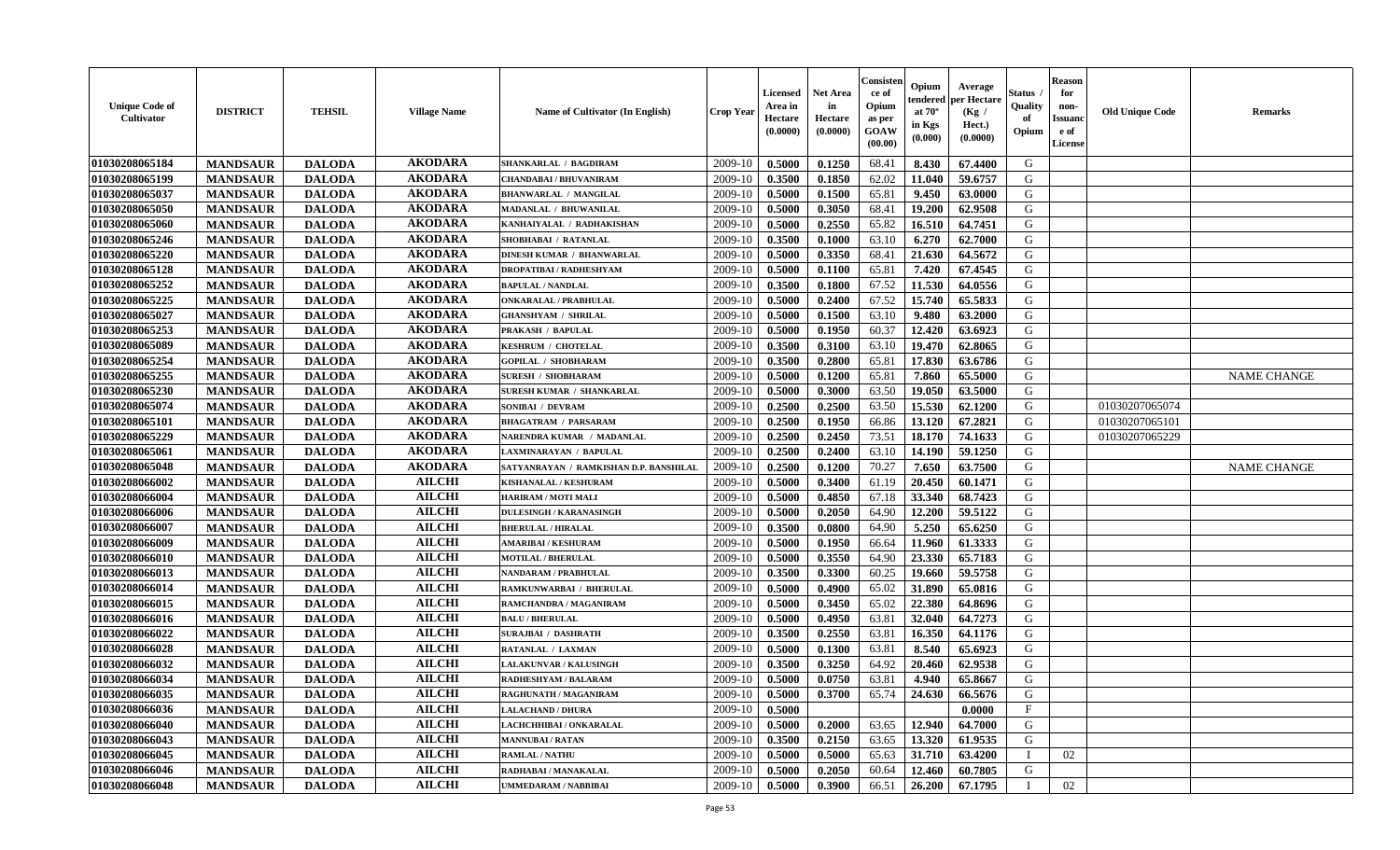| <b>Unique Code of</b><br><b>Cultivator</b> | <b>DISTRICT</b> | <b>TEHSIL</b> | <b>Village Name</b> | Name of Cultivator (In English)        | <b>Crop Year</b> | <b>Licensed</b><br>Area in<br>Hectare<br>(0.0000) | <b>Net Area</b><br>in<br>Hectare<br>(0.0000) | Consister<br>ce of<br>Opium<br>as per<br><b>GOAW</b><br>(00.00) | Opium<br>endered<br>at $70^{\circ}$<br>in Kgs<br>$(\mathbf{0.000})$ | Average<br>per Hectare<br>(Kg)<br>Hect.)<br>(0.0000) | Status<br>Quality<br>of<br>Opium | <b>Reason</b><br>for<br>non-<br><b>Issuano</b><br>e of<br>License | <b>Old Unique Code</b> | <b>Remarks</b>     |
|--------------------------------------------|-----------------|---------------|---------------------|----------------------------------------|------------------|---------------------------------------------------|----------------------------------------------|-----------------------------------------------------------------|---------------------------------------------------------------------|------------------------------------------------------|----------------------------------|-------------------------------------------------------------------|------------------------|--------------------|
| 01030208065184                             | <b>MANDSAUR</b> | <b>DALODA</b> | <b>AKODARA</b>      | <b>SHANKARLAL / BAGDIRAM</b>           | 2009-10          | 0.5000                                            | 0.1250                                       | 68.41                                                           | 8.430                                                               | 67.4400                                              | G                                |                                                                   |                        |                    |
| 01030208065199                             | <b>MANDSAUR</b> | <b>DALODA</b> | <b>AKODARA</b>      | CHANDABAI / BHUVANIRAM                 | 2009-10          | 0.3500                                            | 0.1850                                       | 62.02                                                           | 11.040                                                              | 59.6757                                              | G                                |                                                                   |                        |                    |
| 01030208065037                             | <b>MANDSAUR</b> | <b>DALODA</b> | <b>AKODARA</b>      | <b>BHANWARLAL / MANGILAL</b>           | 2009-10          | 0.5000                                            | 0.1500                                       | 65.81                                                           | 9.450                                                               | 63.0000                                              | G                                |                                                                   |                        |                    |
| 01030208065050                             | <b>MANDSAUR</b> | <b>DALODA</b> | <b>AKODARA</b>      | <b>MADANLAL / BHUWANILAL</b>           | 2009-10          | 0.5000                                            | 0.3050                                       | 68.41                                                           | 19.200                                                              | 62.9508                                              | G                                |                                                                   |                        |                    |
| 01030208065060                             | <b>MANDSAUR</b> | <b>DALODA</b> | <b>AKODARA</b>      | KANHAIYALAL / RADHAKISHAN              | 2009-10          | 0.5000                                            | 0.2550                                       | 65.82                                                           | 16.510                                                              | 64.7451                                              | G                                |                                                                   |                        |                    |
| 01030208065246                             | <b>MANDSAUR</b> | <b>DALODA</b> | <b>AKODARA</b>      | SHOBHABAI / RATANLAL                   | 2009-10          | 0.3500                                            | 0.1000                                       | 63.10                                                           | 6.270                                                               | 62.7000                                              | G                                |                                                                   |                        |                    |
| 01030208065220                             | <b>MANDSAUR</b> | <b>DALODA</b> | <b>AKODARA</b>      | <b>DINESH KUMAR / BHANWARLAL</b>       | 2009-10          | 0.5000                                            | 0.3350                                       | 68.41                                                           | 21.630                                                              | 64.5672                                              | G                                |                                                                   |                        |                    |
| 01030208065128                             | <b>MANDSAUR</b> | <b>DALODA</b> | <b>AKODARA</b>      | <b>DROPATIBAI / RADHESHYAM</b>         | 2009-10          | 0.5000                                            | 0.1100                                       | 65.81                                                           | 7.420                                                               | 67.4545                                              | G                                |                                                                   |                        |                    |
| 01030208065252                             | <b>MANDSAUR</b> | <b>DALODA</b> | <b>AKODARA</b>      | <b>BAPULAL / NANDLAL</b>               | 2009-10          | 0.3500                                            | 0.1800                                       | 67.52                                                           | 11.530                                                              | 64.0556                                              | G                                |                                                                   |                        |                    |
| 01030208065225                             | <b>MANDSAUR</b> | <b>DALODA</b> | <b>AKODARA</b>      | <b>ONKARALAL / PRABHULAL</b>           | 2009-10          | 0.5000                                            | 0.2400                                       | 67.52                                                           | 15.740                                                              | 65.5833                                              | G                                |                                                                   |                        |                    |
| 01030208065027                             | <b>MANDSAUR</b> | <b>DALODA</b> | <b>AKODARA</b>      | <b>GHANSHYAM / SHRILAL</b>             | 2009-10          | 0.5000                                            | 0.1500                                       | 63.10                                                           | 9.480                                                               | 63.2000                                              | G                                |                                                                   |                        |                    |
| 01030208065253                             | <b>MANDSAUR</b> | <b>DALODA</b> | <b>AKODARA</b>      | PRAKASH / BAPULAL                      | 2009-10          | 0.5000                                            | 0.1950                                       | 60.37                                                           | 12,420                                                              | 63.6923                                              | G                                |                                                                   |                        |                    |
| 01030208065089                             | <b>MANDSAUR</b> | <b>DALODA</b> | <b>AKODARA</b>      | <b>KESHRUM / CHOTELAL</b>              | 2009-10          | 0.3500                                            | 0.3100                                       | 63.10                                                           | 19.470                                                              | 62.8065                                              | G                                |                                                                   |                        |                    |
| 01030208065254                             | <b>MANDSAUR</b> | <b>DALODA</b> | <b>AKODARA</b>      | <b>GOPILAL / SHOBHARAM</b>             | 2009-10          | 0.3500                                            | 0.2800                                       | 65.81                                                           | 17.830                                                              | 63.6786                                              | G                                |                                                                   |                        |                    |
| 01030208065255                             | <b>MANDSAUR</b> | <b>DALODA</b> | <b>AKODARA</b>      | <b>SURESH / SHOBHARAM</b>              | 2009-10          | 0.5000                                            | 0.1200                                       | 65.81                                                           | 7.860                                                               | 65.5000                                              | G                                |                                                                   |                        | <b>NAME CHANGE</b> |
| 01030208065230                             | <b>MANDSAUR</b> | <b>DALODA</b> | <b>AKODARA</b>      | SURESH KUMAR / SHANKARLAL              | 2009-10          | 0.5000                                            | 0.3000                                       | 63.50                                                           | 19.050                                                              | 63.5000                                              | G                                |                                                                   |                        |                    |
| 01030208065074                             | <b>MANDSAUR</b> | <b>DALODA</b> | <b>AKODARA</b>      | SONIBAI / DEVRAM                       | 2009-10          | 0.2500                                            | 0.2500                                       | 63.50                                                           | 15.530                                                              | 62.1200                                              | G                                |                                                                   | 01030207065074         |                    |
| 01030208065101                             | <b>MANDSAUR</b> | <b>DALODA</b> | <b>AKODARA</b>      | <b>BHAGATRAM / PARSARAM</b>            | 2009-10          | 0.2500                                            | 0.1950                                       | 66.86                                                           | 13.120                                                              | 67.2821                                              | G                                |                                                                   | 01030207065101         |                    |
| 01030208065229                             | <b>MANDSAUR</b> | <b>DALODA</b> | <b>AKODARA</b>      | NARENDRA KUMAR / MADANLAL              | 2009-10          | 0.2500                                            | 0.2450                                       | 73.51                                                           | 18.170                                                              | 74.1633                                              | G                                |                                                                   | 01030207065229         |                    |
| 01030208065061                             | <b>MANDSAUR</b> | <b>DALODA</b> | <b>AKODARA</b>      | LAXMINARAYAN / BAPULAL                 | 2009-10          | 0.2500                                            | 0.2400                                       | 63.10                                                           | 14.190                                                              | 59.1250                                              | G                                |                                                                   |                        |                    |
| 01030208065048                             | <b>MANDSAUR</b> | <b>DALODA</b> | <b>AKODARA</b>      | SATYANRAYAN / RAMKISHAN D.P. BANSHILAL | 2009-10          | 0.2500                                            | 0.1200                                       | 70.27                                                           | 7.650                                                               | 63.7500                                              | G                                |                                                                   |                        | <b>NAME CHANGE</b> |
| 01030208066002                             | <b>MANDSAUR</b> | <b>DALODA</b> | <b>AILCHI</b>       | KISHANALAL / KESHURAM                  | 2009-10          | 0.5000                                            | 0.3400                                       | 61.19                                                           | 20.450                                                              | 60.1471                                              | G                                |                                                                   |                        |                    |
| 01030208066004                             | <b>MANDSAUR</b> | <b>DALODA</b> | <b>AILCHI</b>       | <b>HARIRAM / MOTI MALI</b>             | 2009-10          | 0.5000                                            | 0.4850                                       | 67.18                                                           | 33.340                                                              | 68.7423                                              | G                                |                                                                   |                        |                    |
| 01030208066006                             | <b>MANDSAUR</b> | <b>DALODA</b> | <b>AILCHI</b>       | <b>DULESINGH / KARANASINGH</b>         | 2009-10          | 0.5000                                            | 0.2050                                       | 64.90                                                           | 12.200                                                              | 59.5122                                              | G                                |                                                                   |                        |                    |
| 01030208066007                             | <b>MANDSAUR</b> | <b>DALODA</b> | <b>AILCHI</b>       | <b>BHERULAL / HIRALAL</b>              | 2009-10          | 0.3500                                            | 0.0800                                       | 64.90                                                           | 5.250                                                               | 65.6250                                              | G                                |                                                                   |                        |                    |
| 01030208066009                             | <b>MANDSAUR</b> | <b>DALODA</b> | <b>AILCHI</b>       | <b>AMARIBAI/KESHURAM</b>               | 2009-10          | 0.5000                                            | 0.1950                                       | 66.64                                                           | 11.960                                                              | 61.3333                                              | G                                |                                                                   |                        |                    |
| 01030208066010                             | <b>MANDSAUR</b> | <b>DALODA</b> | <b>AILCHI</b>       | <b>MOTILAL / BHERULAL</b>              | 2009-10          | 0.5000                                            | 0.3550                                       | 64.90                                                           | 23.330                                                              | 65.7183                                              | G                                |                                                                   |                        |                    |
| 01030208066013                             | <b>MANDSAUR</b> | <b>DALODA</b> | <b>AILCHI</b>       | NANDARAM / PRABHULAL                   | 2009-10          | 0.3500                                            | 0.3300                                       | 60.25                                                           | 19.660                                                              | 59.5758                                              | G                                |                                                                   |                        |                    |
| 01030208066014                             | <b>MANDSAUR</b> | <b>DALODA</b> | <b>AILCHI</b>       | RAMKUNWARBAI / BHERULAL                | 2009-10          | 0.5000                                            | 0.4900                                       | 65.02                                                           | 31.890                                                              | 65.0816                                              | G                                |                                                                   |                        |                    |
| 01030208066015                             | <b>MANDSAUR</b> | <b>DALODA</b> | <b>AILCHI</b>       | RAMCHANDRA / MAGANIRAM                 | 2009-10          | 0.5000                                            | 0.3450                                       | 65.02                                                           | 22.380                                                              | 64.8696                                              | G                                |                                                                   |                        |                    |
| 01030208066016                             | <b>MANDSAUR</b> | <b>DALODA</b> | <b>AILCHI</b>       | <b>BALU / BHERULAL</b>                 | 2009-10          | 0.5000                                            | 0.4950                                       | 63.81                                                           | 32.040                                                              | 64.7273                                              | G                                |                                                                   |                        |                    |
| 01030208066022                             | <b>MANDSAUR</b> | <b>DALODA</b> | <b>AILCHI</b>       | <b>SURAJBAI / DASHRATH</b>             | 2009-10          | 0.3500                                            | 0.2550                                       | 63.81                                                           | 16.350                                                              | 64.1176                                              | G                                |                                                                   |                        |                    |
| 01030208066028                             | <b>MANDSAUR</b> | <b>DALODA</b> | <b>AILCHI</b>       | RATANLAL / LAXMAN                      | 2009-10          | 0.5000                                            | 0.1300                                       | 63.81                                                           | 8.540                                                               | 65.6923                                              | G                                |                                                                   |                        |                    |
| 01030208066032                             | <b>MANDSAUR</b> | <b>DALODA</b> | <b>AILCHI</b>       | LALAKUNVAR / KALUSINGH                 | 2009-10          | 0.3500                                            | 0.3250                                       | 64.92                                                           | 20.460                                                              | 62.9538                                              | G                                |                                                                   |                        |                    |
| 01030208066034                             | <b>MANDSAUR</b> | <b>DALODA</b> | <b>AILCHI</b>       | RADHESHYAM / BALARAM                   | 2009-10          | 0.5000                                            | 0.0750                                       | 63.81                                                           | 4.940                                                               | 65.8667                                              | G                                |                                                                   |                        |                    |
| 01030208066035                             | <b>MANDSAUR</b> | <b>DALODA</b> | <b>AILCHI</b>       | RAGHUNATH / MAGANIRAM                  | $2009-10$ 0.5000 |                                                   | 0.3700                                       |                                                                 | 65.74 24.630                                                        | 66.5676                                              | G                                |                                                                   |                        |                    |
| 01030208066036                             | <b>MANDSAUR</b> | <b>DALODA</b> | <b>AILCHI</b>       | <b>LALACHAND / DHURA</b>               | 2009-10          | 0.5000                                            |                                              |                                                                 |                                                                     | 0.0000                                               | $\mathbf F$                      |                                                                   |                        |                    |
| 01030208066040                             | <b>MANDSAUR</b> | <b>DALODA</b> | <b>AILCHI</b>       | LACHCHHIBAI / ONKARALAL                | 2009-10          | 0.5000                                            | 0.2000                                       | 63.65                                                           | 12.940                                                              | 64.7000                                              | G                                |                                                                   |                        |                    |
| 01030208066043                             | <b>MANDSAUR</b> | <b>DALODA</b> | <b>AILCHI</b>       | <b>MANNUBAI / RATAN</b>                | 2009-10          | 0.3500                                            | 0.2150                                       | 63.65                                                           | 13.320                                                              | 61.9535                                              | G                                |                                                                   |                        |                    |
| 01030208066045                             | <b>MANDSAUR</b> | <b>DALODA</b> | <b>AILCHI</b>       | <b>RAMLAL / NATHU</b>                  | 2009-10          | 0.5000                                            | 0.5000                                       | 65.63                                                           | 31.710                                                              | 63.4200                                              | П                                | 02                                                                |                        |                    |
| 01030208066046                             | <b>MANDSAUR</b> | <b>DALODA</b> | <b>AILCHI</b>       | RADHABAI / MANAKALAL                   | 2009-10          | 0.5000                                            | 0.2050                                       | 60.64                                                           | 12.460                                                              | 60.7805                                              | G                                |                                                                   |                        |                    |
| 01030208066048                             | <b>MANDSAUR</b> | <b>DALODA</b> | <b>AILCHI</b>       | <b>UMMEDARAM / NABBIBAI</b>            | 2009-10          | 0.5000                                            | 0.3900                                       | 66.51                                                           | 26.200                                                              | 67.1795                                              | $\mathbf I$                      | 02                                                                |                        |                    |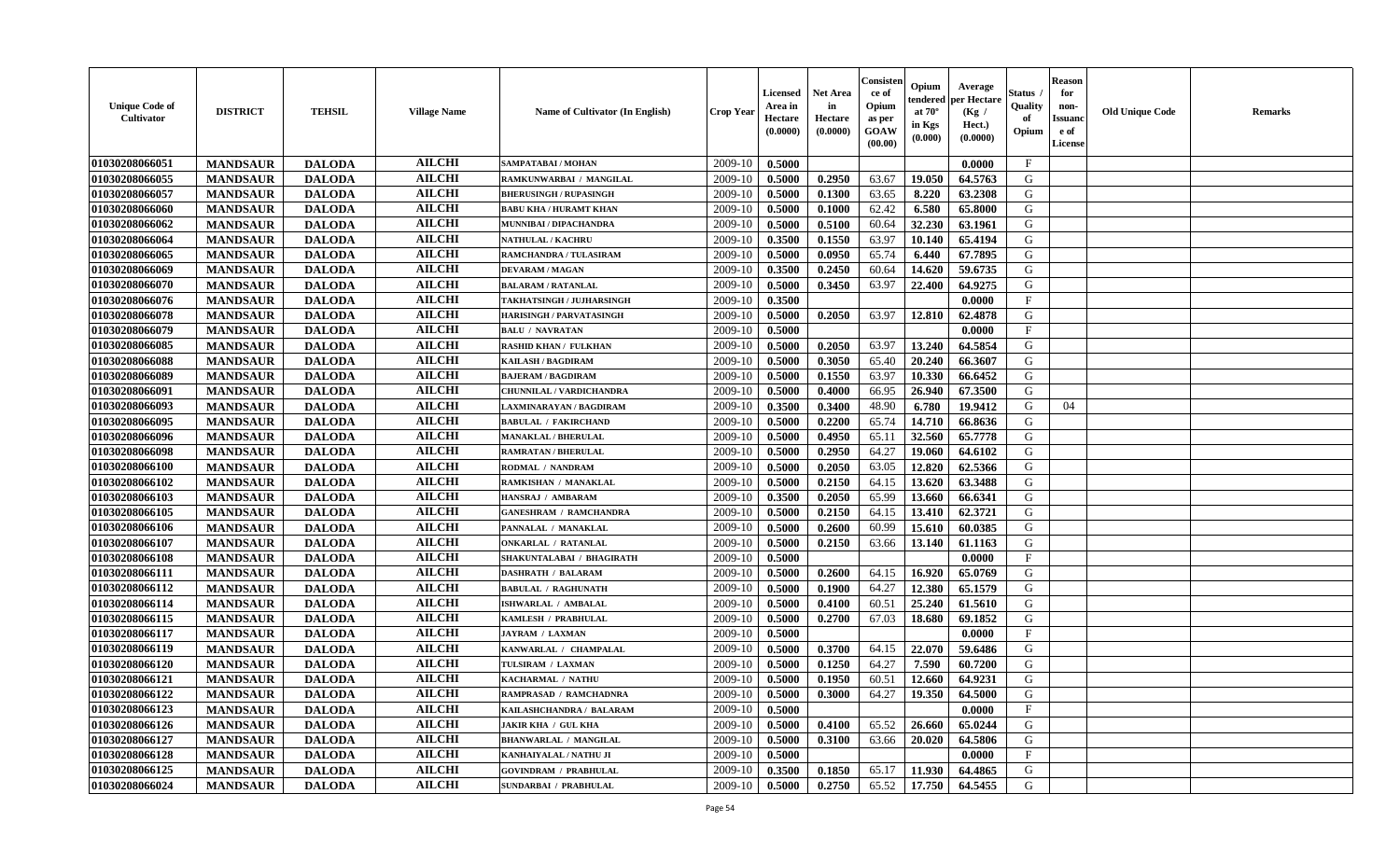| <b>Unique Code of</b><br>Cultivator | <b>DISTRICT</b> | <b>TEHSIL</b> | <b>Village Name</b> | <b>Name of Cultivator (In English)</b> | <b>Crop Year</b> | Licensed<br>Area in<br>Hectare<br>(0.0000) | Net Area<br>in<br>Hectare<br>(0.0000) | Consister<br>ce of<br>Opium<br>as per<br>GOAW<br>(00.00) | Opium<br>endered<br>at $70^{\circ}$<br>in Kgs<br>(0.000) | Average<br>per Hectare<br>(Kg /<br>Hect.)<br>(0.0000) | Status<br>Quality<br>of<br>Opium | <b>Reason</b><br>for<br>non-<br><b>Issuano</b><br>e of<br>License | <b>Old Unique Code</b> | <b>Remarks</b> |
|-------------------------------------|-----------------|---------------|---------------------|----------------------------------------|------------------|--------------------------------------------|---------------------------------------|----------------------------------------------------------|----------------------------------------------------------|-------------------------------------------------------|----------------------------------|-------------------------------------------------------------------|------------------------|----------------|
| 01030208066051                      | <b>MANDSAUR</b> | <b>DALODA</b> | <b>AILCHI</b>       | SAMPATABAI / MOHAN                     | 2009-10          | 0.5000                                     |                                       |                                                          |                                                          | 0.0000                                                | $\mathbf{F}$                     |                                                                   |                        |                |
| 01030208066055                      | <b>MANDSAUR</b> | <b>DALODA</b> | <b>AILCHI</b>       | RAMKUNWARBAI / MANGILAL                | 2009-10          | 0.5000                                     | 0.2950                                | 63.67                                                    | 19.050                                                   | 64.5763                                               | G                                |                                                                   |                        |                |
| 01030208066057                      | <b>MANDSAUR</b> | <b>DALODA</b> | <b>AILCHI</b>       | <b>BHERUSINGH / RUPASINGH</b>          | 2009-10          | 0.5000                                     | 0.1300                                | 63.65                                                    | 8.220                                                    | 63.2308                                               | G                                |                                                                   |                        |                |
| 01030208066060                      | <b>MANDSAUR</b> | <b>DALODA</b> | <b>AILCHI</b>       | <b>BABU KHA / HURAMT KHAN</b>          | 2009-10          | 0.5000                                     | 0.1000                                | 62.42                                                    | 6.580                                                    | 65.8000                                               | G                                |                                                                   |                        |                |
| 01030208066062                      | <b>MANDSAUR</b> | <b>DALODA</b> | <b>AILCHI</b>       | MUNNIBAI / DIPACHANDRA                 | 2009-10          | 0.5000                                     | 0.5100                                | 60.64                                                    | 32.230                                                   | 63.1961                                               | G                                |                                                                   |                        |                |
| 01030208066064                      | <b>MANDSAUR</b> | <b>DALODA</b> | <b>AILCHI</b>       | <b>NATHULAL / KACHRU</b>               | 2009-10          | 0.3500                                     | 0.1550                                | 63.97                                                    | 10.140                                                   | 65.4194                                               | G                                |                                                                   |                        |                |
| 01030208066065                      | <b>MANDSAUR</b> | <b>DALODA</b> | <b>AILCHI</b>       | RAMCHANDRA / TULASIRAM                 | 2009-10          | 0.5000                                     | 0.0950                                | 65.74                                                    | 6.440                                                    | 67.7895                                               | G                                |                                                                   |                        |                |
| 01030208066069                      | <b>MANDSAUR</b> | <b>DALODA</b> | <b>AILCHI</b>       | <b>DEVARAM / MAGAN</b>                 | 2009-10          | 0.3500                                     | 0.2450                                | 60.64                                                    | 14.620                                                   | 59.6735                                               | G                                |                                                                   |                        |                |
| 01030208066070                      | <b>MANDSAUR</b> | <b>DALODA</b> | <b>AILCHI</b>       | <b>BALARAM / RATANLAL</b>              | 2009-10          | 0.5000                                     | 0.3450                                | 63.97                                                    | 22,400                                                   | 64.9275                                               | G                                |                                                                   |                        |                |
| 01030208066076                      | <b>MANDSAUR</b> | <b>DALODA</b> | <b>AILCHI</b>       | TAKHATSINGH / JUJHARSINGH              | 2009-10          | 0.3500                                     |                                       |                                                          |                                                          | 0.0000                                                | F                                |                                                                   |                        |                |
| 01030208066078                      | <b>MANDSAUR</b> | <b>DALODA</b> | <b>AILCHI</b>       | <b>HARISINGH / PARVATASINGH</b>        | 2009-10          | 0.5000                                     | 0.2050                                | 63.97                                                    | 12.810                                                   | 62.4878                                               | G                                |                                                                   |                        |                |
| 01030208066079                      | <b>MANDSAUR</b> | <b>DALODA</b> | <b>AILCHI</b>       | <b>BALU / NAVRATAN</b>                 | 2009-10          | 0.5000                                     |                                       |                                                          |                                                          | 0.0000                                                | $\mathbf{F}$                     |                                                                   |                        |                |
| 01030208066085                      | <b>MANDSAUR</b> | <b>DALODA</b> | <b>AILCHI</b>       | <b>RASHID KHAN / FULKHAN</b>           | 2009-10          | 0.5000                                     | 0.2050                                | 63.97                                                    | 13.240                                                   | 64.5854                                               | G                                |                                                                   |                        |                |
| 01030208066088                      | <b>MANDSAUR</b> | <b>DALODA</b> | <b>AILCHI</b>       | KAILASH / BAGDIRAM                     | 2009-10          | 0.5000                                     | 0.3050                                | 65.40                                                    | 20.240                                                   | 66.3607                                               | G                                |                                                                   |                        |                |
| 01030208066089                      | <b>MANDSAUR</b> | <b>DALODA</b> | <b>AILCHI</b>       | <b>BAJERAM / BAGDIRAM</b>              | 2009-10          | 0.5000                                     | 0.1550                                | 63.97                                                    | 10.330                                                   | 66.6452                                               | G                                |                                                                   |                        |                |
| 01030208066091                      | <b>MANDSAUR</b> | <b>DALODA</b> | <b>AILCHI</b>       | CHUNNILAL / VARDICHANDRA               | 2009-10          | 0.5000                                     | 0.4000                                | 66.95                                                    | 26.940                                                   | 67.3500                                               | G                                |                                                                   |                        |                |
| 01030208066093                      | <b>MANDSAUR</b> | <b>DALODA</b> | <b>AILCHI</b>       | LAXMINARAYAN / BAGDIRAM                | 2009-10          | 0.3500                                     | 0.3400                                | 48.90                                                    | 6.780                                                    | 19.9412                                               | G                                | 04                                                                |                        |                |
| 01030208066095                      | <b>MANDSAUR</b> | <b>DALODA</b> | <b>AILCHI</b>       | <b>BABULAL / FAKIRCHAND</b>            | 2009-10          | 0.5000                                     | 0.2200                                | 65.74                                                    | 14.710                                                   | 66.8636                                               | G                                |                                                                   |                        |                |
| 01030208066096                      | <b>MANDSAUR</b> | <b>DALODA</b> | <b>AILCHI</b>       | <b>MANAKLAL / BHERULAL</b>             | 2009-10          | 0.5000                                     | 0.4950                                | 65.11                                                    | 32.560                                                   | 65.7778                                               | G                                |                                                                   |                        |                |
| 01030208066098                      | <b>MANDSAUR</b> | <b>DALODA</b> | <b>AILCHI</b>       | <b>RAMRATAN / BHERULAL</b>             | 2009-10          | 0.5000                                     | 0.2950                                | 64.27                                                    | 19.060                                                   | 64.6102                                               | G                                |                                                                   |                        |                |
| 01030208066100                      | <b>MANDSAUR</b> | <b>DALODA</b> | <b>AILCHI</b>       | RODMAL / NANDRAM                       | 2009-10          | 0.5000                                     | 0.2050                                | 63.05                                                    | 12.820                                                   | 62.5366                                               | G                                |                                                                   |                        |                |
| 01030208066102                      | <b>MANDSAUR</b> | <b>DALODA</b> | <b>AILCHI</b>       | RAMKISHAN / MANAKLAL                   | 2009-10          | 0.5000                                     | 0.2150                                | 64.15                                                    | 13.620                                                   | 63.3488                                               | G                                |                                                                   |                        |                |
| 01030208066103                      | <b>MANDSAUR</b> | <b>DALODA</b> | <b>AILCHI</b>       | HANSRAJ / AMBARAM                      | 2009-10          | 0.3500                                     | 0.2050                                | 65.99                                                    | 13.660                                                   | 66.6341                                               | G                                |                                                                   |                        |                |
| 01030208066105                      | <b>MANDSAUR</b> | <b>DALODA</b> | <b>AILCHI</b>       | <b>GANESHRAM / RAMCHANDRA</b>          | 2009-10          | 0.5000                                     | 0.2150                                | 64.15                                                    | 13.410                                                   | 62.3721                                               | G                                |                                                                   |                        |                |
| 01030208066106                      | <b>MANDSAUR</b> | <b>DALODA</b> | <b>AILCHI</b>       | PANNALAL / MANAKLAL                    | 2009-10          | 0.5000                                     | 0.2600                                | 60.99                                                    | 15.610                                                   | 60.0385                                               | G                                |                                                                   |                        |                |
| 01030208066107                      | <b>MANDSAUR</b> | <b>DALODA</b> | <b>AILCHI</b>       | <b>ONKARLAL / RATANLAL</b>             | 2009-10          | 0.5000                                     | 0.2150                                | 63.66                                                    | 13.140                                                   | 61.1163                                               | G                                |                                                                   |                        |                |
| 01030208066108                      | <b>MANDSAUR</b> | <b>DALODA</b> | <b>AILCHI</b>       | SHAKUNTALABAI / BHAGIRATH              | 2009-10          | 0.5000                                     |                                       |                                                          |                                                          | 0.0000                                                | $_{\rm F}$                       |                                                                   |                        |                |
| 01030208066111                      | <b>MANDSAUR</b> | <b>DALODA</b> | <b>AILCHI</b>       | <b>DASHRATH / BALARAM</b>              | 2009-10          | 0.5000                                     | 0.2600                                | 64.15                                                    | 16.920                                                   | 65.0769                                               | G                                |                                                                   |                        |                |
| 01030208066112                      | <b>MANDSAUR</b> | <b>DALODA</b> | <b>AILCHI</b>       | <b>BABULAL / RAGHUNATH</b>             | 2009-10          | 0.5000                                     | 0.1900                                | 64.27                                                    | 12.380                                                   | 65.1579                                               | G                                |                                                                   |                        |                |
| 01030208066114                      | <b>MANDSAUR</b> | <b>DALODA</b> | <b>AILCHI</b>       | ISHWARLAL / AMBALAL                    | 2009-10          | 0.5000                                     | 0.4100                                | 60.51                                                    | 25.240                                                   | 61.5610                                               | G                                |                                                                   |                        |                |
| 01030208066115                      | <b>MANDSAUR</b> | <b>DALODA</b> | <b>AILCHI</b>       | KAMLESH / PRABHULAL                    | 2009-10          | 0.5000                                     | 0.2700                                | 67.03                                                    | 18.680                                                   | 69.1852                                               | G                                |                                                                   |                        |                |
| 01030208066117                      | <b>MANDSAUR</b> | <b>DALODA</b> | <b>AILCHI</b>       | <b>JAYRAM / LAXMAN</b>                 | 2009-10          | 0.5000                                     |                                       |                                                          |                                                          | 0.0000                                                | $\mathbf{F}$                     |                                                                   |                        |                |
| 01030208066119                      | <b>MANDSAUR</b> | <b>DALODA</b> | <b>AILCHI</b>       | KANWARLAL / CHAMPALAL                  | 2009-10          | 0.5000                                     | 0.3700                                | 64.15                                                    | 22.070                                                   | 59.6486                                               | G                                |                                                                   |                        |                |
| 01030208066120                      | <b>MANDSAUR</b> | <b>DALODA</b> | <b>AILCHI</b>       | TULSIRAM / LAXMAN                      | 2009-10          | 0.5000                                     | 0.1250                                | 64.27                                                    | 7.590                                                    | 60.7200                                               | G                                |                                                                   |                        |                |
| 01030208066121                      | <b>MANDSAUR</b> | <b>DALODA</b> | <b>AILCHI</b>       | KACHARMAL / NATHU                      | 2009-10          | 0.5000                                     | 0.1950                                | 60.51                                                    | 12.660                                                   | 64.9231                                               | G                                |                                                                   |                        |                |
| 01030208066122                      | <b>MANDSAUR</b> | <b>DALODA</b> | <b>AILCHI</b>       | RAMPRASAD / RAMCHADNRA                 | 2009-10          | 0.5000                                     | 0.3000                                |                                                          |                                                          | $64.27$   19.350   64.5000                            | G                                |                                                                   |                        |                |
| 01030208066123                      | <b>MANDSAUR</b> | <b>DALODA</b> | <b>AILCHI</b>       | KAILASHCHANDRA / BALARAM               | 2009-10          | 0.5000                                     |                                       |                                                          |                                                          | 0.0000                                                | $\mathbf{F}$                     |                                                                   |                        |                |
| 01030208066126                      | <b>MANDSAUR</b> | <b>DALODA</b> | <b>AILCHI</b>       | <b>JAKIR KHA / GUL KHA</b>             | 2009-10          | 0.5000                                     | 0.4100                                | 65.52                                                    | 26.660                                                   | 65.0244                                               | G                                |                                                                   |                        |                |
| 01030208066127                      | <b>MANDSAUR</b> | <b>DALODA</b> | <b>AILCHI</b>       | <b>BHANWARLAL / MANGILAL</b>           | 2009-10          | 0.5000                                     | 0.3100                                | 63.66                                                    | 20.020                                                   | 64.5806                                               | G                                |                                                                   |                        |                |
| 01030208066128                      | <b>MANDSAUR</b> | <b>DALODA</b> | <b>AILCHI</b>       | KANHAIYALAL / NATHU JI                 | 2009-10          | 0.5000                                     |                                       |                                                          |                                                          | 0.0000                                                | $\mathbf{F}$                     |                                                                   |                        |                |
| 01030208066125                      | <b>MANDSAUR</b> | <b>DALODA</b> | <b>AILCHI</b>       | <b>GOVINDRAM / PRABHULAL</b>           | 2009-10          | 0.3500                                     | 0.1850                                | 65.17                                                    | 11.930                                                   | 64.4865                                               | G                                |                                                                   |                        |                |
| 01030208066024                      | <b>MANDSAUR</b> | <b>DALODA</b> | <b>AILCHI</b>       | <b>SUNDARBAI / PRABHULAL</b>           | 2009-10          | 0.5000                                     | 0.2750                                | 65.52                                                    | 17.750                                                   | 64.5455                                               | G                                |                                                                   |                        |                |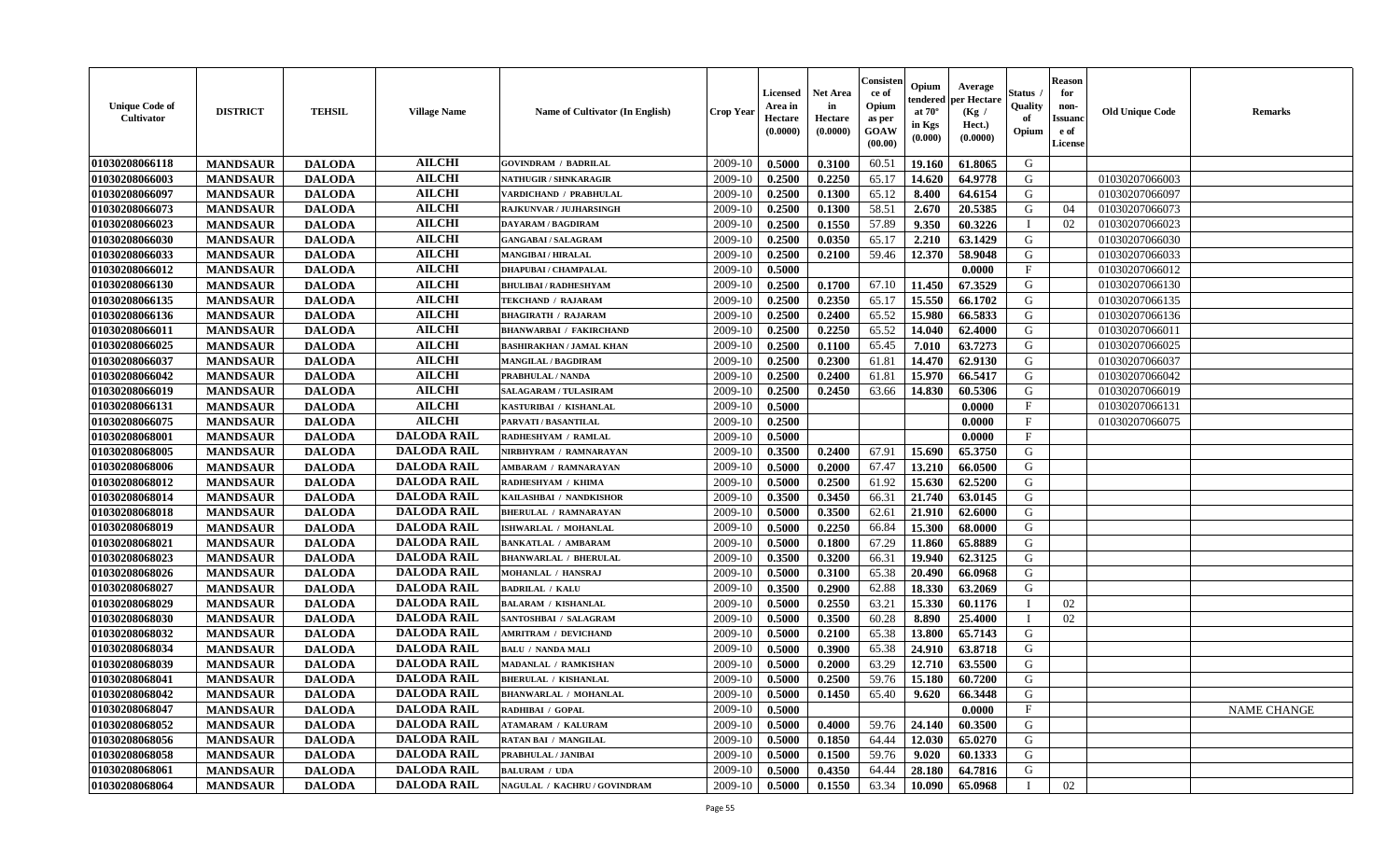| <b>Unique Code of</b><br><b>Cultivator</b> | <b>DISTRICT</b> | <b>TEHSIL</b> | <b>Village Name</b> | Name of Cultivator (In English) | <b>Crop Year</b> | Licensed<br>Area in<br>Hectare<br>(0.0000) | <b>Net Area</b><br>in<br>Hectare<br>(0.0000) | Consisteı<br>ce of<br>Opium<br>as per<br>GOAW<br>(00.00) | Opium<br>endered<br>at $70^\circ$<br>in Kgs<br>(0.000) | Average<br>per Hectare<br>(Kg /<br>Hect.)<br>(0.0000) | Status<br>Quality<br>of<br>Opium | <b>Reason</b><br>for<br>non-<br><b>Issuand</b><br>e of<br>License | <b>Old Unique Code</b> | <b>Remarks</b>     |
|--------------------------------------------|-----------------|---------------|---------------------|---------------------------------|------------------|--------------------------------------------|----------------------------------------------|----------------------------------------------------------|--------------------------------------------------------|-------------------------------------------------------|----------------------------------|-------------------------------------------------------------------|------------------------|--------------------|
| 01030208066118                             | <b>MANDSAUR</b> | <b>DALODA</b> | <b>AILCHI</b>       | <b>GOVINDRAM / BADRILAL</b>     | 2009-10          | 0.5000                                     | 0.3100                                       | 60.51                                                    | 19.160                                                 | 61.8065                                               | G                                |                                                                   |                        |                    |
| 01030208066003                             | <b>MANDSAUR</b> | <b>DALODA</b> | <b>AILCHI</b>       | <b>NATHUGIR / SHNKARAGIR</b>    | 2009-10          | 0.2500                                     | 0.2250                                       | 65.17                                                    | 14.620                                                 | 64.9778                                               | G                                |                                                                   | 01030207066003         |                    |
| 01030208066097                             | <b>MANDSAUR</b> | <b>DALODA</b> | <b>AILCHI</b>       | VARDICHAND / PRABHULAL          | 2009-10          | 0.2500                                     | 0.1300                                       | 65.12                                                    | 8.400                                                  | 64.6154                                               | G                                |                                                                   | 01030207066097         |                    |
| 01030208066073                             | <b>MANDSAUR</b> | <b>DALODA</b> | <b>AILCHI</b>       | <b>RAJKUNVAR / JUJHARSINGH</b>  | 2009-10          | 0.2500                                     | 0.1300                                       | 58.51                                                    | 2.670                                                  | 20.5385                                               | G                                | 04                                                                | 01030207066073         |                    |
| 01030208066023                             | <b>MANDSAUR</b> | <b>DALODA</b> | <b>AILCHI</b>       | <b>DAYARAM / BAGDIRAM</b>       | 2009-10          | 0.2500                                     | 0.1550                                       | 57.89                                                    | 9.350                                                  | 60.3226                                               | T                                | 02                                                                | 01030207066023         |                    |
| 01030208066030                             | <b>MANDSAUR</b> | <b>DALODA</b> | <b>AILCHI</b>       | <b>GANGABAI/SALAGRAM</b>        | 2009-10          | 0.2500                                     | 0.0350                                       | 65.17                                                    | 2.210                                                  | 63.1429                                               | G                                |                                                                   | 01030207066030         |                    |
| 01030208066033                             | <b>MANDSAUR</b> | <b>DALODA</b> | <b>AILCHI</b>       | <b>MANGIBAI / HIRALAL</b>       | 2009-10          | 0.2500                                     | 0.2100                                       | 59.46                                                    | 12.370                                                 | 58.9048                                               | G                                |                                                                   | 01030207066033         |                    |
| 01030208066012                             | <b>MANDSAUR</b> | <b>DALODA</b> | <b>AILCHI</b>       | <b>DHAPUBAI / CHAMPALAL</b>     | 2009-10          | 0.5000                                     |                                              |                                                          |                                                        | 0.0000                                                | $_{\rm F}$                       |                                                                   | 01030207066012         |                    |
| 01030208066130                             | <b>MANDSAUR</b> | <b>DALODA</b> | <b>AILCHI</b>       | <b>BHULIBAI / RADHESHYAM</b>    | 2009-10          | 0.2500                                     | 0.1700                                       | 67.10                                                    | 11.450                                                 | 67.3529                                               | G                                |                                                                   | 01030207066130         |                    |
| 01030208066135                             | <b>MANDSAUR</b> | <b>DALODA</b> | <b>AILCHI</b>       | TEKCHAND / RAJARAM              | 2009-10          | 0.2500                                     | 0.2350                                       | 65.17                                                    | 15.550                                                 | 66.1702                                               | G                                |                                                                   | 01030207066135         |                    |
| 01030208066136                             | <b>MANDSAUR</b> | <b>DALODA</b> | <b>AILCHI</b>       | <b>BHAGIRATH / RAJARAM</b>      | 2009-10          | 0.2500                                     | 0.2400                                       | 65.52                                                    | 15.980                                                 | 66.5833                                               | G                                |                                                                   | 01030207066136         |                    |
| 01030208066011                             | <b>MANDSAUR</b> | <b>DALODA</b> | <b>AILCHI</b>       | <b>BHANWARBAI / FAKIRCHAND</b>  | 2009-10          | 0.2500                                     | 0.2250                                       | 65.52                                                    | 14.040                                                 | 62.4000                                               | G                                |                                                                   | 01030207066011         |                    |
| 01030208066025                             | <b>MANDSAUR</b> | <b>DALODA</b> | <b>AILCHI</b>       | <b>BASHIRAKHAN / JAMAL KHAN</b> | 2009-10          | 0.2500                                     | 0.1100                                       | 65.45                                                    | 7.010                                                  | 63.7273                                               | G                                |                                                                   | 01030207066025         |                    |
| 01030208066037                             | <b>MANDSAUR</b> | <b>DALODA</b> | <b>AILCHI</b>       | <b>MANGILAL / BAGDIRAM</b>      | 2009-10          | 0.2500                                     | 0.2300                                       | 61.81                                                    | 14.470                                                 | 62.9130                                               | G                                |                                                                   | 01030207066037         |                    |
| 01030208066042                             | <b>MANDSAUR</b> | <b>DALODA</b> | <b>AILCHI</b>       | <b>PRABHULAL / NANDA</b>        | 2009-10          | 0.2500                                     | 0.2400                                       | 61.81                                                    | 15.970                                                 | 66.5417                                               | G                                |                                                                   | 01030207066042         |                    |
| 01030208066019                             | <b>MANDSAUR</b> | <b>DALODA</b> | <b>AILCHI</b>       | SALAGARAM / TULASIRAM           | 2009-10          | 0.2500                                     | 0.2450                                       | 63.66                                                    | 14.830                                                 | 60.5306                                               | G                                |                                                                   | 01030207066019         |                    |
| 01030208066131                             | <b>MANDSAUR</b> | <b>DALODA</b> | <b>AILCHI</b>       | KASTURIBAI / KISHANLAL          | 2009-10          | 0.5000                                     |                                              |                                                          |                                                        | 0.0000                                                | $\rm F$                          |                                                                   | 01030207066131         |                    |
| 01030208066075                             | <b>MANDSAUR</b> | <b>DALODA</b> | <b>AILCHI</b>       | PARVATI / BASANTILAL            | 2009-10          | 0.2500                                     |                                              |                                                          |                                                        | 0.0000                                                | $\mathbf{F}$                     |                                                                   | 01030207066075         |                    |
| 01030208068001                             | <b>MANDSAUR</b> | <b>DALODA</b> | <b>DALODA RAIL</b>  | RADHESHYAM / RAMLAL             | 2009-10          | 0.5000                                     |                                              |                                                          |                                                        | 0.0000                                                | $\mathbf{F}$                     |                                                                   |                        |                    |
| 01030208068005                             | <b>MANDSAUR</b> | <b>DALODA</b> | <b>DALODA RAIL</b>  | NIRBHYRAM / RAMNARAYAN          | 2009-10          | 0.3500                                     | 0.2400                                       | 67.91                                                    | 15.690                                                 | 65.3750                                               | G                                |                                                                   |                        |                    |
| 01030208068006                             | <b>MANDSAUR</b> | <b>DALODA</b> | <b>DALODA RAIL</b>  | <b>AMBARAM / RAMNARAYAN</b>     | 2009-10          | 0.5000                                     | 0.2000                                       | 67.47                                                    | 13.210                                                 | 66.0500                                               | G                                |                                                                   |                        |                    |
| 01030208068012                             | <b>MANDSAUR</b> | <b>DALODA</b> | <b>DALODA RAIL</b>  | RADHESHYAM / KHIMA              | 2009-10          | 0.5000                                     | 0.2500                                       | 61.92                                                    | 15.630                                                 | 62.5200                                               | G                                |                                                                   |                        |                    |
| 01030208068014                             | <b>MANDSAUR</b> | <b>DALODA</b> | <b>DALODA RAIL</b>  | KAILASHBAI / NANDKISHOR         | 2009-10          | 0.3500                                     | 0.3450                                       | 66.31                                                    | 21.740                                                 | 63.0145                                               | G                                |                                                                   |                        |                    |
| 01030208068018                             | <b>MANDSAUR</b> | <b>DALODA</b> | <b>DALODA RAIL</b>  | <b>BHERULAL / RAMNARAYAN</b>    | 2009-10          | 0.5000                                     | 0.3500                                       | 62.61                                                    | 21.910                                                 | 62.6000                                               | G                                |                                                                   |                        |                    |
| 01030208068019                             | <b>MANDSAUR</b> | <b>DALODA</b> | <b>DALODA RAIL</b>  | ISHWARLAL / MOHANLAL            | 2009-10          | 0.5000                                     | 0.2250                                       | 66.84                                                    | 15.300                                                 | 68.0000                                               | G                                |                                                                   |                        |                    |
| 01030208068021                             | <b>MANDSAUR</b> | <b>DALODA</b> | <b>DALODA RAIL</b>  | <b>BANKATLAL / AMBARAM</b>      | 2009-10          | 0.5000                                     | 0.1800                                       | 67.29                                                    | 11.860                                                 | 65.8889                                               | G                                |                                                                   |                        |                    |
| 01030208068023                             | <b>MANDSAUR</b> | <b>DALODA</b> | <b>DALODA RAIL</b>  | <b>BHANWARLAL / BHERULAL</b>    | 2009-10          | 0.3500                                     | 0.3200                                       | 66.31                                                    | 19.940                                                 | 62.3125                                               | G                                |                                                                   |                        |                    |
| 01030208068026                             | <b>MANDSAUR</b> | <b>DALODA</b> | <b>DALODA RAIL</b>  | MOHANLAL / HANSRAJ              | 2009-10          | 0.5000                                     | 0.3100                                       | 65.38                                                    | 20.490                                                 | 66.0968                                               | G                                |                                                                   |                        |                    |
| 01030208068027                             | <b>MANDSAUR</b> | <b>DALODA</b> | <b>DALODA RAIL</b>  | <b>BADRILAL / KALU</b>          | 2009-10          | 0.3500                                     | 0.2900                                       | 62.88                                                    | 18.330                                                 | 63.2069                                               | G                                |                                                                   |                        |                    |
| 01030208068029                             | <b>MANDSAUR</b> | <b>DALODA</b> | <b>DALODA RAIL</b>  | <b>BALARAM / KISHANLAL</b>      | 2009-10          | 0.5000                                     | 0.2550                                       | 63.21                                                    | 15.330                                                 | 60.1176                                               | $\mathbf{I}$                     | 02                                                                |                        |                    |
| 01030208068030                             | <b>MANDSAUR</b> | <b>DALODA</b> | <b>DALODA RAIL</b>  | SANTOSHBAI / SALAGRAM           | 2009-10          | 0.5000                                     | 0.3500                                       | 60.28                                                    | 8.890                                                  | 25.4000                                               |                                  | 02                                                                |                        |                    |
| 01030208068032                             | <b>MANDSAUR</b> | <b>DALODA</b> | <b>DALODA RAIL</b>  | <b>AMRITRAM / DEVICHAND</b>     | 2009-10          | 0.5000                                     | 0.2100                                       | 65.38                                                    | 13.800                                                 | 65.7143                                               | G                                |                                                                   |                        |                    |
| 01030208068034                             | <b>MANDSAUR</b> | <b>DALODA</b> | <b>DALODA RAIL</b>  | <b>BALU / NANDA MALI</b>        | 2009-10          | 0.5000                                     | 0.3900                                       | 65.38                                                    | 24.910                                                 | 63.8718                                               | G                                |                                                                   |                        |                    |
| 01030208068039                             | <b>MANDSAUR</b> | <b>DALODA</b> | <b>DALODA RAIL</b>  | MADANLAL / RAMKISHAN            | 2009-10          | 0.5000                                     | 0.2000                                       | 63.29                                                    | 12.710                                                 | 63.5500                                               | G                                |                                                                   |                        |                    |
| 01030208068041                             | <b>MANDSAUR</b> | <b>DALODA</b> | <b>DALODA RAIL</b>  | <b>BHERULAL / KISHANLAL</b>     | 2009-10          | 0.5000                                     | 0.2500                                       | 59.76                                                    | 15.180                                                 | 60.7200                                               | G                                |                                                                   |                        |                    |
| 01030208068042                             | <b>MANDSAUR</b> | <b>DALODA</b> | <b>DALODA RAIL</b>  | <b>BHANWARLAL / MOHANLAL</b>    | 2009-10          | 0.5000                                     | 0.1450                                       | 65.40                                                    | 9.620                                                  | 66.3448                                               | G                                |                                                                   |                        |                    |
| 01030208068047                             | <b>MANDSAUR</b> | <b>DALODA</b> | <b>DALODA RAIL</b>  | RADHIBAI / GOPAL                | 2009-10          | 0.5000                                     |                                              |                                                          |                                                        | 0.0000                                                | $\mathbf{F}$                     |                                                                   |                        | <b>NAME CHANGE</b> |
| 01030208068052                             | <b>MANDSAUR</b> | <b>DALODA</b> | <b>DALODA RAIL</b>  | <b>ATAMARAM / KALURAM</b>       | 2009-10          | 0.5000                                     | 0.4000                                       | 59.76                                                    | 24.140                                                 | 60.3500                                               | G                                |                                                                   |                        |                    |
| 01030208068056                             | <b>MANDSAUR</b> | <b>DALODA</b> | <b>DALODA RAIL</b>  | <b>RATAN BAI / MANGILAL</b>     | 2009-10          | 0.5000                                     | 0.1850                                       | 64.44                                                    | 12.030                                                 | 65.0270                                               | G                                |                                                                   |                        |                    |
| 01030208068058                             | <b>MANDSAUR</b> | <b>DALODA</b> | <b>DALODA RAIL</b>  | PRABHULAL / JANIBAI             | 2009-10          | 0.5000                                     | 0.1500                                       | 59.76                                                    | 9.020                                                  | 60.1333                                               | G                                |                                                                   |                        |                    |
| 01030208068061                             | <b>MANDSAUR</b> | <b>DALODA</b> | <b>DALODA RAIL</b>  | <b>BALURAM / UDA</b>            | 2009-10          | 0.5000                                     | 0.4350                                       | 64.44                                                    | 28.180                                                 | 64.7816                                               | G                                |                                                                   |                        |                    |
| 01030208068064                             | <b>MANDSAUR</b> | <b>DALODA</b> | <b>DALODA RAIL</b>  | NAGULAL / KACHRU / GOVINDRAM    | 2009-10          | 0.5000                                     | 0.1550                                       | 63.34                                                    | 10.090                                                 | 65.0968                                               | $\mathbf I$                      | 02                                                                |                        |                    |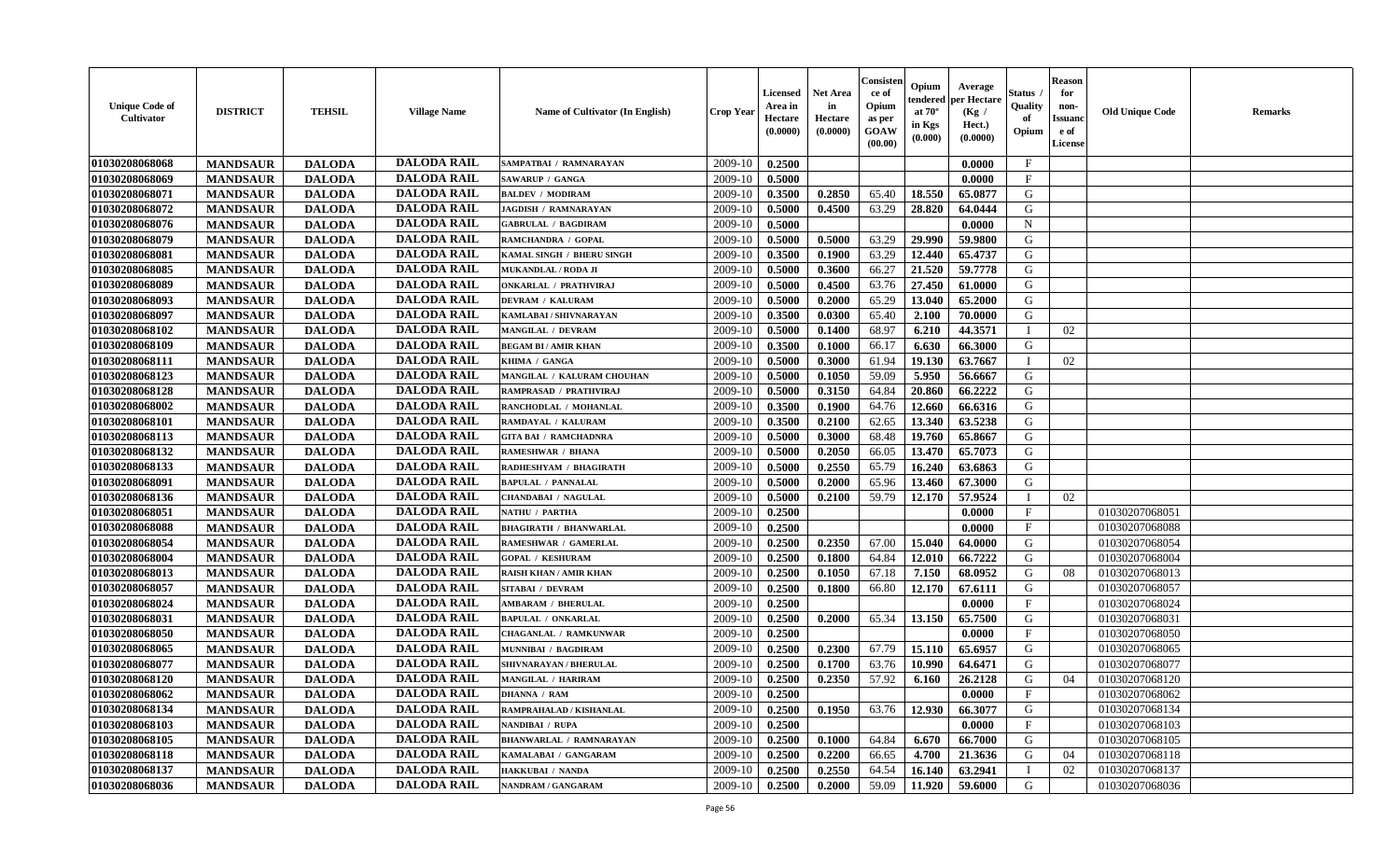| <b>Unique Code of</b><br>Cultivator | <b>DISTRICT</b> | <b>TEHSIL</b> | <b>Village Name</b> | <b>Name of Cultivator (In English)</b> | <b>Crop Year</b> | Licensed<br>Area in<br>Hectare<br>(0.0000) | <b>Net Area</b><br>in<br>Hectare<br>(0.0000) | Consister<br>ce of<br>Opium<br>as per<br><b>GOAW</b><br>(00.00) | Opium<br>endered<br>at $70^{\circ}$<br>in Kgs<br>(0.000) | Average<br>per Hectare<br>(Kg /<br>Hect.)<br>(0.0000) | Status<br>Quality<br>of<br>Opium | <b>Reason</b><br>for<br>non-<br><b>Issuano</b><br>e of<br>License | <b>Old Unique Code</b> | <b>Remarks</b> |
|-------------------------------------|-----------------|---------------|---------------------|----------------------------------------|------------------|--------------------------------------------|----------------------------------------------|-----------------------------------------------------------------|----------------------------------------------------------|-------------------------------------------------------|----------------------------------|-------------------------------------------------------------------|------------------------|----------------|
| 01030208068068                      | <b>MANDSAUR</b> | <b>DALODA</b> | <b>DALODA RAIL</b>  | SAMPATBAI / RAMNARAYAN                 | 2009-10          | 0.2500                                     |                                              |                                                                 |                                                          | 0.0000                                                | $\mathbf{F}$                     |                                                                   |                        |                |
| 01030208068069                      | <b>MANDSAUR</b> | <b>DALODA</b> | <b>DALODA RAIL</b>  | SAWARUP / GANGA                        | 2009-10          | 0.5000                                     |                                              |                                                                 |                                                          | 0.0000                                                | $\mathbf{F}$                     |                                                                   |                        |                |
| 01030208068071                      | <b>MANDSAUR</b> | <b>DALODA</b> | <b>DALODA RAIL</b>  | <b>BALDEV / MODIRAM</b>                | 2009-10          | 0.3500                                     | 0.2850                                       | 65.40                                                           | 18.550                                                   | 65.0877                                               | G                                |                                                                   |                        |                |
| 01030208068072                      | <b>MANDSAUR</b> | <b>DALODA</b> | <b>DALODA RAIL</b>  | <b>JAGDISH / RAMNARAYAN</b>            | 2009-10          | 0.5000                                     | 0.4500                                       | 63.29                                                           | 28.820                                                   | 64.0444                                               | G                                |                                                                   |                        |                |
| 01030208068076                      | <b>MANDSAUR</b> | <b>DALODA</b> | <b>DALODA RAIL</b>  | <b>GABRULAL / BAGDIRAM</b>             | 2009-10          | 0.5000                                     |                                              |                                                                 |                                                          | 0.0000                                                | $\mathbf N$                      |                                                                   |                        |                |
| 01030208068079                      | <b>MANDSAUR</b> | <b>DALODA</b> | <b>DALODA RAIL</b>  | RAMCHANDRA / GOPAL                     | 2009-10          | 0.5000                                     | 0.5000                                       | 63.29                                                           | 29.990                                                   | 59.9800                                               | G                                |                                                                   |                        |                |
| 01030208068081                      | <b>MANDSAUR</b> | <b>DALODA</b> | <b>DALODA RAIL</b>  | KAMAL SINGH / BHERU SINGH              | 2009-10          | 0.3500                                     | 0.1900                                       | 63.29                                                           | 12.440                                                   | 65.4737                                               | G                                |                                                                   |                        |                |
| 01030208068085                      | <b>MANDSAUR</b> | <b>DALODA</b> | <b>DALODA RAIL</b>  | MUKANDLAL / RODA JI                    | 2009-10          | 0.5000                                     | 0.3600                                       | 66.27                                                           | 21.520                                                   | 59.7778                                               | G                                |                                                                   |                        |                |
| 01030208068089                      | <b>MANDSAUR</b> | <b>DALODA</b> | <b>DALODA RAIL</b>  | <b>ONKARLAL / PRATHVIRAJ</b>           | 2009-10          | 0.5000                                     | 0.4500                                       | 63.76                                                           | 27.450                                                   | 61.0000                                               | G                                |                                                                   |                        |                |
| 01030208068093                      | <b>MANDSAUR</b> | <b>DALODA</b> | <b>DALODA RAIL</b>  | DEVRAM / KALURAM                       | 2009-10          | 0.5000                                     | 0.2000                                       | 65.29                                                           | 13.040                                                   | 65.2000                                               | G                                |                                                                   |                        |                |
| 01030208068097                      | <b>MANDSAUR</b> | <b>DALODA</b> | <b>DALODA RAIL</b>  | KAMLABAI / SHIVNARAYAN                 | 2009-10          | 0.3500                                     | 0.0300                                       | 65.40                                                           | 2.100                                                    | 70.0000                                               | G                                |                                                                   |                        |                |
| 01030208068102                      | <b>MANDSAUR</b> | <b>DALODA</b> | <b>DALODA RAIL</b>  | <b>MANGILAL / DEVRAM</b>               | 2009-10          | 0.5000                                     | 0.1400                                       | 68.97                                                           | 6.210                                                    | 44.3571                                               | - I                              | 02                                                                |                        |                |
| 01030208068109                      | <b>MANDSAUR</b> | <b>DALODA</b> | <b>DALODA RAIL</b>  | <b>BEGAM BI/AMIR KHAN</b>              | 2009-10          | 0.3500                                     | 0.1000                                       | 66.17                                                           | 6.630                                                    | 66.3000                                               | G                                |                                                                   |                        |                |
| 01030208068111                      | <b>MANDSAUR</b> | <b>DALODA</b> | <b>DALODA RAIL</b>  | KHIMA / GANGA                          | 2009-10          | 0.5000                                     | 0.3000                                       | 61.94                                                           | 19.130                                                   | 63.7667                                               |                                  | 02                                                                |                        |                |
| 01030208068123                      | <b>MANDSAUR</b> | <b>DALODA</b> | <b>DALODA RAIL</b>  | MANGILAL / KALURAM CHOUHAN             | 2009-10          | 0.5000                                     | 0.1050                                       | 59.09                                                           | 5.950                                                    | 56.6667                                               | G                                |                                                                   |                        |                |
| 01030208068128                      | <b>MANDSAUR</b> | <b>DALODA</b> | <b>DALODA RAIL</b>  | RAMPRASAD / PRATHVIRAJ                 | 2009-10          | 0.5000                                     | 0.3150                                       | 64.84                                                           | 20.860                                                   | 66.2222                                               | G                                |                                                                   |                        |                |
| 01030208068002                      | <b>MANDSAUR</b> | <b>DALODA</b> | <b>DALODA RAIL</b>  | RANCHODLAL / MOHANLAL                  | 2009-10          | 0.3500                                     | 0.1900                                       | 64.76                                                           | 12.660                                                   | 66.6316                                               | G                                |                                                                   |                        |                |
| 01030208068101                      | <b>MANDSAUR</b> | <b>DALODA</b> | <b>DALODA RAIL</b>  | RAMDAYAL / KALURAM                     | 2009-10          | 0.3500                                     | 0.2100                                       | 62.65                                                           | 13.340                                                   | 63.5238                                               | G                                |                                                                   |                        |                |
| 01030208068113                      | <b>MANDSAUR</b> | <b>DALODA</b> | <b>DALODA RAIL</b>  | <b>GITA BAI / RAMCHADNRA</b>           | 2009-10          | 0.5000                                     | 0.3000                                       | 68.48                                                           | 19.760                                                   | 65.8667                                               | G                                |                                                                   |                        |                |
| 01030208068132                      | <b>MANDSAUR</b> | <b>DALODA</b> | <b>DALODA RAIL</b>  | <b>RAMESHWAR / BHANA</b>               | 2009-10          | 0.5000                                     | 0.2050                                       | 66.05                                                           | 13.470                                                   | 65.7073                                               | G                                |                                                                   |                        |                |
| 01030208068133                      | <b>MANDSAUR</b> | <b>DALODA</b> | <b>DALODA RAIL</b>  | RADHESHYAM / BHAGIRATH                 | 2009-10          | 0.5000                                     | 0.2550                                       | 65.79                                                           | 16.240                                                   | 63.6863                                               | G                                |                                                                   |                        |                |
| 01030208068091                      | <b>MANDSAUR</b> | <b>DALODA</b> | <b>DALODA RAIL</b>  | <b>BAPULAL / PANNALAL</b>              | 2009-10          | 0.5000                                     | 0.2000                                       | 65.96                                                           | 13.460                                                   | 67.3000                                               | G                                |                                                                   |                        |                |
| 01030208068136                      | <b>MANDSAUR</b> | <b>DALODA</b> | <b>DALODA RAIL</b>  | <b>CHANDABAI / NAGULAL</b>             | 2009-10          | 0.5000                                     | 0.2100                                       | 59.79                                                           | 12.170                                                   | 57.9524                                               | $\blacksquare$                   | 02                                                                |                        |                |
| 01030208068051                      | <b>MANDSAUR</b> | <b>DALODA</b> | <b>DALODA RAIL</b>  | NATHU / PARTHA                         | 2009-10          | 0.2500                                     |                                              |                                                                 |                                                          | 0.0000                                                | $\mathbf{F}$                     |                                                                   | 01030207068051         |                |
| 01030208068088                      | <b>MANDSAUR</b> | <b>DALODA</b> | <b>DALODA RAIL</b>  | <b>BHAGIRATH / BHANWARLAL</b>          | 2009-10          | 0.2500                                     |                                              |                                                                 |                                                          | 0.0000                                                | $\mathbf{F}$                     |                                                                   | 01030207068088         |                |
| 01030208068054                      | <b>MANDSAUR</b> | <b>DALODA</b> | <b>DALODA RAIL</b>  | RAMESHWAR / GAMERLAL                   | 2009-10          | 0.2500                                     | 0.2350                                       | 67.00                                                           | 15.040                                                   | 64.0000                                               | G                                |                                                                   | 01030207068054         |                |
| 01030208068004                      | <b>MANDSAUR</b> | <b>DALODA</b> | <b>DALODA RAIL</b>  | <b>GOPAL / KESHURAM</b>                | 2009-10          | 0.2500                                     | 0.1800                                       | 64.84                                                           | 12.010                                                   | 66.7222                                               | G                                |                                                                   | 01030207068004         |                |
| 01030208068013                      | <b>MANDSAUR</b> | <b>DALODA</b> | <b>DALODA RAIL</b>  | <b>RAISH KHAN / AMIR KHAN</b>          | 2009-10          | 0.2500                                     | 0.1050                                       | 67.18                                                           | 7.150                                                    | 68.0952                                               | G                                | 08                                                                | 01030207068013         |                |
| 01030208068057                      | <b>MANDSAUR</b> | <b>DALODA</b> | <b>DALODA RAIL</b>  | <b>SITABAI / DEVRAM</b>                | 2009-10          | 0.2500                                     | 0.1800                                       | 66.80                                                           | 12.170                                                   | 67.6111                                               | G                                |                                                                   | 01030207068057         |                |
| 01030208068024                      | <b>MANDSAUR</b> | <b>DALODA</b> | <b>DALODA RAIL</b>  | <b>AMBARAM / BHERULAL</b>              | 2009-10          | 0.2500                                     |                                              |                                                                 |                                                          | 0.0000                                                | $\mathbf{F}$                     |                                                                   | 01030207068024         |                |
| 01030208068031                      | <b>MANDSAUR</b> | <b>DALODA</b> | <b>DALODA RAIL</b>  | <b>BAPULAL / ONKARLAL</b>              | 2009-10          | 0.2500                                     | 0.2000                                       | 65.34                                                           | 13.150                                                   | 65.7500                                               | G                                |                                                                   | 01030207068031         |                |
| 01030208068050                      | <b>MANDSAUR</b> | <b>DALODA</b> | <b>DALODA RAIL</b>  | <b>CHAGANLAL / RAMKUNWAR</b>           | 2009-10          | 0.2500                                     |                                              |                                                                 |                                                          | 0.0000                                                | $\mathbf{F}$                     |                                                                   | 01030207068050         |                |
| 01030208068065                      | <b>MANDSAUR</b> | <b>DALODA</b> | <b>DALODA RAIL</b>  | MUNNIBAI / BAGDIRAM                    | 2009-10          | 0.2500                                     | 0.2300                                       | 67.79                                                           | 15.110                                                   | 65.6957                                               | G                                |                                                                   | 01030207068065         |                |
| 01030208068077                      | <b>MANDSAUR</b> | <b>DALODA</b> | <b>DALODA RAIL</b>  | SHIVNARAYAN / BHERULAL                 | 2009-10          | 0.2500                                     | 0.1700                                       | 63.76                                                           | 10.990                                                   | 64.6471                                               | G                                |                                                                   | 01030207068077         |                |
| 01030208068120                      | <b>MANDSAUR</b> | <b>DALODA</b> | <b>DALODA RAIL</b>  | MANGILAL / HARIRAM                     | 2009-10          | 0.2500                                     | 0.2350                                       | 57.92                                                           | 6.160                                                    | 26.2128                                               | G                                | 04                                                                | 01030207068120         |                |
| 01030208068062                      | <b>MANDSAUR</b> | <b>DALODA</b> | DALODA RAIL         | <b>DHANNA / RAM</b>                    | $2009-10$ 0.2500 |                                            |                                              |                                                                 |                                                          | 0.0000                                                | F                                |                                                                   | 01030207068062         |                |
| 01030208068134                      | <b>MANDSAUR</b> | <b>DALODA</b> | <b>DALODA RAIL</b>  | RAMPRAHALAD / KISHANLAL                | 2009-10          | 0.2500                                     | 0.1950                                       | 63.76                                                           | 12.930                                                   | 66.3077                                               | G                                |                                                                   | 01030207068134         |                |
| 01030208068103                      | <b>MANDSAUR</b> | <b>DALODA</b> | <b>DALODA RAIL</b>  | <b>NANDIBAI / RUPA</b>                 | 2009-10          | 0.2500                                     |                                              |                                                                 |                                                          | 0.0000                                                | $\mathbf{F}$                     |                                                                   | 01030207068103         |                |
| 01030208068105                      | <b>MANDSAUR</b> | <b>DALODA</b> | <b>DALODA RAIL</b>  | <b>BHANWARLAL / RAMNARAYAN</b>         | 2009-10          | 0.2500                                     | 0.1000                                       | 64.84                                                           | 6.670                                                    | 66.7000                                               | G                                |                                                                   | 01030207068105         |                |
| 01030208068118                      | <b>MANDSAUR</b> | <b>DALODA</b> | <b>DALODA RAIL</b>  | KAMALABAI / GANGARAM                   | 2009-10          | 0.2500                                     | 0.2200                                       | 66.65                                                           | 4.700                                                    | 21.3636                                               | G                                | 04                                                                | 01030207068118         |                |
| 01030208068137                      | <b>MANDSAUR</b> | <b>DALODA</b> | <b>DALODA RAIL</b>  | <b>HAKKUBAI / NANDA</b>                | 2009-10          | 0.2500                                     | 0.2550                                       | 64.54                                                           | 16.140                                                   | 63.2941                                               |                                  | 02                                                                | 01030207068137         |                |
| 01030208068036                      | <b>MANDSAUR</b> | <b>DALODA</b> | <b>DALODA RAIL</b>  | NANDRAM / GANGARAM                     | 2009-10          | 0.2500                                     | 0.2000                                       | 59.09                                                           | 11.920                                                   | 59.6000                                               | G                                |                                                                   | 01030207068036         |                |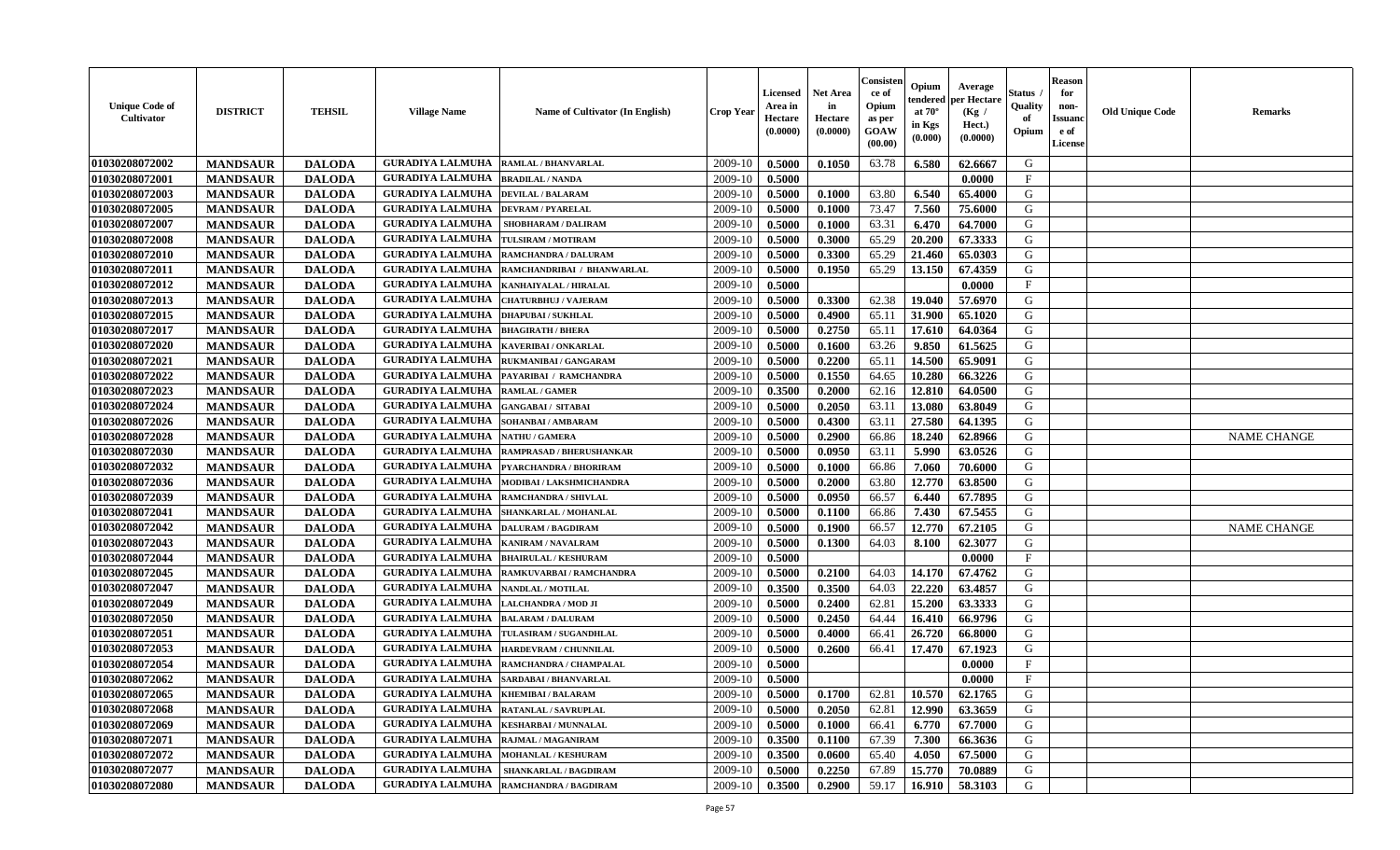| <b>Unique Code of</b><br>Cultivator | <b>DISTRICT</b> | <b>TEHSIL</b> | <b>Village Name</b>                          | Name of Cultivator (In English) | Crop Year | Licensed<br>Area in<br>Hectare<br>(0.0000) | <b>Net Area</b><br>in<br>Hectare<br>(0.0000) | Consisten<br>ce of<br>Opium<br>as per<br>GOAW<br>(00.00) | Opium<br>tendered<br>at $70^{\circ}$<br>in Kgs<br>(0.000) | Average<br>per Hectare<br>(Kg /<br>Hect.)<br>(0.0000) | Status<br>Quality<br>of<br>Opium | <b>Reason</b><br>for<br>non-<br><b>Issuand</b><br>e of<br>License | <b>Old Unique Code</b> | <b>Remarks</b>     |
|-------------------------------------|-----------------|---------------|----------------------------------------------|---------------------------------|-----------|--------------------------------------------|----------------------------------------------|----------------------------------------------------------|-----------------------------------------------------------|-------------------------------------------------------|----------------------------------|-------------------------------------------------------------------|------------------------|--------------------|
| 01030208072002                      | <b>MANDSAUR</b> | <b>DALODA</b> | <b>GURADIYA LALMUHA</b>                      | RAMLAL / BHANVARLAL             | 2009-10   | 0.5000                                     | 0.1050                                       | 63.78                                                    | 6.580                                                     | 62.6667                                               | G                                |                                                                   |                        |                    |
| 01030208072001                      | <b>MANDSAUR</b> | <b>DALODA</b> | <b>GURADIYA LALMUHA</b>                      | <b>BRADILAL / NANDA</b>         | 2009-10   | 0.5000                                     |                                              |                                                          |                                                           | 0.0000                                                | $\mathbf F$                      |                                                                   |                        |                    |
| 01030208072003                      | <b>MANDSAUR</b> | <b>DALODA</b> | <b>GURADIYA LALMUHA</b>                      | <b>DEVILAL / BALARAM</b>        | 2009-10   | 0.5000                                     | 0.1000                                       | 63.80                                                    | 6.540                                                     | 65.4000                                               | G                                |                                                                   |                        |                    |
| 01030208072005                      | <b>MANDSAUR</b> | <b>DALODA</b> | <b>GURADIYA LALMUHA</b>                      | <b>DEVRAM / PYARELAL</b>        | 2009-10   | 0.5000                                     | 0.1000                                       | 73.47                                                    | 7.560                                                     | 75.6000                                               | G                                |                                                                   |                        |                    |
| 01030208072007                      | <b>MANDSAUR</b> | <b>DALODA</b> | <b>GURADIYA LALMUHA</b>                      | SHOBHARAM / DALIRAM             | 2009-10   | 0.5000                                     | 0.1000                                       | 63.31                                                    | 6.470                                                     | 64.7000                                               | G                                |                                                                   |                        |                    |
| 01030208072008                      | <b>MANDSAUR</b> | <b>DALODA</b> | <b>GURADIYA LALMUHA</b>                      | TULSIRAM / MOTIRAM              | 2009-10   | 0.5000                                     | 0.3000                                       | 65.29                                                    | 20.200                                                    | 67.3333                                               | G                                |                                                                   |                        |                    |
| 01030208072010                      | <b>MANDSAUR</b> | <b>DALODA</b> | <b>GURADIYA LALMUHA</b>                      | <b>RAMCHANDRA / DALURAM</b>     | 2009-10   | 0.5000                                     | 0.3300                                       | 65.29                                                    | 21.460                                                    | 65.0303                                               | G                                |                                                                   |                        |                    |
| 01030208072011                      | <b>MANDSAUR</b> | <b>DALODA</b> | <b>GURADIYA LALMUHA</b>                      | RAMCHANDRIBAI / BHANWARLAL      | 2009-10   | 0.5000                                     | 0.1950                                       | 65.29                                                    | 13.150                                                    | 67.4359                                               | G                                |                                                                   |                        |                    |
| 01030208072012                      | <b>MANDSAUR</b> | <b>DALODA</b> | <b>GURADIYA LALMUHA</b>                      | KANHAIYALAL / HIRALAL           | 2009-10   | 0.5000                                     |                                              |                                                          |                                                           | 0.0000                                                | $\mathbf{F}$                     |                                                                   |                        |                    |
| 01030208072013                      | <b>MANDSAUR</b> | <b>DALODA</b> | <b>GURADIYA LALMUHA</b>                      | <b>CHATURBHUJ / VAJERAM</b>     | 2009-10   | 0.5000                                     | 0.3300                                       | 62.38                                                    | 19.040                                                    | 57.6970                                               | G                                |                                                                   |                        |                    |
| 01030208072015                      | <b>MANDSAUR</b> | <b>DALODA</b> | <b>GURADIYA LALMUHA</b>                      | <b>DHAPUBAI/SUKHLAL</b>         | 2009-10   | 0.5000                                     | 0.4900                                       | 65.11                                                    | 31.900                                                    | 65.1020                                               | G                                |                                                                   |                        |                    |
| 01030208072017                      | <b>MANDSAUR</b> | <b>DALODA</b> | <b>GURADIYA LALMUHA</b>                      | <b>BHAGIRATH / BHERA</b>        | 2009-10   | 0.5000                                     | 0.2750                                       | 65.11                                                    | 17.610                                                    | 64.0364                                               | G                                |                                                                   |                        |                    |
| 01030208072020                      | <b>MANDSAUR</b> | <b>DALODA</b> | <b>GURADIYA LALMUHA</b>                      | KAVERIBAI / ONKARLAL            | 2009-10   | 0.5000                                     | 0.1600                                       | 63.26                                                    | 9.850                                                     | 61.5625                                               | G                                |                                                                   |                        |                    |
| 01030208072021                      | <b>MANDSAUR</b> | <b>DALODA</b> | <b>GURADIYA LALMUHA</b>                      | RUKMANIBAI / GANGARAM           | 2009-10   | 0.5000                                     | 0.2200                                       | 65.11                                                    | 14.500                                                    | 65.9091                                               | G                                |                                                                   |                        |                    |
| 01030208072022                      | <b>MANDSAUR</b> | <b>DALODA</b> | <b>GURADIYA LALMUHA</b>                      | PAYARIBAI / RAMCHANDRA          | 2009-10   | 0.5000                                     | 0.1550                                       | 64.65                                                    | 10.280                                                    | 66.3226                                               | G                                |                                                                   |                        |                    |
| 01030208072023                      | <b>MANDSAUR</b> | <b>DALODA</b> | <b>GURADIYA LALMUHA</b>                      | <b>RAMLAL / GAMER</b>           | 2009-10   | 0.3500                                     | 0.2000                                       | 62.16                                                    | 12.810                                                    | 64.0500                                               | G                                |                                                                   |                        |                    |
| 01030208072024                      | <b>MANDSAUR</b> | <b>DALODA</b> | <b>GURADIYA LALMUHA</b>                      | <b>GANGABAI/ SITABAI</b>        | 2009-10   | 0.5000                                     | 0.2050                                       | 63.11                                                    | 13.080                                                    | 63.8049                                               | G                                |                                                                   |                        |                    |
| 01030208072026                      | <b>MANDSAUR</b> | <b>DALODA</b> | <b>GURADIYA LALMUHA</b>                      | SOHANBAI/AMBARAM                | 2009-10   | 0.5000                                     | 0.4300                                       | 63.11                                                    | 27.580                                                    | 64.1395                                               | G                                |                                                                   |                        |                    |
| 01030208072028                      | <b>MANDSAUR</b> | <b>DALODA</b> | <b>GURADIYA LALMUHA</b>                      | <b>NATHU / GAMERA</b>           | 2009-10   | 0.5000                                     | 0.2900                                       | 66.86                                                    | 18.240                                                    | 62.8966                                               | G                                |                                                                   |                        | <b>NAME CHANGE</b> |
| 01030208072030                      | <b>MANDSAUR</b> | <b>DALODA</b> | <b>GURADIYA LALMUHA</b>                      | RAMPRASAD / BHERUSHANKAR        | 2009-10   | 0.5000                                     | 0.0950                                       | 63.11                                                    | 5.990                                                     | 63.0526                                               | G                                |                                                                   |                        |                    |
| 01030208072032                      | <b>MANDSAUR</b> | <b>DALODA</b> | <b>GURADIYA LALMUHA</b>                      | PYARCHANDRA / BHORIRAM          | 2009-10   | 0.5000                                     | 0.1000                                       | 66.86                                                    | 7.060                                                     | 70.6000                                               | G                                |                                                                   |                        |                    |
| 01030208072036                      | <b>MANDSAUR</b> | <b>DALODA</b> | <b>GURADIYA LALMUHA</b>                      | MODIBAI / LAKSHMICHANDRA        | 2009-10   | 0.5000                                     | 0.2000                                       | 63.80                                                    | 12.770                                                    | 63.8500                                               | G                                |                                                                   |                        |                    |
| 01030208072039                      | <b>MANDSAUR</b> | <b>DALODA</b> | <b>GURADIYA LALMUHA</b>                      | RAMCHANDRA / SHIVLAL            | 2009-10   | 0.5000                                     | 0.0950                                       | 66.57                                                    | 6.440                                                     | 67.7895                                               | G                                |                                                                   |                        |                    |
| 01030208072041                      | <b>MANDSAUR</b> | <b>DALODA</b> | <b>GURADIYA LALMUHA</b>                      | SHANKARLAL / MOHANLAL           | 2009-10   | 0.5000                                     | 0.1100                                       | 66.86                                                    | 7.430                                                     | 67.5455                                               | G                                |                                                                   |                        |                    |
| 01030208072042                      | <b>MANDSAUR</b> | <b>DALODA</b> | <b>GURADIYA LALMUHA</b>                      | <b>DALURAM / BAGDIRAM</b>       | 2009-10   | 0.5000                                     | 0.1900                                       | 66.57                                                    | 12.770                                                    | 67.2105                                               | G                                |                                                                   |                        | <b>NAME CHANGE</b> |
| 01030208072043                      | <b>MANDSAUR</b> | <b>DALODA</b> | <b>GURADIYA LALMUHA</b>                      | <b>KANIRAM / NAVALRAM</b>       | 2009-10   | 0.5000                                     | 0.1300                                       | 64.03                                                    | 8.100                                                     | 62.3077                                               | G                                |                                                                   |                        |                    |
| 01030208072044                      | <b>MANDSAUR</b> | <b>DALODA</b> | <b>GURADIYA LALMUHA</b>                      | <b>BHAIRULAL / KESHURAM</b>     | 2009-10   | 0.5000                                     |                                              |                                                          |                                                           | 0.0000                                                | $\mathbf{F}$                     |                                                                   |                        |                    |
| 01030208072045                      | <b>MANDSAUR</b> | <b>DALODA</b> | <b>GURADIYA LALMUHA</b>                      | RAMKUVARBAI / RAMCHANDRA        | 2009-10   | 0.5000                                     | 0.2100                                       | 64.03                                                    | 14.170                                                    | 67.4762                                               | G                                |                                                                   |                        |                    |
| 01030208072047                      | <b>MANDSAUR</b> | <b>DALODA</b> | <b>GURADIYA LALMUHA</b>                      | <b>NANDLAL / MOTILAL</b>        | 2009-10   | 0.3500                                     | 0.3500                                       | 64.03                                                    | 22.220                                                    | 63.4857                                               | G                                |                                                                   |                        |                    |
| 01030208072049                      | <b>MANDSAUR</b> | <b>DALODA</b> | <b>GURADIYA LALMUHA</b>                      | LALCHANDRA / MOD JI             | 2009-10   | 0.5000                                     | 0.2400                                       | 62.81                                                    | 15.200                                                    | 63.3333                                               | G                                |                                                                   |                        |                    |
| 01030208072050                      | <b>MANDSAUR</b> | <b>DALODA</b> | <b>GURADIYA LALMUHA</b>                      | <b>BALARAM / DALURAM</b>        | 2009-10   | 0.5000                                     | 0.2450                                       | 64.44                                                    | 16.410                                                    | 66.9796                                               | G                                |                                                                   |                        |                    |
| 01030208072051                      | <b>MANDSAUR</b> | <b>DALODA</b> | <b>GURADIYA LALMUHA</b>                      | TULASIRAM / SUGANDHLAL          | 2009-10   | 0.5000                                     | 0.4000                                       | 66.41                                                    | 26.720                                                    | 66.8000                                               | G                                |                                                                   |                        |                    |
| 01030208072053                      | <b>MANDSAUR</b> | <b>DALODA</b> | <b>GURADIYA LALMUHA</b>                      | HARDEVRAM / CHUNNILAL           | 2009-10   | 0.5000                                     | 0.2600                                       | 66.41                                                    | 17.470                                                    | 67.1923                                               | G                                |                                                                   |                        |                    |
| 01030208072054                      | <b>MANDSAUR</b> | <b>DALODA</b> | <b>GURADIYA LALMUHA</b>                      | RAMCHANDRA / CHAMPALAL          | 2009-10   | 0.5000                                     |                                              |                                                          |                                                           | 0.0000                                                | $\mathbf{F}$                     |                                                                   |                        |                    |
| 01030208072062                      | <b>MANDSAUR</b> | <b>DALODA</b> | <b>GURADIYA LALMUHA  SARDABAI/BHANVARLAL</b> |                                 | 2009-10   | 0.5000                                     |                                              |                                                          |                                                           | 0.0000                                                | $\mathbf{F}$                     |                                                                   |                        |                    |
| 01030208072065                      | <b>MANDSAUR</b> | <b>DALODA</b> | <b>GURADIYA LALMUHA   KHEMIBAI / BALARAM</b> |                                 | 2009-10   | 0.5000                                     | 0.1700                                       | 62.81                                                    | 10.570                                                    | 62.1765                                               | G                                |                                                                   |                        |                    |
| 01030208072068                      | <b>MANDSAUR</b> | <b>DALODA</b> | <b>GURADIYA LALMUHA</b>                      | <b>RATANLAL / SAVRUPLAL</b>     | 2009-10   | 0.5000                                     | 0.2050                                       | 62.81                                                    | 12.990                                                    | 63.3659                                               | G                                |                                                                   |                        |                    |
| 01030208072069                      | <b>MANDSAUR</b> | <b>DALODA</b> | <b>GURADIYA LALMUHA</b>                      | <b>KESHARBAI / MUNNALAL</b>     | 2009-10   | 0.5000                                     | 0.1000                                       | 66.41                                                    | 6.770                                                     | 67.7000                                               | G                                |                                                                   |                        |                    |
| 01030208072071                      | <b>MANDSAUR</b> | <b>DALODA</b> | <b>GURADIYA LALMUHA</b>                      | <b>RAJMAL / MAGANIRAM</b>       | 2009-10   | 0.3500                                     | 0.1100                                       | 67.39                                                    | 7.300                                                     | 66.3636                                               | G                                |                                                                   |                        |                    |
| 01030208072072                      | <b>MANDSAUR</b> | <b>DALODA</b> | <b>GURADIYA LALMUHA</b>                      | <b>MOHANLAL / KESHURAM</b>      | 2009-10   | 0.3500                                     | 0.0600                                       | 65.40                                                    | 4.050                                                     | 67.5000                                               | G                                |                                                                   |                        |                    |
| 01030208072077                      | <b>MANDSAUR</b> | <b>DALODA</b> | <b>GURADIYA LALMUHA</b>                      | SHANKARLAL / BAGDIRAM           | 2009-10   | 0.5000                                     | 0.2250                                       | 67.89                                                    | 15.770                                                    | 70.0889                                               | G                                |                                                                   |                        |                    |
| 01030208072080                      | <b>MANDSAUR</b> | <b>DALODA</b> | <b>GURADIYA LALMUHA</b>                      | RAMCHANDRA / BAGDIRAM           | 2009-10   | 0.3500                                     | 0.2900                                       | 59.17                                                    | 16.910                                                    | 58.3103                                               | G                                |                                                                   |                        |                    |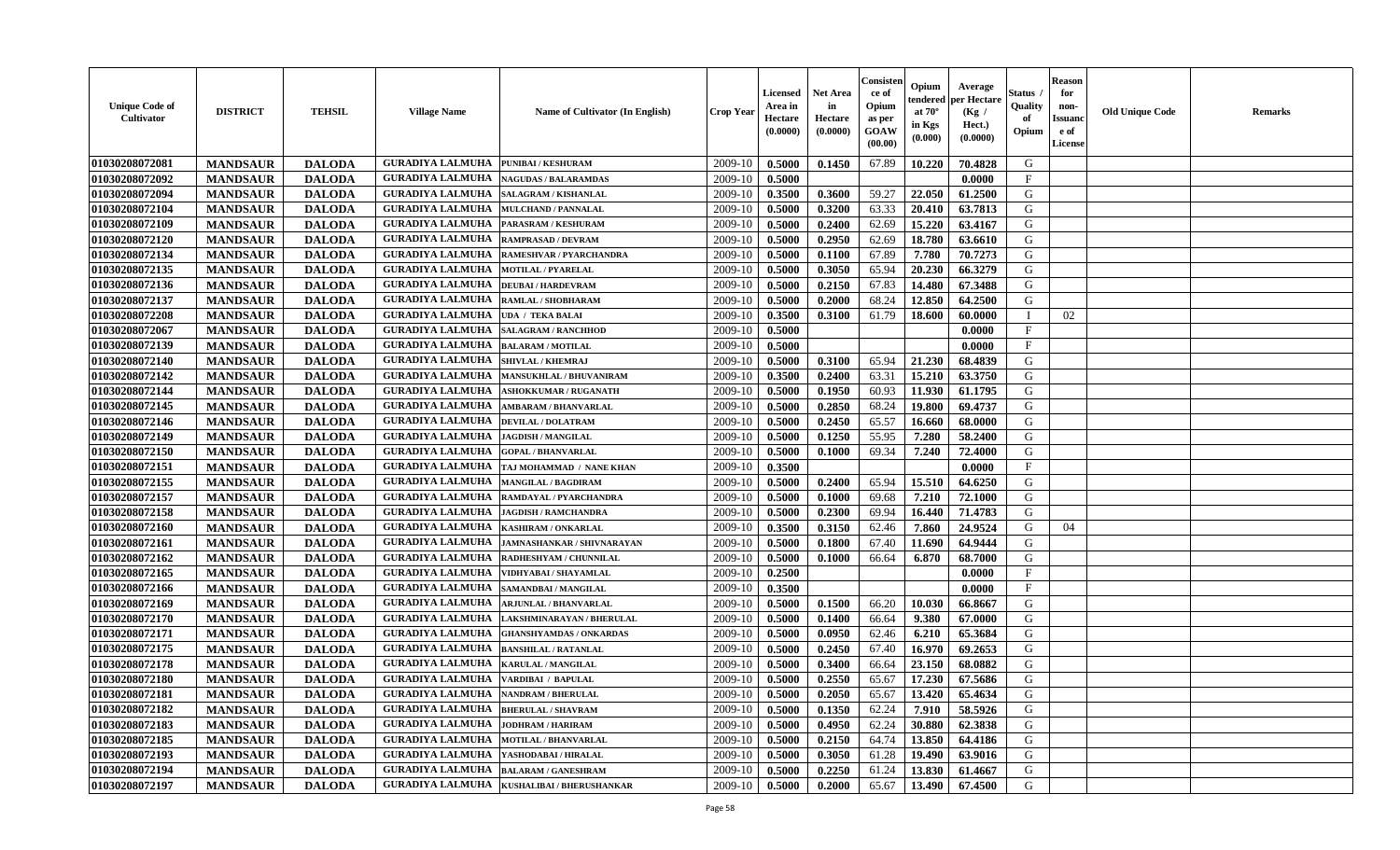| <b>Unique Code of</b><br>Cultivator | <b>DISTRICT</b> | <b>TEHSIL</b> | <b>Village Name</b>                          | Name of Cultivator (In English) | <b>Crop Year</b> | Licensed<br>Area in<br>Hectare<br>(0.0000) | <b>Net Area</b><br>in<br>Hectare<br>(0.0000) | Consisten<br>ce of<br>Opium<br>as per<br>GOAW<br>(00.00) | Opium<br>tendered<br>at $70^{\circ}$<br>in Kgs<br>(0.000) | Average<br>per Hectare<br>(Kg /<br>Hect.)<br>(0.0000) | Status<br>Quality<br>of<br>Opium | <b>Reason</b><br>for<br>non-<br><b>Issuand</b><br>e of<br>License | <b>Old Unique Code</b> | <b>Remarks</b> |
|-------------------------------------|-----------------|---------------|----------------------------------------------|---------------------------------|------------------|--------------------------------------------|----------------------------------------------|----------------------------------------------------------|-----------------------------------------------------------|-------------------------------------------------------|----------------------------------|-------------------------------------------------------------------|------------------------|----------------|
| 01030208072081                      | <b>MANDSAUR</b> | <b>DALODA</b> | <b>GURADIYA LALMUHA</b>                      | <b>PUNIBAI / KESHURAM</b>       | 2009-10          | 0.5000                                     | 0.1450                                       | 67.89                                                    | 10.220                                                    | 70.4828                                               | G                                |                                                                   |                        |                |
| 01030208072092                      | <b>MANDSAUR</b> | <b>DALODA</b> | <b>GURADIYA LALMUHA</b>                      | <b>NAGUDAS / BALARAMDAS</b>     | 2009-10          | 0.5000                                     |                                              |                                                          |                                                           | 0.0000                                                | $\mathbf{F}$                     |                                                                   |                        |                |
| 01030208072094                      | <b>MANDSAUR</b> | <b>DALODA</b> | <b>GURADIYA LALMUHA</b>                      | SALAGRAM / KISHANLAL            | 2009-10          | 0.3500                                     | 0.3600                                       | 59.27                                                    | 22.050                                                    | 61.2500                                               | G                                |                                                                   |                        |                |
| 01030208072104                      | <b>MANDSAUR</b> | <b>DALODA</b> | <b>GURADIYA LALMUHA</b>                      | <b>MULCHAND / PANNALAL</b>      | 2009-10          | 0.5000                                     | 0.3200                                       | 63.33                                                    | 20.410                                                    | 63.7813                                               | G                                |                                                                   |                        |                |
| 01030208072109                      | <b>MANDSAUR</b> | <b>DALODA</b> | <b>GURADIYA LALMUHA</b>                      | PARASRAM / KESHURAM             | 2009-10          | 0.5000                                     | 0.2400                                       | 62.69                                                    | 15.220                                                    | 63.4167                                               | G                                |                                                                   |                        |                |
| 01030208072120                      | <b>MANDSAUR</b> | <b>DALODA</b> | <b>GURADIYA LALMUHA</b>                      | <b>RAMPRASAD / DEVRAM</b>       | 2009-10          | 0.5000                                     | 0.2950                                       | 62.69                                                    | 18.780                                                    | 63.6610                                               | G                                |                                                                   |                        |                |
| 01030208072134                      | <b>MANDSAUR</b> | <b>DALODA</b> | <b>GURADIYA LALMUHA</b>                      | RAMESHVAR / PYARCHANDRA         | 2009-10          | 0.5000                                     | 0.1100                                       | 67.89                                                    | 7.780                                                     | 70.7273                                               | G                                |                                                                   |                        |                |
| 01030208072135                      | <b>MANDSAUR</b> | <b>DALODA</b> | <b>GURADIYA LALMUHA</b>                      | <b>MOTILAL / PYARELAL</b>       | 2009-10          | 0.5000                                     | 0.3050                                       | 65.94                                                    | 20.230                                                    | 66.3279                                               | G                                |                                                                   |                        |                |
| 01030208072136                      | <b>MANDSAUR</b> | <b>DALODA</b> | <b>GURADIYA LALMUHA</b>                      | <b>DEUBAI/HARDEVRAM</b>         | 2009-10          | 0.5000                                     | 0.2150                                       | 67.83                                                    | 14.480                                                    | 67.3488                                               | G                                |                                                                   |                        |                |
| 01030208072137                      | <b>MANDSAUR</b> | <b>DALODA</b> | <b>GURADIYA LALMUHA</b>                      | RAMLAL / SHOBHARAM              | 2009-10          | 0.5000                                     | 0.2000                                       | 68.24                                                    | 12.850                                                    | 64.2500                                               | G                                |                                                                   |                        |                |
| 01030208072208                      | <b>MANDSAUR</b> | <b>DALODA</b> | <b>GURADIYA LALMUHA</b>                      | <b>UDA / TEKA BALAI</b>         | 2009-10          | 0.3500                                     | 0.3100                                       | 61.79                                                    | 18.600                                                    | 60.0000                                               |                                  | 02                                                                |                        |                |
| 01030208072067                      | <b>MANDSAUR</b> | <b>DALODA</b> | <b>GURADIYA LALMUHA</b>                      | <b>SALAGRAM / RANCHHOD</b>      | 2009-10          | 0.5000                                     |                                              |                                                          |                                                           | 0.0000                                                | $\mathbf{F}$                     |                                                                   |                        |                |
| 01030208072139                      | <b>MANDSAUR</b> | <b>DALODA</b> | <b>GURADIYA LALMUHA</b>                      | <b>BALARAM / MOTILAL</b>        | 2009-10          | 0.5000                                     |                                              |                                                          |                                                           | 0.0000                                                | $\mathbf{F}$                     |                                                                   |                        |                |
| 01030208072140                      | <b>MANDSAUR</b> | <b>DALODA</b> | <b>GURADIYA LALMUHA</b>                      | SHIVLAL / KHEMRAJ               | 2009-10          | 0.5000                                     | 0.3100                                       | 65.94                                                    | 21.230                                                    | 68.4839                                               | G                                |                                                                   |                        |                |
| 01030208072142                      | <b>MANDSAUR</b> | <b>DALODA</b> | <b>GURADIYA LALMUHA</b>                      | MANSUKHLAL / BHUVANIRAM         | 2009-10          | 0.3500                                     | 0.2400                                       | 63.31                                                    | 15.210                                                    | 63.3750                                               | G                                |                                                                   |                        |                |
| 01030208072144                      | <b>MANDSAUR</b> | <b>DALODA</b> | <b>GURADIYA LALMUHA</b>                      | <b>ASHOKKUMAR / RUGANATH</b>    | 2009-10          | 0.5000                                     | 0.1950                                       | 60.93                                                    | 11.930                                                    | 61.1795                                               | G                                |                                                                   |                        |                |
| 01030208072145                      | <b>MANDSAUR</b> | <b>DALODA</b> | <b>GURADIYA LALMUHA</b>                      | <b>AMBARAM / BHANVARLAL</b>     | 2009-10          | 0.5000                                     | 0.2850                                       | 68.24                                                    | 19.800                                                    | 69,4737                                               | G                                |                                                                   |                        |                |
| 01030208072146                      | <b>MANDSAUR</b> | <b>DALODA</b> | <b>GURADIYA LALMUHA</b>                      | <b>DEVILAL / DOLATRAM</b>       | 2009-10          | 0.5000                                     | 0.2450                                       | 65.57                                                    | 16.660                                                    | 68.0000                                               | G                                |                                                                   |                        |                |
| 01030208072149                      | <b>MANDSAUR</b> | <b>DALODA</b> | <b>GURADIYA LALMUHA</b>                      | <b>JAGDISH / MANGILAL</b>       | 2009-10          | 0.5000                                     | 0.1250                                       | 55.95                                                    | 7.280                                                     | 58.2400                                               | G                                |                                                                   |                        |                |
| 01030208072150                      | <b>MANDSAUR</b> | <b>DALODA</b> | <b>GURADIYA LALMUHA</b>                      | <b>GOPAL / BHANVARLAL</b>       | 2009-10          | 0.5000                                     | 0.1000                                       | 69.34                                                    | 7.240                                                     | 72.4000                                               | G                                |                                                                   |                        |                |
| 01030208072151                      | <b>MANDSAUR</b> | <b>DALODA</b> | <b>GURADIYA LALMUHA</b>                      | TAJ MOHAMMAD / NANE KHAN        | 2009-10          | 0.3500                                     |                                              |                                                          |                                                           | 0.0000                                                | $\mathbf{F}$                     |                                                                   |                        |                |
| 01030208072155                      | <b>MANDSAUR</b> | <b>DALODA</b> | <b>GURADIYA LALMUHA</b>                      | <b>MANGILAL / BAGDIRAM</b>      | 2009-10          | 0.5000                                     | 0.2400                                       | 65.94                                                    | 15.510                                                    | 64.6250                                               | G                                |                                                                   |                        |                |
| 01030208072157                      | <b>MANDSAUR</b> | <b>DALODA</b> | <b>GURADIYA LALMUHA</b>                      | RAMDAYAL / PYARCHANDRA          | 2009-10          | 0.5000                                     | 0.1000                                       | 69.68                                                    | 7.210                                                     | 72.1000                                               | G                                |                                                                   |                        |                |
| 01030208072158                      | <b>MANDSAUR</b> | <b>DALODA</b> | <b>GURADIYA LALMUHA</b>                      | <b>JAGDISH / RAMCHANDRA</b>     | 2009-10          | 0.5000                                     | 0.2300                                       | 69.94                                                    | 16.440                                                    | 71.4783                                               | G                                |                                                                   |                        |                |
| 01030208072160                      | <b>MANDSAUR</b> | <b>DALODA</b> | <b>GURADIYA LALMUHA</b>                      | <b>KASHIRAM / ONKARLAL</b>      | 2009-10          | 0.3500                                     | 0.3150                                       | 62.46                                                    | 7.860                                                     | 24.9524                                               | G                                | 04                                                                |                        |                |
| 01030208072161                      | <b>MANDSAUR</b> | <b>DALODA</b> | <b>GURADIYA LALMUHA</b>                      | JAMNASHANKAR / SHIVNARAYAN      | 2009-10          | 0.5000                                     | 0.1800                                       | 67.40                                                    | 11.690                                                    | 64.9444                                               | G                                |                                                                   |                        |                |
| 01030208072162                      | <b>MANDSAUR</b> | <b>DALODA</b> | <b>GURADIYA LALMUHA</b>                      | RADHESHYAM / CHUNNILAL          | 2009-10          | 0.5000                                     | 0.1000                                       | 66.64                                                    | 6.870                                                     | 68.7000                                               | G                                |                                                                   |                        |                |
| 01030208072165                      | <b>MANDSAUR</b> | <b>DALODA</b> | <b>GURADIYA LALMUHA</b>                      | VIDHYABAI / SHAYAMLAL           | 2009-10          | 0.2500                                     |                                              |                                                          |                                                           | 0.0000                                                | $\mathbf{F}$                     |                                                                   |                        |                |
| 01030208072166                      | <b>MANDSAUR</b> | <b>DALODA</b> | <b>GURADIYA LALMUHA</b>                      | SAMANDBAI / MANGILAL            | 2009-10          | 0.3500                                     |                                              |                                                          |                                                           | 0.0000                                                | F                                |                                                                   |                        |                |
| 01030208072169                      | <b>MANDSAUR</b> | <b>DALODA</b> | <b>GURADIYA LALMUHA</b>                      | <b>ARJUNLAL / BHANVARLAL</b>    | 2009-10          | 0.5000                                     | 0.1500                                       | 66.20                                                    | 10.030                                                    | 66.8667                                               | G                                |                                                                   |                        |                |
| 01030208072170                      | <b>MANDSAUR</b> | <b>DALODA</b> | <b>GURADIYA LALMUHA</b>                      | LAKSHMINARAYAN / BHERULAL       | 2009-10          | 0.5000                                     | 0.1400                                       | 66.64                                                    | 9.380                                                     | 67.0000                                               | G                                |                                                                   |                        |                |
| 01030208072171                      | <b>MANDSAUR</b> | <b>DALODA</b> | <b>GURADIYA LALMUHA</b>                      | <b>GHANSHYAMDAS / ONKARDAS</b>  | 2009-10          | 0.5000                                     | 0.0950                                       | 62.46                                                    | 6.210                                                     | 65.3684                                               | G                                |                                                                   |                        |                |
| 01030208072175                      | <b>MANDSAUR</b> | <b>DALODA</b> | <b>GURADIYA LALMUHA</b>                      | <b>BANSHILAL / RATANLAL</b>     | 2009-10          | 0.5000                                     | 0.2450                                       | 67.40                                                    | 16.970                                                    | 69.2653                                               | G                                |                                                                   |                        |                |
| 01030208072178                      | <b>MANDSAUR</b> | <b>DALODA</b> | <b>GURADIYA LALMUHA</b>                      | KARULAL / MANGILAL              | 2009-10          | 0.5000                                     | 0.3400                                       | 66.64                                                    | 23.150                                                    | 68.0882                                               | G                                |                                                                   |                        |                |
| 01030208072180                      | <b>MANDSAUR</b> | <b>DALODA</b> | <b>GURADIYA LALMUHA</b>                      | VARDIBAI / BAPULAL              | 2009-10          | 0.5000                                     | 0.2550                                       | 65.67                                                    | 17.230                                                    | 67.5686                                               | G                                |                                                                   |                        |                |
| 01030208072181                      | <b>MANDSAUR</b> | <b>DALODA</b> | <b>GURADIYA LALMUHA   NANDRAM / BHERULAL</b> |                                 | 2009-10          | 0.5000                                     | 0.2050                                       | 65.67                                                    | 13.420                                                    | 65.4634                                               | G                                |                                                                   |                        |                |
| 01030208072182                      | <b>MANDSAUR</b> | <b>DALODA</b> | <b>GURADIYA LALMUHA</b>                      | <b>BHERULAL / SHAVRAM</b>       | 2009-10          | 0.5000                                     | 0.1350                                       | 62.24                                                    | 7.910                                                     | 58.5926                                               | G                                |                                                                   |                        |                |
| 01030208072183                      | <b>MANDSAUR</b> | <b>DALODA</b> | <b>GURADIYA LALMUHA</b>                      | <b>JODHRAM / HARIRAM</b>        | 2009-10          | 0.5000                                     | 0.4950                                       | 62.24                                                    | 30.880                                                    | 62.3838                                               | G                                |                                                                   |                        |                |
| 01030208072185                      | <b>MANDSAUR</b> | <b>DALODA</b> | <b>GURADIYA LALMUHA MOTILAL / BHANVARLAL</b> |                                 | 2009-10          | 0.5000                                     | 0.2150                                       | 64.74                                                    | 13.850                                                    | 64.4186                                               | G                                |                                                                   |                        |                |
| 01030208072193                      | <b>MANDSAUR</b> | <b>DALODA</b> | <b>GURADIYA LALMUHA</b>                      | YASHODABAI / HIRALAL            | 2009-10          | 0.5000                                     | 0.3050                                       | 61.28                                                    | 19.490                                                    | 63.9016                                               | G                                |                                                                   |                        |                |
| 01030208072194                      | <b>MANDSAUR</b> | <b>DALODA</b> | <b>GURADIYA LALMUHA</b>                      | <b>BALARAM / GANESHRAM</b>      | 2009-10          | 0.5000                                     | 0.2250                                       | 61.24                                                    | 13.830                                                    | 61.4667                                               | G                                |                                                                   |                        |                |
| 01030208072197                      | <b>MANDSAUR</b> | <b>DALODA</b> | <b>GURADIYA LALMUHA</b>                      | KUSHALIBAI / BHERUSHANKAR       | 2009-10          | 0.5000                                     | 0.2000                                       | 65.67                                                    | 13.490                                                    | 67.4500                                               | G                                |                                                                   |                        |                |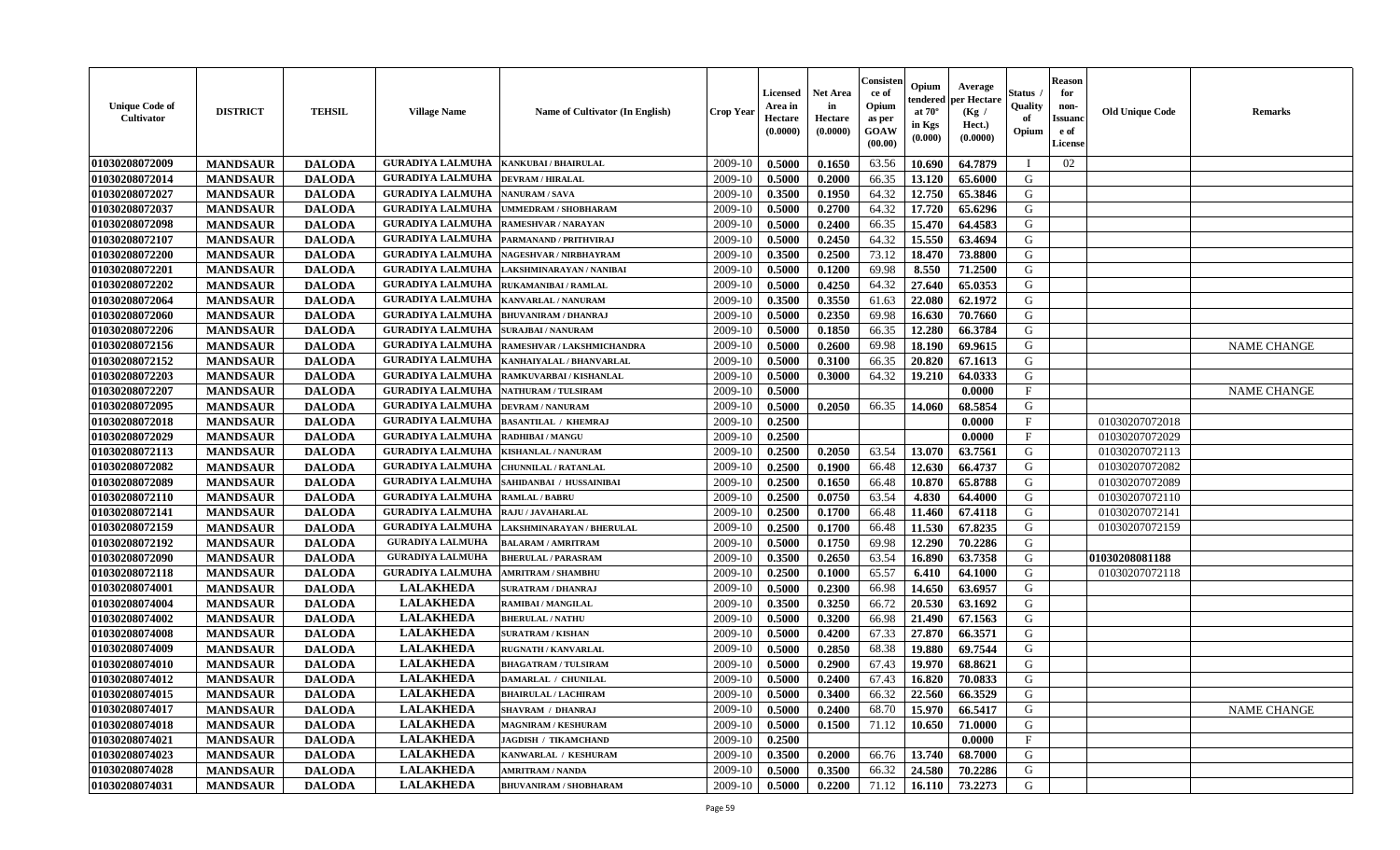| <b>Unique Code of</b><br>Cultivator | <b>DISTRICT</b> | <b>TEHSIL</b> | <b>Village Name</b>     | Name of Cultivator (In English) | <b>Crop Year</b> | <b>Licensed</b><br>Area in<br>Hectare<br>(0.0000) | <b>Net Area</b><br>in<br>Hectare<br>(0.0000) | Consisteı<br>ce of<br>Opium<br>as per<br>GOAW<br>(00.00) | Opium<br>endered<br>at 70°<br>in Kgs<br>(0.000) | Average<br>er Hectare<br>(Kg /<br>Hect.)<br>(0.0000) | Status<br>Quality<br>of<br>Opium | <b>Reason</b><br>for<br>non-<br><b>Issuand</b><br>e of<br>License | <b>Old Unique Code</b> | Remarks            |
|-------------------------------------|-----------------|---------------|-------------------------|---------------------------------|------------------|---------------------------------------------------|----------------------------------------------|----------------------------------------------------------|-------------------------------------------------|------------------------------------------------------|----------------------------------|-------------------------------------------------------------------|------------------------|--------------------|
| 01030208072009                      | <b>MANDSAUR</b> | <b>DALODA</b> | <b>GURADIYA LALMUHA</b> | <b>KANKUBAI / BHAIRULAL</b>     | 2009-10          | 0.5000                                            | 0.1650                                       | 63.56                                                    | 10.690                                          | 64.7879                                              | - 1                              | 02                                                                |                        |                    |
| 01030208072014                      | <b>MANDSAUR</b> | <b>DALODA</b> | <b>GURADIYA LALMUHA</b> | <b>DEVRAM / HIRALAL</b>         | 2009-10          | 0.5000                                            | 0.2000                                       | 66.35                                                    | 13.120                                          | 65.6000                                              | G                                |                                                                   |                        |                    |
| 01030208072027                      | <b>MANDSAUR</b> | <b>DALODA</b> | <b>GURADIYA LALMUHA</b> | <b>NANURAM / SAVA</b>           | 2009-10          | 0.3500                                            | 0.1950                                       | 64.32                                                    | 12.750                                          | 65.3846                                              | G                                |                                                                   |                        |                    |
| 01030208072037                      | <b>MANDSAUR</b> | <b>DALODA</b> | <b>GURADIYA LALMUHA</b> | UMMEDRAM / SHOBHARAM            | 2009-10          | 0.5000                                            | 0.2700                                       | 64.32                                                    | 17.720                                          | 65.6296                                              | G                                |                                                                   |                        |                    |
| 01030208072098                      | <b>MANDSAUR</b> | <b>DALODA</b> | <b>GURADIYA LALMUHA</b> | <b>RAMESHVAR / NARAYAN</b>      | 2009-10          | 0.5000                                            | 0.2400                                       | 66.35                                                    | 15.470                                          | 64.4583                                              | G                                |                                                                   |                        |                    |
| 01030208072107                      | <b>MANDSAUR</b> | <b>DALODA</b> | <b>GURADIYA LALMUHA</b> | PARMANAND / PRITHVIRAJ          | 2009-10          | 0.5000                                            | 0.2450                                       | 64.32                                                    | 15.550                                          | 63.4694                                              | G                                |                                                                   |                        |                    |
| 01030208072200                      | <b>MANDSAUR</b> | <b>DALODA</b> | <b>GURADIYA LALMUHA</b> | NAGESHVAR / NIRBHAYRAM          | 2009-10          | 0.3500                                            | 0.2500                                       | 73.12                                                    | 18.470                                          | 73.8800                                              | G                                |                                                                   |                        |                    |
| 01030208072201                      | <b>MANDSAUR</b> | <b>DALODA</b> | <b>GURADIYA LALMUHA</b> | LAKSHMINARAYAN / NANIBAI        | 2009-10          | 0.5000                                            | 0.1200                                       | 69.98                                                    | 8.550                                           | 71.2500                                              | G                                |                                                                   |                        |                    |
| 01030208072202                      | <b>MANDSAUR</b> | <b>DALODA</b> | <b>GURADIYA LALMUHA</b> | <b>RUKAMANIBAI / RAMLAL</b>     | 2009-10          | 0.5000                                            | 0.4250                                       | 64.32                                                    | 27.640                                          | 65.0353                                              | G                                |                                                                   |                        |                    |
| 01030208072064                      | <b>MANDSAUR</b> | <b>DALODA</b> | <b>GURADIYA LALMUHA</b> | KANVARLAL / NANURAM             | 2009-10          | 0.3500                                            | 0.3550                                       | 61.63                                                    | 22.080                                          | 62.1972                                              | G                                |                                                                   |                        |                    |
| 01030208072060                      | <b>MANDSAUR</b> | <b>DALODA</b> | <b>GURADIYA LALMUHA</b> | <b>BHUVANIRAM / DHANRAJ</b>     | 2009-10          | 0.5000                                            | 0.2350                                       | 69.98                                                    | 16.630                                          | 70.7660                                              | G                                |                                                                   |                        |                    |
| 01030208072206                      | <b>MANDSAUR</b> | <b>DALODA</b> | <b>GURADIYA LALMUHA</b> | <b>SURAJBAI / NANURAM</b>       | 2009-10          | 0.5000                                            | 0.1850                                       | 66.35                                                    | 12.280                                          | 66.3784                                              | G                                |                                                                   |                        |                    |
| 01030208072156                      | <b>MANDSAUR</b> | <b>DALODA</b> | <b>GURADIYA LALMUHA</b> | RAMESHVAR / LAKSHMICHANDRA      | 2009-10          | 0.5000                                            | 0.2600                                       | 69.98                                                    | 18.190                                          | 69.9615                                              | G                                |                                                                   |                        | <b>NAME CHANGE</b> |
| 01030208072152                      | <b>MANDSAUR</b> | <b>DALODA</b> | <b>GURADIYA LALMUHA</b> | KANHAIYALAL / BHANVARLAL        | 2009-10          | 0.5000                                            | 0.3100                                       | 66.35                                                    | 20.820                                          | 67.1613                                              | G                                |                                                                   |                        |                    |
| 01030208072203                      | <b>MANDSAUR</b> | <b>DALODA</b> | <b>GURADIYA LALMUHA</b> | RAMKUVARBAI / KISHANLAL         | 2009-10          | 0.5000                                            | 0.3000                                       | 64.32                                                    | 19.210                                          | 64.0333                                              | $\mathbf G$                      |                                                                   |                        |                    |
| 01030208072207                      | <b>MANDSAUR</b> | <b>DALODA</b> | <b>GURADIYA LALMUHA</b> | NATHURAM / TULSIRAM             | 2009-10          | 0.5000                                            |                                              |                                                          |                                                 | 0.0000                                               | $\mathbf F$                      |                                                                   |                        | <b>NAME CHANGE</b> |
| 01030208072095                      | <b>MANDSAUR</b> | <b>DALODA</b> | <b>GURADIYA LALMUHA</b> | <b>DEVRAM / NANURAM</b>         | 2009-10          | 0.5000                                            | 0.2050                                       | 66.35                                                    | 14.060                                          | 68.5854                                              | G                                |                                                                   |                        |                    |
| 01030208072018                      | <b>MANDSAUR</b> | <b>DALODA</b> | <b>GURADIYA LALMUHA</b> | <b>BASANTILAL / KHEMRAJ</b>     | 2009-10          | 0.2500                                            |                                              |                                                          |                                                 | 0.0000                                               | F                                |                                                                   | 01030207072018         |                    |
| 01030208072029                      | <b>MANDSAUR</b> | <b>DALODA</b> | <b>GURADIYA LALMUHA</b> | <b>RADHIBAI / MANGU</b>         | 2009-10          | 0.2500                                            |                                              |                                                          |                                                 | 0.0000                                               | $\mathbf{F}$                     |                                                                   | 01030207072029         |                    |
| 01030208072113                      | <b>MANDSAUR</b> | <b>DALODA</b> | <b>GURADIYA LALMUHA</b> | <b>KISHANLAL / NANURAM</b>      | 2009-10          | 0.2500                                            | 0.2050                                       | 63.54                                                    | 13.070                                          | 63.7561                                              | G                                |                                                                   | 01030207072113         |                    |
| 01030208072082                      | <b>MANDSAUR</b> | <b>DALODA</b> | <b>GURADIYA LALMUHA</b> | <b>CHUNNILAL / RATANLAL</b>     | 2009-10          | 0.2500                                            | 0.1900                                       | 66.48                                                    | 12.630                                          | 66.4737                                              | G                                |                                                                   | 01030207072082         |                    |
| 01030208072089                      | <b>MANDSAUR</b> | <b>DALODA</b> | <b>GURADIYA LALMUHA</b> | SAHIDANBAI / HUSSAINIBAI        | 2009-10          | 0.2500                                            | 0.1650                                       | 66.48                                                    | 10.870                                          | 65.8788                                              | G                                |                                                                   | 01030207072089         |                    |
| 01030208072110                      | <b>MANDSAUR</b> | <b>DALODA</b> | <b>GURADIYA LALMUHA</b> | RAMLAL / BABRU                  | 2009-10          | 0.2500                                            | 0.0750                                       | 63.54                                                    | 4.830                                           | 64.4000                                              | G                                |                                                                   | 01030207072110         |                    |
| 01030208072141                      | <b>MANDSAUR</b> | <b>DALODA</b> | <b>GURADIYA LALMUHA</b> | RAJU / JAVAHARLAL               | 2009-10          | 0.2500                                            | 0.1700                                       | 66.48                                                    | 11.460                                          | 67.4118                                              | ${\bf G}$                        |                                                                   | 01030207072141         |                    |
| 01030208072159                      | <b>MANDSAUR</b> | <b>DALODA</b> | <b>GURADIYA LALMUHA</b> | LAKSHMINARAYAN / BHERULAL       | 2009-10          | 0.2500                                            | 0.1700                                       | 66.48                                                    | 11.530                                          | 67.8235                                              | G                                |                                                                   | 01030207072159         |                    |
| 01030208072192                      | <b>MANDSAUR</b> | <b>DALODA</b> | <b>GURADIYA LALMUHA</b> | <b>BALARAM / AMRITRAM</b>       | 2009-10          | 0.5000                                            | 0.1750                                       | 69.98                                                    | 12.290                                          | 70.2286                                              | G                                |                                                                   |                        |                    |
| 01030208072090                      | <b>MANDSAUR</b> | <b>DALODA</b> | <b>GURADIYA LALMUHA</b> | <b>BHERULAL / PARASRAM</b>      | 2009-10          | 0.3500                                            | 0.2650                                       | 63.54                                                    | 16.890                                          | 63.7358                                              | ${\bf G}$                        |                                                                   | 01030208081188         |                    |
| 01030208072118                      | <b>MANDSAUR</b> | <b>DALODA</b> | <b>GURADIYA LALMUHA</b> | <b>AMRITRAM / SHAMBHU</b>       | 2009-10          | 0.2500                                            | 0.1000                                       | 65.57                                                    | 6.410                                           | 64.1000                                              | G                                |                                                                   | 01030207072118         |                    |
| 01030208074001                      | <b>MANDSAUR</b> | <b>DALODA</b> | <b>LALAKHEDA</b>        | <b>SURATRAM / DHANRAJ</b>       | 2009-10          | 0.5000                                            | 0.2300                                       | 66.98                                                    | 14.650                                          | 63.6957                                              | G                                |                                                                   |                        |                    |
| 01030208074004                      | <b>MANDSAUR</b> | <b>DALODA</b> | <b>LALAKHEDA</b>        | RAMIBAI / MANGILAL              | 2009-10          | 0.3500                                            | 0.3250                                       | 66.72                                                    | 20.530                                          | 63.1692                                              | G                                |                                                                   |                        |                    |
| 01030208074002                      | <b>MANDSAUR</b> | <b>DALODA</b> | <b>LALAKHEDA</b>        | <b>BHERULAL / NATHU</b>         | 2009-10          | 0.5000                                            | 0.3200                                       | 66.98                                                    | 21.490                                          | 67.1563                                              | G                                |                                                                   |                        |                    |
| 01030208074008                      | <b>MANDSAUR</b> | <b>DALODA</b> | <b>LALAKHEDA</b>        | <b>SURATRAM / KISHAN</b>        | 2009-10          | 0.5000                                            | 0.4200                                       | 67.33                                                    | 27.870                                          | 66.3571                                              | G                                |                                                                   |                        |                    |
| 01030208074009                      | <b>MANDSAUR</b> | <b>DALODA</b> | <b>LALAKHEDA</b>        | <b>RUGNATH / KANVARLAL</b>      | 2009-10          | 0.5000                                            | 0.2850                                       | 68.38                                                    | 19.880                                          | 69.7544                                              | G                                |                                                                   |                        |                    |
| 01030208074010                      | <b>MANDSAUR</b> | <b>DALODA</b> | <b>LALAKHEDA</b>        | <b>BHAGATRAM / TULSIRAM</b>     | 2009-10          | 0.5000                                            | 0.2900                                       | 67.43                                                    | 19.970                                          | 68.8621                                              | G                                |                                                                   |                        |                    |
| 01030208074012                      | <b>MANDSAUR</b> | <b>DALODA</b> | <b>LALAKHEDA</b>        | DAMARLAL / CHUNILAL             | 2009-10          | 0.5000                                            | 0.2400                                       | 67.43                                                    | 16.820                                          | 70.0833                                              | G                                |                                                                   |                        |                    |
| 01030208074015                      | <b>MANDSAUR</b> | <b>DALODA</b> | <b>LALAKHEDA</b>        | <b>BHAIRULAL / LACHIRAM</b>     | 2009-10          | 0.5000                                            | 0.3400                                       | 66.32                                                    | 22.560                                          | 66.3529                                              | G                                |                                                                   |                        |                    |
| 01030208074017                      | <b>MANDSAUR</b> | <b>DALODA</b> | <b>LALAKHEDA</b>        | <b>SHAVRAM / DHANRAJ</b>        | 2009-10          | 0.5000                                            | 0.2400                                       | 68.70                                                    | 15.970                                          | 66.5417                                              | G                                |                                                                   |                        | <b>NAME CHANGE</b> |
| 01030208074018                      | <b>MANDSAUR</b> | <b>DALODA</b> | <b>LALAKHEDA</b>        | <b>MAGNIRAM / KESHURAM</b>      | 2009-10          | 0.5000                                            | 0.1500                                       | 71.12                                                    | 10.650                                          | 71.0000                                              | G                                |                                                                   |                        |                    |
| 01030208074021                      | <b>MANDSAUR</b> | <b>DALODA</b> | <b>LALAKHEDA</b>        | <b>JAGDISH / TIKAMCHAND</b>     | 2009-10          | 0.2500                                            |                                              |                                                          |                                                 | 0.0000                                               | $\mathbf{F}$                     |                                                                   |                        |                    |
| 01030208074023                      | <b>MANDSAUR</b> | <b>DALODA</b> | <b>LALAKHEDA</b>        | KANWARLAL / KESHURAM            | 2009-10          | 0.3500                                            | 0.2000                                       | 66.76                                                    | 13.740                                          | 68.7000                                              | $\mathbf G$                      |                                                                   |                        |                    |
| 01030208074028                      | <b>MANDSAUR</b> | <b>DALODA</b> | <b>LALAKHEDA</b>        | <b>AMRITRAM / NANDA</b>         | 2009-10          | 0.5000                                            | 0.3500                                       | 66.32                                                    | 24.580                                          | 70.2286                                              | G                                |                                                                   |                        |                    |
| 01030208074031                      | <b>MANDSAUR</b> | <b>DALODA</b> | <b>LALAKHEDA</b>        | <b>BHUVANIRAM / SHOBHARAM</b>   | 2009-10          | 0.5000                                            | 0.2200                                       | 71.12                                                    | 16.110                                          | 73.2273                                              | G                                |                                                                   |                        |                    |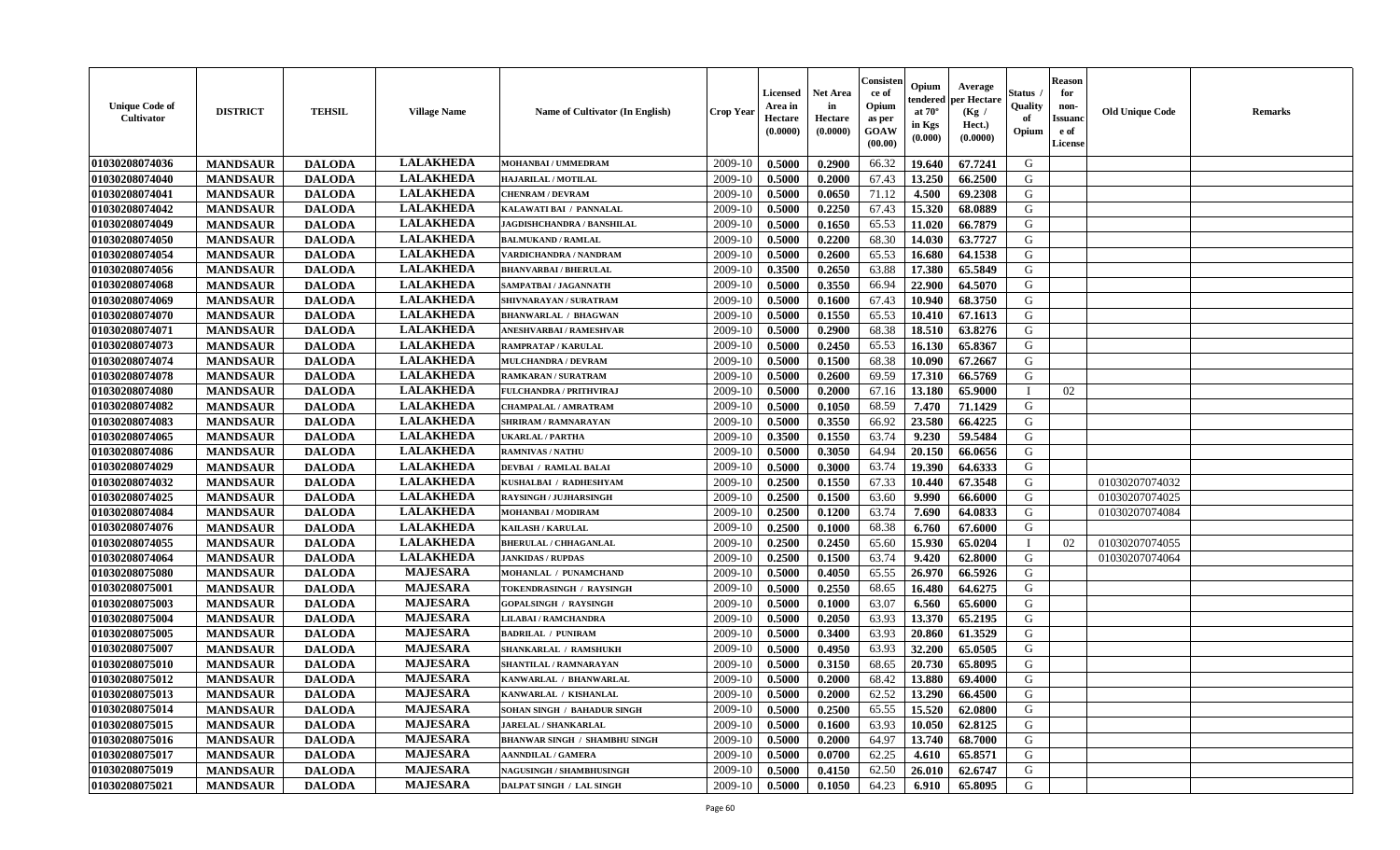| <b>Unique Code of</b><br><b>Cultivator</b> | <b>DISTRICT</b> | <b>TEHSIL</b> | <b>Village Name</b> | Name of Cultivator (In English)      | <b>Crop Year</b> | <b>Licensed</b><br>Area in<br>Hectare<br>(0.0000) | <b>Net Area</b><br>in<br>Hectare<br>(0.0000) | Consisteı<br>ce of<br>Opium<br>as per<br>GOAW<br>(00.00) | Opium<br>endered<br>at $70^\circ$<br>in Kgs<br>(0.000) | Average<br>per Hectare<br>(Kg /<br>Hect.)<br>(0.0000) | Status<br>Quality<br>of<br>Opium | <b>Reason</b><br>for<br>non-<br>Issuano<br>e of<br><b>License</b> | <b>Old Unique Code</b> | <b>Remarks</b> |
|--------------------------------------------|-----------------|---------------|---------------------|--------------------------------------|------------------|---------------------------------------------------|----------------------------------------------|----------------------------------------------------------|--------------------------------------------------------|-------------------------------------------------------|----------------------------------|-------------------------------------------------------------------|------------------------|----------------|
| 01030208074036                             | <b>MANDSAUR</b> | <b>DALODA</b> | <b>LALAKHEDA</b>    | MOHANBAI / UMMEDRAM                  | 2009-10          | 0.5000                                            | 0.2900                                       | 66.32                                                    | 19.640                                                 | 67.7241                                               | G                                |                                                                   |                        |                |
| 01030208074040                             | <b>MANDSAUR</b> | <b>DALODA</b> | <b>LALAKHEDA</b>    | HAJARILAL / MOTILAL                  | 2009-10          | 0.5000                                            | 0.2000                                       | 67.43                                                    | 13.250                                                 | 66.2500                                               | G                                |                                                                   |                        |                |
| 01030208074041                             | <b>MANDSAUR</b> | <b>DALODA</b> | <b>LALAKHEDA</b>    | <b>CHENRAM / DEVRAM</b>              | 2009-10          | 0.5000                                            | 0.0650                                       | 71.12                                                    | 4.500                                                  | 69.2308                                               | G                                |                                                                   |                        |                |
| 01030208074042                             | <b>MANDSAUR</b> | <b>DALODA</b> | <b>LALAKHEDA</b>    | KALAWATI BAI / PANNALAL              | 2009-10          | 0.5000                                            | 0.2250                                       | 67.43                                                    | 15.320                                                 | 68.0889                                               | G                                |                                                                   |                        |                |
| 01030208074049                             | <b>MANDSAUR</b> | <b>DALODA</b> | <b>LALAKHEDA</b>    | JAGDISHCHANDRA / BANSHILAL           | 2009-10          | 0.5000                                            | 0.1650                                       | 65.53                                                    | 11.020                                                 | 66.7879                                               | G                                |                                                                   |                        |                |
| 01030208074050                             | <b>MANDSAUR</b> | <b>DALODA</b> | <b>LALAKHEDA</b>    | <b>BALMUKAND / RAMLAL</b>            | 2009-10          | 0.5000                                            | 0.2200                                       | 68.30                                                    | 14.030                                                 | 63.7727                                               | G                                |                                                                   |                        |                |
| 01030208074054                             | <b>MANDSAUR</b> | <b>DALODA</b> | <b>LALAKHEDA</b>    | VARDICHANDRA / NANDRAM               | 2009-10          | 0.5000                                            | 0.2600                                       | 65.53                                                    | 16.680                                                 | 64.1538                                               | G                                |                                                                   |                        |                |
| 01030208074056                             | <b>MANDSAUR</b> | <b>DALODA</b> | <b>LALAKHEDA</b>    | <b>BHANVARBAI/BHERULAL</b>           | 2009-10          | 0.3500                                            | 0.2650                                       | 63.88                                                    | 17.380                                                 | 65.5849                                               | G                                |                                                                   |                        |                |
| 01030208074068                             | <b>MANDSAUR</b> | <b>DALODA</b> | <b>LALAKHEDA</b>    | SAMPATBAI / JAGANNATH                | 2009-10          | 0.5000                                            | 0.3550                                       | 66.94                                                    | 22.900                                                 | 64.5070                                               | G                                |                                                                   |                        |                |
| 01030208074069                             | <b>MANDSAUR</b> | <b>DALODA</b> | <b>LALAKHEDA</b>    | SHIVNARAYAN / SURATRAM               | 2009-10          | 0.5000                                            | 0.1600                                       | 67.43                                                    | 10.940                                                 | 68.3750                                               | G                                |                                                                   |                        |                |
| 01030208074070                             | <b>MANDSAUR</b> | <b>DALODA</b> | <b>LALAKHEDA</b>    | <b>BHANWARLAL / BHAGWAN</b>          | 2009-10          | 0.5000                                            | 0.1550                                       | 65.53                                                    | 10.410                                                 | 67.1613                                               | $\mathbf G$                      |                                                                   |                        |                |
| 01030208074071                             | <b>MANDSAUR</b> | <b>DALODA</b> | <b>LALAKHEDA</b>    | ANESHVARBAI / RAMESHVAR              | 2009-10          | 0.5000                                            | 0.2900                                       | 68.38                                                    | 18.510                                                 | 63.8276                                               | G                                |                                                                   |                        |                |
| 01030208074073                             | <b>MANDSAUR</b> | <b>DALODA</b> | <b>LALAKHEDA</b>    | <b>RAMPRATAP / KARULAL</b>           | 2009-10          | 0.5000                                            | 0.2450                                       | 65.53                                                    | 16.130                                                 | 65.8367                                               | G                                |                                                                   |                        |                |
| 01030208074074                             | <b>MANDSAUR</b> | <b>DALODA</b> | <b>LALAKHEDA</b>    | <b>MULCHANDRA / DEVRAM</b>           | 2009-10          | 0.5000                                            | 0.1500                                       | 68.38                                                    | 10.090                                                 | 67.2667                                               | G                                |                                                                   |                        |                |
| 01030208074078                             | <b>MANDSAUR</b> | <b>DALODA</b> | <b>LALAKHEDA</b>    | <b>RAMKARAN / SURATRAM</b>           | 2009-10          | 0.5000                                            | 0.2600                                       | 69.59                                                    | 17.310                                                 | 66.5769                                               | G                                |                                                                   |                        |                |
| 01030208074080                             | <b>MANDSAUR</b> | <b>DALODA</b> | <b>LALAKHEDA</b>    | <b>FULCHANDRA / PRITHVIRAJ</b>       | 2009-10          | 0.5000                                            | 0.2000                                       | 67.16                                                    | 13.180                                                 | 65.9000                                               | T                                | 02                                                                |                        |                |
| 01030208074082                             | <b>MANDSAUR</b> | <b>DALODA</b> | <b>LALAKHEDA</b>    | <b>CHAMPALAL / AMRATRAM</b>          | 2009-10          | 0.5000                                            | 0.1050                                       | 68.59                                                    | 7.470                                                  | 71.1429                                               | G                                |                                                                   |                        |                |
| 01030208074083                             | <b>MANDSAUR</b> | <b>DALODA</b> | <b>LALAKHEDA</b>    | <b>SHRIRAM / RAMNARAYAN</b>          | 2009-10          | 0.5000                                            | 0.3550                                       | 66.92                                                    | 23.580                                                 | 66.4225                                               | G                                |                                                                   |                        |                |
| 01030208074065                             | <b>MANDSAUR</b> | <b>DALODA</b> | <b>LALAKHEDA</b>    | <b>UKARLAL / PARTHA</b>              | 2009-10          | 0.3500                                            | 0.1550                                       | 63.74                                                    | 9.230                                                  | 59.5484                                               | G                                |                                                                   |                        |                |
| 01030208074086                             | <b>MANDSAUR</b> | <b>DALODA</b> | <b>LALAKHEDA</b>    | <b>RAMNIVAS / NATHU</b>              | 2009-10          | 0.5000                                            | 0.3050                                       | 64.94                                                    | 20.150                                                 | 66.0656                                               | G                                |                                                                   |                        |                |
| 01030208074029                             | <b>MANDSAUR</b> | <b>DALODA</b> | <b>LALAKHEDA</b>    | <b>DEVBAI / RAMLAL BALAI</b>         | 2009-10          | 0.5000                                            | 0.3000                                       | 63.74                                                    | 19.390                                                 | 64.6333                                               | G                                |                                                                   |                        |                |
| 01030208074032                             | <b>MANDSAUR</b> | <b>DALODA</b> | <b>LALAKHEDA</b>    | KUSHALBAI / RADHESHYAM               | 2009-10          | 0.2500                                            | 0.1550                                       | 67.33                                                    | 10.440                                                 | 67.3548                                               | G                                |                                                                   | 01030207074032         |                |
| 01030208074025                             | <b>MANDSAUR</b> | <b>DALODA</b> | <b>LALAKHEDA</b>    | <b>RAYSINGH / JUJHARSINGH</b>        | 2009-10          | 0.2500                                            | 0.1500                                       | 63.60                                                    | 9.990                                                  | 66.6000                                               | G                                |                                                                   | 01030207074025         |                |
| 01030208074084                             | <b>MANDSAUR</b> | <b>DALODA</b> | <b>LALAKHEDA</b>    | <b>MOHANBAI/MODIRAM</b>              | 2009-10          | 0.2500                                            | 0.1200                                       | 63.74                                                    | 7.690                                                  | 64.0833                                               | G                                |                                                                   | 01030207074084         |                |
| 01030208074076                             | <b>MANDSAUR</b> | <b>DALODA</b> | <b>LALAKHEDA</b>    | <b>KAILASH / KARULAL</b>             | 2009-10          | 0.2500                                            | 0.1000                                       | 68.38                                                    | 6.760                                                  | 67.6000                                               | G                                |                                                                   |                        |                |
| 01030208074055                             | <b>MANDSAUR</b> | <b>DALODA</b> | <b>LALAKHEDA</b>    | <b>BHERULAL / CHHAGANLAL</b>         | 2009-10          | 0.2500                                            | 0.2450                                       | 65.60                                                    | 15.930                                                 | 65.0204                                               | $\mathbf{I}$                     | 02                                                                | 01030207074055         |                |
| 01030208074064                             | <b>MANDSAUR</b> | <b>DALODA</b> | <b>LALAKHEDA</b>    | <b>JANKIDAS / RUPDAS</b>             | 2009-10          | 0.2500                                            | 0.1500                                       | 63.74                                                    | 9.420                                                  | 62.8000                                               | G                                |                                                                   | 01030207074064         |                |
| 01030208075080                             | <b>MANDSAUR</b> | <b>DALODA</b> | <b>MAJESARA</b>     | MOHANLAL / PUNAMCHAND                | 2009-10          | 0.5000                                            | 0.4050                                       | 65.55                                                    | 26.970                                                 | 66.5926                                               | G                                |                                                                   |                        |                |
| 01030208075001                             | <b>MANDSAUR</b> | <b>DALODA</b> | <b>MAJESARA</b>     | TOKENDRASINGH / RAYSINGH             | 2009-10          | 0.5000                                            | 0.2550                                       | 68.65                                                    | 16.480                                                 | 64.6275                                               | G                                |                                                                   |                        |                |
| 01030208075003                             | <b>MANDSAUR</b> | <b>DALODA</b> | <b>MAJESARA</b>     | <b>GOPALSINGH / RAYSINGH</b>         | 2009-10          | 0.5000                                            | 0.1000                                       | 63.07                                                    | 6.560                                                  | 65.6000                                               | G                                |                                                                   |                        |                |
| 01030208075004                             | <b>MANDSAUR</b> | <b>DALODA</b> | <b>MAJESARA</b>     | LILABAI / RAMCHANDRA                 | 2009-10          | 0.5000                                            | 0.2050                                       | 63.93                                                    | 13.370                                                 | 65.2195                                               | ${\bf G}$                        |                                                                   |                        |                |
| 01030208075005                             | <b>MANDSAUR</b> | <b>DALODA</b> | <b>MAJESARA</b>     | <b>BADRILAL / PUNIRAM</b>            | 2009-10          | 0.5000                                            | 0.3400                                       | 63.93                                                    | 20.860                                                 | 61.3529                                               | G                                |                                                                   |                        |                |
| 01030208075007                             | <b>MANDSAUR</b> | <b>DALODA</b> | <b>MAJESARA</b>     | SHANKARLAL / RAMSHUKH                | 2009-10          | 0.5000                                            | 0.4950                                       | 63.93                                                    | 32.200                                                 | 65.0505                                               | G                                |                                                                   |                        |                |
| 01030208075010                             | <b>MANDSAUR</b> | <b>DALODA</b> | <b>MAJESARA</b>     | SHANTILAL / RAMNARAYAN               | 2009-10          | 0.5000                                            | 0.3150                                       | 68.65                                                    | 20.730                                                 | 65.8095                                               | G                                |                                                                   |                        |                |
| 01030208075012                             | <b>MANDSAUR</b> | <b>DALODA</b> | <b>MAJESARA</b>     | KANWARLAL / BHANWARLAL               | 2009-10          | 0.5000                                            | 0.2000                                       | 68.42                                                    | 13.880                                                 | 69.4000                                               | G                                |                                                                   |                        |                |
| 01030208075013                             | <b>MANDSAUR</b> | <b>DALODA</b> | <b>MAJESARA</b>     | KANWARLAL / KISHANLAL                | 2009-10          | 0.5000                                            | 0.2000                                       | 62.52                                                    | 13.290                                                 | 66.4500                                               | G                                |                                                                   |                        |                |
| 01030208075014                             | <b>MANDSAUR</b> | <b>DALODA</b> | <b>MAJESARA</b>     | <b>SOHAN SINGH / BAHADUR SINGH</b>   | 2009-10          | 0.5000                                            | 0.2500                                       | 65.55                                                    | 15.520                                                 | 62.0800                                               | G                                |                                                                   |                        |                |
| 01030208075015                             | <b>MANDSAUR</b> | <b>DALODA</b> | <b>MAJESARA</b>     | <b>JARELAL / SHANKARLAL</b>          | 2009-10          | 0.5000                                            | 0.1600                                       | 63.93                                                    | 10.050                                                 | 62.8125                                               | G                                |                                                                   |                        |                |
| 01030208075016                             | <b>MANDSAUR</b> | <b>DALODA</b> | <b>MAJESARA</b>     | <b>BHANWAR SINGH / SHAMBHU SINGH</b> | 2009-10          | 0.5000                                            | 0.2000                                       | 64.97                                                    | 13.740                                                 | 68.7000                                               | G                                |                                                                   |                        |                |
| 01030208075017                             | <b>MANDSAUR</b> | <b>DALODA</b> | <b>MAJESARA</b>     | <b>AANNDILAL / GAMERA</b>            | 2009-10          | 0.5000                                            | 0.0700                                       | 62.25                                                    | 4.610                                                  | 65.8571                                               | G                                |                                                                   |                        |                |
| 01030208075019                             | <b>MANDSAUR</b> | <b>DALODA</b> | <b>MAJESARA</b>     | NAGUSINGH / SHAMBHUSINGH             | 2009-10          | 0.5000                                            | 0.4150                                       | 62.50                                                    | 26.010                                                 | 62.6747                                               | G                                |                                                                   |                        |                |
| 01030208075021                             | <b>MANDSAUR</b> | <b>DALODA</b> | <b>MAJESARA</b>     | DALPAT SINGH / LAL SINGH             | 2009-10          | 0.5000                                            | 0.1050                                       | 64.23                                                    | 6.910                                                  | 65.8095                                               | G                                |                                                                   |                        |                |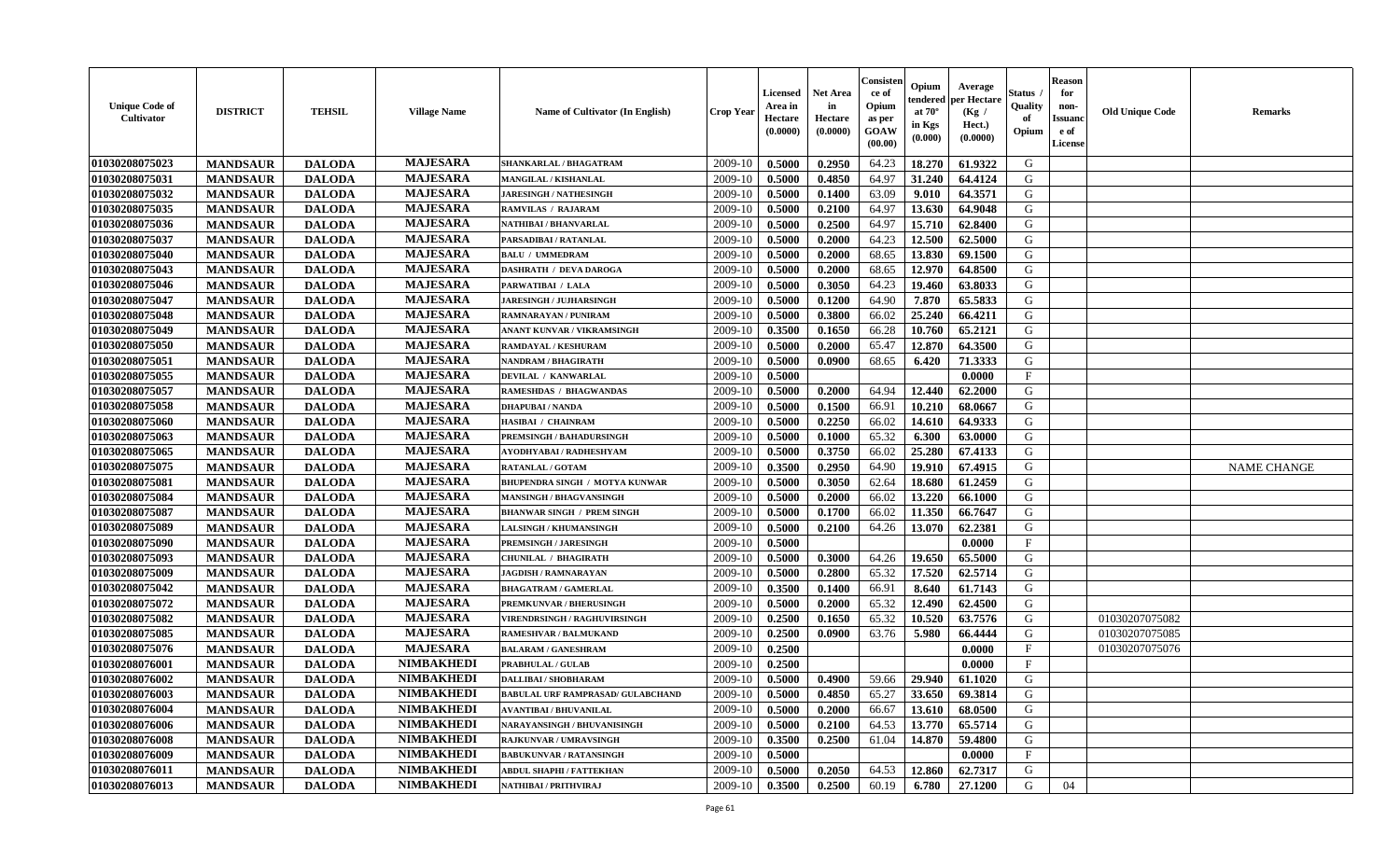| <b>Unique Code of</b><br><b>Cultivator</b> | <b>DISTRICT</b> | <b>TEHSIL</b> | <b>Village Name</b> | Name of Cultivator (In English)          | <b>Crop Year</b> | <b>Licensed</b><br>Area in<br>Hectare<br>(0.0000) | <b>Net Area</b><br>in<br>Hectare<br>(0.0000) | Consister<br>ce of<br>Opium<br>as per<br><b>GOAW</b><br>(00.00) | Opium<br>endered<br>at $70^{\circ}$<br>in Kgs<br>(0.000) | Average<br>per Hectare<br>(Kg)<br>Hect.)<br>(0.0000) | Status<br>Quality<br>of<br>Opium | <b>Reason</b><br>for<br>non-<br><b>Issuano</b><br>e of<br>License | <b>Old Unique Code</b> | <b>Remarks</b>     |
|--------------------------------------------|-----------------|---------------|---------------------|------------------------------------------|------------------|---------------------------------------------------|----------------------------------------------|-----------------------------------------------------------------|----------------------------------------------------------|------------------------------------------------------|----------------------------------|-------------------------------------------------------------------|------------------------|--------------------|
| 01030208075023                             | <b>MANDSAUR</b> | <b>DALODA</b> | <b>MAJESARA</b>     | <b>SHANKARLAL / BHAGATRAM</b>            | 2009-10          | 0.5000                                            | 0.2950                                       | 64.23                                                           | 18.270                                                   | 61.9322                                              | G                                |                                                                   |                        |                    |
| 01030208075031                             | <b>MANDSAUR</b> | <b>DALODA</b> | <b>MAJESARA</b>     | MANGILAL / KISHANLAL                     | 2009-10          | 0.5000                                            | 0.4850                                       | 64.97                                                           | 31.240                                                   | 64.4124                                              | G                                |                                                                   |                        |                    |
| 01030208075032                             | <b>MANDSAUR</b> | <b>DALODA</b> | <b>MAJESARA</b>     | <b>JARESINGH / NATHESINGH</b>            | 2009-10          | 0.5000                                            | 0.1400                                       | 63.09                                                           | 9.010                                                    | 64.3571                                              | G                                |                                                                   |                        |                    |
| 01030208075035                             | <b>MANDSAUR</b> | <b>DALODA</b> | <b>MAJESARA</b>     | <b>RAMVILAS / RAJARAM</b>                | 2009-10          | 0.5000                                            | 0.2100                                       | 64.97                                                           | 13.630                                                   | 64.9048                                              | G                                |                                                                   |                        |                    |
| 01030208075036                             | <b>MANDSAUR</b> | <b>DALODA</b> | <b>MAJESARA</b>     | NATHIBAI / BHANVARLAL                    | 2009-10          | 0.5000                                            | 0.2500                                       | 64.97                                                           | 15.710                                                   | 62.8400                                              | G                                |                                                                   |                        |                    |
| 01030208075037                             | <b>MANDSAUR</b> | <b>DALODA</b> | <b>MAJESARA</b>     | PARSADIBAI / RATANLAL                    | 2009-10          | 0.5000                                            | 0.2000                                       | 64.23                                                           | 12.500                                                   | 62.5000                                              | G                                |                                                                   |                        |                    |
| 01030208075040                             | <b>MANDSAUR</b> | <b>DALODA</b> | <b>MAJESARA</b>     | <b>BALU / UMMEDRAM</b>                   | 2009-10          | 0.5000                                            | 0.2000                                       | 68.65                                                           | 13.830                                                   | 69.1500                                              | G                                |                                                                   |                        |                    |
| 01030208075043                             | <b>MANDSAUR</b> | <b>DALODA</b> | <b>MAJESARA</b>     | <b>DASHRATH / DEVA DAROGA</b>            | 2009-10          | 0.5000                                            | 0.2000                                       | 68.65                                                           | 12.970                                                   | 64.8500                                              | G                                |                                                                   |                        |                    |
| 01030208075046                             | <b>MANDSAUR</b> | <b>DALODA</b> | <b>MAJESARA</b>     | PARWATIBAI / LALA                        | 2009-10          | 0.5000                                            | 0.3050                                       | 64.23                                                           | 19.460                                                   | 63.8033                                              | G                                |                                                                   |                        |                    |
| 01030208075047                             | <b>MANDSAUR</b> | <b>DALODA</b> | <b>MAJESARA</b>     | <b>JARESINGH / JUJHARSINGH</b>           | 2009-10          | 0.5000                                            | 0.1200                                       | 64.90                                                           | 7.870                                                    | 65.5833                                              | G                                |                                                                   |                        |                    |
| 01030208075048                             | <b>MANDSAUR</b> | <b>DALODA</b> | <b>MAJESARA</b>     | RAMNARAYAN / PUNIRAM                     | 2009-10          | 0.5000                                            | 0.3800                                       | 66.02                                                           | 25.240                                                   | 66.4211                                              | G                                |                                                                   |                        |                    |
| 01030208075049                             | <b>MANDSAUR</b> | <b>DALODA</b> | <b>MAJESARA</b>     | ANANT KUNVAR / VIKRAMSINGH               | 2009-10          | 0.3500                                            | 0.1650                                       | 66.28                                                           | 10.760                                                   | 65.2121                                              | G                                |                                                                   |                        |                    |
| 01030208075050                             | <b>MANDSAUR</b> | <b>DALODA</b> | <b>MAJESARA</b>     | RAMDAYAL / KESHURAM                      | 2009-10          | 0.5000                                            | 0.2000                                       | 65.47                                                           | 12.870                                                   | 64.3500                                              | G                                |                                                                   |                        |                    |
| 01030208075051                             | <b>MANDSAUR</b> | <b>DALODA</b> | <b>MAJESARA</b>     | NANDRAM / BHAGIRATH                      | 2009-10          | 0.5000                                            | 0.0900                                       | 68.65                                                           | 6.420                                                    | 71.3333                                              | G                                |                                                                   |                        |                    |
| 01030208075055                             | <b>MANDSAUR</b> | <b>DALODA</b> | <b>MAJESARA</b>     | DEVILAL / KANWARLAL                      | 2009-10          | 0.5000                                            |                                              |                                                                 |                                                          | 0.0000                                               | F                                |                                                                   |                        |                    |
| 01030208075057                             | <b>MANDSAUR</b> | <b>DALODA</b> | <b>MAJESARA</b>     | RAMESHDAS / BHAGWANDAS                   | 2009-10          | 0.5000                                            | 0.2000                                       | 64.94                                                           | 12.440                                                   | 62.2000                                              | G                                |                                                                   |                        |                    |
| 01030208075058                             | <b>MANDSAUR</b> | <b>DALODA</b> | <b>MAJESARA</b>     | <b>DHAPUBAI/NANDA</b>                    | 2009-10          | 0.5000                                            | 0.1500                                       | 66.91                                                           | 10.210                                                   | 68.0667                                              | G                                |                                                                   |                        |                    |
| 01030208075060                             | <b>MANDSAUR</b> | <b>DALODA</b> | <b>MAJESARA</b>     | <b>HASIBAI / CHAINRAM</b>                | 2009-10          | 0.5000                                            | 0.2250                                       | 66.02                                                           | 14.610                                                   | 64.9333                                              | G                                |                                                                   |                        |                    |
| 01030208075063                             | <b>MANDSAUR</b> | <b>DALODA</b> | <b>MAJESARA</b>     | <b>PREMSINGH / BAHADURSINGH</b>          | 2009-10          | 0.5000                                            | 0.1000                                       | 65.32                                                           | 6.300                                                    | 63.0000                                              | G                                |                                                                   |                        |                    |
| 01030208075065                             | <b>MANDSAUR</b> | <b>DALODA</b> | <b>MAJESARA</b>     | AYODHYABAI / RADHESHYAM                  | 2009-10          | 0.5000                                            | 0.3750                                       | 66.02                                                           | 25.280                                                   | 67.4133                                              | G                                |                                                                   |                        |                    |
| 01030208075075                             | <b>MANDSAUR</b> | <b>DALODA</b> | <b>MAJESARA</b>     | <b>RATANLAL / GOTAM</b>                  | 2009-10          | 0.3500                                            | 0.2950                                       | 64.90                                                           | 19.910                                                   | 67.4915                                              | G                                |                                                                   |                        | <b>NAME CHANGE</b> |
| 01030208075081                             | <b>MANDSAUR</b> | <b>DALODA</b> | <b>MAJESARA</b>     | BHUPENDRA SINGH / MOTYA KUNWAR           | 2009-10          | 0.5000                                            | 0.3050                                       | 62.64                                                           | 18.680                                                   | 61.2459                                              | G                                |                                                                   |                        |                    |
| 01030208075084                             | <b>MANDSAUR</b> | <b>DALODA</b> | <b>MAJESARA</b>     | <b>MANSINGH / BHAGVANSINGH</b>           | 2009-10          | 0.5000                                            | 0.2000                                       | 66.02                                                           | 13.220                                                   | 66.1000                                              | G                                |                                                                   |                        |                    |
| 01030208075087                             | <b>MANDSAUR</b> | <b>DALODA</b> | <b>MAJESARA</b>     | <b>BHANWAR SINGH / PREM SINGH</b>        | 2009-10          | 0.5000                                            | 0.1700                                       | 66.02                                                           | 11.350                                                   | 66.7647                                              | G                                |                                                                   |                        |                    |
| 01030208075089                             | <b>MANDSAUR</b> | <b>DALODA</b> | <b>MAJESARA</b>     | <b>LALSINGH / KHUMANSINGH</b>            | 2009-10          | 0.5000                                            | 0.2100                                       | 64.26                                                           | 13.070                                                   | 62.2381                                              | G                                |                                                                   |                        |                    |
| 01030208075090                             | <b>MANDSAUR</b> | <b>DALODA</b> | <b>MAJESARA</b>     | PREMSINGH / JARESINGH                    | 2009-10          | 0.5000                                            |                                              |                                                                 |                                                          | 0.0000                                               | F                                |                                                                   |                        |                    |
| 01030208075093                             | <b>MANDSAUR</b> | <b>DALODA</b> | <b>MAJESARA</b>     | <b>CHUNILAL / BHAGIRATH</b>              | 2009-10          | 0.5000                                            | 0.3000                                       | 64.26                                                           | 19.650                                                   | 65.5000                                              | G                                |                                                                   |                        |                    |
| 01030208075009                             | <b>MANDSAUR</b> | <b>DALODA</b> | <b>MAJESARA</b>     | <b>JAGDISH / RAMNARAYAN</b>              | 2009-10          | 0.5000                                            | 0.2800                                       | 65.32                                                           | 17.520                                                   | 62.5714                                              | G                                |                                                                   |                        |                    |
| 01030208075042                             | <b>MANDSAUR</b> | <b>DALODA</b> | <b>MAJESARA</b>     | <b>BHAGATRAM / GAMERLAL</b>              | 2009-10          | 0.3500                                            | 0.1400                                       | 66.91                                                           | 8.640                                                    | 61.7143                                              | G                                |                                                                   |                        |                    |
| 01030208075072                             | <b>MANDSAUR</b> | <b>DALODA</b> | <b>MAJESARA</b>     | PREMKUNVAR / BHERUSINGH                  | 2009-10          | 0.5000                                            | 0.2000                                       | 65.32                                                           | 12.490                                                   | 62.4500                                              | G                                |                                                                   |                        |                    |
| 01030208075082                             | <b>MANDSAUR</b> | <b>DALODA</b> | <b>MAJESARA</b>     | <b>VIRENDRSINGH / RAGHUVIRSINGH</b>      | 2009-10          | 0.2500                                            | 0.1650                                       | 65.32                                                           | 10.520                                                   | 63.7576                                              | G                                |                                                                   | 01030207075082         |                    |
| 01030208075085                             | <b>MANDSAUR</b> | <b>DALODA</b> | <b>MAJESARA</b>     | <b>RAMESHVAR / BALMUKAND</b>             | 2009-10          | 0.2500                                            | 0.0900                                       | 63.76                                                           | 5.980                                                    | 66.4444                                              | G                                |                                                                   | 01030207075085         |                    |
| 01030208075076                             | <b>MANDSAUR</b> | <b>DALODA</b> | <b>MAJESARA</b>     | <b>BALARAM / GANESHRAM</b>               | 2009-10          | 0.2500                                            |                                              |                                                                 |                                                          | 0.0000                                               | F                                |                                                                   | 01030207075076         |                    |
| 01030208076001                             | <b>MANDSAUR</b> | <b>DALODA</b> | <b>NIMBAKHEDI</b>   | <b>PRABHULAL / GULAB</b>                 | 2009-10          | 0.2500                                            |                                              |                                                                 |                                                          | 0.0000                                               | $\mathbf{F}$                     |                                                                   |                        |                    |
| 01030208076002                             | <b>MANDSAUR</b> | <b>DALODA</b> | <b>NIMBAKHEDI</b>   | <b>DALLIBAI/SHOBHARAM</b>                | 2009-10          | 0.5000                                            | 0.4900                                       | 59.66                                                           | 29.940                                                   | 61.1020                                              | G                                |                                                                   |                        |                    |
| 01030208076003                             | <b>MANDSAUR</b> | <b>DALODA</b> | <b>NIMBAKHEDI</b>   | <b>BABULAL URF RAMPRASAD/ GULABCHAND</b> | $2009-10$        | 0.5000                                            | 0.4850                                       | 65.27                                                           | 33.650                                                   | 69.3814                                              | G                                |                                                                   |                        |                    |
| 01030208076004                             | <b>MANDSAUR</b> | <b>DALODA</b> | <b>NIMBAKHEDI</b>   | <b>AVANTIBAI / BHUVANILAL</b>            | 2009-10          | 0.5000                                            | 0.2000                                       | 66.67                                                           | 13.610                                                   | 68.0500                                              | G                                |                                                                   |                        |                    |
| 01030208076006                             | <b>MANDSAUR</b> | <b>DALODA</b> | <b>NIMBAKHEDI</b>   | NARAYANSINGH / BHUVANISINGH              | 2009-10          | 0.5000                                            | 0.2100                                       | 64.53                                                           | 13.770                                                   | 65.5714                                              | G                                |                                                                   |                        |                    |
| 01030208076008                             | <b>MANDSAUR</b> | <b>DALODA</b> | <b>NIMBAKHEDI</b>   | RAJKUNVAR / UMRAVSINGH                   | 2009-10          | 0.3500                                            | 0.2500                                       | 61.04                                                           | 14.870                                                   | 59.4800                                              | G                                |                                                                   |                        |                    |
| 01030208076009                             | <b>MANDSAUR</b> | <b>DALODA</b> | <b>NIMBAKHEDI</b>   | <b>BABUKUNVAR / RATANSINGH</b>           | 2009-10          | 0.5000                                            |                                              |                                                                 |                                                          | 0.0000                                               | $\mathbf{F}$                     |                                                                   |                        |                    |
| 01030208076011                             | <b>MANDSAUR</b> | <b>DALODA</b> | <b>NIMBAKHEDI</b>   | <b>ABDUL SHAPHI / FATTEKHAN</b>          | 2009-10          | 0.5000                                            | 0.2050                                       | 64.53                                                           | 12.860                                                   | 62.7317                                              | G                                |                                                                   |                        |                    |
| 01030208076013                             | <b>MANDSAUR</b> | <b>DALODA</b> | <b>NIMBAKHEDI</b>   | NATHIBAI / PRITHVIRAJ                    | 2009-10          | 0.3500                                            | 0.2500                                       | 60.19                                                           | 6.780                                                    | 27.1200                                              | G                                | 04                                                                |                        |                    |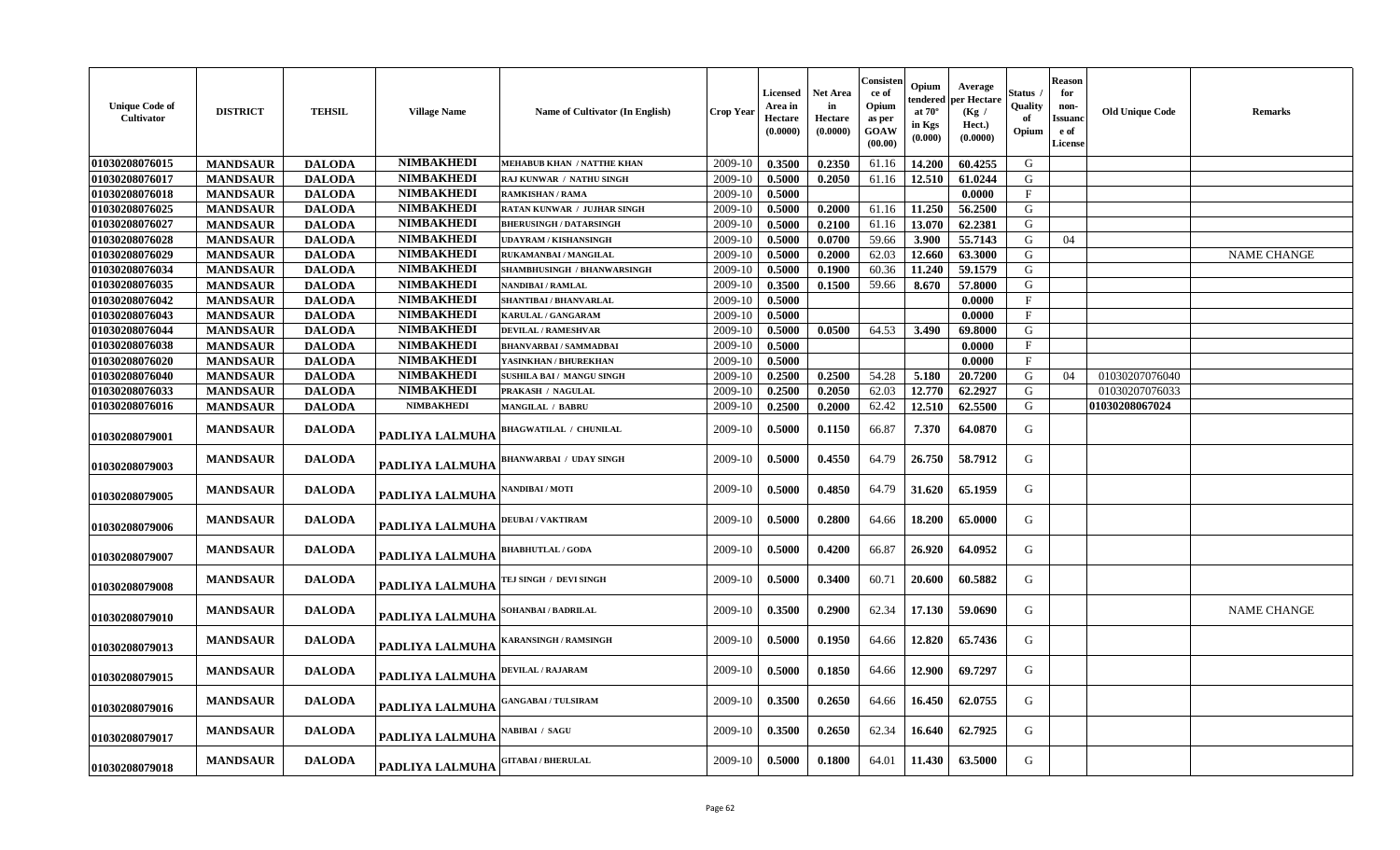| <b>Unique Code of</b><br>Cultivator | <b>DISTRICT</b> | <b>TEHSIL</b> | <b>Village Name</b>    | <b>Name of Cultivator (In English)</b> | <b>Crop Year</b> | <b>Licensed</b><br>Area in<br>Hectare<br>(0.0000) | <b>Net Area</b><br>in<br>Hectare<br>(0.0000) | Consisten<br>ce of<br>Opium<br>as per<br>GOAW<br>(00.00) | Opium<br>tendered<br>at $70^\circ$<br>in Kgs<br>(0.000) | Average<br>per Hectare<br>(Kg /<br>Hect.)<br>(0.0000) | Status<br>Quality<br>-of<br>Opium | <b>Reason</b><br>for<br>non-<br>Issuanc<br>e of<br><b>License</b> | <b>Old Unique Code</b> | Remarks            |
|-------------------------------------|-----------------|---------------|------------------------|----------------------------------------|------------------|---------------------------------------------------|----------------------------------------------|----------------------------------------------------------|---------------------------------------------------------|-------------------------------------------------------|-----------------------------------|-------------------------------------------------------------------|------------------------|--------------------|
| 01030208076015                      | <b>MANDSAUR</b> | <b>DALODA</b> | <b>NIMBAKHEDI</b>      | <b>MEHABUB KHAN / NATTHE KHAN</b>      | 2009-10          | 0.3500                                            | 0.2350                                       | 61.16                                                    | 14.200                                                  | 60.4255                                               | G                                 |                                                                   |                        |                    |
| 01030208076017                      | <b>MANDSAUR</b> | <b>DALODA</b> | <b>NIMBAKHEDI</b>      | RAJ KUNWAR / NATHU SINGH               | 2009-10          | 0.5000                                            | 0.2050                                       | 61.16                                                    | 12.510                                                  | 61.0244                                               | G                                 |                                                                   |                        |                    |
| 01030208076018                      | <b>MANDSAUR</b> | <b>DALODA</b> | <b>NIMBAKHEDI</b>      | <b>RAMKISHAN / RAMA</b>                | 2009-10          | 0.5000                                            |                                              |                                                          |                                                         | 0.0000                                                | $\mathbf{F}$                      |                                                                   |                        |                    |
| 01030208076025                      | <b>MANDSAUR</b> | <b>DALODA</b> | <b>NIMBAKHEDI</b>      | RATAN KUNWAR / JUJHAR SINGH            | 2009-10          | 0.5000                                            | 0.2000                                       | 61.16                                                    | 11.250                                                  | 56.2500                                               | G                                 |                                                                   |                        |                    |
| 01030208076027                      | <b>MANDSAUR</b> | <b>DALODA</b> | <b>NIMBAKHEDI</b>      | <b>BHERUSINGH / DATARSINGH</b>         | 2009-10          | 0.5000                                            | 0.2100                                       | 61.16                                                    | 13.070                                                  | 62.2381                                               | G                                 |                                                                   |                        |                    |
| 01030208076028                      | <b>MANDSAUR</b> | <b>DALODA</b> | <b>NIMBAKHEDI</b>      | <b>UDAYRAM / KISHANSINGH</b>           | 2009-10          | 0.5000                                            | 0.0700                                       | 59.66                                                    | 3.900                                                   | 55.7143                                               | G                                 | 04                                                                |                        |                    |
| 01030208076029                      | <b>MANDSAUR</b> | <b>DALODA</b> | <b>NIMBAKHEDI</b>      | RUKAMANBAI / MANGILAL                  | 2009-10          | 0.5000                                            | 0.2000                                       | 62.03                                                    | 12.660                                                  | 63.3000                                               | G                                 |                                                                   |                        | <b>NAME CHANGE</b> |
| 01030208076034                      | <b>MANDSAUR</b> | <b>DALODA</b> | <b>NIMBAKHEDI</b>      | SHAMBHUSINGH / BHANWARSINGH            | 2009-10          | 0.5000                                            | 0.1900                                       | 60.36                                                    | 11.240                                                  | 59.1579                                               | G                                 |                                                                   |                        |                    |
| 01030208076035                      | <b>MANDSAUR</b> | <b>DALODA</b> | <b>NIMBAKHEDI</b>      | <b>NANDIBAI / RAMLAL</b>               | 2009-10          | 0.3500                                            | 0.1500                                       | 59.66                                                    | 8.670                                                   | 57.8000                                               | G                                 |                                                                   |                        |                    |
| 01030208076042                      | <b>MANDSAUR</b> | <b>DALODA</b> | <b>NIMBAKHEDI</b>      | SHANTIBAI / BHANVARLAL                 | 2009-10          | 0.5000                                            |                                              |                                                          |                                                         | 0.0000                                                | $\mathbf{F}$                      |                                                                   |                        |                    |
| 01030208076043                      | <b>MANDSAUR</b> | <b>DALODA</b> | <b>NIMBAKHEDI</b>      | <b>KARULAL / GANGARAM</b>              | 2009-10          | 0.5000                                            |                                              |                                                          |                                                         | 0.0000                                                | $\mathbf{F}$                      |                                                                   |                        |                    |
| 01030208076044                      | <b>MANDSAUR</b> | <b>DALODA</b> | <b>NIMBAKHEDI</b>      | <b>DEVILAL / RAMESHVAR</b>             | 2009-10          | 0.5000                                            | 0.0500                                       | 64.53                                                    | 3.490                                                   | 69.8000                                               | G                                 |                                                                   |                        |                    |
| 01030208076038                      | <b>MANDSAUR</b> | <b>DALODA</b> | <b>NIMBAKHEDI</b>      | <b>BHANVARBAI/SAMMADBAI</b>            | 2009-10          | 0.5000                                            |                                              |                                                          |                                                         | 0.0000                                                | $\mathbf{F}$                      |                                                                   |                        |                    |
| 01030208076020                      | <b>MANDSAUR</b> | <b>DALODA</b> | <b>NIMBAKHEDI</b>      | YASINKHAN / BHUREKHAN                  | 2009-10          | 0.5000                                            |                                              |                                                          |                                                         | 0.0000                                                | $\mathbf{F}$                      |                                                                   |                        |                    |
| 01030208076040                      | <b>MANDSAUR</b> | <b>DALODA</b> | <b>NIMBAKHEDI</b>      | <b>SUSHILA BAI / MANGU SINGH</b>       | 2009-10          | 0.2500                                            | 0.2500                                       | 54.28                                                    | 5.180                                                   | 20.7200                                               | G                                 | 04                                                                | 01030207076040         |                    |
| 01030208076033                      | <b>MANDSAUR</b> | <b>DALODA</b> | <b>NIMBAKHEDI</b>      | PRAKASH / NAGULAL                      | 2009-10          | 0.2500                                            | 0.2050                                       | 62.03                                                    | 12.770                                                  | 62.2927                                               | G                                 |                                                                   | 01030207076033         |                    |
| 01030208076016                      | <b>MANDSAUR</b> | <b>DALODA</b> | <b>NIMBAKHEDI</b>      | <b>MANGILAL / BABRU</b>                | 2009-10          | 0.2500                                            | 0.2000                                       | 62.42                                                    | 12.510                                                  | 62.5500                                               | G                                 |                                                                   | 01030208067024         |                    |
| 01030208079001                      | <b>MANDSAUR</b> | <b>DALODA</b> | PADLIYA LALMUHA        | <b>BHAGWATILAL / CHUNILAL</b>          | 2009-10          | 0.5000                                            | 0.1150                                       | 66.87                                                    | 7.370                                                   | 64.0870                                               | G                                 |                                                                   |                        |                    |
| 01030208079003                      | <b>MANDSAUR</b> | <b>DALODA</b> | <b>PADLIYA LALMUHA</b> | <b>BHANWARBAI / UDAY SINGH</b>         | 2009-10          | 0.5000                                            | 0.4550                                       | 64.79                                                    | 26.750                                                  | 58.7912                                               | G                                 |                                                                   |                        |                    |
| 01030208079005                      | <b>MANDSAUR</b> | <b>DALODA</b> | PADLIYA LALMUHA        | <b>NANDIBAI / MOTI</b>                 | 2009-10          | 0.5000                                            | 0.4850                                       | 64.79                                                    | 31.620                                                  | 65.1959                                               | G                                 |                                                                   |                        |                    |
| 01030208079006                      | <b>MANDSAUR</b> | <b>DALODA</b> | PADLIYA LALMUHA        | <b>DEUBAI/VAKTIRAM</b>                 | 2009-10          | 0.5000                                            | 0.2800                                       | 64.66                                                    | 18.200                                                  | 65.0000                                               | G                                 |                                                                   |                        |                    |
| 01030208079007                      | <b>MANDSAUR</b> | <b>DALODA</b> | PADLIYA LALMUHA        | <b>BHABHUTLAL / GODA</b>               | 2009-10          | 0.5000                                            | 0.4200                                       | 66.87                                                    | 26.920                                                  | 64.0952                                               | G                                 |                                                                   |                        |                    |
| 01030208079008                      | <b>MANDSAUR</b> | <b>DALODA</b> | <b>PADLIYA LALMUHA</b> | TEJ SINGH / DEVI SINGH                 | 2009-10          | 0.5000                                            | 0.3400                                       | 60.71                                                    | 20.600                                                  | 60.5882                                               | G                                 |                                                                   |                        |                    |
| 01030208079010                      | <b>MANDSAUR</b> | <b>DALODA</b> | PADLIYA LALMUHA        | SOHANBAI / BADRILAL                    | 2009-10          | 0.3500                                            | 0.2900                                       | 62.34                                                    | 17.130                                                  | 59.0690                                               | G                                 |                                                                   |                        | <b>NAME CHANGE</b> |
| 01030208079013                      | <b>MANDSAUR</b> | <b>DALODA</b> | PADLIYA LALMUHA        | <b>KARANSINGH / RAMSINGH</b>           | 2009-10          | 0.5000                                            | 0.1950                                       | 64.66                                                    | 12.820                                                  | 65.7436                                               | G                                 |                                                                   |                        |                    |
| 01030208079015                      | <b>MANDSAUR</b> | <b>DALODA</b> | PADLIYA LALMUHA        | <b>DEVILAL / RAJARAM</b>               | 2009-10          | 0.5000                                            | 0.1850                                       | 64.66                                                    | 12.900                                                  | 69.7297                                               | G                                 |                                                                   |                        |                    |
| 01030208079016                      | <b>MANDSAUR</b> | <b>DALODA</b> | PADLIYA LALMUHA        | <b>GANGABAI / TULSIRAM</b>             | 2009-10          | 0.3500                                            | 0.2650                                       | 64.66                                                    | 16.450                                                  | 62.0755                                               | G                                 |                                                                   |                        |                    |
| 01030208079017                      | <b>MANDSAUR</b> | <b>DALODA</b> | PADLIYA LALMUHA        | NABIBAI / SAGU                         | 2009-10          | 0.3500                                            | 0.2650                                       | 62.34                                                    | 16.640                                                  | 62.7925                                               | G                                 |                                                                   |                        |                    |
| 01030208079018                      | <b>MANDSAUR</b> | <b>DALODA</b> | PADLIYA LALMUHA        | <b>GITABAI/BHERULAL</b>                | 2009-10          | 0.5000                                            | 0.1800                                       | 64.01                                                    | 11.430                                                  | 63.5000                                               | G                                 |                                                                   |                        |                    |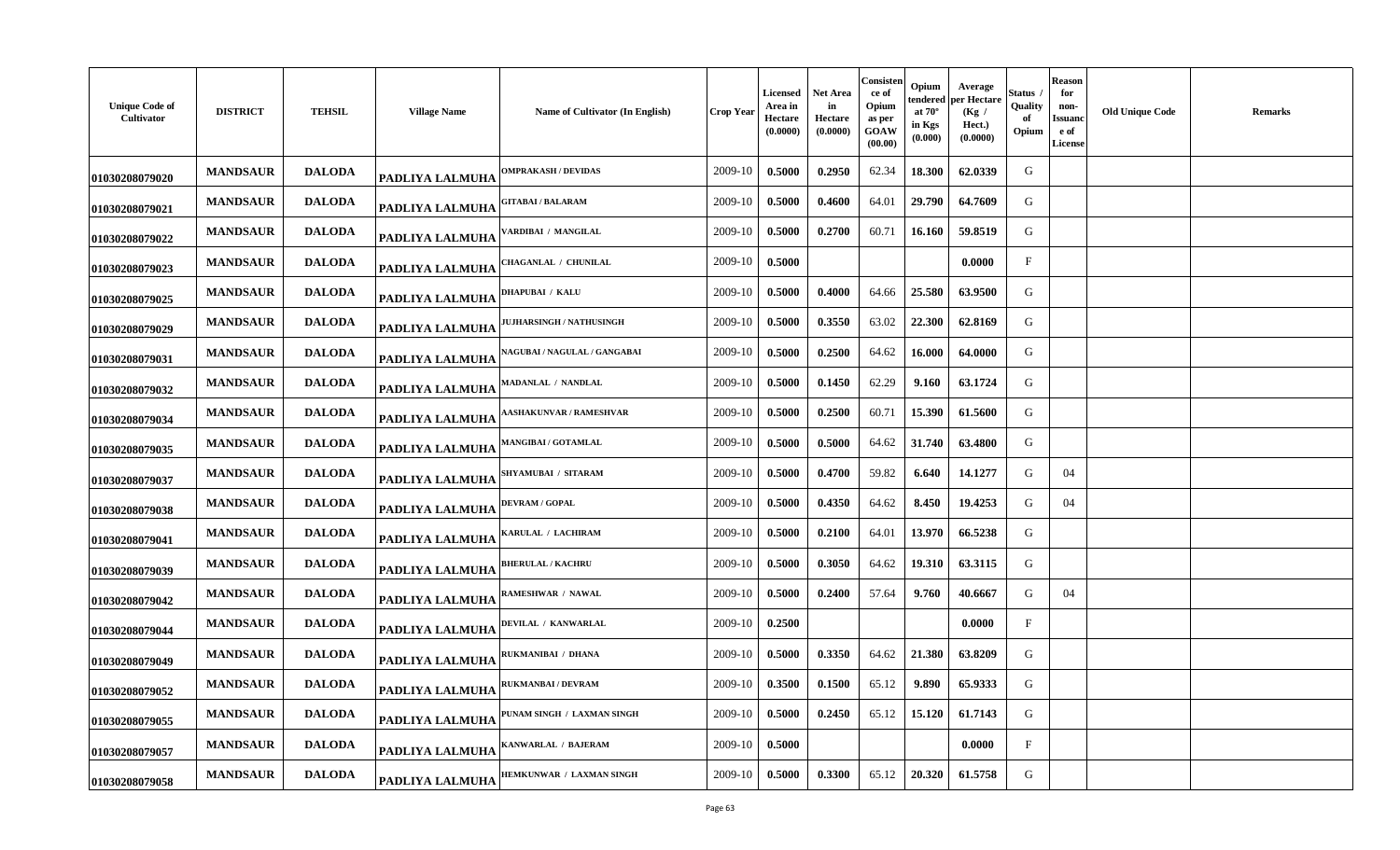| <b>Unique Code of</b><br>Cultivator | <b>DISTRICT</b> | <b>TEHSIL</b> | <b>Village Name</b>    | Name of Cultivator (In English)     | <b>Crop Year</b> | Licensed<br>Area in<br>Hectare<br>(0.0000) | Net Area<br>in<br>Hectare<br>(0.0000) | Consisten<br>ce of<br>Opium<br>as per<br><b>GOAW</b><br>(00.00) | Opium<br>tendered<br>at $70^\circ$<br>in Kgs<br>(0.000) | Average<br>per Hectare<br>(Kg /<br>Hect.)<br>(0.0000) | Status<br>Quality<br>of<br>Opium | <b>Reason</b><br>for<br>non-<br>Issuanc<br>e of<br>License | <b>Old Unique Code</b> | <b>Remarks</b> |
|-------------------------------------|-----------------|---------------|------------------------|-------------------------------------|------------------|--------------------------------------------|---------------------------------------|-----------------------------------------------------------------|---------------------------------------------------------|-------------------------------------------------------|----------------------------------|------------------------------------------------------------|------------------------|----------------|
| 01030208079020                      | <b>MANDSAUR</b> | <b>DALODA</b> | <b>PADLIYA LALMUHA</b> | <b>DMPRAKASH / DEVIDAS</b>          | 2009-10          | 0.5000                                     | 0.2950                                | 62.34                                                           | 18.300                                                  | 62.0339                                               | G                                |                                                            |                        |                |
| 01030208079021                      | <b>MANDSAUR</b> | <b>DALODA</b> | <b>PADLIYA LALMUHA</b> | <b>GITABAI / BALARAM</b>            | 2009-10          | 0.5000                                     | 0.4600                                | 64.01                                                           | 29.790                                                  | 64.7609                                               | G                                |                                                            |                        |                |
| 01030208079022                      | <b>MANDSAUR</b> | <b>DALODA</b> | <b>PADLIYA LALMUHA</b> | <b>/ARDIBAI / MANGILAL</b>          | 2009-10          | 0.5000                                     | 0.2700                                | 60.71                                                           | 16.160                                                  | 59.8519                                               | G                                |                                                            |                        |                |
| 01030208079023                      | <b>MANDSAUR</b> | <b>DALODA</b> | PADLIYA LALMUHA        | <b>CHAGANLAL / CHUNILAL</b>         | 2009-10          | 0.5000                                     |                                       |                                                                 |                                                         | 0.0000                                                | $\mathbf{F}$                     |                                                            |                        |                |
| 01030208079025                      | <b>MANDSAUR</b> | <b>DALODA</b> | PADLIYA LALMUHA        | <b>DHAPUBAI / KALU</b>              | 2009-10          | 0.5000                                     | 0.4000                                | 64.66                                                           | 25.580                                                  | 63.9500                                               | G                                |                                                            |                        |                |
| 01030208079029                      | <b>MANDSAUR</b> | <b>DALODA</b> | <b>PADLIYA LALMUHA</b> | <b>UJHARSINGH / NATHUSINGH</b>      | 2009-10          | 0.5000                                     | 0.3550                                | 63.02                                                           | 22.300                                                  | 62.8169                                               | G                                |                                                            |                        |                |
| 01030208079031                      | <b>MANDSAUR</b> | <b>DALODA</b> | PADLIYA LALMUHA        | <b>NAGUBAI / NAGULAL / GANGABAI</b> | 2009-10          | 0.5000                                     | 0.2500                                | 64.62                                                           | 16.000                                                  | 64.0000                                               | G                                |                                                            |                        |                |
| 01030208079032                      | <b>MANDSAUR</b> | <b>DALODA</b> | PADLIYA LALMUHA        | <b>MADANLAL / NANDLAL</b>           | 2009-10          | 0.5000                                     | 0.1450                                | 62.29                                                           | 9.160                                                   | 63.1724                                               | G                                |                                                            |                        |                |
| 01030208079034                      | <b>MANDSAUR</b> | <b>DALODA</b> | PADLIYA LALMUHA        | <b>ASHAKUNVAR / RAMESHVAR</b>       | 2009-10          | 0.5000                                     | 0.2500                                | 60.71                                                           | 15.390                                                  | 61.5600                                               | G                                |                                                            |                        |                |
| 01030208079035                      | <b>MANDSAUR</b> | <b>DALODA</b> | <b>PADLIYA LALMUHA</b> | <b>MANGIBAI/GOTAMLAL</b>            | 2009-10          | 0.5000                                     | 0.5000                                | 64.62                                                           | 31.740                                                  | 63.4800                                               | G                                |                                                            |                        |                |
| 01030208079037                      | <b>MANDSAUR</b> | <b>DALODA</b> | PADLIYA LALMUHA        | SHYAMUBAI / SITARAM                 | 2009-10          | 0.5000                                     | 0.4700                                | 59.82                                                           | 6.640                                                   | 14.1277                                               | G                                | 04                                                         |                        |                |
| 01030208079038                      | <b>MANDSAUR</b> | <b>DALODA</b> | PADLIYA LALMUHA        | <b>DEVRAM / GOPAL</b>               | 2009-10          | 0.5000                                     | 0.4350                                | 64.62                                                           | 8.450                                                   | 19.4253                                               | G                                | 04                                                         |                        |                |
| 01030208079041                      | <b>MANDSAUR</b> | <b>DALODA</b> | PADLIYA LALMUHA        | KARULAL / LACHIRAM                  | 2009-10          | 0.5000                                     | 0.2100                                | 64.01                                                           | 13.970                                                  | 66.5238                                               | G                                |                                                            |                        |                |
| 01030208079039                      | <b>MANDSAUR</b> | <b>DALODA</b> | PADLIYA LALMUHA        | <b>BHERULAL / KACHRU</b>            | 2009-10          | 0.5000                                     | 0.3050                                | 64.62                                                           | 19.310                                                  | 63.3115                                               | G                                |                                                            |                        |                |
| 01030208079042                      | <b>MANDSAUR</b> | <b>DALODA</b> | <b>PADLIYA LALMUHA</b> | RAMESHWAR / NAWAL                   | 2009-10          | 0.5000                                     | 0.2400                                | 57.64                                                           | 9.760                                                   | 40.6667                                               | G                                | 04                                                         |                        |                |
| 01030208079044                      | <b>MANDSAUR</b> | <b>DALODA</b> | PADLIYA LALMUHA        | <b>DEVILAL / KANWARLAL</b>          | 2009-10          | 0.2500                                     |                                       |                                                                 |                                                         | 0.0000                                                | $\mathbf{F}$                     |                                                            |                        |                |
| 01030208079049                      | <b>MANDSAUR</b> | <b>DALODA</b> | PADLIYA LALMUHA        | RUKMANIBAI / DHANA                  | 2009-10          | 0.5000                                     | 0.3350                                | 64.62                                                           | 21.380                                                  | 63.8209                                               | G                                |                                                            |                        |                |
| 01030208079052                      | <b>MANDSAUR</b> | <b>DALODA</b> | <b>PADLIYA LALMUHA</b> | RUKMANBAI / DEVRAM                  | 2009-10          | 0.3500                                     | 0.1500                                | 65.12                                                           | 9.890                                                   | 65.9333                                               | G                                |                                                            |                        |                |
| 01030208079055                      | <b>MANDSAUR</b> | <b>DALODA</b> | <b>PADLIYA LALMUHA</b> | PUNAM SINGH / LAXMAN SINGH          | 2009-10          | 0.5000                                     | 0.2450                                | 65.12                                                           | 15.120                                                  | 61.7143                                               | G                                |                                                            |                        |                |
| 01030208079057                      | <b>MANDSAUR</b> | <b>DALODA</b> | <b>PADLIYA LALMUHA</b> | KANWARLAL / BAJERAM                 | 2009-10          | 0.5000                                     |                                       |                                                                 |                                                         | 0.0000                                                | $_{\rm F}$                       |                                                            |                        |                |
| 01030208079058                      | <b>MANDSAUR</b> | <b>DALODA</b> | PADLIYA LALMUHA        | HEMKUNWAR / LAXMAN SINGH            | 2009-10          | 0.5000                                     | 0.3300                                | 65.12                                                           | 20.320                                                  | 61.5758                                               | G                                |                                                            |                        |                |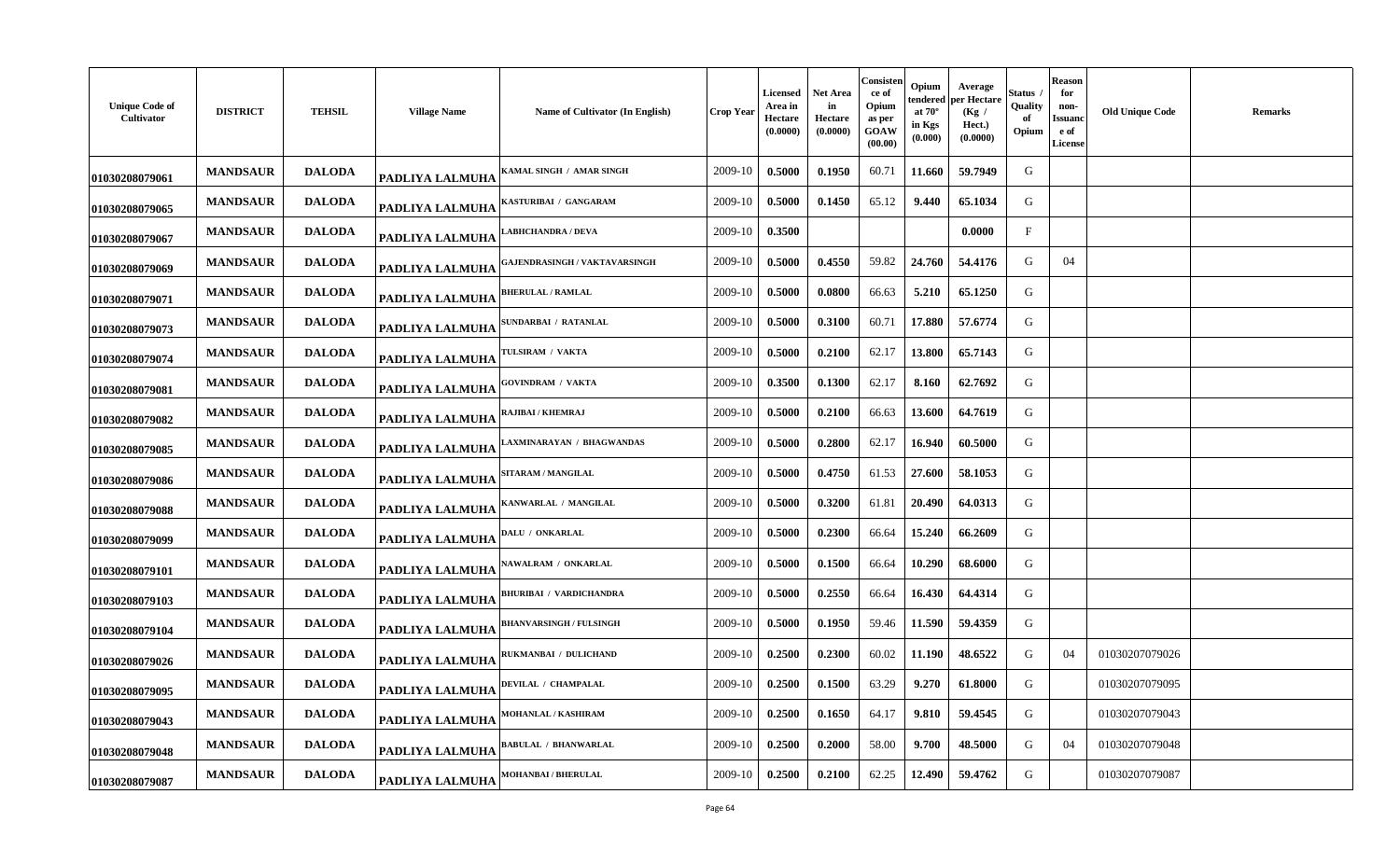| <b>Unique Code of</b><br>Cultivator | <b>DISTRICT</b> | <b>TEHSIL</b> | <b>Village Name</b>    | Name of Cultivator (In English)      | <b>Crop Year</b> | Licensed<br>Area in<br>Hectare<br>(0.0000) | <b>Net Area</b><br>in<br>Hectare<br>(0.0000) | Consisten<br>ce of<br>Opium<br>as per<br>GOAW<br>(00.00) | Opium<br>tendered<br>at $70^\circ$<br>in Kgs<br>(0.000) | Average<br>per Hectare<br>(Kg)<br>Hect.)<br>(0.0000) | štatus<br>Quality<br>-of<br>Opium | <b>Reason</b><br>for<br>non-<br><b>Issuand</b><br>e of<br>License | <b>Old Unique Code</b> | <b>Remarks</b> |
|-------------------------------------|-----------------|---------------|------------------------|--------------------------------------|------------------|--------------------------------------------|----------------------------------------------|----------------------------------------------------------|---------------------------------------------------------|------------------------------------------------------|-----------------------------------|-------------------------------------------------------------------|------------------------|----------------|
| 01030208079061                      | <b>MANDSAUR</b> | <b>DALODA</b> | PADLIYA LALMUHA        | KAMAL SINGH / AMAR SINGH             | 2009-10          | 0.5000                                     | 0.1950                                       | 60.71                                                    | 11.660                                                  | 59.7949                                              | G                                 |                                                                   |                        |                |
| 01030208079065                      | <b>MANDSAUR</b> | <b>DALODA</b> | PADLIYA LALMUHA        | KASTURIBAI / GANGARAM                | 2009-10          | 0.5000                                     | 0.1450                                       | 65.12                                                    | 9.440                                                   | 65.1034                                              | G                                 |                                                                   |                        |                |
| 01030208079067                      | <b>MANDSAUR</b> | <b>DALODA</b> | PADLIYA LALMUHA        | <b>ABHCHANDRA / DEVA</b>             | 2009-10          | 0.3500                                     |                                              |                                                          |                                                         | 0.0000                                               | $\mathbf{F}$                      |                                                                   |                        |                |
| 01030208079069                      | <b>MANDSAUR</b> | <b>DALODA</b> | PADLIYA LALMUHA        | <b>GAJENDRASINGH / VAKTAVARSINGH</b> | 2009-10          | 0.5000                                     | 0.4550                                       | 59.82                                                    | 24.760                                                  | 54.4176                                              | G                                 | 04                                                                |                        |                |
| 01030208079071                      | <b>MANDSAUR</b> | <b>DALODA</b> | PADLIYA LALMUHA        | <b>BHERULAL / RAMLAL</b>             | 2009-10          | 0.5000                                     | 0.0800                                       | 66.63                                                    | 5.210                                                   | 65.1250                                              | G                                 |                                                                   |                        |                |
| 01030208079073                      | <b>MANDSAUR</b> | <b>DALODA</b> | PADLIYA LALMUHA        | SUNDARBAI / RATANLAL                 | 2009-10          | 0.5000                                     | 0.3100                                       | 60.71                                                    | 17.880                                                  | 57.6774                                              | G                                 |                                                                   |                        |                |
| 01030208079074                      | <b>MANDSAUR</b> | <b>DALODA</b> | PADLIYA LALMUHA        | <b>TULSIRAM / VAKTA</b>              | 2009-10          | 0.5000                                     | 0.2100                                       | 62.17                                                    | 13.800                                                  | 65.7143                                              | G                                 |                                                                   |                        |                |
| 01030208079081                      | <b>MANDSAUR</b> | <b>DALODA</b> | PADLIYA LALMUHA        | <b>GOVINDRAM / VAKTA</b>             | 2009-10          | 0.3500                                     | 0.1300                                       | 62.17                                                    | 8.160                                                   | 62.7692                                              | G                                 |                                                                   |                        |                |
| 01030208079082                      | <b>MANDSAUR</b> | <b>DALODA</b> | PADLIYA LALMUHA        | RAJIBAI / KHEMRAJ                    | 2009-10          | 0.5000                                     | 0.2100                                       | 66.63                                                    | 13.600                                                  | 64.7619                                              | G                                 |                                                                   |                        |                |
| 01030208079085                      | <b>MANDSAUR</b> | <b>DALODA</b> | PADLIYA LALMUHA        | AXMINARAYAN / BHAGWANDAS             | 2009-10          | 0.5000                                     | 0.2800                                       | 62.17                                                    | 16.940                                                  | 60.5000                                              | G                                 |                                                                   |                        |                |
| 01030208079086                      | <b>MANDSAUR</b> | <b>DALODA</b> | PADLIYA LALMUHA        | <b>SITARAM / MANGILAL</b>            | 2009-10          | 0.5000                                     | 0.4750                                       | 61.53                                                    | 27.600                                                  | 58.1053                                              | G                                 |                                                                   |                        |                |
| 01030208079088                      | <b>MANDSAUR</b> | <b>DALODA</b> | PADLIYA LALMUHA        | KANWARLAL / MANGILAL                 | 2009-10          | 0.5000                                     | 0.3200                                       | 61.81                                                    | 20.490                                                  | 64.0313                                              | G                                 |                                                                   |                        |                |
| 01030208079099                      | <b>MANDSAUR</b> | <b>DALODA</b> | PADLIYA LALMUHA        | DALU / ONKARLAL                      | 2009-10          | 0.5000                                     | 0.2300                                       | 66.64                                                    | 15.240                                                  | 66.2609                                              | G                                 |                                                                   |                        |                |
| 01030208079101                      | <b>MANDSAUR</b> | <b>DALODA</b> | PADLIYA LALMUHA        | <b>JAWALRAM / ONKARLAL</b>           | 2009-10          | 0.5000                                     | 0.1500                                       | 66.64                                                    | 10.290                                                  | 68.6000                                              | G                                 |                                                                   |                        |                |
| 01030208079103                      | <b>MANDSAUR</b> | <b>DALODA</b> | PADLIYA LALMUHA        | <b>BHURIBAI / VARDICHANDRA</b>       | 2009-10          | 0.5000                                     | 0.2550                                       | 66.64                                                    | 16.430                                                  | 64.4314                                              | G                                 |                                                                   |                        |                |
| 01030208079104                      | <b>MANDSAUR</b> | <b>DALODA</b> | PADLIYA LALMUHA        | <b>BHANVARSINGH / FULSINGH</b>       | 2009-10          | 0.5000                                     | 0.1950                                       | 59.46                                                    | 11.590                                                  | 59.4359                                              | G                                 |                                                                   |                        |                |
| 01030208079026                      | <b>MANDSAUR</b> | <b>DALODA</b> | PADLIYA LALMUHA        | RUKMANBAI / DULICHAND                | 2009-10          | 0.2500                                     | 0.2300                                       | 60.02                                                    | 11.190                                                  | 48.6522                                              | G                                 | 04                                                                | 01030207079026         |                |
| 01030208079095                      | <b>MANDSAUR</b> | <b>DALODA</b> | PADLIYA LALMUHA        | <b>DEVILAL / CHAMPALAL</b>           | 2009-10          | 0.2500                                     | 0.1500                                       | 63.29                                                    | 9.270                                                   | 61.8000                                              | G                                 |                                                                   | 01030207079095         |                |
| 01030208079043                      | <b>MANDSAUR</b> | <b>DALODA</b> | <b>PADLIYA LALMUHA</b> | <b>MOHANLAL / KASHIRAM</b>           | 2009-10          | 0.2500                                     | 0.1650                                       | 64.17                                                    | 9.810                                                   | 59.4545                                              | G                                 |                                                                   | 01030207079043         |                |
| 01030208079048                      | <b>MANDSAUR</b> | <b>DALODA</b> | PADLIYA LALMUHA        | <b>BABULAL / BHANWARLAL</b>          | 2009-10          | 0.2500                                     | 0.2000                                       | 58.00                                                    | 9.700                                                   | 48.5000                                              | G                                 | 04                                                                | 01030207079048         |                |
| 01030208079087                      | <b>MANDSAUR</b> | <b>DALODA</b> | PADLIYA LALMUHA        | <b>MOHANBAI/BHERULAL</b>             | 2009-10          | 0.2500                                     | 0.2100                                       | 62.25                                                    | 12.490                                                  | 59.4762                                              | G                                 |                                                                   | 01030207079087         |                |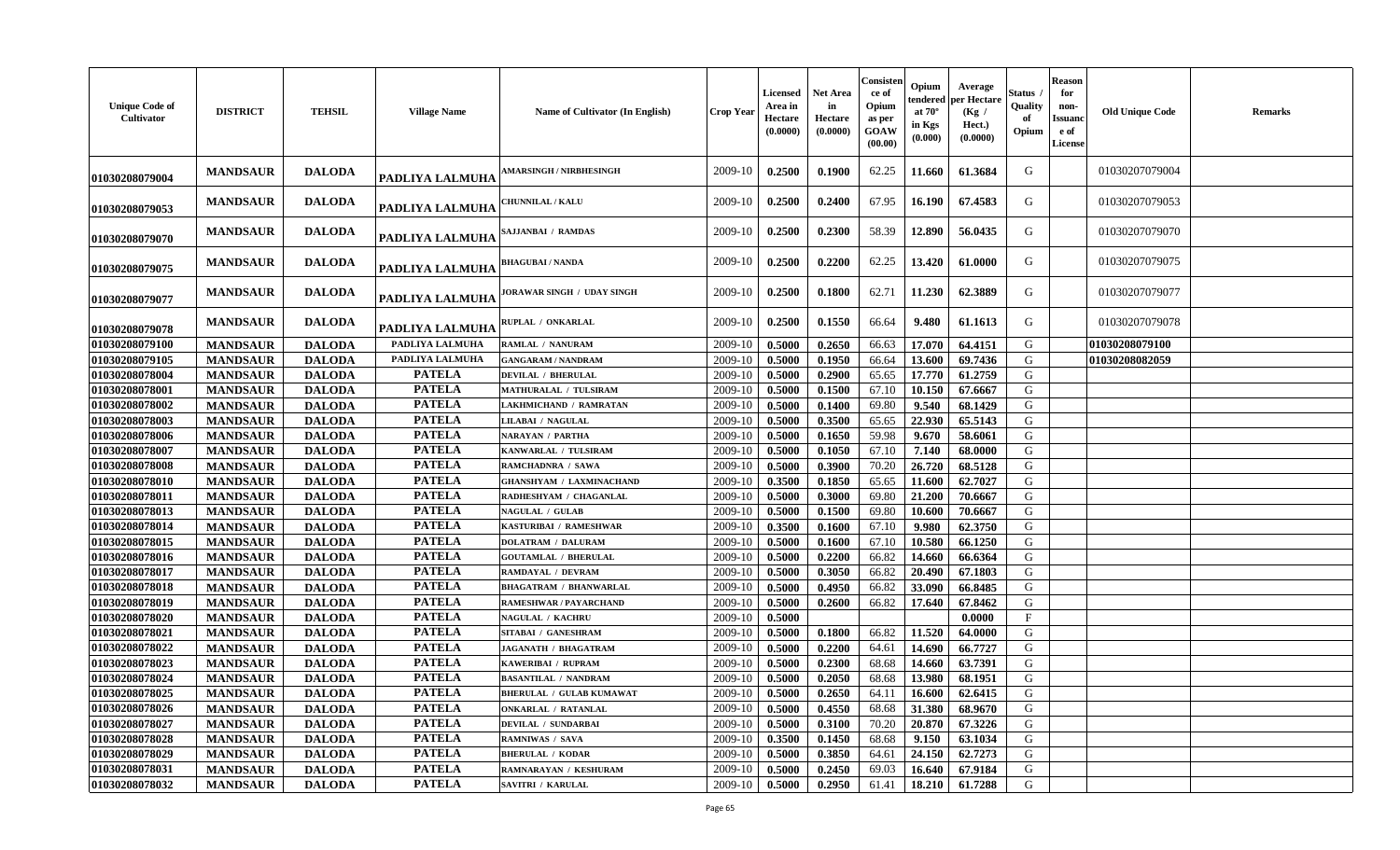| <b>MANDSAUR</b><br><b>DALODA</b><br>2009-10<br>0.2500<br>0.1900<br>62.25<br>61.3684<br>G<br>01030207079004<br><b>MARSINGH / NIRBHESINGH</b><br>11.660<br>PADLIYA LALMUHA<br>01030208079004<br>G<br><b>DALODA</b><br>0.2500<br>0.2400<br>67.95<br>67.4583<br><b>MANDSAUR</b><br>2009-10<br>16.190<br>01030207079053<br>'HUNNILAL / KALU<br>PADLIYA LALMUHA<br>01030208079053<br><b>MANDSAUR</b><br><b>DALODA</b><br>0.2500<br>0.2300<br>58.39<br>12.890<br>56.0435<br>2009-10<br>G<br>01030207079070<br>SAJJANBAI / RAMDAS<br>PADLIYA LALMUHA<br>01030208079070<br>0.2500<br>0.2200<br>62.25<br>61.0000<br><b>MANDSAUR</b><br><b>DALODA</b><br>2009-10<br>13.420<br>G<br>01030207079075<br>BHAGUBAI / NANDA<br>PADLIYA LALMUHA<br>01030208079075<br>2009-10<br>0.2500<br>0.1800<br>62.71<br>62.3889<br>G<br>01030207079077<br><b>MANDSAUR</b><br><b>DALODA</b><br>11.230<br>JORAWAR SINGH / UDAY SINGH<br>PADLIYA LALMUHA<br>01030208079077<br>0.1550<br>G<br>01030207079078<br><b>MANDSAUR</b><br><b>DALODA</b><br>2009-10<br>0.2500<br>66.64<br>9.480<br>61.1613<br>RUPLAL / ONKARLAL<br>PADLIYA LALMUHA<br>01030208079078<br>PADLIYA LALMUHA<br>0.5000<br>0.2650<br>17.070<br>64.4151<br>G<br>01030208079100<br><b>MANDSAUR</b><br><b>DALODA</b><br>2009-10<br>66.63<br>01030208079100<br>RAMLAL / NANURAM<br>PADLIYA LALMUHA<br>13.600<br>69.7436<br>01030208079105<br><b>MANDSAUR</b><br><b>DALODA</b><br>2009-10<br>0.5000<br>0.1950<br>66.64<br>G<br>01030208082059<br><b>GANGARAM / NANDRAM</b><br><b>MANDSAUR</b><br><b>DALODA</b><br><b>PATELA</b><br>0.5000<br>0.2900<br>17.770<br>61.2759<br>G<br>01030208078004<br>2009-10<br>65.65<br><b>DEVILAL / BHERULAL</b><br>01030208078001<br><b>PATELA</b><br>G<br><b>MANDSAUR</b><br><b>DALODA</b><br>2009-10<br>67.10<br>10.150<br>67.6667<br>0.5000<br>0.1500<br><b>MATHURALAL / TULSIRAM</b><br><b>PATELA</b><br>${\bf G}$<br>69.80<br>01030208078002<br><b>MANDSAUR</b><br><b>DALODA</b><br>2009-10<br>0.5000<br>0.1400<br>9.540<br>68.1429<br>LAKHMICHAND / RAMRATAN<br><b>PATELA</b><br>22.930<br>G<br>01030208078003<br><b>MANDSAUR</b><br><b>DALODA</b><br>2009-10<br>0.3500<br>65.65<br>65.5143<br>LILABAI / NAGULAL<br>0.5000<br><b>PATELA</b><br>01030208078006<br><b>MANDSAUR</b><br><b>DALODA</b><br>2009-10<br>0.5000<br>0.1650<br>59.98<br>9.670<br>58.6061<br>G<br><b>NARAYAN / PARTHA</b><br><b>PATELA</b><br>01030208078007<br>68.0000<br>G<br><b>MANDSAUR</b><br><b>DALODA</b><br>2009-10<br>0.5000<br>0.1050<br>67.10<br>7.140<br>KANWARLAL / TULSIRAM<br><b>PATELA</b><br>26.720<br>01030208078008<br><b>MANDSAUR</b><br><b>DALODA</b><br>2009-10<br>0.5000<br>0.3900<br>70.20<br>68.5128<br>G<br>RAMCHADNRA / SAWA<br><b>PATELA</b><br>G<br>01030208078010<br><b>MANDSAUR</b><br><b>DALODA</b><br>2009-10<br>0.3500<br>0.1850<br>65.65<br>11.600<br>62.7027<br>GHANSHYAM / LAXMINACHAND<br><b>MANDSAUR</b><br><b>PATELA</b><br>21.200<br>01030208078011<br><b>DALODA</b><br>2009-10<br>0.5000<br>0.3000<br>69.80<br>70.6667<br>G<br>RADHESHYAM / CHAGANLAL<br><b>PATELA</b><br>G<br>01030208078013<br><b>MANDSAUR</b><br><b>DALODA</b><br>2009-10<br>0.5000<br>0.1500<br>69.80<br>10.600<br>70.6667<br><b>NAGULAL / GULAB</b><br><b>PATELA</b><br>01030208078014<br>67.10<br>G<br><b>MANDSAUR</b><br><b>DALODA</b><br>2009-10<br>0.3500<br>9.980<br>62.3750<br>KASTURIBAI / RAMESHWAR<br>0.1600<br><b>PATELA</b><br><b>DALODA</b><br>0.5000<br>67.10<br>10.580<br>G<br>01030208078015<br><b>MANDSAUR</b><br>2009-10<br>0.1600<br>66.1250<br><b>DOLATRAM / DALURAM</b><br><b>PATELA</b><br>01030208078016<br><b>MANDSAUR</b><br><b>DALODA</b><br>2009-10<br>0.5000<br>0.2200<br>66.82<br>14.660<br>66.6364<br>G<br><b>GOUTAMLAL / BHERULAL</b><br><b>PATELA</b><br>0.3050<br>20.490<br>01030208078017<br><b>MANDSAUR</b><br><b>DALODA</b><br>2009-10<br>0.5000<br>66.82<br>67.1803<br>G<br>RAMDAYAL / DEVRAM<br><b>PATELA</b><br>2009-10<br>33.090<br>01030208078018<br><b>MANDSAUR</b><br><b>DALODA</b><br>0.5000<br>0.4950<br>66.82<br>66.8485<br>G<br><b>BHAGATRAM / BHANWARLAL</b><br><b>PATELA</b><br>01030208078019<br><b>MANDSAUR</b><br><b>DALODA</b><br>RAMESHWAR / PAYARCHAND<br>2009-10<br>0.5000<br>0.2600<br>66.82<br>17.640<br>67.8462<br>G<br><b>PATELA</b><br>01030208078020<br><b>MANDSAUR</b><br><b>DALODA</b><br>$\mathbf{F}$<br>2009-10<br>0.5000<br>0.0000<br><b>NAGULAL / KACHRU</b><br>01030208078021<br><b>PATELA</b><br>2009-10<br>66.82<br>11.520<br>G<br><b>MANDSAUR</b><br><b>DALODA</b><br>0.5000<br>0.1800<br>64.0000<br>SITABAI / GANESHRAM<br><b>PATELA</b><br>${\bf G}$<br>01030208078022<br>64.61<br>14.690<br><b>MANDSAUR</b><br><b>DALODA</b><br>2009-10<br>0.5000<br>0.2200<br>66.7727<br><b>JAGANATH / BHAGATRAM</b><br><b>PATELA</b><br>G<br>01030208078023<br><b>MANDSAUR</b><br><b>DALODA</b><br>2009-10<br>0.5000<br>0.2300<br>68.68<br>14.660<br>63.7391<br>KAWERIBAI / RUPRAM<br><b>PATELA</b><br>13.980<br>01030208078024<br><b>MANDSAUR</b><br><b>DALODA</b><br>0.5000<br>0.2050<br>68.68<br>68.1951<br>G<br>2009-10<br><b>BASANTILAL / NANDRAM</b><br><b>PATELA</b><br>01030208078025<br><b>MANDSAUR</b><br>2009-10<br>0.2650<br>62.6415<br><b>DALODA</b><br>0.5000<br>64.11<br>16.600<br>G<br><b>BHERULAL / GULAB KUMAWAT</b><br><b>PATELA</b><br>01030208078026<br><b>MANDSAUR</b><br><b>DALODA</b><br>2009-10<br>0.5000<br>0.4550<br>68.68<br>31.380<br>68.9670<br>G<br>ONKARLAL / RATANLAL<br><b>PATELA</b><br>67.3226<br>G<br>01030208078027<br><b>MANDSAUR</b><br><b>DALODA</b><br>DEVILAL / SUNDARBAI<br>2009-10<br>0.5000<br>0.3100<br>70.20<br>20.870<br>01030208078028<br><b>MANDSAUR</b><br><b>DALODA</b><br><b>PATELA</b><br>2009-10<br>0.3500<br>0.1450<br>68.68<br>9.150<br>63.1034<br>G<br><b>RAMNIWAS / SAVA</b><br><b>PATELA</b><br>01030208078029<br>24.150<br>62.7273<br>G<br><b>MANDSAUR</b><br><b>DALODA</b><br>2009-10<br>0.5000<br>0.3850<br>64.61<br><b>BHERULAL / KODAR</b><br><b>PATELA</b><br>01030208078031<br>G<br><b>DALODA</b><br>2009-10<br>0.2450<br>69.03<br>16.640<br>67.9184<br><b>MANDSAUR</b><br>RAMNARAYAN / KESHURAM<br>0.5000<br><b>PATELA</b><br>2009-10<br>61.41<br>18.210<br>G<br>01030208078032<br><b>SAVITRI / KARULAL</b> | <b>Unique Code of</b><br>Cultivator | <b>DISTRICT</b> | <b>TEHSIL</b> | <b>Village Name</b> | Name of Cultivator (In English) | <b>Crop Year</b> | <b>Licensed</b><br>Area in<br>Hectare<br>(0.0000) | <b>Net Area</b><br>in<br>Hectare<br>(0.0000) | Consisten<br>ce of<br>Opium<br>as per<br><b>GOAW</b><br>(00.00) | Opium<br>endered<br>at $70^\circ$<br>in Kgs<br>(0.000) | Average<br>per Hectare<br>(Kg)<br>Hect.)<br>(0.0000) | Status<br>Quality<br>of<br>Opium | <b>Reason</b><br>for<br>non-<br><b>Issuanc</b><br>e of<br><b>License</b> | <b>Old Unique Code</b> | <b>Remarks</b> |
|----------------------------------------------------------------------------------------------------------------------------------------------------------------------------------------------------------------------------------------------------------------------------------------------------------------------------------------------------------------------------------------------------------------------------------------------------------------------------------------------------------------------------------------------------------------------------------------------------------------------------------------------------------------------------------------------------------------------------------------------------------------------------------------------------------------------------------------------------------------------------------------------------------------------------------------------------------------------------------------------------------------------------------------------------------------------------------------------------------------------------------------------------------------------------------------------------------------------------------------------------------------------------------------------------------------------------------------------------------------------------------------------------------------------------------------------------------------------------------------------------------------------------------------------------------------------------------------------------------------------------------------------------------------------------------------------------------------------------------------------------------------------------------------------------------------------------------------------------------------------------------------------------------------------------------------------------------------------------------------------------------------------------------------------------------------------------------------------------------------------------------------------------------------------------------------------------------------------------------------------------------------------------------------------------------------------------------------------------------------------------------------------------------------------------------------------------------------------------------------------------------------------------------------------------------------------------------------------------------------------------------------------------------------------------------------------------------------------------------------------------------------------------------------------------------------------------------------------------------------------------------------------------------------------------------------------------------------------------------------------------------------------------------------------------------------------------------------------------------------------------------------------------------------------------------------------------------------------------------------------------------------------------------------------------------------------------------------------------------------------------------------------------------------------------------------------------------------------------------------------------------------------------------------------------------------------------------------------------------------------------------------------------------------------------------------------------------------------------------------------------------------------------------------------------------------------------------------------------------------------------------------------------------------------------------------------------------------------------------------------------------------------------------------------------------------------------------------------------------------------------------------------------------------------------------------------------------------------------------------------------------------------------------------------------------------------------------------------------------------------------------------------------------------------------------------------------------------------------------------------------------------------------------------------------------------------------------------------------------------------------------------------------------------------------------------------------------------------------------------------------------------------------------------------------------------------------------------------------------------------------------------------------------------------------------------------------------------------------------------------------------------------------------------------------------------------------------------------------------------------------------------------------------------------------------------------------------------------------------------------------------------------------------------------------------------------------------------------------------------------------------------------------------------------------------------------------------------------------------------------------------------------------------------------------------------------------------------------------------------------------------------------------------------------------------------------------------------------------------------------------------------------------------------------------------------------------------------------------------------------------------------------------------------------------------------------------------------------------------------------------------------------------------------------------------------------------------------------------------------------------------------------------------------------------------------------------|-------------------------------------|-----------------|---------------|---------------------|---------------------------------|------------------|---------------------------------------------------|----------------------------------------------|-----------------------------------------------------------------|--------------------------------------------------------|------------------------------------------------------|----------------------------------|--------------------------------------------------------------------------|------------------------|----------------|
|                                                                                                                                                                                                                                                                                                                                                                                                                                                                                                                                                                                                                                                                                                                                                                                                                                                                                                                                                                                                                                                                                                                                                                                                                                                                                                                                                                                                                                                                                                                                                                                                                                                                                                                                                                                                                                                                                                                                                                                                                                                                                                                                                                                                                                                                                                                                                                                                                                                                                                                                                                                                                                                                                                                                                                                                                                                                                                                                                                                                                                                                                                                                                                                                                                                                                                                                                                                                                                                                                                                                                                                                                                                                                                                                                                                                                                                                                                                                                                                                                                                                                                                                                                                                                                                                                                                                                                                                                                                                                                                                                                                                                                                                                                                                                                                                                                                                                                                                                                                                                                                                                                                                                                                                                                                                                                                                                                                                                                                                                                                                                                                                                                                                                                                                                                                                                                                                                                                                                                                                                                                                                                                                                                                                    |                                     |                 |               |                     |                                 |                  |                                                   |                                              |                                                                 |                                                        |                                                      |                                  |                                                                          |                        |                |
|                                                                                                                                                                                                                                                                                                                                                                                                                                                                                                                                                                                                                                                                                                                                                                                                                                                                                                                                                                                                                                                                                                                                                                                                                                                                                                                                                                                                                                                                                                                                                                                                                                                                                                                                                                                                                                                                                                                                                                                                                                                                                                                                                                                                                                                                                                                                                                                                                                                                                                                                                                                                                                                                                                                                                                                                                                                                                                                                                                                                                                                                                                                                                                                                                                                                                                                                                                                                                                                                                                                                                                                                                                                                                                                                                                                                                                                                                                                                                                                                                                                                                                                                                                                                                                                                                                                                                                                                                                                                                                                                                                                                                                                                                                                                                                                                                                                                                                                                                                                                                                                                                                                                                                                                                                                                                                                                                                                                                                                                                                                                                                                                                                                                                                                                                                                                                                                                                                                                                                                                                                                                                                                                                                                                    |                                     |                 |               |                     |                                 |                  |                                                   |                                              |                                                                 |                                                        |                                                      |                                  |                                                                          |                        |                |
|                                                                                                                                                                                                                                                                                                                                                                                                                                                                                                                                                                                                                                                                                                                                                                                                                                                                                                                                                                                                                                                                                                                                                                                                                                                                                                                                                                                                                                                                                                                                                                                                                                                                                                                                                                                                                                                                                                                                                                                                                                                                                                                                                                                                                                                                                                                                                                                                                                                                                                                                                                                                                                                                                                                                                                                                                                                                                                                                                                                                                                                                                                                                                                                                                                                                                                                                                                                                                                                                                                                                                                                                                                                                                                                                                                                                                                                                                                                                                                                                                                                                                                                                                                                                                                                                                                                                                                                                                                                                                                                                                                                                                                                                                                                                                                                                                                                                                                                                                                                                                                                                                                                                                                                                                                                                                                                                                                                                                                                                                                                                                                                                                                                                                                                                                                                                                                                                                                                                                                                                                                                                                                                                                                                                    |                                     |                 |               |                     |                                 |                  |                                                   |                                              |                                                                 |                                                        |                                                      |                                  |                                                                          |                        |                |
|                                                                                                                                                                                                                                                                                                                                                                                                                                                                                                                                                                                                                                                                                                                                                                                                                                                                                                                                                                                                                                                                                                                                                                                                                                                                                                                                                                                                                                                                                                                                                                                                                                                                                                                                                                                                                                                                                                                                                                                                                                                                                                                                                                                                                                                                                                                                                                                                                                                                                                                                                                                                                                                                                                                                                                                                                                                                                                                                                                                                                                                                                                                                                                                                                                                                                                                                                                                                                                                                                                                                                                                                                                                                                                                                                                                                                                                                                                                                                                                                                                                                                                                                                                                                                                                                                                                                                                                                                                                                                                                                                                                                                                                                                                                                                                                                                                                                                                                                                                                                                                                                                                                                                                                                                                                                                                                                                                                                                                                                                                                                                                                                                                                                                                                                                                                                                                                                                                                                                                                                                                                                                                                                                                                                    |                                     |                 |               |                     |                                 |                  |                                                   |                                              |                                                                 |                                                        |                                                      |                                  |                                                                          |                        |                |
|                                                                                                                                                                                                                                                                                                                                                                                                                                                                                                                                                                                                                                                                                                                                                                                                                                                                                                                                                                                                                                                                                                                                                                                                                                                                                                                                                                                                                                                                                                                                                                                                                                                                                                                                                                                                                                                                                                                                                                                                                                                                                                                                                                                                                                                                                                                                                                                                                                                                                                                                                                                                                                                                                                                                                                                                                                                                                                                                                                                                                                                                                                                                                                                                                                                                                                                                                                                                                                                                                                                                                                                                                                                                                                                                                                                                                                                                                                                                                                                                                                                                                                                                                                                                                                                                                                                                                                                                                                                                                                                                                                                                                                                                                                                                                                                                                                                                                                                                                                                                                                                                                                                                                                                                                                                                                                                                                                                                                                                                                                                                                                                                                                                                                                                                                                                                                                                                                                                                                                                                                                                                                                                                                                                                    |                                     |                 |               |                     |                                 |                  |                                                   |                                              |                                                                 |                                                        |                                                      |                                  |                                                                          |                        |                |
|                                                                                                                                                                                                                                                                                                                                                                                                                                                                                                                                                                                                                                                                                                                                                                                                                                                                                                                                                                                                                                                                                                                                                                                                                                                                                                                                                                                                                                                                                                                                                                                                                                                                                                                                                                                                                                                                                                                                                                                                                                                                                                                                                                                                                                                                                                                                                                                                                                                                                                                                                                                                                                                                                                                                                                                                                                                                                                                                                                                                                                                                                                                                                                                                                                                                                                                                                                                                                                                                                                                                                                                                                                                                                                                                                                                                                                                                                                                                                                                                                                                                                                                                                                                                                                                                                                                                                                                                                                                                                                                                                                                                                                                                                                                                                                                                                                                                                                                                                                                                                                                                                                                                                                                                                                                                                                                                                                                                                                                                                                                                                                                                                                                                                                                                                                                                                                                                                                                                                                                                                                                                                                                                                                                                    |                                     |                 |               |                     |                                 |                  |                                                   |                                              |                                                                 |                                                        |                                                      |                                  |                                                                          |                        |                |
|                                                                                                                                                                                                                                                                                                                                                                                                                                                                                                                                                                                                                                                                                                                                                                                                                                                                                                                                                                                                                                                                                                                                                                                                                                                                                                                                                                                                                                                                                                                                                                                                                                                                                                                                                                                                                                                                                                                                                                                                                                                                                                                                                                                                                                                                                                                                                                                                                                                                                                                                                                                                                                                                                                                                                                                                                                                                                                                                                                                                                                                                                                                                                                                                                                                                                                                                                                                                                                                                                                                                                                                                                                                                                                                                                                                                                                                                                                                                                                                                                                                                                                                                                                                                                                                                                                                                                                                                                                                                                                                                                                                                                                                                                                                                                                                                                                                                                                                                                                                                                                                                                                                                                                                                                                                                                                                                                                                                                                                                                                                                                                                                                                                                                                                                                                                                                                                                                                                                                                                                                                                                                                                                                                                                    |                                     |                 |               |                     |                                 |                  |                                                   |                                              |                                                                 |                                                        |                                                      |                                  |                                                                          |                        |                |
|                                                                                                                                                                                                                                                                                                                                                                                                                                                                                                                                                                                                                                                                                                                                                                                                                                                                                                                                                                                                                                                                                                                                                                                                                                                                                                                                                                                                                                                                                                                                                                                                                                                                                                                                                                                                                                                                                                                                                                                                                                                                                                                                                                                                                                                                                                                                                                                                                                                                                                                                                                                                                                                                                                                                                                                                                                                                                                                                                                                                                                                                                                                                                                                                                                                                                                                                                                                                                                                                                                                                                                                                                                                                                                                                                                                                                                                                                                                                                                                                                                                                                                                                                                                                                                                                                                                                                                                                                                                                                                                                                                                                                                                                                                                                                                                                                                                                                                                                                                                                                                                                                                                                                                                                                                                                                                                                                                                                                                                                                                                                                                                                                                                                                                                                                                                                                                                                                                                                                                                                                                                                                                                                                                                                    |                                     |                 |               |                     |                                 |                  |                                                   |                                              |                                                                 |                                                        |                                                      |                                  |                                                                          |                        |                |
|                                                                                                                                                                                                                                                                                                                                                                                                                                                                                                                                                                                                                                                                                                                                                                                                                                                                                                                                                                                                                                                                                                                                                                                                                                                                                                                                                                                                                                                                                                                                                                                                                                                                                                                                                                                                                                                                                                                                                                                                                                                                                                                                                                                                                                                                                                                                                                                                                                                                                                                                                                                                                                                                                                                                                                                                                                                                                                                                                                                                                                                                                                                                                                                                                                                                                                                                                                                                                                                                                                                                                                                                                                                                                                                                                                                                                                                                                                                                                                                                                                                                                                                                                                                                                                                                                                                                                                                                                                                                                                                                                                                                                                                                                                                                                                                                                                                                                                                                                                                                                                                                                                                                                                                                                                                                                                                                                                                                                                                                                                                                                                                                                                                                                                                                                                                                                                                                                                                                                                                                                                                                                                                                                                                                    |                                     |                 |               |                     |                                 |                  |                                                   |                                              |                                                                 |                                                        |                                                      |                                  |                                                                          |                        |                |
|                                                                                                                                                                                                                                                                                                                                                                                                                                                                                                                                                                                                                                                                                                                                                                                                                                                                                                                                                                                                                                                                                                                                                                                                                                                                                                                                                                                                                                                                                                                                                                                                                                                                                                                                                                                                                                                                                                                                                                                                                                                                                                                                                                                                                                                                                                                                                                                                                                                                                                                                                                                                                                                                                                                                                                                                                                                                                                                                                                                                                                                                                                                                                                                                                                                                                                                                                                                                                                                                                                                                                                                                                                                                                                                                                                                                                                                                                                                                                                                                                                                                                                                                                                                                                                                                                                                                                                                                                                                                                                                                                                                                                                                                                                                                                                                                                                                                                                                                                                                                                                                                                                                                                                                                                                                                                                                                                                                                                                                                                                                                                                                                                                                                                                                                                                                                                                                                                                                                                                                                                                                                                                                                                                                                    |                                     |                 |               |                     |                                 |                  |                                                   |                                              |                                                                 |                                                        |                                                      |                                  |                                                                          |                        |                |
|                                                                                                                                                                                                                                                                                                                                                                                                                                                                                                                                                                                                                                                                                                                                                                                                                                                                                                                                                                                                                                                                                                                                                                                                                                                                                                                                                                                                                                                                                                                                                                                                                                                                                                                                                                                                                                                                                                                                                                                                                                                                                                                                                                                                                                                                                                                                                                                                                                                                                                                                                                                                                                                                                                                                                                                                                                                                                                                                                                                                                                                                                                                                                                                                                                                                                                                                                                                                                                                                                                                                                                                                                                                                                                                                                                                                                                                                                                                                                                                                                                                                                                                                                                                                                                                                                                                                                                                                                                                                                                                                                                                                                                                                                                                                                                                                                                                                                                                                                                                                                                                                                                                                                                                                                                                                                                                                                                                                                                                                                                                                                                                                                                                                                                                                                                                                                                                                                                                                                                                                                                                                                                                                                                                                    |                                     |                 |               |                     |                                 |                  |                                                   |                                              |                                                                 |                                                        |                                                      |                                  |                                                                          |                        |                |
|                                                                                                                                                                                                                                                                                                                                                                                                                                                                                                                                                                                                                                                                                                                                                                                                                                                                                                                                                                                                                                                                                                                                                                                                                                                                                                                                                                                                                                                                                                                                                                                                                                                                                                                                                                                                                                                                                                                                                                                                                                                                                                                                                                                                                                                                                                                                                                                                                                                                                                                                                                                                                                                                                                                                                                                                                                                                                                                                                                                                                                                                                                                                                                                                                                                                                                                                                                                                                                                                                                                                                                                                                                                                                                                                                                                                                                                                                                                                                                                                                                                                                                                                                                                                                                                                                                                                                                                                                                                                                                                                                                                                                                                                                                                                                                                                                                                                                                                                                                                                                                                                                                                                                                                                                                                                                                                                                                                                                                                                                                                                                                                                                                                                                                                                                                                                                                                                                                                                                                                                                                                                                                                                                                                                    |                                     |                 |               |                     |                                 |                  |                                                   |                                              |                                                                 |                                                        |                                                      |                                  |                                                                          |                        |                |
|                                                                                                                                                                                                                                                                                                                                                                                                                                                                                                                                                                                                                                                                                                                                                                                                                                                                                                                                                                                                                                                                                                                                                                                                                                                                                                                                                                                                                                                                                                                                                                                                                                                                                                                                                                                                                                                                                                                                                                                                                                                                                                                                                                                                                                                                                                                                                                                                                                                                                                                                                                                                                                                                                                                                                                                                                                                                                                                                                                                                                                                                                                                                                                                                                                                                                                                                                                                                                                                                                                                                                                                                                                                                                                                                                                                                                                                                                                                                                                                                                                                                                                                                                                                                                                                                                                                                                                                                                                                                                                                                                                                                                                                                                                                                                                                                                                                                                                                                                                                                                                                                                                                                                                                                                                                                                                                                                                                                                                                                                                                                                                                                                                                                                                                                                                                                                                                                                                                                                                                                                                                                                                                                                                                                    |                                     |                 |               |                     |                                 |                  |                                                   |                                              |                                                                 |                                                        |                                                      |                                  |                                                                          |                        |                |
|                                                                                                                                                                                                                                                                                                                                                                                                                                                                                                                                                                                                                                                                                                                                                                                                                                                                                                                                                                                                                                                                                                                                                                                                                                                                                                                                                                                                                                                                                                                                                                                                                                                                                                                                                                                                                                                                                                                                                                                                                                                                                                                                                                                                                                                                                                                                                                                                                                                                                                                                                                                                                                                                                                                                                                                                                                                                                                                                                                                                                                                                                                                                                                                                                                                                                                                                                                                                                                                                                                                                                                                                                                                                                                                                                                                                                                                                                                                                                                                                                                                                                                                                                                                                                                                                                                                                                                                                                                                                                                                                                                                                                                                                                                                                                                                                                                                                                                                                                                                                                                                                                                                                                                                                                                                                                                                                                                                                                                                                                                                                                                                                                                                                                                                                                                                                                                                                                                                                                                                                                                                                                                                                                                                                    |                                     |                 |               |                     |                                 |                  |                                                   |                                              |                                                                 |                                                        |                                                      |                                  |                                                                          |                        |                |
|                                                                                                                                                                                                                                                                                                                                                                                                                                                                                                                                                                                                                                                                                                                                                                                                                                                                                                                                                                                                                                                                                                                                                                                                                                                                                                                                                                                                                                                                                                                                                                                                                                                                                                                                                                                                                                                                                                                                                                                                                                                                                                                                                                                                                                                                                                                                                                                                                                                                                                                                                                                                                                                                                                                                                                                                                                                                                                                                                                                                                                                                                                                                                                                                                                                                                                                                                                                                                                                                                                                                                                                                                                                                                                                                                                                                                                                                                                                                                                                                                                                                                                                                                                                                                                                                                                                                                                                                                                                                                                                                                                                                                                                                                                                                                                                                                                                                                                                                                                                                                                                                                                                                                                                                                                                                                                                                                                                                                                                                                                                                                                                                                                                                                                                                                                                                                                                                                                                                                                                                                                                                                                                                                                                                    |                                     |                 |               |                     |                                 |                  |                                                   |                                              |                                                                 |                                                        |                                                      |                                  |                                                                          |                        |                |
|                                                                                                                                                                                                                                                                                                                                                                                                                                                                                                                                                                                                                                                                                                                                                                                                                                                                                                                                                                                                                                                                                                                                                                                                                                                                                                                                                                                                                                                                                                                                                                                                                                                                                                                                                                                                                                                                                                                                                                                                                                                                                                                                                                                                                                                                                                                                                                                                                                                                                                                                                                                                                                                                                                                                                                                                                                                                                                                                                                                                                                                                                                                                                                                                                                                                                                                                                                                                                                                                                                                                                                                                                                                                                                                                                                                                                                                                                                                                                                                                                                                                                                                                                                                                                                                                                                                                                                                                                                                                                                                                                                                                                                                                                                                                                                                                                                                                                                                                                                                                                                                                                                                                                                                                                                                                                                                                                                                                                                                                                                                                                                                                                                                                                                                                                                                                                                                                                                                                                                                                                                                                                                                                                                                                    |                                     |                 |               |                     |                                 |                  |                                                   |                                              |                                                                 |                                                        |                                                      |                                  |                                                                          |                        |                |
|                                                                                                                                                                                                                                                                                                                                                                                                                                                                                                                                                                                                                                                                                                                                                                                                                                                                                                                                                                                                                                                                                                                                                                                                                                                                                                                                                                                                                                                                                                                                                                                                                                                                                                                                                                                                                                                                                                                                                                                                                                                                                                                                                                                                                                                                                                                                                                                                                                                                                                                                                                                                                                                                                                                                                                                                                                                                                                                                                                                                                                                                                                                                                                                                                                                                                                                                                                                                                                                                                                                                                                                                                                                                                                                                                                                                                                                                                                                                                                                                                                                                                                                                                                                                                                                                                                                                                                                                                                                                                                                                                                                                                                                                                                                                                                                                                                                                                                                                                                                                                                                                                                                                                                                                                                                                                                                                                                                                                                                                                                                                                                                                                                                                                                                                                                                                                                                                                                                                                                                                                                                                                                                                                                                                    |                                     |                 |               |                     |                                 |                  |                                                   |                                              |                                                                 |                                                        |                                                      |                                  |                                                                          |                        |                |
|                                                                                                                                                                                                                                                                                                                                                                                                                                                                                                                                                                                                                                                                                                                                                                                                                                                                                                                                                                                                                                                                                                                                                                                                                                                                                                                                                                                                                                                                                                                                                                                                                                                                                                                                                                                                                                                                                                                                                                                                                                                                                                                                                                                                                                                                                                                                                                                                                                                                                                                                                                                                                                                                                                                                                                                                                                                                                                                                                                                                                                                                                                                                                                                                                                                                                                                                                                                                                                                                                                                                                                                                                                                                                                                                                                                                                                                                                                                                                                                                                                                                                                                                                                                                                                                                                                                                                                                                                                                                                                                                                                                                                                                                                                                                                                                                                                                                                                                                                                                                                                                                                                                                                                                                                                                                                                                                                                                                                                                                                                                                                                                                                                                                                                                                                                                                                                                                                                                                                                                                                                                                                                                                                                                                    |                                     |                 |               |                     |                                 |                  |                                                   |                                              |                                                                 |                                                        |                                                      |                                  |                                                                          |                        |                |
|                                                                                                                                                                                                                                                                                                                                                                                                                                                                                                                                                                                                                                                                                                                                                                                                                                                                                                                                                                                                                                                                                                                                                                                                                                                                                                                                                                                                                                                                                                                                                                                                                                                                                                                                                                                                                                                                                                                                                                                                                                                                                                                                                                                                                                                                                                                                                                                                                                                                                                                                                                                                                                                                                                                                                                                                                                                                                                                                                                                                                                                                                                                                                                                                                                                                                                                                                                                                                                                                                                                                                                                                                                                                                                                                                                                                                                                                                                                                                                                                                                                                                                                                                                                                                                                                                                                                                                                                                                                                                                                                                                                                                                                                                                                                                                                                                                                                                                                                                                                                                                                                                                                                                                                                                                                                                                                                                                                                                                                                                                                                                                                                                                                                                                                                                                                                                                                                                                                                                                                                                                                                                                                                                                                                    |                                     |                 |               |                     |                                 |                  |                                                   |                                              |                                                                 |                                                        |                                                      |                                  |                                                                          |                        |                |
|                                                                                                                                                                                                                                                                                                                                                                                                                                                                                                                                                                                                                                                                                                                                                                                                                                                                                                                                                                                                                                                                                                                                                                                                                                                                                                                                                                                                                                                                                                                                                                                                                                                                                                                                                                                                                                                                                                                                                                                                                                                                                                                                                                                                                                                                                                                                                                                                                                                                                                                                                                                                                                                                                                                                                                                                                                                                                                                                                                                                                                                                                                                                                                                                                                                                                                                                                                                                                                                                                                                                                                                                                                                                                                                                                                                                                                                                                                                                                                                                                                                                                                                                                                                                                                                                                                                                                                                                                                                                                                                                                                                                                                                                                                                                                                                                                                                                                                                                                                                                                                                                                                                                                                                                                                                                                                                                                                                                                                                                                                                                                                                                                                                                                                                                                                                                                                                                                                                                                                                                                                                                                                                                                                                                    |                                     |                 |               |                     |                                 |                  |                                                   |                                              |                                                                 |                                                        |                                                      |                                  |                                                                          |                        |                |
|                                                                                                                                                                                                                                                                                                                                                                                                                                                                                                                                                                                                                                                                                                                                                                                                                                                                                                                                                                                                                                                                                                                                                                                                                                                                                                                                                                                                                                                                                                                                                                                                                                                                                                                                                                                                                                                                                                                                                                                                                                                                                                                                                                                                                                                                                                                                                                                                                                                                                                                                                                                                                                                                                                                                                                                                                                                                                                                                                                                                                                                                                                                                                                                                                                                                                                                                                                                                                                                                                                                                                                                                                                                                                                                                                                                                                                                                                                                                                                                                                                                                                                                                                                                                                                                                                                                                                                                                                                                                                                                                                                                                                                                                                                                                                                                                                                                                                                                                                                                                                                                                                                                                                                                                                                                                                                                                                                                                                                                                                                                                                                                                                                                                                                                                                                                                                                                                                                                                                                                                                                                                                                                                                                                                    |                                     |                 |               |                     |                                 |                  |                                                   |                                              |                                                                 |                                                        |                                                      |                                  |                                                                          |                        |                |
|                                                                                                                                                                                                                                                                                                                                                                                                                                                                                                                                                                                                                                                                                                                                                                                                                                                                                                                                                                                                                                                                                                                                                                                                                                                                                                                                                                                                                                                                                                                                                                                                                                                                                                                                                                                                                                                                                                                                                                                                                                                                                                                                                                                                                                                                                                                                                                                                                                                                                                                                                                                                                                                                                                                                                                                                                                                                                                                                                                                                                                                                                                                                                                                                                                                                                                                                                                                                                                                                                                                                                                                                                                                                                                                                                                                                                                                                                                                                                                                                                                                                                                                                                                                                                                                                                                                                                                                                                                                                                                                                                                                                                                                                                                                                                                                                                                                                                                                                                                                                                                                                                                                                                                                                                                                                                                                                                                                                                                                                                                                                                                                                                                                                                                                                                                                                                                                                                                                                                                                                                                                                                                                                                                                                    |                                     |                 |               |                     |                                 |                  |                                                   |                                              |                                                                 |                                                        |                                                      |                                  |                                                                          |                        |                |
|                                                                                                                                                                                                                                                                                                                                                                                                                                                                                                                                                                                                                                                                                                                                                                                                                                                                                                                                                                                                                                                                                                                                                                                                                                                                                                                                                                                                                                                                                                                                                                                                                                                                                                                                                                                                                                                                                                                                                                                                                                                                                                                                                                                                                                                                                                                                                                                                                                                                                                                                                                                                                                                                                                                                                                                                                                                                                                                                                                                                                                                                                                                                                                                                                                                                                                                                                                                                                                                                                                                                                                                                                                                                                                                                                                                                                                                                                                                                                                                                                                                                                                                                                                                                                                                                                                                                                                                                                                                                                                                                                                                                                                                                                                                                                                                                                                                                                                                                                                                                                                                                                                                                                                                                                                                                                                                                                                                                                                                                                                                                                                                                                                                                                                                                                                                                                                                                                                                                                                                                                                                                                                                                                                                                    |                                     |                 |               |                     |                                 |                  |                                                   |                                              |                                                                 |                                                        |                                                      |                                  |                                                                          |                        |                |
|                                                                                                                                                                                                                                                                                                                                                                                                                                                                                                                                                                                                                                                                                                                                                                                                                                                                                                                                                                                                                                                                                                                                                                                                                                                                                                                                                                                                                                                                                                                                                                                                                                                                                                                                                                                                                                                                                                                                                                                                                                                                                                                                                                                                                                                                                                                                                                                                                                                                                                                                                                                                                                                                                                                                                                                                                                                                                                                                                                                                                                                                                                                                                                                                                                                                                                                                                                                                                                                                                                                                                                                                                                                                                                                                                                                                                                                                                                                                                                                                                                                                                                                                                                                                                                                                                                                                                                                                                                                                                                                                                                                                                                                                                                                                                                                                                                                                                                                                                                                                                                                                                                                                                                                                                                                                                                                                                                                                                                                                                                                                                                                                                                                                                                                                                                                                                                                                                                                                                                                                                                                                                                                                                                                                    |                                     |                 |               |                     |                                 |                  |                                                   |                                              |                                                                 |                                                        |                                                      |                                  |                                                                          |                        |                |
|                                                                                                                                                                                                                                                                                                                                                                                                                                                                                                                                                                                                                                                                                                                                                                                                                                                                                                                                                                                                                                                                                                                                                                                                                                                                                                                                                                                                                                                                                                                                                                                                                                                                                                                                                                                                                                                                                                                                                                                                                                                                                                                                                                                                                                                                                                                                                                                                                                                                                                                                                                                                                                                                                                                                                                                                                                                                                                                                                                                                                                                                                                                                                                                                                                                                                                                                                                                                                                                                                                                                                                                                                                                                                                                                                                                                                                                                                                                                                                                                                                                                                                                                                                                                                                                                                                                                                                                                                                                                                                                                                                                                                                                                                                                                                                                                                                                                                                                                                                                                                                                                                                                                                                                                                                                                                                                                                                                                                                                                                                                                                                                                                                                                                                                                                                                                                                                                                                                                                                                                                                                                                                                                                                                                    |                                     |                 |               |                     |                                 |                  |                                                   |                                              |                                                                 |                                                        |                                                      |                                  |                                                                          |                        |                |
|                                                                                                                                                                                                                                                                                                                                                                                                                                                                                                                                                                                                                                                                                                                                                                                                                                                                                                                                                                                                                                                                                                                                                                                                                                                                                                                                                                                                                                                                                                                                                                                                                                                                                                                                                                                                                                                                                                                                                                                                                                                                                                                                                                                                                                                                                                                                                                                                                                                                                                                                                                                                                                                                                                                                                                                                                                                                                                                                                                                                                                                                                                                                                                                                                                                                                                                                                                                                                                                                                                                                                                                                                                                                                                                                                                                                                                                                                                                                                                                                                                                                                                                                                                                                                                                                                                                                                                                                                                                                                                                                                                                                                                                                                                                                                                                                                                                                                                                                                                                                                                                                                                                                                                                                                                                                                                                                                                                                                                                                                                                                                                                                                                                                                                                                                                                                                                                                                                                                                                                                                                                                                                                                                                                                    |                                     |                 |               |                     |                                 |                  |                                                   |                                              |                                                                 |                                                        |                                                      |                                  |                                                                          |                        |                |
|                                                                                                                                                                                                                                                                                                                                                                                                                                                                                                                                                                                                                                                                                                                                                                                                                                                                                                                                                                                                                                                                                                                                                                                                                                                                                                                                                                                                                                                                                                                                                                                                                                                                                                                                                                                                                                                                                                                                                                                                                                                                                                                                                                                                                                                                                                                                                                                                                                                                                                                                                                                                                                                                                                                                                                                                                                                                                                                                                                                                                                                                                                                                                                                                                                                                                                                                                                                                                                                                                                                                                                                                                                                                                                                                                                                                                                                                                                                                                                                                                                                                                                                                                                                                                                                                                                                                                                                                                                                                                                                                                                                                                                                                                                                                                                                                                                                                                                                                                                                                                                                                                                                                                                                                                                                                                                                                                                                                                                                                                                                                                                                                                                                                                                                                                                                                                                                                                                                                                                                                                                                                                                                                                                                                    |                                     |                 |               |                     |                                 |                  |                                                   |                                              |                                                                 |                                                        |                                                      |                                  |                                                                          |                        |                |
|                                                                                                                                                                                                                                                                                                                                                                                                                                                                                                                                                                                                                                                                                                                                                                                                                                                                                                                                                                                                                                                                                                                                                                                                                                                                                                                                                                                                                                                                                                                                                                                                                                                                                                                                                                                                                                                                                                                                                                                                                                                                                                                                                                                                                                                                                                                                                                                                                                                                                                                                                                                                                                                                                                                                                                                                                                                                                                                                                                                                                                                                                                                                                                                                                                                                                                                                                                                                                                                                                                                                                                                                                                                                                                                                                                                                                                                                                                                                                                                                                                                                                                                                                                                                                                                                                                                                                                                                                                                                                                                                                                                                                                                                                                                                                                                                                                                                                                                                                                                                                                                                                                                                                                                                                                                                                                                                                                                                                                                                                                                                                                                                                                                                                                                                                                                                                                                                                                                                                                                                                                                                                                                                                                                                    |                                     |                 |               |                     |                                 |                  |                                                   |                                              |                                                                 |                                                        |                                                      |                                  |                                                                          |                        |                |
|                                                                                                                                                                                                                                                                                                                                                                                                                                                                                                                                                                                                                                                                                                                                                                                                                                                                                                                                                                                                                                                                                                                                                                                                                                                                                                                                                                                                                                                                                                                                                                                                                                                                                                                                                                                                                                                                                                                                                                                                                                                                                                                                                                                                                                                                                                                                                                                                                                                                                                                                                                                                                                                                                                                                                                                                                                                                                                                                                                                                                                                                                                                                                                                                                                                                                                                                                                                                                                                                                                                                                                                                                                                                                                                                                                                                                                                                                                                                                                                                                                                                                                                                                                                                                                                                                                                                                                                                                                                                                                                                                                                                                                                                                                                                                                                                                                                                                                                                                                                                                                                                                                                                                                                                                                                                                                                                                                                                                                                                                                                                                                                                                                                                                                                                                                                                                                                                                                                                                                                                                                                                                                                                                                                                    |                                     |                 |               |                     |                                 |                  |                                                   |                                              |                                                                 |                                                        |                                                      |                                  |                                                                          |                        |                |
|                                                                                                                                                                                                                                                                                                                                                                                                                                                                                                                                                                                                                                                                                                                                                                                                                                                                                                                                                                                                                                                                                                                                                                                                                                                                                                                                                                                                                                                                                                                                                                                                                                                                                                                                                                                                                                                                                                                                                                                                                                                                                                                                                                                                                                                                                                                                                                                                                                                                                                                                                                                                                                                                                                                                                                                                                                                                                                                                                                                                                                                                                                                                                                                                                                                                                                                                                                                                                                                                                                                                                                                                                                                                                                                                                                                                                                                                                                                                                                                                                                                                                                                                                                                                                                                                                                                                                                                                                                                                                                                                                                                                                                                                                                                                                                                                                                                                                                                                                                                                                                                                                                                                                                                                                                                                                                                                                                                                                                                                                                                                                                                                                                                                                                                                                                                                                                                                                                                                                                                                                                                                                                                                                                                                    |                                     |                 |               |                     |                                 |                  |                                                   |                                              |                                                                 |                                                        |                                                      |                                  |                                                                          |                        |                |
|                                                                                                                                                                                                                                                                                                                                                                                                                                                                                                                                                                                                                                                                                                                                                                                                                                                                                                                                                                                                                                                                                                                                                                                                                                                                                                                                                                                                                                                                                                                                                                                                                                                                                                                                                                                                                                                                                                                                                                                                                                                                                                                                                                                                                                                                                                                                                                                                                                                                                                                                                                                                                                                                                                                                                                                                                                                                                                                                                                                                                                                                                                                                                                                                                                                                                                                                                                                                                                                                                                                                                                                                                                                                                                                                                                                                                                                                                                                                                                                                                                                                                                                                                                                                                                                                                                                                                                                                                                                                                                                                                                                                                                                                                                                                                                                                                                                                                                                                                                                                                                                                                                                                                                                                                                                                                                                                                                                                                                                                                                                                                                                                                                                                                                                                                                                                                                                                                                                                                                                                                                                                                                                                                                                                    |                                     |                 |               |                     |                                 |                  |                                                   |                                              |                                                                 |                                                        |                                                      |                                  |                                                                          |                        |                |
|                                                                                                                                                                                                                                                                                                                                                                                                                                                                                                                                                                                                                                                                                                                                                                                                                                                                                                                                                                                                                                                                                                                                                                                                                                                                                                                                                                                                                                                                                                                                                                                                                                                                                                                                                                                                                                                                                                                                                                                                                                                                                                                                                                                                                                                                                                                                                                                                                                                                                                                                                                                                                                                                                                                                                                                                                                                                                                                                                                                                                                                                                                                                                                                                                                                                                                                                                                                                                                                                                                                                                                                                                                                                                                                                                                                                                                                                                                                                                                                                                                                                                                                                                                                                                                                                                                                                                                                                                                                                                                                                                                                                                                                                                                                                                                                                                                                                                                                                                                                                                                                                                                                                                                                                                                                                                                                                                                                                                                                                                                                                                                                                                                                                                                                                                                                                                                                                                                                                                                                                                                                                                                                                                                                                    |                                     |                 |               |                     |                                 |                  |                                                   |                                              |                                                                 |                                                        |                                                      |                                  |                                                                          |                        |                |
|                                                                                                                                                                                                                                                                                                                                                                                                                                                                                                                                                                                                                                                                                                                                                                                                                                                                                                                                                                                                                                                                                                                                                                                                                                                                                                                                                                                                                                                                                                                                                                                                                                                                                                                                                                                                                                                                                                                                                                                                                                                                                                                                                                                                                                                                                                                                                                                                                                                                                                                                                                                                                                                                                                                                                                                                                                                                                                                                                                                                                                                                                                                                                                                                                                                                                                                                                                                                                                                                                                                                                                                                                                                                                                                                                                                                                                                                                                                                                                                                                                                                                                                                                                                                                                                                                                                                                                                                                                                                                                                                                                                                                                                                                                                                                                                                                                                                                                                                                                                                                                                                                                                                                                                                                                                                                                                                                                                                                                                                                                                                                                                                                                                                                                                                                                                                                                                                                                                                                                                                                                                                                                                                                                                                    |                                     |                 |               |                     |                                 |                  |                                                   |                                              |                                                                 |                                                        |                                                      |                                  |                                                                          |                        |                |
|                                                                                                                                                                                                                                                                                                                                                                                                                                                                                                                                                                                                                                                                                                                                                                                                                                                                                                                                                                                                                                                                                                                                                                                                                                                                                                                                                                                                                                                                                                                                                                                                                                                                                                                                                                                                                                                                                                                                                                                                                                                                                                                                                                                                                                                                                                                                                                                                                                                                                                                                                                                                                                                                                                                                                                                                                                                                                                                                                                                                                                                                                                                                                                                                                                                                                                                                                                                                                                                                                                                                                                                                                                                                                                                                                                                                                                                                                                                                                                                                                                                                                                                                                                                                                                                                                                                                                                                                                                                                                                                                                                                                                                                                                                                                                                                                                                                                                                                                                                                                                                                                                                                                                                                                                                                                                                                                                                                                                                                                                                                                                                                                                                                                                                                                                                                                                                                                                                                                                                                                                                                                                                                                                                                                    |                                     |                 |               |                     |                                 |                  |                                                   |                                              |                                                                 |                                                        |                                                      |                                  |                                                                          |                        |                |
|                                                                                                                                                                                                                                                                                                                                                                                                                                                                                                                                                                                                                                                                                                                                                                                                                                                                                                                                                                                                                                                                                                                                                                                                                                                                                                                                                                                                                                                                                                                                                                                                                                                                                                                                                                                                                                                                                                                                                                                                                                                                                                                                                                                                                                                                                                                                                                                                                                                                                                                                                                                                                                                                                                                                                                                                                                                                                                                                                                                                                                                                                                                                                                                                                                                                                                                                                                                                                                                                                                                                                                                                                                                                                                                                                                                                                                                                                                                                                                                                                                                                                                                                                                                                                                                                                                                                                                                                                                                                                                                                                                                                                                                                                                                                                                                                                                                                                                                                                                                                                                                                                                                                                                                                                                                                                                                                                                                                                                                                                                                                                                                                                                                                                                                                                                                                                                                                                                                                                                                                                                                                                                                                                                                                    |                                     |                 |               |                     |                                 |                  |                                                   |                                              |                                                                 |                                                        |                                                      |                                  |                                                                          |                        |                |
|                                                                                                                                                                                                                                                                                                                                                                                                                                                                                                                                                                                                                                                                                                                                                                                                                                                                                                                                                                                                                                                                                                                                                                                                                                                                                                                                                                                                                                                                                                                                                                                                                                                                                                                                                                                                                                                                                                                                                                                                                                                                                                                                                                                                                                                                                                                                                                                                                                                                                                                                                                                                                                                                                                                                                                                                                                                                                                                                                                                                                                                                                                                                                                                                                                                                                                                                                                                                                                                                                                                                                                                                                                                                                                                                                                                                                                                                                                                                                                                                                                                                                                                                                                                                                                                                                                                                                                                                                                                                                                                                                                                                                                                                                                                                                                                                                                                                                                                                                                                                                                                                                                                                                                                                                                                                                                                                                                                                                                                                                                                                                                                                                                                                                                                                                                                                                                                                                                                                                                                                                                                                                                                                                                                                    |                                     | <b>MANDSAUR</b> | <b>DALODA</b> |                     |                                 |                  | 0.5000                                            | 0.2950                                       |                                                                 |                                                        | 61.7288                                              |                                  |                                                                          |                        |                |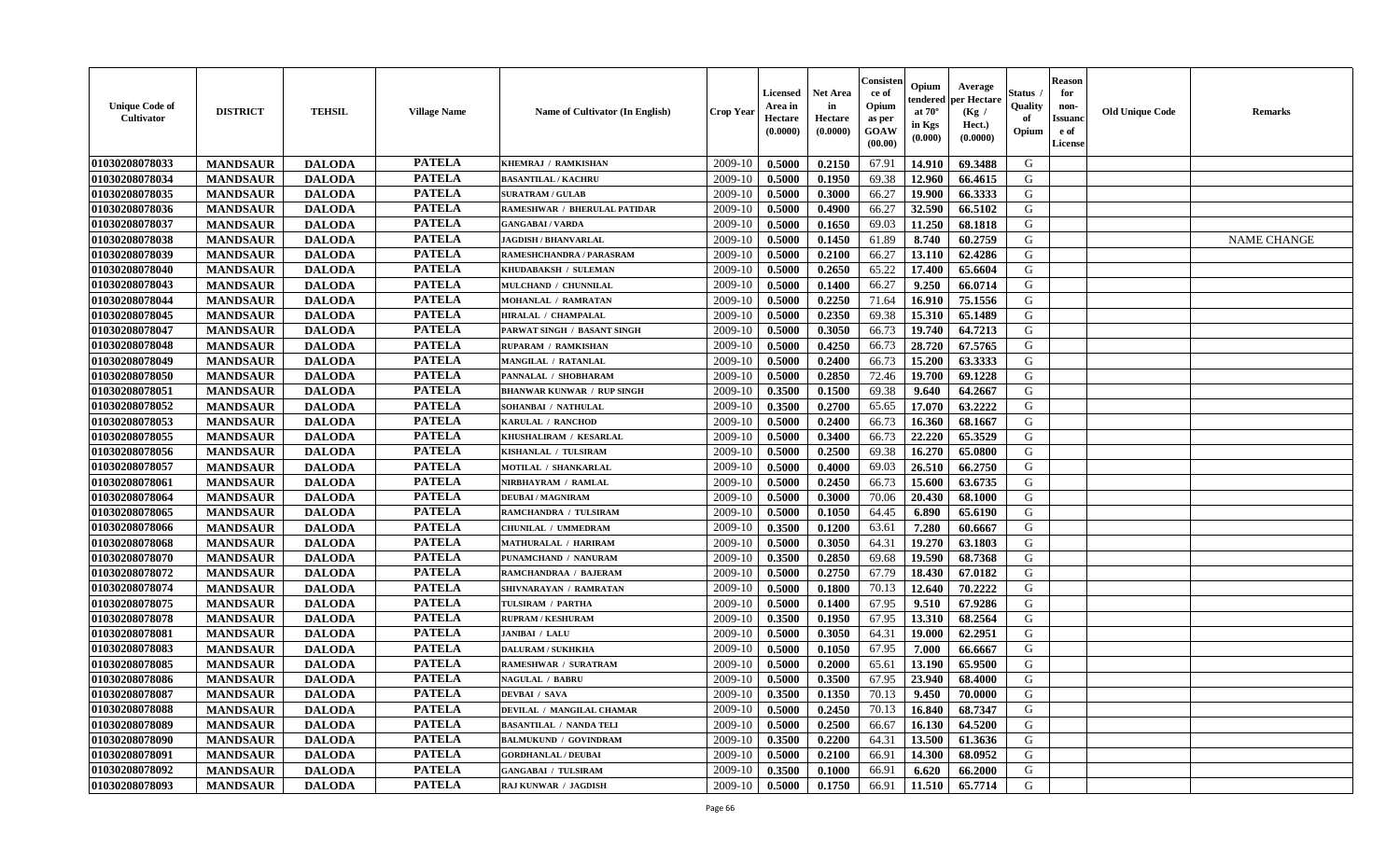| <b>Unique Code of</b><br>Cultivator | <b>DISTRICT</b> | <b>TEHSIL</b> | <b>Village Name</b> | <b>Name of Cultivator (In English)</b> | <b>Crop Year</b> | Licensed<br>Area in<br>Hectare<br>(0.0000) | <b>Net Area</b><br>in<br>Hectare<br>(0.0000) | Consister<br>ce of<br>Opium<br>as per<br>GOAW<br>(00.00) | Opium<br>endered<br>at $70^{\circ}$<br>in Kgs<br>(0.000) | Average<br>per Hectare<br>(Kg /<br>Hect.)<br>(0.0000) | Status<br>Quality<br>of<br>Opium | <b>Reason</b><br>for<br>non-<br><b>Issuanc</b><br>e of<br><b>License</b> | <b>Old Unique Code</b> | <b>Remarks</b>     |
|-------------------------------------|-----------------|---------------|---------------------|----------------------------------------|------------------|--------------------------------------------|----------------------------------------------|----------------------------------------------------------|----------------------------------------------------------|-------------------------------------------------------|----------------------------------|--------------------------------------------------------------------------|------------------------|--------------------|
| 01030208078033                      | <b>MANDSAUR</b> | <b>DALODA</b> | <b>PATELA</b>       | KHEMRAJ / RAMKISHAN                    | 2009-10          | 0.5000                                     | 0.2150                                       | 67.91                                                    | 14.910                                                   | 69.3488                                               | G                                |                                                                          |                        |                    |
| 01030208078034                      | <b>MANDSAUR</b> | <b>DALODA</b> | <b>PATELA</b>       | <b>BASANTILAL / KACHRU</b>             | 2009-10          | 0.5000                                     | 0.1950                                       | 69.38                                                    | 12.960                                                   | 66.4615                                               | G                                |                                                                          |                        |                    |
| 01030208078035                      | <b>MANDSAUR</b> | <b>DALODA</b> | <b>PATELA</b>       | <b>SURATRAM / GULAB</b>                | 2009-10          | 0.5000                                     | 0.3000                                       | 66.27                                                    | 19.900                                                   | 66.3333                                               | G                                |                                                                          |                        |                    |
| 01030208078036                      | <b>MANDSAUR</b> | <b>DALODA</b> | <b>PATELA</b>       | RAMESHWAR / BHERULAL PATIDAR           | 2009-10          | 0.5000                                     | 0.4900                                       | 66.27                                                    | 32.590                                                   | 66.5102                                               | G                                |                                                                          |                        |                    |
| 01030208078037                      | <b>MANDSAUR</b> | <b>DALODA</b> | <b>PATELA</b>       | <b>GANGABAI/VARDA</b>                  | 2009-10          | 0.5000                                     | 0.1650                                       | 69.03                                                    | 11.250                                                   | 68.1818                                               | G                                |                                                                          |                        |                    |
| 01030208078038                      | <b>MANDSAUR</b> | <b>DALODA</b> | <b>PATELA</b>       | <b>JAGDISH / BHANVARLAL</b>            | 2009-10          | 0.5000                                     | 0.1450                                       | 61.89                                                    | 8.740                                                    | 60.2759                                               | G                                |                                                                          |                        | <b>NAME CHANGE</b> |
| 01030208078039                      | <b>MANDSAUR</b> | <b>DALODA</b> | <b>PATELA</b>       | RAMESHCHANDRA / PARASRAM               | 2009-10          | 0.5000                                     | 0.2100                                       | 66.27                                                    | 13.110                                                   | 62.4286                                               | G                                |                                                                          |                        |                    |
| 01030208078040                      | <b>MANDSAUR</b> | <b>DALODA</b> | <b>PATELA</b>       | KHUDABAKSH / SULEMAN                   | 2009-10          | 0.5000                                     | 0.2650                                       | 65.22                                                    | 17.400                                                   | 65.6604                                               | G                                |                                                                          |                        |                    |
| 01030208078043                      | <b>MANDSAUR</b> | <b>DALODA</b> | <b>PATELA</b>       | MULCHAND / CHUNNILAL                   | 2009-10          | 0.5000                                     | 0.1400                                       | 66.27                                                    | 9.250                                                    | 66.0714                                               | G                                |                                                                          |                        |                    |
| 01030208078044                      | <b>MANDSAUR</b> | <b>DALODA</b> | <b>PATELA</b>       | MOHANLAL / RAMRATAN                    | 2009-10          | 0.5000                                     | 0.2250                                       | 71.64                                                    | 16.910                                                   | 75.1556                                               | G                                |                                                                          |                        |                    |
| 01030208078045                      | <b>MANDSAUR</b> | <b>DALODA</b> | <b>PATELA</b>       | HIRALAL / CHAMPALAL                    | 2009-10          | 0.5000                                     | 0.2350                                       | 69.38                                                    | 15.310                                                   | 65.1489                                               | G                                |                                                                          |                        |                    |
| 01030208078047                      | <b>MANDSAUR</b> | <b>DALODA</b> | <b>PATELA</b>       | PARWAT SINGH / BASANT SINGH            | 2009-10          | 0.5000                                     | 0.3050                                       | 66.73                                                    | 19.740                                                   | 64.7213                                               | G                                |                                                                          |                        |                    |
| 01030208078048                      | <b>MANDSAUR</b> | <b>DALODA</b> | <b>PATELA</b>       | <b>RUPARAM / RAMKISHAN</b>             | 2009-10          | 0.5000                                     | 0.4250                                       | 66.73                                                    | 28.720                                                   | 67.5765                                               | G                                |                                                                          |                        |                    |
| 01030208078049                      | <b>MANDSAUR</b> | <b>DALODA</b> | <b>PATELA</b>       | <b>MANGILAL / RATANLAL</b>             | 2009-10          | 0.5000                                     | 0.2400                                       | 66.73                                                    | 15.200                                                   | 63.3333                                               | G                                |                                                                          |                        |                    |
| 01030208078050                      | <b>MANDSAUR</b> | <b>DALODA</b> | <b>PATELA</b>       | PANNALAL / SHOBHARAM                   | 2009-10          | 0.5000                                     | 0.2850                                       | 72.46                                                    | 19.700                                                   | 69.1228                                               | G                                |                                                                          |                        |                    |
| 01030208078051                      | <b>MANDSAUR</b> | <b>DALODA</b> | <b>PATELA</b>       | <b>BHANWAR KUNWAR / RUP SINGH</b>      | 2009-10          | 0.3500                                     | 0.1500                                       | 69.38                                                    | 9.640                                                    | 64.2667                                               | G                                |                                                                          |                        |                    |
| 01030208078052                      | <b>MANDSAUR</b> | <b>DALODA</b> | <b>PATELA</b>       | SOHANBAI / NATHULAL                    | 2009-10          | 0.3500                                     | 0.2700                                       | 65.65                                                    | 17.070                                                   | 63.2222                                               | G                                |                                                                          |                        |                    |
| 01030208078053                      | <b>MANDSAUR</b> | <b>DALODA</b> | <b>PATELA</b>       | KARULAL / RANCHOD                      | 2009-10          | 0.5000                                     | 0.2400                                       | 66.73                                                    | 16.360                                                   | 68.1667                                               | G                                |                                                                          |                        |                    |
| 01030208078055                      | <b>MANDSAUR</b> | <b>DALODA</b> | <b>PATELA</b>       | KHUSHALIRAM / KESARLAL                 | 2009-10          | 0.5000                                     | 0.3400                                       | 66.73                                                    | 22,220                                                   | 65.3529                                               | G                                |                                                                          |                        |                    |
| 01030208078056                      | <b>MANDSAUR</b> | <b>DALODA</b> | <b>PATELA</b>       | KISHANLAL / TULSIRAM                   | 2009-10          | 0.5000                                     | 0.2500                                       | 69.38                                                    | 16.270                                                   | 65.0800                                               | G                                |                                                                          |                        |                    |
| 01030208078057                      | <b>MANDSAUR</b> | <b>DALODA</b> | <b>PATELA</b>       | <b>MOTILAL / SHANKARLAL</b>            | 2009-10          | 0.5000                                     | 0.4000                                       | 69.03                                                    | 26.510                                                   | 66.2750                                               | G                                |                                                                          |                        |                    |
| 01030208078061                      | <b>MANDSAUR</b> | <b>DALODA</b> | <b>PATELA</b>       | NIRBHAYRAM / RAMLAL                    | 2009-10          | 0.5000                                     | 0.2450                                       | 66.73                                                    | 15.600                                                   | 63.6735                                               | G                                |                                                                          |                        |                    |
| 01030208078064                      | <b>MANDSAUR</b> | <b>DALODA</b> | <b>PATELA</b>       | <b>DEUBAI/MAGNIRAM</b>                 | 2009-10          | 0.5000                                     | 0.3000                                       | 70.06                                                    | 20.430                                                   | 68.1000                                               | G                                |                                                                          |                        |                    |
| 01030208078065                      | <b>MANDSAUR</b> | <b>DALODA</b> | <b>PATELA</b>       | RAMCHANDRA / TULSIRAM                  | 2009-10          | 0.5000                                     | 0.1050                                       | 64.45                                                    | 6.890                                                    | 65.6190                                               | G                                |                                                                          |                        |                    |
| 01030208078066                      | <b>MANDSAUR</b> | <b>DALODA</b> | <b>PATELA</b>       | CHUNILAL / UMMEDRAM                    | 2009-10          | 0.3500                                     | 0.1200                                       | 63.61                                                    | 7.280                                                    | 60.6667                                               | G                                |                                                                          |                        |                    |
| 01030208078068                      | <b>MANDSAUR</b> | <b>DALODA</b> | <b>PATELA</b>       | <b>MATHURALAL / HARIRAM</b>            | 2009-10          | 0.5000                                     | 0.3050                                       | 64.31                                                    | 19.270                                                   | 63.1803                                               | G                                |                                                                          |                        |                    |
| 01030208078070                      | <b>MANDSAUR</b> | <b>DALODA</b> | <b>PATELA</b>       | PUNAMCHAND / NANURAM                   | 2009-10          | 0.3500                                     | 0.2850                                       | 69.68                                                    | 19.590                                                   | 68.7368                                               | G                                |                                                                          |                        |                    |
| 01030208078072                      | <b>MANDSAUR</b> | <b>DALODA</b> | <b>PATELA</b>       | RAMCHANDRAA / BAJERAM                  | 2009-10          | 0.5000                                     | 0.2750                                       | 67.79                                                    | 18.430                                                   | 67.0182                                               | G                                |                                                                          |                        |                    |
| 01030208078074                      | <b>MANDSAUR</b> | <b>DALODA</b> | <b>PATELA</b>       | SHIVNARAYAN / RAMRATAN                 | 2009-10          | 0.5000                                     | 0.1800                                       | 70.13                                                    | 12.640                                                   | 70.2222                                               | G                                |                                                                          |                        |                    |
| 01030208078075                      | <b>MANDSAUR</b> | <b>DALODA</b> | <b>PATELA</b>       | TULSIRAM / PARTHA                      | 2009-10          | 0.5000                                     | 0.1400                                       | 67.95                                                    | 9.510                                                    | 67.9286                                               | G                                |                                                                          |                        |                    |
| 01030208078078                      | <b>MANDSAUR</b> | <b>DALODA</b> | <b>PATELA</b>       | <b>RUPRAM / KESHURAM</b>               | 2009-10          | 0.3500                                     | 0.1950                                       | 67.95                                                    | 13.310                                                   | 68.2564                                               | ${\bf G}$                        |                                                                          |                        |                    |
| 01030208078081                      | <b>MANDSAUR</b> | <b>DALODA</b> | <b>PATELA</b>       | <b>JANIBAI / LALU</b>                  | 2009-10          | 0.5000                                     | 0.3050                                       | 64.31                                                    | 19.000                                                   | 62.2951                                               | G                                |                                                                          |                        |                    |
| 01030208078083                      | <b>MANDSAUR</b> | <b>DALODA</b> | <b>PATELA</b>       | <b>DALURAM / SUKHKHA</b>               | 2009-10          | 0.5000                                     | 0.1050                                       | 67.95                                                    | 7.000                                                    | 66.6667                                               | G                                |                                                                          |                        |                    |
| 01030208078085                      | <b>MANDSAUR</b> | <b>DALODA</b> | <b>PATELA</b>       | <b>RAMESHWAR / SURATRAM</b>            | 2009-10          | 0.5000                                     | 0.2000                                       | 65.61                                                    | 13.190                                                   | 65.9500                                               | G                                |                                                                          |                        |                    |
| 01030208078086                      | <b>MANDSAUR</b> | <b>DALODA</b> | <b>PATELA</b>       | <b>NAGULAL / BABRU</b>                 | 2009-10          | 0.5000                                     | 0.3500                                       | 67.95                                                    | 23.940                                                   | 68.4000                                               | G                                |                                                                          |                        |                    |
| 01030208078087                      | <b>MANDSAUR</b> | <b>DALODA</b> | <b>PATELA</b>       | <b>DEVBAI / SAVA</b>                   | 2009-10          | 0.3500                                     | 0.1350                                       | 70.13                                                    | 9.450                                                    | 70.0000                                               | G                                |                                                                          |                        |                    |
| 01030208078088                      | <b>MANDSAUR</b> | <b>DALODA</b> | <b>PATELA</b>       | DEVILAL / MANGILAL CHAMAR              | 2009-10          | 0.5000                                     | 0.2450                                       | 70.13                                                    | 16.840                                                   | 68.7347                                               | G                                |                                                                          |                        |                    |
| 01030208078089                      | <b>MANDSAUR</b> | <b>DALODA</b> | <b>PATELA</b>       | <b>BASANTILAL / NANDA TEL</b>          | 2009-10          | 0.5000                                     | 0.2500                                       | 66.67                                                    | 16.130                                                   | 64.5200                                               | G                                |                                                                          |                        |                    |
| 01030208078090                      | <b>MANDSAUR</b> | <b>DALODA</b> | <b>PATELA</b>       | <b>BALMUKUND / GOVINDRAM</b>           | 2009-10          | 0.3500                                     | 0.2200                                       | 64.31                                                    | 13.500                                                   | 61.3636                                               | G                                |                                                                          |                        |                    |
| 01030208078091                      | <b>MANDSAUR</b> | <b>DALODA</b> | <b>PATELA</b>       | <b>GORDHANLAL / DEUBAI</b>             | 2009-10          | 0.5000                                     | 0.2100                                       | 66.91                                                    | 14.300                                                   | 68.0952                                               | G                                |                                                                          |                        |                    |
| 01030208078092                      | <b>MANDSAUR</b> | <b>DALODA</b> | <b>PATELA</b>       | <b>GANGABAI / TULSIRAM</b>             | 2009-10          | 0.3500                                     | 0.1000                                       | 66.91                                                    | 6.620                                                    | 66.2000                                               | G                                |                                                                          |                        |                    |
| 01030208078093                      | <b>MANDSAUR</b> | <b>DALODA</b> | <b>PATELA</b>       | RAJ KUNWAR / JAGDISH                   | 2009-10          | 0.5000                                     | 0.1750                                       | 66.91                                                    | 11.510                                                   | 65.7714                                               | G                                |                                                                          |                        |                    |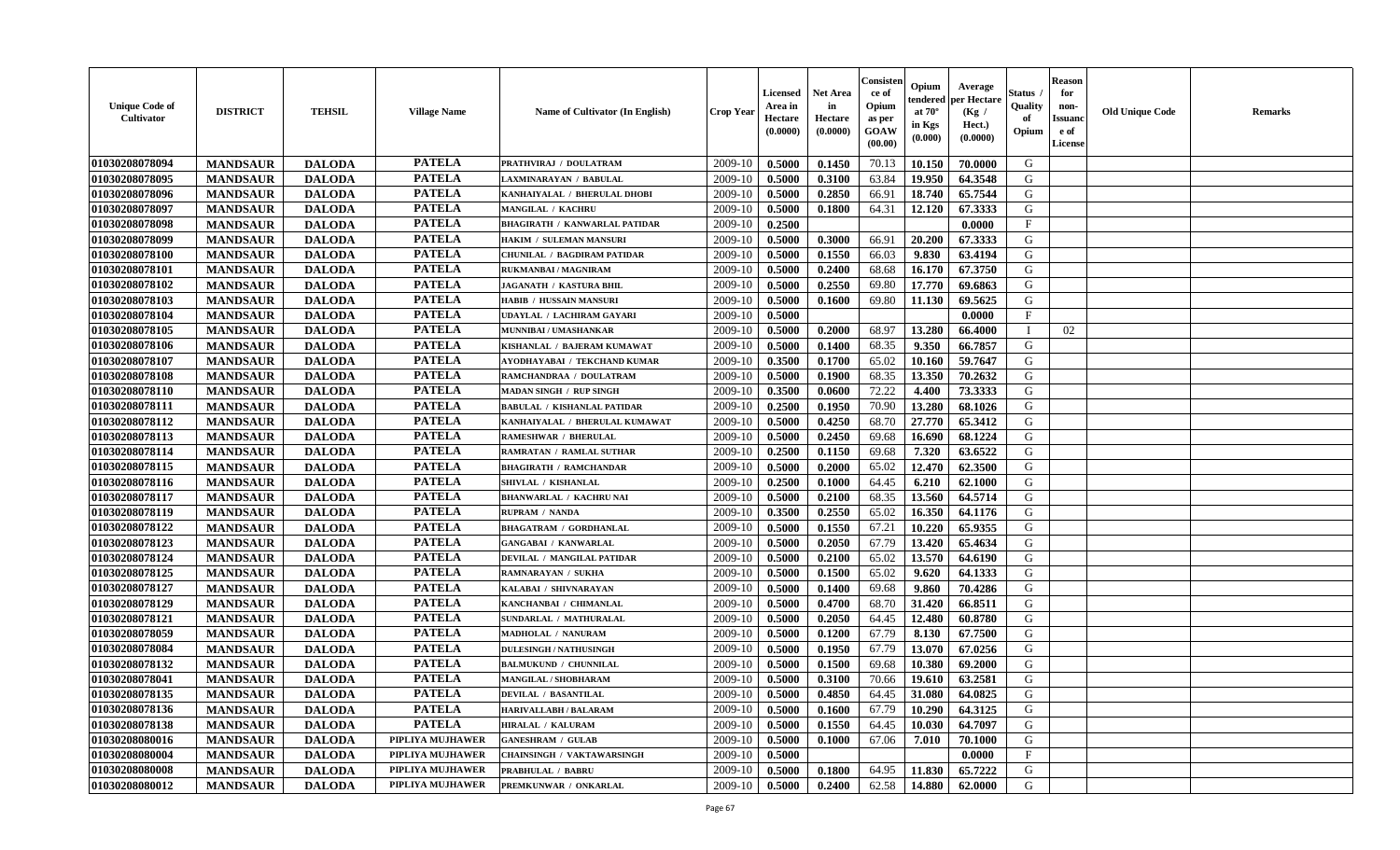| <b>Unique Code of</b><br><b>Cultivator</b> | <b>DISTRICT</b> | <b>TEHSIL</b> | <b>Village Name</b> | <b>Name of Cultivator (In English)</b> | <b>Crop Year</b> | Licensed<br>Area in<br>Hectare<br>(0.0000) | Net Area<br>in<br>Hectare<br>(0.0000) | Consister<br>ce of<br>Opium<br>as per<br>GOAW<br>(00.00) | Opium<br>endered<br>at $70^{\circ}$<br>in Kgs<br>$(\mathbf{0.000})$ | Average<br>per Hectare<br>(Kg /<br>Hect.)<br>(0.0000) | Status<br>Quality<br>of<br>Opium | <b>Reason</b><br>for<br>non-<br><b>Issuano</b><br>e of<br>License | <b>Old Unique Code</b> | <b>Remarks</b> |
|--------------------------------------------|-----------------|---------------|---------------------|----------------------------------------|------------------|--------------------------------------------|---------------------------------------|----------------------------------------------------------|---------------------------------------------------------------------|-------------------------------------------------------|----------------------------------|-------------------------------------------------------------------|------------------------|----------------|
| 01030208078094                             | <b>MANDSAUR</b> | <b>DALODA</b> | <b>PATELA</b>       | PRATHVIRAJ / DOULATRAM                 | 2009-10          | 0.5000                                     | 0.1450                                | 70.13                                                    | 10.150                                                              | 70.0000                                               | G                                |                                                                   |                        |                |
| 01030208078095                             | <b>MANDSAUR</b> | <b>DALODA</b> | <b>PATELA</b>       | LAXMINARAYAN / BABULAL                 | 2009-10          | 0.5000                                     | 0.3100                                | 63.84                                                    | 19.950                                                              | 64.3548                                               | G                                |                                                                   |                        |                |
| 01030208078096                             | <b>MANDSAUR</b> | <b>DALODA</b> | <b>PATELA</b>       | KANHAIYALAL / BHERULAL DHOBI           | 2009-10          | 0.5000                                     | 0.2850                                | 66.91                                                    | 18.740                                                              | 65.7544                                               | G                                |                                                                   |                        |                |
| 01030208078097                             | <b>MANDSAUR</b> | <b>DALODA</b> | <b>PATELA</b>       | <b>MANGILAL / KACHRU</b>               | 2009-10          | 0.5000                                     | 0.1800                                | 64.31                                                    | 12.120                                                              | 67.3333                                               | G                                |                                                                   |                        |                |
| 01030208078098                             | <b>MANDSAUR</b> | <b>DALODA</b> | <b>PATELA</b>       | <b>BHAGIRATH / KANWARLAL PATIDAR</b>   | 2009-10          | 0.2500                                     |                                       |                                                          |                                                                     | 0.0000                                                | $_{\rm F}$                       |                                                                   |                        |                |
| 01030208078099                             | <b>MANDSAUR</b> | <b>DALODA</b> | <b>PATELA</b>       | HAKIM / SULEMAN MANSURI                | 2009-10          | 0.5000                                     | 0.3000                                | 66.91                                                    | 20.200                                                              | 67.3333                                               | G                                |                                                                   |                        |                |
| 01030208078100                             | <b>MANDSAUR</b> | <b>DALODA</b> | <b>PATELA</b>       | <b>CHUNILAL / BAGDIRAM PATIDAR</b>     | 2009-10          | 0.5000                                     | 0.1550                                | 66.03                                                    | 9.830                                                               | 63.4194                                               | G                                |                                                                   |                        |                |
| 01030208078101                             | <b>MANDSAUR</b> | <b>DALODA</b> | <b>PATELA</b>       | <b>RUKMANBAI/MAGNIRAM</b>              | 2009-10          | 0.5000                                     | 0.2400                                | 68.68                                                    | 16.170                                                              | 67.3750                                               | G                                |                                                                   |                        |                |
| 01030208078102                             | <b>MANDSAUR</b> | <b>DALODA</b> | <b>PATELA</b>       | <b>JAGANATH / KASTURA BHIL</b>         | 2009-10          | 0.5000                                     | 0.2550                                | 69.80                                                    | 17.770                                                              | 69.6863                                               | G                                |                                                                   |                        |                |
| 01030208078103                             | <b>MANDSAUR</b> | <b>DALODA</b> | <b>PATELA</b>       | <b>HABIB / HUSSAIN MANSURI</b>         | 2009-10          | 0.5000                                     | 0.1600                                | 69.80                                                    | 11.130                                                              | 69.5625                                               | G                                |                                                                   |                        |                |
| 01030208078104                             | <b>MANDSAUR</b> | <b>DALODA</b> | <b>PATELA</b>       | UDAYLAL / LACHIRAM GAYARI              | 2009-10          | 0.5000                                     |                                       |                                                          |                                                                     | 0.0000                                                | $\mathbf F$                      |                                                                   |                        |                |
| 01030208078105                             | <b>MANDSAUR</b> | <b>DALODA</b> | <b>PATELA</b>       | <b>MUNNIBAI/UMASHANKAR</b>             | 2009-10          | 0.5000                                     | 0.2000                                | 68.97                                                    | 13.280                                                              | 66.4000                                               | - 1                              | 02                                                                |                        |                |
| 01030208078106                             | <b>MANDSAUR</b> | <b>DALODA</b> | <b>PATELA</b>       | KISHANLAL / BAJERAM KUMAWAT            | 2009-10          | 0.5000                                     | 0.1400                                | 68.35                                                    | 9.350                                                               | 66.7857                                               | G                                |                                                                   |                        |                |
| 01030208078107                             | <b>MANDSAUR</b> | <b>DALODA</b> | <b>PATELA</b>       | AYODHAYABAI / TEKCHAND KUMAR           | 2009-10          | 0.3500                                     | 0.1700                                | 65.02                                                    | 10.160                                                              | 59.7647                                               | G                                |                                                                   |                        |                |
| 01030208078108                             | <b>MANDSAUR</b> | <b>DALODA</b> | <b>PATELA</b>       | RAMCHANDRAA / DOULATRAM                | 2009-10          | 0.5000                                     | 0.1900                                | 68.35                                                    | 13.350                                                              | 70.2632                                               | G                                |                                                                   |                        |                |
| 01030208078110                             | <b>MANDSAUR</b> | <b>DALODA</b> | <b>PATELA</b>       | <b>MADAN SINGH / RUP SINGH</b>         | 2009-10          | 0.3500                                     | 0.0600                                | 72.22                                                    | 4.400                                                               | 73.3333                                               | G                                |                                                                   |                        |                |
| 01030208078111                             | <b>MANDSAUR</b> | <b>DALODA</b> | <b>PATELA</b>       | <b>BABULAL / KISHANLAL PATIDAR</b>     | 2009-10          | 0.2500                                     | 0.1950                                | 70.90                                                    | 13.280                                                              | 68.1026                                               | G                                |                                                                   |                        |                |
| 01030208078112                             | <b>MANDSAUR</b> | <b>DALODA</b> | <b>PATELA</b>       | KANHAIYALAL / BHERULAL KUMAWAT         | 2009-10          | 0.5000                                     | 0.4250                                | 68.70                                                    | 27.770                                                              | 65.3412                                               | G                                |                                                                   |                        |                |
| 01030208078113                             | <b>MANDSAUR</b> | <b>DALODA</b> | <b>PATELA</b>       | <b>RAMESHWAR / BHERULAL</b>            | 2009-10          | 0.5000                                     | 0.2450                                | 69.68                                                    | 16.690                                                              | 68.1224                                               | G                                |                                                                   |                        |                |
| 01030208078114                             | <b>MANDSAUR</b> | <b>DALODA</b> | <b>PATELA</b>       | <b>RAMRATAN / RAMLAL SUTHAR</b>        | 2009-10          | 0.2500                                     | 0.1150                                | 69.68                                                    | 7.320                                                               | 63.6522                                               | G                                |                                                                   |                        |                |
| 01030208078115                             | <b>MANDSAUR</b> | <b>DALODA</b> | <b>PATELA</b>       | <b>BHAGIRATH / RAMCHANDAR</b>          | 2009-10          | 0.5000                                     | 0.2000                                | 65.02                                                    | 12.470                                                              | 62.3500                                               | G                                |                                                                   |                        |                |
| 01030208078116                             | <b>MANDSAUR</b> | <b>DALODA</b> | <b>PATELA</b>       | SHIVLAL / KISHANLAL                    | 2009-10          | 0.2500                                     | 0.1000                                | 64.45                                                    | 6.210                                                               | 62.1000                                               | G                                |                                                                   |                        |                |
| 01030208078117                             | <b>MANDSAUR</b> | <b>DALODA</b> | <b>PATELA</b>       | <b>BHANWARLAL / KACHRU NAI</b>         | 2009-10          | 0.5000                                     | 0.2100                                | 68.35                                                    | 13.560                                                              | 64.5714                                               | G                                |                                                                   |                        |                |
| 01030208078119                             | <b>MANDSAUR</b> | <b>DALODA</b> | <b>PATELA</b>       | <b>RUPRAM / NANDA</b>                  | 2009-10          | 0.3500                                     | 0.2550                                | 65.02                                                    | 16.350                                                              | 64.1176                                               | G                                |                                                                   |                        |                |
| 01030208078122                             | <b>MANDSAUR</b> | <b>DALODA</b> | <b>PATELA</b>       | <b>BHAGATRAM / GORDHANLAL</b>          | 2009-10          | 0.5000                                     | 0.1550                                | 67.21                                                    | 10.220                                                              | 65.9355                                               | G                                |                                                                   |                        |                |
| 01030208078123                             | <b>MANDSAUR</b> | <b>DALODA</b> | <b>PATELA</b>       | <b>GANGABAI / KANWARLAL</b>            | 2009-10          | 0.5000                                     | 0.2050                                | 67.79                                                    | 13.420                                                              | 65.4634                                               | G                                |                                                                   |                        |                |
| 01030208078124                             | <b>MANDSAUR</b> | <b>DALODA</b> | <b>PATELA</b>       | DEVILAL / MANGILAL PATIDAR             | 2009-10          | 0.5000                                     | 0.2100                                | 65.02                                                    | 13.570                                                              | 64.6190                                               | G                                |                                                                   |                        |                |
| 01030208078125                             | <b>MANDSAUR</b> | <b>DALODA</b> | <b>PATELA</b>       | RAMNARAYAN / SUKHA                     | 2009-10          | 0.5000                                     | 0.1500                                | 65.02                                                    | 9.620                                                               | 64.1333                                               | G                                |                                                                   |                        |                |
| 01030208078127                             | <b>MANDSAUR</b> | <b>DALODA</b> | <b>PATELA</b>       | KALABAI / SHIVNARAYAN                  | 2009-10          | 0.5000                                     | 0.1400                                | 69.68                                                    | 9.860                                                               | 70.4286                                               | G                                |                                                                   |                        |                |
| 01030208078129                             | <b>MANDSAUR</b> | <b>DALODA</b> | <b>PATELA</b>       | KANCHANBAI / CHIMANLAL                 | 2009-10          | 0.5000                                     | 0.4700                                | 68.70                                                    | 31.420                                                              | 66.8511                                               | G                                |                                                                   |                        |                |
| 01030208078121                             | <b>MANDSAUR</b> | <b>DALODA</b> | <b>PATELA</b>       | SUNDARLAL / MATHURALAL                 | 2009-10          | 0.5000                                     | 0.2050                                | 64.45                                                    | 12.480                                                              | 60.8780                                               | G                                |                                                                   |                        |                |
| 01030208078059                             | <b>MANDSAUR</b> | <b>DALODA</b> | <b>PATELA</b>       | MADHOLAL / NANURAM                     | 2009-10          | 0.5000                                     | 0.1200                                | 67.79                                                    | 8.130                                                               | 67.7500                                               | G                                |                                                                   |                        |                |
| 01030208078084                             | <b>MANDSAUR</b> | <b>DALODA</b> | <b>PATELA</b>       | <b>DULESINGH / NATHUSINGH</b>          | 2009-10          | 0.5000                                     | 0.1950                                | 67.79                                                    | 13.070                                                              | 67.0256                                               | G                                |                                                                   |                        |                |
| 01030208078132                             | <b>MANDSAUR</b> | <b>DALODA</b> | <b>PATELA</b>       | <b>BALMUKUND / CHUNNILAL</b>           | 2009-10          | 0.5000                                     | 0.1500                                | 69.68                                                    | 10.380                                                              | 69.2000                                               | G                                |                                                                   |                        |                |
| 01030208078041                             | <b>MANDSAUR</b> | <b>DALODA</b> | <b>PATELA</b>       | <b>MANGILAL / SHOBHARAM</b>            | 2009-10          | 0.5000                                     | 0.3100                                | 70.66                                                    | 19.610                                                              | 63.2581                                               | G                                |                                                                   |                        |                |
| 01030208078135                             | <b>MANDSAUR</b> | <b>DALODA</b> | <b>PATELA</b>       | <b>DEVILAL / BASANTILAL</b>            | 2009-10   0.5000 |                                            | 0.4850                                | 64.45                                                    |                                                                     | $ 31.080 $ 64.0825                                    | G                                |                                                                   |                        |                |
| 01030208078136                             | <b>MANDSAUR</b> | <b>DALODA</b> | <b>PATELA</b>       | <b>HARIVALLABH / BALARAM</b>           | 2009-10          | 0.5000                                     | 0.1600                                | 67.79                                                    | 10.290                                                              | 64.3125                                               | G                                |                                                                   |                        |                |
| 01030208078138                             | <b>MANDSAUR</b> | <b>DALODA</b> | <b>PATELA</b>       | <b>HIRALAL / KALURAM</b>               | 2009-10          | 0.5000                                     | 0.1550                                | 64.45                                                    | 10.030                                                              | 64.7097                                               | G                                |                                                                   |                        |                |
| 01030208080016                             | <b>MANDSAUR</b> | <b>DALODA</b> | PIPLIYA MUJHAWER    | <b>GANESHRAM / GULAB</b>               | 2009-10          | 0.5000                                     | 0.1000                                | 67.06                                                    | 7.010                                                               | 70.1000                                               | G                                |                                                                   |                        |                |
| 01030208080004                             | <b>MANDSAUR</b> | <b>DALODA</b> | PIPLIYA MUJHAWER    | <b>CHAINSINGH / VAKTAWARSINGH</b>      | 2009-10          | 0.5000                                     |                                       |                                                          |                                                                     | 0.0000                                                | $\mathbf{F}$                     |                                                                   |                        |                |
| 01030208080008                             | <b>MANDSAUR</b> | <b>DALODA</b> | PIPLIYA MUJHAWER    | PRABHULAL / BABRU                      | 2009-10          | 0.5000                                     | 0.1800                                | 64.95                                                    | 11.830                                                              | 65.7222                                               | G                                |                                                                   |                        |                |
| 01030208080012                             | <b>MANDSAUR</b> | <b>DALODA</b> | PIPLIYA MUJHAWER    | PREMKUNWAR / ONKARLAL                  | 2009-10          | 0.5000                                     | 0.2400                                | 62.58                                                    | 14.880                                                              | 62.0000                                               | G                                |                                                                   |                        |                |
|                                            |                 |               |                     |                                        |                  |                                            |                                       |                                                          |                                                                     |                                                       |                                  |                                                                   |                        |                |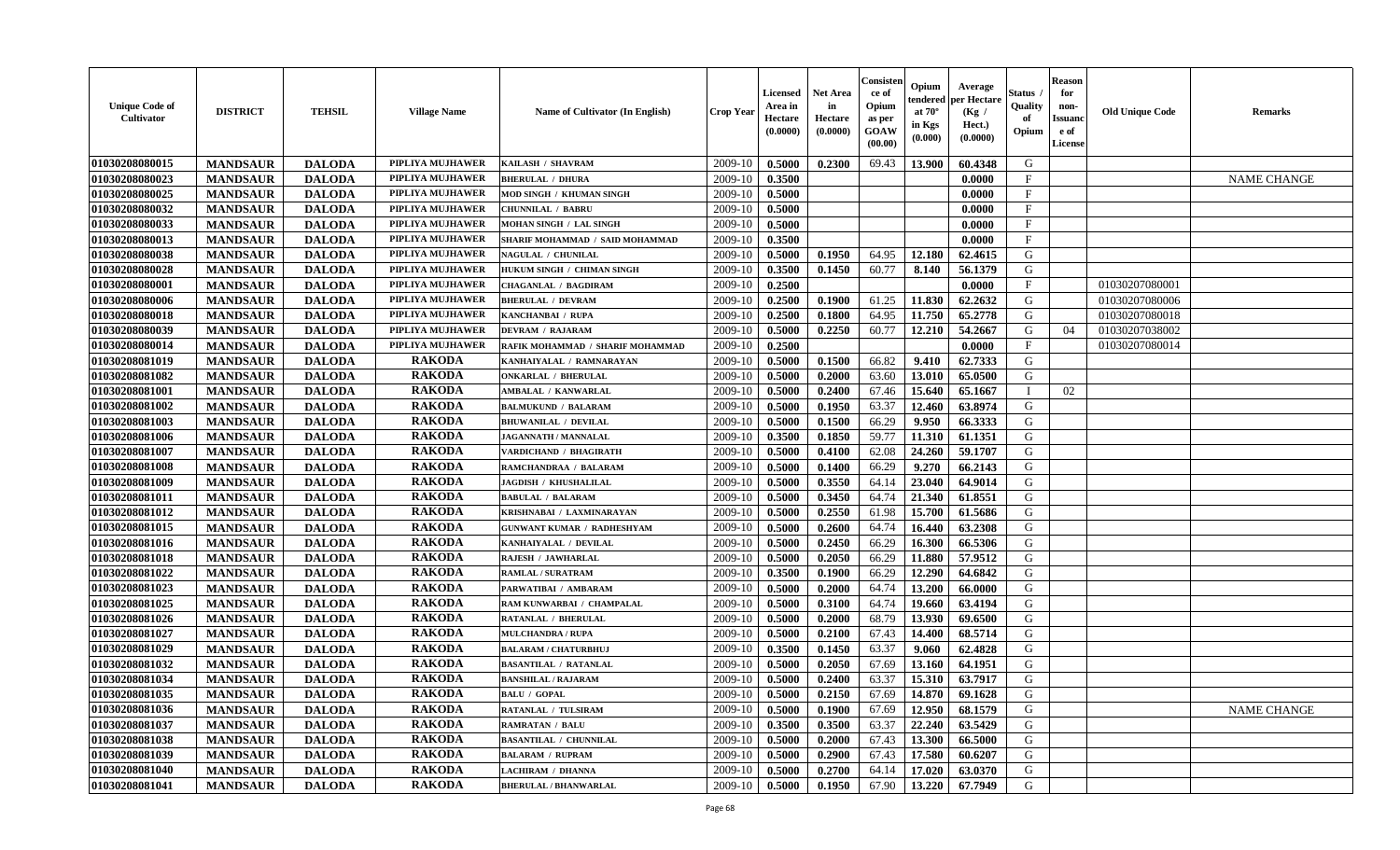| <b>Unique Code of</b><br><b>Cultivator</b> | <b>DISTRICT</b> | <b>TEHSIL</b> | <b>Village Name</b> | Name of Cultivator (In English)   | <b>Crop Year</b> | Licensed<br>Area in<br>Hectare<br>(0.0000) | <b>Net Area</b><br>in<br>Hectare<br>(0.0000) | Consisteı<br>ce of<br>Opium<br>as per<br>GOAW<br>(00.00) | Opium<br>endered<br>at $70^\circ$<br>in Kgs<br>(0.000) | Average<br>per Hectare<br>(Kg /<br>Hect.)<br>(0.0000) | Status<br>Quality<br>of<br>Opium | <b>Reason</b><br>for<br>non-<br><b>Issuand</b><br>e of<br>License | <b>Old Unique Code</b> | <b>Remarks</b>     |
|--------------------------------------------|-----------------|---------------|---------------------|-----------------------------------|------------------|--------------------------------------------|----------------------------------------------|----------------------------------------------------------|--------------------------------------------------------|-------------------------------------------------------|----------------------------------|-------------------------------------------------------------------|------------------------|--------------------|
| 01030208080015                             | <b>MANDSAUR</b> | <b>DALODA</b> | PIPLIYA MUJHAWER    | KAILASH / SHAVRAM                 | 2009-10          | 0.5000                                     | 0.2300                                       | 69.43                                                    | 13.900                                                 | 60.4348                                               | G                                |                                                                   |                        |                    |
| 01030208080023                             | <b>MANDSAUR</b> | <b>DALODA</b> | PIPLIYA MUJHAWER    | <b>BHERULAL / DHURA</b>           | 2009-10          | 0.3500                                     |                                              |                                                          |                                                        | 0.0000                                                | $\mathbf{F}$                     |                                                                   |                        | <b>NAME CHANGE</b> |
| 01030208080025                             | <b>MANDSAUR</b> | <b>DALODA</b> | PIPLIYA MUJHAWER    | MOD SINGH / KHUMAN SINGH          | 2009-10          | 0.5000                                     |                                              |                                                          |                                                        | 0.0000                                                | F                                |                                                                   |                        |                    |
| 01030208080032                             | <b>MANDSAUR</b> | <b>DALODA</b> | PIPLIYA MUJHAWER    | <b>CHUNNILAL / BABRU</b>          | 2009-10          | 0.5000                                     |                                              |                                                          |                                                        | 0.0000                                                | $\mathbf{F}$                     |                                                                   |                        |                    |
| 01030208080033                             | <b>MANDSAUR</b> | <b>DALODA</b> | PIPLIYA MUJHAWER    | MOHAN SINGH / LAL SINGH           | 2009-10          | 0.5000                                     |                                              |                                                          |                                                        | 0.0000                                                | $_{\rm F}$                       |                                                                   |                        |                    |
| 01030208080013                             | <b>MANDSAUR</b> | <b>DALODA</b> | PIPLIYA MUJHAWER    | SHARIF MOHAMMAD / SAID MOHAMMAD   | 2009-10          | 0.3500                                     |                                              |                                                          |                                                        | 0.0000                                                | $\mathbf{F}$                     |                                                                   |                        |                    |
| 01030208080038                             | <b>MANDSAUR</b> | <b>DALODA</b> | PIPLIYA MUJHAWER    | NAGULAL / CHUNILAL                | 2009-10          | 0.5000                                     | 0.1950                                       | 64.95                                                    | 12.180                                                 | 62.4615                                               | G                                |                                                                   |                        |                    |
| 01030208080028                             | <b>MANDSAUR</b> | <b>DALODA</b> | PIPLIYA MUJHAWER    | HUKUM SINGH / CHIMAN SINGH        | 2009-10          | 0.3500                                     | 0.1450                                       | 60.77                                                    | 8.140                                                  | 56.1379                                               | G                                |                                                                   |                        |                    |
| 01030208080001                             | <b>MANDSAUR</b> | <b>DALODA</b> | PIPLIYA MUJHAWER    | <b>CHAGANLAL / BAGDIRAM</b>       | 2009-10          | 0.2500                                     |                                              |                                                          |                                                        | 0.0000                                                | $_{\rm F}$                       |                                                                   | 01030207080001         |                    |
| 01030208080006                             | <b>MANDSAUR</b> | <b>DALODA</b> | PIPLIYA MUJHAWER    | <b>BHERULAL / DEVRAM</b>          | 2009-10          | 0.2500                                     | 0.1900                                       | 61.25                                                    | 11.830                                                 | 62.2632                                               | G                                |                                                                   | 01030207080006         |                    |
| 01030208080018                             | <b>MANDSAUR</b> | <b>DALODA</b> | PIPLIYA MUJHAWER    | KANCHANBAI / RUPA                 | 2009-10          | 0.2500                                     | 0.1800                                       | 64.95                                                    | 11.750                                                 | 65.2778                                               | $\mathbf G$                      |                                                                   | 01030207080018         |                    |
| 01030208080039                             | <b>MANDSAUR</b> | <b>DALODA</b> | PIPLIYA MUJHAWER    | <b>DEVRAM / RAJARAM</b>           | 2009-10          | 0.5000                                     | 0.2250                                       | 60.77                                                    | 12.210                                                 | 54.2667                                               | G                                | 04                                                                | 01030207038002         |                    |
| 01030208080014                             | <b>MANDSAUR</b> | <b>DALODA</b> | PIPLIYA MUJHAWER    | RAFIK MOHAMMAD / SHARIF MOHAMMAD  | 2009-10          | 0.2500                                     |                                              |                                                          |                                                        | 0.0000                                                | F                                |                                                                   | 01030207080014         |                    |
| 01030208081019                             | <b>MANDSAUR</b> | <b>DALODA</b> | <b>RAKODA</b>       | KANHAIYALAL / RAMNARAYAN          | 2009-10          | 0.5000                                     | 0.1500                                       | 66.82                                                    | 9.410                                                  | 62.7333                                               | G                                |                                                                   |                        |                    |
| 01030208081082                             | <b>MANDSAUR</b> | <b>DALODA</b> | <b>RAKODA</b>       | <b>ONKARLAL / BHERULAL</b>        | 2009-10          | 0.5000                                     | 0.2000                                       | 63.60                                                    | 13.010                                                 | 65.0500                                               | G                                |                                                                   |                        |                    |
| 01030208081001                             | <b>MANDSAUR</b> | <b>DALODA</b> | <b>RAKODA</b>       | AMBALAL / KANWARLAL               | 2009-10          | 0.5000                                     | 0.2400                                       | 67.46                                                    | 15.640                                                 | 65.1667                                               | T                                | 02                                                                |                        |                    |
| 01030208081002                             | <b>MANDSAUR</b> | <b>DALODA</b> | <b>RAKODA</b>       | <b>BALMUKUND / BALARAM</b>        | 2009-10          | 0.5000                                     | 0.1950                                       | 63.37                                                    | 12.460                                                 | 63.8974                                               | G                                |                                                                   |                        |                    |
| 01030208081003                             | <b>MANDSAUR</b> | <b>DALODA</b> | <b>RAKODA</b>       | <b>BHUWANILAL / DEVILAL</b>       | 2009-10          | 0.5000                                     | 0.1500                                       | 66.29                                                    | 9.950                                                  | 66.3333                                               | G                                |                                                                   |                        |                    |
| 01030208081006                             | <b>MANDSAUR</b> | <b>DALODA</b> | <b>RAKODA</b>       | <b>JAGANNATH / MANNALAL</b>       | 2009-10          | 0.3500                                     | 0.1850                                       | 59.77                                                    | 11.310                                                 | 61.1351                                               | G                                |                                                                   |                        |                    |
| 01030208081007                             | <b>MANDSAUR</b> | <b>DALODA</b> | <b>RAKODA</b>       | VARDICHAND / BHAGIRATH            | 2009-10          | 0.5000                                     | 0.4100                                       | 62.08                                                    | 24.260                                                 | 59.1707                                               | G                                |                                                                   |                        |                    |
| 01030208081008                             | <b>MANDSAUR</b> | <b>DALODA</b> | <b>RAKODA</b>       | RAMCHANDRAA / BALARAM             | 2009-10          | 0.5000                                     | 0.1400                                       | 66.29                                                    | 9.270                                                  | 66.2143                                               | G                                |                                                                   |                        |                    |
| 01030208081009                             | <b>MANDSAUR</b> | <b>DALODA</b> | <b>RAKODA</b>       | JAGDISH / KHUSHALILAL             | 2009-10          | 0.5000                                     | 0.3550                                       | 64.14                                                    | 23.040                                                 | 64.9014                                               | G                                |                                                                   |                        |                    |
| 01030208081011                             | <b>MANDSAUR</b> | <b>DALODA</b> | <b>RAKODA</b>       | <b>BABULAL / BALARAM</b>          | 2009-10          | 0.5000                                     | 0.3450                                       | 64.74                                                    | 21.340                                                 | 61.8551                                               | G                                |                                                                   |                        |                    |
| 01030208081012                             | <b>MANDSAUR</b> | <b>DALODA</b> | <b>RAKODA</b>       | KRISHNABAI / LAXMINARAYAN         | 2009-10          | 0.5000                                     | 0.2550                                       | 61.98                                                    | 15.700                                                 | 61.5686                                               | G                                |                                                                   |                        |                    |
| 01030208081015                             | <b>MANDSAUR</b> | <b>DALODA</b> | <b>RAKODA</b>       | <b>GUNWANT KUMAR / RADHESHYAM</b> | 2009-10          | 0.5000                                     | 0.2600                                       | 64.74                                                    | 16.440                                                 | 63.2308                                               | G                                |                                                                   |                        |                    |
| 01030208081016                             | <b>MANDSAUR</b> | <b>DALODA</b> | <b>RAKODA</b>       | KANHAIYALAL / DEVILAL             | 2009-10          | 0.5000                                     | 0.2450                                       | 66.29                                                    | 16.300                                                 | 66.5306                                               | G                                |                                                                   |                        |                    |
| 01030208081018                             | <b>MANDSAUR</b> | <b>DALODA</b> | <b>RAKODA</b>       | RAJESH / JAWHARLAL                | 2009-10          | 0.5000                                     | 0.2050                                       | 66.29                                                    | 11.880                                                 | 57.9512                                               | G                                |                                                                   |                        |                    |
| 01030208081022                             | <b>MANDSAUR</b> | <b>DALODA</b> | <b>RAKODA</b>       | RAMLAL / SURATRAM                 | 2009-10          | 0.3500                                     | 0.1900                                       | 66.29                                                    | 12.290                                                 | 64.6842                                               | G                                |                                                                   |                        |                    |
| 01030208081023                             | <b>MANDSAUR</b> | <b>DALODA</b> | <b>RAKODA</b>       | PARWATIBAI / AMBARAM              | 2009-10          | 0.5000                                     | 0.2000                                       | 64.74                                                    | 13.200                                                 | 66.0000                                               | G                                |                                                                   |                        |                    |
| 01030208081025                             | <b>MANDSAUR</b> | <b>DALODA</b> | <b>RAKODA</b>       | RAM KUNWARBAI / CHAMPALAL         | 2009-10          | 0.5000                                     | 0.3100                                       | 64.74                                                    | 19.660                                                 | 63.4194                                               | G                                |                                                                   |                        |                    |
| 01030208081026                             | <b>MANDSAUR</b> | <b>DALODA</b> | <b>RAKODA</b>       | <b>RATANLAL / BHERULAL</b>        | 2009-10          | 0.5000                                     | 0.2000                                       | 68.79                                                    | 13.930                                                 | 69.6500                                               | ${\bf G}$                        |                                                                   |                        |                    |
| 01030208081027                             | <b>MANDSAUR</b> | <b>DALODA</b> | <b>RAKODA</b>       | <b>MULCHANDRA / RUPA</b>          | 2009-10          | 0.5000                                     | 0.2100                                       | 67.43                                                    | 14.400                                                 | 68.5714                                               | G                                |                                                                   |                        |                    |
| 01030208081029                             | <b>MANDSAUR</b> | <b>DALODA</b> | <b>RAKODA</b>       | <b>BALARAM / CHATURBHUJ</b>       | 2009-10          | 0.3500                                     | 0.1450                                       | 63.37                                                    | 9.060                                                  | 62.4828                                               | G                                |                                                                   |                        |                    |
| 01030208081032                             | <b>MANDSAUR</b> | <b>DALODA</b> | <b>RAKODA</b>       | <b>BASANTILAL / RATANLAL</b>      | 2009-10          | 0.5000                                     | 0.2050                                       | 67.69                                                    | 13.160                                                 | 64.1951                                               | G                                |                                                                   |                        |                    |
| 01030208081034                             | <b>MANDSAUR</b> | <b>DALODA</b> | <b>RAKODA</b>       | <b>BANSHILAL / RAJARAM</b>        | 2009-10          | 0.5000                                     | 0.2400                                       | 63.37                                                    | 15.310                                                 | 63.7917                                               | G                                |                                                                   |                        |                    |
| 01030208081035                             | <b>MANDSAUR</b> | <b>DALODA</b> | <b>RAKODA</b>       | <b>BALU / GOPAL</b>               | 2009-10          | 0.5000                                     | 0.2150                                       | 67.69                                                    | 14.870                                                 | 69.1628                                               | G                                |                                                                   |                        |                    |
| 01030208081036                             | <b>MANDSAUR</b> | <b>DALODA</b> | <b>RAKODA</b>       | <b>RATANLAL / TULSIRAM</b>        | 2009-10          | 0.5000                                     | 0.1900                                       | 67.69                                                    | 12.950                                                 | 68.1579                                               | G                                |                                                                   |                        | <b>NAME CHANGE</b> |
| 01030208081037                             | <b>MANDSAUR</b> | <b>DALODA</b> | <b>RAKODA</b>       | <b>RAMRATAN / BALU</b>            | 2009-10          | 0.3500                                     | 0.3500                                       | 63.37                                                    | 22.240                                                 | 63.5429                                               | G                                |                                                                   |                        |                    |
| 01030208081038                             | <b>MANDSAUR</b> | <b>DALODA</b> | <b>RAKODA</b>       | <b>BASANTILAL / CHUNNILAL</b>     | 2009-10          | 0.5000                                     | 0.2000                                       | 67.43                                                    | 13.300                                                 | 66.5000                                               | G                                |                                                                   |                        |                    |
| 01030208081039                             | <b>MANDSAUR</b> | <b>DALODA</b> | <b>RAKODA</b>       | <b>BALARAM / RUPRAM</b>           | 2009-10          | 0.5000                                     | 0.2900                                       | 67.43                                                    | 17.580                                                 | 60.6207                                               | G                                |                                                                   |                        |                    |
| 01030208081040                             | <b>MANDSAUR</b> | <b>DALODA</b> | <b>RAKODA</b>       | <b>LACHIRAM / DHANNA</b>          | 2009-10          | 0.5000                                     | 0.2700                                       | 64.14                                                    | 17.020                                                 | 63.0370                                               | G                                |                                                                   |                        |                    |
| 01030208081041                             | <b>MANDSAUR</b> | <b>DALODA</b> | <b>RAKODA</b>       | <b>BHERULAL / BHANWARLAL</b>      | 2009-10          | 0.5000                                     | 0.1950                                       | 67.90                                                    | 13.220                                                 | 67.7949                                               | G                                |                                                                   |                        |                    |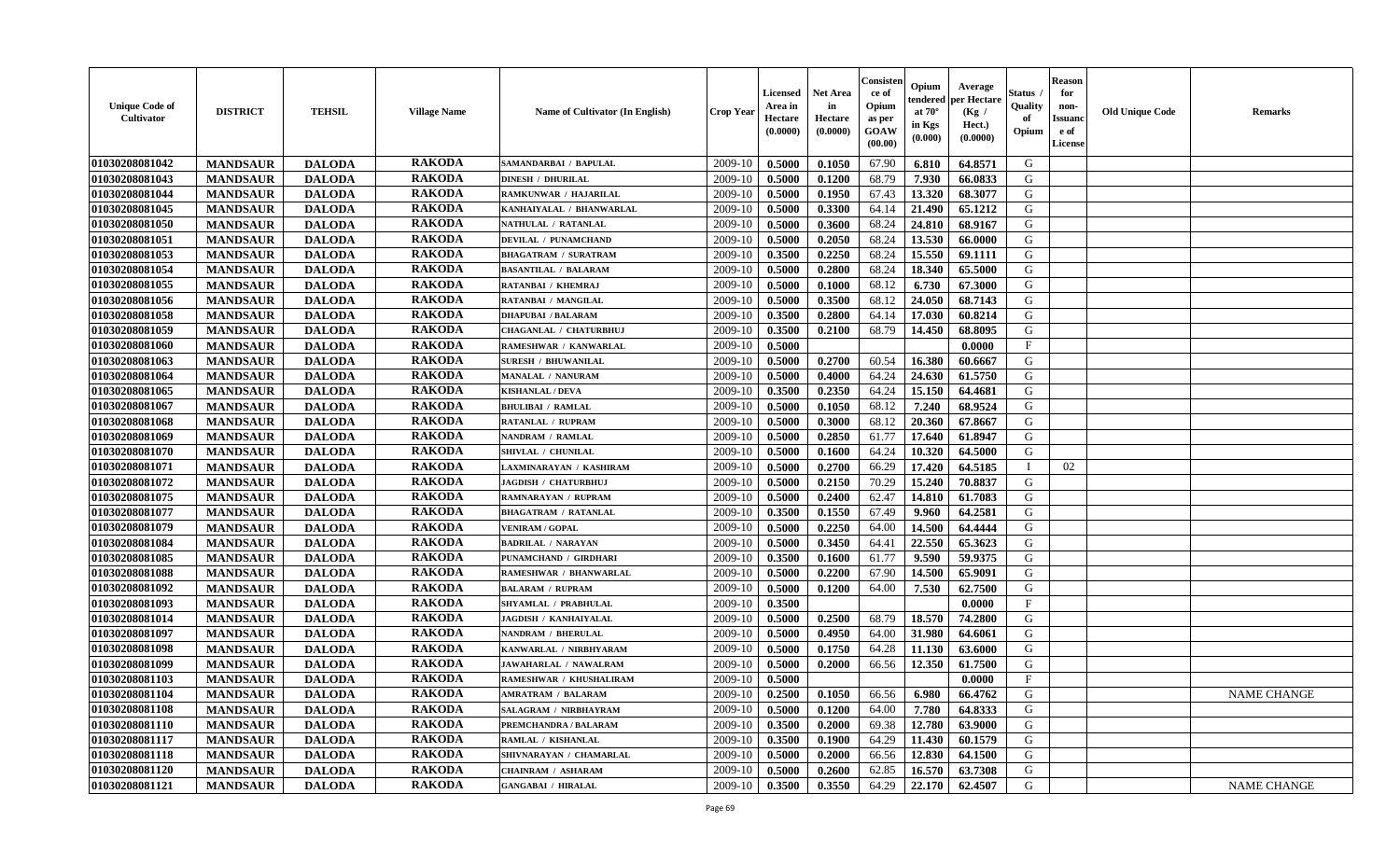| <b>Unique Code of</b><br>Cultivator | <b>DISTRICT</b> | <b>TEHSIL</b> | <b>Village Name</b> | Name of Cultivator (In English) | <b>Crop Year</b> | <b>Licensed</b><br>Area in<br>Hectare<br>(0.0000) | Net Area<br>in<br>Hectare<br>(0.0000) | Consister<br>ce of<br>Opium<br>as per<br>GOAW<br>(00.00) | Opium<br>endered<br>at $70^\circ$<br>in Kgs<br>(0.000) | Average<br>per Hectare<br>(Kg /<br>Hect.)<br>(0.0000) | Status<br>Quality<br>of<br>Opium | <b>Reason</b><br>for<br>non-<br><b>Issuand</b><br>e of<br>License | <b>Old Unique Code</b> | Remarks            |
|-------------------------------------|-----------------|---------------|---------------------|---------------------------------|------------------|---------------------------------------------------|---------------------------------------|----------------------------------------------------------|--------------------------------------------------------|-------------------------------------------------------|----------------------------------|-------------------------------------------------------------------|------------------------|--------------------|
| 01030208081042                      | <b>MANDSAUR</b> | <b>DALODA</b> | <b>RAKODA</b>       | SAMANDARBAI / BAPULAL           | 2009-10          | 0.5000                                            | 0.1050                                | 67.90                                                    | 6.810                                                  | 64.8571                                               | G                                |                                                                   |                        |                    |
| 01030208081043                      | <b>MANDSAUR</b> | <b>DALODA</b> | <b>RAKODA</b>       | <b>DINESH / DHURILAL</b>        | 2009-10          | 0.5000                                            | 0.1200                                | 68.79                                                    | 7.930                                                  | 66.0833                                               | G                                |                                                                   |                        |                    |
| 01030208081044                      | <b>MANDSAUR</b> | <b>DALODA</b> | <b>RAKODA</b>       | RAMKUNWAR / HAJARILAL           | 2009-10          | 0.5000                                            | 0.1950                                | 67.43                                                    | 13.320                                                 | 68.3077                                               | G                                |                                                                   |                        |                    |
| 01030208081045                      | <b>MANDSAUR</b> | <b>DALODA</b> | <b>RAKODA</b>       | KANHAIYALAL / BHANWARLAL        | 2009-10          | 0.5000                                            | 0.3300                                | 64.14                                                    | 21.490                                                 | 65.1212                                               | G                                |                                                                   |                        |                    |
| 01030208081050                      | <b>MANDSAUR</b> | <b>DALODA</b> | <b>RAKODA</b>       | NATHULAL / RATANLAL             | 2009-10          | 0.5000                                            | 0.3600                                | 68.24                                                    | 24.810                                                 | 68.9167                                               | G                                |                                                                   |                        |                    |
| 01030208081051                      | <b>MANDSAUR</b> | <b>DALODA</b> | <b>RAKODA</b>       | <b>DEVILAL / PUNAMCHAND</b>     | 2009-10          | 0.5000                                            | 0.2050                                | 68.24                                                    | 13.530                                                 | 66.0000                                               | G                                |                                                                   |                        |                    |
| 01030208081053                      | <b>MANDSAUR</b> | <b>DALODA</b> | <b>RAKODA</b>       | <b>BHAGATRAM / SURATRAM</b>     | 2009-10          | 0.3500                                            | 0.2250                                | 68.24                                                    | 15.550                                                 | 69.1111                                               | G                                |                                                                   |                        |                    |
| 01030208081054                      | <b>MANDSAUR</b> | <b>DALODA</b> | <b>RAKODA</b>       | <b>BASANTILAL / BALARAM</b>     | 2009-10          | 0.5000                                            | 0.2800                                | 68.24                                                    | 18.340                                                 | 65.5000                                               | G                                |                                                                   |                        |                    |
| 01030208081055                      | <b>MANDSAUR</b> | <b>DALODA</b> | <b>RAKODA</b>       | RATANBAI / KHEMRAJ              | 2009-10          | 0.5000                                            | 0.1000                                | 68.12                                                    | 6.730                                                  | 67.3000                                               | G                                |                                                                   |                        |                    |
| 01030208081056                      | <b>MANDSAUR</b> | <b>DALODA</b> | <b>RAKODA</b>       | <b>RATANBAI / MANGILAL</b>      | 2009-10          | 0.5000                                            | 0.3500                                | 68.12                                                    | 24.050                                                 | 68.7143                                               | G                                |                                                                   |                        |                    |
| 01030208081058                      | <b>MANDSAUR</b> | <b>DALODA</b> | <b>RAKODA</b>       | <b>DHAPUBAI / BALARAM</b>       | 2009-10          | 0.3500                                            | 0.2800                                | 64.14                                                    | 17.030                                                 | 60.8214                                               | G                                |                                                                   |                        |                    |
| 01030208081059                      | <b>MANDSAUR</b> | <b>DALODA</b> | <b>RAKODA</b>       | CHAGANLAL / CHATURBHUJ          | 2009-10          | 0.3500                                            | 0.2100                                | 68.79                                                    | 14.450                                                 | 68.8095                                               | G                                |                                                                   |                        |                    |
| 01030208081060                      | <b>MANDSAUR</b> | <b>DALODA</b> | <b>RAKODA</b>       | RAMESHWAR / KANWARLAL           | 2009-10          | 0.5000                                            |                                       |                                                          |                                                        | 0.0000                                                | $\mathbf{F}$                     |                                                                   |                        |                    |
| 01030208081063                      | <b>MANDSAUR</b> | <b>DALODA</b> | <b>RAKODA</b>       | <b>SURESH / BHUWANILAL</b>      | 2009-10          | 0.5000                                            | 0.2700                                | 60.54                                                    | 16.380                                                 | 60.6667                                               | G                                |                                                                   |                        |                    |
| 01030208081064                      | <b>MANDSAUR</b> | <b>DALODA</b> | <b>RAKODA</b>       | MANALAL / NANURAM               | 2009-10          | 0.5000                                            | 0.4000                                | 64.24                                                    | 24.630                                                 | 61.5750                                               | $\mathbf G$                      |                                                                   |                        |                    |
| 01030208081065                      | <b>MANDSAUR</b> | <b>DALODA</b> | <b>RAKODA</b>       | <b>KISHANLAL / DEVA</b>         | 2009-10          | 0.3500                                            | 0.2350                                | 64.24                                                    | 15.150                                                 | 64.4681                                               | G                                |                                                                   |                        |                    |
| 01030208081067                      | <b>MANDSAUR</b> | <b>DALODA</b> | <b>RAKODA</b>       | <b>BHULIBAI / RAMLAL</b>        | 2009-10          | 0.5000                                            | 0.1050                                | 68.12                                                    | 7.240                                                  | 68.9524                                               | G                                |                                                                   |                        |                    |
| 01030208081068                      | <b>MANDSAUR</b> | <b>DALODA</b> | <b>RAKODA</b>       | RATANLAL / RUPRAM               | 2009-10          | 0.5000                                            | 0.3000                                | 68.12                                                    | 20.360                                                 | 67.8667                                               | G                                |                                                                   |                        |                    |
| 01030208081069                      | <b>MANDSAUR</b> | <b>DALODA</b> | <b>RAKODA</b>       | <b>NANDRAM / RAMLAL</b>         | 2009-10          | 0.5000                                            | 0.2850                                | 61.77                                                    | 17.640                                                 | 61.8947                                               | G                                |                                                                   |                        |                    |
| 01030208081070                      | <b>MANDSAUR</b> | <b>DALODA</b> | <b>RAKODA</b>       | SHIVLAL / CHUNILAL              | 2009-10          | 0.5000                                            | 0.1600                                | 64.24                                                    | 10.320                                                 | 64.5000                                               | G                                |                                                                   |                        |                    |
| 01030208081071                      | <b>MANDSAUR</b> | <b>DALODA</b> | <b>RAKODA</b>       | LAXMINARAYAN / KASHIRAM         | 2009-10          | 0.5000                                            | 0.2700                                | 66.29                                                    | 17.420                                                 | 64.5185                                               | $\mathbf I$                      | 02                                                                |                        |                    |
| 01030208081072                      | <b>MANDSAUR</b> | <b>DALODA</b> | <b>RAKODA</b>       | JAGDISH / CHATURBHUJ            | 2009-10          | 0.5000                                            | 0.2150                                | 70.29                                                    | 15.240                                                 | 70.8837                                               | G                                |                                                                   |                        |                    |
| 01030208081075                      | <b>MANDSAUR</b> | <b>DALODA</b> | <b>RAKODA</b>       | RAMNARAYAN / RUPRAM             | 2009-10          | 0.5000                                            | 0.2400                                | 62.47                                                    | 14.810                                                 | 61.7083                                               | G                                |                                                                   |                        |                    |
| 01030208081077                      | <b>MANDSAUR</b> | <b>DALODA</b> | <b>RAKODA</b>       | <b>BHAGATRAM / RATANLAL</b>     | 2009-10          | 0.3500                                            | 0.1550                                | 67.49                                                    | 9.960                                                  | 64.2581                                               | G                                |                                                                   |                        |                    |
| 01030208081079                      | <b>MANDSAUR</b> | <b>DALODA</b> | <b>RAKODA</b>       | <b>VENIRAM / GOPAL</b>          | 2009-10          | 0.5000                                            | 0.2250                                | 64.00                                                    | 14.500                                                 | 64.4444                                               | G                                |                                                                   |                        |                    |
| 01030208081084                      | <b>MANDSAUR</b> | <b>DALODA</b> | <b>RAKODA</b>       | <b>BADRILAL / NARAYAN</b>       | 2009-10          | 0.5000                                            | 0.3450                                | 64.41                                                    | 22.550                                                 | 65.3623                                               | G                                |                                                                   |                        |                    |
| 01030208081085                      | <b>MANDSAUR</b> | <b>DALODA</b> | <b>RAKODA</b>       | PUNAMCHAND / GIRDHARI           | 2009-10          | 0.3500                                            | 0.1600                                | 61.77                                                    | 9.590                                                  | 59.9375                                               | G                                |                                                                   |                        |                    |
| 01030208081088                      | <b>MANDSAUR</b> | <b>DALODA</b> | <b>RAKODA</b>       | RAMESHWAR / BHANWARLAL          | 2009-10          | 0.5000                                            | 0.2200                                | 67.90                                                    | 14.500                                                 | 65.9091                                               | G                                |                                                                   |                        |                    |
| 01030208081092                      | <b>MANDSAUR</b> | <b>DALODA</b> | <b>RAKODA</b>       | <b>BALARAM / RUPRAM</b>         | 2009-10          | 0.5000                                            | 0.1200                                | 64.00                                                    | 7.530                                                  | 62.7500                                               | G                                |                                                                   |                        |                    |
| 01030208081093                      | <b>MANDSAUR</b> | <b>DALODA</b> | <b>RAKODA</b>       | <b>SHYAMLAL / PRABHULAL</b>     | 2009-10          | 0.3500                                            |                                       |                                                          |                                                        | 0.0000                                                | $_{\rm F}$                       |                                                                   |                        |                    |
| 01030208081014                      | <b>MANDSAUR</b> | <b>DALODA</b> | <b>RAKODA</b>       | <b>JAGDISH / KANHAIYALAL</b>    | 2009-10          | 0.5000                                            | 0.2500                                | 68.79                                                    | 18.570                                                 | 74.2800                                               | G                                |                                                                   |                        |                    |
| 01030208081097                      | <b>MANDSAUR</b> | <b>DALODA</b> | <b>RAKODA</b>       | <b>NANDRAM / BHERULAL</b>       | 2009-10          | 0.5000                                            | 0.4950                                | 64.00                                                    | 31.980                                                 | 64.6061                                               | G                                |                                                                   |                        |                    |
| 01030208081098                      | <b>MANDSAUR</b> | <b>DALODA</b> | <b>RAKODA</b>       | KANWARLAL / NIRBHYARAM          | 2009-10          | 0.5000                                            | 0.1750                                | 64.28                                                    | 11.130                                                 | 63.6000                                               | G                                |                                                                   |                        |                    |
| 01030208081099                      | <b>MANDSAUR</b> | <b>DALODA</b> | <b>RAKODA</b>       | <b>JAWAHARLAL / NAWALRAM</b>    | 2009-10          | 0.5000                                            | 0.2000                                | 66.56                                                    | 12.350                                                 | 61.7500                                               | G                                |                                                                   |                        |                    |
| 01030208081103                      | <b>MANDSAUR</b> | <b>DALODA</b> | <b>RAKODA</b>       | RAMESHWAR / KHUSHALIRAM         | 2009-10          | 0.5000                                            |                                       |                                                          |                                                        | 0.0000                                                | F                                |                                                                   |                        |                    |
| 01030208081104                      | <b>MANDSAUR</b> | <b>DALODA</b> | <b>RAKODA</b>       | <b>AMRATRAM / BALARAM</b>       | 2009-10          | 0.2500                                            | 0.1050                                | 66.56                                                    | 6.980                                                  | 66.4762                                               | G                                |                                                                   |                        | <b>NAME CHANGE</b> |
| 01030208081108                      | <b>MANDSAUR</b> | <b>DALODA</b> | <b>RAKODA</b>       | <b>SALAGRAM / NIRBHAYRAM</b>    | 2009-10          | 0.5000                                            | 0.1200                                | 64.00                                                    | 7.780                                                  | 64.8333                                               | G                                |                                                                   |                        |                    |
| 01030208081110                      | <b>MANDSAUR</b> | <b>DALODA</b> | <b>RAKODA</b>       | PREMCHANDRA / BALARAM           | 2009-10          | 0.3500                                            | 0.2000                                | 69.38                                                    | 12.780                                                 | 63.9000                                               | G                                |                                                                   |                        |                    |
| 01030208081117                      | <b>MANDSAUR</b> | <b>DALODA</b> | <b>RAKODA</b>       | RAMLAL / KISHANLAL              | 2009-10          | 0.3500                                            | 0.1900                                | 64.29                                                    | 11.430                                                 | 60.1579                                               | G                                |                                                                   |                        |                    |
| 01030208081118                      | <b>MANDSAUR</b> | <b>DALODA</b> | <b>RAKODA</b>       | SHIVNARAYAN / CHAMARLAL         | 2009-10          | 0.5000                                            | 0.2000                                | 66.56                                                    | 12.830                                                 | 64.1500                                               | ${\bf G}$                        |                                                                   |                        |                    |
| 01030208081120                      | <b>MANDSAUR</b> | <b>DALODA</b> | <b>RAKODA</b>       | CHAINRAM / ASHARAM              | 2009-10          | 0.5000                                            | 0.2600                                | 62.85                                                    | 16.570                                                 | 63.7308                                               | G                                |                                                                   |                        |                    |
| 01030208081121                      | <b>MANDSAUR</b> | <b>DALODA</b> | <b>RAKODA</b>       | <b>GANGABAI / HIRALAL</b>       | 2009-10          | 0.3500                                            | 0.3550                                | 64.29                                                    | 22.170                                                 | 62.4507                                               | G                                |                                                                   |                        | <b>NAME CHANGE</b> |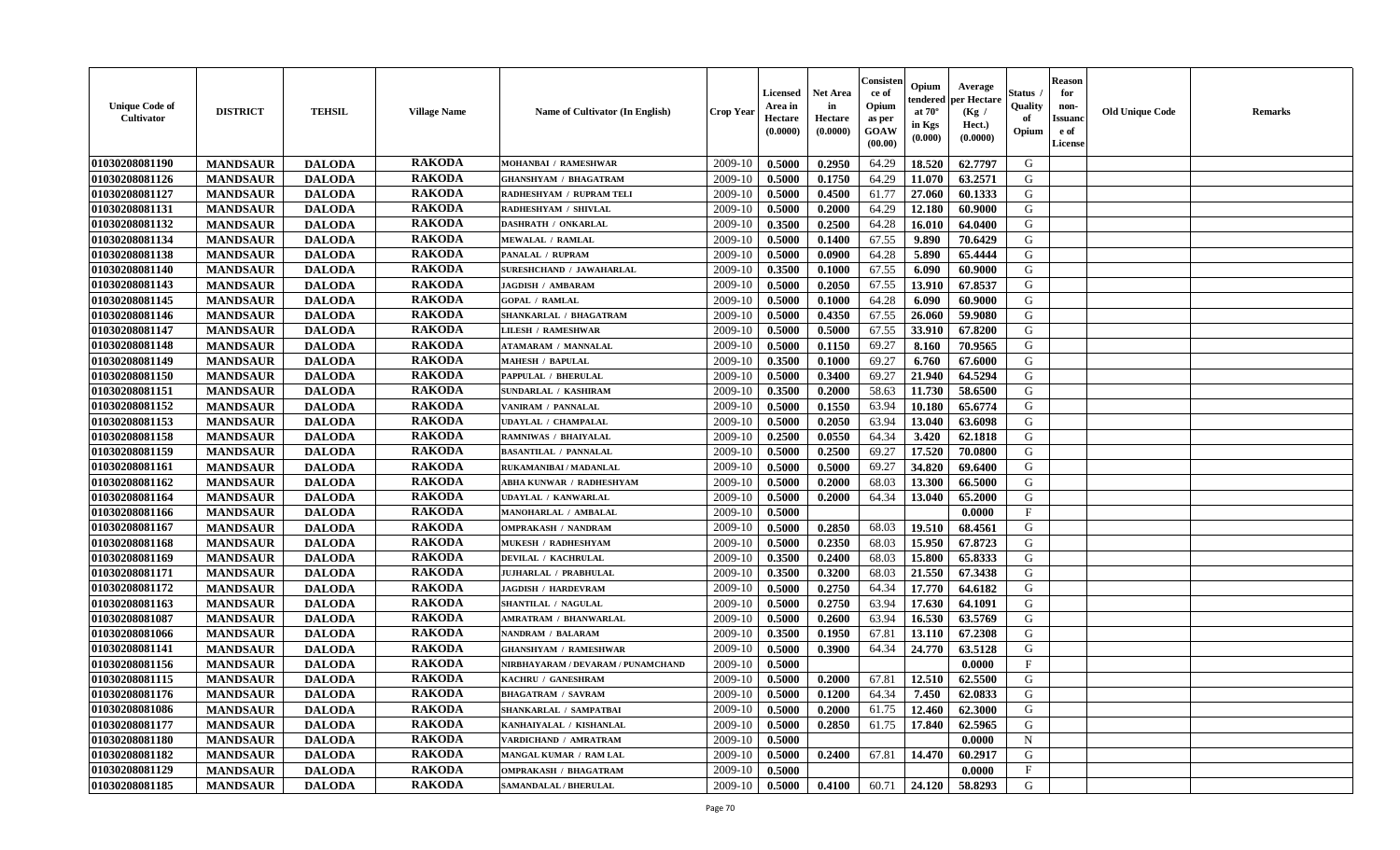| <b>Unique Code of</b><br><b>Cultivator</b> | <b>DISTRICT</b> | <b>TEHSIL</b> | <b>Village Name</b> | Name of Cultivator (In English)    | <b>Crop Year</b> | Licensed<br>Area in<br>Hectare<br>(0.0000) | <b>Net Area</b><br>in<br>Hectare<br>(0.0000) | Consisteı<br>ce of<br>Opium<br>as per<br>GOAW<br>(00.00) | Opium<br>endered<br>at $70^\circ$<br>in Kgs<br>(0.000) | Average<br>per Hectare<br>(Kg /<br>Hect.)<br>(0.0000) | Status<br>Quality<br>of<br>Opium | <b>Reason</b><br>for<br>non-<br><b>Issuand</b><br>e of<br><b>License</b> | <b>Old Unique Code</b> | <b>Remarks</b> |
|--------------------------------------------|-----------------|---------------|---------------------|------------------------------------|------------------|--------------------------------------------|----------------------------------------------|----------------------------------------------------------|--------------------------------------------------------|-------------------------------------------------------|----------------------------------|--------------------------------------------------------------------------|------------------------|----------------|
| 01030208081190                             | <b>MANDSAUR</b> | <b>DALODA</b> | <b>RAKODA</b>       | MOHANBAI / RAMESHWAR               | 2009-10          | 0.5000                                     | 0.2950                                       | 64.29                                                    | 18.520                                                 | 62.7797                                               | G                                |                                                                          |                        |                |
| 01030208081126                             | <b>MANDSAUR</b> | <b>DALODA</b> | <b>RAKODA</b>       | <b>GHANSHYAM / BHAGATRAM</b>       | 2009-10          | 0.5000                                     | 0.1750                                       | 64.29                                                    | 11.070                                                 | 63.2571                                               | G                                |                                                                          |                        |                |
| 01030208081127                             | <b>MANDSAUR</b> | <b>DALODA</b> | <b>RAKODA</b>       | RADHESHYAM / RUPRAM TELI           | 2009-10          | 0.5000                                     | 0.4500                                       | 61.77                                                    | 27.060                                                 | 60.1333                                               | G                                |                                                                          |                        |                |
| 01030208081131                             | <b>MANDSAUR</b> | <b>DALODA</b> | <b>RAKODA</b>       | RADHESHYAM / SHIVLAL               | 2009-10          | 0.5000                                     | 0.2000                                       | 64.29                                                    | 12.180                                                 | 60.9000                                               | G                                |                                                                          |                        |                |
| 01030208081132                             | <b>MANDSAUR</b> | <b>DALODA</b> | <b>RAKODA</b>       | <b>DASHRATH / ONKARLAL</b>         | 2009-10          | 0.3500                                     | 0.2500                                       | 64.28                                                    | 16.010                                                 | 64.0400                                               | G                                |                                                                          |                        |                |
| 01030208081134                             | <b>MANDSAUR</b> | <b>DALODA</b> | <b>RAKODA</b>       | <b>MEWALAL / RAMLAL</b>            | 2009-10          | 0.5000                                     | 0.1400                                       | 67.55                                                    | 9.890                                                  | 70.6429                                               | G                                |                                                                          |                        |                |
| 01030208081138                             | <b>MANDSAUR</b> | <b>DALODA</b> | <b>RAKODA</b>       | PANALAL / RUPRAM                   | 2009-10          | 0.5000                                     | 0.0900                                       | 64.28                                                    | 5.890                                                  | 65.4444                                               | G                                |                                                                          |                        |                |
| 01030208081140                             | <b>MANDSAUR</b> | <b>DALODA</b> | <b>RAKODA</b>       | SURESHCHAND / JAWAHARLAL           | 2009-10          | 0.3500                                     | 0.1000                                       | 67.55                                                    | 6.090                                                  | 60.9000                                               | G                                |                                                                          |                        |                |
| 01030208081143                             | <b>MANDSAUR</b> | <b>DALODA</b> | <b>RAKODA</b>       | <b>JAGDISH / AMBARAM</b>           | 2009-10          | 0.5000                                     | 0.2050                                       | 67.55                                                    | 13.910                                                 | 67.8537                                               | G                                |                                                                          |                        |                |
| 01030208081145                             | <b>MANDSAUR</b> | <b>DALODA</b> | <b>RAKODA</b>       | <b>GOPAL / RAMLAL</b>              | 2009-10          | 0.5000                                     | 0.1000                                       | 64.28                                                    | 6.090                                                  | 60.9000                                               | G                                |                                                                          |                        |                |
| 01030208081146                             | <b>MANDSAUR</b> | <b>DALODA</b> | <b>RAKODA</b>       | SHANKARLAL / BHAGATRAM             | 2009-10          | 0.5000                                     | 0.4350                                       | 67.55                                                    | 26.060                                                 | 59.9080                                               | G                                |                                                                          |                        |                |
| 01030208081147                             | <b>MANDSAUR</b> | <b>DALODA</b> | <b>RAKODA</b>       | <b>LILESH / RAMESHWAR</b>          | 2009-10          | 0.5000                                     | 0.5000                                       | 67.55                                                    | 33.910                                                 | 67.8200                                               | G                                |                                                                          |                        |                |
| 01030208081148                             | <b>MANDSAUR</b> | <b>DALODA</b> | <b>RAKODA</b>       | <b>ATAMARAM / MANNALAL</b>         | 2009-10          | 0.5000                                     | 0.1150                                       | 69.27                                                    | 8.160                                                  | 70.9565                                               | G                                |                                                                          |                        |                |
| 01030208081149                             | <b>MANDSAUR</b> | <b>DALODA</b> | <b>RAKODA</b>       | <b>MAHESH / BAPULAL</b>            | 2009-10          | 0.3500                                     | 0.1000                                       | 69.27                                                    | 6.760                                                  | 67.6000                                               | G                                |                                                                          |                        |                |
| 01030208081150                             | <b>MANDSAUR</b> | <b>DALODA</b> | <b>RAKODA</b>       | PAPPULAL / BHERULAL                | 2009-10          | 0.5000                                     | 0.3400                                       | 69.27                                                    | 21.940                                                 | 64.5294                                               | G                                |                                                                          |                        |                |
| 01030208081151                             | <b>MANDSAUR</b> | <b>DALODA</b> | <b>RAKODA</b>       | SUNDARLAL / KASHIRAM               | 2009-10          | 0.3500                                     | 0.2000                                       | 58.63                                                    | 11.730                                                 | 58.6500                                               | G                                |                                                                          |                        |                |
| 01030208081152                             | <b>MANDSAUR</b> | <b>DALODA</b> | <b>RAKODA</b>       | VANIRAM / PANNALAL                 | 2009-10          | 0.5000                                     | 0.1550                                       | 63.94                                                    | 10.180                                                 | 65.6774                                               | G                                |                                                                          |                        |                |
| 01030208081153                             | <b>MANDSAUR</b> | <b>DALODA</b> | <b>RAKODA</b>       | <b>UDAYLAL / CHAMPALAL</b>         | 2009-10          | 0.5000                                     | 0.2050                                       | 63.94                                                    | 13.040                                                 | 63.6098                                               | G                                |                                                                          |                        |                |
| 01030208081158                             | <b>MANDSAUR</b> | <b>DALODA</b> | <b>RAKODA</b>       | RAMNIWAS / BHAIYALAL               | 2009-10          | 0.2500                                     | 0.0550                                       | 64.34                                                    | 3.420                                                  | 62.1818                                               | G                                |                                                                          |                        |                |
| 01030208081159                             | <b>MANDSAUR</b> | <b>DALODA</b> | <b>RAKODA</b>       | <b>BASANTILAL / PANNALAL</b>       | 2009-10          | 0.5000                                     | 0.2500                                       | 69.27                                                    | 17.520                                                 | 70.0800                                               | G                                |                                                                          |                        |                |
| 01030208081161                             | <b>MANDSAUR</b> | <b>DALODA</b> | <b>RAKODA</b>       | RUKAMANIBAI / MADANLAL             | 2009-10          | 0.5000                                     | 0.5000                                       | 69.27                                                    | 34.820                                                 | 69.6400                                               | G                                |                                                                          |                        |                |
| 01030208081162                             | <b>MANDSAUR</b> | <b>DALODA</b> | <b>RAKODA</b>       | ABHA KUNWAR / RADHESHYAM           | 2009-10          | 0.5000                                     | 0.2000                                       | 68.03                                                    | 13.300                                                 | 66.5000                                               | G                                |                                                                          |                        |                |
| 01030208081164                             | <b>MANDSAUR</b> | <b>DALODA</b> | <b>RAKODA</b>       | UDAYLAL / KANWARLAL                | 2009-10          | 0.5000                                     | 0.2000                                       | 64.34                                                    | 13.040                                                 | 65.2000                                               | G                                |                                                                          |                        |                |
| 01030208081166                             | <b>MANDSAUR</b> | <b>DALODA</b> | <b>RAKODA</b>       | MANOHARLAL / AMBALAL               | 2009-10          | 0.5000                                     |                                              |                                                          |                                                        | 0.0000                                                | $\rm F$                          |                                                                          |                        |                |
| 01030208081167                             | <b>MANDSAUR</b> | <b>DALODA</b> | <b>RAKODA</b>       | <b>OMPRAKASH / NANDRAM</b>         | 2009-10          | 0.5000                                     | 0.2850                                       | 68.03                                                    | 19.510                                                 | 68.4561                                               | G                                |                                                                          |                        |                |
| 01030208081168                             | <b>MANDSAUR</b> | <b>DALODA</b> | <b>RAKODA</b>       | <b>MUKESH / RADHESHYAM</b>         | 2009-10          | 0.5000                                     | 0.2350                                       | 68.03                                                    | 15.950                                                 | 67.8723                                               | G                                |                                                                          |                        |                |
| 01030208081169                             | <b>MANDSAUR</b> | <b>DALODA</b> | <b>RAKODA</b>       | <b>DEVILAL / KACHRULAL</b>         | 2009-10          | 0.3500                                     | 0.2400                                       | 68.03                                                    | 15.800                                                 | 65.8333                                               | G                                |                                                                          |                        |                |
| 01030208081171                             | <b>MANDSAUR</b> | <b>DALODA</b> | <b>RAKODA</b>       | JUJHARLAL / PRABHULAL              | 2009-10          | 0.3500                                     | 0.3200                                       | 68.03                                                    | 21.550                                                 | 67.3438                                               | G                                |                                                                          |                        |                |
| 01030208081172                             | <b>MANDSAUR</b> | <b>DALODA</b> | <b>RAKODA</b>       | <b>JAGDISH / HARDEVRAM</b>         | 2009-10          | 0.5000                                     | 0.2750                                       | 64.34                                                    | 17.770                                                 | 64.6182                                               | G                                |                                                                          |                        |                |
| 01030208081163                             | <b>MANDSAUR</b> | <b>DALODA</b> | <b>RAKODA</b>       | SHANTILAL / NAGULAL                | 2009-10          | 0.5000                                     | 0.2750                                       | 63.94                                                    | 17.630                                                 | 64.1091                                               | G                                |                                                                          |                        |                |
| 01030208081087                             | <b>MANDSAUR</b> | <b>DALODA</b> | <b>RAKODA</b>       | <b>AMRATRAM / BHANWARLAL</b>       | 2009-10          | 0.5000                                     | 0.2600                                       | 63.94                                                    | 16.530                                                 | 63.5769                                               | ${\bf G}$                        |                                                                          |                        |                |
| 01030208081066                             | <b>MANDSAUR</b> | <b>DALODA</b> | <b>RAKODA</b>       | <b>NANDRAM / BALARAM</b>           | 2009-10          | 0.3500                                     | 0.1950                                       | 67.81                                                    | 13.110                                                 | 67.2308                                               | G                                |                                                                          |                        |                |
| 01030208081141                             | <b>MANDSAUR</b> | <b>DALODA</b> | <b>RAKODA</b>       | <b>GHANSHYAM / RAMESHWAR</b>       | 2009-10          | 0.5000                                     | 0.3900                                       | 64.34                                                    | 24.770                                                 | 63.5128                                               | G                                |                                                                          |                        |                |
| 01030208081156                             | <b>MANDSAUR</b> | <b>DALODA</b> | <b>RAKODA</b>       | NIRBHAYARAM / DEVARAM / PUNAMCHAND | 2009-10          | 0.5000                                     |                                              |                                                          |                                                        | 0.0000                                                | $\mathbf{F}$                     |                                                                          |                        |                |
| 01030208081115                             | <b>MANDSAUR</b> | <b>DALODA</b> | <b>RAKODA</b>       | KACHRU / GANESHRAM                 | 2009-10          | 0.5000                                     | 0.2000                                       | 67.81                                                    | 12.510                                                 | 62.5500                                               | G                                |                                                                          |                        |                |
| 01030208081176                             | <b>MANDSAUR</b> | <b>DALODA</b> | <b>RAKODA</b>       | <b>BHAGATRAM / SAVRAM</b>          | 2009-10          | 0.5000                                     | 0.1200                                       | 64.34                                                    | 7.450                                                  | 62.0833                                               | G                                |                                                                          |                        |                |
| 01030208081086                             | <b>MANDSAUR</b> | <b>DALODA</b> | <b>RAKODA</b>       | SHANKARLAL / SAMPATBAI             | 2009-10          | 0.5000                                     | 0.2000                                       | 61.75                                                    | 12.460                                                 | 62.3000                                               | G                                |                                                                          |                        |                |
| 01030208081177                             | <b>MANDSAUR</b> | <b>DALODA</b> | <b>RAKODA</b>       | KANHAIYALAL / KISHANLAL            | 2009-10          | 0.5000                                     | 0.2850                                       | 61.75                                                    | 17.840                                                 | 62.5965                                               | G                                |                                                                          |                        |                |
| 01030208081180                             | <b>MANDSAUR</b> | <b>DALODA</b> | <b>RAKODA</b>       | VARDICHAND / AMRATRAM              | 2009-10          | 0.5000                                     |                                              |                                                          |                                                        | 0.0000                                                | N                                |                                                                          |                        |                |
| 01030208081182                             | <b>MANDSAUR</b> | <b>DALODA</b> | <b>RAKODA</b>       | MANGAL KUMAR / RAM LAL             | 2009-10          | 0.5000                                     | 0.2400                                       | 67.81                                                    | 14.470                                                 | 60.2917                                               | G                                |                                                                          |                        |                |
| 01030208081129                             | <b>MANDSAUR</b> | <b>DALODA</b> | <b>RAKODA</b>       | OMPRAKASH / BHAGATRAM              | 2009-10          | 0.5000                                     |                                              |                                                          |                                                        | 0.0000                                                | $\mathbf{F}$                     |                                                                          |                        |                |
| 01030208081185                             | <b>MANDSAUR</b> | <b>DALODA</b> | <b>RAKODA</b>       | SAMANDALAL / BHERULAL              | 2009-10          | 0.5000                                     | 0.4100                                       | 60.71                                                    | 24.120                                                 | 58.8293                                               | G                                |                                                                          |                        |                |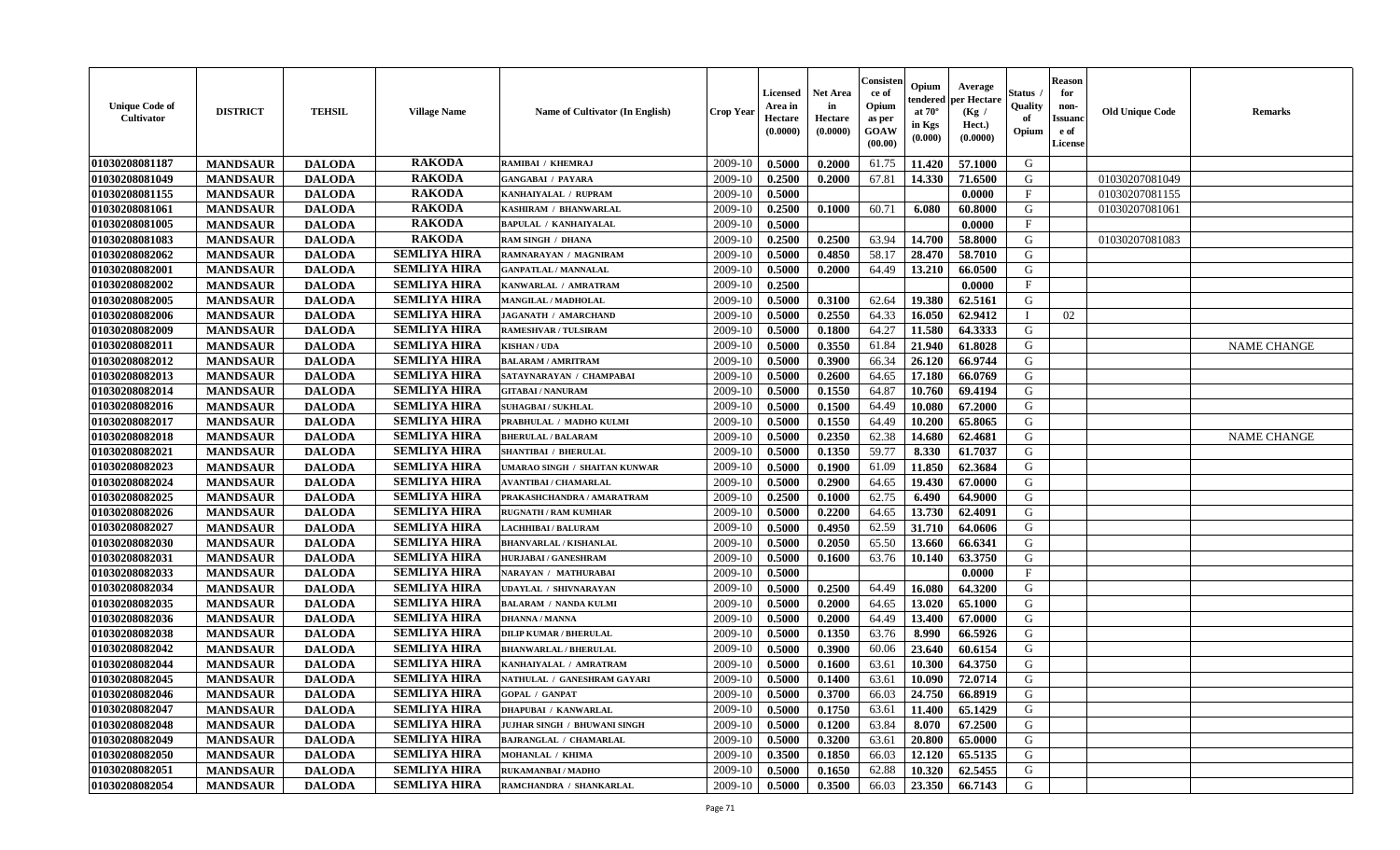| <b>Unique Code of</b><br>Cultivator | <b>DISTRICT</b> | <b>TEHSIL</b> | <b>Village Name</b> | Name of Cultivator (In English) | <b>Crop Year</b> | Licensed<br>Area in<br>Hectare<br>(0.0000) | Net Area<br>in<br>Hectare<br>(0.0000) | Consisten<br>ce of<br>Opium<br>as per<br>GOAW<br>(00.00) | Opium<br>tendered<br>at $70^\circ$<br>in Kgs<br>(0.000) | Average<br>per Hectare<br>(Kg /<br>Hect.)<br>(0.0000) | Status<br>Quality<br>of<br>Opium | <b>Reason</b><br>for<br>non-<br>Issuanc<br>e of<br>License | <b>Old Unique Code</b> | <b>Remarks</b>     |
|-------------------------------------|-----------------|---------------|---------------------|---------------------------------|------------------|--------------------------------------------|---------------------------------------|----------------------------------------------------------|---------------------------------------------------------|-------------------------------------------------------|----------------------------------|------------------------------------------------------------|------------------------|--------------------|
| 01030208081187                      | <b>MANDSAUR</b> | <b>DALODA</b> | <b>RAKODA</b>       | RAMIBAI / KHEMRAJ               | 2009-10          | 0.5000                                     | 0.2000                                | 61.75                                                    | 11.420                                                  | 57.1000                                               | G                                |                                                            |                        |                    |
| 01030208081049                      | <b>MANDSAUR</b> | <b>DALODA</b> | <b>RAKODA</b>       | <b>GANGABAI / PAYARA</b>        | 2009-10          | 0.2500                                     | 0.2000                                | 67.81                                                    | 14.330                                                  | 71.6500                                               | G                                |                                                            | 01030207081049         |                    |
| 01030208081155                      | <b>MANDSAUR</b> | <b>DALODA</b> | <b>RAKODA</b>       | KANHAIYALAL / RUPRAM            | 2009-10          | 0.5000                                     |                                       |                                                          |                                                         | 0.0000                                                | $\mathbf{F}$                     |                                                            | 01030207081155         |                    |
| 01030208081061                      | <b>MANDSAUR</b> | <b>DALODA</b> | <b>RAKODA</b>       | KASHIRAM / BHANWARLAL           | 2009-10          | 0.2500                                     | 0.1000                                | 60.71                                                    | 6.080                                                   | 60.8000                                               | G                                |                                                            | 01030207081061         |                    |
| 01030208081005                      | <b>MANDSAUR</b> | <b>DALODA</b> | <b>RAKODA</b>       | <b>BAPULAL / KANHAIYALAL</b>    | 2009-10          | 0.5000                                     |                                       |                                                          |                                                         | 0.0000                                                | $\mathbf F$                      |                                                            |                        |                    |
| 01030208081083                      | <b>MANDSAUR</b> | <b>DALODA</b> | <b>RAKODA</b>       | RAM SINGH / DHANA               | 2009-10          | 0.2500                                     | 0.2500                                | 63.94                                                    | 14.700                                                  | 58.8000                                               | G                                |                                                            | 01030207081083         |                    |
| 01030208082062                      | <b>MANDSAUR</b> | <b>DALODA</b> | <b>SEMLIYA HIRA</b> | RAMNARAYAN / MAGNIRAM           | 2009-10          | 0.5000                                     | 0.4850                                | 58.17                                                    | 28.470                                                  | 58.7010                                               | G                                |                                                            |                        |                    |
| 01030208082001                      | <b>MANDSAUR</b> | <b>DALODA</b> | <b>SEMLIYA HIRA</b> | <b>GANPATLAL / MANNALAL</b>     | 2009-10          | 0.5000                                     | 0.2000                                | 64.49                                                    | 13.210                                                  | 66.0500                                               | G                                |                                                            |                        |                    |
| 01030208082002                      | <b>MANDSAUR</b> | <b>DALODA</b> | <b>SEMLIYA HIRA</b> | KANWARLAL / AMRATRAM            | 2009-10          | 0.2500                                     |                                       |                                                          |                                                         | 0.0000                                                | $\mathbf{F}$                     |                                                            |                        |                    |
| 01030208082005                      | <b>MANDSAUR</b> | <b>DALODA</b> | <b>SEMLIYA HIRA</b> | MANGILAL / MADHOLAL             | 2009-10          | 0.5000                                     | 0.3100                                | 62.64                                                    | 19.380                                                  | 62.5161                                               | G                                |                                                            |                        |                    |
| 01030208082006                      | <b>MANDSAUR</b> | <b>DALODA</b> | <b>SEMLIYA HIRA</b> | <b>JAGANATH / AMARCHAND</b>     | 2009-10          | 0.5000                                     | 0.2550                                | 64.33                                                    | 16.050                                                  | 62.9412                                               | $\mathbf I$                      | 02                                                         |                        |                    |
| 01030208082009                      | <b>MANDSAUR</b> | <b>DALODA</b> | <b>SEMLIYA HIRA</b> | <b>RAMESHVAR / TULSIRAM</b>     | 2009-10          | 0.5000                                     | 0.1800                                | 64.27                                                    | 11.580                                                  | 64.3333                                               | G                                |                                                            |                        |                    |
| 01030208082011                      | <b>MANDSAUR</b> | <b>DALODA</b> | <b>SEMLIYA HIRA</b> | <b>KISHAN / UDA</b>             | 2009-10          | 0.5000                                     | 0.3550                                | 61.84                                                    | 21.940                                                  | 61.8028                                               | G                                |                                                            |                        | <b>NAME CHANGE</b> |
| 01030208082012                      | <b>MANDSAUR</b> | <b>DALODA</b> | <b>SEMLIYA HIRA</b> | <b>BALARAM / AMRITRAM</b>       | 2009-10          | 0.5000                                     | 0.3900                                | 66.34                                                    | 26.120                                                  | 66.9744                                               | G                                |                                                            |                        |                    |
| 01030208082013                      | <b>MANDSAUR</b> | <b>DALODA</b> | <b>SEMLIYA HIRA</b> | SATAYNARAYAN / CHAMPABAI        | 2009-10          | 0.5000                                     | 0.2600                                | 64.65                                                    | 17.180                                                  | 66.0769                                               | G                                |                                                            |                        |                    |
| 01030208082014                      | <b>MANDSAUR</b> | <b>DALODA</b> | <b>SEMLIYA HIRA</b> | <b>GITABAI/NANURAM</b>          | 2009-10          | 0.5000                                     | 0.1550                                | 64.87                                                    | 10.760                                                  | 69.4194                                               | G                                |                                                            |                        |                    |
| 01030208082016                      | <b>MANDSAUR</b> | <b>DALODA</b> | <b>SEMLIYA HIRA</b> | SUHAGBAI / SUKHLAL              | 2009-10          | 0.5000                                     | 0.1500                                | 64.49                                                    | 10.080                                                  | 67.2000                                               | G                                |                                                            |                        |                    |
| 01030208082017                      | <b>MANDSAUR</b> | <b>DALODA</b> | <b>SEMLIYA HIRA</b> | PRABHULAL / MADHO KULMI         | 2009-10          | 0.5000                                     | 0.1550                                | 64.49                                                    | 10.200                                                  | 65.8065                                               | G                                |                                                            |                        |                    |
| 01030208082018                      | <b>MANDSAUR</b> | <b>DALODA</b> | <b>SEMLIYA HIRA</b> | <b>BHERULAL / BALARAM</b>       | 2009-10          | 0.5000                                     | 0.2350                                | 62.38                                                    | 14.680                                                  | 62.4681                                               | G                                |                                                            |                        | <b>NAME CHANGE</b> |
| 01030208082021                      | <b>MANDSAUR</b> | <b>DALODA</b> | <b>SEMLIYA HIRA</b> | <b>SHANTIBAI / BHERULAL</b>     | 2009-10          | 0.5000                                     | 0.1350                                | 59.77                                                    | 8.330                                                   | 61.7037                                               | G                                |                                                            |                        |                    |
| 01030208082023                      | <b>MANDSAUR</b> | <b>DALODA</b> | <b>SEMLIYA HIRA</b> | UMARAO SINGH / SHAITAN KUNWAR   | 2009-10          | 0.5000                                     | 0.1900                                | 61.09                                                    | 11.850                                                  | 62.3684                                               | G                                |                                                            |                        |                    |
| 01030208082024                      | <b>MANDSAUR</b> | <b>DALODA</b> | <b>SEMLIYA HIRA</b> | <b>AVANTIBAI / CHAMARLAL</b>    | 2009-10          | 0.5000                                     | 0.2900                                | 64.65                                                    | 19.430                                                  | 67.0000                                               | G                                |                                                            |                        |                    |
| 01030208082025                      | <b>MANDSAUR</b> | <b>DALODA</b> | <b>SEMLIYA HIRA</b> | PRAKASHCHANDRA / AMARATRAM      | 2009-10          | 0.2500                                     | 0.1000                                | 62.75                                                    | 6.490                                                   | 64.9000                                               | G                                |                                                            |                        |                    |
| 01030208082026                      | <b>MANDSAUR</b> | <b>DALODA</b> | <b>SEMLIYA HIRA</b> | <b>RUGNATH / RAM KUMHAR</b>     | 2009-10          | 0.5000                                     | 0.2200                                | 64.65                                                    | 13.730                                                  | 62.4091                                               | G                                |                                                            |                        |                    |
| 01030208082027                      | <b>MANDSAUR</b> | <b>DALODA</b> | <b>SEMLIYA HIRA</b> | LACHHIBAI / BALURAM             | 2009-10          | 0.5000                                     | 0.4950                                | 62.59                                                    | 31.710                                                  | 64.0606                                               | G                                |                                                            |                        |                    |
| 01030208082030                      | <b>MANDSAUR</b> | <b>DALODA</b> | <b>SEMLIYA HIRA</b> | <b>BHANVARLAL / KISHANLAL</b>   | 2009-10          | 0.5000                                     | 0.2050                                | 65.50                                                    | 13.660                                                  | 66.6341                                               | G                                |                                                            |                        |                    |
| 01030208082031                      | <b>MANDSAUR</b> | <b>DALODA</b> | <b>SEMLIYA HIRA</b> | HURJABAI / GANESHRAM            | 2009-10          | 0.5000                                     | 0.1600                                | 63.76                                                    | 10.140                                                  | 63.3750                                               | G                                |                                                            |                        |                    |
| 01030208082033                      | <b>MANDSAUR</b> | <b>DALODA</b> | <b>SEMLIYA HIRA</b> | NARAYAN / MATHURABAI            | 2009-10          | 0.5000                                     |                                       |                                                          |                                                         | 0.0000                                                | $_{\rm F}$                       |                                                            |                        |                    |
| 01030208082034                      | <b>MANDSAUR</b> | <b>DALODA</b> | <b>SEMLIYA HIRA</b> | <b>UDAYLAL / SHIVNARAYAN</b>    | 2009-10          | 0.5000                                     | 0.2500                                | 64.49                                                    | 16.080                                                  | 64.3200                                               | G                                |                                                            |                        |                    |
| 01030208082035                      | <b>MANDSAUR</b> | <b>DALODA</b> | <b>SEMLIYA HIRA</b> | <b>BALARAM / NANDA KULMI</b>    | 2009-10          | 0.5000                                     | 0.2000                                | 64.65                                                    | 13.020                                                  | 65.1000                                               | G                                |                                                            |                        |                    |
| 01030208082036                      | <b>MANDSAUR</b> | <b>DALODA</b> | <b>SEMLIYA HIRA</b> | <b>DHANNA / MANNA</b>           | 2009-10          | 0.5000                                     | 0.2000                                | 64.49                                                    | 13.400                                                  | 67.0000                                               | G                                |                                                            |                        |                    |
| 01030208082038                      | <b>MANDSAUR</b> | <b>DALODA</b> | <b>SEMLIYA HIRA</b> | <b>DILIP KUMAR / BHERULAL</b>   | 2009-10          | 0.5000                                     | 0.1350                                | 63.76                                                    | 8.990                                                   | 66.5926                                               | G                                |                                                            |                        |                    |
| 01030208082042                      | <b>MANDSAUR</b> | <b>DALODA</b> | <b>SEMLIYA HIRA</b> | <b>BHANWARLAL / BHERULAL</b>    | 2009-10          | 0.5000                                     | 0.3900                                | 60.06                                                    | 23.640                                                  | 60.6154                                               | G                                |                                                            |                        |                    |
| 01030208082044                      | <b>MANDSAUR</b> | <b>DALODA</b> | <b>SEMLIYA HIRA</b> | KANHAIYALAL / AMRATRAM          | 2009-10          | 0.5000                                     | 0.1600                                | 63.61                                                    | 10.300                                                  | 64.3750                                               | G                                |                                                            |                        |                    |
| 01030208082045                      | <b>MANDSAUR</b> | <b>DALODA</b> | <b>SEMLIYA HIRA</b> | NATHULAL / GANESHRAM GAYARI     | 2009-10          | 0.5000                                     | 0.1400                                | 63.61                                                    | 10.090                                                  | 72.0714                                               | G                                |                                                            |                        |                    |
| 01030208082046                      | <b>MANDSAUR</b> | <b>DALODA</b> | <b>SEMLIYA HIRA</b> | <b>GOPAL / GANPAT</b>           | 2009-10          | 0.5000                                     | 0.3700                                | 66.03                                                    | 24.750                                                  | 66.8919                                               | G                                |                                                            |                        |                    |
| 01030208082047                      | <b>MANDSAUR</b> | <b>DALODA</b> | <b>SEMLIYA HIRA</b> | <b>DHAPUBAI / KANWARLAL</b>     | 2009-10          | 0.5000                                     | 0.1750                                | 63.61                                                    | 11.400                                                  | 65.1429                                               | G                                |                                                            |                        |                    |
| 01030208082048                      | <b>MANDSAUR</b> | <b>DALODA</b> | <b>SEMLIYA HIRA</b> | JUJHAR SINGH / BHUWANI SINGH    | 2009-10          | 0.5000                                     | 0.1200                                | 63.84                                                    | 8.070                                                   | 67.2500                                               | G                                |                                                            |                        |                    |
| 01030208082049                      | <b>MANDSAUR</b> | <b>DALODA</b> | <b>SEMLIYA HIRA</b> | <b>BAJRANGLAL / CHAMARLAL</b>   | 2009-10          | 0.5000                                     | 0.3200                                | 63.61                                                    | 20.800                                                  | 65.0000                                               | G                                |                                                            |                        |                    |
| 01030208082050                      | <b>MANDSAUR</b> | <b>DALODA</b> | <b>SEMLIYA HIRA</b> | MOHANLAL / KHIMA                | 2009-10          | 0.3500                                     | 0.1850                                | 66.03                                                    | 12.120                                                  | 65.5135                                               | G                                |                                                            |                        |                    |
| 01030208082051                      | <b>MANDSAUR</b> | <b>DALODA</b> | <b>SEMLIYA HIRA</b> | <b>RUKAMANBAI/MADHO</b>         | 2009-10          | 0.5000                                     | 0.1650                                | 62.88                                                    | 10.320                                                  | 62.5455                                               | G                                |                                                            |                        |                    |
| 01030208082054                      | <b>MANDSAUR</b> | <b>DALODA</b> | <b>SEMLIYA HIRA</b> | RAMCHANDRA / SHANKARLAL         | 2009-10          | 0.5000                                     | 0.3500                                | 66.03                                                    | 23.350                                                  | 66.7143                                               | G                                |                                                            |                        |                    |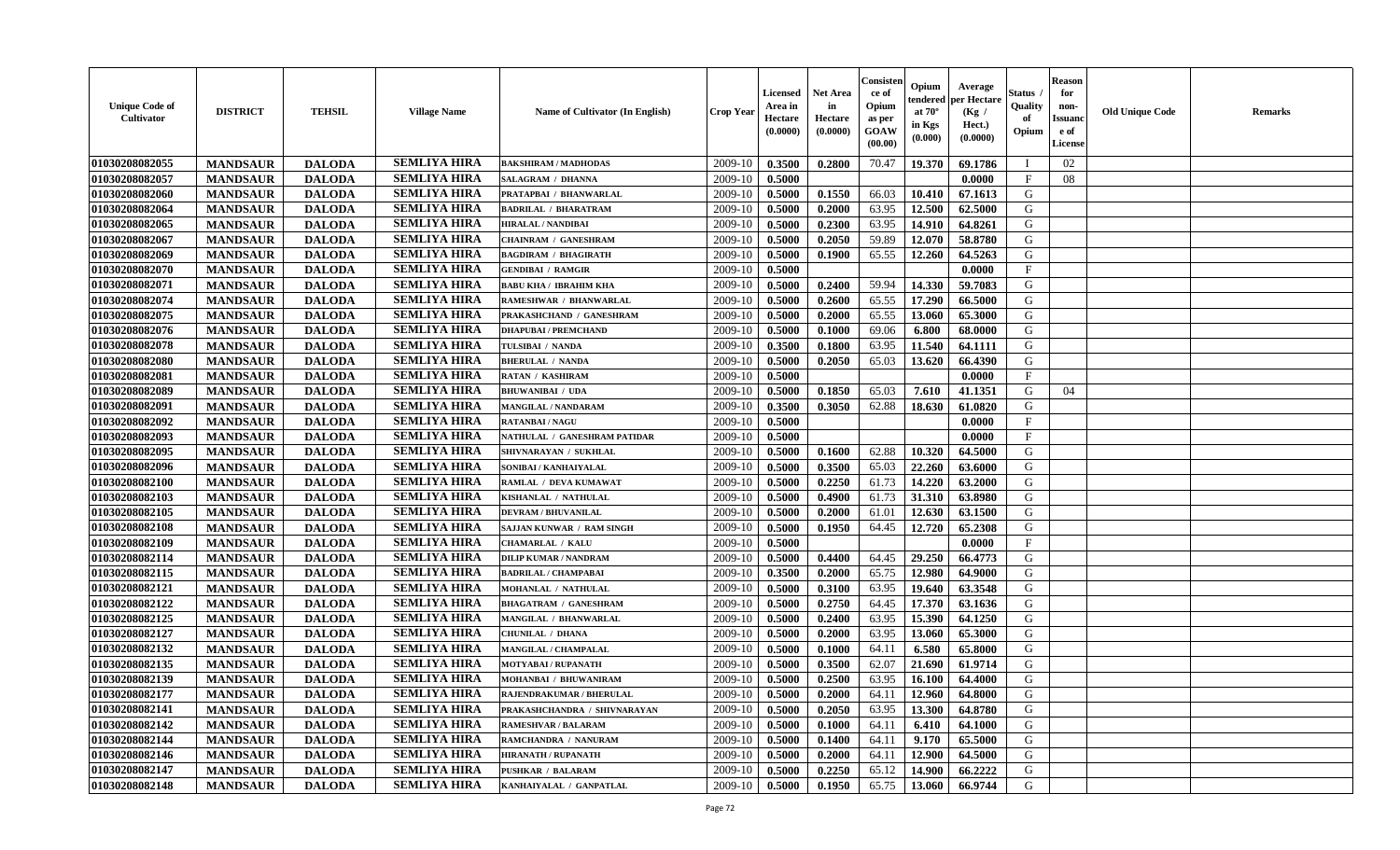| <b>Unique Code of</b><br>Cultivator | <b>DISTRICT</b> | <b>TEHSIL</b> | <b>Village Name</b> | <b>Name of Cultivator (In English)</b> | <b>Crop Year</b> | <b>Licensed</b><br>Area in<br>Hectare<br>(0.0000) | Net Area<br>in<br>Hectare<br>(0.0000) | Consisteı<br>ce of<br>Opium<br>as per<br><b>GOAW</b><br>(00.00) | Opium<br>endered<br>at $70^\circ$<br>in Kgs<br>(0.000) | Average<br>oer Hectare<br>(Kg /<br>Hect.)<br>(0.0000) | Status<br>Quality<br>of<br>Opium | <b>Reason</b><br>for<br>non-<br><b>Issuanc</b><br>e of<br><b>License</b> | <b>Old Unique Code</b> | Remarks |
|-------------------------------------|-----------------|---------------|---------------------|----------------------------------------|------------------|---------------------------------------------------|---------------------------------------|-----------------------------------------------------------------|--------------------------------------------------------|-------------------------------------------------------|----------------------------------|--------------------------------------------------------------------------|------------------------|---------|
| 01030208082055                      | <b>MANDSAUR</b> | <b>DALODA</b> | <b>SEMLIYA HIRA</b> | <b>BAKSHIRAM / MADHODAS</b>            | 2009-10          | 0.3500                                            | 0.2800                                | 70.47                                                           | 19.370                                                 | 69.1786                                               |                                  | 02                                                                       |                        |         |
| 01030208082057                      | <b>MANDSAUR</b> | <b>DALODA</b> | <b>SEMLIYA HIRA</b> | SALAGRAM / DHANNA                      | 2009-10          | 0.5000                                            |                                       |                                                                 |                                                        | 0.0000                                                | $_{\rm F}$                       | 08                                                                       |                        |         |
| 01030208082060                      | <b>MANDSAUR</b> | <b>DALODA</b> | <b>SEMLIYA HIRA</b> | PRATAPBAI / BHANWARLAL                 | 2009-10          | 0.5000                                            | 0.1550                                | 66.03                                                           | 10.410                                                 | 67.1613                                               | G                                |                                                                          |                        |         |
| 01030208082064                      | <b>MANDSAUR</b> | <b>DALODA</b> | <b>SEMLIYA HIRA</b> | <b>BADRILAL / BHARATRAM</b>            | 2009-10          | 0.5000                                            | 0.2000                                | 63.95                                                           | 12.500                                                 | 62.5000                                               | G                                |                                                                          |                        |         |
| 01030208082065                      | <b>MANDSAUR</b> | <b>DALODA</b> | <b>SEMLIYA HIRA</b> | <b>HIRALAL / NANDIBAI</b>              | 2009-10          | 0.5000                                            | 0.2300                                | 63.95                                                           | 14.910                                                 | 64.8261                                               | G                                |                                                                          |                        |         |
| 01030208082067                      | <b>MANDSAUR</b> | <b>DALODA</b> | <b>SEMLIYA HIRA</b> | <b>CHAINRAM / GANESHRAM</b>            | 2009-10          | 0.5000                                            | 0.2050                                | 59.89                                                           | 12.070                                                 | 58.8780                                               | G                                |                                                                          |                        |         |
| 01030208082069                      | <b>MANDSAUR</b> | <b>DALODA</b> | <b>SEMLIYA HIRA</b> | <b>BAGDIRAM / BHAGIRATH</b>            | 2009-10          | 0.5000                                            | 0.1900                                | 65.55                                                           | 12.260                                                 | 64.5263                                               | G                                |                                                                          |                        |         |
| 01030208082070                      | <b>MANDSAUR</b> | <b>DALODA</b> | <b>SEMLIYA HIRA</b> | <b>GENDIBAI / RAMGIR</b>               | 2009-10          | 0.5000                                            |                                       |                                                                 |                                                        | 0.0000                                                | $\mathbf{F}$                     |                                                                          |                        |         |
| 01030208082071                      | <b>MANDSAUR</b> | <b>DALODA</b> | <b>SEMLIYA HIRA</b> | <b>BABU KHA / IBRAHIM KHA</b>          | 2009-10          | 0.5000                                            | 0.2400                                | 59.94                                                           | 14.330                                                 | 59.7083                                               | G                                |                                                                          |                        |         |
| 01030208082074                      | <b>MANDSAUR</b> | <b>DALODA</b> | <b>SEMLIYA HIRA</b> | RAMESHWAR / BHANWARLAL                 | 2009-10          | 0.5000                                            | 0.2600                                | 65.55                                                           | 17.290                                                 | 66.5000                                               | G                                |                                                                          |                        |         |
| 01030208082075                      | <b>MANDSAUR</b> | <b>DALODA</b> | <b>SEMLIYA HIRA</b> | PRAKASHCHAND / GANESHRAM               | 2009-10          | 0.5000                                            | 0.2000                                | 65.55                                                           | 13.060                                                 | 65.3000                                               | G                                |                                                                          |                        |         |
| 01030208082076                      | <b>MANDSAUR</b> | <b>DALODA</b> | <b>SEMLIYA HIRA</b> | <b>DHAPUBAI/PREMCHAND</b>              | 2009-10          | 0.5000                                            | 0.1000                                | 69.06                                                           | 6.800                                                  | 68.0000                                               | G                                |                                                                          |                        |         |
| 01030208082078                      | <b>MANDSAUR</b> | <b>DALODA</b> | <b>SEMLIYA HIRA</b> | TULSIBAI / NANDA                       | 2009-10          | 0.3500                                            | 0.1800                                | 63.95                                                           | 11.540                                                 | 64.1111                                               | G                                |                                                                          |                        |         |
| 01030208082080                      | <b>MANDSAUR</b> | <b>DALODA</b> | <b>SEMLIYA HIRA</b> | <b>BHERULAL / NANDA</b>                | 2009-10          | 0.5000                                            | 0.2050                                | 65.03                                                           | 13.620                                                 | 66.4390                                               | ${\bf G}$                        |                                                                          |                        |         |
| 01030208082081                      | <b>MANDSAUR</b> | <b>DALODA</b> | <b>SEMLIYA HIRA</b> | RATAN / KASHIRAM                       | 2009-10          | 0.5000                                            |                                       |                                                                 |                                                        | 0.0000                                                | $\mathbf{F}$                     |                                                                          |                        |         |
| 01030208082089                      | <b>MANDSAUR</b> | <b>DALODA</b> | <b>SEMLIYA HIRA</b> | <b>BHUWANIBAI / UDA</b>                | 2009-10          | 0.5000                                            | 0.1850                                | 65.03                                                           | 7.610                                                  | 41.1351                                               | G                                | 04                                                                       |                        |         |
| 01030208082091                      | <b>MANDSAUR</b> | <b>DALODA</b> | <b>SEMLIYA HIRA</b> | MANGILAL / NANDARAM                    | 2009-10          | 0.3500                                            | 0.3050                                | 62.88                                                           | 18.630                                                 | 61.0820                                               | G                                |                                                                          |                        |         |
| 01030208082092                      | <b>MANDSAUR</b> | <b>DALODA</b> | <b>SEMLIYA HIRA</b> | <b>RATANBAI/NAGU</b>                   | 2009-10          | 0.5000                                            |                                       |                                                                 |                                                        | 0.0000                                                | $\mathbf{F}$                     |                                                                          |                        |         |
| 01030208082093                      | <b>MANDSAUR</b> | <b>DALODA</b> | <b>SEMLIYA HIRA</b> | NATHULAL / GANESHRAM PATIDAR           | 2009-10          | 0.5000                                            |                                       |                                                                 |                                                        | 0.0000                                                | $\mathbf{F}$                     |                                                                          |                        |         |
| 01030208082095                      | <b>MANDSAUR</b> | <b>DALODA</b> | <b>SEMLIYA HIRA</b> | SHIVNARAYAN / SUKHLAL                  | 2009-10          | 0.5000                                            | 0.1600                                | 62.88                                                           | 10.320                                                 | 64.5000                                               | G                                |                                                                          |                        |         |
| 01030208082096                      | <b>MANDSAUR</b> | <b>DALODA</b> | <b>SEMLIYA HIRA</b> | SONIBAI / KANHAIYALAL                  | 2009-10          | 0.5000                                            | 0.3500                                | 65.03                                                           | 22.260                                                 | 63.6000                                               | G                                |                                                                          |                        |         |
| 01030208082100                      | <b>MANDSAUR</b> | <b>DALODA</b> | <b>SEMLIYA HIRA</b> | RAMLAL / DEVA KUMAWAT                  | 2009-10          | 0.5000                                            | 0.2250                                | 61.73                                                           | 14.220                                                 | 63.2000                                               | G                                |                                                                          |                        |         |
| 01030208082103                      | <b>MANDSAUR</b> | <b>DALODA</b> | <b>SEMLIYA HIRA</b> | KISHANLAL / NATHULAL                   | 2009-10          | 0.5000                                            | 0.4900                                | 61.73                                                           | 31.310                                                 | 63.8980                                               | ${\bf G}$                        |                                                                          |                        |         |
| 01030208082105                      | <b>MANDSAUR</b> | <b>DALODA</b> | <b>SEMLIYA HIRA</b> | <b>DEVRAM / BHUVANILAL</b>             | 2009-10          | 0.5000                                            | 0.2000                                | 61.01                                                           | 12.630                                                 | 63.1500                                               | G                                |                                                                          |                        |         |
| 01030208082108                      | <b>MANDSAUR</b> | <b>DALODA</b> | <b>SEMLIYA HIRA</b> | SAJJAN KUNWAR / RAM SINGH              | 2009-10          | 0.5000                                            | 0.1950                                | 64.45                                                           | 12.720                                                 | 65.2308                                               | G                                |                                                                          |                        |         |
| 01030208082109                      | <b>MANDSAUR</b> | <b>DALODA</b> | <b>SEMLIYA HIRA</b> | <b>CHAMARLAL / KALU</b>                | 2009-10          | 0.5000                                            |                                       |                                                                 |                                                        | 0.0000                                                | $\mathbf{F}$                     |                                                                          |                        |         |
| 01030208082114                      | <b>MANDSAUR</b> | <b>DALODA</b> | <b>SEMLIYA HIRA</b> | <b>DILIP KUMAR / NANDRAM</b>           | 2009-10          | 0.5000                                            | 0.4400                                | 64.45                                                           | 29,250                                                 | 66.4773                                               | G                                |                                                                          |                        |         |
| 01030208082115                      | <b>MANDSAUR</b> | <b>DALODA</b> | <b>SEMLIYA HIRA</b> | <b>BADRILAL / CHAMPABAI</b>            | 2009-10          | 0.3500                                            | 0.2000                                | 65.75                                                           | 12.980                                                 | 64.9000                                               | G                                |                                                                          |                        |         |
| 01030208082121                      | <b>MANDSAUR</b> | <b>DALODA</b> | <b>SEMLIYA HIRA</b> | MOHANLAL / NATHULAL                    | 2009-10          | 0.5000                                            | 0.3100                                | 63.95                                                           | 19.640                                                 | 63.3548                                               | G                                |                                                                          |                        |         |
| 01030208082122                      | <b>MANDSAUR</b> | <b>DALODA</b> | <b>SEMLIYA HIRA</b> | <b>BHAGATRAM / GANESHRAM</b>           | 2009-10          | 0.5000                                            | 0.2750                                | 64.45                                                           | 17.370                                                 | 63.1636                                               | G                                |                                                                          |                        |         |
| 01030208082125                      | <b>MANDSAUR</b> | <b>DALODA</b> | <b>SEMLIYA HIRA</b> | MANGILAL / BHANWARLAL                  | 2009-10          | 0.5000                                            | 0.2400                                | 63.95                                                           | 15.390                                                 | 64.1250                                               | G                                |                                                                          |                        |         |
| 01030208082127                      | <b>MANDSAUR</b> | <b>DALODA</b> | <b>SEMLIYA HIRA</b> | <b>CHUNILAL / DHANA</b>                | 2009-10          | 0.5000                                            | 0.2000                                | 63.95                                                           | 13.060                                                 | 65.3000                                               | G                                |                                                                          |                        |         |
| 01030208082132                      | <b>MANDSAUR</b> | <b>DALODA</b> | <b>SEMLIYA HIRA</b> | MANGILAL / CHAMPALAL                   | 2009-10          | 0.5000                                            | 0.1000                                | 64.11                                                           | 6.580                                                  | 65.8000                                               | G                                |                                                                          |                        |         |
| 01030208082135                      | <b>MANDSAUR</b> | <b>DALODA</b> | <b>SEMLIYA HIRA</b> | MOTYABAI / RUPANATH                    | 2009-10          | 0.5000                                            | 0.3500                                | 62.07                                                           | 21.690                                                 | 61.9714                                               | G                                |                                                                          |                        |         |
| 01030208082139                      | <b>MANDSAUR</b> | <b>DALODA</b> | <b>SEMLIYA HIRA</b> | MOHANBAI / BHUWANIRAM                  | 2009-10          | 0.5000                                            | 0.2500                                | 63.95                                                           | 16.100                                                 | 64.4000                                               | G                                |                                                                          |                        |         |
| 01030208082177                      | <b>MANDSAUR</b> | <b>DALODA</b> | <b>SEMLIYA HIRA</b> | RAJENDRAKUMAR / BHERULAL               | 2009-10          | 0.5000                                            | 0.2000                                | 64.11                                                           | 12.960                                                 | 64.8000                                               | G                                |                                                                          |                        |         |
| 01030208082141                      | <b>MANDSAUR</b> | <b>DALODA</b> | <b>SEMLIYA HIRA</b> | PRAKASHCHANDRA / SHIVNARAYAN           | 2009-10          | 0.5000                                            | 0.2050                                | 63.95                                                           | 13.300                                                 | 64.8780                                               | G                                |                                                                          |                        |         |
| 01030208082142                      | <b>MANDSAUR</b> | <b>DALODA</b> | <b>SEMLIYA HIRA</b> | RAMESHVAR / BALARAM                    | 2009-10          | 0.5000                                            | 0.1000                                | 64.11                                                           | 6.410                                                  | 64.1000                                               | G                                |                                                                          |                        |         |
| 01030208082144                      | <b>MANDSAUR</b> | <b>DALODA</b> | <b>SEMLIYA HIRA</b> | RAMCHANDRA / NANURAM                   | 2009-10          | 0.5000                                            | 0.1400                                | 64.11                                                           | 9.170                                                  | 65.5000                                               | G                                |                                                                          |                        |         |
| 01030208082146                      | <b>MANDSAUR</b> | <b>DALODA</b> | <b>SEMLIYA HIRA</b> | <b>HIRANATH / RUPANATH</b>             | 2009-10          | 0.5000                                            | 0.2000                                | 64.11                                                           | 12.900                                                 | 64.5000                                               | G                                |                                                                          |                        |         |
| 01030208082147                      | <b>MANDSAUR</b> | <b>DALODA</b> | <b>SEMLIYA HIRA</b> | <b>PUSHKAR / BALARAM</b>               | 2009-10          | 0.5000                                            | 0.2250                                | 65.12                                                           | 14.900                                                 | 66.2222                                               | G                                |                                                                          |                        |         |
| 01030208082148                      | <b>MANDSAUR</b> | <b>DALODA</b> | <b>SEMLIYA HIRA</b> | KANHAIYALAL / GANPATLAL                | 2009-10          | 0.5000                                            | 0.1950                                | 65.75                                                           | 13.060                                                 | 66.9744                                               | G                                |                                                                          |                        |         |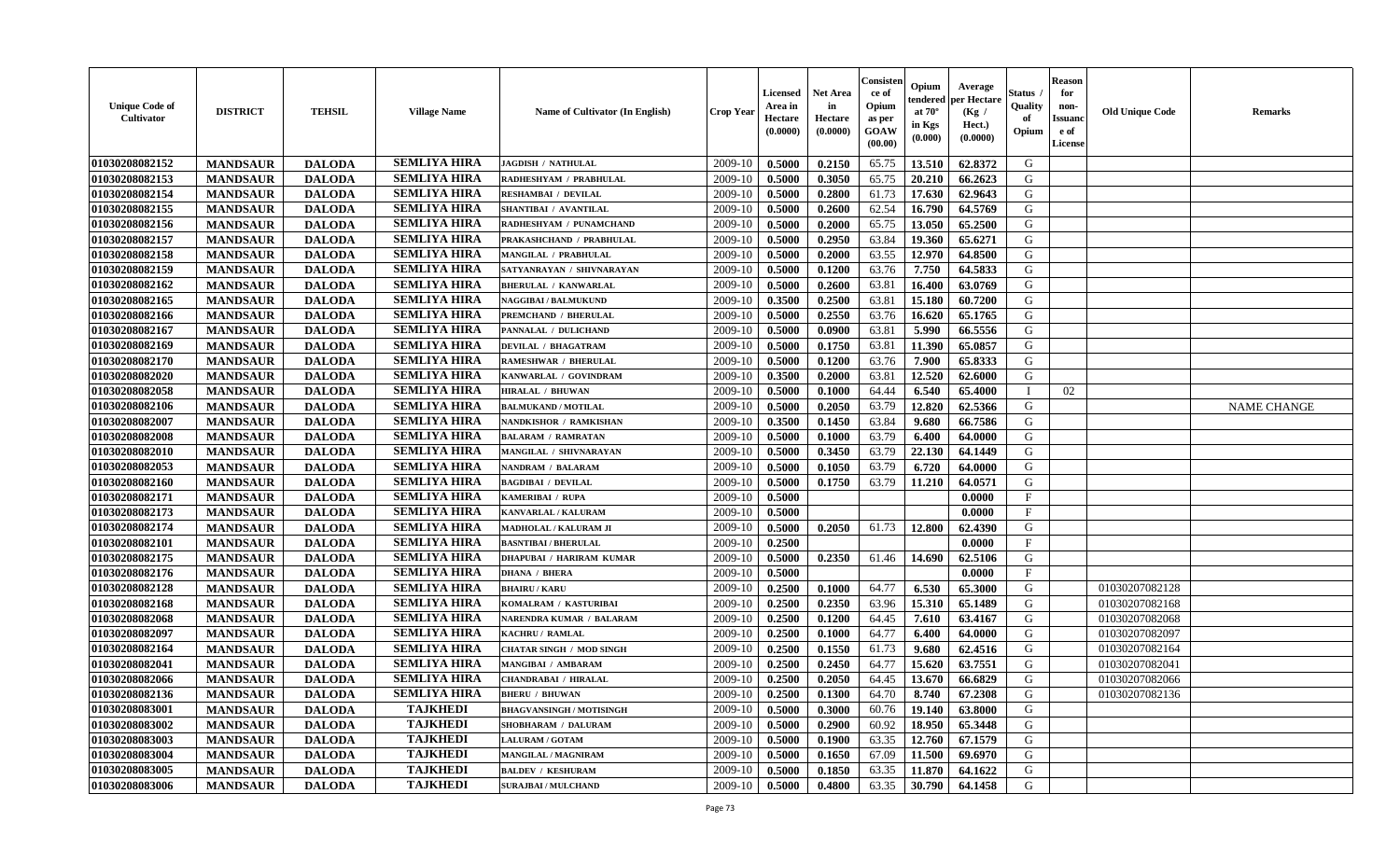| <b>Unique Code of</b><br><b>Cultivator</b> | <b>DISTRICT</b> | <b>TEHSIL</b> | <b>Village Name</b> | Name of Cultivator (In English) | <b>Crop Year</b> | <b>Licensed</b><br>Area in<br>Hectare<br>(0.0000) | Net Area<br>in<br>Hectare<br>(0.0000) | Consisteı<br>ce of<br>Opium<br>as per<br><b>GOAW</b><br>(00.00) | Opium<br>endered<br>at $70^\circ$<br>in Kgs<br>(0.000) | Average<br>per Hectare<br>(Kg /<br>Hect.)<br>(0.0000) | Status<br>Quality<br>of<br>Opium | <b>Reason</b><br>for<br>non-<br><b>Issuanc</b><br>e of<br><b>License</b> | <b>Old Unique Code</b> | Remarks            |
|--------------------------------------------|-----------------|---------------|---------------------|---------------------------------|------------------|---------------------------------------------------|---------------------------------------|-----------------------------------------------------------------|--------------------------------------------------------|-------------------------------------------------------|----------------------------------|--------------------------------------------------------------------------|------------------------|--------------------|
| 01030208082152                             | <b>MANDSAUR</b> | <b>DALODA</b> | <b>SEMLIYA HIRA</b> | <b>JAGDISH / NATHULAL</b>       | 2009-10          | 0.5000                                            | 0.2150                                | 65.75                                                           | 13.510                                                 | 62.8372                                               | G                                |                                                                          |                        |                    |
| 01030208082153                             | <b>MANDSAUR</b> | <b>DALODA</b> | <b>SEMLIYA HIRA</b> | RADHESHYAM / PRABHULAL          | 2009-10          | 0.5000                                            | 0.3050                                | 65.75                                                           | 20.210                                                 | 66.2623                                               | G                                |                                                                          |                        |                    |
| 01030208082154                             | <b>MANDSAUR</b> | <b>DALODA</b> | <b>SEMLIYA HIRA</b> | RESHAMBAI / DEVILAL             | 2009-10          | 0.5000                                            | 0.2800                                | 61.73                                                           | 17.630                                                 | 62.9643                                               | G                                |                                                                          |                        |                    |
| 01030208082155                             | <b>MANDSAUR</b> | <b>DALODA</b> | <b>SEMLIYA HIRA</b> | SHANTIBAI / AVANTILAL           | 2009-10          | 0.5000                                            | 0.2600                                | 62.54                                                           | 16.790                                                 | 64.5769                                               | G                                |                                                                          |                        |                    |
| 01030208082156                             | <b>MANDSAUR</b> | <b>DALODA</b> | <b>SEMLIYA HIRA</b> | RADHESHYAM / PUNAMCHAND         | 2009-10          | 0.5000                                            | 0.2000                                | 65.75                                                           | 13.050                                                 | 65.2500                                               | G                                |                                                                          |                        |                    |
| 01030208082157                             | <b>MANDSAUR</b> | <b>DALODA</b> | <b>SEMLIYA HIRA</b> | PRAKASHCHAND / PRABHULAL        | 2009-10          | 0.5000                                            | 0.2950                                | 63.84                                                           | 19.360                                                 | 65.6271                                               | G                                |                                                                          |                        |                    |
| 01030208082158                             | <b>MANDSAUR</b> | <b>DALODA</b> | <b>SEMLIYA HIRA</b> | MANGILAL / PRABHULAL            | 2009-10          | 0.5000                                            | 0.2000                                | 63.55                                                           | 12.970                                                 | 64.8500                                               | G                                |                                                                          |                        |                    |
| 01030208082159                             | <b>MANDSAUR</b> | <b>DALODA</b> | <b>SEMLIYA HIRA</b> | SATYANRAYAN / SHIVNARAYAN       | 2009-10          | 0.5000                                            | 0.1200                                | 63.76                                                           | 7.750                                                  | 64.5833                                               | G                                |                                                                          |                        |                    |
| 01030208082162                             | <b>MANDSAUR</b> | <b>DALODA</b> | <b>SEMLIYA HIRA</b> | <b>BHERULAL / KANWARLAL</b>     | 2009-10          | 0.5000                                            | 0.2600                                | 63.81                                                           | 16.400                                                 | 63.0769                                               | G                                |                                                                          |                        |                    |
| 01030208082165                             | <b>MANDSAUR</b> | <b>DALODA</b> | <b>SEMLIYA HIRA</b> | <b>NAGGIBAI / BALMUKUND</b>     | 2009-10          | 0.3500                                            | 0.2500                                | 63.81                                                           | 15.180                                                 | 60.7200                                               | G                                |                                                                          |                        |                    |
| 01030208082166                             | <b>MANDSAUR</b> | <b>DALODA</b> | <b>SEMLIYA HIRA</b> | PREMCHAND / BHERULAL            | 2009-10          | 0.5000                                            | 0.2550                                | 63.76                                                           | 16.620                                                 | 65.1765                                               | G                                |                                                                          |                        |                    |
| 01030208082167                             | <b>MANDSAUR</b> | <b>DALODA</b> | <b>SEMLIYA HIRA</b> | PANNALAL / DULICHAND            | 2009-10          | 0.5000                                            | 0.0900                                | 63.81                                                           | 5.990                                                  | 66.5556                                               | G                                |                                                                          |                        |                    |
| 01030208082169                             | <b>MANDSAUR</b> | <b>DALODA</b> | <b>SEMLIYA HIRA</b> | <b>DEVILAL / BHAGATRAM</b>      | 2009-10          | 0.5000                                            | 0.1750                                | 63.81                                                           | 11.390                                                 | 65.0857                                               | G                                |                                                                          |                        |                    |
| 01030208082170                             | <b>MANDSAUR</b> | <b>DALODA</b> | <b>SEMLIYA HIRA</b> | RAMESHWAR / BHERULAL            | 2009-10          | 0.5000                                            | 0.1200                                | 63.76                                                           | 7.900                                                  | 65.8333                                               | ${\bf G}$                        |                                                                          |                        |                    |
| 01030208082020                             | <b>MANDSAUR</b> | <b>DALODA</b> | <b>SEMLIYA HIRA</b> | KANWARLAL / GOVINDRAM           | 2009-10          | 0.3500                                            | 0.2000                                | 63.81                                                           | 12.520                                                 | 62.6000                                               | G                                |                                                                          |                        |                    |
| 01030208082058                             | <b>MANDSAUR</b> | <b>DALODA</b> | <b>SEMLIYA HIRA</b> | <b>HIRALAL / BHUWAN</b>         | 2009-10          | 0.5000                                            | 0.1000                                | 64.44                                                           | 6.540                                                  | 65.4000                                               | T                                | 02                                                                       |                        |                    |
| 01030208082106                             | <b>MANDSAUR</b> | <b>DALODA</b> | <b>SEMLIYA HIRA</b> | <b>BALMUKAND / MOTILAL</b>      | 2009-10          | 0.5000                                            | 0.2050                                | 63.79                                                           | 12.820                                                 | 62.5366                                               | G                                |                                                                          |                        | <b>NAME CHANGE</b> |
| 01030208082007                             | <b>MANDSAUR</b> | <b>DALODA</b> | <b>SEMLIYA HIRA</b> | NANDKISHOR / RAMKISHAN          | 2009-10          | 0.3500                                            | 0.1450                                | 63.84                                                           | 9.680                                                  | 66.7586                                               | G                                |                                                                          |                        |                    |
| 01030208082008                             | <b>MANDSAUR</b> | <b>DALODA</b> | <b>SEMLIYA HIRA</b> | <b>BALARAM / RAMRATAN</b>       | 2009-10          | 0.5000                                            | 0.1000                                | 63.79                                                           | 6.400                                                  | 64.0000                                               | G                                |                                                                          |                        |                    |
| 01030208082010                             | <b>MANDSAUR</b> | <b>DALODA</b> | <b>SEMLIYA HIRA</b> | MANGILAL / SHIVNARAYAN          | 2009-10          | 0.5000                                            | 0.3450                                | 63.79                                                           | 22.130                                                 | 64.1449                                               | G                                |                                                                          |                        |                    |
| 01030208082053                             | <b>MANDSAUR</b> | <b>DALODA</b> | <b>SEMLIYA HIRA</b> | NANDRAM / BALARAM               | 2009-10          | 0.5000                                            | 0.1050                                | 63.79                                                           | 6.720                                                  | 64.0000                                               | G                                |                                                                          |                        |                    |
| 01030208082160                             | <b>MANDSAUR</b> | <b>DALODA</b> | <b>SEMLIYA HIRA</b> | <b>BAGDIBAI / DEVILAL</b>       | 2009-10          | 0.5000                                            | 0.1750                                | 63.79                                                           | 11.210                                                 | 64.0571                                               | G                                |                                                                          |                        |                    |
| 01030208082171                             | <b>MANDSAUR</b> | <b>DALODA</b> | <b>SEMLIYA HIRA</b> | <b>KAMERIBAI / RUPA</b>         | 2009-10          | 0.5000                                            |                                       |                                                                 |                                                        | 0.0000                                                | $_{\rm F}$                       |                                                                          |                        |                    |
| 01030208082173                             | <b>MANDSAUR</b> | <b>DALODA</b> | <b>SEMLIYA HIRA</b> | KANVARLAL / KALURAM             | 2009-10          | 0.5000                                            |                                       |                                                                 |                                                        | 0.0000                                                | $\mathbf{F}$                     |                                                                          |                        |                    |
| 01030208082174                             | <b>MANDSAUR</b> | <b>DALODA</b> | <b>SEMLIYA HIRA</b> | MADHOLAL / KALURAM JI           | 2009-10          | 0.5000                                            | 0.2050                                | 61.73                                                           | 12.800                                                 | 62.4390                                               | G                                |                                                                          |                        |                    |
| 01030208082101                             | <b>MANDSAUR</b> | <b>DALODA</b> | <b>SEMLIYA HIRA</b> | <b>BASNTIBAI / BHERULAL</b>     | 2009-10          | 0.2500                                            |                                       |                                                                 |                                                        | 0.0000                                                | $\mathbf{F}$                     |                                                                          |                        |                    |
| 01030208082175                             | <b>MANDSAUR</b> | <b>DALODA</b> | <b>SEMLIYA HIRA</b> | <b>DHAPUBAI / HARIRAM KUMAR</b> | 2009-10          | 0.5000                                            | 0.2350                                | 61.46                                                           | 14.690                                                 | 62.5106                                               | G                                |                                                                          |                        |                    |
| 01030208082176                             | <b>MANDSAUR</b> | <b>DALODA</b> | <b>SEMLIYA HIRA</b> | <b>DHANA / BHERA</b>            | 2009-10          | 0.5000                                            |                                       |                                                                 |                                                        | 0.0000                                                | $\mathbf{F}$                     |                                                                          |                        |                    |
| 01030208082128                             | <b>MANDSAUR</b> | <b>DALODA</b> | <b>SEMLIYA HIRA</b> | <b>BHAIRU / KARU</b>            | 2009-10          | 0.2500                                            | 0.1000                                | 64.77                                                           | 6.530                                                  | 65.3000                                               | G                                |                                                                          | 01030207082128         |                    |
| 01030208082168                             | <b>MANDSAUR</b> | <b>DALODA</b> | <b>SEMLIYA HIRA</b> | KOMALRAM / KASTURIBAI           | 2009-10          | 0.2500                                            | 0.2350                                | 63.96                                                           | 15.310                                                 | 65.1489                                               | G                                |                                                                          | 01030207082168         |                    |
| 01030208082068                             | <b>MANDSAUR</b> | <b>DALODA</b> | <b>SEMLIYA HIRA</b> | NARENDRA KUMAR / BALARAM        | 2009-10          | 0.2500                                            | 0.1200                                | 64.45                                                           | 7.610                                                  | 63.4167                                               | G                                |                                                                          | 01030207082068         |                    |
| 01030208082097                             | <b>MANDSAUR</b> | <b>DALODA</b> | <b>SEMLIYA HIRA</b> | <b>KACHRU / RAMLAL</b>          | 2009-10          | 0.2500                                            | 0.1000                                | 64.77                                                           | 6.400                                                  | 64.0000                                               | G                                |                                                                          | 01030207082097         |                    |
| 01030208082164                             | <b>MANDSAUR</b> | <b>DALODA</b> | <b>SEMLIYA HIRA</b> | <b>CHATAR SINGH / MOD SINGH</b> | 2009-10          | 0.2500                                            | 0.1550                                | 61.73                                                           | 9.680                                                  | 62.4516                                               | G                                |                                                                          | 01030207082164         |                    |
| 01030208082041                             | <b>MANDSAUR</b> | <b>DALODA</b> | <b>SEMLIYA HIRA</b> | MANGIBAI / AMBARAM              | 2009-10          | 0.2500                                            | 0.2450                                | 64.77                                                           | 15.620                                                 | 63.7551                                               | G                                |                                                                          | 01030207082041         |                    |
| 01030208082066                             | <b>MANDSAUR</b> | <b>DALODA</b> | <b>SEMLIYA HIRA</b> | CHANDRABAI / HIRALAL            | 2009-10          | 0.2500                                            | 0.2050                                | 64.45                                                           | 13.670                                                 | 66.6829                                               | G                                |                                                                          | 01030207082066         |                    |
| 01030208082136                             | <b>MANDSAUR</b> | <b>DALODA</b> | <b>SEMLIYA HIRA</b> | <b>BHERU / BHUWAN</b>           | 2009-10          | 0.2500                                            | 0.1300                                | 64.70                                                           | 8.740                                                  | 67.2308                                               | G                                |                                                                          | 01030207082136         |                    |
| 01030208083001                             | <b>MANDSAUR</b> | <b>DALODA</b> | <b>TAJKHEDI</b>     | <b>BHAGVANSINGH / MOTISINGH</b> | 2009-10          | 0.5000                                            | 0.3000                                | 60.76                                                           | 19.140                                                 | 63.8000                                               | G                                |                                                                          |                        |                    |
| 01030208083002                             | <b>MANDSAUR</b> | <b>DALODA</b> | <b>TAJKHEDI</b>     | SHOBHARAM / DALURAM             | 2009-10          | 0.5000                                            | 0.2900                                | 60.92                                                           | 18.950                                                 | 65.3448                                               | G                                |                                                                          |                        |                    |
| 01030208083003                             | <b>MANDSAUR</b> | <b>DALODA</b> | <b>TAJKHEDI</b>     | <b>LALURAM / GOTAM</b>          | 2009-10          | 0.5000                                            | 0.1900                                | 63.35                                                           | 12.760                                                 | 67.1579                                               | G                                |                                                                          |                        |                    |
| 01030208083004                             | <b>MANDSAUR</b> | <b>DALODA</b> | <b>TAJKHEDI</b>     | MANGILAL / MAGNIRAM             | 2009-10          | 0.5000                                            | 0.1650                                | 67.09                                                           | 11.500                                                 | 69.6970                                               | G                                |                                                                          |                        |                    |
| 01030208083005                             | <b>MANDSAUR</b> | <b>DALODA</b> | <b>TAJKHEDI</b>     | <b>BALDEV / KESHURAM</b>        | 2009-10          | 0.5000                                            | 0.1850                                | 63.35                                                           | 11.870                                                 | 64.1622                                               | G                                |                                                                          |                        |                    |
| 01030208083006                             | <b>MANDSAUR</b> | <b>DALODA</b> | <b>TAJKHEDI</b>     | <b>SURAJBAI / MULCHAND</b>      | 2009-10          | 0.5000                                            | 0.4800                                | 63.35                                                           | 30.790                                                 | 64.1458                                               | G                                |                                                                          |                        |                    |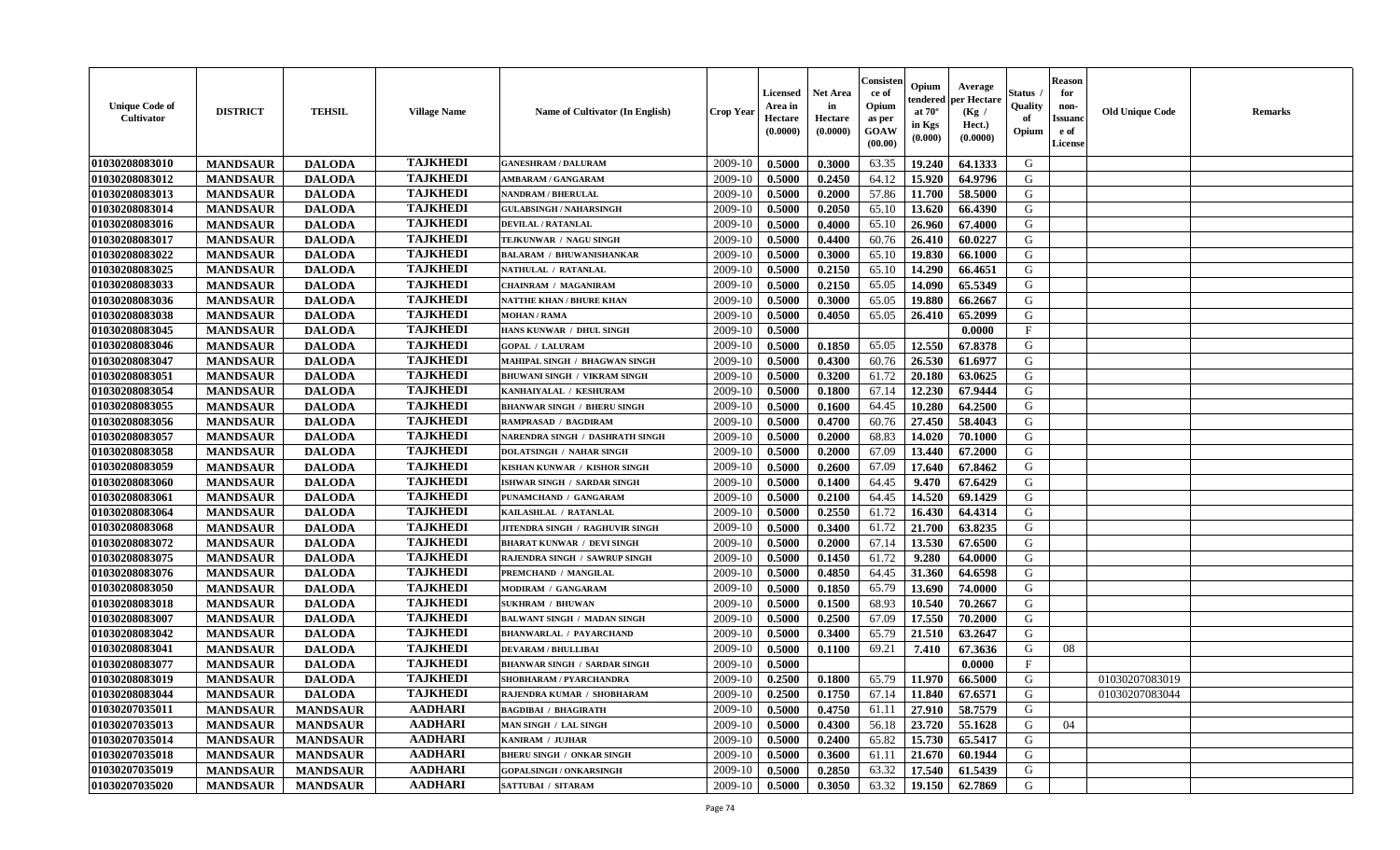| <b>Unique Code of</b><br><b>Cultivator</b> | <b>DISTRICT</b> | <b>TEHSIL</b>   | <b>Village Name</b> | Name of Cultivator (In English)     | <b>Crop Year</b> | <b>Licensed</b><br>Area in<br>Hectare<br>(0.0000) | <b>Net Area</b><br>in<br>Hectare<br>(0.0000) | Consisteı<br>ce of<br>Opium<br>as per<br>GOAW<br>(00.00) | Opium<br>endered<br>at $70^\circ$<br>in Kgs<br>(0.000) | Average<br>per Hectare<br>(Kg /<br>Hect.)<br>(0.0000) | Status<br>Quality<br>of<br>Opium | <b>Reason</b><br>for<br>non-<br><b>Issuand</b><br>e of<br>License | <b>Old Unique Code</b> | Remarks |
|--------------------------------------------|-----------------|-----------------|---------------------|-------------------------------------|------------------|---------------------------------------------------|----------------------------------------------|----------------------------------------------------------|--------------------------------------------------------|-------------------------------------------------------|----------------------------------|-------------------------------------------------------------------|------------------------|---------|
| 01030208083010                             | <b>MANDSAUR</b> | <b>DALODA</b>   | <b>TAJKHEDI</b>     | <b>GANESHRAM / DALURAM</b>          | 2009-10          | 0.5000                                            | 0.3000                                       | 63.35                                                    | 19.240                                                 | 64.1333                                               | G                                |                                                                   |                        |         |
| 01030208083012                             | <b>MANDSAUR</b> | <b>DALODA</b>   | <b>TAJKHEDI</b>     | AMBARAM / GANGARAM                  | 2009-10          | 0.5000                                            | 0.2450                                       | 64.12                                                    | 15.920                                                 | 64.9796                                               | G                                |                                                                   |                        |         |
| 01030208083013                             | <b>MANDSAUR</b> | <b>DALODA</b>   | <b>TAJKHEDI</b>     | <b>NANDRAM / BHERULAL</b>           | 2009-10          | 0.5000                                            | 0.2000                                       | 57.86                                                    | 11.700                                                 | 58.5000                                               | G                                |                                                                   |                        |         |
| 01030208083014                             | <b>MANDSAUR</b> | <b>DALODA</b>   | <b>TAJKHEDI</b>     | <b>GULABSINGH / NAHARSINGH</b>      | 2009-10          | 0.5000                                            | 0.2050                                       | 65.10                                                    | 13.620                                                 | 66.4390                                               | G                                |                                                                   |                        |         |
| 01030208083016                             | <b>MANDSAUR</b> | <b>DALODA</b>   | <b>TAJKHEDI</b>     | <b>DEVILAL / RATANLAL</b>           | 2009-10          | 0.5000                                            | 0.4000                                       | 65.10                                                    | 26.960                                                 | 67.4000                                               | G                                |                                                                   |                        |         |
| 01030208083017                             | <b>MANDSAUR</b> | <b>DALODA</b>   | <b>TAJKHEDI</b>     | TEJKUNWAR / NAGU SINGH              | 2009-10          | 0.5000                                            | 0.4400                                       | 60.76                                                    | 26.410                                                 | 60.0227                                               | G                                |                                                                   |                        |         |
| 01030208083022                             | <b>MANDSAUR</b> | <b>DALODA</b>   | <b>TAJKHEDI</b>     | <b>BALARAM / BHUWANISHANKAR</b>     | 2009-10          | 0.5000                                            | 0.3000                                       | 65.10                                                    | 19.830                                                 | 66.1000                                               | G                                |                                                                   |                        |         |
| 01030208083025                             | <b>MANDSAUR</b> | <b>DALODA</b>   | <b>TAJKHEDI</b>     | NATHULAL / RATANLAL                 | 2009-10          | 0.5000                                            | 0.2150                                       | 65.10                                                    | 14.290                                                 | 66.4651                                               | G                                |                                                                   |                        |         |
| 01030208083033                             | <b>MANDSAUR</b> | <b>DALODA</b>   | <b>TAJKHEDI</b>     | <b>CHAINRAM / MAGANIRAM</b>         | 2009-10          | 0.5000                                            | 0.2150                                       | 65.05                                                    | 14.090                                                 | 65.5349                                               | G                                |                                                                   |                        |         |
| 01030208083036                             | <b>MANDSAUR</b> | <b>DALODA</b>   | <b>TAJKHEDI</b>     | <b>NATTHE KHAN / BHURE KHAN</b>     | 2009-10          | 0.5000                                            | 0.3000                                       | 65.05                                                    | 19.880                                                 | 66.2667                                               | G                                |                                                                   |                        |         |
| 01030208083038                             | <b>MANDSAUR</b> | <b>DALODA</b>   | <b>TAJKHEDI</b>     | <b>MOHAN / RAMA</b>                 | 2009-10          | 0.5000                                            | 0.4050                                       | 65.05                                                    | 26.410                                                 | 65.2099                                               | G                                |                                                                   |                        |         |
| 01030208083045                             | <b>MANDSAUR</b> | <b>DALODA</b>   | <b>TAJKHEDI</b>     | HANS KUNWAR / DHUL SINGH            | 2009-10          | 0.5000                                            |                                              |                                                          |                                                        | 0.0000                                                | $_{\rm F}$                       |                                                                   |                        |         |
| 01030208083046                             | <b>MANDSAUR</b> | <b>DALODA</b>   | <b>TAJKHEDI</b>     | <b>GOPAL / LALURAM</b>              | 2009-10          | 0.5000                                            | 0.1850                                       | 65.05                                                    | 12.550                                                 | 67.8378                                               | G                                |                                                                   |                        |         |
| 01030208083047                             | <b>MANDSAUR</b> | <b>DALODA</b>   | <b>TAJKHEDI</b>     | MAHIPAL SINGH / BHAGWAN SINGH       | 2009-10          | 0.5000                                            | 0.4300                                       | 60.76                                                    | 26.530                                                 | 61.6977                                               | G                                |                                                                   |                        |         |
| 01030208083051                             | <b>MANDSAUR</b> | <b>DALODA</b>   | <b>TAJKHEDI</b>     | <b>BHUWANI SINGH / VIKRAM SINGH</b> | 2009-10          | 0.5000                                            | 0.3200                                       | 61.72                                                    | 20.180                                                 | 63.0625                                               | $\mathbf G$                      |                                                                   |                        |         |
| 01030208083054                             | <b>MANDSAUR</b> | <b>DALODA</b>   | <b>TAJKHEDI</b>     | KANHAIYALAL / KESHURAM              | 2009-10          | 0.5000                                            | 0.1800                                       | 67.14                                                    | 12.230                                                 | 67.9444                                               | G                                |                                                                   |                        |         |
| 01030208083055                             | <b>MANDSAUR</b> | <b>DALODA</b>   | <b>TAJKHEDI</b>     | <b>BHANWAR SINGH / BHERU SINGH</b>  | 2009-10          | 0.5000                                            | 0.1600                                       | 64.45                                                    | 10.280                                                 | 64.2500                                               | G                                |                                                                   |                        |         |
| 01030208083056                             | <b>MANDSAUR</b> | <b>DALODA</b>   | <b>TAJKHEDI</b>     | <b>RAMPRASAD / BAGDIRAM</b>         | 2009-10          | 0.5000                                            | 0.4700                                       | 60.76                                                    | 27.450                                                 | 58.4043                                               | G                                |                                                                   |                        |         |
| 01030208083057                             | <b>MANDSAUR</b> | <b>DALODA</b>   | <b>TAJKHEDI</b>     | NARENDRA SINGH / DASHRATH SINGH     | 2009-10          | 0.5000                                            | 0.2000                                       | 68.83                                                    | 14.020                                                 | 70.1000                                               | G                                |                                                                   |                        |         |
| 01030208083058                             | <b>MANDSAUR</b> | <b>DALODA</b>   | <b>TAJKHEDI</b>     | <b>DOLATSINGH / NAHAR SINGH</b>     | 2009-10          | 0.5000                                            | 0.2000                                       | 67.09                                                    | 13.440                                                 | 67.2000                                               | G                                |                                                                   |                        |         |
| 01030208083059                             | <b>MANDSAUR</b> | <b>DALODA</b>   | <b>TAJKHEDI</b>     | KISHAN KUNWAR / KISHOR SINGH        | 2009-10          | 0.5000                                            | 0.2600                                       | 67.09                                                    | 17.640                                                 | 67.8462                                               | G                                |                                                                   |                        |         |
| 01030208083060                             | <b>MANDSAUR</b> | <b>DALODA</b>   | <b>TAJKHEDI</b>     | ISHWAR SINGH / SARDAR SINGH         | 2009-10          | 0.5000                                            | 0.1400                                       | 64.45                                                    | 9.470                                                  | 67.6429                                               | G                                |                                                                   |                        |         |
| 01030208083061                             | <b>MANDSAUR</b> | <b>DALODA</b>   | <b>TAJKHEDI</b>     | PUNAMCHAND / GANGARAM               | 2009-10          | 0.5000                                            | 0.2100                                       | 64.45                                                    | 14.520                                                 | 69.1429                                               | G                                |                                                                   |                        |         |
| 01030208083064                             | <b>MANDSAUR</b> | <b>DALODA</b>   | <b>TAJKHEDI</b>     | KAILASHLAL / RATANLAL               | 2009-10          | 0.5000                                            | 0.2550                                       | 61.72                                                    | 16.430                                                 | 64.4314                                               | G                                |                                                                   |                        |         |
| 01030208083068                             | <b>MANDSAUR</b> | <b>DALODA</b>   | <b>TAJKHEDI</b>     | JITENDRA SINGH / RAGHUVIR SINGH     | 2009-10          | 0.5000                                            | 0.3400                                       | 61.72                                                    | 21.700                                                 | 63.8235                                               | G                                |                                                                   |                        |         |
| 01030208083072                             | <b>MANDSAUR</b> | <b>DALODA</b>   | <b>TAJKHEDI</b>     | <b>BHARAT KUNWAR / DEVI SINGH</b>   | 2009-10          | 0.5000                                            | 0.2000                                       | 67.14                                                    | 13.530                                                 | 67.6500                                               | G                                |                                                                   |                        |         |
| 01030208083075                             | <b>MANDSAUR</b> | <b>DALODA</b>   | <b>TAJKHEDI</b>     | RAJENDRA SINGH / SAWRUP SINGH       | 2009-10          | 0.5000                                            | 0.1450                                       | 61.72                                                    | 9.280                                                  | 64.0000                                               | G                                |                                                                   |                        |         |
| 01030208083076                             | <b>MANDSAUR</b> | <b>DALODA</b>   | <b>TAJKHEDI</b>     | PREMCHAND / MANGILAL                | 2009-10          | 0.5000                                            | 0.4850                                       | 64.45                                                    | 31.360                                                 | 64.6598                                               | G                                |                                                                   |                        |         |
| 01030208083050                             | <b>MANDSAUR</b> | <b>DALODA</b>   | <b>TAJKHEDI</b>     | MODIRAM / GANGARAM                  | 2009-10          | 0.5000                                            | 0.1850                                       | 65.79                                                    | 13.690                                                 | 74.0000                                               | G                                |                                                                   |                        |         |
| 01030208083018                             | <b>MANDSAUR</b> | <b>DALODA</b>   | <b>TAJKHEDI</b>     | <b>SUKHRAM / BHUWAN</b>             | 2009-10          | 0.5000                                            | 0.1500                                       | 68.93                                                    | 10.540                                                 | 70.2667                                               | G                                |                                                                   |                        |         |
| 01030208083007                             | <b>MANDSAUR</b> | <b>DALODA</b>   | <b>TAJKHEDI</b>     | <b>BALWANT SINGH / MADAN SINGH</b>  | 2009-10          | 0.5000                                            | 0.2500                                       | 67.09                                                    | 17.550                                                 | 70.2000                                               | G                                |                                                                   |                        |         |
| 01030208083042                             | <b>MANDSAUR</b> | <b>DALODA</b>   | <b>TAJKHEDI</b>     | <b>BHANWARLAL / PAYARCHAND</b>      | 2009-10          | 0.5000                                            | 0.3400                                       | 65.79                                                    | 21.510                                                 | 63.2647                                               | G                                |                                                                   |                        |         |
| 01030208083041                             | <b>MANDSAUR</b> | <b>DALODA</b>   | <b>TAJKHEDI</b>     | <b>DEVARAM / BHULLIBAI</b>          | 2009-10          | 0.5000                                            | 0.1100                                       | 69.21                                                    | 7.410                                                  | 67.3636                                               | G                                | 08                                                                |                        |         |
| 01030208083077                             | <b>MANDSAUR</b> | <b>DALODA</b>   | <b>TAJKHEDI</b>     | <b>BHANWAR SINGH / SARDAR SINGH</b> | 2009-10          | 0.5000                                            |                                              |                                                          |                                                        | 0.0000                                                | $_{\rm F}$                       |                                                                   |                        |         |
| 01030208083019                             | <b>MANDSAUR</b> | <b>DALODA</b>   | <b>TAJKHEDI</b>     | SHOBHARAM / PYARCHANDRA             | 2009-10          | 0.2500                                            | 0.1800                                       | 65.79                                                    | 11.970                                                 | 66.5000                                               | G                                |                                                                   | 01030207083019         |         |
| 01030208083044                             | <b>MANDSAUR</b> | <b>DALODA</b>   | <b>TAJKHEDI</b>     | RAJENDRA KUMAR / SHOBHARAM          | 2009-10          | 0.2500                                            | 0.1750                                       | 67.14                                                    | 11.840                                                 | 67.6571                                               | G                                |                                                                   | 01030207083044         |         |
| 01030207035011                             | <b>MANDSAUR</b> | <b>MANDSAUR</b> | <b>AADHARI</b>      | <b>BAGDIBAI / BHAGIRATH</b>         | 2009-10          | 0.5000                                            | 0.4750                                       | 61.11                                                    | 27.910                                                 | 58.7579                                               | G                                |                                                                   |                        |         |
| 01030207035013                             | <b>MANDSAUR</b> | <b>MANDSAUR</b> | <b>AADHARI</b>      | MAN SINGH / LAL SINGH               | 2009-10          | 0.5000                                            | 0.4300                                       | 56.18                                                    | 23.720                                                 | 55.1628                                               | G                                | 04                                                                |                        |         |
| 01030207035014                             | <b>MANDSAUR</b> | <b>MANDSAUR</b> | <b>AADHARI</b>      | KANIRAM / JUJHAR                    | 2009-10          | 0.5000                                            | 0.2400                                       | 65.82                                                    | 15.730                                                 | 65.5417                                               | G                                |                                                                   |                        |         |
| 01030207035018                             | <b>MANDSAUR</b> | <b>MANDSAUR</b> | <b>AADHARI</b>      | <b>BHERU SINGH / ONKAR SINGH</b>    | 2009-10          | 0.5000                                            | 0.3600                                       | 61.11                                                    | 21.670                                                 | 60.1944                                               | G                                |                                                                   |                        |         |
| 01030207035019                             | <b>MANDSAUR</b> | <b>MANDSAUR</b> | <b>AADHARI</b>      | <b>GOPALSINGH / ONKARSINGH</b>      | 2009-10          | 0.5000                                            | 0.2850                                       | 63.32                                                    | 17.540                                                 | 61.5439                                               | G                                |                                                                   |                        |         |
| 01030207035020                             | <b>MANDSAUR</b> | <b>MANDSAUR</b> | <b>AADHARI</b>      | <b>SATTUBAI / SITARAM</b>           | 2009-10          | 0.5000                                            | 0.3050                                       | 63.32                                                    | 19.150                                                 | 62.7869                                               | G                                |                                                                   |                        |         |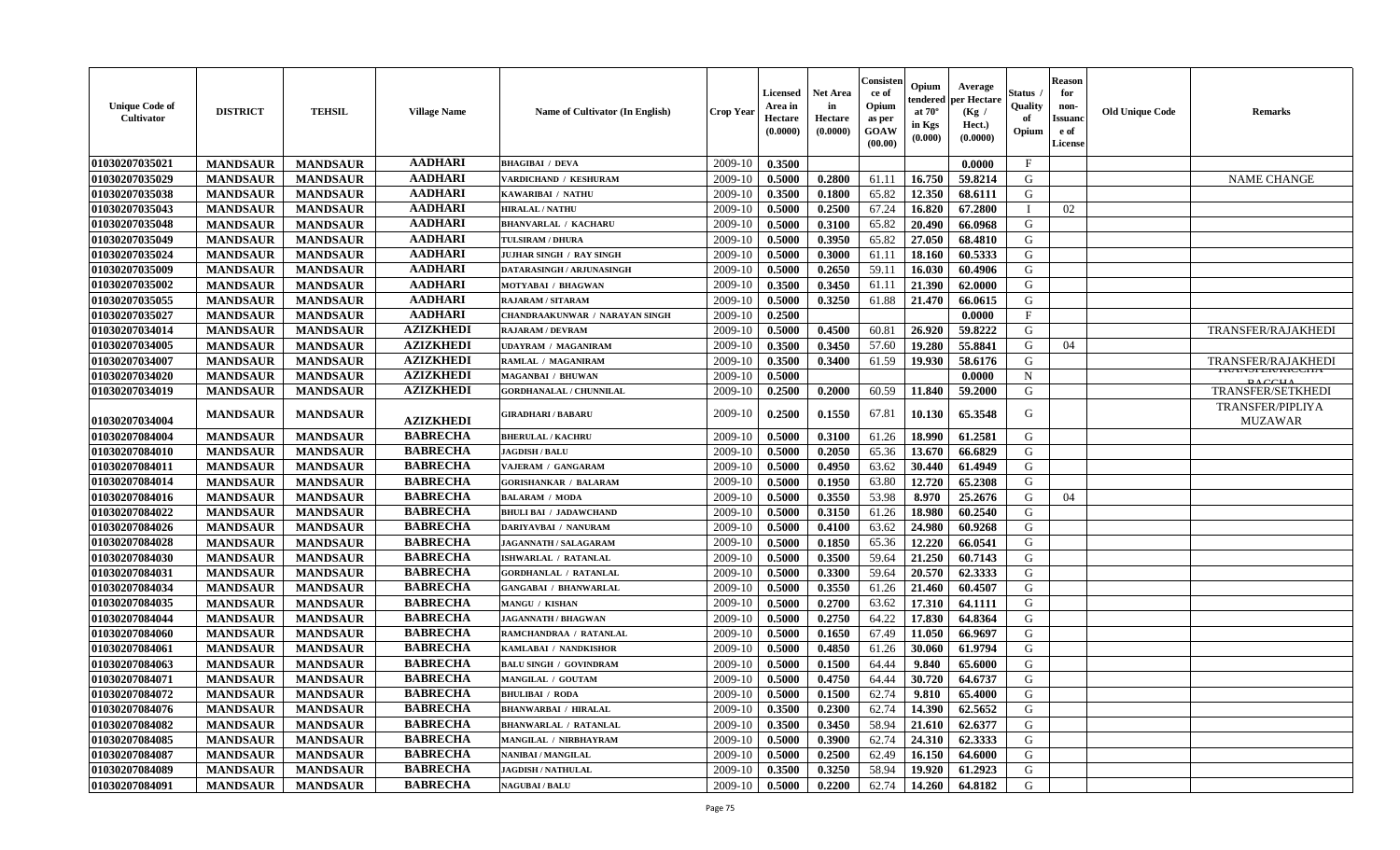| <b>Unique Code of</b><br><b>Cultivator</b> | <b>DISTRICT</b> | <b>TEHSIL</b>   | <b>Village Name</b> | Name of Cultivator (In English)       | <b>Crop Year</b> | <b>Licensed</b><br>Area in<br>Hectare<br>(0.0000) | <b>Net Area</b><br>in<br>Hectare<br>(0.0000) | Consisteı<br>ce of<br>Opium<br>as per<br>GOAW<br>(00.00) | Opium<br>endered<br>at $70^{\circ}$<br>in Kgs<br>(0.000) | Average<br>er Hectare<br>(Kg /<br>Hect.)<br>(0.0000) | Status<br>Quality<br>of<br>Opium | <b>Reason</b><br>for<br>non-<br><b>Issuand</b><br>e of<br>License | <b>Old Unique Code</b> | Remarks                                     |
|--------------------------------------------|-----------------|-----------------|---------------------|---------------------------------------|------------------|---------------------------------------------------|----------------------------------------------|----------------------------------------------------------|----------------------------------------------------------|------------------------------------------------------|----------------------------------|-------------------------------------------------------------------|------------------------|---------------------------------------------|
| 01030207035021                             | <b>MANDSAUR</b> | <b>MANDSAUR</b> | <b>AADHARI</b>      | <b>BHAGIBAI / DEVA</b>                | 2009-10          | 0.3500                                            |                                              |                                                          |                                                          | 0.0000                                               | $\mathbf{F}$                     |                                                                   |                        |                                             |
| 01030207035029                             | <b>MANDSAUR</b> | <b>MANDSAUR</b> | <b>AADHARI</b>      | VARDICHAND / KESHURAM                 | 2009-10          | 0.5000                                            | 0.2800                                       | 61.11                                                    | 16.750                                                   | 59.8214                                              | G                                |                                                                   |                        | <b>NAME CHANGE</b>                          |
| 01030207035038                             | <b>MANDSAUR</b> | <b>MANDSAUR</b> | <b>AADHARI</b>      | KAWARIBAI / NATHU                     | 2009-10          | 0.3500                                            | 0.1800                                       | 65.82                                                    | 12.350                                                   | 68.6111                                              | G                                |                                                                   |                        |                                             |
| 01030207035043                             | <b>MANDSAUR</b> | <b>MANDSAUR</b> | <b>AADHARI</b>      | <b>HIRALAL / NATHU</b>                | 2009-10          | 0.5000                                            | 0.2500                                       | 67.24                                                    | 16.820                                                   | 67.2800                                              | $\mathbf{I}$                     | 02                                                                |                        |                                             |
| 01030207035048                             | <b>MANDSAUR</b> | <b>MANDSAUR</b> | <b>AADHARI</b>      | <b>BHANVARLAL / KACHARU</b>           | 2009-10          | 0.5000                                            | 0.3100                                       | 65.82                                                    | 20.490                                                   | 66.0968                                              | G                                |                                                                   |                        |                                             |
| 01030207035049                             | <b>MANDSAUR</b> | <b>MANDSAUR</b> | <b>AADHARI</b>      | <b>TULSIRAM / DHURA</b>               | 2009-10          | 0.5000                                            | 0.3950                                       | 65.82                                                    | 27.050                                                   | 68.4810                                              | G                                |                                                                   |                        |                                             |
| 01030207035024                             | <b>MANDSAUR</b> | <b>MANDSAUR</b> | <b>AADHARI</b>      | JUJHAR SINGH / RAY SINGH              | 2009-10          | 0.5000                                            | 0.3000                                       | 61.11                                                    | 18.160                                                   | 60.5333                                              | G                                |                                                                   |                        |                                             |
| 01030207035009                             | <b>MANDSAUR</b> | <b>MANDSAUR</b> | <b>AADHARI</b>      | DATARASINGH / ARJUNASINGH             | 2009-10          | 0.5000                                            | 0.2650                                       | 59.11                                                    | 16.030                                                   | 60.4906                                              | G                                |                                                                   |                        |                                             |
| 01030207035002                             | <b>MANDSAUR</b> | <b>MANDSAUR</b> | <b>AADHARI</b>      | MOTYABAI / BHAGWAN                    | 2009-10          | 0.3500                                            | 0.3450                                       | 61.11                                                    | 21.390                                                   | 62.0000                                              | G                                |                                                                   |                        |                                             |
| 01030207035055                             | <b>MANDSAUR</b> | <b>MANDSAUR</b> | <b>AADHARI</b>      | RAJARAM / SITARAM                     | 2009-10          | 0.5000                                            | 0.3250                                       | 61.88                                                    | 21.470                                                   | 66.0615                                              | G                                |                                                                   |                        |                                             |
| 01030207035027                             | <b>MANDSAUR</b> | <b>MANDSAUR</b> | <b>AADHARI</b>      | <b>CHANDRAAKUNWAR / NARAYAN SINGH</b> | 2009-10          | 0.2500                                            |                                              |                                                          |                                                          | 0.0000                                               | F                                |                                                                   |                        |                                             |
| 01030207034014                             | <b>MANDSAUR</b> | <b>MANDSAUR</b> | <b>AZIZKHEDI</b>    | <b>RAJARAM / DEVRAM</b>               | 2009-10          | 0.5000                                            | 0.4500                                       | 60.81                                                    | 26.920                                                   | 59.8222                                              | G                                |                                                                   |                        | TRANSFER/RAJAKHEDI                          |
| 01030207034005                             | <b>MANDSAUR</b> | <b>MANDSAUR</b> | <b>AZIZKHEDI</b>    | <b>UDAYRAM / MAGANIRAM</b>            | 2009-10          | 0.3500                                            | 0.3450                                       | 57.60                                                    | 19.280                                                   | 55.8841                                              | G                                | 04                                                                |                        |                                             |
| 01030207034007                             | <b>MANDSAUR</b> | <b>MANDSAUR</b> | <b>AZIZKHEDI</b>    | RAMLAL / MAGANIRAM                    | 2009-10          | 0.3500                                            | 0.3400                                       | 61.59                                                    | 19.930                                                   | 58.6176                                              | G                                |                                                                   |                        | TRANSFER/RAJAKHEDI                          |
| 01030207034020                             | <b>MANDSAUR</b> | <b>MANDSAUR</b> | <b>AZIZKHEDI</b>    | <b>MAGANBAI / BHUWAN</b>              | 2009-10          | 0.5000                                            |                                              |                                                          |                                                          | 0.0000                                               | $\mathbf N$                      |                                                                   |                        | <b>IRAINSPEIVINIUUTIA</b><br>$0 \wedge CCD$ |
| 01030207034019                             | <b>MANDSAUR</b> | <b>MANDSAUR</b> | <b>AZIZKHEDI</b>    | <b>GORDHANALAL / CHUNNILAL</b>        | 2009-10          | 0.2500                                            | 0.2000                                       | 60.59                                                    | 11.840                                                   | 59.2000                                              | G                                |                                                                   |                        | <b>TRANSFER/SETKHEDI</b>                    |
| 01030207034004                             | <b>MANDSAUR</b> | <b>MANDSAUR</b> | <b>AZIZKHEDI</b>    | <b>GIRADHARI / BABARU</b>             | 2009-10          | 0.2500                                            | 0.1550                                       | 67.81                                                    | 10.130                                                   | 65.3548                                              | G                                |                                                                   |                        | <b>TRANSFER/PIPLIYA</b><br><b>MUZAWAR</b>   |
| 01030207084004                             | <b>MANDSAUR</b> | <b>MANDSAUR</b> | <b>BABRECHA</b>     | <b>BHERULAL / KACHRU</b>              | 2009-10          | 0.5000                                            | 0.3100                                       | 61.26                                                    | 18.990                                                   | 61.2581                                              | G                                |                                                                   |                        |                                             |
| 01030207084010                             | <b>MANDSAUR</b> | <b>MANDSAUR</b> | <b>BABRECHA</b>     | <b>JAGDISH / BALU</b>                 | 2009-10          | 0.5000                                            | 0.2050                                       | 65.36                                                    | 13.670                                                   | 66.6829                                              | G                                |                                                                   |                        |                                             |
| 01030207084011                             | <b>MANDSAUR</b> | <b>MANDSAUR</b> | <b>BABRECHA</b>     | VAJERAM / GANGARAM                    | 2009-10          | 0.5000                                            | 0.4950                                       | 63.62                                                    | 30.440                                                   | 61.4949                                              | G                                |                                                                   |                        |                                             |
| 01030207084014                             | <b>MANDSAUR</b> | <b>MANDSAUR</b> | <b>BABRECHA</b>     | <b>GORISHANKAR / BALARAM</b>          | 2009-10          | 0.5000                                            | 0.1950                                       | 63.80                                                    | 12.720                                                   | 65.2308                                              | G                                |                                                                   |                        |                                             |
| 01030207084016                             | <b>MANDSAUR</b> | <b>MANDSAUR</b> | <b>BABRECHA</b>     | <b>BALARAM / MODA</b>                 | 2009-10          | 0.5000                                            | 0.3550                                       | 53.98                                                    | 8.970                                                    | 25.2676                                              | G                                | 04                                                                |                        |                                             |
| 01030207084022                             | <b>MANDSAUR</b> | <b>MANDSAUR</b> | <b>BABRECHA</b>     | <b>BHULI BAI / JADAWCHAND</b>         | 2009-10          | 0.5000                                            | 0.3150                                       | 61.26                                                    | 18.980                                                   | 60.2540                                              | G                                |                                                                   |                        |                                             |
| 01030207084026                             | <b>MANDSAUR</b> | <b>MANDSAUR</b> | <b>BABRECHA</b>     | DARIYAVBAI / NANURAM                  | 2009-10          | 0.5000                                            | 0.4100                                       | 63.62                                                    | 24.980                                                   | 60.9268                                              | G                                |                                                                   |                        |                                             |
| 01030207084028                             | <b>MANDSAUR</b> | <b>MANDSAUR</b> | <b>BABRECHA</b>     | <b>JAGANNATH / SALAGARAM</b>          | 2009-10          | 0.5000                                            | 0.1850                                       | 65.36                                                    | 12.220                                                   | 66.0541                                              | G                                |                                                                   |                        |                                             |
| 01030207084030                             | <b>MANDSAUR</b> | <b>MANDSAUR</b> | <b>BABRECHA</b>     | ISHWARLAL / RATANLAL                  | 2009-10          | 0.5000                                            | 0.3500                                       | 59.64                                                    | 21.250                                                   | 60.7143                                              | G                                |                                                                   |                        |                                             |
| 01030207084031                             | <b>MANDSAUR</b> | <b>MANDSAUR</b> | <b>BABRECHA</b>     | <b>GORDHANLAL / RATANLAL</b>          | 2009-10          | 0.5000                                            | 0.3300                                       | 59.64                                                    | 20.570                                                   | 62.3333                                              | G                                |                                                                   |                        |                                             |
| 01030207084034                             | <b>MANDSAUR</b> | <b>MANDSAUR</b> | <b>BABRECHA</b>     | <b>GANGABAI / BHANWARLAL</b>          | 2009-10          | 0.5000                                            | 0.3550                                       | 61.26                                                    | 21.460                                                   | 60.4507                                              | G                                |                                                                   |                        |                                             |
| 01030207084035                             | <b>MANDSAUR</b> | <b>MANDSAUR</b> | <b>BABRECHA</b>     | MANGU / KISHAN                        | 2009-10          | 0.5000                                            | 0.2700                                       | 63.62                                                    | 17.310                                                   | 64.1111                                              | G                                |                                                                   |                        |                                             |
| 01030207084044                             | <b>MANDSAUR</b> | <b>MANDSAUR</b> | <b>BABRECHA</b>     | <b>JAGANNATH / BHAGWAN</b>            | 2009-10          | 0.5000                                            | 0.2750                                       | 64.22                                                    | 17.830                                                   | 64.8364                                              | G                                |                                                                   |                        |                                             |
| 01030207084060                             | <b>MANDSAUR</b> | <b>MANDSAUR</b> | <b>BABRECHA</b>     | RAMCHANDRAA / RATANLAL                | 2009-10          | 0.5000                                            | 0.1650                                       | 67.49                                                    | 11.050                                                   | 66.9697                                              | G                                |                                                                   |                        |                                             |
| 01030207084061                             | <b>MANDSAUR</b> | <b>MANDSAUR</b> | <b>BABRECHA</b>     | KAMLABAI / NANDKISHOR                 | 2009-10          | 0.5000                                            | 0.4850                                       | 61.26                                                    | 30.060                                                   | 61.9794                                              | G                                |                                                                   |                        |                                             |
| 01030207084063                             | <b>MANDSAUR</b> | <b>MANDSAUR</b> | <b>BABRECHA</b>     | <b>BALU SINGH / GOVINDRAM</b>         | 2009-10          | 0.5000                                            | 0.1500                                       | 64.44                                                    | 9.840                                                    | 65.6000                                              | G                                |                                                                   |                        |                                             |
| 01030207084071                             | <b>MANDSAUR</b> | <b>MANDSAUR</b> | <b>BABRECHA</b>     | MANGILAL / GOUTAM                     | 2009-10          | 0.5000                                            | 0.4750                                       | 64.44                                                    | 30.720                                                   | 64.6737                                              | G                                |                                                                   |                        |                                             |
| 01030207084072                             | <b>MANDSAUR</b> | <b>MANDSAUR</b> | <b>BABRECHA</b>     | <b>BHULIBAI / RODA</b>                | 2009-10          | 0.5000                                            | 0.1500                                       | 62.74                                                    | 9.810                                                    | 65.4000                                              | G                                |                                                                   |                        |                                             |
| 01030207084076                             | <b>MANDSAUR</b> | <b>MANDSAUR</b> | <b>BABRECHA</b>     | <b>BHANWARBAI / HIRALAL</b>           | 2009-10          | 0.3500                                            | 0.2300                                       | 62.74                                                    | 14.390                                                   | 62.5652                                              | G                                |                                                                   |                        |                                             |
| 01030207084082                             | <b>MANDSAUR</b> | <b>MANDSAUR</b> | <b>BABRECHA</b>     | <b>BHANWARLAL / RATANLAL</b>          | 2009-10          | 0.3500                                            | 0.3450                                       | 58.94                                                    | 21.610                                                   | 62.6377                                              | G                                |                                                                   |                        |                                             |
| 01030207084085                             | <b>MANDSAUR</b> | <b>MANDSAUR</b> | <b>BABRECHA</b>     | MANGILAL / NIRBHAYRAM                 | 2009-10          | 0.5000                                            | 0.3900                                       | 62.74                                                    | 24.310                                                   | 62.3333                                              | G                                |                                                                   |                        |                                             |
| 01030207084087                             | <b>MANDSAUR</b> | <b>MANDSAUR</b> | <b>BABRECHA</b>     | <b>VANIBAI / MANGILAL</b>             | 2009-10          | 0.5000                                            | 0.2500                                       | 62.49                                                    | 16.150                                                   | 64.6000                                              | $\mathbf G$                      |                                                                   |                        |                                             |
| 01030207084089                             | <b>MANDSAUR</b> | <b>MANDSAUR</b> | <b>BABRECHA</b>     | <b>JAGDISH / NATHULAL</b>             | 2009-10          | 0.3500                                            | 0.3250                                       | 58.94                                                    | 19.920                                                   | 61.2923                                              | G                                |                                                                   |                        |                                             |
| 01030207084091                             | <b>MANDSAUR</b> | <b>MANDSAUR</b> | <b>BABRECHA</b>     | <b>NAGUBAI/BALU</b>                   | 2009-10          | 0.5000                                            | 0.2200                                       | 62.74                                                    | 14.260                                                   | 64.8182                                              | G                                |                                                                   |                        |                                             |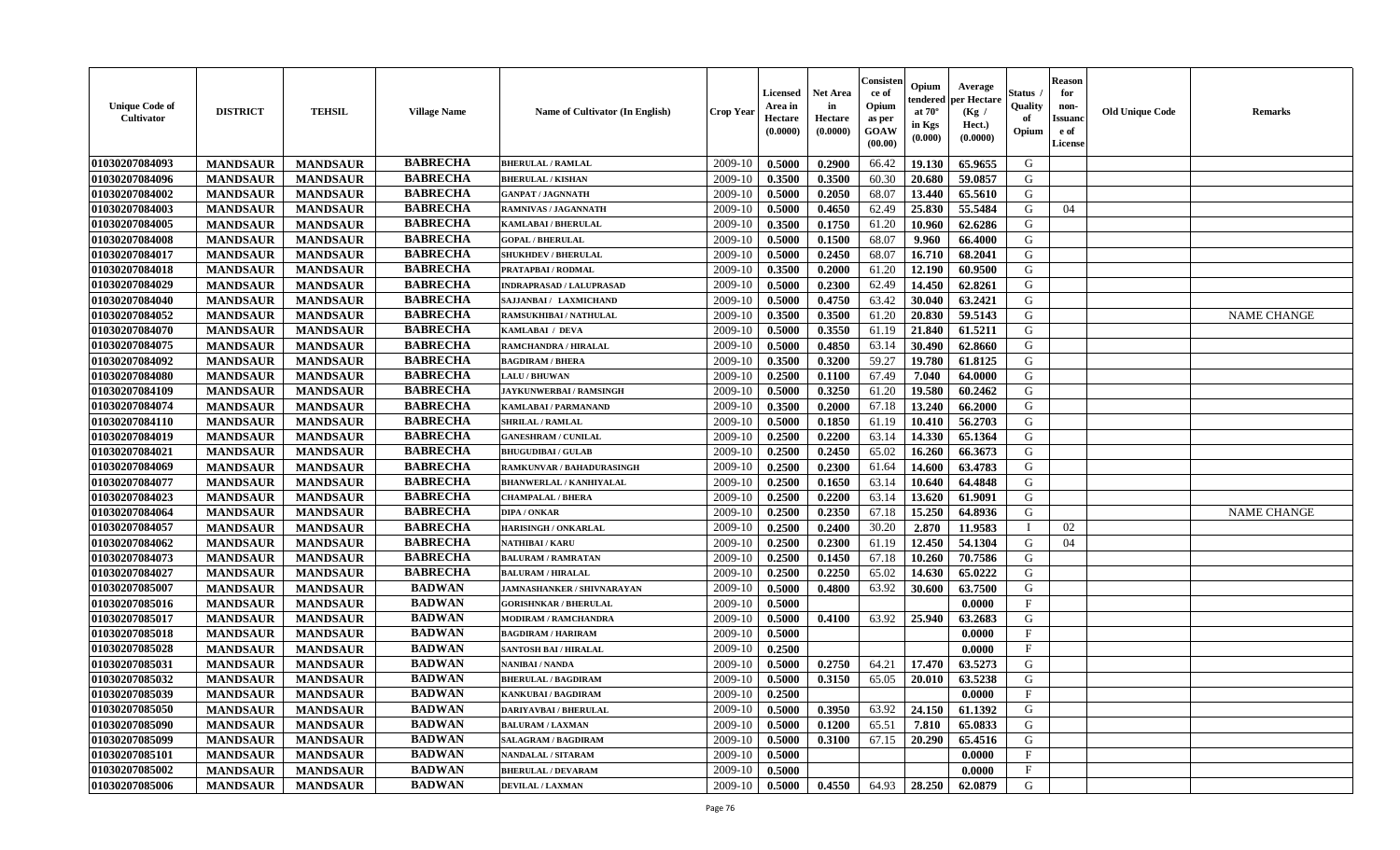| <b>Unique Code of</b><br><b>Cultivator</b> | <b>DISTRICT</b> | <b>TEHSIL</b>   | <b>Village Name</b> | <b>Name of Cultivator (In English)</b> | <b>Crop Year</b> | <b>Licensed</b><br>Area in<br>Hectare<br>(0.0000) | <b>Net Area</b><br>in<br>Hectare<br>(0.0000) | Consisteı<br>ce of<br>Opium<br>as per<br><b>GOAW</b><br>(00.00) | Opium<br>endered<br>at $70^\circ$<br>in Kgs<br>$(\mathbf{0.000})$ | Average<br>per Hectare<br>(Kg /<br>Hect.)<br>(0.0000) | Status<br>Quality<br>of<br>Opium | Reason<br>for<br>non-<br>Issuan<br>e of<br>License | <b>Old Unique Code</b> | <b>Remarks</b>     |
|--------------------------------------------|-----------------|-----------------|---------------------|----------------------------------------|------------------|---------------------------------------------------|----------------------------------------------|-----------------------------------------------------------------|-------------------------------------------------------------------|-------------------------------------------------------|----------------------------------|----------------------------------------------------|------------------------|--------------------|
| 01030207084093                             | <b>MANDSAUR</b> | <b>MANDSAUR</b> | <b>BABRECHA</b>     | <b>BHERULAL / RAMLAL</b>               | 2009-10          | 0.5000                                            | 0.2900                                       | 66.42                                                           | 19.130                                                            | 65.9655                                               | G                                |                                                    |                        |                    |
| 01030207084096                             | <b>MANDSAUR</b> | <b>MANDSAUR</b> | <b>BABRECHA</b>     | <b>BHERULAL / KISHAN</b>               | 2009-10          | 0.3500                                            | 0.3500                                       | 60.30                                                           | 20.680                                                            | 59.0857                                               | G                                |                                                    |                        |                    |
| 01030207084002                             | <b>MANDSAUR</b> | <b>MANDSAUR</b> | <b>BABRECHA</b>     | <b>GANPAT / JAGNNATH</b>               | 2009-10          | 0.5000                                            | 0.2050                                       | 68.07                                                           | 13.440                                                            | 65.5610                                               | G                                |                                                    |                        |                    |
| 01030207084003                             | <b>MANDSAUR</b> | <b>MANDSAUR</b> | <b>BABRECHA</b>     | RAMNIVAS / JAGANNATH                   | 2009-10          | 0.5000                                            | 0.4650                                       | 62.49                                                           | 25.830                                                            | 55.5484                                               | G                                | 04                                                 |                        |                    |
| 01030207084005                             | <b>MANDSAUR</b> | <b>MANDSAUR</b> | <b>BABRECHA</b>     | KAMLABAI / BHERULAL                    | 2009-10          | 0.3500                                            | 0.1750                                       | 61.20                                                           | 10.960                                                            | 62.6286                                               | G                                |                                                    |                        |                    |
| 01030207084008                             | <b>MANDSAUR</b> | <b>MANDSAUR</b> | <b>BABRECHA</b>     | <b>GOPAL / BHERULAL</b>                | 2009-10          | 0.5000                                            | 0.1500                                       | 68.07                                                           | 9.960                                                             | 66.4000                                               | G                                |                                                    |                        |                    |
| 01030207084017                             | <b>MANDSAUR</b> | <b>MANDSAUR</b> | <b>BABRECHA</b>     | <b>SHUKHDEV / BHERULAL</b>             | 2009-10          | 0.5000                                            | 0.2450                                       | 68.07                                                           | 16.710                                                            | 68.2041                                               | G                                |                                                    |                        |                    |
| 01030207084018                             | <b>MANDSAUR</b> | <b>MANDSAUR</b> | <b>BABRECHA</b>     | PRATAPBAI / RODMAL                     | 2009-10          | 0.3500                                            | 0.2000                                       | 61.20                                                           | 12.190                                                            | 60.9500                                               | G                                |                                                    |                        |                    |
| 01030207084029                             | <b>MANDSAUR</b> | <b>MANDSAUR</b> | <b>BABRECHA</b>     | <b>INDRAPRASAD / LALUPRASAD</b>        | 2009-10          | 0.5000                                            | 0.2300                                       | 62.49                                                           | 14.450                                                            | 62.8261                                               | G                                |                                                    |                        |                    |
| 01030207084040                             | <b>MANDSAUR</b> | <b>MANDSAUR</b> | <b>BABRECHA</b>     | SAJJANBAI / LAXMICHAND                 | 2009-10          | 0.5000                                            | 0.4750                                       | 63.42                                                           | 30.040                                                            | 63.2421                                               | G                                |                                                    |                        |                    |
| 01030207084052                             | <b>MANDSAUR</b> | <b>MANDSAUR</b> | <b>BABRECHA</b>     | <b>RAMSUKHIBAI / NATHULAL</b>          | 2009-10          | 0.3500                                            | 0.3500                                       | 61.20                                                           | 20.830                                                            | 59.5143                                               | G                                |                                                    |                        | <b>NAME CHANGE</b> |
| 01030207084070                             | <b>MANDSAUR</b> | <b>MANDSAUR</b> | <b>BABRECHA</b>     | KAMLABAI / DEVA                        | 2009-10          | 0.5000                                            | 0.3550                                       | 61.19                                                           | 21.840                                                            | 61.5211                                               | G                                |                                                    |                        |                    |
| 01030207084075                             | <b>MANDSAUR</b> | <b>MANDSAUR</b> | <b>BABRECHA</b>     | RAMCHANDRA / HIRALAL                   | 2009-10          | 0.5000                                            | 0.4850                                       | 63.14                                                           | 30.490                                                            | 62.8660                                               | G                                |                                                    |                        |                    |
| 01030207084092                             | <b>MANDSAUR</b> | <b>MANDSAUR</b> | <b>BABRECHA</b>     | <b>BAGDIRAM / BHERA</b>                | 2009-10          | 0.3500                                            | 0.3200                                       | 59.27                                                           | 19.780                                                            | 61.8125                                               | G                                |                                                    |                        |                    |
| 01030207084080                             | <b>MANDSAUR</b> | <b>MANDSAUR</b> | <b>BABRECHA</b>     | <b>LALU/BHUWAN</b>                     | 2009-10          | 0.2500                                            | 0.1100                                       | 67.49                                                           | 7.040                                                             | 64.0000                                               | G                                |                                                    |                        |                    |
| 01030207084109                             | <b>MANDSAUR</b> | <b>MANDSAUR</b> | <b>BABRECHA</b>     | JAYKUNWERBAI / RAMSINGH                | 2009-10          | 0.5000                                            | 0.3250                                       | 61.20                                                           | 19.580                                                            | 60.2462                                               | G                                |                                                    |                        |                    |
| 01030207084074                             | <b>MANDSAUR</b> | <b>MANDSAUR</b> | <b>BABRECHA</b>     | KAMLABAI / PARMANAND                   | 2009-10          | 0.3500                                            | 0.2000                                       | 67.18                                                           | 13.240                                                            | 66.2000                                               | G                                |                                                    |                        |                    |
| 01030207084110                             | <b>MANDSAUR</b> | <b>MANDSAUR</b> | <b>BABRECHA</b>     | <b>SHRILAL / RAMLAL</b>                | 2009-10          | 0.5000                                            | 0.1850                                       | 61.19                                                           | 10.410                                                            | 56.2703                                               | G                                |                                                    |                        |                    |
| 01030207084019                             | <b>MANDSAUR</b> | <b>MANDSAUR</b> | <b>BABRECHA</b>     | <b>GANESHRAM / CUNILAL</b>             | 2009-10          | 0.2500                                            | 0.2200                                       | 63.14                                                           | 14.330                                                            | 65.1364                                               | G                                |                                                    |                        |                    |
| 01030207084021                             | <b>MANDSAUR</b> | <b>MANDSAUR</b> | <b>BABRECHA</b>     | <b>BHUGUDIBAI / GULAB</b>              | 2009-10          | 0.2500                                            | 0.2450                                       | 65.02                                                           | 16.260                                                            | 66.3673                                               | G                                |                                                    |                        |                    |
| 01030207084069                             | <b>MANDSAUR</b> | <b>MANDSAUR</b> | <b>BABRECHA</b>     | RAMKUNVAR / BAHADURASINGH              | 2009-10          | 0.2500                                            | 0.2300                                       | 61.64                                                           | 14.600                                                            | 63.4783                                               | G                                |                                                    |                        |                    |
| 01030207084077                             | <b>MANDSAUR</b> | <b>MANDSAUR</b> | <b>BABRECHA</b>     | <b>BHANWERLAL / KANHIYALAL</b>         | 2009-10          | 0.2500                                            | 0.1650                                       | 63.14                                                           | 10.640                                                            | 64.4848                                               | G                                |                                                    |                        |                    |
| 01030207084023                             | <b>MANDSAUR</b> | <b>MANDSAUR</b> | <b>BABRECHA</b>     | <b>CHAMPALAL / BHERA</b>               | 2009-10          | 0.2500                                            | 0.2200                                       | 63.14                                                           | 13.620                                                            | 61.9091                                               | G                                |                                                    |                        |                    |
| 01030207084064                             | <b>MANDSAUR</b> | <b>MANDSAUR</b> | <b>BABRECHA</b>     | <b>DIPA / ONKAR</b>                    | 2009-10          | 0.2500                                            | 0.2350                                       | 67.18                                                           | 15.250                                                            | 64.8936                                               | G                                |                                                    |                        | <b>NAME CHANGE</b> |
| 01030207084057                             | <b>MANDSAUR</b> | <b>MANDSAUR</b> | <b>BABRECHA</b>     | <b>HARISINGH / ONKARLAL</b>            | 2009-10          | 0.2500                                            | 0.2400                                       | 30.20                                                           | 2.870                                                             | 11.9583                                               |                                  | 02                                                 |                        |                    |
| 01030207084062                             | <b>MANDSAUR</b> | <b>MANDSAUR</b> | <b>BABRECHA</b>     | NATHIBAI / KARU                        | 2009-10          | 0.2500                                            | 0.2300                                       | 61.19                                                           | 12.450                                                            | 54.1304                                               | G                                | 04                                                 |                        |                    |
| 01030207084073                             | <b>MANDSAUR</b> | <b>MANDSAUR</b> | <b>BABRECHA</b>     | <b>BALURAM / RAMRATAN</b>              | 2009-10          | 0.2500                                            | 0.1450                                       | 67.18                                                           | 10.260                                                            | 70.7586                                               | G                                |                                                    |                        |                    |
| 01030207084027                             | <b>MANDSAUR</b> | <b>MANDSAUR</b> | <b>BABRECHA</b>     | <b>BALURAM / HIRALAL</b>               | 2009-10          | 0.2500                                            | 0.2250                                       | 65.02                                                           | 14.630                                                            | 65.0222                                               | G                                |                                                    |                        |                    |
| 01030207085007                             | <b>MANDSAUR</b> | <b>MANDSAUR</b> | <b>BADWAN</b>       | <b>JAMNASHANKER / SHIVNARAYAN</b>      | 2009-10          | 0.5000                                            | 0.4800                                       | 63.92                                                           | 30.600                                                            | 63.7500                                               | G                                |                                                    |                        |                    |
| 01030207085016                             | <b>MANDSAUR</b> | <b>MANDSAUR</b> | <b>BADWAN</b>       | <b>GORISHNKAR / BHERULAL</b>           | 2009-10          | 0.5000                                            |                                              |                                                                 |                                                                   | 0.0000                                                | $\mathbf{F}$                     |                                                    |                        |                    |
| 01030207085017                             | <b>MANDSAUR</b> | <b>MANDSAUR</b> | <b>BADWAN</b>       | <b>MODIRAM / RAMCHANDRA</b>            | 2009-10          | 0.5000                                            | 0.4100                                       | 63.92                                                           | 25.940                                                            | 63.2683                                               | G                                |                                                    |                        |                    |
| 01030207085018                             | <b>MANDSAUR</b> | <b>MANDSAUR</b> | <b>BADWAN</b>       | <b>BAGDIRAM / HARIRAM</b>              | 2009-10          | 0.5000                                            |                                              |                                                                 |                                                                   | 0.0000                                                | $\mathbf{F}$                     |                                                    |                        |                    |
| 01030207085028                             | <b>MANDSAUR</b> | <b>MANDSAUR</b> | <b>BADWAN</b>       | <b>SANTOSH BAI / HIRALAL</b>           | 2009-10          | 0.2500                                            |                                              |                                                                 |                                                                   | 0.0000                                                | $\mathbf{F}$                     |                                                    |                        |                    |
| 01030207085031                             | <b>MANDSAUR</b> | <b>MANDSAUR</b> | <b>BADWAN</b>       | NANIBAI / NANDA                        | 2009-10          | 0.5000                                            | 0.2750                                       | 64.21                                                           | 17.470                                                            | 63.5273                                               | G                                |                                                    |                        |                    |
| 01030207085032                             | <b>MANDSAUR</b> | <b>MANDSAUR</b> | <b>BADWAN</b>       | <b>BHERULAL / BAGDIRAM</b>             | 2009-10          | 0.5000                                            | 0.3150                                       | 65.05                                                           | 20.010                                                            | 63.5238                                               | G                                |                                                    |                        |                    |
| 01030207085039                             | <b>MANDSAUR</b> | <b>MANDSAUR</b> | <b>BADWAN</b>       | <b>KANKUBAI / BAGDIRAM</b>             | $2009-10$ 0.2500 |                                                   |                                              |                                                                 |                                                                   | 0.0000                                                | F                                |                                                    |                        |                    |
| 01030207085050                             | <b>MANDSAUR</b> | <b>MANDSAUR</b> | <b>BADWAN</b>       | <b>DARIYAVBAI / BHERULAL</b>           | 2009-10          | 0.5000                                            | 0.3950                                       | 63.92                                                           | 24.150                                                            | 61.1392                                               | G                                |                                                    |                        |                    |
| <b>01030207085090</b>                      | <b>MANDSAUR</b> | <b>MANDSAUR</b> | <b>BADWAN</b>       | <b>BALURAM / LAXMAN</b>                | 2009-10          | 0.5000                                            | 0.1200                                       | 65.51                                                           | 7.810                                                             | 65.0833                                               | G                                |                                                    |                        |                    |
| 01030207085099                             | <b>MANDSAUR</b> | <b>MANDSAUR</b> | <b>BADWAN</b>       | <b>SALAGRAM / BAGDIRAM</b>             | 2009-10          | 0.5000                                            | 0.3100                                       | 67.15                                                           | 20.290                                                            | 65.4516                                               | G                                |                                                    |                        |                    |
| <b>01030207085101</b>                      | <b>MANDSAUR</b> | <b>MANDSAUR</b> | <b>BADWAN</b>       | <b>NANDALAL / SITARAM</b>              | 2009-10          | 0.5000                                            |                                              |                                                                 |                                                                   | 0.0000                                                | $\mathbf{F}$                     |                                                    |                        |                    |
| 01030207085002                             | <b>MANDSAUR</b> | <b>MANDSAUR</b> | <b>BADWAN</b>       | <b>BHERULAL / DEVARAM</b>              | 2009-10          | 0.5000                                            |                                              |                                                                 |                                                                   | 0.0000                                                | $\mathbf{F}$                     |                                                    |                        |                    |
| 01030207085006                             | <b>MANDSAUR</b> | <b>MANDSAUR</b> | <b>BADWAN</b>       | <b>DEVILAL / LAXMAN</b>                | 2009-10          | $\boldsymbol{0.5000}$                             | 0.4550                                       | 64.93                                                           | 28.250                                                            | 62.0879                                               | G                                |                                                    |                        |                    |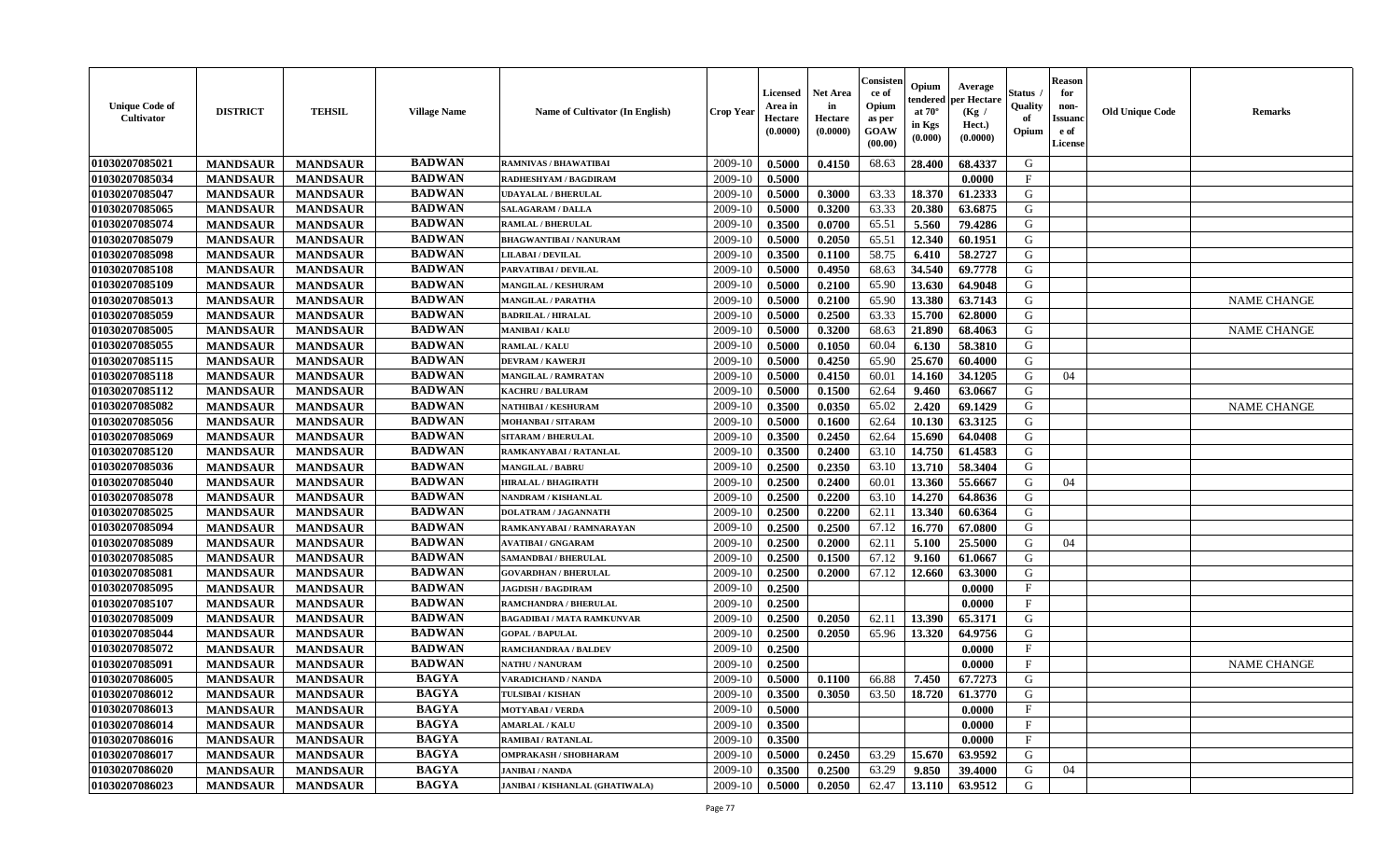| <b>Unique Code of</b><br>Cultivator | <b>DISTRICT</b> | <b>TEHSIL</b>   | <b>Village Name</b> | Name of Cultivator (In English)        | <b>Crop Year</b> | <b>Licensed</b><br>Area in<br>Hectare<br>(0.0000) | <b>Net Area</b><br>in<br>Hectare<br>(0.0000) | Consisteı<br>ce of<br>Opium<br>as per<br>GOAW<br>(00.00) | Opium<br>endered<br>at $70^\circ$<br>in Kgs<br>$({\bf 0.000})$ | Average<br>oer Hectare<br>(Kg /<br>Hect.)<br>(0.0000) | Status<br>Quality<br>of<br>Opium | Reason<br>for<br>non-<br>Issuan<br>e of<br>License | <b>Old Unique Code</b> | <b>Remarks</b>     |
|-------------------------------------|-----------------|-----------------|---------------------|----------------------------------------|------------------|---------------------------------------------------|----------------------------------------------|----------------------------------------------------------|----------------------------------------------------------------|-------------------------------------------------------|----------------------------------|----------------------------------------------------|------------------------|--------------------|
| 01030207085021                      | <b>MANDSAUR</b> | <b>MANDSAUR</b> | <b>BADWAN</b>       | <b>RAMNIVAS / BHAWATIBAI</b>           | 2009-10          | 0.5000                                            | 0.4150                                       | 68.63                                                    | 28.400                                                         | 68.4337                                               | G                                |                                                    |                        |                    |
| 01030207085034                      | <b>MANDSAUR</b> | <b>MANDSAUR</b> | <b>BADWAN</b>       | RADHESHYAM / BAGDIRAM                  | 2009-10          | 0.5000                                            |                                              |                                                          |                                                                | 0.0000                                                | $_{\rm F}$                       |                                                    |                        |                    |
| 01030207085047                      | <b>MANDSAUR</b> | <b>MANDSAUR</b> | <b>BADWAN</b>       | <b>UDAYALAL / BHERULAL</b>             | 2009-10          | 0.5000                                            | 0.3000                                       | 63.33                                                    | 18.370                                                         | 61.2333                                               | G                                |                                                    |                        |                    |
| 01030207085065                      | <b>MANDSAUR</b> | <b>MANDSAUR</b> | <b>BADWAN</b>       | <b>SALAGARAM / DALLA</b>               | 2009-10          | 0.5000                                            | 0.3200                                       | 63.33                                                    | 20.380                                                         | 63.6875                                               | G                                |                                                    |                        |                    |
| 01030207085074                      | <b>MANDSAUR</b> | <b>MANDSAUR</b> | <b>BADWAN</b>       | RAMLAL / BHERULAL                      | 2009-10          | 0.3500                                            | 0.0700                                       | 65.51                                                    | 5.560                                                          | 79.4286                                               | G                                |                                                    |                        |                    |
| 01030207085079                      | <b>MANDSAUR</b> | <b>MANDSAUR</b> | <b>BADWAN</b>       | <b>BHAGWANTIBAI/NANURAM</b>            | 2009-10          | 0.5000                                            | 0.2050                                       | 65.51                                                    | 12.340                                                         | 60.1951                                               | G                                |                                                    |                        |                    |
| 01030207085098                      | <b>MANDSAUR</b> | <b>MANDSAUR</b> | <b>BADWAN</b>       | <b>LILABAI/DEVILAL</b>                 | 2009-10          | 0.3500                                            | 0.1100                                       | 58.75                                                    | 6.410                                                          | 58,2727                                               | G                                |                                                    |                        |                    |
| 01030207085108                      | <b>MANDSAUR</b> | <b>MANDSAUR</b> | <b>BADWAN</b>       | PARVATIBAI / DEVILAL                   | 2009-10          | 0.5000                                            | 0.4950                                       | 68.63                                                    | 34.540                                                         | 69.7778                                               | G                                |                                                    |                        |                    |
| 01030207085109                      | <b>MANDSAUR</b> | <b>MANDSAUR</b> | <b>BADWAN</b>       | <b>MANGILAL / KESHURAM</b>             | 2009-10          | 0.5000                                            | 0.2100                                       | 65.90                                                    | 13.630                                                         | 64.9048                                               | G                                |                                                    |                        |                    |
| 01030207085013                      | <b>MANDSAUR</b> | <b>MANDSAUR</b> | <b>BADWAN</b>       | <b>MANGILAL / PARATHA</b>              | 2009-10          | 0.5000                                            | 0.2100                                       | 65.90                                                    | 13.380                                                         | 63.7143                                               | G                                |                                                    |                        | <b>NAME CHANGE</b> |
| 01030207085059                      | <b>MANDSAUR</b> | <b>MANDSAUR</b> | <b>BADWAN</b>       | <b>BADRILAL / HIRALAL</b>              | 2009-10          | 0.5000                                            | 0.2500                                       | 63.33                                                    | 15.700                                                         | 62.8000                                               | G                                |                                                    |                        |                    |
| 01030207085005                      | <b>MANDSAUR</b> | <b>MANDSAUR</b> | <b>BADWAN</b>       | <b>MANIBAI/KALU</b>                    | 2009-10          | 0.5000                                            | 0.3200                                       | 68.63                                                    | 21.890                                                         | 68.4063                                               | G                                |                                                    |                        | <b>NAME CHANGE</b> |
| 01030207085055                      | <b>MANDSAUR</b> | <b>MANDSAUR</b> | <b>BADWAN</b>       | <b>RAMLAL / KALU</b>                   | 2009-10          | 0.5000                                            | 0.1050                                       | 60.04                                                    | 6.130                                                          | 58.3810                                               | G                                |                                                    |                        |                    |
| 01030207085115                      | <b>MANDSAUR</b> | <b>MANDSAUR</b> | <b>BADWAN</b>       | <b>DEVRAM / KAWERJI</b>                | 2009-10          | 0.5000                                            | 0.4250                                       | 65.90                                                    | 25.670                                                         | 60.4000                                               | G                                |                                                    |                        |                    |
| 01030207085118                      | <b>MANDSAUR</b> | <b>MANDSAUR</b> | <b>BADWAN</b>       | <b>MANGILAL / RAMRATAN</b>             | 2009-10          | 0.5000                                            | 0.4150                                       | 60.01                                                    | 14.160                                                         | 34.1205                                               | G                                | 04                                                 |                        |                    |
| 01030207085112                      | <b>MANDSAUR</b> | <b>MANDSAUR</b> | <b>BADWAN</b>       | <b>KACHRU / BALURAM</b>                | 2009-10          | 0.5000                                            | 0.1500                                       | 62.64                                                    | 9.460                                                          | 63.0667                                               | G                                |                                                    |                        |                    |
| 01030207085082                      | <b>MANDSAUR</b> | <b>MANDSAUR</b> | <b>BADWAN</b>       | NATHIBAI / KESHURAM                    | 2009-10          | 0.3500                                            | 0.0350                                       | 65.02                                                    | 2.420                                                          | 69.1429                                               | G                                |                                                    |                        | <b>NAME CHANGE</b> |
| 01030207085056                      | <b>MANDSAUR</b> | <b>MANDSAUR</b> | <b>BADWAN</b>       | <b>MOHANBAI/SITARAM</b>                | 2009-10          | 0.5000                                            | 0.1600                                       | 62.64                                                    | 10.130                                                         | 63.3125                                               | G                                |                                                    |                        |                    |
| 01030207085069                      | <b>MANDSAUR</b> | <b>MANDSAUR</b> | <b>BADWAN</b>       | <b>SITARAM / BHERULAL</b>              | 2009-10          | 0.3500                                            | 0.2450                                       | 62.64                                                    | 15.690                                                         | 64.0408                                               | G                                |                                                    |                        |                    |
| 01030207085120                      | <b>MANDSAUR</b> | <b>MANDSAUR</b> | <b>BADWAN</b>       | RAMKANYABAI / RATANLAL                 | 2009-10          | 0.3500                                            | 0.2400                                       | 63.10                                                    | 14.750                                                         | 61.4583                                               | G                                |                                                    |                        |                    |
| 01030207085036                      | <b>MANDSAUR</b> | <b>MANDSAUR</b> | <b>BADWAN</b>       | <b>MANGILAL / BABRU</b>                | 2009-10          | 0.2500                                            | 0.2350                                       | 63.10                                                    | 13.710                                                         | 58.3404                                               | G                                |                                                    |                        |                    |
| 01030207085040                      | <b>MANDSAUR</b> | <b>MANDSAUR</b> | <b>BADWAN</b>       | <b>HIRALAL / BHAGIRATH</b>             | 2009-10          | 0.2500                                            | 0.2400                                       | 60.01                                                    | 13.360                                                         | 55.6667                                               | G                                | 04                                                 |                        |                    |
| 01030207085078                      | <b>MANDSAUR</b> | <b>MANDSAUR</b> | <b>BADWAN</b>       | NANDRAM / KISHANLAL                    | 2009-10          | 0.2500                                            | 0.2200                                       | 63.10                                                    | 14.270                                                         | 64.8636                                               | G                                |                                                    |                        |                    |
| 01030207085025                      | <b>MANDSAUR</b> | <b>MANDSAUR</b> | <b>BADWAN</b>       | <b>DOLATRAM / JAGANNATH</b>            | 2009-10          | 0.2500                                            | 0.2200                                       | 62.11                                                    | 13.340                                                         | 60.6364                                               | G                                |                                                    |                        |                    |
| 01030207085094                      | <b>MANDSAUR</b> | <b>MANDSAUR</b> | <b>BADWAN</b>       | RAMKANYABAI / RAMNARAYAN               | 2009-10          | 0.2500                                            | 0.2500                                       | 67.12                                                    | 16.770                                                         | 67.0800                                               | G                                |                                                    |                        |                    |
| 01030207085089                      | <b>MANDSAUR</b> | <b>MANDSAUR</b> | <b>BADWAN</b>       | <b>AVATIBAI / GNGARAM</b>              | 2009-10          | 0.2500                                            | 0.2000                                       | 62.11                                                    | 5.100                                                          | 25.5000                                               | G                                | 04                                                 |                        |                    |
| 01030207085085                      | <b>MANDSAUR</b> | <b>MANDSAUR</b> | <b>BADWAN</b>       | SAMANDBAI / BHERULAL                   | 2009-10          | 0.2500                                            | 0.1500                                       | 67.12                                                    | 9.160                                                          | 61.0667                                               | G                                |                                                    |                        |                    |
| 01030207085081                      | <b>MANDSAUR</b> | <b>MANDSAUR</b> | <b>BADWAN</b>       | <b>GOVARDHAN / BHERULAL</b>            | 2009-10          | 0.2500                                            | 0.2000                                       | 67.12                                                    | 12.660                                                         | 63.3000                                               | G                                |                                                    |                        |                    |
| 01030207085095                      | <b>MANDSAUR</b> | <b>MANDSAUR</b> | <b>BADWAN</b>       | <b>JAGDISH / BAGDIRAM</b>              | 2009-10          | 0.2500                                            |                                              |                                                          |                                                                | 0.0000                                                | $\mathbf{F}$                     |                                                    |                        |                    |
| 01030207085107                      | <b>MANDSAUR</b> | <b>MANDSAUR</b> | <b>BADWAN</b>       | <b>RAMCHANDRA / BHERULAL</b>           | 2009-10          | 0.2500                                            |                                              |                                                          |                                                                | 0.0000                                                | F                                |                                                    |                        |                    |
| 01030207085009                      | <b>MANDSAUR</b> | <b>MANDSAUR</b> | <b>BADWAN</b>       | <b>BAGADIBAI / MATA RAMKUNVAR</b>      | 2009-10          | 0.2500                                            | 0.2050                                       | 62.11                                                    | 13.390                                                         | 65.3171                                               | G                                |                                                    |                        |                    |
| 01030207085044                      | <b>MANDSAUR</b> | <b>MANDSAUR</b> | <b>BADWAN</b>       | <b>GOPAL / BAPULAL</b>                 | 2009-10          | 0.2500                                            | 0.2050                                       | 65.96                                                    | 13.320                                                         | 64.9756                                               | G                                |                                                    |                        |                    |
| 01030207085072                      | <b>MANDSAUR</b> | <b>MANDSAUR</b> | <b>BADWAN</b>       | <b>RAMCHANDRAA / BALDEV</b>            | 2009-10          | 0.2500                                            |                                              |                                                          |                                                                | 0.0000                                                | $_{\rm F}$                       |                                                    |                        |                    |
| 01030207085091                      | <b>MANDSAUR</b> | <b>MANDSAUR</b> | <b>BADWAN</b>       | <b>NATHU / NANURAM</b>                 | 2009-10          | 0.2500                                            |                                              |                                                          |                                                                | 0.0000                                                | $_{\rm F}$                       |                                                    |                        | <b>NAME CHANGE</b> |
| 01030207086005                      | <b>MANDSAUR</b> | <b>MANDSAUR</b> | <b>BAGYA</b>        | <b>VARADICHAND / NANDA</b>             | 2009-10          | 0.5000                                            | 0.1100                                       | 66.88                                                    | 7.450                                                          | 67.7273                                               | G                                |                                                    |                        |                    |
| 01030207086012                      | <b>MANDSAUR</b> | MANDSAUR        | BAGYA               | TULSIBAI / KISHAN                      | $2009-10$        | 0.3500                                            | 0.3050                                       |                                                          |                                                                | 63.50   18.720   61.3770                              | G                                |                                                    |                        |                    |
| 01030207086013                      | <b>MANDSAUR</b> | <b>MANDSAUR</b> | <b>BAGYA</b>        | <b>MOTYABAI/VERDA</b>                  | 2009-10          | 0.5000                                            |                                              |                                                          |                                                                | 0.0000                                                | $_{\rm F}$                       |                                                    |                        |                    |
| 01030207086014                      | <b>MANDSAUR</b> | <b>MANDSAUR</b> | <b>BAGYA</b>        | <b>AMARLAL / KALU</b>                  | 2009-10          | 0.3500                                            |                                              |                                                          |                                                                | 0.0000                                                | $\mathbf{F}$                     |                                                    |                        |                    |
| 01030207086016                      | <b>MANDSAUR</b> | <b>MANDSAUR</b> | <b>BAGYA</b>        | <b>RAMIBAI/RATANLAL</b>                | 2009-10          | 0.3500                                            |                                              |                                                          |                                                                | 0.0000                                                | $\mathbf F$                      |                                                    |                        |                    |
| 01030207086017                      | <b>MANDSAUR</b> | <b>MANDSAUR</b> | <b>BAGYA</b>        | OMPRAKASH / SHOBHARAM                  | 2009-10          | 0.5000                                            | 0.2450                                       | 63.29                                                    | 15.670                                                         | 63.9592                                               | G                                |                                                    |                        |                    |
| 01030207086020                      | <b>MANDSAUR</b> | <b>MANDSAUR</b> | <b>BAGYA</b>        | <b>JANIBAI / NANDA</b>                 | 2009-10          | 0.3500                                            | 0.2500                                       | 63.29                                                    | 9.850                                                          | 39.4000                                               | G                                | 04                                                 |                        |                    |
| 01030207086023                      | <b>MANDSAUR</b> | <b>MANDSAUR</b> | <b>BAGYA</b>        | <b>JANIBAI / KISHANLAL (GHATIWALA)</b> | 2009-10          | 0.5000                                            | 0.2050                                       | 62.47                                                    | 13.110                                                         | 63.9512                                               | G                                |                                                    |                        |                    |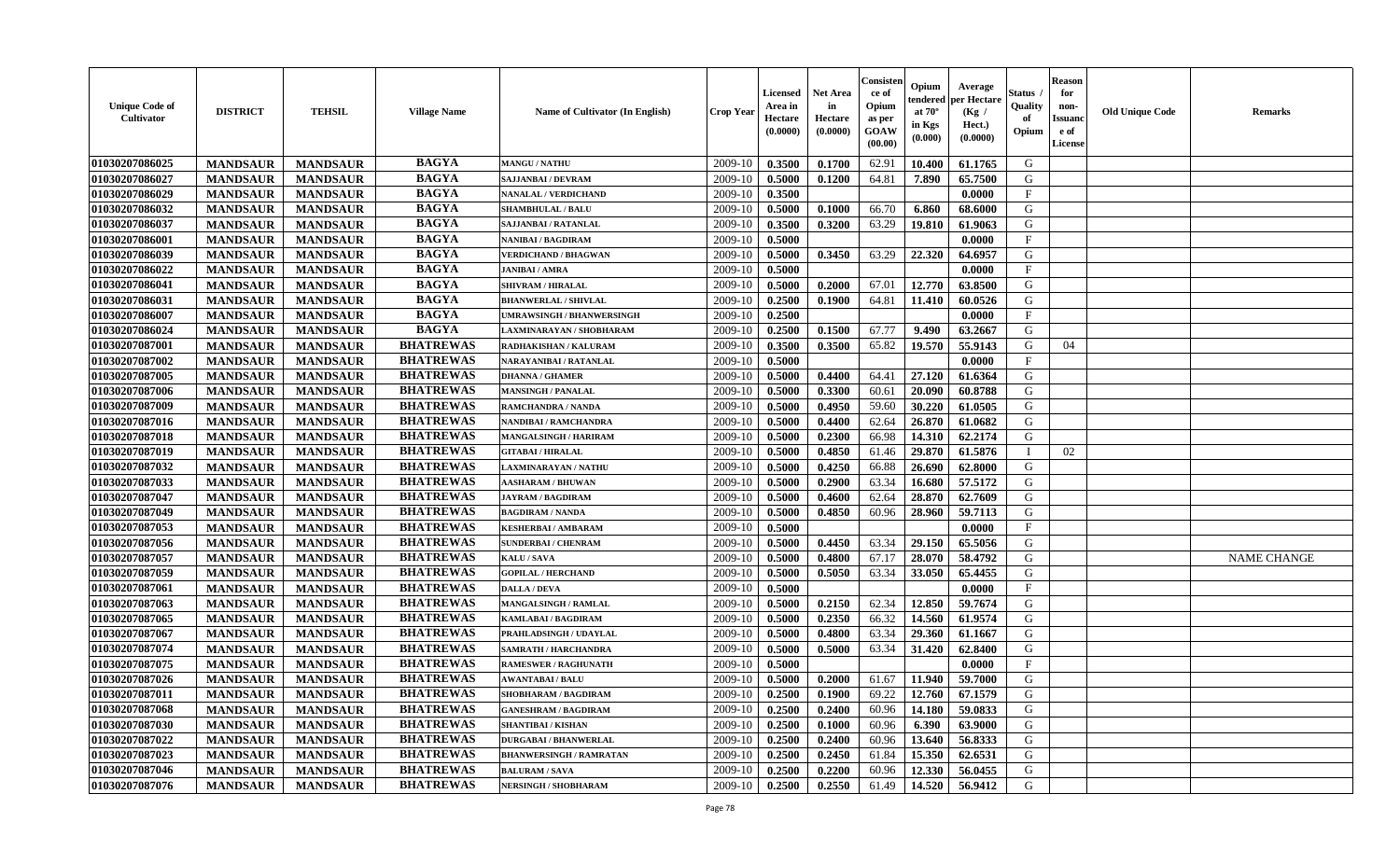| <b>Unique Code of</b><br><b>Cultivator</b> | <b>DISTRICT</b> | <b>TEHSIL</b>   | <b>Village Name</b> | Name of Cultivator (In English)  | <b>Crop Year</b> | <b>Licensed</b><br>Area in<br>Hectare<br>(0.0000) | Net Area<br>in<br>Hectare<br>(0.0000) | Consister<br>ce of<br>Opium<br>as per<br><b>GOAW</b><br>(00.00) | Opium<br>endered<br>at $70^\circ$<br>in Kgs<br>(0.000) | Average<br>per Hectare<br>(Kg /<br>Hect.)<br>(0.0000) | Status<br>Quality<br>of<br>Opium | <b>Reason</b><br>for<br>non-<br><b>Issuand</b><br>e of<br><b>License</b> | <b>Old Unique Code</b> | <b>Remarks</b>     |
|--------------------------------------------|-----------------|-----------------|---------------------|----------------------------------|------------------|---------------------------------------------------|---------------------------------------|-----------------------------------------------------------------|--------------------------------------------------------|-------------------------------------------------------|----------------------------------|--------------------------------------------------------------------------|------------------------|--------------------|
| 01030207086025                             | <b>MANDSAUR</b> | <b>MANDSAUR</b> | <b>BAGYA</b>        | <b>MANGU / NATHU</b>             | 2009-10          | 0.3500                                            | 0.1700                                | 62.91                                                           | 10.400                                                 | 61.1765                                               | G                                |                                                                          |                        |                    |
| 01030207086027                             | <b>MANDSAUR</b> | <b>MANDSAUR</b> | <b>BAGYA</b>        | <b>SAJJANBAI / DEVRAM</b>        | 2009-10          | 0.5000                                            | 0.1200                                | 64.81                                                           | 7.890                                                  | 65.7500                                               | G                                |                                                                          |                        |                    |
| 01030207086029                             | <b>MANDSAUR</b> | <b>MANDSAUR</b> | <b>BAGYA</b>        | <b>NANALAL / VERDICHAND</b>      | 2009-10          | 0.3500                                            |                                       |                                                                 |                                                        | 0.0000                                                | F                                |                                                                          |                        |                    |
| 01030207086032                             | <b>MANDSAUR</b> | <b>MANDSAUR</b> | <b>BAGYA</b>        | <b>SHAMBHULAL / BALU</b>         | 2009-10          | 0.5000                                            | 0.1000                                | 66.70                                                           | 6.860                                                  | 68.6000                                               | G                                |                                                                          |                        |                    |
| 01030207086037                             | <b>MANDSAUR</b> | <b>MANDSAUR</b> | <b>BAGYA</b>        | <b>SAJJANBAI / RATANLAL</b>      | 2009-10          | 0.3500                                            | 0.3200                                | 63.29                                                           | 19.810                                                 | 61.9063                                               | G                                |                                                                          |                        |                    |
| 01030207086001                             | <b>MANDSAUR</b> | <b>MANDSAUR</b> | <b>BAGYA</b>        | NANIBAI / BAGDIRAM               | 2009-10          | 0.5000                                            |                                       |                                                                 |                                                        | 0.0000                                                | $_{\rm F}$                       |                                                                          |                        |                    |
| 01030207086039                             | <b>MANDSAUR</b> | <b>MANDSAUR</b> | <b>BAGYA</b>        | <b>VERDICHAND / BHAGWAN</b>      | 2009-10          | 0.5000                                            | 0.3450                                | 63.29                                                           | 22.320                                                 | 64.6957                                               | G                                |                                                                          |                        |                    |
| 01030207086022                             | <b>MANDSAUR</b> | <b>MANDSAUR</b> | <b>BAGYA</b>        | <b>JANIBAI / AMRA</b>            | 2009-10          | 0.5000                                            |                                       |                                                                 |                                                        | 0.0000                                                | $\mathbf{F}$                     |                                                                          |                        |                    |
| 01030207086041                             | <b>MANDSAUR</b> | <b>MANDSAUR</b> | <b>BAGYA</b>        | <b>SHIVRAM / HIRALAL</b>         | 2009-10          | 0.5000                                            | 0.2000                                | 67.01                                                           | 12.770                                                 | 63.8500                                               | G                                |                                                                          |                        |                    |
| 01030207086031                             | <b>MANDSAUR</b> | <b>MANDSAUR</b> | <b>BAGYA</b>        | <b>BHANWERLAL / SHIVLAL</b>      | 2009-10          | 0.2500                                            | 0.1900                                | 64.81                                                           | 11.410                                                 | 60.0526                                               | G                                |                                                                          |                        |                    |
| 01030207086007                             | <b>MANDSAUR</b> | <b>MANDSAUR</b> | <b>BAGYA</b>        | <b>UMRAWSINGH / BHANWERSINGH</b> | 2009-10          | 0.2500                                            |                                       |                                                                 |                                                        | 0.0000                                                | F                                |                                                                          |                        |                    |
| 01030207086024                             | <b>MANDSAUR</b> | <b>MANDSAUR</b> | <b>BAGYA</b>        | LAXMINARAYAN / SHOBHARAM         | 2009-10          | 0.2500                                            | 0.1500                                | 67.77                                                           | 9.490                                                  | 63.2667                                               | G                                |                                                                          |                        |                    |
| 01030207087001                             | <b>MANDSAUR</b> | <b>MANDSAUR</b> | <b>BHATREWAS</b>    | RADHAKISHAN / KALURAM            | 2009-10          | 0.3500                                            | 0.3500                                | 65.82                                                           | 19.570                                                 | 55.9143                                               | G                                | 04                                                                       |                        |                    |
| 01030207087002                             | <b>MANDSAUR</b> | <b>MANDSAUR</b> | <b>BHATREWAS</b>    | NARAYANIBAI / RATANLAL           | 2009-10          | 0.5000                                            |                                       |                                                                 |                                                        | 0.0000                                                | $_{\rm F}$                       |                                                                          |                        |                    |
| 01030207087005                             | <b>MANDSAUR</b> | <b>MANDSAUR</b> | <b>BHATREWAS</b>    | <b>DHANNA / GHAMER</b>           | 2009-10          | 0.5000                                            | 0.4400                                | 64.41                                                           | 27.120                                                 | 61.6364                                               | G                                |                                                                          |                        |                    |
| 01030207087006                             | <b>MANDSAUR</b> | <b>MANDSAUR</b> | <b>BHATREWAS</b>    | <b>MANSINGH / PANALAL</b>        | 2009-10          | 0.5000                                            | 0.3300                                | 60.61                                                           | 20.090                                                 | 60.8788                                               | G                                |                                                                          |                        |                    |
| 01030207087009                             | <b>MANDSAUR</b> | <b>MANDSAUR</b> | <b>BHATREWAS</b>    | RAMCHANDRA / NANDA               | 2009-10          | 0.5000                                            | 0.4950                                | 59.60                                                           | 30.220                                                 | 61.0505                                               | G                                |                                                                          |                        |                    |
| 01030207087016                             | <b>MANDSAUR</b> | <b>MANDSAUR</b> | <b>BHATREWAS</b>    | NANDIBAI / RAMCHANDRA            | 2009-10          | 0.5000                                            | 0.4400                                | 62.64                                                           | 26.870                                                 | 61.0682                                               | G                                |                                                                          |                        |                    |
| 01030207087018                             | <b>MANDSAUR</b> | <b>MANDSAUR</b> | <b>BHATREWAS</b>    | <b>MANGALSINGH / HARIRAM</b>     | 2009-10          | 0.5000                                            | 0.2300                                | 66.98                                                           | 14.310                                                 | 62.2174                                               | G                                |                                                                          |                        |                    |
| 01030207087019                             | <b>MANDSAUR</b> | <b>MANDSAUR</b> | <b>BHATREWAS</b>    | <b>GITABAI/HIRALAL</b>           | 2009-10          | 0.5000                                            | 0.4850                                | 61.46                                                           | 29.870                                                 | 61.5876                                               | $\mathbf{I}$                     | 02                                                                       |                        |                    |
| 01030207087032                             | <b>MANDSAUR</b> | <b>MANDSAUR</b> | <b>BHATREWAS</b>    | LAXMINARAYAN / NATHU             | 2009-10          | 0.5000                                            | 0.4250                                | 66.88                                                           | 26.690                                                 | 62.8000                                               | G                                |                                                                          |                        |                    |
| 01030207087033                             | <b>MANDSAUR</b> | <b>MANDSAUR</b> | <b>BHATREWAS</b>    | <b>AASHARAM / BHUWAN</b>         | 2009-10          | 0.5000                                            | 0.2900                                | 63.34                                                           | 16.680                                                 | 57.5172                                               | G                                |                                                                          |                        |                    |
| 01030207087047                             | <b>MANDSAUR</b> | <b>MANDSAUR</b> | <b>BHATREWAS</b>    | <b>JAYRAM / BAGDIRAM</b>         | 2009-10          | 0.5000                                            | 0.4600                                | 62.64                                                           | 28.870                                                 | 62.7609                                               | G                                |                                                                          |                        |                    |
| 01030207087049                             | <b>MANDSAUR</b> | <b>MANDSAUR</b> | <b>BHATREWAS</b>    | <b>BAGDIRAM / NANDA</b>          | 2009-10          | 0.5000                                            | 0.4850                                | 60.96                                                           | 28.960                                                 | 59.7113                                               | G                                |                                                                          |                        |                    |
| 01030207087053                             | <b>MANDSAUR</b> | <b>MANDSAUR</b> | <b>BHATREWAS</b>    | <b>KESHERBAI/AMBARAM</b>         | 2009-10          | 0.5000                                            |                                       |                                                                 |                                                        | 0.0000                                                | $\rm F$                          |                                                                          |                        |                    |
| 01030207087056                             | <b>MANDSAUR</b> | <b>MANDSAUR</b> | <b>BHATREWAS</b>    | <b>SUNDERBAI/ CHENRAM</b>        | 2009-10          | 0.5000                                            | 0.4450                                | 63.34                                                           | 29.150                                                 | 65.5056                                               | G                                |                                                                          |                        |                    |
| 01030207087057                             | <b>MANDSAUR</b> | <b>MANDSAUR</b> | <b>BHATREWAS</b>    | KALU / SAVA                      | 2009-10          | 0.5000                                            | 0.4800                                | 67.17                                                           | 28.070                                                 | 58.4792                                               | G                                |                                                                          |                        | <b>NAME CHANGE</b> |
| 01030207087059                             | <b>MANDSAUR</b> | <b>MANDSAUR</b> | <b>BHATREWAS</b>    | <b>GOPILAL / HERCHAND</b>        | 2009-10          | 0.5000                                            | 0.5050                                | 63.34                                                           | 33.050                                                 | 65.4455                                               | G                                |                                                                          |                        |                    |
| 01030207087061                             | <b>MANDSAUR</b> | <b>MANDSAUR</b> | <b>BHATREWAS</b>    | <b>DALLA / DEVA</b>              | 2009-10          | 0.5000                                            |                                       |                                                                 |                                                        | 0.0000                                                | $\rm F$                          |                                                                          |                        |                    |
| 01030207087063                             | <b>MANDSAUR</b> | <b>MANDSAUR</b> | <b>BHATREWAS</b>    | <b>MANGALSINGH / RAMLAL</b>      | 2009-10          | 0.5000                                            | 0.2150                                | 62.34                                                           | 12.850                                                 | 59.7674                                               | G                                |                                                                          |                        |                    |
| 01030207087065                             | <b>MANDSAUR</b> | <b>MANDSAUR</b> | <b>BHATREWAS</b>    | KAMLABAI / BAGDIRAM              | 2009-10          | 0.5000                                            | 0.2350                                | 66.32                                                           | 14.560                                                 | 61.9574                                               | G                                |                                                                          |                        |                    |
| 01030207087067                             | <b>MANDSAUR</b> | <b>MANDSAUR</b> | <b>BHATREWAS</b>    | PRAHLADSINGH / UDAYLAL           | 2009-10          | 0.5000                                            | 0.4800                                | 63.34                                                           | 29.360                                                 | 61.1667                                               | ${\bf G}$                        |                                                                          |                        |                    |
| 01030207087074                             | <b>MANDSAUR</b> | <b>MANDSAUR</b> | <b>BHATREWAS</b>    | SAMRATH / HARCHANDRA             | 2009-10          | 0.5000                                            | 0.5000                                | 63.34                                                           | 31.420                                                 | 62.8400                                               | G                                |                                                                          |                        |                    |
| 01030207087075                             | <b>MANDSAUR</b> | <b>MANDSAUR</b> | <b>BHATREWAS</b>    | <b>RAMESWER / RAGHUNATH</b>      | 2009-10          | 0.5000                                            |                                       |                                                                 |                                                        | 0.0000                                                | $\mathbf{F}$                     |                                                                          |                        |                    |
| 01030207087026                             | <b>MANDSAUR</b> | <b>MANDSAUR</b> | <b>BHATREWAS</b>    | <b>AWANTABAI/BALU</b>            | 2009-10          | 0.5000                                            | 0.2000                                | 61.67                                                           | 11.940                                                 | 59.7000                                               | G                                |                                                                          |                        |                    |
| 01030207087011                             | <b>MANDSAUR</b> | <b>MANDSAUR</b> | <b>BHATREWAS</b>    | <b>SHOBHARAM / BAGDIRAM</b>      | 2009-10          | 0.2500                                            | 0.1900                                | 69.22                                                           | 12.760                                                 | 67.1579                                               | G                                |                                                                          |                        |                    |
| 01030207087068                             | <b>MANDSAUR</b> | <b>MANDSAUR</b> | <b>BHATREWAS</b>    | <b>GANESHRAM / BAGDIRAM</b>      | 2009-10          | 0.2500                                            | 0.2400                                | 60.96                                                           | 14.180                                                 | 59.0833                                               | G                                |                                                                          |                        |                    |
| 01030207087030                             | <b>MANDSAUR</b> | <b>MANDSAUR</b> | <b>BHATREWAS</b>    | <b>SHANTIBAI / KISHAN</b>        | 2009-10          | 0.2500                                            | 0.1000                                | 60.96                                                           | 6.390                                                  | 63.9000                                               | G                                |                                                                          |                        |                    |
| 01030207087022                             | <b>MANDSAUR</b> | <b>MANDSAUR</b> | <b>BHATREWAS</b>    | <b>DURGABAI/BHANWERLAL</b>       | 2009-10          | 0.2500                                            | 0.2400                                | 60.96                                                           | 13.640                                                 | 56.8333                                               | G                                |                                                                          |                        |                    |
| 01030207087023                             | <b>MANDSAUR</b> | <b>MANDSAUR</b> | <b>BHATREWAS</b>    | <b>BHANWERSINGH / RAMRATAN</b>   | 2009-10          | 0.2500                                            | 0.2450                                | 61.84                                                           | 15.350                                                 | 62.6531                                               | ${\bf G}$                        |                                                                          |                        |                    |
| 01030207087046                             | <b>MANDSAUR</b> | <b>MANDSAUR</b> | <b>BHATREWAS</b>    | <b>BALURAM / SAVA</b>            | 2009-10          | 0.2500                                            | 0.2200                                | 60.96                                                           | 12.330                                                 | 56.0455                                               | G                                |                                                                          |                        |                    |
| 01030207087076                             | <b>MANDSAUR</b> | <b>MANDSAUR</b> | <b>BHATREWAS</b>    | NERSINGH / SHOBHARAM             | 2009-10          | 0.2500                                            | 0.2550                                | 61.49                                                           | 14.520                                                 | 56.9412                                               | G                                |                                                                          |                        |                    |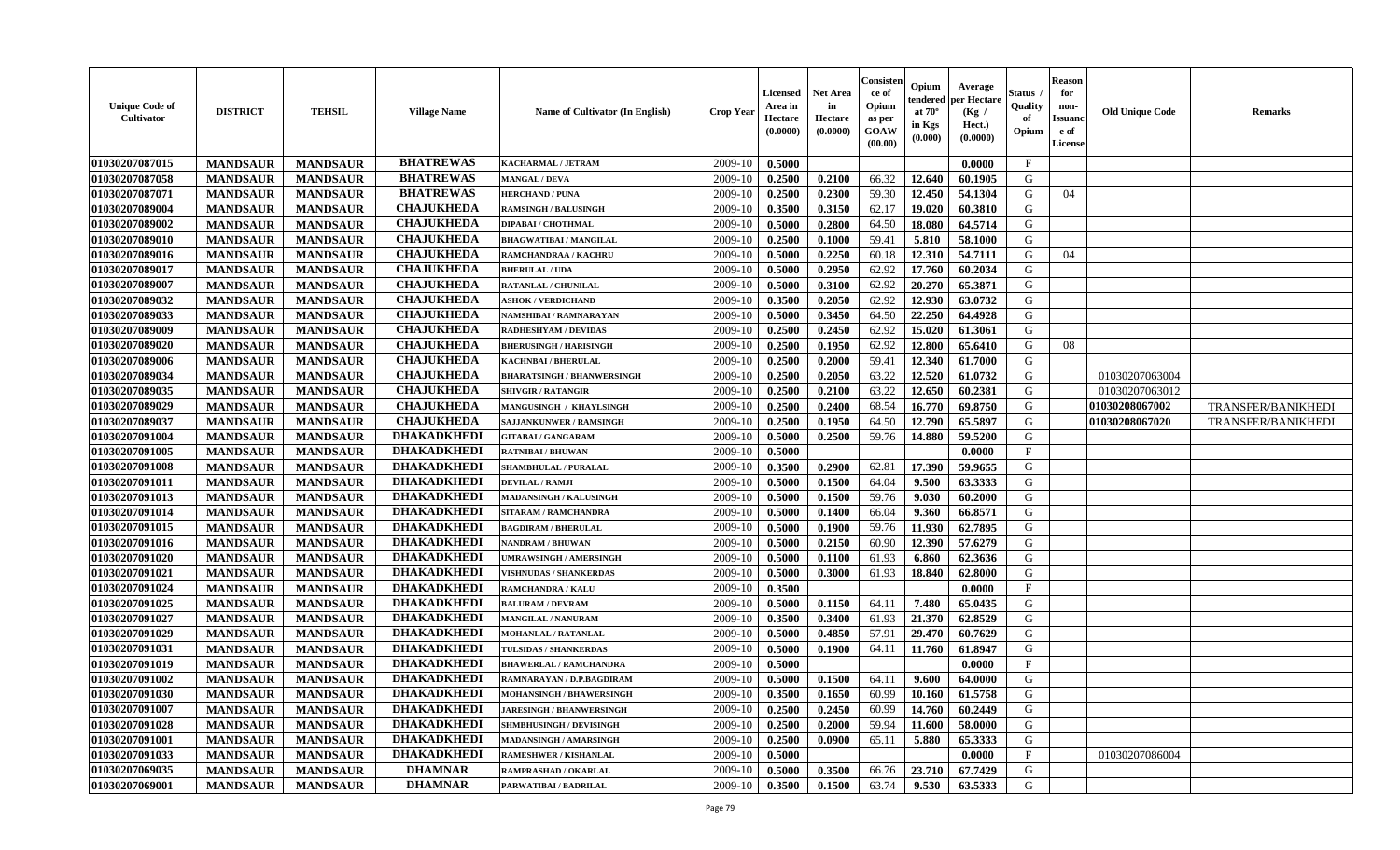| <b>Unique Code of</b><br><b>Cultivator</b> | <b>DISTRICT</b> | <b>TEHSIL</b>   | <b>Village Name</b> | Name of Cultivator (In English)   | <b>Crop Year</b> | <b>Licensed</b><br>Area in<br>Hectare<br>(0.0000) | Net Area<br>in<br>Hectare<br>(0.0000) | Consisteı<br>ce of<br>Opium<br>as per<br>GOAW<br>(00.00) | Opium<br>endered<br>at $70^\circ$<br>in Kgs<br>(0.000) | Average<br>per Hectare<br>(Kg /<br>Hect.)<br>(0.0000) | Status<br>Quality<br>of<br>Opium | <b>Reason</b><br>for<br>non-<br>Issuano<br>e of<br>License | <b>Old Unique Code</b> | Remarks            |
|--------------------------------------------|-----------------|-----------------|---------------------|-----------------------------------|------------------|---------------------------------------------------|---------------------------------------|----------------------------------------------------------|--------------------------------------------------------|-------------------------------------------------------|----------------------------------|------------------------------------------------------------|------------------------|--------------------|
| 01030207087015                             | <b>MANDSAUR</b> | <b>MANDSAUR</b> | <b>BHATREWAS</b>    | KACHARMAL / JETRAM                | 2009-10          | 0.5000                                            |                                       |                                                          |                                                        | 0.0000                                                | $\mathbf{F}$                     |                                                            |                        |                    |
| 01030207087058                             | <b>MANDSAUR</b> | <b>MANDSAUR</b> | <b>BHATREWAS</b>    | <b>MANGAL / DEVA</b>              | 2009-10          | 0.2500                                            | 0.2100                                | 66.32                                                    | 12.640                                                 | 60.1905                                               | G                                |                                                            |                        |                    |
| 01030207087071                             | <b>MANDSAUR</b> | <b>MANDSAUR</b> | <b>BHATREWAS</b>    | <b>HERCHAND / PUNA</b>            | 2009-10          | 0.2500                                            | 0.2300                                | 59.30                                                    | 12.450                                                 | 54.1304                                               | G                                | 04                                                         |                        |                    |
| 01030207089004                             | <b>MANDSAUR</b> | <b>MANDSAUR</b> | <b>CHAJUKHEDA</b>   | <b>RAMSINGH / BALUSINGH</b>       | 2009-10          | 0.3500                                            | 0.3150                                | 62.17                                                    | 19.020                                                 | 60.3810                                               | G                                |                                                            |                        |                    |
| 01030207089002                             | <b>MANDSAUR</b> | <b>MANDSAUR</b> | <b>CHAJUKHEDA</b>   | DIPABAI / CHOTHMAL                | 2009-10          | 0.5000                                            | 0.2800                                | 64.50                                                    | 18.080                                                 | 64.5714                                               | G                                |                                                            |                        |                    |
| 01030207089010                             | <b>MANDSAUR</b> | <b>MANDSAUR</b> | <b>CHAJUKHEDA</b>   | <b>BHAGWATIBAI / MANGILAL</b>     | 2009-10          | 0.2500                                            | 0.1000                                | 59.41                                                    | 5.810                                                  | 58.1000                                               | G                                |                                                            |                        |                    |
| 01030207089016                             | <b>MANDSAUR</b> | <b>MANDSAUR</b> | <b>CHAJUKHEDA</b>   | RAMCHANDRAA / KACHRU              | 2009-10          | 0.5000                                            | 0.2250                                | 60.18                                                    | 12.310                                                 | 54.7111                                               | G                                | 04                                                         |                        |                    |
| 01030207089017                             | <b>MANDSAUR</b> | <b>MANDSAUR</b> | <b>CHAJUKHEDA</b>   | <b>BHERULAL / UDA</b>             | 2009-10          | 0.5000                                            | 0.2950                                | 62.92                                                    | 17.760                                                 | 60.2034                                               | G                                |                                                            |                        |                    |
| 01030207089007                             | <b>MANDSAUR</b> | <b>MANDSAUR</b> | <b>CHAJUKHEDA</b>   | <b>RATANLAL / CHUNILAL</b>        | 2009-10          | 0.5000                                            | 0.3100                                | 62.92                                                    | 20.270                                                 | 65.3871                                               | G                                |                                                            |                        |                    |
| 01030207089032                             | <b>MANDSAUR</b> | <b>MANDSAUR</b> | <b>CHAJUKHEDA</b>   | <b>ASHOK / VERDICHAND</b>         | 2009-10          | 0.3500                                            | 0.2050                                | 62.92                                                    | 12.930                                                 | 63.0732                                               | G                                |                                                            |                        |                    |
| 01030207089033                             | <b>MANDSAUR</b> | <b>MANDSAUR</b> | <b>CHAJUKHEDA</b>   | NAMSHIBAI / RAMNARAYAN            | 2009-10          | 0.5000                                            | 0.3450                                | 64.50                                                    | 22.250                                                 | 64.4928                                               | G                                |                                                            |                        |                    |
| 01030207089009                             | <b>MANDSAUR</b> | <b>MANDSAUR</b> | <b>CHAJUKHEDA</b>   | <b>RADHESHYAM / DEVIDAS</b>       | 2009-10          | 0.2500                                            | 0.2450                                | 62.92                                                    | 15.020                                                 | 61.3061                                               | G                                |                                                            |                        |                    |
| 01030207089020                             | <b>MANDSAUR</b> | <b>MANDSAUR</b> | <b>CHAJUKHEDA</b>   | <b>BHERUSINGH / HARISINGH</b>     | 2009-10          | 0.2500                                            | 0.1950                                | 62.92                                                    | 12.800                                                 | 65.6410                                               | G                                | 08                                                         |                        |                    |
| 01030207089006                             | <b>MANDSAUR</b> | <b>MANDSAUR</b> | <b>CHAJUKHEDA</b>   | KACHNBAI / BHERULAL               | 2009-10          | 0.2500                                            | 0.2000                                | 59.41                                                    | 12.340                                                 | 61.7000                                               | G                                |                                                            |                        |                    |
| 01030207089034                             | <b>MANDSAUR</b> | <b>MANDSAUR</b> | <b>CHAJUKHEDA</b>   | <b>BHARATSINGH / BHANWERSINGH</b> | 2009-10          | 0.2500                                            | 0.2050                                | 63.22                                                    | 12.520                                                 | 61.0732                                               | G                                |                                                            | 01030207063004         |                    |
| 01030207089035                             | <b>MANDSAUR</b> | <b>MANDSAUR</b> | <b>CHAJUKHEDA</b>   | <b>SHIVGIR / RATANGIR</b>         | 2009-10          | 0.2500                                            | 0.2100                                | 63.22                                                    | 12.650                                                 | 60.2381                                               | G                                |                                                            | 01030207063012         |                    |
| 01030207089029                             | <b>MANDSAUR</b> | <b>MANDSAUR</b> | <b>CHAJUKHEDA</b>   | MANGUSINGH / KHAYLSINGH           | 2009-10          | 0.2500                                            | 0.2400                                | 68.54                                                    | 16.770                                                 | 69.8750                                               | G                                |                                                            | 01030208067002         | TRANSFER/BANIKHEDI |
| 01030207089037                             | <b>MANDSAUR</b> | <b>MANDSAUR</b> | <b>CHAJUKHEDA</b>   | <b>SAJJANKUNWER / RAMSINGH</b>    | 2009-10          | 0.2500                                            | 0.1950                                | 64.50                                                    | 12.790                                                 | 65.5897                                               | G                                |                                                            | 01030208067020         | TRANSFER/BANIKHEDI |
| 01030207091004                             | <b>MANDSAUR</b> | <b>MANDSAUR</b> | <b>DHAKADKHEDI</b>  | <b>GITABAI/ GANGARAM</b>          | 2009-10          | 0.5000                                            | 0.2500                                | 59.76                                                    | 14.880                                                 | 59.5200                                               | G                                |                                                            |                        |                    |
| 01030207091005                             | <b>MANDSAUR</b> | <b>MANDSAUR</b> | <b>DHAKADKHEDI</b>  | <b>RATNIBAI / BHUWAN</b>          | 2009-10          | 0.5000                                            |                                       |                                                          |                                                        | 0.0000                                                | $\mathbf{F}$                     |                                                            |                        |                    |
| 01030207091008                             | <b>MANDSAUR</b> | <b>MANDSAUR</b> | <b>DHAKADKHEDI</b>  | <b>SHAMBHULAL / PURALAL</b>       | 2009-10          | 0.3500                                            | 0.2900                                | 62.81                                                    | 17.390                                                 | 59.9655                                               | G                                |                                                            |                        |                    |
| 01030207091011                             | <b>MANDSAUR</b> | <b>MANDSAUR</b> | <b>DHAKADKHEDI</b>  | <b>DEVILAL / RAMJI</b>            | 2009-10          | 0.5000                                            | 0.1500                                | 64.04                                                    | 9.500                                                  | 63.3333                                               | G                                |                                                            |                        |                    |
| 01030207091013                             | <b>MANDSAUR</b> | <b>MANDSAUR</b> | <b>DHAKADKHEDI</b>  | <b>MADANSINGH / KALUSINGH</b>     | 2009-10          | 0.5000                                            | 0.1500                                | 59.76                                                    | 9.030                                                  | 60.2000                                               | G                                |                                                            |                        |                    |
| 01030207091014                             | <b>MANDSAUR</b> | <b>MANDSAUR</b> | <b>DHAKADKHEDI</b>  | SITARAM / RAMCHANDRA              | 2009-10          | 0.5000                                            | 0.1400                                | 66.04                                                    | 9.360                                                  | 66.8571                                               | G                                |                                                            |                        |                    |
| 01030207091015                             | <b>MANDSAUR</b> | <b>MANDSAUR</b> | <b>DHAKADKHEDI</b>  | <b>BAGDIRAM / BHERULAL</b>        | 2009-10          | 0.5000                                            | 0.1900                                | 59.76                                                    | 11.930                                                 | 62.7895                                               | G                                |                                                            |                        |                    |
| 01030207091016                             | <b>MANDSAUR</b> | <b>MANDSAUR</b> | <b>DHAKADKHEDI</b>  | NANDRAM / BHUWAN                  | 2009-10          | 0.5000                                            | 0.2150                                | 60.90                                                    | 12.390                                                 | 57.6279                                               | G                                |                                                            |                        |                    |
| 01030207091020                             | <b>MANDSAUR</b> | <b>MANDSAUR</b> | <b>DHAKADKHEDI</b>  | <b>JMRAWSINGH / AMERSINGH</b>     | 2009-10          | 0.5000                                            | 0.1100                                | 61.93                                                    | 6.860                                                  | 62.3636                                               | G                                |                                                            |                        |                    |
| 01030207091021                             | <b>MANDSAUR</b> | <b>MANDSAUR</b> | <b>DHAKADKHEDI</b>  | <b>VISHNUDAS / SHANKERDAS</b>     | 2009-10          | 0.5000                                            | 0.3000                                | 61.93                                                    | 18.840                                                 | 62.8000                                               | G                                |                                                            |                        |                    |
| 01030207091024                             | <b>MANDSAUR</b> | <b>MANDSAUR</b> | <b>DHAKADKHEDI</b>  | <b>RAMCHANDRA / KALU</b>          | 2009-10          | 0.3500                                            |                                       |                                                          |                                                        | 0.0000                                                | $\mathbf{F}$                     |                                                            |                        |                    |
| 01030207091025                             | <b>MANDSAUR</b> | <b>MANDSAUR</b> | <b>DHAKADKHEDI</b>  | <b>BALURAM / DEVRAM</b>           | 2009-10          | 0.5000                                            | 0.1150                                | 64.11                                                    | 7.480                                                  | 65.0435                                               | G                                |                                                            |                        |                    |
| 01030207091027                             | <b>MANDSAUR</b> | <b>MANDSAUR</b> | <b>DHAKADKHEDI</b>  | <b>MANGILAL / NANURAM</b>         | 2009-10          | 0.3500                                            | 0.3400                                | 61.93                                                    | 21.370                                                 | 62.8529                                               | G                                |                                                            |                        |                    |
| 01030207091029                             | <b>MANDSAUR</b> | <b>MANDSAUR</b> | <b>DHAKADKHEDI</b>  | <b>MOHANLAL / RATANLAL</b>        | 2009-10          | 0.5000                                            | 0.4850                                | 57.91                                                    | 29.470                                                 | 60.7629                                               | G                                |                                                            |                        |                    |
| 01030207091031                             | <b>MANDSAUR</b> | <b>MANDSAUR</b> | <b>DHAKADKHEDI</b>  | TULSIDAS / SHANKERDAS             | 2009-10          | 0.5000                                            | 0.1900                                | 64.11                                                    | 11.760                                                 | 61.8947                                               | G                                |                                                            |                        |                    |
| 01030207091019                             | <b>MANDSAUR</b> | <b>MANDSAUR</b> | <b>DHAKADKHEDI</b>  | <b>BHAWERLAL / RAMCHANDRA</b>     | 2009-10          | 0.5000                                            |                                       |                                                          |                                                        | 0.0000                                                | $_{\rm F}$                       |                                                            |                        |                    |
| 01030207091002                             | <b>MANDSAUR</b> | <b>MANDSAUR</b> | <b>DHAKADKHEDI</b>  | RAMNARAYAN / D.P.BAGDIRAM         | 2009-10          | 0.5000                                            | 0.1500                                | 64.11                                                    | 9.600                                                  | 64.0000                                               | G                                |                                                            |                        |                    |
| 01030207091030                             | <b>MANDSAUR</b> | <b>MANDSAUR</b> | <b>DHAKADKHEDI</b>  | <b>MOHANSINGH / BHAWERSINGH</b>   | 2009-10          | 0.3500                                            | 0.1650                                | 60.99                                                    | 10.160                                                 | 61.5758                                               | G                                |                                                            |                        |                    |
| 01030207091007                             | <b>MANDSAUR</b> | <b>MANDSAUR</b> | <b>DHAKADKHEDI</b>  | <b>JARESINGH / BHANWERSINGH</b>   | 2009-10          | 0.2500                                            | 0.2450                                | 60.99                                                    | 14.760                                                 | 60.2449                                               | G                                |                                                            |                        |                    |
| 01030207091028                             | <b>MANDSAUR</b> | <b>MANDSAUR</b> | <b>DHAKADKHEDI</b>  | <b>SHMBHUSINGH / DEVISINGH</b>    | 2009-10          | 0.2500                                            | 0.2000                                | 59.94                                                    | 11.600                                                 | 58.0000                                               | G                                |                                                            |                        |                    |
| 01030207091001                             | <b>MANDSAUR</b> | <b>MANDSAUR</b> | <b>DHAKADKHEDI</b>  | MADANSINGH / AMARSINGH            | 2009-10          | 0.2500                                            | 0.0900                                | 65.11                                                    | 5.880                                                  | 65.3333                                               | G                                |                                                            |                        |                    |
| 01030207091033                             | <b>MANDSAUR</b> | <b>MANDSAUR</b> | <b>DHAKADKHEDI</b>  | RAMESHWER / KISHANLAL             | 2009-10          | 0.5000                                            |                                       |                                                          |                                                        | 0.0000                                                | F                                |                                                            | 01030207086004         |                    |
| 01030207069035                             | <b>MANDSAUR</b> | <b>MANDSAUR</b> | <b>DHAMNAR</b>      | RAMPRASHAD / OKARLAL              | 2009-10          | 0.5000                                            | 0.3500                                | 66.76                                                    | 23.710                                                 | 67.7429                                               | G                                |                                                            |                        |                    |
| 01030207069001                             | <b>MANDSAUR</b> | <b>MANDSAUR</b> | <b>DHAMNAR</b>      | PARWATIBAI / BADRILAL             | 2009-10          | 0.3500                                            | 0.1500                                | 63.74                                                    | 9.530                                                  | 63.5333                                               | G                                |                                                            |                        |                    |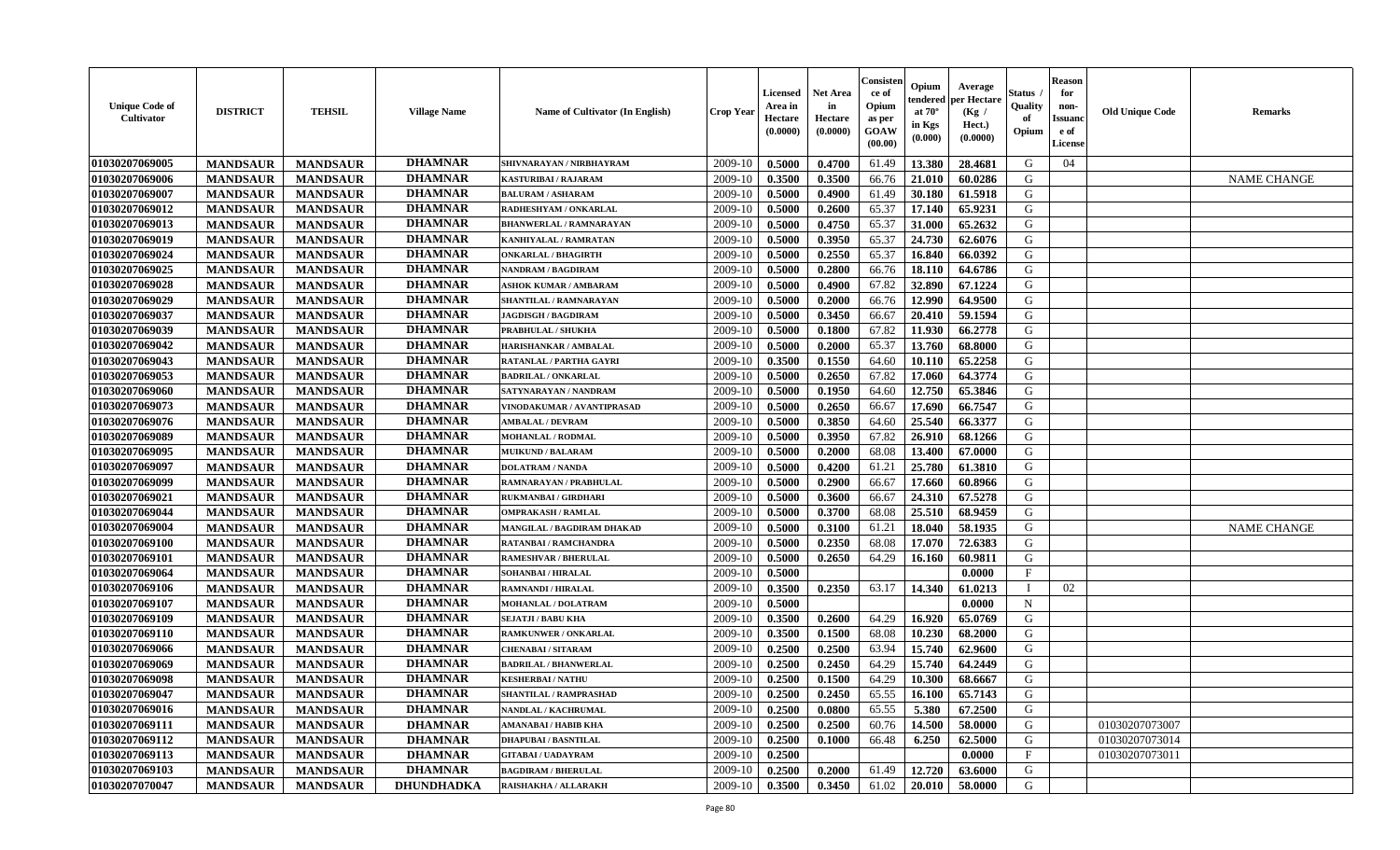| <b>Unique Code of</b><br><b>Cultivator</b> | <b>DISTRICT</b> | <b>TEHSIL</b>   | <b>Village Name</b> | Name of Cultivator (In English) | <b>Crop Year</b> | <b>Licensed</b><br>Area in<br>Hectare<br>(0.0000) | <b>Net Area</b><br>in<br>Hectare<br>(0.0000) | Consister<br>ce of<br>Opium<br>as per<br><b>GOAW</b><br>(00.00) | Opium<br>endered<br>at $70^\circ$<br>in Kgs<br>$(\mathbf{0.000})$ | Average<br>per Hectare<br>(Kg)<br>Hect.)<br>(0.0000) | Status<br>Quality<br>of<br>Opium | <b>Reason</b><br>for<br>non-<br><b>Issuano</b><br>e of<br>License | <b>Old Unique Code</b> | <b>Remarks</b>     |
|--------------------------------------------|-----------------|-----------------|---------------------|---------------------------------|------------------|---------------------------------------------------|----------------------------------------------|-----------------------------------------------------------------|-------------------------------------------------------------------|------------------------------------------------------|----------------------------------|-------------------------------------------------------------------|------------------------|--------------------|
| 01030207069005                             | <b>MANDSAUR</b> | <b>MANDSAUR</b> | <b>DHAMNAR</b>      | SHIVNARAYAN / NIRBHAYRAM        | 2009-10          | 0.5000                                            | 0.4700                                       | 61.49                                                           | 13.380                                                            | 28.4681                                              | G                                | 04                                                                |                        |                    |
| 01030207069006                             | <b>MANDSAUR</b> | <b>MANDSAUR</b> | <b>DHAMNAR</b>      | <b>KASTURIBAI / RAJARAM</b>     | 2009-10          | 0.3500                                            | 0.3500                                       | 66.76                                                           | 21.010                                                            | 60.0286                                              | G                                |                                                                   |                        | <b>NAME CHANGE</b> |
| 01030207069007                             | <b>MANDSAUR</b> | <b>MANDSAUR</b> | <b>DHAMNAR</b>      | <b>BALURAM / ASHARAM</b>        | 2009-10          | 0.5000                                            | 0.4900                                       | 61.49                                                           | 30.180                                                            | 61.5918                                              | G                                |                                                                   |                        |                    |
| 01030207069012                             | <b>MANDSAUR</b> | <b>MANDSAUR</b> | <b>DHAMNAR</b>      | RADHESHYAM / ONKARLAL           | 2009-10          | 0.5000                                            | 0.2600                                       | 65.37                                                           | 17.140                                                            | 65.9231                                              | G                                |                                                                   |                        |                    |
| 01030207069013                             | <b>MANDSAUR</b> | <b>MANDSAUR</b> | <b>DHAMNAR</b>      | <b>BHANWERLAL / RAMNARAYAN</b>  | 2009-10          | 0.5000                                            | 0.4750                                       | 65.37                                                           | 31.000                                                            | 65.2632                                              | G                                |                                                                   |                        |                    |
| 01030207069019                             | <b>MANDSAUR</b> | <b>MANDSAUR</b> | <b>DHAMNAR</b>      | KANHIYALAL / RAMRATAN           | 2009-10          | 0.5000                                            | 0.3950                                       | 65.37                                                           | 24.730                                                            | 62.6076                                              | G                                |                                                                   |                        |                    |
| 01030207069024                             | <b>MANDSAUR</b> | <b>MANDSAUR</b> | <b>DHAMNAR</b>      | <b>ONKARLAL / BHAGIRTH</b>      | 2009-10          | 0.5000                                            | 0.2550                                       | 65.37                                                           | 16.840                                                            | 66.0392                                              | G                                |                                                                   |                        |                    |
| 01030207069025                             | <b>MANDSAUR</b> | <b>MANDSAUR</b> | <b>DHAMNAR</b>      | NANDRAM / BAGDIRAM              | 2009-10          | 0.5000                                            | 0.2800                                       | 66.76                                                           | 18.110                                                            | 64.6786                                              | G                                |                                                                   |                        |                    |
| 01030207069028                             | <b>MANDSAUR</b> | <b>MANDSAUR</b> | <b>DHAMNAR</b>      | <b>ASHOK KUMAR / AMBARAM</b>    | 2009-10          | 0.5000                                            | 0.4900                                       | 67.82                                                           | 32.890                                                            | 67.1224                                              | G                                |                                                                   |                        |                    |
| 01030207069029                             | <b>MANDSAUR</b> | <b>MANDSAUR</b> | <b>DHAMNAR</b>      | SHANTILAL / RAMNARAYAN          | 2009-10          | 0.5000                                            | 0.2000                                       | 66.76                                                           | 12.990                                                            | 64.9500                                              | G                                |                                                                   |                        |                    |
| 01030207069037                             | <b>MANDSAUR</b> | <b>MANDSAUR</b> | <b>DHAMNAR</b>      | <b>JAGDISGH / BAGDIRAM</b>      | 2009-10          | 0.5000                                            | 0.3450                                       | 66.67                                                           | 20.410                                                            | 59.1594                                              | G                                |                                                                   |                        |                    |
| 01030207069039                             | <b>MANDSAUR</b> | <b>MANDSAUR</b> | <b>DHAMNAR</b>      | PRABHULAL / SHUKHA              | 2009-10          | 0.5000                                            | 0.1800                                       | 67.82                                                           | 11.930                                                            | 66.2778                                              | G                                |                                                                   |                        |                    |
| 01030207069042                             | <b>MANDSAUR</b> | <b>MANDSAUR</b> | <b>DHAMNAR</b>      | HARISHANKAR / AMBALAL           | 2009-10          | 0.5000                                            | 0.2000                                       | 65.37                                                           | 13.760                                                            | 68.8000                                              | G                                |                                                                   |                        |                    |
| 01030207069043                             | <b>MANDSAUR</b> | <b>MANDSAUR</b> | <b>DHAMNAR</b>      | <b>RATANLAL / PARTHA GAYRI</b>  | 2009-10          | 0.3500                                            | 0.1550                                       | 64.60                                                           | 10.110                                                            | 65,2258                                              | G                                |                                                                   |                        |                    |
| 01030207069053                             | <b>MANDSAUR</b> | <b>MANDSAUR</b> | <b>DHAMNAR</b>      | <b>BADRILAL / ONKARLAL</b>      | 2009-10          | 0.5000                                            | 0.2650                                       | 67.82                                                           | 17.060                                                            | 64.3774                                              | G                                |                                                                   |                        |                    |
| 01030207069060                             | <b>MANDSAUR</b> | <b>MANDSAUR</b> | <b>DHAMNAR</b>      | SATYNARAYAN / NANDRAM           | 2009-10          | 0.5000                                            | 0.1950                                       | 64.60                                                           | 12.750                                                            | 65.3846                                              | G                                |                                                                   |                        |                    |
| 01030207069073                             | <b>MANDSAUR</b> | <b>MANDSAUR</b> | <b>DHAMNAR</b>      | VINODAKUMAR / AVANTIPRASAD      | 2009-10          | 0.5000                                            | 0.2650                                       | 66.67                                                           | 17.690                                                            | 66.7547                                              | G                                |                                                                   |                        |                    |
| 01030207069076                             | <b>MANDSAUR</b> | <b>MANDSAUR</b> | <b>DHAMNAR</b>      | <b>AMBALAL / DEVRAM</b>         | 2009-10          | 0.5000                                            | 0.3850                                       | 64.60                                                           | 25.540                                                            | 66.3377                                              | G                                |                                                                   |                        |                    |
| 01030207069089                             | <b>MANDSAUR</b> | <b>MANDSAUR</b> | <b>DHAMNAR</b>      | MOHANLAL / RODMAL               | 2009-10          | 0.5000                                            | 0.3950                                       | 67.82                                                           | 26.910                                                            | 68.1266                                              | G                                |                                                                   |                        |                    |
| 01030207069095                             | <b>MANDSAUR</b> | <b>MANDSAUR</b> | <b>DHAMNAR</b>      | <b>MUIKUND / BALARAM</b>        | 2009-10          | 0.5000                                            | 0.2000                                       | 68.08                                                           | 13.400                                                            | 67.0000                                              | G                                |                                                                   |                        |                    |
| 01030207069097                             | <b>MANDSAUR</b> | <b>MANDSAUR</b> | <b>DHAMNAR</b>      | <b>DOLATRAM / NANDA</b>         | 2009-10          | 0.5000                                            | 0.4200                                       | 61.21                                                           | 25.780                                                            | 61.3810                                              | G                                |                                                                   |                        |                    |
| 01030207069099                             | <b>MANDSAUR</b> | <b>MANDSAUR</b> | <b>DHAMNAR</b>      | RAMNARAYAN / PRABHULAL          | 2009-10          | 0.5000                                            | 0.2900                                       | 66.67                                                           | 17.660                                                            | 60.8966                                              | G                                |                                                                   |                        |                    |
| 01030207069021                             | <b>MANDSAUR</b> | <b>MANDSAUR</b> | <b>DHAMNAR</b>      | <b>RUKMANBAI/GIRDHARI</b>       | 2009-10          | 0.5000                                            | 0.3600                                       | 66.67                                                           | 24.310                                                            | 67.5278                                              | G                                |                                                                   |                        |                    |
| 01030207069044                             | <b>MANDSAUR</b> | <b>MANDSAUR</b> | <b>DHAMNAR</b>      | <b>OMPRAKASH / RAMLAL</b>       | 2009-10          | 0.5000                                            | 0.3700                                       | 68.08                                                           | 25.510                                                            | 68.9459                                              | G                                |                                                                   |                        |                    |
| 01030207069004                             | <b>MANDSAUR</b> | <b>MANDSAUR</b> | <b>DHAMNAR</b>      | MANGILAL / BAGDIRAM DHAKAD      | 2009-10          | 0.5000                                            | 0.3100                                       | 61.21                                                           | 18.040                                                            | 58.1935                                              | G                                |                                                                   |                        | <b>NAME CHANGE</b> |
| 01030207069100                             | <b>MANDSAUR</b> | <b>MANDSAUR</b> | <b>DHAMNAR</b>      | RATANBAI / RAMCHANDRA           | 2009-10          | 0.5000                                            | 0.2350                                       | 68.08                                                           | 17.070                                                            | 72.6383                                              | G                                |                                                                   |                        |                    |
| 01030207069101                             | <b>MANDSAUR</b> | <b>MANDSAUR</b> | <b>DHAMNAR</b>      | <b>RAMESHVAR / BHERULAL</b>     | 2009-10          | 0.5000                                            | 0.2650                                       | 64.29                                                           | 16.160                                                            | 60.9811                                              | G                                |                                                                   |                        |                    |
| 01030207069064                             | <b>MANDSAUR</b> | <b>MANDSAUR</b> | <b>DHAMNAR</b>      | SOHANBAI / HIRALAL              | 2009-10          | 0.5000                                            |                                              |                                                                 |                                                                   | 0.0000                                               | $\mathbf{F}$                     |                                                                   |                        |                    |
| 01030207069106                             | <b>MANDSAUR</b> | <b>MANDSAUR</b> | <b>DHAMNAR</b>      | <b>RAMNANDI / HIRALAL</b>       | 2009-10          | 0.3500                                            | 0.2350                                       | 63.17                                                           | 14.340                                                            | 61.0213                                              | $\blacksquare$                   | 02                                                                |                        |                    |
| 01030207069107                             | <b>MANDSAUR</b> | <b>MANDSAUR</b> | <b>DHAMNAR</b>      | MOHANLAL / DOLATRAM             | 2009-10          | 0.5000                                            |                                              |                                                                 |                                                                   | 0.0000                                               | $\mathbf N$                      |                                                                   |                        |                    |
| 01030207069109                             | <b>MANDSAUR</b> | <b>MANDSAUR</b> | <b>DHAMNAR</b>      | <b>SEJATJI / BABU KHA</b>       | 2009-10          | 0.3500                                            | 0.2600                                       | 64.29                                                           | 16.920                                                            | 65.0769                                              | G                                |                                                                   |                        |                    |
| 01030207069110                             | <b>MANDSAUR</b> | <b>MANDSAUR</b> | <b>DHAMNAR</b>      | <b>RAMKUNWER / ONKARLAL</b>     | 2009-10          | 0.3500                                            | 0.1500                                       | 68.08                                                           | 10.230                                                            | 68.2000                                              | G                                |                                                                   |                        |                    |
| 01030207069066                             | <b>MANDSAUR</b> | <b>MANDSAUR</b> | <b>DHAMNAR</b>      | <b>CHENABAI/SITARAM</b>         | 2009-10          | 0.2500                                            | 0.2500                                       | 63.94                                                           | 15.740                                                            | 62.9600                                              | G                                |                                                                   |                        |                    |
| 01030207069069                             | <b>MANDSAUR</b> | <b>MANDSAUR</b> | <b>DHAMNAR</b>      | <b>BADRILAL / BHANWERLAL</b>    | 2009-10          | 0.2500                                            | 0.2450                                       | 64.29                                                           | 15.740                                                            | 64.2449                                              | G                                |                                                                   |                        |                    |
| 01030207069098                             | <b>MANDSAUR</b> | <b>MANDSAUR</b> | <b>DHAMNAR</b>      | <b>KESHERBAI/NATHU</b>          | 2009-10          | 0.2500                                            | 0.1500                                       | 64.29                                                           | 10.300                                                            | 68.6667                                              | G                                |                                                                   |                        |                    |
| 01030207069047                             | <b>MANDSAUR</b> | <b>MANDSAUR</b> | <b>DHAMNAR</b>      | SHANTILAL / RAMPRASHAD          | $2009-10$        | 0.2500                                            | 0.2450                                       | 65.55                                                           | 16.100                                                            | 65.7143                                              | G                                |                                                                   |                        |                    |
| 01030207069016                             | <b>MANDSAUR</b> | <b>MANDSAUR</b> | <b>DHAMNAR</b>      | NANDLAL / KACHRUMAL             | 2009-10          | 0.2500                                            | 0.0800                                       | 65.55                                                           | 5.380                                                             | 67.2500                                              | G                                |                                                                   |                        |                    |
| 01030207069111                             | <b>MANDSAUR</b> | <b>MANDSAUR</b> | <b>DHAMNAR</b>      | AMANABAI / HABIB KHA            | 2009-10          | 0.2500                                            | 0.2500                                       | 60.76                                                           | 14.500                                                            | 58.0000                                              | G                                |                                                                   | 01030207073007         |                    |
| 01030207069112                             | <b>MANDSAUR</b> | <b>MANDSAUR</b> | <b>DHAMNAR</b>      | <b>DHAPUBAI/BASNTILAL</b>       | 2009-10          | 0.2500                                            | 0.1000                                       | 66.48                                                           | 6.250                                                             | 62.5000                                              | G                                |                                                                   | 01030207073014         |                    |
| 01030207069113                             | <b>MANDSAUR</b> | <b>MANDSAUR</b> | <b>DHAMNAR</b>      | <b>GITABAI/ UADAYRAM</b>        | 2009-10          | 0.2500                                            |                                              |                                                                 |                                                                   | 0.0000                                               | $\mathbf{F}$                     |                                                                   | 01030207073011         |                    |
| 01030207069103                             | <b>MANDSAUR</b> | <b>MANDSAUR</b> | <b>DHAMNAR</b>      | <b>BAGDIRAM / BHERULAL</b>      | 2009-10          | 0.2500                                            | 0.2000                                       | 61.49                                                           | 12.720                                                            | 63.6000                                              | G                                |                                                                   |                        |                    |
| 01030207070047                             | <b>MANDSAUR</b> | <b>MANDSAUR</b> | <b>DHUNDHADKA</b>   | RAISHAKHA / ALLARAKH            | 2009-10          | 0.3500                                            | 0.3450                                       | 61.02                                                           |                                                                   | 20.010 58.0000                                       | G                                |                                                                   |                        |                    |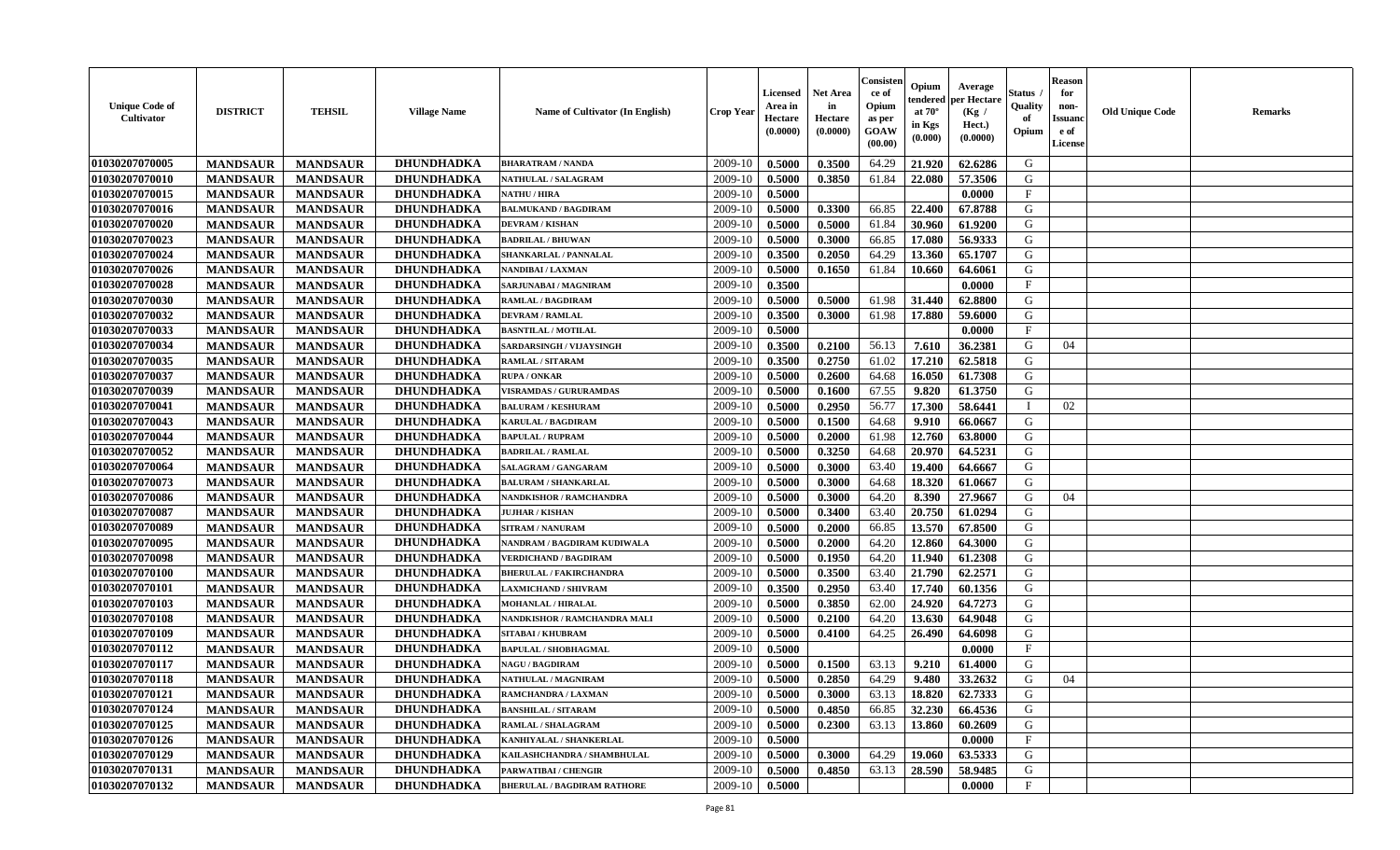| <b>Unique Code of</b><br>Cultivator | <b>DISTRICT</b> | <b>TEHSIL</b>   | <b>Village Name</b> | Name of Cultivator (In English)    | <b>Crop Year</b> | Licensed<br>Area in<br>Hectare<br>(0.0000) | Net Area<br>in<br>Hectare<br>(0.0000) | Consisteı<br>ce of<br>Opium<br>as per<br>GOAW<br>(00.00) | Opium<br>endered<br>at $70^\circ$<br>in Kgs<br>(0.000) | Average<br>per Hectare<br>(Kg /<br>Hect.)<br>(0.0000) | Status<br>Quality<br>of<br>Opium | <b>Reason</b><br>for<br>non-<br><b>Issuanc</b><br>e of<br>License | <b>Old Unique Code</b> | Remarks |
|-------------------------------------|-----------------|-----------------|---------------------|------------------------------------|------------------|--------------------------------------------|---------------------------------------|----------------------------------------------------------|--------------------------------------------------------|-------------------------------------------------------|----------------------------------|-------------------------------------------------------------------|------------------------|---------|
| 01030207070005                      | <b>MANDSAUR</b> | <b>MANDSAUR</b> | DHUNDHADKA          | <b>BHARATRAM / NANDA</b>           | 2009-10          | 0.5000                                     | 0.3500                                | 64.29                                                    | 21.920                                                 | 62.6286                                               | G                                |                                                                   |                        |         |
| 01030207070010                      | <b>MANDSAUR</b> | <b>MANDSAUR</b> | <b>DHUNDHADKA</b>   | <b>NATHULAL / SALAGRAM</b>         | 2009-10          | 0.5000                                     | 0.3850                                | 61.84                                                    | 22.080                                                 | 57.3506                                               | G                                |                                                                   |                        |         |
| 01030207070015                      | <b>MANDSAUR</b> | <b>MANDSAUR</b> | DHUNDHADKA          | <b>NATHU / HIRA</b>                | 2009-10          | 0.5000                                     |                                       |                                                          |                                                        | 0.0000                                                | $\mathbf{F}$                     |                                                                   |                        |         |
| 01030207070016                      | <b>MANDSAUR</b> | <b>MANDSAUR</b> | DHUNDHADKA          | <b>BALMUKAND / BAGDIRAM</b>        | 2009-10          | 0.5000                                     | 0.3300                                | 66.85                                                    | 22.400                                                 | 67.8788                                               | G                                |                                                                   |                        |         |
| 01030207070020                      | <b>MANDSAUR</b> | <b>MANDSAUR</b> | DHUNDHADKA          | <b>DEVRAM / KISHAN</b>             | 2009-10          | 0.5000                                     | 0.5000                                | 61.84                                                    | 30.960                                                 | 61.9200                                               | G                                |                                                                   |                        |         |
| 01030207070023                      | <b>MANDSAUR</b> | <b>MANDSAUR</b> | <b>DHUNDHADKA</b>   | <b>BADRILAL / BHUWAN</b>           | 2009-10          | 0.5000                                     | 0.3000                                | 66.85                                                    | 17.080                                                 | 56.9333                                               | G                                |                                                                   |                        |         |
| 01030207070024                      | <b>MANDSAUR</b> | <b>MANDSAUR</b> | <b>DHUNDHADKA</b>   | SHANKARLAL / PANNALAL              | 2009-10          | 0.3500                                     | 0.2050                                | 64.29                                                    | 13.360                                                 | 65.1707                                               | G                                |                                                                   |                        |         |
| 01030207070026                      | <b>MANDSAUR</b> | <b>MANDSAUR</b> | DHUNDHADKA          | NANDIBAI / LAXMAN                  | 2009-10          | 0.5000                                     | 0.1650                                | 61.84                                                    | 10.660                                                 | 64.6061                                               | G                                |                                                                   |                        |         |
| 01030207070028                      | <b>MANDSAUR</b> | <b>MANDSAUR</b> | DHUNDHADKA          | SARJUNABAI / MAGNIRAM              | 2009-10          | 0.3500                                     |                                       |                                                          |                                                        | 0.0000                                                | $\mathbf{F}$                     |                                                                   |                        |         |
| 01030207070030                      | <b>MANDSAUR</b> | <b>MANDSAUR</b> | DHUNDHADKA          | <b>RAMLAL / BAGDIRAM</b>           | 2009-10          | 0.5000                                     | 0.5000                                | 61.98                                                    | 31.440                                                 | 62.8800                                               | G                                |                                                                   |                        |         |
| 01030207070032                      | <b>MANDSAUR</b> | <b>MANDSAUR</b> | DHUNDHADKA          | <b>DEVRAM / RAMLAL</b>             | 2009-10          | 0.3500                                     | 0.3000                                | 61.98                                                    | 17.880                                                 | 59.6000                                               | G                                |                                                                   |                        |         |
| 01030207070033                      | <b>MANDSAUR</b> | <b>MANDSAUR</b> | DHUNDHADKA          | <b>BASNTILAL / MOTILAL</b>         | 2009-10          | 0.5000                                     |                                       |                                                          |                                                        | 0.0000                                                | $_{\rm F}$                       |                                                                   |                        |         |
| 01030207070034                      | <b>MANDSAUR</b> | <b>MANDSAUR</b> | <b>DHUNDHADKA</b>   | SARDARSINGH / VIJAYSINGH           | 2009-10          | 0.3500                                     | 0.2100                                | 56.13                                                    | 7.610                                                  | 36.2381                                               | G                                | 04                                                                |                        |         |
| 01030207070035                      | <b>MANDSAUR</b> | <b>MANDSAUR</b> | DHUNDHADKA          | RAMLAL / SITARAM                   | 2009-10          | 0.3500                                     | 0.2750                                | 61.02                                                    | 17.210                                                 | 62.5818                                               | G                                |                                                                   |                        |         |
| 01030207070037                      | <b>MANDSAUR</b> | <b>MANDSAUR</b> | <b>DHUNDHADKA</b>   | <b>RUPA / ONKAR</b>                | 2009-10          | 0.5000                                     | 0.2600                                | 64.68                                                    | 16.050                                                 | 61.7308                                               | ${\bf G}$                        |                                                                   |                        |         |
| 01030207070039                      | <b>MANDSAUR</b> | <b>MANDSAUR</b> | DHUNDHADKA          | <b>VISRAMDAS / GURURAMDAS</b>      | 2009-10          | 0.5000                                     | 0.1600                                | 67.55                                                    | 9.820                                                  | 61.3750                                               | G                                |                                                                   |                        |         |
| 01030207070041                      | <b>MANDSAUR</b> | <b>MANDSAUR</b> | DHUNDHADKA          | <b>BALURAM / KESHURAM</b>          | 2009-10          | 0.5000                                     | 0.2950                                | 56.77                                                    | 17.300                                                 | 58.6441                                               | T                                | 02                                                                |                        |         |
| 01030207070043                      | <b>MANDSAUR</b> | <b>MANDSAUR</b> | DHUNDHADKA          | <b>KARULAL / BAGDIRAM</b>          | 2009-10          | 0.5000                                     | 0.1500                                | 64.68                                                    | 9.910                                                  | 66.0667                                               | G                                |                                                                   |                        |         |
| 01030207070044                      | <b>MANDSAUR</b> | <b>MANDSAUR</b> | <b>DHUNDHADKA</b>   | <b>BAPULAL / RUPRAM</b>            | 2009-10          | 0.5000                                     | 0.2000                                | 61.98                                                    | 12.760                                                 | 63.8000                                               | G                                |                                                                   |                        |         |
| 01030207070052                      | <b>MANDSAUR</b> | <b>MANDSAUR</b> | DHUNDHADKA          | <b>BADRILAL / RAMLAL</b>           | 2009-10          | 0.5000                                     | 0.3250                                | 64.68                                                    | 20.970                                                 | 64.5231                                               | G                                |                                                                   |                        |         |
| 01030207070064                      | <b>MANDSAUR</b> | <b>MANDSAUR</b> | DHUNDHADKA          | <b>SALAGRAM / GANGARAM</b>         | 2009-10          | 0.5000                                     | 0.3000                                | 63.40                                                    | 19.400                                                 | 64.6667                                               | G                                |                                                                   |                        |         |
| 01030207070073                      | <b>MANDSAUR</b> | <b>MANDSAUR</b> | DHUNDHADKA          | <b>BALURAM / SHANKARLAL</b>        | 2009-10          | 0.5000                                     | 0.3000                                | 64.68                                                    | 18.320                                                 | 61.0667                                               | G                                |                                                                   |                        |         |
| 01030207070086                      | <b>MANDSAUR</b> | <b>MANDSAUR</b> | DHUNDHADKA          | <b>NANDKISHOR / RAMCHANDRA</b>     | 2009-10          | 0.5000                                     | 0.3000                                | 64.20                                                    | 8.390                                                  | 27.9667                                               | G                                | 04                                                                |                        |         |
| 01030207070087                      | <b>MANDSAUR</b> | <b>MANDSAUR</b> | <b>DHUNDHADKA</b>   | <b>JUJHAR / KISHAN</b>             | 2009-10          | 0.5000                                     | 0.3400                                | 63.40                                                    | 20.750                                                 | 61.0294                                               | G                                |                                                                   |                        |         |
| 01030207070089                      | <b>MANDSAUR</b> | <b>MANDSAUR</b> | DHUNDHADKA          | <b>SITRAM / NANURAM</b>            | 2009-10          | 0.5000                                     | 0.2000                                | 66.85                                                    | 13.570                                                 | 67.8500                                               | G                                |                                                                   |                        |         |
| 01030207070095                      | <b>MANDSAUR</b> | <b>MANDSAUR</b> | <b>DHUNDHADKA</b>   | NANDRAM / BAGDIRAM KUDIWALA        | 2009-10          | 0.5000                                     | 0.2000                                | 64.20                                                    | 12.860                                                 | 64.3000                                               | G                                |                                                                   |                        |         |
| 01030207070098                      | <b>MANDSAUR</b> | <b>MANDSAUR</b> | DHUNDHADKA          | <b>VERDICHAND / BAGDIRAM</b>       | 2009-10          | 0.5000                                     | 0.1950                                | 64.20                                                    | 11.940                                                 | 61.2308                                               | G                                |                                                                   |                        |         |
| 01030207070100                      | <b>MANDSAUR</b> | <b>MANDSAUR</b> | DHUNDHADKA          | <b>BHERULAL / FAKIRCHANDRA</b>     | 2009-10          | 0.5000                                     | 0.3500                                | 63.40                                                    | 21.790                                                 | 62,2571                                               | G                                |                                                                   |                        |         |
| 01030207070101                      | <b>MANDSAUR</b> | <b>MANDSAUR</b> | <b>DHUNDHADKA</b>   | <b>LAXMICHAND / SHIVRAM</b>        | 2009-10          | 0.3500                                     | 0.2950                                | 63.40                                                    | 17.740                                                 | 60.1356                                               | G                                |                                                                   |                        |         |
| 01030207070103                      | <b>MANDSAUR</b> | <b>MANDSAUR</b> | DHUNDHADKA          | <b>MOHANLAL / HIRALAL</b>          | 2009-10          | 0.5000                                     | 0.3850                                | 62.00                                                    | 24.920                                                 | 64.7273                                               | G                                |                                                                   |                        |         |
| 01030207070108                      | <b>MANDSAUR</b> | <b>MANDSAUR</b> | <b>DHUNDHADKA</b>   | NANDKISHOR / RAMCHANDRA MALI       | 2009-10          | 0.5000                                     | 0.2100                                | 64.20                                                    | 13.630                                                 | 64.9048                                               | G                                |                                                                   |                        |         |
| 01030207070109                      | <b>MANDSAUR</b> | <b>MANDSAUR</b> | <b>DHUNDHADKA</b>   | <b>SITABAI / KHUBRAM</b>           | 2009-10          | 0.5000                                     | 0.4100                                | 64.25                                                    | 26.490                                                 | 64.6098                                               | G                                |                                                                   |                        |         |
| 01030207070112                      | <b>MANDSAUR</b> | <b>MANDSAUR</b> | DHUNDHADKA          | <b>BAPULAL / SHOBHAGMAL</b>        | 2009-10          | 0.5000                                     |                                       |                                                          |                                                        | 0.0000                                                | $\rm F$                          |                                                                   |                        |         |
| 01030207070117                      | <b>MANDSAUR</b> | <b>MANDSAUR</b> | DHUNDHADKA          | <b>NAGU / BAGDIRAM</b>             | 2009-10          | 0.5000                                     | 0.1500                                | 63.13                                                    | 9.210                                                  | 61.4000                                               | G                                |                                                                   |                        |         |
| 01030207070118                      | <b>MANDSAUR</b> | <b>MANDSAUR</b> | DHUNDHADKA          | <b>NATHULAL / MAGNIRAM</b>         | 2009-10          | 0.5000                                     | 0.2850                                | 64.29                                                    | 9.480                                                  | 33.2632                                               | G                                | 04                                                                |                        |         |
| 01030207070121                      | <b>MANDSAUR</b> | <b>MANDSAUR</b> | DHUNDHADKA          | RAMCHANDRA / LAXMAN                | 2009-10          | 0.5000                                     | 0.3000                                | 63.13                                                    | 18.820                                                 | 62.7333                                               | G                                |                                                                   |                        |         |
| 01030207070124                      | <b>MANDSAUR</b> | <b>MANDSAUR</b> | DHUNDHADKA          | <b>BANSHILAL / SITARAM</b>         | 2009-10          | 0.5000                                     | 0.4850                                | 66.85                                                    | 32.230                                                 | 66.4536                                               | G                                |                                                                   |                        |         |
| 01030207070125                      | <b>MANDSAUR</b> | <b>MANDSAUR</b> | <b>DHUNDHADKA</b>   | <b>RAMLAL / SHALAGRAM</b>          | 2009-10          | 0.5000                                     | 0.2300                                | 63.13                                                    | 13.860                                                 | 60.2609                                               | G                                |                                                                   |                        |         |
| 01030207070126                      | <b>MANDSAUR</b> | <b>MANDSAUR</b> | <b>DHUNDHADKA</b>   | KANHIYALAL / SHANKERLAL            | 2009-10          | 0.5000                                     |                                       |                                                          |                                                        | 0.0000                                                | $\mathbf{F}$                     |                                                                   |                        |         |
| 01030207070129                      | <b>MANDSAUR</b> | <b>MANDSAUR</b> | <b>DHUNDHADKA</b>   | KAILASHCHANDRA / SHAMBHULAL        | 2009-10          | 0.5000                                     | 0.3000                                | 64.29                                                    | 19.060                                                 | 63.5333                                               | G                                |                                                                   |                        |         |
| 01030207070131                      | <b>MANDSAUR</b> | <b>MANDSAUR</b> | <b>DHUNDHADKA</b>   | PARWATIBAI / CHENGIR               | 2009-10          | 0.5000                                     | 0.4850                                | 63.13                                                    | 28.590                                                 | 58.9485                                               | G                                |                                                                   |                        |         |
| 01030207070132                      | <b>MANDSAUR</b> | <b>MANDSAUR</b> | DHUNDHADKA          | <b>BHERULAL / BAGDIRAM RATHORE</b> | 2009-10          | 0.5000                                     |                                       |                                                          |                                                        | 0.0000                                                | $\mathbf{F}$                     |                                                                   |                        |         |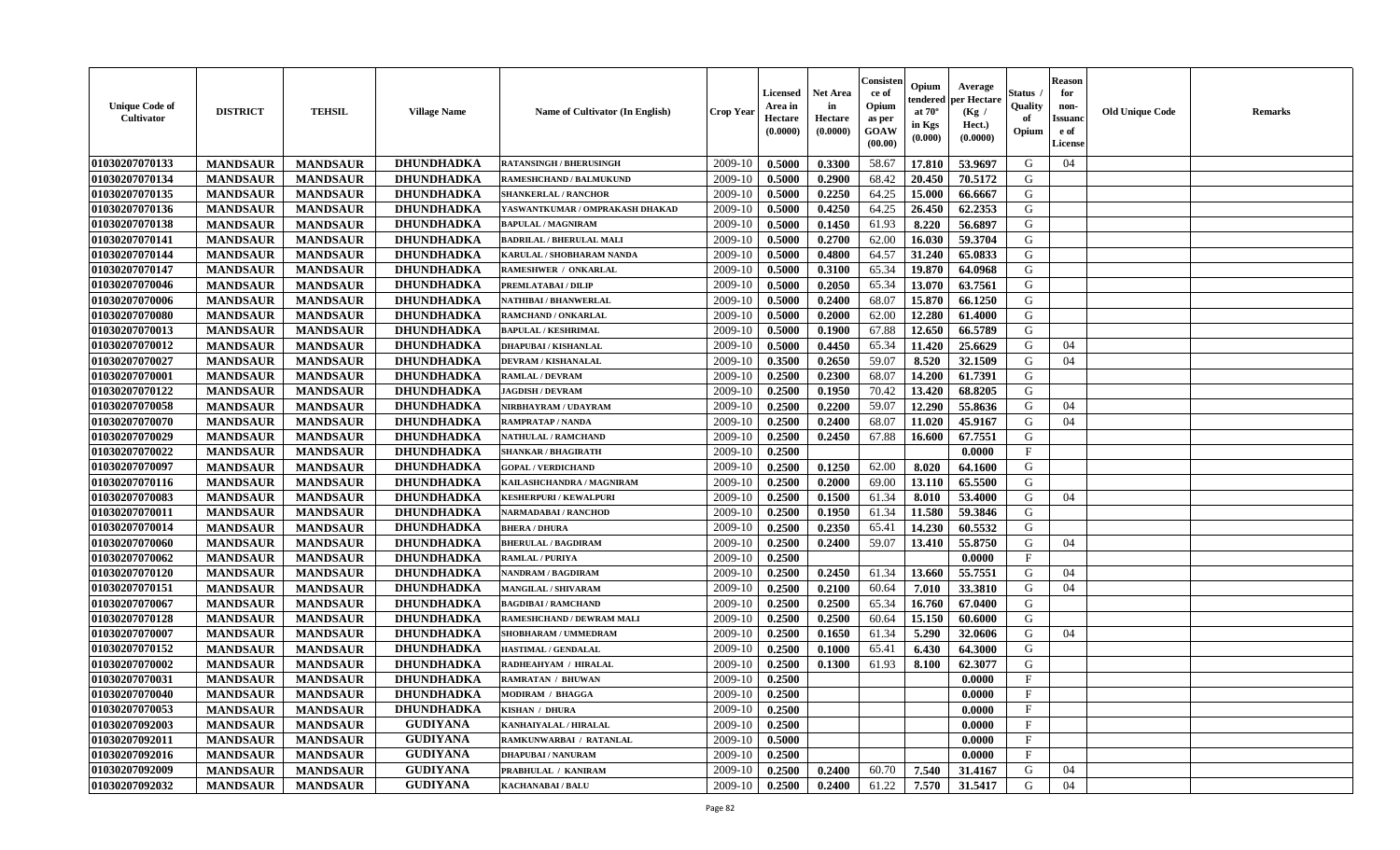| <b>Unique Code of</b><br><b>Cultivator</b> | <b>DISTRICT</b> | <b>TEHSIL</b>   | <b>Village Name</b> | Name of Cultivator (In English) | <b>Crop Year</b> | <b>Licensed</b><br>Area in<br>Hectare<br>(0.0000) | <b>Net Area</b><br>in<br>Hectare<br>(0.0000) | Consister<br>ce of<br>Opium<br>as per<br><b>GOAW</b><br>(00.00) | Opium<br>endered<br>at $70^\circ$<br>in Kgs<br>$(\mathbf{0.000})$ | Average<br>per Hectare<br>(Kg)<br>Hect.)<br>(0.0000) | Status<br>Quality<br>of<br>Opium | <b>Reason</b><br>for<br>non-<br><b>Issuano</b><br>e of<br>License | <b>Old Unique Code</b> | <b>Remarks</b> |
|--------------------------------------------|-----------------|-----------------|---------------------|---------------------------------|------------------|---------------------------------------------------|----------------------------------------------|-----------------------------------------------------------------|-------------------------------------------------------------------|------------------------------------------------------|----------------------------------|-------------------------------------------------------------------|------------------------|----------------|
| 01030207070133                             | <b>MANDSAUR</b> | <b>MANDSAUR</b> | DHUNDHADKA          | <b>RATANSINGH / BHERUSINGH</b>  | 2009-10          | 0.5000                                            | 0.3300                                       | 58.67                                                           | 17.810                                                            | 53.9697                                              | G                                | 04                                                                |                        |                |
| 01030207070134                             | <b>MANDSAUR</b> | <b>MANDSAUR</b> | DHUNDHADKA          | RAMESHCHAND / BALMUKUND         | 2009-10          | 0.5000                                            | 0.2900                                       | 68.42                                                           | 20.450                                                            | 70.5172                                              | G                                |                                                                   |                        |                |
| 01030207070135                             | <b>MANDSAUR</b> | <b>MANDSAUR</b> | DHUNDHADKA          | <b>SHANKERLAL / RANCHOR</b>     | 2009-10          | 0.5000                                            | 0.2250                                       | 64.25                                                           | 15.000                                                            | 66.6667                                              | G                                |                                                                   |                        |                |
| 01030207070136                             | <b>MANDSAUR</b> | <b>MANDSAUR</b> | DHUNDHADKA          | YASWANTKUMAR / OMPRAKASH DHAKAD | 2009-10          | 0.5000                                            | 0.4250                                       | 64.25                                                           | 26.450                                                            | 62.2353                                              | G                                |                                                                   |                        |                |
| 01030207070138                             | <b>MANDSAUR</b> | <b>MANDSAUR</b> | <b>DHUNDHADKA</b>   | <b>BAPULAL / MAGNIRAM</b>       | 2009-10          | 0.5000                                            | 0.1450                                       | 61.93                                                           | 8.220                                                             | 56.6897                                              | G                                |                                                                   |                        |                |
| 01030207070141                             | <b>MANDSAUR</b> | <b>MANDSAUR</b> | <b>DHUNDHADKA</b>   | <b>BADRILAL / BHERULAL MALI</b> | 2009-10          | 0.5000                                            | 0.2700                                       | 62.00                                                           | 16.030                                                            | 59.3704                                              | G                                |                                                                   |                        |                |
| 01030207070144                             | <b>MANDSAUR</b> | <b>MANDSAUR</b> | <b>DHUNDHADKA</b>   | KARULAL / SHOBHARAM NANDA       | 2009-10          | 0.5000                                            | 0.4800                                       | 64.57                                                           | 31.240                                                            | 65.0833                                              | G                                |                                                                   |                        |                |
| 01030207070147                             | <b>MANDSAUR</b> | <b>MANDSAUR</b> | DHUNDHADKA          | RAMESHWER / ONKARLAL            | 2009-10          | 0.5000                                            | 0.3100                                       | 65.34                                                           | 19.870                                                            | 64.0968                                              | G                                |                                                                   |                        |                |
| 01030207070046                             | <b>MANDSAUR</b> | <b>MANDSAUR</b> | <b>DHUNDHADKA</b>   | PREMLATABAI / DILIP             | 2009-10          | 0.5000                                            | 0.2050                                       | 65.34                                                           | 13.070                                                            | 63.7561                                              | G                                |                                                                   |                        |                |
| 01030207070006                             | <b>MANDSAUR</b> | <b>MANDSAUR</b> | <b>DHUNDHADKA</b>   | NATHIBAI / BHANWERLAL           | 2009-10          | 0.5000                                            | 0.2400                                       | 68.07                                                           | 15.870                                                            | 66.1250                                              | G                                |                                                                   |                        |                |
| 01030207070080                             | <b>MANDSAUR</b> | <b>MANDSAUR</b> | DHUNDHADKA          | RAMCHAND / ONKARLAL             | 2009-10          | 0.5000                                            | 0.2000                                       | 62.00                                                           | 12.280                                                            | 61.4000                                              | G                                |                                                                   |                        |                |
| 01030207070013                             | <b>MANDSAUR</b> | <b>MANDSAUR</b> | DHUNDHADKA          | <b>BAPULAL / KESHRIMAL</b>      | 2009-10          | 0.5000                                            | 0.1900                                       | 67.88                                                           | 12.650                                                            | 66.5789                                              | G                                |                                                                   |                        |                |
| 01030207070012                             | <b>MANDSAUR</b> | <b>MANDSAUR</b> | <b>DHUNDHADKA</b>   | <b>DHAPUBAI/KISHANLAL</b>       | 2009-10          | 0.5000                                            | 0.4450                                       | 65.34                                                           | 11.420                                                            | 25.6629                                              | G                                | 04                                                                |                        |                |
| 01030207070027                             | <b>MANDSAUR</b> | <b>MANDSAUR</b> | <b>DHUNDHADKA</b>   | DEVRAM / KISHANALAL             | 2009-10          | 0.3500                                            | 0.2650                                       | 59.07                                                           | 8.520                                                             | 32.1509                                              | G                                | 04                                                                |                        |                |
| 01030207070001                             | <b>MANDSAUR</b> | <b>MANDSAUR</b> | <b>DHUNDHADKA</b>   | <b>RAMLAL / DEVRAM</b>          | 2009-10          | 0.2500                                            | 0.2300                                       | 68.07                                                           | 14.200                                                            | 61.7391                                              | G                                |                                                                   |                        |                |
| 01030207070122                             | <b>MANDSAUR</b> | <b>MANDSAUR</b> | <b>DHUNDHADKA</b>   | <b>JAGDISH / DEVRAM</b>         | 2009-10          | 0.2500                                            | 0.1950                                       | 70.42                                                           | 13.420                                                            | 68.8205                                              | G                                |                                                                   |                        |                |
| 01030207070058                             | <b>MANDSAUR</b> | <b>MANDSAUR</b> | <b>DHUNDHADKA</b>   | NIRBHAYRAM / UDAYRAM            | 2009-10          | 0.2500                                            | 0.2200                                       | 59.07                                                           | 12.290                                                            | 55.8636                                              | G                                | 04                                                                |                        |                |
| 01030207070070                             | <b>MANDSAUR</b> | <b>MANDSAUR</b> | <b>DHUNDHADKA</b>   | <b>RAMPRATAP / NANDA</b>        | 2009-10          | 0.2500                                            | 0.2400                                       | 68.07                                                           | 11.020                                                            | 45.9167                                              | G                                | 04                                                                |                        |                |
| 01030207070029                             | <b>MANDSAUR</b> | <b>MANDSAUR</b> | <b>DHUNDHADKA</b>   | NATHULAL / RAMCHAND             | 2009-10          | 0.2500                                            | 0.2450                                       | 67.88                                                           | 16.600                                                            | 67.7551                                              | G                                |                                                                   |                        |                |
| 01030207070022                             | <b>MANDSAUR</b> | <b>MANDSAUR</b> | <b>DHUNDHADKA</b>   | <b>SHANKAR / BHAGIRATH</b>      | 2009-10          | 0.2500                                            |                                              |                                                                 |                                                                   | 0.0000                                               | $\mathbf{F}$                     |                                                                   |                        |                |
| 01030207070097                             | <b>MANDSAUR</b> | <b>MANDSAUR</b> | <b>DHUNDHADKA</b>   | <b>GOPAL / VERDICHAND</b>       | 2009-10          | 0.2500                                            | 0.1250                                       | 62.00                                                           | 8.020                                                             | 64.1600                                              | G                                |                                                                   |                        |                |
| 01030207070116                             | <b>MANDSAUR</b> | <b>MANDSAUR</b> | DHUNDHADKA          | KAILASHCHANDRA / MAGNIRAM       | 2009-10          | 0.2500                                            | 0.2000                                       | 69.00                                                           | 13.110                                                            | 65.5500                                              | G                                |                                                                   |                        |                |
| 01030207070083                             | <b>MANDSAUR</b> | <b>MANDSAUR</b> | <b>DHUNDHADKA</b>   | <b>KESHERPURI / KEWALPURI</b>   | 2009-10          | 0.2500                                            | 0.1500                                       | 61.34                                                           | 8.010                                                             | 53.4000                                              | G                                | 04                                                                |                        |                |
| 01030207070011                             | <b>MANDSAUR</b> | <b>MANDSAUR</b> | <b>DHUNDHADKA</b>   | <b>NARMADABAI / RANCHOD</b>     | 2009-10          | 0.2500                                            | 0.1950                                       | 61.34                                                           | 11.580                                                            | 59.3846                                              | G                                |                                                                   |                        |                |
| 01030207070014                             | <b>MANDSAUR</b> | <b>MANDSAUR</b> | <b>DHUNDHADKA</b>   | <b>BHERA / DHURA</b>            | 2009-10          | 0.2500                                            | 0.2350                                       | 65.41                                                           | 14.230                                                            | 60.5532                                              | G                                |                                                                   |                        |                |
| 01030207070060                             | <b>MANDSAUR</b> | <b>MANDSAUR</b> | DHUNDHADKA          | <b>BHERULAL / BAGDIRAM</b>      | 2009-10          | 0.2500                                            | 0.2400                                       | 59.07                                                           | 13.410                                                            | 55.8750                                              | G                                | 04                                                                |                        |                |
| 01030207070062                             | <b>MANDSAUR</b> | <b>MANDSAUR</b> | <b>DHUNDHADKA</b>   | <b>RAMLAL / PURIYA</b>          | 2009-10          | 0.2500                                            |                                              |                                                                 |                                                                   | 0.0000                                               | $\mathbf{F}$                     |                                                                   |                        |                |
| 01030207070120                             | <b>MANDSAUR</b> | <b>MANDSAUR</b> | <b>DHUNDHADKA</b>   | <b>NANDRAM / BAGDIRAM</b>       | 2009-10          | 0.2500                                            | 0.2450                                       | 61.34                                                           | 13.660                                                            | 55.7551                                              | G                                | 04                                                                |                        |                |
| 01030207070151                             | <b>MANDSAUR</b> | <b>MANDSAUR</b> | <b>DHUNDHADKA</b>   | MANGILAL / SHIVARAM             | 2009-10          | 0.2500                                            | 0.2100                                       | 60.64                                                           | 7.010                                                             | 33.3810                                              | G                                | 04                                                                |                        |                |
| 01030207070067                             | <b>MANDSAUR</b> | <b>MANDSAUR</b> | DHUNDHADKA          | <b>BAGDIBAI / RAMCHAND</b>      | 2009-10          | 0.2500                                            | 0.2500                                       | 65.34                                                           | 16.760                                                            | 67.0400                                              | G                                |                                                                   |                        |                |
| 01030207070128                             | <b>MANDSAUR</b> | <b>MANDSAUR</b> | <b>DHUNDHADKA</b>   | RAMESHCHAND / DEWRAM MALI       | 2009-10          | 0.2500                                            | 0.2500                                       | 60.64                                                           | 15.150                                                            | 60.6000                                              | G                                |                                                                   |                        |                |
| 01030207070007                             | <b>MANDSAUR</b> | <b>MANDSAUR</b> | <b>DHUNDHADKA</b>   | SHOBHARAM / UMMEDRAM            | 2009-10          | 0.2500                                            | 0.1650                                       | 61.34                                                           | 5.290                                                             | 32.0606                                              | G                                | 04                                                                |                        |                |
| 01030207070152                             | <b>MANDSAUR</b> | <b>MANDSAUR</b> | DHUNDHADKA          | <b>HASTIMAL / GENDALAL</b>      | 2009-10          | 0.2500                                            | 0.1000                                       | 65.41                                                           | 6.430                                                             | 64.3000                                              | G                                |                                                                   |                        |                |
| 01030207070002                             | <b>MANDSAUR</b> | <b>MANDSAUR</b> | DHUNDHADKA          | RADHEAHYAM / HIRALAL            | 2009-10          | 0.2500                                            | 0.1300                                       | 61.93                                                           | 8.100                                                             | 62.3077                                              | G                                |                                                                   |                        |                |
| 01030207070031                             | <b>MANDSAUR</b> | <b>MANDSAUR</b> | <b>DHUNDHADKA</b>   | <b>RAMRATAN / BHUWAN</b>        | 2009-10          | 0.2500                                            |                                              |                                                                 |                                                                   | 0.0000                                               | $\mathbf{F}$                     |                                                                   |                        |                |
| 01030207070040                             | <b>MANDSAUR</b> | <b>MANDSAUR</b> | <b>DHUNDHADKA</b>   | <b>MODIRAM / BHAGGA</b>         | $2009-10$ 0.2500 |                                                   |                                              |                                                                 |                                                                   | 0.0000                                               | $\mathbf{F}$                     |                                                                   |                        |                |
| 01030207070053                             | <b>MANDSAUR</b> | <b>MANDSAUR</b> | <b>DHUNDHADKA</b>   | <b>KISHAN / DHURA</b>           | 2009-10          | 0.2500                                            |                                              |                                                                 |                                                                   | 0.0000                                               | $\mathbf{F}$                     |                                                                   |                        |                |
| 01030207092003                             | <b>MANDSAUR</b> | <b>MANDSAUR</b> | <b>GUDIYANA</b>     | <b>KANHAIYALAL / HIRALAL</b>    | 2009-10          | 0.2500                                            |                                              |                                                                 |                                                                   | 0.0000                                               | $_{\rm F}$                       |                                                                   |                        |                |
| 01030207092011                             | <b>MANDSAUR</b> | <b>MANDSAUR</b> | <b>GUDIYANA</b>     | RAMKUNWARBAI / RATANLAL         | 2009-10          | 0.5000                                            |                                              |                                                                 |                                                                   | 0.0000                                               | $\mathbf{F}$                     |                                                                   |                        |                |
| 01030207092016                             | <b>MANDSAUR</b> | <b>MANDSAUR</b> | <b>GUDIYANA</b>     | <b>DHAPUBAI/NANURAM</b>         | 2009-10          | 0.2500                                            |                                              |                                                                 |                                                                   | 0.0000                                               | $\mathbf{F}$                     |                                                                   |                        |                |
| 01030207092009                             | <b>MANDSAUR</b> | <b>MANDSAUR</b> | <b>GUDIYANA</b>     | PRABHULAL / KANIRAM             | 2009-10          | 0.2500                                            | 0.2400                                       | 60.70                                                           | 7.540                                                             | 31.4167                                              | G                                | 04                                                                |                        |                |
| 01030207092032                             | <b>MANDSAUR</b> | <b>MANDSAUR</b> | <b>GUDIYANA</b>     | <b>KACHANABAI/BALU</b>          | 2009-10          | 0.2500                                            | 0.2400                                       | 61.22                                                           | 7.570                                                             | 31.5417                                              | G                                | 04                                                                |                        |                |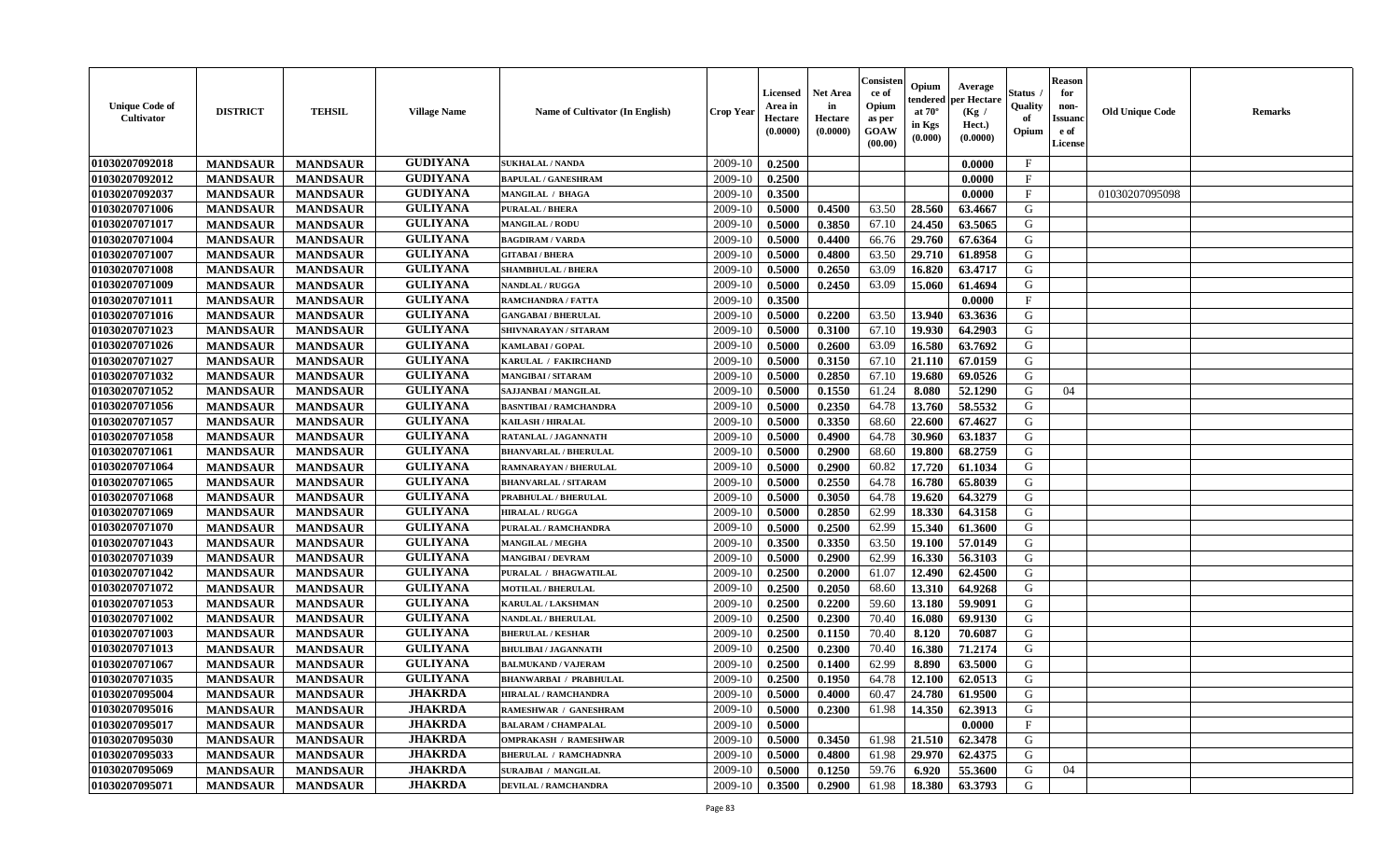| <b>Unique Code of</b><br><b>Cultivator</b> | <b>DISTRICT</b> | <b>TEHSIL</b>   | <b>Village Name</b> | Name of Cultivator (In English) | <b>Crop Year</b> | <b>Licensed</b><br>Area in<br>Hectare<br>(0.0000) | Net Area<br>in<br>Hectare<br>(0.0000) | Consister<br>ce of<br>Opium<br>as per<br>GOAW<br>(00.00) | Opium<br>endered<br>at $70^\circ$<br>in Kgs<br>(0.000) | Average<br>per Hectare<br>(Kg /<br>Hect.)<br>(0.0000) | Status<br>Quality<br>of<br>Opium | <b>Reason</b><br>for<br>non-<br><b>Issuand</b><br>e of<br>License | <b>Old Unique Code</b> | Remarks |
|--------------------------------------------|-----------------|-----------------|---------------------|---------------------------------|------------------|---------------------------------------------------|---------------------------------------|----------------------------------------------------------|--------------------------------------------------------|-------------------------------------------------------|----------------------------------|-------------------------------------------------------------------|------------------------|---------|
| 01030207092018                             | <b>MANDSAUR</b> | <b>MANDSAUR</b> | <b>GUDIYANA</b>     | <b>SUKHALAL / NANDA</b>         | 2009-10          | 0.2500                                            |                                       |                                                          |                                                        | 0.0000                                                | $\mathbf{F}$                     |                                                                   |                        |         |
| 01030207092012                             | <b>MANDSAUR</b> | <b>MANDSAUR</b> | <b>GUDIYANA</b>     | <b>BAPULAL / GANESHRAM</b>      | 2009-10          | 0.2500                                            |                                       |                                                          |                                                        | 0.0000                                                | $\mathbf{F}$                     |                                                                   |                        |         |
| 01030207092037                             | <b>MANDSAUR</b> | <b>MANDSAUR</b> | <b>GUDIYANA</b>     | <b>MANGILAL / BHAGA</b>         | 2009-10          | 0.3500                                            |                                       |                                                          |                                                        | 0.0000                                                | $\mathbf{F}$                     |                                                                   | 01030207095098         |         |
| 01030207071006                             | <b>MANDSAUR</b> | <b>MANDSAUR</b> | <b>GULIYANA</b>     | <b>PURALAL / BHERA</b>          | 2009-10          | 0.5000                                            | 0.4500                                | 63.50                                                    | 28.560                                                 | 63.4667                                               | G                                |                                                                   |                        |         |
| 01030207071017                             | <b>MANDSAUR</b> | <b>MANDSAUR</b> | <b>GULIYANA</b>     | <b>MANGILAL / RODU</b>          | 2009-10          | 0.5000                                            | 0.3850                                | 67.10                                                    | 24.450                                                 | 63.5065                                               | G                                |                                                                   |                        |         |
| 01030207071004                             | <b>MANDSAUR</b> | <b>MANDSAUR</b> | <b>GULIYANA</b>     | <b>BAGDIRAM / VARDA</b>         | 2009-10          | 0.5000                                            | 0.4400                                | 66.76                                                    | 29.760                                                 | 67.6364                                               | G                                |                                                                   |                        |         |
| 01030207071007                             | <b>MANDSAUR</b> | <b>MANDSAUR</b> | <b>GULIYANA</b>     | <b>GITABAI/BHERA</b>            | 2009-10          | 0.5000                                            | 0.4800                                | 63.50                                                    | 29.710                                                 | 61.8958                                               | G                                |                                                                   |                        |         |
| 01030207071008                             | <b>MANDSAUR</b> | <b>MANDSAUR</b> | <b>GULIYANA</b>     | <b>SHAMBHULAL / BHERA</b>       | 2009-10          | 0.5000                                            | 0.2650                                | 63.09                                                    | 16.820                                                 | 63.4717                                               | G                                |                                                                   |                        |         |
| 01030207071009                             | <b>MANDSAUR</b> | <b>MANDSAUR</b> | <b>GULIYANA</b>     | <b>NANDLAL / RUGGA</b>          | 2009-10          | 0.5000                                            | 0.2450                                | 63.09                                                    | 15.060                                                 | 61.4694                                               | G                                |                                                                   |                        |         |
| 01030207071011                             | <b>MANDSAUR</b> | <b>MANDSAUR</b> | <b>GULIYANA</b>     | RAMCHANDRA / FATTA              | 2009-10          | 0.3500                                            |                                       |                                                          |                                                        | 0.0000                                                | $\mathbf{F}$                     |                                                                   |                        |         |
| 01030207071016                             | <b>MANDSAUR</b> | <b>MANDSAUR</b> | <b>GULIYANA</b>     | <b>GANGABAI / BHERULAL</b>      | 2009-10          | 0.5000                                            | 0.2200                                | 63.50                                                    | 13.940                                                 | 63.3636                                               | G                                |                                                                   |                        |         |
| 01030207071023                             | <b>MANDSAUR</b> | <b>MANDSAUR</b> | <b>GULIYANA</b>     | SHIVNARAYAN / SITARAM           | 2009-10          | 0.5000                                            | 0.3100                                | 67.10                                                    | 19.930                                                 | 64.2903                                               | G                                |                                                                   |                        |         |
| 01030207071026                             | <b>MANDSAUR</b> | <b>MANDSAUR</b> | <b>GULIYANA</b>     | <b>KAMLABAI/GOPAL</b>           | 2009-10          | 0.5000                                            | 0.2600                                | 63.09                                                    | 16.580                                                 | 63.7692                                               | G                                |                                                                   |                        |         |
| 01030207071027                             | <b>MANDSAUR</b> | <b>MANDSAUR</b> | <b>GULIYANA</b>     | KARULAL / FAKIRCHAND            | 2009-10          | 0.5000                                            | 0.3150                                | 67.10                                                    | 21.110                                                 | 67.0159                                               | G                                |                                                                   |                        |         |
| 01030207071032                             | <b>MANDSAUR</b> | <b>MANDSAUR</b> | <b>GULIYANA</b>     | <b>MANGIBAI/SITARAM</b>         | 2009-10          | 0.5000                                            | 0.2850                                | 67.10                                                    | 19.680                                                 | 69.0526                                               | $\mathbf G$                      |                                                                   |                        |         |
| 01030207071052                             | <b>MANDSAUR</b> | <b>MANDSAUR</b> | <b>GULIYANA</b>     | SAJJANBAI / MANGILAL            | 2009-10          | 0.5000                                            | 0.1550                                | 61.24                                                    | 8.080                                                  | 52.1290                                               | G                                | 04                                                                |                        |         |
| 01030207071056                             | <b>MANDSAUR</b> | <b>MANDSAUR</b> | <b>GULIYANA</b>     | <b>BASNTIBAI / RAMCHANDRA</b>   | 2009-10          | 0.5000                                            | 0.2350                                | 64.78                                                    | 13.760                                                 | 58.5532                                               | G                                |                                                                   |                        |         |
| 01030207071057                             | <b>MANDSAUR</b> | <b>MANDSAUR</b> | <b>GULIYANA</b>     | <b>KAILASH / HIRALAL</b>        | 2009-10          | 0.5000                                            | 0.3350                                | 68.60                                                    | 22.600                                                 | 67.4627                                               | G                                |                                                                   |                        |         |
| 01030207071058                             | <b>MANDSAUR</b> | <b>MANDSAUR</b> | <b>GULIYANA</b>     | RATANLAL / JAGANNATH            | 2009-10          | 0.5000                                            | 0.4900                                | 64.78                                                    | 30.960                                                 | 63.1837                                               | G                                |                                                                   |                        |         |
| 01030207071061                             | <b>MANDSAUR</b> | <b>MANDSAUR</b> | <b>GULIYANA</b>     | <b>BHANVARLAL / BHERULAL</b>    | 2009-10          | 0.5000                                            | 0.2900                                | 68.60                                                    | 19.800                                                 | 68.2759                                               | G                                |                                                                   |                        |         |
| 01030207071064                             | <b>MANDSAUR</b> | <b>MANDSAUR</b> | <b>GULIYANA</b>     | <b>RAMNARAYAN / BHERULAL</b>    | 2009-10          | 0.5000                                            | 0.2900                                | 60.82                                                    | 17.720                                                 | 61.1034                                               | G                                |                                                                   |                        |         |
| 01030207071065                             | <b>MANDSAUR</b> | <b>MANDSAUR</b> | <b>GULIYANA</b>     | <b>BHANVARLAL / SITARAM</b>     | 2009-10          | 0.5000                                            | 0.2550                                | 64.78                                                    | 16.780                                                 | 65.8039                                               | G                                |                                                                   |                        |         |
| 01030207071068                             | <b>MANDSAUR</b> | <b>MANDSAUR</b> | <b>GULIYANA</b>     | PRABHULAL / BHERULAL            | 2009-10          | 0.5000                                            | 0.3050                                | 64.78                                                    | 19.620                                                 | 64.3279                                               | G                                |                                                                   |                        |         |
| 01030207071069                             | <b>MANDSAUR</b> | <b>MANDSAUR</b> | <b>GULIYANA</b>     | <b>HIRALAL / RUGGA</b>          | 2009-10          | 0.5000                                            | 0.2850                                | 62.99                                                    | 18.330                                                 | 64.3158                                               | G                                |                                                                   |                        |         |
| 01030207071070                             | <b>MANDSAUR</b> | <b>MANDSAUR</b> | <b>GULIYANA</b>     | PURALAL / RAMCHANDRA            | 2009-10          | 0.5000                                            | 0.2500                                | 62.99                                                    | 15.340                                                 | 61.3600                                               | G                                |                                                                   |                        |         |
| 01030207071043                             | <b>MANDSAUR</b> | <b>MANDSAUR</b> | <b>GULIYANA</b>     | <b>MANGILAL / MEGHA</b>         | 2009-10          | 0.3500                                            | 0.3350                                | 63.50                                                    | 19.100                                                 | 57.0149                                               | G                                |                                                                   |                        |         |
| 01030207071039                             | <b>MANDSAUR</b> | <b>MANDSAUR</b> | <b>GULIYANA</b>     | <b>MANGIBAI/DEVRAM</b>          | 2009-10          | 0.5000                                            | 0.2900                                | 62.99                                                    | 16.330                                                 | 56.3103                                               | G                                |                                                                   |                        |         |
| 01030207071042                             | <b>MANDSAUR</b> | <b>MANDSAUR</b> | <b>GULIYANA</b>     | PURALAL / BHAGWATILAL           | 2009-10          | 0.2500                                            | 0.2000                                | 61.07                                                    | 12.490                                                 | 62.4500                                               | G                                |                                                                   |                        |         |
| 01030207071072                             | <b>MANDSAUR</b> | <b>MANDSAUR</b> | <b>GULIYANA</b>     | <b>MOTILAL / BHERULAL</b>       | 2009-10          | 0.2500                                            | 0.2050                                | 68.60                                                    | 13.310                                                 | 64.9268                                               | G                                |                                                                   |                        |         |
| 01030207071053                             | <b>MANDSAUR</b> | <b>MANDSAUR</b> | <b>GULIYANA</b>     | <b>KARULAL / LAKSHMAN</b>       | 2009-10          | 0.2500                                            | 0.2200                                | 59.60                                                    | 13.180                                                 | 59.9091                                               | G                                |                                                                   |                        |         |
| 01030207071002                             | <b>MANDSAUR</b> | <b>MANDSAUR</b> | <b>GULIYANA</b>     | NANDLAL / BHERULAL              | 2009-10          | 0.2500                                            | 0.2300                                | 70.40                                                    | 16.080                                                 | 69.9130                                               | G                                |                                                                   |                        |         |
| 01030207071003                             | <b>MANDSAUR</b> | <b>MANDSAUR</b> | <b>GULIYANA</b>     | <b>BHERULAL / KESHAR</b>        | 2009-10          | 0.2500                                            | 0.1150                                | 70.40                                                    | 8.120                                                  | 70.6087                                               | G                                |                                                                   |                        |         |
| 01030207071013                             | <b>MANDSAUR</b> | <b>MANDSAUR</b> | <b>GULIYANA</b>     | <b>BHULIBAI / JAGANNATH</b>     | 2009-10          | 0.2500                                            | 0.2300                                | 70.40                                                    | 16.380                                                 | 71.2174                                               | G                                |                                                                   |                        |         |
| 01030207071067                             | <b>MANDSAUR</b> | <b>MANDSAUR</b> | <b>GULIYANA</b>     | <b>BALMUKAND / VAJERAM</b>      | 2009-10          | 0.2500                                            | 0.1400                                | 62.99                                                    | 8.890                                                  | 63.5000                                               | G                                |                                                                   |                        |         |
| 01030207071035                             | <b>MANDSAUR</b> | <b>MANDSAUR</b> | <b>GULIYANA</b>     | <b>BHANWARBAI / PRABHULAL</b>   | 2009-10          | 0.2500                                            | 0.1950                                | 64.78                                                    | 12.100                                                 | 62.0513                                               | G                                |                                                                   |                        |         |
| 01030207095004                             | <b>MANDSAUR</b> | <b>MANDSAUR</b> | <b>JHAKRDA</b>      | <b>HIRALAL / RAMCHANDRA</b>     | 2009-10          | 0.5000                                            | 0.4000                                | 60.47                                                    | 24.780                                                 | 61.9500                                               | G                                |                                                                   |                        |         |
| 01030207095016                             | <b>MANDSAUR</b> | <b>MANDSAUR</b> | <b>JHAKRDA</b>      | RAMESHWAR / GANESHRAM           | 2009-10          | 0.5000                                            | 0.2300                                | 61.98                                                    | 14.350                                                 | 62.3913                                               | G                                |                                                                   |                        |         |
| 01030207095017                             | <b>MANDSAUR</b> | <b>MANDSAUR</b> | <b>JHAKRDA</b>      | <b>BALARAM / CHAMPALAL</b>      | 2009-10          | 0.5000                                            |                                       |                                                          |                                                        | 0.0000                                                | $\mathbf{F}$                     |                                                                   |                        |         |
| 01030207095030                             | <b>MANDSAUR</b> | <b>MANDSAUR</b> | <b>JHAKRDA</b>      | <b>OMPRAKASH / RAMESHWAR</b>    | 2009-10          | 0.5000                                            | 0.3450                                | 61.98                                                    | 21.510                                                 | 62.3478                                               | G                                |                                                                   |                        |         |
| 01030207095033                             | <b>MANDSAUR</b> | <b>MANDSAUR</b> | <b>JHAKRDA</b>      | <b>BHERULAL / RAMCHADNRA</b>    | 2009-10          | 0.5000                                            | 0.4800                                | 61.98                                                    | 29.970                                                 | 62.4375                                               | G                                |                                                                   |                        |         |
| 01030207095069                             | <b>MANDSAUR</b> | <b>MANDSAUR</b> | <b>JHAKRDA</b>      | <b>SURAJBAI / MANGILAL</b>      | 2009-10          | 0.5000                                            | 0.1250                                | 59.76                                                    | 6.920                                                  | 55.3600                                               | G                                | 04                                                                |                        |         |
| 01030207095071                             | <b>MANDSAUR</b> | <b>MANDSAUR</b> | <b>JHAKRDA</b>      | <b>DEVILAL / RAMCHANDRA</b>     | 2009-10          | 0.3500                                            | 0.2900                                | 61.98                                                    | 18.380                                                 | 63.3793                                               | G                                |                                                                   |                        |         |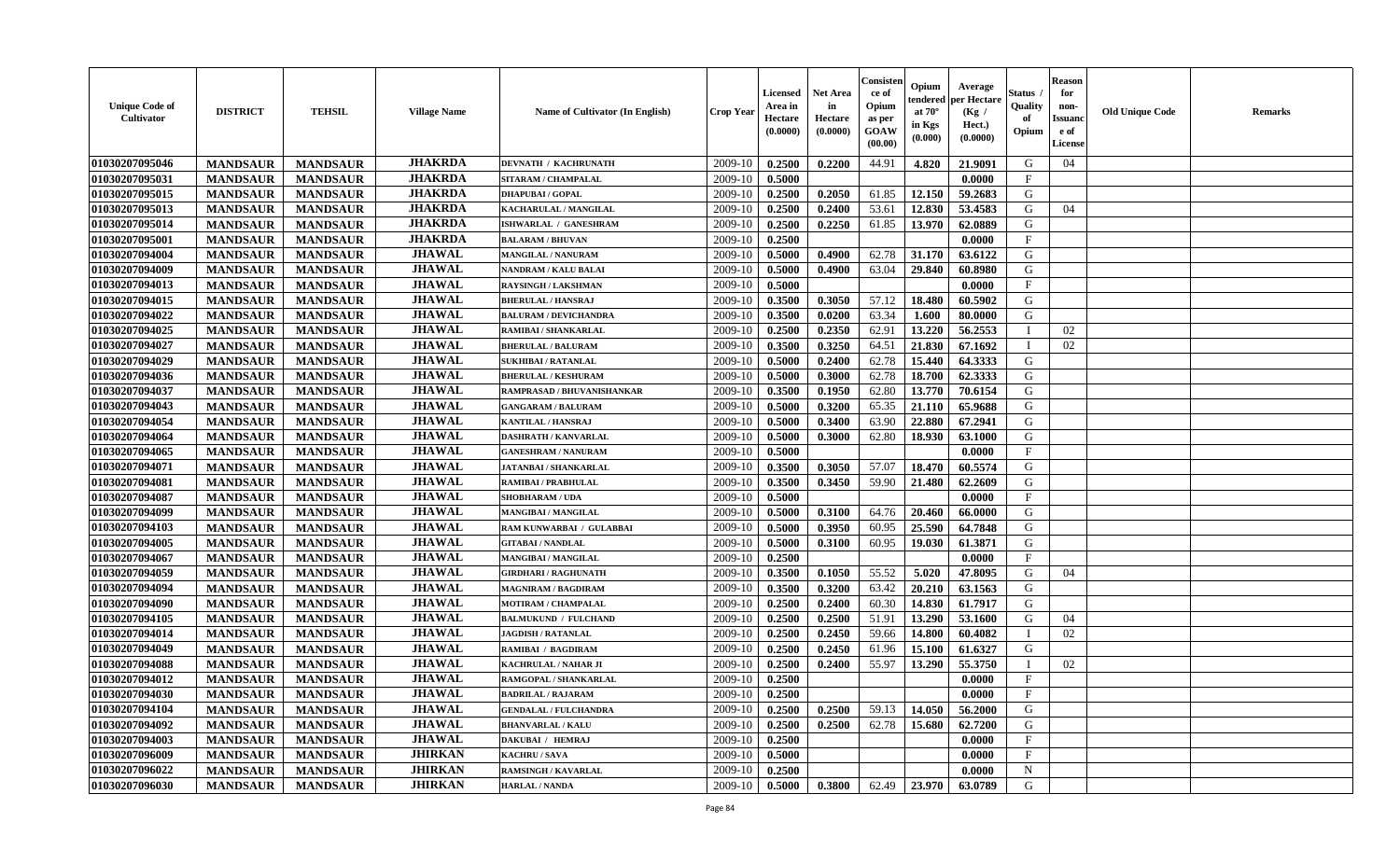| <b>Unique Code of</b><br><b>Cultivator</b> | <b>DISTRICT</b> | <b>TEHSIL</b>   | <b>Village Name</b> | Name of Cultivator (In English) | <b>Crop Year</b> | <b>Licensed</b><br>Area in<br>Hectare<br>(0.0000) | <b>Net Area</b><br>in<br>Hectare<br>(0.0000) | Consisteı<br>ce of<br>Opium<br>as per<br>GOAW<br>(00.00) | Opium<br>endered<br>at $70^\circ$<br>in Kgs<br>(0.000) | Average<br>per Hectare<br>(Kg /<br>Hect.)<br>(0.0000) | Status<br>Quality<br>of<br>Opium | <b>Reason</b><br>for<br>non-<br><b>Issuand</b><br>e of<br><b>License</b> | <b>Old Unique Code</b> | <b>Remarks</b> |
|--------------------------------------------|-----------------|-----------------|---------------------|---------------------------------|------------------|---------------------------------------------------|----------------------------------------------|----------------------------------------------------------|--------------------------------------------------------|-------------------------------------------------------|----------------------------------|--------------------------------------------------------------------------|------------------------|----------------|
| 01030207095046                             | <b>MANDSAUR</b> | <b>MANDSAUR</b> | <b>JHAKRDA</b>      | DEVNATH / KACHRUNATH            | 2009-10          | 0.2500                                            | 0.2200                                       | 44.91                                                    | 4.820                                                  | 21.9091                                               | G                                | 04                                                                       |                        |                |
| 01030207095031                             | <b>MANDSAUR</b> | <b>MANDSAUR</b> | <b>JHAKRDA</b>      | SITARAM / CHAMPALAL             | 2009-10          | 0.5000                                            |                                              |                                                          |                                                        | 0.0000                                                | $\mathbf{F}$                     |                                                                          |                        |                |
| 01030207095015                             | <b>MANDSAUR</b> | <b>MANDSAUR</b> | <b>JHAKRDA</b>      | <b>DHAPUBAI/GOPAL</b>           | 2009-10          | 0.2500                                            | 0.2050                                       | 61.85                                                    | 12.150                                                 | 59.2683                                               | G                                |                                                                          |                        |                |
| 01030207095013                             | <b>MANDSAUR</b> | <b>MANDSAUR</b> | <b>JHAKRDA</b>      | KACHARULAL / MANGILAL           | 2009-10          | 0.2500                                            | 0.2400                                       | 53.61                                                    | 12.830                                                 | 53.4583                                               | G                                | 04                                                                       |                        |                |
| 01030207095014                             | <b>MANDSAUR</b> | <b>MANDSAUR</b> | <b>JHAKRDA</b>      | ISHWARLAL / GANESHRAM           | 2009-10          | 0.2500                                            | 0.2250                                       | 61.85                                                    | 13.970                                                 | 62.0889                                               | G                                |                                                                          |                        |                |
| 01030207095001                             | <b>MANDSAUR</b> | <b>MANDSAUR</b> | <b>JHAKRDA</b>      | <b>BALARAM / BHUVAN</b>         | 2009-10          | 0.2500                                            |                                              |                                                          |                                                        | 0.0000                                                | F                                |                                                                          |                        |                |
| 01030207094004                             | <b>MANDSAUR</b> | <b>MANDSAUR</b> | <b>JHAWAL</b>       | <b>MANGILAL / NANURAM</b>       | 2009-10          | 0.5000                                            | 0.4900                                       | 62.78                                                    | 31.170                                                 | 63.6122                                               | G                                |                                                                          |                        |                |
| 01030207094009                             | <b>MANDSAUR</b> | <b>MANDSAUR</b> | <b>JHAWAL</b>       | <b>NANDRAM / KALU BALAI</b>     | 2009-10          | 0.5000                                            | 0.4900                                       | 63.04                                                    | 29.840                                                 | 60.8980                                               | G                                |                                                                          |                        |                |
| 01030207094013                             | <b>MANDSAUR</b> | <b>MANDSAUR</b> | <b>JHAWAL</b>       | <b>RAYSINGH / LAKSHMAN</b>      | 2009-10          | 0.5000                                            |                                              |                                                          |                                                        | 0.0000                                                | $\mathbf{F}$                     |                                                                          |                        |                |
| 01030207094015                             | <b>MANDSAUR</b> | <b>MANDSAUR</b> | <b>JHAWAL</b>       | <b>BHERULAL / HANSRAJ</b>       | 2009-10          | 0.3500                                            | 0.3050                                       | 57.12                                                    | 18.480                                                 | 60.5902                                               | G                                |                                                                          |                        |                |
| 01030207094022                             | <b>MANDSAUR</b> | <b>MANDSAUR</b> | <b>JHAWAL</b>       | <b>BALURAM / DEVICHANDRA</b>    | 2009-10          | 0.3500                                            | 0.0200                                       | 63.34                                                    | 1.600                                                  | 80.0000                                               | G                                |                                                                          |                        |                |
| 01030207094025                             | <b>MANDSAUR</b> | <b>MANDSAUR</b> | <b>JHAWAL</b>       | RAMIBAI / SHANKARLAL            | 2009-10          | 0.2500                                            | 0.2350                                       | 62.91                                                    | 13.220                                                 | 56.2553                                               | $\mathbf{I}$                     | 02                                                                       |                        |                |
| 01030207094027                             | <b>MANDSAUR</b> | <b>MANDSAUR</b> | <b>JHAWAL</b>       | <b>BHERULAL / BALURAM</b>       | 2009-10          | 0.3500                                            | 0.3250                                       | 64.51                                                    | 21.830                                                 | 67.1692                                               | $\mathbf I$                      | 02                                                                       |                        |                |
| 01030207094029                             | <b>MANDSAUR</b> | <b>MANDSAUR</b> | <b>JHAWAL</b>       | <b>SUKHIBAI / RATANLAL</b>      | 2009-10          | 0.5000                                            | 0.2400                                       | 62.78                                                    | 15.440                                                 | 64.3333                                               | G                                |                                                                          |                        |                |
| 01030207094036                             | <b>MANDSAUR</b> | <b>MANDSAUR</b> | <b>JHAWAL</b>       | <b>BHERULAL / KESHURAM</b>      | 2009-10          | 0.5000                                            | 0.3000                                       | 62.78                                                    | 18.700                                                 | 62.3333                                               | G                                |                                                                          |                        |                |
| 01030207094037                             | <b>MANDSAUR</b> | <b>MANDSAUR</b> | <b>JHAWAL</b>       | RAMPRASAD / BHUVANISHANKAR      | 2009-10          | 0.3500                                            | 0.1950                                       | 62.80                                                    | 13.770                                                 | 70.6154                                               | G                                |                                                                          |                        |                |
| 01030207094043                             | <b>MANDSAUR</b> | <b>MANDSAUR</b> | <b>JHAWAL</b>       | <b>GANGARAM / BALURAM</b>       | 2009-10          | 0.5000                                            | 0.3200                                       | 65.35                                                    | 21.110                                                 | 65.9688                                               | G                                |                                                                          |                        |                |
| 01030207094054                             | <b>MANDSAUR</b> | <b>MANDSAUR</b> | <b>JHAWAL</b>       | <b>KANTILAL / HANSRAJ</b>       | 2009-10          | 0.5000                                            | 0.3400                                       | 63.90                                                    | 22.880                                                 | 67.2941                                               | G                                |                                                                          |                        |                |
| 01030207094064                             | <b>MANDSAUR</b> | <b>MANDSAUR</b> | <b>JHAWAL</b>       | <b>DASHRATH / KANVARLAL</b>     | 2009-10          | 0.5000                                            | 0.3000                                       | 62.80                                                    | 18.930                                                 | 63.1000                                               | G                                |                                                                          |                        |                |
| 01030207094065                             | <b>MANDSAUR</b> | <b>MANDSAUR</b> | <b>JHAWAL</b>       | <b>GANESHRAM / NANURAM</b>      | 2009-10          | 0.5000                                            |                                              |                                                          |                                                        | 0.0000                                                | $\mathbf{F}$                     |                                                                          |                        |                |
| 01030207094071                             | <b>MANDSAUR</b> | <b>MANDSAUR</b> | <b>JHAWAL</b>       | <b>JATANBAI / SHANKARLAL</b>    | 2009-10          | 0.3500                                            | 0.3050                                       | 57.07                                                    | 18.470                                                 | 60.5574                                               | G                                |                                                                          |                        |                |
| 01030207094081                             | <b>MANDSAUR</b> | <b>MANDSAUR</b> | <b>JHAWAL</b>       | <b>RAMIBAI / PRABHULAL</b>      | 2009-10          | 0.3500                                            | 0.3450                                       | 59.90                                                    | 21.480                                                 | 62.2609                                               | G                                |                                                                          |                        |                |
| 01030207094087                             | <b>MANDSAUR</b> | <b>MANDSAUR</b> | <b>JHAWAL</b>       | <b>SHOBHARAM / UDA</b>          | 2009-10          | 0.5000                                            |                                              |                                                          |                                                        | 0.0000                                                | $\mathbf{F}$                     |                                                                          |                        |                |
| 01030207094099                             | <b>MANDSAUR</b> | <b>MANDSAUR</b> | <b>JHAWAL</b>       | MANGIBAI / MANGILAL             | 2009-10          | 0.5000                                            | 0.3100                                       | 64.76                                                    | 20.460                                                 | 66.0000                                               | G                                |                                                                          |                        |                |
| 01030207094103                             | <b>MANDSAUR</b> | <b>MANDSAUR</b> | <b>JHAWAL</b>       | RAM KUNWARBAI / GULABBAI        | 2009-10          | 0.5000                                            | 0.3950                                       | 60.95                                                    | 25.590                                                 | 64.7848                                               | G                                |                                                                          |                        |                |
| 01030207094005                             | <b>MANDSAUR</b> | <b>MANDSAUR</b> | <b>JHAWAL</b>       | <b>GITABAI/NANDLAL</b>          | 2009-10          | 0.5000                                            | 0.3100                                       | 60.95                                                    | 19.030                                                 | 61.3871                                               | G                                |                                                                          |                        |                |
| 01030207094067                             | <b>MANDSAUR</b> | <b>MANDSAUR</b> | <b>JHAWAL</b>       | <b>MANGIBAI/MANGILAL</b>        | 2009-10          | 0.2500                                            |                                              |                                                          |                                                        | 0.0000                                                | $\mathbf{F}$                     |                                                                          |                        |                |
| 01030207094059                             | <b>MANDSAUR</b> | <b>MANDSAUR</b> | <b>JHAWAL</b>       | <b>GIRDHARI / RAGHUNATH</b>     | 2009-10          | 0.3500                                            | 0.1050                                       | 55.52                                                    | 5.020                                                  | 47.8095                                               | G                                | 04                                                                       |                        |                |
| 01030207094094                             | <b>MANDSAUR</b> | <b>MANDSAUR</b> | <b>JHAWAL</b>       | <b>MAGNIRAM / BAGDIRAM</b>      | 2009-10          | 0.3500                                            | 0.3200                                       | 63.42                                                    | 20.210                                                 | 63.1563                                               | G                                |                                                                          |                        |                |
| 01030207094090                             | <b>MANDSAUR</b> | <b>MANDSAUR</b> | <b>JHAWAL</b>       | MOTIRAM / CHAMPALAL             | 2009-10          | 0.2500                                            | 0.2400                                       | 60.30                                                    | 14.830                                                 | 61.7917                                               | G                                |                                                                          |                        |                |
| 01030207094105                             | <b>MANDSAUR</b> | <b>MANDSAUR</b> | <b>JHAWAL</b>       | <b>BALMUKUND / FULCHAND</b>     | 2009-10          | 0.2500                                            | 0.2500                                       | 51.91                                                    | 13.290                                                 | 53.1600                                               | G                                | 04                                                                       |                        |                |
| 01030207094014                             | <b>MANDSAUR</b> | <b>MANDSAUR</b> | <b>JHAWAL</b>       | <b>JAGDISH / RATANLAL</b>       | 2009-10          | 0.2500                                            | 0.2450                                       | 59.66                                                    | 14.800                                                 | 60.4082                                               | T                                | 02                                                                       |                        |                |
| 01030207094049                             | <b>MANDSAUR</b> | <b>MANDSAUR</b> | <b>JHAWAL</b>       | RAMIBAI / BAGDIRAM              | 2009-10          | 0.2500                                            | 0.2450                                       | 61.96                                                    | 15.100                                                 | 61.6327                                               | G                                |                                                                          |                        |                |
| 01030207094088                             | <b>MANDSAUR</b> | <b>MANDSAUR</b> | <b>JHAWAL</b>       | <b>KACHRULAL / NAHAR JI</b>     | 2009-10          | 0.2500                                            | 0.2400                                       | 55.97                                                    | 13.290                                                 | 55.3750                                               | $\mathbf{I}$                     | 02                                                                       |                        |                |
| 01030207094012                             | <b>MANDSAUR</b> | <b>MANDSAUR</b> | <b>JHAWAL</b>       | RAMGOPAL / SHANKARLAL           | 2009-10          | 0.2500                                            |                                              |                                                          |                                                        | 0.0000                                                | $\mathbf{F}$                     |                                                                          |                        |                |
| 01030207094030                             | <b>MANDSAUR</b> | <b>MANDSAUR</b> | <b>JHAWAL</b>       | <b>BADRILAL / RAJARAM</b>       | 2009-10          | 0.2500                                            |                                              |                                                          |                                                        | 0.0000                                                | $_{\rm F}$                       |                                                                          |                        |                |
| 01030207094104                             | <b>MANDSAUR</b> | <b>MANDSAUR</b> | <b>JHAWAL</b>       | <b>GENDALAL / FULCHANDRA</b>    | 2009-10          | 0.2500                                            | 0.2500                                       | 59.13                                                    | 14.050                                                 | 56.2000                                               | G                                |                                                                          |                        |                |
| 01030207094092                             | <b>MANDSAUR</b> | <b>MANDSAUR</b> | <b>JHAWAL</b>       | <b>BHANVARLAL / KALU</b>        | 2009-10          | 0.2500                                            | 0.2500                                       | 62.78                                                    | 15.680                                                 | 62.7200                                               | G                                |                                                                          |                        |                |
| 01030207094003                             | <b>MANDSAUR</b> | <b>MANDSAUR</b> | <b>JHAWAL</b>       | DAKUBAI / HEMRAJ                | 2009-10          | 0.2500                                            |                                              |                                                          |                                                        | 0.0000                                                | F                                |                                                                          |                        |                |
| 01030207096009                             | <b>MANDSAUR</b> | <b>MANDSAUR</b> | <b>JHIRKAN</b>      | KACHRU / SAVA                   | 2009-10          | 0.5000                                            |                                              |                                                          |                                                        | 0.0000                                                | $_{\rm F}$                       |                                                                          |                        |                |
| 01030207096022                             | <b>MANDSAUR</b> | <b>MANDSAUR</b> | <b>JHIRKAN</b>      | <b>RAMSINGH / KAVARLAL</b>      | 2009-10          | 0.2500                                            |                                              |                                                          |                                                        | 0.0000                                                | $\mathbf N$                      |                                                                          |                        |                |
| 01030207096030                             | <b>MANDSAUR</b> | <b>MANDSAUR</b> | <b>JHIRKAN</b>      | <b>HARLAL / NANDA</b>           | 2009-10          | 0.5000                                            | 0.3800                                       | 62.49                                                    | 23.970                                                 | 63.0789                                               | G                                |                                                                          |                        |                |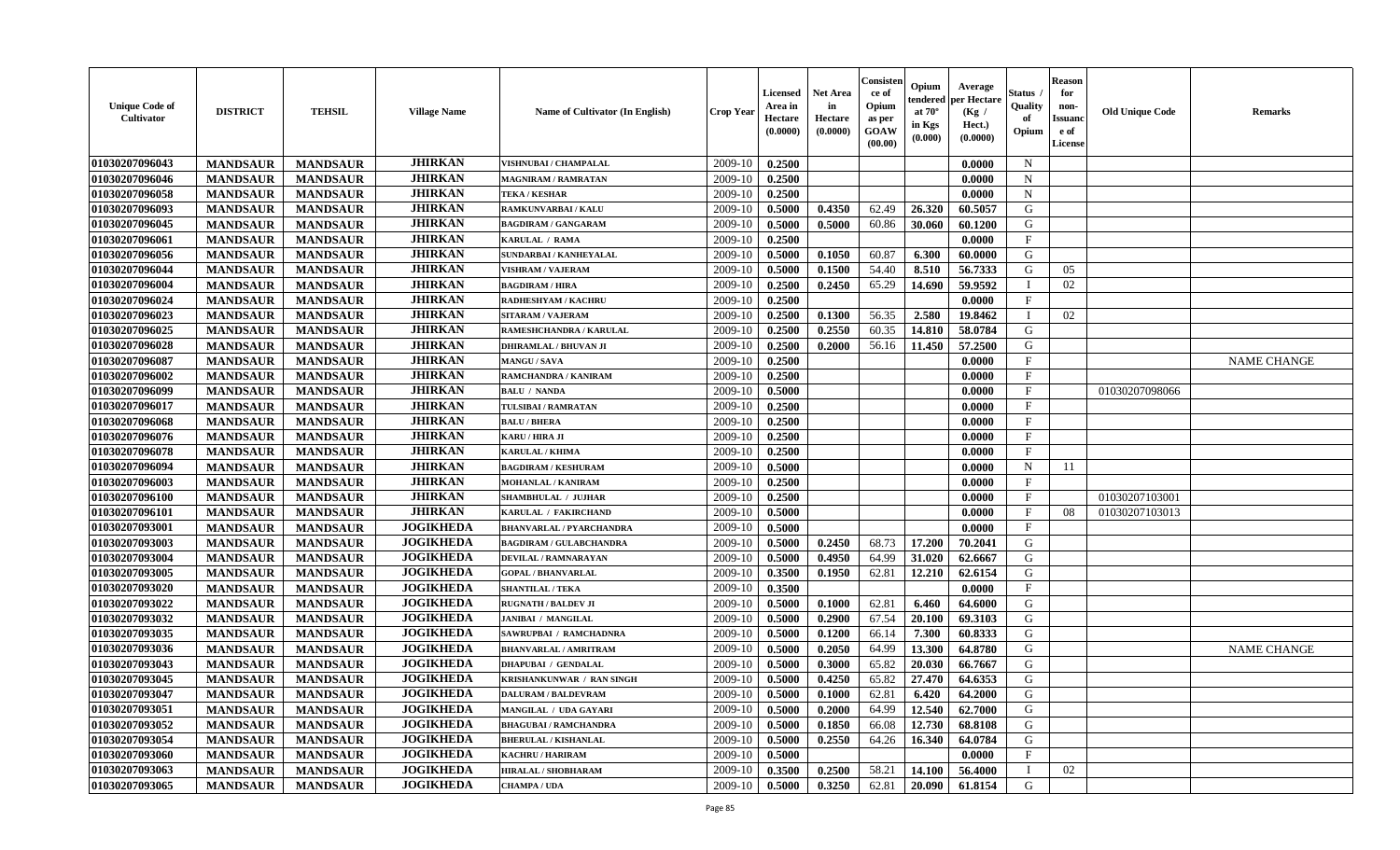| <b>Unique Code of</b><br><b>Cultivator</b> | <b>DISTRICT</b> | <b>TEHSIL</b>   | <b>Village Name</b> | Name of Cultivator (In English)  | <b>Crop Year</b> | <b>Licensed</b><br>Area in<br>Hectare<br>(0.0000) | <b>Net Area</b><br>in<br>Hectare<br>(0.0000) | Consisteı<br>ce of<br>Opium<br>as per<br>GOAW<br>(00.00) | Opium<br>endered<br>at $70^\circ$<br>in Kgs<br>(0.000) | Average<br>oer Hectare<br>(Kg /<br>Hect.)<br>(0.0000) | Status<br>Quality<br>of<br>Opium | <b>Reason</b><br>for<br>non-<br>Issuano<br>e of<br>License | <b>Old Unique Code</b> | <b>Remarks</b>     |
|--------------------------------------------|-----------------|-----------------|---------------------|----------------------------------|------------------|---------------------------------------------------|----------------------------------------------|----------------------------------------------------------|--------------------------------------------------------|-------------------------------------------------------|----------------------------------|------------------------------------------------------------|------------------------|--------------------|
| 01030207096043                             | <b>MANDSAUR</b> | <b>MANDSAUR</b> | <b>JHIRKAN</b>      | VISHNUBAI / CHAMPALAL            | 2009-10          | 0.2500                                            |                                              |                                                          |                                                        | 0.0000                                                | $\mathbf N$                      |                                                            |                        |                    |
| 01030207096046                             | <b>MANDSAUR</b> | <b>MANDSAUR</b> | <b>JHIRKAN</b>      | <b>MAGNIRAM / RAMRATAN</b>       | 2009-10          | 0.2500                                            |                                              |                                                          |                                                        | 0.0000                                                | $\mathbf N$                      |                                                            |                        |                    |
| 01030207096058                             | <b>MANDSAUR</b> | <b>MANDSAUR</b> | <b>JHIRKAN</b>      | <b>TEKA / KESHAR</b>             | 2009-10          | 0.2500                                            |                                              |                                                          |                                                        | 0.0000                                                | $\mathbf N$                      |                                                            |                        |                    |
| 01030207096093                             | <b>MANDSAUR</b> | <b>MANDSAUR</b> | <b>JHIRKAN</b>      | <b>RAMKUNVARBAI/KALU</b>         | 2009-10          | 0.5000                                            | 0.4350                                       | 62.49                                                    | 26.320                                                 | 60.5057                                               | G                                |                                                            |                        |                    |
| 01030207096045                             | <b>MANDSAUR</b> | <b>MANDSAUR</b> | <b>JHIRKAN</b>      | <b>BAGDIRAM / GANGARAM</b>       | 2009-10          | 0.5000                                            | 0.5000                                       | 60.86                                                    | 30.060                                                 | 60.1200                                               | G                                |                                                            |                        |                    |
| 01030207096061                             | <b>MANDSAUR</b> | <b>MANDSAUR</b> | <b>JHIRKAN</b>      | KARULAL / RAMA                   | 2009-10          | 0.2500                                            |                                              |                                                          |                                                        | 0.0000                                                | F                                |                                                            |                        |                    |
| 01030207096056                             | <b>MANDSAUR</b> | <b>MANDSAUR</b> | <b>JHIRKAN</b>      | <b>SUNDARBAI / KANHEYALAL</b>    | 2009-10          | 0.5000                                            | 0.1050                                       | 60.87                                                    | 6.300                                                  | 60.0000                                               | G                                |                                                            |                        |                    |
| 01030207096044                             | <b>MANDSAUR</b> | <b>MANDSAUR</b> | <b>JHIRKAN</b>      | <b>VISHRAM / VAJERAM</b>         | 2009-10          | 0.5000                                            | 0.1500                                       | 54.40                                                    | 8.510                                                  | 56.7333                                               | G                                | 05                                                         |                        |                    |
| 01030207096004                             | <b>MANDSAUR</b> | <b>MANDSAUR</b> | <b>JHIRKAN</b>      | <b>BAGDIRAM / HIRA</b>           | 2009-10          | 0.2500                                            | 0.2450                                       | 65.29                                                    | 14.690                                                 | 59.9592                                               | $\mathbf I$                      | 02                                                         |                        |                    |
| 01030207096024                             | <b>MANDSAUR</b> | <b>MANDSAUR</b> | <b>JHIRKAN</b>      | RADHESHYAM / KACHRU              | 2009-10          | 0.2500                                            |                                              |                                                          |                                                        | 0.0000                                                | $\mathbf{F}$                     |                                                            |                        |                    |
| 01030207096023                             | <b>MANDSAUR</b> | <b>MANDSAUR</b> | <b>JHIRKAN</b>      | <b>SITARAM / VAJERAM</b>         | 2009-10          | 0.2500                                            | 0.1300                                       | 56.35                                                    | 2.580                                                  | 19.8462                                               | T                                | 02                                                         |                        |                    |
| 01030207096025                             | <b>MANDSAUR</b> | <b>MANDSAUR</b> | <b>JHIRKAN</b>      | RAMESHCHANDRA / KARULAL          | 2009-10          | 0.2500                                            | 0.2550                                       | 60.35                                                    | 14.810                                                 | 58.0784                                               | G                                |                                                            |                        |                    |
| 01030207096028                             | <b>MANDSAUR</b> | <b>MANDSAUR</b> | <b>JHIRKAN</b>      | <b>DHIRAMLAL / BHUVAN JI</b>     | 2009-10          | 0.2500                                            | 0.2000                                       | 56.16                                                    | 11.450                                                 | 57.2500                                               | G                                |                                                            |                        |                    |
| 01030207096087                             | <b>MANDSAUR</b> | <b>MANDSAUR</b> | <b>JHIRKAN</b>      | <b>MANGU / SAVA</b>              | 2009-10          | 0.2500                                            |                                              |                                                          |                                                        | 0.0000                                                | F                                |                                                            |                        | <b>NAME CHANGE</b> |
| 01030207096002                             | <b>MANDSAUR</b> | <b>MANDSAUR</b> | <b>JHIRKAN</b>      | RAMCHANDRA / KANIRAM             | 2009-10          | 0.2500                                            |                                              |                                                          |                                                        | 0.0000                                                | $\mathbf{F}$                     |                                                            |                        |                    |
| 01030207096099                             | <b>MANDSAUR</b> | <b>MANDSAUR</b> | <b>JHIRKAN</b>      | <b>BALU / NANDA</b>              | 2009-10          | 0.5000                                            |                                              |                                                          |                                                        | 0.0000                                                | $\rm F$                          |                                                            | 01030207098066         |                    |
| 01030207096017                             | <b>MANDSAUR</b> | <b>MANDSAUR</b> | <b>JHIRKAN</b>      | TULSIBAI / RAMRATAN              | 2009-10          | 0.2500                                            |                                              |                                                          |                                                        | 0.0000                                                | $\mathbf{F}$                     |                                                            |                        |                    |
| 01030207096068                             | <b>MANDSAUR</b> | <b>MANDSAUR</b> | <b>JHIRKAN</b>      | <b>BALU / BHERA</b>              | 2009-10          | 0.2500                                            |                                              |                                                          |                                                        | 0.0000                                                | $\mathbf{F}$                     |                                                            |                        |                    |
| 01030207096076                             | <b>MANDSAUR</b> | <b>MANDSAUR</b> | <b>JHIRKAN</b>      | KARU / HIRA JI                   | 2009-10          | 0.2500                                            |                                              |                                                          |                                                        | 0.0000                                                | $\mathbf{F}$                     |                                                            |                        |                    |
| 01030207096078                             | <b>MANDSAUR</b> | <b>MANDSAUR</b> | <b>JHIRKAN</b>      | <b>KARULAL / KHIMA</b>           | 2009-10          | 0.2500                                            |                                              |                                                          |                                                        | 0.0000                                                | $\mathbf{F}$                     |                                                            |                        |                    |
| 01030207096094                             | <b>MANDSAUR</b> | <b>MANDSAUR</b> | <b>JHIRKAN</b>      | <b>BAGDIRAM / KESHURAM</b>       | 2009-10          | 0.5000                                            |                                              |                                                          |                                                        | 0.0000                                                | N                                | 11                                                         |                        |                    |
| 01030207096003                             | <b>MANDSAUR</b> | <b>MANDSAUR</b> | <b>JHIRKAN</b>      | <b>MOHANLAL / KANIRAM</b>        | 2009-10          | 0.2500                                            |                                              |                                                          |                                                        | 0.0000                                                | $\mathbf{F}$                     |                                                            |                        |                    |
| 01030207096100                             | <b>MANDSAUR</b> | <b>MANDSAUR</b> | <b>JHIRKAN</b>      | <b>SHAMBHULAL / JUJHAR</b>       | 2009-10          | 0.2500                                            |                                              |                                                          |                                                        | 0.0000                                                | $\mathbf{F}$                     |                                                            | 01030207103001         |                    |
| 01030207096101                             | <b>MANDSAUR</b> | <b>MANDSAUR</b> | <b>JHIRKAN</b>      | <b>KARULAL / FAKIRCHAND</b>      | 2009-10          | 0.5000                                            |                                              |                                                          |                                                        | 0.0000                                                | $\mathbf{F}$                     | 08                                                         | 01030207103013         |                    |
| 01030207093001                             | <b>MANDSAUR</b> | <b>MANDSAUR</b> | <b>JOGIKHEDA</b>    | <b>BHANVARLAL / PYARCHANDRA</b>  | 2009-10          | 0.5000                                            |                                              |                                                          |                                                        | 0.0000                                                | $\mathbf{F}$                     |                                                            |                        |                    |
| 01030207093003                             | <b>MANDSAUR</b> | <b>MANDSAUR</b> | <b>JOGIKHEDA</b>    | <b>BAGDIRAM / GULABCHANDRA</b>   | 2009-10          | 0.5000                                            | 0.2450                                       | 68.73                                                    | 17.200                                                 | 70.2041                                               | G                                |                                                            |                        |                    |
| 01030207093004                             | <b>MANDSAUR</b> | <b>MANDSAUR</b> | <b>JOGIKHEDA</b>    | <b>DEVILAL / RAMNARAYAN</b>      | 2009-10          | 0.5000                                            | 0.4950                                       | 64.99                                                    | 31.020                                                 | 62.6667                                               | G                                |                                                            |                        |                    |
| 01030207093005                             | <b>MANDSAUR</b> | <b>MANDSAUR</b> | <b>JOGIKHEDA</b>    | <b>GOPAL / BHANVARLAL</b>        | 2009-10          | 0.3500                                            | 0.1950                                       | 62.81                                                    | 12.210                                                 | 62.6154                                               | G                                |                                                            |                        |                    |
| 01030207093020                             | <b>MANDSAUR</b> | <b>MANDSAUR</b> | <b>JOGIKHEDA</b>    | <b>SHANTILAL / TEKA</b>          | 2009-10          | 0.3500                                            |                                              |                                                          |                                                        | 0.0000                                                | $\mathbf{F}$                     |                                                            |                        |                    |
| 01030207093022                             | <b>MANDSAUR</b> | <b>MANDSAUR</b> | <b>JOGIKHEDA</b>    | <b>RUGNATH / BALDEV JI</b>       | 2009-10          | 0.5000                                            | 0.1000                                       | 62.81                                                    | 6.460                                                  | 64.6000                                               | G                                |                                                            |                        |                    |
| 01030207093032                             | <b>MANDSAUR</b> | <b>MANDSAUR</b> | <b>JOGIKHEDA</b>    | <b>JANIBAI / MANGILAL</b>        | 2009-10          | 0.5000                                            | 0.2900                                       | 67.54                                                    | 20.100                                                 | 69.3103                                               | ${\bf G}$                        |                                                            |                        |                    |
| 01030207093035                             | <b>MANDSAUR</b> | <b>MANDSAUR</b> | <b>JOGIKHEDA</b>    | SAWRUPBAI / RAMCHADNRA           | 2009-10          | 0.5000                                            | 0.1200                                       | 66.14                                                    | 7.300                                                  | 60.8333                                               | G                                |                                                            |                        |                    |
| 01030207093036                             | <b>MANDSAUR</b> | <b>MANDSAUR</b> | <b>JOGIKHEDA</b>    | <b>BHANVARLAL / AMRITRAM</b>     | 2009-10          | 0.5000                                            | 0.2050                                       | 64.99                                                    | 13.300                                                 | 64.8780                                               | G                                |                                                            |                        | <b>NAME CHANGE</b> |
| 01030207093043                             | <b>MANDSAUR</b> | <b>MANDSAUR</b> | <b>JOGIKHEDA</b>    | <b>DHAPUBAI / GENDALAL</b>       | 2009-10          | 0.5000                                            | 0.3000                                       | 65.82                                                    | 20.030                                                 | 66.7667                                               | G                                |                                                            |                        |                    |
| 01030207093045                             | <b>MANDSAUR</b> | <b>MANDSAUR</b> | <b>JOGIKHEDA</b>    | <b>KRISHANKUNWAR / RAN SINGH</b> | 2009-10          | 0.5000                                            | 0.4250                                       | 65.82                                                    | 27.470                                                 | 64.6353                                               | G                                |                                                            |                        |                    |
| 01030207093047                             | <b>MANDSAUR</b> | <b>MANDSAUR</b> | <b>JOGIKHEDA</b>    | <b>DALURAM / BALDEVRAM</b>       | 2009-10          | 0.5000                                            | 0.1000                                       | 62.81                                                    | 6.420                                                  | 64.2000                                               | G                                |                                                            |                        |                    |
| 01030207093051                             | <b>MANDSAUR</b> | <b>MANDSAUR</b> | <b>JOGIKHEDA</b>    | MANGILAL / UDA GAYARI            | 2009-10          | 0.5000                                            | 0.2000                                       | 64.99                                                    | 12.540                                                 | 62.7000                                               | G                                |                                                            |                        |                    |
| 01030207093052                             | <b>MANDSAUR</b> | <b>MANDSAUR</b> | <b>JOGIKHEDA</b>    | <b>BHAGUBAI / RAMCHANDRA</b>     | 2009-10          | 0.5000                                            | 0.1850                                       | 66.08                                                    | 12.730                                                 | 68.8108                                               | G                                |                                                            |                        |                    |
| 01030207093054                             | <b>MANDSAUR</b> | <b>MANDSAUR</b> | <b>JOGIKHEDA</b>    | <b>BHERULAL / KISHANLAL</b>      | 2009-10          | 0.5000                                            | 0.2550                                       | 64.26                                                    | 16.340                                                 | 64.0784                                               | G                                |                                                            |                        |                    |
| 01030207093060                             | <b>MANDSAUR</b> | <b>MANDSAUR</b> | <b>JOGIKHEDA</b>    | <b>KACHRU / HARIRAM</b>          | 2009-10          | 0.5000                                            |                                              |                                                          |                                                        | 0.0000                                                | $\mathbf{F}$                     |                                                            |                        |                    |
| 01030207093063                             | <b>MANDSAUR</b> | <b>MANDSAUR</b> | <b>JOGIKHEDA</b>    | <b>HIRALAL / SHOBHARAM</b>       | 2009-10          | 0.3500                                            | 0.2500                                       | 58.21                                                    | 14.100                                                 | 56.4000                                               | T                                | 02                                                         |                        |                    |
| 01030207093065                             | <b>MANDSAUR</b> | <b>MANDSAUR</b> | <b>JOGIKHEDA</b>    | <b>CHAMPA / UDA</b>              | 2009-10          | 0.5000                                            | 0.3250                                       | 62.81                                                    | 20.090                                                 | 61.8154                                               | G                                |                                                            |                        |                    |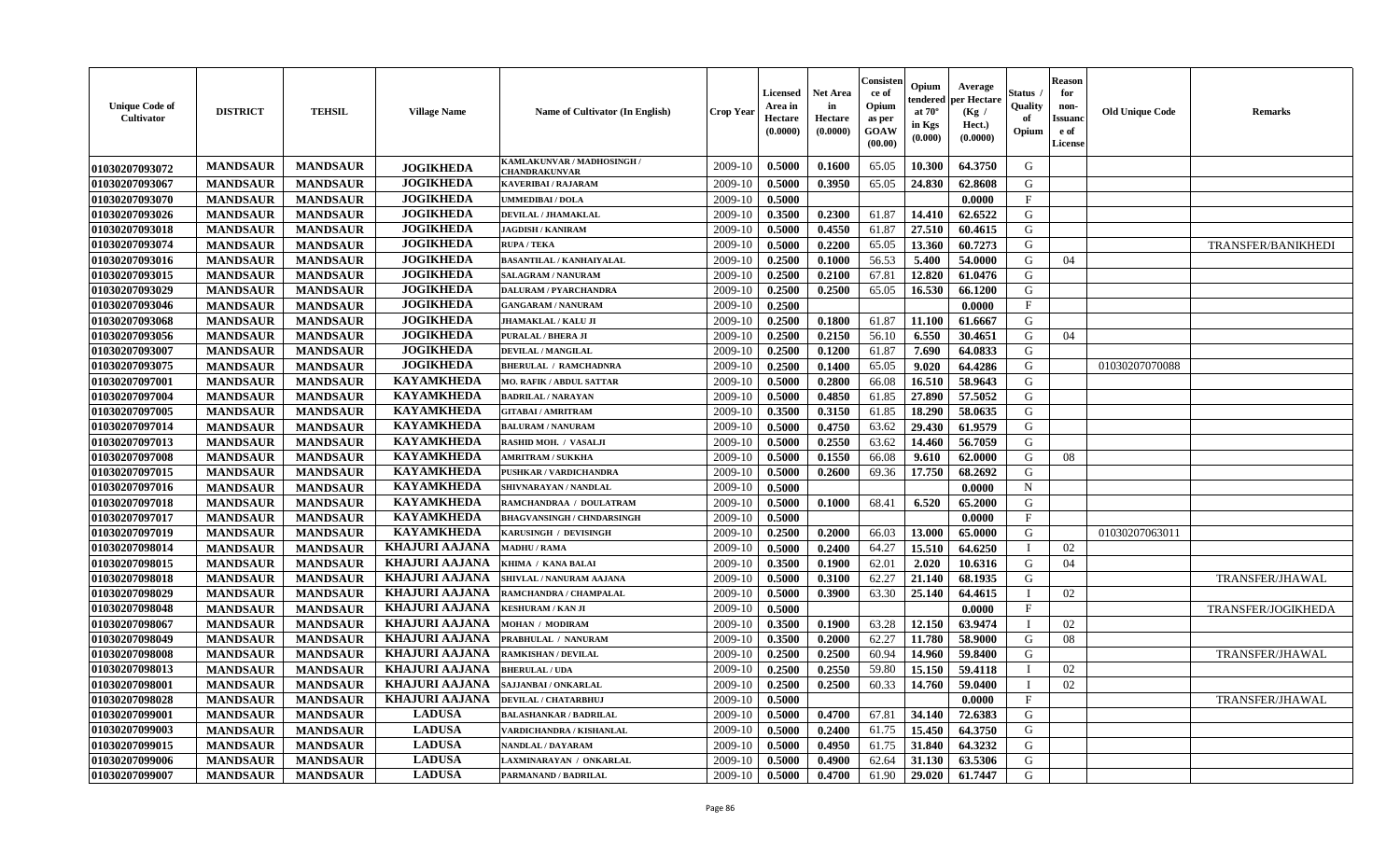| <b>Unique Code of</b><br>Cultivator | <b>DISTRICT</b>                    | <b>TEHSIL</b>                      | <b>Village Name</b>                            | Name of Cultivator (In English)             | Crop Yeaı          | Licensed<br>Area in<br>Hectare<br>(0.0000) | <b>Net Area</b><br>in<br>Hectare<br>(0.0000) | Consister<br>ce of<br>Opium<br>as per<br>GOAW<br>(00.00) | Opium<br>endered<br>at $70^\circ$<br>in Kgs<br>(0.000) | Average<br>per Hectare<br>(Kg /<br>Hect.)<br>(0.0000) | Status<br>Quality<br>of<br>Opium | <b>Reason</b><br>for<br>non-<br><b>Issuanc</b><br>e of<br><b>License</b> | <b>Old Unique Code</b> | Remarks                   |
|-------------------------------------|------------------------------------|------------------------------------|------------------------------------------------|---------------------------------------------|--------------------|--------------------------------------------|----------------------------------------------|----------------------------------------------------------|--------------------------------------------------------|-------------------------------------------------------|----------------------------------|--------------------------------------------------------------------------|------------------------|---------------------------|
| 01030207093072                      | <b>MANDSAUR</b>                    | <b>MANDSAUR</b>                    | <b>JOGIKHEDA</b>                               | KAMLAKUNVAR / MADHOSINGH /<br>CHANDRAKUNVAR | 2009-10            | 0.5000                                     | 0.1600                                       | 65.05                                                    | 10.300                                                 | 64.3750                                               | G                                |                                                                          |                        |                           |
| 01030207093067                      | <b>MANDSAUR</b>                    | <b>MANDSAUR</b>                    | <b>JOGIKHEDA</b>                               | KAVERIBAI / RAJARAM                         | 2009-10            | 0.5000                                     | 0.3950                                       | 65.05                                                    | 24.830                                                 | 62.8608                                               | G                                |                                                                          |                        |                           |
| 01030207093070                      | <b>MANDSAUR</b>                    | <b>MANDSAUR</b>                    | <b>JOGIKHEDA</b>                               | <b>UMMEDIBAI / DOLA</b>                     | 2009-10            | 0.5000                                     |                                              |                                                          |                                                        | 0.0000                                                | $\mathbf{F}$                     |                                                                          |                        |                           |
| 01030207093026                      | <b>MANDSAUR</b>                    | <b>MANDSAUR</b>                    | <b>JOGIKHEDA</b>                               | DEVILAL / JHAMAKLAL                         | 2009-10            | 0.3500                                     | 0.2300                                       | 61.87                                                    | 14.410                                                 | 62.6522                                               | G                                |                                                                          |                        |                           |
| 01030207093018                      | <b>MANDSAUR</b>                    | <b>MANDSAUR</b>                    | <b>JOGIKHEDA</b>                               | <b>JAGDISH / KANIRAM</b>                    | 2009-10            | 0.5000                                     | 0.4550                                       | 61.87                                                    | 27.510                                                 | 60.4615                                               | G                                |                                                                          |                        |                           |
| 01030207093074                      | <b>MANDSAUR</b>                    | <b>MANDSAUR</b>                    | <b>JOGIKHEDA</b>                               | <b>RUPA / TEKA</b>                          | 2009-10            | 0.5000                                     | 0.2200                                       | 65.05                                                    | 13.360                                                 | 60.7273                                               | G                                |                                                                          |                        | <b>TRANSFER/BANIKHEDI</b> |
| 01030207093016                      | <b>MANDSAUR</b>                    | <b>MANDSAUR</b>                    | <b>JOGIKHEDA</b>                               | <b>BASANTILAL / KANHAIYALAL</b>             | 2009-10            | 0.2500                                     | 0.1000                                       | 56.53                                                    | 5.400                                                  | 54.0000                                               | G                                | 04                                                                       |                        |                           |
| 01030207093015                      | <b>MANDSAUR</b>                    | <b>MANDSAUR</b>                    | <b>JOGIKHEDA</b>                               | SALAGRAM / NANURAM                          | 2009-10            | 0.2500                                     | 0.2100                                       | 67.81                                                    | 12.820                                                 | 61.0476                                               | G                                |                                                                          |                        |                           |
| 01030207093029                      | <b>MANDSAUR</b>                    | <b>MANDSAUR</b>                    | <b>JOGIKHEDA</b>                               | DALURAM / PYARCHANDRA                       | 2009-10            | 0.2500                                     | 0.2500                                       | 65.05                                                    | 16.530                                                 | 66.1200                                               | G                                |                                                                          |                        |                           |
| 01030207093046                      | <b>MANDSAUR</b>                    | <b>MANDSAUR</b>                    | <b>JOGIKHEDA</b>                               | <b>GANGARAM / NANURAM</b>                   | 2009-10            | 0.2500                                     |                                              |                                                          |                                                        | 0.0000                                                | $\boldsymbol{\mathrm{F}}$        |                                                                          |                        |                           |
| 01030207093068                      | <b>MANDSAUR</b>                    | <b>MANDSAUR</b>                    | <b>JOGIKHEDA</b>                               | <b>JHAMAKLAL / KALU JI</b>                  | 2009-10            | 0.2500                                     | 0.1800                                       | 61.87                                                    | 11.100                                                 | 61.6667                                               | G                                |                                                                          |                        |                           |
| 01030207093056                      | <b>MANDSAUR</b>                    | <b>MANDSAUR</b>                    | <b>JOGIKHEDA</b>                               | <b>PURALAL / BHERA JI</b>                   | 2009-10            | 0.2500                                     | 0.2150                                       | 56.10                                                    | 6.550                                                  | 30.4651                                               | G                                | 04                                                                       |                        |                           |
| 01030207093007                      | <b>MANDSAUR</b>                    | <b>MANDSAUR</b>                    | <b>JOGIKHEDA</b>                               | <b>DEVILAL / MANGILAL</b>                   | 2009-10            | 0.2500                                     | 0.1200                                       | 61.87                                                    | 7.690                                                  | 64.0833                                               | G                                |                                                                          |                        |                           |
| 01030207093075                      | <b>MANDSAUR</b>                    | <b>MANDSAUR</b>                    | <b>JOGIKHEDA</b>                               | <b>BHERULAL / RAMCHADNRA</b>                | 2009-10            | 0.2500                                     | 0.1400                                       | 65.05                                                    | 9.020                                                  | 64.4286                                               | G                                |                                                                          | 01030207070088         |                           |
| 01030207097001                      | <b>MANDSAUR</b>                    | <b>MANDSAUR</b>                    | <b>KAYAMKHEDA</b>                              | <b>MO. RAFIK / ABDUL SATTAR</b>             | 2009-10            | 0.5000                                     | 0.2800                                       | 66.08                                                    | 16.510                                                 | 58.9643                                               | G                                |                                                                          |                        |                           |
| 01030207097004                      | <b>MANDSAUR</b>                    | <b>MANDSAUR</b>                    | <b>KAYAMKHEDA</b>                              | <b>BADRILAL / NARAYAN</b>                   | 2009-10            | 0.5000                                     | 0.4850                                       | 61.85                                                    | 27.890                                                 | 57.5052                                               | ${\bf G}$                        |                                                                          |                        |                           |
| 01030207097005                      | <b>MANDSAUR</b>                    | <b>MANDSAUR</b>                    | <b>KAYAMKHEDA</b>                              | <b>GITABAI/AMRITRAM</b>                     | 2009-10            | 0.3500                                     | 0.3150                                       | 61.85                                                    | 18.290                                                 | 58.0635                                               | G                                |                                                                          |                        |                           |
| 01030207097014                      | <b>MANDSAUR</b>                    | <b>MANDSAUR</b>                    | <b>KAYAMKHEDA</b>                              | <b>BALURAM / NANURAM</b>                    | 2009-10            | 0.5000                                     | 0.4750                                       | 63.62                                                    | 29.430                                                 | 61.9579                                               | G                                |                                                                          |                        |                           |
| 01030207097013                      | <b>MANDSAUR</b>                    | <b>MANDSAUR</b>                    | <b>KAYAMKHEDA</b>                              | RASHID MOH. / VASALJI                       | 2009-10            | 0.5000                                     | 0.2550                                       | 63.62                                                    | 14.460                                                 | 56.7059                                               | G                                |                                                                          |                        |                           |
| 01030207097008                      | <b>MANDSAUR</b>                    | <b>MANDSAUR</b>                    | <b>KAYAMKHEDA</b>                              | <b>AMRITRAM / SUKKHA</b>                    | 2009-10            | 0.5000                                     | 0.1550                                       | 66.08                                                    | 9.610                                                  | 62.0000                                               | G                                | 08                                                                       |                        |                           |
| 01030207097015                      | <b>MANDSAUR</b>                    | <b>MANDSAUR</b>                    | <b>KAYAMKHEDA</b>                              | PUSHKAR / VARDICHANDRA                      | 2009-10            | 0.5000                                     | 0.2600                                       | 69.36                                                    | 17.750                                                 | 68.2692                                               | G                                |                                                                          |                        |                           |
| 01030207097016                      | <b>MANDSAUR</b>                    | <b>MANDSAUR</b>                    | <b>KAYAMKHEDA</b>                              | SHIVNARAYAN / NANDLAL                       | 2009-10            | 0.5000                                     |                                              |                                                          |                                                        | 0.0000                                                | $\mathbf N$                      |                                                                          |                        |                           |
| 01030207097018                      | <b>MANDSAUR</b>                    | <b>MANDSAUR</b>                    | <b>KAYAMKHEDA</b>                              | RAMCHANDRAA / DOULATRAM                     | 2009-10            | 0.5000                                     | 0.1000                                       | 68.41                                                    | 6.520                                                  | 65.2000                                               | G                                |                                                                          |                        |                           |
| 01030207097017                      | <b>MANDSAUR</b>                    | <b>MANDSAUR</b>                    | <b>KAYAMKHEDA</b>                              | <b>BHAGVANSINGH / CHNDARSINGH</b>           | 2009-10            | 0.5000                                     |                                              |                                                          |                                                        | 0.0000                                                | $\mathbf{F}$                     |                                                                          |                        |                           |
| 01030207097019                      | <b>MANDSAUR</b>                    | <b>MANDSAUR</b>                    | <b>KAYAMKHEDA</b>                              | KARUSINGH / DEVISINGH                       | 2009-10            | 0.2500                                     | 0.2000                                       | 66.03                                                    | 13.000                                                 | 65.0000                                               | G                                |                                                                          | 01030207063011         |                           |
| 01030207098014                      | <b>MANDSAUR</b>                    | <b>MANDSAUR</b>                    | <b>KHAJURI AAJANA</b>                          | <b>MADHU / RAMA</b>                         | 2009-10            | 0.5000                                     | 0.2400                                       | 64.27                                                    | 15.510                                                 | 64.6250                                               | $\mathbf I$                      | 02                                                                       |                        |                           |
| 01030207098015                      | <b>MANDSAUR</b>                    | <b>MANDSAUR</b>                    | <b>KHAJURI AAJANA</b>                          | KHIMA / KANA BALAI                          | 2009-10            | 0.3500                                     | 0.1900                                       | 62.01                                                    | 2.020                                                  | 10.6316                                               | G                                | 04                                                                       |                        |                           |
| 01030207098018                      | <b>MANDSAUR</b>                    | <b>MANDSAUR</b>                    | <b>KHAJURI AAJANA</b>                          | SHIVLAL / NANURAM AAJANA                    | 2009-10            | 0.5000                                     | 0.3100                                       | 62.27                                                    | 21.140                                                 | 68.1935                                               | G                                |                                                                          |                        | TRANSFER/JHAWAL           |
| 01030207098029                      | <b>MANDSAUR</b>                    | <b>MANDSAUR</b>                    | <b>KHAJURI AAJANA</b>                          | RAMCHANDRA / CHAMPALAL                      | 2009-10            | 0.5000                                     | 0.3900                                       | 63.30                                                    | 25.140                                                 | 64.4615                                               |                                  | 02                                                                       |                        |                           |
| 01030207098048                      | <b>MANDSAUR</b>                    | <b>MANDSAUR</b>                    | <b>KHAJURI AAJANA</b>                          | KESHURAM / KAN JI                           | 2009-10            | 0.5000                                     |                                              |                                                          |                                                        | 0.0000                                                | $\mathbf{F}$                     |                                                                          |                        | TRANSFER/JOGIKHEDA        |
| 01030207098067<br>01030207098049    | <b>MANDSAUR</b>                    | <b>MANDSAUR</b>                    | <b>KHAJURI AAJANA</b><br><b>KHAJURI AAJANA</b> | <b>MOHAN / MODIRAM</b>                      | 2009-10<br>2009-10 | 0.3500<br>0.3500                           | 0.1900                                       | 63.28<br>62.27                                           | 12.150<br>11.780                                       | 63.9474                                               | T<br>G                           | 02<br>08                                                                 |                        |                           |
|                                     | <b>MANDSAUR</b>                    | <b>MANDSAUR</b>                    | <b>KHAJURI AAJANA</b>                          | PRABHULAL / NANURAM<br>RAMKISHAN / DEVILAL  |                    |                                            | 0.2000                                       |                                                          |                                                        | 58.9000                                               | G                                |                                                                          |                        |                           |
| 01030207098008<br>01030207098013    | <b>MANDSAUR</b><br><b>MANDSAUR</b> | <b>MANDSAUR</b><br><b>MANDSAUR</b> | <b>KHAJURI AAJANA</b>                          | <b>BHERULAL / UDA</b>                       | 2009-10<br>2009-10 | 0.2500<br>0.2500                           | 0.2500<br>0.2550                             | 60.94<br>59.80                                           | 14.960<br>15.150                                       | 59.8400<br>59.4118                                    | - I                              | 02                                                                       |                        | <b>TRANSFER/JHAWAL</b>    |
| 01030207098001                      | <b>MANDSAUR</b>                    | <b>MANDSAUR</b>                    | <b>KHAJURI AAJANA</b>                          | SAJJANBAI / ONKARLAL                        | 2009-10            | 0.2500                                     | 0.2500                                       | 60.33                                                    | 14.760                                                 | 59.0400                                               |                                  | 02                                                                       |                        |                           |
| 01030207098028                      | <b>MANDSAUR</b>                    | <b>MANDSAUR</b>                    | <b>KHAJURI AAJANA</b>                          | DEVILAL / CHATARBHUJ                        | 2009-10            | 0.5000                                     |                                              |                                                          |                                                        | 0.0000                                                | $\mathbf{F}$                     |                                                                          |                        | TRANSFER/JHAWAL           |
| 01030207099001                      | <b>MANDSAUR</b>                    | <b>MANDSAUR</b>                    | <b>LADUSA</b>                                  | <b>BALASHANKAR / BADRILAL</b>               | 2009-10            | 0.5000                                     | 0.4700                                       | 67.81                                                    | 34.140                                                 | 72.6383                                               | G                                |                                                                          |                        |                           |
| 01030207099003                      | <b>MANDSAUR</b>                    | <b>MANDSAUR</b>                    | <b>LADUSA</b>                                  | VARDICHANDRA / KISHANLAL                    | 2009-10            | 0.5000                                     | 0.2400                                       | 61.75                                                    | 15.450                                                 | 64.3750                                               | G                                |                                                                          |                        |                           |
| 01030207099015                      | <b>MANDSAUR</b>                    | <b>MANDSAUR</b>                    | <b>LADUSA</b>                                  | NANDLAL / DAYARAM                           | 2009-10            | 0.5000                                     | 0.4950                                       | 61.75                                                    | 31.840                                                 | 64.3232                                               | G                                |                                                                          |                        |                           |
| 01030207099006                      | <b>MANDSAUR</b>                    | <b>MANDSAUR</b>                    | <b>LADUSA</b>                                  | LAXMINARAYAN / ONKARLAL                     | 2009-10            | 0.5000                                     | 0.4900                                       | 62.64                                                    | 31.130                                                 | 63.5306                                               | G                                |                                                                          |                        |                           |
| 01030207099007                      | <b>MANDSAUR</b>                    | <b>MANDSAUR</b>                    | <b>LADUSA</b>                                  | PARMANAND / BADRILAL                        | 2009-10            | 0.5000                                     | 0.4700                                       | 61.90                                                    | 29.020                                                 | 61.7447                                               | G                                |                                                                          |                        |                           |
|                                     |                                    |                                    |                                                |                                             |                    |                                            |                                              |                                                          |                                                        |                                                       |                                  |                                                                          |                        |                           |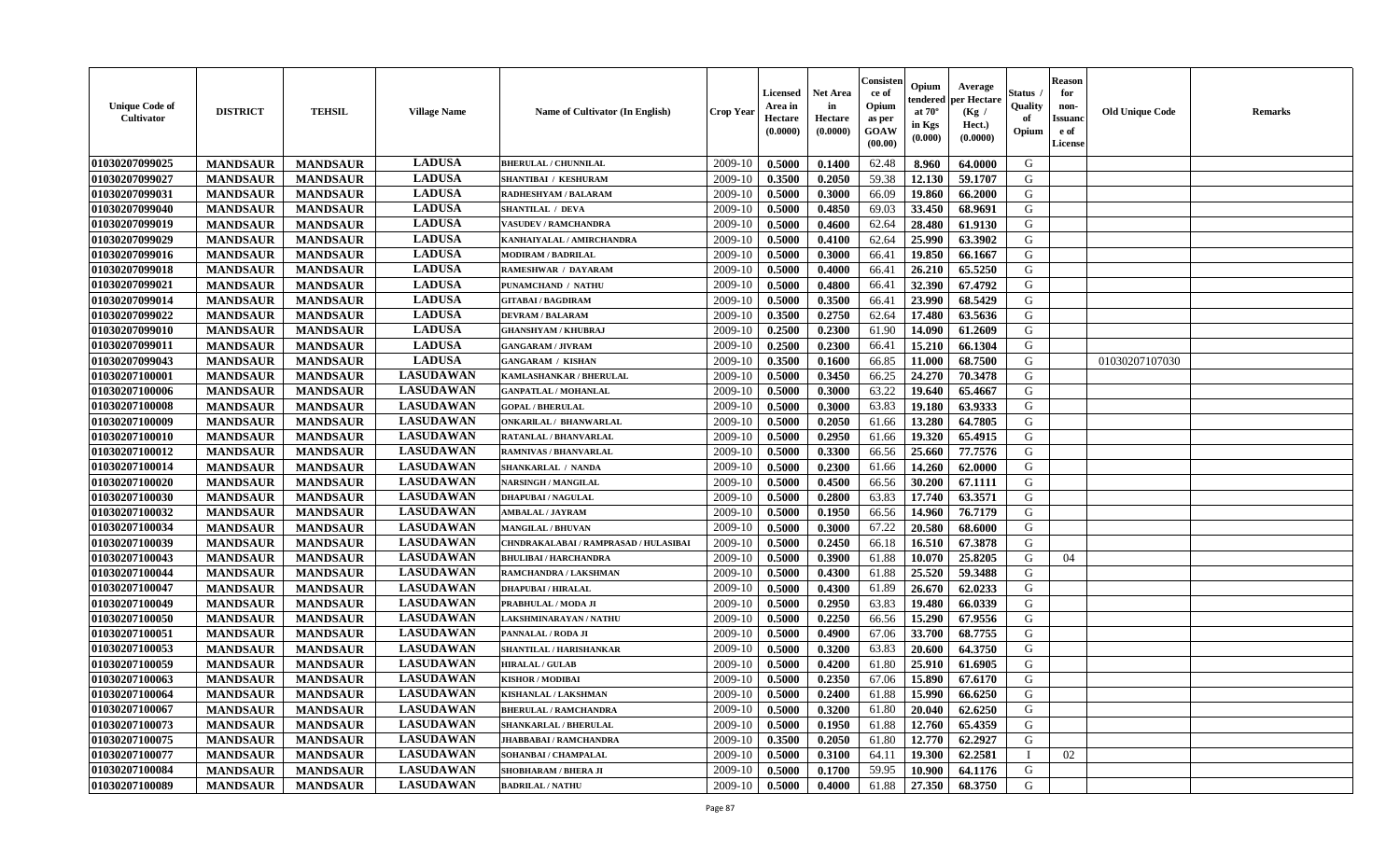| <b>Unique Code of</b><br><b>Cultivator</b> | <b>DISTRICT</b> | <b>TEHSIL</b>   | <b>Village Name</b> | Name of Cultivator (In English)       | <b>Crop Year</b> | <b>Licensed</b><br>Area in<br>Hectare<br>(0.0000) | <b>Net Area</b><br>in<br>Hectare<br>(0.0000) | Consisteı<br>ce of<br>Opium<br>as per<br>GOAW<br>(00.00) | Opium<br>endered<br>at $70^\circ$<br>in Kgs<br>(0.000) | Average<br>per Hectare<br>(Kg /<br>Hect.)<br>(0.0000) | Status<br>Quality<br>of<br>Opium | <b>Reason</b><br>for<br>non-<br><b>Issuand</b><br>e of<br>License | <b>Old Unique Code</b> | Remarks |
|--------------------------------------------|-----------------|-----------------|---------------------|---------------------------------------|------------------|---------------------------------------------------|----------------------------------------------|----------------------------------------------------------|--------------------------------------------------------|-------------------------------------------------------|----------------------------------|-------------------------------------------------------------------|------------------------|---------|
| 01030207099025                             | <b>MANDSAUR</b> | <b>MANDSAUR</b> | <b>LADUSA</b>       | <b>BHERULAL / CHUNNILAL</b>           | 2009-10          | 0.5000                                            | 0.1400                                       | 62.48                                                    | 8.960                                                  | 64.0000                                               | G                                |                                                                   |                        |         |
| 01030207099027                             | <b>MANDSAUR</b> | <b>MANDSAUR</b> | <b>LADUSA</b>       | SHANTIBAI / KESHURAM                  | 2009-10          | 0.3500                                            | 0.2050                                       | 59.38                                                    | 12.130                                                 | 59.1707                                               | G                                |                                                                   |                        |         |
| 01030207099031                             | <b>MANDSAUR</b> | <b>MANDSAUR</b> | <b>LADUSA</b>       | RADHESHYAM / BALARAM                  | 2009-10          | 0.5000                                            | 0.3000                                       | 66.09                                                    | 19.860                                                 | 66.2000                                               | G                                |                                                                   |                        |         |
| 01030207099040                             | <b>MANDSAUR</b> | <b>MANDSAUR</b> | <b>LADUSA</b>       | <b>SHANTILAL / DEVA</b>               | 2009-10          | 0.5000                                            | 0.4850                                       | 69.03                                                    | 33.450                                                 | 68.9691                                               | G                                |                                                                   |                        |         |
| 01030207099019                             | <b>MANDSAUR</b> | <b>MANDSAUR</b> | <b>LADUSA</b>       | <b>VASUDEV / RAMCHANDRA</b>           | 2009-10          | 0.5000                                            | 0.4600                                       | 62.64                                                    | 28.480                                                 | 61.9130                                               | G                                |                                                                   |                        |         |
| 01030207099029                             | <b>MANDSAUR</b> | <b>MANDSAUR</b> | <b>LADUSA</b>       | KANHAIYALAL / AMIRCHANDRA             | 2009-10          | 0.5000                                            | 0.4100                                       | 62.64                                                    | 25.990                                                 | 63.3902                                               | G                                |                                                                   |                        |         |
| 01030207099016                             | <b>MANDSAUR</b> | <b>MANDSAUR</b> | <b>LADUSA</b>       | <b>MODIRAM / BADRILAL</b>             | 2009-10          | 0.5000                                            | 0.3000                                       | 66.41                                                    | 19.850                                                 | 66.1667                                               | G                                |                                                                   |                        |         |
| 01030207099018                             | <b>MANDSAUR</b> | <b>MANDSAUR</b> | <b>LADUSA</b>       | RAMESHWAR / DAYARAM                   | 2009-10          | 0.5000                                            | 0.4000                                       | 66.41                                                    | 26.210                                                 | 65.5250                                               | G                                |                                                                   |                        |         |
| 01030207099021                             | <b>MANDSAUR</b> | <b>MANDSAUR</b> | <b>LADUSA</b>       | PUNAMCHAND / NATHU                    | 2009-10          | 0.5000                                            | 0.4800                                       | 66.41                                                    | 32.390                                                 | 67.4792                                               | G                                |                                                                   |                        |         |
| 01030207099014                             | <b>MANDSAUR</b> | <b>MANDSAUR</b> | <b>LADUSA</b>       | <b>GITABAI/BAGDIRAM</b>               | 2009-10          | 0.5000                                            | 0.3500                                       | 66.41                                                    | 23.990                                                 | 68.5429                                               | G                                |                                                                   |                        |         |
| 01030207099022                             | <b>MANDSAUR</b> | <b>MANDSAUR</b> | <b>LADUSA</b>       | <b>DEVRAM / BALARAM</b>               | 2009-10          | 0.3500                                            | 0.2750                                       | 62.64                                                    | 17.480                                                 | 63.5636                                               | G                                |                                                                   |                        |         |
| 01030207099010                             | <b>MANDSAUR</b> | <b>MANDSAUR</b> | <b>LADUSA</b>       | <b>GHANSHYAM / KHUBRAJ</b>            | 2009-10          | 0.2500                                            | 0.2300                                       | 61.90                                                    | 14.090                                                 | 61.2609                                               | G                                |                                                                   |                        |         |
| 01030207099011                             | <b>MANDSAUR</b> | <b>MANDSAUR</b> | <b>LADUSA</b>       | <b>GANGARAM / JIVRAM</b>              | 2009-10          | 0.2500                                            | 0.2300                                       | 66.41                                                    | 15.210                                                 | 66.1304                                               | G                                |                                                                   |                        |         |
| 01030207099043                             | <b>MANDSAUR</b> | <b>MANDSAUR</b> | <b>LADUSA</b>       | <b>GANGARAM / KISHAN</b>              | 2009-10          | 0.3500                                            | 0.1600                                       | 66.85                                                    | 11.000                                                 | 68.7500                                               | G                                |                                                                   | 01030207107030         |         |
| 01030207100001                             | <b>MANDSAUR</b> | <b>MANDSAUR</b> | <b>LASUDAWAN</b>    | KAMLASHANKAR / BHERULAL               | 2009-10          | 0.5000                                            | 0.3450                                       | 66.25                                                    | 24.270                                                 | 70.3478                                               | $\mathbf G$                      |                                                                   |                        |         |
| 01030207100006                             | <b>MANDSAUR</b> | <b>MANDSAUR</b> | <b>LASUDAWAN</b>    | <b>GANPATLAL / MOHANLAL</b>           | 2009-10          | 0.5000                                            | 0.3000                                       | 63.22                                                    | 19.640                                                 | 65.4667                                               | G                                |                                                                   |                        |         |
| 01030207100008                             | <b>MANDSAUR</b> | <b>MANDSAUR</b> | <b>LASUDAWAN</b>    | <b>GOPAL / BHERULAL</b>               | 2009-10          | 0.5000                                            | 0.3000                                       | 63.83                                                    | 19.180                                                 | 63.9333                                               | G                                |                                                                   |                        |         |
| 01030207100009                             | <b>MANDSAUR</b> | <b>MANDSAUR</b> | <b>LASUDAWAN</b>    | <b>ONKARILAL / BHANWARLAL</b>         | 2009-10          | 0.5000                                            | 0.2050                                       | 61.66                                                    | 13.280                                                 | 64.7805                                               | G                                |                                                                   |                        |         |
| 01030207100010                             | <b>MANDSAUR</b> | <b>MANDSAUR</b> | <b>LASUDAWAN</b>    | RATANLAL / BHANVARLAL                 | 2009-10          | 0.5000                                            | 0.2950                                       | 61.66                                                    | 19.320                                                 | 65.4915                                               | G                                |                                                                   |                        |         |
| 01030207100012                             | <b>MANDSAUR</b> | <b>MANDSAUR</b> | <b>LASUDAWAN</b>    | <b>RAMNIVAS / BHANVARLAL</b>          | 2009-10          | 0.5000                                            | 0.3300                                       | 66.56                                                    | 25.660                                                 | 77.7576                                               | G                                |                                                                   |                        |         |
| 01030207100014                             | <b>MANDSAUR</b> | <b>MANDSAUR</b> | <b>LASUDAWAN</b>    | <b>SHANKARLAL / NANDA</b>             | 2009-10          | 0.5000                                            | 0.2300                                       | 61.66                                                    | 14.260                                                 | 62.0000                                               | G                                |                                                                   |                        |         |
| 01030207100020                             | <b>MANDSAUR</b> | <b>MANDSAUR</b> | <b>LASUDAWAN</b>    | <b>NARSINGH / MANGILAL</b>            | 2009-10          | 0.5000                                            | 0.4500                                       | 66.56                                                    | 30.200                                                 | 67.1111                                               | G                                |                                                                   |                        |         |
| 01030207100030                             | <b>MANDSAUR</b> | <b>MANDSAUR</b> | <b>LASUDAWAN</b>    | <b>DHAPUBAI/NAGULAL</b>               | 2009-10          | 0.5000                                            | 0.2800                                       | 63.83                                                    | 17.740                                                 | 63.3571                                               | G                                |                                                                   |                        |         |
| 01030207100032                             | <b>MANDSAUR</b> | <b>MANDSAUR</b> | <b>LASUDAWAN</b>    | AMBALAL / JAYRAM                      | 2009-10          | 0.5000                                            | 0.1950                                       | 66.56                                                    | 14.960                                                 | 76.7179                                               | G                                |                                                                   |                        |         |
| 01030207100034                             | <b>MANDSAUR</b> | <b>MANDSAUR</b> | <b>LASUDAWAN</b>    | <b>MANGILAL / BHUVAN</b>              | 2009-10          | 0.5000                                            | 0.3000                                       | 67.22                                                    | 20.580                                                 | 68.6000                                               | G                                |                                                                   |                        |         |
| 01030207100039                             | <b>MANDSAUR</b> | <b>MANDSAUR</b> | <b>LASUDAWAN</b>    | CHNDRAKALABAI / RAMPRASAD / HULASIBAI | 2009-10          | 0.5000                                            | 0.2450                                       | 66.18                                                    | 16.510                                                 | 67.3878                                               | G                                |                                                                   |                        |         |
| 01030207100043                             | <b>MANDSAUR</b> | <b>MANDSAUR</b> | <b>LASUDAWAN</b>    | <b>BHULIBAI / HARCHANDRA</b>          | 2009-10          | 0.5000                                            | 0.3900                                       | 61.88                                                    | 10.070                                                 | 25.8205                                               | G                                | 04                                                                |                        |         |
| 01030207100044                             | <b>MANDSAUR</b> | <b>MANDSAUR</b> | <b>LASUDAWAN</b>    | RAMCHANDRA / LAKSHMAN                 | 2009-10          | 0.5000                                            | 0.4300                                       | 61.88                                                    | 25.520                                                 | 59.3488                                               | G                                |                                                                   |                        |         |
| 01030207100047                             | <b>MANDSAUR</b> | <b>MANDSAUR</b> | <b>LASUDAWAN</b>    | <b>DHAPUBAI/HIRALAL</b>               | 2009-10          | 0.5000                                            | 0.4300                                       | 61.89                                                    | 26.670                                                 | 62.0233                                               | G                                |                                                                   |                        |         |
| 01030207100049                             | <b>MANDSAUR</b> | <b>MANDSAUR</b> | <b>LASUDAWAN</b>    | PRABHULAL / MODA JI                   | 2009-10          | 0.5000                                            | 0.2950                                       | 63.83                                                    | 19.480                                                 | 66.0339                                               | G                                |                                                                   |                        |         |
| 01030207100050                             | <b>MANDSAUR</b> | <b>MANDSAUR</b> | <b>LASUDAWAN</b>    | LAKSHMINARAYAN / NATHU                | 2009-10          | 0.5000                                            | 0.2250                                       | 66.56                                                    | 15.290                                                 | 67.9556                                               | G                                |                                                                   |                        |         |
| 01030207100051                             | <b>MANDSAUR</b> | <b>MANDSAUR</b> | <b>LASUDAWAN</b>    | PANNALAL / RODA JI                    | 2009-10          | 0.5000                                            | 0.4900                                       | 67.06                                                    | 33.700                                                 | 68.7755                                               | G                                |                                                                   |                        |         |
| 01030207100053                             | <b>MANDSAUR</b> | <b>MANDSAUR</b> | <b>LASUDAWAN</b>    | SHANTILAL / HARISHANKAR               | 2009-10          | 0.5000                                            | 0.3200                                       | 63.83                                                    | 20.600                                                 | 64.3750                                               | G                                |                                                                   |                        |         |
| 01030207100059                             | <b>MANDSAUR</b> | <b>MANDSAUR</b> | <b>LASUDAWAN</b>    | <b>HIRALAL / GULAB</b>                | 2009-10          | 0.5000                                            | 0.4200                                       | 61.80                                                    | 25.910                                                 | 61.6905                                               | G                                |                                                                   |                        |         |
| 01030207100063                             | <b>MANDSAUR</b> | <b>MANDSAUR</b> | <b>LASUDAWAN</b>    | <b>KISHOR / MODIBAI</b>               | 2009-10          | 0.5000                                            | 0.2350                                       | 67.06                                                    | 15.890                                                 | 67.6170                                               | G                                |                                                                   |                        |         |
| 01030207100064                             | <b>MANDSAUR</b> | <b>MANDSAUR</b> | <b>LASUDAWAN</b>    | KISHANLAL / LAKSHMAN                  | 2009-10          | 0.5000                                            | 0.2400                                       | 61.88                                                    | 15.990                                                 | 66.6250                                               | G                                |                                                                   |                        |         |
| 01030207100067                             | <b>MANDSAUR</b> | <b>MANDSAUR</b> | <b>LASUDAWAN</b>    | <b>BHERULAL / RAMCHANDRA</b>          | 2009-10          | 0.5000                                            | 0.3200                                       | 61.80                                                    | 20.040                                                 | 62.6250                                               | G                                |                                                                   |                        |         |
| 01030207100073                             | <b>MANDSAUR</b> | <b>MANDSAUR</b> | <b>LASUDAWAN</b>    | <b>SHANKARLAL / BHERULAL</b>          | 2009-10          | 0.5000                                            | 0.1950                                       | 61.88                                                    | 12.760                                                 | 65.4359                                               | G                                |                                                                   |                        |         |
| 01030207100075                             | <b>MANDSAUR</b> | <b>MANDSAUR</b> | <b>LASUDAWAN</b>    | <b>JHABBABAI/RAMCHANDRA</b>           | 2009-10          | 0.3500                                            | 0.2050                                       | 61.80                                                    | 12.770                                                 | 62.2927                                               | G                                |                                                                   |                        |         |
| 01030207100077                             | <b>MANDSAUR</b> | <b>MANDSAUR</b> | <b>LASUDAWAN</b>    | SOHANBAI / CHAMPALAL                  | 2009-10          | 0.5000                                            | 0.3100                                       | 64.11                                                    | 19.300                                                 | 62.2581                                               |                                  | 02                                                                |                        |         |
| 01030207100084                             | <b>MANDSAUR</b> | <b>MANDSAUR</b> | <b>LASUDAWAN</b>    | <b>SHOBHARAM / BHERA JI</b>           | 2009-10          | 0.5000                                            | 0.1700                                       | 59.95                                                    | 10.900                                                 | 64.1176                                               | G                                |                                                                   |                        |         |
| 01030207100089                             | <b>MANDSAUR</b> | <b>MANDSAUR</b> | <b>LASUDAWAN</b>    | <b>BADRILAL / NATHU</b>               | 2009-10          | 0.5000                                            | 0.4000                                       | 61.88                                                    | 27.350                                                 | 68.3750                                               | G                                |                                                                   |                        |         |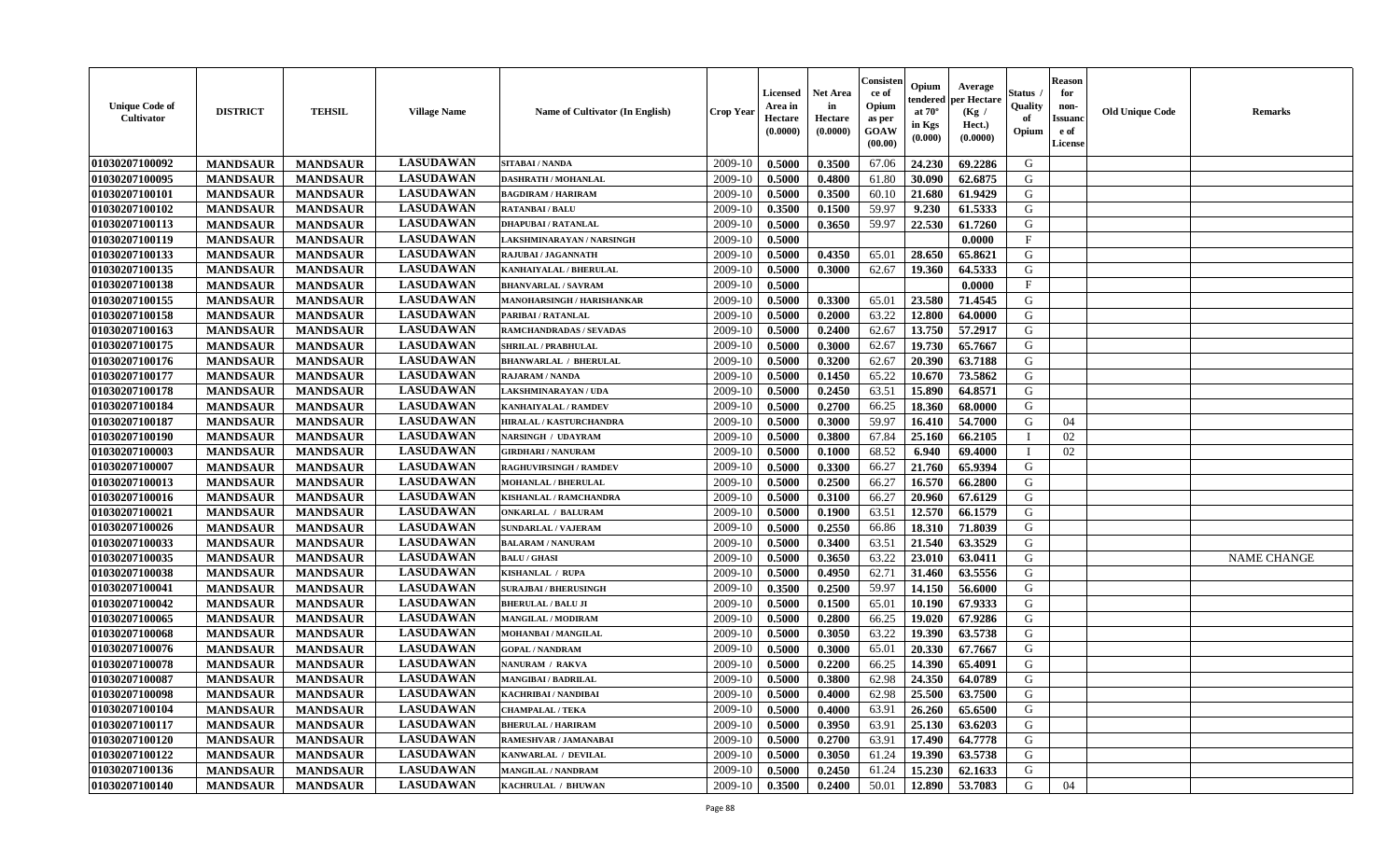| <b>Unique Code of</b><br>Cultivator | <b>DISTRICT</b> | <b>TEHSIL</b>   | <b>Village Name</b> | Name of Cultivator (In English) | <b>Crop Year</b> | <b>Licensed</b><br>Area in<br>Hectare<br>(0.0000) | <b>Net Area</b><br>in<br>Hectare<br>(0.0000) | Consister<br>ce of<br>Opium<br>as per<br>GOAW<br>(00.00) | Opium<br>endered<br>at $70^\circ$<br>in Kgs<br>(0.000) | Average<br>per Hectare<br>(Kg /<br>Hect.)<br>(0.0000) | <b>Status</b> .<br>Quality<br>of<br>Opium | <b>Reason</b><br>for<br>non-<br><b>Issuand</b><br>e of<br>License | <b>Old Unique Code</b> | <b>Remarks</b>     |
|-------------------------------------|-----------------|-----------------|---------------------|---------------------------------|------------------|---------------------------------------------------|----------------------------------------------|----------------------------------------------------------|--------------------------------------------------------|-------------------------------------------------------|-------------------------------------------|-------------------------------------------------------------------|------------------------|--------------------|
| 01030207100092                      | <b>MANDSAUR</b> | <b>MANDSAUR</b> | <b>LASUDAWAN</b>    | SITABAI / NANDA                 | 2009-10          | 0.5000                                            | 0.3500                                       | 67.06                                                    | 24.230                                                 | 69.2286                                               | G                                         |                                                                   |                        |                    |
| 01030207100095                      | <b>MANDSAUR</b> | <b>MANDSAUR</b> | <b>LASUDAWAN</b>    | <b>DASHRATH / MOHANLAL</b>      | 2009-10          | 0.5000                                            | 0.4800                                       | 61.80                                                    | 30.090                                                 | 62.6875                                               | G                                         |                                                                   |                        |                    |
| 01030207100101                      | <b>MANDSAUR</b> | <b>MANDSAUR</b> | <b>LASUDAWAN</b>    | <b>BAGDIRAM / HARIRAM</b>       | 2009-10          | 0.5000                                            | 0.3500                                       | 60.10                                                    | 21.680                                                 | 61.9429                                               | G                                         |                                                                   |                        |                    |
| 01030207100102                      | <b>MANDSAUR</b> | <b>MANDSAUR</b> | <b>LASUDAWAN</b>    | <b>RATANBAI/BALU</b>            | 2009-10          | 0.3500                                            | 0.1500                                       | 59.97                                                    | 9.230                                                  | 61.5333                                               | G                                         |                                                                   |                        |                    |
| 01030207100113                      | <b>MANDSAUR</b> | <b>MANDSAUR</b> | <b>LASUDAWAN</b>    | <b>DHAPUBAI/RATANLAL</b>        | 2009-10          | 0.5000                                            | 0.3650                                       | 59.97                                                    | 22.530                                                 | 61.7260                                               | G                                         |                                                                   |                        |                    |
| 01030207100119                      | <b>MANDSAUR</b> | <b>MANDSAUR</b> | <b>LASUDAWAN</b>    | AKSHMINARAYAN / NARSINGH        | 2009-10          | 0.5000                                            |                                              |                                                          |                                                        | 0.0000                                                | $\mathbf F$                               |                                                                   |                        |                    |
| 01030207100133                      | <b>MANDSAUR</b> | <b>MANDSAUR</b> | <b>LASUDAWAN</b>    | RAJUBAI / JAGANNATH             | 2009-10          | 0.5000                                            | 0.4350                                       | 65.01                                                    | 28.650                                                 | 65.8621                                               | G                                         |                                                                   |                        |                    |
| 01030207100135                      | <b>MANDSAUR</b> | <b>MANDSAUR</b> | <b>LASUDAWAN</b>    | KANHAIYALAL / BHERULAL          | 2009-10          | 0.5000                                            | 0.3000                                       | 62.67                                                    | 19.360                                                 | 64.5333                                               | G                                         |                                                                   |                        |                    |
| 01030207100138                      | <b>MANDSAUR</b> | <b>MANDSAUR</b> | <b>LASUDAWAN</b>    | <b>BHANVARLAL / SAVRAM</b>      | 2009-10          | 0.5000                                            |                                              |                                                          |                                                        | 0.0000                                                | $\mathbf{F}$                              |                                                                   |                        |                    |
| 01030207100155                      | <b>MANDSAUR</b> | <b>MANDSAUR</b> | <b>LASUDAWAN</b>    | MANOHARSINGH / HARISHANKAR      | 2009-10          | 0.5000                                            | 0.3300                                       | 65.01                                                    | 23.580                                                 | 71.4545                                               | G                                         |                                                                   |                        |                    |
| 01030207100158                      | <b>MANDSAUR</b> | <b>MANDSAUR</b> | <b>LASUDAWAN</b>    | PARIBAI / RATANLAL              | 2009-10          | 0.5000                                            | 0.2000                                       | 63.22                                                    | 12.800                                                 | 64.0000                                               | G                                         |                                                                   |                        |                    |
| 01030207100163                      | <b>MANDSAUR</b> | <b>MANDSAUR</b> | <b>LASUDAWAN</b>    | RAMCHANDRADAS / SEVADAS         | 2009-10          | 0.5000                                            | 0.2400                                       | 62.67                                                    | 13.750                                                 | 57.2917                                               | G                                         |                                                                   |                        |                    |
| 01030207100175                      | <b>MANDSAUR</b> | <b>MANDSAUR</b> | <b>LASUDAWAN</b>    | <b>SHRILAL / PRABHULAL</b>      | 2009-10          | 0.5000                                            | 0.3000                                       | 62.67                                                    | 19.730                                                 | 65.7667                                               | G                                         |                                                                   |                        |                    |
| 01030207100176                      | <b>MANDSAUR</b> | <b>MANDSAUR</b> | <b>LASUDAWAN</b>    | <b>BHANWARLAL / BHERULAL</b>    | 2009-10          | 0.5000                                            | 0.3200                                       | 62.67                                                    | 20.390                                                 | 63.7188                                               | G                                         |                                                                   |                        |                    |
| 01030207100177                      | <b>MANDSAUR</b> | <b>MANDSAUR</b> | <b>LASUDAWAN</b>    | RAJARAM / NANDA                 | 2009-10          | 0.5000                                            | 0.1450                                       | 65.22                                                    | 10.670                                                 | 73.5862                                               | ${\bf G}$                                 |                                                                   |                        |                    |
| 01030207100178                      | <b>MANDSAUR</b> | <b>MANDSAUR</b> | <b>LASUDAWAN</b>    | LAKSHMINARAYAN / UDA            | 2009-10          | 0.5000                                            | 0.2450                                       | 63.51                                                    | 15.890                                                 | 64.8571                                               | G                                         |                                                                   |                        |                    |
| 01030207100184                      | <b>MANDSAUR</b> | <b>MANDSAUR</b> | <b>LASUDAWAN</b>    | KANHAIYALAL / RAMDEV            | 2009-10          | 0.5000                                            | 0.2700                                       | 66.25                                                    | 18.360                                                 | 68.0000                                               | G                                         |                                                                   |                        |                    |
| 01030207100187                      | <b>MANDSAUR</b> | <b>MANDSAUR</b> | <b>LASUDAWAN</b>    | HIRALAL / KASTURCHANDRA         | 2009-10          | 0.5000                                            | 0.3000                                       | 59.97                                                    | 16.410                                                 | 54.7000                                               | G                                         | 04                                                                |                        |                    |
| 01030207100190                      | <b>MANDSAUR</b> | <b>MANDSAUR</b> | <b>LASUDAWAN</b>    | NARSINGH / UDAYRAM              | 2009-10          | 0.5000                                            | 0.3800                                       | 67.84                                                    | 25.160                                                 | 66.2105                                               | $\mathbf I$                               | 02                                                                |                        |                    |
| 01030207100003                      | <b>MANDSAUR</b> | <b>MANDSAUR</b> | <b>LASUDAWAN</b>    | <b>GIRDHARI / NANURAM</b>       | 2009-10          | 0.5000                                            | 0.1000                                       | 68.52                                                    | 6.940                                                  | 69.4000                                               | $\mathbf I$                               | 02                                                                |                        |                    |
| 01030207100007                      | <b>MANDSAUR</b> | <b>MANDSAUR</b> | <b>LASUDAWAN</b>    | <b>RAGHUVIRSINGH / RAMDEV</b>   | 2009-10          | 0.5000                                            | 0.3300                                       | 66.27                                                    | 21.760                                                 | 65.9394                                               | G                                         |                                                                   |                        |                    |
| 01030207100013                      | <b>MANDSAUR</b> | <b>MANDSAUR</b> | <b>LASUDAWAN</b>    | <b>MOHANLAL / BHERULAL</b>      | 2009-10          | 0.5000                                            | 0.2500                                       | 66.27                                                    | 16.570                                                 | 66.2800                                               | G                                         |                                                                   |                        |                    |
| 01030207100016                      | <b>MANDSAUR</b> | <b>MANDSAUR</b> | <b>LASUDAWAN</b>    | KISHANLAL / RAMCHANDRA          | 2009-10          | 0.5000                                            | 0.3100                                       | 66.27                                                    | 20.960                                                 | 67.6129                                               | ${\bf G}$                                 |                                                                   |                        |                    |
| 01030207100021                      | <b>MANDSAUR</b> | <b>MANDSAUR</b> | <b>LASUDAWAN</b>    | ONKARLAL / BALURAM              | 2009-10          | 0.5000                                            | 0.1900                                       | 63.51                                                    | 12.570                                                 | 66.1579                                               | ${\bf G}$                                 |                                                                   |                        |                    |
| 01030207100026                      | <b>MANDSAUR</b> | <b>MANDSAUR</b> | <b>LASUDAWAN</b>    | <b>SUNDARLAL / VAJERAM</b>      | 2009-10          | 0.5000                                            | 0.2550                                       | 66.86                                                    | 18.310                                                 | 71.8039                                               | G                                         |                                                                   |                        |                    |
| 01030207100033                      | <b>MANDSAUR</b> | <b>MANDSAUR</b> | <b>LASUDAWAN</b>    | <b>BALARAM / NANURAM</b>        | 2009-10          | 0.5000                                            | 0.3400                                       | 63.51                                                    | 21.540                                                 | 63.3529                                               | ${\bf G}$                                 |                                                                   |                        |                    |
| 01030207100035                      | <b>MANDSAUR</b> | <b>MANDSAUR</b> | <b>LASUDAWAN</b>    | <b>BALU / GHASI</b>             | 2009-10          | 0.5000                                            | 0.3650                                       | 63.22                                                    | 23.010                                                 | 63.0411                                               | G                                         |                                                                   |                        | <b>NAME CHANGE</b> |
| 01030207100038                      | <b>MANDSAUR</b> | <b>MANDSAUR</b> | <b>LASUDAWAN</b>    | KISHANLAL / RUPA                | 2009-10          | 0.5000                                            | 0.4950                                       | 62.71                                                    | 31.460                                                 | 63.5556                                               | G                                         |                                                                   |                        |                    |
| 01030207100041                      | <b>MANDSAUR</b> | <b>MANDSAUR</b> | <b>LASUDAWAN</b>    | <b>SURAJBAI / BHERUSINGH</b>    | 2009-10          | 0.3500                                            | 0.2500                                       | 59.97                                                    | 14.150                                                 | 56.6000                                               | G                                         |                                                                   |                        |                    |
| 01030207100042                      | <b>MANDSAUR</b> | <b>MANDSAUR</b> | <b>LASUDAWAN</b>    | <b>BHERULAL / BALU JI</b>       | 2009-10          | 0.5000                                            | 0.1500                                       | 65.01                                                    | 10.190                                                 | 67.9333                                               | G                                         |                                                                   |                        |                    |
| 01030207100065                      | <b>MANDSAUR</b> | <b>MANDSAUR</b> | <b>LASUDAWAN</b>    | <b>MANGILAL / MODIRAM</b>       | 2009-10          | 0.5000                                            | 0.2800                                       | 66.25                                                    | 19.020                                                 | 67.9286                                               | G                                         |                                                                   |                        |                    |
| 01030207100068                      | <b>MANDSAUR</b> | <b>MANDSAUR</b> | <b>LASUDAWAN</b>    | MOHANBAI / MANGILAL             | 2009-10          | 0.5000                                            | 0.3050                                       | 63.22                                                    | 19.390                                                 | 63.5738                                               | G                                         |                                                                   |                        |                    |
| 01030207100076                      | <b>MANDSAUR</b> | <b>MANDSAUR</b> | <b>LASUDAWAN</b>    | <b>GOPAL / NANDRAM</b>          | 2009-10          | 0.5000                                            | 0.3000                                       | 65.01                                                    | 20.330                                                 | 67.7667                                               | G                                         |                                                                   |                        |                    |
| 01030207100078                      | <b>MANDSAUR</b> | <b>MANDSAUR</b> | <b>LASUDAWAN</b>    | NANURAM / RAKVA                 | 2009-10          | 0.5000                                            | 0.2200                                       | 66.25                                                    | 14.390                                                 | 65.4091                                               | G                                         |                                                                   |                        |                    |
| 01030207100087                      | <b>MANDSAUR</b> | <b>MANDSAUR</b> | <b>LASUDAWAN</b>    | <b>MANGIBAI/BADRILAL</b>        | 2009-10          | 0.5000                                            | 0.3800                                       | 62.98                                                    | 24.350                                                 | 64.0789                                               | ${\bf G}$                                 |                                                                   |                        |                    |
| 01030207100098                      | <b>MANDSAUR</b> | <b>MANDSAUR</b> | <b>LASUDAWAN</b>    | <b>KACHRIBAI / NANDIBAI</b>     | 2009-10          | 0.5000                                            | 0.4000                                       | 62.98                                                    | 25.500                                                 | 63.7500                                               | G                                         |                                                                   |                        |                    |
| 01030207100104                      | <b>MANDSAUR</b> | <b>MANDSAUR</b> | <b>LASUDAWAN</b>    | <b>CHAMPALAL / TEKA</b>         | 2009-10          | 0.5000                                            | 0.4000                                       | 63.91                                                    | 26.260                                                 | 65.6500                                               | G                                         |                                                                   |                        |                    |
| 01030207100117                      | <b>MANDSAUR</b> | <b>MANDSAUR</b> | <b>LASUDAWAN</b>    | <b>BHERULAL / HARIRAM</b>       | 2009-10          | 0.5000                                            | 0.3950                                       | 63.91                                                    | 25.130                                                 | 63.6203                                               | G                                         |                                                                   |                        |                    |
| 01030207100120                      | <b>MANDSAUR</b> | <b>MANDSAUR</b> | <b>LASUDAWAN</b>    | RAMESHVAR / JAMANABAI           | 2009-10          | 0.5000                                            | 0.2700                                       | 63.91                                                    | 17.490                                                 | 64.7778                                               | G                                         |                                                                   |                        |                    |
| 01030207100122                      | <b>MANDSAUR</b> | <b>MANDSAUR</b> | <b>LASUDAWAN</b>    | KANWARLAL / DEVILAL             | 2009-10          | 0.5000                                            | 0.3050                                       | 61.24                                                    | 19.390                                                 | 63.5738                                               | ${\bf G}$                                 |                                                                   |                        |                    |
| 01030207100136                      | <b>MANDSAUR</b> | <b>MANDSAUR</b> | <b>LASUDAWAN</b>    | MANGILAL / NANDRAM              | 2009-10          | 0.5000                                            | 0.2450                                       | 61.24                                                    | 15.230                                                 | 62.1633                                               | G                                         |                                                                   |                        |                    |
| 01030207100140                      | <b>MANDSAUR</b> | <b>MANDSAUR</b> | <b>LASUDAWAN</b>    | KACHRULAL / BHUWAN              | 2009-10          | 0.3500                                            | 0.2400                                       | 50.01                                                    | 12.890                                                 | 53.7083                                               | G                                         | 04                                                                |                        |                    |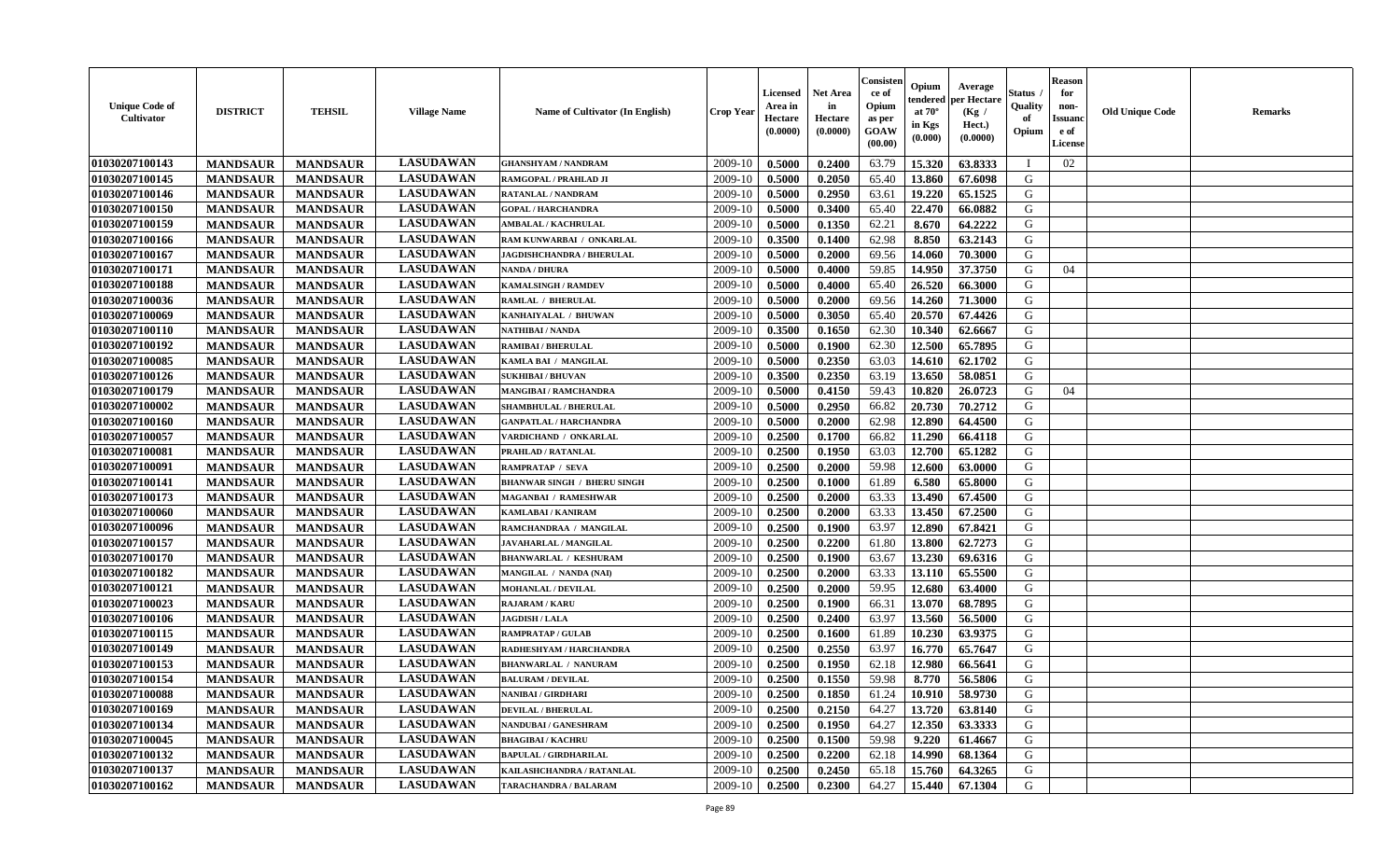| <b>Unique Code of</b><br><b>Cultivator</b> | <b>DISTRICT</b> | <b>TEHSIL</b>   | <b>Village Name</b> | Name of Cultivator (In English)    | <b>Crop Year</b> | <b>Licensed</b><br>Area in<br>Hectare<br>(0.0000) | <b>Net Area</b><br>in<br>Hectare<br>(0.0000) | Consisteı<br>ce of<br>Opium<br>as per<br>GOAW<br>(00.00) | Opium<br>endered<br>at $70^\circ$<br>in Kgs<br>(0.000) | Average<br>per Hectare<br>(Kg /<br>Hect.)<br>(0.0000) | Status<br>Quality<br>of<br>Opium | <b>Reason</b><br>for<br>non-<br><b>Issuand</b><br>e of<br>License | <b>Old Unique Code</b> | Remarks |
|--------------------------------------------|-----------------|-----------------|---------------------|------------------------------------|------------------|---------------------------------------------------|----------------------------------------------|----------------------------------------------------------|--------------------------------------------------------|-------------------------------------------------------|----------------------------------|-------------------------------------------------------------------|------------------------|---------|
| 01030207100143                             | <b>MANDSAUR</b> | <b>MANDSAUR</b> | <b>LASUDAWAN</b>    | <b>GHANSHYAM / NANDRAM</b>         | 2009-10          | 0.5000                                            | 0.2400                                       | 63.79                                                    | 15.320                                                 | 63.8333                                               | I                                | 02                                                                |                        |         |
| 01030207100145                             | <b>MANDSAUR</b> | <b>MANDSAUR</b> | <b>LASUDAWAN</b>    | RAMGOPAL / PRAHLAD JI              | 2009-10          | 0.5000                                            | 0.2050                                       | 65.40                                                    | 13.860                                                 | 67.6098                                               | G                                |                                                                   |                        |         |
| 01030207100146                             | <b>MANDSAUR</b> | <b>MANDSAUR</b> | <b>LASUDAWAN</b>    | <b>RATANLAL / NANDRAM</b>          | 2009-10          | 0.5000                                            | 0.2950                                       | 63.61                                                    | 19.220                                                 | 65.1525                                               | G                                |                                                                   |                        |         |
| 01030207100150                             | <b>MANDSAUR</b> | <b>MANDSAUR</b> | <b>LASUDAWAN</b>    | <b>GOPAL / HARCHANDRA</b>          | 2009-10          | 0.5000                                            | 0.3400                                       | 65.40                                                    | 22.470                                                 | 66.0882                                               | G                                |                                                                   |                        |         |
| 01030207100159                             | <b>MANDSAUR</b> | <b>MANDSAUR</b> | <b>LASUDAWAN</b>    | <b>AMBALAL / KACHRULAL</b>         | 2009-10          | 0.5000                                            | 0.1350                                       | 62.21                                                    | 8.670                                                  | 64.2222                                               | G                                |                                                                   |                        |         |
| 01030207100166                             | <b>MANDSAUR</b> | <b>MANDSAUR</b> | <b>LASUDAWAN</b>    | RAM KUNWARBAI / ONKARLAL           | 2009-10          | 0.3500                                            | 0.1400                                       | 62.98                                                    | 8.850                                                  | 63.2143                                               | G                                |                                                                   |                        |         |
| 01030207100167                             | <b>MANDSAUR</b> | <b>MANDSAUR</b> | <b>LASUDAWAN</b>    | JAGDISHCHANDRA / BHERULAL          | 2009-10          | 0.5000                                            | 0.2000                                       | 69.56                                                    | 14.060                                                 | 70.3000                                               | G                                |                                                                   |                        |         |
| 01030207100171                             | <b>MANDSAUR</b> | <b>MANDSAUR</b> | <b>LASUDAWAN</b>    | <b>NANDA / DHURA</b>               | 2009-10          | 0.5000                                            | 0.4000                                       | 59.85                                                    | 14.950                                                 | 37.3750                                               | G                                | 04                                                                |                        |         |
| 01030207100188                             | <b>MANDSAUR</b> | <b>MANDSAUR</b> | <b>LASUDAWAN</b>    | <b>KAMALSINGH / RAMDEV</b>         | 2009-10          | 0.5000                                            | 0.4000                                       | 65.40                                                    | 26.520                                                 | 66.3000                                               | G                                |                                                                   |                        |         |
| 01030207100036                             | <b>MANDSAUR</b> | <b>MANDSAUR</b> | <b>LASUDAWAN</b>    | <b>RAMLAL / BHERULAL</b>           | 2009-10          | 0.5000                                            | 0.2000                                       | 69.56                                                    | 14.260                                                 | 71.3000                                               | G                                |                                                                   |                        |         |
| 01030207100069                             | <b>MANDSAUR</b> | <b>MANDSAUR</b> | <b>LASUDAWAN</b>    | KANHAIYALAL / BHUWAN               | 2009-10          | 0.5000                                            | 0.3050                                       | 65.40                                                    | 20.570                                                 | 67.4426                                               | G                                |                                                                   |                        |         |
| 01030207100110                             | <b>MANDSAUR</b> | <b>MANDSAUR</b> | <b>LASUDAWAN</b>    | <b>NATHIBAI/NANDA</b>              | 2009-10          | 0.3500                                            | 0.1650                                       | 62.30                                                    | 10.340                                                 | 62.6667                                               | G                                |                                                                   |                        |         |
| 01030207100192                             | <b>MANDSAUR</b> | <b>MANDSAUR</b> | <b>LASUDAWAN</b>    | <b>RAMIBAI / BHERULAL</b>          | 2009-10          | 0.5000                                            | 0.1900                                       | 62.30                                                    | 12.500                                                 | 65.7895                                               | G                                |                                                                   |                        |         |
| 01030207100085                             | <b>MANDSAUR</b> | <b>MANDSAUR</b> | <b>LASUDAWAN</b>    | KAMLA BAI / MANGILAL               | 2009-10          | 0.5000                                            | 0.2350                                       | 63.03                                                    | 14.610                                                 | 62.1702                                               | G                                |                                                                   |                        |         |
| 01030207100126                             | <b>MANDSAUR</b> | <b>MANDSAUR</b> | <b>LASUDAWAN</b>    | <b>SUKHIBAI / BHUVAN</b>           | 2009-10          | 0.3500                                            | 0.2350                                       | 63.19                                                    | 13.650                                                 | 58.0851                                               | $\mathbf G$                      |                                                                   |                        |         |
| 01030207100179                             | <b>MANDSAUR</b> | <b>MANDSAUR</b> | <b>LASUDAWAN</b>    | <b>MANGIBAI/RAMCHANDRA</b>         | 2009-10          | 0.5000                                            | 0.4150                                       | 59.43                                                    | 10.820                                                 | 26.0723                                               | G                                | 04                                                                |                        |         |
| 01030207100002                             | <b>MANDSAUR</b> | <b>MANDSAUR</b> | <b>LASUDAWAN</b>    | SHAMBHULAL / BHERULAL              | 2009-10          | 0.5000                                            | 0.2950                                       | 66.82                                                    | 20.730                                                 | 70.2712                                               | G                                |                                                                   |                        |         |
| 01030207100160                             | <b>MANDSAUR</b> | <b>MANDSAUR</b> | <b>LASUDAWAN</b>    | <b>GANPATLAL / HARCHANDRA</b>      | 2009-10          | 0.5000                                            | 0.2000                                       | 62.98                                                    | 12.890                                                 | 64.4500                                               | G                                |                                                                   |                        |         |
| 01030207100057                             | <b>MANDSAUR</b> | <b>MANDSAUR</b> | <b>LASUDAWAN</b>    | VARDICHAND / ONKARLAL              | 2009-10          | 0.2500                                            | 0.1700                                       | 66.82                                                    | 11.290                                                 | 66.4118                                               | G                                |                                                                   |                        |         |
| 01030207100081                             | <b>MANDSAUR</b> | <b>MANDSAUR</b> | <b>LASUDAWAN</b>    | PRAHLAD / RATANLAL                 | 2009-10          | 0.2500                                            | 0.1950                                       | 63.03                                                    | 12.700                                                 | 65.1282                                               | G                                |                                                                   |                        |         |
| 01030207100091                             | <b>MANDSAUR</b> | <b>MANDSAUR</b> | <b>LASUDAWAN</b>    | <b>RAMPRATAP / SEVA</b>            | 2009-10          | 0.2500                                            | 0.2000                                       | 59.98                                                    | 12.600                                                 | 63.0000                                               | G                                |                                                                   |                        |         |
| 01030207100141                             | <b>MANDSAUR</b> | <b>MANDSAUR</b> | <b>LASUDAWAN</b>    | <b>BHANWAR SINGH / BHERU SINGH</b> | 2009-10          | 0.2500                                            | 0.1000                                       | 61.89                                                    | 6.580                                                  | 65.8000                                               | G                                |                                                                   |                        |         |
| 01030207100173                             | <b>MANDSAUR</b> | <b>MANDSAUR</b> | <b>LASUDAWAN</b>    | <b>MAGANBAI / RAMESHWAR</b>        | 2009-10          | 0.2500                                            | 0.2000                                       | 63.33                                                    | 13.490                                                 | 67.4500                                               | G                                |                                                                   |                        |         |
| 01030207100060                             | <b>MANDSAUR</b> | <b>MANDSAUR</b> | <b>LASUDAWAN</b>    | <b>KAMLABAI/KANIRAM</b>            | 2009-10          | 0.2500                                            | 0.2000                                       | 63.33                                                    | 13.450                                                 | 67.2500                                               | G                                |                                                                   |                        |         |
| 01030207100096                             | <b>MANDSAUR</b> | <b>MANDSAUR</b> | <b>LASUDAWAN</b>    | RAMCHANDRAA / MANGILAL             | 2009-10          | 0.2500                                            | 0.1900                                       | 63.97                                                    | 12.890                                                 | 67.8421                                               | G                                |                                                                   |                        |         |
| 01030207100157                             | <b>MANDSAUR</b> | <b>MANDSAUR</b> | <b>LASUDAWAN</b>    | JAVAHARLAL / MANGILAL              | 2009-10          | 0.2500                                            | 0.2200                                       | 61.80                                                    | 13.800                                                 | 62.7273                                               | G                                |                                                                   |                        |         |
| 01030207100170                             | <b>MANDSAUR</b> | <b>MANDSAUR</b> | <b>LASUDAWAN</b>    | <b>BHANWARLAL / KESHURAM</b>       | 2009-10          | 0.2500                                            | 0.1900                                       | 63.67                                                    | 13.230                                                 | 69.6316                                               | G                                |                                                                   |                        |         |
| 01030207100182                             | <b>MANDSAUR</b> | <b>MANDSAUR</b> | <b>LASUDAWAN</b>    | MANGILAL / NANDA (NAI)             | 2009-10          | 0.2500                                            | 0.2000                                       | 63.33                                                    | 13.110                                                 | 65.5500                                               | G                                |                                                                   |                        |         |
| 01030207100121                             | <b>MANDSAUR</b> | <b>MANDSAUR</b> | <b>LASUDAWAN</b>    | <b>MOHANLAL / DEVILAL</b>          | 2009-10          | 0.2500                                            | 0.2000                                       | 59.95                                                    | 12.680                                                 | 63.4000                                               | G                                |                                                                   |                        |         |
| 01030207100023                             | <b>MANDSAUR</b> | <b>MANDSAUR</b> | <b>LASUDAWAN</b>    | <b>RAJARAM / KARU</b>              | 2009-10          | 0.2500                                            | 0.1900                                       | 66.31                                                    | 13.070                                                 | 68.7895                                               | G                                |                                                                   |                        |         |
| 01030207100106                             | <b>MANDSAUR</b> | <b>MANDSAUR</b> | <b>LASUDAWAN</b>    | <b>JAGDISH / LALA</b>              | 2009-10          | 0.2500                                            | 0.2400                                       | 63.97                                                    | 13.560                                                 | 56.5000                                               | G                                |                                                                   |                        |         |
| 01030207100115                             | <b>MANDSAUR</b> | <b>MANDSAUR</b> | <b>LASUDAWAN</b>    | <b>RAMPRATAP / GULAB</b>           | 2009-10          | 0.2500                                            | 0.1600                                       | 61.89                                                    | 10.230                                                 | 63.9375                                               | G                                |                                                                   |                        |         |
| 01030207100149                             | <b>MANDSAUR</b> | <b>MANDSAUR</b> | <b>LASUDAWAN</b>    | RADHESHYAM / HARCHANDRA            | 2009-10          | 0.2500                                            | 0.2550                                       | 63.97                                                    | 16.770                                                 | 65.7647                                               | G                                |                                                                   |                        |         |
| 01030207100153                             | <b>MANDSAUR</b> | <b>MANDSAUR</b> | <b>LASUDAWAN</b>    | <b>BHANWARLAL / NANURAM</b>        | 2009-10          | 0.2500                                            | 0.1950                                       | 62.18                                                    | 12.980                                                 | 66.5641                                               | G                                |                                                                   |                        |         |
| 01030207100154                             | <b>MANDSAUR</b> | <b>MANDSAUR</b> | <b>LASUDAWAN</b>    | <b>BALURAM / DEVILAL</b>           | 2009-10          | 0.2500                                            | 0.1550                                       | 59.98                                                    | 8.770                                                  | 56.5806                                               | G                                |                                                                   |                        |         |
| 01030207100088                             | <b>MANDSAUR</b> | <b>MANDSAUR</b> | <b>LASUDAWAN</b>    | NANIBAI / GIRDHARI                 | 2009-10          | 0.2500                                            | 0.1850                                       | 61.24                                                    | 10.910                                                 | 58.9730                                               | G                                |                                                                   |                        |         |
| 01030207100169                             | <b>MANDSAUR</b> | <b>MANDSAUR</b> | <b>LASUDAWAN</b>    | <b>DEVILAL / BHERULAL</b>          | 2009-10          | 0.2500                                            | 0.2150                                       | 64.27                                                    | 13.720                                                 | 63.8140                                               | G                                |                                                                   |                        |         |
| 01030207100134                             | <b>MANDSAUR</b> | <b>MANDSAUR</b> | <b>LASUDAWAN</b>    | <b>NANDUBAI/GANESHRAM</b>          | 2009-10          | 0.2500                                            | 0.1950                                       | 64.27                                                    | 12.350                                                 | 63.3333                                               | G                                |                                                                   |                        |         |
| 01030207100045                             | <b>MANDSAUR</b> | <b>MANDSAUR</b> | <b>LASUDAWAN</b>    | <b>BHAGIBAI/KACHRU</b>             | 2009-10          | 0.2500                                            | 0.1500                                       | 59.98                                                    | 9.220                                                  | 61.4667                                               | G                                |                                                                   |                        |         |
| 01030207100132                             | <b>MANDSAUR</b> | <b>MANDSAUR</b> | <b>LASUDAWAN</b>    | <b>BAPULAL / GIRDHARILAL</b>       | 2009-10          | 0.2500                                            | 0.2200                                       | 62.18                                                    | 14.990                                                 | 68.1364                                               | ${\bf G}$                        |                                                                   |                        |         |
| 01030207100137                             | <b>MANDSAUR</b> | <b>MANDSAUR</b> | <b>LASUDAWAN</b>    | KAILASHCHANDRA / RATANLAL          | 2009-10          | 0.2500                                            | 0.2450                                       | 65.18                                                    | 15.760                                                 | 64.3265                                               | G                                |                                                                   |                        |         |
| 01030207100162                             | <b>MANDSAUR</b> | <b>MANDSAUR</b> | <b>LASUDAWAN</b>    | TARACHANDRA / BALARAM              | 2009-10          | 0.2500                                            | 0.2300                                       | 64.27                                                    | 15.440                                                 | 67.1304                                               | G                                |                                                                   |                        |         |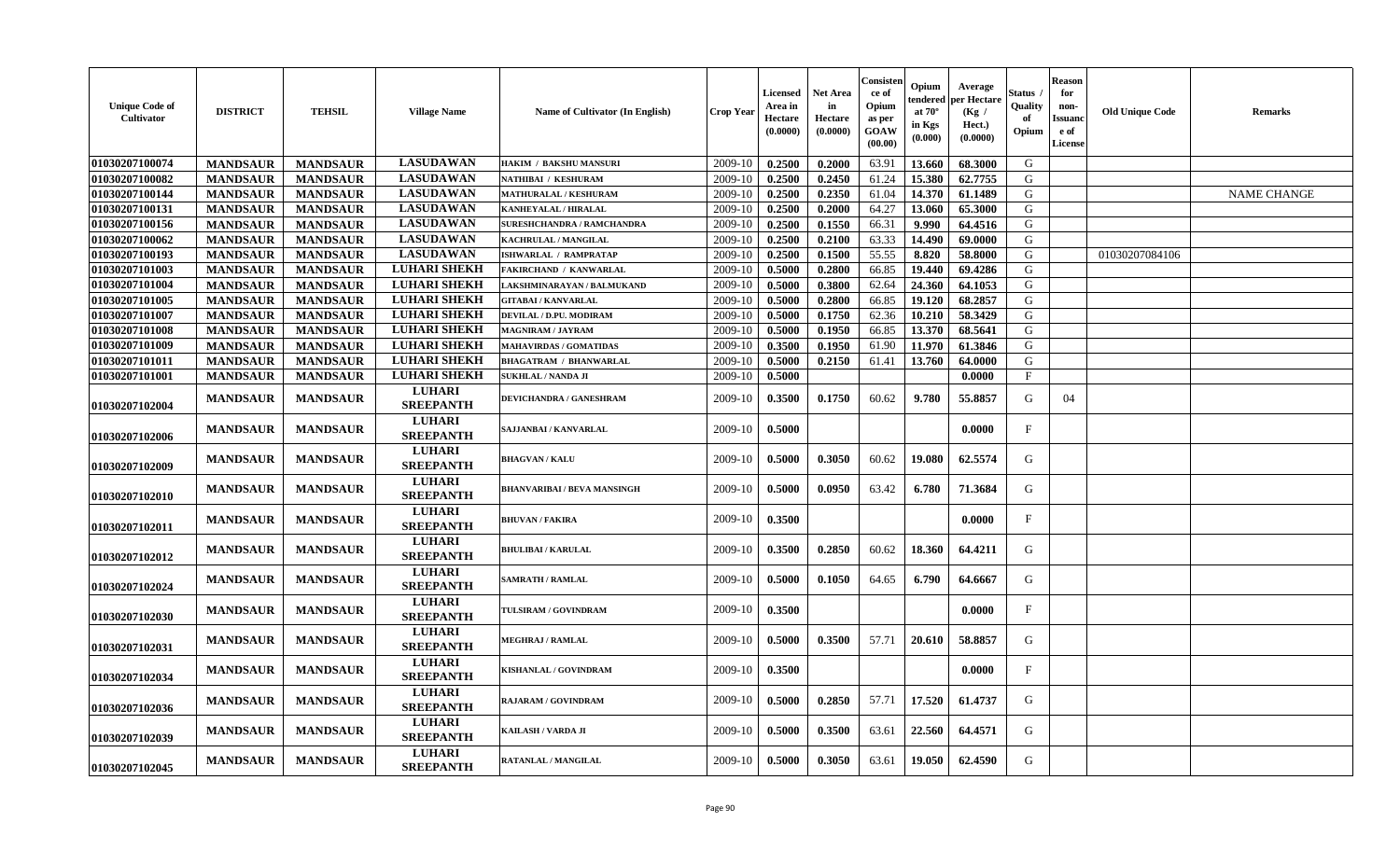| <b>Unique Code of</b><br>Cultivator | <b>DISTRICT</b> | <b>TEHSIL</b>   | <b>Village Name</b>               | <b>Name of Cultivator (In English)</b> | <b>Crop Year</b> | Licensed<br>Area in<br>Hectare<br>(0.0000) | <b>Net Area</b><br>in<br>Hectare<br>(0.0000) | Consisten<br>ce of<br>Opium<br>as per<br><b>GOAW</b><br>(00.00) | Opium<br>endered<br>at $70^\circ$<br>in Kgs<br>(0.000) | Average<br>per Hectare<br>(Kg /<br>Hect.)<br>(0.0000) | Status<br>Quality<br>оf<br>Opium | <b>Reason</b><br>for<br>non-<br><b>Issuanc</b><br>e of<br><b>License</b> | <b>Old Unique Code</b> | Remarks            |
|-------------------------------------|-----------------|-----------------|-----------------------------------|----------------------------------------|------------------|--------------------------------------------|----------------------------------------------|-----------------------------------------------------------------|--------------------------------------------------------|-------------------------------------------------------|----------------------------------|--------------------------------------------------------------------------|------------------------|--------------------|
| 01030207100074                      | <b>MANDSAUR</b> | <b>MANDSAUR</b> | <b>LASUDAWAN</b>                  | HAKIM / BAKSHU MANSURI                 | 2009-10          | 0.2500                                     | 0.2000                                       | 63.91                                                           | 13.660                                                 | 68.3000                                               | G                                |                                                                          |                        |                    |
| 01030207100082                      | <b>MANDSAUR</b> | <b>MANDSAUR</b> | <b>LASUDAWAN</b>                  | NATHIBAI / KESHURAM                    | 2009-10          | 0.2500                                     | 0.2450                                       | 61.24                                                           | 15.380                                                 | 62.7755                                               | G                                |                                                                          |                        |                    |
| 01030207100144                      | <b>MANDSAUR</b> | <b>MANDSAUR</b> | <b>LASUDAWAN</b>                  | <b>MATHURALAL / KESHURAM</b>           | 2009-10          | 0.2500                                     | 0.2350                                       | 61.04                                                           | 14.370                                                 | 61.1489                                               | G                                |                                                                          |                        | <b>NAME CHANGE</b> |
| 01030207100131                      | <b>MANDSAUR</b> | <b>MANDSAUR</b> | <b>LASUDAWAN</b>                  | KANHEYALAL / HIRALAL                   | 2009-10          | 0.2500                                     | 0.2000                                       | 64.27                                                           | 13.060                                                 | 65.3000                                               | G                                |                                                                          |                        |                    |
| 01030207100156                      | <b>MANDSAUR</b> | <b>MANDSAUR</b> | <b>LASUDAWAN</b>                  | <b>SURESHCHANDRA / RAMCHANDRA</b>      | 2009-10          | 0.2500                                     | 0.1550                                       | 66.31                                                           | 9.990                                                  | 64.4516                                               | G                                |                                                                          |                        |                    |
| 01030207100062                      | <b>MANDSAUR</b> | <b>MANDSAUR</b> | <b>LASUDAWAN</b>                  | KACHRULAL / MANGILAL                   | 2009-10          | 0.2500                                     | 0.2100                                       | 63.33                                                           | 14.490                                                 | 69.0000                                               | G                                |                                                                          |                        |                    |
| 01030207100193                      | <b>MANDSAUR</b> | <b>MANDSAUR</b> | <b>LASUDAWAN</b>                  | <b>ISHWARLAL / RAMPRATAP</b>           | 2009-10          | 0.2500                                     | 0.1500                                       | 55.55                                                           | 8.820                                                  | 58.8000                                               | G                                |                                                                          | 01030207084106         |                    |
| 01030207101003                      | <b>MANDSAUR</b> | <b>MANDSAUR</b> | <b>LUHARI SHEKH</b>               | <b>FAKIRCHAND / KANWARLAL</b>          | 2009-10          | 0.5000                                     | 0.2800                                       | 66.85                                                           | 19.440                                                 | 69.4286                                               | G                                |                                                                          |                        |                    |
| 01030207101004                      | <b>MANDSAUR</b> | <b>MANDSAUR</b> | <b>LUHARI SHEKH</b>               | LAKSHMINARAYAN / BALMUKAND             | 2009-10          | 0.5000                                     | 0.3800                                       | 62.64                                                           | 24.360                                                 | 64.1053                                               | G                                |                                                                          |                        |                    |
| 01030207101005                      | <b>MANDSAUR</b> | <b>MANDSAUR</b> | <b>LUHARI SHEKH</b>               | <b>GITABAI/KANVARLAL</b>               | 2009-10          | 0.5000                                     | 0.2800                                       | 66.85                                                           | 19.120                                                 | 68.2857                                               | G                                |                                                                          |                        |                    |
| 01030207101007                      | <b>MANDSAUR</b> | <b>MANDSAUR</b> | <b>LUHARI SHEKH</b>               | DEVILAL / D.PU. MODIRAM                | 2009-10          | 0.5000                                     | 0.1750                                       | 62.36                                                           | 10.210                                                 | 58.3429                                               | G                                |                                                                          |                        |                    |
| 01030207101008                      | <b>MANDSAUR</b> | <b>MANDSAUR</b> | <b>LUHARI SHEKH</b>               | <b>MAGNIRAM / JAYRAM</b>               | 2009-10          | 0.5000                                     | 0.1950                                       | 66.85                                                           | 13.370                                                 | 68.5641                                               | ${\bf G}$                        |                                                                          |                        |                    |
| 01030207101009                      | <b>MANDSAUR</b> | <b>MANDSAUR</b> | <b>LUHARI SHEKH</b>               | <b>MAHAVIRDAS / GOMATIDAS</b>          | 2009-10          | 0.3500                                     | 0.1950                                       | 61.90                                                           | 11.970                                                 | 61.3846                                               | G                                |                                                                          |                        |                    |
| 01030207101011                      | <b>MANDSAUR</b> | <b>MANDSAUR</b> | <b>LUHARI SHEKH</b>               | <b>BHAGATRAM / BHANWARLAL</b>          | 2009-10          | 0.5000                                     | 0.2150                                       | 61.41                                                           | 13.760                                                 | 64.0000                                               | G                                |                                                                          |                        |                    |
| 01030207101001                      | <b>MANDSAUR</b> | <b>MANDSAUR</b> | <b>LUHARI SHEKH</b>               | <b>SUKHLAL / NANDA JI</b>              | 2009-10          | 0.5000                                     |                                              |                                                                 |                                                        | 0.0000                                                | $\mathbf{F}$                     |                                                                          |                        |                    |
| 01030207102004                      | <b>MANDSAUR</b> | <b>MANDSAUR</b> | <b>LUHARI</b><br><b>SREEPANTH</b> | DEVICHANDRA / GANESHRAM                | 2009-10          | 0.3500                                     | 0.1750                                       | 60.62                                                           | 9.780                                                  | 55,8857                                               | G                                | 04                                                                       |                        |                    |
| 01030207102006                      | <b>MANDSAUR</b> | <b>MANDSAUR</b> | <b>LUHARI</b><br><b>SREEPANTH</b> | SAJJANBAI / KANVARLAL                  | 2009-10          | 0.5000                                     |                                              |                                                                 |                                                        | 0.0000                                                | $\mathbf F$                      |                                                                          |                        |                    |
| 01030207102009                      | <b>MANDSAUR</b> | <b>MANDSAUR</b> | <b>LUHARI</b><br><b>SREEPANTH</b> | <b>BHAGVAN / KALU</b>                  | 2009-10          | 0.5000                                     | 0.3050                                       | 60.62                                                           | 19.080                                                 | 62.5574                                               | G                                |                                                                          |                        |                    |
| 01030207102010                      | <b>MANDSAUR</b> | <b>MANDSAUR</b> | <b>LUHARI</b><br><b>SREEPANTH</b> | <b>BHANVARIBAI / BEVA MANSINGH</b>     | 2009-10          | 0.5000                                     | 0.0950                                       | 63.42                                                           | 6.780                                                  | 71.3684                                               | G                                |                                                                          |                        |                    |
| 01030207102011                      | <b>MANDSAUR</b> | <b>MANDSAUR</b> | <b>LUHARI</b><br><b>SREEPANTH</b> | <b>BHUVAN / FAKIRA</b>                 | 2009-10          | 0.3500                                     |                                              |                                                                 |                                                        | 0.0000                                                | $\mathbf{F}$                     |                                                                          |                        |                    |
| 01030207102012                      | <b>MANDSAUR</b> | <b>MANDSAUR</b> | <b>LUHARI</b><br><b>SREEPANTH</b> | <b>BHULIBAI / KARULAL</b>              | 2009-10          | 0.3500                                     | 0.2850                                       | 60.62                                                           | 18.360                                                 | 64.4211                                               | G                                |                                                                          |                        |                    |
| 01030207102024                      | <b>MANDSAUR</b> | <b>MANDSAUR</b> | <b>LUHARI</b><br><b>SREEPANTH</b> | <b>SAMRATH / RAMLAL</b>                | 2009-10          | 0.5000                                     | 0.1050                                       | 64.65                                                           | 6.790                                                  | 64.6667                                               | G                                |                                                                          |                        |                    |
| 01030207102030                      | <b>MANDSAUR</b> | <b>MANDSAUR</b> | <b>LUHARI</b><br><b>SREEPANTH</b> | TULSIRAM / GOVINDRAM                   | 2009-10          | 0.3500                                     |                                              |                                                                 |                                                        | 0.0000                                                | F                                |                                                                          |                        |                    |
| 01030207102031                      | <b>MANDSAUR</b> | <b>MANDSAUR</b> | <b>LUHARI</b><br><b>SREEPANTH</b> | <b>MEGHRAJ / RAMLAL</b>                | 2009-10          | 0.5000                                     | 0.3500                                       | 57.71                                                           | 20.610                                                 | 58.8857                                               | G                                |                                                                          |                        |                    |
| <b>01030207102034</b>               | <b>MANDSAUR</b> | <b>MANDSAUR</b> | <b>LUHARI</b><br><b>SREEPANTH</b> | KISHANLAL / GOVINDRAM                  | 2009-10          | 0.3500                                     |                                              |                                                                 |                                                        | 0.0000                                                | $\mathbf{F}$                     |                                                                          |                        |                    |
| 01030207102036                      | <b>MANDSAUR</b> | <b>MANDSAUR</b> | <b>LUHARI</b><br><b>SREEPANTH</b> | RAJARAM / GOVINDRAM                    | 2009-10          | 0.5000                                     | 0.2850                                       | 57.71                                                           | 17.520                                                 | 61.4737                                               | G                                |                                                                          |                        |                    |
| 01030207102039                      | <b>MANDSAUR</b> | <b>MANDSAUR</b> | <b>LUHARI</b><br><b>SREEPANTH</b> | KAILASH / VARDA JI                     | 2009-10          | 0.5000                                     | 0.3500                                       | 63.61                                                           | 22.560                                                 | 64.4571                                               | G                                |                                                                          |                        |                    |
| 01030207102045                      | <b>MANDSAUR</b> | <b>MANDSAUR</b> | <b>LUHARI</b><br><b>SREEPANTH</b> | RATANLAL / MANGILAL                    | 2009-10          | 0.5000                                     | 0.3050                                       | 63.61                                                           | 19.050                                                 | 62.4590                                               | G                                |                                                                          |                        |                    |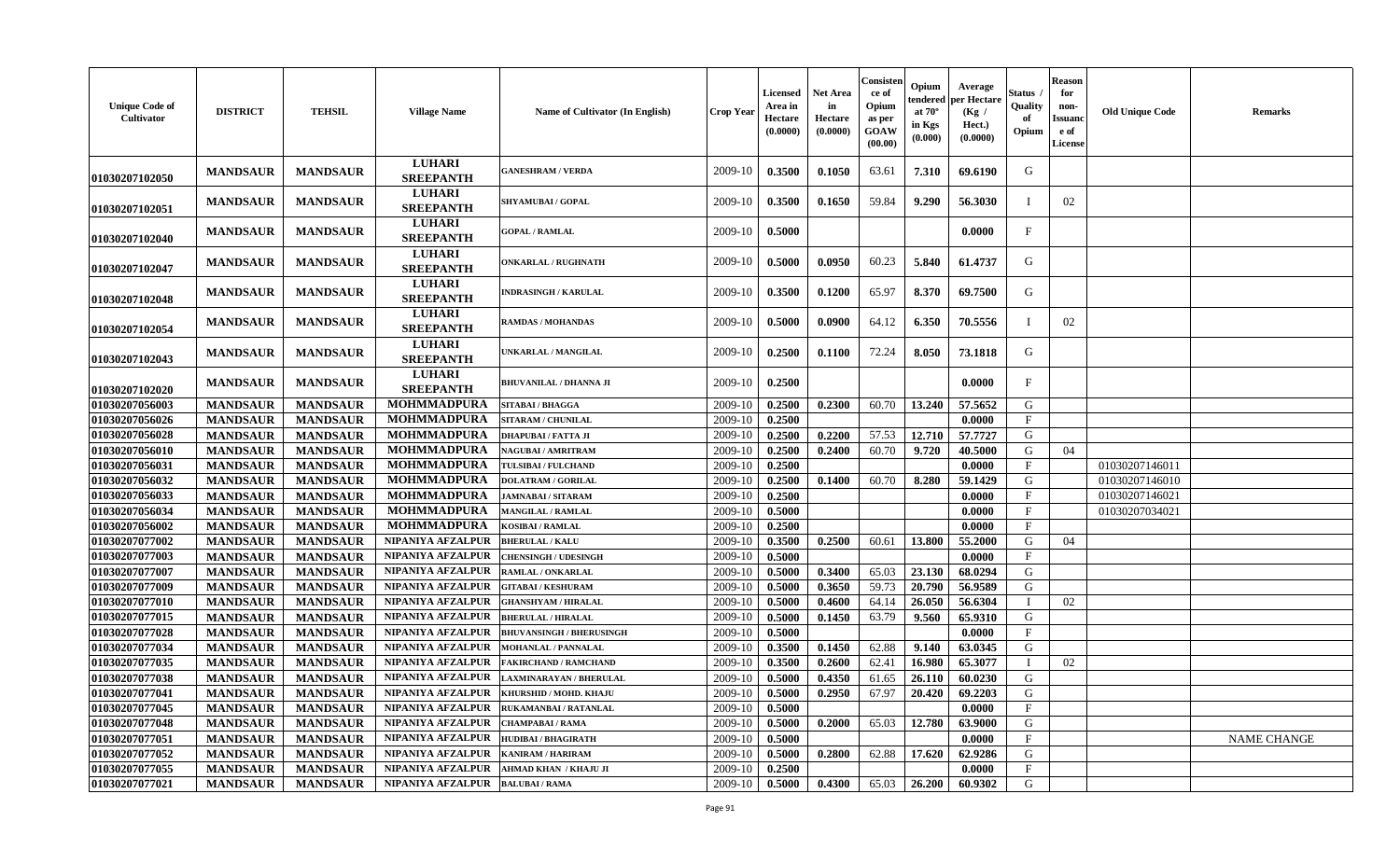| <b>Unique Code of</b><br>Cultivator | <b>DISTRICT</b> | <b>TEHSIL</b>   | <b>Village Name</b>               | Name of Cultivator (In English) | <b>Crop Year</b> | <b>Licensed</b><br>Area in<br>Hectare<br>(0.0000) | <b>Net Area</b><br>in<br>Hectare<br>(0.0000) | Consisten<br>ce of<br>Opium<br>as per<br>GOAW<br>(00.00) | Opium<br>tendered<br>at $70^\circ$<br>in Kgs<br>(0.000) | Average<br>per Hectare<br>(Kg /<br>Hect.)<br>(0.0000) | Status<br>Quality<br>of<br>Opium | <b>Reason</b><br>for<br>non-<br><b>Issuand</b><br>e of<br>License | <b>Old Unique Code</b> | <b>Remarks</b>     |
|-------------------------------------|-----------------|-----------------|-----------------------------------|---------------------------------|------------------|---------------------------------------------------|----------------------------------------------|----------------------------------------------------------|---------------------------------------------------------|-------------------------------------------------------|----------------------------------|-------------------------------------------------------------------|------------------------|--------------------|
| 01030207102050                      | <b>MANDSAUR</b> | <b>MANDSAUR</b> | <b>LUHARI</b><br><b>SREEPANTH</b> | <b>GANESHRAM / VERDA</b>        | 2009-10          | 0.3500                                            | 0.1050                                       | 63.61                                                    | 7.310                                                   | 69.6190                                               | G                                |                                                                   |                        |                    |
| 01030207102051                      | <b>MANDSAUR</b> | <b>MANDSAUR</b> | <b>LUHARI</b><br><b>SREEPANTH</b> | <b>SHYAMUBAI / GOPAL</b>        | 2009-10          | 0.3500                                            | 0.1650                                       | 59.84                                                    | 9.290                                                   | 56.3030                                               |                                  | 02                                                                |                        |                    |
| 01030207102040                      | <b>MANDSAUR</b> | <b>MANDSAUR</b> | <b>LUHARI</b><br><b>SREEPANTH</b> | <b>GOPAL / RAMLAL</b>           | 2009-10          | 0.5000                                            |                                              |                                                          |                                                         | 0.0000                                                | F                                |                                                                   |                        |                    |
| 01030207102047                      | <b>MANDSAUR</b> | <b>MANDSAUR</b> | <b>LUHARI</b><br><b>SREEPANTH</b> | <b>ONKARLAL / RUGHNATH</b>      | 2009-10          | 0.5000                                            | 0.0950                                       | 60.23                                                    | 5.840                                                   | 61.4737                                               | G                                |                                                                   |                        |                    |
| 01030207102048                      | <b>MANDSAUR</b> | <b>MANDSAUR</b> | <b>LUHARI</b><br><b>SREEPANTH</b> | <b>INDRASINGH / KARULAL</b>     | 2009-10          | 0.3500                                            | 0.1200                                       | 65.97                                                    | 8.370                                                   | 69.7500                                               | G                                |                                                                   |                        |                    |
| 01030207102054                      | <b>MANDSAUR</b> | <b>MANDSAUR</b> | <b>LUHARI</b><br><b>SREEPANTH</b> | <b>RAMDAS / MOHANDAS</b>        | 2009-10          | 0.5000                                            | 0.0900                                       | 64.12                                                    | 6.350                                                   | 70.5556                                               | T                                | 02                                                                |                        |                    |
| 01030207102043                      | <b>MANDSAUR</b> | <b>MANDSAUR</b> | <b>LUHARI</b><br><b>SREEPANTH</b> | UNKARLAL / MANGILAL             | 2009-10          | 0.2500                                            | 0.1100                                       | 72.24                                                    | 8.050                                                   | 73.1818                                               | G                                |                                                                   |                        |                    |
| 01030207102020                      | <b>MANDSAUR</b> | <b>MANDSAUR</b> | <b>LUHARI</b><br><b>SREEPANTH</b> | <b>BHUVANILAL / DHANNA JI</b>   | 2009-10          | 0.2500                                            |                                              |                                                          |                                                         | 0.0000                                                | $\mathbf{F}$                     |                                                                   |                        |                    |
| 01030207056003                      | <b>MANDSAUR</b> | <b>MANDSAUR</b> | <b>MOHMMADPURA</b>                | <b>SITABAI/BHAGGA</b>           | 2009-10          | 0.2500                                            | 0.2300                                       | 60.70                                                    | 13.240                                                  | 57.5652                                               | G                                |                                                                   |                        |                    |
| 01030207056026                      | <b>MANDSAUR</b> | <b>MANDSAUR</b> | <b>MOHMMADPURA</b>                | <b>SITARAM / CHUNILAL</b>       | 2009-10          | 0.2500                                            |                                              |                                                          |                                                         | 0.0000                                                | F                                |                                                                   |                        |                    |
| 01030207056028                      | <b>MANDSAUR</b> | <b>MANDSAUR</b> | <b>MOHMMADPURA</b>                | <b>DHAPUBAI / FATTA JI</b>      | 2009-10          | 0.2500                                            | 0.2200                                       | 57.53                                                    | 12.710                                                  | 57.7727                                               | G                                |                                                                   |                        |                    |
| 01030207056010                      | <b>MANDSAUR</b> | <b>MANDSAUR</b> | <b>MOHMMADPURA</b>                | <b>NAGUBAI/AMRITRAM</b>         | 2009-10          | 0.2500                                            | 0.2400                                       | 60.70                                                    | 9.720                                                   | 40.5000                                               | G                                | 04                                                                |                        |                    |
| 01030207056031                      | <b>MANDSAUR</b> | <b>MANDSAUR</b> | <b>MOHMMADPURA</b>                | TULSIBAI / FULCHAND             | 2009-10          | 0.2500                                            |                                              |                                                          |                                                         | 0.0000                                                | F                                |                                                                   | 01030207146011         |                    |
| 01030207056032                      | <b>MANDSAUR</b> | <b>MANDSAUR</b> | <b>MOHMMADPURA</b>                | <b>DOLATRAM / GORILAL</b>       | 2009-10          | 0.2500                                            | 0.1400                                       | 60.70                                                    | 8.280                                                   | 59.1429                                               | G                                |                                                                   | 01030207146010         |                    |
| 01030207056033                      | <b>MANDSAUR</b> | <b>MANDSAUR</b> | <b>MOHMMADPURA</b>                | <b>JAMNABAI/SITARAM</b>         | 2009-10          | 0.2500                                            |                                              |                                                          |                                                         | 0.0000                                                | $\mathbf{F}$                     |                                                                   | 01030207146021         |                    |
| 01030207056034                      | <b>MANDSAUR</b> | <b>MANDSAUR</b> | <b>MOHMMADPURA</b>                | MANGILAL / RAMLAL               | 2009-10          | 0.5000                                            |                                              |                                                          |                                                         | 0.0000                                                | F                                |                                                                   | 01030207034021         |                    |
| 01030207056002                      | <b>MANDSAUR</b> | <b>MANDSAUR</b> | <b>MOHMMADPURA</b>                | KOSIBAI / RAMLAL                | 2009-10          | 0.2500                                            |                                              |                                                          |                                                         | 0.0000                                                | F                                |                                                                   |                        |                    |
| 01030207077002                      | <b>MANDSAUR</b> | <b>MANDSAUR</b> | NIPANIYA AFZALPUR                 | <b>BHERULAL / KALU</b>          | 2009-10          | 0.3500                                            | 0.2500                                       | 60.61                                                    | 13.800                                                  | 55.2000                                               | G                                | 04                                                                |                        |                    |
| 01030207077003                      | <b>MANDSAUR</b> | <b>MANDSAUR</b> | NIPANIYA AFZALPUR                 | <b>CHENSINGH / UDESINGH</b>     | 2009-10          | 0.5000                                            |                                              |                                                          |                                                         | 0.0000                                                | $_{\rm F}$                       |                                                                   |                        |                    |
| 01030207077007                      | <b>MANDSAUR</b> | <b>MANDSAUR</b> | NIPANIYA AFZALPUR                 | RAMLAL / ONKARLAL               | 2009-10          | 0.5000                                            | 0.3400                                       | 65.03                                                    | 23.130                                                  | 68.0294                                               | G                                |                                                                   |                        |                    |
| 01030207077009                      | <b>MANDSAUR</b> | <b>MANDSAUR</b> | <b>NIPANIYA AFZALPUR</b>          | <b>GITABAI/KESHURAM</b>         | 2009-10          | 0.5000                                            | 0.3650                                       | 59.73                                                    | 20.790                                                  | 56.9589                                               | G                                |                                                                   |                        |                    |
| 01030207077010                      | <b>MANDSAUR</b> | <b>MANDSAUR</b> | NIPANIYA AFZALPUR                 | <b>GHANSHYAM / HIRALAL</b>      | 2009-10          | 0.5000                                            | 0.4600                                       | 64.14                                                    | 26.050                                                  | 56.6304                                               | П                                | 02                                                                |                        |                    |
| 01030207077015                      | <b>MANDSAUR</b> | <b>MANDSAUR</b> | NIPANIYA AFZALPUR                 | <b>BHERULAL / HIRALAL</b>       | 2009-10          | 0.5000                                            | 0.1450                                       | 63.79                                                    | 9.560                                                   | 65.9310                                               | G                                |                                                                   |                        |                    |
| 01030207077028                      | <b>MANDSAUR</b> | <b>MANDSAUR</b> | NIPANIYA AFZALPUR                 | <b>BHUVANSINGH / BHERUSINGH</b> | 2009-10          | 0.5000                                            |                                              |                                                          |                                                         | 0.0000                                                | $\mathbf{F}$                     |                                                                   |                        |                    |
| 01030207077034                      | <b>MANDSAUR</b> | <b>MANDSAUR</b> | NIPANIYA AFZALPUR                 | <b>MOHANLAL / PANNALAL</b>      | 2009-10          | 0.3500                                            | 0.1450                                       | 62.88                                                    | 9.140                                                   | 63.0345                                               | $\mathsf{G}$                     |                                                                   |                        |                    |
| 01030207077035                      | <b>MANDSAUR</b> | <b>MANDSAUR</b> | NIPANIYA AFZALPUR                 | <b>FAKIRCHAND / RAMCHAND</b>    | 2009-10          | 0.3500                                            | 0.2600                                       | 62.41                                                    | 16.980                                                  | 65.3077                                               |                                  | 02                                                                |                        |                    |
| 01030207077038                      | <b>MANDSAUR</b> | <b>MANDSAUR</b> | NIPANIYA AFZALPUR                 | LAXMINARAYAN / BHERULAL         | 2009-10          | 0.5000                                            | 0.4350                                       | 61.65                                                    | 26.110                                                  | 60.0230                                               | G                                |                                                                   |                        |                    |
| 01030207077041                      | <b>MANDSAUR</b> | <b>MANDSAUR</b> | NIPANIYA AFZALPUR                 | KHURSHID / MOHD. KHAJU          | 2009-10          | 0.5000                                            | 0.2950                                       | 67.97                                                    | 20.420                                                  | 69.2203                                               | G                                |                                                                   |                        |                    |
| 01030207077045                      | <b>MANDSAUR</b> | <b>MANDSAUR</b> | NIPANIYA AFZALPUR                 | RUKAMANBAI / RATANLAL           | 2009-10          | 0.5000                                            |                                              |                                                          |                                                         | 0.0000                                                | F                                |                                                                   |                        |                    |
| 01030207077048                      | <b>MANDSAUR</b> | <b>MANDSAUR</b> | NIPANIYA AFZALPUR                 | <b>CHAMPABAI/RAMA</b>           | 2009-10          | 0.5000                                            | 0.2000                                       | 65.03                                                    | 12.780                                                  | 63.9000                                               | G                                |                                                                   |                        |                    |
| 01030207077051                      | <b>MANDSAUR</b> | <b>MANDSAUR</b> | NIPANIYA AFZALPUR                 | <b>HUDIBAI/BHAGIRATH</b>        | 2009-10          | 0.5000                                            |                                              |                                                          |                                                         | 0.0000                                                | $\mathbf{F}$                     |                                                                   |                        | <b>NAME CHANGE</b> |
| 01030207077052                      | <b>MANDSAUR</b> | <b>MANDSAUR</b> | NIPANIYA AFZALPUR                 | KANIRAM / HARIRAM               | 2009-10          | 0.5000                                            | 0.2800                                       | 62.88                                                    | 17.620                                                  | 62.9286                                               | G                                |                                                                   |                        |                    |
| 01030207077055                      | <b>MANDSAUR</b> | <b>MANDSAUR</b> | NIPANIYA AFZALPUR                 | AHMAD KHAN / KHAJU JI           | 2009-10          | 0.2500                                            |                                              |                                                          |                                                         | 0.0000                                                | $F_{\perp}$                      |                                                                   |                        |                    |
| 01030207077021                      | <b>MANDSAUR</b> | <b>MANDSAUR</b> | NIPANIYA AFZALPUR                 | <b>BALUBAI/RAMA</b>             | 2009-10          | 0.5000                                            | 0.4300                                       | 65.03                                                    | 26.200                                                  | 60.9302                                               | G                                |                                                                   |                        |                    |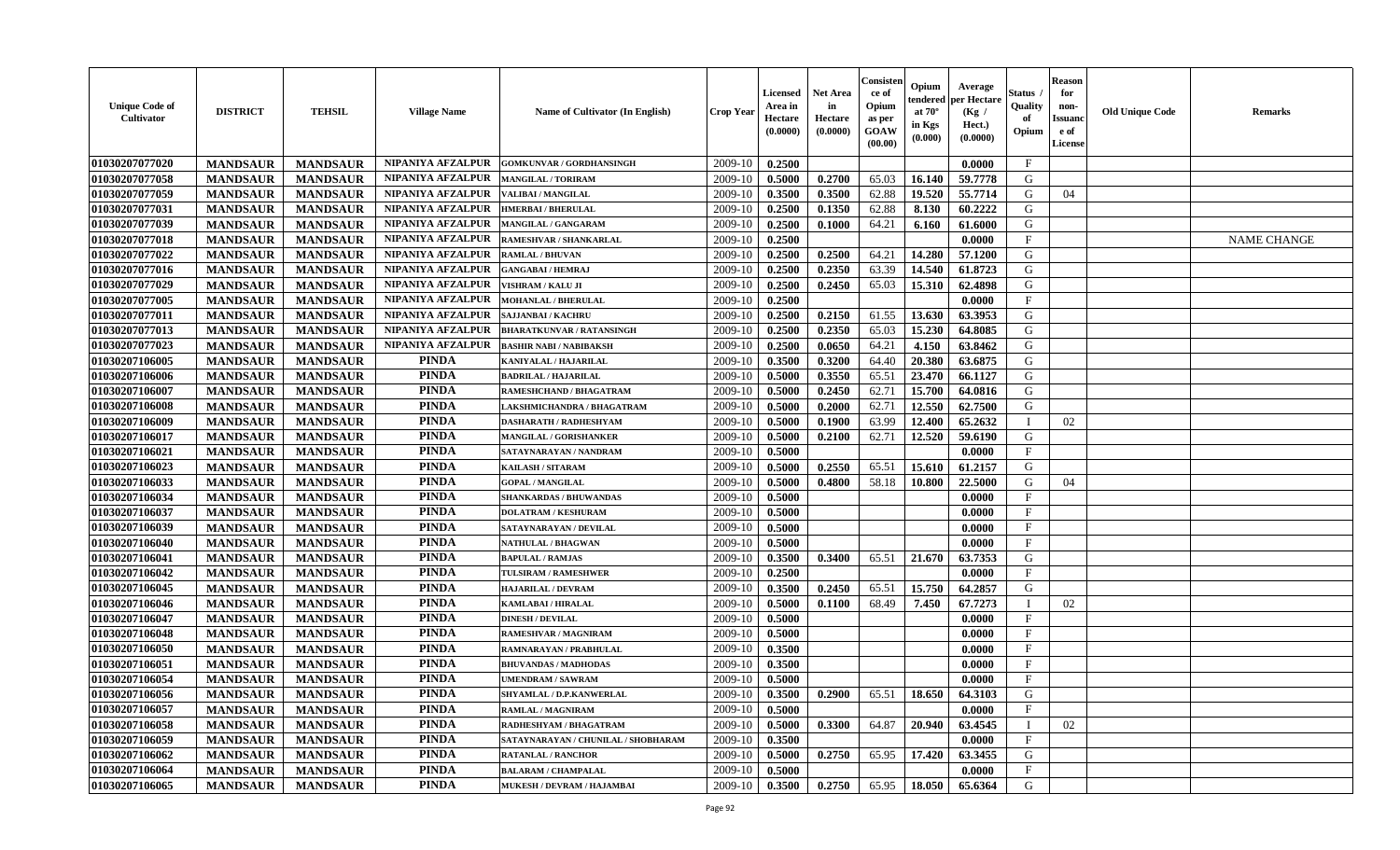| <b>Unique Code of</b><br><b>Cultivator</b> | <b>DISTRICT</b> | <b>TEHSIL</b>   | <b>Village Name</b>      | Name of Cultivator (In English)     | <b>Crop Year</b> | <b>Licensed</b><br>Area in<br>Hectare<br>(0.0000) | <b>Net Area</b><br>in<br>Hectare<br>(0.0000) | Consisteı<br>ce of<br>Opium<br>as per<br><b>GOAW</b><br>(00.00) | Opium<br>endered<br>at $70^\circ$<br>in Kgs<br>$(\mathbf{0.000})$ | Average<br>per Hectare<br>(Kg /<br>Hect.)<br>(0.0000) | Status<br>Quality<br>of<br>Opium | Reason<br>for<br>non-<br>Issuan<br>e of<br><b>License</b> | <b>Old Unique Code</b> | <b>Remarks</b>     |
|--------------------------------------------|-----------------|-----------------|--------------------------|-------------------------------------|------------------|---------------------------------------------------|----------------------------------------------|-----------------------------------------------------------------|-------------------------------------------------------------------|-------------------------------------------------------|----------------------------------|-----------------------------------------------------------|------------------------|--------------------|
| 01030207077020                             | <b>MANDSAUR</b> | <b>MANDSAUR</b> | NIPANIYA AFZALPUR        | <b>GOMKUNVAR / GORDHANSINGH</b>     | 2009-10          | 0.2500                                            |                                              |                                                                 |                                                                   | 0.0000                                                | $\mathbf{F}$                     |                                                           |                        |                    |
| 01030207077058                             | <b>MANDSAUR</b> | <b>MANDSAUR</b> | NIPANIYA AFZALPUR        | <b>MANGILAL / TORIRAM</b>           | 2009-10          | 0.5000                                            | 0.2700                                       | 65.03                                                           | 16.140                                                            | 59.7778                                               | G                                |                                                           |                        |                    |
| 01030207077059                             | <b>MANDSAUR</b> | <b>MANDSAUR</b> | NIPANIYA AFZALPUR        | <b>VALIBAI/MANGILAL</b>             | 2009-10          | 0.3500                                            | 0.3500                                       | 62.88                                                           | 19.520                                                            | 55.7714                                               | G                                | 04                                                        |                        |                    |
| 01030207077031                             | <b>MANDSAUR</b> | <b>MANDSAUR</b> | NIPANIYA AFZALPUR        | <b>HMERBAI/BHERULAL</b>             | 2009-10          | 0.2500                                            | 0.1350                                       | 62.88                                                           | 8.130                                                             | 60.2222                                               | G                                |                                                           |                        |                    |
| 01030207077039                             | <b>MANDSAUR</b> | <b>MANDSAUR</b> | NIPANIYA AFZALPUR        | MANGILAL / GANGARAM                 | 2009-10          | 0.2500                                            | 0.1000                                       | 64.21                                                           | 6.160                                                             | 61.6000                                               | G                                |                                                           |                        |                    |
| 01030207077018                             | <b>MANDSAUR</b> | <b>MANDSAUR</b> | NIPANIYA AFZALPUR        | RAMESHVAR / SHANKARLAL              | 2009-10          | 0.2500                                            |                                              |                                                                 |                                                                   | 0.0000                                                | $_{\rm F}$                       |                                                           |                        | <b>NAME CHANGE</b> |
| 01030207077022                             | <b>MANDSAUR</b> | <b>MANDSAUR</b> | <b>NIPANIYA AFZALPUR</b> | <b>RAMLAL / BHUVAN</b>              | 2009-10          | 0.2500                                            | 0.2500                                       | 64.21                                                           | 14.280                                                            | 57.1200                                               | G                                |                                                           |                        |                    |
| 01030207077016                             | <b>MANDSAUR</b> | <b>MANDSAUR</b> | NIPANIYA AFZALPUR        | <b>GANGABAI / HEMRAJ</b>            | 2009-10          | 0.2500                                            | 0.2350                                       | 63.39                                                           | 14.540                                                            | 61.8723                                               | G                                |                                                           |                        |                    |
| 01030207077029                             | <b>MANDSAUR</b> | <b>MANDSAUR</b> | NIPANIYA AFZALPUR        | <b>VISHRAM / KALU JI</b>            | 2009-10          | 0.2500                                            | 0.2450                                       | 65.03                                                           | 15.310                                                            | 62.4898                                               | G                                |                                                           |                        |                    |
| 01030207077005                             | <b>MANDSAUR</b> | <b>MANDSAUR</b> | NIPANIYA AFZALPUR        | MOHANLAL / BHERULAL                 | 2009-10          | 0.2500                                            |                                              |                                                                 |                                                                   | 0.0000                                                | $\mathbf{F}$                     |                                                           |                        |                    |
| 01030207077011                             | <b>MANDSAUR</b> | <b>MANDSAUR</b> | NIPANIYA AFZALPUR        | SAJJANBAI / KACHRU                  | 2009-10          | 0.2500                                            | 0.2150                                       | 61.55                                                           | 13.630                                                            | 63.3953                                               | G                                |                                                           |                        |                    |
| 01030207077013                             | <b>MANDSAUR</b> | <b>MANDSAUR</b> | NIPANIYA AFZALPUR        | <b>BHARATKUNVAR / RATANSINGH</b>    | 2009-10          | 0.2500                                            | 0.2350                                       | 65.03                                                           | 15.230                                                            | 64.8085                                               | G                                |                                                           |                        |                    |
| 01030207077023                             | <b>MANDSAUR</b> | <b>MANDSAUR</b> | NIPANIYA AFZALPUR        | <b>BASHIR NABI / NABIBAKSH</b>      | 2009-10          | 0.2500                                            | 0.0650                                       | 64.21                                                           | 4.150                                                             | 63.8462                                               | G                                |                                                           |                        |                    |
| 01030207106005                             | <b>MANDSAUR</b> | <b>MANDSAUR</b> | <b>PINDA</b>             | KANIYALAL / HAJARILAL               | 2009-10          | 0.3500                                            | 0.3200                                       | 64.40                                                           | 20.380                                                            | 63.6875                                               | G                                |                                                           |                        |                    |
| 01030207106006                             | <b>MANDSAUR</b> | <b>MANDSAUR</b> | <b>PINDA</b>             | <b>BADRILAL / HAJARILAL</b>         | 2009-10          | 0.5000                                            | 0.3550                                       | 65.51                                                           | 23.470                                                            | 66.1127                                               | G                                |                                                           |                        |                    |
| 01030207106007                             | <b>MANDSAUR</b> | <b>MANDSAUR</b> | <b>PINDA</b>             | RAMESHCHAND / BHAGATRAM             | 2009-10          | 0.5000                                            | 0.2450                                       | 62.71                                                           | 15.700                                                            | 64.0816                                               | G                                |                                                           |                        |                    |
| 01030207106008                             | <b>MANDSAUR</b> | <b>MANDSAUR</b> | <b>PINDA</b>             | LAKSHMICHANDRA / BHAGATRAM          | 2009-10          | 0.5000                                            | 0.2000                                       | 62.71                                                           | 12.550                                                            | 62.7500                                               | G                                |                                                           |                        |                    |
| 01030207106009                             | <b>MANDSAUR</b> | <b>MANDSAUR</b> | <b>PINDA</b>             | DASHARATH / RADHESHYAM              | 2009-10          | 0.5000                                            | 0.1900                                       | 63.99                                                           | 12.400                                                            | 65.2632                                               | П                                | 02                                                        |                        |                    |
| 01030207106017                             | <b>MANDSAUR</b> | <b>MANDSAUR</b> | <b>PINDA</b>             | <b>MANGILAL / GORISHANKER</b>       | 2009-10          | 0.5000                                            | 0.2100                                       | 62.71                                                           | 12.520                                                            | 59.6190                                               | G                                |                                                           |                        |                    |
| 01030207106021                             | <b>MANDSAUR</b> | <b>MANDSAUR</b> | <b>PINDA</b>             | SATAYNARAYAN / NANDRAM              | 2009-10          | 0.5000                                            |                                              |                                                                 |                                                                   | 0.0000                                                | $_{\rm F}$                       |                                                           |                        |                    |
| 01030207106023                             | <b>MANDSAUR</b> | <b>MANDSAUR</b> | <b>PINDA</b>             | <b>KAILASH / SITARAM</b>            | 2009-10          | 0.5000                                            | 0.2550                                       | 65.51                                                           | 15.610                                                            | 61.2157                                               | G                                |                                                           |                        |                    |
| 01030207106033                             | <b>MANDSAUR</b> | <b>MANDSAUR</b> | <b>PINDA</b>             | <b>GOPAL / MANGILAL</b>             | 2009-10          | 0.5000                                            | 0.4800                                       | 58.18                                                           | 10.800                                                            | 22.5000                                               | G                                | 04                                                        |                        |                    |
| 01030207106034                             | <b>MANDSAUR</b> | <b>MANDSAUR</b> | <b>PINDA</b>             | <b>SHANKARDAS / BHUWANDAS</b>       | 2009-10          | 0.5000                                            |                                              |                                                                 |                                                                   | 0.0000                                                | $\mathbf{F}$                     |                                                           |                        |                    |
| 01030207106037                             | <b>MANDSAUR</b> | <b>MANDSAUR</b> | <b>PINDA</b>             | <b>DOLATRAM / KESHURAM</b>          | 2009-10          | 0.5000                                            |                                              |                                                                 |                                                                   | 0.0000                                                | $\mathbf{F}$                     |                                                           |                        |                    |
| 01030207106039                             | <b>MANDSAUR</b> | <b>MANDSAUR</b> | <b>PINDA</b>             | SATAYNARAYAN / DEVILAL              | 2009-10          | 0.5000                                            |                                              |                                                                 |                                                                   | 0.0000                                                | $\mathbf{F}$                     |                                                           |                        |                    |
| 01030207106040                             | <b>MANDSAUR</b> | <b>MANDSAUR</b> | <b>PINDA</b>             | <b>NATHULAL / BHAGWAN</b>           | 2009-10          | 0.5000                                            |                                              |                                                                 |                                                                   | 0.0000                                                | $\mathbf{F}$                     |                                                           |                        |                    |
| 01030207106041                             | <b>MANDSAUR</b> | <b>MANDSAUR</b> | <b>PINDA</b>             | <b>BAPULAL / RAMJAS</b>             | 2009-10          | 0.3500                                            | 0.3400                                       | 65.51                                                           | 21.670                                                            | 63.7353                                               | G                                |                                                           |                        |                    |
| 01030207106042                             | <b>MANDSAUR</b> | <b>MANDSAUR</b> | <b>PINDA</b>             | TULSIRAM / RAMESHWER                | 2009-10          | 0.2500                                            |                                              |                                                                 |                                                                   | 0.0000                                                | $\mathbf{F}$                     |                                                           |                        |                    |
| 01030207106045                             | <b>MANDSAUR</b> | <b>MANDSAUR</b> | <b>PINDA</b>             | <b>HAJARILAL / DEVRAM</b>           | 2009-10          | 0.3500                                            | 0.2450                                       | 65.51                                                           | 15.750                                                            | 64.2857                                               | G                                |                                                           |                        |                    |
| 01030207106046                             | <b>MANDSAUR</b> | <b>MANDSAUR</b> | <b>PINDA</b>             | KAMLABAI / HIRALAL                  | 2009-10          | 0.5000                                            | 0.1100                                       | 68.49                                                           | 7.450                                                             | 67.7273                                               |                                  | 02                                                        |                        |                    |
| 01030207106047                             | <b>MANDSAUR</b> | <b>MANDSAUR</b> | <b>PINDA</b>             | <b>DINESH / DEVILAL</b>             | 2009-10          | 0.5000                                            |                                              |                                                                 |                                                                   | 0.0000                                                | $\mathbf{F}$                     |                                                           |                        |                    |
| 01030207106048                             | <b>MANDSAUR</b> | <b>MANDSAUR</b> | <b>PINDA</b>             | RAMESHVAR / MAGNIRAM                | 2009-10          | 0.5000                                            |                                              |                                                                 |                                                                   | 0.0000                                                | $\mathbf{F}$                     |                                                           |                        |                    |
| 01030207106050                             | <b>MANDSAUR</b> | <b>MANDSAUR</b> | <b>PINDA</b>             | RAMNARAYAN / PRABHULAL              | 2009-10          | 0.3500                                            |                                              |                                                                 |                                                                   | 0.0000                                                | $\mathbf{F}$                     |                                                           |                        |                    |
| 01030207106051                             | <b>MANDSAUR</b> | <b>MANDSAUR</b> | <b>PINDA</b>             | <b>BHUVANDAS / MADHODAS</b>         | 2009-10          | 0.3500                                            |                                              |                                                                 |                                                                   | 0.0000                                                | $_{\rm F}$                       |                                                           |                        |                    |
| 01030207106054                             | <b>MANDSAUR</b> | <b>MANDSAUR</b> | PINDA                    | <b>UMENDRAM / SAWRAM</b>            | 2009-10          | 0.5000                                            |                                              |                                                                 |                                                                   | 0.0000                                                | $\mathbf{F}$                     |                                                           |                        |                    |
| 01030207106056                             | <b>MANDSAUR</b> | <b>MANDSAUR</b> | <b>PINDA</b>             | SHYAMLAL / D.P.KANWERLAL            | $2009-10$ 0.3500 |                                                   | 0.2900                                       |                                                                 |                                                                   | $65.51$   18.650   64.3103                            | G                                |                                                           |                        |                    |
| 01030207106057                             | <b>MANDSAUR</b> | <b>MANDSAUR</b> | <b>PINDA</b>             | RAMLAL / MAGNIRAM                   | 2009-10          | 0.5000                                            |                                              |                                                                 |                                                                   | 0.0000                                                | F.                               |                                                           |                        |                    |
| 01030207106058                             | <b>MANDSAUR</b> | <b>MANDSAUR</b> | <b>PINDA</b>             | RADHESHYAM / BHAGATRAM              | 2009-10          | 0.5000                                            | 0.3300                                       | 64.87                                                           | 20.940                                                            | 63.4545                                               |                                  | 02                                                        |                        |                    |
| 01030207106059                             | <b>MANDSAUR</b> | <b>MANDSAUR</b> | <b>PINDA</b>             | SATAYNARAYAN / CHUNILAL / SHOBHARAM | 2009-10          | 0.3500                                            |                                              |                                                                 |                                                                   | 0.0000                                                | $\mathbf{F}$                     |                                                           |                        |                    |
| 01030207106062                             | <b>MANDSAUR</b> | <b>MANDSAUR</b> | <b>PINDA</b>             | <b>RATANLAL / RANCHOR</b>           | 2009-10          | 0.5000                                            | 0.2750                                       | 65.95                                                           | 17.420                                                            | 63.3455                                               | G                                |                                                           |                        |                    |
| 01030207106064                             | <b>MANDSAUR</b> | <b>MANDSAUR</b> | <b>PINDA</b>             | <b>BALARAM / CHAMPALAL</b>          | 2009-10          | 0.5000                                            |                                              |                                                                 |                                                                   | 0.0000                                                | $\mathbf{F}$                     |                                                           |                        |                    |
| 01030207106065                             | <b>MANDSAUR</b> | <b>MANDSAUR</b> | <b>PINDA</b>             | MUKESH / DEVRAM / HAJAMBAI          | 2009-10          | 0.3500                                            | 0.2750                                       | 65.95                                                           | 18.050                                                            | 65.6364                                               | G                                |                                                           |                        |                    |
|                                            |                 |                 |                          |                                     |                  |                                                   |                                              |                                                                 |                                                                   |                                                       |                                  |                                                           |                        |                    |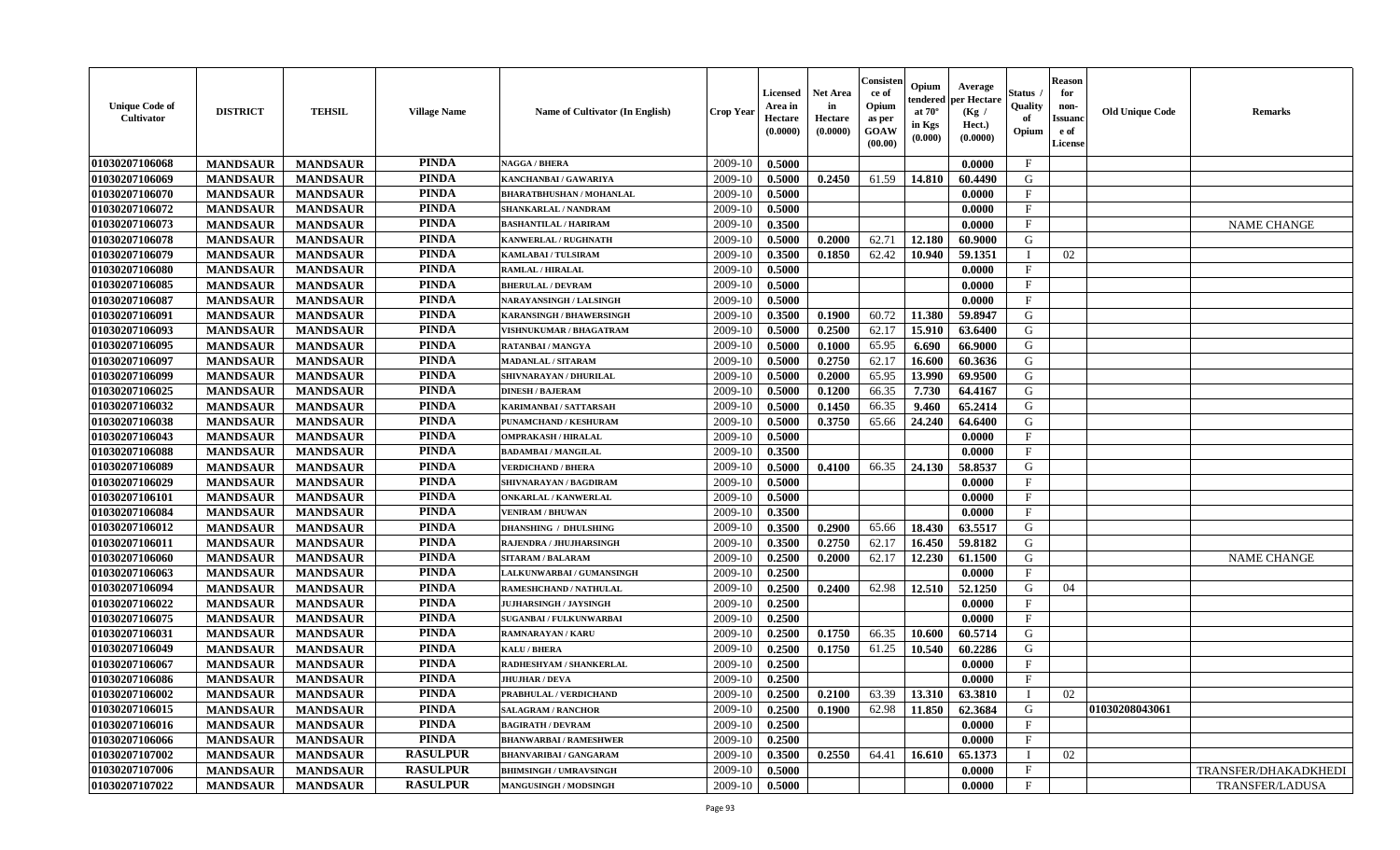| <b>Unique Code of</b><br><b>Cultivator</b> | <b>DISTRICT</b> | <b>TEHSIL</b>   | <b>Village Name</b> | Name of Cultivator (In English)  | <b>Crop Year</b> | <b>Licensed</b><br>Area in<br>Hectare<br>(0.0000) | <b>Net Area</b><br>in<br>Hectare<br>(0.0000) | Consister<br>ce of<br>Opium<br>as per<br>GOAW<br>(00.00) | Opium<br>endered<br>at $70^\circ$<br>in Kgs<br>$(\mathbf{0.000})$ | Average<br>per Hectare<br>(Kg)<br>Hect.)<br>(0.0000) | Status<br>Quality<br>of<br>Opium | Reason<br>for<br>non-<br>Issuan<br>e of<br><b>License</b> | <b>Old Unique Code</b> | <b>Remarks</b>       |
|--------------------------------------------|-----------------|-----------------|---------------------|----------------------------------|------------------|---------------------------------------------------|----------------------------------------------|----------------------------------------------------------|-------------------------------------------------------------------|------------------------------------------------------|----------------------------------|-----------------------------------------------------------|------------------------|----------------------|
| 01030207106068                             | <b>MANDSAUR</b> | <b>MANDSAUR</b> | <b>PINDA</b>        | <b>NAGGA / BHERA</b>             | 2009-10          | 0.5000                                            |                                              |                                                          |                                                                   | 0.0000                                               | $\mathbf{F}$                     |                                                           |                        |                      |
| 01030207106069                             | <b>MANDSAUR</b> | <b>MANDSAUR</b> | <b>PINDA</b>        | KANCHANBAI / GAWARIYA            | 2009-10          | 0.5000                                            | 0.2450                                       | 61.59                                                    | 14.810                                                            | 60.4490                                              | G                                |                                                           |                        |                      |
| 01030207106070                             | <b>MANDSAUR</b> | <b>MANDSAUR</b> | <b>PINDA</b>        | <b>BHARATBHUSHAN / MOHANLAL</b>  | 2009-10          | 0.5000                                            |                                              |                                                          |                                                                   | 0.0000                                               | $\mathbf{F}$                     |                                                           |                        |                      |
| 01030207106072                             | <b>MANDSAUR</b> | <b>MANDSAUR</b> | <b>PINDA</b>        | SHANKARLAL / NANDRAM             | 2009-10          | 0.5000                                            |                                              |                                                          |                                                                   | 0.0000                                               | $\mathbf{F}$                     |                                                           |                        |                      |
| 01030207106073                             | <b>MANDSAUR</b> | <b>MANDSAUR</b> | <b>PINDA</b>        | <b>BASHANTILAL / HARIRAM</b>     | 2009-10          | 0.3500                                            |                                              |                                                          |                                                                   | 0.0000                                               | $\mathbf{F}$                     |                                                           |                        | <b>NAME CHANGE</b>   |
| 01030207106078                             | <b>MANDSAUR</b> | <b>MANDSAUR</b> | <b>PINDA</b>        | <b>KANWERLAL / RUGHNATH</b>      | 2009-10          | 0.5000                                            | 0.2000                                       | 62.71                                                    | 12.180                                                            | 60.9000                                              | G                                |                                                           |                        |                      |
| 01030207106079                             | <b>MANDSAUR</b> | <b>MANDSAUR</b> | <b>PINDA</b>        | KAMLABAI / TULSIRAM              | 2009-10          | 0.3500                                            | 0.1850                                       | 62.42                                                    | 10.940                                                            | 59.1351                                              | П                                | 02                                                        |                        |                      |
| 01030207106080                             | <b>MANDSAUR</b> | <b>MANDSAUR</b> | <b>PINDA</b>        | <b>RAMLAL / HIRALAL</b>          | 2009-10          | 0.5000                                            |                                              |                                                          |                                                                   | 0.0000                                               | $\mathbf{F}$                     |                                                           |                        |                      |
| 01030207106085                             | <b>MANDSAUR</b> | <b>MANDSAUR</b> | <b>PINDA</b>        | <b>BHERULAL / DEVRAM</b>         | 2009-10          | 0.5000                                            |                                              |                                                          |                                                                   | 0.0000                                               | $_{\rm F}$                       |                                                           |                        |                      |
| 01030207106087                             | <b>MANDSAUR</b> | <b>MANDSAUR</b> | <b>PINDA</b>        | NARAYANSINGH / LALSINGH          | 2009-10          | 0.5000                                            |                                              |                                                          |                                                                   | 0.0000                                               | $_{\rm F}$                       |                                                           |                        |                      |
| 01030207106091                             | <b>MANDSAUR</b> | <b>MANDSAUR</b> | <b>PINDA</b>        | <b>KARANSINGH / BHAWERSINGH</b>  | 2009-10          | 0.3500                                            | 0.1900                                       | 60.72                                                    | 11.380                                                            | 59.8947                                              | G                                |                                                           |                        |                      |
| 01030207106093                             | <b>MANDSAUR</b> | <b>MANDSAUR</b> | <b>PINDA</b>        | VISHNUKUMAR / BHAGATRAM          | 2009-10          | 0.5000                                            | 0.2500                                       | 62.17                                                    | 15.910                                                            | 63.6400                                              | G                                |                                                           |                        |                      |
| 01030207106095                             | <b>MANDSAUR</b> | <b>MANDSAUR</b> | <b>PINDA</b>        | <b>RATANBAI/MANGYA</b>           | 2009-10          | 0.5000                                            | 0.1000                                       | 65.95                                                    | 6.690                                                             | 66.9000                                              | G                                |                                                           |                        |                      |
| 01030207106097                             | <b>MANDSAUR</b> | <b>MANDSAUR</b> | <b>PINDA</b>        | <b>MADANLAL / SITARAM</b>        | 2009-10          | 0.5000                                            | 0.2750                                       | 62.17                                                    | 16.600                                                            | 60.3636                                              | G                                |                                                           |                        |                      |
| 01030207106099                             | <b>MANDSAUR</b> | <b>MANDSAUR</b> | <b>PINDA</b>        | SHIVNARAYAN / DHURILAL           | 2009-10          | 0.5000                                            | 0.2000                                       | 65.95                                                    | 13.990                                                            | 69.9500                                              | G                                |                                                           |                        |                      |
| 01030207106025                             | <b>MANDSAUR</b> | <b>MANDSAUR</b> | <b>PINDA</b>        | <b>DINESH / BAJERAM</b>          | 2009-10          | 0.5000                                            | 0.1200                                       | 66.35                                                    | 7.730                                                             | 64.4167                                              | G                                |                                                           |                        |                      |
| 01030207106032                             | <b>MANDSAUR</b> | <b>MANDSAUR</b> | <b>PINDA</b>        | KARIMANBAI / SATTARSAH           | 2009-10          | 0.5000                                            | 0.1450                                       | 66.35                                                    | 9.460                                                             | 65.2414                                              | G                                |                                                           |                        |                      |
| 01030207106038                             | <b>MANDSAUR</b> | <b>MANDSAUR</b> | <b>PINDA</b>        | PUNAMCHAND / KESHURAM            | 2009-10          | 0.5000                                            | 0.3750                                       | 65.66                                                    | 24.240                                                            | 64.6400                                              | G                                |                                                           |                        |                      |
| 01030207106043                             | <b>MANDSAUR</b> | <b>MANDSAUR</b> | <b>PINDA</b>        | <b>OMPRAKASH / HIRALAL</b>       | 2009-10          | 0.5000                                            |                                              |                                                          |                                                                   | 0.0000                                               | F                                |                                                           |                        |                      |
| 01030207106088                             | <b>MANDSAUR</b> | <b>MANDSAUR</b> | <b>PINDA</b>        | <b>BADAMBAI/MANGILAL</b>         | 2009-10          | 0.3500                                            |                                              |                                                          |                                                                   | 0.0000                                               | $_{\rm F}$                       |                                                           |                        |                      |
| 01030207106089                             | <b>MANDSAUR</b> | <b>MANDSAUR</b> | <b>PINDA</b>        | <b>VERDICHAND / BHERA</b>        | 2009-10          | 0.5000                                            | 0.4100                                       | 66.35                                                    | 24.130                                                            | 58.8537                                              | G                                |                                                           |                        |                      |
| 01030207106029                             | <b>MANDSAUR</b> | <b>MANDSAUR</b> | <b>PINDA</b>        | SHIVNARAYAN / BAGDIRAM           | 2009-10          | 0.5000                                            |                                              |                                                          |                                                                   | 0.0000                                               | $\mathbf{F}$                     |                                                           |                        |                      |
| 01030207106101                             | <b>MANDSAUR</b> | <b>MANDSAUR</b> | <b>PINDA</b>        | <b>ONKARLAL / KANWERLAL</b>      | 2009-10          | 0.5000                                            |                                              |                                                          |                                                                   | 0.0000                                               | $\mathbf{F}$                     |                                                           |                        |                      |
| 01030207106084                             | <b>MANDSAUR</b> | <b>MANDSAUR</b> | <b>PINDA</b>        | <b>VENIRAM / BHUWAN</b>          | 2009-10          | 0.3500                                            |                                              |                                                          |                                                                   | 0.0000                                               | $\mathbf{F}$                     |                                                           |                        |                      |
| 01030207106012                             | <b>MANDSAUR</b> | <b>MANDSAUR</b> | <b>PINDA</b>        | <b>DHANSHING / DHULSHING</b>     | 2009-10          | 0.3500                                            | 0.2900                                       | 65.66                                                    | 18.430                                                            | 63.5517                                              | G                                |                                                           |                        |                      |
| 01030207106011                             | <b>MANDSAUR</b> | <b>MANDSAUR</b> | <b>PINDA</b>        | RAJENDRA / JHUJHARSINGH          | 2009-10          | 0.3500                                            | 0.2750                                       | 62.17                                                    | 16.450                                                            | 59.8182                                              | G                                |                                                           |                        |                      |
| 01030207106060                             | <b>MANDSAUR</b> | <b>MANDSAUR</b> | <b>PINDA</b>        | <b>SITARAM / BALARAM</b>         | 2009-10          | 0.2500                                            | 0.2000                                       | 62.17                                                    | 12.230                                                            | 61.1500                                              | G                                |                                                           |                        | <b>NAME CHANGE</b>   |
| 01030207106063                             | <b>MANDSAUR</b> | <b>MANDSAUR</b> | <b>PINDA</b>        | <b>LALKUNWARBAI / GUMANSINGH</b> | 2009-10          | 0.2500                                            |                                              |                                                          |                                                                   | 0.0000                                               | $_{\rm F}$                       |                                                           |                        |                      |
| 01030207106094                             | <b>MANDSAUR</b> | <b>MANDSAUR</b> | <b>PINDA</b>        | <b>RAMESHCHAND / NATHULAL</b>    | 2009-10          | 0.2500                                            | 0.2400                                       | 62.98                                                    | 12.510                                                            | 52.1250                                              | G                                | 04                                                        |                        |                      |
| 01030207106022                             | <b>MANDSAUR</b> | <b>MANDSAUR</b> | <b>PINDA</b>        | <b>JUJHARSINGH / JAYSINGH</b>    | 2009-10          | 0.2500                                            |                                              |                                                          |                                                                   | 0.0000                                               | $_{\rm F}$                       |                                                           |                        |                      |
| 01030207106075                             | <b>MANDSAUR</b> | <b>MANDSAUR</b> | <b>PINDA</b>        | <b>SUGANBAI/FULKUNWARBAI</b>     | 2009-10          | 0.2500                                            |                                              |                                                          |                                                                   | 0.0000                                               | $_{\rm F}$                       |                                                           |                        |                      |
| 01030207106031                             | <b>MANDSAUR</b> | <b>MANDSAUR</b> | <b>PINDA</b>        | RAMNARAYAN / KARU                | 2009-10          | 0.2500                                            | 0.1750                                       | 66.35                                                    | 10.600                                                            | 60.5714                                              | G                                |                                                           |                        |                      |
| 01030207106049                             | <b>MANDSAUR</b> | <b>MANDSAUR</b> | <b>PINDA</b>        | <b>KALU / BHERA</b>              | 2009-10          | 0.2500                                            | 0.1750                                       | 61.25                                                    | 10.540                                                            | 60.2286                                              | G                                |                                                           |                        |                      |
| 01030207106067                             | <b>MANDSAUR</b> | <b>MANDSAUR</b> | <b>PINDA</b>        | RADHESHYAM / SHANKERLAL          | 2009-10          | 0.2500                                            |                                              |                                                          |                                                                   | 0.0000                                               | F                                |                                                           |                        |                      |
| 01030207106086                             | <b>MANDSAUR</b> | <b>MANDSAUR</b> | PINDA               | <b>JHUJHAR / DEVA</b>            | 2009-10          | 0.2500                                            |                                              |                                                          |                                                                   | 0.0000                                               | $\mathbf{F}$                     |                                                           |                        |                      |
| 01030207106002                             | <b>MANDSAUR</b> | <b>MANDSAUR</b> | <b>PINDA</b>        | PRABHULAL / VERDICHAND           | $2009-10$        | 0.2500                                            | 0.2100                                       | 63.39                                                    |                                                                   | $13.310 \mid 63.3810$                                | $\perp$                          | 02                                                        |                        |                      |
| 01030207106015                             | <b>MANDSAUR</b> | <b>MANDSAUR</b> | <b>PINDA</b>        | <b>SALAGRAM / RANCHOR</b>        | 2009-10          | 0.2500                                            | 0.1900                                       | 62.98                                                    | 11.850                                                            | 62.3684                                              | G                                |                                                           | 01030208043061         |                      |
| 01030207106016                             | <b>MANDSAUR</b> | <b>MANDSAUR</b> | <b>PINDA</b>        | <b>BAGIRATH / DEVRAM</b>         | 2009-10          | 0.2500                                            |                                              |                                                          |                                                                   | 0.0000                                               | $\mathbf{F}$                     |                                                           |                        |                      |
| 01030207106066                             | <b>MANDSAUR</b> | <b>MANDSAUR</b> | <b>PINDA</b>        | <b>BHANWARBAI/RAMESHWER</b>      | 2009-10          | 0.2500                                            |                                              |                                                          |                                                                   | 0.0000                                               | $\mathbf{F}$                     |                                                           |                        |                      |
| 01030207107002                             | <b>MANDSAUR</b> | <b>MANDSAUR</b> | <b>RASULPUR</b>     | <b>BHANVARIBAI / GANGARAM</b>    | 2009-10          | 0.3500                                            | 0.2550                                       | 64.41                                                    | 16.610                                                            | 65.1373                                              | - 1                              | 02                                                        |                        |                      |
| 01030207107006                             | <b>MANDSAUR</b> | <b>MANDSAUR</b> | <b>RASULPUR</b>     | <b>BHIMSINGH / UMRAVSINGH</b>    | 2009-10          | 0.5000                                            |                                              |                                                          |                                                                   | 0.0000                                               | $\mathbf{F}$                     |                                                           |                        | TRANSFER/DHAKADKHEDI |
| 01030207107022                             | <b>MANDSAUR</b> | <b>MANDSAUR</b> | <b>RASULPUR</b>     | <b>MANGUSINGH / MODSINGH</b>     | 2009-10          | 0.5000                                            |                                              |                                                          |                                                                   | 0.0000                                               | $\mathbf{F}$                     |                                                           |                        | TRANSFER/LADUSA      |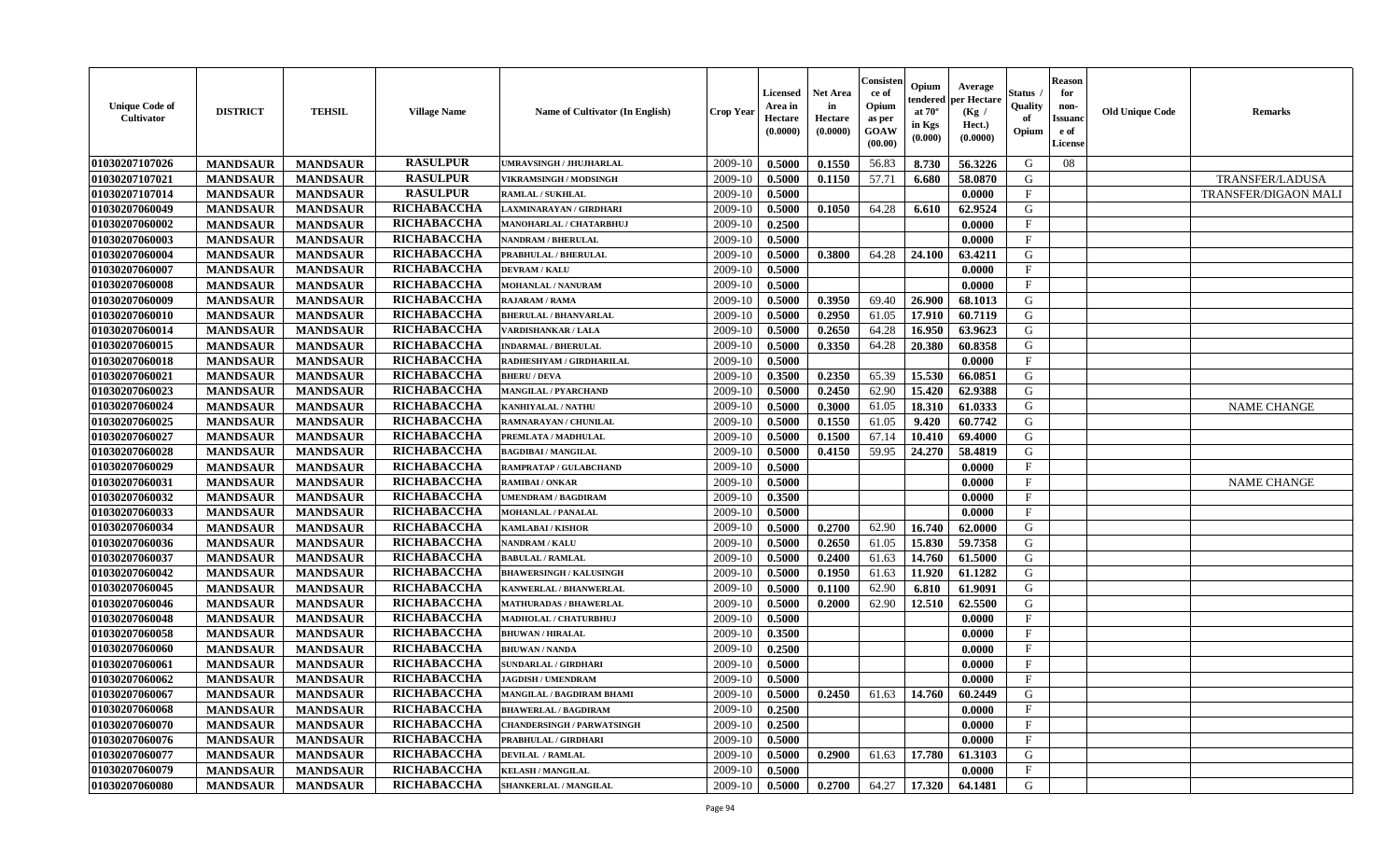| <b>Unique Code of</b><br><b>Cultivator</b> | <b>DISTRICT</b> | <b>TEHSIL</b>   | <b>Village Name</b> | Name of Cultivator (In English)   | <b>Crop Year</b> | <b>Licensed</b><br>Area in<br>Hectare<br>(0.0000) | <b>Net Area</b><br>in<br>Hectare<br>(0.0000) | Consister<br>ce of<br>Opium<br>as per<br><b>GOAW</b><br>(00.00) | Opium<br>endered<br>at $70^\circ$<br>in Kgs<br>(0.000) | Average<br>per Hectare<br>(Kg)<br>Hect.)<br>(0.0000) | Status<br>Quality<br>of<br>Opium | <b>Reason</b><br>for<br>non-<br><b>Issuand</b><br>e of<br><b>License</b> | <b>Old Unique Code</b> | <b>Remarks</b>              |
|--------------------------------------------|-----------------|-----------------|---------------------|-----------------------------------|------------------|---------------------------------------------------|----------------------------------------------|-----------------------------------------------------------------|--------------------------------------------------------|------------------------------------------------------|----------------------------------|--------------------------------------------------------------------------|------------------------|-----------------------------|
| 01030207107026                             | <b>MANDSAUR</b> | <b>MANDSAUR</b> | <b>RASULPUR</b>     | UMRAVSINGH / JHUJHARLAL           | 2009-10          | 0.5000                                            | 0.1550                                       | 56.83                                                           | 8.730                                                  | 56.3226                                              | G                                | 08                                                                       |                        |                             |
| 01030207107021                             | <b>MANDSAUR</b> | <b>MANDSAUR</b> | <b>RASULPUR</b>     | VIKRAMSINGH / MODSINGH            | 2009-10          | 0.5000                                            | 0.1150                                       | 57.71                                                           | 6.680                                                  | 58.0870                                              | G                                |                                                                          |                        | TRANSFER/LADUSA             |
| 01030207107014                             | <b>MANDSAUR</b> | <b>MANDSAUR</b> | <b>RASULPUR</b>     | <b>RAMLAL / SUKHLAL</b>           | 2009-10          | 0.5000                                            |                                              |                                                                 |                                                        | 0.0000                                               | F                                |                                                                          |                        | <b>TRANSFER/DIGAON MALI</b> |
| 01030207060049                             | <b>MANDSAUR</b> | <b>MANDSAUR</b> | RICHABACCHA         | LAXMINARAYAN / GIRDHARI           | 2009-10          | 0.5000                                            | 0.1050                                       | 64.28                                                           | 6.610                                                  | 62.9524                                              | G                                |                                                                          |                        |                             |
| 01030207060002                             | <b>MANDSAUR</b> | <b>MANDSAUR</b> | RICHABACCHA         | MANOHARLAL / CHATARBHUJ           | 2009-10          | 0.2500                                            |                                              |                                                                 |                                                        | 0.0000                                               | $\mathbf{F}$                     |                                                                          |                        |                             |
| 01030207060003                             | <b>MANDSAUR</b> | <b>MANDSAUR</b> | RICHABACCHA         | NANDRAM / BHERULAL                | 2009-10          | 0.5000                                            |                                              |                                                                 |                                                        | 0.0000                                               | $_{\rm F}$                       |                                                                          |                        |                             |
| 01030207060004                             | <b>MANDSAUR</b> | <b>MANDSAUR</b> | RICHABACCHA         | PRABHULAL / BHERULAL              | 2009-10          | 0.5000                                            | 0.3800                                       | 64.28                                                           | 24.100                                                 | 63.4211                                              | G                                |                                                                          |                        |                             |
| 01030207060007                             | <b>MANDSAUR</b> | <b>MANDSAUR</b> | RICHABACCHA         | <b>DEVRAM / KALU</b>              | 2009-10          | 0.5000                                            |                                              |                                                                 |                                                        | 0.0000                                               | $\rm F$                          |                                                                          |                        |                             |
| 01030207060008                             | <b>MANDSAUR</b> | <b>MANDSAUR</b> | RICHABACCHA         | <b>MOHANLAL / NANURAM</b>         | 2009-10          | 0.5000                                            |                                              |                                                                 |                                                        | 0.0000                                               | $\mathbf{F}$                     |                                                                          |                        |                             |
| 01030207060009                             | <b>MANDSAUR</b> | <b>MANDSAUR</b> | RICHABACCHA         | RAJARAM / RAMA                    | 2009-10          | 0.5000                                            | 0.3950                                       | 69.40                                                           | 26.900                                                 | 68.1013                                              | G                                |                                                                          |                        |                             |
| 01030207060010                             | <b>MANDSAUR</b> | <b>MANDSAUR</b> | RICHABACCHA         | <b>BHERULAL / BHANVARLAL</b>      | 2009-10          | 0.5000                                            | 0.2950                                       | 61.05                                                           | 17.910                                                 | 60.7119                                              | G                                |                                                                          |                        |                             |
| 01030207060014                             | <b>MANDSAUR</b> | <b>MANDSAUR</b> | RICHABACCHA         | <b>VARDISHANKAR / LALA</b>        | 2009-10          | 0.5000                                            | 0.2650                                       | 64.28                                                           | 16.950                                                 | 63.9623                                              | G                                |                                                                          |                        |                             |
| 01030207060015                             | <b>MANDSAUR</b> | <b>MANDSAUR</b> | RICHABACCHA         | <b>INDARMAL / BHERULAL</b>        | 2009-10          | 0.5000                                            | 0.3350                                       | 64.28                                                           | 20.380                                                 | 60.8358                                              | G                                |                                                                          |                        |                             |
| 01030207060018                             | <b>MANDSAUR</b> | <b>MANDSAUR</b> | RICHABACCHA         | RADHESHYAM / GIRDHARILAL          | 2009-10          | 0.5000                                            |                                              |                                                                 |                                                        | 0.0000                                               | $\mathbf{F}$                     |                                                                          |                        |                             |
| 01030207060021                             | <b>MANDSAUR</b> | <b>MANDSAUR</b> | RICHABACCHA         | <b>BHERU / DEVA</b>               | 2009-10          | 0.3500                                            | 0.2350                                       | 65.39                                                           | 15.530                                                 | 66.0851                                              | G                                |                                                                          |                        |                             |
| 01030207060023                             | <b>MANDSAUR</b> | <b>MANDSAUR</b> | RICHABACCHA         | MANGILAL / PYARCHAND              | 2009-10          | 0.5000                                            | 0.2450                                       | 62.90                                                           | 15.420                                                 | 62.9388                                              | G                                |                                                                          |                        |                             |
| 01030207060024                             | <b>MANDSAUR</b> | <b>MANDSAUR</b> | RICHABACCHA         | KANHIYALAL / NATHU                | 2009-10          | 0.5000                                            | 0.3000                                       | 61.05                                                           | 18.310                                                 | 61.0333                                              | G                                |                                                                          |                        | <b>NAME CHANGE</b>          |
| 01030207060025                             | <b>MANDSAUR</b> | <b>MANDSAUR</b> | RICHABACCHA         | RAMNARAYAN / CHUNILAL             | 2009-10          | 0.5000                                            | 0.1550                                       | 61.05                                                           | 9.420                                                  | 60.7742                                              | G                                |                                                                          |                        |                             |
| 01030207060027                             | <b>MANDSAUR</b> | <b>MANDSAUR</b> | RICHABACCHA         | PREMLATA / MADHULAL               | 2009-10          | 0.5000                                            | 0.1500                                       | 67.14                                                           | 10.410                                                 | 69.4000                                              | G                                |                                                                          |                        |                             |
| 01030207060028                             | <b>MANDSAUR</b> | <b>MANDSAUR</b> | RICHABACCHA         | <b>BAGDIBAI / MANGILAL</b>        | 2009-10          | 0.5000                                            | 0.4150                                       | 59.95                                                           | 24.270                                                 | 58.4819                                              | G                                |                                                                          |                        |                             |
| 01030207060029                             | <b>MANDSAUR</b> | <b>MANDSAUR</b> | RICHABACCHA         | RAMPRATAP / GULABCHAND            | 2009-10          | 0.5000                                            |                                              |                                                                 |                                                        | 0.0000                                               | $\mathbf{F}$                     |                                                                          |                        |                             |
| 01030207060031                             | <b>MANDSAUR</b> | <b>MANDSAUR</b> | RICHABACCHA         | <b>RAMIBAI/ONKAR</b>              | 2009-10          | 0.5000                                            |                                              |                                                                 |                                                        | 0.0000                                               | F                                |                                                                          |                        | <b>NAME CHANGE</b>          |
| 01030207060032                             | <b>MANDSAUR</b> | <b>MANDSAUR</b> | RICHABACCHA         | <b>JMENDRAM / BAGDIRAM</b>        | 2009-10          | 0.3500                                            |                                              |                                                                 |                                                        | 0.0000                                               | $\mathbf{F}$                     |                                                                          |                        |                             |
| 01030207060033                             | <b>MANDSAUR</b> | <b>MANDSAUR</b> | RICHABACCHA         | <b>MOHANLAL / PANALAL</b>         | 2009-10          | 0.5000                                            |                                              |                                                                 |                                                        | 0.0000                                               | $\mathbf{F}$                     |                                                                          |                        |                             |
| 01030207060034                             | <b>MANDSAUR</b> | <b>MANDSAUR</b> | RICHABACCHA         | <b>KAMLABAI/KISHOR</b>            | 2009-10          | 0.5000                                            | 0.2700                                       | 62.90                                                           | 16.740                                                 | 62.0000                                              | G                                |                                                                          |                        |                             |
| 01030207060036                             | <b>MANDSAUR</b> | <b>MANDSAUR</b> | RICHABACCHA         | <b>NANDRAM / KALU</b>             | 2009-10          | 0.5000                                            | 0.2650                                       | 61.05                                                           | 15.830                                                 | 59.7358                                              | G                                |                                                                          |                        |                             |
| 01030207060037                             | <b>MANDSAUR</b> | <b>MANDSAUR</b> | RICHABACCHA         | <b>BABULAL / RAMLAL</b>           | 2009-10          | 0.5000                                            | 0.2400                                       | 61.63                                                           | 14.760                                                 | 61.5000                                              | G                                |                                                                          |                        |                             |
| 01030207060042                             | <b>MANDSAUR</b> | <b>MANDSAUR</b> | RICHABACCHA         | <b>BHAWERSINGH / KALUSINGH</b>    | 2009-10          | 0.5000                                            | 0.1950                                       | 61.63                                                           | 11.920                                                 | 61.1282                                              | G                                |                                                                          |                        |                             |
| 01030207060045                             | <b>MANDSAUR</b> | <b>MANDSAUR</b> | RICHABACCHA         | KANWERLAL / BHANWERLAL            | 2009-10          | 0.5000                                            | 0.1100                                       | 62.90                                                           | 6.810                                                  | 61.9091                                              | G                                |                                                                          |                        |                             |
| 01030207060046                             | <b>MANDSAUR</b> | <b>MANDSAUR</b> | RICHABACCHA         | <b>MATHURADAS / BHAWERLAL</b>     | 2009-10          | 0.5000                                            | 0.2000                                       | 62.90                                                           | 12.510                                                 | 62.5500                                              | G                                |                                                                          |                        |                             |
| 01030207060048                             | <b>MANDSAUR</b> | <b>MANDSAUR</b> | RICHABACCHA         | MADHOLAL / CHATURBHUJ             | 2009-10          | 0.5000                                            |                                              |                                                                 |                                                        | 0.0000                                               | $\mathbf{F}$                     |                                                                          |                        |                             |
| 01030207060058                             | <b>MANDSAUR</b> | <b>MANDSAUR</b> | <b>RICHABACCHA</b>  | <b>BHUWAN / HIRALAL</b>           | 2009-10          | 0.3500                                            |                                              |                                                                 |                                                        | 0.0000                                               | $\mathbf{F}$                     |                                                                          |                        |                             |
| 01030207060060                             | <b>MANDSAUR</b> | <b>MANDSAUR</b> | RICHABACCHA         | <b>BHUWAN / NANDA</b>             | 2009-10          | 0.2500                                            |                                              |                                                                 |                                                        | 0.0000                                               | $\mathbf{F}$                     |                                                                          |                        |                             |
| 01030207060061                             | <b>MANDSAUR</b> | <b>MANDSAUR</b> | RICHABACCHA         | <b>SUNDARLAL / GIRDHARI</b>       | 2009-10          | 0.5000                                            |                                              |                                                                 |                                                        | 0.0000                                               | $\mathbf{F}$                     |                                                                          |                        |                             |
| 01030207060062                             | <b>MANDSAUR</b> | <b>MANDSAUR</b> | RICHABACCHA         | <b>JAGDISH / UMENDRAM</b>         | 2009-10          | 0.5000                                            |                                              |                                                                 |                                                        | 0.0000                                               | $\mathbf{F}$                     |                                                                          |                        |                             |
| 01030207060067                             | <b>MANDSAUR</b> | <b>MANDSAUR</b> | <b>RICHABACCHA</b>  | MANGILAL / BAGDIRAM BHAMI         | 2009-10          | 0.5000                                            | 0.2450                                       | 61.63                                                           | 14.760                                                 | 60.2449                                              | G                                |                                                                          |                        |                             |
| 01030207060068                             | <b>MANDSAUR</b> | <b>MANDSAUR</b> | RICHABACCHA         | <b>BHAWERLAL / BAGDIRAM</b>       | 2009-10          | 0.2500                                            |                                              |                                                                 |                                                        | 0.0000                                               | $\rm F$                          |                                                                          |                        |                             |
| 01030207060070                             | <b>MANDSAUR</b> | <b>MANDSAUR</b> | RICHABACCHA         | <b>CHANDERSINGH / PARWATSINGH</b> | 2009-10          | 0.2500                                            |                                              |                                                                 |                                                        | 0.0000                                               | $\mathbf{F}$                     |                                                                          |                        |                             |
| 01030207060076                             | <b>MANDSAUR</b> | <b>MANDSAUR</b> | RICHABACCHA         | PRABHULAL / GIRDHARI              | 2009-10          | 0.5000                                            |                                              |                                                                 |                                                        | 0.0000                                               | $\mathbf{F}$                     |                                                                          |                        |                             |
| 01030207060077                             | <b>MANDSAUR</b> | <b>MANDSAUR</b> | RICHABACCHA         | <b>DEVILAL / RAMLAL</b>           | 2009-10          | 0.5000                                            | 0.2900                                       | 61.63                                                           | 17.780                                                 | 61.3103                                              | ${\bf G}$                        |                                                                          |                        |                             |
| 01030207060079                             | <b>MANDSAUR</b> | <b>MANDSAUR</b> | RICHABACCHA         | <b>KELASH / MANGILAL</b>          | 2009-10          | 0.5000                                            |                                              |                                                                 |                                                        | 0.0000                                               | $\mathbf{F}$                     |                                                                          |                        |                             |
| 01030207060080                             | <b>MANDSAUR</b> | <b>MANDSAUR</b> | <b>RICHABACCHA</b>  | SHANKERLAL / MANGILAL             | 2009-10          | 0.5000                                            | 0.2700                                       | 64.27                                                           | 17.320                                                 | 64.1481                                              | G                                |                                                                          |                        |                             |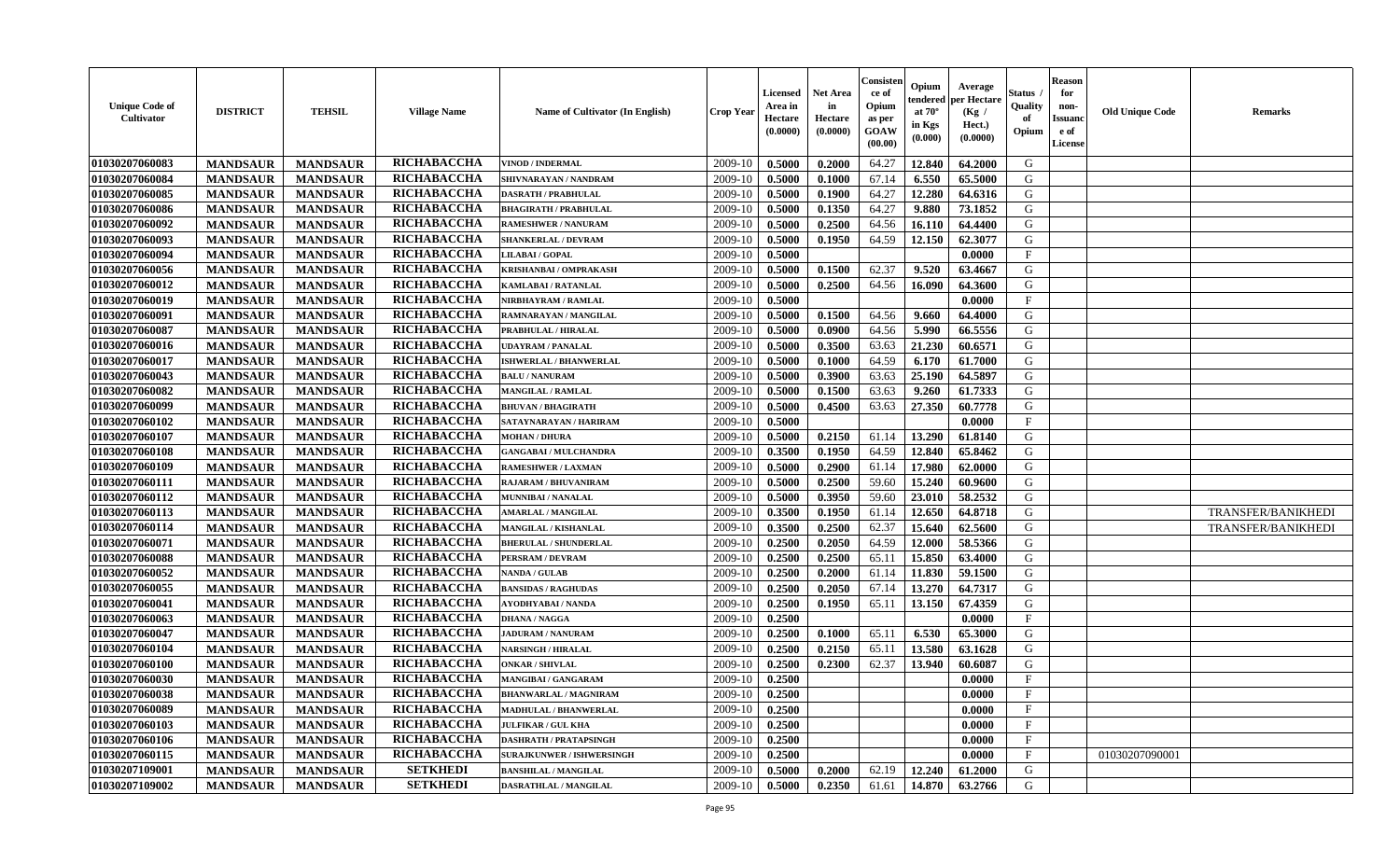| <b>Unique Code of</b><br>Cultivator | <b>DISTRICT</b> | <b>TEHSIL</b>   | <b>Village Name</b> | Name of Cultivator (In English)  | <b>Crop Year</b> | <b>Licensed</b><br>Area in<br>Hectare<br>(0.0000) | <b>Net Area</b><br>in<br>Hectare<br>(0.0000) | Consister<br>ce of<br>Opium<br>as per<br><b>GOAW</b><br>(00.00) | Opium<br>endered<br>at $70^{\circ}$<br>in Kgs<br>$(\mathbf{0.000})$ | Average<br>per Hectare<br>(Kg /<br>Hect.)<br>(0.0000) | Status<br>Quality<br>of<br>Opium | <b>Reason</b><br>for<br>non-<br><b>Issuanc</b><br>e of<br>License | <b>Old Unique Code</b> | <b>Remarks</b>            |
|-------------------------------------|-----------------|-----------------|---------------------|----------------------------------|------------------|---------------------------------------------------|----------------------------------------------|-----------------------------------------------------------------|---------------------------------------------------------------------|-------------------------------------------------------|----------------------------------|-------------------------------------------------------------------|------------------------|---------------------------|
| 01030207060083                      | <b>MANDSAUR</b> | <b>MANDSAUR</b> | RICHABACCHA         | <b>VINOD / INDERMAL</b>          | 2009-10          | 0.5000                                            | 0.2000                                       | 64.27                                                           | 12.840                                                              | 64.2000                                               | G                                |                                                                   |                        |                           |
| 01030207060084                      | <b>MANDSAUR</b> | <b>MANDSAUR</b> | RICHABACCHA         | SHIVNARAYAN / NANDRAM            | 2009-10          | 0.5000                                            | 0.1000                                       | 67.14                                                           | 6.550                                                               | 65.5000                                               | G                                |                                                                   |                        |                           |
| 01030207060085                      | <b>MANDSAUR</b> | <b>MANDSAUR</b> | RICHABACCHA         | <b>DASRATH / PRABHULAL</b>       | 2009-10          | 0.5000                                            | 0.1900                                       | 64.27                                                           | 12.280                                                              | 64.6316                                               | G                                |                                                                   |                        |                           |
| 01030207060086                      | <b>MANDSAUR</b> | <b>MANDSAUR</b> | RICHABACCHA         | <b>BHAGIRATH / PRABHULAL</b>     | 2009-10          | 0.5000                                            | 0.1350                                       | 64.27                                                           | 9.880                                                               | 73.1852                                               | G                                |                                                                   |                        |                           |
| 01030207060092                      | <b>MANDSAUR</b> | <b>MANDSAUR</b> | RICHABACCHA         | <b>RAMESHWER / NANURAM</b>       | 2009-10          | 0.5000                                            | 0.2500                                       | 64.56                                                           | 16.110                                                              | 64.4400                                               | G                                |                                                                   |                        |                           |
| 01030207060093                      | <b>MANDSAUR</b> | <b>MANDSAUR</b> | RICHABACCHA         | <b>SHANKERLAL / DEVRAM</b>       | 2009-10          | 0.5000                                            | 0.1950                                       | 64.59                                                           | 12.150                                                              | 62.3077                                               | G                                |                                                                   |                        |                           |
| 01030207060094                      | <b>MANDSAUR</b> | <b>MANDSAUR</b> | RICHABACCHA         | LILABAI / GOPAL                  | 2009-10          | 0.5000                                            |                                              |                                                                 |                                                                     | 0.0000                                                | $\mathbf{F}$                     |                                                                   |                        |                           |
| 01030207060056                      | <b>MANDSAUR</b> | <b>MANDSAUR</b> | RICHABACCHA         | KRISHANBAI / OMPRAKASH           | 2009-10          | 0.5000                                            | 0.1500                                       | 62.37                                                           | 9.520                                                               | 63.4667                                               | G                                |                                                                   |                        |                           |
| 01030207060012                      | <b>MANDSAUR</b> | <b>MANDSAUR</b> | RICHABACCHA         | KAMLABAI / RATANLAL              | 2009-10          | 0.5000                                            | 0.2500                                       | 64.56                                                           | 16.090                                                              | 64.3600                                               | G                                |                                                                   |                        |                           |
| 01030207060019                      | <b>MANDSAUR</b> | <b>MANDSAUR</b> | RICHABACCHA         | <b>NIRBHAYRAM / RAMLAL</b>       | 2009-10          | 0.5000                                            |                                              |                                                                 |                                                                     | 0.0000                                                | $\mathbf{F}$                     |                                                                   |                        |                           |
| 01030207060091                      | <b>MANDSAUR</b> | <b>MANDSAUR</b> | RICHABACCHA         | RAMNARAYAN / MANGILAL            | 2009-10          | 0.5000                                            | 0.1500                                       | 64.56                                                           | 9.660                                                               | 64.4000                                               | G                                |                                                                   |                        |                           |
| 01030207060087                      | <b>MANDSAUR</b> | <b>MANDSAUR</b> | RICHABACCHA         | PRABHULAL / HIRALAL              | 2009-10          | 0.5000                                            | 0.0900                                       | 64.56                                                           | 5.990                                                               | 66.5556                                               | G                                |                                                                   |                        |                           |
| 01030207060016                      | <b>MANDSAUR</b> | <b>MANDSAUR</b> | RICHABACCHA         | <b>JDAYRAM / PANALAL</b>         | 2009-10          | 0.5000                                            | 0.3500                                       | 63.63                                                           | 21.230                                                              | 60.6571                                               | G                                |                                                                   |                        |                           |
| 01030207060017                      | <b>MANDSAUR</b> | <b>MANDSAUR</b> | RICHABACCHA         | <b>ISHWERLAL / BHANWERLAL</b>    | 2009-10          | 0.5000                                            | 0.1000                                       | 64.59                                                           | 6.170                                                               | 61.7000                                               | G                                |                                                                   |                        |                           |
| 01030207060043                      | <b>MANDSAUR</b> | <b>MANDSAUR</b> | RICHABACCHA         | <b>BALU / NANURAM</b>            | 2009-10          | 0.5000                                            | 0.3900                                       | 63.63                                                           | 25.190                                                              | 64.5897                                               | G                                |                                                                   |                        |                           |
| 01030207060082                      | <b>MANDSAUR</b> | <b>MANDSAUR</b> | RICHABACCHA         | MANGILAL / RAMLAL                | 2009-10          | 0.5000                                            | 0.1500                                       | 63.63                                                           | 9.260                                                               | 61.7333                                               | G                                |                                                                   |                        |                           |
| 01030207060099                      | <b>MANDSAUR</b> | <b>MANDSAUR</b> | RICHABACCHA         | <b>BHUVAN / BHAGIRATH</b>        | 2009-10          | 0.5000                                            | 0.4500                                       | 63.63                                                           | 27.350                                                              | 60.7778                                               | G                                |                                                                   |                        |                           |
| 01030207060102                      | <b>MANDSAUR</b> | <b>MANDSAUR</b> | RICHABACCHA         | SATAYNARAYAN / HARIRAM           | 2009-10          | 0.5000                                            |                                              |                                                                 |                                                                     | 0.0000                                                | $\mathbf F$                      |                                                                   |                        |                           |
| 01030207060107                      | <b>MANDSAUR</b> | <b>MANDSAUR</b> | RICHABACCHA         | <b>MOHAN / DHURA</b>             | 2009-10          | 0.5000                                            | 0.2150                                       | 61.14                                                           | 13.290                                                              | 61.8140                                               | G                                |                                                                   |                        |                           |
| 01030207060108                      | <b>MANDSAUR</b> | <b>MANDSAUR</b> | RICHABACCHA         | <b>GANGABAI / MULCHANDRA</b>     | 2009-10          | 0.3500                                            | 0.1950                                       | 64.59                                                           | 12.840                                                              | 65.8462                                               | G                                |                                                                   |                        |                           |
| 01030207060109                      | <b>MANDSAUR</b> | <b>MANDSAUR</b> | RICHABACCHA         | <b>RAMESHWER / LAXMAN</b>        | 2009-10          | 0.5000                                            | 0.2900                                       | 61.14                                                           | 17.980                                                              | 62.0000                                               | G                                |                                                                   |                        |                           |
| 01030207060111                      | <b>MANDSAUR</b> | <b>MANDSAUR</b> | RICHABACCHA         | RAJARAM / BHUVANIRAM             | 2009-10          | 0.5000                                            | 0.2500                                       | 59.60                                                           | 15.240                                                              | 60.9600                                               | G                                |                                                                   |                        |                           |
| 01030207060112                      | <b>MANDSAUR</b> | <b>MANDSAUR</b> | RICHABACCHA         | MUNNIBAI / NANALAL               | 2009-10          | 0.5000                                            | 0.3950                                       | 59.60                                                           | 23.010                                                              | 58.2532                                               | G                                |                                                                   |                        |                           |
| 01030207060113                      | <b>MANDSAUR</b> | <b>MANDSAUR</b> | RICHABACCHA         | <b>AMARLAL / MANGILAL</b>        | 2009-10          | 0.3500                                            | 0.1950                                       | 61.14                                                           | 12.650                                                              | 64.8718                                               | G                                |                                                                   |                        | TRANSFER/BANIKHEDI        |
| 01030207060114                      | <b>MANDSAUR</b> | <b>MANDSAUR</b> | RICHABACCHA         | MANGILAL / KISHANLAL             | 2009-10          | 0.3500                                            | 0.2500                                       | 62.37                                                           | 15.640                                                              | 62.5600                                               | G                                |                                                                   |                        | <b>TRANSFER/BANIKHEDI</b> |
| 01030207060071                      | <b>MANDSAUR</b> | <b>MANDSAUR</b> | RICHABACCHA         | <b>BHERULAL / SHUNDERLAL</b>     | 2009-10          | 0.2500                                            | 0.2050                                       | 64.59                                                           | 12.000                                                              | 58.5366                                               | G                                |                                                                   |                        |                           |
| 01030207060088                      | <b>MANDSAUR</b> | <b>MANDSAUR</b> | RICHABACCHA         | PERSRAM / DEVRAM                 | 2009-10          | 0.2500                                            | 0.2500                                       | 65.11                                                           | 15.850                                                              | 63.4000                                               | G                                |                                                                   |                        |                           |
| 01030207060052                      | <b>MANDSAUR</b> | <b>MANDSAUR</b> | RICHABACCHA         | <b>NANDA / GULAB</b>             | 2009-10          | 0.2500                                            | 0.2000                                       | 61.14                                                           | 11.830                                                              | 59.1500                                               | G                                |                                                                   |                        |                           |
| 01030207060055                      | <b>MANDSAUR</b> | <b>MANDSAUR</b> | RICHABACCHA         | <b>BANSIDAS / RAGHUDAS</b>       | 2009-10          | 0.2500                                            | 0.2050                                       | 67.14                                                           | 13.270                                                              | 64.7317                                               | G                                |                                                                   |                        |                           |
| 01030207060041                      | <b>MANDSAUR</b> | <b>MANDSAUR</b> | RICHABACCHA         | AYODHYABAI/NANDA                 | 2009-10          | 0.2500                                            | 0.1950                                       | 65.11                                                           | 13.150                                                              | 67.4359                                               | G                                |                                                                   |                        |                           |
| 01030207060063                      | <b>MANDSAUR</b> | <b>MANDSAUR</b> | RICHABACCHA         | <b>DHANA / NAGGA</b>             | 2009-10          | 0.2500                                            |                                              |                                                                 |                                                                     | 0.0000                                                | $\mathbf{F}$                     |                                                                   |                        |                           |
| 01030207060047                      | <b>MANDSAUR</b> | <b>MANDSAUR</b> | RICHABACCHA         | <b>JADURAM / NANURAM</b>         | 2009-10          | 0.2500                                            | 0.1000                                       | 65.11                                                           | 6.530                                                               | 65.3000                                               | G                                |                                                                   |                        |                           |
| 01030207060104                      | <b>MANDSAUR</b> | <b>MANDSAUR</b> | RICHABACCHA         | <b>NARSINGH / HIRALAL</b>        | 2009-10          | 0.2500                                            | 0.2150                                       | 65.11                                                           | 13.580                                                              | 63.1628                                               | G                                |                                                                   |                        |                           |
| 01030207060100                      | <b>MANDSAUR</b> | <b>MANDSAUR</b> | RICHABACCHA         | <b>ONKAR / SHIVLAL</b>           | 2009-10          | 0.2500                                            | 0.2300                                       | 62.37                                                           | 13.940                                                              | 60.6087                                               | G                                |                                                                   |                        |                           |
| 01030207060030                      | <b>MANDSAUR</b> | <b>MANDSAUR</b> | RICHABACCHA         | <b>MANGIBAI/GANGARAM</b>         | 2009-10          | 0.2500                                            |                                              |                                                                 |                                                                     | 0.0000                                                | $\mathbf{F}$                     |                                                                   |                        |                           |
| 01030207060038                      | <b>MANDSAUR</b> | MANDSAUR        | RICHABACCHA         | <b>BHANWARLAL / MAGNIRAM</b>     | $2009-10$ 0.2500 |                                                   |                                              |                                                                 |                                                                     | 0.0000                                                | F                                |                                                                   |                        |                           |
| 01030207060089                      | <b>MANDSAUR</b> | <b>MANDSAUR</b> | <b>RICHABACCHA</b>  | MADHULAL / BHANWERLAL            | 2009-10          | 0.2500                                            |                                              |                                                                 |                                                                     | 0.0000                                                | $_{\rm F}$                       |                                                                   |                        |                           |
| 01030207060103                      | <b>MANDSAUR</b> | <b>MANDSAUR</b> | <b>RICHABACCHA</b>  | <b>JULFIKAR / GUL KHA</b>        | 2009-10          | 0.2500                                            |                                              |                                                                 |                                                                     | 0.0000                                                | $\mathbf{F}$                     |                                                                   |                        |                           |
| 01030207060106                      | <b>MANDSAUR</b> | <b>MANDSAUR</b> | <b>RICHABACCHA</b>  | <b>DASHRATH / PRATAPSINGH</b>    | 2009-10          | 0.2500                                            |                                              |                                                                 |                                                                     | 0.0000                                                | $\mathbf{F}$                     |                                                                   |                        |                           |
| 01030207060115                      | <b>MANDSAUR</b> | <b>MANDSAUR</b> | <b>RICHABACCHA</b>  | <b>SURAJKUNWER / ISHWERSINGH</b> | 2009-10          | 0.2500                                            |                                              |                                                                 |                                                                     | 0.0000                                                | $\mathbf{F}$                     |                                                                   | 01030207090001         |                           |
| 01030207109001                      | <b>MANDSAUR</b> | <b>MANDSAUR</b> | <b>SETKHEDI</b>     | <b>BANSHILAL / MANGILAL</b>      | 2009-10          | 0.5000                                            | 0.2000                                       | 62.19                                                           | 12.240                                                              | 61.2000                                               | G                                |                                                                   |                        |                           |
| 01030207109002                      | <b>MANDSAUR</b> | <b>MANDSAUR</b> | <b>SETKHEDI</b>     | DASRATHLAL / MANGILAL            | 2009-10          | 0.5000                                            | 0.2350                                       | 61.61                                                           | 14.870                                                              | 63.2766                                               | G                                |                                                                   |                        |                           |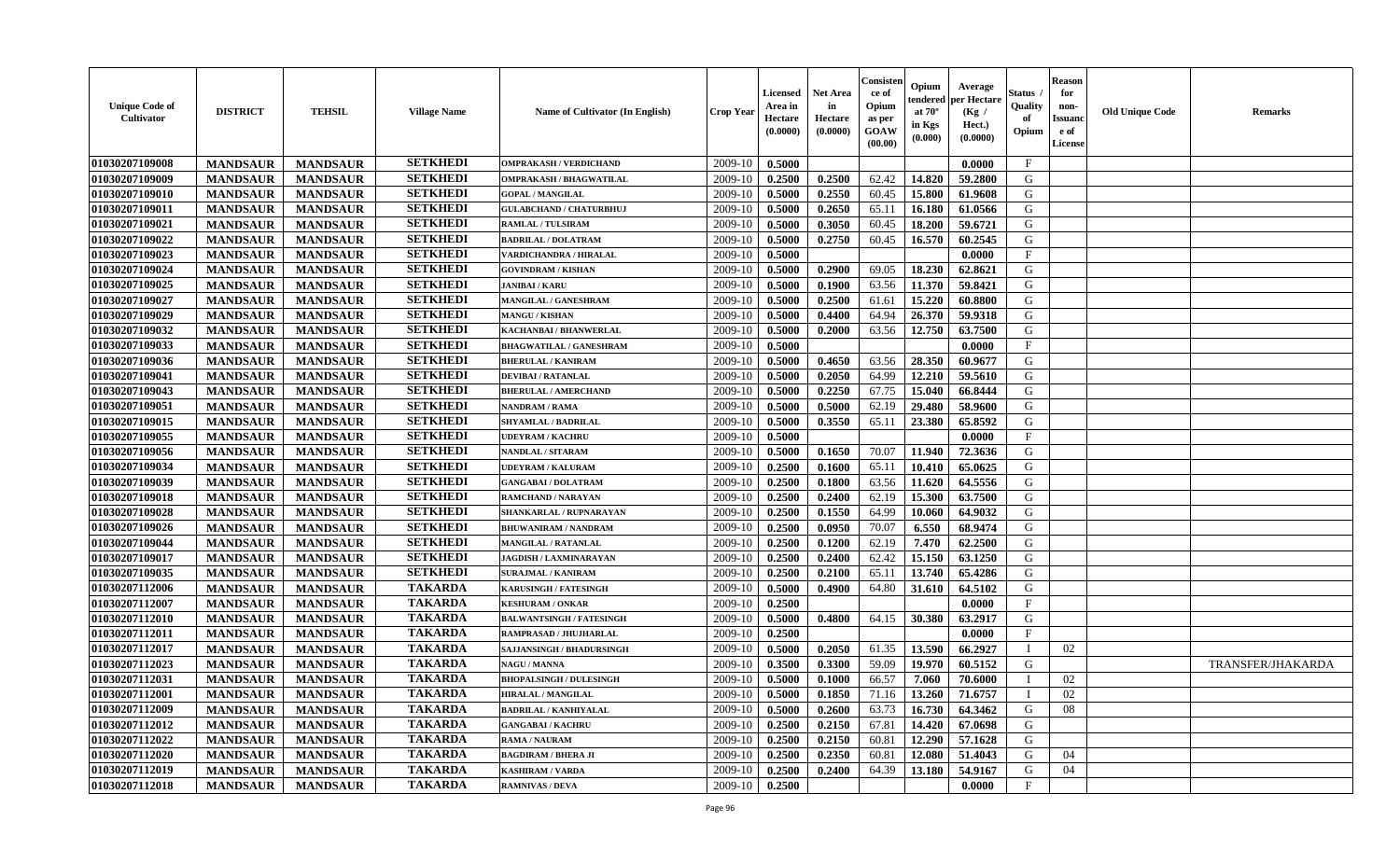| <b>Unique Code of</b><br>Cultivator | <b>DISTRICT</b>                    | <b>TEHSIL</b>   | <b>Village Name</b> | Name of Cultivator (In English)  | <b>Crop Year</b> | Licensed<br>Area in<br>Hectare<br>(0.0000) | <b>Net Area</b><br>in<br>Hectare<br>(0.0000) | Consister<br>ce of<br>Opium<br>as per<br>GOAW<br>(00.00) | Opium<br>endered<br>at $70^\circ$<br>in Kgs<br>(0.000) | Average<br>per Hectare<br>(Kg /<br>Hect.)<br>(0.0000) | <b>Status</b><br>Quality<br>of<br>Opium | <b>Reason</b><br>for<br>non-<br><b>Issuanc</b><br>e of<br>License | <b>Old Unique Code</b> | <b>Remarks</b>    |
|-------------------------------------|------------------------------------|-----------------|---------------------|----------------------------------|------------------|--------------------------------------------|----------------------------------------------|----------------------------------------------------------|--------------------------------------------------------|-------------------------------------------------------|-----------------------------------------|-------------------------------------------------------------------|------------------------|-------------------|
| 01030207109008                      | <b>MANDSAUR</b>                    | <b>MANDSAUR</b> | <b>SETKHEDI</b>     | <b>OMPRAKASH / VERDICHAND</b>    | 2009-10          | 0.5000                                     |                                              |                                                          |                                                        | 0.0000                                                | $\mathbf{F}$                            |                                                                   |                        |                   |
| 01030207109009                      | <b>MANDSAUR</b>                    | <b>MANDSAUR</b> | <b>SETKHEDI</b>     | OMPRAKASH / BHAGWATILAL          | 2009-10          | 0.2500                                     | 0.2500                                       | 62.42                                                    | 14.820                                                 | 59.2800                                               | G                                       |                                                                   |                        |                   |
| 01030207109010                      | <b>MANDSAUR</b>                    | <b>MANDSAUR</b> | <b>SETKHEDI</b>     | <b>GOPAL / MANGILAL</b>          | 2009-10          | 0.5000                                     | 0.2550                                       | 60.45                                                    | 15.800                                                 | 61.9608                                               | G                                       |                                                                   |                        |                   |
| 01030207109011                      | <b>MANDSAUR</b>                    | <b>MANDSAUR</b> | <b>SETKHEDI</b>     | <b>GULABCHAND / CHATURBHUJ</b>   | 2009-10          | 0.5000                                     | 0.2650                                       | 65.11                                                    | 16.180                                                 | 61.0566                                               | G                                       |                                                                   |                        |                   |
| 01030207109021                      | <b>MANDSAUR</b>                    | <b>MANDSAUR</b> | <b>SETKHEDI</b>     | <b>RAMLAL / TULSIRAM</b>         | 2009-10          | 0.5000                                     | 0.3050                                       | 60.45                                                    | 18.200                                                 | 59.6721                                               | G                                       |                                                                   |                        |                   |
| 01030207109022                      | <b>MANDSAUR</b>                    | <b>MANDSAUR</b> | <b>SETKHEDI</b>     | <b>BADRILAL / DOLATRAM</b>       | 2009-10          | 0.5000                                     | 0.2750                                       | 60.45                                                    | 16.570                                                 | 60.2545                                               | G                                       |                                                                   |                        |                   |
| 01030207109023                      | <b>MANDSAUR</b>                    | <b>MANDSAUR</b> | <b>SETKHEDI</b>     | VARDICHANDRA / HIRALAL           | 2009-10          | 0.5000                                     |                                              |                                                          |                                                        | 0.0000                                                | $\boldsymbol{\mathrm{F}}$               |                                                                   |                        |                   |
| 01030207109024                      | <b>MANDSAUR</b>                    | <b>MANDSAUR</b> | <b>SETKHEDI</b>     | <b>GOVINDRAM / KISHAN</b>        | 2009-10          | 0.5000                                     | 0.2900                                       | 69.05                                                    | 18.230                                                 | 62.8621                                               | G                                       |                                                                   |                        |                   |
| 01030207109025                      | <b>MANDSAUR</b>                    | <b>MANDSAUR</b> | <b>SETKHEDI</b>     | <b>JANIBAI / KARU</b>            | 2009-10          | 0.5000                                     | 0.1900                                       | 63.56                                                    | 11.370                                                 | 59.8421                                               | G                                       |                                                                   |                        |                   |
| 01030207109027                      | <b>MANDSAUR</b>                    | <b>MANDSAUR</b> | <b>SETKHEDI</b>     | MANGILAL / GANESHRAM             | 2009-10          | 0.5000                                     | 0.2500                                       | 61.61                                                    | 15.220                                                 | 60.8800                                               | G                                       |                                                                   |                        |                   |
| 01030207109029                      | <b>MANDSAUR</b>                    | <b>MANDSAUR</b> | <b>SETKHEDI</b>     | <b>MANGU / KISHAN</b>            | 2009-10          | 0.5000                                     | 0.4400                                       | 64.94                                                    | 26.370                                                 | 59.9318                                               | $\mathbf G$                             |                                                                   |                        |                   |
| 01030207109032                      | <b>MANDSAUR</b>                    | <b>MANDSAUR</b> | <b>SETKHEDI</b>     | KACHANBAI / BHANWERLAL           | 2009-10          | 0.5000                                     | 0.2000                                       | 63.56                                                    | 12.750                                                 | 63.7500                                               | G                                       |                                                                   |                        |                   |
| 01030207109033                      | <b>MANDSAUR</b>                    | <b>MANDSAUR</b> | <b>SETKHEDI</b>     | <b>BHAGWATILAL / GANESHRAM</b>   | 2009-10          | 0.5000                                     |                                              |                                                          |                                                        | 0.0000                                                | $\mathbf F$                             |                                                                   |                        |                   |
| 01030207109036                      | <b>MANDSAUR</b>                    | <b>MANDSAUR</b> | <b>SETKHEDI</b>     | <b>BHERULAL / KANIRAM</b>        | 2009-10          | 0.5000                                     | 0.4650                                       | 63.56                                                    | 28.350                                                 | 60.9677                                               | G                                       |                                                                   |                        |                   |
| 01030207109041                      | <b>MANDSAUR</b>                    | <b>MANDSAUR</b> | <b>SETKHEDI</b>     | <b>DEVIBAI/RATANLAL</b>          | 2009-10          | 0.5000                                     | 0.2050                                       | 64.99                                                    | 12.210                                                 | 59.5610                                               | G                                       |                                                                   |                        |                   |
| 01030207109043                      | <b>MANDSAUR</b>                    | <b>MANDSAUR</b> | <b>SETKHEDI</b>     | <b>BHERULAL / AMERCHAND</b>      | 2009-10          | 0.5000                                     | 0.2250                                       | 67.75                                                    | 15.040                                                 | 66.8444                                               | G                                       |                                                                   |                        |                   |
| 01030207109051                      | <b>MANDSAUR</b>                    | <b>MANDSAUR</b> | <b>SETKHEDI</b>     | NANDRAM / RAMA                   | 2009-10          | 0.5000                                     | 0.5000                                       | 62.19                                                    | 29.480                                                 | 58.9600                                               | G                                       |                                                                   |                        |                   |
| 01030207109015                      | <b>MANDSAUR</b>                    | <b>MANDSAUR</b> | <b>SETKHEDI</b>     | <b>SHYAMLAL / BADRILAL</b>       | 2009-10          | 0.5000                                     | 0.3550                                       | 65.11                                                    | 23.380                                                 | 65.8592                                               | G                                       |                                                                   |                        |                   |
| 01030207109055                      | <b>MANDSAUR</b>                    | <b>MANDSAUR</b> | <b>SETKHEDI</b>     | <b>UDEYRAM / KACHRU</b>          | 2009-10          | 0.5000                                     |                                              |                                                          |                                                        | 0.0000                                                | $\mathbf{F}$                            |                                                                   |                        |                   |
| 01030207109056                      | <b>MANDSAUR</b>                    | <b>MANDSAUR</b> | <b>SETKHEDI</b>     | <b>NANDLAL / SITARAM</b>         | 2009-10          | 0.5000                                     | 0.1650                                       | 70.07                                                    | 11.940                                                 | 72.3636                                               | G                                       |                                                                   |                        |                   |
| 01030207109034                      | <b>MANDSAUR</b>                    | <b>MANDSAUR</b> | <b>SETKHEDI</b>     | <b>UDEYRAM / KALURAM</b>         | 2009-10          | 0.2500                                     | 0.1600                                       | 65.11                                                    | 10.410                                                 | 65.0625                                               | G                                       |                                                                   |                        |                   |
| 01030207109039                      | <b>MANDSAUR</b>                    | <b>MANDSAUR</b> | <b>SETKHEDI</b>     | <b>GANGABAI/DOLATRAM</b>         | 2009-10          | 0.2500                                     | 0.1800                                       | 63.56                                                    | 11.620                                                 | 64.5556                                               | G                                       |                                                                   |                        |                   |
| 01030207109018                      | <b>MANDSAUR</b>                    | <b>MANDSAUR</b> | <b>SETKHEDI</b>     | RAMCHAND / NARAYAN               | 2009-10          | 0.2500                                     | 0.2400                                       | 62.19                                                    | 15.300                                                 | 63.7500                                               | ${\bf G}$                               |                                                                   |                        |                   |
| 01030207109028                      | <b>MANDSAUR</b>                    | <b>MANDSAUR</b> | <b>SETKHEDI</b>     | SHANKARLAL / RUPNARAYAN          | 2009-10          | 0.2500                                     | 0.1550                                       | 64.99                                                    | 10.060                                                 | 64.9032                                               | G                                       |                                                                   |                        |                   |
| 01030207109026                      | <b>MANDSAUR</b>                    | <b>MANDSAUR</b> | <b>SETKHEDI</b>     | <b>BHUWANIRAM / NANDRAM</b>      | 2009-10          | 0.2500                                     | 0.0950                                       | 70.07                                                    | 6.550                                                  | 68.9474                                               | G                                       |                                                                   |                        |                   |
| 01030207109044                      |                                    | <b>MANDSAUR</b> | <b>SETKHEDI</b>     | <b>MANGILAL / RATANLAL</b>       | 2009-10          | 0.2500                                     | 0.1200                                       | 62.19                                                    | 7.470                                                  | 62.2500                                               | G                                       |                                                                   |                        |                   |
| 01030207109017                      | <b>MANDSAUR</b><br><b>MANDSAUR</b> | <b>MANDSAUR</b> | <b>SETKHEDI</b>     | <b>JAGDISH / LAXMINARAYAN</b>    | 2009-10          | 0.2500                                     | 0.2400                                       | 62.42                                                    | 15.150                                                 | 63.1250                                               | G                                       |                                                                   |                        |                   |
| 01030207109035                      | <b>MANDSAUR</b>                    | <b>MANDSAUR</b> | <b>SETKHEDI</b>     | <b>SURAJMAL / KANIRAM</b>        | 2009-10          | 0.2500                                     | 0.2100                                       | 65.11                                                    | 13.740                                                 | 65.4286                                               | G                                       |                                                                   |                        |                   |
| 01030207112006                      | <b>MANDSAUR</b>                    | <b>MANDSAUR</b> | <b>TAKARDA</b>      | <b>KARUSINGH / FATESINGH</b>     | 2009-10          | 0.5000                                     | 0.4900                                       | 64.80                                                    | 31.610                                                 | 64.5102                                               | G                                       |                                                                   |                        |                   |
| 01030207112007                      | <b>MANDSAUR</b>                    | <b>MANDSAUR</b> | <b>TAKARDA</b>      | <b>KESHURAM / ONKAR</b>          | 2009-10          | 0.2500                                     |                                              |                                                          |                                                        | 0.0000                                                | $\mathbf{F}$                            |                                                                   |                        |                   |
| 01030207112010                      |                                    | <b>MANDSAUR</b> | <b>TAKARDA</b>      |                                  |                  |                                            | 0.4800                                       | 64.15                                                    | 30.380                                                 |                                                       | G                                       |                                                                   |                        |                   |
|                                     | <b>MANDSAUR</b>                    |                 |                     | <b>BALWANTSINGH / FATESINGH</b>  | 2009-10          | 0.5000                                     |                                              |                                                          |                                                        | 63.2917                                               |                                         |                                                                   |                        |                   |
| 01030207112011                      | <b>MANDSAUR</b>                    | <b>MANDSAUR</b> | <b>TAKARDA</b>      | RAMPRASAD / JHUJHARLAL           | 2009-10          | 0.2500                                     |                                              |                                                          |                                                        | 0.0000                                                | F                                       |                                                                   |                        |                   |
| 01030207112017                      | <b>MANDSAUR</b>                    | <b>MANDSAUR</b> | <b>TAKARDA</b>      | <b>SAJJANSINGH / BHADURSINGH</b> | 2009-10          | 0.5000                                     | 0.2050                                       | 61.35                                                    | 13.590                                                 | 66.2927                                               | T                                       | 02                                                                |                        |                   |
| 01030207112023                      | <b>MANDSAUR</b>                    | <b>MANDSAUR</b> | <b>TAKARDA</b>      | NAGU / MANNA                     | 2009-10          | 0.3500                                     | 0.3300                                       | 59.09                                                    | 19.970                                                 | 60.5152                                               | G                                       |                                                                   |                        | TRANSFER/JHAKARDA |
| 01030207112031                      | <b>MANDSAUR</b>                    | <b>MANDSAUR</b> | <b>TAKARDA</b>      | <b>BHOPALSINGH / DULESINGH</b>   | 2009-10          | 0.5000                                     | 0.1000                                       | 66.57                                                    | 7.060                                                  | 70.6000                                               |                                         | 02                                                                |                        |                   |
| 01030207112001                      | <b>MANDSAUR</b>                    | <b>MANDSAUR</b> | <b>TAKARDA</b>      | <b>HIRALAL / MANGILAL</b>        | 2009-10          | 0.5000                                     | 0.1850                                       | 71.16                                                    | 13.260                                                 | 71.6757                                               | $\mathbf I$                             | 02                                                                |                        |                   |
| 01030207112009                      | <b>MANDSAUR</b>                    | <b>MANDSAUR</b> | <b>TAKARDA</b>      | <b>BADRILAL / KANHIYALAL</b>     | 2009-10          | 0.5000                                     | 0.2600                                       | 63.73                                                    | 16.730                                                 | 64.3462                                               | G                                       | 08                                                                |                        |                   |
| 01030207112012                      | <b>MANDSAUR</b>                    | <b>MANDSAUR</b> | <b>TAKARDA</b>      | <b>GANGABAI/KACHRU</b>           | 2009-10          | 0.2500                                     | 0.2150                                       | 67.81                                                    | 14.420                                                 | 67.0698                                               | G                                       |                                                                   |                        |                   |
| 01030207112022                      | <b>MANDSAUR</b>                    | <b>MANDSAUR</b> | <b>TAKARDA</b>      | <b>RAMA / NAURAM</b>             | 2009-10          | 0.2500                                     | 0.2150                                       | 60.81                                                    | 12.290                                                 | 57.1628                                               | ${\bf G}$                               |                                                                   |                        |                   |
| 01030207112020                      | <b>MANDSAUR</b>                    | <b>MANDSAUR</b> | <b>TAKARDA</b>      | <b>BAGDIRAM / BHERA JI</b>       | 2009-10          | 0.2500                                     | 0.2350                                       | 60.81                                                    | 12.080                                                 | 51.4043                                               | G                                       | 04                                                                |                        |                   |
| 01030207112019                      | <b>MANDSAUR</b>                    | <b>MANDSAUR</b> | <b>TAKARDA</b>      | <b>KASHIRAM / VARDA</b>          | 2009-10          | 0.2500                                     | 0.2400                                       | 64.39                                                    | 13.180                                                 | 54.9167                                               | G                                       | 04                                                                |                        |                   |
| 01030207112018                      | <b>MANDSAUR</b>                    | <b>MANDSAUR</b> | <b>TAKARDA</b>      | <b>RAMNIVAS / DEVA</b>           | 2009-10          | 0.2500                                     |                                              |                                                          |                                                        | 0.0000                                                | F                                       |                                                                   |                        |                   |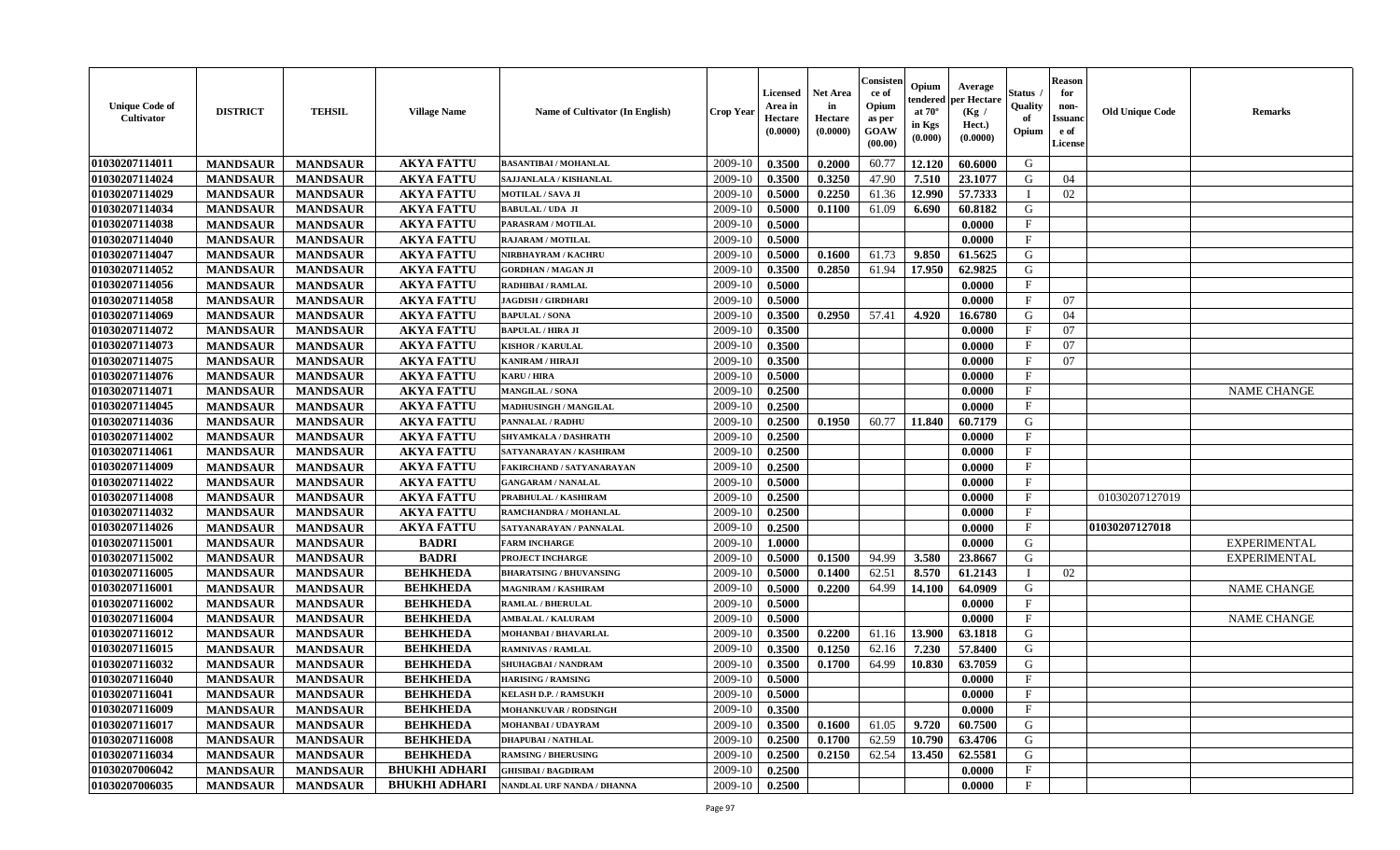| <b>Unique Code of</b><br>Cultivator | <b>DISTRICT</b> | <b>TEHSIL</b>   | <b>Village Name</b>  | Name of Cultivator (In English) | <b>Crop Year</b> | <b>Licensed</b><br>Area in<br>Hectare<br>(0.0000) | <b>Net Area</b><br>in<br>Hectare<br>(0.0000) | Consisteı<br>ce of<br>Opium<br>as per<br><b>GOAW</b><br>(00.00) | Opium<br>endered<br>at $70^\circ$<br>in Kgs<br>(0.000) | Average<br>per Hectare<br>(Kg /<br>Hect.)<br>(0.0000) | Status<br>Quality<br>of<br>Opium | <b>Reason</b><br>for<br>non-<br>Issuan<br>e of<br>License | <b>Old Unique Code</b> | <b>Remarks</b>      |
|-------------------------------------|-----------------|-----------------|----------------------|---------------------------------|------------------|---------------------------------------------------|----------------------------------------------|-----------------------------------------------------------------|--------------------------------------------------------|-------------------------------------------------------|----------------------------------|-----------------------------------------------------------|------------------------|---------------------|
| 01030207114011                      | <b>MANDSAUR</b> | <b>MANDSAUR</b> | <b>AKYA FATTU</b>    | <b>BASANTIBAI / MOHANLAL</b>    | 2009-10          | 0.3500                                            | 0.2000                                       | 60.77                                                           | 12.120                                                 | 60.6000                                               | G                                |                                                           |                        |                     |
| 01030207114024                      | <b>MANDSAUR</b> | <b>MANDSAUR</b> | <b>AKYA FATTU</b>    | SAJJANLALA / KISHANLAL          | 2009-10          | 0.3500                                            | 0.3250                                       | 47.90                                                           | 7.510                                                  | 23.1077                                               | G                                | 04                                                        |                        |                     |
| 01030207114029                      | <b>MANDSAUR</b> | <b>MANDSAUR</b> | <b>AKYA FATTU</b>    | <b>MOTILAL / SAVA JI</b>        | 2009-10          | 0.5000                                            | 0.2250                                       | 61.36                                                           | 12.990                                                 | 57.7333                                               | $\blacksquare$                   | 02                                                        |                        |                     |
| 01030207114034                      | <b>MANDSAUR</b> | <b>MANDSAUR</b> | <b>AKYA FATTU</b>    | <b>BABULAL/UDA JI</b>           | 2009-10          | 0.5000                                            | 0.1100                                       | 61.09                                                           | 6.690                                                  | 60.8182                                               | G                                |                                                           |                        |                     |
| 01030207114038                      | <b>MANDSAUR</b> | <b>MANDSAUR</b> | <b>AKYA FATTU</b>    | PARASRAM / MOTILAL              | 2009-10          | 0.5000                                            |                                              |                                                                 |                                                        | 0.0000                                                | $_{\rm F}$                       |                                                           |                        |                     |
| 01030207114040                      | <b>MANDSAUR</b> | <b>MANDSAUR</b> | <b>AKYA FATTU</b>    | <b>RAJARAM / MOTILAL</b>        | 2009-10          | 0.5000                                            |                                              |                                                                 |                                                        | 0.0000                                                | $\mathbf{F}$                     |                                                           |                        |                     |
| 01030207114047                      | <b>MANDSAUR</b> | <b>MANDSAUR</b> | <b>AKYA FATTU</b>    | NIRBHAYRAM / KACHRU             | 2009-10          | 0.5000                                            | 0.1600                                       | 61.73                                                           | 9.850                                                  | 61.5625                                               | G                                |                                                           |                        |                     |
| 01030207114052                      | <b>MANDSAUR</b> | <b>MANDSAUR</b> | <b>AKYA FATTU</b>    | <b>GORDHAN / MAGAN JI</b>       | 2009-10          | 0.3500                                            | 0.2850                                       | 61.94                                                           | 17.950                                                 | 62.9825                                               | G                                |                                                           |                        |                     |
| 01030207114056                      | <b>MANDSAUR</b> | <b>MANDSAUR</b> | <b>AKYA FATTU</b>    | RADHIBAI / RAMLAL               | 2009-10          | 0.5000                                            |                                              |                                                                 |                                                        | 0.0000                                                | $_{\rm F}$                       |                                                           |                        |                     |
| 01030207114058                      | <b>MANDSAUR</b> | <b>MANDSAUR</b> | <b>AKYA FATTU</b>    | <b>JAGDISH / GIRDHARI</b>       | 2009-10          | 0.5000                                            |                                              |                                                                 |                                                        | 0.0000                                                | $\mathbf{F}$                     | 07                                                        |                        |                     |
| 01030207114069                      | <b>MANDSAUR</b> | <b>MANDSAUR</b> | <b>AKYA FATTU</b>    | <b>BAPULAL / SONA</b>           | 2009-10          | 0.3500                                            | 0.2950                                       | 57.41                                                           | 4.920                                                  | 16.6780                                               | G                                | 04                                                        |                        |                     |
| 01030207114072                      | <b>MANDSAUR</b> | <b>MANDSAUR</b> | <b>AKYA FATTU</b>    | <b>BAPULAL / HIRA JI</b>        | 2009-10          | 0.3500                                            |                                              |                                                                 |                                                        | 0.0000                                                | $_{\rm F}$                       | 07                                                        |                        |                     |
| 01030207114073                      | <b>MANDSAUR</b> | <b>MANDSAUR</b> | <b>AKYA FATTU</b>    | <b>KISHOR / KARULAL</b>         | 2009-10          | 0.3500                                            |                                              |                                                                 |                                                        | 0.0000                                                | $\mathbf{F}$                     | 07                                                        |                        |                     |
| 01030207114075                      | <b>MANDSAUR</b> | <b>MANDSAUR</b> | <b>AKYA FATTU</b>    | <b>KANIRAM / HIRAJI</b>         | 2009-10          | 0.3500                                            |                                              |                                                                 |                                                        | 0.0000                                                | $\mathbf{F}$                     | 07                                                        |                        |                     |
| 01030207114076                      | <b>MANDSAUR</b> | <b>MANDSAUR</b> | <b>AKYA FATTU</b>    | <b>KARU / HIRA</b>              | 2009-10          | 0.5000                                            |                                              |                                                                 |                                                        | 0.0000                                                | $\mathbf{F}$                     |                                                           |                        |                     |
| 01030207114071                      | <b>MANDSAUR</b> | <b>MANDSAUR</b> | <b>AKYA FATTU</b>    | <b>MANGILAL / SONA</b>          | 2009-10          | 0.2500                                            |                                              |                                                                 |                                                        | 0.0000                                                | F                                |                                                           |                        | <b>NAME CHANGE</b>  |
| 01030207114045                      | <b>MANDSAUR</b> | <b>MANDSAUR</b> | <b>AKYA FATTU</b>    | MADHUSINGH / MANGILAL           | 2009-10          | 0.2500                                            |                                              |                                                                 |                                                        | 0.0000                                                | $\mathbf F$                      |                                                           |                        |                     |
| 01030207114036                      | <b>MANDSAUR</b> | <b>MANDSAUR</b> | <b>AKYA FATTU</b>    | <b>PANNALAL / RADHU</b>         | 2009-10          | 0.2500                                            | 0.1950                                       | 60.77                                                           | 11.840                                                 | 60.7179                                               | G                                |                                                           |                        |                     |
| 01030207114002                      | <b>MANDSAUR</b> | <b>MANDSAUR</b> | <b>AKYA FATTU</b>    | <b>SHYAMKALA / DASHRATH</b>     | 2009-10          | 0.2500                                            |                                              |                                                                 |                                                        | 0.0000                                                | F                                |                                                           |                        |                     |
| 01030207114061                      | <b>MANDSAUR</b> | <b>MANDSAUR</b> | <b>AKYA FATTU</b>    | SATYANARAYAN / KASHIRAM         | 2009-10          | 0.2500                                            |                                              |                                                                 |                                                        | 0.0000                                                | $\mathbf{F}$                     |                                                           |                        |                     |
| 01030207114009                      | <b>MANDSAUR</b> | <b>MANDSAUR</b> | <b>AKYA FATTU</b>    | FAKIRCHAND / SATYANARAYAN       | 2009-10          | 0.2500                                            |                                              |                                                                 |                                                        | 0.0000                                                | F                                |                                                           |                        |                     |
| 01030207114022                      | <b>MANDSAUR</b> | <b>MANDSAUR</b> | <b>AKYA FATTU</b>    | <b>GANGARAM / NANALAL</b>       | 2009-10          | 0.5000                                            |                                              |                                                                 |                                                        | 0.0000                                                | $\mathbf{F}$                     |                                                           |                        |                     |
| 01030207114008                      | <b>MANDSAUR</b> | <b>MANDSAUR</b> | <b>AKYA FATTU</b>    | PRABHULAL / KASHIRAM            | 2009-10          | 0.2500                                            |                                              |                                                                 |                                                        | 0.0000                                                | $\mathbf{F}$                     |                                                           | 01030207127019         |                     |
| 01030207114032                      | <b>MANDSAUR</b> | <b>MANDSAUR</b> | <b>AKYA FATTU</b>    | RAMCHANDRA / MOHANLAL           | 2009-10          | 0.2500                                            |                                              |                                                                 |                                                        | 0.0000                                                | $\mathbf{F}$                     |                                                           |                        |                     |
| 01030207114026                      | <b>MANDSAUR</b> | <b>MANDSAUR</b> | <b>AKYA FATTU</b>    | SATYANARAYAN / PANNALAL         | 2009-10          | 0.2500                                            |                                              |                                                                 |                                                        | 0.0000                                                | $\mathbf{F}$                     |                                                           | 01030207127018         |                     |
| 01030207115001                      | <b>MANDSAUR</b> | <b>MANDSAUR</b> | <b>BADRI</b>         | <b>FARM INCHARGE</b>            | 2009-10          | 1.0000                                            |                                              |                                                                 |                                                        | 0.0000                                                | G                                |                                                           |                        | <b>EXPERIMENTAL</b> |
| 01030207115002                      | <b>MANDSAUR</b> | <b>MANDSAUR</b> | <b>BADRI</b>         | PROJECT INCHARGE                | 2009-10          | 0.5000                                            | 0.1500                                       | 94.99                                                           | 3.580                                                  | 23.8667                                               | G                                |                                                           |                        | <b>EXPERIMENTAL</b> |
| 01030207116005                      | <b>MANDSAUR</b> | <b>MANDSAUR</b> | <b>BEHKHEDA</b>      | <b>BHARATSING / BHUVANSING</b>  | 2009-10          | 0.5000                                            | 0.1400                                       | 62.51                                                           | 8.570                                                  | 61.2143                                               | - 1                              | 02                                                        |                        |                     |
| 01030207116001                      | <b>MANDSAUR</b> | <b>MANDSAUR</b> | <b>BEHKHEDA</b>      | <b>MAGNIRAM / KASHIRAM</b>      | 2009-10          | 0.5000                                            | 0.2200                                       | 64.99                                                           | 14.100                                                 | 64.0909                                               | G                                |                                                           |                        | <b>NAME CHANGE</b>  |
| 01030207116002                      | <b>MANDSAUR</b> | <b>MANDSAUR</b> | <b>BEHKHEDA</b>      | <b>RAMLAL / BHERULAL</b>        | 2009-10          | 0.5000                                            |                                              |                                                                 |                                                        | 0.0000                                                | $\mathbf{F}$                     |                                                           |                        |                     |
| 01030207116004                      | <b>MANDSAUR</b> | <b>MANDSAUR</b> | <b>BEHKHEDA</b>      | <b>AMBALAL / KALURAM</b>        | 2009-10          | 0.5000                                            |                                              |                                                                 |                                                        | 0.0000                                                | $\mathbf{F}$                     |                                                           |                        | NAME CHANGE         |
| 01030207116012                      | <b>MANDSAUR</b> | <b>MANDSAUR</b> | <b>BEHKHEDA</b>      | MOHANBAI / BHAVARLAL            | 2009-10          | 0.3500                                            | 0.2200                                       | 61.16                                                           | 13.900                                                 | 63.1818                                               | G                                |                                                           |                        |                     |
| 01030207116015                      | <b>MANDSAUR</b> | <b>MANDSAUR</b> | <b>BEHKHEDA</b>      | <b>RAMNIVAS / RAMLAL</b>        | 2009-10          | 0.3500                                            | 0.1250                                       | 62.16                                                           | 7.230                                                  | 57.8400                                               | G                                |                                                           |                        |                     |
| 01030207116032                      | <b>MANDSAUR</b> | <b>MANDSAUR</b> | <b>BEHKHEDA</b>      | SHUHAGBAI / NANDRAM             | 2009-10          | 0.3500                                            | 0.1700                                       | 64.99                                                           | 10.830                                                 | 63.7059                                               | G                                |                                                           |                        |                     |
| 01030207116040                      | <b>MANDSAUR</b> | <b>MANDSAUR</b> | <b>BEHKHEDA</b>      | <b>HARISING / RAMSING</b>       | 2009-10          | 0.5000                                            |                                              |                                                                 |                                                        | 0.0000                                                | $\mathbf{F}$                     |                                                           |                        |                     |
| <b>01030207116041</b>               | <b>MANDSAUR</b> | <b>MANDSAUR</b> | <b>BEHKHEDA</b>      | <b>KELASH D.P. / RAMSUKH</b>    | $2009-10$ 0.5000 |                                                   |                                              |                                                                 |                                                        | 0.0000                                                | F                                |                                                           |                        |                     |
| 01030207116009                      | <b>MANDSAUR</b> | <b>MANDSAUR</b> | <b>BEHKHEDA</b>      | <b>MOHANKUVAR / RODSINGH</b>    | 2009-10          | 0.3500                                            |                                              |                                                                 |                                                        | 0.0000                                                | $_{\rm F}$                       |                                                           |                        |                     |
| 01030207116017                      | <b>MANDSAUR</b> | <b>MANDSAUR</b> | <b>BEHKHEDA</b>      | MOHANBAI / UDAYRAM              | 2009-10          | 0.3500                                            | 0.1600                                       | 61.05                                                           | 9.720                                                  | 60.7500                                               | G                                |                                                           |                        |                     |
| 01030207116008                      | <b>MANDSAUR</b> | <b>MANDSAUR</b> | <b>BEHKHEDA</b>      | <b>DHAPUBAI/NATHLAL</b>         | 2009-10          | 0.2500                                            | 0.1700                                       | 62.59                                                           | 10.790                                                 | 63.4706                                               | G                                |                                                           |                        |                     |
| 01030207116034                      | <b>MANDSAUR</b> | <b>MANDSAUR</b> | <b>BEHKHEDA</b>      | <b>RAMSING / BHERUSING</b>      | 2009-10          | 0.2500                                            | 0.2150                                       | 62.54                                                           | 13.450                                                 | 62.5581                                               | G                                |                                                           |                        |                     |
| 01030207006042                      | <b>MANDSAUR</b> | <b>MANDSAUR</b> | <b>BHUKHI ADHARI</b> | <b>GHISIBAI/BAGDIRAM</b>        | 2009-10          | 0.2500                                            |                                              |                                                                 |                                                        | 0.0000                                                | $\mathbf{F}$                     |                                                           |                        |                     |
| 01030207006035                      | <b>MANDSAUR</b> | <b>MANDSAUR</b> | <b>BHUKHI ADHARI</b> | NANDLAL URF NANDA / DHANNA      | 2009-10          | 0.2500                                            |                                              |                                                                 |                                                        | 0.0000                                                | $\mathbf{F}$                     |                                                           |                        |                     |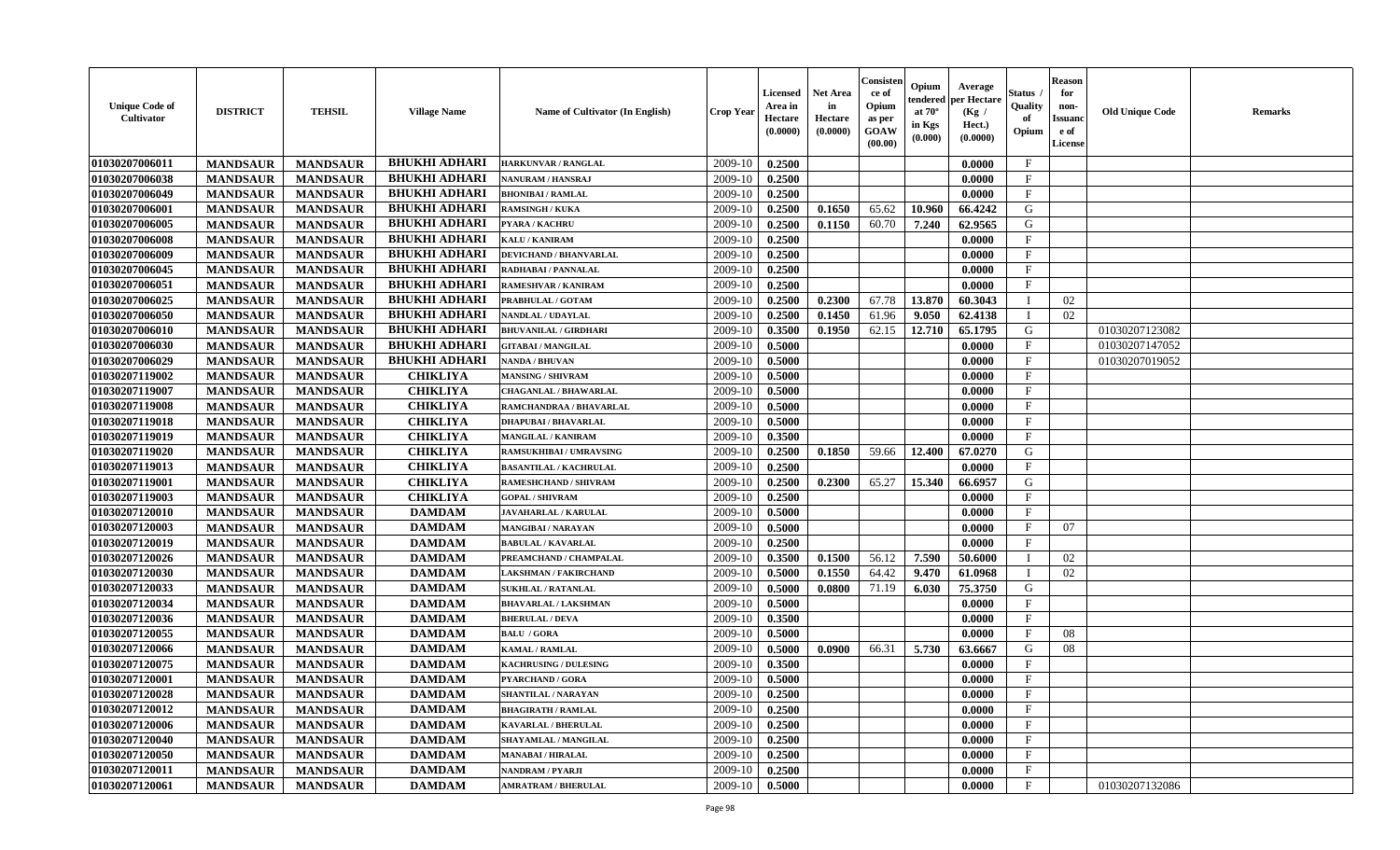| <b>Unique Code of</b><br><b>Cultivator</b> | <b>DISTRICT</b> | <b>TEHSIL</b>   | <b>Village Name</b>  | <b>Name of Cultivator (In English)</b> | <b>Crop Year</b> | <b>Licensed</b><br>Area in<br>Hectare<br>(0.0000) | <b>Net Area</b><br>in<br>Hectare<br>(0.0000) | Consister<br>ce of<br>Opium<br>as per<br><b>GOAW</b><br>(00.00) | Opium<br>endered<br>at $70^\circ$<br>in Kgs<br>(0.000) | Average<br>per Hectare<br>(Kg /<br>Hect.)<br>(0.0000) | Status<br>Quality<br>of<br>Opium | <b>Reason</b><br>for<br>non-<br><b>Issuand</b><br>e of<br>License | <b>Old Unique Code</b> | <b>Remarks</b> |
|--------------------------------------------|-----------------|-----------------|----------------------|----------------------------------------|------------------|---------------------------------------------------|----------------------------------------------|-----------------------------------------------------------------|--------------------------------------------------------|-------------------------------------------------------|----------------------------------|-------------------------------------------------------------------|------------------------|----------------|
| 01030207006011                             | <b>MANDSAUR</b> | <b>MANDSAUR</b> | <b>BHUKHI ADHARI</b> | <b>HARKUNVAR / RANGLAL</b>             | 2009-10          | 0.2500                                            |                                              |                                                                 |                                                        | 0.0000                                                | $\mathbf{F}$                     |                                                                   |                        |                |
| 01030207006038                             | <b>MANDSAUR</b> | <b>MANDSAUR</b> | <b>BHUKHI ADHARI</b> | <b>NANURAM / HANSRAJ</b>               | 2009-10          | 0.2500                                            |                                              |                                                                 |                                                        | 0.0000                                                | $\mathbf F$                      |                                                                   |                        |                |
| 01030207006049                             | <b>MANDSAUR</b> | <b>MANDSAUR</b> | <b>BHUKHI ADHARI</b> | <b>BHONIBAI/RAMLAL</b>                 | 2009-10          | 0.2500                                            |                                              |                                                                 |                                                        | 0.0000                                                | $\mathbf{F}$                     |                                                                   |                        |                |
| 01030207006001                             | <b>MANDSAUR</b> | <b>MANDSAUR</b> | <b>BHUKHI ADHARI</b> | <b>RAMSINGH / KUKA</b>                 | 2009-10          | 0.2500                                            | 0.1650                                       | 65.62                                                           | 10.960                                                 | 66.4242                                               | G                                |                                                                   |                        |                |
| 01030207006005                             | <b>MANDSAUR</b> | <b>MANDSAUR</b> | <b>BHUKHI ADHARI</b> | <b>PYARA / KACHRU</b>                  | 2009-10          | 0.2500                                            | 0.1150                                       | 60.70                                                           | 7.240                                                  | 62.9565                                               | G                                |                                                                   |                        |                |
| 01030207006008                             | <b>MANDSAUR</b> | <b>MANDSAUR</b> | <b>BHUKHI ADHARI</b> | KALU / KANIRAM                         | 2009-10          | 0.2500                                            |                                              |                                                                 |                                                        | 0.0000                                                | $_{\rm F}$                       |                                                                   |                        |                |
| 01030207006009                             | <b>MANDSAUR</b> | <b>MANDSAUR</b> | <b>BHUKHI ADHARI</b> | <b>DEVICHAND / BHANVARLAL</b>          | 2009-10          | 0.2500                                            |                                              |                                                                 |                                                        | 0.0000                                                | $\mathbf{F}$                     |                                                                   |                        |                |
| 01030207006045                             | <b>MANDSAUR</b> | <b>MANDSAUR</b> | <b>BHUKHI ADHARI</b> | RADHABAI / PANNALAL                    | 2009-10          | 0.2500                                            |                                              |                                                                 |                                                        | 0.0000                                                | $\mathbf{F}$                     |                                                                   |                        |                |
| 01030207006051                             | <b>MANDSAUR</b> | <b>MANDSAUR</b> | <b>BHUKHI ADHARI</b> | <b>RAMESHVAR / KANIRAM</b>             | 2009-10          | 0.2500                                            |                                              |                                                                 |                                                        | 0.0000                                                | $\rm F$                          |                                                                   |                        |                |
| 01030207006025                             | <b>MANDSAUR</b> | <b>MANDSAUR</b> | <b>BHUKHI ADHARI</b> | PRABHULAL / GOTAM                      | 2009-10          | 0.2500                                            | 0.2300                                       | 67.78                                                           | 13.870                                                 | 60.3043                                               | <sup>1</sup>                     | 02                                                                |                        |                |
| 01030207006050                             | <b>MANDSAUR</b> | <b>MANDSAUR</b> | <b>BHUKHI ADHARI</b> | NANDLAL / UDAYLAL                      | 2009-10          | 0.2500                                            | 0.1450                                       | 61.96                                                           | 9.050                                                  | 62.4138                                               | $\mathbf{I}$                     | 02                                                                |                        |                |
| 01030207006010                             | <b>MANDSAUR</b> | <b>MANDSAUR</b> | <b>BHUKHI ADHARI</b> | <b>BHUVANILAL / GIRDHARI</b>           | 2009-10          | 0.3500                                            | 0.1950                                       | 62.15                                                           | 12.710                                                 | 65.1795                                               | G                                |                                                                   | 01030207123082         |                |
| 01030207006030                             | <b>MANDSAUR</b> | <b>MANDSAUR</b> | <b>BHUKHI ADHARI</b> | <b>GITABAI/MANGILAL</b>                | 2009-10          | 0.5000                                            |                                              |                                                                 |                                                        | 0.0000                                                | $\mathbf{F}$                     |                                                                   | 01030207147052         |                |
| 01030207006029                             | <b>MANDSAUR</b> | <b>MANDSAUR</b> | <b>BHUKHI ADHARI</b> | NANDA / BHUVAN                         | 2009-10          | 0.5000                                            |                                              |                                                                 |                                                        | 0.0000                                                | $\mathbf{F}$                     |                                                                   | 01030207019052         |                |
| 01030207119002                             | <b>MANDSAUR</b> | <b>MANDSAUR</b> | <b>CHIKLIYA</b>      | <b>MANSING / SHIVRAM</b>               | 2009-10          | 0.5000                                            |                                              |                                                                 |                                                        | 0.0000                                                | $\mathbf{F}$                     |                                                                   |                        |                |
| 01030207119007                             | <b>MANDSAUR</b> | <b>MANDSAUR</b> | <b>CHIKLIYA</b>      | <b>CHAGANLAL / BHAWARLAL</b>           | 2009-10          | 0.5000                                            |                                              |                                                                 |                                                        | 0.0000                                                | $\rm F$                          |                                                                   |                        |                |
| 01030207119008                             | <b>MANDSAUR</b> | <b>MANDSAUR</b> | <b>CHIKLIYA</b>      | RAMCHANDRAA / BHAVARLAL                | 2009-10          | 0.5000                                            |                                              |                                                                 |                                                        | 0.0000                                                | $\rm F$                          |                                                                   |                        |                |
| 01030207119018                             | <b>MANDSAUR</b> | <b>MANDSAUR</b> | <b>CHIKLIYA</b>      | <b>DHAPUBAI/BHAVARLAL</b>              | 2009-10          | 0.5000                                            |                                              |                                                                 |                                                        | 0.0000                                                | $_{\rm F}$                       |                                                                   |                        |                |
| 01030207119019                             | <b>MANDSAUR</b> | <b>MANDSAUR</b> | <b>CHIKLIYA</b>      | <b>MANGILAL / KANIRAM</b>              | 2009-10          | 0.3500                                            |                                              |                                                                 |                                                        | 0.0000                                                | F                                |                                                                   |                        |                |
| 01030207119020                             | <b>MANDSAUR</b> | <b>MANDSAUR</b> | <b>CHIKLIYA</b>      | <b>RAMSUKHIBAI / UMRAVSING</b>         | 2009-10          | 0.2500                                            | 0.1850                                       | 59.66                                                           | 12.400                                                 | 67.0270                                               | G                                |                                                                   |                        |                |
| 01030207119013                             | <b>MANDSAUR</b> | <b>MANDSAUR</b> | <b>CHIKLIYA</b>      | <b>BASANTILAL / KACHRULAL</b>          | 2009-10          | 0.2500                                            |                                              |                                                                 |                                                        | 0.0000                                                | $\mathbf{F}$                     |                                                                   |                        |                |
| 01030207119001                             | <b>MANDSAUR</b> | <b>MANDSAUR</b> | <b>CHIKLIYA</b>      | <b>RAMESHCHAND / SHIVRAM</b>           | 2009-10          | 0.2500                                            | 0.2300                                       | 65.27                                                           | 15.340                                                 | 66.6957                                               | G                                |                                                                   |                        |                |
| 01030207119003                             | <b>MANDSAUR</b> | <b>MANDSAUR</b> | <b>CHIKLIYA</b>      | <b>GOPAL / SHIVRAM</b>                 | 2009-10          | 0.2500                                            |                                              |                                                                 |                                                        | 0.0000                                                | $\mathbf{F}$                     |                                                                   |                        |                |
| 01030207120010                             | <b>MANDSAUR</b> | <b>MANDSAUR</b> | <b>DAMDAM</b>        | <b>JAVAHARLAL / KARULAL</b>            | 2009-10          | 0.5000                                            |                                              |                                                                 |                                                        | 0.0000                                                | $\mathbf{F}$                     |                                                                   |                        |                |
| 01030207120003                             | <b>MANDSAUR</b> | <b>MANDSAUR</b> | <b>DAMDAM</b>        | <b>MANGIBAI/NARAYAN</b>                | 2009-10          | 0.5000                                            |                                              |                                                                 |                                                        | 0.0000                                                | $\mathbf{F}$                     | 07                                                                |                        |                |
| 01030207120019                             | <b>MANDSAUR</b> | <b>MANDSAUR</b> | <b>DAMDAM</b>        | <b>BABULAL / KAVARLAL</b>              | 2009-10          | 0.2500                                            |                                              |                                                                 |                                                        | 0.0000                                                | $_{\rm F}$                       |                                                                   |                        |                |
| 01030207120026                             | <b>MANDSAUR</b> | <b>MANDSAUR</b> | <b>DAMDAM</b>        | PREAMCHAND / CHAMPALAL                 | 2009-10          | 0.3500                                            | 0.1500                                       | 56.12                                                           | 7.590                                                  | 50.6000                                               | $\mathbf I$                      | 02                                                                |                        |                |
| 01030207120030                             | <b>MANDSAUR</b> | <b>MANDSAUR</b> | <b>DAMDAM</b>        | <b>LAKSHMAN / FAKIRCHAND</b>           | 2009-10          | 0.5000                                            | 0.1550                                       | 64.42                                                           | 9.470                                                  | 61.0968                                               | $\mathbf{I}$                     | 02                                                                |                        |                |
| 01030207120033                             | <b>MANDSAUR</b> | <b>MANDSAUR</b> | <b>DAMDAM</b>        | <b>SUKHLAL / RATANLAL</b>              | 2009-10          | 0.5000                                            | 0.0800                                       | 71.19                                                           | 6.030                                                  | 75.3750                                               | G                                |                                                                   |                        |                |
| 01030207120034                             | <b>MANDSAUR</b> | <b>MANDSAUR</b> | <b>DAMDAM</b>        | <b>BHAVARLAL / LAKSHMAN</b>            | 2009-10          | 0.5000                                            |                                              |                                                                 |                                                        | 0.0000                                                | $\mathbf{F}$                     |                                                                   |                        |                |
| 01030207120036                             | <b>MANDSAUR</b> | <b>MANDSAUR</b> | <b>DAMDAM</b>        | <b>BHERULAL / DEVA</b>                 | 2009-10          | 0.3500                                            |                                              |                                                                 |                                                        | 0.0000                                                | F                                |                                                                   |                        |                |
| 01030207120055                             | <b>MANDSAUR</b> | <b>MANDSAUR</b> | <b>DAMDAM</b>        | <b>BALU / GORA</b>                     | 2009-10          | 0.5000                                            |                                              |                                                                 |                                                        | 0.0000                                                | F                                | 08                                                                |                        |                |
| 01030207120066                             | <b>MANDSAUR</b> | <b>MANDSAUR</b> | <b>DAMDAM</b>        | KAMAL / RAMLAL                         | 2009-10          | 0.5000                                            | 0.0900                                       | 66.31                                                           | 5.730                                                  | 63.6667                                               | G                                | 08                                                                |                        |                |
| 01030207120075                             | <b>MANDSAUR</b> | <b>MANDSAUR</b> | <b>DAMDAM</b>        | <b>KACHRUSING / DULESING</b>           | 2009-10          | 0.3500                                            |                                              |                                                                 |                                                        | 0.0000                                                | $\mathbf{F}$                     |                                                                   |                        |                |
| 01030207120001                             | <b>MANDSAUR</b> | <b>MANDSAUR</b> | <b>DAMDAM</b>        | <b>PYARCHAND / GORA</b>                | 2009-10          | 0.5000                                            |                                              |                                                                 |                                                        | 0.0000                                                | $\mathbf{F}$                     |                                                                   |                        |                |
| 01030207120028                             | <b>MANDSAUR</b> | <b>MANDSAUR</b> | <b>DAMDAM</b>        | <b>SHANTILAL / NARAYAN</b>             | 2009-10          | 0.2500                                            |                                              |                                                                 |                                                        | 0.0000                                                | F                                |                                                                   |                        |                |
| 01030207120012                             | <b>MANDSAUR</b> | <b>MANDSAUR</b> | <b>DAMDAM</b>        | <b>BHAGIRATH / RAMLAL</b>              | 2009-10          | 0.2500                                            |                                              |                                                                 |                                                        | 0.0000                                                | $\mathbf{F}$                     |                                                                   |                        |                |
| 01030207120006                             | <b>MANDSAUR</b> | <b>MANDSAUR</b> | <b>DAMDAM</b>        | <b>KAVARLAL / BHERULAL</b>             | 2009-10          | 0.2500                                            |                                              |                                                                 |                                                        | 0.0000                                                | $\mathbf{F}$                     |                                                                   |                        |                |
| 01030207120040                             | <b>MANDSAUR</b> | <b>MANDSAUR</b> | <b>DAMDAM</b>        | SHAYAMLAL / MANGILAL                   | 2009-10          | 0.2500                                            |                                              |                                                                 |                                                        | 0.0000                                                | $\mathbf{F}$                     |                                                                   |                        |                |
| 01030207120050                             | <b>MANDSAUR</b> | <b>MANDSAUR</b> | <b>DAMDAM</b>        | <b>MANABAI/HIRALAL</b>                 | 2009-10          | 0.2500                                            |                                              |                                                                 |                                                        | 0.0000                                                | F                                |                                                                   |                        |                |
| 01030207120011                             | <b>MANDSAUR</b> | <b>MANDSAUR</b> | <b>DAMDAM</b>        | <b>NANDRAM / PYARJI</b>                | 2009-10          | 0.2500                                            |                                              |                                                                 |                                                        | 0.0000                                                | $\mathbf{F}$                     |                                                                   |                        |                |
| 01030207120061                             | <b>MANDSAUR</b> | <b>MANDSAUR</b> | <b>DAMDAM</b>        | <b>AMRATRAM / BHERULAL</b>             | 2009-10          | 0.5000                                            |                                              |                                                                 |                                                        | 0.0000                                                | $\mathbf{F}$                     |                                                                   | 01030207132086         |                |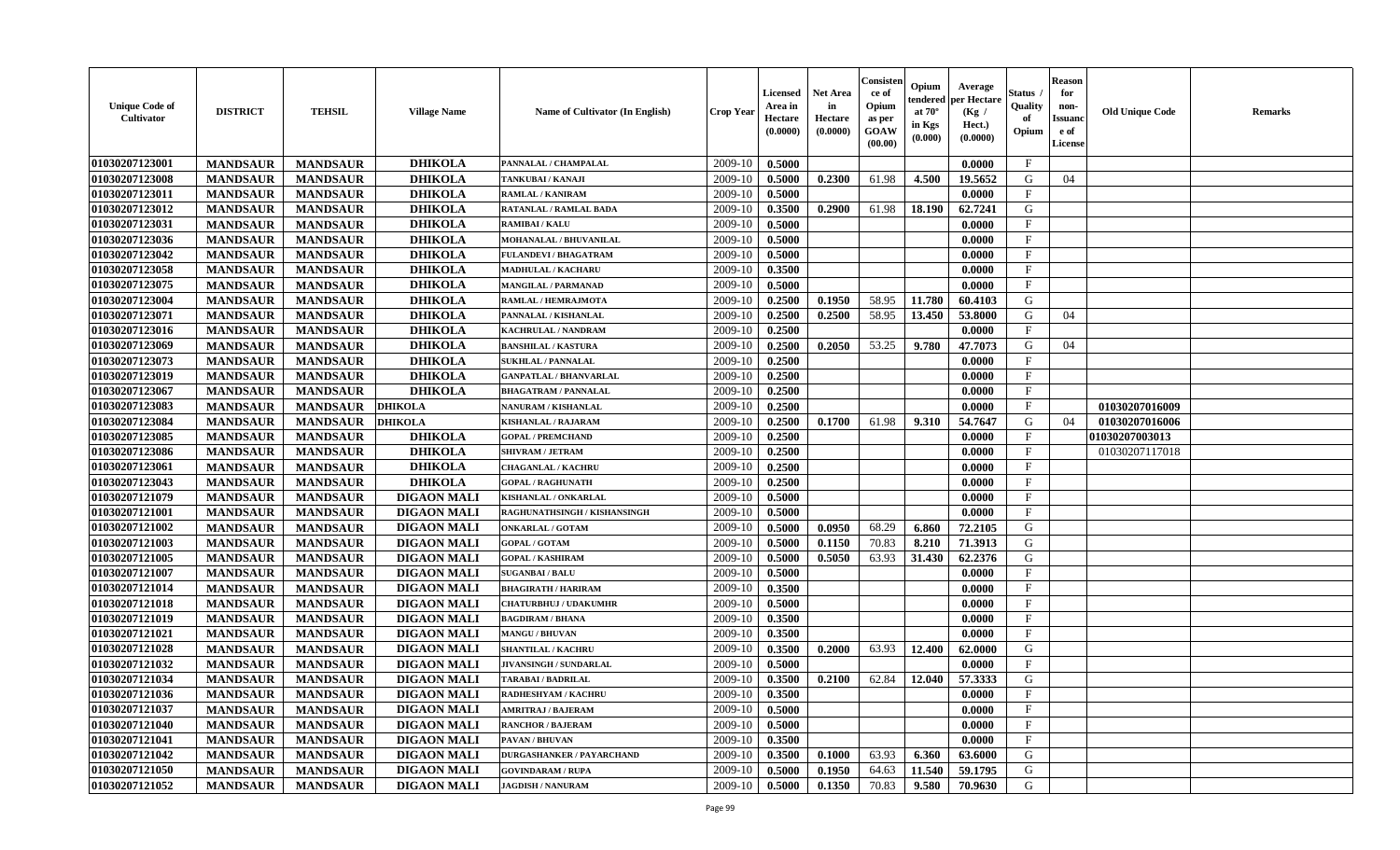| Consister<br><b>Reason</b><br>Opium<br>Average<br><b>Net Area</b><br>Status<br>Licensed<br>for<br>ce of<br>per Hectare<br>endered<br><b>Unique Code of</b><br>Opium<br>Quality<br>Area in<br>in<br>non-<br><b>DISTRICT</b><br><b>TEHSIL</b><br><b>Name of Cultivator (In English)</b><br><b>Crop Year</b><br><b>Village Name</b><br>at $70^\circ$<br>(Kg /<br>Cultivator<br>Hectare<br>Hectare<br>of<br><b>Issuano</b><br>as per<br>in Kgs<br>Hect.)<br>(0.0000)<br>GOAW<br>(0.0000)<br>Opium<br>e of<br>(0.0000)<br>(0.000)<br>(00.00)<br>License | <b>Old Unique Code</b><br><b>Remarks</b> |
|----------------------------------------------------------------------------------------------------------------------------------------------------------------------------------------------------------------------------------------------------------------------------------------------------------------------------------------------------------------------------------------------------------------------------------------------------------------------------------------------------------------------------------------------------|------------------------------------------|
| 01030207123001<br><b>DHIKOLA</b><br>2009-10<br>$\mathbf{F}$<br><b>MANDSAUR</b><br>0.5000<br><b>MANDSAUR</b><br>PANNALAL / CHAMPALAL<br>0.0000                                                                                                                                                                                                                                                                                                                                                                                                      |                                          |
| 01030207123008<br><b>MANDSAUR</b><br><b>DHIKOLA</b><br>2009-10<br>0.5000<br>0.2300<br>61.98<br>4.500<br>19.5652<br>G<br><b>MANDSAUR</b><br>04<br>TANKUBAI / KANAJI                                                                                                                                                                                                                                                                                                                                                                                 |                                          |
| 01030207123011<br><b>MANDSAUR</b><br><b>MANDSAUR</b><br><b>DHIKOLA</b><br>2009-10<br>0.5000<br>0.0000<br>F<br><b>RAMLAL / KANIRAM</b>                                                                                                                                                                                                                                                                                                                                                                                                              |                                          |
| 0.2900<br>61.98<br>18.190<br>62.7241<br>G<br>01030207123012<br><b>MANDSAUR</b><br><b>MANDSAUR</b><br><b>DHIKOLA</b><br>2009-10<br>0.3500<br><b>RATANLAL / RAMLAL BADA</b>                                                                                                                                                                                                                                                                                                                                                                          |                                          |
| <b>MANDSAUR</b><br><b>DHIKOLA</b><br>0.0000<br>01030207123031<br><b>MANDSAUR</b><br>2009-10<br>0.5000<br>$_{\rm F}$<br><b>RAMIBAI/KALU</b>                                                                                                                                                                                                                                                                                                                                                                                                         |                                          |
| <b>DHIKOLA</b><br>01030207123036<br><b>MANDSAUR</b><br><b>MANDSAUR</b><br>MOHANALAL / BHUVANILAL<br>0.5000<br>$\mathbf{F}$<br>2009-10<br>0.0000                                                                                                                                                                                                                                                                                                                                                                                                    |                                          |
| 01030207123042<br><b>MANDSAUR</b><br><b>MANDSAUR</b><br><b>DHIKOLA</b><br>2009-10<br>0.5000<br>$\mathbf{F}$<br>FULANDEVI / BHAGATRAM<br>0.0000                                                                                                                                                                                                                                                                                                                                                                                                     |                                          |
| 01030207123058<br><b>DHIKOLA</b><br>$\mathbf{F}$<br><b>MANDSAUR</b><br><b>MANDSAUR</b><br>2009-10<br>0.3500<br><b>MADHULAL / KACHARU</b><br>0.0000                                                                                                                                                                                                                                                                                                                                                                                                 |                                          |
| 01030207123075<br>2009-10<br><b>MANDSAUR</b><br><b>MANDSAUR</b><br><b>DHIKOLA</b><br>0.5000<br>$_{\rm F}$<br><b>MANGILAL / PARMANAD</b><br>0.0000                                                                                                                                                                                                                                                                                                                                                                                                  |                                          |
| <b>DHIKOLA</b><br>58.95<br>G<br>01030207123004<br>2009-10<br>11.780<br><b>MANDSAUR</b><br><b>MANDSAUR</b><br>0.2500<br>0.1950<br>60.4103<br>RAMLAL / HEMRAJMOTA                                                                                                                                                                                                                                                                                                                                                                                    |                                          |
| <b>DHIKOLA</b><br><b>MANDSAUR</b><br>0.2500<br>0.2500<br>58.95<br>13.450<br>53.8000<br>G<br>01030207123071<br><b>MANDSAUR</b><br>PANNALAL / KISHANLAL<br>2009-10<br>04                                                                                                                                                                                                                                                                                                                                                                             |                                          |
| 01030207123016<br><b>MANDSAUR</b><br><b>MANDSAUR</b><br><b>DHIKOLA</b><br>2009-10<br>0.2500<br>0.0000<br>$\mathbf{F}$<br>KACHRULAL / NANDRAM                                                                                                                                                                                                                                                                                                                                                                                                       |                                          |
| 01030207123069<br><b>MANDSAUR</b><br><b>DHIKOLA</b><br>2009-10<br>0.2500<br>0.2050<br>53.25<br>9.780<br><b>MANDSAUR</b><br>47.7073<br>G<br>04<br><b>BANSHILAL / KASTURA</b>                                                                                                                                                                                                                                                                                                                                                                        |                                          |
| 01030207123073<br><b>MANDSAUR</b><br><b>MANDSAUR</b><br><b>DHIKOLA</b><br>2009-10<br>0.2500<br><b>SUKHLAL / PANNALAL</b><br>0.0000<br>$\mathbf{F}$                                                                                                                                                                                                                                                                                                                                                                                                 |                                          |
| 01030207123019<br><b>DHIKOLA</b><br>0.2500<br>$\mathbf{F}$<br><b>MANDSAUR</b><br><b>MANDSAUR</b><br>2009-10<br>0.0000<br><b>GANPATLAL / BHANVARLAL</b>                                                                                                                                                                                                                                                                                                                                                                                             |                                          |
| <b>DHIKOLA</b><br>0.2500<br>F<br>01030207123067<br><b>MANDSAUR</b><br><b>MANDSAUR</b><br>2009-10<br>0.0000<br><b>BHAGATRAM / PANNALAL</b>                                                                                                                                                                                                                                                                                                                                                                                                          |                                          |
| $\mathbf{F}$<br>01030207123083<br><b>MANDSAUR</b><br><b>MANDSAUR</b><br><b>DHIKOLA</b><br>2009-10<br>0.2500<br>NANURAM / KISHANLAL<br>0.0000                                                                                                                                                                                                                                                                                                                                                                                                       | 01030207016009                           |
| 01030207123084<br>2009-10<br>G<br><b>MANDSAUR</b><br><b>MANDSAUR</b><br>0.2500<br>0.1700<br>61.98<br>9.310<br>54.7647<br>04<br><b>DHIKOLA</b><br><b>KISHANLAL / RAJARAM</b>                                                                                                                                                                                                                                                                                                                                                                        | 01030207016006                           |
| 01030207123085<br><b>MANDSAUR</b><br>0.2500<br>$\mathbf{F}$<br><b>MANDSAUR</b><br><b>DHIKOLA</b><br><b>GOPAL / PREMCHAND</b><br>2009-10<br>0.0000                                                                                                                                                                                                                                                                                                                                                                                                  | 01030207003013                           |
| 01030207123086<br><b>MANDSAUR</b><br><b>MANDSAUR</b><br><b>DHIKOLA</b><br>2009-10<br>0.2500<br><b>SHIVRAM / JETRAM</b><br>0.0000<br>F                                                                                                                                                                                                                                                                                                                                                                                                              | 01030207117018                           |
| 0.2500<br>F<br>01030207123061<br><b>MANDSAUR</b><br><b>MANDSAUR</b><br><b>DHIKOLA</b><br>2009-10<br>0.0000<br><b>CHAGANLAL / KACHRU</b>                                                                                                                                                                                                                                                                                                                                                                                                            |                                          |
| <b>DHIKOLA</b><br><b>MANDSAUR</b><br>0.2500<br>$\mathbf{F}$<br>01030207123043<br><b>MANDSAUR</b><br>2009-10<br><b>GOPAL / RAGHUNATH</b><br>0.0000                                                                                                                                                                                                                                                                                                                                                                                                  |                                          |
| 01030207121079<br><b>DIGAON MALI</b><br>2009-10<br>0.5000<br><b>MANDSAUR</b><br><b>MANDSAUR</b><br>KISHANLAL / ONKARLAL<br>0.0000<br>$\mathbf{F}$                                                                                                                                                                                                                                                                                                                                                                                                  |                                          |
| 01030207121001<br><b>DIGAON MALI</b><br>$\mathbf{F}$<br><b>MANDSAUR</b><br>2009-10<br>0.5000<br><b>MANDSAUR</b><br>0.0000<br>RAGHUNATHSINGH / KISHANSINGH                                                                                                                                                                                                                                                                                                                                                                                          |                                          |
| 01030207121002<br><b>DIGAON MALI</b><br>G<br><b>MANDSAUR</b><br><b>MANDSAUR</b><br>2009-10<br>0.5000<br>0.0950<br>68.29<br>6.860<br>72.2105<br><b>ONKARLAL / GOTAM</b>                                                                                                                                                                                                                                                                                                                                                                             |                                          |
| G<br>01030207121003<br><b>MANDSAUR</b><br><b>DIGAON MALI</b><br>2009-10<br>0.5000<br>70.83<br>71.3913<br><b>MANDSAUR</b><br><b>GOPAL / GOTAM</b><br>0.1150<br>8.210                                                                                                                                                                                                                                                                                                                                                                                |                                          |
| 62.2376<br>01030207121005<br><b>MANDSAUR</b><br><b>MANDSAUR</b><br><b>DIGAON MALI</b><br>2009-10<br>0.5000<br>0.5050<br>63.93<br>31.430<br>G<br><b>GOPAL / KASHIRAM</b>                                                                                                                                                                                                                                                                                                                                                                            |                                          |
| 01030207121007<br><b>MANDSAUR</b><br><b>MANDSAUR</b><br><b>DIGAON MALI</b><br>0.5000<br>0.0000<br>$\mathbf{F}$<br>2009-10<br><b>SUGANBAI/BALU</b>                                                                                                                                                                                                                                                                                                                                                                                                  |                                          |
| $\mathbf{F}$<br>01030207121014<br><b>MANDSAUR</b><br><b>MANDSAUR</b><br><b>DIGAON MALI</b><br>2009-10<br>0.3500<br><b>BHAGIRATH / HARIRAM</b><br>0.0000                                                                                                                                                                                                                                                                                                                                                                                            |                                          |
| 01030207121018<br><b>MANDSAUR</b><br>0.5000<br>$\mathbf{F}$<br><b>MANDSAUR</b><br><b>DIGAON MALI</b><br>2009-10<br>0.0000<br><b>CHATURBHUJ / UDAKUMHR</b>                                                                                                                                                                                                                                                                                                                                                                                          |                                          |
| 01030207121019<br><b>MANDSAUR</b><br><b>MANDSAUR</b><br><b>DIGAON MALI</b><br>0.3500<br><b>BAGDIRAM / BHANA</b><br>2009-10<br>0.0000<br>$\mathbf F$                                                                                                                                                                                                                                                                                                                                                                                                |                                          |
| $\mathbf F$<br>01030207121021<br><b>DIGAON MALI</b><br>2009-10<br><b>MANDSAUR</b><br><b>MANDSAUR</b><br>0.3500<br>0.0000<br><b>MANGU / BHUVAN</b>                                                                                                                                                                                                                                                                                                                                                                                                  |                                          |
| 01030207121028<br><b>DIGAON MALI</b><br>G<br>63.93<br>12.400<br><b>MANDSAUR</b><br><b>MANDSAUR</b><br>2009-10<br>0.3500<br>0.2000<br>62.0000<br><b>SHANTILAL / KACHRU</b>                                                                                                                                                                                                                                                                                                                                                                          |                                          |
| $\mathbf{F}$<br>01030207121032<br><b>MANDSAUR</b><br><b>DIGAON MALI</b><br>2009-10<br>0.5000<br>0.0000<br><b>MANDSAUR</b><br>JIVANSINGH / SUNDARLAL                                                                                                                                                                                                                                                                                                                                                                                                |                                          |
| 01030207121034<br>0.3500<br>0.2100<br>62.84<br>12.040<br>57.3333<br>G<br><b>MANDSAUR</b><br><b>MANDSAUR</b><br><b>DIGAON MALI</b><br>2009-10<br><b>TARABAI / BADRILAL</b>                                                                                                                                                                                                                                                                                                                                                                          |                                          |
| 01030207121036<br><b>DIGAON MALI</b><br>$2009-10$ 0.3500<br>0.0000<br>F<br><b>MANDSAUR</b><br>MANDSAUR<br><b>RADHESHYAM / KACHRU</b>                                                                                                                                                                                                                                                                                                                                                                                                               |                                          |
| 01030207121037<br><b>MANDSAUR</b><br><b>MANDSAUR</b><br><b>DIGAON MALI</b><br>2009-10<br>0.5000<br>0.0000<br>$\mathbf{F}$<br><b>AMRITRAJ / BAJERAM</b>                                                                                                                                                                                                                                                                                                                                                                                             |                                          |
| 01030207121040<br>$\mathbf{F}$<br><b>MANDSAUR</b><br><b>MANDSAUR</b><br><b>DIGAON MALI</b><br>2009-10<br>0.5000<br>0.0000<br><b>RANCHOR / BAJERAM</b>                                                                                                                                                                                                                                                                                                                                                                                              |                                          |
| <b>MANDSAUR</b><br><b>MANDSAUR</b><br>0.3500<br>$\mathbf{F}$<br>01030207121041<br><b>DIGAON MALI</b><br>2009-10<br>0.0000<br><b>PAVAN / BHUVAN</b>                                                                                                                                                                                                                                                                                                                                                                                                 |                                          |
| 01030207121042<br>0.1000<br>63.93<br>6.360<br>G<br><b>MANDSAUR</b><br><b>MANDSAUR</b><br><b>DIGAON MALI</b><br>2009-10<br>0.3500<br>63.6000<br><b>DURGASHANKER / PAYARCHAND</b>                                                                                                                                                                                                                                                                                                                                                                    |                                          |
| 01030207121050<br><b>DIGAON MALI</b>                                                                                                                                                                                                                                                                                                                                                                                                                                                                                                               |                                          |
| <b>MANDSAUR</b><br>2009-10<br>64.63<br>G<br><b>MANDSAUR</b><br>0.5000<br>0.1950<br>11.540<br>59.1795<br><b>GOVINDARAM / RUPA</b>                                                                                                                                                                                                                                                                                                                                                                                                                   |                                          |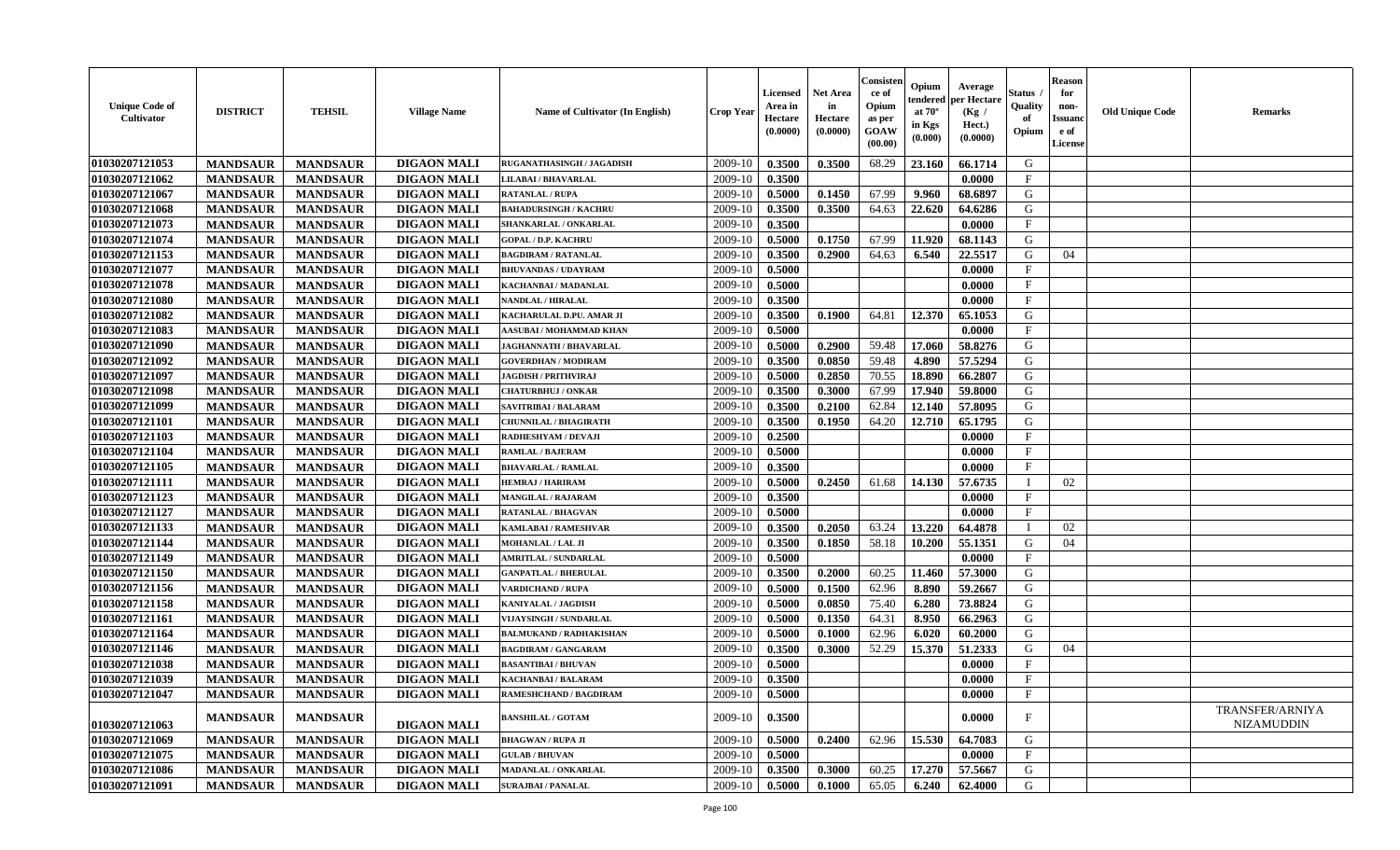| <b>Unique Code of</b><br><b>Cultivator</b> | <b>DISTRICT</b> | <b>TEHSIL</b>   | <b>Village Name</b> | Name of Cultivator (In English) | <b>Crop Year</b> | <b>Licensed</b><br>Area in<br>Hectare<br>(0.0000) | <b>Net Area</b><br>in<br>Hectare<br>(0.0000) | Consister<br>ce of<br>Opium<br>as per<br><b>GOAW</b><br>(00.00) | Opium<br>endered<br>at $70^\circ$<br>in Kgs<br>$(\mathbf{0.000})$ | Average<br>per Hectare<br>(Kg /<br>Hect.)<br>(0.0000) | Status<br>Quality<br>of<br>Opium | <b>Reason</b><br>for<br>non-<br><b>Issuano</b><br>e of<br>License | <b>Old Unique Code</b> | <b>Remarks</b>                       |
|--------------------------------------------|-----------------|-----------------|---------------------|---------------------------------|------------------|---------------------------------------------------|----------------------------------------------|-----------------------------------------------------------------|-------------------------------------------------------------------|-------------------------------------------------------|----------------------------------|-------------------------------------------------------------------|------------------------|--------------------------------------|
| 01030207121053                             | <b>MANDSAUR</b> | <b>MANDSAUR</b> | <b>DIGAON MALI</b>  | RUGANATHASINGH / JAGADISH       | 2009-10          | 0.3500                                            | 0.3500                                       | 68.29                                                           | 23.160                                                            | 66.1714                                               | G                                |                                                                   |                        |                                      |
| 01030207121062                             | <b>MANDSAUR</b> | <b>MANDSAUR</b> | <b>DIGAON MALI</b>  | LILABAI / BHAVARLAL             | 2009-10          | 0.3500                                            |                                              |                                                                 |                                                                   | 0.0000                                                | $\mathbf{F}$                     |                                                                   |                        |                                      |
| 01030207121067                             | <b>MANDSAUR</b> | <b>MANDSAUR</b> | <b>DIGAON MALI</b>  | <b>RATANLAL / RUPA</b>          | 2009-10          | 0.5000                                            | 0.1450                                       | 67.99                                                           | 9.960                                                             | 68.6897                                               | G                                |                                                                   |                        |                                      |
| 01030207121068                             | <b>MANDSAUR</b> | <b>MANDSAUR</b> | <b>DIGAON MALI</b>  | <b>BAHADURSINGH / KACHRU</b>    | 2009-10          | 0.3500                                            | 0.3500                                       | 64.63                                                           | 22.620                                                            | 64.6286                                               | G                                |                                                                   |                        |                                      |
| 01030207121073                             | <b>MANDSAUR</b> | <b>MANDSAUR</b> | <b>DIGAON MALI</b>  | SHANKARLAL / ONKARLAL           | 2009-10          | 0.3500                                            |                                              |                                                                 |                                                                   | 0.0000                                                | $\mathbf{F}$                     |                                                                   |                        |                                      |
| 01030207121074                             | <b>MANDSAUR</b> | <b>MANDSAUR</b> | <b>DIGAON MALI</b>  | <b>GOPAL / D.P. KACHRU</b>      | 2009-10          | 0.5000                                            | 0.1750                                       | 67.99                                                           | 11.920                                                            | 68.1143                                               | G                                |                                                                   |                        |                                      |
| 01030207121153                             | <b>MANDSAUR</b> | <b>MANDSAUR</b> | <b>DIGAON MALI</b>  | <b>BAGDIRAM / RATANLAL</b>      | 2009-10          | 0.3500                                            | 0.2900                                       | 64.63                                                           | 6.540                                                             | 22.5517                                               | G                                | 04                                                                |                        |                                      |
| 01030207121077                             | <b>MANDSAUR</b> | <b>MANDSAUR</b> | <b>DIGAON MALI</b>  | <b>BHUVANDAS / UDAYRAM</b>      | 2009-10          | 0.5000                                            |                                              |                                                                 |                                                                   | 0.0000                                                | $\mathbf{F}$                     |                                                                   |                        |                                      |
| 01030207121078                             | <b>MANDSAUR</b> | <b>MANDSAUR</b> | <b>DIGAON MALI</b>  | KACHANBAI / MADANLAL            | 2009-10          | 0.5000                                            |                                              |                                                                 |                                                                   | 0.0000                                                | $\mathbf{F}$                     |                                                                   |                        |                                      |
| 01030207121080                             | <b>MANDSAUR</b> | <b>MANDSAUR</b> | <b>DIGAON MALI</b>  | NANDLAL / HIRALAL               | 2009-10          | 0.3500                                            |                                              |                                                                 |                                                                   | 0.0000                                                | $\mathbf F$                      |                                                                   |                        |                                      |
| 01030207121082                             | <b>MANDSAUR</b> | <b>MANDSAUR</b> | <b>DIGAON MALI</b>  | KACHARULAL D.PU. AMAR JI        | 2009-10          | 0.3500                                            | 0.1900                                       | 64.81                                                           | 12.370                                                            | 65.1053                                               | G                                |                                                                   |                        |                                      |
| 01030207121083                             | <b>MANDSAUR</b> | <b>MANDSAUR</b> | <b>DIGAON MALI</b>  | AASUBAI / MOHAMMAD KHAN         | 2009-10          | 0.5000                                            |                                              |                                                                 |                                                                   | 0.0000                                                | $\mathbf{F}$                     |                                                                   |                        |                                      |
| 01030207121090                             | <b>MANDSAUR</b> | <b>MANDSAUR</b> | <b>DIGAON MALI</b>  | JAGHANNATH / BHAVARLAL          | 2009-10          | 0.5000                                            | 0.2900                                       | 59.48                                                           | 17.060                                                            | 58.8276                                               | G                                |                                                                   |                        |                                      |
| 01030207121092                             | <b>MANDSAUR</b> | <b>MANDSAUR</b> | <b>DIGAON MALI</b>  | <b>GOVERDHAN / MODIRAM</b>      | 2009-10          | 0.3500                                            | 0.0850                                       | 59.48                                                           | 4.890                                                             | 57.5294                                               | G                                |                                                                   |                        |                                      |
| 01030207121097                             | <b>MANDSAUR</b> | <b>MANDSAUR</b> | <b>DIGAON MALI</b>  | <b>JAGDISH / PRITHVIRAJ</b>     | 2009-10          | 0.5000                                            | 0.2850                                       | 70.55                                                           | 18.890                                                            | 66.2807                                               | G                                |                                                                   |                        |                                      |
| 01030207121098                             | <b>MANDSAUR</b> | <b>MANDSAUR</b> | <b>DIGAON MALI</b>  | <b>CHATURBHUJ / ONKAR</b>       | 2009-10          | 0.3500                                            | 0.3000                                       | 67.99                                                           | 17.940                                                            | 59.8000                                               | G                                |                                                                   |                        |                                      |
| 01030207121099                             | <b>MANDSAUR</b> | <b>MANDSAUR</b> | <b>DIGAON MALI</b>  | SAVITRIBAI / BALARAM            | 2009-10          | 0.3500                                            | 0.2100                                       | 62.84                                                           | 12.140                                                            | 57.8095                                               | G                                |                                                                   |                        |                                      |
| 01030207121101                             | <b>MANDSAUR</b> | <b>MANDSAUR</b> | <b>DIGAON MALI</b>  | <b>CHUNNILAL / BHAGIRATH</b>    | 2009-10          | 0.3500                                            | 0.1950                                       | 64.20                                                           | 12.710                                                            | 65.1795                                               | G                                |                                                                   |                        |                                      |
| 01030207121103                             | <b>MANDSAUR</b> | <b>MANDSAUR</b> | <b>DIGAON MALI</b>  | RADHESHYAM / DEVAJI             | 2009-10          | 0.2500                                            |                                              |                                                                 |                                                                   | 0.0000                                                | $\mathbf{F}$                     |                                                                   |                        |                                      |
| 01030207121104                             | <b>MANDSAUR</b> | <b>MANDSAUR</b> | <b>DIGAON MALI</b>  | <b>RAMLAL / BAJERAM</b>         | 2009-10          | 0.5000                                            |                                              |                                                                 |                                                                   | 0.0000                                                | $\mathbf{F}$                     |                                                                   |                        |                                      |
| 01030207121105                             | <b>MANDSAUR</b> | <b>MANDSAUR</b> | <b>DIGAON MALI</b>  | <b>BHAVARLAL / RAMLAL</b>       | 2009-10          | 0.3500                                            |                                              |                                                                 |                                                                   | 0.0000                                                | $\mathbf{F}$                     |                                                                   |                        |                                      |
| 01030207121111                             | <b>MANDSAUR</b> | <b>MANDSAUR</b> | <b>DIGAON MALI</b>  | <b>HEMRAJ / HARIRAM</b>         | 2009-10          | 0.5000                                            | 0.2450                                       | 61.68                                                           | 14.130                                                            | 57.6735                                               | $\blacksquare$                   | 02                                                                |                        |                                      |
| 01030207121123                             | <b>MANDSAUR</b> | <b>MANDSAUR</b> | <b>DIGAON MALI</b>  | <b>MANGILAL / RAJARAM</b>       | 2009-10          | 0.3500                                            |                                              |                                                                 |                                                                   | 0.0000                                                | $\mathbf{F}$                     |                                                                   |                        |                                      |
| 01030207121127                             | <b>MANDSAUR</b> | <b>MANDSAUR</b> | <b>DIGAON MALI</b>  | <b>RATANLAL / BHAGVAN</b>       | 2009-10          | 0.5000                                            |                                              |                                                                 |                                                                   | 0.0000                                                | $\mathbf{F}$                     |                                                                   |                        |                                      |
| 01030207121133                             | <b>MANDSAUR</b> | <b>MANDSAUR</b> | <b>DIGAON MALI</b>  | <b>KAMLABAI/RAMESHVAR</b>       | 2009-10          | 0.3500                                            | 0.2050                                       | 63.24                                                           | 13.220                                                            | 64.4878                                               | - 1                              | 02                                                                |                        |                                      |
| 01030207121144                             | <b>MANDSAUR</b> | <b>MANDSAUR</b> | <b>DIGAON MALI</b>  | MOHANLAL / LAL JI               | 2009-10          | 0.3500                                            | 0.1850                                       | 58.18                                                           | 10.200                                                            | 55.1351                                               | G                                | 04                                                                |                        |                                      |
| 01030207121149                             | <b>MANDSAUR</b> | <b>MANDSAUR</b> | <b>DIGAON MALI</b>  | <b>AMRITLAL / SUNDARLAL</b>     | 2009-10          | 0.5000                                            |                                              |                                                                 |                                                                   | 0.0000                                                | $\mathbf{F}$                     |                                                                   |                        |                                      |
| 01030207121150                             | <b>MANDSAUR</b> | <b>MANDSAUR</b> | <b>DIGAON MALI</b>  | <b>GANPATLAL / BHERULAL</b>     | 2009-10          | 0.3500                                            | 0.2000                                       | 60.25                                                           | 11.460                                                            | 57.3000                                               | G                                |                                                                   |                        |                                      |
| 01030207121156                             | <b>MANDSAUR</b> | <b>MANDSAUR</b> | <b>DIGAON MALI</b>  | <b>VARDICHAND / RUPA</b>        | 2009-10          | 0.5000                                            | 0.1500                                       | 62.96                                                           | 8.890                                                             | 59.2667                                               | G                                |                                                                   |                        |                                      |
| 01030207121158                             | <b>MANDSAUR</b> | <b>MANDSAUR</b> | <b>DIGAON MALI</b>  | <b>KANIYALAL / JAGDISH</b>      | 2009-10          | 0.5000                                            | 0.0850                                       | 75.40                                                           | 6.280                                                             | 73.8824                                               | G                                |                                                                   |                        |                                      |
| 01030207121161                             | <b>MANDSAUR</b> | <b>MANDSAUR</b> | <b>DIGAON MALI</b>  | <b>VIJAYSINGH / SUNDARLAL</b>   | 2009-10          | 0.5000                                            | 0.1350                                       | 64.31                                                           | 8.950                                                             | 66.2963                                               | G                                |                                                                   |                        |                                      |
| 01030207121164                             | <b>MANDSAUR</b> | <b>MANDSAUR</b> | <b>DIGAON MALI</b>  | <b>BALMUKAND / RADHAKISHAN</b>  | 2009-10          | 0.5000                                            | 0.1000                                       | 62.96                                                           | 6.020                                                             | 60.2000                                               | G                                |                                                                   |                        |                                      |
| 01030207121146                             | <b>MANDSAUR</b> | <b>MANDSAUR</b> | <b>DIGAON MALI</b>  | <b>BAGDIRAM / GANGARAM</b>      | 2009-10          | 0.3500                                            | 0.3000                                       | 52.29                                                           | 15.370                                                            | 51.2333                                               | G                                | 04                                                                |                        |                                      |
| 01030207121038                             | <b>MANDSAUR</b> | <b>MANDSAUR</b> | <b>DIGAON MALI</b>  | <b>BASANTIBAI / BHUVAN</b>      | 2009-10          | 0.5000                                            |                                              |                                                                 |                                                                   | 0.0000                                                | $\mathbf{F}$                     |                                                                   |                        |                                      |
| 01030207121039                             | <b>MANDSAUR</b> | <b>MANDSAUR</b> | <b>DIGAON MALI</b>  | <b>KACHANBAI/BALARAM</b>        | 2009-10          | 0.3500                                            |                                              |                                                                 |                                                                   | 0.0000                                                | $\mathbf{F}$                     |                                                                   |                        |                                      |
| 01030207121047                             | <b>MANDSAUR</b> | <b>MANDSAUR</b> | <b>DIGAON MALI</b>  | <b>RAMESHCHAND / BAGDIRAM</b>   | $2009-10$ 0.5000 |                                                   |                                              |                                                                 |                                                                   | 0.0000                                                | $\mathbf{F}$                     |                                                                   |                        |                                      |
| 01030207121063                             | <b>MANDSAUR</b> | <b>MANDSAUR</b> | <b>DIGAON MALI</b>  | <b>BANSHILAL / GOTAM</b>        | 2009-10          | 0.3500                                            |                                              |                                                                 |                                                                   | 0.0000                                                | $\mathbf{F}$                     |                                                                   |                        | TRANSFER/ARNIYA<br><b>NIZAMUDDIN</b> |
| 01030207121069                             | <b>MANDSAUR</b> | <b>MANDSAUR</b> | <b>DIGAON MALI</b>  | <b>BHAGWAN / RUPA JI</b>        | 2009-10          | 0.5000                                            | 0.2400                                       | 62.96                                                           | 15.530                                                            | 64.7083                                               | G                                |                                                                   |                        |                                      |
| 01030207121075                             | <b>MANDSAUR</b> | <b>MANDSAUR</b> | <b>DIGAON MALI</b>  | <b>GULAB / BHUVAN</b>           | 2009-10          | 0.5000                                            |                                              |                                                                 |                                                                   | 0.0000                                                | $\mathbf{F}$                     |                                                                   |                        |                                      |
| 01030207121086                             | <b>MANDSAUR</b> | <b>MANDSAUR</b> | <b>DIGAON MALI</b>  | MADANLAL / ONKARLAL             | 2009-10          | 0.3500                                            | 0.3000                                       | 60.25                                                           | 17.270                                                            | 57.5667                                               | G                                |                                                                   |                        |                                      |
| 01030207121091                             | <b>MANDSAUR</b> | <b>MANDSAUR</b> | <b>DIGAON MALI</b>  | <b>SURAJBAI / PANALAL</b>       | 2009-10          | 0.5000                                            | 0.1000                                       | 65.05                                                           | 6.240                                                             | 62.4000                                               | G                                |                                                                   |                        |                                      |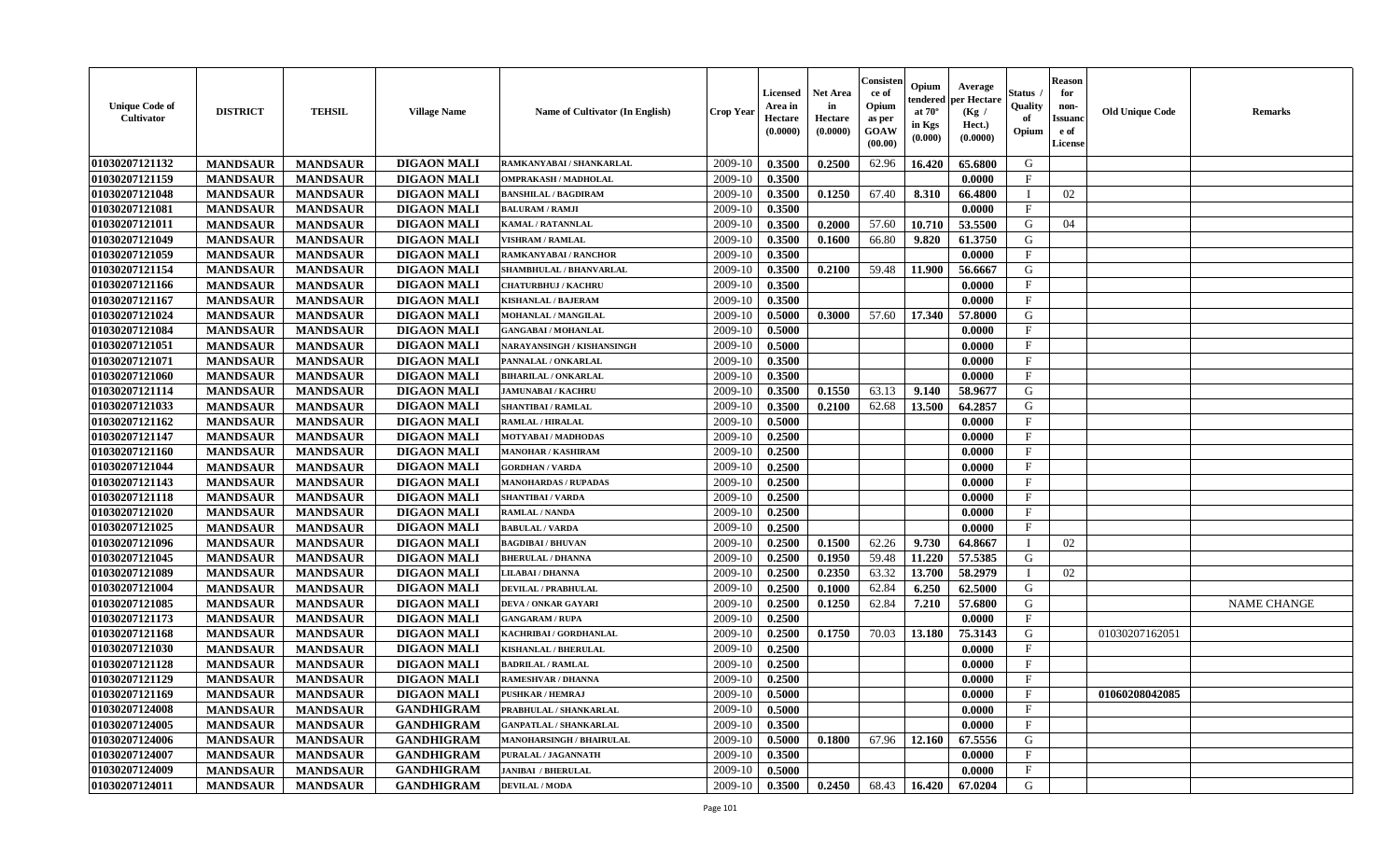| <b>Unique Code of</b><br><b>Cultivator</b> | <b>DISTRICT</b> | <b>TEHSIL</b>   | <b>Village Name</b> | Name of Cultivator (In English) | <b>Crop Year</b> | <b>Licensed</b><br>Area in<br>Hectare<br>(0.0000) | <b>Net Area</b><br>in<br>Hectare<br>(0.0000) | Consister<br>ce of<br>Opium<br>as per<br><b>GOAW</b><br>(00.00) | Opium<br>endered<br>at $70^\circ$<br>in Kgs<br>$(\mathbf{0.000})$ | Average<br>per Hectare<br>(Kg /<br>Hect.)<br>(0.0000) | Status<br>Quality<br>of<br>Opium | <b>Reason</b><br>for<br>non-<br><b>Issuano</b><br>e of<br>License | <b>Old Unique Code</b> | <b>Remarks</b>     |
|--------------------------------------------|-----------------|-----------------|---------------------|---------------------------------|------------------|---------------------------------------------------|----------------------------------------------|-----------------------------------------------------------------|-------------------------------------------------------------------|-------------------------------------------------------|----------------------------------|-------------------------------------------------------------------|------------------------|--------------------|
| 01030207121132                             | <b>MANDSAUR</b> | <b>MANDSAUR</b> | <b>DIGAON MALI</b>  | RAMKANYABAI / SHANKARLAL        | 2009-10          | 0.3500                                            | 0.2500                                       | 62.96                                                           | 16.420                                                            | 65.6800                                               | G                                |                                                                   |                        |                    |
| 01030207121159                             | <b>MANDSAUR</b> | <b>MANDSAUR</b> | <b>DIGAON MALI</b>  | <b>OMPRAKASH / MADHOLAL</b>     | 2009-10          | 0.3500                                            |                                              |                                                                 |                                                                   | 0.0000                                                | $\mathbf{F}$                     |                                                                   |                        |                    |
| 01030207121048                             | <b>MANDSAUR</b> | <b>MANDSAUR</b> | <b>DIGAON MALI</b>  | <b>BANSHILAL / BAGDIRAM</b>     | 2009-10          | 0.3500                                            | 0.1250                                       | 67.40                                                           | 8.310                                                             | 66.4800                                               |                                  | 02                                                                |                        |                    |
| 01030207121081                             | <b>MANDSAUR</b> | <b>MANDSAUR</b> | <b>DIGAON MALI</b>  | <b>BALURAM / RAMJI</b>          | 2009-10          | 0.3500                                            |                                              |                                                                 |                                                                   | 0.0000                                                | $_{\rm F}$                       |                                                                   |                        |                    |
| 01030207121011                             | <b>MANDSAUR</b> | <b>MANDSAUR</b> | <b>DIGAON MALI</b>  | <b>KAMAL / RATANNLAL</b>        | 2009-10          | 0.3500                                            | 0.2000                                       | 57.60                                                           | 10.710                                                            | 53.5500                                               | G                                | 04                                                                |                        |                    |
| 01030207121049                             | <b>MANDSAUR</b> | <b>MANDSAUR</b> | <b>DIGAON MALI</b>  | <b>VISHRAM / RAMLAL</b>         | 2009-10          | 0.3500                                            | 0.1600                                       | 66.80                                                           | 9.820                                                             | 61.3750                                               | G                                |                                                                   |                        |                    |
| 01030207121059                             | <b>MANDSAUR</b> | <b>MANDSAUR</b> | <b>DIGAON MALI</b>  | <b>RAMKANYABAI/RANCHOR</b>      | 2009-10          | 0.3500                                            |                                              |                                                                 |                                                                   | 0.0000                                                | $\mathbf{F}$                     |                                                                   |                        |                    |
| 01030207121154                             | <b>MANDSAUR</b> | <b>MANDSAUR</b> | <b>DIGAON MALI</b>  | SHAMBHULAL / BHANVARLAL         | 2009-10          | 0.3500                                            | 0.2100                                       | 59.48                                                           | 11.900                                                            | 56.6667                                               | G                                |                                                                   |                        |                    |
| 01030207121166                             | <b>MANDSAUR</b> | <b>MANDSAUR</b> | <b>DIGAON MALI</b>  | <b>CHATURBHUJ / KACHRU</b>      | 2009-10          | 0.3500                                            |                                              |                                                                 |                                                                   | 0.0000                                                | $\mathbf{F}$                     |                                                                   |                        |                    |
| 01030207121167                             | <b>MANDSAUR</b> | <b>MANDSAUR</b> | <b>DIGAON MALI</b>  | <b>KISHANLAL / BAJERAM</b>      | 2009-10          | 0.3500                                            |                                              |                                                                 |                                                                   | 0.0000                                                | $\mathbf F$                      |                                                                   |                        |                    |
| 01030207121024                             | <b>MANDSAUR</b> | <b>MANDSAUR</b> | <b>DIGAON MALI</b>  | MOHANLAL / MANGILAL             | 2009-10          | 0.5000                                            | 0.3000                                       | 57.60                                                           | 17.340                                                            | 57.8000                                               | G                                |                                                                   |                        |                    |
| 01030207121084                             | <b>MANDSAUR</b> | <b>MANDSAUR</b> | <b>DIGAON MALI</b>  | <b>GANGABAI/MOHANLAL</b>        | 2009-10          | 0.5000                                            |                                              |                                                                 |                                                                   | 0.0000                                                | $\mathbf{F}$                     |                                                                   |                        |                    |
| 01030207121051                             | <b>MANDSAUR</b> | <b>MANDSAUR</b> | <b>DIGAON MALI</b>  | NARAYANSINGH / KISHANSINGH      | 2009-10          | 0.5000                                            |                                              |                                                                 |                                                                   | 0.0000                                                | $\mathbf F$                      |                                                                   |                        |                    |
| 01030207121071                             | <b>MANDSAUR</b> | <b>MANDSAUR</b> | <b>DIGAON MALI</b>  | PANNALAL / ONKARLAL             | 2009-10          | 0.3500                                            |                                              |                                                                 |                                                                   | 0.0000                                                | $\mathbf{F}$                     |                                                                   |                        |                    |
| 01030207121060                             | <b>MANDSAUR</b> | <b>MANDSAUR</b> | <b>DIGAON MALI</b>  | <b>BIHARILAL / ONKARLAL</b>     | 2009-10          | 0.3500                                            |                                              |                                                                 |                                                                   | 0.0000                                                | $_{\rm F}$                       |                                                                   |                        |                    |
| 01030207121114                             | <b>MANDSAUR</b> | <b>MANDSAUR</b> | <b>DIGAON MALI</b>  | <b>JAMUNABAI / KACHRU</b>       | 2009-10          | 0.3500                                            | 0.1550                                       | 63.13                                                           | 9.140                                                             | 58.9677                                               | G                                |                                                                   |                        |                    |
| 01030207121033                             | <b>MANDSAUR</b> | <b>MANDSAUR</b> | <b>DIGAON MALI</b>  | <b>SHANTIBAI / RAMLAL</b>       | 2009-10          | 0.3500                                            | 0.2100                                       | 62.68                                                           | 13.500                                                            | 64.2857                                               | G                                |                                                                   |                        |                    |
| 01030207121162                             | <b>MANDSAUR</b> | <b>MANDSAUR</b> | <b>DIGAON MALI</b>  | <b>RAMLAL / HIRALAL</b>         | 2009-10          | 0.5000                                            |                                              |                                                                 |                                                                   | 0.0000                                                | $\mathbf{F}$                     |                                                                   |                        |                    |
| 01030207121147                             | <b>MANDSAUR</b> | <b>MANDSAUR</b> | <b>DIGAON MALI</b>  | MOTYABAI / MADHODAS             | 2009-10          | 0.2500                                            |                                              |                                                                 |                                                                   | 0.0000                                                | $\mathbf{F}$                     |                                                                   |                        |                    |
| 01030207121160                             | <b>MANDSAUR</b> | <b>MANDSAUR</b> | <b>DIGAON MALI</b>  | <b>MANOHAR / KASHIRAM</b>       | 2009-10          | 0.2500                                            |                                              |                                                                 |                                                                   | 0.0000                                                | $\mathbf{F}$                     |                                                                   |                        |                    |
| 01030207121044                             | <b>MANDSAUR</b> | <b>MANDSAUR</b> | <b>DIGAON MALI</b>  | <b>GORDHAN / VARDA</b>          | 2009-10          | 0.2500                                            |                                              |                                                                 |                                                                   | 0.0000                                                | $\mathbf{F}$                     |                                                                   |                        |                    |
| 01030207121143                             | <b>MANDSAUR</b> | <b>MANDSAUR</b> | <b>DIGAON MALI</b>  | <b>MANOHARDAS / RUPADAS</b>     | 2009-10          | 0.2500                                            |                                              |                                                                 |                                                                   | 0.0000                                                | $_{\rm F}$                       |                                                                   |                        |                    |
| 01030207121118                             | <b>MANDSAUR</b> | <b>MANDSAUR</b> | <b>DIGAON MALI</b>  | <b>SHANTIBAI/VARDA</b>          | 2009-10          | 0.2500                                            |                                              |                                                                 |                                                                   | 0.0000                                                | $\mathbf{F}$                     |                                                                   |                        |                    |
| 01030207121020                             | <b>MANDSAUR</b> | <b>MANDSAUR</b> | <b>DIGAON MALI</b>  | <b>RAMLAL / NANDA</b>           | 2009-10          | 0.2500                                            |                                              |                                                                 |                                                                   | 0.0000                                                | $\mathbf{F}$                     |                                                                   |                        |                    |
| 01030207121025                             | <b>MANDSAUR</b> | <b>MANDSAUR</b> | <b>DIGAON MALI</b>  | <b>BABULAL / VARDA</b>          | 2009-10          | 0.2500                                            |                                              |                                                                 |                                                                   | 0.0000                                                | $\mathbf{F}$                     |                                                                   |                        |                    |
| 01030207121096                             | <b>MANDSAUR</b> | <b>MANDSAUR</b> | <b>DIGAON MALI</b>  | <b>BAGDIBAI / BHUVAN</b>        | 2009-10          | 0.2500                                            | 0.1500                                       | 62.26                                                           | 9.730                                                             | 64.8667                                               | - 1                              | 02                                                                |                        |                    |
| 01030207121045                             | <b>MANDSAUR</b> | <b>MANDSAUR</b> | <b>DIGAON MALI</b>  | <b>BHERULAL / DHANNA</b>        | 2009-10          | 0.2500                                            | 0.1950                                       | 59.48                                                           | 11.220                                                            | 57.5385                                               | G                                |                                                                   |                        |                    |
| 01030207121089                             | <b>MANDSAUR</b> | <b>MANDSAUR</b> | <b>DIGAON MALI</b>  | LILABAI / DHANNA                | 2009-10          | 0.2500                                            | 0.2350                                       | 63.32                                                           | 13.700                                                            | 58.2979                                               | П                                | 02                                                                |                        |                    |
| 01030207121004                             | <b>MANDSAUR</b> | <b>MANDSAUR</b> | <b>DIGAON MALI</b>  | <b>DEVILAL / PRABHULAL</b>      | 2009-10          | 0.2500                                            | 0.1000                                       | 62.84                                                           | 6.250                                                             | 62.5000                                               | G                                |                                                                   |                        |                    |
| 01030207121085                             | <b>MANDSAUR</b> | <b>MANDSAUR</b> | <b>DIGAON MALI</b>  | <b>DEVA / ONKAR GAYARI</b>      | 2009-10          | 0.2500                                            | 0.1250                                       | 62.84                                                           | 7.210                                                             | 57.6800                                               | G                                |                                                                   |                        | <b>NAME CHANGE</b> |
| 01030207121173                             | <b>MANDSAUR</b> | <b>MANDSAUR</b> | <b>DIGAON MALI</b>  | <b>GANGARAM / RUPA</b>          | 2009-10          | 0.2500                                            |                                              |                                                                 |                                                                   | 0.0000                                                | $\mathbf{F}$                     |                                                                   |                        |                    |
| 01030207121168                             | <b>MANDSAUR</b> | <b>MANDSAUR</b> | <b>DIGAON MALI</b>  | KACHRIBAI / GORDHANLAL          | 2009-10          | 0.2500                                            | 0.1750                                       | 70.03                                                           | 13.180                                                            | 75.3143                                               | G                                |                                                                   | 01030207162051         |                    |
| 01030207121030                             | <b>MANDSAUR</b> | <b>MANDSAUR</b> | <b>DIGAON MALI</b>  | <b>KISHANLAL / BHERULAL</b>     | 2009-10          | 0.2500                                            |                                              |                                                                 |                                                                   | 0.0000                                                | $_{\rm F}$                       |                                                                   |                        |                    |
| 01030207121128                             | <b>MANDSAUR</b> | <b>MANDSAUR</b> | <b>DIGAON MALI</b>  | <b>BADRILAL / RAMLAL</b>        | 2009-10          | 0.2500                                            |                                              |                                                                 |                                                                   | 0.0000                                                | $\mathbf{F}$                     |                                                                   |                        |                    |
| 01030207121129                             | <b>MANDSAUR</b> | <b>MANDSAUR</b> | <b>DIGAON MALI</b>  | <b>RAMESHVAR / DHANNA</b>       | 2009-10          | 0.2500                                            |                                              |                                                                 |                                                                   | 0.0000                                                | $\mathbf{F}$                     |                                                                   |                        |                    |
| 01030207121169                             | <b>MANDSAUR</b> | <b>MANDSAUR</b> | <b>DIGAON MALI</b>  | <b>PUSHKAR / HEMRAJ</b>         | $2009-10$ 0.5000 |                                                   |                                              |                                                                 |                                                                   | 0.0000                                                | $_{\rm F}$                       |                                                                   | 01060208042085         |                    |
| 01030207124008                             | <b>MANDSAUR</b> | <b>MANDSAUR</b> | <b>GANDHIGRAM</b>   | PRABHULAL / SHANKARLAL          | 2009-10          | 0.5000                                            |                                              |                                                                 |                                                                   | 0.0000                                                | $\mathbf{F}$                     |                                                                   |                        |                    |
| 01030207124005                             | <b>MANDSAUR</b> | <b>MANDSAUR</b> | <b>GANDHIGRAM</b>   | <b>GANPATLAL / SHANKARLAL</b>   | 2009-10          | 0.3500                                            |                                              |                                                                 |                                                                   | 0.0000                                                | $_{\rm F}$                       |                                                                   |                        |                    |
| 01030207124006                             | <b>MANDSAUR</b> | <b>MANDSAUR</b> | <b>GANDHIGRAM</b>   | <b>MANOHARSINGH / BHAIRULAL</b> | 2009-10          | 0.5000                                            | 0.1800                                       | 67.96                                                           | 12.160                                                            | 67.5556                                               | G                                |                                                                   |                        |                    |
| 01030207124007                             | <b>MANDSAUR</b> | <b>MANDSAUR</b> | <b>GANDHIGRAM</b>   | PURALAL / JAGANNATH             | 2009-10          | 0.3500                                            |                                              |                                                                 |                                                                   | 0.0000                                                | $\mathbf{F}$                     |                                                                   |                        |                    |
| 01030207124009                             | <b>MANDSAUR</b> | <b>MANDSAUR</b> | <b>GANDHIGRAM</b>   | <b>JANIBAI / BHERULAL</b>       | 2009-10          | 0.5000                                            |                                              |                                                                 |                                                                   | 0.0000                                                | $\mathbf F$                      |                                                                   |                        |                    |
| 01030207124011                             | <b>MANDSAUR</b> | <b>MANDSAUR</b> | <b>GANDHIGRAM</b>   | <b>DEVILAL / MODA</b>           | 2009-10          | 0.3500                                            | 0.2450                                       | 68.43                                                           | 16.420 67.0204                                                    |                                                       | G                                |                                                                   |                        |                    |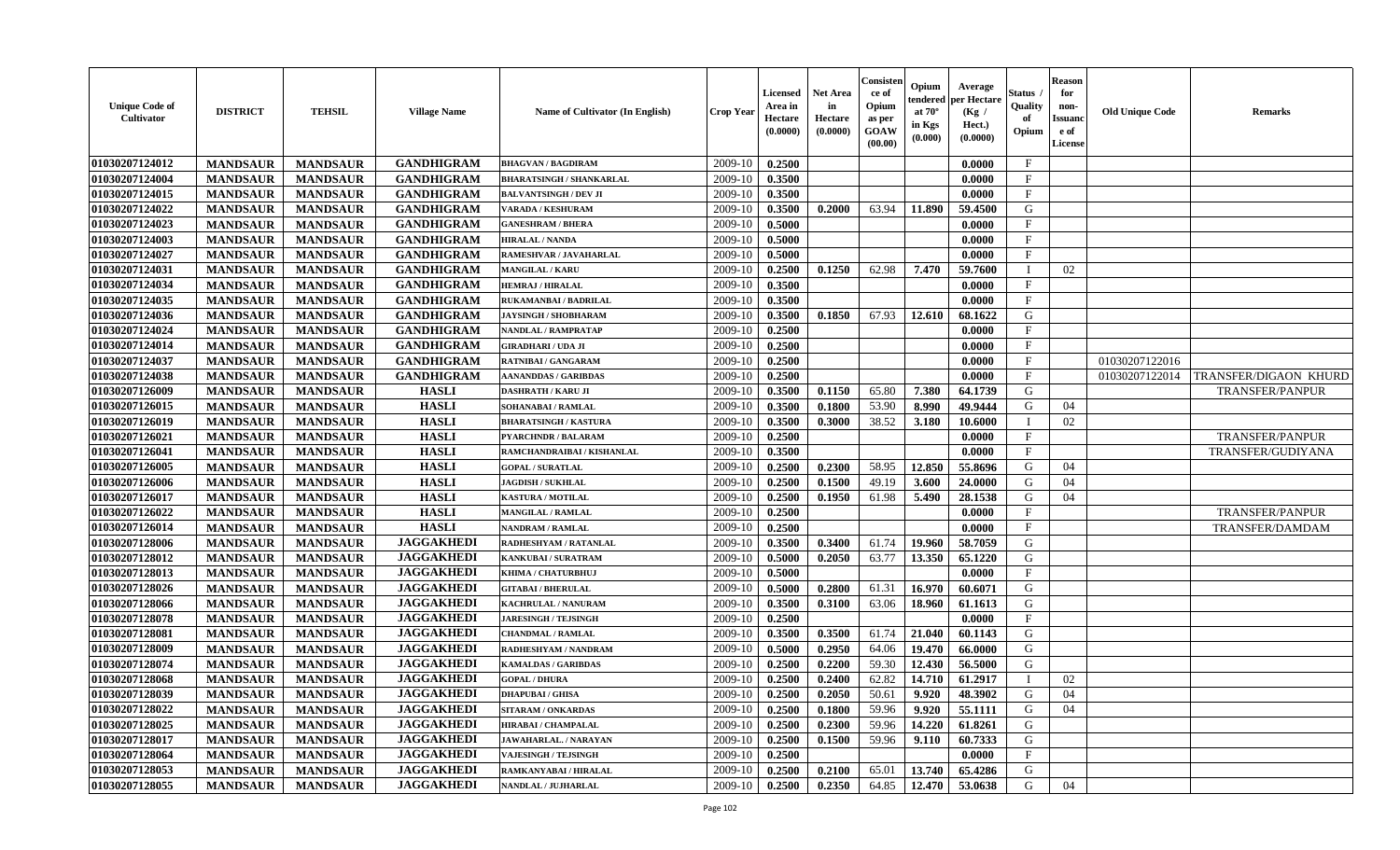| <b>Unique Code of</b><br>Cultivator | <b>DISTRICT</b> | <b>TEHSIL</b>   | <b>Village Name</b> | Name of Cultivator (In English) | <b>Crop Year</b> | Licensed<br>Area in<br>Hectare<br>(0.0000) | Net Area<br>in<br>Hectare<br>(0.0000) | Consisten<br>ce of<br>Opium<br>as per<br>GOAW<br>(00.00) | Opium<br>tendered<br>at $70^\circ$<br>in Kgs<br>(0.000) | Average<br>per Hectare<br>(Kg /<br>Hect.)<br>(0.0000) | Status<br>Quality<br>of<br>Opium | <b>Reason</b><br>for<br>non-<br>Issuanc<br>e of<br>License | <b>Old Unique Code</b> | <b>Remarks</b>        |
|-------------------------------------|-----------------|-----------------|---------------------|---------------------------------|------------------|--------------------------------------------|---------------------------------------|----------------------------------------------------------|---------------------------------------------------------|-------------------------------------------------------|----------------------------------|------------------------------------------------------------|------------------------|-----------------------|
| 01030207124012                      | <b>MANDSAUR</b> | <b>MANDSAUR</b> | <b>GANDHIGRAM</b>   | <b>BHAGVAN / BAGDIRAM</b>       | 2009-10          | 0.2500                                     |                                       |                                                          |                                                         | 0.0000                                                | $\mathbf{F}$                     |                                                            |                        |                       |
| 01030207124004                      | <b>MANDSAUR</b> | <b>MANDSAUR</b> | <b>GANDHIGRAM</b>   | <b>BHARATSINGH / SHANKARLAL</b> | 2009-10          | 0.3500                                     |                                       |                                                          |                                                         | 0.0000                                                | $\mathbf{F}$                     |                                                            |                        |                       |
| 01030207124015                      | <b>MANDSAUR</b> | <b>MANDSAUR</b> | <b>GANDHIGRAM</b>   | <b>BALVANTSINGH / DEV JI</b>    | 2009-10          | 0.3500                                     |                                       |                                                          |                                                         | 0.0000                                                | $\mathbf F$                      |                                                            |                        |                       |
| 01030207124022                      | <b>MANDSAUR</b> | <b>MANDSAUR</b> | <b>GANDHIGRAM</b>   | <b>VARADA / KESHURAM</b>        | 2009-10          | 0.3500                                     | 0.2000                                | 63.94                                                    | 11.890                                                  | 59.4500                                               | G                                |                                                            |                        |                       |
| 01030207124023                      | <b>MANDSAUR</b> | <b>MANDSAUR</b> | <b>GANDHIGRAM</b>   | <b>GANESHRAM / BHERA</b>        | 2009-10          | 0.5000                                     |                                       |                                                          |                                                         | 0.0000                                                | $\mathbf F$                      |                                                            |                        |                       |
| 01030207124003                      | <b>MANDSAUR</b> | <b>MANDSAUR</b> | <b>GANDHIGRAM</b>   | <b>HIRALAL / NANDA</b>          | 2009-10          | 0.5000                                     |                                       |                                                          |                                                         | 0.0000                                                | $\mathbf{F}$                     |                                                            |                        |                       |
| 01030207124027                      | <b>MANDSAUR</b> | <b>MANDSAUR</b> | <b>GANDHIGRAM</b>   | RAMESHVAR / JAVAHARLAL          | 2009-10          | 0.5000                                     |                                       |                                                          |                                                         | 0.0000                                                | $\mathbf{F}$                     |                                                            |                        |                       |
| 01030207124031                      | <b>MANDSAUR</b> | <b>MANDSAUR</b> | <b>GANDHIGRAM</b>   | <b>MANGILAL / KARU</b>          | 2009-10          | 0.2500                                     | 0.1250                                | 62.98                                                    | 7.470                                                   | 59.7600                                               | I                                | 02                                                         |                        |                       |
| 01030207124034                      | <b>MANDSAUR</b> | <b>MANDSAUR</b> | <b>GANDHIGRAM</b>   | <b>HEMRAJ / HIRALAL</b>         | 2009-10          | 0.3500                                     |                                       |                                                          |                                                         | 0.0000                                                | $\mathbf F$                      |                                                            |                        |                       |
| 01030207124035                      | <b>MANDSAUR</b> | <b>MANDSAUR</b> | <b>GANDHIGRAM</b>   | <b>RUKAMANBAI / BADRILAL</b>    | 2009-10          | 0.3500                                     |                                       |                                                          |                                                         | 0.0000                                                | $\mathbf F$                      |                                                            |                        |                       |
| 01030207124036                      | <b>MANDSAUR</b> | <b>MANDSAUR</b> | <b>GANDHIGRAM</b>   | <b>JAYSINGH / SHOBHARAM</b>     | 2009-10          | 0.3500                                     | 0.1850                                | 67.93                                                    | 12.610                                                  | 68.1622                                               | G                                |                                                            |                        |                       |
| 01030207124024                      | <b>MANDSAUR</b> | <b>MANDSAUR</b> | <b>GANDHIGRAM</b>   | <b>NANDLAL / RAMPRATAP</b>      | 2009-10          | 0.2500                                     |                                       |                                                          |                                                         | 0.0000                                                | $\mathbf F$                      |                                                            |                        |                       |
| 01030207124014                      | <b>MANDSAUR</b> | <b>MANDSAUR</b> | <b>GANDHIGRAM</b>   | <b>GIRADHARI / UDA JI</b>       | 2009-10          | 0.2500                                     |                                       |                                                          |                                                         | 0.0000                                                | $\rm F$                          |                                                            |                        |                       |
| 01030207124037                      | <b>MANDSAUR</b> | <b>MANDSAUR</b> | <b>GANDHIGRAM</b>   | <b>RATNIBAI / GANGARAM</b>      | 2009-10          | 0.2500                                     |                                       |                                                          |                                                         | 0.0000                                                | $\mathbf{F}$                     |                                                            | 01030207122016         |                       |
| 01030207124038                      | <b>MANDSAUR</b> | <b>MANDSAUR</b> | <b>GANDHIGRAM</b>   | <b>AANANDDAS / GARIBDAS</b>     | 2009-10          | 0.2500                                     |                                       |                                                          |                                                         | 0.0000                                                | F                                |                                                            | 01030207122014         | TRANSFER/DIGAON KHURD |
| 01030207126009                      | <b>MANDSAUR</b> | <b>MANDSAUR</b> | <b>HASLI</b>        | <b>DASHRATH / KARU JI</b>       | 2009-10          | 0.3500                                     | 0.1150                                | 65.80                                                    | 7.380                                                   | 64.1739                                               | G                                |                                                            |                        | TRANSFER/PANPUR       |
| 01030207126015                      | <b>MANDSAUR</b> | <b>MANDSAUR</b> | <b>HASLI</b>        | SOHANABAI / RAMLAL              | 2009-10          | 0.3500                                     | 0.1800                                | 53.90                                                    | 8.990                                                   | 49.9444                                               | G                                | 04                                                         |                        |                       |
| 01030207126019                      | <b>MANDSAUR</b> | <b>MANDSAUR</b> | <b>HASLI</b>        | <b>BHARATSINGH / KASTURA</b>    | 2009-10          | 0.3500                                     | 0.3000                                | 38.52                                                    | 3.180                                                   | 10.6000                                               |                                  | 02                                                         |                        |                       |
| 01030207126021                      | <b>MANDSAUR</b> | <b>MANDSAUR</b> | <b>HASLI</b>        | <b>PYARCHNDR / BALARAM</b>      | 2009-10          | 0.2500                                     |                                       |                                                          |                                                         | 0.0000                                                | $\mathbf{F}$                     |                                                            |                        | TRANSFER/PANPUR       |
| 01030207126041                      | <b>MANDSAUR</b> | <b>MANDSAUR</b> | <b>HASLI</b>        | RAMCHANDRAIBAI / KISHANLAL      | 2009-10          | 0.3500                                     |                                       |                                                          |                                                         | 0.0000                                                | $\mathbf{F}$                     |                                                            |                        | TRANSFER/GUDIYANA     |
| 01030207126005                      | <b>MANDSAUR</b> | <b>MANDSAUR</b> | <b>HASLI</b>        | <b>GOPAL / SURATLAL</b>         | 2009-10          | 0.2500                                     | 0.2300                                | 58.95                                                    | 12.850                                                  | 55.8696                                               | G                                | 04                                                         |                        |                       |
| 01030207126006                      | <b>MANDSAUR</b> | <b>MANDSAUR</b> | <b>HASLI</b>        | <b>JAGDISH / SUKHLAL</b>        | 2009-10          | 0.2500                                     | 0.1500                                | 49.19                                                    | 3.600                                                   | 24.0000                                               | G                                | 04                                                         |                        |                       |
| 01030207126017                      | <b>MANDSAUR</b> | <b>MANDSAUR</b> | <b>HASLI</b>        | <b>KASTURA / MOTILAL</b>        | 2009-10          | 0.2500                                     | 0.1950                                | 61.98                                                    | 5.490                                                   | 28.1538                                               | G                                | 04                                                         |                        |                       |
| 01030207126022                      | <b>MANDSAUR</b> | <b>MANDSAUR</b> | <b>HASLI</b>        | <b>MANGILAL / RAMLAL</b>        | 2009-10          | 0.2500                                     |                                       |                                                          |                                                         | 0.0000                                                | $\mathbf{F}$                     |                                                            |                        | TRANSFER/PANPUR       |
| 01030207126014                      | <b>MANDSAUR</b> | <b>MANDSAUR</b> | <b>HASLI</b>        | <b>NANDRAM / RAMLAL</b>         | 2009-10          | 0.2500                                     |                                       |                                                          |                                                         | 0.0000                                                | $\mathbf F$                      |                                                            |                        | TRANSFER/DAMDAM       |
| 01030207128006                      | <b>MANDSAUR</b> | <b>MANDSAUR</b> | <b>JAGGAKHEDI</b>   | RADHESHYAM / RATANLAL           | 2009-10          | 0.3500                                     | 0.3400                                | 61.74                                                    | 19.960                                                  | 58.7059                                               | G                                |                                                            |                        |                       |
| 01030207128012                      | <b>MANDSAUR</b> | <b>MANDSAUR</b> | <b>JAGGAKHEDI</b>   | <b>KANKUBAI/SURATRAM</b>        | 2009-10          | 0.5000                                     | 0.2050                                | 63.77                                                    | 13.350                                                  | 65.1220                                               | G                                |                                                            |                        |                       |
| 01030207128013                      | <b>MANDSAUR</b> | <b>MANDSAUR</b> | <b>JAGGAKHEDI</b>   | KHIMA / CHATURBHUJ              | 2009-10          | 0.5000                                     |                                       |                                                          |                                                         | 0.0000                                                | $\mathbf{F}$                     |                                                            |                        |                       |
| 01030207128026                      | <b>MANDSAUR</b> | <b>MANDSAUR</b> | <b>JAGGAKHEDI</b>   | <b>GITABAI/BHERULAL</b>         | 2009-10          | 0.5000                                     | 0.2800                                | 61.31                                                    | 16.970                                                  | 60.6071                                               | G                                |                                                            |                        |                       |
| 01030207128066                      | <b>MANDSAUR</b> | <b>MANDSAUR</b> | <b>JAGGAKHEDI</b>   | KACHRULAL / NANURAM             | 2009-10          | 0.3500                                     | 0.3100                                | 63.06                                                    | 18.960                                                  | 61.1613                                               | G                                |                                                            |                        |                       |
| 01030207128078                      | <b>MANDSAUR</b> | <b>MANDSAUR</b> | <b>JAGGAKHEDI</b>   | <b>JARESINGH / TEJSINGH</b>     | 2009-10          | 0.2500                                     |                                       |                                                          |                                                         | 0.0000                                                | $\mathbf{F}$                     |                                                            |                        |                       |
| 01030207128081                      | <b>MANDSAUR</b> | <b>MANDSAUR</b> | <b>JAGGAKHEDI</b>   | <b>CHANDMAL / RAMLAL</b>        | 2009-10          | 0.3500                                     | 0.3500                                | 61.74                                                    | 21.040                                                  | 60.1143                                               | G                                |                                                            |                        |                       |
| 01030207128009                      | <b>MANDSAUR</b> | <b>MANDSAUR</b> | <b>JAGGAKHEDI</b>   | RADHESHYAM / NANDRAM            | 2009-10          | 0.5000                                     | 0.2950                                | 64.06                                                    | 19.470                                                  | 66.0000                                               | G                                |                                                            |                        |                       |
| 01030207128074                      | <b>MANDSAUR</b> | <b>MANDSAUR</b> | <b>JAGGAKHEDI</b>   | <b>KAMALDAS / GARIBDAS</b>      | 2009-10          | 0.2500                                     | 0.2200                                | 59.30                                                    | 12.430                                                  | 56.5000                                               | G                                |                                                            |                        |                       |
| 01030207128068                      | <b>MANDSAUR</b> | <b>MANDSAUR</b> | <b>JAGGAKHEDI</b>   | <b>GOPAL / DHURA</b>            | 2009-10          | 0.2500                                     | 0.2400                                | 62.82                                                    | 14.710                                                  | 61.2917                                               | $\mathbf I$                      | 02                                                         |                        |                       |
| 01030207128039                      | <b>MANDSAUR</b> | <b>MANDSAUR</b> | <b>JAGGAKHEDI</b>   | <b>DHAPUBAI/GHISA</b>           | 2009-10          | 0.2500                                     | 0.2050                                | 50.61                                                    | 9.920                                                   | 48.3902                                               | G                                | 04                                                         |                        |                       |
| 01030207128022                      | <b>MANDSAUR</b> | <b>MANDSAUR</b> | <b>JAGGAKHEDI</b>   | <b>SITARAM / ONKARDAS</b>       | 2009-10          | 0.2500                                     | 0.1800                                | 59.96                                                    | 9.920                                                   | 55.1111                                               | G                                | 04                                                         |                        |                       |
| 01030207128025                      | <b>MANDSAUR</b> | <b>MANDSAUR</b> | <b>JAGGAKHEDI</b>   | <b>HIRABAI/ CHAMPALAL</b>       | 2009-10          | 0.2500                                     | 0.2300                                | 59.96                                                    | 14.220                                                  | 61.8261                                               | G                                |                                                            |                        |                       |
| 01030207128017                      | <b>MANDSAUR</b> | <b>MANDSAUR</b> | <b>JAGGAKHEDI</b>   | <b>JAWAHARLAL. / NARAYAN</b>    | 2009-10          | 0.2500                                     | 0.1500                                | 59.96                                                    | 9.110                                                   | 60.7333                                               | G                                |                                                            |                        |                       |
| 01030207128064                      | <b>MANDSAUR</b> | <b>MANDSAUR</b> | <b>JAGGAKHEDI</b>   | <b>VAJESINGH / TEJSINGH</b>     | 2009-10          | 0.2500                                     |                                       |                                                          |                                                         | 0.0000                                                | F                                |                                                            |                        |                       |
| 01030207128053                      | <b>MANDSAUR</b> | <b>MANDSAUR</b> | <b>JAGGAKHEDI</b>   | RAMKANYABAI / HIRALAL           | 2009-10          | 0.2500                                     | 0.2100                                | 65.01                                                    | 13.740                                                  | 65.4286                                               | G                                |                                                            |                        |                       |
| 01030207128055                      | <b>MANDSAUR</b> | <b>MANDSAUR</b> | <b>JAGGAKHEDI</b>   | NANDLAL / JUJHARLAL             | 2009-10          | 0.2500                                     | 0.2350                                | 64.85                                                    | 12.470                                                  | 53.0638                                               | G                                | 04                                                         |                        |                       |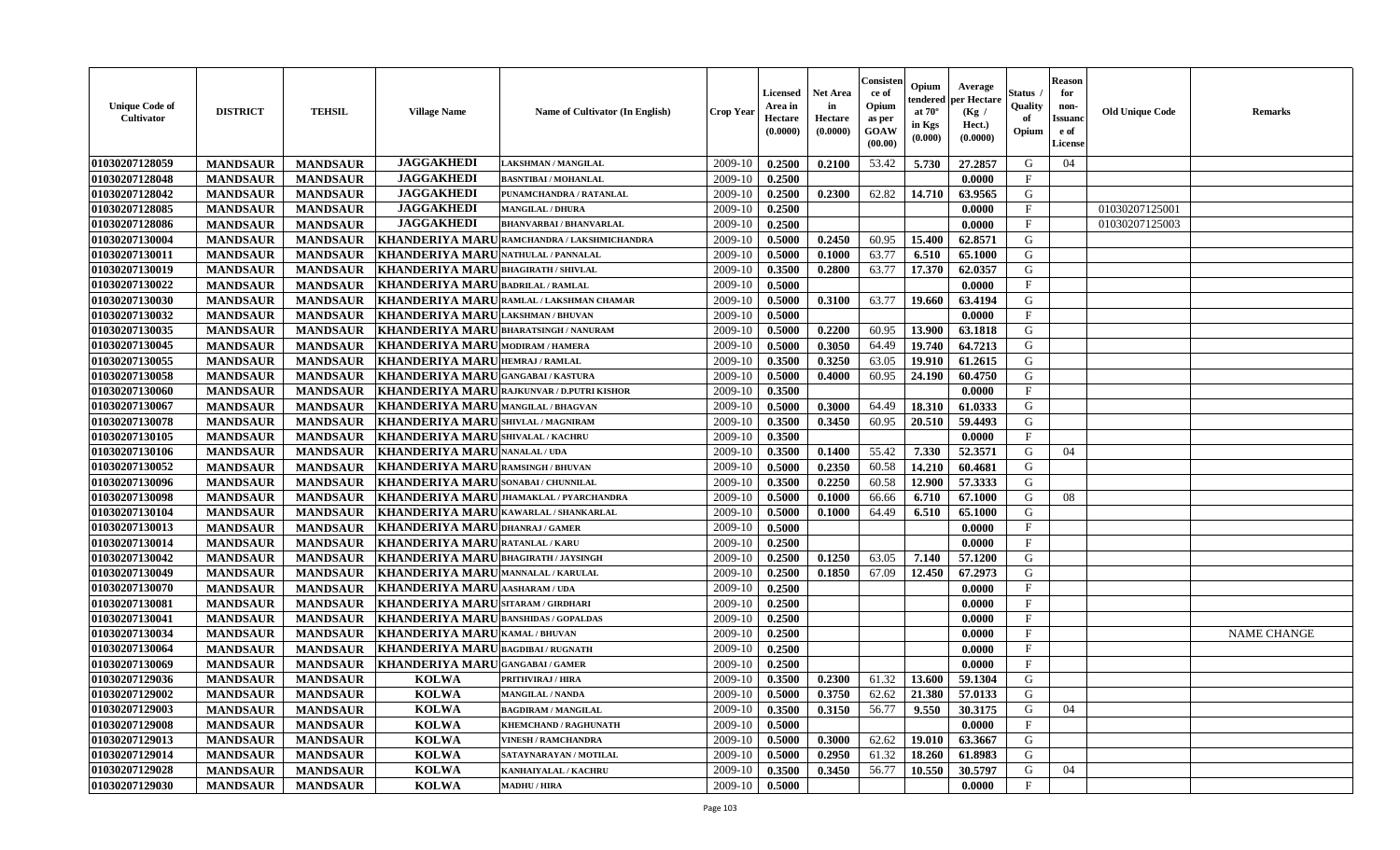| <b>Unique Code of</b><br>Cultivator | <b>DISTRICT</b> | <b>TEHSIL</b>   | <b>Village Name</b>                          | Name of Cultivator (In English)                   | <b>Crop Year</b> | Licensed<br>Area in<br>Hectare<br>(0.0000) | <b>Net Area</b><br>in<br>Hectare<br>(0.0000) | Consister<br>ce of<br>Opium<br>as per<br>GOAW<br>(00.00) | Opium<br>endered<br>at $70^\circ$<br>in Kgs<br>$(\mathbf{0.000})$ | Average<br>per Hectare<br>(Kg /<br>Hect.)<br>(0.0000) | Status<br>Quality<br>of<br>Opium | <b>Reason</b><br>for<br>non-<br><b>Issuanc</b><br>e of<br>License | <b>Old Unique Code</b> | Remarks            |
|-------------------------------------|-----------------|-----------------|----------------------------------------------|---------------------------------------------------|------------------|--------------------------------------------|----------------------------------------------|----------------------------------------------------------|-------------------------------------------------------------------|-------------------------------------------------------|----------------------------------|-------------------------------------------------------------------|------------------------|--------------------|
| 01030207128059                      | <b>MANDSAUR</b> | <b>MANDSAUR</b> | <b>JAGGAKHEDI</b>                            | LAKSHMAN / MANGILAL                               | 2009-10          | 0.2500                                     | 0.2100                                       | 53.42                                                    | 5.730                                                             | 27.2857                                               | G                                | 04                                                                |                        |                    |
| 01030207128048                      | <b>MANDSAUR</b> | <b>MANDSAUR</b> | <b>JAGGAKHEDI</b>                            | <b>BASNTIBAI / MOHANLAL</b>                       | 2009-10          | 0.2500                                     |                                              |                                                          |                                                                   | 0.0000                                                | $\mathbf{F}$                     |                                                                   |                        |                    |
| 01030207128042                      | <b>MANDSAUR</b> | <b>MANDSAUR</b> | <b>JAGGAKHEDI</b>                            | PUNAMCHANDRA / RATANLAL                           | 2009-10          | 0.2500                                     | 0.2300                                       | 62.82                                                    | 14.710                                                            | 63.9565                                               | G                                |                                                                   |                        |                    |
| 01030207128085                      | <b>MANDSAUR</b> | <b>MANDSAUR</b> | <b>JAGGAKHEDI</b>                            | <b>MANGILAL / DHURA</b>                           | 2009-10          | 0.2500                                     |                                              |                                                          |                                                                   | 0.0000                                                | $\mathbf{F}$                     |                                                                   | 01030207125001         |                    |
| 01030207128086                      | <b>MANDSAUR</b> | <b>MANDSAUR</b> | <b>JAGGAKHEDI</b>                            | <b>BHANVARBAI/BHANVARLAL</b>                      | 2009-10          | 0.2500                                     |                                              |                                                          |                                                                   | 0.0000                                                | $\mathbf F$                      |                                                                   | 01030207125003         |                    |
| 01030207130004                      | <b>MANDSAUR</b> | <b>MANDSAUR</b> | <b>KHANDERIYA MARU</b>                       | RAMCHANDRA / LAKSHMICHANDRA                       | 2009-10          | 0.5000                                     | 0.2450                                       | 60.95                                                    | 15.400                                                            | 62.8571                                               | G                                |                                                                   |                        |                    |
| 01030207130011                      | <b>MANDSAUR</b> | <b>MANDSAUR</b> | <b>KHANDERIYA MARU</b>                       | <b>NATHULAL / PANNALAL</b>                        | 2009-10          | 0.5000                                     | 0.1000                                       | 63.77                                                    | 6.510                                                             | 65.1000                                               | ${\bf G}$                        |                                                                   |                        |                    |
| 01030207130019                      | <b>MANDSAUR</b> | <b>MANDSAUR</b> | <b>KHANDERIYA MARUBHAGIRATH/SHIVLAL</b>      |                                                   | 2009-10          | 0.3500                                     | 0.2800                                       | 63.77                                                    | 17.370                                                            | 62.0357                                               | G                                |                                                                   |                        |                    |
| 01030207130022                      | <b>MANDSAUR</b> | <b>MANDSAUR</b> | <b>KHANDERIYA MARU</b>                       | <b>BADRILAL / RAMLAL</b>                          | 2009-10          | 0.5000                                     |                                              |                                                          |                                                                   | 0.0000                                                | $\mathbf{F}$                     |                                                                   |                        |                    |
| 01030207130030                      | <b>MANDSAUR</b> | <b>MANDSAUR</b> |                                              | KHANDERIYA MARU RAMLAL / LAKSHMAN CHAMAR          | 2009-10          | 0.5000                                     | 0.3100                                       | 63.77                                                    | 19.660                                                            | 63.4194                                               | G                                |                                                                   |                        |                    |
| 01030207130032                      | <b>MANDSAUR</b> | <b>MANDSAUR</b> | <b>KHANDERIYA MARU</b>                       | <b>LAKSHMAN / BHUVAN</b>                          | 2009-10          | 0.5000                                     |                                              |                                                          |                                                                   | 0.0000                                                | $\mathbf{F}$                     |                                                                   |                        |                    |
| 01030207130035                      | <b>MANDSAUR</b> | <b>MANDSAUR</b> | KHANDERIYA MARUBHARATSINGH / NANURAM         |                                                   | 2009-10          | 0.5000                                     | 0.2200                                       | 60.95                                                    | 13.900                                                            | 63.1818                                               | G                                |                                                                   |                        |                    |
| 01030207130045                      | <b>MANDSAUR</b> | <b>MANDSAUR</b> | KHANDERIYA MARU MODIRAM / HAMERA             |                                                   | 2009-10          | 0.5000                                     | 0.3050                                       | 64.49                                                    | 19.740                                                            | 64.7213                                               | G                                |                                                                   |                        |                    |
| 01030207130055                      | <b>MANDSAUR</b> | <b>MANDSAUR</b> | <b>KHANDERIYA MARU</b>                       | <b>HEMRAJ / RAMLAL</b>                            | 2009-10          | 0.3500                                     | 0.3250                                       | 63.05                                                    | 19.910                                                            | 61.2615                                               | G                                |                                                                   |                        |                    |
| 01030207130058                      | <b>MANDSAUR</b> | <b>MANDSAUR</b> | KHANDERIYA MARUGANGABAI/KASTURA              |                                                   | 2009-10          | 0.5000                                     | 0.4000                                       | 60.95                                                    | 24.190                                                            | 60.4750                                               | G                                |                                                                   |                        |                    |
| 01030207130060                      | <b>MANDSAUR</b> | <b>MANDSAUR</b> |                                              | <b>KHANDERIYA MARU RAJKUNVAR / D.PUTRI KISHOR</b> | 2009-10          | 0.3500                                     |                                              |                                                          |                                                                   | 0.0000                                                | $\mathbf F$                      |                                                                   |                        |                    |
| 01030207130067                      | <b>MANDSAUR</b> | <b>MANDSAUR</b> | KHANDERIYA MARUMANGILAL / BHAGVAN            |                                                   | 2009-10          | 0.5000                                     | 0.3000                                       | 64.49                                                    | 18.310                                                            | 61.0333                                               | G                                |                                                                   |                        |                    |
| 01030207130078                      | <b>MANDSAUR</b> | <b>MANDSAUR</b> | KHANDERIYA MARU SHIVLAL / MAGNIRAM           |                                                   | 2009-10          | 0.3500                                     | 0.3450                                       | 60.95                                                    | 20.510                                                            | 59.4493                                               | G                                |                                                                   |                        |                    |
| 01030207130105                      | <b>MANDSAUR</b> | <b>MANDSAUR</b> | <b>KHANDERIYA MARU SHIVALAL / KACHRU</b>     |                                                   | 2009-10          | 0.3500                                     |                                              |                                                          |                                                                   | 0.0000                                                | F                                |                                                                   |                        |                    |
| 01030207130106                      | <b>MANDSAUR</b> | <b>MANDSAUR</b> | <b>KHANDERIYA MARUNANALAL/UDA</b>            |                                                   | 2009-10          | 0.3500                                     | 0.1400                                       | 55.42                                                    | 7.330                                                             | 52.3571                                               | G                                | 04                                                                |                        |                    |
| 01030207130052                      | <b>MANDSAUR</b> | <b>MANDSAUR</b> | KHANDERIYA MARU RAMSINGH / BHUVAN            |                                                   | 2009-10          | 0.5000                                     | 0.2350                                       | 60.58                                                    | 14.210                                                            | 60.4681                                               | G                                |                                                                   |                        |                    |
| 01030207130096                      | <b>MANDSAUR</b> | <b>MANDSAUR</b> | KHANDERIYA MARU SONABAI / CHUNNILAL          |                                                   | 2009-10          | 0.3500                                     | 0.2250                                       | 60.58                                                    | 12.900                                                            | 57.3333                                               | G                                |                                                                   |                        |                    |
| 01030207130098                      | <b>MANDSAUR</b> | <b>MANDSAUR</b> |                                              | KHANDERIYA MARUJHAMAKLAL / PYARCHANDRA            | 2009-10          | 0.5000                                     | 0.1000                                       | 66.66                                                    | 6.710                                                             | 67.1000                                               | G                                | 08                                                                |                        |                    |
| 01030207130104                      | <b>MANDSAUR</b> | <b>MANDSAUR</b> | <b>KHANDERIYA MARU KAWARLAL / SHANKARLAL</b> |                                                   | 2009-10          | 0.5000                                     | 0.1000                                       | 64.49                                                    | 6.510                                                             | 65.1000                                               | G                                |                                                                   |                        |                    |
| 01030207130013                      | <b>MANDSAUR</b> | <b>MANDSAUR</b> | KHANDERIYA MARU DHANRAJ / GAMER              |                                                   | 2009-10          | 0.5000                                     |                                              |                                                          |                                                                   | 0.0000                                                | $\mathbf F$                      |                                                                   |                        |                    |
| 01030207130014                      | <b>MANDSAUR</b> | <b>MANDSAUR</b> | KHANDERIYA MARU RATANLAL / KARU              |                                                   | 2009-10          | 0.2500                                     |                                              |                                                          |                                                                   | 0.0000                                                | $\mathbf F$                      |                                                                   |                        |                    |
| 01030207130042                      | <b>MANDSAUR</b> | <b>MANDSAUR</b> | <b>KHANDERIYA MARU</b>                       | <b>BHAGIRATH / JAYSINGH</b>                       | 2009-10          | 0.2500                                     | 0.1250                                       | 63.05                                                    | 7.140                                                             | 57.1200                                               | G                                |                                                                   |                        |                    |
| 01030207130049                      | <b>MANDSAUR</b> | <b>MANDSAUR</b> | KHANDERIYA MARUMANNALAL/KARULAL              |                                                   | 2009-10          | 0.2500                                     | 0.1850                                       | 67.09                                                    | 12.450                                                            | 67.2973                                               | G                                |                                                                   |                        |                    |
| 01030207130070                      | <b>MANDSAUR</b> | <b>MANDSAUR</b> | KHANDERIYA MARU AASHARAM / UDA               |                                                   | 2009-10          | 0.2500                                     |                                              |                                                          |                                                                   | 0.0000                                                | $\mathbf{F}$                     |                                                                   |                        |                    |
| 01030207130081                      | <b>MANDSAUR</b> | <b>MANDSAUR</b> | KHANDERIYA MARUSITARAM / GIRDHARI            |                                                   | 2009-10          | 0.2500                                     |                                              |                                                          |                                                                   | 0.0000                                                | $\mathbf{F}$                     |                                                                   |                        |                    |
| 01030207130041                      | <b>MANDSAUR</b> | <b>MANDSAUR</b> | <b>KHANDERIYA MARU BANSHIDAS / GOPALDAS</b>  |                                                   | 2009-10          | 0.2500                                     |                                              |                                                          |                                                                   | 0.0000                                                | $\mathbf{F}$                     |                                                                   |                        |                    |
| 01030207130034                      | <b>MANDSAUR</b> | <b>MANDSAUR</b> | <b>KHANDERIYA MARU</b>                       | <b>KAMAL / BHUVAN</b>                             | 2009-10          | 0.2500                                     |                                              |                                                          |                                                                   | 0.0000                                                | $\mathbf{F}$                     |                                                                   |                        | <b>NAME CHANGE</b> |
| 01030207130064                      | <b>MANDSAUR</b> | <b>MANDSAUR</b> | KHANDERIYA MARU BAGDIBAI / RUGNATH           |                                                   | 2009-10          | 0.2500                                     |                                              |                                                          |                                                                   | 0.0000                                                | $\mathbf{F}$                     |                                                                   |                        |                    |
| 01030207130069                      | <b>MANDSAUR</b> | <b>MANDSAUR</b> | KHANDERIYA MARUGANGABAI/GAMER                |                                                   | 2009-10          | 0.2500                                     |                                              |                                                          |                                                                   | 0.0000                                                | $\mathbf{F}$                     |                                                                   |                        |                    |
| 01030207129036                      | <b>MANDSAUR</b> | <b>MANDSAUR</b> | <b>KOLWA</b>                                 | PRITHVIRAJ / HIRA                                 | 2009-10          | 0.3500                                     | 0.2300                                       | 61.32                                                    | 13.600                                                            | 59.1304                                               | G                                |                                                                   |                        |                    |
| 01030207129002                      | <b>MANDSAUR</b> | <b>MANDSAUR</b> | <b>KOLWA</b>                                 | <b>MANGILAL / NANDA</b>                           | 2009-10          | 0.5000                                     | 0.3750                                       | 62.62                                                    | 21.380                                                            | 57.0133                                               | G                                |                                                                   |                        |                    |
| 01030207129003                      | <b>MANDSAUR</b> | <b>MANDSAUR</b> | <b>KOLWA</b>                                 | <b>BAGDIRAM / MANGILAL</b>                        | 2009-10          | 0.3500                                     | 0.3150                                       | 56.77                                                    | 9.550                                                             | 30.3175                                               | G                                | 04                                                                |                        |                    |
| 01030207129008                      | <b>MANDSAUR</b> | <b>MANDSAUR</b> | <b>KOLWA</b>                                 | KHEMCHAND / RAGHUNATH                             | 2009-10          | 0.5000                                     |                                              |                                                          |                                                                   | 0.0000                                                | $\mathbf{F}$                     |                                                                   |                        |                    |
| 01030207129013                      | <b>MANDSAUR</b> | <b>MANDSAUR</b> | <b>KOLWA</b>                                 | <b>VINESH / RAMCHANDRA</b>                        | 2009-10          | 0.5000                                     | 0.3000                                       | 62.62                                                    | 19.010                                                            | 63.3667                                               | G                                |                                                                   |                        |                    |
| 01030207129014                      | <b>MANDSAUR</b> | <b>MANDSAUR</b> | <b>KOLWA</b>                                 | SATAYNARAYAN / MOTILAL                            | 2009-10          | 0.5000                                     | 0.2950                                       | 61.32                                                    | 18.260                                                            | 61.8983                                               | G                                |                                                                   |                        |                    |
| 01030207129028                      | <b>MANDSAUR</b> | <b>MANDSAUR</b> | <b>KOLWA</b>                                 | KANHAIYALAL / KACHRU                              | 2009-10          | 0.3500                                     | 0.3450                                       | 56.77                                                    | 10.550                                                            | 30.5797                                               | G                                | 04                                                                |                        |                    |
| 01030207129030                      | <b>MANDSAUR</b> | <b>MANDSAUR</b> | <b>KOLWA</b>                                 | <b>MADHU / HIRA</b>                               | 2009-10          | 0.5000                                     |                                              |                                                          |                                                                   | 0.0000                                                | $\mathbf{F}$                     |                                                                   |                        |                    |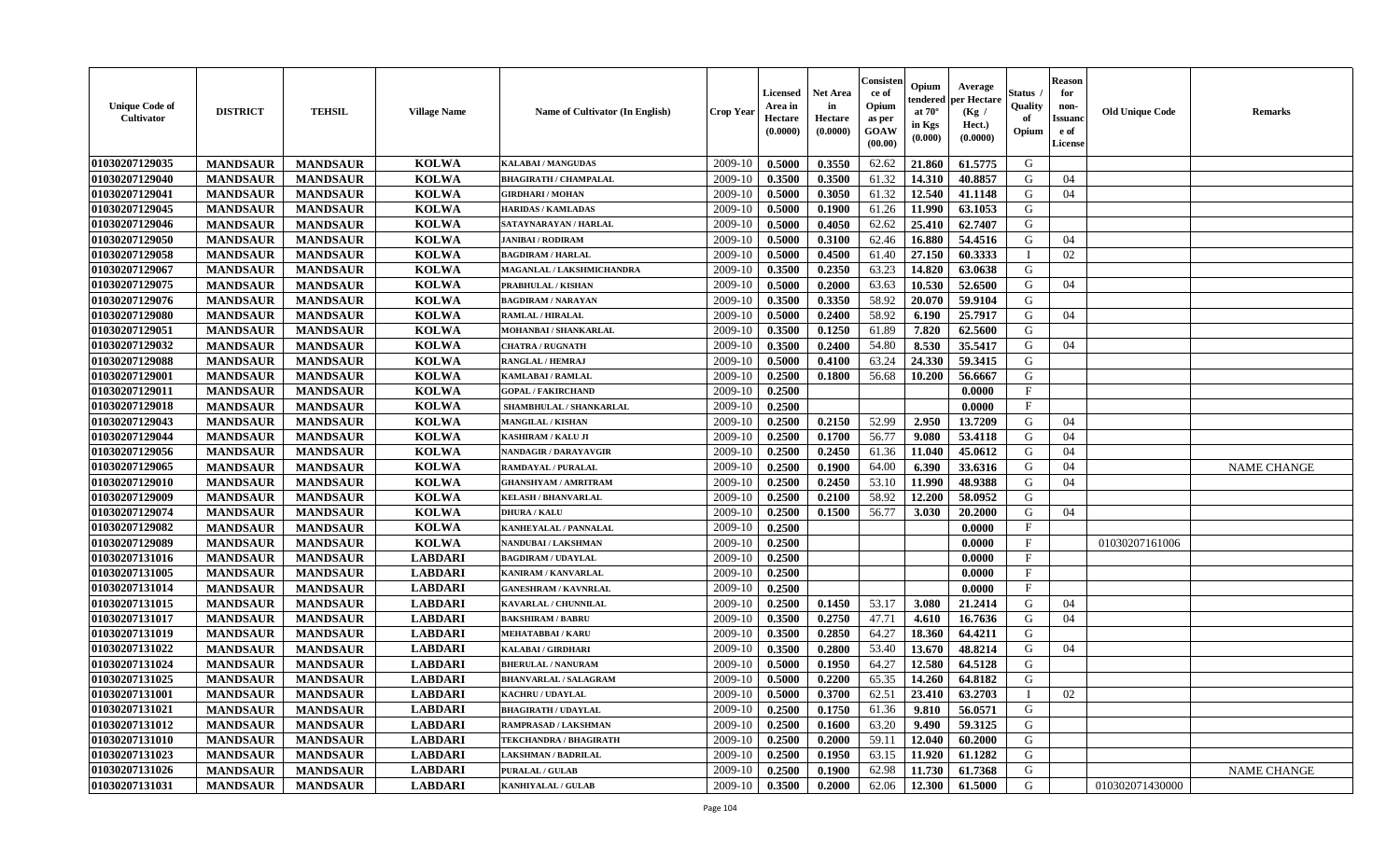| <b>Unique Code of</b><br>Cultivator | <b>DISTRICT</b> | <b>TEHSIL</b>   | <b>Village Name</b> | <b>Name of Cultivator (In English)</b> | <b>Crop Year</b> | <b>Licensed</b><br>Area in<br>Hectare<br>(0.0000) | Net Area<br>in<br>Hectare<br>(0.0000) | Consisteı<br>ce of<br>Opium<br>as per<br><b>GOAW</b><br>(00.00) | Opium<br>endered<br>at $70^\circ$<br>in Kgs<br>(0.000) | Average<br><b>per Hectare</b><br>(Kg /<br>Hect.)<br>(0.0000) | Status<br>Quality<br>of<br>Opium | <b>Reason</b><br>for<br>non-<br><b>Issuanc</b><br>e of<br><b>License</b> | <b>Old Unique Code</b> | <b>Remarks</b>     |
|-------------------------------------|-----------------|-----------------|---------------------|----------------------------------------|------------------|---------------------------------------------------|---------------------------------------|-----------------------------------------------------------------|--------------------------------------------------------|--------------------------------------------------------------|----------------------------------|--------------------------------------------------------------------------|------------------------|--------------------|
| 01030207129035                      | <b>MANDSAUR</b> | <b>MANDSAUR</b> | <b>KOLWA</b>        | <b>KALABAI/MANGUDAS</b>                | 2009-10          | 0.5000                                            | 0.3550                                | 62.62                                                           | 21.860                                                 | 61.5775                                                      | G                                |                                                                          |                        |                    |
| 01030207129040                      | <b>MANDSAUR</b> | <b>MANDSAUR</b> | <b>KOLWA</b>        | <b>BHAGIRATH / CHAMPALAL</b>           | 2009-10          | 0.3500                                            | 0.3500                                | 61.32                                                           | 14.310                                                 | 40.8857                                                      | G                                | 04                                                                       |                        |                    |
| 01030207129041                      | <b>MANDSAUR</b> | <b>MANDSAUR</b> | <b>KOLWA</b>        | <b>GIRDHARI / MOHAN</b>                | 2009-10          | 0.5000                                            | 0.3050                                | 61.32                                                           | 12.540                                                 | 41.1148                                                      | G                                | 04                                                                       |                        |                    |
| 01030207129045                      | <b>MANDSAUR</b> | <b>MANDSAUR</b> | <b>KOLWA</b>        | <b>HARIDAS / KAMLADAS</b>              | 2009-10          | 0.5000                                            | 0.1900                                | 61.26                                                           | 11.990                                                 | 63.1053                                                      | G                                |                                                                          |                        |                    |
| 01030207129046                      | <b>MANDSAUR</b> | <b>MANDSAUR</b> | <b>KOLWA</b>        | SATAYNARAYAN / HARLAL                  | 2009-10          | 0.5000                                            | 0.4050                                | 62.62                                                           | 25.410                                                 | 62.7407                                                      | G                                |                                                                          |                        |                    |
| 01030207129050                      | <b>MANDSAUR</b> | <b>MANDSAUR</b> | <b>KOLWA</b>        | <b>JANIBAI / RODIRAM</b>               | 2009-10          | 0.5000                                            | 0.3100                                | 62.46                                                           | 16.880                                                 | 54.4516                                                      | G                                | 04                                                                       |                        |                    |
| 01030207129058                      | <b>MANDSAUR</b> | <b>MANDSAUR</b> | <b>KOLWA</b>        | <b>BAGDIRAM / HARLAL</b>               | 2009-10          | 0.5000                                            | 0.4500                                | 61.40                                                           | 27.150                                                 | 60.3333                                                      | I                                | 02                                                                       |                        |                    |
| 01030207129067                      | <b>MANDSAUR</b> | <b>MANDSAUR</b> | <b>KOLWA</b>        | MAGANLAL / LAKSHMICHANDRA              | 2009-10          | 0.3500                                            | 0.2350                                | 63.23                                                           | 14.820                                                 | 63.0638                                                      | G                                |                                                                          |                        |                    |
| 01030207129075                      | <b>MANDSAUR</b> | <b>MANDSAUR</b> | <b>KOLWA</b>        | PRABHULAL / KISHAN                     | 2009-10          | 0.5000                                            | 0.2000                                | 63.63                                                           | 10.530                                                 | 52.6500                                                      | G                                | 04                                                                       |                        |                    |
| 01030207129076                      | <b>MANDSAUR</b> | <b>MANDSAUR</b> | <b>KOLWA</b>        | <b>BAGDIRAM / NARAYAN</b>              | 2009-10          | 0.3500                                            | 0.3350                                | 58.92                                                           | 20.070                                                 | 59.9104                                                      | G                                |                                                                          |                        |                    |
| 01030207129080                      | <b>MANDSAUR</b> | <b>MANDSAUR</b> | <b>KOLWA</b>        | RAMLAL / HIRALAL                       | 2009-10          | 0.5000                                            | 0.2400                                | 58.92                                                           | 6.190                                                  | 25.7917                                                      | G                                | 04                                                                       |                        |                    |
| 01030207129051                      | <b>MANDSAUR</b> | <b>MANDSAUR</b> | <b>KOLWA</b>        | MOHANBAI / SHANKARLAL                  | 2009-10          | 0.3500                                            | 0.1250                                | 61.89                                                           | 7.820                                                  | 62.5600                                                      | G                                |                                                                          |                        |                    |
| 01030207129032                      | <b>MANDSAUR</b> | <b>MANDSAUR</b> | <b>KOLWA</b>        | <b>CHATRA / RUGNATH</b>                | 2009-10          | 0.3500                                            | 0.2400                                | 54.80                                                           | 8.530                                                  | 35.5417                                                      | G                                | 04                                                                       |                        |                    |
| 01030207129088                      | <b>MANDSAUR</b> | <b>MANDSAUR</b> | <b>KOLWA</b>        | <b>RANGLAL / HEMRAJ</b>                | 2009-10          | 0.5000                                            | 0.4100                                | 63.24                                                           | 24.330                                                 | 59.3415                                                      | G                                |                                                                          |                        |                    |
| 01030207129001                      | <b>MANDSAUR</b> | <b>MANDSAUR</b> | <b>KOLWA</b>        | KAMLABAI / RAMLAL                      | 2009-10          | 0.2500                                            | 0.1800                                | 56.68                                                           | 10.200                                                 | 56.6667                                                      | G                                |                                                                          |                        |                    |
| 01030207129011                      | <b>MANDSAUR</b> | <b>MANDSAUR</b> | <b>KOLWA</b>        | <b>GOPAL / FAKIRCHAND</b>              | 2009-10          | 0.2500                                            |                                       |                                                                 |                                                        | 0.0000                                                       | $\mathbf{F}$                     |                                                                          |                        |                    |
| 01030207129018                      | <b>MANDSAUR</b> | <b>MANDSAUR</b> | <b>KOLWA</b>        | SHAMBHULAL / SHANKARLAL                | 2009-10          | 0.2500                                            |                                       |                                                                 |                                                        | 0.0000                                                       | $\mathbf{F}$                     |                                                                          |                        |                    |
| 01030207129043                      | <b>MANDSAUR</b> | <b>MANDSAUR</b> | <b>KOLWA</b>        | <b>MANGILAL / KISHAN</b>               | 2009-10          | 0.2500                                            | 0.2150                                | 52.99                                                           | 2.950                                                  | 13.7209                                                      | G                                | 04                                                                       |                        |                    |
| 01030207129044                      | <b>MANDSAUR</b> | <b>MANDSAUR</b> | <b>KOLWA</b>        | <b>KASHIRAM / KALU JI</b>              | 2009-10          | 0.2500                                            | 0.1700                                | 56.77                                                           | 9.080                                                  | 53.4118                                                      | G                                | 04                                                                       |                        |                    |
| 01030207129056                      | <b>MANDSAUR</b> | <b>MANDSAUR</b> | <b>KOLWA</b>        | <b>NANDAGIR / DARAYAVGIR</b>           | 2009-10          | 0.2500                                            | 0.2450                                | 61.36                                                           | 11.040                                                 | 45.0612                                                      | G                                | 04                                                                       |                        |                    |
| 01030207129065                      | <b>MANDSAUR</b> | <b>MANDSAUR</b> | <b>KOLWA</b>        | <b>RAMDAYAL / PURALAL</b>              | 2009-10          | 0.2500                                            | 0.1900                                | 64.00                                                           | 6.390                                                  | 33.6316                                                      | G                                | 04                                                                       |                        | <b>NAME CHANGE</b> |
| 01030207129010                      | <b>MANDSAUR</b> | <b>MANDSAUR</b> | <b>KOLWA</b>        | <b>GHANSHYAM / AMRITRAM</b>            | 2009-10          | 0.2500                                            | 0.2450                                | 53.10                                                           | 11.990                                                 | 48.9388                                                      | G                                | 04                                                                       |                        |                    |
| 01030207129009                      | <b>MANDSAUR</b> | <b>MANDSAUR</b> | <b>KOLWA</b>        | <b>KELASH / BHANVARLAL</b>             | 2009-10          | 0.2500                                            | 0.2100                                | 58.92                                                           | 12.200                                                 | 58.0952                                                      | G                                |                                                                          |                        |                    |
| 01030207129074                      | <b>MANDSAUR</b> | <b>MANDSAUR</b> | <b>KOLWA</b>        | <b>DHURA / KALU</b>                    | 2009-10          | 0.2500                                            | 0.1500                                | 56.77                                                           | 3.030                                                  | 20.2000                                                      | G                                | 04                                                                       |                        |                    |
| 01030207129082                      | <b>MANDSAUR</b> | <b>MANDSAUR</b> | <b>KOLWA</b>        | KANHEYALAL / PANNALAL                  | 2009-10          | 0.2500                                            |                                       |                                                                 |                                                        | 0.0000                                                       | $\mathbf{F}$                     |                                                                          |                        |                    |
| 01030207129089                      | <b>MANDSAUR</b> | <b>MANDSAUR</b> | <b>KOLWA</b>        | NANDUBAI / LAKSHMAN                    | 2009-10          | 0.2500                                            |                                       |                                                                 |                                                        | 0.0000                                                       | $\mathbf{F}$                     |                                                                          | 01030207161006         |                    |
| 01030207131016                      | <b>MANDSAUR</b> | <b>MANDSAUR</b> | <b>LABDARI</b>      | <b>BAGDIRAM / UDAYLAL</b>              | 2009-10          | 0.2500                                            |                                       |                                                                 |                                                        | 0.0000                                                       | $\mathbf{F}$                     |                                                                          |                        |                    |
| 01030207131005                      | <b>MANDSAUR</b> | <b>MANDSAUR</b> | <b>LABDARI</b>      | <b>KANIRAM / KANVARLAL</b>             | 2009-10          | 0.2500                                            |                                       |                                                                 |                                                        | 0.0000                                                       | $\mathbf{F}$                     |                                                                          |                        |                    |
| 01030207131014                      | <b>MANDSAUR</b> | <b>MANDSAUR</b> | <b>LABDARI</b>      | <b>GANESHRAM / KAVNRLAL</b>            | 2009-10          | 0.2500                                            |                                       |                                                                 |                                                        | 0.0000                                                       | $_{\rm F}$                       |                                                                          |                        |                    |
| 01030207131015                      | <b>MANDSAUR</b> | <b>MANDSAUR</b> | <b>LABDARI</b>      | KAVARLAL / CHUNNILAL                   | 2009-10          | 0.2500                                            | 0.1450                                | 53.17                                                           | 3.080                                                  | 21.2414                                                      | G                                | 04                                                                       |                        |                    |
| 01030207131017                      | <b>MANDSAUR</b> | <b>MANDSAUR</b> | <b>LABDARI</b>      | <b>BAKSHIRAM / BABRU</b>               | 2009-10          | 0.3500                                            | 0.2750                                | 47.71                                                           | 4.610                                                  | 16.7636                                                      | G                                | 04                                                                       |                        |                    |
| 01030207131019                      | <b>MANDSAUR</b> | <b>MANDSAUR</b> | <b>LABDARI</b>      | <b>MEHATABBAI/KARU</b>                 | 2009-10          | 0.3500                                            | 0.2850                                | 64.27                                                           | 18.360                                                 | 64.4211                                                      | G                                |                                                                          |                        |                    |
| 01030207131022                      | <b>MANDSAUR</b> | <b>MANDSAUR</b> | <b>LABDARI</b>      | <b>KALABAI/GIRDHARI</b>                | 2009-10          | 0.3500                                            | 0.2800                                | 53.40                                                           | 13.670                                                 | 48.8214                                                      | G                                | 04                                                                       |                        |                    |
| 01030207131024                      | <b>MANDSAUR</b> | <b>MANDSAUR</b> | <b>LABDARI</b>      | <b>BHERULAL / NANURAM</b>              | 2009-10          | 0.5000                                            | 0.1950                                | 64.27                                                           | 12.580                                                 | 64.5128                                                      | G                                |                                                                          |                        |                    |
| 01030207131025                      | <b>MANDSAUR</b> | <b>MANDSAUR</b> | <b>LABDARI</b>      | <b>BHANVARLAL / SALAGRAM</b>           | 2009-10          | 0.5000                                            | 0.2200                                | 65.35                                                           | 14.260                                                 | 64.8182                                                      | G                                |                                                                          |                        |                    |
| 01030207131001                      | <b>MANDSAUR</b> | <b>MANDSAUR</b> | <b>LABDARI</b>      | <b>KACHRU / UDAYLAL</b>                | 2009-10          | 0.5000                                            | 0.3700                                | 62.51                                                           | 23.410                                                 | 63.2703                                                      | $\mathbf I$                      | 02                                                                       |                        |                    |
| 01030207131021                      | <b>MANDSAUR</b> | <b>MANDSAUR</b> | <b>LABDARI</b>      | <b>BHAGIRATH / UDAYLAL</b>             | 2009-10          | 0.2500                                            | 0.1750                                | 61.36                                                           | 9.810                                                  | 56.0571                                                      | G                                |                                                                          |                        |                    |
| 01030207131012                      | <b>MANDSAUR</b> | <b>MANDSAUR</b> | <b>LABDARI</b>      | RAMPRASAD / LAKSHMAN                   | 2009-10          | 0.2500                                            | 0.1600                                | 63.20                                                           | 9.490                                                  | 59.3125                                                      | G                                |                                                                          |                        |                    |
| 01030207131010                      | <b>MANDSAUR</b> | <b>MANDSAUR</b> | <b>LABDARI</b>      | <b>TEKCHANDRA / BHAGIRATH</b>          | 2009-10          | 0.2500                                            | 0.2000                                | 59.11                                                           | 12.040                                                 | 60.2000                                                      | G                                |                                                                          |                        |                    |
| 01030207131023                      | <b>MANDSAUR</b> | <b>MANDSAUR</b> | <b>LABDARI</b>      | LAKSHMAN / BADRILAL                    | 2009-10          | 0.2500                                            | 0.1950                                | 63.15                                                           | 11.920                                                 | 61.1282                                                      | G                                |                                                                          |                        |                    |
| 01030207131026                      | <b>MANDSAUR</b> | <b>MANDSAUR</b> | <b>LABDARI</b>      | <b>PURALAL / GULAB</b>                 | 2009-10          | 0.2500                                            | 0.1900                                | 62.98                                                           | 11.730                                                 | 61.7368                                                      | G                                |                                                                          |                        | <b>NAME CHANGE</b> |
| 01030207131031                      | <b>MANDSAUR</b> | <b>MANDSAUR</b> | <b>LABDARI</b>      | <b>KANHIYALAL / GULAB</b>              | 2009-10          | 0.3500                                            | 0.2000                                | 62.06                                                           | 12.300                                                 | 61.5000                                                      | G                                |                                                                          | 010302071430000        |                    |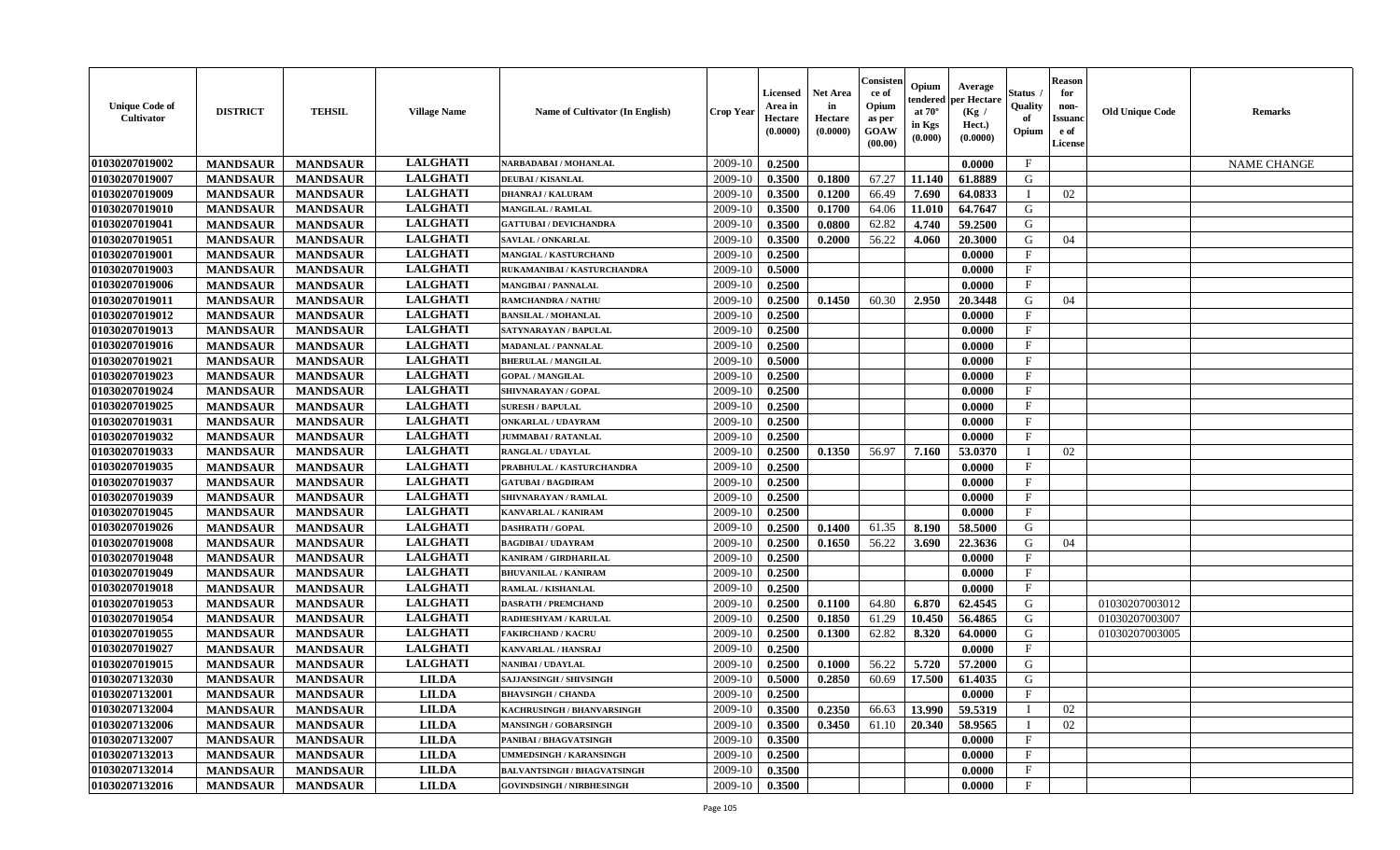| <b>Unique Code of</b><br>Cultivator | <b>DISTRICT</b> | <b>TEHSIL</b>   | <b>Village Name</b> | Name of Cultivator (In English)    | <b>Crop Year</b> | Licensed<br>Area in<br>Hectare<br>(0.0000) | <b>Net Area</b><br>in<br>Hectare<br>(0.0000) | Consisten<br>ce of<br>Opium<br>as per<br>GOAW<br>(00.00) | Opium<br>tendered<br>at $70^\circ$<br>in Kgs<br>(0.000) | Average<br>per Hectare<br>(Kg /<br>Hect.)<br>(0.0000) | Status<br>Quality<br>of<br>Opium | <b>Reason</b><br>for<br>non-<br>Issuanc<br>e of<br>License | <b>Old Unique Code</b> | <b>Remarks</b>     |
|-------------------------------------|-----------------|-----------------|---------------------|------------------------------------|------------------|--------------------------------------------|----------------------------------------------|----------------------------------------------------------|---------------------------------------------------------|-------------------------------------------------------|----------------------------------|------------------------------------------------------------|------------------------|--------------------|
| 01030207019002                      | <b>MANDSAUR</b> | <b>MANDSAUR</b> | <b>LALGHATI</b>     | NARBADABAI / MOHANLAL              | 2009-10          | 0.2500                                     |                                              |                                                          |                                                         | 0.0000                                                | $\mathbf{F}$                     |                                                            |                        | <b>NAME CHANGE</b> |
| 01030207019007                      | <b>MANDSAUR</b> | <b>MANDSAUR</b> | <b>LALGHATI</b>     | <b>DEUBAI/KISANLAL</b>             | 2009-10          | 0.3500                                     | 0.1800                                       | 67.27                                                    | 11.140                                                  | 61.8889                                               | G                                |                                                            |                        |                    |
| 01030207019009                      | <b>MANDSAUR</b> | <b>MANDSAUR</b> | <b>LALGHATI</b>     | <b>DHANRAJ / KALURAM</b>           | 2009-10          | 0.3500                                     | 0.1200                                       | 66.49                                                    | 7.690                                                   | 64.0833                                               |                                  | 02                                                         |                        |                    |
| 01030207019010                      | <b>MANDSAUR</b> | <b>MANDSAUR</b> | <b>LALGHATI</b>     | <b>MANGILAL / RAMLAL</b>           | 2009-10          | 0.3500                                     | 0.1700                                       | 64.06                                                    | 11.010                                                  | 64.7647                                               | G                                |                                                            |                        |                    |
| 01030207019041                      | <b>MANDSAUR</b> | <b>MANDSAUR</b> | <b>LALGHATI</b>     | <b>GATTUBAI/DEVICHANDRA</b>        | 2009-10          | 0.3500                                     | 0.0800                                       | 62.82                                                    | 4.740                                                   | 59.2500                                               | G                                |                                                            |                        |                    |
| 01030207019051                      | <b>MANDSAUR</b> | <b>MANDSAUR</b> | <b>LALGHATI</b>     | SAVLAL / ONKARLAL                  | 2009-10          | 0.3500                                     | 0.2000                                       | 56.22                                                    | 4.060                                                   | 20.3000                                               | G                                | 04                                                         |                        |                    |
| 01030207019001                      | <b>MANDSAUR</b> | <b>MANDSAUR</b> | <b>LALGHATI</b>     | <b>MANGIAL / KASTURCHAND</b>       | 2009-10          | 0.2500                                     |                                              |                                                          |                                                         | 0.0000                                                | F                                |                                                            |                        |                    |
| 01030207019003                      | <b>MANDSAUR</b> | <b>MANDSAUR</b> | <b>LALGHATI</b>     | RUKAMANIBAI / KASTURCHANDRA        | 2009-10          | 0.5000                                     |                                              |                                                          |                                                         | 0.0000                                                | $\mathbf{F}$                     |                                                            |                        |                    |
| 01030207019006                      | <b>MANDSAUR</b> | <b>MANDSAUR</b> | <b>LALGHATI</b>     | <b>MANGIBAI/PANNALAL</b>           | 2009-10          | 0.2500                                     |                                              |                                                          |                                                         | 0.0000                                                | $\mathbf F$                      |                                                            |                        |                    |
| 01030207019011                      | <b>MANDSAUR</b> | <b>MANDSAUR</b> | <b>LALGHATI</b>     | <b>RAMCHANDRA / NATHU</b>          | 2009-10          | 0.2500                                     | 0.1450                                       | 60.30                                                    | 2.950                                                   | 20.3448                                               | G                                | 04                                                         |                        |                    |
| 01030207019012                      | <b>MANDSAUR</b> | <b>MANDSAUR</b> | <b>LALGHATI</b>     | <b>BANSILAL / MOHANLAL</b>         | 2009-10          | 0.2500                                     |                                              |                                                          |                                                         | 0.0000                                                | $\mathbf{F}$                     |                                                            |                        |                    |
| 01030207019013                      | <b>MANDSAUR</b> | <b>MANDSAUR</b> | <b>LALGHATI</b>     | SATYNARAYAN / BAPULAL              | 2009-10          | 0.2500                                     |                                              |                                                          |                                                         | 0.0000                                                | $_{\rm F}$                       |                                                            |                        |                    |
| 01030207019016                      | <b>MANDSAUR</b> | <b>MANDSAUR</b> | <b>LALGHATI</b>     | <b>MADANLAL / PANNALAL</b>         | 2009-10          | 0.2500                                     |                                              |                                                          |                                                         | 0.0000                                                | $\mathbf{F}$                     |                                                            |                        |                    |
| 01030207019021                      | <b>MANDSAUR</b> | <b>MANDSAUR</b> | <b>LALGHATI</b>     | <b>BHERULAL / MANGILAL</b>         | 2009-10          | 0.5000                                     |                                              |                                                          |                                                         | 0.0000                                                | $\mathbf F$                      |                                                            |                        |                    |
| 01030207019023                      | <b>MANDSAUR</b> | <b>MANDSAUR</b> | <b>LALGHATI</b>     | <b>GOPAL / MANGILAL</b>            | 2009-10          | 0.2500                                     |                                              |                                                          |                                                         | 0.0000                                                | $\mathbf{F}$                     |                                                            |                        |                    |
| 01030207019024                      | <b>MANDSAUR</b> | <b>MANDSAUR</b> | <b>LALGHATI</b>     | SHIVNARAYAN / GOPAL                | 2009-10          | 0.2500                                     |                                              |                                                          |                                                         | 0.0000                                                | $\mathbf{F}$                     |                                                            |                        |                    |
| 01030207019025                      | <b>MANDSAUR</b> | <b>MANDSAUR</b> | <b>LALGHATI</b>     | <b>SURESH / BAPULAL</b>            | 2009-10          | 0.2500                                     |                                              |                                                          |                                                         | 0.0000                                                | $\mathbf F$                      |                                                            |                        |                    |
| 01030207019031                      | <b>MANDSAUR</b> | <b>MANDSAUR</b> | <b>LALGHATI</b>     | <b>ONKARLAL / UDAYRAM</b>          | 2009-10          | 0.2500                                     |                                              |                                                          |                                                         | 0.0000                                                | $\mathbf{F}$                     |                                                            |                        |                    |
| 01030207019032                      | <b>MANDSAUR</b> | <b>MANDSAUR</b> | <b>LALGHATI</b>     | <b>JUMMABAI/RATANLAL</b>           | 2009-10          | 0.2500                                     |                                              |                                                          |                                                         | 0.0000                                                | $\mathbf F$                      |                                                            |                        |                    |
| 01030207019033                      | <b>MANDSAUR</b> | <b>MANDSAUR</b> | <b>LALGHATI</b>     | RANGLAL / UDAYLAL                  | 2009-10          | 0.2500                                     | 0.1350                                       | 56.97                                                    | 7.160                                                   | 53.0370                                               | $\mathbf I$                      | 02                                                         |                        |                    |
| 01030207019035                      | <b>MANDSAUR</b> | <b>MANDSAUR</b> | <b>LALGHATI</b>     | PRABHULAL / KASTURCHANDRA          | 2009-10          | 0.2500                                     |                                              |                                                          |                                                         | 0.0000                                                | $\mathbf{F}$                     |                                                            |                        |                    |
| 01030207019037                      | <b>MANDSAUR</b> | <b>MANDSAUR</b> | <b>LALGHATI</b>     | <b>GATUBAI/BAGDIRAM</b>            | 2009-10          | 0.2500                                     |                                              |                                                          |                                                         | 0.0000                                                | $\mathbf F$                      |                                                            |                        |                    |
| 01030207019039                      | <b>MANDSAUR</b> | <b>MANDSAUR</b> | <b>LALGHATI</b>     | SHIVNARAYAN / RAMLAL               | 2009-10          | 0.2500                                     |                                              |                                                          |                                                         | 0.0000                                                | $\mathbf{F}$                     |                                                            |                        |                    |
| 01030207019045                      | <b>MANDSAUR</b> | <b>MANDSAUR</b> | <b>LALGHATI</b>     | KANVARLAL / KANIRAM                | 2009-10          | 0.2500                                     |                                              |                                                          |                                                         | 0.0000                                                | $\mathbf{F}$                     |                                                            |                        |                    |
| 01030207019026                      | <b>MANDSAUR</b> | <b>MANDSAUR</b> | <b>LALGHATI</b>     | <b>DASHRATH / GOPAL</b>            | 2009-10          | 0.2500                                     | 0.1400                                       | 61.35                                                    | 8.190                                                   | 58.5000                                               | G                                |                                                            |                        |                    |
| 01030207019008                      | <b>MANDSAUR</b> | <b>MANDSAUR</b> | <b>LALGHATI</b>     | <b>BAGDIBAI / UDAYRAM</b>          | 2009-10          | 0.2500                                     | 0.1650                                       | 56.22                                                    | 3.690                                                   | 22.3636                                               | G                                | 04                                                         |                        |                    |
| 01030207019048                      | <b>MANDSAUR</b> | <b>MANDSAUR</b> | <b>LALGHATI</b>     | KANIRAM / GIRDHARILAL              | 2009-10          | 0.2500                                     |                                              |                                                          |                                                         | 0.0000                                                | F                                |                                                            |                        |                    |
| 01030207019049                      | <b>MANDSAUR</b> | <b>MANDSAUR</b> | <b>LALGHATI</b>     | <b>BHUVANILAL / KANIRAM</b>        | 2009-10          | 0.2500                                     |                                              |                                                          |                                                         | 0.0000                                                | $\mathbf F$                      |                                                            |                        |                    |
| 01030207019018                      | <b>MANDSAUR</b> | <b>MANDSAUR</b> | <b>LALGHATI</b>     | RAMLAL / KISHANLAL                 | 2009-10          | 0.2500                                     |                                              |                                                          |                                                         | 0.0000                                                | $\rm F$                          |                                                            |                        |                    |
| 01030207019053                      | <b>MANDSAUR</b> | <b>MANDSAUR</b> | <b>LALGHATI</b>     | <b>DASRATH / PREMCHAND</b>         | 2009-10          | 0.2500                                     | 0.1100                                       | 64.80                                                    | 6.870                                                   | 62.4545                                               | G                                |                                                            | 01030207003012         |                    |
| 01030207019054                      | <b>MANDSAUR</b> | <b>MANDSAUR</b> | <b>LALGHATI</b>     | RADHESHYAM / KARULAI               | 2009-10          | 0.2500                                     | 0.1850                                       | 61.29                                                    | 10.450                                                  | 56.4865                                               | G                                |                                                            | 01030207003007         |                    |
| 01030207019055                      | <b>MANDSAUR</b> | <b>MANDSAUR</b> | <b>LALGHATI</b>     | <b>FAKIRCHAND / KACRU</b>          | 2009-10          | 0.2500                                     | 0.1300                                       | 62.82                                                    | 8.320                                                   | 64.0000                                               | $\mathbf G$                      |                                                            | 01030207003005         |                    |
| 01030207019027                      | <b>MANDSAUR</b> | <b>MANDSAUR</b> | <b>LALGHATI</b>     | KANVARLAL / HANSRAJ                | 2009-10          | 0.2500                                     |                                              |                                                          |                                                         | 0.0000                                                | $\mathbf{F}$                     |                                                            |                        |                    |
| 01030207019015                      | <b>MANDSAUR</b> | <b>MANDSAUR</b> | <b>LALGHATI</b>     | <b>NANIBAI/UDAYLAL</b>             | 2009-10          | 0.2500                                     | 0.1000                                       | 56.22                                                    | 5.720                                                   | 57.2000                                               | G                                |                                                            |                        |                    |
| 01030207132030                      | <b>MANDSAUR</b> | <b>MANDSAUR</b> | <b>LILDA</b>        | <b>SAJJANSINGH / SHIVSINGH</b>     | 2009-10          | 0.5000                                     | 0.2850                                       | 60.69                                                    | 17.500                                                  | 61.4035                                               | G                                |                                                            |                        |                    |
| 01030207132001                      | <b>MANDSAUR</b> | <b>MANDSAUR</b> | <b>LILDA</b>        | <b>BHAVSINGH / CHANDA</b>          | 2009-10          | 0.2500                                     |                                              |                                                          |                                                         | 0.0000                                                | $\mathbf{F}$                     |                                                            |                        |                    |
| 01030207132004                      | <b>MANDSAUR</b> | <b>MANDSAUR</b> | <b>LILDA</b>        | KACHRUSINGH / BHANVARSINGH         | 2009-10          | 0.3500                                     | 0.2350                                       | 66.63                                                    | 13.990                                                  | 59.5319                                               | $\mathbf I$                      | 02                                                         |                        |                    |
| 01030207132006                      | <b>MANDSAUR</b> | <b>MANDSAUR</b> | <b>LILDA</b>        | <b>MANSINGH / GOBARSINGH</b>       | 2009-10          | 0.3500                                     | 0.3450                                       | 61.10                                                    | 20.340                                                  | 58.9565                                               | $\mathbf I$                      | 02                                                         |                        |                    |
| 01030207132007                      | <b>MANDSAUR</b> | <b>MANDSAUR</b> | <b>LILDA</b>        | PANIBAI / BHAGVATSINGH             | 2009-10          | 0.3500                                     |                                              |                                                          |                                                         | 0.0000                                                | $\mathbf{F}$                     |                                                            |                        |                    |
| 01030207132013                      | <b>MANDSAUR</b> | <b>MANDSAUR</b> | <b>LILDA</b>        | UMMEDSINGH / KARANSINGH            | 2009-10          | 0.2500                                     |                                              |                                                          |                                                         | 0.0000                                                | F                                |                                                            |                        |                    |
| 01030207132014                      | <b>MANDSAUR</b> | <b>MANDSAUR</b> | <b>LILDA</b>        | <b>BALVANTSINGH / BHAGVATSINGH</b> | 2009-10          | 0.3500                                     |                                              |                                                          |                                                         | 0.0000                                                | $\mathbf{F}$                     |                                                            |                        |                    |
| 01030207132016                      | <b>MANDSAUR</b> | <b>MANDSAUR</b> | <b>LILDA</b>        | <b>GOVINDSINGH / NIRBHESINGH</b>   | 2009-10          | 0.3500                                     |                                              |                                                          |                                                         | 0.0000                                                | $\mathbf{F}$                     |                                                            |                        |                    |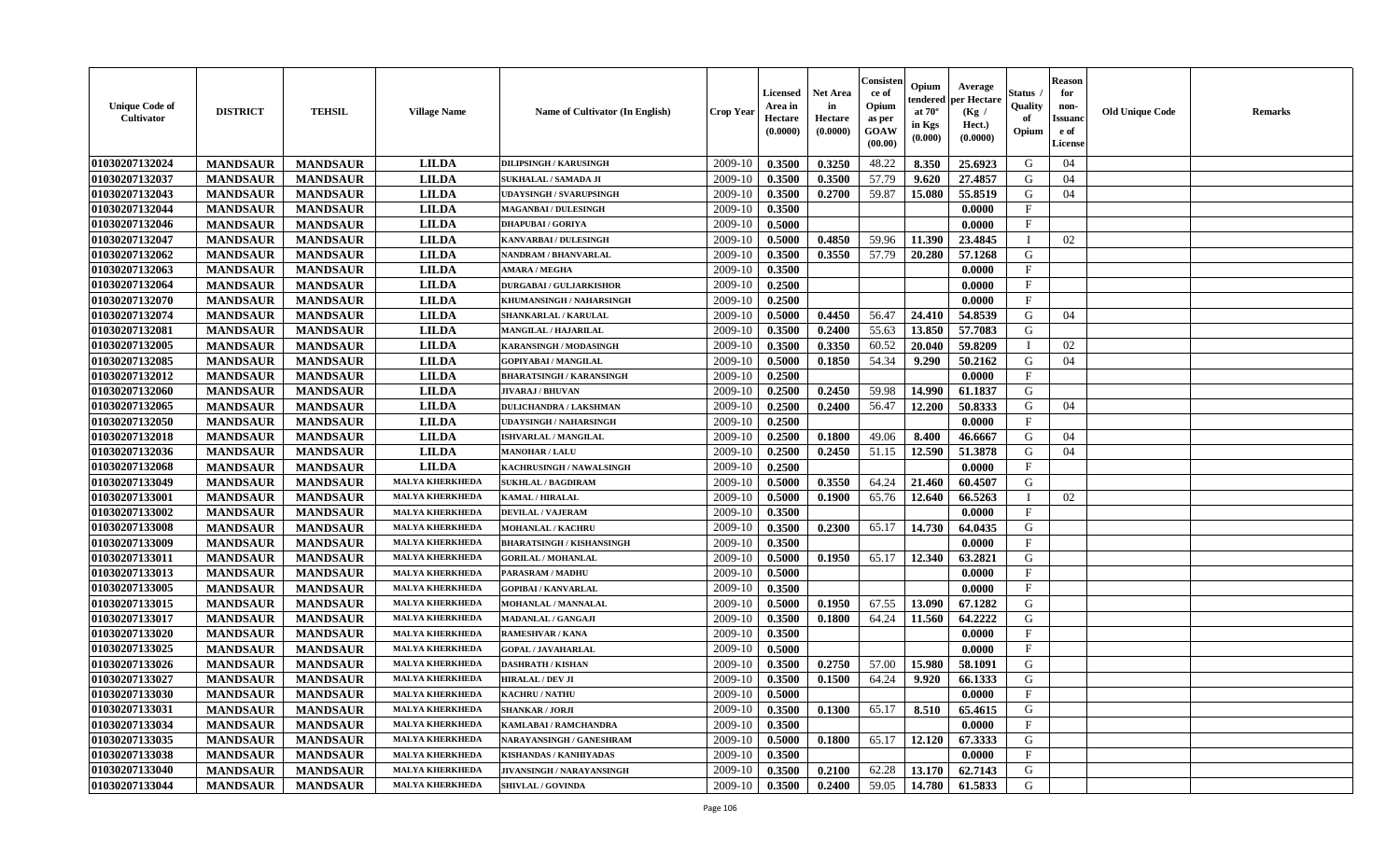| <b>Unique Code of</b><br><b>Cultivator</b> | <b>DISTRICT</b> | <b>TEHSIL</b>   | <b>Village Name</b>    | Name of Cultivator (In English)  | <b>Crop Year</b> | <b>Licensed</b><br>Area in<br>Hectare<br>(0.0000) | <b>Net Area</b><br>in<br>Hectare<br>(0.0000) | Consister<br>ce of<br>Opium<br>as per<br><b>GOAW</b><br>(00.00) | Opium<br>endered<br>at $70^\circ$<br>in Kgs<br>(0.000) | Average<br>per Hectare<br>(Kg /<br>Hect.)<br>(0.0000) | Status<br>Quality<br>of<br>Opium | <b>Reason</b><br>for<br>non-<br><b>Issuand</b><br>e of<br><b>License</b> | <b>Old Unique Code</b> | <b>Remarks</b> |
|--------------------------------------------|-----------------|-----------------|------------------------|----------------------------------|------------------|---------------------------------------------------|----------------------------------------------|-----------------------------------------------------------------|--------------------------------------------------------|-------------------------------------------------------|----------------------------------|--------------------------------------------------------------------------|------------------------|----------------|
| 01030207132024                             | <b>MANDSAUR</b> | <b>MANDSAUR</b> | <b>LILDA</b>           | <b>DILIPSINGH / KARUSINGH</b>    | 2009-10          | 0.3500                                            | 0.3250                                       | 48.22                                                           | 8.350                                                  | 25.6923                                               | G                                | 04                                                                       |                        |                |
| 01030207132037                             | <b>MANDSAUR</b> | <b>MANDSAUR</b> | <b>LILDA</b>           | SUKHALAL / SAMADA JI             | 2009-10          | 0.3500                                            | 0.3500                                       | 57.79                                                           | 9.620                                                  | 27.4857                                               | G                                | 04                                                                       |                        |                |
| 01030207132043                             | <b>MANDSAUR</b> | <b>MANDSAUR</b> | <b>LILDA</b>           | <b>UDAYSINGH / SVARUPSINGH</b>   | 2009-10          | 0.3500                                            | 0.2700                                       | 59.87                                                           | 15.080                                                 | 55.8519                                               | G                                | 04                                                                       |                        |                |
| 01030207132044                             | <b>MANDSAUR</b> | <b>MANDSAUR</b> | <b>LILDA</b>           | <b>MAGANBAI/DULESINGH</b>        | 2009-10          | 0.3500                                            |                                              |                                                                 |                                                        | 0.0000                                                | $\mathbf{F}$                     |                                                                          |                        |                |
| 01030207132046                             | <b>MANDSAUR</b> | <b>MANDSAUR</b> | <b>LILDA</b>           | <b>DHAPUBAI/GORIYA</b>           | 2009-10          | 0.5000                                            |                                              |                                                                 |                                                        | 0.0000                                                | F                                |                                                                          |                        |                |
| 01030207132047                             | <b>MANDSAUR</b> | <b>MANDSAUR</b> | <b>LILDA</b>           | KANVARBAI / DULESINGH            | 2009-10          | 0.5000                                            | 0.4850                                       | 59.96                                                           | 11.390                                                 | 23.4845                                               | $\mathbf I$                      | 02                                                                       |                        |                |
| 01030207132062                             | <b>MANDSAUR</b> | <b>MANDSAUR</b> | <b>LILDA</b>           | NANDRAM / BHANVARLAL             | 2009-10          | 0.3500                                            | 0.3550                                       | 57.79                                                           | 20.280                                                 | 57.1268                                               | G                                |                                                                          |                        |                |
| 01030207132063                             | <b>MANDSAUR</b> | <b>MANDSAUR</b> | <b>LILDA</b>           | <b>AMARA / MEGHA</b>             | 2009-10          | 0.3500                                            |                                              |                                                                 |                                                        | 0.0000                                                | $_{\rm F}$                       |                                                                          |                        |                |
| 01030207132064                             | <b>MANDSAUR</b> | <b>MANDSAUR</b> | <b>LILDA</b>           | <b>DURGABAI/GULJARKISHOR</b>     | 2009-10          | 0.2500                                            |                                              |                                                                 |                                                        | 0.0000                                                | $_{\rm F}$                       |                                                                          |                        |                |
| 01030207132070                             | <b>MANDSAUR</b> | <b>MANDSAUR</b> | <b>LILDA</b>           | KHUMANSINGH / NAHARSINGH         | 2009-10          | 0.2500                                            |                                              |                                                                 |                                                        | 0.0000                                                | $\mathbf{F}$                     |                                                                          |                        |                |
| 01030207132074                             | <b>MANDSAUR</b> | <b>MANDSAUR</b> | <b>LILDA</b>           | SHANKARLAL / KARULAL             | 2009-10          | 0.5000                                            | 0.4450                                       | 56.47                                                           | 24.410                                                 | 54.8539                                               | G                                | 04                                                                       |                        |                |
| 01030207132081                             | <b>MANDSAUR</b> | <b>MANDSAUR</b> | <b>LILDA</b>           | <b>MANGILAL / HAJARILAL</b>      | 2009-10          | 0.3500                                            | 0.2400                                       | 55.63                                                           | 13.850                                                 | 57.7083                                               | G                                |                                                                          |                        |                |
| 01030207132005                             | <b>MANDSAUR</b> | <b>MANDSAUR</b> | <b>LILDA</b>           | KARANSINGH / MODASINGH           | 2009-10          | 0.3500                                            | 0.3350                                       | 60.52                                                           | 20.040                                                 | 59.8209                                               | $\mathbf{I}$                     | 02                                                                       |                        |                |
| 01030207132085                             | <b>MANDSAUR</b> | <b>MANDSAUR</b> | <b>LILDA</b>           | <b>GOPIYABAI/MANGILAL</b>        | 2009-10          | 0.5000                                            | 0.1850                                       | 54.34                                                           | 9.290                                                  | 50.2162                                               | G                                | 04                                                                       |                        |                |
| 01030207132012                             | <b>MANDSAUR</b> | <b>MANDSAUR</b> | <b>LILDA</b>           | <b>BHARATSINGH / KARANSINGH</b>  | 2009-10          | 0.2500                                            |                                              |                                                                 |                                                        | 0.0000                                                | $\mathbf{F}$                     |                                                                          |                        |                |
| 01030207132060                             | <b>MANDSAUR</b> | <b>MANDSAUR</b> | <b>LILDA</b>           | <b>JIVARAJ / BHUVAN</b>          | 2009-10          | 0.2500                                            | 0.2450                                       | 59.98                                                           | 14.990                                                 | 61.1837                                               | G                                |                                                                          |                        |                |
| 01030207132065                             | <b>MANDSAUR</b> | <b>MANDSAUR</b> | <b>LILDA</b>           | <b>DULICHANDRA / LAKSHMAN</b>    | 2009-10          | 0.2500                                            | 0.2400                                       | 56.47                                                           | 12.200                                                 | 50.8333                                               | G                                | 04                                                                       |                        |                |
| 01030207132050                             | <b>MANDSAUR</b> | <b>MANDSAUR</b> | <b>LILDA</b>           | <b>UDAYSINGH / NAHARSINGH</b>    | 2009-10          | 0.2500                                            |                                              |                                                                 |                                                        | 0.0000                                                | $_{\rm F}$                       |                                                                          |                        |                |
| 01030207132018                             | <b>MANDSAUR</b> | <b>MANDSAUR</b> | <b>LILDA</b>           | <b>ISHVARLAL / MANGILAL</b>      | 2009-10          | 0.2500                                            | 0.1800                                       | 49.06                                                           | 8.400                                                  | 46.6667                                               | G                                | 04                                                                       |                        |                |
| 01030207132036                             | <b>MANDSAUR</b> | <b>MANDSAUR</b> | <b>LILDA</b>           | <b>MANOHAR / LALU</b>            | 2009-10          | 0.2500                                            | 0.2450                                       | 51.15                                                           | 12.590                                                 | 51.3878                                               | G                                | 04                                                                       |                        |                |
| 01030207132068                             | <b>MANDSAUR</b> | <b>MANDSAUR</b> | <b>LILDA</b>           | KACHRUSINGH / NAWALSINGH         | 2009-10          | 0.2500                                            |                                              |                                                                 |                                                        | 0.0000                                                | $\mathbf{F}$                     |                                                                          |                        |                |
| 01030207133049                             | <b>MANDSAUR</b> | <b>MANDSAUR</b> | <b>MALYA KHERKHEDA</b> | <b>SUKHLAL / BAGDIRAM</b>        | 2009-10          | 0.5000                                            | 0.3550                                       | 64.24                                                           | 21.460                                                 | 60.4507                                               | G                                |                                                                          |                        |                |
| 01030207133001                             | <b>MANDSAUR</b> | <b>MANDSAUR</b> | <b>MALYA KHERKHED</b>  | KAMAL / HIRALAL                  | 2009-10          | 0.5000                                            | 0.1900                                       | 65.76                                                           | 12.640                                                 | 66.5263                                               |                                  | 02                                                                       |                        |                |
| 01030207133002                             | <b>MANDSAUR</b> | <b>MANDSAUR</b> | <b>MALYA KHERKHEDA</b> | <b>DEVILAL / VAJERAM</b>         | 2009-10          | 0.3500                                            |                                              |                                                                 |                                                        | 0.0000                                                | $\mathbf{F}$                     |                                                                          |                        |                |
| 01030207133008                             | <b>MANDSAUR</b> | <b>MANDSAUR</b> | <b>MALYA KHERKHEDA</b> | <b>MOHANLAL / KACHRU</b>         | 2009-10          | 0.3500                                            | 0.2300                                       | 65.17                                                           | 14.730                                                 | 64.0435                                               | G                                |                                                                          |                        |                |
| 01030207133009                             | <b>MANDSAUR</b> | <b>MANDSAUR</b> | <b>MALYA KHERKHEDA</b> | <b>BHARATSINGH / KISHANSINGH</b> | 2009-10          | 0.3500                                            |                                              |                                                                 |                                                        | 0.0000                                                | $\mathbf{F}$                     |                                                                          |                        |                |
| 01030207133011                             | <b>MANDSAUR</b> | <b>MANDSAUR</b> | <b>MALYA KHERKHEDA</b> | <b>GORILAL / MOHANLAL</b>        | 2009-10          | 0.5000                                            | 0.1950                                       | 65.17                                                           | 12.340                                                 | 63.2821                                               | G                                |                                                                          |                        |                |
| 01030207133013                             | <b>MANDSAUR</b> | <b>MANDSAUR</b> | <b>MALYA KHERKHEDA</b> | <b>PARASRAM / MADHU</b>          | 2009-10          | 0.5000                                            |                                              |                                                                 |                                                        | 0.0000                                                | $_{\rm F}$                       |                                                                          |                        |                |
| 01030207133005                             | <b>MANDSAUR</b> | <b>MANDSAUR</b> | <b>MALYA KHERKHEDA</b> | <b>GOPIBAI/KANVARLAL</b>         | 2009-10          | 0.3500                                            |                                              |                                                                 |                                                        | 0.0000                                                | $\rm F$                          |                                                                          |                        |                |
| 01030207133015                             | <b>MANDSAUR</b> | <b>MANDSAUR</b> | <b>MALYA KHERKHEDA</b> | <b>MOHANLAL / MANNALAL</b>       | 2009-10          | 0.5000                                            | 0.1950                                       | 67.55                                                           | 13.090                                                 | 67.1282                                               | G                                |                                                                          |                        |                |
| 01030207133017                             | <b>MANDSAUR</b> | <b>MANDSAUR</b> | <b>MALYA KHERKHED</b>  | MADANLAL / GANGAJI               | 2009-10          | 0.3500                                            | 0.1800                                       | 64.24                                                           | 11.560                                                 | 64.2222                                               | G                                |                                                                          |                        |                |
| 01030207133020                             | <b>MANDSAUR</b> | <b>MANDSAUR</b> | <b>MALYA KHERKHED</b>  | <b>RAMESHVAR / KANA</b>          | 2009-10          | 0.3500                                            |                                              |                                                                 |                                                        | 0.0000                                                | $\mathbf{F}$                     |                                                                          |                        |                |
| 01030207133025                             | <b>MANDSAUR</b> | <b>MANDSAUR</b> | <b>MALYA KHERKHEDA</b> | <b>GOPAL / JAVAHARLAL</b>        | 2009-10          | 0.5000                                            |                                              |                                                                 |                                                        | 0.0000                                                | $\mathbf{F}$                     |                                                                          |                        |                |
| 01030207133026                             | <b>MANDSAUR</b> | <b>MANDSAUR</b> | <b>MALYA KHERKHEDA</b> | <b>DASHRATH / KISHAN</b>         | 2009-10          | 0.3500                                            | 0.2750                                       | 57.00                                                           | 15.980                                                 | 58.1091                                               | G                                |                                                                          |                        |                |
| 01030207133027                             | <b>MANDSAUR</b> | <b>MANDSAUR</b> | <b>MALYA KHERKHEDA</b> | <b>HIRALAL / DEV JI</b>          | 2009-10          | 0.3500                                            | 0.1500                                       | 64.24                                                           | 9.920                                                  | 66.1333                                               | G                                |                                                                          |                        |                |
| 01030207133030                             | <b>MANDSAUR</b> | <b>MANDSAUR</b> | <b>MALYA KHERKHEDA</b> | KACHRU / NATHU                   | 2009-10          | 0.5000                                            |                                              |                                                                 |                                                        | 0.0000                                                | $\mathbf{F}$                     |                                                                          |                        |                |
| 01030207133031                             | <b>MANDSAUR</b> | <b>MANDSAUR</b> | <b>MALYA KHERKHEDA</b> | <b>SHANKAR / JORJI</b>           | 2009-10          | 0.3500                                            | 0.1300                                       | 65.17                                                           | 8.510                                                  | 65.4615                                               | G                                |                                                                          |                        |                |
| 01030207133034                             | <b>MANDSAUR</b> | <b>MANDSAUR</b> | <b>MALYA KHERKHEDA</b> | KAMLABAI / RAMCHANDRA            | 2009-10          | 0.3500                                            |                                              |                                                                 |                                                        | 0.0000                                                | $\mathbf{F}$                     |                                                                          |                        |                |
| 01030207133035                             | <b>MANDSAUR</b> | <b>MANDSAUR</b> | <b>MALYA KHERKHED</b>  | NARAYANSINGH / GANESHRAM         | 2009-10          | 0.5000                                            | 0.1800                                       | 65.17                                                           | 12.120                                                 | 67.3333                                               | G                                |                                                                          |                        |                |
| 01030207133038                             | <b>MANDSAUR</b> | <b>MANDSAUR</b> | <b>MALYA KHERKHED</b>  | <b>KISHANDAS / KANHIYADAS</b>    | 2009-10          | 0.3500                                            |                                              |                                                                 |                                                        | 0.0000                                                | F                                |                                                                          |                        |                |
| 01030207133040                             | <b>MANDSAUR</b> | <b>MANDSAUR</b> | <b>MALYA KHERKHEDA</b> | <b>JIVANSINGH / NARAYANSINGH</b> | 2009-10          | 0.3500                                            | 0.2100                                       | 62.28                                                           | 13.170                                                 | 62.7143                                               | G                                |                                                                          |                        |                |
| 01030207133044                             | <b>MANDSAUR</b> | <b>MANDSAUR</b> | <b>MALYA KHERKHEDA</b> | <b>SHIVLAL / GOVINDA</b>         | 2009-10          | 0.3500                                            | 0.2400                                       | 59.05                                                           | 14.780                                                 | 61.5833                                               | G                                |                                                                          |                        |                |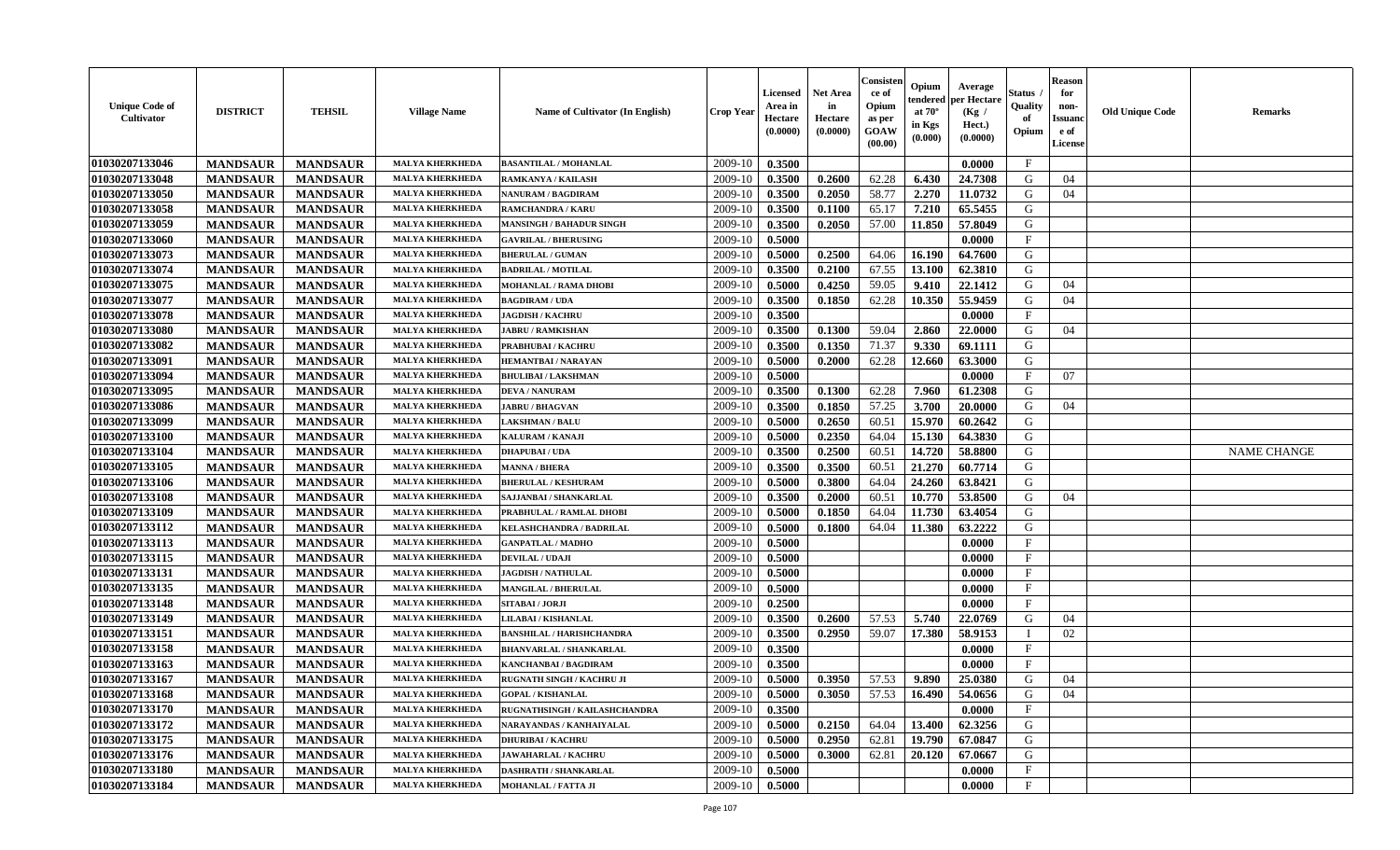| <b>Unique Code of</b><br>Cultivator | <b>DISTRICT</b> | <b>TEHSIL</b>   | <b>Village Name</b>    | <b>Name of Cultivator (In English)</b> | <b>Crop Year</b> | <b>Licensed</b><br>Area in<br>Hectare<br>(0.0000) | Net Area<br>in<br>Hectare<br>(0.0000) | Consister<br>ce of<br>Opium<br>as per<br>GOAW<br>(00.00) | Opium<br>endered<br>at $70^\circ$<br>in Kgs<br>$(\mathbf{0.000})$ | Average<br>per Hectare<br>(Kg /<br>Hect.)<br>(0.0000) | Status<br>Quality<br>of<br>Opium | <b>Reason</b><br>for<br>non-<br>Issuan<br>e of<br>License | <b>Old Unique Code</b> | Remarks            |
|-------------------------------------|-----------------|-----------------|------------------------|----------------------------------------|------------------|---------------------------------------------------|---------------------------------------|----------------------------------------------------------|-------------------------------------------------------------------|-------------------------------------------------------|----------------------------------|-----------------------------------------------------------|------------------------|--------------------|
| 01030207133046                      | <b>MANDSAUR</b> | <b>MANDSAUR</b> | <b>MALYA KHERKHEDA</b> | <b>BASANTILAL / MOHANLAL</b>           | 2009-10          | 0.3500                                            |                                       |                                                          |                                                                   | 0.0000                                                | $\mathbf{F}$                     |                                                           |                        |                    |
| 01030207133048                      | <b>MANDSAUR</b> | <b>MANDSAUR</b> | <b>MALYA KHERKHEDA</b> | RAMKANYA / KAILASH                     | 2009-10          | 0.3500                                            | 0.2600                                | 62.28                                                    | 6.430                                                             | 24.7308                                               | G                                | 04                                                        |                        |                    |
| 01030207133050                      | <b>MANDSAUR</b> | <b>MANDSAUR</b> | <b>MALYA KHERKHED</b>  | NANURAM / BAGDIRAM                     | 2009-10          | 0.3500                                            | 0.2050                                | 58.77                                                    | 2.270                                                             | 11.0732                                               | G                                | 04                                                        |                        |                    |
| 01030207133058                      | <b>MANDSAUR</b> | <b>MANDSAUR</b> | <b>MALYA KHERKHEDA</b> | <b>RAMCHANDRA / KARU</b>               | 2009-10          | 0.3500                                            | 0.1100                                | 65.17                                                    | 7.210                                                             | 65.5455                                               | G                                |                                                           |                        |                    |
| 01030207133059                      | <b>MANDSAUR</b> | <b>MANDSAUR</b> | <b>MALYA KHERKHEDA</b> | <b>MANSINGH / BAHADUR SINGH</b>        | 2009-10          | 0.3500                                            | 0.2050                                | 57.00                                                    | 11.850                                                            | 57.8049                                               | G                                |                                                           |                        |                    |
| 01030207133060                      | <b>MANDSAUR</b> | <b>MANDSAUR</b> | <b>MALYA KHERKHEDA</b> | <b>GAVRILAL / BHERUSING</b>            | 2009-10          | 0.5000                                            |                                       |                                                          |                                                                   | 0.0000                                                | $_{\rm F}$                       |                                                           |                        |                    |
| 01030207133073                      | <b>MANDSAUR</b> | <b>MANDSAUR</b> | <b>MALYA KHERKHEDA</b> | <b>BHERULAL / GUMAN</b>                | 2009-10          | 0.5000                                            | 0.2500                                | 64.06                                                    | 16.190                                                            | 64.7600                                               | G                                |                                                           |                        |                    |
| 01030207133074                      | <b>MANDSAUR</b> | <b>MANDSAUR</b> | <b>MALYA KHERKHEDA</b> | <b>BADRILAL / MOTILAL</b>              | 2009-10          | 0.3500                                            | 0.2100                                | 67.55                                                    | 13.100                                                            | 62.3810                                               | G                                |                                                           |                        |                    |
| 01030207133075                      | <b>MANDSAUR</b> | <b>MANDSAUR</b> | <b>MALYA KHERKHEDA</b> | MOHANLAL / RAMA DHOBI                  | 2009-10          | 0.5000                                            | 0.4250                                | 59.05                                                    | 9.410                                                             | 22.1412                                               | G                                | 04                                                        |                        |                    |
| 01030207133077                      | <b>MANDSAUR</b> | <b>MANDSAUR</b> | <b>MALYA KHERKHEDA</b> | <b>BAGDIRAM / UDA</b>                  | 2009-10          | 0.3500                                            | 0.1850                                | 62.28                                                    | 10.350                                                            | 55.9459                                               | G                                | 04                                                        |                        |                    |
| 01030207133078                      | <b>MANDSAUR</b> | <b>MANDSAUR</b> | <b>MALYA KHERKHEDA</b> | <b>JAGDISH / KACHRU</b>                | 2009-10          | 0.3500                                            |                                       |                                                          |                                                                   | 0.0000                                                | $\mathbf{F}$                     |                                                           |                        |                    |
| 01030207133080                      | <b>MANDSAUR</b> | <b>MANDSAUR</b> | <b>MALYA KHERKHEDA</b> | <b>JABRU / RAMKISHAN</b>               | 2009-10          | 0.3500                                            | 0.1300                                | 59.04                                                    | 2.860                                                             | 22.0000                                               | G                                | 04                                                        |                        |                    |
| 01030207133082                      | <b>MANDSAUR</b> | <b>MANDSAUR</b> | <b>MALYA KHERKHEDA</b> | PRABHUBAI / KACHRU                     | 2009-10          | 0.3500                                            | 0.1350                                | 71.37                                                    | 9.330                                                             | 69.1111                                               | G                                |                                                           |                        |                    |
| 01030207133091                      | <b>MANDSAUR</b> | <b>MANDSAUR</b> | <b>MALYA KHERKHED</b>  | <b>HEMANTBAI/NARAYAN</b>               | 2009-10          | 0.5000                                            | 0.2000                                | 62.28                                                    | 12.660                                                            | 63.3000                                               | G                                |                                                           |                        |                    |
| 01030207133094                      | <b>MANDSAUR</b> | <b>MANDSAUR</b> | <b>MALYA KHERKHEDA</b> | <b>BHULIBAI/LAKSHMAN</b>               | 2009-10          | 0.5000                                            |                                       |                                                          |                                                                   | 0.0000                                                | $\mathbf{F}$                     | 07                                                        |                        |                    |
| 01030207133095                      | <b>MANDSAUR</b> | <b>MANDSAUR</b> | <b>MALYA KHERKHEDA</b> | <b>DEVA / NANURAM</b>                  | 2009-10          | 0.3500                                            | 0.1300                                | 62.28                                                    | 7.960                                                             | 61.2308                                               | G                                |                                                           |                        |                    |
| 01030207133086                      | <b>MANDSAUR</b> | <b>MANDSAUR</b> | <b>MALYA KHERKHEDA</b> | <b>JABRU / BHAGVAN</b>                 | 2009-10          | 0.3500                                            | 0.1850                                | 57.25                                                    | 3.700                                                             | 20.0000                                               | G                                | 04                                                        |                        |                    |
| 01030207133099                      | <b>MANDSAUR</b> | <b>MANDSAUR</b> | <b>MALYA KHERKHEDA</b> | <b>LAKSHMAN / BALU</b>                 | 2009-10          | 0.5000                                            | 0.2650                                | 60.51                                                    | 15.970                                                            | 60.2642                                               | G                                |                                                           |                        |                    |
| 01030207133100                      | <b>MANDSAUR</b> | <b>MANDSAUR</b> | <b>MALYA KHERKHEDA</b> | KALURAM / KANAJI                       | 2009-10          | 0.5000                                            | 0.2350                                | 64.04                                                    | 15.130                                                            | 64.3830                                               | G                                |                                                           |                        |                    |
| 01030207133104                      | <b>MANDSAUR</b> | <b>MANDSAUR</b> | <b>MALYA KHERKHEDA</b> | <b>DHAPUBAI/UDA</b>                    | 2009-10          | 0.3500                                            | 0.2500                                | 60.51                                                    | 14.720                                                            | 58.8800                                               | G                                |                                                           |                        | <b>NAME CHANGE</b> |
| 01030207133105                      | <b>MANDSAUR</b> | <b>MANDSAUR</b> | <b>MALYA KHERKHEDA</b> | <b>MANNA / BHERA</b>                   | 2009-10          | 0.3500                                            | 0.3500                                | 60.51                                                    | 21.270                                                            | 60.7714                                               | G                                |                                                           |                        |                    |
| 01030207133106                      | <b>MANDSAUR</b> | <b>MANDSAUR</b> | <b>MALYA KHERKHEDA</b> | <b>BHERULAL / KESHURAM</b>             | 2009-10          | 0.5000                                            | 0.3800                                | 64.04                                                    | 24.260                                                            | 63.8421                                               | G                                |                                                           |                        |                    |
| 01030207133108                      | <b>MANDSAUR</b> | <b>MANDSAUR</b> | <b>MALYA KHERKHEDA</b> | SAJJANBAI / SHANKARLAL                 | 2009-10          | 0.3500                                            | 0.2000                                | 60.51                                                    | 10.770                                                            | 53.8500                                               | G                                | 04                                                        |                        |                    |
| 01030207133109                      | <b>MANDSAUR</b> | <b>MANDSAUR</b> | <b>MALYA KHERKHEDA</b> | PRABHULAL / RAMLAL DHOBI               | 2009-10          | 0.5000                                            | 0.1850                                | 64.04                                                    | 11.730                                                            | 63.4054                                               | G                                |                                                           |                        |                    |
| 01030207133112                      | <b>MANDSAUR</b> | <b>MANDSAUR</b> | <b>MALYA KHERKHED</b>  | KELASHCHANDRA / BADRILAL               | 2009-10          | 0.5000                                            | 0.1800                                | 64.04                                                    | 11.380                                                            | 63.2222                                               | G                                |                                                           |                        |                    |
| 01030207133113                      | <b>MANDSAUR</b> | <b>MANDSAUR</b> | <b>MALYA KHERKHEDA</b> | <b>GANPATLAL / MADHO</b>               | 2009-10          | 0.5000                                            |                                       |                                                          |                                                                   | 0.0000                                                | $\mathbf{F}$                     |                                                           |                        |                    |
| 01030207133115                      | <b>MANDSAUR</b> | <b>MANDSAUR</b> | <b>MALYA KHERKHEDA</b> | <b>DEVILAL / UDAJI</b>                 | 2009-10          | 0.5000                                            |                                       |                                                          |                                                                   | 0.0000                                                | F                                |                                                           |                        |                    |
| 01030207133131                      | <b>MANDSAUR</b> | <b>MANDSAUR</b> | <b>MALYA KHERKHEDA</b> | <b>JAGDISH / NATHULAL</b>              | 2009-10          | 0.5000                                            |                                       |                                                          |                                                                   | 0.0000                                                | $\mathbf{F}$                     |                                                           |                        |                    |
| 01030207133135                      | <b>MANDSAUR</b> | <b>MANDSAUR</b> | <b>MALYA KHERKHEDA</b> | <b>MANGILAL / BHERULAL</b>             | 2009-10          | 0.5000                                            |                                       |                                                          |                                                                   | 0.0000                                                | $\mathbf{F}$                     |                                                           |                        |                    |
| 01030207133148                      | <b>MANDSAUR</b> | <b>MANDSAUR</b> | <b>MALYA KHERKHEDA</b> | SITABAI / JORJI                        | 2009-10          | 0.2500                                            |                                       |                                                          |                                                                   | 0.0000                                                | $\mathbf{F}$                     |                                                           |                        |                    |
| 01030207133149                      | <b>MANDSAUR</b> | <b>MANDSAUR</b> | <b>MALYA KHERKHEDA</b> | LILABAI / KISHANLAL                    | 2009-10          | 0.3500                                            | 0.2600                                | 57.53                                                    | 5.740                                                             | 22.0769                                               | G                                | 04                                                        |                        |                    |
| 01030207133151                      | <b>MANDSAUR</b> | <b>MANDSAUR</b> | <b>MALYA KHERKHEDA</b> | <b>BANSHILAL / HARISHCHANDRA</b>       | 2009-10          | 0.3500                                            | 0.2950                                | 59.07                                                    | 17.380                                                            | 58.9153                                               |                                  | 02                                                        |                        |                    |
| 01030207133158                      | <b>MANDSAUR</b> | <b>MANDSAUR</b> | <b>MALYA KHERKHEDA</b> | <b>BHANVARLAL / SHANKARLAL</b>         | 2009-10          | 0.3500                                            |                                       |                                                          |                                                                   | 0.0000                                                | $\mathbf{F}$                     |                                                           |                        |                    |
| 01030207133163                      | <b>MANDSAUR</b> | <b>MANDSAUR</b> | <b>MALYA KHERKHEDA</b> | KANCHANBAI / BAGDIRAM                  | 2009-10          | 0.3500                                            |                                       |                                                          |                                                                   | 0.0000                                                | $\mathbf{F}$                     |                                                           |                        |                    |
| 01030207133167                      | <b>MANDSAUR</b> | <b>MANDSAUR</b> | <b>MALYA KHERKHEDA</b> | <b>RUGNATH SINGH / KACHRU JI</b>       | 2009-10          | 0.5000                                            | 0.3950                                | 57.53                                                    | 9.890                                                             | 25.0380                                               | G                                | 04                                                        |                        |                    |
| 01030207133168                      | <b>MANDSAUR</b> | <b>MANDSAUR</b> | <b>MALYA KHERKHEDA</b> | <b>GOPAL / KISHANLAL</b>               | $2009-10$ 0.5000 |                                                   | 0.3050                                |                                                          |                                                                   | 57.53   16.490   54.0656                              | G                                | 04                                                        |                        |                    |
| 01030207133170                      | <b>MANDSAUR</b> | <b>MANDSAUR</b> | <b>MALYA KHERKHEDA</b> | RUGNATHSINGH / KAILASHCHANDRA          | 2009-10          | 0.3500                                            |                                       |                                                          |                                                                   | 0.0000                                                | $\mathbf{F}$                     |                                                           |                        |                    |
| 01030207133172                      | <b>MANDSAUR</b> | <b>MANDSAUR</b> | <b>MALYA KHERKHEDA</b> | NARAYANDAS / KANHAIYALAL               | 2009-10          | 0.5000                                            | 0.2150                                | 64.04                                                    | 13.400                                                            | 62.3256                                               | G                                |                                                           |                        |                    |
| 01030207133175                      | <b>MANDSAUR</b> | <b>MANDSAUR</b> | <b>MALYA KHERKHEDA</b> | <b>DHURIBAI / KACHRU</b>               | 2009-10          | 0.5000                                            | 0.2950                                | 62.81                                                    | 19.790                                                            | 67.0847                                               | G                                |                                                           |                        |                    |
| 01030207133176                      | <b>MANDSAUR</b> | <b>MANDSAUR</b> | <b>MALYA KHERKHEDA</b> | <b>JAWAHARLAL / KACHRU</b>             | 2009-10          | 0.5000                                            | 0.3000                                | 62.81                                                    | 20.120                                                            | 67.0667                                               | G                                |                                                           |                        |                    |
| 01030207133180                      | <b>MANDSAUR</b> | <b>MANDSAUR</b> | <b>MALYA KHERKHEDA</b> | DASHRATH / SHANKARLAL                  | 2009-10          | 0.5000                                            |                                       |                                                          |                                                                   | 0.0000                                                | $\mathbf{F}$                     |                                                           |                        |                    |
| 01030207133184                      | <b>MANDSAUR</b> | <b>MANDSAUR</b> | <b>MALYA KHERKHEDA</b> | <b>MOHANLAL / FATTA JI</b>             | 2009-10          | 0.5000                                            |                                       |                                                          |                                                                   | 0.0000                                                | $\mathbf{F}$                     |                                                           |                        |                    |
|                                     |                 |                 |                        |                                        |                  |                                                   |                                       |                                                          |                                                                   |                                                       |                                  |                                                           |                        |                    |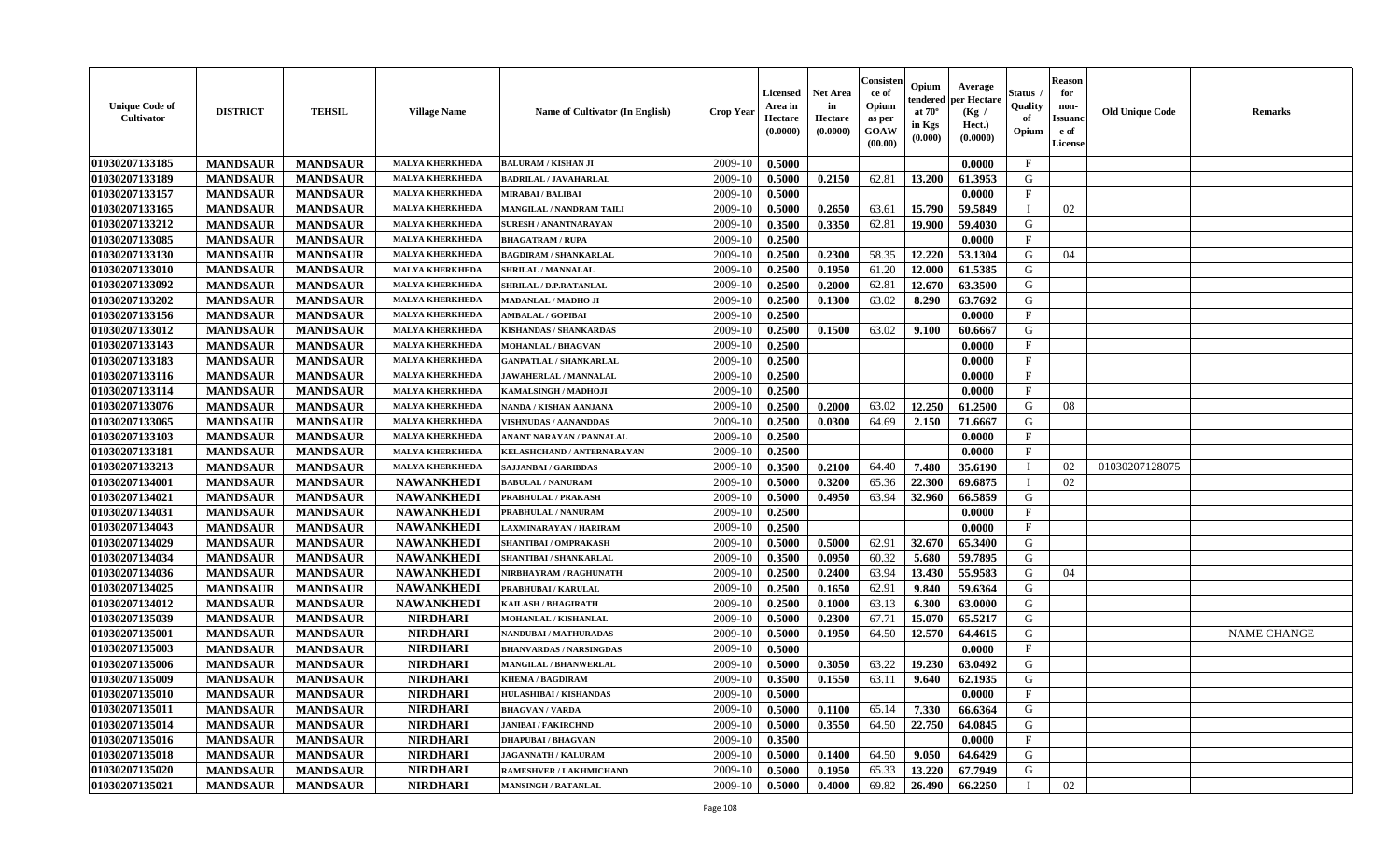| <b>Unique Code of</b><br>Cultivator | <b>DISTRICT</b> | <b>TEHSIL</b>   | <b>Village Name</b>    | Name of Cultivator (In English) | <b>Crop Year</b> | <b>Licensed</b><br>Area in<br>Hectare<br>(0.0000) | Net Area<br>in<br>Hectare<br>(0.0000) | Consister<br>ce of<br>Opium<br>as per<br><b>GOAW</b><br>(00.00) | Opium<br>endered<br>at $70^\circ$<br>in Kgs<br>(0.000) | Average<br>per Hectare<br>(Kg /<br>Hect.)<br>(0.0000) | <b>Status</b><br>Quality<br>of<br>Opium | <b>Reason</b><br>for<br>non-<br><b>Issuand</b><br>e of<br>License | <b>Old Unique Code</b> | <b>Remarks</b>     |
|-------------------------------------|-----------------|-----------------|------------------------|---------------------------------|------------------|---------------------------------------------------|---------------------------------------|-----------------------------------------------------------------|--------------------------------------------------------|-------------------------------------------------------|-----------------------------------------|-------------------------------------------------------------------|------------------------|--------------------|
| 01030207133185                      | <b>MANDSAUR</b> | <b>MANDSAUR</b> | <b>MALYA KHERKHEDA</b> | <b>BALURAM / KISHAN JI</b>      | 2009-10          | 0.5000                                            |                                       |                                                                 |                                                        | 0.0000                                                | $\mathbf{F}$                            |                                                                   |                        |                    |
| 01030207133189                      | <b>MANDSAUR</b> | <b>MANDSAUR</b> | <b>MALYA KHERKHEDA</b> | <b>BADRILAL / JAVAHARLAL</b>    | 2009-10          | 0.5000                                            | 0.2150                                | 62.81                                                           | 13.200                                                 | 61.3953                                               | G                                       |                                                                   |                        |                    |
| 01030207133157                      | <b>MANDSAUR</b> | <b>MANDSAUR</b> | <b>MALYA KHERKHEDA</b> | <b>MIRABAI / BALIBAI</b>        | 2009-10          | 0.5000                                            |                                       |                                                                 |                                                        | 0.0000                                                | F                                       |                                                                   |                        |                    |
| 01030207133165                      | <b>MANDSAUR</b> | <b>MANDSAUR</b> | <b>MALYA KHERKHEDA</b> | MANGILAL / NANDRAM TAILI        | 2009-10          | 0.5000                                            | 0.2650                                | 63.61                                                           | 15.790                                                 | 59.5849                                               | $\mathbf{I}$                            | 02                                                                |                        |                    |
| 01030207133212                      | <b>MANDSAUR</b> | <b>MANDSAUR</b> | <b>MALYA KHERKHEDA</b> | <b>SURESH / ANANTNARAYAN</b>    | 2009-10          | 0.3500                                            | 0.3350                                | 62.81                                                           | 19.900                                                 | 59.4030                                               | G                                       |                                                                   |                        |                    |
| 01030207133085                      | <b>MANDSAUR</b> | <b>MANDSAUR</b> | <b>MALYA KHERKHEDA</b> | <b>BHAGATRAM / RUPA</b>         | 2009-10          | 0.2500                                            |                                       |                                                                 |                                                        | 0.0000                                                | F                                       |                                                                   |                        |                    |
| 01030207133130                      | <b>MANDSAUR</b> | <b>MANDSAUR</b> | <b>MALYA KHERKHEDA</b> | <b>BAGDIRAM / SHANKARLAL</b>    | 2009-10          | 0.2500                                            | 0.2300                                | 58.35                                                           | 12.220                                                 | 53.1304                                               | $\mathbf G$                             | 04                                                                |                        |                    |
| 01030207133010                      | <b>MANDSAUR</b> | <b>MANDSAUR</b> | <b>MALYA KHERKHEDA</b> | SHRILAL / MANNALAL              | 2009-10          | 0.2500                                            | 0.1950                                | 61.20                                                           | 12.000                                                 | 61.5385                                               | G                                       |                                                                   |                        |                    |
| 01030207133092                      | <b>MANDSAUR</b> | <b>MANDSAUR</b> | <b>MALYA KHERKHEDA</b> | SHRILAL / D.P.RATANLAL          | 2009-10          | 0.2500                                            | 0.2000                                | 62.81                                                           | 12.670                                                 | 63.3500                                               | G                                       |                                                                   |                        |                    |
| 01030207133202                      | <b>MANDSAUR</b> | <b>MANDSAUR</b> | <b>MALYA KHERKHEDA</b> | MADANLAL / MADHO JI             | 2009-10          | 0.2500                                            | 0.1300                                | 63.02                                                           | 8.290                                                  | 63.7692                                               | G                                       |                                                                   |                        |                    |
| 01030207133156                      | <b>MANDSAUR</b> | <b>MANDSAUR</b> | <b>MALYA KHERKHEDA</b> | <b>AMBALAL / GOPIBAI</b>        | 2009-10          | 0.2500                                            |                                       |                                                                 |                                                        | 0.0000                                                | $\mathbf{F}$                            |                                                                   |                        |                    |
| 01030207133012                      | <b>MANDSAUR</b> | <b>MANDSAUR</b> | <b>MALYA KHERKHEDA</b> | <b>KISHANDAS / SHANKARDAS</b>   | 2009-10          | 0.2500                                            | 0.1500                                | 63.02                                                           | 9.100                                                  | 60.6667                                               | G                                       |                                                                   |                        |                    |
| 01030207133143                      | <b>MANDSAUR</b> | <b>MANDSAUR</b> | MALYA KHERKHEDA        | MOHANLAL / BHAGVAN              | 2009-10          | 0.2500                                            |                                       |                                                                 |                                                        | 0.0000                                                | $\mathbf{F}$                            |                                                                   |                        |                    |
| 01030207133183                      | <b>MANDSAUR</b> | <b>MANDSAUR</b> | <b>MALYA KHERKHEDA</b> | <b>GANPATLAL / SHANKARLAL</b>   | 2009-10          | 0.2500                                            |                                       |                                                                 |                                                        | 0.0000                                                | $\mathbf{F}$                            |                                                                   |                        |                    |
| 01030207133116                      | <b>MANDSAUR</b> | <b>MANDSAUR</b> | <b>MALYA KHERKHEDA</b> | JAWAHERLAL / MANNALAL           | 2009-10          | 0.2500                                            |                                       |                                                                 |                                                        | 0.0000                                                | F                                       |                                                                   |                        |                    |
| 01030207133114                      | <b>MANDSAUR</b> | <b>MANDSAUR</b> | <b>MALYA KHERKHEDA</b> | KAMALSINGH / MADHOJI            | 2009-10          | 0.2500                                            |                                       |                                                                 |                                                        | 0.0000                                                | $\mathbf{F}$                            |                                                                   |                        |                    |
| 01030207133076                      | <b>MANDSAUR</b> | <b>MANDSAUR</b> | <b>MALYA KHERKHEDA</b> | NANDA / KISHAN AANJANA          | 2009-10          | 0.2500                                            | 0.2000                                | 63.02                                                           | 12.250                                                 | 61.2500                                               | G                                       | 08                                                                |                        |                    |
| 01030207133065                      | <b>MANDSAUR</b> | <b>MANDSAUR</b> | MALYA KHERKHEDA        | <b>VISHNUDAS / AANANDDAS</b>    | 2009-10          | 0.2500                                            | 0.0300                                | 64.69                                                           | 2.150                                                  | 71.6667                                               | G                                       |                                                                   |                        |                    |
| 01030207133103                      | <b>MANDSAUR</b> | <b>MANDSAUR</b> | <b>MALYA KHERKHEDA</b> | ANANT NARAYAN / PANNALAL        | 2009-10          | 0.2500                                            |                                       |                                                                 |                                                        | 0.0000                                                | $\mathbf{F}$                            |                                                                   |                        |                    |
| 01030207133181                      | <b>MANDSAUR</b> | <b>MANDSAUR</b> | <b>MALYA KHERKHEDA</b> | KELASHCHAND / ANTERNARAYAN      | 2009-10          | 0.2500                                            |                                       |                                                                 |                                                        | 0.0000                                                | $\mathbf{F}$                            |                                                                   |                        |                    |
| 01030207133213                      | <b>MANDSAUR</b> | <b>MANDSAUR</b> | <b>MALYA KHERKHEDA</b> | <b>SAJJANBAI / GARIBDAS</b>     | 2009-10          | 0.3500                                            | 0.2100                                | 64.40                                                           | 7.480                                                  | 35.6190                                               | $\mathbf I$                             | 02                                                                | 01030207128075         |                    |
| 01030207134001                      | <b>MANDSAUR</b> | <b>MANDSAUR</b> | <b>NAWANKHEDI</b>      | <b>BABULAL / NANURAM</b>        | 2009-10          | 0.5000                                            | 0.3200                                | 65.36                                                           | 22.300                                                 | 69.6875                                               | $\mathbf I$                             | 02                                                                |                        |                    |
| 01030207134021                      | <b>MANDSAUR</b> | <b>MANDSAUR</b> | <b>NAWANKHEDI</b>      | PRABHULAL / PRAKASH             | 2009-10          | 0.5000                                            | 0.4950                                | 63.94                                                           | 32.960                                                 | 66.5859                                               | G                                       |                                                                   |                        |                    |
| 01030207134031                      | <b>MANDSAUR</b> | <b>MANDSAUR</b> | <b>NAWANKHEDI</b>      | PRABHULAL / NANURAM             | 2009-10          | 0.2500                                            |                                       |                                                                 |                                                        | 0.0000                                                | $\mathbf{F}$                            |                                                                   |                        |                    |
| 01030207134043                      | <b>MANDSAUR</b> | <b>MANDSAUR</b> | <b>NAWANKHEDI</b>      | LAXMINARAYAN / HARIRAM          | 2009-10          | 0.2500                                            |                                       |                                                                 |                                                        | 0.0000                                                | $\mathbf{F}$                            |                                                                   |                        |                    |
| 01030207134029                      | <b>MANDSAUR</b> | <b>MANDSAUR</b> | <b>NAWANKHEDI</b>      | SHANTIBAI / OMPRAKASH           | 2009-10          | 0.5000                                            | 0.5000                                | 62.91                                                           | 32.670                                                 | 65.3400                                               | G                                       |                                                                   |                        |                    |
| 01030207134034                      | <b>MANDSAUR</b> | <b>MANDSAUR</b> | <b>NAWANKHEDI</b>      | SHANTIBAI / SHANKARLAL          | 2009-10          | 0.3500                                            | 0.0950                                | 60.32                                                           | 5.680                                                  | 59.7895                                               | G                                       |                                                                   |                        |                    |
| 01030207134036                      | <b>MANDSAUR</b> | <b>MANDSAUR</b> | <b>NAWANKHEDI</b>      | NIRBHAYRAM / RAGHUNATH          | 2009-10          | 0.2500                                            | 0.2400                                | 63.94                                                           | 13.430                                                 | 55.9583                                               | G                                       | 04                                                                |                        |                    |
| 01030207134025                      | <b>MANDSAUR</b> | <b>MANDSAUR</b> | <b>NAWANKHEDI</b>      | PRABHUBAI / KARULAL             | 2009-10          | 0.2500                                            | 0.1650                                | 62.91                                                           | 9.840                                                  | 59.6364                                               | G                                       |                                                                   |                        |                    |
| 01030207134012                      | <b>MANDSAUR</b> | <b>MANDSAUR</b> | <b>NAWANKHEDI</b>      | KAILASH / BHAGIRATH             | 2009-10          | 0.2500                                            | 0.1000                                | 63.13                                                           | 6.300                                                  | 63.0000                                               | G                                       |                                                                   |                        |                    |
| 01030207135039                      | <b>MANDSAUR</b> | <b>MANDSAUR</b> | <b>NIRDHARI</b>        | MOHANLAL / KISHANLAL            | 2009-10          | 0.5000                                            | 0.2300                                | 67.71                                                           | 15.070                                                 | 65.5217                                               | ${\bf G}$                               |                                                                   |                        |                    |
| 01030207135001                      | <b>MANDSAUR</b> | <b>MANDSAUR</b> | <b>NIRDHARI</b>        | NANDUBAI / MATHURADAS           | 2009-10          | 0.5000                                            | 0.1950                                | 64.50                                                           | 12.570                                                 | 64.4615                                               | G                                       |                                                                   |                        | <b>NAME CHANGE</b> |
| 01030207135003                      | <b>MANDSAUR</b> | <b>MANDSAUR</b> | <b>NIRDHARI</b>        | <b>BHANVARDAS / NARSINGDAS</b>  | 2009-10          | 0.5000                                            |                                       |                                                                 |                                                        | 0.0000                                                | $\mathbf{F}$                            |                                                                   |                        |                    |
| 01030207135006                      | <b>MANDSAUR</b> | <b>MANDSAUR</b> | <b>NIRDHARI</b>        | <b>MANGILAL / BHANWERLAL</b>    | 2009-10          | 0.5000                                            | 0.3050                                | 63.22                                                           | 19.230                                                 | 63.0492                                               | G                                       |                                                                   |                        |                    |
| 01030207135009                      | <b>MANDSAUR</b> | <b>MANDSAUR</b> | <b>NIRDHARI</b>        | <b>KHEMA / BAGDIRAM</b>         | 2009-10          | 0.3500                                            | 0.1550                                | 63.11                                                           | 9.640                                                  | 62.1935                                               | G                                       |                                                                   |                        |                    |
| 01030207135010                      | <b>MANDSAUR</b> | <b>MANDSAUR</b> | <b>NIRDHARI</b>        | HULASHIBAI / KISHANDAS          | 2009-10          | 0.5000                                            |                                       |                                                                 |                                                        | 0.0000                                                | $\mathbf{F}$                            |                                                                   |                        |                    |
| 01030207135011                      | <b>MANDSAUR</b> | <b>MANDSAUR</b> | <b>NIRDHARI</b>        | <b>BHAGVAN / VARDA</b>          | 2009-10          | 0.5000                                            | 0.1100                                | 65.14                                                           | 7.330                                                  | 66.6364                                               | G                                       |                                                                   |                        |                    |
| 01030207135014                      | <b>MANDSAUR</b> | <b>MANDSAUR</b> | <b>NIRDHARI</b>        | <b>JANIBAI / FAKIRCHND</b>      | 2009-10          | 0.5000                                            | 0.3550                                | 64.50                                                           | 22.750                                                 | 64.0845                                               | G                                       |                                                                   |                        |                    |
| 01030207135016                      | <b>MANDSAUR</b> | <b>MANDSAUR</b> | <b>NIRDHARI</b>        | <b>DHAPUBAI/BHAGVAN</b>         | 2009-10          | 0.3500                                            |                                       |                                                                 |                                                        | 0.0000                                                | F                                       |                                                                   |                        |                    |
| 01030207135018                      | <b>MANDSAUR</b> | <b>MANDSAUR</b> | <b>NIRDHARI</b>        | <b>JAGANNATH / KALURAM</b>      | 2009-10          | 0.5000                                            | 0.1400                                | 64.50                                                           | 9.050                                                  | 64.6429                                               | G                                       |                                                                   |                        |                    |
| 01030207135020                      | <b>MANDSAUR</b> | <b>MANDSAUR</b> | <b>NIRDHARI</b>        | RAMESHVER / LAKHMICHAND         | 2009-10          | 0.5000                                            | 0.1950                                | 65.33                                                           | 13.220                                                 | 67.7949                                               | G                                       |                                                                   |                        |                    |
| 01030207135021                      |                 | <b>MANDSAUR</b> | <b>NIRDHARI</b>        | <b>MANSINGH / RATANLAL</b>      | 2009-10          | 0.5000                                            | 0.4000                                | 69.82                                                           | 26.490                                                 | 66.2250                                               | $\mathbf{I}$                            | 02                                                                |                        |                    |
|                                     | <b>MANDSAUR</b> |                 |                        |                                 |                  |                                                   |                                       |                                                                 |                                                        |                                                       |                                         |                                                                   |                        |                    |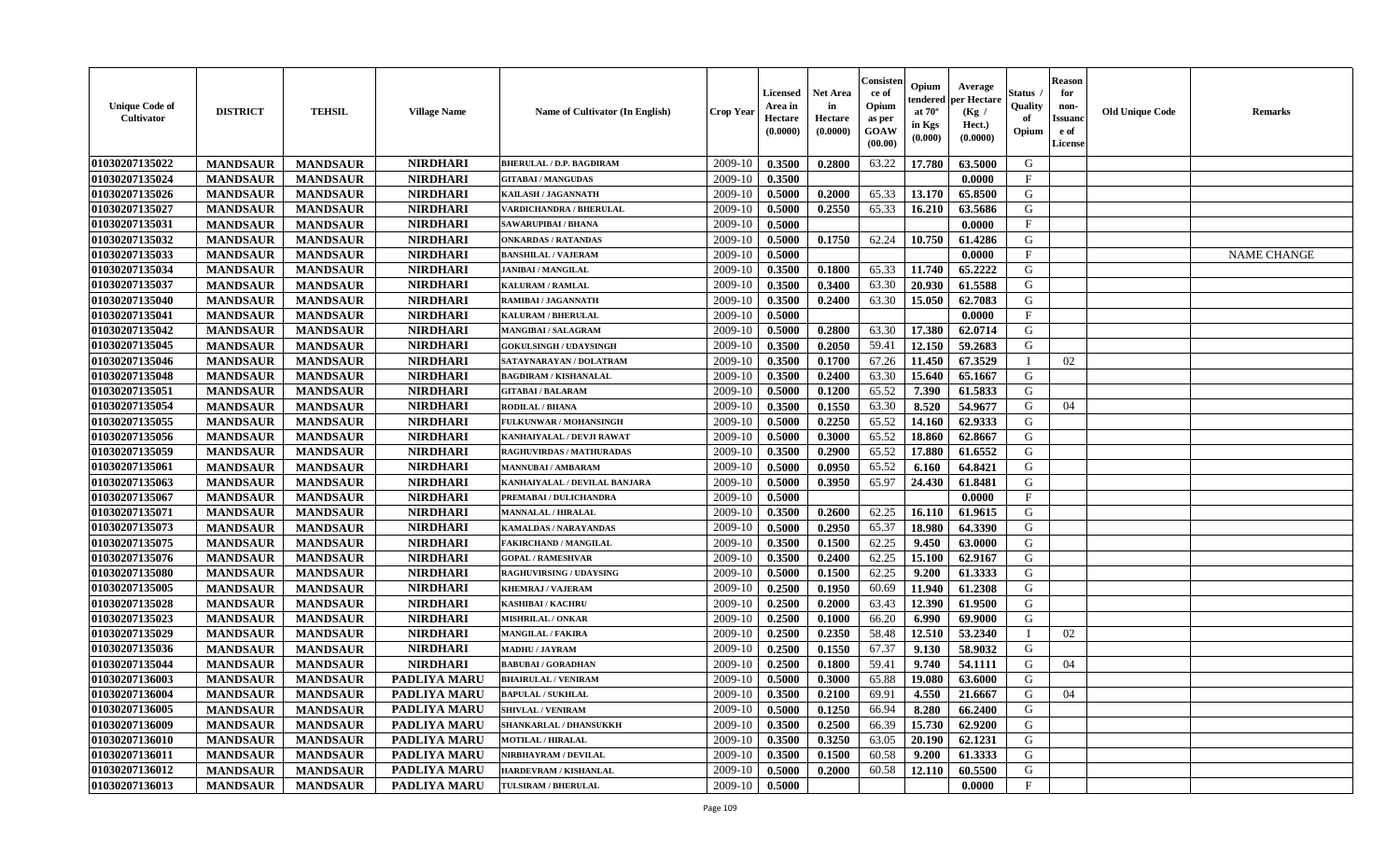| <b>Unique Code of</b><br>Cultivator | <b>DISTRICT</b> | <b>TEHSIL</b>   | <b>Village Name</b> | Name of Cultivator (In English) | <b>Crop Year</b> | <b>Licensed</b><br>Area in<br>Hectare<br>(0.0000) | <b>Net Area</b><br>in<br>Hectare<br>(0.0000) | Consister<br>ce of<br>Opium<br>as per<br>GOAW<br>(00.00) | Opium<br>endered<br>at $70^\circ$<br>in Kgs<br>(0.000) | Average<br><b>per Hectare</b><br>(Kg /<br>Hect.)<br>(0.0000) | Status<br>Quality<br>of<br>Opium | Reason<br>for<br>non-<br>Issuan<br>e of<br>License | <b>Old Unique Code</b> | <b>Remarks</b>     |
|-------------------------------------|-----------------|-----------------|---------------------|---------------------------------|------------------|---------------------------------------------------|----------------------------------------------|----------------------------------------------------------|--------------------------------------------------------|--------------------------------------------------------------|----------------------------------|----------------------------------------------------|------------------------|--------------------|
| 01030207135022                      | <b>MANDSAUR</b> | <b>MANDSAUR</b> | <b>NIRDHARI</b>     | <b>BHERULAL / D.P. BAGDIRAM</b> | 2009-10          | 0.3500                                            | 0.2800                                       | 63.22                                                    | 17.780                                                 | 63.5000                                                      | G                                |                                                    |                        |                    |
| 01030207135024                      | <b>MANDSAUR</b> | <b>MANDSAUR</b> | <b>NIRDHARI</b>     | <b>GITABAI/MANGUDAS</b>         | 2009-10          | 0.3500                                            |                                              |                                                          |                                                        | 0.0000                                                       | $_{\rm F}$                       |                                                    |                        |                    |
| 01030207135026                      | <b>MANDSAUR</b> | <b>MANDSAUR</b> | <b>NIRDHARI</b>     | KAILASH / JAGANNATH             | 2009-10          | 0.5000                                            | 0.2000                                       | 65.33                                                    | 13.170                                                 | 65.8500                                                      | G                                |                                                    |                        |                    |
| 01030207135027                      | <b>MANDSAUR</b> | <b>MANDSAUR</b> | <b>NIRDHARI</b>     | VARDICHANDRA / BHERULAL         | 2009-10          | 0.5000                                            | 0.2550                                       | 65.33                                                    | 16.210                                                 | 63.5686                                                      | G                                |                                                    |                        |                    |
| 01030207135031                      | <b>MANDSAUR</b> | <b>MANDSAUR</b> | <b>NIRDHARI</b>     | SAWARUPIBAI / BHANA             | 2009-10          | 0.5000                                            |                                              |                                                          |                                                        | 0.0000                                                       | F                                |                                                    |                        |                    |
| 01030207135032                      | <b>MANDSAUR</b> | <b>MANDSAUR</b> | <b>NIRDHARI</b>     | <b>ONKARDAS / RATANDAS</b>      | 2009-10          | 0.5000                                            | 0.1750                                       | 62.24                                                    | 10.750                                                 | 61.4286                                                      | G                                |                                                    |                        |                    |
| 01030207135033                      | <b>MANDSAUR</b> | <b>MANDSAUR</b> | <b>NIRDHARI</b>     | <b>BANSHILAL / VAJERAM</b>      | 2009-10          | 0.5000                                            |                                              |                                                          |                                                        | 0.0000                                                       | $\mathbf F$                      |                                                    |                        | <b>NAME CHANGE</b> |
| 01030207135034                      | <b>MANDSAUR</b> | <b>MANDSAUR</b> | <b>NIRDHARI</b>     | <b>JANIBAI / MANGILAL</b>       | 2009-10          | 0.3500                                            | 0.1800                                       | 65.33                                                    | 11.740                                                 | 65,2222                                                      | G                                |                                                    |                        |                    |
| 01030207135037                      | <b>MANDSAUR</b> | <b>MANDSAUR</b> | <b>NIRDHARI</b>     | KALURAM / RAMLAL                | 2009-10          | 0.3500                                            | 0.3400                                       | 63.30                                                    | 20.930                                                 | 61.5588                                                      | G                                |                                                    |                        |                    |
| 01030207135040                      | <b>MANDSAUR</b> | <b>MANDSAUR</b> | <b>NIRDHARI</b>     | RAMIBAI / JAGANNATH             | 2009-10          | 0.3500                                            | 0.2400                                       | 63.30                                                    | 15.050                                                 | 62.7083                                                      | G                                |                                                    |                        |                    |
| 01030207135041                      | <b>MANDSAUR</b> | <b>MANDSAUR</b> | <b>NIRDHARI</b>     | <b>KALURAM / BHERULAL</b>       | 2009-10          | 0.5000                                            |                                              |                                                          |                                                        | 0.0000                                                       | $\mathbf{F}$                     |                                                    |                        |                    |
| 01030207135042                      | <b>MANDSAUR</b> | <b>MANDSAUR</b> | <b>NIRDHARI</b>     | <b>MANGIBAI / SALAGRAM</b>      | 2009-10          | 0.5000                                            | 0.2800                                       | 63.30                                                    | 17.380                                                 | 62.0714                                                      | G                                |                                                    |                        |                    |
| 01030207135045                      | <b>MANDSAUR</b> | <b>MANDSAUR</b> | <b>NIRDHARI</b>     | <b>GOKULSINGH / UDAYSINGH</b>   | 2009-10          | 0.3500                                            | 0.2050                                       | 59.41                                                    | 12.150                                                 | 59.2683                                                      | G                                |                                                    |                        |                    |
| 01030207135046                      | <b>MANDSAUR</b> | <b>MANDSAUR</b> | <b>NIRDHARI</b>     | SATAYNARAYAN / DOLATRAM         | 2009-10          | 0.3500                                            | 0.1700                                       | 67.26                                                    | 11.450                                                 | 67.3529                                                      |                                  | 02                                                 |                        |                    |
| 01030207135048                      | <b>MANDSAUR</b> | <b>MANDSAUR</b> | <b>NIRDHARI</b>     | <b>BAGDIRAM / KISHANALAL</b>    | 2009-10          | 0.3500                                            | 0.2400                                       | 63.30                                                    | 15.640                                                 | 65.1667                                                      | G                                |                                                    |                        |                    |
| 01030207135051                      | <b>MANDSAUR</b> | <b>MANDSAUR</b> | <b>NIRDHARI</b>     | <b>GITABAI / BALARAM</b>        | 2009-10          | 0.5000                                            | 0.1200                                       | 65.52                                                    | 7.390                                                  | 61.5833                                                      | G                                |                                                    |                        |                    |
| 01030207135054                      | <b>MANDSAUR</b> | <b>MANDSAUR</b> | <b>NIRDHARI</b>     | <b>RODILAL / BHANA</b>          | 2009-10          | 0.3500                                            | 0.1550                                       | 63.30                                                    | 8.520                                                  | 54.9677                                                      | G                                | 04                                                 |                        |                    |
| 01030207135055                      | <b>MANDSAUR</b> | <b>MANDSAUR</b> | <b>NIRDHARI</b>     | FULKUNWAR / MOHANSINGH          | 2009-10          | 0.5000                                            | 0.2250                                       | 65.52                                                    | 14.160                                                 | 62.9333                                                      | G                                |                                                    |                        |                    |
| 01030207135056                      | <b>MANDSAUR</b> | <b>MANDSAUR</b> | <b>NIRDHARI</b>     | KANHAIYALAL / DEVJI RAWAT       | 2009-10          | 0.5000                                            | 0.3000                                       | 65.52                                                    | 18.860                                                 | 62.8667                                                      | G                                |                                                    |                        |                    |
| 01030207135059                      | <b>MANDSAUR</b> | <b>MANDSAUR</b> | <b>NIRDHARI</b>     | RAGHUVIRDAS / MATHURADAS        | 2009-10          | 0.3500                                            | 0.2900                                       | 65.52                                                    | 17.880                                                 | 61.6552                                                      | G                                |                                                    |                        |                    |
| 01030207135061                      | <b>MANDSAUR</b> | <b>MANDSAUR</b> | <b>NIRDHARI</b>     | <b>MANNUBAI/AMBARAM</b>         | 2009-10          | 0.5000                                            | 0.0950                                       | 65.52                                                    | 6.160                                                  | 64.8421                                                      | G                                |                                                    |                        |                    |
| 01030207135063                      | <b>MANDSAUR</b> | <b>MANDSAUR</b> | <b>NIRDHARI</b>     | KANHAIYALAL / DEVILAL BANJARA   | 2009-10          | 0.5000                                            | 0.3950                                       | 65.97                                                    | 24.430                                                 | 61.8481                                                      | G                                |                                                    |                        |                    |
| 01030207135067                      | <b>MANDSAUR</b> | <b>MANDSAUR</b> | <b>NIRDHARI</b>     | PREMABAI / DULICHANDRA          | 2009-10          | 0.5000                                            |                                              |                                                          |                                                        | 0.0000                                                       | F                                |                                                    |                        |                    |
| 01030207135071                      | <b>MANDSAUR</b> | <b>MANDSAUR</b> | <b>NIRDHARI</b>     | <b>MANNALAL / HIRALAL</b>       | 2009-10          | 0.3500                                            | 0.2600                                       | 62.25                                                    | 16.110                                                 | 61.9615                                                      | G                                |                                                    |                        |                    |
| 01030207135073                      | <b>MANDSAUR</b> | <b>MANDSAUR</b> | <b>NIRDHARI</b>     | KAMALDAS / NARAYANDAS           | 2009-10          | 0.5000                                            | 0.2950                                       | 65.37                                                    | 18.980                                                 | 64.3390                                                      | G                                |                                                    |                        |                    |
| 01030207135075                      | <b>MANDSAUR</b> | <b>MANDSAUR</b> | <b>NIRDHARI</b>     | <b>FAKIRCHAND / MANGILAL</b>    | 2009-10          | 0.3500                                            | 0.1500                                       | 62.25                                                    | 9.450                                                  | 63.0000                                                      | G                                |                                                    |                        |                    |
| 01030207135076                      | <b>MANDSAUR</b> | <b>MANDSAUR</b> | <b>NIRDHARI</b>     | <b>GOPAL / RAMESHVAR</b>        | 2009-10          | 0.3500                                            | 0.2400                                       | 62.25                                                    | 15.100                                                 | 62.9167                                                      | G                                |                                                    |                        |                    |
| 01030207135080                      | <b>MANDSAUR</b> | <b>MANDSAUR</b> | <b>NIRDHARI</b>     | <b>RAGHUVIRSING / UDAYSING</b>  | 2009-10          | 0.5000                                            | 0.1500                                       | 62.25                                                    | 9.200                                                  | 61.3333                                                      | G                                |                                                    |                        |                    |
| 01030207135005                      | <b>MANDSAUR</b> | <b>MANDSAUR</b> | <b>NIRDHARI</b>     | KHEMRAJ / VAJERAM               | 2009-10          | 0.2500                                            | 0.1950                                       | 60.69                                                    | 11.940                                                 | 61.2308                                                      | G                                |                                                    |                        |                    |
| 01030207135028                      | <b>MANDSAUR</b> | <b>MANDSAUR</b> | <b>NIRDHARI</b>     | <b>KASHIBAI / KACHRU</b>        | 2009-10          | 0.2500                                            | 0.2000                                       | 63.43                                                    | 12.390                                                 | 61.9500                                                      | G                                |                                                    |                        |                    |
| 01030207135023                      | <b>MANDSAUR</b> | <b>MANDSAUR</b> | <b>NIRDHARI</b>     | MISHRILAL / ONKAR               | 2009-10          | 0.2500                                            | 0.1000                                       | 66.20                                                    | 6.990                                                  | 69.9000                                                      | G                                |                                                    |                        |                    |
| 01030207135029                      | <b>MANDSAUR</b> | <b>MANDSAUR</b> | <b>NIRDHARI</b>     | <b>MANGILAL / FAKIRA</b>        | 2009-10          | 0.2500                                            | 0.2350                                       | 58.48                                                    | 12.510                                                 | 53.2340                                                      | - 1                              | 02                                                 |                        |                    |
| 01030207135036                      | <b>MANDSAUR</b> | <b>MANDSAUR</b> | <b>NIRDHARI</b>     | <b>MADHU / JAYRAM</b>           | 2009-10          | 0.2500                                            | 0.1550                                       | 67.37                                                    | 9.130                                                  | 58.9032                                                      | G                                |                                                    |                        |                    |
| 01030207135044                      | <b>MANDSAUR</b> | <b>MANDSAUR</b> | <b>NIRDHARI</b>     | <b>BABUBAI / GORADHAN</b>       | 2009-10          | 0.2500                                            | 0.1800                                       | 59.41                                                    | 9.740                                                  | 54.1111                                                      | G                                | 04                                                 |                        |                    |
| 01030207136003                      | <b>MANDSAUR</b> | <b>MANDSAUR</b> | PADLIYA MARU        | <b>BHAIRULAL / VENIRAM</b>      | 2009-10          | 0.5000                                            | 0.3000                                       | 65.88                                                    | 19.080                                                 | 63.6000                                                      | G                                |                                                    |                        |                    |
| 01030207136004                      | <b>MANDSAUR</b> | MANDSAUR        | PADLIYA MARU        | <b>BAPULAL / SUKHLAL</b>        |                  | $2009-10$ 0.3500                                  | 0.2100                                       | 69.91                                                    | 4.550                                                  | 21.6667                                                      | G                                | 04                                                 |                        |                    |
| 01030207136005                      | <b>MANDSAUR</b> | <b>MANDSAUR</b> | <b>PADLIYA MARU</b> | SHIVLAL / VENIRAM               | 2009-10          | 0.5000                                            | 0.1250                                       | 66.94                                                    | 8.280                                                  | 66.2400                                                      | G                                |                                                    |                        |                    |
| 01030207136009                      | <b>MANDSAUR</b> | <b>MANDSAUR</b> | <b>PADLIYA MARU</b> | SHANKARLAL / DHANSUKKH          | 2009-10          | 0.3500                                            | 0.2500                                       | 66.39                                                    | 15.730                                                 | 62.9200                                                      | G                                |                                                    |                        |                    |
| 01030207136010                      | <b>MANDSAUR</b> | <b>MANDSAUR</b> | PADLIYA MARU        | <b>MOTILAL / HIRALAL</b>        | 2009-10          | 0.3500                                            | 0.3250                                       | 63.05                                                    | 20.190                                                 | 62.1231                                                      | G                                |                                                    |                        |                    |
| 01030207136011                      | <b>MANDSAUR</b> | <b>MANDSAUR</b> | <b>PADLIYA MARU</b> | NIRBHAYRAM / DEVILAL            | 2009-10          | 0.3500                                            | 0.1500                                       | 60.58                                                    | 9.200                                                  | 61.3333                                                      | G                                |                                                    |                        |                    |
| 01030207136012                      | <b>MANDSAUR</b> | <b>MANDSAUR</b> | <b>PADLIYA MARU</b> | HARDEVRAM / KISHANLAL           | 2009-10          | 0.5000                                            | 0.2000                                       | 60.58                                                    | 12.110                                                 | 60.5500                                                      | G                                |                                                    |                        |                    |
| 01030207136013                      | <b>MANDSAUR</b> | <b>MANDSAUR</b> | PADLIYA MARU        | <b>TULSIRAM / BHERULAL</b>      | 2009-10          | 0.5000                                            |                                              |                                                          |                                                        | 0.0000                                                       | $\mathbf F$                      |                                                    |                        |                    |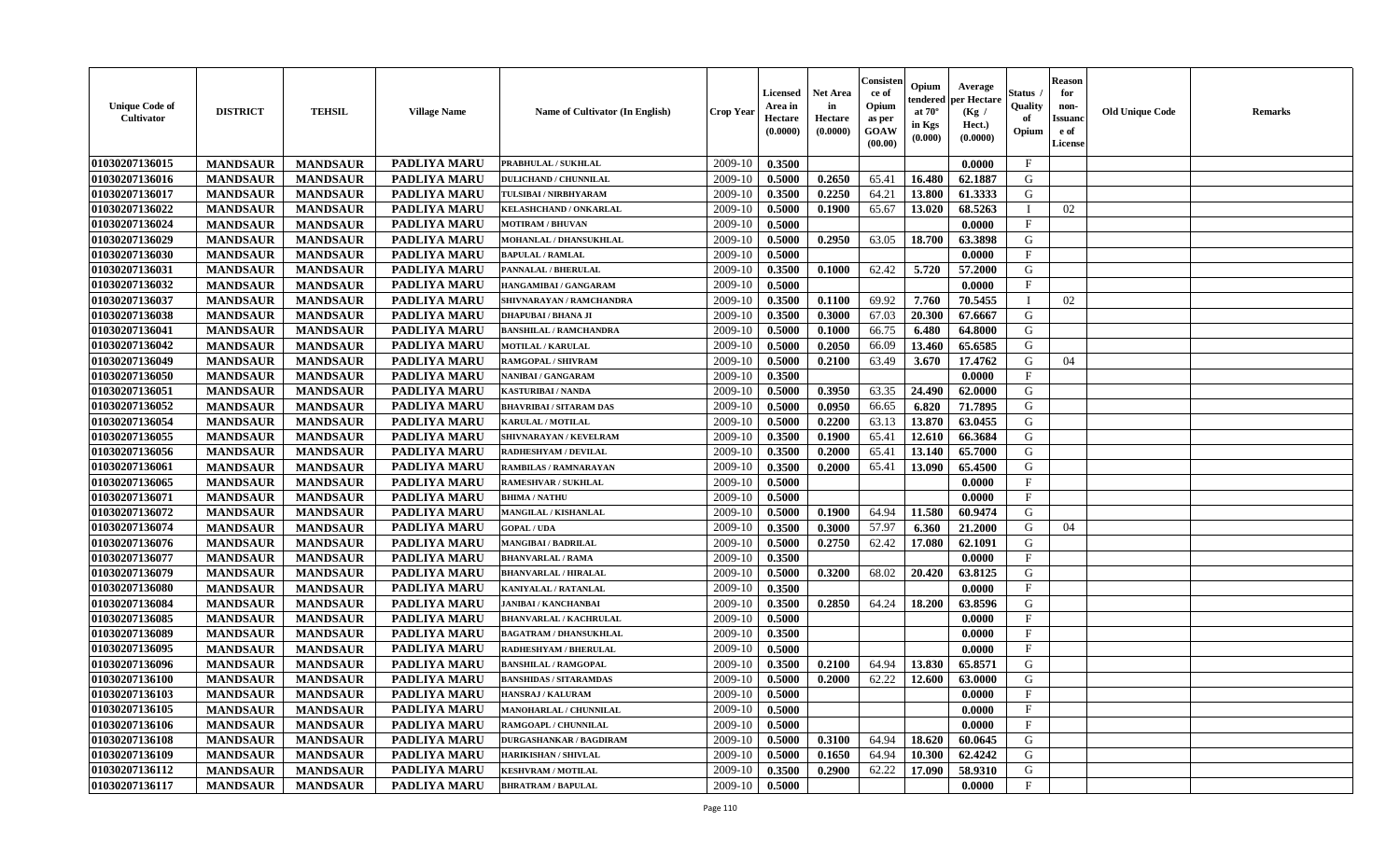| <b>Unique Code of</b><br><b>Cultivator</b> | <b>DISTRICT</b> | <b>TEHSIL</b>   | <b>Village Name</b> | Name of Cultivator (In English) | <b>Crop Year</b> | <b>Licensed</b><br>Area in<br>Hectare<br>(0.0000) | <b>Net Area</b><br>in<br>Hectare<br>(0.0000) | Consisteı<br>ce of<br>Opium<br>as per<br><b>GOAW</b><br>(00.00) | Opium<br>endered<br>at $70^\circ$<br>in Kgs<br>$(\mathbf{0.000})$ | Average<br>per Hectare<br>(Kg /<br>Hect.)<br>(0.0000) | Status<br>Quality<br>of<br>Opium | <b>Reason</b><br>for<br>non-<br>Issuan<br>e of<br>License | <b>Old Unique Code</b> | <b>Remarks</b> |
|--------------------------------------------|-----------------|-----------------|---------------------|---------------------------------|------------------|---------------------------------------------------|----------------------------------------------|-----------------------------------------------------------------|-------------------------------------------------------------------|-------------------------------------------------------|----------------------------------|-----------------------------------------------------------|------------------------|----------------|
| 01030207136015                             | <b>MANDSAUR</b> | <b>MANDSAUR</b> | PADLIYA MARU        | PRABHULAL / SUKHLAL             | 2009-10          | 0.3500                                            |                                              |                                                                 |                                                                   | 0.0000                                                | $\mathbf{F}$                     |                                                           |                        |                |
| 01030207136016                             | <b>MANDSAUR</b> | <b>MANDSAUR</b> | <b>PADLIYA MARU</b> | <b>DULICHAND / CHUNNILAL</b>    | 2009-10          | 0.5000                                            | 0.2650                                       | 65.41                                                           | 16.480                                                            | 62.1887                                               | G                                |                                                           |                        |                |
| 01030207136017                             | <b>MANDSAUR</b> | <b>MANDSAUR</b> | PADLIYA MARU        | TULSIBAI / NIRBHYARAM           | 2009-10          | 0.3500                                            | 0.2250                                       | 64.21                                                           | 13.800                                                            | 61.3333                                               | G                                |                                                           |                        |                |
| 01030207136022                             | <b>MANDSAUR</b> | <b>MANDSAUR</b> | <b>PADLIYA MARU</b> | KELASHCHAND / ONKARLAL          | 2009-10          | 0.5000                                            | 0.1900                                       | 65.67                                                           | 13.020                                                            | 68.5263                                               | $\blacksquare$                   | 02                                                        |                        |                |
| 01030207136024                             | <b>MANDSAUR</b> | <b>MANDSAUR</b> | <b>PADLIYA MARU</b> | <b>MOTIRAM / BHUVAN</b>         | 2009-10          | 0.5000                                            |                                              |                                                                 |                                                                   | 0.0000                                                | $\mathbf{F}$                     |                                                           |                        |                |
| 01030207136029                             | <b>MANDSAUR</b> | <b>MANDSAUR</b> | <b>PADLIYA MARU</b> | MOHANLAL / DHANSUKHLAL          | 2009-10          | 0.5000                                            | 0.2950                                       | 63.05                                                           | 18.700                                                            | 63.3898                                               | G                                |                                                           |                        |                |
| 01030207136030                             | <b>MANDSAUR</b> | <b>MANDSAUR</b> | PADLIYA MARU        | <b>BAPULAL / RAMLAL</b>         | 2009-10          | 0.5000                                            |                                              |                                                                 |                                                                   | 0.0000                                                | $\mathbf{F}$                     |                                                           |                        |                |
| 01030207136031                             | <b>MANDSAUR</b> | <b>MANDSAUR</b> | PADLIYA MARU        | PANNALAL / BHERULAL             | 2009-10          | 0.3500                                            | 0.1000                                       | 62.42                                                           | 5.720                                                             | 57.2000                                               | G                                |                                                           |                        |                |
| 01030207136032                             | <b>MANDSAUR</b> | <b>MANDSAUR</b> | PADLIYA MARU        | HANGAMIBAI / GANGARAM           | 2009-10          | 0.5000                                            |                                              |                                                                 |                                                                   | 0.0000                                                | F                                |                                                           |                        |                |
| 01030207136037                             | <b>MANDSAUR</b> | <b>MANDSAUR</b> | <b>PADLIYA MARU</b> | SHIVNARAYAN / RAMCHANDRA        | 2009-10          | 0.3500                                            | 0.1100                                       | 69.92                                                           | 7.760                                                             | 70.5455                                               | $\blacksquare$                   | 02                                                        |                        |                |
| 01030207136038                             | <b>MANDSAUR</b> | <b>MANDSAUR</b> | PADLIYA MARU        | DHAPUBAI / BHANA JI             | 2009-10          | 0.3500                                            | 0.3000                                       | 67.03                                                           | 20.300                                                            | 67.6667                                               | G                                |                                                           |                        |                |
| 01030207136041                             | <b>MANDSAUR</b> | <b>MANDSAUR</b> | PADLIYA MARU        | <b>BANSHILAL / RAMCHANDRA</b>   | 2009-10          | 0.5000                                            | 0.1000                                       | 66.75                                                           | 6.480                                                             | 64.8000                                               | G                                |                                                           |                        |                |
| 01030207136042                             | <b>MANDSAUR</b> | <b>MANDSAUR</b> | PADLIYA MARU        | <b>MOTILAL / KARULAL</b>        | 2009-10          | 0.5000                                            | 0.2050                                       | 66.09                                                           | 13.460                                                            | 65.6585                                               | G                                |                                                           |                        |                |
| 01030207136049                             | <b>MANDSAUR</b> | <b>MANDSAUR</b> | PADLIYA MARU        | RAMGOPAL / SHIVRAM              | 2009-10          | 0.5000                                            | 0.2100                                       | 63.49                                                           | 3.670                                                             | 17.4762                                               | G                                | 04                                                        |                        |                |
| 01030207136050                             | <b>MANDSAUR</b> | <b>MANDSAUR</b> | PADLIYA MARU        | NANIBAI / GANGARAM              | 2009-10          | 0.3500                                            |                                              |                                                                 |                                                                   | 0.0000                                                | $\mathbf{F}$                     |                                                           |                        |                |
| 01030207136051                             | <b>MANDSAUR</b> | <b>MANDSAUR</b> | PADLIYA MARU        | KASTURIBAI / NANDA              | 2009-10          | 0.5000                                            | 0.3950                                       | 63.35                                                           | 24.490                                                            | 62.0000                                               | G                                |                                                           |                        |                |
| 01030207136052                             | <b>MANDSAUR</b> | <b>MANDSAUR</b> | <b>PADLIYA MARU</b> | <b>BHAVRIBAI/SITARAM DAS</b>    | 2009-10          | 0.5000                                            | 0.0950                                       | 66.65                                                           | 6.820                                                             | 71.7895                                               | G                                |                                                           |                        |                |
| 01030207136054                             | <b>MANDSAUR</b> | <b>MANDSAUR</b> | PADLIYA MARU        | KARULAL / MOTILAL               | 2009-10          | 0.5000                                            | 0.2200                                       | 63.13                                                           | 13.870                                                            | 63.0455                                               | G                                |                                                           |                        |                |
| 01030207136055                             | <b>MANDSAUR</b> | <b>MANDSAUR</b> | PADLIYA MARU        | SHIVNARAYAN / KEVELRAM          | 2009-10          | 0.3500                                            | 0.1900                                       | 65.41                                                           | 12.610                                                            | 66.3684                                               | G                                |                                                           |                        |                |
| 01030207136056                             | <b>MANDSAUR</b> | <b>MANDSAUR</b> | PADLIYA MARU        | RADHESHYAM / DEVILAL            | 2009-10          | 0.3500                                            | 0.2000                                       | 65.41                                                           | 13.140                                                            | 65.7000                                               | G                                |                                                           |                        |                |
| 01030207136061                             | <b>MANDSAUR</b> | <b>MANDSAUR</b> | <b>PADLIYA MARU</b> | RAMBILAS / RAMNARAYAN           | 2009-10          | 0.3500                                            | 0.2000                                       | 65.41                                                           | 13.090                                                            | 65.4500                                               | G                                |                                                           |                        |                |
| 01030207136065                             | <b>MANDSAUR</b> | <b>MANDSAUR</b> | PADLIYA MARU        | <b>RAMESHVAR / SUKHLAL</b>      | 2009-10          | 0.5000                                            |                                              |                                                                 |                                                                   | 0.0000                                                | $\mathbf{F}$                     |                                                           |                        |                |
| 01030207136071                             | <b>MANDSAUR</b> | <b>MANDSAUR</b> | <b>PADLIYA MARU</b> | <b>BHIMA / NATHU</b>            | 2009-10          | 0.5000                                            |                                              |                                                                 |                                                                   | 0.0000                                                | $\mathbf{F}$                     |                                                           |                        |                |
| 01030207136072                             |                 |                 | <b>PADLIYA MARU</b> |                                 |                  |                                                   |                                              |                                                                 |                                                                   |                                                       | G                                |                                                           |                        |                |
|                                            | <b>MANDSAUR</b> | <b>MANDSAUR</b> |                     | MANGILAL / KISHANLAL            | 2009-10          | 0.5000                                            | 0.1900                                       | 64.94                                                           | 11.580                                                            | 60.9474                                               |                                  |                                                           |                        |                |
| 01030207136074                             | <b>MANDSAUR</b> | <b>MANDSAUR</b> | PADLIYA MARU        | <b>GOPAL / UDA</b>              | 2009-10          | 0.3500                                            | 0.3000                                       | 57.97                                                           | 6.360                                                             | 21.2000                                               | G                                | 04                                                        |                        |                |
| 01030207136076                             | <b>MANDSAUR</b> | <b>MANDSAUR</b> | PADLIYA MARU        | <b>MANGIBAI/BADRILAL</b>        | 2009-10          | 0.5000                                            | 0.2750                                       | 62.42                                                           | 17.080                                                            | 62.1091                                               | G                                |                                                           |                        |                |
| 01030207136077                             | <b>MANDSAUR</b> | <b>MANDSAUR</b> | <b>PADLIYA MARU</b> | <b>BHANVARLAL / RAMA</b>        | 2009-10          | 0.3500                                            |                                              |                                                                 |                                                                   | 0.0000                                                | $_{\rm F}$                       |                                                           |                        |                |
| 01030207136079                             | <b>MANDSAUR</b> | <b>MANDSAUR</b> | <b>PADLIYA MARU</b> | <b>BHANVARLAL / HIRALAL</b>     | 2009-10          | 0.5000                                            | 0.3200                                       | 68.02                                                           | 20.420                                                            | 63.8125                                               | G                                |                                                           |                        |                |
| 01030207136080                             | <b>MANDSAUR</b> | <b>MANDSAUR</b> | PADLIYA MARU        | <b>KANIYALAL / RATANLAL</b>     | 2009-10          | 0.3500                                            |                                              |                                                                 |                                                                   | 0.0000                                                | $\mathbf{F}$                     |                                                           |                        |                |
| 01030207136084                             | <b>MANDSAUR</b> | <b>MANDSAUR</b> | <b>PADLIYA MARU</b> | <b>JANIBAI / KANCHANBAI</b>     | 2009-10          | 0.3500                                            | 0.2850                                       | 64.24                                                           | 18.200                                                            | 63.8596                                               | G                                |                                                           |                        |                |
| 01030207136085                             | <b>MANDSAUR</b> | <b>MANDSAUR</b> | <b>PADLIYA MARU</b> | <b>BHANVARLAL / KACHRULAL</b>   | 2009-10          | 0.5000                                            |                                              |                                                                 |                                                                   | 0.0000                                                | $\mathbf{F}$                     |                                                           |                        |                |
| 01030207136089                             | <b>MANDSAUR</b> | <b>MANDSAUR</b> | <b>PADLIYA MARU</b> | <b>BAGATRAM / DHANSUKHLAL</b>   | 2009-10          | 0.3500                                            |                                              |                                                                 |                                                                   | 0.0000                                                | $\mathbf{F}$                     |                                                           |                        |                |
| 01030207136095                             | <b>MANDSAUR</b> | <b>MANDSAUR</b> | <b>PADLIYA MARU</b> | RADHESHYAM / BHERULAL           | 2009-10          | 0.5000                                            |                                              |                                                                 |                                                                   | 0.0000                                                | $\mathbf{F}$                     |                                                           |                        |                |
| 01030207136096                             | <b>MANDSAUR</b> | <b>MANDSAUR</b> | PADLIYA MARU        | <b>BANSHILAL / RAMGOPAL</b>     | 2009-10          | 0.3500                                            | 0.2100                                       | 64.94                                                           | 13.830                                                            | 65.8571                                               | G                                |                                                           |                        |                |
| 01030207136100                             | <b>MANDSAUR</b> | <b>MANDSAUR</b> | PADLIYA MARU        | <b>BANSHIDAS / SITARAMDAS</b>   | 2009-10          | 0.5000                                            | 0.2000                                       | 62.22                                                           | 12.600                                                            | 63.0000                                               | G                                |                                                           |                        |                |
| 01030207136103                             | <b>MANDSAUR</b> | <b>MANDSAUR</b> | PADLIYA MARU        | <b>HANSRAJ / KALURAM</b>        | $2009-10$ 0.5000 |                                                   |                                              |                                                                 |                                                                   | 0.0000                                                | F                                |                                                           |                        |                |
| 01030207136105                             | <b>MANDSAUR</b> | <b>MANDSAUR</b> | <b>PADLIYA MARU</b> | MANOHARLAL / CHUNNILAL          | 2009-10          | 0.5000                                            |                                              |                                                                 |                                                                   | 0.0000                                                | $_{\rm F}$                       |                                                           |                        |                |
| 01030207136106                             | <b>MANDSAUR</b> | <b>MANDSAUR</b> | <b>PADLIYA MARU</b> | RAMGOAPL / CHUNNILAL            | 2009-10          | 0.5000                                            |                                              |                                                                 |                                                                   | 0.0000                                                | $\mathbf{F}$                     |                                                           |                        |                |
| 01030207136108                             | <b>MANDSAUR</b> | <b>MANDSAUR</b> | PADLIYA MARU        | <b>DURGASHANKAR / BAGDIRAM</b>  | 2009-10          | 0.5000                                            | 0.3100                                       | 64.94                                                           | 18.620                                                            | 60.0645                                               | G                                |                                                           |                        |                |
| 01030207136109                             | <b>MANDSAUR</b> | <b>MANDSAUR</b> | <b>PADLIYA MARU</b> | <b>HARIKISHAN / SHIVLAL</b>     | 2009-10          | 0.5000                                            | 0.1650                                       | 64.94                                                           | 10.300                                                            | 62.4242                                               | G                                |                                                           |                        |                |
| 01030207136112                             | <b>MANDSAUR</b> | <b>MANDSAUR</b> | <b>PADLIYA MARU</b> | <b>KESHVRAM / MOTILAL</b>       | 2009-10          | 0.3500                                            | 0.2900                                       | 62.22                                                           | 17.090                                                            | 58.9310                                               | G                                |                                                           |                        |                |
| 01030207136117                             | <b>MANDSAUR</b> | <b>MANDSAUR</b> | PADLIYA MARU        | <b>BHRATRAM / BAPULAL</b>       | 2009-10          | 0.5000                                            |                                              |                                                                 |                                                                   | 0.0000                                                | $\mathbf{F}$                     |                                                           |                        |                |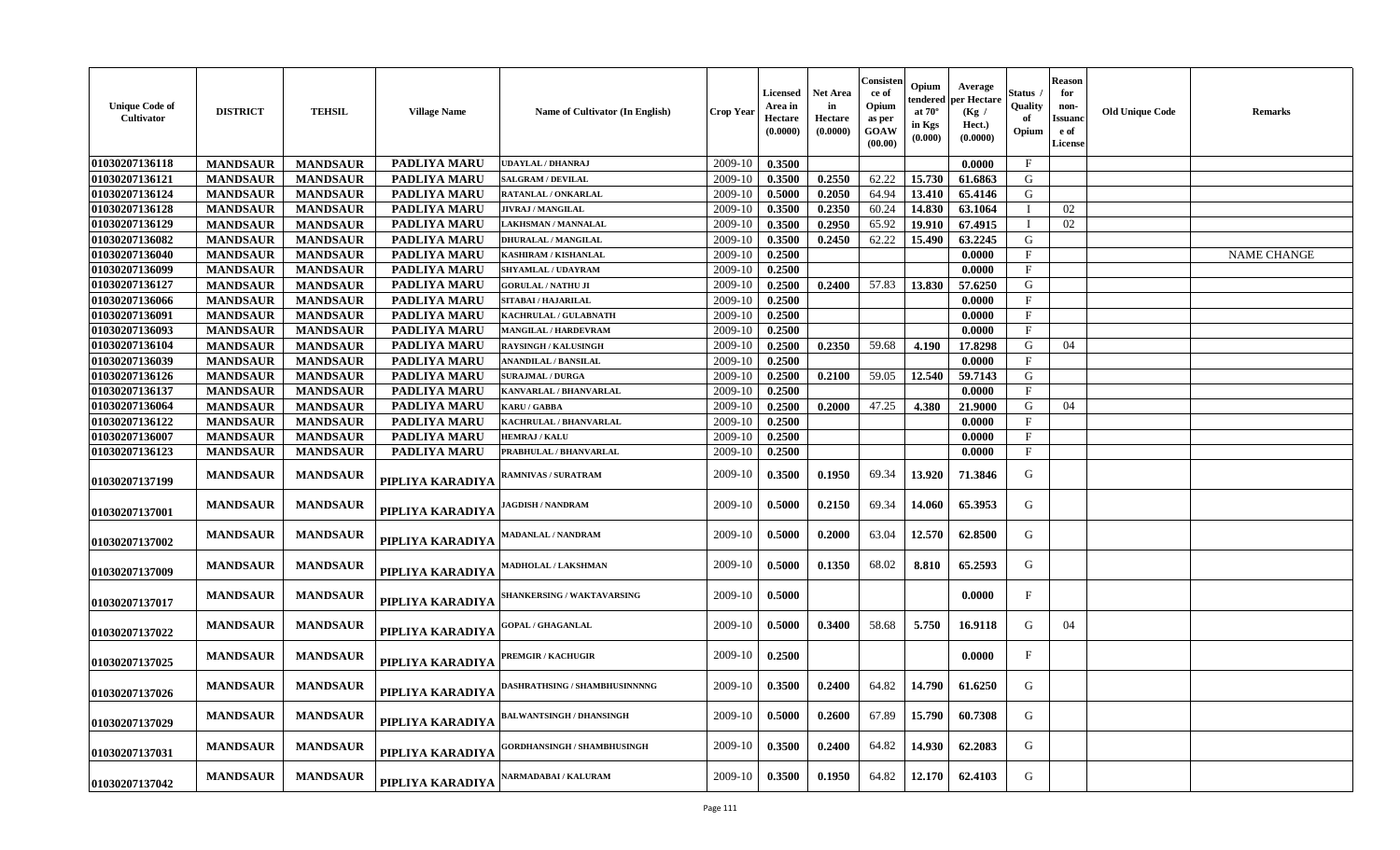| <b>Unique Code of</b><br>Cultivator | <b>DISTRICT</b> | <b>TEHSIL</b>   | <b>Village Name</b> | Name of Cultivator (In English)      | Crop Year | Licensed<br>Area in<br>Hectare<br>(0.0000) | Net Area<br>in<br><b>Hectare</b><br>(0.0000) | Consisten<br>ce of<br>Opium<br>as per<br>GOAW<br>(00.00) | Opium<br>endered<br>at $70^{\circ}$<br>in Kgs<br>(0.000) | Average<br>per Hectare<br>(Kg /<br>Hect.)<br>(0.0000) | štatus<br>Quality<br>Opium | <b>Reason</b><br>for<br>non-<br><b>Issuand</b><br>e of<br><b>License</b> | <b>Old Unique Code</b> | <b>Remarks</b>     |
|-------------------------------------|-----------------|-----------------|---------------------|--------------------------------------|-----------|--------------------------------------------|----------------------------------------------|----------------------------------------------------------|----------------------------------------------------------|-------------------------------------------------------|----------------------------|--------------------------------------------------------------------------|------------------------|--------------------|
| 01030207136118                      | <b>MANDSAUR</b> | <b>MANDSAUR</b> | <b>PADLIYA MARU</b> | <b>UDAYLAL / DHANRAJ</b>             | 2009-10   | 0.3500                                     |                                              |                                                          |                                                          | 0.0000                                                | $\mathbf F$                |                                                                          |                        |                    |
| 01030207136121                      | <b>MANDSAUR</b> | <b>MANDSAUR</b> | <b>PADLIYA MARU</b> | <b>SALGRAM / DEVILAL</b>             | 2009-10   | 0.3500                                     | 0.2550                                       | 62.22                                                    | 15.730                                                   | 61.6863                                               | G                          |                                                                          |                        |                    |
| 01030207136124                      | <b>MANDSAUR</b> | <b>MANDSAUR</b> | PADLIYA MARU        | RATANLAL / ONKARLAL                  | 2009-10   | 0.5000                                     | 0.2050                                       | 64.94                                                    | 13.410                                                   | 65.4146                                               | G                          |                                                                          |                        |                    |
| 01030207136128                      | <b>MANDSAUR</b> | <b>MANDSAUR</b> | <b>PADLIYA MARU</b> | <b>JIVRAJ / MANGILAL</b>             | 2009-10   | 0.3500                                     | 0.2350                                       | 60.24                                                    | 14.830                                                   | 63.1064                                               | T                          | 02                                                                       |                        |                    |
| 01030207136129                      | <b>MANDSAUR</b> | <b>MANDSAUR</b> | <b>PADLIYA MARU</b> | <b>LAKHSMAN / MANNALAL</b>           | 2009-10   | 0.3500                                     | 0.2950                                       | 65.92                                                    | 19.910                                                   | 67.4915                                               |                            | 02                                                                       |                        |                    |
| 01030207136082                      | <b>MANDSAUR</b> | <b>MANDSAUR</b> | PADLIYA MARU        | <b>DHURALAL / MANGILAL</b>           | 2009-10   | 0.3500                                     | 0.2450                                       | 62.22                                                    | 15.490                                                   | 63.2245                                               | G                          |                                                                          |                        |                    |
| 01030207136040                      | <b>MANDSAUR</b> | <b>MANDSAUR</b> | PADLIYA MARU        | <b>KASHIRAM / KISHANLAL</b>          | 2009-10   | 0.2500                                     |                                              |                                                          |                                                          | 0.0000                                                | $\mathbf{F}$               |                                                                          |                        | <b>NAME CHANGE</b> |
| 01030207136099                      | <b>MANDSAUR</b> | <b>MANDSAUR</b> | <b>PADLIYA MARU</b> | SHYAMLAL / UDAYRAM                   | 2009-10   | 0.2500                                     |                                              |                                                          |                                                          | 0.0000                                                | $\mathbf{F}$               |                                                                          |                        |                    |
| 01030207136127                      | <b>MANDSAUR</b> | <b>MANDSAUR</b> | PADLIYA MARU        | <b>GORULAL / NATHU JI</b>            | 2009-10   | 0.2500                                     | 0.2400                                       | 57.83                                                    | 13.830                                                   | 57.6250                                               | G                          |                                                                          |                        |                    |
| 01030207136066                      | <b>MANDSAUR</b> | <b>MANDSAUR</b> | <b>PADLIYA MARU</b> | SITABAI / HAJARILAL                  | 2009-10   | 0.2500                                     |                                              |                                                          |                                                          | 0.0000                                                | $\mathbf{F}$               |                                                                          |                        |                    |
| 01030207136091                      | <b>MANDSAUR</b> | <b>MANDSAUR</b> | PADLIYA MARU        | KACHRULAL / GULABNATH                | 2009-10   | 0.2500                                     |                                              |                                                          |                                                          | 0.0000                                                | $\mathbf{F}$               |                                                                          |                        |                    |
| 01030207136093                      | <b>MANDSAUR</b> | <b>MANDSAUR</b> | <b>PADLIYA MARU</b> | MANGILAL / HARDEVRAM                 | 2009-10   | 0.2500                                     |                                              |                                                          |                                                          | 0.0000                                                | $\mathbf{F}$               |                                                                          |                        |                    |
| 01030207136104                      | <b>MANDSAUR</b> | <b>MANDSAUR</b> | <b>PADLIYA MARU</b> | <b>RAYSINGH / KALUSINGH</b>          | 2009-10   | 0.2500                                     | 0.2350                                       | 59.68                                                    | 4.190                                                    | 17.8298                                               | G                          | 04                                                                       |                        |                    |
| 01030207136039                      | <b>MANDSAUR</b> | <b>MANDSAUR</b> | PADLIYA MARU        | ANANDILAL / BANSILAL                 | 2009-10   | 0.2500                                     |                                              |                                                          |                                                          | 0.0000                                                | $\mathbf{F}$               |                                                                          |                        |                    |
| 01030207136126                      | <b>MANDSAUR</b> | <b>MANDSAUR</b> | <b>PADLIYA MARU</b> | <b>SURAJMAL / DURGA</b>              | 2009-10   | 0.2500                                     | 0.2100                                       | 59.05                                                    | 12.540                                                   | 59.7143                                               | G                          |                                                                          |                        |                    |
| 01030207136137                      | <b>MANDSAUR</b> | <b>MANDSAUR</b> | PADLIYA MARU        | KANVARLAL / BHANVARLAL               | 2009-10   | 0.2500                                     |                                              |                                                          |                                                          | 0.0000                                                | $\mathbf{F}$               |                                                                          |                        |                    |
| 01030207136064                      | <b>MANDSAUR</b> | <b>MANDSAUR</b> | <b>PADLIYA MARU</b> | <b>KARU / GABBA</b>                  | 2009-10   | 0.2500                                     | 0.2000                                       | 47.25                                                    | 4.380                                                    | 21.9000                                               | G                          | 04                                                                       |                        |                    |
| 01030207136122                      | <b>MANDSAUR</b> | <b>MANDSAUR</b> | PADLIYA MARU        | KACHRULAL / BHANVARLAL               | 2009-10   | 0.2500                                     |                                              |                                                          |                                                          | 0.0000                                                | F                          |                                                                          |                        |                    |
| 01030207136007                      | <b>MANDSAUR</b> | <b>MANDSAUR</b> | PADLIYA MARU        | <b>HEMRAJ / KALU</b>                 | 2009-10   | 0.2500                                     |                                              |                                                          |                                                          | 0.0000                                                | $_{\rm F}$                 |                                                                          |                        |                    |
| 01030207136123                      | <b>MANDSAUR</b> | <b>MANDSAUR</b> | <b>PADLIYA MARU</b> | PRABHULAL / BHANVARLAL               | 2009-10   | 0.2500                                     |                                              |                                                          |                                                          | 0.0000                                                | $\mathbf{F}$               |                                                                          |                        |                    |
| 01030207137199                      | <b>MANDSAUR</b> | <b>MANDSAUR</b> | PIPLIYA KARADIYA    | <b>RAMNIVAS / SURATRAM</b>           | 2009-10   | 0.3500                                     | 0.1950                                       | 69.34                                                    | 13.920                                                   | 71.3846                                               | G                          |                                                                          |                        |                    |
| 01030207137001                      | <b>MANDSAUR</b> | <b>MANDSAUR</b> | PIPLIYA KARADIYA    | <b>AGDISH / NANDRAM</b>              | 2009-10   | 0.5000                                     | 0.2150                                       | 69.34                                                    | 14.060                                                   | 65.3953                                               | G                          |                                                                          |                        |                    |
| 01030207137002                      | <b>MANDSAUR</b> | <b>MANDSAUR</b> | PIPLIYA KARADIYA    | MADANLAL / NANDRAM                   | 2009-10   | 0.5000                                     | 0.2000                                       | 63.04                                                    | 12.570                                                   | 62.8500                                               | G                          |                                                                          |                        |                    |
| 01030207137009                      | <b>MANDSAUR</b> | <b>MANDSAUR</b> | PIPLIYA KARADIYA    | <b>MADHOLAL / LAKSHMAN</b>           | 2009-10   | 0.5000                                     | 0.1350                                       | 68.02                                                    | 8.810                                                    | 65.2593                                               | G                          |                                                                          |                        |                    |
| 01030207137017                      | <b>MANDSAUR</b> | <b>MANDSAUR</b> | PIPLIYA KARADIYA    | <b>SHANKERSING / WAKTAVARSING</b>    | 2009-10   | 0.5000                                     |                                              |                                                          |                                                          | 0.0000                                                | $\mathbf{F}$               |                                                                          |                        |                    |
| 01030207137022                      | <b>MANDSAUR</b> | <b>MANDSAUR</b> | PIPLIYA KARADIYA    | <b>GOPAL / GHAGANLAL</b>             | 2009-10   | 0.5000                                     | 0.3400                                       | 58.68                                                    | 5.750                                                    | 16.9118                                               | G                          | 04                                                                       |                        |                    |
| 01030207137025                      | <b>MANDSAUR</b> | <b>MANDSAUR</b> | PIPLIYA KARADIYA    | <b>PREMGIR / KACHUGIR</b>            | 2009-10   | 0.2500                                     |                                              |                                                          |                                                          | 0.0000                                                | $\mathbf{F}$               |                                                                          |                        |                    |
| 01030207137026                      | <b>MANDSAUR</b> | <b>MANDSAUR</b> | PIPLIYA KARADIYA    | <b>DASHRATHSING / SHAMBHUSINNNNG</b> | 2009-10   | 0.3500                                     | 0.2400                                       | 64.82                                                    | 14.790                                                   | 61.6250                                               | G                          |                                                                          |                        |                    |
| 01030207137029                      | <b>MANDSAUR</b> | <b>MANDSAUR</b> | PIPLIYA KARADIYA    | <b>BALWANTSINGH / DHANSINGH</b>      | 2009-10   | 0.5000                                     | 0.2600                                       | 67.89                                                    | 15.790                                                   | 60.7308                                               | G                          |                                                                          |                        |                    |
| 01030207137031                      | <b>MANDSAUR</b> | <b>MANDSAUR</b> | PIPLIYA KARADIYA    | <b>GORDHANSINGH / SHAMBHUSINGH</b>   | 2009-10   | 0.3500                                     | 0.2400                                       | 64.82                                                    | 14.930                                                   | 62.2083                                               | G                          |                                                                          |                        |                    |
| 01030207137042                      | <b>MANDSAUR</b> | <b>MANDSAUR</b> | PIPLIYA KARADIYA    | NARMADABAI / KALURAM                 | 2009-10   | 0.3500                                     | 0.1950                                       | 64.82                                                    | 12.170                                                   | 62.4103                                               | G                          |                                                                          |                        |                    |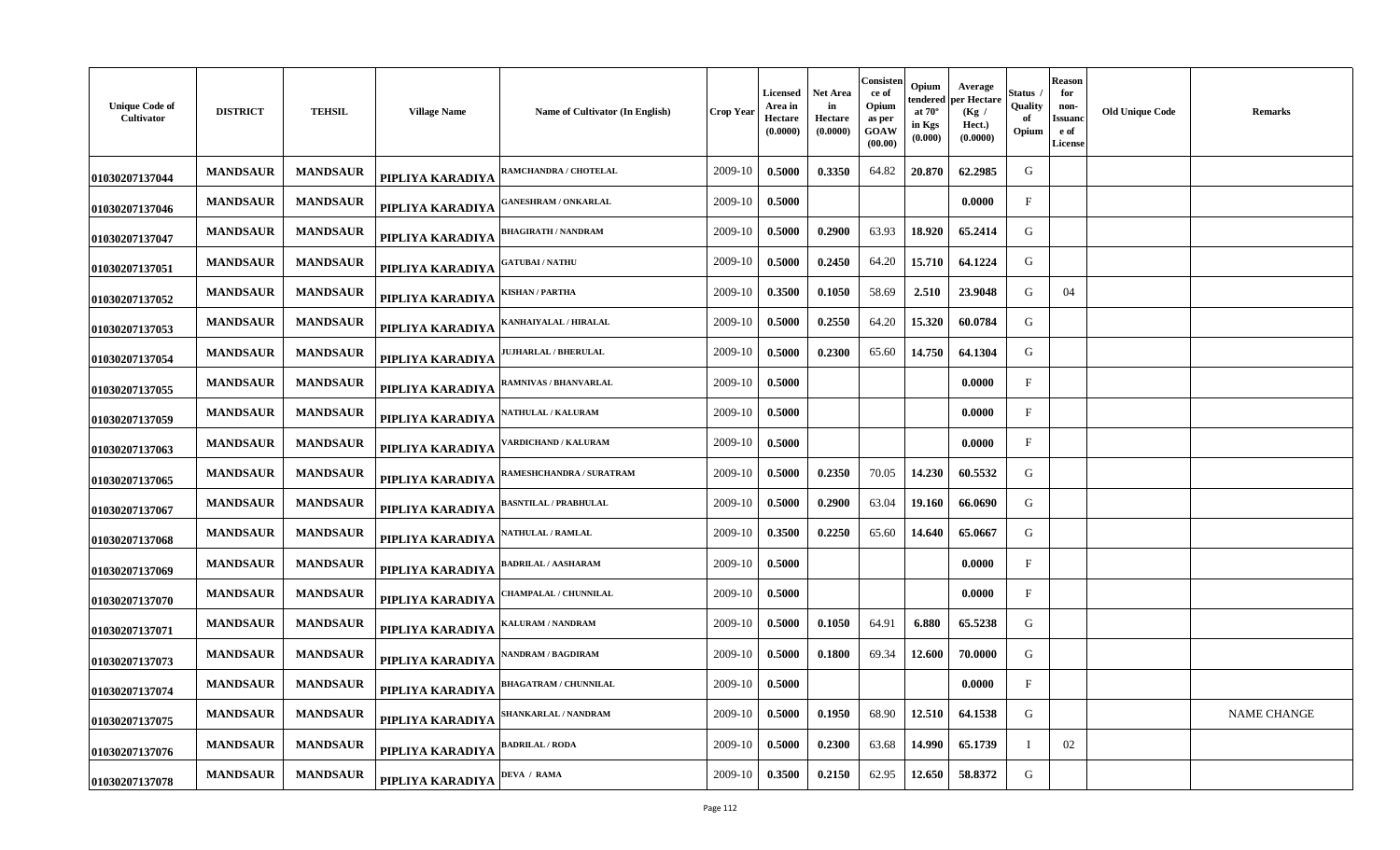| <b>Unique Code of</b><br>Cultivator | <b>DISTRICT</b> | <b>TEHSIL</b>   | <b>Village Name</b> | Name of Cultivator (In English) | Crop Year | <b>Licensed</b><br>Area in<br><b>Hectare</b><br>(0.0000) | Net Area<br>in<br>Hectare<br>(0.0000) | Consisten<br>ce of<br>Opium<br>as per<br>GOAW<br>(00.00) | Opium<br>tendered<br>at $70^\circ$<br>in Kgs<br>(0.000) | Average<br>per Hectare<br>(Kg)<br>Hect.)<br>(0.0000) | Status<br>Quality<br>оf<br>Opium | <b>Reason</b><br>for<br>non-<br>Issuand<br>e of<br><b>License</b> | <b>Old Unique Code</b> | <b>Remarks</b>     |
|-------------------------------------|-----------------|-----------------|---------------------|---------------------------------|-----------|----------------------------------------------------------|---------------------------------------|----------------------------------------------------------|---------------------------------------------------------|------------------------------------------------------|----------------------------------|-------------------------------------------------------------------|------------------------|--------------------|
| 01030207137044                      | <b>MANDSAUR</b> | <b>MANDSAUR</b> | PIPLIYA KARADIYA    | RAMCHANDRA / CHOTELAL           | 2009-10   | 0.5000                                                   | 0.3350                                | 64.82                                                    | 20.870                                                  | 62.2985                                              | G                                |                                                                   |                        |                    |
| 01030207137046                      | <b>MANDSAUR</b> | <b>MANDSAUR</b> | PIPLIYA KARADIYA    | <b>;ANESHRAM / ONKARLAL</b>     | 2009-10   | 0.5000                                                   |                                       |                                                          |                                                         | 0.0000                                               | $_{\rm F}$                       |                                                                   |                        |                    |
| 01030207137047                      | <b>MANDSAUR</b> | <b>MANDSAUR</b> | PIPLIYA KARADIYA    | <b>BHAGIRATH / NANDRAM</b>      | 2009-10   | 0.5000                                                   | 0.2900                                | 63.93                                                    | 18.920                                                  | 65.2414                                              | G                                |                                                                   |                        |                    |
| 01030207137051                      | <b>MANDSAUR</b> | <b>MANDSAUR</b> | PIPLIYA KARADIYA    | <b>GATUBAI/NATHU</b>            | 2009-10   | 0.5000                                                   | 0.2450                                | 64.20                                                    | 15.710                                                  | 64.1224                                              | G                                |                                                                   |                        |                    |
| 01030207137052                      | <b>MANDSAUR</b> | <b>MANDSAUR</b> | PIPLIYA KARADIYA    | ISHAN / PARTHA                  | 2009-10   | 0.3500                                                   | 0.1050                                | 58.69                                                    | 2.510                                                   | 23.9048                                              | G                                | 04                                                                |                        |                    |
| 01030207137053                      | <b>MANDSAUR</b> | <b>MANDSAUR</b> | PIPLIYA KARADIYA    | <b>ANHAIYALAL / HIRALAL</b>     | 2009-10   | 0.5000                                                   | 0.2550                                | 64.20                                                    | 15.320                                                  | 60.0784                                              | G                                |                                                                   |                        |                    |
| 01030207137054                      | <b>MANDSAUR</b> | <b>MANDSAUR</b> | PIPLIYA KARADIYA    | <b>UJHARLAL / BHERULAL</b>      | 2009-10   | 0.5000                                                   | 0.2300                                | 65.60                                                    | 14.750                                                  | 64.1304                                              | G                                |                                                                   |                        |                    |
| 01030207137055                      | <b>MANDSAUR</b> | <b>MANDSAUR</b> | PIPLIYA KARADIYA    | RAMNIVAS / BHANVARLAL           | 2009-10   | 0.5000                                                   |                                       |                                                          |                                                         | 0.0000                                               | $\mathbf{F}$                     |                                                                   |                        |                    |
| 01030207137059                      | <b>MANDSAUR</b> | <b>MANDSAUR</b> | PIPLIYA KARADIYA    | <b>ATHULAL / KALURAM</b>        | 2009-10   | 0.5000                                                   |                                       |                                                          |                                                         | 0.0000                                               | $\mathbf{F}$                     |                                                                   |                        |                    |
| 01030207137063                      | <b>MANDSAUR</b> | <b>MANDSAUR</b> | PIPLIYA KARADIYA    | ARDICHAND / KALURAM             | 2009-10   | 0.5000                                                   |                                       |                                                          |                                                         | 0.0000                                               | $\mathbf{F}$                     |                                                                   |                        |                    |
| 01030207137065                      | <b>MANDSAUR</b> | <b>MANDSAUR</b> | PIPLIYA KARADIYA    | <b>RAMESHCHANDRA / SURATRAM</b> | 2009-10   | 0.5000                                                   | 0.2350                                | 70.05                                                    | 14.230                                                  | 60.5532                                              | G                                |                                                                   |                        |                    |
| 01030207137067                      | <b>MANDSAUR</b> | <b>MANDSAUR</b> | PIPLIYA KARADIYA    | <b>BASNTILAL / PRABHULAL</b>    | 2009-10   | 0.5000                                                   | 0.2900                                | 63.04                                                    | 19.160                                                  | 66.0690                                              | G                                |                                                                   |                        |                    |
| 01030207137068                      | <b>MANDSAUR</b> | <b>MANDSAUR</b> | PIPLIYA KARADIYA    | <b>NATHULAL / RAMLAL</b>        | 2009-10   | 0.3500                                                   | 0.2250                                | 65.60                                                    | 14.640                                                  | 65.0667                                              | G                                |                                                                   |                        |                    |
| 01030207137069                      | <b>MANDSAUR</b> | <b>MANDSAUR</b> | PIPLIYA KARADIYA    | ADRILAL / AASHARAM              | 2009-10   | 0.5000                                                   |                                       |                                                          |                                                         | 0.0000                                               | $\mathbf{F}$                     |                                                                   |                        |                    |
| 01030207137070                      | <b>MANDSAUR</b> | <b>MANDSAUR</b> | PIPLIYA KARADIYA    | <b>HAMPALAL / CHUNNILAL</b>     | 2009-10   | 0.5000                                                   |                                       |                                                          |                                                         | 0.0000                                               | $\mathbf{F}$                     |                                                                   |                        |                    |
| 01030207137071                      | <b>MANDSAUR</b> | <b>MANDSAUR</b> | PIPLIYA KARADIYA    | ALURAM / NANDRAM                | 2009-10   | 0.5000                                                   | 0.1050                                | 64.91                                                    | 6.880                                                   | 65.5238                                              | G                                |                                                                   |                        |                    |
| 01030207137073                      | <b>MANDSAUR</b> | <b>MANDSAUR</b> | PIPLIYA KARADIYA    | <b>NANDRAM / BAGDIRAM</b>       | 2009-10   | 0.5000                                                   | 0.1800                                | 69.34                                                    | 12.600                                                  | 70.0000                                              | G                                |                                                                   |                        |                    |
| 01030207137074                      | <b>MANDSAUR</b> | <b>MANDSAUR</b> | PIPLIYA KARADIYA    | <b>BHAGATRAM / CHUNNILAL</b>    | 2009-10   | 0.5000                                                   |                                       |                                                          |                                                         | 0.0000                                               | $\mathbf{F}$                     |                                                                   |                        |                    |
| 01030207137075                      | <b>MANDSAUR</b> | <b>MANDSAUR</b> | PIPLIYA KARADIYA    | <b>SHANKARLAL / NANDRAM</b>     | 2009-10   | 0.5000                                                   | 0.1950                                | 68.90                                                    | 12.510                                                  | 64.1538                                              | G                                |                                                                   |                        | <b>NAME CHANGE</b> |
| 01030207137076                      | <b>MANDSAUR</b> | <b>MANDSAUR</b> | PIPLIYA KARADIYA    | <b>BADRILAL / RODA</b>          | 2009-10   | 0.5000                                                   | 0.2300                                | 63.68                                                    | 14.990                                                  | 65.1739                                              |                                  | 02                                                                |                        |                    |
| 01030207137078                      | <b>MANDSAUR</b> | <b>MANDSAUR</b> | PIPLIYA KARADIYA    | <b>DEVA / RAMA</b>              | 2009-10   | 0.3500                                                   | 0.2150                                | 62.95                                                    | 12.650                                                  | 58.8372                                              | G                                |                                                                   |                        |                    |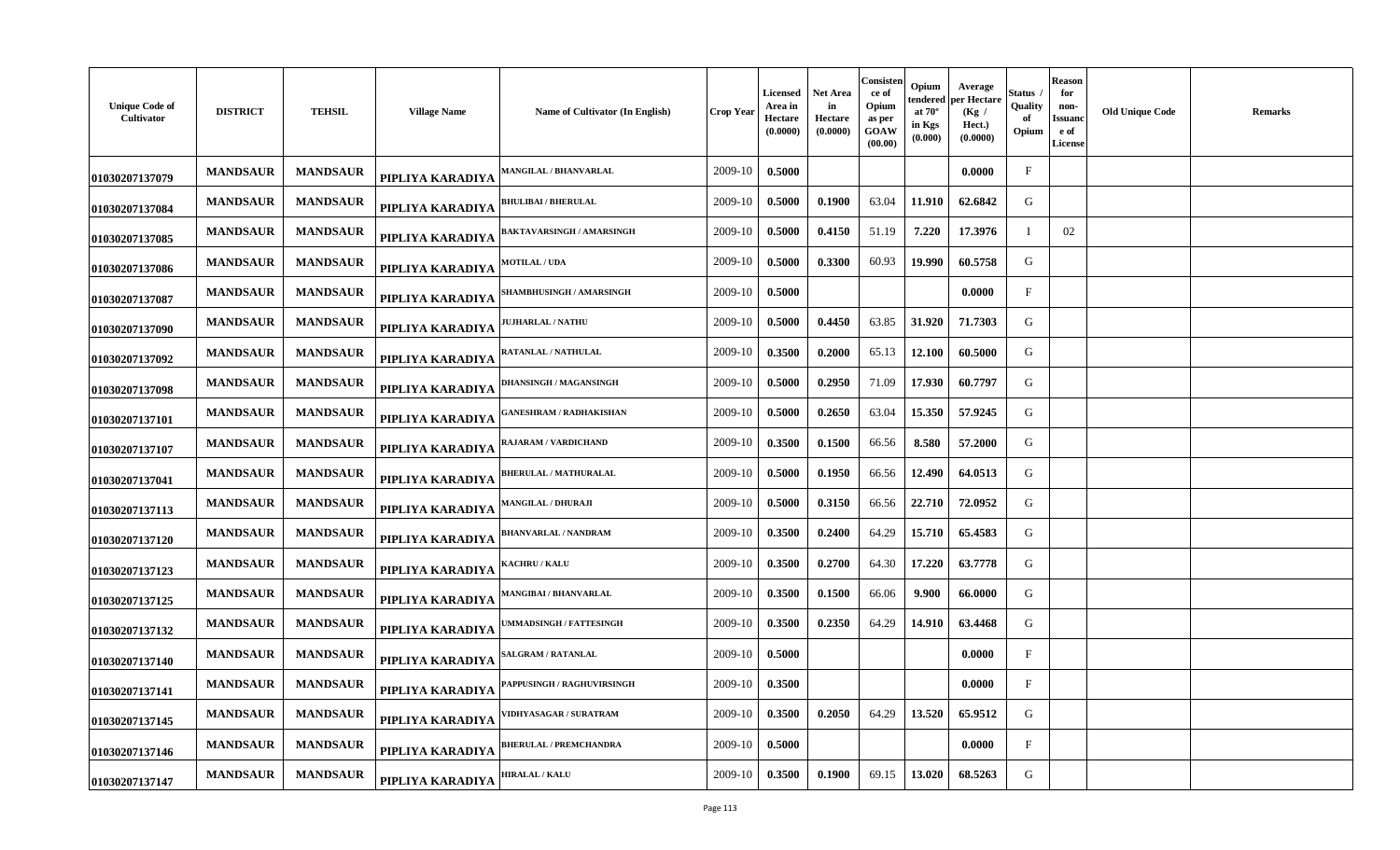| <b>Unique Code of</b><br>Cultivator | <b>DISTRICT</b> | <b>TEHSIL</b>   | <b>Village Name</b> | Name of Cultivator (In English)  | Crop Year | <b>Licensed</b><br>Area in<br><b>Hectare</b><br>(0.0000) | Net Area<br>in<br><b>Hectare</b><br>(0.0000) | Consisten<br>ce of<br>Opium<br>as per<br>GOAW<br>(00.00) | Opium<br>tendered<br>at $70^\circ$<br>in Kgs<br>(0.000) | Average<br>oer Hectare<br>(Kg)<br>Hect.)<br>(0.0000) | Status<br>Quality<br>оf<br>Opium | <b>Reason</b><br>for<br>non-<br>Issuand<br>e of<br><b>License</b> | <b>Old Unique Code</b> | <b>Remarks</b> |
|-------------------------------------|-----------------|-----------------|---------------------|----------------------------------|-----------|----------------------------------------------------------|----------------------------------------------|----------------------------------------------------------|---------------------------------------------------------|------------------------------------------------------|----------------------------------|-------------------------------------------------------------------|------------------------|----------------|
| 01030207137079                      | <b>MANDSAUR</b> | <b>MANDSAUR</b> | PIPLIYA KARADIYA    | MANGILAL / BHANVARLAL            | 2009-10   | 0.5000                                                   |                                              |                                                          |                                                         | 0.0000                                               | $\mathbf{F}$                     |                                                                   |                        |                |
| 01030207137084                      | <b>MANDSAUR</b> | <b>MANDSAUR</b> | PIPLIYA KARADIYA    | <b>BHULIBAI / BHERULAI</b>       | 2009-10   | 0.5000                                                   | 0.1900                                       | 63.04                                                    | 11.910                                                  | 62.6842                                              | G                                |                                                                   |                        |                |
| 01030207137085                      | <b>MANDSAUR</b> | <b>MANDSAUR</b> | PIPLIYA KARADIYA    | <b>BAKTAVARSINGH / AMARSINGH</b> | 2009-10   | 0.5000                                                   | 0.4150                                       | 51.19                                                    | 7.220                                                   | 17.3976                                              |                                  | 02                                                                |                        |                |
| 01030207137086                      | <b>MANDSAUR</b> | <b>MANDSAUR</b> | PIPLIYA KARADIYA    | <b>MOTILAL / UDA</b>             | 2009-10   | 0.5000                                                   | 0.3300                                       | 60.93                                                    | 19.990                                                  | 60.5758                                              | G                                |                                                                   |                        |                |
| 01030207137087                      | <b>MANDSAUR</b> | <b>MANDSAUR</b> | PIPLIYA KARADIYA    | <b>HAMBHUSINGH / AMARSINGH</b>   | 2009-10   | 0.5000                                                   |                                              |                                                          |                                                         | 0.0000                                               | $\mathbf F$                      |                                                                   |                        |                |
| 01030207137090                      | <b>MANDSAUR</b> | <b>MANDSAUR</b> | PIPLIYA KARADIYA    | <b>JUHARLAL / NATHU</b>          | 2009-10   | 0.5000                                                   | 0.4450                                       | 63.85                                                    | 31.920                                                  | 71.7303                                              | G                                |                                                                   |                        |                |
| 01030207137092                      | <b>MANDSAUR</b> | <b>MANDSAUR</b> | PIPLIYA KARADIYA    | RATANLAL / NATHULAL              | 2009-10   | 0.3500                                                   | 0.2000                                       | 65.13                                                    | 12.100                                                  | 60.5000                                              | G                                |                                                                   |                        |                |
| 01030207137098                      | <b>MANDSAUR</b> | <b>MANDSAUR</b> | PIPLIYA KARADIYA    | <b>DHANSINGH / MAGANSINGH</b>    | 2009-10   | 0.5000                                                   | 0.2950                                       | 71.09                                                    | 17.930                                                  | 60.7797                                              | G                                |                                                                   |                        |                |
| 01030207137101                      | <b>MANDSAUR</b> | <b>MANDSAUR</b> | PIPLIYA KARADIYA    | ANESHRAM / RADHAKISHAN           | 2009-10   | 0.5000                                                   | 0.2650                                       | 63.04                                                    | 15.350                                                  | 57.9245                                              | G                                |                                                                   |                        |                |
| 01030207137107                      | <b>MANDSAUR</b> | <b>MANDSAUR</b> | PIPLIYA KARADIYA    | RAJARAM / VARDICHAND             | 2009-10   | 0.3500                                                   | 0.1500                                       | 66.56                                                    | 8.580                                                   | 57.2000                                              | G                                |                                                                   |                        |                |
| 01030207137041                      | <b>MANDSAUR</b> | <b>MANDSAUR</b> | PIPLIYA KARADIYA    | <b>BHERULAL / MATHURALAL</b>     | 2009-10   | 0.5000                                                   | 0.1950                                       | 66.56                                                    | 12.490                                                  | 64.0513                                              | G                                |                                                                   |                        |                |
| 01030207137113                      | <b>MANDSAUR</b> | <b>MANDSAUR</b> | PIPLIYA KARADIYA    | <b>MANGILAL / DHURAJI</b>        | 2009-10   | 0.5000                                                   | 0.3150                                       | 66.56                                                    | 22.710                                                  | 72.0952                                              | G                                |                                                                   |                        |                |
| 01030207137120                      | <b>MANDSAUR</b> | <b>MANDSAUR</b> | PIPLIYA KARADIYA    | <b>BHANVARLAL / NANDRAM</b>      | 2009-10   | 0.3500                                                   | 0.2400                                       | 64.29                                                    | 15.710                                                  | 65.4583                                              | G                                |                                                                   |                        |                |
| 01030207137123                      | <b>MANDSAUR</b> | <b>MANDSAUR</b> | PIPLIYA KARADIYA    | <b>ACHRU / KALU</b>              | 2009-10   | 0.3500                                                   | 0.2700                                       | 64.30                                                    | 17.220                                                  | 63.7778                                              | G                                |                                                                   |                        |                |
| 01030207137125                      | <b>MANDSAUR</b> | <b>MANDSAUR</b> | PIPLIYA KARADIYA    | <b>MANGIBAI / BHANVARLAL</b>     | 2009-10   | 0.3500                                                   | 0.1500                                       | 66.06                                                    | 9.900                                                   | 66.0000                                              | G                                |                                                                   |                        |                |
| 01030207137132                      | <b>MANDSAUR</b> | <b>MANDSAUR</b> | PIPLIYA KARADIYA    | <b>MMADSINGH / FATTESINGH</b>    | 2009-10   | 0.3500                                                   | 0.2350                                       | 64.29                                                    | 14.910                                                  | 63.4468                                              | G                                |                                                                   |                        |                |
| 01030207137140                      | <b>MANDSAUR</b> | <b>MANDSAUR</b> | PIPLIYA KARADIYA    | <b>ALGRAM / RATANLAL</b>         | 2009-10   | 0.5000                                                   |                                              |                                                          |                                                         | 0.0000                                               | $\mathbf{F}$                     |                                                                   |                        |                |
| 01030207137141                      | <b>MANDSAUR</b> | <b>MANDSAUR</b> | PIPLIYA KARADIYA    | <b>APPUSINGH / RAGHUVIRSINGH</b> | 2009-10   | 0.3500                                                   |                                              |                                                          |                                                         | 0.0000                                               | $\mathbf{F}$                     |                                                                   |                        |                |
| 01030207137145                      | <b>MANDSAUR</b> | <b>MANDSAUR</b> | PIPLIYA KARADIYA    | /IDHYASAGAR / SURATRAM           | 2009-10   | 0.3500                                                   | 0.2050                                       | 64.29                                                    | 13.520                                                  | 65.9512                                              | G                                |                                                                   |                        |                |
| 01030207137146                      | <b>MANDSAUR</b> | <b>MANDSAUR</b> | PIPLIYA KARADIYA    | <b>BHERULAL / PREMCHANDRA</b>    | 2009-10   | 0.5000                                                   |                                              |                                                          |                                                         | 0.0000                                               | $_{\rm F}$                       |                                                                   |                        |                |
| 01030207137147                      | <b>MANDSAUR</b> | <b>MANDSAUR</b> | PIPLIYA KARADIYA    | <b>HIRALAL / KALU</b>            | 2009-10   | 0.3500                                                   | 0.1900                                       | 69.15                                                    | 13.020                                                  | 68.5263                                              | G                                |                                                                   |                        |                |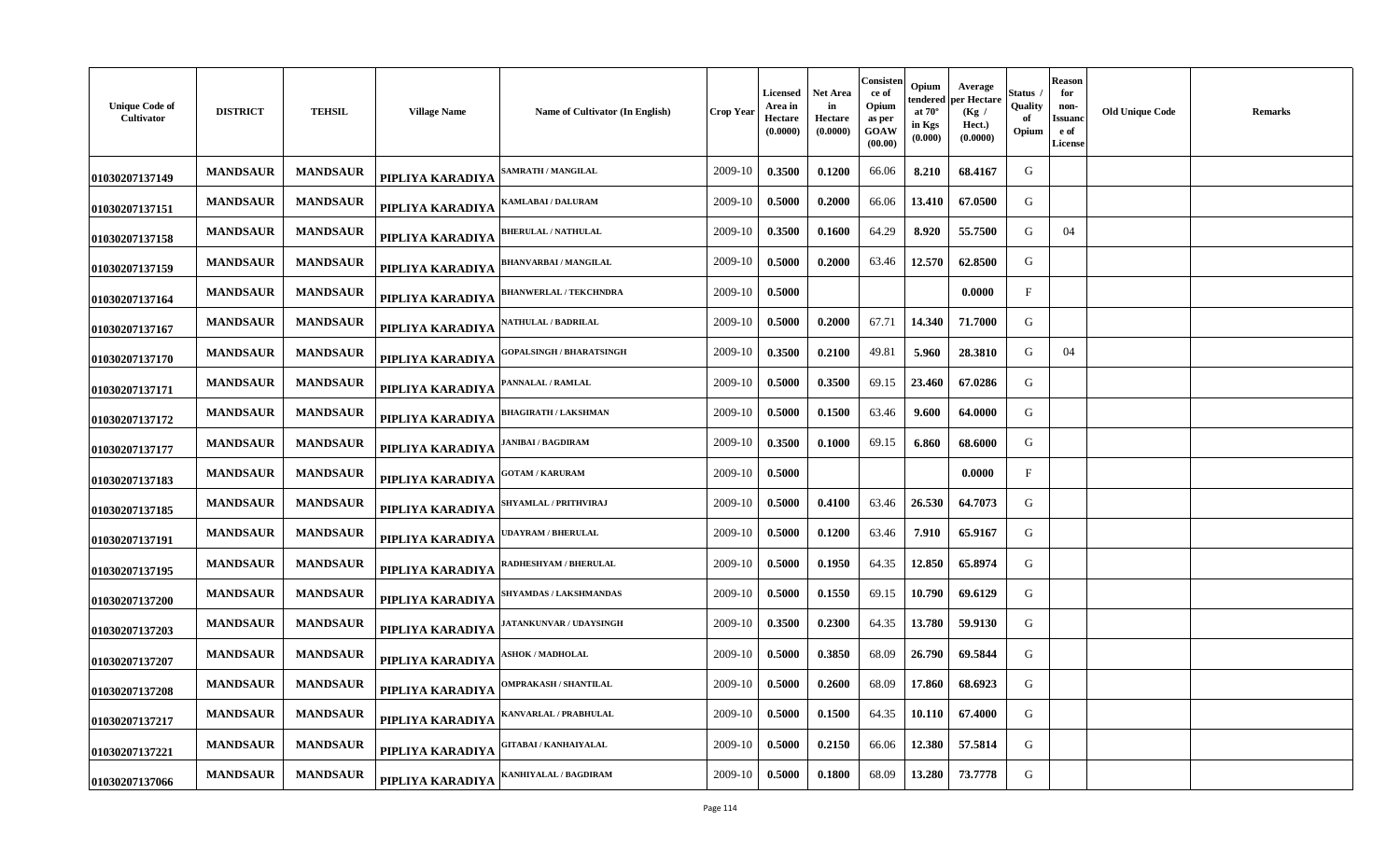| <b>Unique Code of</b><br>Cultivator | <b>DISTRICT</b> | <b>TEHSIL</b>   | <b>Village Name</b> | Name of Cultivator (In English) | <b>Crop Year</b> | Licensed<br>Area in<br>Hectare<br>(0.0000) | Net Area<br>in<br>Hectare<br>(0.0000) | Consisten<br>ce of<br>Opium<br>as per<br>GOAW<br>(00.00) | Opium<br>tendered<br>at $70^\circ$<br>in Kgs<br>(0.000) | Average<br>per Hectare<br>(Kg)<br>Hect.)<br>(0.0000) | Status<br>Quality<br>of<br>Opium | <b>Reason</b><br>for<br>non-<br>Issuanc<br>e of<br><b>License</b> | <b>Old Unique Code</b> | <b>Remarks</b> |
|-------------------------------------|-----------------|-----------------|---------------------|---------------------------------|------------------|--------------------------------------------|---------------------------------------|----------------------------------------------------------|---------------------------------------------------------|------------------------------------------------------|----------------------------------|-------------------------------------------------------------------|------------------------|----------------|
| 01030207137149                      | <b>MANDSAUR</b> | <b>MANDSAUR</b> | PIPLIYA KARADIYA    | <b>AMRATH / MANGILAL</b>        | 2009-10          | 0.3500                                     | 0.1200                                | 66.06                                                    | 8.210                                                   | 68.4167                                              | G                                |                                                                   |                        |                |
| 01030207137151                      | <b>MANDSAUR</b> | <b>MANDSAUR</b> | PIPLIYA KARADIYA    | <b>(AMLABAI / DALURAM</b>       | 2009-10          | 0.5000                                     | 0.2000                                | 66.06                                                    | 13.410                                                  | 67.0500                                              | G                                |                                                                   |                        |                |
| 01030207137158                      | <b>MANDSAUR</b> | <b>MANDSAUR</b> | PIPLIYA KARADIYA    | <b>BHERULAL / NATHULAL</b>      | 2009-10          | 0.3500                                     | 0.1600                                | 64.29                                                    | 8.920                                                   | 55.7500                                              | G                                | 04                                                                |                        |                |
| 01030207137159                      | <b>MANDSAUR</b> | <b>MANDSAUR</b> | PIPLIYA KARADIYA    | <b>BHANVARBAI / MANGILAL</b>    | 2009-10          | 0.5000                                     | 0.2000                                | 63.46                                                    | 12.570                                                  | 62.8500                                              | G                                |                                                                   |                        |                |
| 01030207137164                      | <b>MANDSAUR</b> | <b>MANDSAUR</b> | PIPLIYA KARADIYA    | <b>BHANWERLAL / TEKCHNDRA</b>   | 2009-10          | 0.5000                                     |                                       |                                                          |                                                         | 0.0000                                               | $_{\rm F}$                       |                                                                   |                        |                |
| 01030207137167                      | <b>MANDSAUR</b> | <b>MANDSAUR</b> | PIPLIYA KARADIYA    | <b>ATHULAL / BADRILAL</b>       | 2009-10          | 0.5000                                     | 0.2000                                | 67.71                                                    | 14.340                                                  | 71.7000                                              | G                                |                                                                   |                        |                |
| 01030207137170                      | <b>MANDSAUR</b> | <b>MANDSAUR</b> | PIPLIYA KARADIYA    | <b>GOPALSINGH / BHARATSINGH</b> | 2009-10          | 0.3500                                     | 0.2100                                | 49.81                                                    | 5.960                                                   | 28.3810                                              | G                                | 04                                                                |                        |                |
| 01030207137171                      | <b>MANDSAUR</b> | <b>MANDSAUR</b> | PIPLIYA KARADIYA    | <b>PANNALAL / RAMLAL</b>        | 2009-10          | 0.5000                                     | 0.3500                                | 69.15                                                    | 23.460                                                  | 67.0286                                              | G                                |                                                                   |                        |                |
| 01030207137172                      | <b>MANDSAUR</b> | <b>MANDSAUR</b> | PIPLIYA KARADIYA    | <b>BHAGIRATH / LAKSHMAN</b>     | 2009-10          | 0.5000                                     | 0.1500                                | 63.46                                                    | 9.600                                                   | 64.0000                                              | G                                |                                                                   |                        |                |
| 01030207137177                      | <b>MANDSAUR</b> | <b>MANDSAUR</b> | PIPLIYA KARADIYA    | <b>JANIBAI / BAGDIRAM</b>       | 2009-10          | 0.3500                                     | 0.1000                                | 69.15                                                    | 6.860                                                   | 68.6000                                              | G                                |                                                                   |                        |                |
| 01030207137183                      | <b>MANDSAUR</b> | <b>MANDSAUR</b> | PIPLIYA KARADIYA    | <b>GOTAM / KARURAM</b>          | 2009-10          | 0.5000                                     |                                       |                                                          |                                                         | 0.0000                                               | $\mathbf{F}$                     |                                                                   |                        |                |
| 01030207137185                      | <b>MANDSAUR</b> | <b>MANDSAUR</b> | PIPLIYA KARADIYA    | SHYAMLAL / PRITHVIRAJ           | 2009-10          | 0.5000                                     | 0.4100                                | 63.46                                                    | 26.530                                                  | 64.7073                                              | G                                |                                                                   |                        |                |
| 01030207137191                      | <b>MANDSAUR</b> | <b>MANDSAUR</b> | PIPLIYA KARADIYA    | <b>JDAYRAM / BHERULAL</b>       | 2009-10          | 0.5000                                     | 0.1200                                | 63.46                                                    | 7.910                                                   | 65.9167                                              | G                                |                                                                   |                        |                |
| 01030207137195                      | <b>MANDSAUR</b> | <b>MANDSAUR</b> | PIPLIYA KARADIYA    | <b>ADHESHYAM / BHERULAL</b>     | 2009-10          | 0.5000                                     | 0.1950                                | 64.35                                                    | 12.850                                                  | 65.8974                                              | G                                |                                                                   |                        |                |
| 01030207137200                      | <b>MANDSAUR</b> | <b>MANDSAUR</b> | PIPLIYA KARADIYA    | <b>SHYAMDAS / LAKSHMANDAS</b>   | 2009-10          | 0.5000                                     | 0.1550                                | 69.15                                                    | 10.790                                                  | 69.6129                                              | G                                |                                                                   |                        |                |
| 01030207137203                      | <b>MANDSAUR</b> | <b>MANDSAUR</b> | PIPLIYA KARADIYA    | ATANKUNVAR / UDAYSINGH          | 2009-10          | 0.3500                                     | 0.2300                                | 64.35                                                    | 13.780                                                  | 59.9130                                              | G                                |                                                                   |                        |                |
| 01030207137207                      | <b>MANDSAUR</b> | <b>MANDSAUR</b> | PIPLIYA KARADIYA    | <b>SHOK / MADHOLAL</b>          | 2009-10          | 0.5000                                     | 0.3850                                | 68.09                                                    | 26.790                                                  | 69.5844                                              | G                                |                                                                   |                        |                |
| 01030207137208                      | <b>MANDSAUR</b> | <b>MANDSAUR</b> | PIPLIYA KARADIYA    | <b>OMPRAKASH / SHANTILAL</b>    | 2009-10          | 0.5000                                     | 0.2600                                | 68.09                                                    | 17.860                                                  | 68.6923                                              | G                                |                                                                   |                        |                |
| 01030207137217                      | <b>MANDSAUR</b> | <b>MANDSAUR</b> | PIPLIYA KARADIYA    | ANVARLAL / PRABHULAL            | 2009-10          | 0.5000                                     | 0.1500                                | 64.35                                                    | 10.110                                                  | 67.4000                                              | G                                |                                                                   |                        |                |
| 01030207137221                      | <b>MANDSAUR</b> | <b>MANDSAUR</b> | PIPLIYA KARADIYA    | <b>GITABAI / KANHAIYALAL</b>    | 2009-10          | 0.5000                                     | 0.2150                                | 66.06                                                    | 12.380                                                  | 57.5814                                              | G                                |                                                                   |                        |                |
| 01030207137066                      | <b>MANDSAUR</b> | <b>MANDSAUR</b> | PIPLIYA KARADIYA    | <b>(ANHIYALAL / BAGDIRAM</b>    | 2009-10          | 0.5000                                     | 0.1800                                | 68.09                                                    | 13.280                                                  | 73.7778                                              | G                                |                                                                   |                        |                |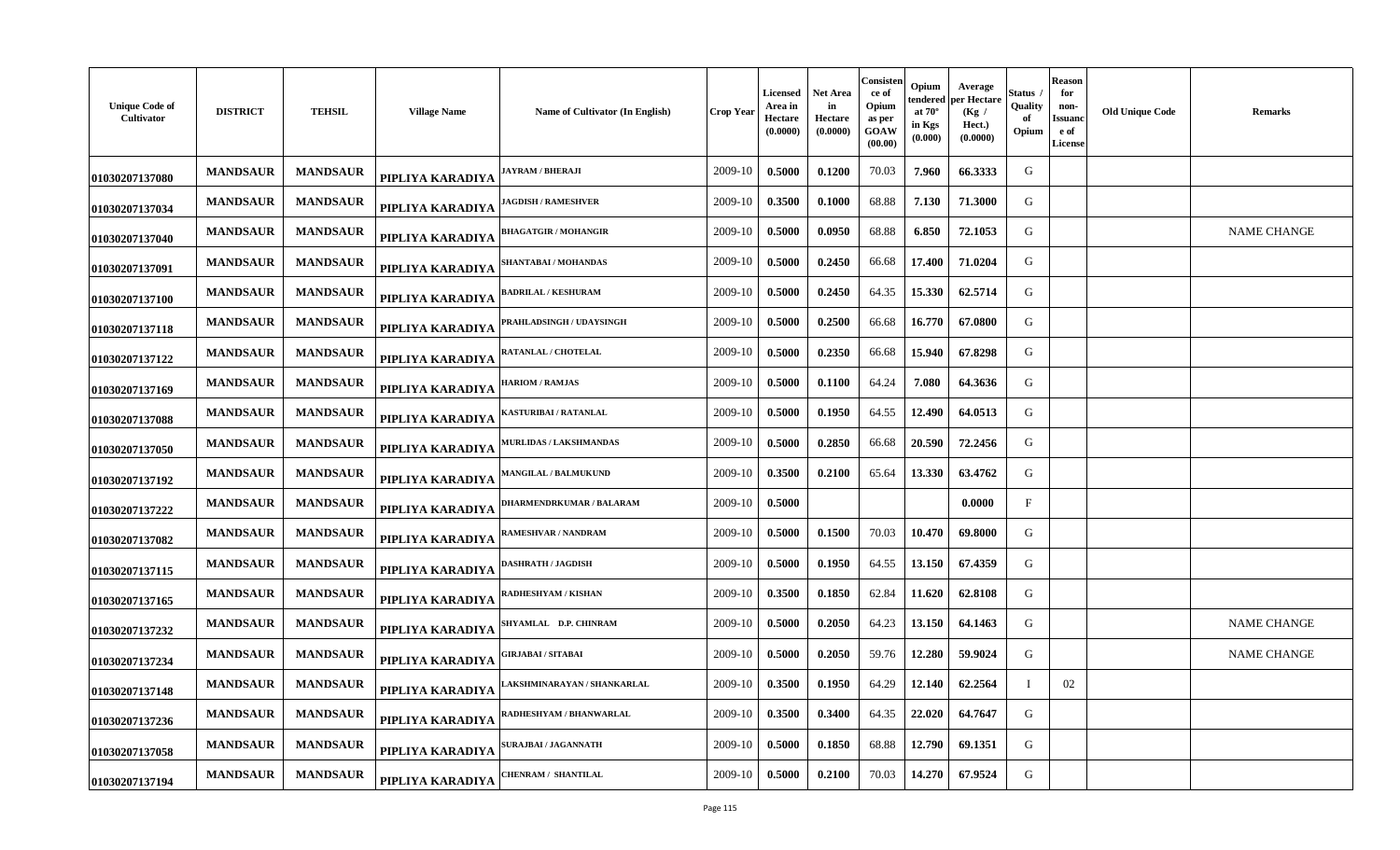| <b>Unique Code of</b><br>Cultivator | <b>DISTRICT</b> | <b>TEHSIL</b>   | <b>Village Name</b> | Name of Cultivator (In English) | Crop Year | Licensed<br>Area in<br>Hectare<br>(0.0000) | <b>Net Area</b><br>in<br>Hectare<br>(0.0000) | Consisten<br>ce of<br>Opium<br>as per<br>GOAW<br>(00.00) | Opium<br>endered<br>at $70^\circ$<br>in Kgs<br>(0.000) | Average<br>er Hectare<br>(Kg /<br>Hect.)<br>(0.0000) | štatus<br>Quality<br>of<br>Opium | Reason<br>for<br>non-<br><b>Issuanc</b><br>e of<br><b>License</b> | <b>Old Unique Code</b><br>Remarks |
|-------------------------------------|-----------------|-----------------|---------------------|---------------------------------|-----------|--------------------------------------------|----------------------------------------------|----------------------------------------------------------|--------------------------------------------------------|------------------------------------------------------|----------------------------------|-------------------------------------------------------------------|-----------------------------------|
| 01030207137080                      | <b>MANDSAUR</b> | <b>MANDSAUR</b> | PIPLIYA KARADIYA    | <b>JAYRAM / BHERAJI</b>         | 2009-10   | 0.5000                                     | 0.1200                                       | 70.03                                                    | 7.960                                                  | 66.3333                                              | G                                |                                                                   |                                   |
| 01030207137034                      | <b>MANDSAUR</b> | <b>MANDSAUR</b> | PIPLIYA KARADIYA    | <b>IAGDISH / RAMESHVER</b>      | 2009-10   | 0.3500                                     | 0.1000                                       | 68.88                                                    | 7.130                                                  | 71.3000                                              | G                                |                                                                   |                                   |
| 01030207137040                      | <b>MANDSAUR</b> | <b>MANDSAUR</b> | PIPLIYA KARADIYA    | <b>BHAGATGIR / MOHANGIR</b>     | 2009-10   | 0.5000                                     | 0.0950                                       | 68.88                                                    | 6.850                                                  | 72.1053                                              | G                                |                                                                   | NAME CHANGE                       |
| 01030207137091                      | <b>MANDSAUR</b> | <b>MANDSAUR</b> | PIPLIYA KARADIYA    | SHANTABAI / MOHANDAS            | 2009-10   | 0.5000                                     | 0.2450                                       | 66.68                                                    | 17.400                                                 | 71.0204                                              | G                                |                                                                   |                                   |
| 01030207137100                      | <b>MANDSAUR</b> | <b>MANDSAUR</b> | PIPLIYA KARADIYA    | <b>BADRILAL / KESHURAM</b>      | 2009-10   | 0.5000                                     | 0.2450                                       | 64.35                                                    | 15.330                                                 | 62.5714                                              | G                                |                                                                   |                                   |
| 01030207137118                      | <b>MANDSAUR</b> | <b>MANDSAUR</b> | PIPLIYA KARADIYA    | PRAHLADSINGH / UDAYSINGH        | 2009-10   | 0.5000                                     | 0.2500                                       | 66.68                                                    | 16.770                                                 | 67.0800                                              | G                                |                                                                   |                                   |
| 01030207137122                      | <b>MANDSAUR</b> | <b>MANDSAUR</b> | PIPLIYA KARADIYA    | RATANLAL / CHOTELAL             | 2009-10   | 0.5000                                     | 0.2350                                       | 66.68                                                    | 15.940                                                 | 67.8298                                              | G                                |                                                                   |                                   |
| 01030207137169                      | <b>MANDSAUR</b> | <b>MANDSAUR</b> | PIPLIYA KARADIYA    | <b>HARIOM / RAMJAS</b>          | 2009-10   | 0.5000                                     | 0.1100                                       | 64.24                                                    | 7.080                                                  | 64.3636                                              | G                                |                                                                   |                                   |
| 01030207137088                      | <b>MANDSAUR</b> | <b>MANDSAUR</b> | PIPLIYA KARADIYA    | KASTURIBAI / RATANLAL           | 2009-10   | 0.5000                                     | 0.1950                                       | 64.55                                                    | 12.490                                                 | 64.0513                                              | G                                |                                                                   |                                   |
| 01030207137050                      | <b>MANDSAUR</b> | <b>MANDSAUR</b> | PIPLIYA KARADIYA    | MURLIDAS / LAKSHMANDAS          | 2009-10   | 0.5000                                     | 0.2850                                       | 66.68                                                    | 20.590                                                 | 72.2456                                              | G                                |                                                                   |                                   |
| 01030207137192                      | <b>MANDSAUR</b> | <b>MANDSAUR</b> | PIPLIYA KARADIYA    | <b>MANGILAL / BALMUKUND</b>     | 2009-10   | 0.3500                                     | 0.2100                                       | 65.64                                                    | 13.330                                                 | 63.4762                                              | G                                |                                                                   |                                   |
| 01030207137222                      | <b>MANDSAUR</b> | <b>MANDSAUR</b> | PIPLIYA KARADIYA    | DHARMENDRKUMAR / BALARAM        | 2009-10   | 0.5000                                     |                                              |                                                          |                                                        | 0.0000                                               | $_{\rm F}$                       |                                                                   |                                   |
| 01030207137082                      | <b>MANDSAUR</b> | <b>MANDSAUR</b> | PIPLIYA KARADIYA    | RAMESHVAR / NANDRAM             | 2009-10   | 0.5000                                     | 0.1500                                       | 70.03                                                    | 10.470                                                 | 69.8000                                              | G                                |                                                                   |                                   |
| 01030207137115                      | <b>MANDSAUR</b> | <b>MANDSAUR</b> | PIPLIYA KARADIYA    | <b>DASHRATH / JAGDISH</b>       | 2009-10   | 0.5000                                     | 0.1950                                       | 64.55                                                    | 13.150                                                 | 67.4359                                              | G                                |                                                                   |                                   |
| 01030207137165                      | <b>MANDSAUR</b> | <b>MANDSAUR</b> | PIPLIYA KARADIYA    | RADHESHYAM / KISHAN             | 2009-10   | 0.3500                                     | 0.1850                                       | 62.84                                                    | 11.620                                                 | 62.8108                                              | G                                |                                                                   |                                   |
| 01030207137232                      | <b>MANDSAUR</b> | <b>MANDSAUR</b> | PIPLIYA KARADIYA    | SHYAMLAL D.P. CHINRAM           | 2009-10   | 0.5000                                     | 0.2050                                       | 64.23                                                    | 13.150                                                 | 64.1463                                              | G                                |                                                                   | <b>NAME CHANGE</b>                |
| 01030207137234                      | <b>MANDSAUR</b> | <b>MANDSAUR</b> | PIPLIYA KARADIYA    | <b>GIRJABAI / SITABAI</b>       | 2009-10   | 0.5000                                     | 0.2050                                       | 59.76                                                    | 12.280                                                 | 59.9024                                              | G                                |                                                                   | <b>NAME CHANGE</b>                |
| 01030207137148                      | <b>MANDSAUR</b> | <b>MANDSAUR</b> | PIPLIYA KARADIYA    | LAKSHMINARAYAN / SHANKARLAL     | 2009-10   | 0.3500                                     | 0.1950                                       | 64.29                                                    | 12.140                                                 | 62.2564                                              | $\mathbf I$                      | 02                                                                |                                   |
| 01030207137236                      | <b>MANDSAUR</b> | <b>MANDSAUR</b> | PIPLIYA KARADIYA    | RADHESHYAM / BHANWARLAL         | 2009-10   | 0.3500                                     | 0.3400                                       | 64.35                                                    | 22.020                                                 | 64.7647                                              | G                                |                                                                   |                                   |
| 01030207137058                      | <b>MANDSAUR</b> | <b>MANDSAUR</b> | PIPLIYA KARADIYA    | SURAJBAI / JAGANNATH            | 2009-10   | 0.5000                                     | 0.1850                                       | 68.88                                                    | 12.790                                                 | 69.1351                                              | G                                |                                                                   |                                   |
| 01030207137194                      | <b>MANDSAUR</b> | <b>MANDSAUR</b> | PIPLIYA KARADIYA    | <b>CHENRAM / SHANTILAL</b>      | 2009-10   | 0.5000                                     | 0.2100                                       | 70.03                                                    | 14.270                                                 | 67.9524                                              | G                                |                                                                   |                                   |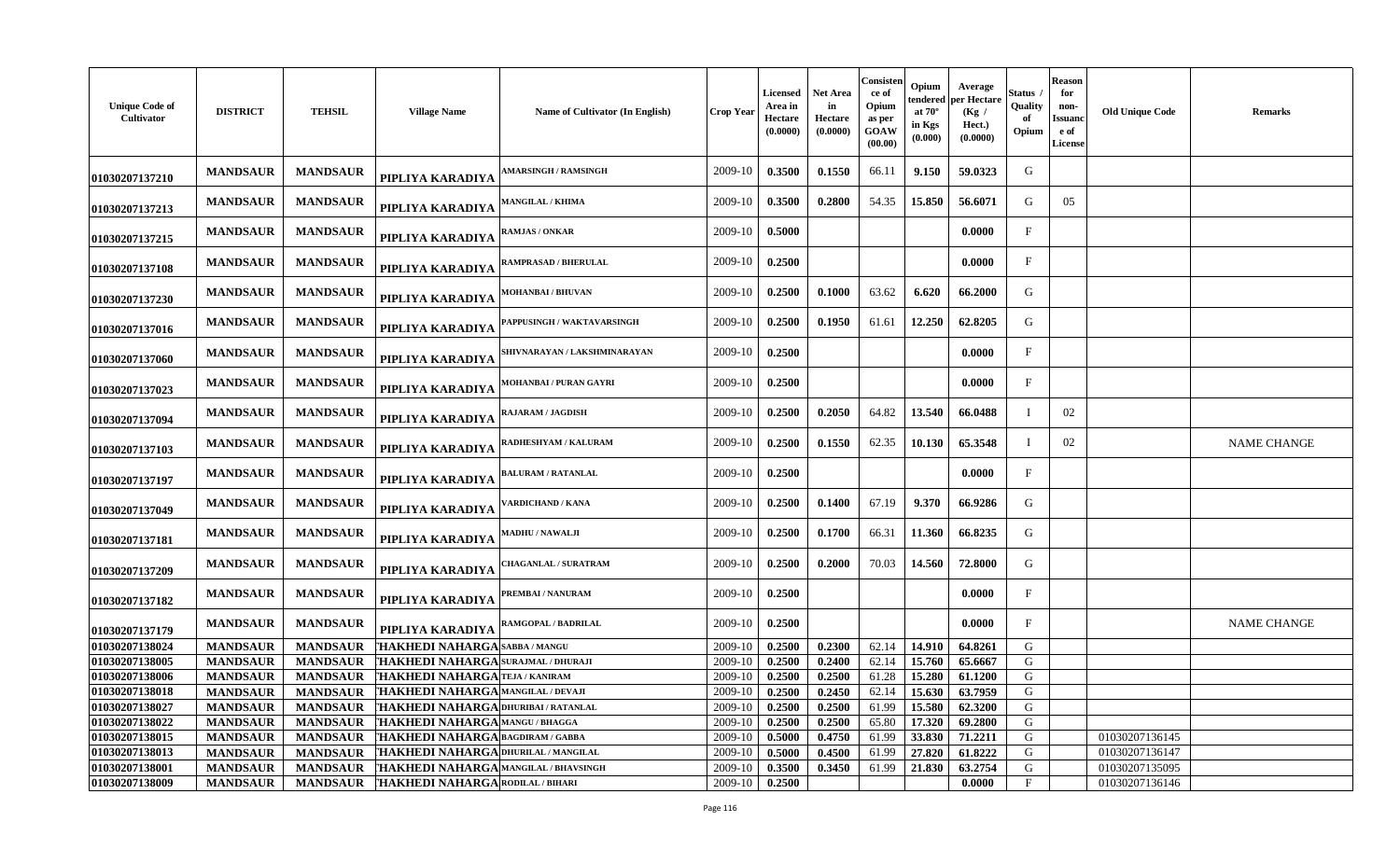| <b>Unique Code of</b><br>Cultivator | <b>DISTRICT</b> | <b>TEHSIL</b>   | <b>Village Name</b>                       | Name of Cultivator (In English) | <b>Crop Year</b> | <b>Licensed</b><br>Area in<br>Hectare<br>(0.0000) | <b>Net Area</b><br>in<br>Hectare<br>(0.0000) | Consisten<br>ce of<br>Opium<br>as per<br>GOAW<br>(00.00) | Opium<br>tendered<br>at $70^\circ$<br>in Kgs<br>(0.000) | Average<br>er Hectare<br>(Kg)<br>Hect.)<br>(0.0000) | Status<br>Quality<br>of<br>Opium | <b>Reason</b><br>for<br>non-<br>Issuand<br>e of<br><b>License</b> | <b>Old Unique Code</b> | Remarks            |
|-------------------------------------|-----------------|-----------------|-------------------------------------------|---------------------------------|------------------|---------------------------------------------------|----------------------------------------------|----------------------------------------------------------|---------------------------------------------------------|-----------------------------------------------------|----------------------------------|-------------------------------------------------------------------|------------------------|--------------------|
| 01030207137210                      | <b>MANDSAUR</b> | <b>MANDSAUR</b> | PIPLIYA KARADIYA                          | <b>AMARSINGH / RAMSINGH</b>     | 2009-10          | 0.3500                                            | 0.1550                                       | 66.11                                                    | 9.150                                                   | 59.0323                                             | G                                |                                                                   |                        |                    |
| 01030207137213                      | <b>MANDSAUR</b> | <b>MANDSAUR</b> | PIPLIYA KARADIYA                          | <b>AANGILAL / KHIMA</b>         | 2009-10          | 0.3500                                            | 0.2800                                       | 54.35                                                    | 15.850                                                  | 56.6071                                             | G                                | 05                                                                |                        |                    |
| 01030207137215                      | <b>MANDSAUR</b> | <b>MANDSAUR</b> | PIPLIYA KARADIYA                          | <b>AMJAS / ONKAR</b>            | 2009-10          | 0.5000                                            |                                              |                                                          |                                                         | 0.0000                                              | F                                |                                                                   |                        |                    |
| 01030207137108                      | <b>MANDSAUR</b> | <b>MANDSAUR</b> | PIPLIYA KARADIYA                          | RAMPRASAD / BHERULAL            | 2009-10          | 0.2500                                            |                                              |                                                          |                                                         | 0.0000                                              | $\mathbf{F}$                     |                                                                   |                        |                    |
| 01030207137230                      | <b>MANDSAUR</b> | <b>MANDSAUR</b> | PIPLIYA KARADIYA                          | <b>MOHANBAI / BHUVAN</b>        | 2009-10          | 0.2500                                            | 0.1000                                       | 63.62                                                    | 6.620                                                   | 66.2000                                             | G                                |                                                                   |                        |                    |
| 01030207137016                      | <b>MANDSAUR</b> | <b>MANDSAUR</b> | PIPLIYA KARADIYA                          | APPUSINGH / WAKTAVARSINGH       | 2009-10          | 0.2500                                            | 0.1950                                       | 61.61                                                    | 12.250                                                  | 62.8205                                             | G                                |                                                                   |                        |                    |
| 01030207137060                      | <b>MANDSAUR</b> | <b>MANDSAUR</b> | PIPLIYA KARADIYA                          | SHIVNARAYAN / LAKSHMINARAYAN    | 2009-10          | 0.2500                                            |                                              |                                                          |                                                         | 0.0000                                              | F                                |                                                                   |                        |                    |
| 01030207137023                      | <b>MANDSAUR</b> | <b>MANDSAUR</b> | PIPLIYA KARADIYA                          | MOHANBAI / PURAN GAYRI          | 2009-10          | 0.2500                                            |                                              |                                                          |                                                         | 0.0000                                              | $_{\rm F}$                       |                                                                   |                        |                    |
| 01030207137094                      | <b>MANDSAUR</b> | <b>MANDSAUR</b> | PIPLIYA KARADIYA                          | RAJARAM / JAGDISH               | 2009-10          | 0.2500                                            | 0.2050                                       | 64.82                                                    | 13.540                                                  | 66.0488                                             |                                  | 02                                                                |                        |                    |
| 01030207137103                      | <b>MANDSAUR</b> | <b>MANDSAUR</b> | PIPLIYA KARADIYA                          | <b>ADHESHYAM / KALURAM</b>      | 2009-10          | 0.2500                                            | 0.1550                                       | 62.35                                                    | 10.130                                                  | 65.3548                                             |                                  | 02                                                                |                        | <b>NAME CHANGE</b> |
| 01030207137197                      | <b>MANDSAUR</b> | <b>MANDSAUR</b> | PIPLIYA KARADIYA                          | ALURAM / RATANLAL               | 2009-10          | 0.2500                                            |                                              |                                                          |                                                         | 0.0000                                              | F                                |                                                                   |                        |                    |
| 01030207137049                      | <b>MANDSAUR</b> | <b>MANDSAUR</b> | PIPLIYA KARADIYA                          | <b>/ARDICHAND / KANA</b>        | 2009-10          | 0.2500                                            | 0.1400                                       | 67.19                                                    | 9.370                                                   | 66.9286                                             | G                                |                                                                   |                        |                    |
| 01030207137181                      | <b>MANDSAUR</b> | <b>MANDSAUR</b> | PIPLIYA KARADIYA                          | MADHU / NAWALJI                 | 2009-10          | 0.2500                                            | 0.1700                                       | 66.31                                                    | 11.360                                                  | 66.8235                                             | G                                |                                                                   |                        |                    |
| 01030207137209                      | <b>MANDSAUR</b> | <b>MANDSAUR</b> | PIPLIYA KARADIYA                          | <b>HAGANLAL / SURATRAM</b>      | 2009-10          | 0.2500                                            | 0.2000                                       | 70.03                                                    | 14.560                                                  | 72.8000                                             | G                                |                                                                   |                        |                    |
| 01030207137182                      | <b>MANDSAUR</b> | <b>MANDSAUR</b> | PIPLIYA KARADIYA                          | <b>PREMBAI / NANURAM</b>        | 2009-10          | 0.2500                                            |                                              |                                                          |                                                         | 0.0000                                              | F                                |                                                                   |                        |                    |
| 01030207137179                      | <b>MANDSAUR</b> | <b>MANDSAUR</b> | PIPLIYA KARADIYA                          | RAMGOPAL / BADRILAL             | 2009-10          | 0.2500                                            |                                              |                                                          |                                                         | 0.0000                                              | F                                |                                                                   |                        | <b>NAME CHANGE</b> |
| 01030207138024                      | <b>MANDSAUR</b> | <b>MANDSAUR</b> | ['HAKHEDI NAHARGA                         | <b>SABBA / MANGU</b>            | 2009-10          | 0.2500                                            | 0.2300                                       | 62.14                                                    | 14.910                                                  | 64.8261                                             | G                                |                                                                   |                        |                    |
| 01030207138005                      | <b>MANDSAUR</b> | <b>MANDSAUR</b> | 'HAKHEDI NAHARGA                          | <b>SURAJMAL / DHURAJI</b>       | 2009-10          | 0.2500                                            | 0.2400                                       | 62.14                                                    | 15.760                                                  | 65.6667                                             | G                                |                                                                   |                        |                    |
| 01030207138006                      | <b>MANDSAUR</b> | <b>MANDSAUR</b> | THAKHEDI NAHARGA TEJA / KANIRAM           |                                 | 2009-10          | 0.2500                                            | 0.2500                                       | 61.28                                                    | 15.280                                                  | 61.1200                                             | G                                |                                                                   |                        |                    |
| 01030207138018                      | MANDSAUR        | <b>MANDSAUR</b> | <b>THAKHEDI NAHARGA MANGILAL / DEVAJI</b> |                                 |                  | $2009-10$ 0.2500                                  | 0.2450                                       |                                                          |                                                         | 62.14   15.630   63.7959                            | G                                |                                                                   |                        |                    |
| 01030207138027                      | <b>MANDSAUR</b> | <b>MANDSAUR</b> | THAKHEDI NAHARGA DHURIBAI / RATANLAL      |                                 | 2009-10          | 0.2500                                            | 0.2500                                       | 61.99                                                    | 15.580                                                  | 62.3200                                             | G                                |                                                                   |                        |                    |
| 01030207138022                      | <b>MANDSAUR</b> | <b>MANDSAUR</b> | THAKHEDI NAHARGA MANGU/BHAGGA             |                                 | 2009-10          | 0.2500                                            | 0.2500                                       | 65.80                                                    | 17.320                                                  | 69.2800                                             | G                                |                                                                   |                        |                    |
| 01030207138015                      | <b>MANDSAUR</b> | <b>MANDSAUR</b> | THAKHEDI NAHARGA BAGDIRAM / GABBA         |                                 | 2009-10          | 0.5000                                            | 0.4750                                       | 61.99                                                    | 33.830                                                  | 71.2211                                             | G                                |                                                                   | 01030207136145         |                    |
| 01030207138013                      | <b>MANDSAUR</b> | <b>MANDSAUR</b> | HAKHEDI NAHARGA DHURILAL / MANGILAL       |                                 | 2009-10          | 0.5000                                            | 0.4500                                       | 61.99                                                    | 27.820                                                  | 61.8222                                             | G                                |                                                                   | 01030207136147         |                    |
| 01030207138001                      | <b>MANDSAUR</b> | <b>MANDSAUR</b> | THAKHEDI NAHARGA MANGILAL / BHAVSINGH     |                                 | 2009-10          | 0.3500                                            | 0.3450                                       | 61.99                                                    | 21.830                                                  | 63.2754                                             | G                                |                                                                   | 01030207135095         |                    |
| 01030207138009                      | <b>MANDSAUR</b> | <b>MANDSAUR</b> | THAKHEDI NAHARGA RODILAL / BIHARI         |                                 | 2009-10          | 0.2500                                            |                                              |                                                          |                                                         | 0.0000                                              | $\mathbf F$                      |                                                                   | 01030207136146         |                    |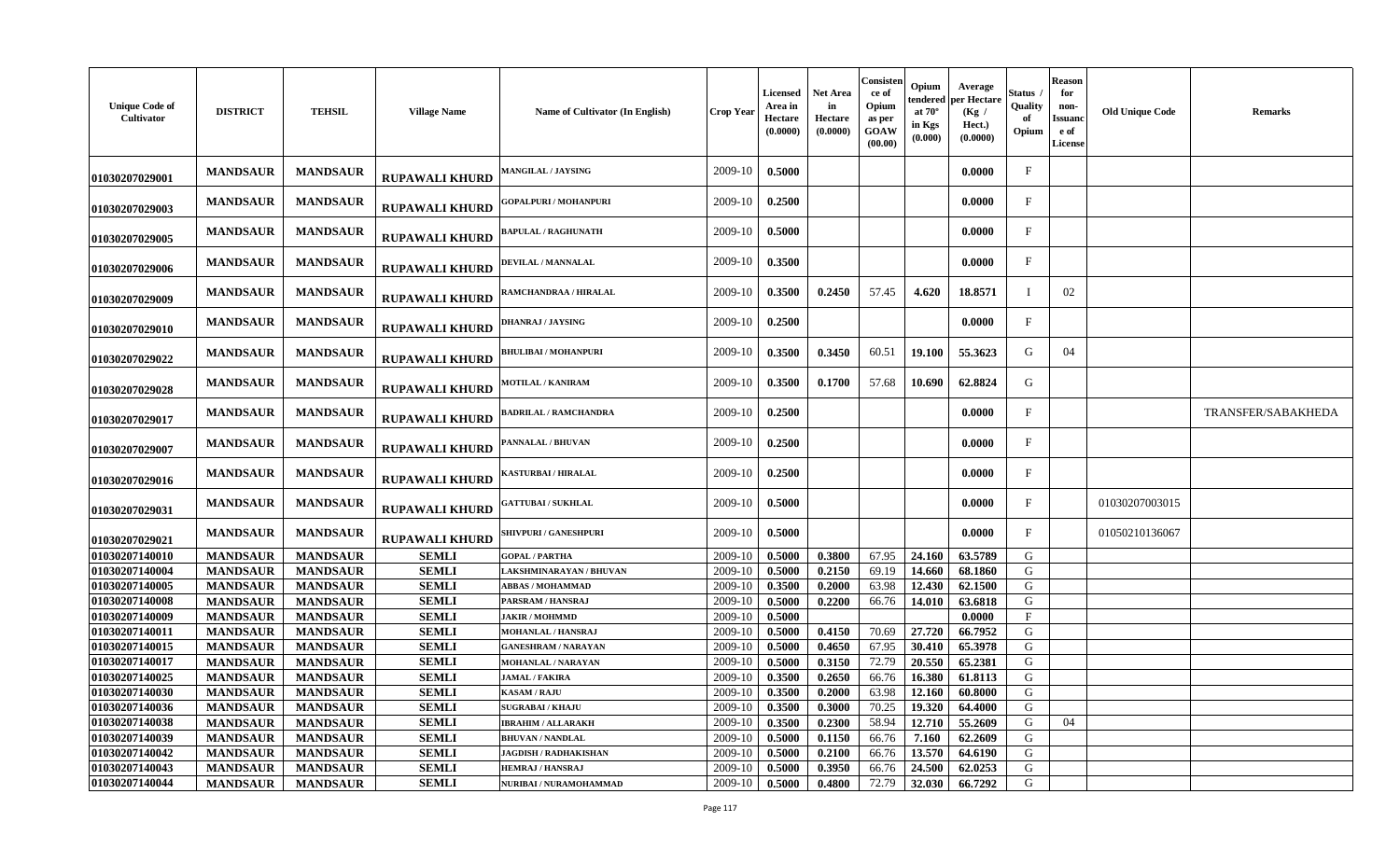| Consisten<br>Opium<br>Average<br><b>Net Area</b><br>Licensed<br>Status<br>ce of<br>per Hectare<br>tendered<br><b>Unique Code of</b><br>Quality<br>Area in<br>in<br>Opium<br><b>DISTRICT</b><br><b>TEHSIL</b><br><b>Village Name</b><br>Name of Cultivator (In English)<br>at $70^\circ$<br>Crop Year<br>(Kg)<br>Cultivator<br>Hectare<br>Hectare<br>as per<br>in Kgs<br>Hect.)<br>(0.0000)<br>(0.0000)<br>GOAW<br>Opium<br>(0.000)<br>(0.0000)<br>(00.00) | <b>Reason</b><br>for<br>non-<br><b>Old Unique Code</b><br><b>Remarks</b><br>Issuanc<br>e of<br><b>License</b> |
|-----------------------------------------------------------------------------------------------------------------------------------------------------------------------------------------------------------------------------------------------------------------------------------------------------------------------------------------------------------------------------------------------------------------------------------------------------------|---------------------------------------------------------------------------------------------------------------|
| 2009-10<br>0.5000<br>0.0000<br>$\mathbf{F}$<br><b>MANDSAUR</b><br><b>MANDSAUR</b><br><b>AANGILAL / JAYSING</b><br><b>RUPAWALI KHURD</b><br>01030207029001                                                                                                                                                                                                                                                                                                 |                                                                                                               |
| 0.2500<br><b>MANDSAUR</b><br><b>MANDSAUR</b><br>2009-10<br>0.0000<br>F<br><b>GOPALPURI / MOHANPURI</b><br><b>RUPAWALI KHURD</b><br>01030207029003                                                                                                                                                                                                                                                                                                         |                                                                                                               |
| 0.5000<br>0.0000<br><b>MANDSAUR</b><br><b>MANDSAUR</b><br>2009-10<br>F<br><b>APULAL / RAGHUNATH</b><br><b>RUPAWALI KHURD</b><br>01030207029005                                                                                                                                                                                                                                                                                                            |                                                                                                               |
| 2009-10<br>0.3500<br>$\mathbf{F}$<br><b>MANDSAUR</b><br><b>MANDSAUR</b><br>0.0000<br>DEVILAL / MANNALAL<br><b>RUPAWALI KHURD</b><br>01030207029006                                                                                                                                                                                                                                                                                                        |                                                                                                               |
| 2009-10<br>0.3500<br>57.45<br><b>MANDSAUR</b><br><b>MANDSAUR</b><br>0.2450<br>4.620<br>18.8571<br><b>AMCHANDRAA / HIRALAL</b><br><b>RUPAWALI KHURD</b><br>01030207029009                                                                                                                                                                                                                                                                                  | 02                                                                                                            |
| 2009-10<br>$\mathbf F$<br><b>MANDSAUR</b><br><b>MANDSAUR</b><br>0.2500<br>0.0000<br><b>DHANRAJ / JAYSING</b><br><b>RUPAWALI KHURD</b><br>01030207029010                                                                                                                                                                                                                                                                                                   |                                                                                                               |
| 2009-10<br>0.3450<br>60.51<br>G<br><b>MANDSAUR</b><br><b>MANDSAUR</b><br>0.3500<br>19.100<br>55.3623<br><b>BHULIBAI / MOHANPURI</b><br><b>RUPAWALI KHURD</b><br>01030207029022                                                                                                                                                                                                                                                                            | 04                                                                                                            |
| 2009-10<br>0.3500<br>0.1700<br>57.68<br>10.690<br>62.8824<br>G<br><b>MANDSAUR</b><br><b>MANDSAUR</b><br><b>MOTILAL / KANIRAM</b><br><b>RUPAWALI KHURD</b><br>01030207029028                                                                                                                                                                                                                                                                               |                                                                                                               |
| 0.2500<br>0.0000<br>$\mathbf{F}$<br><b>MANDSAUR</b><br><b>MANDSAUR</b><br>2009-10<br><b>ADRILAL / RAMCHANDRA</b><br><b>RUPAWALI KHURD</b><br>01030207029017                                                                                                                                                                                                                                                                                               | TRANSFER/SABAKHEDA                                                                                            |
| <b>MANDSAUR</b><br>2009-10<br>0.2500<br>0.0000<br>$\mathbf{F}$<br><b>MANDSAUR</b><br>ANNALAL / BHUVAN<br><b>RUPAWALI KHURD</b><br>01030207029007                                                                                                                                                                                                                                                                                                          |                                                                                                               |
| 0.2500<br>2009-10<br>0.0000<br>F<br><b>MANDSAUR</b><br><b>MANDSAUR</b><br>ASTURBAI / HIRALAL<br><b>RUPAWALI KHURD</b><br>01030207029016                                                                                                                                                                                                                                                                                                                   |                                                                                                               |
| 0.5000<br>0.0000<br>$_{\rm F}$<br><b>MANDSAUR</b><br><b>MANDSAUR</b><br>2009-10<br><b>;ATTUBAI / SUKHLAL</b><br><b>RUPAWALI KHURD</b><br>01030207029031                                                                                                                                                                                                                                                                                                   | 01030207003015                                                                                                |
| 0.5000<br>F<br><b>MANDSAUR</b><br><b>MANDSAUR</b><br>2009-10<br>0.0000<br><b>SHIVPURI / GANESHPURI</b><br><b>RUPAWALI KHURD</b><br>01030207029021                                                                                                                                                                                                                                                                                                         | 01050210136067                                                                                                |
| 01030207140010<br><b>MANDSAUR</b><br><b>MANDSAUR</b><br><b>SEMLI</b><br>2009-10<br>0.5000<br>0.3800<br>67.95<br>24.160<br>63.5789<br>G<br><b>GOPAL / PARTHA</b>                                                                                                                                                                                                                                                                                           |                                                                                                               |
| 01030207140004<br><b>MANDSAUR</b><br><b>SEMLI</b><br>0.5000<br>0.2150<br>69.19<br>14.660<br>68.1860<br>G<br><b>MANDSAUR</b><br>2009-10<br>LAKSHMINARAYAN / BHUVAN                                                                                                                                                                                                                                                                                         |                                                                                                               |
| 01030207140005<br><b>MANDSAUR</b><br><b>SEMLI</b><br>2009-10<br>0.3500<br>63.98<br>12.430<br>62.1500<br>G<br><b>MANDSAUR</b><br><b>ABBAS / MOHAMMAD</b><br>0.2000                                                                                                                                                                                                                                                                                         |                                                                                                               |
| 01030207140008<br><b>SEMLI</b><br>2009-10<br>66.76<br>G<br><b>MANDSAUR</b><br><b>MANDSAUR</b><br>PARSRAM / HANSRAJ<br>0.5000<br>0.2200<br>14.010<br>63.6818                                                                                                                                                                                                                                                                                               |                                                                                                               |
| 01030207140009<br><b>MANDSAUR</b><br><b>MANDSAUR</b><br><b>SEMLI</b><br>2009-10<br>0.5000<br>0.0000<br>$\mathbf{F}$<br><b>JAKIR / MOHMMD</b>                                                                                                                                                                                                                                                                                                              |                                                                                                               |
| 27.720<br>01030207140011<br><b>MANDSAUR</b><br><b>MANDSAUR</b><br><b>SEMLI</b><br>2009-10<br>0.5000<br>0.4150<br>70.69<br>66.7952<br>G<br>MOHANLAL / HANSRAJ<br>G<br>2009-10                                                                                                                                                                                                                                                                              |                                                                                                               |
| 01030207140015<br><b>SEMLI</b><br>67.95<br><b>MANDSAUR</b><br><b>MANDSAUR</b><br>0.5000<br>0.4650<br>30.410<br>65.3978<br><b>GANESHRAM / NARAYAN</b><br>72.79<br>${\bf G}$<br>01030207140017<br><b>SEMLI</b><br>2009-10<br>20.550<br>0.5000                                                                                                                                                                                                               |                                                                                                               |
| <b>MANDSAUR</b><br>65.2381<br><b>MANDSAUR</b><br>0.3150<br>MOHANLAL / NARAYAN<br>01030207140025<br><b>MANDSAUR</b><br><b>SEMLI</b><br>2009-10<br>66.76<br>G<br>0.3500<br>16.380<br>61.8113<br><b>JAMAL / FAKIRA</b>                                                                                                                                                                                                                                       |                                                                                                               |
| <b>MANDSAUR</b><br>0.2650<br>01030207140030<br><b>MANDSAUR</b><br><b>SEMLI</b><br>0.3500<br>G<br><b>MANDSAUR</b><br><b>KASAM / RAJU</b><br>2009-10<br>0.2000<br>63.98<br>12.160<br>60.8000                                                                                                                                                                                                                                                                |                                                                                                               |
| 0.3000<br>19.320<br>G<br>01030207140036<br><b>MANDSAUR</b><br><b>MANDSAUR</b><br><b>SEMLI</b><br>2009-10<br>0.3500<br>70.25<br>64.4000<br><b>SUGRABAI/KHAJU</b>                                                                                                                                                                                                                                                                                           |                                                                                                               |
| 01030207140038<br>58.94<br>12.710<br>55.2609<br><b>MANDSAUR</b><br><b>MANDSAUR</b><br><b>SEMLI</b><br><b>IBRAHIM / ALLARAKH</b><br>2009-10<br>0.3500<br>0.2300<br>G                                                                                                                                                                                                                                                                                       | 04                                                                                                            |
| 01030207140039<br><b>MANDSAUR</b><br><b>MANDSAUR</b><br><b>SEMLI</b><br>7.160<br>62.2609<br>G<br><b>BHUVAN / NANDLAL</b><br>2009-10<br>0.5000<br>0.1150<br>66.76                                                                                                                                                                                                                                                                                          |                                                                                                               |
| 01030207140042<br><b>MANDSAUR</b><br><b>MANDSAUR</b><br><b>SEMLI</b><br>0.5000<br>0.2100<br>13.570<br>64.6190<br>G<br>2009-10<br>66.76<br><b>JAGDISH / RADHAKISHAN</b>                                                                                                                                                                                                                                                                                    |                                                                                                               |
|                                                                                                                                                                                                                                                                                                                                                                                                                                                           |                                                                                                               |
| 01030207140043<br><b>MANDSAUR</b><br><b>MANDSAUR</b><br><b>SEMLI</b><br>0.5000<br>0.3950<br>24.500<br>62.0253<br>G<br>2009-10<br>66.76<br><b>HEMRAJ / HANSRAJ</b>                                                                                                                                                                                                                                                                                         |                                                                                                               |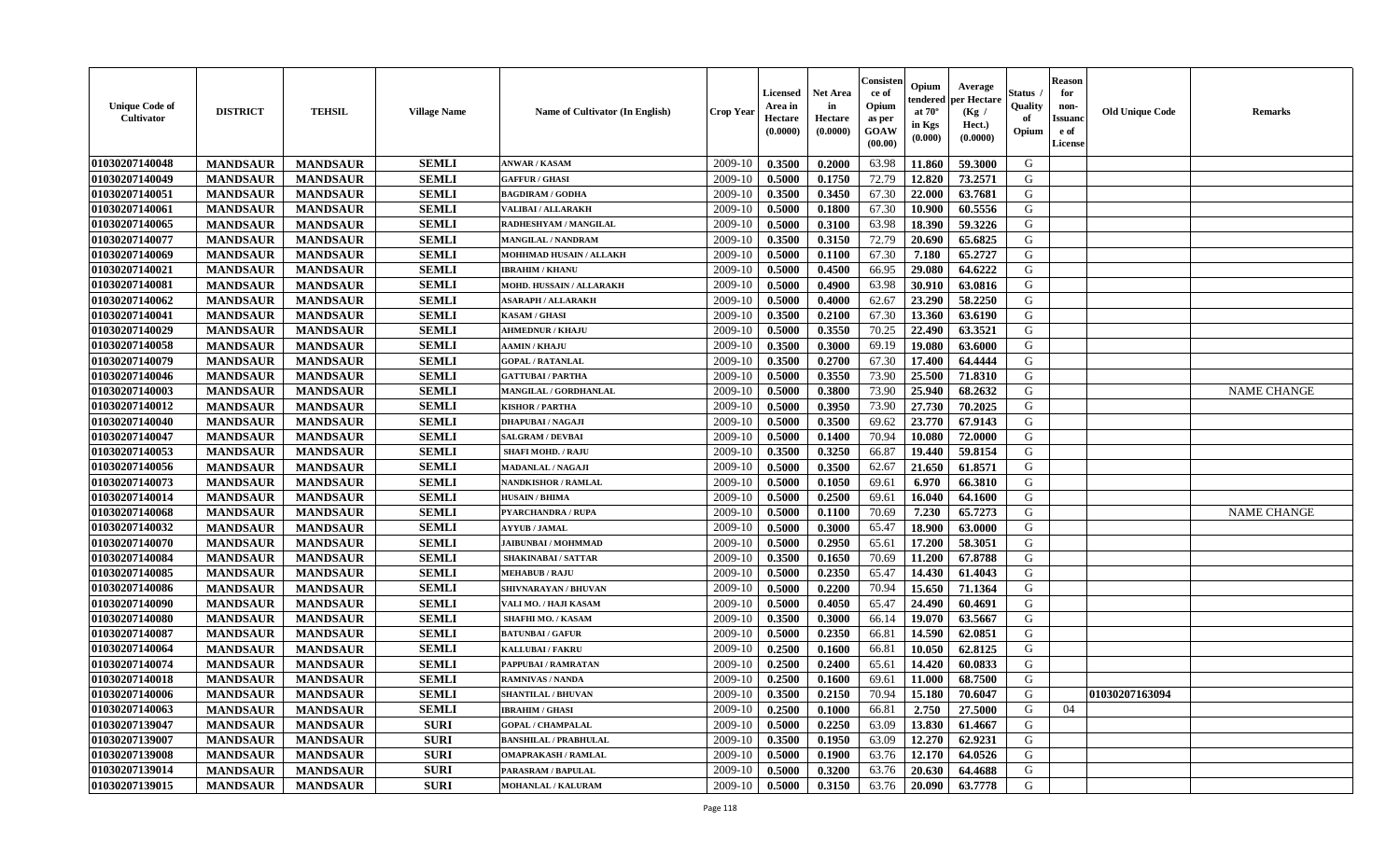| <b>Unique Code of</b><br><b>Cultivator</b> | <b>DISTRICT</b> | <b>TEHSIL</b>   | <b>Village Name</b> | <b>Name of Cultivator (In English)</b> | <b>Crop Year</b> | <b>Licensed</b><br>Area in<br>Hectare<br>(0.0000) | <b>Net Area</b><br>in<br>Hectare<br>(0.0000) | Consisteı<br>ce of<br>Opium<br>as per<br>GOAW<br>(00.00) | Opium<br>endered<br>at $70^\circ$<br>in Kgs<br>(0.000) | Average<br>per Hectare<br>(Kg /<br>Hect.)<br>(0.0000) | Status<br>Quality<br>of<br>Opium | <b>Reason</b><br>for<br>non-<br>Issuano<br>e of<br>License | <b>Old Unique Code</b> | Remarks            |
|--------------------------------------------|-----------------|-----------------|---------------------|----------------------------------------|------------------|---------------------------------------------------|----------------------------------------------|----------------------------------------------------------|--------------------------------------------------------|-------------------------------------------------------|----------------------------------|------------------------------------------------------------|------------------------|--------------------|
| 01030207140048                             | <b>MANDSAUR</b> | <b>MANDSAUR</b> | <b>SEMLI</b>        | <b>ANWAR / KASAM</b>                   | 2009-10          | 0.3500                                            | 0.2000                                       | 63.98                                                    | 11.860                                                 | 59.3000                                               | G                                |                                                            |                        |                    |
| 01030207140049                             | <b>MANDSAUR</b> | <b>MANDSAUR</b> | <b>SEMLI</b>        | <b>GAFFUR / GHASI</b>                  | 2009-10          | 0.5000                                            | 0.1750                                       | 72.79                                                    | 12.820                                                 | 73.2571                                               | G                                |                                                            |                        |                    |
| 01030207140051                             | <b>MANDSAUR</b> | <b>MANDSAUR</b> | <b>SEMLI</b>        | <b>BAGDIRAM / GODHA</b>                | 2009-10          | 0.3500                                            | 0.3450                                       | 67.30                                                    | 22.000                                                 | 63.7681                                               | G                                |                                                            |                        |                    |
| 01030207140061                             | <b>MANDSAUR</b> | <b>MANDSAUR</b> | <b>SEMLI</b>        | <b>VALIBAI/ALLARAKH</b>                | 2009-10          | 0.5000                                            | 0.1800                                       | 67.30                                                    | 10.900                                                 | 60.5556                                               | G                                |                                                            |                        |                    |
| 01030207140065                             | <b>MANDSAUR</b> | <b>MANDSAUR</b> | <b>SEMLI</b>        | RADHESHYAM / MANGILAL                  | 2009-10          | 0.5000                                            | 0.3100                                       | 63.98                                                    | 18.390                                                 | 59.3226                                               | G                                |                                                            |                        |                    |
| 01030207140077                             | <b>MANDSAUR</b> | <b>MANDSAUR</b> | <b>SEMLI</b>        | <b>MANGILAL / NANDRAM</b>              | 2009-10          | 0.3500                                            | 0.3150                                       | 72.79                                                    | 20.690                                                 | 65.6825                                               | G                                |                                                            |                        |                    |
| 01030207140069                             | <b>MANDSAUR</b> | <b>MANDSAUR</b> | <b>SEMLI</b>        | MOHHMAD HUSAIN / ALLAKH                | 2009-10          | 0.5000                                            | 0.1100                                       | 67.30                                                    | 7.180                                                  | 65.2727                                               | G                                |                                                            |                        |                    |
| 01030207140021                             | <b>MANDSAUR</b> | <b>MANDSAUR</b> | <b>SEMLI</b>        | <b>IBRAHIM / KHANU</b>                 | 2009-10          | 0.5000                                            | 0.4500                                       | 66.95                                                    | 29.080                                                 | 64.6222                                               | G                                |                                                            |                        |                    |
| 01030207140081                             | <b>MANDSAUR</b> | <b>MANDSAUR</b> | <b>SEMLI</b>        | MOHD. HUSSAIN / ALLARAKH               | 2009-10          | 0.5000                                            | 0.4900                                       | 63.98                                                    | 30.910                                                 | 63.0816                                               | G                                |                                                            |                        |                    |
| 01030207140062                             | <b>MANDSAUR</b> | <b>MANDSAUR</b> | <b>SEMLI</b>        | <b>ASARAPH / ALLARAKH</b>              | 2009-10          | 0.5000                                            | 0.4000                                       | 62.67                                                    | 23.290                                                 | 58.2250                                               | G                                |                                                            |                        |                    |
| 01030207140041                             | <b>MANDSAUR</b> | <b>MANDSAUR</b> | <b>SEMLI</b>        | <b>KASAM / GHASI</b>                   | 2009-10          | 0.3500                                            | 0.2100                                       | 67.30                                                    | 13.360                                                 | 63.6190                                               | G                                |                                                            |                        |                    |
| 01030207140029                             | <b>MANDSAUR</b> | <b>MANDSAUR</b> | <b>SEMLI</b>        | <b>AHMEDNUR / KHAJU</b>                | 2009-10          | 0.5000                                            | 0.3550                                       | 70.25                                                    | 22.490                                                 | 63.3521                                               | G                                |                                                            |                        |                    |
| 01030207140058                             | <b>MANDSAUR</b> | <b>MANDSAUR</b> | <b>SEMLI</b>        | <b>AAMIN / KHAJU</b>                   | 2009-10          | 0.3500                                            | 0.3000                                       | 69.19                                                    | 19.080                                                 | 63.6000                                               | G                                |                                                            |                        |                    |
| 01030207140079                             | <b>MANDSAUR</b> | <b>MANDSAUR</b> | <b>SEMLI</b>        | <b>GOPAL / RATANLAL</b>                | 2009-10          | 0.3500                                            | 0.2700                                       | 67.30                                                    | 17.400                                                 | 64.4444                                               | G                                |                                                            |                        |                    |
| 01030207140046                             | <b>MANDSAUR</b> | <b>MANDSAUR</b> | <b>SEMLI</b>        | <b>GATTUBAI/PARTHA</b>                 | 2009-10          | 0.5000                                            | 0.3550                                       | 73.90                                                    | 25.500                                                 | 71.8310                                               | $\mathbf G$                      |                                                            |                        |                    |
| 01030207140003                             | <b>MANDSAUR</b> | <b>MANDSAUR</b> | <b>SEMLI</b>        | MANGILAL / GORDHANLAL                  | 2009-10          | 0.5000                                            | 0.3800                                       | 73.90                                                    | 25.940                                                 | 68.2632                                               | G                                |                                                            |                        | <b>NAME CHANGE</b> |
| 01030207140012                             | <b>MANDSAUR</b> | <b>MANDSAUR</b> | <b>SEMLI</b>        | <b>KISHOR / PARTHA</b>                 | 2009-10          | 0.5000                                            | 0.3950                                       | 73.90                                                    | 27.730                                                 | 70.2025                                               | G                                |                                                            |                        |                    |
| 01030207140040                             | <b>MANDSAUR</b> | <b>MANDSAUR</b> | <b>SEMLI</b>        | <b>DHAPUBAI/NAGAJI</b>                 | 2009-10          | 0.5000                                            | 0.3500                                       | 69.62                                                    | 23.770                                                 | 67.9143                                               | G                                |                                                            |                        |                    |
| 01030207140047                             | <b>MANDSAUR</b> | <b>MANDSAUR</b> | <b>SEMLI</b>        | <b>SALGRAM / DEVBAI</b>                | 2009-10          | 0.5000                                            | 0.1400                                       | 70.94                                                    | 10.080                                                 | 72.0000                                               | G                                |                                                            |                        |                    |
| 01030207140053                             | <b>MANDSAUR</b> | <b>MANDSAUR</b> | <b>SEMLI</b>        | <b>SHAFI MOHD. / RAJU</b>              | 2009-10          | 0.3500                                            | 0.3250                                       | 66.87                                                    | 19.440                                                 | 59.8154                                               | G                                |                                                            |                        |                    |
| 01030207140056                             | <b>MANDSAUR</b> | <b>MANDSAUR</b> | <b>SEMLI</b>        | <b>MADANLAL / NAGAJI</b>               | 2009-10          | 0.5000                                            | 0.3500                                       | 62.67                                                    | 21.650                                                 | 61.8571                                               | G                                |                                                            |                        |                    |
| 01030207140073                             | <b>MANDSAUR</b> | <b>MANDSAUR</b> | <b>SEMLI</b>        | <b>NANDKISHOR / RAMLAL</b>             | 2009-10          | 0.5000                                            | 0.1050                                       | 69.61                                                    | 6.970                                                  | 66.3810                                               | G                                |                                                            |                        |                    |
| 01030207140014                             | <b>MANDSAUR</b> | <b>MANDSAUR</b> | <b>SEMLI</b>        | <b>HUSAIN / BHIMA</b>                  | 2009-10          | 0.5000                                            | 0.2500                                       | 69.61                                                    | 16.040                                                 | 64.1600                                               | G                                |                                                            |                        |                    |
| 01030207140068                             | <b>MANDSAUR</b> | <b>MANDSAUR</b> | <b>SEMLI</b>        | <b>PYARCHANDRA / RUPA</b>              | 2009-10          | 0.5000                                            | 0.1100                                       | 70.69                                                    | 7.230                                                  | 65.7273                                               | G                                |                                                            |                        | <b>NAME CHANGE</b> |
| 01030207140032                             | <b>MANDSAUR</b> | <b>MANDSAUR</b> | <b>SEMLI</b>        | <b>AYYUB / JAMAL</b>                   | 2009-10          | 0.5000                                            | 0.3000                                       | 65.47                                                    | 18.900                                                 | 63.0000                                               | G                                |                                                            |                        |                    |
| 01030207140070                             | <b>MANDSAUR</b> | <b>MANDSAUR</b> | <b>SEMLI</b>        | <b>JAIBUNBAI / MOHMMAD</b>             | 2009-10          | 0.5000                                            | 0.2950                                       | 65.61                                                    | 17.200                                                 | 58.3051                                               | G                                |                                                            |                        |                    |
| 01030207140084                             | <b>MANDSAUR</b> | <b>MANDSAUR</b> | <b>SEMLI</b>        | <b>SHAKINABAI/SATTAR</b>               | 2009-10          | 0.3500                                            | 0.1650                                       | 70.69                                                    | 11.200                                                 | 67.8788                                               | G                                |                                                            |                        |                    |
| 01030207140085                             | <b>MANDSAUR</b> | <b>MANDSAUR</b> | <b>SEMLI</b>        | <b>MEHABUB / RAJU</b>                  | 2009-10          | 0.5000                                            | 0.2350                                       | 65.47                                                    | 14.430                                                 | 61.4043                                               | G                                |                                                            |                        |                    |
| 01030207140086                             | <b>MANDSAUR</b> | <b>MANDSAUR</b> | <b>SEMLI</b>        | SHIVNARAYAN / BHUVAN                   | 2009-10          | 0.5000                                            | 0.2200                                       | 70.94                                                    | 15.650                                                 | 71.1364                                               | G                                |                                                            |                        |                    |
| 01030207140090                             | <b>MANDSAUR</b> | <b>MANDSAUR</b> | <b>SEMLI</b>        | VALI MO. / HAJI KASAM                  | 2009-10          | 0.5000                                            | 0.4050                                       | 65.47                                                    | 24.490                                                 | 60.4691                                               | G                                |                                                            |                        |                    |
| 01030207140080                             | <b>MANDSAUR</b> | <b>MANDSAUR</b> | <b>SEMLI</b>        | <b>SHAFHI MO. / KASAM</b>              | 2009-10          | 0.3500                                            | 0.3000                                       | 66.14                                                    | 19.070                                                 | 63.5667                                               | G                                |                                                            |                        |                    |
| 01030207140087                             | <b>MANDSAUR</b> | <b>MANDSAUR</b> | <b>SEMLI</b>        | <b>BATUNBAI/GAFUR</b>                  | 2009-10          | 0.5000                                            | 0.2350                                       | 66.81                                                    | 14.590                                                 | 62.0851                                               | G                                |                                                            |                        |                    |
| 01030207140064                             | <b>MANDSAUR</b> | <b>MANDSAUR</b> | <b>SEMLI</b>        | <b>KALLUBAI/FAKRU</b>                  | 2009-10          | 0.2500                                            | 0.1600                                       | 66.81                                                    | 10.050                                                 | 62.8125                                               | G                                |                                                            |                        |                    |
| 01030207140074                             | <b>MANDSAUR</b> | <b>MANDSAUR</b> | <b>SEMLI</b>        | PAPPUBAI / RAMRATAN                    | 2009-10          | 0.2500                                            | 0.2400                                       | 65.61                                                    | 14.420                                                 | 60.0833                                               | G                                |                                                            |                        |                    |
| 01030207140018                             | <b>MANDSAUR</b> | <b>MANDSAUR</b> | <b>SEMLI</b>        | <b>RAMNIVAS / NANDA</b>                | 2009-10          | 0.2500                                            | 0.1600                                       | 69.61                                                    | 11.000                                                 | 68.7500                                               | G                                |                                                            |                        |                    |
| 01030207140006                             | <b>MANDSAUR</b> | <b>MANDSAUR</b> | <b>SEMLI</b>        | <b>SHANTILAL / BHUVAN</b>              | 2009-10          | 0.3500                                            | 0.2150                                       | 70.94                                                    | 15.180                                                 | 70.6047                                               | G                                |                                                            | 01030207163094         |                    |
| 01030207140063                             | <b>MANDSAUR</b> | <b>MANDSAUR</b> | <b>SEMLI</b>        | <b>IBRAHIM / GHASI</b>                 | 2009-10          | 0.2500                                            | 0.1000                                       | 66.81                                                    | 2.750                                                  | 27.5000                                               | G                                | 04                                                         |                        |                    |
| 01030207139047                             | <b>MANDSAUR</b> | <b>MANDSAUR</b> | <b>SURI</b>         | <b>GOPAL / CHAMPALAL</b>               | 2009-10          | 0.5000                                            | 0.2250                                       | 63.09                                                    | 13.830                                                 | 61.4667                                               | G                                |                                                            |                        |                    |
| 01030207139007                             | <b>MANDSAUR</b> | <b>MANDSAUR</b> | <b>SURI</b>         | <b>BANSHILAL / PRABHULAL</b>           | 2009-10          | 0.3500                                            | 0.1950                                       | 63.09                                                    | 12.270                                                 | 62.9231                                               | G                                |                                                            |                        |                    |
| 01030207139008                             | <b>MANDSAUR</b> | <b>MANDSAUR</b> | <b>SURI</b>         | <b>OMAPRAKASH / RAMLAL</b>             | 2009-10          | 0.5000                                            | 0.1900                                       | 63.76                                                    | 12.170                                                 | 64.0526                                               | G                                |                                                            |                        |                    |
| 01030207139014                             | <b>MANDSAUR</b> | <b>MANDSAUR</b> | <b>SURI</b>         | PARASRAM / BAPULAL                     | 2009-10          | 0.5000                                            | 0.3200                                       | 63.76                                                    | 20.630                                                 | 64.4688                                               | G                                |                                                            |                        |                    |
| 01030207139015                             | <b>MANDSAUR</b> | <b>MANDSAUR</b> | <b>SURI</b>         | <b>MOHANLAL / KALURAM</b>              | 2009-10          | 0.5000                                            | 0.3150                                       | 63.76                                                    | 20.090                                                 | 63.7778                                               | G                                |                                                            |                        |                    |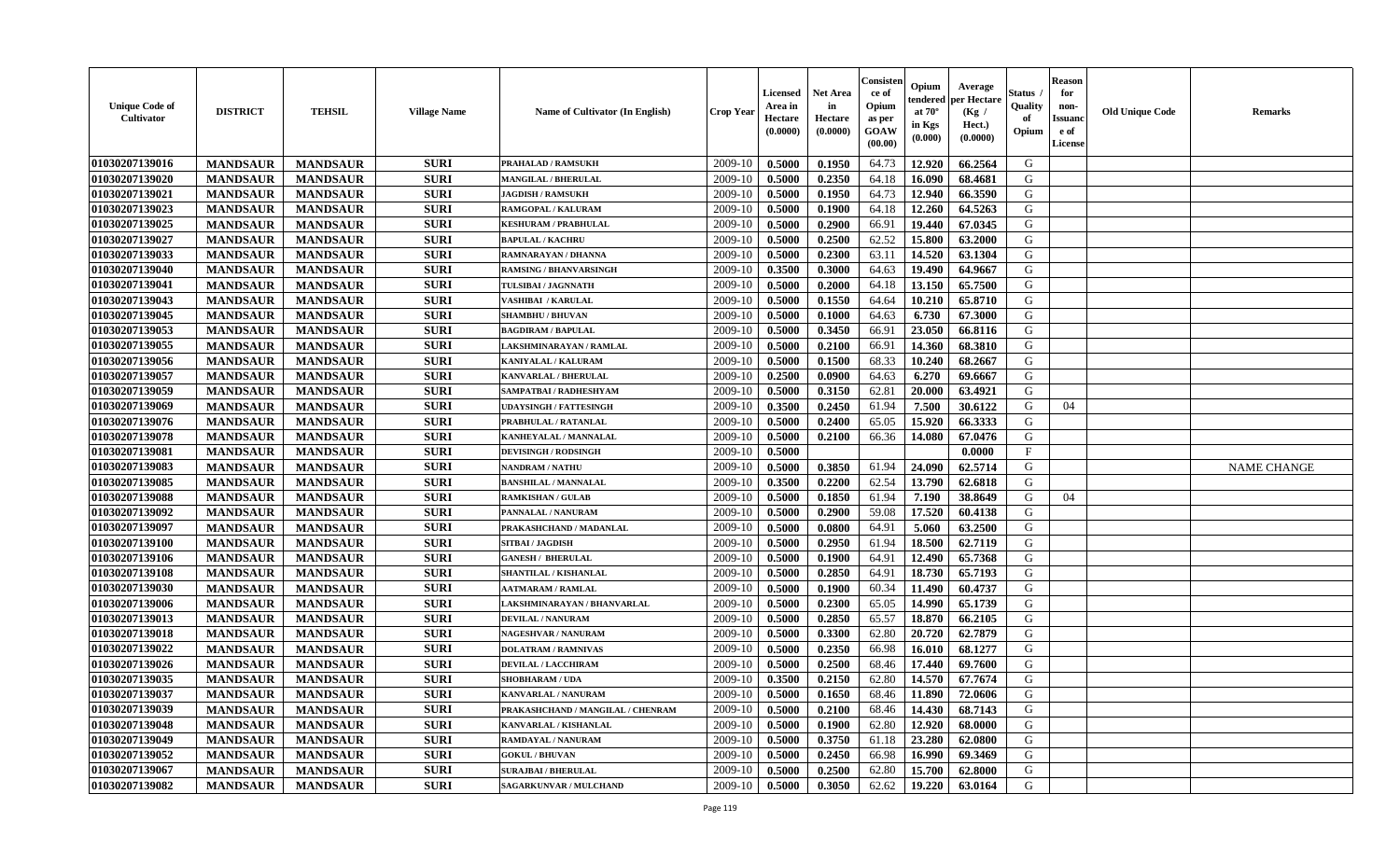| <b>Unique Code of</b><br><b>Cultivator</b> | <b>DISTRICT</b> | <b>TEHSIL</b>   | <b>Village Name</b> | Name of Cultivator (In English)   | <b>Crop Year</b> | Licensed<br>Area in<br>Hectare<br>(0.0000) | <b>Net Area</b><br>in<br>Hectare<br>(0.0000) | Consisteı<br>ce of<br>Opium<br>as per<br>GOAW<br>(00.00) | Opium<br>endered<br>at $70^\circ$<br>in Kgs<br>(0.000) | Average<br>per Hectare<br>(Kg /<br>Hect.)<br>(0.0000) | Status<br>Quality<br>of<br>Opium | <b>Reason</b><br>for<br>non-<br><b>Issuand</b><br>e of<br><b>License</b> | <b>Old Unique Code</b> | <b>Remarks</b>     |
|--------------------------------------------|-----------------|-----------------|---------------------|-----------------------------------|------------------|--------------------------------------------|----------------------------------------------|----------------------------------------------------------|--------------------------------------------------------|-------------------------------------------------------|----------------------------------|--------------------------------------------------------------------------|------------------------|--------------------|
| 01030207139016                             | <b>MANDSAUR</b> | <b>MANDSAUR</b> | <b>SURI</b>         | PRAHALAD / RAMSUKH                | 2009-10          | 0.5000                                     | 0.1950                                       | 64.73                                                    | 12.920                                                 | 66.2564                                               | G                                |                                                                          |                        |                    |
| 01030207139020                             | <b>MANDSAUR</b> | <b>MANDSAUR</b> | <b>SURI</b>         | <b>MANGILAL / BHERULAL</b>        | 2009-10          | 0.5000                                     | 0.2350                                       | 64.18                                                    | 16.090                                                 | 68.4681                                               | G                                |                                                                          |                        |                    |
| 01030207139021                             | <b>MANDSAUR</b> | <b>MANDSAUR</b> | <b>SURI</b>         | <b>JAGDISH / RAMSUKH</b>          | 2009-10          | 0.5000                                     | 0.1950                                       | 64.73                                                    | 12.940                                                 | 66.3590                                               | G                                |                                                                          |                        |                    |
| 01030207139023                             | <b>MANDSAUR</b> | <b>MANDSAUR</b> | <b>SURI</b>         | RAMGOPAL / KALURAM                | 2009-10          | 0.5000                                     | 0.1900                                       | 64.18                                                    | 12.260                                                 | 64.5263                                               | G                                |                                                                          |                        |                    |
| 01030207139025                             | <b>MANDSAUR</b> | <b>MANDSAUR</b> | <b>SURI</b>         | <b>KESHURAM / PRABHULAL</b>       | 2009-10          | 0.5000                                     | 0.2900                                       | 66.91                                                    | 19.440                                                 | 67.0345                                               | G                                |                                                                          |                        |                    |
| 01030207139027                             | <b>MANDSAUR</b> | <b>MANDSAUR</b> | <b>SURI</b>         | <b>BAPULAL / KACHRU</b>           | 2009-10          | 0.5000                                     | 0.2500                                       | 62.52                                                    | 15.800                                                 | 63.2000                                               | G                                |                                                                          |                        |                    |
| 01030207139033                             | <b>MANDSAUR</b> | <b>MANDSAUR</b> | <b>SURI</b>         | RAMNARAYAN / DHANNA               | 2009-10          | 0.5000                                     | 0.2300                                       | 63.11                                                    | 14.520                                                 | 63.1304                                               | G                                |                                                                          |                        |                    |
| 01030207139040                             | <b>MANDSAUR</b> | <b>MANDSAUR</b> | <b>SURI</b>         | <b>RAMSING / BHANVARSINGH</b>     | 2009-10          | 0.3500                                     | 0.3000                                       | 64.63                                                    | 19.490                                                 | 64.9667                                               | G                                |                                                                          |                        |                    |
| 01030207139041                             | <b>MANDSAUR</b> | <b>MANDSAUR</b> | <b>SURI</b>         | TULSIBAI / JAGNNATH               | 2009-10          | 0.5000                                     | 0.2000                                       | 64.18                                                    | 13.150                                                 | 65.7500                                               | G                                |                                                                          |                        |                    |
| 01030207139043                             | <b>MANDSAUR</b> | <b>MANDSAUR</b> | <b>SURI</b>         | <b>VASHIBAI / KARULAL</b>         | 2009-10          | 0.5000                                     | 0.1550                                       | 64.64                                                    | 10.210                                                 | 65.8710                                               | G                                |                                                                          |                        |                    |
| 01030207139045                             | <b>MANDSAUR</b> | <b>MANDSAUR</b> | <b>SURI</b>         | <b>SHAMBHU / BHUVAN</b>           | 2009-10          | 0.5000                                     | 0.1000                                       | 64.63                                                    | 6.730                                                  | 67.3000                                               | G                                |                                                                          |                        |                    |
| 01030207139053                             | <b>MANDSAUR</b> | <b>MANDSAUR</b> | <b>SURI</b>         | <b>BAGDIRAM / BAPULAL</b>         | 2009-10          | 0.5000                                     | 0.3450                                       | 66.91                                                    | 23.050                                                 | 66.8116                                               | G                                |                                                                          |                        |                    |
| 01030207139055                             | <b>MANDSAUR</b> | <b>MANDSAUR</b> | <b>SURI</b>         | LAKSHMINARAYAN / RAMLAL           | 2009-10          | 0.5000                                     | 0.2100                                       | 66.91                                                    | 14.360                                                 | 68.3810                                               | G                                |                                                                          |                        |                    |
| 01030207139056                             | <b>MANDSAUR</b> | <b>MANDSAUR</b> | <b>SURI</b>         | KANIYALAL / KALURAM               | 2009-10          | 0.5000                                     | 0.1500                                       | 68.33                                                    | 10.240                                                 | 68.2667                                               | G                                |                                                                          |                        |                    |
| 01030207139057                             | <b>MANDSAUR</b> | <b>MANDSAUR</b> | <b>SURI</b>         | KANVARLAL / BHERULAL              | 2009-10          | 0.2500                                     | 0.0900                                       | 64.63                                                    | 6.270                                                  | 69.6667                                               | G                                |                                                                          |                        |                    |
| 01030207139059                             | <b>MANDSAUR</b> | <b>MANDSAUR</b> | <b>SURI</b>         | SAMPATBAI / RADHESHYAM            | 2009-10          | 0.5000                                     | 0.3150                                       | 62.81                                                    | 20.000                                                 | 63.4921                                               | G                                |                                                                          |                        |                    |
| 01030207139069                             | <b>MANDSAUR</b> | <b>MANDSAUR</b> | <b>SURI</b>         | <b>UDAYSINGH / FATTESINGH</b>     | 2009-10          | 0.3500                                     | 0.2450                                       | 61.94                                                    | 7.500                                                  | 30.6122                                               | G                                | 04                                                                       |                        |                    |
| 01030207139076                             | <b>MANDSAUR</b> | <b>MANDSAUR</b> | <b>SURI</b>         | PRABHULAL / RATANLAL              | 2009-10          | 0.5000                                     | 0.2400                                       | 65.05                                                    | 15.920                                                 | 66.3333                                               | G                                |                                                                          |                        |                    |
| 01030207139078                             | <b>MANDSAUR</b> | <b>MANDSAUR</b> | <b>SURI</b>         | KANHEYALAL / MANNALAL             | 2009-10          | 0.5000                                     | 0.2100                                       | 66.36                                                    | 14.080                                                 | 67.0476                                               | G                                |                                                                          |                        |                    |
| 01030207139081                             | <b>MANDSAUR</b> | <b>MANDSAUR</b> | <b>SURI</b>         | <b>DEVISINGH / RODSINGH</b>       | 2009-10          | 0.5000                                     |                                              |                                                          |                                                        | 0.0000                                                | $\mathbf{F}$                     |                                                                          |                        |                    |
| 01030207139083                             | <b>MANDSAUR</b> | <b>MANDSAUR</b> | <b>SURI</b>         | <b>NANDRAM / NATHU</b>            | 2009-10          | 0.5000                                     | 0.3850                                       | 61.94                                                    | 24.090                                                 | 62.5714                                               | G                                |                                                                          |                        | <b>NAME CHANGE</b> |
| 01030207139085                             | <b>MANDSAUR</b> | <b>MANDSAUR</b> | <b>SURI</b>         | <b>BANSHILAL / MANNALAL</b>       | 2009-10          | 0.3500                                     | 0.2200                                       | 62.54                                                    | 13.790                                                 | 62.6818                                               | G                                |                                                                          |                        |                    |
| 01030207139088                             | <b>MANDSAUR</b> | <b>MANDSAUR</b> | <b>SURI</b>         | <b>RAMKISHAN / GULAB</b>          | 2009-10          | 0.5000                                     | 0.1850                                       | 61.94                                                    | 7.190                                                  | 38.8649                                               | G                                | 04                                                                       |                        |                    |
| 01030207139092                             | <b>MANDSAUR</b> | <b>MANDSAUR</b> | <b>SURI</b>         | PANNALAL / NANURAM                | 2009-10          | 0.5000                                     | 0.2900                                       | 59.08                                                    | 17.520                                                 | 60.4138                                               | G                                |                                                                          |                        |                    |
| 01030207139097                             | <b>MANDSAUR</b> | <b>MANDSAUR</b> | <b>SURI</b>         | PRAKASHCHAND / MADANLAL           | 2009-10          | 0.5000                                     | 0.0800                                       | 64.91                                                    | 5.060                                                  | 63.2500                                               | G                                |                                                                          |                        |                    |
| 01030207139100                             | <b>MANDSAUR</b> | <b>MANDSAUR</b> | <b>SURI</b>         | SITBAI / JAGDISH                  | 2009-10          | 0.5000                                     | 0.2950                                       | 61.94                                                    | 18.500                                                 | 62.7119                                               | G                                |                                                                          |                        |                    |
| 01030207139106                             | <b>MANDSAUR</b> | <b>MANDSAUR</b> | <b>SURI</b>         | <b>GANESH / BHERULAL</b>          | 2009-10          | 0.5000                                     | 0.1900                                       | 64.91                                                    | 12.490                                                 | 65.7368                                               | G                                |                                                                          |                        |                    |
| 01030207139108                             | <b>MANDSAUR</b> | <b>MANDSAUR</b> | <b>SURI</b>         | SHANTILAL / KISHANLAL             | 2009-10          | 0.5000                                     | 0.2850                                       | 64.91                                                    | 18.730                                                 | 65.7193                                               | G                                |                                                                          |                        |                    |
| 01030207139030                             | <b>MANDSAUR</b> | <b>MANDSAUR</b> | <b>SURI</b>         | <b>AATMARAM / RAMLAL</b>          | 2009-10          | 0.5000                                     | 0.1900                                       | 60.34                                                    | 11.490                                                 | 60.4737                                               | G                                |                                                                          |                        |                    |
| 01030207139006                             | <b>MANDSAUR</b> | <b>MANDSAUR</b> | <b>SURI</b>         | LAKSHMINARAYAN / BHANVARLAL       | 2009-10          | 0.5000                                     | 0.2300                                       | 65.05                                                    | 14.990                                                 | 65.1739                                               | G                                |                                                                          |                        |                    |
| 01030207139013                             | <b>MANDSAUR</b> | <b>MANDSAUR</b> | <b>SURI</b>         | <b>DEVILAL / NANURAM</b>          | 2009-10          | 0.5000                                     | 0.2850                                       | 65.57                                                    | 18.870                                                 | 66.2105                                               | ${\bf G}$                        |                                                                          |                        |                    |
| 01030207139018                             | <b>MANDSAUR</b> | <b>MANDSAUR</b> | <b>SURI</b>         | <b>NAGESHVAR / NANURAM</b>        | 2009-10          | 0.5000                                     | 0.3300                                       | 62.80                                                    | 20.720                                                 | 62.7879                                               | G                                |                                                                          |                        |                    |
| 01030207139022                             | <b>MANDSAUR</b> | <b>MANDSAUR</b> | <b>SURI</b>         | <b>DOLATRAM / RAMNIVAS</b>        | 2009-10          | 0.5000                                     | 0.2350                                       | 66.98                                                    | 16.010                                                 | 68.1277                                               | G                                |                                                                          |                        |                    |
| 01030207139026                             | <b>MANDSAUR</b> | <b>MANDSAUR</b> | <b>SURI</b>         | <b>DEVILAL / LACCHIRAM</b>        | 2009-10          | 0.5000                                     | 0.2500                                       | 68.46                                                    | 17.440                                                 | 69.7600                                               | G                                |                                                                          |                        |                    |
| 01030207139035                             | <b>MANDSAUR</b> | <b>MANDSAUR</b> | <b>SURI</b>         | <b>SHOBHARAM / UDA</b>            | 2009-10          | 0.3500                                     | 0.2150                                       | 62.80                                                    | 14.570                                                 | 67.7674                                               | G                                |                                                                          |                        |                    |
| 01030207139037                             | <b>MANDSAUR</b> | <b>MANDSAUR</b> | <b>SURI</b>         | <b>KANVARLAL / NANURAM</b>        | 2009-10          | 0.5000                                     | 0.1650                                       | 68.46                                                    | 11.890                                                 | 72.0606                                               | G                                |                                                                          |                        |                    |
| 01030207139039                             | <b>MANDSAUR</b> | <b>MANDSAUR</b> | <b>SURI</b>         | PRAKASHCHAND / MANGILAL / CHENRAM | 2009-10          | 0.5000                                     | 0.2100                                       | 68.46                                                    | 14.430                                                 | 68.7143                                               | G                                |                                                                          |                        |                    |
| 01030207139048                             | <b>MANDSAUR</b> | <b>MANDSAUR</b> | <b>SURI</b>         | KANVARLAL / KISHANLAL             | 2009-10          | 0.5000                                     | 0.1900                                       | 62.80                                                    | 12.920                                                 | 68.0000                                               | G                                |                                                                          |                        |                    |
| 01030207139049                             | <b>MANDSAUR</b> | <b>MANDSAUR</b> | <b>SURI</b>         | RAMDAYAL / NANURAM                | 2009-10          | 0.5000                                     | 0.3750                                       | 61.18                                                    | 23.280                                                 | 62.0800                                               | G                                |                                                                          |                        |                    |
| 01030207139052                             | <b>MANDSAUR</b> | <b>MANDSAUR</b> | <b>SURI</b>         | <b>GOKUL / BHUVAN</b>             | 2009-10          | 0.5000                                     | 0.2450                                       | 66.98                                                    | 16.990                                                 | 69.3469                                               | G                                |                                                                          |                        |                    |
| 01030207139067                             | <b>MANDSAUR</b> | <b>MANDSAUR</b> | <b>SURI</b>         | <b>SURAJBAI / BHERULAL</b>        | 2009-10          | 0.5000                                     | 0.2500                                       | 62.80                                                    | 15.700                                                 | 62.8000                                               | G                                |                                                                          |                        |                    |
| 01030207139082                             | <b>MANDSAUR</b> | <b>MANDSAUR</b> | <b>SURI</b>         | <b>SAGARKUNVAR / MULCHAND</b>     | 2009-10          | 0.5000                                     | 0.3050                                       | 62.62                                                    | 19.220                                                 | 63.0164                                               | G                                |                                                                          |                        |                    |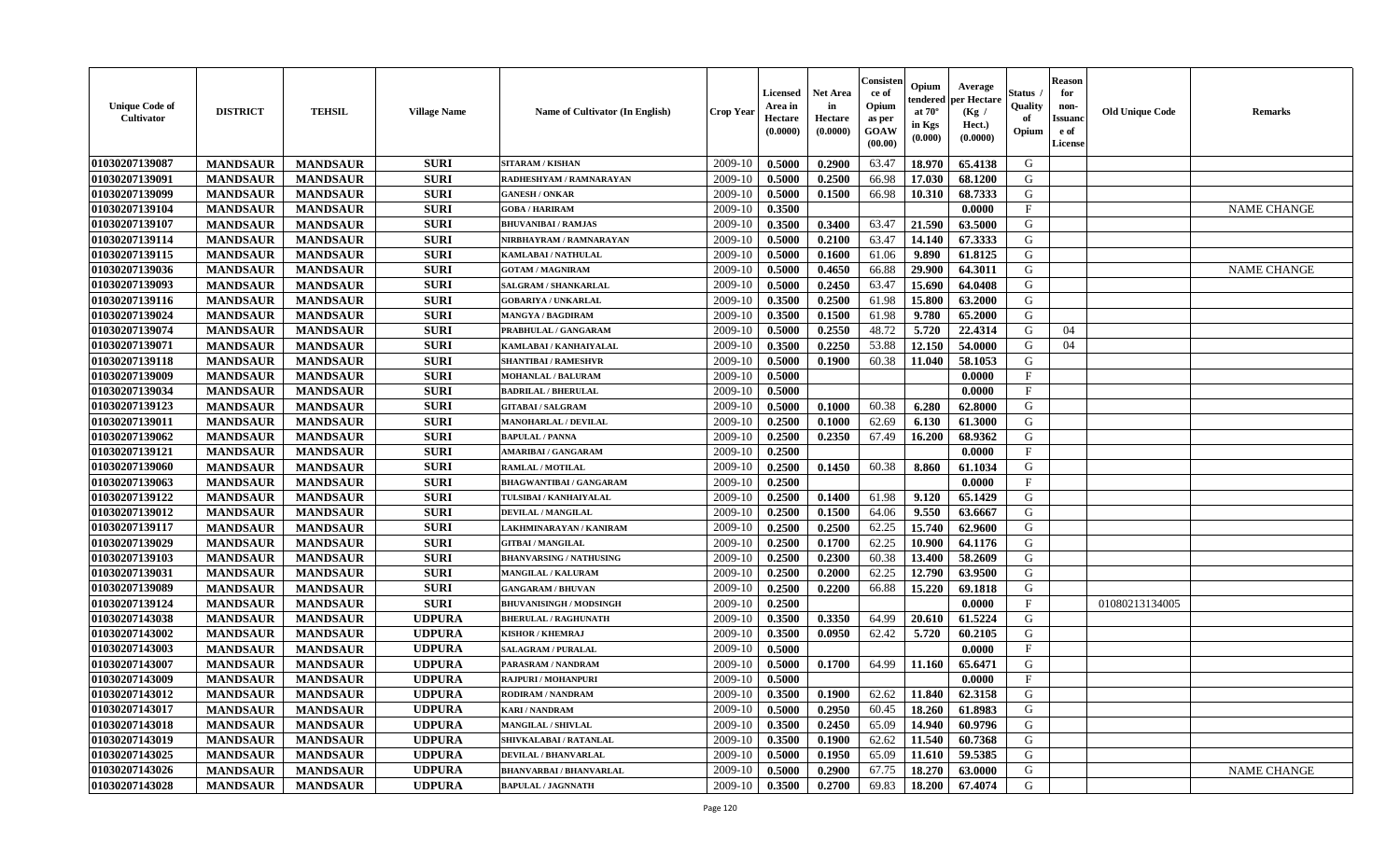| <b>Unique Code of</b><br>Cultivator | <b>DISTRICT</b> | <b>TEHSIL</b>   | <b>Village Name</b> | Name of Cultivator (In English) | <b>Crop Year</b> | Licensed<br>Area in<br>Hectare<br>(0.0000) | <b>Net Area</b><br>in<br>Hectare<br>(0.0000) | Consisten<br>ce of<br>Opium<br>as per<br>GOAW<br>(00.00) | Opium<br>tendered<br>at $70^{\circ}$<br>in Kgs<br>(0.000) | Average<br>per Hectare<br>(Kg /<br>Hect.)<br>(0.0000) | Status<br>Quality<br>of<br>Opium | <b>Reason</b><br>for<br>non-<br>Issuanc<br>e of<br>License | <b>Old Unique Code</b> | <b>Remarks</b>     |
|-------------------------------------|-----------------|-----------------|---------------------|---------------------------------|------------------|--------------------------------------------|----------------------------------------------|----------------------------------------------------------|-----------------------------------------------------------|-------------------------------------------------------|----------------------------------|------------------------------------------------------------|------------------------|--------------------|
| 01030207139087                      | <b>MANDSAUR</b> | <b>MANDSAUR</b> | <b>SURI</b>         | SITARAM / KISHAN                | 2009-10          | 0.5000                                     | 0.2900                                       | 63.47                                                    | 18.970                                                    | 65.4138                                               | G                                |                                                            |                        |                    |
| 01030207139091                      | <b>MANDSAUR</b> | <b>MANDSAUR</b> | <b>SURI</b>         | RADHESHYAM / RAMNARAYAN         | 2009-10          | 0.5000                                     | 0.2500                                       | 66.98                                                    | 17.030                                                    | 68.1200                                               | G                                |                                                            |                        |                    |
| 01030207139099                      | <b>MANDSAUR</b> | <b>MANDSAUR</b> | <b>SURI</b>         | <b>GANESH / ONKAR</b>           | 2009-10          | 0.5000                                     | 0.1500                                       | 66.98                                                    | 10.310                                                    | 68.7333                                               | G                                |                                                            |                        |                    |
| 01030207139104                      | <b>MANDSAUR</b> | <b>MANDSAUR</b> | <b>SURI</b>         | <b>GOBA/HARIRAM</b>             | 2009-10          | 0.3500                                     |                                              |                                                          |                                                           | 0.0000                                                | $\mathbf F$                      |                                                            |                        | <b>NAME CHANGE</b> |
| 01030207139107                      | <b>MANDSAUR</b> | <b>MANDSAUR</b> | <b>SURI</b>         | <b>BHUVANIBAI / RAMJAS</b>      | 2009-10          | 0.3500                                     | 0.3400                                       | 63.47                                                    | 21.590                                                    | 63.5000                                               | G                                |                                                            |                        |                    |
| 01030207139114                      | <b>MANDSAUR</b> | <b>MANDSAUR</b> | <b>SURI</b>         | NIRBHAYRAM / RAMNARAYAN         | 2009-10          | 0.5000                                     | 0.2100                                       | 63.47                                                    | 14.140                                                    | 67.3333                                               | G                                |                                                            |                        |                    |
| 01030207139115                      | <b>MANDSAUR</b> | <b>MANDSAUR</b> | <b>SURI</b>         | KAMLABAI / NATHULAL             | 2009-10          | 0.5000                                     | 0.1600                                       | 61.06                                                    | 9.890                                                     | 61.8125                                               | G                                |                                                            |                        |                    |
| 01030207139036                      | <b>MANDSAUR</b> | <b>MANDSAUR</b> | <b>SURI</b>         | <b>GOTAM / MAGNIRAM</b>         | 2009-10          | 0.5000                                     | 0.4650                                       | 66.88                                                    | 29.900                                                    | 64.3011                                               | G                                |                                                            |                        | <b>NAME CHANGE</b> |
| 01030207139093                      | <b>MANDSAUR</b> | <b>MANDSAUR</b> | <b>SURI</b>         | SALGRAM / SHANKARLAL            | 2009-10          | 0.5000                                     | 0.2450                                       | 63.47                                                    | 15.690                                                    | 64.0408                                               | G                                |                                                            |                        |                    |
| 01030207139116                      | <b>MANDSAUR</b> | <b>MANDSAUR</b> | <b>SURI</b>         | <b>GOBARIYA / UNKARLAL</b>      | 2009-10          | 0.3500                                     | 0.2500                                       | 61.98                                                    | 15.800                                                    | 63.2000                                               | G                                |                                                            |                        |                    |
| 01030207139024                      | <b>MANDSAUR</b> | <b>MANDSAUR</b> | <b>SURI</b>         | <b>MANGYA / BAGDIRAM</b>        | 2009-10          | 0.3500                                     | 0.1500                                       | 61.98                                                    | 9.780                                                     | 65.2000                                               | $\mathbf G$                      |                                                            |                        |                    |
| 01030207139074                      | <b>MANDSAUR</b> | <b>MANDSAUR</b> | <b>SURI</b>         | PRABHULAL / GANGARAM            | 2009-10          | 0.5000                                     | 0.2550                                       | 48.72                                                    | 5.720                                                     | 22.4314                                               | G                                | 04                                                         |                        |                    |
| 01030207139071                      | <b>MANDSAUR</b> | <b>MANDSAUR</b> | <b>SURI</b>         | KAMLABAI / KANHAIYALAL          | 2009-10          | 0.3500                                     | 0.2250                                       | 53.88                                                    | 12.150                                                    | 54.0000                                               | G                                | 04                                                         |                        |                    |
| 01030207139118                      | <b>MANDSAUR</b> | <b>MANDSAUR</b> | <b>SURI</b>         | <b>SHANTIBAI / RAMESHVR</b>     | 2009-10          | 0.5000                                     | 0.1900                                       | 60.38                                                    | 11.040                                                    | 58.1053                                               | G                                |                                                            |                        |                    |
| 01030207139009                      | <b>MANDSAUR</b> | <b>MANDSAUR</b> | <b>SURI</b>         | <b>MOHANLAL / BALURAM</b>       | 2009-10          | 0.5000                                     |                                              |                                                          |                                                           | 0.0000                                                | $\mathbf{F}$                     |                                                            |                        |                    |
| 01030207139034                      | <b>MANDSAUR</b> | <b>MANDSAUR</b> | <b>SURI</b>         | <b>BADRILAL / BHERULAL</b>      | 2009-10          | 0.5000                                     |                                              |                                                          |                                                           | 0.0000                                                | $\mathbf{F}$                     |                                                            |                        |                    |
| 01030207139123                      | <b>MANDSAUR</b> | <b>MANDSAUR</b> | <b>SURI</b>         | <b>GITABAI/SALGRAM</b>          | 2009-10          | 0.5000                                     | 0.1000                                       | 60.38                                                    | 6.280                                                     | 62.8000                                               | G                                |                                                            |                        |                    |
| 01030207139011                      | <b>MANDSAUR</b> | <b>MANDSAUR</b> | <b>SURI</b>         | <b>MANOHARLAL / DEVILAL</b>     | 2009-10          | 0.2500                                     | 0.1000                                       | 62.69                                                    | 6.130                                                     | 61.3000                                               | G                                |                                                            |                        |                    |
| 01030207139062                      | <b>MANDSAUR</b> | <b>MANDSAUR</b> | <b>SURI</b>         | <b>BAPULAL / PANNA</b>          | 2009-10          | 0.2500                                     | 0.2350                                       | 67.49                                                    | 16.200                                                    | 68.9362                                               | G                                |                                                            |                        |                    |
| 01030207139121                      | <b>MANDSAUR</b> | <b>MANDSAUR</b> | <b>SURI</b>         | <b>AMARIBAI/GANGARAM</b>        | 2009-10          | 0.2500                                     |                                              |                                                          |                                                           | 0.0000                                                | $\mathbf{F}$                     |                                                            |                        |                    |
| 01030207139060                      | <b>MANDSAUR</b> | <b>MANDSAUR</b> | <b>SURI</b>         | <b>RAMLAL / MOTILAL</b>         | 2009-10          | 0.2500                                     | 0.1450                                       | 60.38                                                    | 8.860                                                     | 61.1034                                               | G                                |                                                            |                        |                    |
| 01030207139063                      | <b>MANDSAUR</b> | <b>MANDSAUR</b> | <b>SURI</b>         | <b>BHAGWANTIBAI/GANGARAM</b>    | 2009-10          | 0.2500                                     |                                              |                                                          |                                                           | 0.0000                                                | $\mathbf{F}$                     |                                                            |                        |                    |
| 01030207139122                      | <b>MANDSAUR</b> | <b>MANDSAUR</b> | <b>SURI</b>         | TULSIBAI / KANHAIYALAL          | 2009-10          | 0.2500                                     | 0.1400                                       | 61.98                                                    | 9.120                                                     | 65.1429                                               | G                                |                                                            |                        |                    |
| 01030207139012                      | <b>MANDSAUR</b> | <b>MANDSAUR</b> | <b>SURI</b>         | DEVILAL / MANGILAL              | 2009-10          | 0.2500                                     | 0.1500                                       | 64.06                                                    | 9.550                                                     | 63.6667                                               | G                                |                                                            |                        |                    |
| 01030207139117                      | <b>MANDSAUR</b> | <b>MANDSAUR</b> | <b>SURI</b>         | LAKHMINARAYAN / KANIRAM         | 2009-10          | 0.2500                                     | 0.2500                                       | 62.25                                                    | 15.740                                                    | 62.9600                                               | G                                |                                                            |                        |                    |
| 01030207139029                      | <b>MANDSAUR</b> | <b>MANDSAUR</b> | <b>SURI</b>         | <b>GITBAI/MANGILAL</b>          | 2009-10          | 0.2500                                     | 0.1700                                       | 62.25                                                    | 10.900                                                    | 64.1176                                               | G                                |                                                            |                        |                    |
| 01030207139103                      | <b>MANDSAUR</b> | <b>MANDSAUR</b> | <b>SURI</b>         | <b>BHANVARSING / NATHUSING</b>  | 2009-10          | 0.2500                                     | 0.2300                                       | 60.38                                                    | 13.400                                                    | 58.2609                                               | G                                |                                                            |                        |                    |
| 01030207139031                      | <b>MANDSAUR</b> | <b>MANDSAUR</b> | <b>SURI</b>         | <b>MANGILAL / KALURAM</b>       | 2009-10          | 0.2500                                     | 0.2000                                       | 62.25                                                    | 12.790                                                    | 63.9500                                               | G                                |                                                            |                        |                    |
| 01030207139089                      | <b>MANDSAUR</b> | <b>MANDSAUR</b> | <b>SURI</b>         | <b>GANGARAM / BHUVAN</b>        | 2009-10          | 0.2500                                     | 0.2200                                       | 66.88                                                    | 15.220                                                    | 69.1818                                               | G                                |                                                            |                        |                    |
| 01030207139124                      | <b>MANDSAUR</b> | <b>MANDSAUR</b> | <b>SURI</b>         | <b>BHUVANISINGH / MODSINGH</b>  | 2009-10          | 0.2500                                     |                                              |                                                          |                                                           | 0.0000                                                | $\mathbf{F}$                     |                                                            | 01080213134005         |                    |
| 01030207143038                      | <b>MANDSAUR</b> | <b>MANDSAUR</b> | <b>UDPURA</b>       | <b>BHERULAL / RAGHUNATH</b>     | 2009-10          | 0.3500                                     | 0.3350                                       | 64.99                                                    | 20.610                                                    | 61.5224                                               | G                                |                                                            |                        |                    |
| 01030207143002                      | <b>MANDSAUR</b> | <b>MANDSAUR</b> | <b>UDPURA</b>       | <b>KISHOR / KHEMRAJ</b>         | 2009-10          | 0.3500                                     | 0.0950                                       | 62.42                                                    | 5.720                                                     | 60.2105                                               | G                                |                                                            |                        |                    |
| 01030207143003                      | <b>MANDSAUR</b> | <b>MANDSAUR</b> | <b>UDPURA</b>       | <b>SALAGRAM / PURALAL</b>       | 2009-10          | 0.5000                                     |                                              |                                                          |                                                           | 0.0000                                                | $\mathbf{F}$                     |                                                            |                        |                    |
| 01030207143007                      | <b>MANDSAUR</b> | <b>MANDSAUR</b> | <b>UDPURA</b>       | PARASRAM / NANDRAM              | 2009-10          | 0.5000                                     | 0.1700                                       | 64.99                                                    | 11.160                                                    | 65.6471                                               | G                                |                                                            |                        |                    |
| 01030207143009                      | <b>MANDSAUR</b> | <b>MANDSAUR</b> | <b>UDPURA</b>       | <b>RAJPURI / MOHANPURI</b>      | 2009-10          | 0.5000                                     |                                              |                                                          |                                                           | 0.0000                                                | $\mathbf{F}$                     |                                                            |                        |                    |
| 01030207143012                      | <b>MANDSAUR</b> | <b>MANDSAUR</b> | <b>UDPURA</b>       | RODIRAM / NANDRAM               | 2009-10          | 0.3500                                     | 0.1900                                       | 62.62                                                    | 11.840                                                    | 62.3158                                               | G                                |                                                            |                        |                    |
| 01030207143017                      | <b>MANDSAUR</b> | <b>MANDSAUR</b> | <b>UDPURA</b>       | <b>KARI / NANDRAM</b>           | 2009-10          | 0.5000                                     | 0.2950                                       | 60.45                                                    | 18.260                                                    | 61.8983                                               | G                                |                                                            |                        |                    |
| 01030207143018                      | <b>MANDSAUR</b> | <b>MANDSAUR</b> | <b>UDPURA</b>       | <b>MANGILAL / SHIVLAL</b>       | 2009-10          | 0.3500                                     | 0.2450                                       | 65.09                                                    | 14.940                                                    | 60.9796                                               | G                                |                                                            |                        |                    |
| 01030207143019                      | <b>MANDSAUR</b> | <b>MANDSAUR</b> | <b>UDPURA</b>       | SHIVKALABAI / RATANLAL          | 2009-10          | 0.3500                                     | 0.1900                                       | 62.62                                                    | 11.540                                                    | 60.7368                                               | G                                |                                                            |                        |                    |
| 01030207143025                      | <b>MANDSAUR</b> | <b>MANDSAUR</b> | <b>UDPURA</b>       | <b>DEVILAL / BHANVARLAL</b>     | 2009-10          | 0.5000                                     | 0.1950                                       | 65.09                                                    | 11.610                                                    | 59.5385                                               | G                                |                                                            |                        |                    |
| 01030207143026                      | <b>MANDSAUR</b> | <b>MANDSAUR</b> | <b>UDPURA</b>       | <b>BHANVARBAI/BHANVARLAL</b>    | 2009-10          | 0.5000                                     | 0.2900                                       | 67.75                                                    | 18.270                                                    | 63.0000                                               | G                                |                                                            |                        | <b>NAME CHANGE</b> |
| 01030207143028                      | <b>MANDSAUR</b> | <b>MANDSAUR</b> | <b>UDPURA</b>       | <b>BAPULAL / JAGNNATH</b>       | 2009-10          | 0.3500                                     | 0.2700                                       | 69.83                                                    | 18.200                                                    | 67.4074                                               | G                                |                                                            |                        |                    |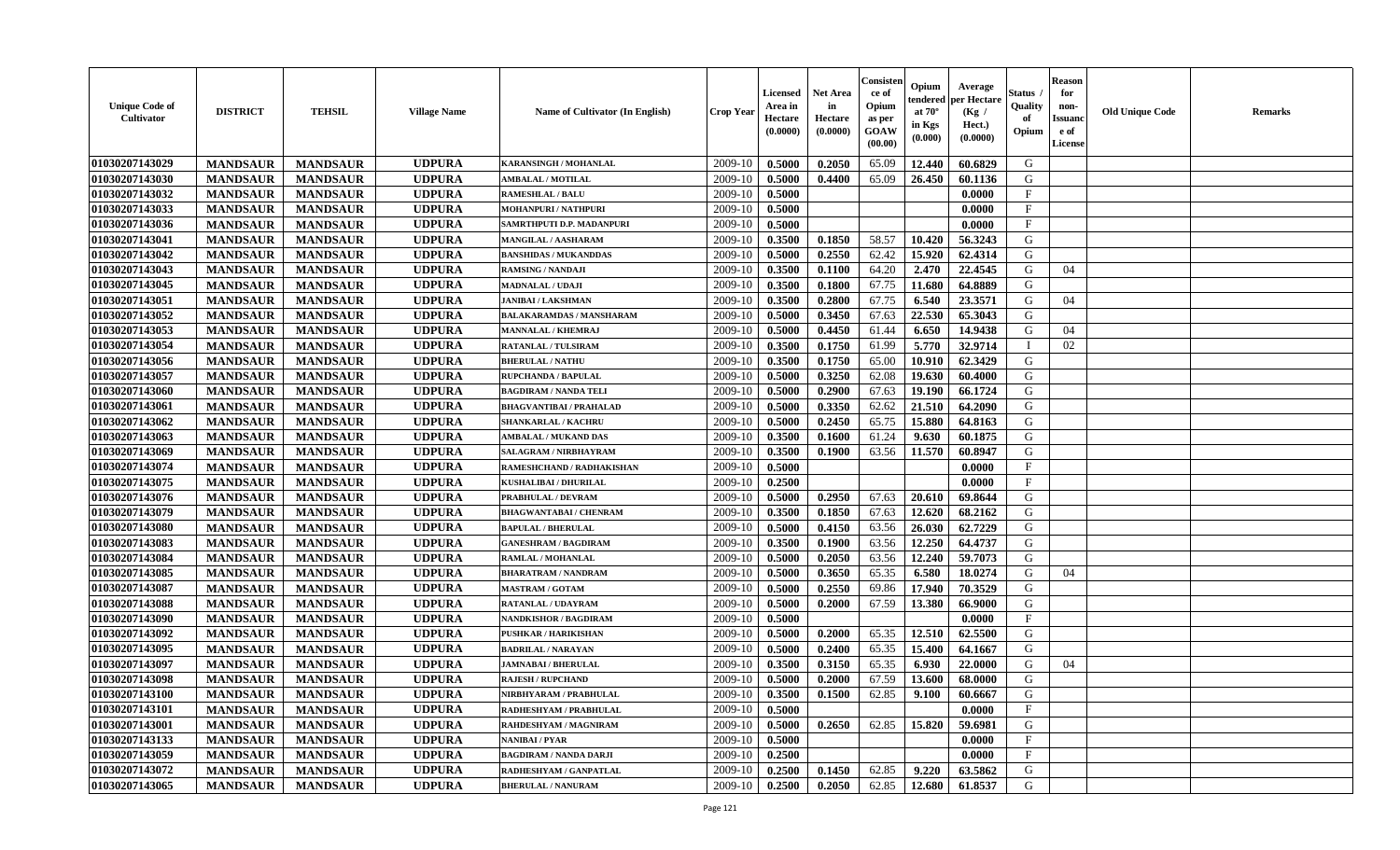| <b>Unique Code of</b><br><b>Cultivator</b> | <b>DISTRICT</b> | <b>TEHSIL</b>   | <b>Village Name</b> | Name of Cultivator (In English) | <b>Crop Year</b> | <b>Licensed</b><br>Area in<br>Hectare<br>(0.0000) | <b>Net Area</b><br>in<br>Hectare<br>(0.0000) | Consisteı<br>ce of<br>Opium<br>as per<br>GOAW<br>(00.00) | Opium<br>endered<br>at $70^\circ$<br>in Kgs<br>(0.000) | Average<br>per Hectare<br>(Kg /<br>Hect.)<br>(0.0000) | Status<br>Quality<br>of<br>Opium | <b>Reason</b><br>for<br>non-<br><b>Issuand</b><br>e of<br><b>License</b> | <b>Old Unique Code</b> | <b>Remarks</b> |
|--------------------------------------------|-----------------|-----------------|---------------------|---------------------------------|------------------|---------------------------------------------------|----------------------------------------------|----------------------------------------------------------|--------------------------------------------------------|-------------------------------------------------------|----------------------------------|--------------------------------------------------------------------------|------------------------|----------------|
| 01030207143029                             | <b>MANDSAUR</b> | <b>MANDSAUR</b> | <b>UDPURA</b>       | KARANSINGH / MOHANLAL           | 2009-10          | 0.5000                                            | 0.2050                                       | 65.09                                                    | 12.440                                                 | 60.6829                                               | G                                |                                                                          |                        |                |
| 01030207143030                             | <b>MANDSAUR</b> | <b>MANDSAUR</b> | <b>UDPURA</b>       | <b>AMBALAL / MOTILAL</b>        | 2009-10          | 0.5000                                            | 0.4400                                       | 65.09                                                    | 26.450                                                 | 60.1136                                               | G                                |                                                                          |                        |                |
| 01030207143032                             | <b>MANDSAUR</b> | <b>MANDSAUR</b> | <b>UDPURA</b>       | <b>RAMESHLAL / BALU</b>         | 2009-10          | 0.5000                                            |                                              |                                                          |                                                        | 0.0000                                                | F                                |                                                                          |                        |                |
| 01030207143033                             | <b>MANDSAUR</b> | <b>MANDSAUR</b> | <b>UDPURA</b>       | <b>MOHANPURI / NATHPURI</b>     | 2009-10          | 0.5000                                            |                                              |                                                          |                                                        | 0.0000                                                | $\mathbf{F}$                     |                                                                          |                        |                |
| 01030207143036                             | <b>MANDSAUR</b> | <b>MANDSAUR</b> | <b>UDPURA</b>       | SAMRTHPUTI D.P. MADANPURI       | 2009-10          | 0.5000                                            |                                              |                                                          |                                                        | 0.0000                                                | $\mathbf{F}$                     |                                                                          |                        |                |
| 01030207143041                             | <b>MANDSAUR</b> | <b>MANDSAUR</b> | <b>UDPURA</b>       | <b>MANGILAL / AASHARAM</b>      | 2009-10          | 0.3500                                            | 0.1850                                       | 58.57                                                    | 10.420                                                 | 56.3243                                               | G                                |                                                                          |                        |                |
| 01030207143042                             | <b>MANDSAUR</b> | <b>MANDSAUR</b> | <b>UDPURA</b>       | <b>BANSHIDAS / MUKANDDAS</b>    | 2009-10          | 0.5000                                            | 0.2550                                       | 62.42                                                    | 15.920                                                 | 62.4314                                               | G                                |                                                                          |                        |                |
| 01030207143043                             | <b>MANDSAUR</b> | <b>MANDSAUR</b> | <b>UDPURA</b>       | <b>RAMSING / NANDAJI</b>        | 2009-10          | 0.3500                                            | 0.1100                                       | 64.20                                                    | 2.470                                                  | 22.4545                                               | G                                | 04                                                                       |                        |                |
| 01030207143045                             | <b>MANDSAUR</b> | <b>MANDSAUR</b> | <b>UDPURA</b>       | <b>MADNALAL / UDAJI</b>         | 2009-10          | 0.3500                                            | 0.1800                                       | 67.75                                                    | 11.680                                                 | 64.8889                                               | G                                |                                                                          |                        |                |
| 01030207143051                             | <b>MANDSAUR</b> | <b>MANDSAUR</b> | <b>UDPURA</b>       | <b>JANIBAI / LAKSHMAN</b>       | 2009-10          | 0.3500                                            | 0.2800                                       | 67.75                                                    | 6.540                                                  | 23.3571                                               | G                                | 04                                                                       |                        |                |
| 01030207143052                             | <b>MANDSAUR</b> | <b>MANDSAUR</b> | <b>UDPURA</b>       | <b>BALAKARAMDAS / MANSHARAM</b> | 2009-10          | 0.5000                                            | 0.3450                                       | 67.63                                                    | 22.530                                                 | 65.3043                                               | G                                |                                                                          |                        |                |
| 01030207143053                             | <b>MANDSAUR</b> | <b>MANDSAUR</b> | <b>UDPURA</b>       | <b>MANNALAL / KHEMRAJ</b>       | 2009-10          | 0.5000                                            | 0.4450                                       | 61.44                                                    | 6.650                                                  | 14.9438                                               | G                                | 04                                                                       |                        |                |
| 01030207143054                             | <b>MANDSAUR</b> | <b>MANDSAUR</b> | <b>UDPURA</b>       | <b>RATANLAL / TULSIRAM</b>      | 2009-10          | 0.3500                                            | 0.1750                                       | 61.99                                                    | 5.770                                                  | 32.9714                                               | $\mathbf I$                      | 02                                                                       |                        |                |
| 01030207143056                             | <b>MANDSAUR</b> | <b>MANDSAUR</b> | <b>UDPURA</b>       | <b>BHERULAL / NATHU</b>         | 2009-10          | 0.3500                                            | 0.1750                                       | 65.00                                                    | 10.910                                                 | 62.3429                                               | G                                |                                                                          |                        |                |
| 01030207143057                             | <b>MANDSAUR</b> | <b>MANDSAUR</b> | <b>UDPURA</b>       | RUPCHANDA / BAPULAL             | 2009-10          | 0.5000                                            | 0.3250                                       | 62.08                                                    | 19.630                                                 | 60.4000                                               | G                                |                                                                          |                        |                |
| 01030207143060                             | <b>MANDSAUR</b> | <b>MANDSAUR</b> | <b>UDPURA</b>       | <b>BAGDIRAM / NANDA TELI</b>    | 2009-10          | 0.5000                                            | 0.2900                                       | 67.63                                                    | 19.190                                                 | 66.1724                                               | G                                |                                                                          |                        |                |
| 01030207143061                             | <b>MANDSAUR</b> | <b>MANDSAUR</b> | <b>UDPURA</b>       | <b>BHAGVANTIBAI / PRAHALAD</b>  | 2009-10          | 0.5000                                            | 0.3350                                       | 62.62                                                    | 21.510                                                 | 64.2090                                               | G                                |                                                                          |                        |                |
| 01030207143062                             | <b>MANDSAUR</b> | <b>MANDSAUR</b> | <b>UDPURA</b>       | <b>SHANKARLAL / KACHRU</b>      | 2009-10          | 0.5000                                            | 0.2450                                       | 65.75                                                    | 15.880                                                 | 64.8163                                               | G                                |                                                                          |                        |                |
| 01030207143063                             | <b>MANDSAUR</b> | <b>MANDSAUR</b> | <b>UDPURA</b>       | <b>AMBALAL / MUKAND DAS</b>     | 2009-10          | 0.3500                                            | 0.1600                                       | 61.24                                                    | 9.630                                                  | 60.1875                                               | G                                |                                                                          |                        |                |
| 01030207143069                             | <b>MANDSAUR</b> | <b>MANDSAUR</b> | <b>UDPURA</b>       | SALAGRAM / NIRBHAYRAM           | 2009-10          | 0.3500                                            | 0.1900                                       | 63.56                                                    | 11.570                                                 | 60.8947                                               | G                                |                                                                          |                        |                |
| 01030207143074                             | <b>MANDSAUR</b> | <b>MANDSAUR</b> | <b>UDPURA</b>       | RAMESHCHAND / RADHAKISHAN       | 2009-10          | 0.5000                                            |                                              |                                                          |                                                        | 0.0000                                                | F                                |                                                                          |                        |                |
| 01030207143075                             | <b>MANDSAUR</b> | <b>MANDSAUR</b> | <b>UDPURA</b>       | <b>KUSHALIBAI / DHURILAL</b>    | 2009-10          | 0.2500                                            |                                              |                                                          |                                                        | 0.0000                                                | $\mathbf{F}$                     |                                                                          |                        |                |
| 01030207143076                             | <b>MANDSAUR</b> | <b>MANDSAUR</b> | <b>UDPURA</b>       | PRABHULAL / DEVRAM              | 2009-10          | 0.5000                                            | 0.2950                                       | 67.63                                                    | 20.610                                                 | 69.8644                                               | G                                |                                                                          |                        |                |
| 01030207143079                             | <b>MANDSAUR</b> | <b>MANDSAUR</b> | <b>UDPURA</b>       | <b>BHAGWANTABAI / CHENRAM</b>   | 2009-10          | 0.3500                                            | 0.1850                                       | 67.63                                                    | 12.620                                                 | 68.2162                                               | G                                |                                                                          |                        |                |
| 01030207143080                             | <b>MANDSAUR</b> | <b>MANDSAUR</b> | <b>UDPURA</b>       | <b>BAPULAL / BHERULAL</b>       | 2009-10          | 0.5000                                            | 0.4150                                       | 63.56                                                    | 26.030                                                 | 62.7229                                               | G                                |                                                                          |                        |                |
| 01030207143083                             | <b>MANDSAUR</b> | <b>MANDSAUR</b> | <b>UDPURA</b>       | <b>GANESHRAM / BAGDIRAM</b>     | 2009-10          | 0.3500                                            | 0.1900                                       | 63.56                                                    | 12.250                                                 | 64.4737                                               | G                                |                                                                          |                        |                |
| 01030207143084                             | <b>MANDSAUR</b> | <b>MANDSAUR</b> | <b>UDPURA</b>       | RAMLAL / MOHANLAL               | 2009-10          | 0.5000                                            | 0.2050                                       | 63.56                                                    | 12.240                                                 | 59.7073                                               | G                                |                                                                          |                        |                |
| 01030207143085                             | <b>MANDSAUR</b> | <b>MANDSAUR</b> | <b>UDPURA</b>       | <b>BHARATRAM / NANDRAM</b>      | 2009-10          | 0.5000                                            | 0.3650                                       | 65.35                                                    | 6.580                                                  | 18.0274                                               | G                                | 04                                                                       |                        |                |
| 01030207143087                             | <b>MANDSAUR</b> | <b>MANDSAUR</b> | <b>UDPURA</b>       | <b>MASTRAM / GOTAM</b>          | 2009-10          | 0.5000                                            | 0.2550                                       | 69.86                                                    | 17.940                                                 | 70.3529                                               | G                                |                                                                          |                        |                |
| 01030207143088                             | <b>MANDSAUR</b> | <b>MANDSAUR</b> | <b>UDPURA</b>       | <b>RATANLAL / UDAYRAM</b>       | 2009-10          | 0.5000                                            | 0.2000                                       | 67.59                                                    | 13.380                                                 | 66.9000                                               | G                                |                                                                          |                        |                |
| 01030207143090                             | <b>MANDSAUR</b> | <b>MANDSAUR</b> | <b>UDPURA</b>       | <b>NANDKISHOR / BAGDIRAM</b>    | 2009-10          | 0.5000                                            |                                              |                                                          |                                                        | 0.0000                                                | $\mathbf{F}$                     |                                                                          |                        |                |
| 01030207143092                             | <b>MANDSAUR</b> | <b>MANDSAUR</b> | <b>UDPURA</b>       | <b>PUSHKAR / HARIKISHAN</b>     | 2009-10          | 0.5000                                            | 0.2000                                       | 65.35                                                    | 12.510                                                 | 62.5500                                               | G                                |                                                                          |                        |                |
| 01030207143095                             | <b>MANDSAUR</b> | <b>MANDSAUR</b> | <b>UDPURA</b>       | <b>BADRILAL / NARAYAN</b>       | 2009-10          | 0.5000                                            | 0.2400                                       | 65.35                                                    | 15.400                                                 | 64.1667                                               | G                                |                                                                          |                        |                |
| 01030207143097                             | <b>MANDSAUR</b> | <b>MANDSAUR</b> | <b>UDPURA</b>       | <b>JAMNABAI/BHERULAL</b>        | 2009-10          | 0.3500                                            | 0.3150                                       | 65.35                                                    | 6.930                                                  | 22.0000                                               | G                                | 04                                                                       |                        |                |
| 01030207143098                             | <b>MANDSAUR</b> | <b>MANDSAUR</b> | <b>UDPURA</b>       | <b>RAJESH / RUPCHAND</b>        | 2009-10          | 0.5000                                            | 0.2000                                       | 67.59                                                    | 13.600                                                 | 68.0000                                               | G                                |                                                                          |                        |                |
| 01030207143100                             | <b>MANDSAUR</b> | <b>MANDSAUR</b> | <b>UDPURA</b>       | NIRBHYARAM / PRABHULAL          | 2009-10          | 0.3500                                            | 0.1500                                       | 62.85                                                    | 9.100                                                  | 60.6667                                               | G                                |                                                                          |                        |                |
| 01030207143101                             | <b>MANDSAUR</b> | <b>MANDSAUR</b> | <b>UDPURA</b>       | RADHESHYAM / PRABHULAL          | 2009-10          | 0.5000                                            |                                              |                                                          |                                                        | 0.0000                                                | $\mathbf{F}$                     |                                                                          |                        |                |
| 01030207143001                             | <b>MANDSAUR</b> | <b>MANDSAUR</b> | <b>UDPURA</b>       | RAHDESHYAM / MAGNIRAM           | 2009-10          | 0.5000                                            | 0.2650                                       | 62.85                                                    | 15.820                                                 | 59.6981                                               | G                                |                                                                          |                        |                |
| 01030207143133                             | <b>MANDSAUR</b> | <b>MANDSAUR</b> | <b>UDPURA</b>       | NANIBAI / PYAR                  | 2009-10          | 0.5000                                            |                                              |                                                          |                                                        | 0.0000                                                | F                                |                                                                          |                        |                |
| 01030207143059                             | <b>MANDSAUR</b> | <b>MANDSAUR</b> | <b>UDPURA</b>       | <b>BAGDIRAM / NANDA DARJI</b>   | 2009-10          | 0.2500                                            |                                              |                                                          |                                                        | 0.0000                                                | $_{\rm F}$                       |                                                                          |                        |                |
| 01030207143072                             | <b>MANDSAUR</b> | <b>MANDSAUR</b> | <b>UDPURA</b>       | RADHESHYAM / GANPATLAL          | 2009-10          | 0.2500                                            | 0.1450                                       | 62.85                                                    | 9.220                                                  | 63.5862                                               | G                                |                                                                          |                        |                |
| 01030207143065                             | <b>MANDSAUR</b> | <b>MANDSAUR</b> | <b>UDPURA</b>       | <b>BHERULAL / NANURAM</b>       | 2009-10          | 0.2500                                            | 0.2050                                       | 62.85                                                    | 12.680                                                 | 61.8537                                               | G                                |                                                                          |                        |                |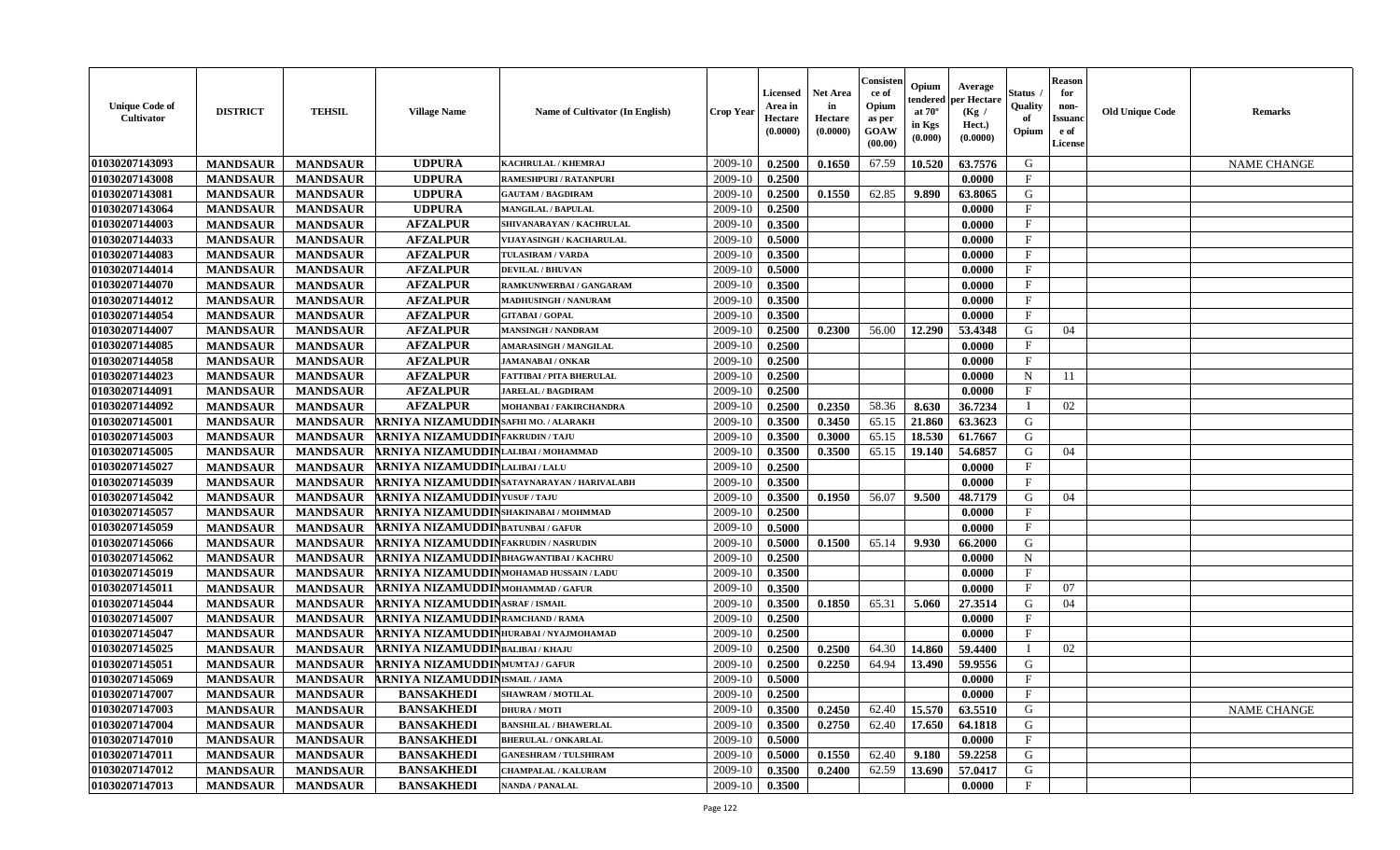| <b>Unique Code of</b><br>Cultivator | <b>DISTRICT</b> | <b>TEHSIL</b>   | <b>Village Name</b>                       | Name of Cultivator (In English)            | Crop Year | Licensed<br>Area in<br>Hectare<br>(0.0000) | <b>Net Area</b><br>in<br>Hectare<br>(0.0000) | Consister<br>ce of<br>Opium<br>as per<br>GOAW<br>(00.00) | Opium<br>endered<br>at $70^\circ$<br>in Kgs<br>$(\mathbf{0.000})$ | Average<br>per Hectare<br>(Kg /<br>Hect.)<br>(0.0000) | Status<br>Quality<br>of<br>Opium | <b>Reason</b><br>for<br>non-<br><b>Issuanc</b><br>e of<br>License | <b>Old Unique Code</b> | <b>Remarks</b>     |
|-------------------------------------|-----------------|-----------------|-------------------------------------------|--------------------------------------------|-----------|--------------------------------------------|----------------------------------------------|----------------------------------------------------------|-------------------------------------------------------------------|-------------------------------------------------------|----------------------------------|-------------------------------------------------------------------|------------------------|--------------------|
| 01030207143093                      | <b>MANDSAUR</b> | <b>MANDSAUR</b> | <b>UDPURA</b>                             | KACHRULAL / KHEMRAJ                        | 2009-10   | 0.2500                                     | 0.1650                                       | 67.59                                                    | 10.520                                                            | 63.7576                                               | G                                |                                                                   |                        | <b>NAME CHANGE</b> |
| 01030207143008                      | <b>MANDSAUR</b> | <b>MANDSAUR</b> | <b>UDPURA</b>                             | <b>RAMESHPURI / RATANPURI</b>              | 2009-10   | 0.2500                                     |                                              |                                                          |                                                                   | 0.0000                                                | $\mathbf{F}$                     |                                                                   |                        |                    |
| 01030207143081                      | <b>MANDSAUR</b> | <b>MANDSAUR</b> | <b>UDPURA</b>                             | <b>GAUTAM / BAGDIRAM</b>                   | 2009-10   | 0.2500                                     | 0.1550                                       | 62.85                                                    | 9.890                                                             | 63.8065                                               | G                                |                                                                   |                        |                    |
| 01030207143064                      | <b>MANDSAUR</b> | <b>MANDSAUR</b> | <b>UDPURA</b>                             | <b>MANGILAL / BAPULAL</b>                  | 2009-10   | 0.2500                                     |                                              |                                                          |                                                                   | 0.0000                                                | $\mathbf{F}$                     |                                                                   |                        |                    |
| 01030207144003                      | <b>MANDSAUR</b> | <b>MANDSAUR</b> | <b>AFZALPUR</b>                           | SHIVANARAYAN / KACHRULAL                   | 2009-10   | 0.3500                                     |                                              |                                                          |                                                                   | 0.0000                                                | $\mathbf{F}$                     |                                                                   |                        |                    |
| 01030207144033                      | <b>MANDSAUR</b> | <b>MANDSAUR</b> | <b>AFZALPUR</b>                           | VIJAYASINGH / KACHARULAL                   | 2009-10   | 0.5000                                     |                                              |                                                          |                                                                   | 0.0000                                                | $\mathbf{F}$                     |                                                                   |                        |                    |
| 01030207144083                      | <b>MANDSAUR</b> | <b>MANDSAUR</b> | <b>AFZALPUR</b>                           | <b>TULASIRAM / VARDA</b>                   | 2009-10   | 0.3500                                     |                                              |                                                          |                                                                   | 0.0000                                                | $\mathbf{F}$                     |                                                                   |                        |                    |
| 01030207144014                      | <b>MANDSAUR</b> | <b>MANDSAUR</b> | <b>AFZALPUR</b>                           | <b>DEVILAL / BHUVAN</b>                    | 2009-10   | 0.5000                                     |                                              |                                                          |                                                                   | 0.0000                                                | $\mathbf{F}$                     |                                                                   |                        |                    |
| 01030207144070                      | <b>MANDSAUR</b> | <b>MANDSAUR</b> | <b>AFZALPUR</b>                           | RAMKUNWERBAI / GANGARAM                    | 2009-10   | 0.3500                                     |                                              |                                                          |                                                                   | 0.0000                                                | $\mathbf{F}$                     |                                                                   |                        |                    |
| 01030207144012                      | <b>MANDSAUR</b> | <b>MANDSAUR</b> | <b>AFZALPUR</b>                           | <b>MADHUSINGH / NANURAM</b>                | 2009-10   | 0.3500                                     |                                              |                                                          |                                                                   | 0.0000                                                | $\mathbf{F}$                     |                                                                   |                        |                    |
| 01030207144054                      | <b>MANDSAUR</b> | <b>MANDSAUR</b> | <b>AFZALPUR</b>                           | <b>GITABAI/GOPAL</b>                       | 2009-10   | 0.3500                                     |                                              |                                                          |                                                                   | 0.0000                                                | $\mathbf{F}$                     |                                                                   |                        |                    |
| 01030207144007                      | <b>MANDSAUR</b> | <b>MANDSAUR</b> | <b>AFZALPUR</b>                           | <b>MANSINGH / NANDRAM</b>                  | 2009-10   | 0.2500                                     | 0.2300                                       | 56.00                                                    | 12.290                                                            | 53.4348                                               | G                                | 04                                                                |                        |                    |
| 01030207144085                      | <b>MANDSAUR</b> | <b>MANDSAUR</b> | <b>AFZALPUR</b>                           | <b>AMARASINGH / MANGILAL</b>               | 2009-10   | 0.2500                                     |                                              |                                                          |                                                                   | 0.0000                                                | $\mathbf{F}$                     |                                                                   |                        |                    |
| 01030207144058                      | <b>MANDSAUR</b> | <b>MANDSAUR</b> | <b>AFZALPUR</b>                           | <b>JAMANABAI/ONKAR</b>                     | 2009-10   | 0.2500                                     |                                              |                                                          |                                                                   | 0.0000                                                | $\mathbf{F}$                     |                                                                   |                        |                    |
| 01030207144023                      | <b>MANDSAUR</b> | <b>MANDSAUR</b> | <b>AFZALPUR</b>                           | FATTIBAI / PITA BHERULAL                   | 2009-10   | 0.2500                                     |                                              |                                                          |                                                                   | 0.0000                                                | N                                | 11                                                                |                        |                    |
| 01030207144091                      | <b>MANDSAUR</b> | <b>MANDSAUR</b> | <b>AFZALPUR</b>                           | <b>JARELAL / BAGDIRAM</b>                  | 2009-10   | 0.2500                                     |                                              |                                                          |                                                                   | 0.0000                                                | $\mathbf{F}$                     |                                                                   |                        |                    |
| 01030207144092                      | <b>MANDSAUR</b> | <b>MANDSAUR</b> | <b>AFZALPUR</b>                           | MOHANBAI / FAKIRCHANDRA                    | 2009-10   | 0.2500                                     | 0.2350                                       | 58.36                                                    | 8.630                                                             | 36.7234                                               | T                                | 02                                                                |                        |                    |
| 01030207145001                      | <b>MANDSAUR</b> | <b>MANDSAUR</b> | ARNIYA NIZAMUDDIN SAFHI MO. / ALARAKH     |                                            | 2009-10   | 0.3500                                     | 0.3450                                       | 65.15                                                    | 21.860                                                            | 63.3623                                               | G                                |                                                                   |                        |                    |
| 01030207145003                      | <b>MANDSAUR</b> | <b>MANDSAUR</b> | <b>ARNIYA NIZAMUDDINFAKRUDIN/TAJU</b>     |                                            | 2009-10   | 0.3500                                     | 0.3000                                       | 65.15                                                    | 18.530                                                            | 61.7667                                               | G                                |                                                                   |                        |                    |
| 01030207145005                      | <b>MANDSAUR</b> | <b>MANDSAUR</b> | ARNIYA NIZAMUDDINLALIBAI/MOHAMMAD         |                                            | 2009-10   | 0.3500                                     | 0.3500                                       | 65.15                                                    | 19.140                                                            | 54.6857                                               | G                                | 04                                                                |                        |                    |
| 01030207145027                      | <b>MANDSAUR</b> | <b>MANDSAUR</b> | ARNIYA NIZAMUDDINLALIBAI/LALU             |                                            | 2009-10   | 0.2500                                     |                                              |                                                          |                                                                   | 0.0000                                                | $\mathbf{F}$                     |                                                                   |                        |                    |
| 01030207145039                      | <b>MANDSAUR</b> | <b>MANDSAUR</b> |                                           | ARNIYA NIZAMUDDINSATAYNARAYAN / HARIVALABH | 2009-10   | 0.3500                                     |                                              |                                                          |                                                                   | 0.0000                                                | $\mathbf{F}$                     |                                                                   |                        |                    |
| 01030207145042                      | <b>MANDSAUR</b> | <b>MANDSAUR</b> | <b>ARNIYA NIZAMUDDIN</b> YUSUF / TAJU     |                                            | 2009-10   | 0.3500                                     | 0.1950                                       | 56.07                                                    | 9.500                                                             | 48.7179                                               | G                                | 04                                                                |                        |                    |
| 01030207145057                      | <b>MANDSAUR</b> | <b>MANDSAUR</b> | ARNIYA NIZAMUDDIN SHAKINABAI / MOHMMAD    |                                            | 2009-10   | 0.2500                                     |                                              |                                                          |                                                                   | 0.0000                                                | $\mathbf F$                      |                                                                   |                        |                    |
| 01030207145059                      | <b>MANDSAUR</b> | <b>MANDSAUR</b> | <b>ARNIYA NIZAMUDDIN</b> BATUNBAI / GAFUR |                                            | 2009-10   | 0.5000                                     |                                              |                                                          |                                                                   | 0.0000                                                | $\mathbf{F}$                     |                                                                   |                        |                    |
| 01030207145066                      | <b>MANDSAUR</b> | <b>MANDSAUR</b> | ARNIYA NIZAMUDDINFAKRUDIN / NASRUDIN      |                                            | 2009-10   | 0.5000                                     | 0.1500                                       | 65.14                                                    | 9.930                                                             | 66.2000                                               | G                                |                                                                   |                        |                    |
| 01030207145062                      | <b>MANDSAUR</b> | <b>MANDSAUR</b> | ARNIYA NIZAMUDDIN BHAGWANTIBAI/KACHRU     |                                            | 2009-10   | 0.2500                                     |                                              |                                                          |                                                                   | 0.0000                                                | $\mathbf N$                      |                                                                   |                        |                    |
| 01030207145019                      | <b>MANDSAUR</b> | <b>MANDSAUR</b> | ARNIYA NIZAMUDDINMOHAMAD HUSSAIN / LADU   |                                            | 2009-10   | 0.3500                                     |                                              |                                                          |                                                                   | 0.0000                                                | $\mathbf{F}$                     |                                                                   |                        |                    |
| 01030207145011                      | <b>MANDSAUR</b> | <b>MANDSAUR</b> | ARNIYA NIZAMUDDINMOHAMMAD / GAFUR         |                                            | 2009-10   | 0.3500                                     |                                              |                                                          |                                                                   | 0.0000                                                | $\mathbf{F}$                     | 07                                                                |                        |                    |
| 01030207145044                      | <b>MANDSAUR</b> | <b>MANDSAUR</b> | <b>ARNIYA NIZAMUDDINASRAF/ISMAIL</b>      |                                            | 2009-10   | 0.3500                                     | 0.1850                                       | 65.31                                                    | 5.060                                                             | 27.3514                                               | G                                | 04                                                                |                        |                    |
| 01030207145007                      | <b>MANDSAUR</b> | <b>MANDSAUR</b> | ARNIYA NIZAMUDDIN RAMCHAND / RAMA         |                                            | 2009-10   | 0.2500                                     |                                              |                                                          |                                                                   | 0.0000                                                | $\mathbf{F}$                     |                                                                   |                        |                    |
| 01030207145047                      | <b>MANDSAUR</b> | <b>MANDSAUR</b> | ARNIYA NIZAMUDDIN HURABAI/NYAJMOHAMAD     |                                            | 2009-10   | 0.2500                                     |                                              |                                                          |                                                                   | 0.0000                                                | $\mathbf{F}$                     |                                                                   |                        |                    |
| 01030207145025                      | <b>MANDSAUR</b> | <b>MANDSAUR</b> | <b>ARNIYA NIZAMUDDIN</b> BALIBAI/KHAJU    |                                            | 2009-10   | 0.2500                                     | 0.2500                                       | 64.30                                                    | 14.860                                                            | 59.4400                                               | - I                              | 02                                                                |                        |                    |
| 01030207145051                      | <b>MANDSAUR</b> | <b>MANDSAUR</b> | ARNIYA NIZAMUDDINMUMTAJ / GAFUR           |                                            | 2009-10   | 0.2500                                     | 0.2250                                       | 64.94                                                    | 13.490                                                            | 59.9556                                               | G                                |                                                                   |                        |                    |
| 01030207145069                      | <b>MANDSAUR</b> | <b>MANDSAUR</b> | <b>ARNIYA NIZAMUDDIN</b> ISMAIL/JAMA      |                                            | 2009-10   | 0.5000                                     |                                              |                                                          |                                                                   | 0.0000                                                | $\mathbf{F}$                     |                                                                   |                        |                    |
| 01030207147007                      | <b>MANDSAUR</b> | <b>MANDSAUR</b> | <b>BANSAKHEDI</b>                         | <b>SHAWRAM / MOTILAL</b>                   | 2009-10   | 0.2500                                     |                                              |                                                          |                                                                   | 0.0000                                                | $\mathbf{F}$                     |                                                                   |                        |                    |
| 01030207147003                      | <b>MANDSAUR</b> | <b>MANDSAUR</b> | <b>BANSAKHEDI</b>                         | <b>DHURA / MOTI</b>                        | 2009-10   | 0.3500                                     | 0.2450                                       | 62.40                                                    | 15.570                                                            | 63.5510                                               | G                                |                                                                   |                        | <b>NAME CHANGE</b> |
| 01030207147004                      | <b>MANDSAUR</b> | <b>MANDSAUR</b> | <b>BANSAKHEDI</b>                         | <b>BANSHILAL / BHAWERLAL</b>               | 2009-10   | 0.3500                                     | 0.2750                                       | 62.40                                                    | 17.650                                                            | 64.1818                                               | G                                |                                                                   |                        |                    |
| 01030207147010                      | <b>MANDSAUR</b> | <b>MANDSAUR</b> | <b>BANSAKHEDI</b>                         | <b>BHERULAL / ONKARLAL</b>                 | 2009-10   | 0.5000                                     |                                              |                                                          |                                                                   | 0.0000                                                | $\mathbf{F}$                     |                                                                   |                        |                    |
| 01030207147011                      | <b>MANDSAUR</b> | <b>MANDSAUR</b> | <b>BANSAKHEDI</b>                         | <b>GANESHRAM / TULSHIRAM</b>               | 2009-10   | 0.5000                                     | 0.1550                                       | 62.40                                                    | 9.180                                                             | 59.2258                                               | ${\bf G}$                        |                                                                   |                        |                    |
| 01030207147012                      | <b>MANDSAUR</b> | <b>MANDSAUR</b> | <b>BANSAKHEDI</b>                         | <b>CHAMPALAL / KALURAM</b>                 | 2009-10   | 0.3500                                     | 0.2400                                       | 62.59                                                    | 13.690                                                            | 57.0417                                               | G                                |                                                                   |                        |                    |
| 01030207147013                      | <b>MANDSAUR</b> | <b>MANDSAUR</b> | <b>BANSAKHEDI</b>                         | <b>NANDA / PANALAL</b>                     | 2009-10   | 0.3500                                     |                                              |                                                          |                                                                   | 0.0000                                                | $\mathbf{F}$                     |                                                                   |                        |                    |
|                                     |                 |                 |                                           |                                            |           |                                            |                                              |                                                          |                                                                   |                                                       |                                  |                                                                   |                        |                    |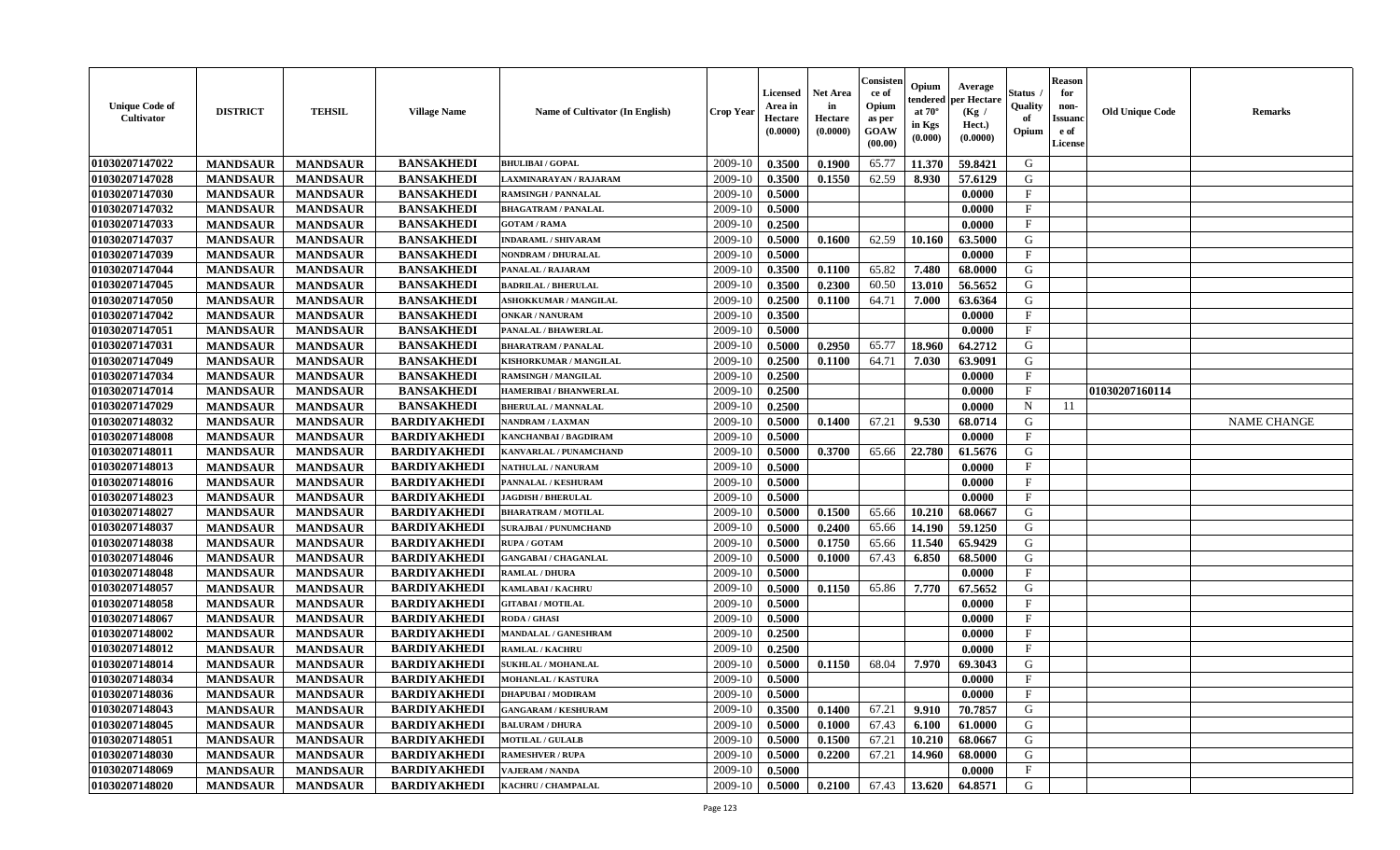| 01030207147022<br><b>MANDSAUR</b><br><b>BANSAKHEDI</b><br>2009-10<br>0.3500<br>0.1900<br>65.77<br>11.370<br>59.8421<br>G<br><b>MANDSAUR</b><br><b>BHULIBAI / GOPAL</b><br>01030207147028<br><b>BANSAKHEDI</b><br>2009-10<br>62.59<br>G<br><b>MANDSAUR</b><br>0.3500<br>0.1550<br>8.930<br>57.6129<br><b>MANDSAUR</b><br>LAXMINARAYAN / RAJARAM<br>01030207147030<br><b>MANDSAUR</b><br><b>BANSAKHEDI</b><br>2009-10<br>0.5000<br>0.0000<br>$\mathbf{F}$<br><b>MANDSAUR</b><br><b>RAMSINGH / PANNALAL</b><br>01030207147032<br><b>MANDSAUR</b><br><b>MANDSAUR</b><br><b>BANSAKHEDI</b><br>2009-10<br>0.5000<br>$\mathbf{F}$<br><b>BHAGATRAM / PANALAL</b><br>0.0000<br>01030207147033<br><b>MANDSAUR</b><br><b>BANSAKHEDI</b><br><b>MANDSAUR</b><br><b>GOTAM / RAMA</b><br>2009-10<br>0.2500<br>0.0000<br>$\mathbf{F}$<br>01030207147037<br><b>MANDSAUR</b><br><b>MANDSAUR</b><br><b>BANSAKHEDI</b><br>0.5000<br>62.59<br>63.5000<br>G<br>2009-10<br>0.1600<br>10.160<br><b>INDARAML / SHIVARAM</b><br>01030207147039<br><b>MANDSAUR</b><br><b>MANDSAUR</b><br><b>BANSAKHEDI</b><br>0.0000<br>$\mathbf F$<br>2009-10<br>0.5000<br>NONDRAM / DHURALAL<br>01030207147044<br><b>BANSAKHEDI</b><br><b>MANDSAUR</b><br><b>MANDSAUR</b><br>2009-10<br>0.3500<br>0.1100<br>65.82<br>7.480<br>68.0000<br>G<br>PANALAL / RAJARAM<br>01030207147045<br><b>BANSAKHEDI</b><br>2009-10<br>60.50<br>13.010<br>56.5652<br>G<br><b>MANDSAUR</b><br><b>MANDSAUR</b><br><b>BADRILAL / BHERULAL</b><br>0.3500<br>0.2300<br>01030207147050<br><b>BANSAKHEDI</b><br>2009-10<br>64.71<br>G<br><b>MANDSAUR</b><br><b>MANDSAUR</b><br>0.2500<br>0.1100<br>7.000<br>63.6364<br><b>ASHOKKUMAR / MANGILAL</b><br>01030207147042<br>2009-10<br>$\mathbf{F}$<br><b>MANDSAUR</b><br><b>MANDSAUR</b><br><b>BANSAKHEDI</b><br>0.3500<br>0.0000<br><b>ONKAR / NANURAM</b><br>01030207147051<br><b>MANDSAUR</b><br><b>MANDSAUR</b><br><b>BANSAKHEDI</b><br>PANALAL / BHAWERLAL<br>2009-10<br>0.5000<br>0.0000<br>$\mathbf{F}$<br><b>MANDSAUR</b><br><b>MANDSAUR</b><br><b>BANSAKHEDI</b><br>0.5000<br>0.2950<br>18.960<br>64.2712<br>G<br>01030207147031<br><b>BHARATRAM / PANALAL</b><br>2009-10<br>65.77<br>01030207147049<br><b>MANDSAUR</b><br><b>MANDSAUR</b><br><b>BANSAKHEDI</b><br>0.1100<br>64.71<br>7.030<br>63.9091<br>G<br>KISHORKUMAR / MANGILAL<br>2009-10<br>0.2500<br>F<br>01030207147034<br><b>MANDSAUR</b><br><b>MANDSAUR</b><br><b>BANSAKHEDI</b><br>0.2500<br>0.0000<br><b>RAMSINGH / MANGILAL</b><br>2009-10<br>01030207147014<br><b>MANDSAUR</b><br><b>BANSAKHEDI</b><br>2009-10<br>0.2500<br>$\mathbf F$<br><b>MANDSAUR</b><br>0.0000<br>01030207160114<br>HAMERIBAI / BHANWERLAL<br><b>BANSAKHEDI</b><br>01030207147029<br><b>MANDSAUR</b><br><b>MANDSAUR</b><br><b>BHERULAL / MANNALAL</b><br>2009-10<br>0.2500<br>0.0000<br>$\mathbf N$<br>11<br>01030207148032<br><b>BARDIYAKHEDI</b><br><b>MANDSAUR</b><br>2009-10<br>0.1400<br>67.21<br>9.530<br>G<br><b>MANDSAUR</b><br>NANDRAM / LAXMAN<br>0.5000<br>68.0714<br><b>NAME CHANGE</b><br>01030207148008<br>2009-10<br>0.5000<br>$\mathbf{F}$<br><b>MANDSAUR</b><br><b>MANDSAUR</b><br><b>BARDIYAKHEDI</b><br>0.0000<br>KANCHANBAI / BAGDIRAM<br>01030207148011<br><b>BARDIYAKHEDI</b><br>2009-10<br>0.5000<br>0.3700<br>22.780<br><b>MANDSAUR</b><br><b>MANDSAUR</b><br>KANVARLAL / PUNAMCHAND<br>65.66<br>61.5676<br>G<br>01030207148013<br><b>MANDSAUR</b><br><b>MANDSAUR</b><br><b>BARDIYAKHEDI</b><br>2009-10<br>0.5000<br>0.0000<br>$\mathbf{F}$<br>NATHULAL / NANURAM<br>01030207148016<br><b>MANDSAUR</b><br><b>MANDSAUR</b><br><b>BARDIYAKHEDI</b><br>2009-10<br>0.5000<br>0.0000<br>$\mathbf{F}$<br>PANNALAL / KESHURAM<br>01030207148023<br><b>MANDSAUR</b><br>$\mathbf{F}$<br><b>MANDSAUR</b><br><b>BARDIYAKHEDI</b><br>2009-10<br>0.5000<br>0.0000<br><b>JAGDISH / BHERULAL</b><br>G<br>01030207148027<br><b>BARDIYAKHEDI</b><br>2009-10<br>65.66<br>10.210<br><b>MANDSAUR</b><br><b>MANDSAUR</b><br>0.5000<br>0.1500<br>68.0667<br><b>BHARATRAM / MOTILAL</b><br>01030207148037<br><b>MANDSAUR</b><br><b>MANDSAUR</b><br><b>BARDIYAKHEDI</b><br>2009-10<br>0.5000<br>0.2400<br>65.66<br>14.190<br>59.1250<br>G<br><b>SURAJBAI / PUNUMCHAND</b><br>01030207148038<br><b>BARDIYAKHEDI</b><br><b>MANDSAUR</b><br><b>MANDSAUR</b><br>2009-10<br>0.5000<br>0.1750<br>65.66<br>11.540<br>65.9429<br>G<br><b>RUPA / GOTAM</b><br>01030207148046<br><b>MANDSAUR</b><br><b>MANDSAUR</b><br><b>BARDIYAKHEDI</b><br>2009-10<br>0.5000<br>0.1000<br>67.43<br>6.850<br>68.5000<br>G<br><b>GANGABAI / CHAGANLAL</b><br>01030207148048<br><b>MANDSAUR</b><br><b>MANDSAUR</b><br><b>BARDIYAKHEDI</b><br>2009-10<br>0.5000<br>0.0000<br>$\mathbf{F}$<br><b>RAMLAL / DHURA</b><br><b>BARDIYAKHEDI</b><br>01030207148057<br><b>MANDSAUR</b><br><b>MANDSAUR</b><br><b>KAMLABAI/KACHRU</b><br>2009-10<br>0.5000<br>0.1150<br>65.86<br>7.770<br>67.5652<br>G<br><b>MANDSAUR</b><br><b>MANDSAUR</b><br><b>BARDIYAKHEDI</b><br>01030207148058<br><b>GITABAI/MOTILAL</b><br>2009-10<br>0.5000<br>0.0000<br>$\mathbf{F}$<br>01030207148067<br><b>MANDSAUR</b><br><b>MANDSAUR</b><br><b>BARDIYAKHEDI</b><br>0.5000<br>$\mathbf{F}$<br><b>RODA / GHASI</b><br>2009-10<br>0.0000<br>01030207148002<br>$\mathbf{F}$<br><b>MANDSAUR</b><br><b>MANDSAUR</b><br><b>BARDIYAKHEDI</b><br>2009-10<br>0.2500<br><b>MANDALAL / GANESHRAM</b><br>0.0000<br>$\mathbf{F}$<br>01030207148012<br><b>MANDSAUR</b><br><b>MANDSAUR</b><br><b>BARDIYAKHEDI</b><br>2009-10<br>0.2500<br><b>RAMLAL / KACHRU</b><br>0.0000<br>01030207148014<br><b>BARDIYAKHEDI</b><br>2009-10<br>68.04<br><b>MANDSAUR</b><br><b>MANDSAUR</b><br>SUKHLAL / MOHANLAL<br>0.5000<br>0.1150<br>7.970<br>69.3043<br>G<br>$\mathbf{F}$<br>01030207148034<br><b>MANDSAUR</b><br><b>MANDSAUR</b><br><b>BARDIYAKHEDI</b><br>2009-10<br>0.5000<br>0.0000<br><b>MOHANLAL / KASTURA</b><br>$\mathbf{F}$<br>01030207148036<br><b>MANDSAUR</b><br><b>MANDSAUR</b><br><b>BARDIYAKHEDI</b><br>2009-10<br>0.5000<br>0.0000<br><b>DHAPUBAI/MODIRAM</b><br>01030207148043<br><b>MANDSAUR</b><br>0.1400<br>67.21<br>9.910<br><b>MANDSAUR</b><br><b>BARDIYAKHEDI</b><br><b>GANGARAM / KESHURAM</b><br>2009-10<br>0.3500<br>70.7857<br>G<br><b>MANDSAUR</b><br><b>MANDSAUR</b><br><b>BARDIYAKHEDI</b><br>0.5000<br>67.43<br>61.0000<br>G<br>01030207148045<br><b>BALURAM / DHURA</b><br>2009-10<br>0.1000<br>6.100<br>01030207148051<br><b>MANDSAUR</b><br><b>MANDSAUR</b><br><b>BARDIYAKHEDI</b><br>67.21<br>10.210<br>G<br>2009-10<br>0.5000<br>0.1500<br>68.0667<br><b>MOTILAL / GULALB</b><br>${\bf G}$<br>01030207148030<br><b>MANDSAUR</b><br><b>MANDSAUR</b><br><b>BARDIYAKHEDI</b><br>0.5000<br>0.2200<br>67.21<br>14.960<br>68.0000<br>2009-10<br><b>RAMESHVER / RUPA</b><br>$\mathbf F$<br>01030207148069<br><b>MANDSAUR</b><br><b>BARDIYAKHEDI</b><br>2009-10<br>0.5000<br>0.0000<br><b>MANDSAUR</b><br><b>VAJERAM / NANDA</b><br>01030207148020<br><b>BARDIYAKHEDI</b><br>2009-10<br>0.5000<br>0.2100<br>67.43<br>13.620<br>G<br><b>MANDSAUR</b><br>KACHRU / CHAMPALAL<br>64.8571<br><b>MANDSAUR</b> | <b>Unique Code of</b><br>Cultivator | <b>DISTRICT</b> | <b>TEHSIL</b> | <b>Village Name</b> | Name of Cultivator (In English) | Crop Year | Licensed<br>Area in<br>Hectare<br>(0.0000) | Net Area<br>in<br>Hectare<br>(0.0000) | Consister<br>ce of<br>Opium<br>as per<br>GOAW<br>(00.00) | Opium<br>endered<br>at $70^\circ$<br>in Kgs<br>(0.000) | Average<br>per Hectare<br>(Kg /<br>Hect.)<br>(0.0000) | Status<br>Quality<br>of<br>Opium | <b>Reason</b><br>for<br>non-<br><b>Issuanc</b><br>e of<br>License | <b>Old Unique Code</b> | Remarks |
|--------------------------------------------------------------------------------------------------------------------------------------------------------------------------------------------------------------------------------------------------------------------------------------------------------------------------------------------------------------------------------------------------------------------------------------------------------------------------------------------------------------------------------------------------------------------------------------------------------------------------------------------------------------------------------------------------------------------------------------------------------------------------------------------------------------------------------------------------------------------------------------------------------------------------------------------------------------------------------------------------------------------------------------------------------------------------------------------------------------------------------------------------------------------------------------------------------------------------------------------------------------------------------------------------------------------------------------------------------------------------------------------------------------------------------------------------------------------------------------------------------------------------------------------------------------------------------------------------------------------------------------------------------------------------------------------------------------------------------------------------------------------------------------------------------------------------------------------------------------------------------------------------------------------------------------------------------------------------------------------------------------------------------------------------------------------------------------------------------------------------------------------------------------------------------------------------------------------------------------------------------------------------------------------------------------------------------------------------------------------------------------------------------------------------------------------------------------------------------------------------------------------------------------------------------------------------------------------------------------------------------------------------------------------------------------------------------------------------------------------------------------------------------------------------------------------------------------------------------------------------------------------------------------------------------------------------------------------------------------------------------------------------------------------------------------------------------------------------------------------------------------------------------------------------------------------------------------------------------------------------------------------------------------------------------------------------------------------------------------------------------------------------------------------------------------------------------------------------------------------------------------------------------------------------------------------------------------------------------------------------------------------------------------------------------------------------------------------------------------------------------------------------------------------------------------------------------------------------------------------------------------------------------------------------------------------------------------------------------------------------------------------------------------------------------------------------------------------------------------------------------------------------------------------------------------------------------------------------------------------------------------------------------------------------------------------------------------------------------------------------------------------------------------------------------------------------------------------------------------------------------------------------------------------------------------------------------------------------------------------------------------------------------------------------------------------------------------------------------------------------------------------------------------------------------------------------------------------------------------------------------------------------------------------------------------------------------------------------------------------------------------------------------------------------------------------------------------------------------------------------------------------------------------------------------------------------------------------------------------------------------------------------------------------------------------------------------------------------------------------------------------------------------------------------------------------------------------------------------------------------------------------------------------------------------------------------------------------------------------------------------------------------------------------------------------------------------------------------------------------------------------------------------------------------------------------------------------------------------------------------------------------------------------------------------------------------------------------------------------------------------------------------------------------------------------------------------------------------------------------------------------------------------------------------------------------------------------------------------------------------------------------------------------------------------------------------------------------------------------------------------------------------------------------------------------------------------------------------------------------------------------------------------------------------------------------------------------------------------------------------------------------------------------------------------------------------------------------------------------------------------------------------------------------------------------------------------------------------------------------------------------------------------------------------------------------------------------------------------------------------------------------------------------------------------------------------------|-------------------------------------|-----------------|---------------|---------------------|---------------------------------|-----------|--------------------------------------------|---------------------------------------|----------------------------------------------------------|--------------------------------------------------------|-------------------------------------------------------|----------------------------------|-------------------------------------------------------------------|------------------------|---------|
|                                                                                                                                                                                                                                                                                                                                                                                                                                                                                                                                                                                                                                                                                                                                                                                                                                                                                                                                                                                                                                                                                                                                                                                                                                                                                                                                                                                                                                                                                                                                                                                                                                                                                                                                                                                                                                                                                                                                                                                                                                                                                                                                                                                                                                                                                                                                                                                                                                                                                                                                                                                                                                                                                                                                                                                                                                                                                                                                                                                                                                                                                                                                                                                                                                                                                                                                                                                                                                                                                                                                                                                                                                                                                                                                                                                                                                                                                                                                                                                                                                                                                                                                                                                                                                                                                                                                                                                                                                                                                                                                                                                                                                                                                                                                                                                                                                                                                                                                                                                                                                                                                                                                                                                                                                                                                                                                                                                                                                                                                                                                                                                                                                                                                                                                                                                                                                                                                                                                                                                                                                                                                                                                                                                                                                                                                                                                                                                                                                                                                                                                                                                                                                                                                                                                                                                                                                                                                                                                                                                                                                                                                |                                     |                 |               |                     |                                 |           |                                            |                                       |                                                          |                                                        |                                                       |                                  |                                                                   |                        |         |
|                                                                                                                                                                                                                                                                                                                                                                                                                                                                                                                                                                                                                                                                                                                                                                                                                                                                                                                                                                                                                                                                                                                                                                                                                                                                                                                                                                                                                                                                                                                                                                                                                                                                                                                                                                                                                                                                                                                                                                                                                                                                                                                                                                                                                                                                                                                                                                                                                                                                                                                                                                                                                                                                                                                                                                                                                                                                                                                                                                                                                                                                                                                                                                                                                                                                                                                                                                                                                                                                                                                                                                                                                                                                                                                                                                                                                                                                                                                                                                                                                                                                                                                                                                                                                                                                                                                                                                                                                                                                                                                                                                                                                                                                                                                                                                                                                                                                                                                                                                                                                                                                                                                                                                                                                                                                                                                                                                                                                                                                                                                                                                                                                                                                                                                                                                                                                                                                                                                                                                                                                                                                                                                                                                                                                                                                                                                                                                                                                                                                                                                                                                                                                                                                                                                                                                                                                                                                                                                                                                                                                                                                                |                                     |                 |               |                     |                                 |           |                                            |                                       |                                                          |                                                        |                                                       |                                  |                                                                   |                        |         |
|                                                                                                                                                                                                                                                                                                                                                                                                                                                                                                                                                                                                                                                                                                                                                                                                                                                                                                                                                                                                                                                                                                                                                                                                                                                                                                                                                                                                                                                                                                                                                                                                                                                                                                                                                                                                                                                                                                                                                                                                                                                                                                                                                                                                                                                                                                                                                                                                                                                                                                                                                                                                                                                                                                                                                                                                                                                                                                                                                                                                                                                                                                                                                                                                                                                                                                                                                                                                                                                                                                                                                                                                                                                                                                                                                                                                                                                                                                                                                                                                                                                                                                                                                                                                                                                                                                                                                                                                                                                                                                                                                                                                                                                                                                                                                                                                                                                                                                                                                                                                                                                                                                                                                                                                                                                                                                                                                                                                                                                                                                                                                                                                                                                                                                                                                                                                                                                                                                                                                                                                                                                                                                                                                                                                                                                                                                                                                                                                                                                                                                                                                                                                                                                                                                                                                                                                                                                                                                                                                                                                                                                                                |                                     |                 |               |                     |                                 |           |                                            |                                       |                                                          |                                                        |                                                       |                                  |                                                                   |                        |         |
|                                                                                                                                                                                                                                                                                                                                                                                                                                                                                                                                                                                                                                                                                                                                                                                                                                                                                                                                                                                                                                                                                                                                                                                                                                                                                                                                                                                                                                                                                                                                                                                                                                                                                                                                                                                                                                                                                                                                                                                                                                                                                                                                                                                                                                                                                                                                                                                                                                                                                                                                                                                                                                                                                                                                                                                                                                                                                                                                                                                                                                                                                                                                                                                                                                                                                                                                                                                                                                                                                                                                                                                                                                                                                                                                                                                                                                                                                                                                                                                                                                                                                                                                                                                                                                                                                                                                                                                                                                                                                                                                                                                                                                                                                                                                                                                                                                                                                                                                                                                                                                                                                                                                                                                                                                                                                                                                                                                                                                                                                                                                                                                                                                                                                                                                                                                                                                                                                                                                                                                                                                                                                                                                                                                                                                                                                                                                                                                                                                                                                                                                                                                                                                                                                                                                                                                                                                                                                                                                                                                                                                                                                |                                     |                 |               |                     |                                 |           |                                            |                                       |                                                          |                                                        |                                                       |                                  |                                                                   |                        |         |
|                                                                                                                                                                                                                                                                                                                                                                                                                                                                                                                                                                                                                                                                                                                                                                                                                                                                                                                                                                                                                                                                                                                                                                                                                                                                                                                                                                                                                                                                                                                                                                                                                                                                                                                                                                                                                                                                                                                                                                                                                                                                                                                                                                                                                                                                                                                                                                                                                                                                                                                                                                                                                                                                                                                                                                                                                                                                                                                                                                                                                                                                                                                                                                                                                                                                                                                                                                                                                                                                                                                                                                                                                                                                                                                                                                                                                                                                                                                                                                                                                                                                                                                                                                                                                                                                                                                                                                                                                                                                                                                                                                                                                                                                                                                                                                                                                                                                                                                                                                                                                                                                                                                                                                                                                                                                                                                                                                                                                                                                                                                                                                                                                                                                                                                                                                                                                                                                                                                                                                                                                                                                                                                                                                                                                                                                                                                                                                                                                                                                                                                                                                                                                                                                                                                                                                                                                                                                                                                                                                                                                                                                                |                                     |                 |               |                     |                                 |           |                                            |                                       |                                                          |                                                        |                                                       |                                  |                                                                   |                        |         |
|                                                                                                                                                                                                                                                                                                                                                                                                                                                                                                                                                                                                                                                                                                                                                                                                                                                                                                                                                                                                                                                                                                                                                                                                                                                                                                                                                                                                                                                                                                                                                                                                                                                                                                                                                                                                                                                                                                                                                                                                                                                                                                                                                                                                                                                                                                                                                                                                                                                                                                                                                                                                                                                                                                                                                                                                                                                                                                                                                                                                                                                                                                                                                                                                                                                                                                                                                                                                                                                                                                                                                                                                                                                                                                                                                                                                                                                                                                                                                                                                                                                                                                                                                                                                                                                                                                                                                                                                                                                                                                                                                                                                                                                                                                                                                                                                                                                                                                                                                                                                                                                                                                                                                                                                                                                                                                                                                                                                                                                                                                                                                                                                                                                                                                                                                                                                                                                                                                                                                                                                                                                                                                                                                                                                                                                                                                                                                                                                                                                                                                                                                                                                                                                                                                                                                                                                                                                                                                                                                                                                                                                                                |                                     |                 |               |                     |                                 |           |                                            |                                       |                                                          |                                                        |                                                       |                                  |                                                                   |                        |         |
|                                                                                                                                                                                                                                                                                                                                                                                                                                                                                                                                                                                                                                                                                                                                                                                                                                                                                                                                                                                                                                                                                                                                                                                                                                                                                                                                                                                                                                                                                                                                                                                                                                                                                                                                                                                                                                                                                                                                                                                                                                                                                                                                                                                                                                                                                                                                                                                                                                                                                                                                                                                                                                                                                                                                                                                                                                                                                                                                                                                                                                                                                                                                                                                                                                                                                                                                                                                                                                                                                                                                                                                                                                                                                                                                                                                                                                                                                                                                                                                                                                                                                                                                                                                                                                                                                                                                                                                                                                                                                                                                                                                                                                                                                                                                                                                                                                                                                                                                                                                                                                                                                                                                                                                                                                                                                                                                                                                                                                                                                                                                                                                                                                                                                                                                                                                                                                                                                                                                                                                                                                                                                                                                                                                                                                                                                                                                                                                                                                                                                                                                                                                                                                                                                                                                                                                                                                                                                                                                                                                                                                                                                |                                     |                 |               |                     |                                 |           |                                            |                                       |                                                          |                                                        |                                                       |                                  |                                                                   |                        |         |
|                                                                                                                                                                                                                                                                                                                                                                                                                                                                                                                                                                                                                                                                                                                                                                                                                                                                                                                                                                                                                                                                                                                                                                                                                                                                                                                                                                                                                                                                                                                                                                                                                                                                                                                                                                                                                                                                                                                                                                                                                                                                                                                                                                                                                                                                                                                                                                                                                                                                                                                                                                                                                                                                                                                                                                                                                                                                                                                                                                                                                                                                                                                                                                                                                                                                                                                                                                                                                                                                                                                                                                                                                                                                                                                                                                                                                                                                                                                                                                                                                                                                                                                                                                                                                                                                                                                                                                                                                                                                                                                                                                                                                                                                                                                                                                                                                                                                                                                                                                                                                                                                                                                                                                                                                                                                                                                                                                                                                                                                                                                                                                                                                                                                                                                                                                                                                                                                                                                                                                                                                                                                                                                                                                                                                                                                                                                                                                                                                                                                                                                                                                                                                                                                                                                                                                                                                                                                                                                                                                                                                                                                                |                                     |                 |               |                     |                                 |           |                                            |                                       |                                                          |                                                        |                                                       |                                  |                                                                   |                        |         |
|                                                                                                                                                                                                                                                                                                                                                                                                                                                                                                                                                                                                                                                                                                                                                                                                                                                                                                                                                                                                                                                                                                                                                                                                                                                                                                                                                                                                                                                                                                                                                                                                                                                                                                                                                                                                                                                                                                                                                                                                                                                                                                                                                                                                                                                                                                                                                                                                                                                                                                                                                                                                                                                                                                                                                                                                                                                                                                                                                                                                                                                                                                                                                                                                                                                                                                                                                                                                                                                                                                                                                                                                                                                                                                                                                                                                                                                                                                                                                                                                                                                                                                                                                                                                                                                                                                                                                                                                                                                                                                                                                                                                                                                                                                                                                                                                                                                                                                                                                                                                                                                                                                                                                                                                                                                                                                                                                                                                                                                                                                                                                                                                                                                                                                                                                                                                                                                                                                                                                                                                                                                                                                                                                                                                                                                                                                                                                                                                                                                                                                                                                                                                                                                                                                                                                                                                                                                                                                                                                                                                                                                                                |                                     |                 |               |                     |                                 |           |                                            |                                       |                                                          |                                                        |                                                       |                                  |                                                                   |                        |         |
|                                                                                                                                                                                                                                                                                                                                                                                                                                                                                                                                                                                                                                                                                                                                                                                                                                                                                                                                                                                                                                                                                                                                                                                                                                                                                                                                                                                                                                                                                                                                                                                                                                                                                                                                                                                                                                                                                                                                                                                                                                                                                                                                                                                                                                                                                                                                                                                                                                                                                                                                                                                                                                                                                                                                                                                                                                                                                                                                                                                                                                                                                                                                                                                                                                                                                                                                                                                                                                                                                                                                                                                                                                                                                                                                                                                                                                                                                                                                                                                                                                                                                                                                                                                                                                                                                                                                                                                                                                                                                                                                                                                                                                                                                                                                                                                                                                                                                                                                                                                                                                                                                                                                                                                                                                                                                                                                                                                                                                                                                                                                                                                                                                                                                                                                                                                                                                                                                                                                                                                                                                                                                                                                                                                                                                                                                                                                                                                                                                                                                                                                                                                                                                                                                                                                                                                                                                                                                                                                                                                                                                                                                |                                     |                 |               |                     |                                 |           |                                            |                                       |                                                          |                                                        |                                                       |                                  |                                                                   |                        |         |
|                                                                                                                                                                                                                                                                                                                                                                                                                                                                                                                                                                                                                                                                                                                                                                                                                                                                                                                                                                                                                                                                                                                                                                                                                                                                                                                                                                                                                                                                                                                                                                                                                                                                                                                                                                                                                                                                                                                                                                                                                                                                                                                                                                                                                                                                                                                                                                                                                                                                                                                                                                                                                                                                                                                                                                                                                                                                                                                                                                                                                                                                                                                                                                                                                                                                                                                                                                                                                                                                                                                                                                                                                                                                                                                                                                                                                                                                                                                                                                                                                                                                                                                                                                                                                                                                                                                                                                                                                                                                                                                                                                                                                                                                                                                                                                                                                                                                                                                                                                                                                                                                                                                                                                                                                                                                                                                                                                                                                                                                                                                                                                                                                                                                                                                                                                                                                                                                                                                                                                                                                                                                                                                                                                                                                                                                                                                                                                                                                                                                                                                                                                                                                                                                                                                                                                                                                                                                                                                                                                                                                                                                                |                                     |                 |               |                     |                                 |           |                                            |                                       |                                                          |                                                        |                                                       |                                  |                                                                   |                        |         |
|                                                                                                                                                                                                                                                                                                                                                                                                                                                                                                                                                                                                                                                                                                                                                                                                                                                                                                                                                                                                                                                                                                                                                                                                                                                                                                                                                                                                                                                                                                                                                                                                                                                                                                                                                                                                                                                                                                                                                                                                                                                                                                                                                                                                                                                                                                                                                                                                                                                                                                                                                                                                                                                                                                                                                                                                                                                                                                                                                                                                                                                                                                                                                                                                                                                                                                                                                                                                                                                                                                                                                                                                                                                                                                                                                                                                                                                                                                                                                                                                                                                                                                                                                                                                                                                                                                                                                                                                                                                                                                                                                                                                                                                                                                                                                                                                                                                                                                                                                                                                                                                                                                                                                                                                                                                                                                                                                                                                                                                                                                                                                                                                                                                                                                                                                                                                                                                                                                                                                                                                                                                                                                                                                                                                                                                                                                                                                                                                                                                                                                                                                                                                                                                                                                                                                                                                                                                                                                                                                                                                                                                                                |                                     |                 |               |                     |                                 |           |                                            |                                       |                                                          |                                                        |                                                       |                                  |                                                                   |                        |         |
|                                                                                                                                                                                                                                                                                                                                                                                                                                                                                                                                                                                                                                                                                                                                                                                                                                                                                                                                                                                                                                                                                                                                                                                                                                                                                                                                                                                                                                                                                                                                                                                                                                                                                                                                                                                                                                                                                                                                                                                                                                                                                                                                                                                                                                                                                                                                                                                                                                                                                                                                                                                                                                                                                                                                                                                                                                                                                                                                                                                                                                                                                                                                                                                                                                                                                                                                                                                                                                                                                                                                                                                                                                                                                                                                                                                                                                                                                                                                                                                                                                                                                                                                                                                                                                                                                                                                                                                                                                                                                                                                                                                                                                                                                                                                                                                                                                                                                                                                                                                                                                                                                                                                                                                                                                                                                                                                                                                                                                                                                                                                                                                                                                                                                                                                                                                                                                                                                                                                                                                                                                                                                                                                                                                                                                                                                                                                                                                                                                                                                                                                                                                                                                                                                                                                                                                                                                                                                                                                                                                                                                                                                |                                     |                 |               |                     |                                 |           |                                            |                                       |                                                          |                                                        |                                                       |                                  |                                                                   |                        |         |
|                                                                                                                                                                                                                                                                                                                                                                                                                                                                                                                                                                                                                                                                                                                                                                                                                                                                                                                                                                                                                                                                                                                                                                                                                                                                                                                                                                                                                                                                                                                                                                                                                                                                                                                                                                                                                                                                                                                                                                                                                                                                                                                                                                                                                                                                                                                                                                                                                                                                                                                                                                                                                                                                                                                                                                                                                                                                                                                                                                                                                                                                                                                                                                                                                                                                                                                                                                                                                                                                                                                                                                                                                                                                                                                                                                                                                                                                                                                                                                                                                                                                                                                                                                                                                                                                                                                                                                                                                                                                                                                                                                                                                                                                                                                                                                                                                                                                                                                                                                                                                                                                                                                                                                                                                                                                                                                                                                                                                                                                                                                                                                                                                                                                                                                                                                                                                                                                                                                                                                                                                                                                                                                                                                                                                                                                                                                                                                                                                                                                                                                                                                                                                                                                                                                                                                                                                                                                                                                                                                                                                                                                                |                                     |                 |               |                     |                                 |           |                                            |                                       |                                                          |                                                        |                                                       |                                  |                                                                   |                        |         |
|                                                                                                                                                                                                                                                                                                                                                                                                                                                                                                                                                                                                                                                                                                                                                                                                                                                                                                                                                                                                                                                                                                                                                                                                                                                                                                                                                                                                                                                                                                                                                                                                                                                                                                                                                                                                                                                                                                                                                                                                                                                                                                                                                                                                                                                                                                                                                                                                                                                                                                                                                                                                                                                                                                                                                                                                                                                                                                                                                                                                                                                                                                                                                                                                                                                                                                                                                                                                                                                                                                                                                                                                                                                                                                                                                                                                                                                                                                                                                                                                                                                                                                                                                                                                                                                                                                                                                                                                                                                                                                                                                                                                                                                                                                                                                                                                                                                                                                                                                                                                                                                                                                                                                                                                                                                                                                                                                                                                                                                                                                                                                                                                                                                                                                                                                                                                                                                                                                                                                                                                                                                                                                                                                                                                                                                                                                                                                                                                                                                                                                                                                                                                                                                                                                                                                                                                                                                                                                                                                                                                                                                                                |                                     |                 |               |                     |                                 |           |                                            |                                       |                                                          |                                                        |                                                       |                                  |                                                                   |                        |         |
|                                                                                                                                                                                                                                                                                                                                                                                                                                                                                                                                                                                                                                                                                                                                                                                                                                                                                                                                                                                                                                                                                                                                                                                                                                                                                                                                                                                                                                                                                                                                                                                                                                                                                                                                                                                                                                                                                                                                                                                                                                                                                                                                                                                                                                                                                                                                                                                                                                                                                                                                                                                                                                                                                                                                                                                                                                                                                                                                                                                                                                                                                                                                                                                                                                                                                                                                                                                                                                                                                                                                                                                                                                                                                                                                                                                                                                                                                                                                                                                                                                                                                                                                                                                                                                                                                                                                                                                                                                                                                                                                                                                                                                                                                                                                                                                                                                                                                                                                                                                                                                                                                                                                                                                                                                                                                                                                                                                                                                                                                                                                                                                                                                                                                                                                                                                                                                                                                                                                                                                                                                                                                                                                                                                                                                                                                                                                                                                                                                                                                                                                                                                                                                                                                                                                                                                                                                                                                                                                                                                                                                                                                |                                     |                 |               |                     |                                 |           |                                            |                                       |                                                          |                                                        |                                                       |                                  |                                                                   |                        |         |
|                                                                                                                                                                                                                                                                                                                                                                                                                                                                                                                                                                                                                                                                                                                                                                                                                                                                                                                                                                                                                                                                                                                                                                                                                                                                                                                                                                                                                                                                                                                                                                                                                                                                                                                                                                                                                                                                                                                                                                                                                                                                                                                                                                                                                                                                                                                                                                                                                                                                                                                                                                                                                                                                                                                                                                                                                                                                                                                                                                                                                                                                                                                                                                                                                                                                                                                                                                                                                                                                                                                                                                                                                                                                                                                                                                                                                                                                                                                                                                                                                                                                                                                                                                                                                                                                                                                                                                                                                                                                                                                                                                                                                                                                                                                                                                                                                                                                                                                                                                                                                                                                                                                                                                                                                                                                                                                                                                                                                                                                                                                                                                                                                                                                                                                                                                                                                                                                                                                                                                                                                                                                                                                                                                                                                                                                                                                                                                                                                                                                                                                                                                                                                                                                                                                                                                                                                                                                                                                                                                                                                                                                                |                                     |                 |               |                     |                                 |           |                                            |                                       |                                                          |                                                        |                                                       |                                  |                                                                   |                        |         |
|                                                                                                                                                                                                                                                                                                                                                                                                                                                                                                                                                                                                                                                                                                                                                                                                                                                                                                                                                                                                                                                                                                                                                                                                                                                                                                                                                                                                                                                                                                                                                                                                                                                                                                                                                                                                                                                                                                                                                                                                                                                                                                                                                                                                                                                                                                                                                                                                                                                                                                                                                                                                                                                                                                                                                                                                                                                                                                                                                                                                                                                                                                                                                                                                                                                                                                                                                                                                                                                                                                                                                                                                                                                                                                                                                                                                                                                                                                                                                                                                                                                                                                                                                                                                                                                                                                                                                                                                                                                                                                                                                                                                                                                                                                                                                                                                                                                                                                                                                                                                                                                                                                                                                                                                                                                                                                                                                                                                                                                                                                                                                                                                                                                                                                                                                                                                                                                                                                                                                                                                                                                                                                                                                                                                                                                                                                                                                                                                                                                                                                                                                                                                                                                                                                                                                                                                                                                                                                                                                                                                                                                                                |                                     |                 |               |                     |                                 |           |                                            |                                       |                                                          |                                                        |                                                       |                                  |                                                                   |                        |         |
|                                                                                                                                                                                                                                                                                                                                                                                                                                                                                                                                                                                                                                                                                                                                                                                                                                                                                                                                                                                                                                                                                                                                                                                                                                                                                                                                                                                                                                                                                                                                                                                                                                                                                                                                                                                                                                                                                                                                                                                                                                                                                                                                                                                                                                                                                                                                                                                                                                                                                                                                                                                                                                                                                                                                                                                                                                                                                                                                                                                                                                                                                                                                                                                                                                                                                                                                                                                                                                                                                                                                                                                                                                                                                                                                                                                                                                                                                                                                                                                                                                                                                                                                                                                                                                                                                                                                                                                                                                                                                                                                                                                                                                                                                                                                                                                                                                                                                                                                                                                                                                                                                                                                                                                                                                                                                                                                                                                                                                                                                                                                                                                                                                                                                                                                                                                                                                                                                                                                                                                                                                                                                                                                                                                                                                                                                                                                                                                                                                                                                                                                                                                                                                                                                                                                                                                                                                                                                                                                                                                                                                                                                |                                     |                 |               |                     |                                 |           |                                            |                                       |                                                          |                                                        |                                                       |                                  |                                                                   |                        |         |
|                                                                                                                                                                                                                                                                                                                                                                                                                                                                                                                                                                                                                                                                                                                                                                                                                                                                                                                                                                                                                                                                                                                                                                                                                                                                                                                                                                                                                                                                                                                                                                                                                                                                                                                                                                                                                                                                                                                                                                                                                                                                                                                                                                                                                                                                                                                                                                                                                                                                                                                                                                                                                                                                                                                                                                                                                                                                                                                                                                                                                                                                                                                                                                                                                                                                                                                                                                                                                                                                                                                                                                                                                                                                                                                                                                                                                                                                                                                                                                                                                                                                                                                                                                                                                                                                                                                                                                                                                                                                                                                                                                                                                                                                                                                                                                                                                                                                                                                                                                                                                                                                                                                                                                                                                                                                                                                                                                                                                                                                                                                                                                                                                                                                                                                                                                                                                                                                                                                                                                                                                                                                                                                                                                                                                                                                                                                                                                                                                                                                                                                                                                                                                                                                                                                                                                                                                                                                                                                                                                                                                                                                                |                                     |                 |               |                     |                                 |           |                                            |                                       |                                                          |                                                        |                                                       |                                  |                                                                   |                        |         |
|                                                                                                                                                                                                                                                                                                                                                                                                                                                                                                                                                                                                                                                                                                                                                                                                                                                                                                                                                                                                                                                                                                                                                                                                                                                                                                                                                                                                                                                                                                                                                                                                                                                                                                                                                                                                                                                                                                                                                                                                                                                                                                                                                                                                                                                                                                                                                                                                                                                                                                                                                                                                                                                                                                                                                                                                                                                                                                                                                                                                                                                                                                                                                                                                                                                                                                                                                                                                                                                                                                                                                                                                                                                                                                                                                                                                                                                                                                                                                                                                                                                                                                                                                                                                                                                                                                                                                                                                                                                                                                                                                                                                                                                                                                                                                                                                                                                                                                                                                                                                                                                                                                                                                                                                                                                                                                                                                                                                                                                                                                                                                                                                                                                                                                                                                                                                                                                                                                                                                                                                                                                                                                                                                                                                                                                                                                                                                                                                                                                                                                                                                                                                                                                                                                                                                                                                                                                                                                                                                                                                                                                                                |                                     |                 |               |                     |                                 |           |                                            |                                       |                                                          |                                                        |                                                       |                                  |                                                                   |                        |         |
|                                                                                                                                                                                                                                                                                                                                                                                                                                                                                                                                                                                                                                                                                                                                                                                                                                                                                                                                                                                                                                                                                                                                                                                                                                                                                                                                                                                                                                                                                                                                                                                                                                                                                                                                                                                                                                                                                                                                                                                                                                                                                                                                                                                                                                                                                                                                                                                                                                                                                                                                                                                                                                                                                                                                                                                                                                                                                                                                                                                                                                                                                                                                                                                                                                                                                                                                                                                                                                                                                                                                                                                                                                                                                                                                                                                                                                                                                                                                                                                                                                                                                                                                                                                                                                                                                                                                                                                                                                                                                                                                                                                                                                                                                                                                                                                                                                                                                                                                                                                                                                                                                                                                                                                                                                                                                                                                                                                                                                                                                                                                                                                                                                                                                                                                                                                                                                                                                                                                                                                                                                                                                                                                                                                                                                                                                                                                                                                                                                                                                                                                                                                                                                                                                                                                                                                                                                                                                                                                                                                                                                                                                |                                     |                 |               |                     |                                 |           |                                            |                                       |                                                          |                                                        |                                                       |                                  |                                                                   |                        |         |
|                                                                                                                                                                                                                                                                                                                                                                                                                                                                                                                                                                                                                                                                                                                                                                                                                                                                                                                                                                                                                                                                                                                                                                                                                                                                                                                                                                                                                                                                                                                                                                                                                                                                                                                                                                                                                                                                                                                                                                                                                                                                                                                                                                                                                                                                                                                                                                                                                                                                                                                                                                                                                                                                                                                                                                                                                                                                                                                                                                                                                                                                                                                                                                                                                                                                                                                                                                                                                                                                                                                                                                                                                                                                                                                                                                                                                                                                                                                                                                                                                                                                                                                                                                                                                                                                                                                                                                                                                                                                                                                                                                                                                                                                                                                                                                                                                                                                                                                                                                                                                                                                                                                                                                                                                                                                                                                                                                                                                                                                                                                                                                                                                                                                                                                                                                                                                                                                                                                                                                                                                                                                                                                                                                                                                                                                                                                                                                                                                                                                                                                                                                                                                                                                                                                                                                                                                                                                                                                                                                                                                                                                                |                                     |                 |               |                     |                                 |           |                                            |                                       |                                                          |                                                        |                                                       |                                  |                                                                   |                        |         |
|                                                                                                                                                                                                                                                                                                                                                                                                                                                                                                                                                                                                                                                                                                                                                                                                                                                                                                                                                                                                                                                                                                                                                                                                                                                                                                                                                                                                                                                                                                                                                                                                                                                                                                                                                                                                                                                                                                                                                                                                                                                                                                                                                                                                                                                                                                                                                                                                                                                                                                                                                                                                                                                                                                                                                                                                                                                                                                                                                                                                                                                                                                                                                                                                                                                                                                                                                                                                                                                                                                                                                                                                                                                                                                                                                                                                                                                                                                                                                                                                                                                                                                                                                                                                                                                                                                                                                                                                                                                                                                                                                                                                                                                                                                                                                                                                                                                                                                                                                                                                                                                                                                                                                                                                                                                                                                                                                                                                                                                                                                                                                                                                                                                                                                                                                                                                                                                                                                                                                                                                                                                                                                                                                                                                                                                                                                                                                                                                                                                                                                                                                                                                                                                                                                                                                                                                                                                                                                                                                                                                                                                                                |                                     |                 |               |                     |                                 |           |                                            |                                       |                                                          |                                                        |                                                       |                                  |                                                                   |                        |         |
|                                                                                                                                                                                                                                                                                                                                                                                                                                                                                                                                                                                                                                                                                                                                                                                                                                                                                                                                                                                                                                                                                                                                                                                                                                                                                                                                                                                                                                                                                                                                                                                                                                                                                                                                                                                                                                                                                                                                                                                                                                                                                                                                                                                                                                                                                                                                                                                                                                                                                                                                                                                                                                                                                                                                                                                                                                                                                                                                                                                                                                                                                                                                                                                                                                                                                                                                                                                                                                                                                                                                                                                                                                                                                                                                                                                                                                                                                                                                                                                                                                                                                                                                                                                                                                                                                                                                                                                                                                                                                                                                                                                                                                                                                                                                                                                                                                                                                                                                                                                                                                                                                                                                                                                                                                                                                                                                                                                                                                                                                                                                                                                                                                                                                                                                                                                                                                                                                                                                                                                                                                                                                                                                                                                                                                                                                                                                                                                                                                                                                                                                                                                                                                                                                                                                                                                                                                                                                                                                                                                                                                                                                |                                     |                 |               |                     |                                 |           |                                            |                                       |                                                          |                                                        |                                                       |                                  |                                                                   |                        |         |
|                                                                                                                                                                                                                                                                                                                                                                                                                                                                                                                                                                                                                                                                                                                                                                                                                                                                                                                                                                                                                                                                                                                                                                                                                                                                                                                                                                                                                                                                                                                                                                                                                                                                                                                                                                                                                                                                                                                                                                                                                                                                                                                                                                                                                                                                                                                                                                                                                                                                                                                                                                                                                                                                                                                                                                                                                                                                                                                                                                                                                                                                                                                                                                                                                                                                                                                                                                                                                                                                                                                                                                                                                                                                                                                                                                                                                                                                                                                                                                                                                                                                                                                                                                                                                                                                                                                                                                                                                                                                                                                                                                                                                                                                                                                                                                                                                                                                                                                                                                                                                                                                                                                                                                                                                                                                                                                                                                                                                                                                                                                                                                                                                                                                                                                                                                                                                                                                                                                                                                                                                                                                                                                                                                                                                                                                                                                                                                                                                                                                                                                                                                                                                                                                                                                                                                                                                                                                                                                                                                                                                                                                                |                                     |                 |               |                     |                                 |           |                                            |                                       |                                                          |                                                        |                                                       |                                  |                                                                   |                        |         |
|                                                                                                                                                                                                                                                                                                                                                                                                                                                                                                                                                                                                                                                                                                                                                                                                                                                                                                                                                                                                                                                                                                                                                                                                                                                                                                                                                                                                                                                                                                                                                                                                                                                                                                                                                                                                                                                                                                                                                                                                                                                                                                                                                                                                                                                                                                                                                                                                                                                                                                                                                                                                                                                                                                                                                                                                                                                                                                                                                                                                                                                                                                                                                                                                                                                                                                                                                                                                                                                                                                                                                                                                                                                                                                                                                                                                                                                                                                                                                                                                                                                                                                                                                                                                                                                                                                                                                                                                                                                                                                                                                                                                                                                                                                                                                                                                                                                                                                                                                                                                                                                                                                                                                                                                                                                                                                                                                                                                                                                                                                                                                                                                                                                                                                                                                                                                                                                                                                                                                                                                                                                                                                                                                                                                                                                                                                                                                                                                                                                                                                                                                                                                                                                                                                                                                                                                                                                                                                                                                                                                                                                                                |                                     |                 |               |                     |                                 |           |                                            |                                       |                                                          |                                                        |                                                       |                                  |                                                                   |                        |         |
|                                                                                                                                                                                                                                                                                                                                                                                                                                                                                                                                                                                                                                                                                                                                                                                                                                                                                                                                                                                                                                                                                                                                                                                                                                                                                                                                                                                                                                                                                                                                                                                                                                                                                                                                                                                                                                                                                                                                                                                                                                                                                                                                                                                                                                                                                                                                                                                                                                                                                                                                                                                                                                                                                                                                                                                                                                                                                                                                                                                                                                                                                                                                                                                                                                                                                                                                                                                                                                                                                                                                                                                                                                                                                                                                                                                                                                                                                                                                                                                                                                                                                                                                                                                                                                                                                                                                                                                                                                                                                                                                                                                                                                                                                                                                                                                                                                                                                                                                                                                                                                                                                                                                                                                                                                                                                                                                                                                                                                                                                                                                                                                                                                                                                                                                                                                                                                                                                                                                                                                                                                                                                                                                                                                                                                                                                                                                                                                                                                                                                                                                                                                                                                                                                                                                                                                                                                                                                                                                                                                                                                                                                |                                     |                 |               |                     |                                 |           |                                            |                                       |                                                          |                                                        |                                                       |                                  |                                                                   |                        |         |
|                                                                                                                                                                                                                                                                                                                                                                                                                                                                                                                                                                                                                                                                                                                                                                                                                                                                                                                                                                                                                                                                                                                                                                                                                                                                                                                                                                                                                                                                                                                                                                                                                                                                                                                                                                                                                                                                                                                                                                                                                                                                                                                                                                                                                                                                                                                                                                                                                                                                                                                                                                                                                                                                                                                                                                                                                                                                                                                                                                                                                                                                                                                                                                                                                                                                                                                                                                                                                                                                                                                                                                                                                                                                                                                                                                                                                                                                                                                                                                                                                                                                                                                                                                                                                                                                                                                                                                                                                                                                                                                                                                                                                                                                                                                                                                                                                                                                                                                                                                                                                                                                                                                                                                                                                                                                                                                                                                                                                                                                                                                                                                                                                                                                                                                                                                                                                                                                                                                                                                                                                                                                                                                                                                                                                                                                                                                                                                                                                                                                                                                                                                                                                                                                                                                                                                                                                                                                                                                                                                                                                                                                                |                                     |                 |               |                     |                                 |           |                                            |                                       |                                                          |                                                        |                                                       |                                  |                                                                   |                        |         |
|                                                                                                                                                                                                                                                                                                                                                                                                                                                                                                                                                                                                                                                                                                                                                                                                                                                                                                                                                                                                                                                                                                                                                                                                                                                                                                                                                                                                                                                                                                                                                                                                                                                                                                                                                                                                                                                                                                                                                                                                                                                                                                                                                                                                                                                                                                                                                                                                                                                                                                                                                                                                                                                                                                                                                                                                                                                                                                                                                                                                                                                                                                                                                                                                                                                                                                                                                                                                                                                                                                                                                                                                                                                                                                                                                                                                                                                                                                                                                                                                                                                                                                                                                                                                                                                                                                                                                                                                                                                                                                                                                                                                                                                                                                                                                                                                                                                                                                                                                                                                                                                                                                                                                                                                                                                                                                                                                                                                                                                                                                                                                                                                                                                                                                                                                                                                                                                                                                                                                                                                                                                                                                                                                                                                                                                                                                                                                                                                                                                                                                                                                                                                                                                                                                                                                                                                                                                                                                                                                                                                                                                                                |                                     |                 |               |                     |                                 |           |                                            |                                       |                                                          |                                                        |                                                       |                                  |                                                                   |                        |         |
|                                                                                                                                                                                                                                                                                                                                                                                                                                                                                                                                                                                                                                                                                                                                                                                                                                                                                                                                                                                                                                                                                                                                                                                                                                                                                                                                                                                                                                                                                                                                                                                                                                                                                                                                                                                                                                                                                                                                                                                                                                                                                                                                                                                                                                                                                                                                                                                                                                                                                                                                                                                                                                                                                                                                                                                                                                                                                                                                                                                                                                                                                                                                                                                                                                                                                                                                                                                                                                                                                                                                                                                                                                                                                                                                                                                                                                                                                                                                                                                                                                                                                                                                                                                                                                                                                                                                                                                                                                                                                                                                                                                                                                                                                                                                                                                                                                                                                                                                                                                                                                                                                                                                                                                                                                                                                                                                                                                                                                                                                                                                                                                                                                                                                                                                                                                                                                                                                                                                                                                                                                                                                                                                                                                                                                                                                                                                                                                                                                                                                                                                                                                                                                                                                                                                                                                                                                                                                                                                                                                                                                                                                |                                     |                 |               |                     |                                 |           |                                            |                                       |                                                          |                                                        |                                                       |                                  |                                                                   |                        |         |
|                                                                                                                                                                                                                                                                                                                                                                                                                                                                                                                                                                                                                                                                                                                                                                                                                                                                                                                                                                                                                                                                                                                                                                                                                                                                                                                                                                                                                                                                                                                                                                                                                                                                                                                                                                                                                                                                                                                                                                                                                                                                                                                                                                                                                                                                                                                                                                                                                                                                                                                                                                                                                                                                                                                                                                                                                                                                                                                                                                                                                                                                                                                                                                                                                                                                                                                                                                                                                                                                                                                                                                                                                                                                                                                                                                                                                                                                                                                                                                                                                                                                                                                                                                                                                                                                                                                                                                                                                                                                                                                                                                                                                                                                                                                                                                                                                                                                                                                                                                                                                                                                                                                                                                                                                                                                                                                                                                                                                                                                                                                                                                                                                                                                                                                                                                                                                                                                                                                                                                                                                                                                                                                                                                                                                                                                                                                                                                                                                                                                                                                                                                                                                                                                                                                                                                                                                                                                                                                                                                                                                                                                                |                                     |                 |               |                     |                                 |           |                                            |                                       |                                                          |                                                        |                                                       |                                  |                                                                   |                        |         |
|                                                                                                                                                                                                                                                                                                                                                                                                                                                                                                                                                                                                                                                                                                                                                                                                                                                                                                                                                                                                                                                                                                                                                                                                                                                                                                                                                                                                                                                                                                                                                                                                                                                                                                                                                                                                                                                                                                                                                                                                                                                                                                                                                                                                                                                                                                                                                                                                                                                                                                                                                                                                                                                                                                                                                                                                                                                                                                                                                                                                                                                                                                                                                                                                                                                                                                                                                                                                                                                                                                                                                                                                                                                                                                                                                                                                                                                                                                                                                                                                                                                                                                                                                                                                                                                                                                                                                                                                                                                                                                                                                                                                                                                                                                                                                                                                                                                                                                                                                                                                                                                                                                                                                                                                                                                                                                                                                                                                                                                                                                                                                                                                                                                                                                                                                                                                                                                                                                                                                                                                                                                                                                                                                                                                                                                                                                                                                                                                                                                                                                                                                                                                                                                                                                                                                                                                                                                                                                                                                                                                                                                                                |                                     |                 |               |                     |                                 |           |                                            |                                       |                                                          |                                                        |                                                       |                                  |                                                                   |                        |         |
|                                                                                                                                                                                                                                                                                                                                                                                                                                                                                                                                                                                                                                                                                                                                                                                                                                                                                                                                                                                                                                                                                                                                                                                                                                                                                                                                                                                                                                                                                                                                                                                                                                                                                                                                                                                                                                                                                                                                                                                                                                                                                                                                                                                                                                                                                                                                                                                                                                                                                                                                                                                                                                                                                                                                                                                                                                                                                                                                                                                                                                                                                                                                                                                                                                                                                                                                                                                                                                                                                                                                                                                                                                                                                                                                                                                                                                                                                                                                                                                                                                                                                                                                                                                                                                                                                                                                                                                                                                                                                                                                                                                                                                                                                                                                                                                                                                                                                                                                                                                                                                                                                                                                                                                                                                                                                                                                                                                                                                                                                                                                                                                                                                                                                                                                                                                                                                                                                                                                                                                                                                                                                                                                                                                                                                                                                                                                                                                                                                                                                                                                                                                                                                                                                                                                                                                                                                                                                                                                                                                                                                                                                |                                     |                 |               |                     |                                 |           |                                            |                                       |                                                          |                                                        |                                                       |                                  |                                                                   |                        |         |
|                                                                                                                                                                                                                                                                                                                                                                                                                                                                                                                                                                                                                                                                                                                                                                                                                                                                                                                                                                                                                                                                                                                                                                                                                                                                                                                                                                                                                                                                                                                                                                                                                                                                                                                                                                                                                                                                                                                                                                                                                                                                                                                                                                                                                                                                                                                                                                                                                                                                                                                                                                                                                                                                                                                                                                                                                                                                                                                                                                                                                                                                                                                                                                                                                                                                                                                                                                                                                                                                                                                                                                                                                                                                                                                                                                                                                                                                                                                                                                                                                                                                                                                                                                                                                                                                                                                                                                                                                                                                                                                                                                                                                                                                                                                                                                                                                                                                                                                                                                                                                                                                                                                                                                                                                                                                                                                                                                                                                                                                                                                                                                                                                                                                                                                                                                                                                                                                                                                                                                                                                                                                                                                                                                                                                                                                                                                                                                                                                                                                                                                                                                                                                                                                                                                                                                                                                                                                                                                                                                                                                                                                                |                                     |                 |               |                     |                                 |           |                                            |                                       |                                                          |                                                        |                                                       |                                  |                                                                   |                        |         |
|                                                                                                                                                                                                                                                                                                                                                                                                                                                                                                                                                                                                                                                                                                                                                                                                                                                                                                                                                                                                                                                                                                                                                                                                                                                                                                                                                                                                                                                                                                                                                                                                                                                                                                                                                                                                                                                                                                                                                                                                                                                                                                                                                                                                                                                                                                                                                                                                                                                                                                                                                                                                                                                                                                                                                                                                                                                                                                                                                                                                                                                                                                                                                                                                                                                                                                                                                                                                                                                                                                                                                                                                                                                                                                                                                                                                                                                                                                                                                                                                                                                                                                                                                                                                                                                                                                                                                                                                                                                                                                                                                                                                                                                                                                                                                                                                                                                                                                                                                                                                                                                                                                                                                                                                                                                                                                                                                                                                                                                                                                                                                                                                                                                                                                                                                                                                                                                                                                                                                                                                                                                                                                                                                                                                                                                                                                                                                                                                                                                                                                                                                                                                                                                                                                                                                                                                                                                                                                                                                                                                                                                                                |                                     |                 |               |                     |                                 |           |                                            |                                       |                                                          |                                                        |                                                       |                                  |                                                                   |                        |         |
|                                                                                                                                                                                                                                                                                                                                                                                                                                                                                                                                                                                                                                                                                                                                                                                                                                                                                                                                                                                                                                                                                                                                                                                                                                                                                                                                                                                                                                                                                                                                                                                                                                                                                                                                                                                                                                                                                                                                                                                                                                                                                                                                                                                                                                                                                                                                                                                                                                                                                                                                                                                                                                                                                                                                                                                                                                                                                                                                                                                                                                                                                                                                                                                                                                                                                                                                                                                                                                                                                                                                                                                                                                                                                                                                                                                                                                                                                                                                                                                                                                                                                                                                                                                                                                                                                                                                                                                                                                                                                                                                                                                                                                                                                                                                                                                                                                                                                                                                                                                                                                                                                                                                                                                                                                                                                                                                                                                                                                                                                                                                                                                                                                                                                                                                                                                                                                                                                                                                                                                                                                                                                                                                                                                                                                                                                                                                                                                                                                                                                                                                                                                                                                                                                                                                                                                                                                                                                                                                                                                                                                                                                |                                     |                 |               |                     |                                 |           |                                            |                                       |                                                          |                                                        |                                                       |                                  |                                                                   |                        |         |
|                                                                                                                                                                                                                                                                                                                                                                                                                                                                                                                                                                                                                                                                                                                                                                                                                                                                                                                                                                                                                                                                                                                                                                                                                                                                                                                                                                                                                                                                                                                                                                                                                                                                                                                                                                                                                                                                                                                                                                                                                                                                                                                                                                                                                                                                                                                                                                                                                                                                                                                                                                                                                                                                                                                                                                                                                                                                                                                                                                                                                                                                                                                                                                                                                                                                                                                                                                                                                                                                                                                                                                                                                                                                                                                                                                                                                                                                                                                                                                                                                                                                                                                                                                                                                                                                                                                                                                                                                                                                                                                                                                                                                                                                                                                                                                                                                                                                                                                                                                                                                                                                                                                                                                                                                                                                                                                                                                                                                                                                                                                                                                                                                                                                                                                                                                                                                                                                                                                                                                                                                                                                                                                                                                                                                                                                                                                                                                                                                                                                                                                                                                                                                                                                                                                                                                                                                                                                                                                                                                                                                                                                                |                                     |                 |               |                     |                                 |           |                                            |                                       |                                                          |                                                        |                                                       |                                  |                                                                   |                        |         |
|                                                                                                                                                                                                                                                                                                                                                                                                                                                                                                                                                                                                                                                                                                                                                                                                                                                                                                                                                                                                                                                                                                                                                                                                                                                                                                                                                                                                                                                                                                                                                                                                                                                                                                                                                                                                                                                                                                                                                                                                                                                                                                                                                                                                                                                                                                                                                                                                                                                                                                                                                                                                                                                                                                                                                                                                                                                                                                                                                                                                                                                                                                                                                                                                                                                                                                                                                                                                                                                                                                                                                                                                                                                                                                                                                                                                                                                                                                                                                                                                                                                                                                                                                                                                                                                                                                                                                                                                                                                                                                                                                                                                                                                                                                                                                                                                                                                                                                                                                                                                                                                                                                                                                                                                                                                                                                                                                                                                                                                                                                                                                                                                                                                                                                                                                                                                                                                                                                                                                                                                                                                                                                                                                                                                                                                                                                                                                                                                                                                                                                                                                                                                                                                                                                                                                                                                                                                                                                                                                                                                                                                                                |                                     |                 |               |                     |                                 |           |                                            |                                       |                                                          |                                                        |                                                       |                                  |                                                                   |                        |         |
|                                                                                                                                                                                                                                                                                                                                                                                                                                                                                                                                                                                                                                                                                                                                                                                                                                                                                                                                                                                                                                                                                                                                                                                                                                                                                                                                                                                                                                                                                                                                                                                                                                                                                                                                                                                                                                                                                                                                                                                                                                                                                                                                                                                                                                                                                                                                                                                                                                                                                                                                                                                                                                                                                                                                                                                                                                                                                                                                                                                                                                                                                                                                                                                                                                                                                                                                                                                                                                                                                                                                                                                                                                                                                                                                                                                                                                                                                                                                                                                                                                                                                                                                                                                                                                                                                                                                                                                                                                                                                                                                                                                                                                                                                                                                                                                                                                                                                                                                                                                                                                                                                                                                                                                                                                                                                                                                                                                                                                                                                                                                                                                                                                                                                                                                                                                                                                                                                                                                                                                                                                                                                                                                                                                                                                                                                                                                                                                                                                                                                                                                                                                                                                                                                                                                                                                                                                                                                                                                                                                                                                                                                |                                     |                 |               |                     |                                 |           |                                            |                                       |                                                          |                                                        |                                                       |                                  |                                                                   |                        |         |
|                                                                                                                                                                                                                                                                                                                                                                                                                                                                                                                                                                                                                                                                                                                                                                                                                                                                                                                                                                                                                                                                                                                                                                                                                                                                                                                                                                                                                                                                                                                                                                                                                                                                                                                                                                                                                                                                                                                                                                                                                                                                                                                                                                                                                                                                                                                                                                                                                                                                                                                                                                                                                                                                                                                                                                                                                                                                                                                                                                                                                                                                                                                                                                                                                                                                                                                                                                                                                                                                                                                                                                                                                                                                                                                                                                                                                                                                                                                                                                                                                                                                                                                                                                                                                                                                                                                                                                                                                                                                                                                                                                                                                                                                                                                                                                                                                                                                                                                                                                                                                                                                                                                                                                                                                                                                                                                                                                                                                                                                                                                                                                                                                                                                                                                                                                                                                                                                                                                                                                                                                                                                                                                                                                                                                                                                                                                                                                                                                                                                                                                                                                                                                                                                                                                                                                                                                                                                                                                                                                                                                                                                                |                                     |                 |               |                     |                                 |           |                                            |                                       |                                                          |                                                        |                                                       |                                  |                                                                   |                        |         |
|                                                                                                                                                                                                                                                                                                                                                                                                                                                                                                                                                                                                                                                                                                                                                                                                                                                                                                                                                                                                                                                                                                                                                                                                                                                                                                                                                                                                                                                                                                                                                                                                                                                                                                                                                                                                                                                                                                                                                                                                                                                                                                                                                                                                                                                                                                                                                                                                                                                                                                                                                                                                                                                                                                                                                                                                                                                                                                                                                                                                                                                                                                                                                                                                                                                                                                                                                                                                                                                                                                                                                                                                                                                                                                                                                                                                                                                                                                                                                                                                                                                                                                                                                                                                                                                                                                                                                                                                                                                                                                                                                                                                                                                                                                                                                                                                                                                                                                                                                                                                                                                                                                                                                                                                                                                                                                                                                                                                                                                                                                                                                                                                                                                                                                                                                                                                                                                                                                                                                                                                                                                                                                                                                                                                                                                                                                                                                                                                                                                                                                                                                                                                                                                                                                                                                                                                                                                                                                                                                                                                                                                                                |                                     |                 |               |                     |                                 |           |                                            |                                       |                                                          |                                                        |                                                       |                                  |                                                                   |                        |         |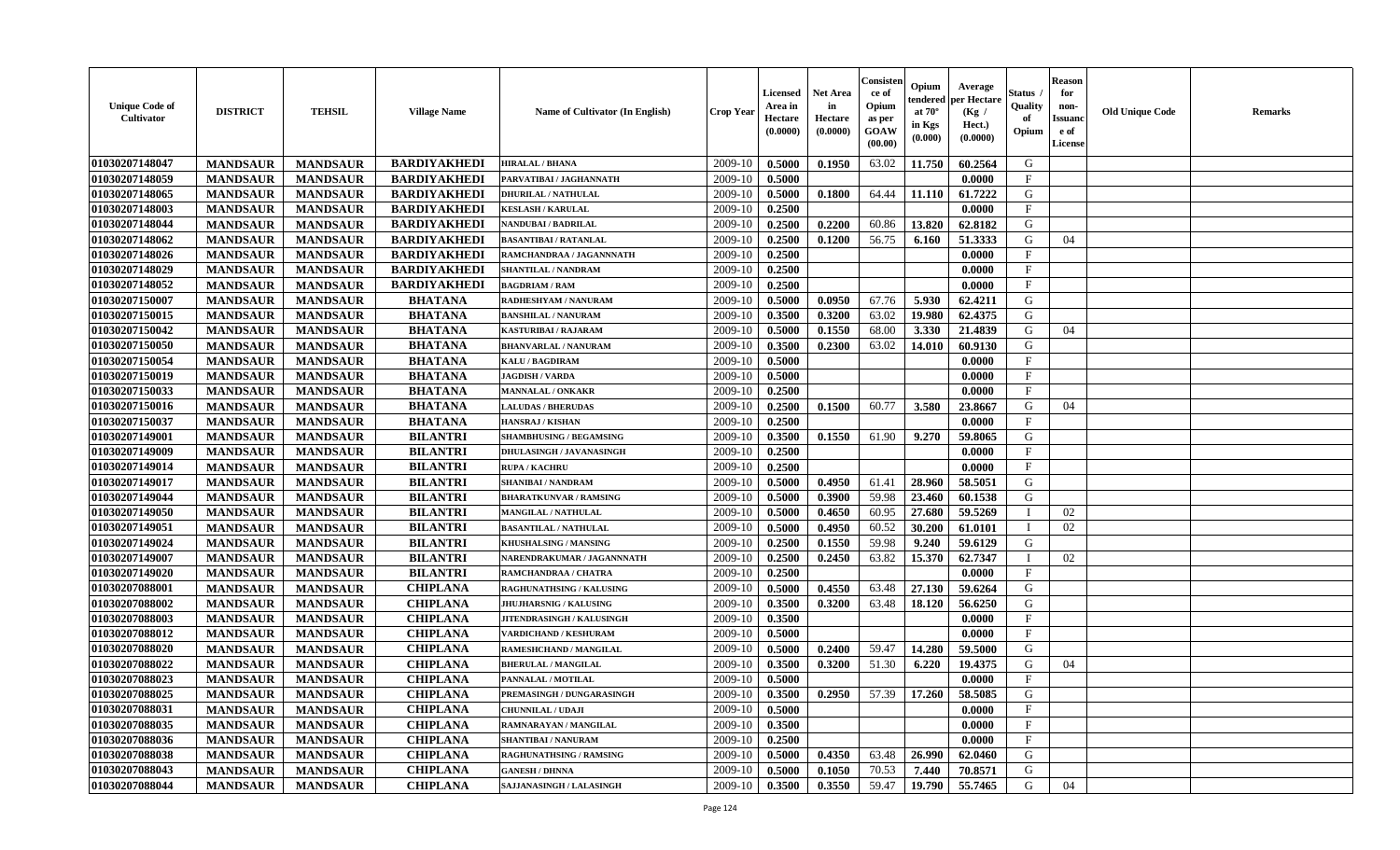| 01030207148047<br><b>BARDIYAKHEDI</b><br>2009-10<br>0.5000<br>0.1950<br>63.02<br>11.750<br>60.2564<br>G<br><b>MANDSAUR</b><br><b>MANDSAUR</b><br><b>HIRALAL / BHANA</b>                 |  |
|-----------------------------------------------------------------------------------------------------------------------------------------------------------------------------------------|--|
|                                                                                                                                                                                         |  |
| 01030207148059<br><b>BARDIYAKHEDI</b><br>2009-10<br>$\mathbf{F}$<br><b>MANDSAUR</b><br>0.5000<br>0.0000<br><b>MANDSAUR</b><br>PARVATIBAI / JAGHANNATH                                   |  |
| 2009-10<br>0.1800<br>64.44<br>11.110<br>61.7222<br>01030207148065<br><b>MANDSAUR</b><br><b>MANDSAUR</b><br><b>BARDIYAKHEDI</b><br><b>DHURILAL / NATHULAL</b><br>0.5000<br>G             |  |
| 01030207148003<br><b>MANDSAUR</b><br><b>MANDSAUR</b><br><b>BARDIYAKHEDI</b><br>0.2500<br>0.0000<br>$\mathbf{F}$<br><b>KESLASH / KARULAL</b><br>2009-10                                  |  |
| 01030207148044<br><b>MANDSAUR</b><br><b>MANDSAUR</b><br><b>BARDIYAKHEDI</b><br>2009-10<br>0.2500<br>0.2200<br>60.86<br>13.820<br>62.8182<br>G<br>NANDUBAI / BADRILAL                    |  |
| 01030207148062<br><b>MANDSAUR</b><br><b>MANDSAUR</b><br><b>BARDIYAKHEDI</b><br>56.75<br>51.3333<br>G<br>2009-10<br>0.2500<br>0.1200<br>6.160<br>04<br><b>BASANTIBAI / RATANLAL</b>      |  |
| 01030207148026<br><b>MANDSAUR</b><br><b>BARDIYAKHEDI</b><br><b>MANDSAUR</b><br>2009-10<br>0.2500<br>0.0000<br>$_{\rm F}$<br>RAMCHANDRAA / JAGANNNATH                                    |  |
| 01030207148029<br><b>BARDIYAKHEDI</b><br><b>MANDSAUR</b><br><b>MANDSAUR</b><br>2009-10<br>0.2500<br>$\mathbf{F}$<br>0.0000<br>SHANTILAL / NANDRAM                                       |  |
| 01030207148052<br><b>BARDIYAKHEDI</b><br><b>MANDSAUR</b><br><b>MANDSAUR</b><br>2009-10<br>0.2500<br>0.0000<br>$\mathbf F$<br><b>BAGDRIAM / RAM</b>                                      |  |
| 01030207150007<br><b>BHATANA</b><br>G<br><b>MANDSAUR</b><br>2009-10<br>0.5000<br>0.0950<br>67.76<br>5.930<br>62.4211<br><b>MANDSAUR</b><br>RADHESHYAM / NANURAM                         |  |
| 01030207150015<br><b>MANDSAUR</b><br><b>MANDSAUR</b><br><b>BHATANA</b><br>2009-10<br>0.3500<br>0.3200<br>63.02<br>19.980<br>62.4375<br>G<br><b>BANSHILAL / NANURAM</b>                  |  |
| 01030207150042<br><b>MANDSAUR</b><br><b>MANDSAUR</b><br><b>BHATANA</b><br>2009-10<br>0.5000<br>0.1550<br>68.00<br>3.330<br>21.4839<br><b>KASTURIBAI / RAJARAM</b><br>G<br>04            |  |
| <b>BHATANA</b><br>01030207150050<br><b>MANDSAUR</b><br><b>MANDSAUR</b><br>2009-10<br>0.3500<br>0.2300<br>63.02<br>14.010<br>60.9130<br>G<br><b>BHANVARLAL / NANURAM</b>                 |  |
| 01030207150054<br><b>MANDSAUR</b><br><b>BHATANA</b><br>$\mathbf{F}$<br><b>MANDSAUR</b><br>2009-10<br>0.5000<br>0.0000<br>KALU / BAGDIRAM                                                |  |
| 01030207150019<br><b>MANDSAUR</b><br><b>BHATANA</b><br>$\mathbf F$<br><b>MANDSAUR</b><br>2009-10<br>0.5000<br>JAGDISH / VARDA<br>0.0000                                                 |  |
| 01030207150033<br><b>MANDSAUR</b><br><b>BHATANA</b><br><b>MANDSAUR</b><br>2009-10<br>0.2500<br>0.0000<br>$\mathbf F$<br><b>MANNALAL / ONKAKR</b>                                        |  |
| 01030207150016<br><b>BHATANA</b><br><b>MANDSAUR</b><br><b>MANDSAUR</b><br>2009-10<br>0.2500<br>0.1500<br>60.77<br>3.580<br>23.8667<br>G<br>04<br><b>LALUDAS / BHERUDAS</b>              |  |
| 01030207150037<br><b>BHATANA</b><br>2009-10<br>$\mathbf{F}$<br><b>MANDSAUR</b><br><b>MANDSAUR</b><br>0.2500<br>0.0000<br><b>HANSRAJ / KISHAN</b>                                        |  |
| 0.1550<br>01030207149001<br><b>MANDSAUR</b><br><b>MANDSAUR</b><br><b>BILANTRI</b><br>2009-10<br>0.3500<br>61.90<br>9.270<br>59.8065<br>G<br><b>SHAMBHUSING / BEGAMSING</b>              |  |
| 01030207149009<br><b>MANDSAUR</b><br><b>MANDSAUR</b><br><b>BILANTRI</b><br>2009-10<br>0.2500<br>0.0000<br>$\mathbf{F}$<br>DHULASINGH / JAVANASINGH                                      |  |
| 01030207149014<br><b>MANDSAUR</b><br><b>BILANTRI</b><br><b>MANDSAUR</b><br><b>RUPA / KACHRU</b><br>2009-10<br>0.2500<br>0.0000<br>$\mathbf{F}$                                          |  |
| 01030207149017<br><b>MANDSAUR</b><br><b>MANDSAUR</b><br><b>BILANTRI</b><br>0.4950<br>28.960<br>58.5051<br>G<br>2009-10<br>0.5000<br>61.41<br><b>SHANIBAI / NANDRAM</b>                  |  |
| 01030207149044<br><b>MANDSAUR</b><br><b>MANDSAUR</b><br><b>BILANTRI</b><br>59.98<br>23.460<br>G<br>2009-10<br>0.5000<br>0.3900<br>60.1538<br><b>BHARATKUNVAR / RAMSING</b>              |  |
| <b>BILANTRI</b><br>60.95<br>01030207149050<br><b>MANDSAUR</b><br><b>MANDSAUR</b><br>2009-10<br>0.5000<br>0.4650<br>27.680<br>59.5269<br>02<br>MANGILAL / NATHULAL                       |  |
| <b>BILANTRI</b><br>01030207149051<br><b>MANDSAUR</b><br>2009-10<br>60.52<br>30.200<br>02<br><b>MANDSAUR</b><br>0.5000<br>0.4950<br>61.0101<br><b>BASANTILAL / NATHULAL</b>              |  |
| 01030207149024<br><b>BILANTRI</b><br>0.1550<br>59.98<br>G<br><b>MANDSAUR</b><br><b>MANDSAUR</b><br>2009-10<br>0.2500<br>9.240<br>59.6129<br><b>KHUSHALSING / MANSING</b>                |  |
| 01030207149007<br>0.2450<br>63.82<br>15.370<br>62.7347<br><b>MANDSAUR</b><br><b>MANDSAUR</b><br><b>BILANTRI</b><br>2009-10<br>0.2500<br>02<br>NARENDRAKUMAR / JAGANNNATH<br>$\mathbf I$ |  |
| 01030207149020<br><b>MANDSAUR</b><br><b>MANDSAUR</b><br><b>BILANTRI</b><br>2009-10<br>0.2500<br>0.0000<br>$\mathbf{F}$<br>RAMCHANDRAA / CHATRA                                          |  |
| <b>MANDSAUR</b><br><b>MANDSAUR</b><br><b>CHIPLANA</b><br>0.4550<br>63.48<br>27.130<br>59.6264<br>01030207088001<br>RAGHUNATHSING / KALUSING<br>2009-10<br>0.5000<br>G                   |  |
| 01030207088002<br><b>MANDSAUR</b><br><b>MANDSAUR</b><br><b>CHIPLANA</b><br>0.3200<br>63.48<br>18.120<br>56.6250<br>G<br>2009-10<br>0.3500<br><b>JHUJHARSNIG / KALUSING</b>              |  |
| 01030207088003<br><b>MANDSAUR</b><br><b>MANDSAUR</b><br><b>CHIPLANA</b><br>0.3500<br>0.0000<br>$\mathbf F$<br>2009-10<br>JITENDRASINGH / KALUSINGH                                      |  |
| 01030207088012<br><b>CHIPLANA</b><br><b>MANDSAUR</b><br><b>MANDSAUR</b><br>2009-10<br>0.5000<br>0.0000<br>$_{\rm F}$<br>VARDICHAND / KESHURAM                                           |  |
| 01030207088020<br><b>CHIPLANA</b><br>59.47<br>14.280<br>G<br><b>MANDSAUR</b><br><b>MANDSAUR</b><br>2009-10<br>0.5000<br>0.2400<br>59.5000<br>RAMESHCHAND / MANGILAL                     |  |
| <b>CHIPLANA</b><br>01030207088022<br><b>MANDSAUR</b><br>2009-10<br>0.3200<br>51.30<br>6.220<br>19.4375<br>G<br>04<br><b>MANDSAUR</b><br>0.3500<br><b>BHERULAL / MANGILAL</b>            |  |
| 01030207088023<br>$\mathbf{F}$<br><b>MANDSAUR</b><br><b>MANDSAUR</b><br><b>CHIPLANA</b><br>2009-10<br>0.5000<br>0.0000<br>PANNALAL / MOTILAL                                            |  |
| 17.260<br>01030207088025<br><b>MANDSAUR</b><br><b>MANDSAUR</b><br><b>CHIPLANA</b><br>2009-10<br>0.3500<br>0.2950<br>57.39<br>58.5085<br>G<br>PREMASINGH / DUNGARASINGH                  |  |
| 01030207088031<br><b>MANDSAUR</b><br><b>MANDSAUR</b><br><b>CHIPLANA</b><br>CHUNNILAL / UDAJI<br>2009-10<br>0.5000<br>0.0000<br>$\mathbf{F}$                                             |  |
| 01030207088035<br><b>MANDSAUR</b><br><b>MANDSAUR</b><br><b>CHIPLANA</b><br>2009-10<br>0.3500<br>0.0000<br>$\mathbf{F}$<br>RAMNARAYAN / MANGILAL                                         |  |
| 01030207088036<br><b>MANDSAUR</b><br><b>MANDSAUR</b><br><b>CHIPLANA</b><br>0.0000<br>$\mathbf{F}$<br>2009-10<br>0.2500<br><b>SHANTIBAI / NANURAM</b>                                    |  |
| <b>CHIPLANA</b><br>0.4350<br>63.48<br>26.990<br>G<br>01030207088038<br><b>MANDSAUR</b><br><b>MANDSAUR</b><br>2009-10<br>0.5000<br>62.0460<br>RAGHUNATHSING / RAMSING                    |  |
| 01030207088043<br><b>CHIPLANA</b><br>70.53<br>70.8571<br>G<br><b>MANDSAUR</b><br><b>MANDSAUR</b><br>2009-10<br>0.5000<br>0.1050<br>7.440<br><b>GANESH / DHNNA</b>                       |  |
| 59.47<br>01030207088044<br><b>CHIPLANA</b><br>2009-10<br>0.3500<br>0.3550<br>19.790<br>55.7465<br>G<br>04<br><b>MANDSAUR</b><br><b>MANDSAUR</b><br>SAJJANASINGH / LALASINGH             |  |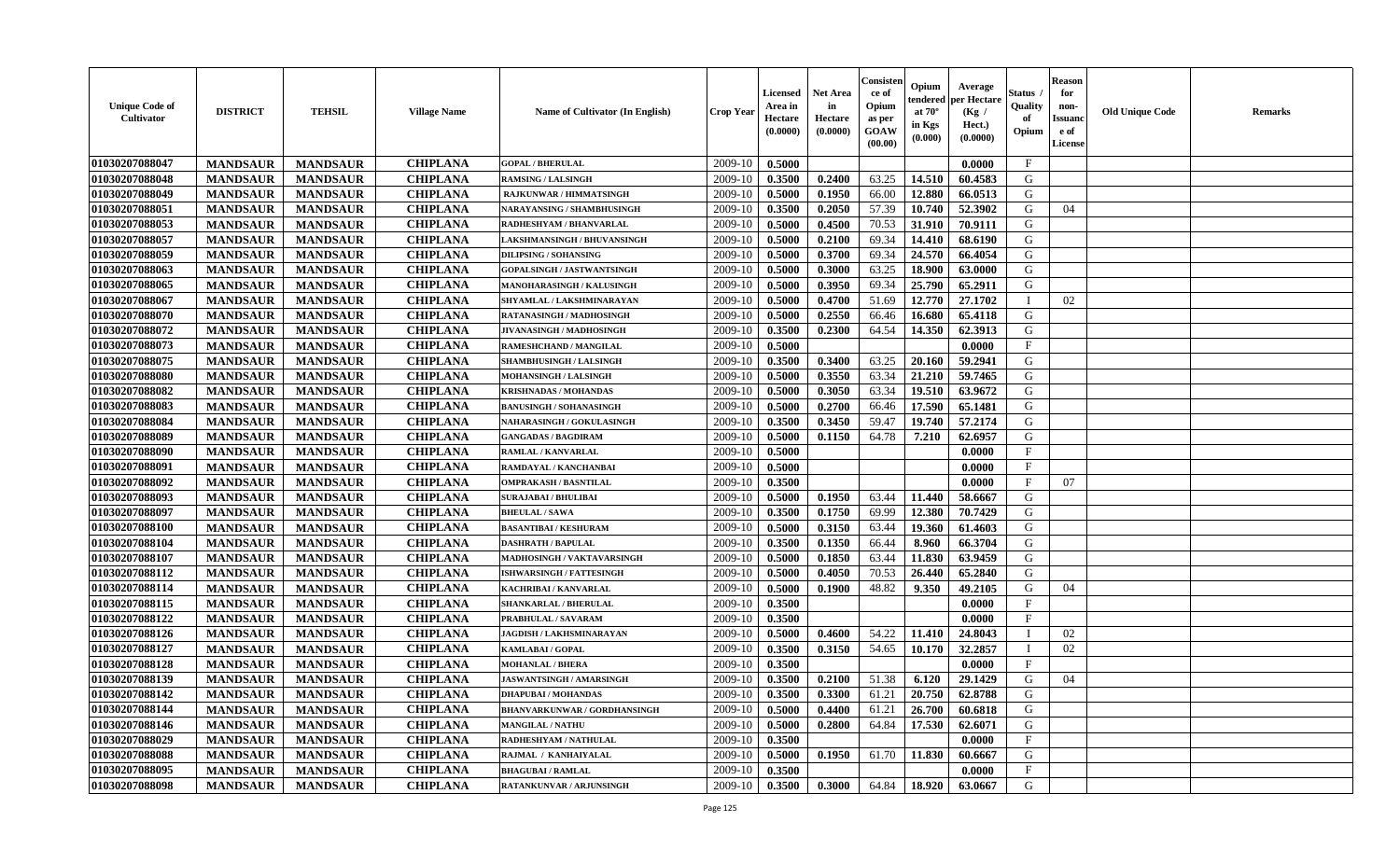| <b>Unique Code of</b><br>Cultivator | <b>DISTRICT</b> | <b>TEHSIL</b>   | <b>Village Name</b> | Name of Cultivator (In English)     | <b>Crop Year</b> | <b>Licensed</b><br>Area in<br>Hectare<br>(0.0000) | <b>Net Area</b><br>in<br>Hectare<br>(0.0000) | Consister<br>ce of<br>Opium<br>as per<br>GOAW<br>(00.00) | Opium<br>endered<br>at $70^{\circ}$<br>in Kgs<br>(0.000) | Average<br>per Hectare<br>(Kg /<br>Hect.)<br>(0.0000) | Status<br>Quality<br>of<br>Opium | <b>Reason</b><br>for<br>non-<br><b>Issuand</b><br>e of<br>License | <b>Old Unique Code</b> | <b>Remarks</b> |
|-------------------------------------|-----------------|-----------------|---------------------|-------------------------------------|------------------|---------------------------------------------------|----------------------------------------------|----------------------------------------------------------|----------------------------------------------------------|-------------------------------------------------------|----------------------------------|-------------------------------------------------------------------|------------------------|----------------|
| 01030207088047                      | <b>MANDSAUR</b> | <b>MANDSAUR</b> | <b>CHIPLANA</b>     | <b>GOPAL / BHERULAL</b>             | 2009-10          | 0.5000                                            |                                              |                                                          |                                                          | 0.0000                                                | $\mathbf{F}$                     |                                                                   |                        |                |
| 01030207088048                      | <b>MANDSAUR</b> | <b>MANDSAUR</b> | <b>CHIPLANA</b>     | <b>RAMSING / LALSINGH</b>           | 2009-10          | 0.3500                                            | 0.2400                                       | 63.25                                                    | 14.510                                                   | 60.4583                                               | G                                |                                                                   |                        |                |
| 01030207088049                      | <b>MANDSAUR</b> | <b>MANDSAUR</b> | <b>CHIPLANA</b>     | <b>RAJKUNWAR / HIMMATSINGH</b>      | 2009-10          | 0.5000                                            | 0.1950                                       | 66.00                                                    | 12.880                                                   | 66.0513                                               | G                                |                                                                   |                        |                |
| 01030207088051                      | <b>MANDSAUR</b> | <b>MANDSAUR</b> | <b>CHIPLANA</b>     | NARAYANSING / SHAMBHUSINGH          | 2009-10          | 0.3500                                            | 0.2050                                       | 57.39                                                    | 10.740                                                   | 52.3902                                               | G                                | 04                                                                |                        |                |
| 01030207088053                      | <b>MANDSAUR</b> | <b>MANDSAUR</b> | <b>CHIPLANA</b>     | RADHESHYAM / BHANVARLAL             | 2009-10          | 0.5000                                            | 0.4500                                       | 70.53                                                    | 31.910                                                   | 70.9111                                               | G                                |                                                                   |                        |                |
| 01030207088057                      | <b>MANDSAUR</b> | <b>MANDSAUR</b> | <b>CHIPLANA</b>     | LAKSHMANSINGH / BHUVANSINGH         | 2009-10          | 0.5000                                            | 0.2100                                       | 69.34                                                    | 14.410                                                   | 68.6190                                               | G                                |                                                                   |                        |                |
| 01030207088059                      | <b>MANDSAUR</b> | <b>MANDSAUR</b> | <b>CHIPLANA</b>     | <b>DILIPSING / SOHANSING</b>        | 2009-10          | 0.5000                                            | 0.3700                                       | 69.34                                                    | 24.570                                                   | 66.4054                                               | ${\bf G}$                        |                                                                   |                        |                |
| 01030207088063                      | <b>MANDSAUR</b> | <b>MANDSAUR</b> | <b>CHIPLANA</b>     | GOPALSINGH / JASTWANTSINGH          | 2009-10          | 0.5000                                            | 0.3000                                       | 63.25                                                    | 18.900                                                   | 63.0000                                               | G                                |                                                                   |                        |                |
| 01030207088065                      | <b>MANDSAUR</b> | <b>MANDSAUR</b> | <b>CHIPLANA</b>     | MANOHARASINGH / KALUSINGH           | 2009-10          | 0.5000                                            | 0.3950                                       | 69.34                                                    | 25.790                                                   | 65.2911                                               | G                                |                                                                   |                        |                |
| 01030207088067                      | <b>MANDSAUR</b> | <b>MANDSAUR</b> | <b>CHIPLANA</b>     | SHYAMLAL / LAKSHMINARAYAN           | 2009-10          | 0.5000                                            | 0.4700                                       | 51.69                                                    | 12.770                                                   | 27.1702                                               | $\mathbf I$                      | 02                                                                |                        |                |
| 01030207088070                      | <b>MANDSAUR</b> | <b>MANDSAUR</b> | <b>CHIPLANA</b>     | RATANASINGH / MADHOSINGH            | 2009-10          | 0.5000                                            | 0.2550                                       | 66.46                                                    | 16.680                                                   | 65.4118                                               | G                                |                                                                   |                        |                |
| 01030207088072                      | <b>MANDSAUR</b> | <b>MANDSAUR</b> | <b>CHIPLANA</b>     | JIVANASINGH / MADHOSINGH            | 2009-10          | 0.3500                                            | 0.2300                                       | 64.54                                                    | 14.350                                                   | 62.3913                                               | G                                |                                                                   |                        |                |
| 01030207088073                      | <b>MANDSAUR</b> | <b>MANDSAUR</b> | <b>CHIPLANA</b>     | <b>RAMESHCHAND / MANGILAL</b>       | 2009-10          | 0.5000                                            |                                              |                                                          |                                                          | 0.0000                                                | $\mathbf{F}$                     |                                                                   |                        |                |
| 01030207088075                      | <b>MANDSAUR</b> | <b>MANDSAUR</b> | <b>CHIPLANA</b>     | <b>SHAMBHUSINGH / LALSINGH</b>      | 2009-10          | 0.3500                                            | 0.3400                                       | 63.25                                                    | 20.160                                                   | 59.2941                                               | G                                |                                                                   |                        |                |
| 01030207088080                      | <b>MANDSAUR</b> | <b>MANDSAUR</b> | <b>CHIPLANA</b>     | <b>MOHANSINGH / LALSINGH</b>        | 2009-10          | 0.5000                                            | 0.3550                                       | 63.34                                                    | 21.210                                                   | 59.7465                                               | G                                |                                                                   |                        |                |
| 01030207088082                      | <b>MANDSAUR</b> | <b>MANDSAUR</b> | <b>CHIPLANA</b>     | <b>KRISHNADAS / MOHANDAS</b>        | 2009-10          | 0.5000                                            | 0.3050                                       | 63.34                                                    | 19.510                                                   | 63.9672                                               | G                                |                                                                   |                        |                |
| 01030207088083                      | <b>MANDSAUR</b> | <b>MANDSAUR</b> | <b>CHIPLANA</b>     | <b>BANUSINGH / SOHANASINGH</b>      | 2009-10          | 0.5000                                            | 0.2700                                       | 66.46                                                    | 17.590                                                   | 65.1481                                               | G                                |                                                                   |                        |                |
| 01030207088084                      | <b>MANDSAUR</b> | <b>MANDSAUR</b> | <b>CHIPLANA</b>     | NAHARASINGH / GOKULASINGH           | 2009-10          | 0.3500                                            | 0.3450                                       | 59.47                                                    | 19.740                                                   | 57.2174                                               | G                                |                                                                   |                        |                |
| 01030207088089                      | <b>MANDSAUR</b> | <b>MANDSAUR</b> | <b>CHIPLANA</b>     | <b>GANGADAS / BAGDIRAM</b>          | 2009-10          | 0.5000                                            | 0.1150                                       | 64.78                                                    | 7.210                                                    | 62.6957                                               | G                                |                                                                   |                        |                |
| 01030207088090                      | <b>MANDSAUR</b> | <b>MANDSAUR</b> | <b>CHIPLANA</b>     | RAMLAL / KANVARLAL                  | 2009-10          | 0.5000                                            |                                              |                                                          |                                                          | 0.0000                                                | $\mathbf{F}$                     |                                                                   |                        |                |
| 01030207088091                      | <b>MANDSAUR</b> | <b>MANDSAUR</b> | <b>CHIPLANA</b>     | RAMDAYAL / KANCHANBAI               | 2009-10          | 0.5000                                            |                                              |                                                          |                                                          | 0.0000                                                | $\mathbf F$                      |                                                                   |                        |                |
| 01030207088092                      | <b>MANDSAUR</b> | <b>MANDSAUR</b> | <b>CHIPLANA</b>     | <b>OMPRAKASH / BASNTILAL</b>        | 2009-10          | 0.3500                                            |                                              |                                                          |                                                          | 0.0000                                                | $\mathbf{F}$                     | 07                                                                |                        |                |
| 01030207088093                      | <b>MANDSAUR</b> | <b>MANDSAUR</b> | <b>CHIPLANA</b>     | <b>SURAJABAI / BHULIBAI</b>         | 2009-10          | 0.5000                                            | 0.1950                                       | 63.44                                                    | 11.440                                                   | 58.6667                                               | G                                |                                                                   |                        |                |
| 01030207088097                      | <b>MANDSAUR</b> | <b>MANDSAUR</b> | <b>CHIPLANA</b>     | <b>BHEULAL/SAWA</b>                 | 2009-10          | 0.3500                                            | 0.1750                                       | 69.99                                                    | 12.380                                                   | 70.7429                                               | G                                |                                                                   |                        |                |
| 01030207088100                      | <b>MANDSAUR</b> | <b>MANDSAUR</b> | <b>CHIPLANA</b>     | <b>BASANTIBAI / KESHURAM</b>        | 2009-10          | 0.5000                                            | 0.3150                                       | 63.44                                                    | 19.360                                                   | 61.4603                                               | G                                |                                                                   |                        |                |
| 01030207088104                      | <b>MANDSAUR</b> | <b>MANDSAUR</b> | <b>CHIPLANA</b>     | <b>DASHRATH / BAPULAL</b>           | 2009-10          | 0.3500                                            | 0.1350                                       | 66.44                                                    | 8.960                                                    | 66.3704                                               | G                                |                                                                   |                        |                |
| 01030207088107                      | <b>MANDSAUR</b> | <b>MANDSAUR</b> | <b>CHIPLANA</b>     | MADHOSINGH / VAKTAVARSINGH          | 2009-10          | 0.5000                                            | 0.1850                                       | 63.44                                                    | 11.830                                                   | 63.9459                                               | G                                |                                                                   |                        |                |
| 01030207088112                      | <b>MANDSAUR</b> | <b>MANDSAUR</b> | <b>CHIPLANA</b>     | ISHWARSINGH / FATTESINGH            | 2009-10          | 0.5000                                            | 0.4050                                       | 70.53                                                    | 26.440                                                   | 65.2840                                               | G                                |                                                                   |                        |                |
| 01030207088114                      | <b>MANDSAUR</b> | <b>MANDSAUR</b> | <b>CHIPLANA</b>     | KACHRIBAI / KANVARLAL               | 2009-10          | 0.5000                                            | 0.1900                                       | 48.82                                                    | 9.350                                                    | 49.2105                                               | G                                | 04                                                                |                        |                |
| 01030207088115                      | <b>MANDSAUR</b> | <b>MANDSAUR</b> | <b>CHIPLANA</b>     | <b>SHANKARLAL / BHERULAL</b>        | 2009-10          | 0.3500                                            |                                              |                                                          |                                                          | 0.0000                                                | $\mathbf F$                      |                                                                   |                        |                |
| 01030207088122                      | <b>MANDSAUR</b> | <b>MANDSAUR</b> | <b>CHIPLANA</b>     | PRABHULAL / SAVARAM                 | 2009-10          | 0.3500                                            |                                              |                                                          |                                                          | 0.0000                                                | $\mathbf{F}$                     |                                                                   |                        |                |
| 01030207088126                      | <b>MANDSAUR</b> | <b>MANDSAUR</b> | <b>CHIPLANA</b>     | JAGDISH / LAKHSMINARAYAN            | 2009-10          | 0.5000                                            | 0.4600                                       | 54.22                                                    | 11.410                                                   | 24.8043                                               |                                  | 02                                                                |                        |                |
| 01030207088127                      | <b>MANDSAUR</b> | <b>MANDSAUR</b> | <b>CHIPLANA</b>     | KAMLABAI / GOPAL                    | 2009-10          | 0.3500                                            | 0.3150                                       | 54.65                                                    | 10.170                                                   | 32.2857                                               | $\mathbf{I}$                     | 02                                                                |                        |                |
| 01030207088128                      | <b>MANDSAUR</b> | <b>MANDSAUR</b> | <b>CHIPLANA</b>     | <b>MOHANLAL / BHERA</b>             | 2009-10          | 0.3500                                            |                                              |                                                          |                                                          | 0.0000                                                | $\mathbf{F}$                     |                                                                   |                        |                |
| 01030207088139                      | <b>MANDSAUR</b> | <b>MANDSAUR</b> | <b>CHIPLANA</b>     | <b>JASWANTSINGH / AMARSINGH</b>     | 2009-10          | 0.3500                                            | 0.2100                                       | 51.38                                                    | 6.120                                                    | 29.1429                                               | G                                | 04                                                                |                        |                |
| 01030207088142                      | <b>MANDSAUR</b> | <b>MANDSAUR</b> | <b>CHIPLANA</b>     | <b>DHAPUBAI/MOHANDAS</b>            | 2009-10          | 0.3500                                            | 0.3300                                       | 61.21                                                    | 20.750                                                   | 62.8788                                               | G                                |                                                                   |                        |                |
| 01030207088144                      | <b>MANDSAUR</b> | <b>MANDSAUR</b> | <b>CHIPLANA</b>     | <b>BHANVARKUNWAR / GORDHANSINGH</b> | 2009-10          | 0.5000                                            | 0.4400                                       | 61.21                                                    | 26.700                                                   | 60.6818                                               | G                                |                                                                   |                        |                |
| 01030207088146                      | <b>MANDSAUR</b> | <b>MANDSAUR</b> | <b>CHIPLANA</b>     | <b>MANGILAL / NATHU</b>             | 2009-10          | 0.5000                                            | 0.2800                                       | 64.84                                                    | 17.530                                                   | 62.6071                                               | G                                |                                                                   |                        |                |
| 01030207088029                      | <b>MANDSAUR</b> | <b>MANDSAUR</b> | <b>CHIPLANA</b>     | RADHESHYAM / NATHULAL               | 2009-10          | 0.3500                                            |                                              |                                                          |                                                          | 0.0000                                                | $\mathbf{F}$                     |                                                                   |                        |                |
| 01030207088088                      | <b>MANDSAUR</b> | <b>MANDSAUR</b> | <b>CHIPLANA</b>     | RAJMAL / KANHAIYALAL                | 2009-10          | 0.5000                                            | 0.1950                                       | 61.70                                                    | 11.830                                                   | 60.6667                                               | G                                |                                                                   |                        |                |
| 01030207088095                      | <b>MANDSAUR</b> | <b>MANDSAUR</b> | <b>CHIPLANA</b>     | <b>BHAGUBAI/RAMLAL</b>              | 2009-10          | 0.3500                                            |                                              |                                                          |                                                          | 0.0000                                                | $\mathbf{F}$                     |                                                                   |                        |                |
| 01030207088098                      |                 |                 | <b>CHIPLANA</b>     |                                     | 2009-10          | 0.3500                                            | 0.3000                                       | 64.84                                                    | 18.920                                                   | 63.0667                                               | G                                |                                                                   |                        |                |
|                                     | <b>MANDSAUR</b> | <b>MANDSAUR</b> |                     | RATANKUNVAR / ARJUNSINGH            |                  |                                                   |                                              |                                                          |                                                          |                                                       |                                  |                                                                   |                        |                |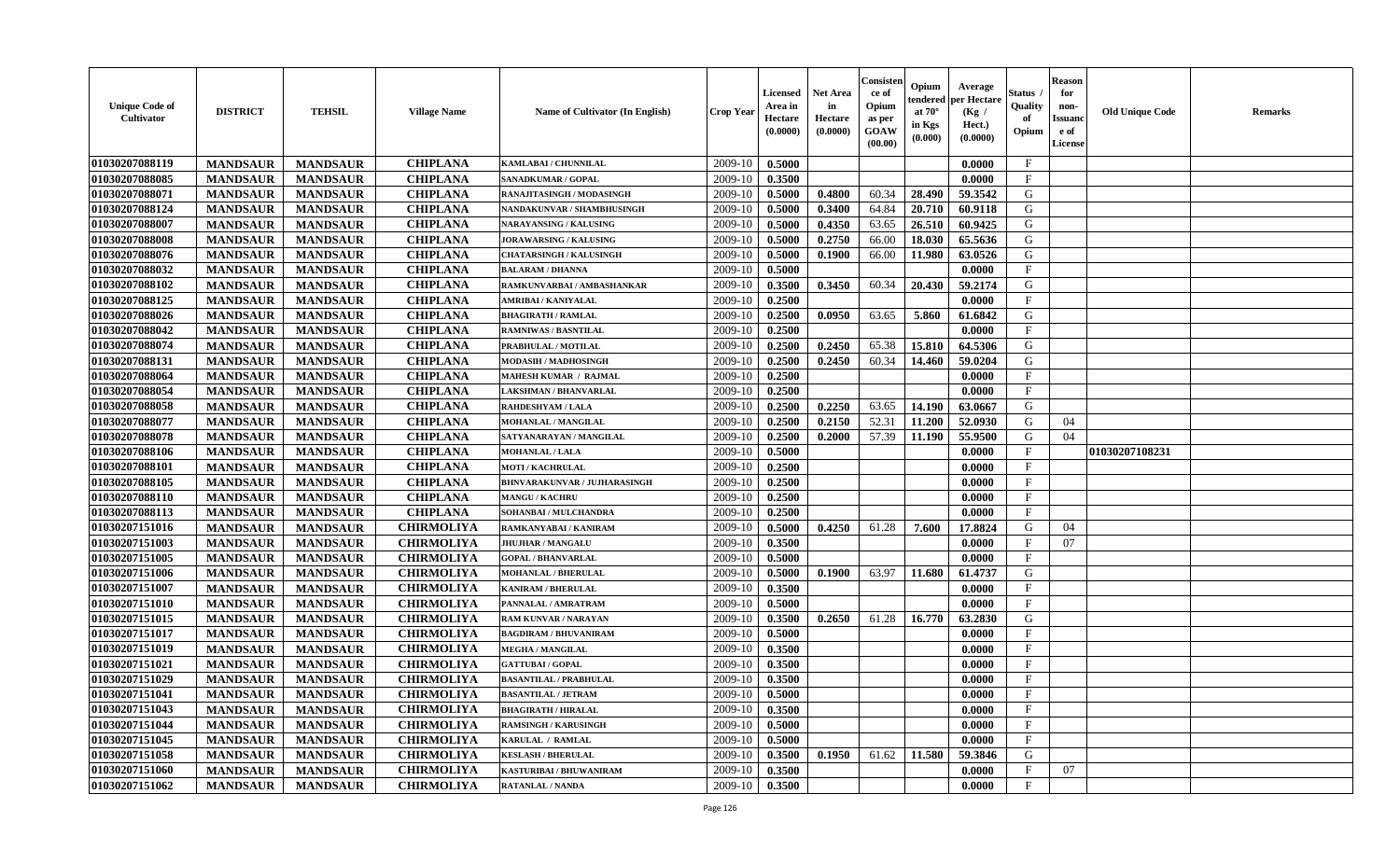| <b>Unique Code of</b><br>Cultivator | <b>DISTRICT</b> | <b>TEHSIL</b>   | <b>Village Name</b> | Name of Cultivator (In English) | <b>Crop Year</b> | <b>Licensed</b><br>Area in<br>Hectare<br>(0.0000) | <b>Net Area</b><br>in<br>Hectare<br>(0.0000) | Consister<br>ce of<br>Opium<br>as per<br>GOAW<br>(00.00) | Opium<br>endered<br>at $70^\circ$<br>in Kgs<br>(0.000) | Average<br>per Hectare<br>(Kg /<br>Hect.)<br>(0.0000) | Status<br>Quality<br>of<br>Opium | <b>Reason</b><br>for<br>non-<br><b>Issuanc</b><br>e of<br>License | <b>Old Unique Code</b> | <b>Remarks</b> |
|-------------------------------------|-----------------|-----------------|---------------------|---------------------------------|------------------|---------------------------------------------------|----------------------------------------------|----------------------------------------------------------|--------------------------------------------------------|-------------------------------------------------------|----------------------------------|-------------------------------------------------------------------|------------------------|----------------|
| 01030207088119                      | <b>MANDSAUR</b> | <b>MANDSAUR</b> | <b>CHIPLANA</b>     | <b>KAMLABAI/CHUNNILAL</b>       | 2009-10          | 0.5000                                            |                                              |                                                          |                                                        | 0.0000                                                | $\mathbf{F}$                     |                                                                   |                        |                |
| 01030207088085                      | <b>MANDSAUR</b> | <b>MANDSAUR</b> | <b>CHIPLANA</b>     | SANADKUMAR / GOPAL              | 2009-10          | 0.3500                                            |                                              |                                                          |                                                        | 0.0000                                                | $\mathbf F$                      |                                                                   |                        |                |
| 01030207088071                      | <b>MANDSAUR</b> | <b>MANDSAUR</b> | <b>CHIPLANA</b>     | RANAJITASINGH / MODASINGH       | 2009-10          | 0.5000                                            | 0.4800                                       | 60.34                                                    | 28.490                                                 | 59.3542                                               | G                                |                                                                   |                        |                |
| 01030207088124                      | <b>MANDSAUR</b> | <b>MANDSAUR</b> | <b>CHIPLANA</b>     | NANDAKUNVAR / SHAMBHUSINGH      | 2009-10          | 0.5000                                            | 0.3400                                       | 64.84                                                    | 20.710                                                 | 60.9118                                               | G                                |                                                                   |                        |                |
| 01030207088007                      | <b>MANDSAUR</b> | <b>MANDSAUR</b> | <b>CHIPLANA</b>     | <b>NARAYANSING / KALUSING</b>   | 2009-10          | 0.5000                                            | 0.4350                                       | 63.65                                                    | 26.510                                                 | 60.9425                                               | G                                |                                                                   |                        |                |
| 01030207088008                      | <b>MANDSAUR</b> | <b>MANDSAUR</b> | <b>CHIPLANA</b>     | <b>JORAWARSING / KALUSING</b>   | 2009-10          | 0.5000                                            | 0.2750                                       | 66.00                                                    | 18.030                                                 | 65.5636                                               | G                                |                                                                   |                        |                |
| 01030207088076                      | <b>MANDSAUR</b> | <b>MANDSAUR</b> | <b>CHIPLANA</b>     | <b>CHATARSINGH / KALUSINGH</b>  | 2009-10          | 0.5000                                            | 0.1900                                       | 66.00                                                    | 11.980                                                 | 63.0526                                               | G                                |                                                                   |                        |                |
| 01030207088032                      | <b>MANDSAUR</b> | <b>MANDSAUR</b> | <b>CHIPLANA</b>     | <b>BALARAM / DHANNA</b>         | 2009-10          | 0.5000                                            |                                              |                                                          |                                                        | 0.0000                                                | $\mathbf{F}$                     |                                                                   |                        |                |
| 01030207088102                      | <b>MANDSAUR</b> | <b>MANDSAUR</b> | <b>CHIPLANA</b>     | RAMKUNVARBAI / AMBASHANKAR      | 2009-10          | 0.3500                                            | 0.3450                                       | 60.34                                                    | 20.430                                                 | 59.2174                                               | G                                |                                                                   |                        |                |
| 01030207088125                      | <b>MANDSAUR</b> | <b>MANDSAUR</b> | <b>CHIPLANA</b>     | AMRIBAI / KANIYALAL             | 2009-10          | 0.2500                                            |                                              |                                                          |                                                        | 0.0000                                                | $\mathbf{F}$                     |                                                                   |                        |                |
| 01030207088026                      | <b>MANDSAUR</b> | <b>MANDSAUR</b> | <b>CHIPLANA</b>     | <b>BHAGIRATH / RAMLAL</b>       | 2009-10          | 0.2500                                            | 0.0950                                       | 63.65                                                    | 5.860                                                  | 61.6842                                               | G                                |                                                                   |                        |                |
| 01030207088042                      | <b>MANDSAUR</b> | <b>MANDSAUR</b> | <b>CHIPLANA</b>     | <b>RAMNIWAS / BASNTILAL</b>     | 2009-10          | 0.2500                                            |                                              |                                                          |                                                        | 0.0000                                                | $\mathbf{F}$                     |                                                                   |                        |                |
| 01030207088074                      | <b>MANDSAUR</b> | <b>MANDSAUR</b> | <b>CHIPLANA</b>     | PRABHULAL / MOTILAL             | 2009-10          | 0.2500                                            | 0.2450                                       | 65.38                                                    | 15.810                                                 | 64.5306                                               | G                                |                                                                   |                        |                |
| 01030207088131                      | <b>MANDSAUR</b> | <b>MANDSAUR</b> | <b>CHIPLANA</b>     | MODASIH / MADHOSINGH            | 2009-10          | 0.2500                                            | 0.2450                                       | 60.34                                                    | 14.460                                                 | 59.0204                                               | G                                |                                                                   |                        |                |
| 01030207088064                      | <b>MANDSAUR</b> | <b>MANDSAUR</b> | <b>CHIPLANA</b>     | <b>MAHESH KUMAR / RAJMAL</b>    | 2009-10          | 0.2500                                            |                                              |                                                          |                                                        | 0.0000                                                | $\mathbf{F}$                     |                                                                   |                        |                |
| 01030207088054                      | <b>MANDSAUR</b> | <b>MANDSAUR</b> | <b>CHIPLANA</b>     | <b>LAKSHMAN / BHANVARLAL</b>    | 2009-10          | 0.2500                                            |                                              |                                                          |                                                        | 0.0000                                                | $\mathbf{F}$                     |                                                                   |                        |                |
| 01030207088058                      | <b>MANDSAUR</b> | <b>MANDSAUR</b> | <b>CHIPLANA</b>     | RAHDESHYAM / LALA               | 2009-10          | 0.2500                                            | 0.2250                                       | 63.65                                                    | 14.190                                                 | 63.0667                                               | G                                |                                                                   |                        |                |
| 01030207088077                      | <b>MANDSAUR</b> | <b>MANDSAUR</b> | <b>CHIPLANA</b>     | <b>MOHANLAL / MANGILAL</b>      | 2009-10          | 0.2500                                            | 0.2150                                       | 52.31                                                    | 11.200                                                 | 52.0930                                               | G                                | 04                                                                |                        |                |
| 01030207088078                      | <b>MANDSAUR</b> | <b>MANDSAUR</b> | <b>CHIPLANA</b>     | SATYANARAYAN / MANGILAL         | 2009-10          | 0.2500                                            | 0.2000                                       | 57.39                                                    | 11.190                                                 | 55.9500                                               | G                                | 04                                                                |                        |                |
| 01030207088106                      | <b>MANDSAUR</b> | <b>MANDSAUR</b> | <b>CHIPLANA</b>     | <b>MOHANLAL / LALA</b>          | 2009-10          | 0.5000                                            |                                              |                                                          |                                                        | 0.0000                                                | F                                |                                                                   | 01030207108231         |                |
| 01030207088101                      | <b>MANDSAUR</b> | <b>MANDSAUR</b> | <b>CHIPLANA</b>     | <b>MOTI / KACHRULAL</b>         | 2009-10          | 0.2500                                            |                                              |                                                          |                                                        | 0.0000                                                | $\mathbf{F}$                     |                                                                   |                        |                |
| 01030207088105                      | <b>MANDSAUR</b> | <b>MANDSAUR</b> | <b>CHIPLANA</b>     | BHNVARAKUNVAR / JUJHARASINGH    | 2009-10          | 0.2500                                            |                                              |                                                          |                                                        | 0.0000                                                | $\mathbf{F}$                     |                                                                   |                        |                |
| 01030207088110                      | <b>MANDSAUR</b> | <b>MANDSAUR</b> | <b>CHIPLANA</b>     | <b>MANGU / KACHRU</b>           | 2009-10          | 0.2500                                            |                                              |                                                          |                                                        | 0.0000                                                | $\mathbf{F}$                     |                                                                   |                        |                |
| 01030207088113                      | <b>MANDSAUR</b> | <b>MANDSAUR</b> | <b>CHIPLANA</b>     | SOHANBAI / MULCHANDRA           | 2009-10          | 0.2500                                            |                                              |                                                          |                                                        | 0.0000                                                | $\mathbf{F}$                     |                                                                   |                        |                |
| 01030207151016                      | <b>MANDSAUR</b> | <b>MANDSAUR</b> | <b>CHIRMOLIYA</b>   | RAMKANYABAI / KANIRAM           | 2009-10          | 0.5000                                            | 0.4250                                       | 61.28                                                    | 7.600                                                  | 17.8824                                               | G                                | 04                                                                |                        |                |
| 01030207151003                      | <b>MANDSAUR</b> | <b>MANDSAUR</b> | <b>CHIRMOLIYA</b>   | <b>JHUJHAR / MANGALU</b>        | 2009-10          | 0.3500                                            |                                              |                                                          |                                                        | 0.0000                                                | F                                | 07                                                                |                        |                |
| 01030207151005                      | <b>MANDSAUR</b> | <b>MANDSAUR</b> | <b>CHIRMOLIYA</b>   | <b>GOPAL / BHANVARLAL</b>       | 2009-10          | 0.5000                                            |                                              |                                                          |                                                        | 0.0000                                                | $\mathbf F$                      |                                                                   |                        |                |
| 01030207151006                      | <b>MANDSAUR</b> | <b>MANDSAUR</b> | <b>CHIRMOLIYA</b>   | <b>MOHANLAL / BHERULAL</b>      | 2009-10          | 0.5000                                            | 0.1900                                       | 63.97                                                    | 11.680                                                 | 61.4737                                               | G                                |                                                                   |                        |                |
| 01030207151007                      | <b>MANDSAUR</b> | <b>MANDSAUR</b> | <b>CHIRMOLIYA</b>   | <b>KANIRAM / BHERULAL</b>       | 2009-10          | 0.3500                                            |                                              |                                                          |                                                        | 0.0000                                                | $\mathbf{F}$                     |                                                                   |                        |                |
| 01030207151010                      | <b>MANDSAUR</b> | <b>MANDSAUR</b> | <b>CHIRMOLIYA</b>   | PANNALAL / AMRATRAM             | 2009-10          | 0.5000                                            |                                              |                                                          |                                                        | 0.0000                                                | $\mathbf{F}$                     |                                                                   |                        |                |
| 01030207151015                      | <b>MANDSAUR</b> | <b>MANDSAUR</b> | <b>CHIRMOLIYA</b>   | <b>RAM KUNVAR / NARAYAN</b>     | 2009-10          | 0.3500                                            | 0.2650                                       | 61.28                                                    | 16.770                                                 | 63.2830                                               | G                                |                                                                   |                        |                |
| 01030207151017                      | <b>MANDSAUR</b> | <b>MANDSAUR</b> | <b>CHIRMOLIYA</b>   | <b>BAGDIRAM / BHUVANIRAM</b>    | 2009-10          | 0.5000                                            |                                              |                                                          |                                                        | 0.0000                                                | $\mathbf{F}$                     |                                                                   |                        |                |
| 01030207151019                      | <b>MANDSAUR</b> | <b>MANDSAUR</b> | <b>CHIRMOLIYA</b>   | <b>MEGHA / MANGILAL</b>         | 2009-10          | 0.3500                                            |                                              |                                                          |                                                        | 0.0000                                                | $\mathbf{F}$                     |                                                                   |                        |                |
| 01030207151021                      | <b>MANDSAUR</b> | <b>MANDSAUR</b> | <b>CHIRMOLIYA</b>   | <b>GATTUBAI/GOPAL</b>           | 2009-10          | 0.3500                                            |                                              |                                                          |                                                        | 0.0000                                                | F                                |                                                                   |                        |                |
| 01030207151029                      | <b>MANDSAUR</b> | <b>MANDSAUR</b> | <b>CHIRMOLIYA</b>   | <b>BASANTILAL / PRABHULAL</b>   | 2009-10          | 0.3500                                            |                                              |                                                          |                                                        | 0.0000                                                | $\mathbf{F}$                     |                                                                   |                        |                |
| 01030207151041                      | <b>MANDSAUR</b> | MANDSAUR        | <b>CHIRMOLIYA</b>   | <b>BASANTILAL / JETRAM</b>      | $2009-10$ 0.5000 |                                                   |                                              |                                                          |                                                        | 0.0000                                                | F                                |                                                                   |                        |                |
| 01030207151043                      | <b>MANDSAUR</b> | <b>MANDSAUR</b> | <b>CHIRMOLIYA</b>   | <b>BHAGIRATH / HIRALAL</b>      | 2009-10          | 0.3500                                            |                                              |                                                          |                                                        | 0.0000                                                | $\mathbf{F}$                     |                                                                   |                        |                |
| 01030207151044                      | <b>MANDSAUR</b> | <b>MANDSAUR</b> | <b>CHIRMOLIYA</b>   | <b>RAMSINGH / KARUSINGH</b>     | 2009-10          | 0.5000                                            |                                              |                                                          |                                                        | 0.0000                                                | $\mathbf F$                      |                                                                   |                        |                |
| 01030207151045                      | <b>MANDSAUR</b> | <b>MANDSAUR</b> | <b>CHIRMOLIYA</b>   | KARULAL / RAMLAL                | 2009-10          | 0.5000                                            |                                              |                                                          |                                                        | 0.0000                                                | $\mathbf{F}$                     |                                                                   |                        |                |
| 01030207151058                      | <b>MANDSAUR</b> | <b>MANDSAUR</b> | <b>CHIRMOLIYA</b>   | <b>KESLASH / BHERULAL</b>       | 2009-10          | 0.3500                                            | 0.1950                                       | 61.62                                                    | 11.580                                                 | 59.3846                                               | G                                |                                                                   |                        |                |
| 01030207151060                      | <b>MANDSAUR</b> | <b>MANDSAUR</b> | <b>CHIRMOLIYA</b>   | KASTURIBAI / BHUWANIRAM         | 2009-10          | 0.3500                                            |                                              |                                                          |                                                        | 0.0000                                                | $\mathbf{F}$                     | 07                                                                |                        |                |
| 01030207151062                      | <b>MANDSAUR</b> | <b>MANDSAUR</b> | <b>CHIRMOLIYA</b>   | <b>RATANLAL / NANDA</b>         | 2009-10          | 0.3500                                            |                                              |                                                          |                                                        | 0.0000                                                | $\mathbf{F}$                     |                                                                   |                        |                |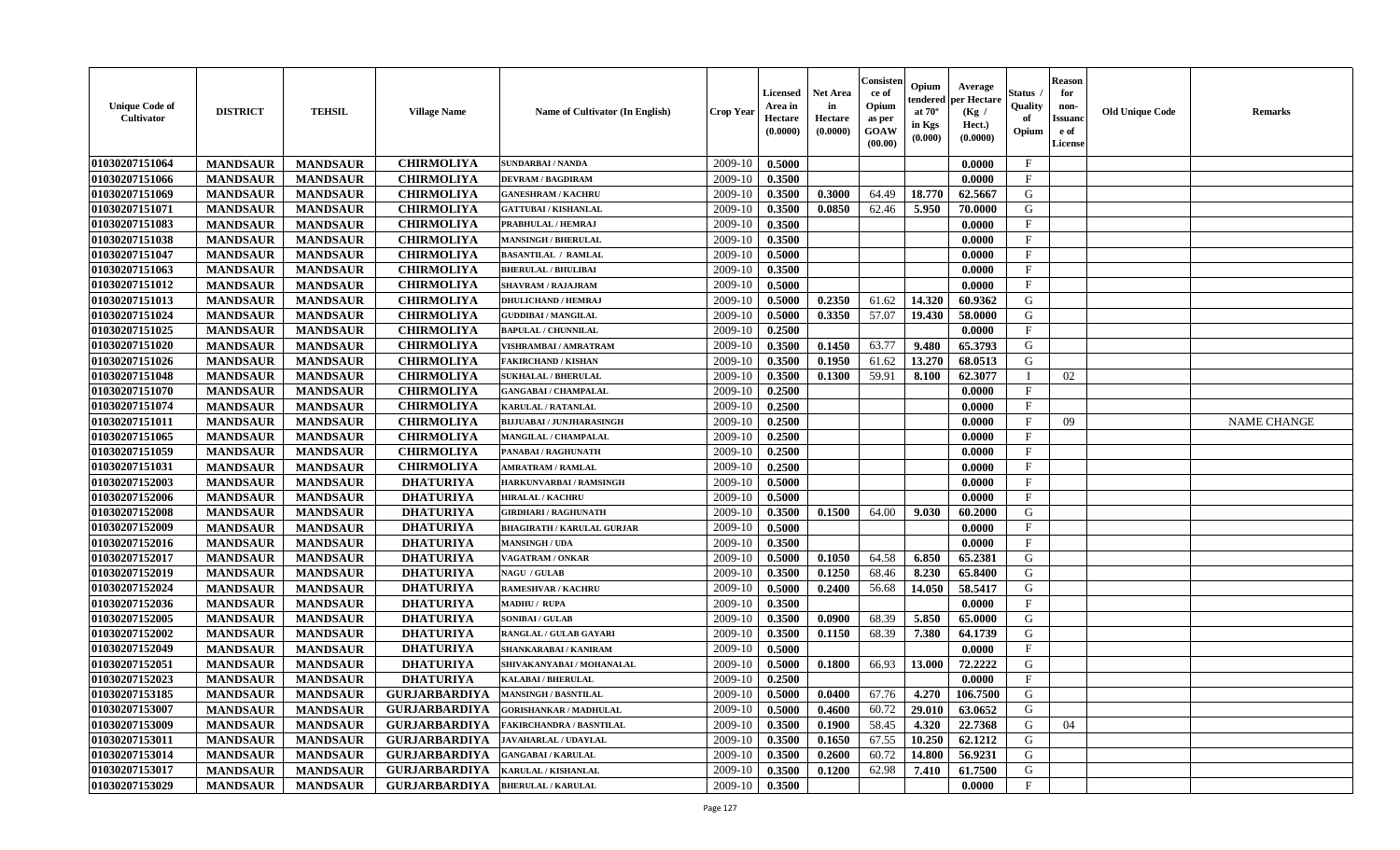| <b>Unique Code of</b><br>Cultivator | <b>DISTRICT</b> | <b>TEHSIL</b>   | <b>Village Name</b>  | <b>Name of Cultivator (In English)</b> | <b>Crop Year</b> | Licensed<br>Area in<br>Hectare<br>(0.0000) | <b>Net Area</b><br>in<br>Hectare<br>(0.0000) | Consister<br>ce of<br>Opium<br>as per<br>GOAW<br>(00.00) | Opium<br>endered<br>at $70^{\circ}$<br>in Kgs<br>(0.000) | Average<br>per Hectare<br>(Kg /<br>Hect.)<br>(0.0000) | Status<br>Quality<br>of<br>Opium | <b>Reason</b><br>for<br>non-<br><b>Issuano</b><br>e of<br>License | <b>Old Unique Code</b> | <b>Remarks</b>     |
|-------------------------------------|-----------------|-----------------|----------------------|----------------------------------------|------------------|--------------------------------------------|----------------------------------------------|----------------------------------------------------------|----------------------------------------------------------|-------------------------------------------------------|----------------------------------|-------------------------------------------------------------------|------------------------|--------------------|
| 01030207151064                      | <b>MANDSAUR</b> | <b>MANDSAUR</b> | <b>CHIRMOLIYA</b>    | <b>SUNDARBAI/NANDA</b>                 | 2009-10          | 0.5000                                     |                                              |                                                          |                                                          | 0.0000                                                | $\mathbf{F}$                     |                                                                   |                        |                    |
| 01030207151066                      | <b>MANDSAUR</b> | <b>MANDSAUR</b> | <b>CHIRMOLIYA</b>    | <b>DEVRAM / BAGDIRAM</b>               | 2009-10          | 0.3500                                     |                                              |                                                          |                                                          | 0.0000                                                | $\mathbf{F}$                     |                                                                   |                        |                    |
| 01030207151069                      | <b>MANDSAUR</b> | <b>MANDSAUR</b> | <b>CHIRMOLIYA</b>    | <b>GANESHRAM / KACHRU</b>              | 2009-10          | 0.3500                                     | 0.3000                                       | 64.49                                                    | 18.770                                                   | 62.5667                                               | G                                |                                                                   |                        |                    |
| 01030207151071                      | <b>MANDSAUR</b> | <b>MANDSAUR</b> | <b>CHIRMOLIYA</b>    | <b>GATTUBAI/KISHANLAL</b>              | 2009-10          | 0.3500                                     | 0.0850                                       | 62.46                                                    | 5.950                                                    | 70.0000                                               | G                                |                                                                   |                        |                    |
| 01030207151083                      | <b>MANDSAUR</b> | <b>MANDSAUR</b> | <b>CHIRMOLIYA</b>    | PRABHULAL / HEMRAJ                     | 2009-10          | 0.3500                                     |                                              |                                                          |                                                          | 0.0000                                                | $\mathbf{F}$                     |                                                                   |                        |                    |
| 01030207151038                      | <b>MANDSAUR</b> | <b>MANDSAUR</b> | <b>CHIRMOLIYA</b>    | <b>MANSINGH / BHERULAL</b>             | 2009-10          | 0.3500                                     |                                              |                                                          |                                                          | 0.0000                                                | $\mathbf{F}$                     |                                                                   |                        |                    |
| 01030207151047                      | <b>MANDSAUR</b> | <b>MANDSAUR</b> | <b>CHIRMOLIYA</b>    | <b>BASANTILAL / RAMLAL</b>             | 2009-10          | 0.5000                                     |                                              |                                                          |                                                          | 0.0000                                                | $\mathbf{F}$                     |                                                                   |                        |                    |
| 01030207151063                      | <b>MANDSAUR</b> | <b>MANDSAUR</b> | <b>CHIRMOLIYA</b>    | <b>BHERULAL / BHULIBAI</b>             | 2009-10          | 0.3500                                     |                                              |                                                          |                                                          | 0.0000                                                | $\mathbf{F}$                     |                                                                   |                        |                    |
| 01030207151012                      | <b>MANDSAUR</b> | <b>MANDSAUR</b> | <b>CHIRMOLIYA</b>    | <b>SHAVRAM / RAJAJRAM</b>              | 2009-10          | 0.5000                                     |                                              |                                                          |                                                          | 0.0000                                                | $_{\rm F}$                       |                                                                   |                        |                    |
| 01030207151013                      | <b>MANDSAUR</b> | <b>MANDSAUR</b> | <b>CHIRMOLIYA</b>    | <b>DHULICHAND / HEMRAJ</b>             | 2009-10          | 0.5000                                     | 0.2350                                       | 61.62                                                    | 14.320                                                   | 60.9362                                               | G                                |                                                                   |                        |                    |
| 01030207151024                      | <b>MANDSAUR</b> | <b>MANDSAUR</b> | <b>CHIRMOLIYA</b>    | <b>GUDDIBAI / MANGILAL</b>             | 2009-10          | 0.5000                                     | 0.3350                                       | 57.07                                                    | 19.430                                                   | 58.0000                                               | G                                |                                                                   |                        |                    |
| 01030207151025                      | <b>MANDSAUR</b> | <b>MANDSAUR</b> | <b>CHIRMOLIYA</b>    | <b>BAPULAL / CHUNNILAL</b>             | 2009-10          | 0.2500                                     |                                              |                                                          |                                                          | 0.0000                                                | $\mathbf{F}$                     |                                                                   |                        |                    |
| 01030207151020                      | <b>MANDSAUR</b> | <b>MANDSAUR</b> | <b>CHIRMOLIYA</b>    | VISHRAMBAI / AMRATRAM                  | 2009-10          | 0.3500                                     | 0.1450                                       | 63.77                                                    | 9.480                                                    | 65.3793                                               | G                                |                                                                   |                        |                    |
| 01030207151026                      | <b>MANDSAUR</b> | <b>MANDSAUR</b> | <b>CHIRMOLIYA</b>    | <b>FAKIRCHAND / KISHAN</b>             | 2009-10          | 0.3500                                     | 0.1950                                       | 61.62                                                    | 13.270                                                   | 68.0513                                               | G                                |                                                                   |                        |                    |
| 01030207151048                      | <b>MANDSAUR</b> | <b>MANDSAUR</b> | <b>CHIRMOLIYA</b>    | <b>SUKHALAL / BHERULAL</b>             | 2009-10          | 0.3500                                     | 0.1300                                       | 59.91                                                    | 8.100                                                    | 62.3077                                               |                                  | 02                                                                |                        |                    |
| 01030207151070                      | <b>MANDSAUR</b> | <b>MANDSAUR</b> | <b>CHIRMOLIYA</b>    | <b>GANGABAI / CHAMPALAL</b>            | 2009-10          | 0.2500                                     |                                              |                                                          |                                                          | 0.0000                                                | $\mathbf{F}$                     |                                                                   |                        |                    |
| 01030207151074                      | <b>MANDSAUR</b> | <b>MANDSAUR</b> | <b>CHIRMOLIYA</b>    | <b>KARULAL / RATANLAL</b>              | 2009-10          | 0.2500                                     |                                              |                                                          |                                                          | 0.0000                                                | $\mathbf{F}$                     |                                                                   |                        |                    |
| 01030207151011                      | <b>MANDSAUR</b> | <b>MANDSAUR</b> | <b>CHIRMOLIYA</b>    | <b>BIJJUABAI / JUNJHARASINGH</b>       | 2009-10          | 0.2500                                     |                                              |                                                          |                                                          | 0.0000                                                | $\mathbf{F}$                     | 09                                                                |                        | <b>NAME CHANGE</b> |
| 01030207151065                      | <b>MANDSAUR</b> | <b>MANDSAUR</b> | <b>CHIRMOLIYA</b>    | <b>MANGILAL / CHAMPALAL</b>            | 2009-10          | 0.2500                                     |                                              |                                                          |                                                          | 0.0000                                                | $\mathbf{F}$                     |                                                                   |                        |                    |
| 01030207151059                      | <b>MANDSAUR</b> | <b>MANDSAUR</b> | <b>CHIRMOLIYA</b>    | PANABAI / RAGHUNATH                    | 2009-10          | 0.2500                                     |                                              |                                                          |                                                          | 0.0000                                                | $\mathbf F$                      |                                                                   |                        |                    |
| 01030207151031                      | <b>MANDSAUR</b> | <b>MANDSAUR</b> | <b>CHIRMOLIYA</b>    | <b>AMRATRAM / RAMLAL</b>               | 2009-10          | 0.2500                                     |                                              |                                                          |                                                          | 0.0000                                                | F                                |                                                                   |                        |                    |
| 01030207152003                      | <b>MANDSAUR</b> | <b>MANDSAUR</b> | <b>DHATURIYA</b>     | HARKUNVARBAI / RAMSINGH                | 2009-10          | 0.5000                                     |                                              |                                                          |                                                          | 0.0000                                                | $\mathbf{F}$                     |                                                                   |                        |                    |
| 01030207152006                      | <b>MANDSAUR</b> | <b>MANDSAUR</b> | <b>DHATURIYA</b>     | <b>HIRALAL / KACHRU</b>                | 2009-10          | 0.5000                                     |                                              |                                                          |                                                          | 0.0000                                                | $\mathbf{F}$                     |                                                                   |                        |                    |
| 01030207152008                      | <b>MANDSAUR</b> | <b>MANDSAUR</b> | <b>DHATURIYA</b>     | <b>GIRDHARI / RAGHUNATH</b>            | 2009-10          | 0.3500                                     | 0.1500                                       | 64.00                                                    | 9.030                                                    | 60.2000                                               | G                                |                                                                   |                        |                    |
| 01030207152009                      | <b>MANDSAUR</b> | <b>MANDSAUR</b> | <b>DHATURIYA</b>     | <b>BHAGIRATH / KARULAL GURJAR</b>      | 2009-10          | 0.5000                                     |                                              |                                                          |                                                          | 0.0000                                                | $\mathbf{F}$                     |                                                                   |                        |                    |
| 01030207152016                      | <b>MANDSAUR</b> | <b>MANDSAUR</b> | <b>DHATURIYA</b>     | <b>MANSINGH / UDA</b>                  | 2009-10          | 0.3500                                     |                                              |                                                          |                                                          | 0.0000                                                | $\mathbf{F}$                     |                                                                   |                        |                    |
| 01030207152017                      | <b>MANDSAUR</b> | <b>MANDSAUR</b> | <b>DHATURIYA</b>     | VAGATRAM / ONKAR                       | 2009-10          | 0.5000                                     | 0.1050                                       | 64.58                                                    | 6.850                                                    | 65.2381                                               | G                                |                                                                   |                        |                    |
| 01030207152019                      | <b>MANDSAUR</b> | <b>MANDSAUR</b> | <b>DHATURIYA</b>     | <b>NAGU / GULAB</b>                    | 2009-10          | 0.3500                                     | 0.1250                                       | 68.46                                                    | 8.230                                                    | 65.8400                                               | G                                |                                                                   |                        |                    |
| 01030207152024                      | <b>MANDSAUR</b> | <b>MANDSAUR</b> | <b>DHATURIYA</b>     | <b>RAMESHVAR / KACHRU</b>              | 2009-10          | 0.5000                                     | 0.2400                                       | 56.68                                                    | 14.050                                                   | 58.5417                                               | G                                |                                                                   |                        |                    |
| 01030207152036                      | <b>MANDSAUR</b> | <b>MANDSAUR</b> | <b>DHATURIYA</b>     | <b>MADHU / RUPA</b>                    | 2009-10          | 0.3500                                     |                                              |                                                          |                                                          | 0.0000                                                | $\mathbf{F}$                     |                                                                   |                        |                    |
| 01030207152005                      | <b>MANDSAUR</b> | <b>MANDSAUR</b> | <b>DHATURIYA</b>     | <b>SONIBAI/GULAB</b>                   | 2009-10          | 0.3500                                     | 0.0900                                       | 68.39                                                    | 5.850                                                    | 65.0000                                               | G                                |                                                                   |                        |                    |
| 01030207152002                      | <b>MANDSAUR</b> | <b>MANDSAUR</b> | <b>DHATURIYA</b>     | RANGLAL / GULAB GAYARI                 | 2009-10          | 0.3500                                     | 0.1150                                       | 68.39                                                    | 7.380                                                    | 64.1739                                               | G                                |                                                                   |                        |                    |
| 01030207152049                      | <b>MANDSAUR</b> | <b>MANDSAUR</b> | <b>DHATURIYA</b>     | <b>SHANKARABAI / KANIRAM</b>           | 2009-10          | 0.5000                                     |                                              |                                                          |                                                          | 0.0000                                                | $\mathbf{F}$                     |                                                                   |                        |                    |
| 01030207152051                      | <b>MANDSAUR</b> | <b>MANDSAUR</b> | <b>DHATURIYA</b>     | SHIVAKANYABAI / MOHANALAL              | 2009-10          | 0.5000                                     | 0.1800                                       | 66.93                                                    | 13.000                                                   | 72,2222                                               | G                                |                                                                   |                        |                    |
| 01030207152023                      | <b>MANDSAUR</b> | <b>MANDSAUR</b> | <b>DHATURIYA</b>     | <b>KALABAI/BHERULAL</b>                | 2009-10          | 0.2500                                     |                                              |                                                          |                                                          | 0.0000                                                | $\mathbf{F}$                     |                                                                   |                        |                    |
| 01030207153185                      | <b>MANDSAUR</b> | <b>MANDSAUR</b> | <b>GURJARBARDIYA</b> | <b>MANSINGH / BASNTILAL</b>            | 2009-10   0.5000 |                                            | 0.0400                                       | 67.76                                                    |                                                          | $4.270$   106.7500                                    | G                                |                                                                   |                        |                    |
| 01030207153007                      | <b>MANDSAUR</b> | <b>MANDSAUR</b> | <b>GURJARBARDIYA</b> | <b>GORISHANKAR / MADHULAL</b>          | 2009-10          | 0.5000                                     | 0.4600                                       | 60.72                                                    | 29.010                                                   | 63.0652                                               | G                                |                                                                   |                        |                    |
| 01030207153009                      | <b>MANDSAUR</b> | <b>MANDSAUR</b> | <b>GURJARBARDIYA</b> | <b>FAKIRCHANDRA / BASNTILAL</b>        | 2009-10          | 0.3500                                     | 0.1900                                       | 58.45                                                    | 4.320                                                    | 22.7368                                               | G                                | 04                                                                |                        |                    |
| 01030207153011                      | <b>MANDSAUR</b> | <b>MANDSAUR</b> | <b>GURJARBARDIYA</b> | <b>JAVAHARLAL / UDAYLAL</b>            | 2009-10          | 0.3500                                     | 0.1650                                       | 67.55                                                    | 10.250                                                   | 62.1212                                               | G                                |                                                                   |                        |                    |
| 01030207153014                      | <b>MANDSAUR</b> | <b>MANDSAUR</b> | <b>GURJARBARDIYA</b> | <b>GANGABAI/KARULAL</b>                | 2009-10          | 0.3500                                     | 0.2600                                       | 60.72                                                    | 14.800                                                   | 56.9231                                               | G                                |                                                                   |                        |                    |
| 01030207153017                      | <b>MANDSAUR</b> | <b>MANDSAUR</b> | <b>GURJARBARDIYA</b> | KARULAL / KISHANLAL                    | 2009-10          | 0.3500                                     | 0.1200                                       | 62.98                                                    | 7.410                                                    | 61.7500                                               | G                                |                                                                   |                        |                    |
| 01030207153029                      | <b>MANDSAUR</b> | <b>MANDSAUR</b> | <b>GURJARBARDIYA</b> | <b>BHERULAL / KARULAL</b>              | 2009-10          | 0.3500                                     |                                              |                                                          |                                                          | 0.0000                                                | $\mathbf F$                      |                                                                   |                        |                    |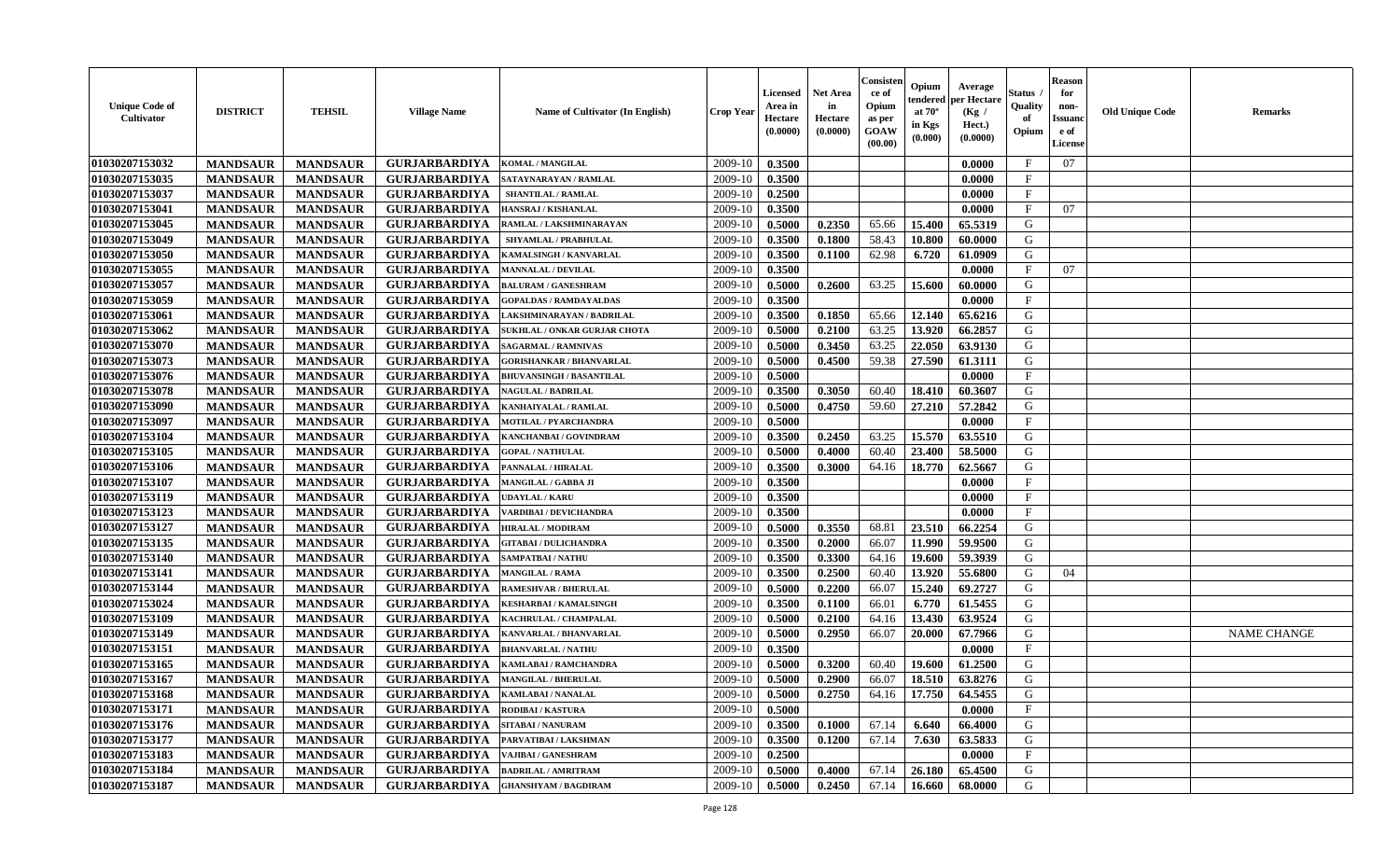| <b>Unique Code of</b><br>Cultivator | <b>DISTRICT</b> | <b>TEHSIL</b>   | <b>Village Name</b>  | Name of Cultivator (In English) | <b>Crop Year</b> | Licensed<br>Area in<br>Hectare<br>(0.0000) | <b>Net Area</b><br>in<br>Hectare<br>(0.0000) | Consister<br>ce of<br>Opium<br>as per<br>GOAW<br>(00.00) | Opium<br>tendered<br>at $70^\circ$<br>in Kgs<br>(0.000) | Average<br>per Hectare<br>(Kg /<br>Hect.)<br>(0.0000) | Status<br>Quality<br>of<br>Opium | Reason<br>for<br>non-<br>Issuan<br>e of<br><b>License</b> | <b>Old Unique Code</b> | <b>Remarks</b>     |
|-------------------------------------|-----------------|-----------------|----------------------|---------------------------------|------------------|--------------------------------------------|----------------------------------------------|----------------------------------------------------------|---------------------------------------------------------|-------------------------------------------------------|----------------------------------|-----------------------------------------------------------|------------------------|--------------------|
| 01030207153032                      | <b>MANDSAUR</b> | <b>MANDSAUR</b> | <b>GURJARBARDIYA</b> | <b>KOMAL / MANGILAL</b>         | 2009-10          | 0.3500                                     |                                              |                                                          |                                                         | 0.0000                                                | F                                | 07                                                        |                        |                    |
| 01030207153035                      | <b>MANDSAUR</b> | <b>MANDSAUR</b> | <b>GURJARBARDIYA</b> | SATAYNARAYAN / RAMLAL           | 2009-10          | 0.3500                                     |                                              |                                                          |                                                         | 0.0000                                                | F                                |                                                           |                        |                    |
| 01030207153037                      | <b>MANDSAUR</b> | <b>MANDSAUR</b> | <b>GURJARBARDIYA</b> | <b>SHANTILAL / RAMLAL</b>       | 2009-10          | 0.2500                                     |                                              |                                                          |                                                         | 0.0000                                                | F                                |                                                           |                        |                    |
| 01030207153041                      | <b>MANDSAUR</b> | <b>MANDSAUR</b> | <b>GURJARBARDIYA</b> | HANSRAJ / KISHANLAL             | 2009-10          | 0.3500                                     |                                              |                                                          |                                                         | 0.0000                                                | F                                | 07                                                        |                        |                    |
| 01030207153045                      | <b>MANDSAUR</b> | <b>MANDSAUR</b> | <b>GURJARBARDIYA</b> | RAMLAL / LAKSHMINARAYAN         | 2009-10          | 0.5000                                     | 0.2350                                       | 65.66                                                    | 15.400                                                  | 65.5319                                               | G                                |                                                           |                        |                    |
| 01030207153049                      | <b>MANDSAUR</b> | <b>MANDSAUR</b> | <b>GURJARBARDIYA</b> | <b>SHYAMLAL / PRABHULAL</b>     | 2009-10          | 0.3500                                     | 0.1800                                       | 58.43                                                    | 10.800                                                  | 60.0000                                               | G                                |                                                           |                        |                    |
| 01030207153050                      | <b>MANDSAUR</b> | <b>MANDSAUR</b> | <b>GURJARBARDIYA</b> | KAMALSINGH / KANVARLAL          | 2009-10          | 0.3500                                     | 0.1100                                       | 62.98                                                    | 6.720                                                   | 61.0909                                               | G                                |                                                           |                        |                    |
| 01030207153055                      | <b>MANDSAUR</b> | <b>MANDSAUR</b> | <b>GURJARBARDIYA</b> | <b>MANNALAL / DEVILAL</b>       | 2009-10          | 0.3500                                     |                                              |                                                          |                                                         | 0.0000                                                | F                                | 07                                                        |                        |                    |
| 01030207153057                      | <b>MANDSAUR</b> | <b>MANDSAUR</b> | <b>GURJARBARDIYA</b> | <b>BALURAM / GANESHRAM</b>      | 2009-10          | 0.5000                                     | 0.2600                                       | 63.25                                                    | 15.600                                                  | 60.0000                                               | G                                |                                                           |                        |                    |
| 01030207153059                      | <b>MANDSAUR</b> | <b>MANDSAUR</b> | <b>GURJARBARDIYA</b> | <b>GOPALDAS / RAMDAYALDAS</b>   | 2009-10          | 0.3500                                     |                                              |                                                          |                                                         | 0.0000                                                | F                                |                                                           |                        |                    |
| 01030207153061                      | <b>MANDSAUR</b> | <b>MANDSAUR</b> | <b>GURJARBARDIYA</b> | AKSHMINARAYAN / BADRILAL        | 2009-10          | 0.3500                                     | 0.1850                                       | 65.66                                                    | 12.140                                                  | 65.6216                                               | G                                |                                                           |                        |                    |
| 01030207153062                      | <b>MANDSAUR</b> | <b>MANDSAUR</b> | <b>GURJARBARDIYA</b> | SUKHLAL / ONKAR GURJAR CHOTA    | 2009-10          | 0.5000                                     | 0.2100                                       | 63.25                                                    | 13.920                                                  | 66.2857                                               | G                                |                                                           |                        |                    |
| 01030207153070                      | <b>MANDSAUR</b> | <b>MANDSAUR</b> | <b>GURJARBARDIYA</b> | <b>SAGARMAL / RAMNIVAS</b>      | 2009-10          | 0.5000                                     | 0.3450                                       | 63.25                                                    | 22.050                                                  | 63.9130                                               | G                                |                                                           |                        |                    |
| 01030207153073                      | <b>MANDSAUR</b> | <b>MANDSAUR</b> | <b>GURJARBARDIYA</b> | <b>GORISHANKAR / BHANVARLAL</b> | 2009-10          | 0.5000                                     | 0.4500                                       | 59.38                                                    | 27.590                                                  | 61.3111                                               | G                                |                                                           |                        |                    |
| 01030207153076                      | <b>MANDSAUR</b> | <b>MANDSAUR</b> | <b>GURJARBARDIYA</b> | <b>BHUVANSINGH / BASANTILAL</b> | 2009-10          | 0.5000                                     |                                              |                                                          |                                                         | 0.0000                                                | F                                |                                                           |                        |                    |
| 01030207153078                      | <b>MANDSAUR</b> | <b>MANDSAUR</b> | <b>GURJARBARDIYA</b> | <b>NAGULAL / BADRILAL</b>       | 2009-10          | 0.3500                                     | 0.3050                                       | 60.40                                                    | 18.410                                                  | 60.3607                                               | G                                |                                                           |                        |                    |
| 01030207153090                      | <b>MANDSAUR</b> | <b>MANDSAUR</b> | <b>GURJARBARDIYA</b> | KANHAIYALAL / RAMLAL            | 2009-10          | 0.5000                                     | 0.4750                                       | 59.60                                                    | 27.210                                                  | 57.2842                                               | G                                |                                                           |                        |                    |
| 01030207153097                      | <b>MANDSAUR</b> | <b>MANDSAUR</b> | <b>GURJARBARDIYA</b> | <b>MOTILAL / PYARCHANDRA</b>    | 2009-10          | 0.5000                                     |                                              |                                                          |                                                         | 0.0000                                                | $_{\rm F}$                       |                                                           |                        |                    |
| 01030207153104                      | <b>MANDSAUR</b> | <b>MANDSAUR</b> | <b>GURJARBARDIYA</b> | KANCHANBAI / GOVINDRAM          | 2009-10          | 0.3500                                     | 0.2450                                       | 63.25                                                    | 15.570                                                  | 63.5510                                               | G                                |                                                           |                        |                    |
| 01030207153105                      | <b>MANDSAUR</b> | <b>MANDSAUR</b> | <b>GURJARBARDIYA</b> | <b>GOPAL / NATHULAL</b>         | 2009-10          | 0.5000                                     | 0.4000                                       | 60.40                                                    | 23.400                                                  | 58.5000                                               | G                                |                                                           |                        |                    |
| 01030207153106                      | <b>MANDSAUR</b> | <b>MANDSAUR</b> | <b>GURJARBARDIYA</b> | PANNALAL / HIRALAL              | 2009-10          | 0.3500                                     | 0.3000                                       | 64.16                                                    | 18.770                                                  | 62.5667                                               | G                                |                                                           |                        |                    |
| 01030207153107                      | <b>MANDSAUR</b> | <b>MANDSAUR</b> | <b>GURJARBARDIYA</b> | <b>MANGILAL / GABBA JI</b>      | 2009-10          | 0.3500                                     |                                              |                                                          |                                                         | 0.0000                                                | F                                |                                                           |                        |                    |
| 01030207153119                      | <b>MANDSAUR</b> | <b>MANDSAUR</b> | <b>GURJARBARDIYA</b> | <b>UDAYLAL / KARU</b>           | 2009-10          | 0.3500                                     |                                              |                                                          |                                                         | 0.0000                                                | F                                |                                                           |                        |                    |
| 01030207153123                      | <b>MANDSAUR</b> | <b>MANDSAUR</b> | <b>GURJARBARDIYA</b> | ARDIBAI / DEVICHANDRA           | 2009-10          | 0.3500                                     |                                              |                                                          |                                                         | 0.0000                                                | $_{\rm F}$                       |                                                           |                        |                    |
| 01030207153127                      | <b>MANDSAUR</b> | <b>MANDSAUR</b> | <b>GURJARBARDIYA</b> | HIRALAL / MODIRAM               | 2009-10          | 0.5000                                     | 0.3550                                       | 68.81                                                    | 23.510                                                  | 66.2254                                               | G                                |                                                           |                        |                    |
| 01030207153135                      | <b>MANDSAUR</b> | <b>MANDSAUR</b> | <b>GURJARBARDIYA</b> | <b>GITABAI/DULICHANDRA</b>      | 2009-10          | 0.3500                                     | 0.2000                                       | 66.07                                                    | 11.990                                                  | 59.9500                                               | G                                |                                                           |                        |                    |
| 01030207153140                      | <b>MANDSAUR</b> | <b>MANDSAUR</b> | <b>GURJARBARDIYA</b> | SAMPATBAI / NATHU               | 2009-10          | 0.3500                                     | 0.3300                                       | 64.16                                                    | 19.600                                                  | 59.3939                                               | G                                |                                                           |                        |                    |
| 01030207153141                      | <b>MANDSAUR</b> | <b>MANDSAUR</b> | <b>GURJARBARDIYA</b> | <b>MANGILAL / RAMA</b>          | 2009-10          | 0.3500                                     | 0.2500                                       | 60.40                                                    | 13.920                                                  | 55.6800                                               | G                                | 04                                                        |                        |                    |
| 01030207153144                      | <b>MANDSAUR</b> | <b>MANDSAUR</b> | <b>GURJARBARDIYA</b> | <b>RAMESHVAR / BHERULAL</b>     | 2009-10          | 0.5000                                     | 0.2200                                       | 66.07                                                    | 15.240                                                  | 69.2727                                               | G                                |                                                           |                        |                    |
| 01030207153024                      | <b>MANDSAUR</b> | <b>MANDSAUR</b> | <b>GURJARBARDIYA</b> | KESHARBAI / KAMALSINGH          | 2009-10          | 0.3500                                     | 0.1100                                       | 66.01                                                    | 6.770                                                   | 61.5455                                               | G                                |                                                           |                        |                    |
| 01030207153109                      | <b>MANDSAUR</b> | <b>MANDSAUR</b> | <b>GURJARBARDIYA</b> | <b>KACHRULAL / CHAMPALAL</b>    | 2009-10          | 0.5000                                     | 0.2100                                       | 64.16                                                    | 13.430                                                  | 63.9524                                               | G                                |                                                           |                        |                    |
| 01030207153149                      | <b>MANDSAUR</b> | <b>MANDSAUR</b> | <b>GURJARBARDIYA</b> | KANVARLAL / BHANVARLAL          | 2009-10          | 0.5000                                     | 0.2950                                       | 66.07                                                    | 20.000                                                  | 67.7966                                               | G                                |                                                           |                        | <b>NAME CHANGE</b> |
| 01030207153151                      | <b>MANDSAUR</b> | <b>MANDSAUR</b> | <b>GURJARBARDIYA</b> | <b>BHANVARLAL / NATHU</b>       | 2009-10          | 0.3500                                     |                                              |                                                          |                                                         | 0.0000                                                | $_{\rm F}$                       |                                                           |                        |                    |
| 01030207153165                      | <b>MANDSAUR</b> | <b>MANDSAUR</b> | <b>GURJARBARDIYA</b> | KAMLABAI / RAMCHANDRA           | 2009-10          | 0.5000                                     | 0.3200                                       | 60.40                                                    | 19.600                                                  | 61.2500                                               | G                                |                                                           |                        |                    |
| 01030207153167                      | <b>MANDSAUR</b> | <b>MANDSAUR</b> | <b>GURJARBARDIYA</b> | <b>MANGILAL / BHERULAL</b>      | 2009-10          | 0.5000                                     | 0.2900                                       | 66.07                                                    | 18.510                                                  | 63.8276                                               | G                                |                                                           |                        |                    |
| 01030207153168                      | <b>MANDSAUR</b> | MANDSAUR        | GURJARBARDIYA        | <b>KAMLABAI / NANALAL</b>       | $2009-10$        | 0.5000                                     | 0.2750                                       |                                                          | $64.16$   17.750                                        | 64.5455                                               | G                                |                                                           |                        |                    |
| 01030207153171                      | <b>MANDSAUR</b> | <b>MANDSAUR</b> | <b>GURJARBARDIYA</b> | <b>RODIBAI/KASTURA</b>          | 2009-10          | 0.5000                                     |                                              |                                                          |                                                         | 0.0000                                                | F                                |                                                           |                        |                    |
| 01030207153176                      | <b>MANDSAUR</b> | <b>MANDSAUR</b> | <b>GURJARBARDIYA</b> | <b>SITABAI/NANURAM</b>          | 2009-10          | 0.3500                                     | 0.1000                                       | 67.14                                                    | 6.640                                                   | 66.4000                                               | G                                |                                                           |                        |                    |
| 01030207153177                      | <b>MANDSAUR</b> | <b>MANDSAUR</b> | <b>GURJARBARDIYA</b> | PARVATIBAI / LAKSHMAN           | 2009-10          | 0.3500                                     | 0.1200                                       | 67.14                                                    | 7.630                                                   | 63.5833                                               | G                                |                                                           |                        |                    |
| 01030207153183                      | <b>MANDSAUR</b> | <b>MANDSAUR</b> | <b>GURJARBARDIYA</b> | <b>VAJIBAI / GANESHRAM</b>      | 2009-10          | 0.2500                                     |                                              |                                                          |                                                         | 0.0000                                                | $_{\rm F}$                       |                                                           |                        |                    |
| 01030207153184                      | <b>MANDSAUR</b> | <b>MANDSAUR</b> | <b>GURJARBARDIYA</b> | <b>BADRILAL / AMRITRAM</b>      | 2009-10          | 0.5000                                     | 0.4000                                       | 67.14                                                    | 26.180                                                  | 65.4500                                               | G                                |                                                           |                        |                    |
| 01030207153187                      | <b>MANDSAUR</b> | <b>MANDSAUR</b> | <b>GURJARBARDIYA</b> | <b>GHANSHYAM / BAGDIRAM</b>     | 2009-10          | 0.5000                                     | 0.2450                                       | 67.14                                                    | 16.660                                                  | 68.0000                                               | G                                |                                                           |                        |                    |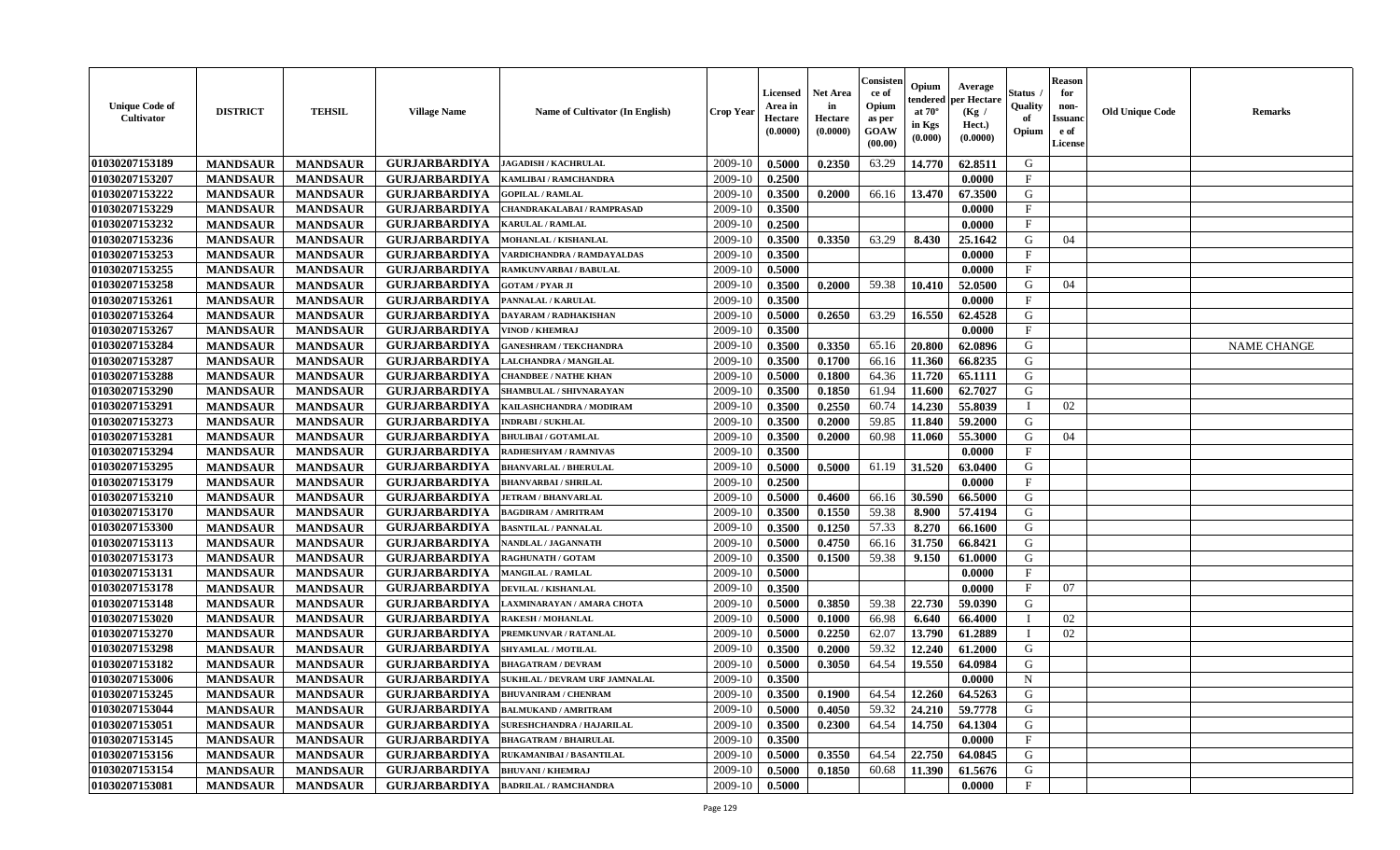| <b>Unique Code of</b><br>Cultivator | <b>DISTRICT</b> | <b>TEHSIL</b>   | <b>Village Name</b>  | <b>Name of Cultivator (In English)</b> | <b>Crop Year</b> | Licensed<br>Area in<br>Hectare<br>(0.0000) | <b>Net Area</b><br>in<br>Hectare<br>(0.0000) | Consister<br>ce of<br>Opium<br>as per<br><b>GOAW</b><br>(00.00) | Opium<br>endered<br>at $70^\circ$<br>in Kgs<br>$(\mathbf{0.000})$ | Average<br>per Hectare<br>(Kg /<br>Hect.)<br>(0.0000) | Status<br>Quality<br>of<br>Opium | <b>Reason</b><br>for<br>non-<br><b>Issuano</b><br>e of<br>License | <b>Old Unique Code</b> | <b>Remarks</b>     |
|-------------------------------------|-----------------|-----------------|----------------------|----------------------------------------|------------------|--------------------------------------------|----------------------------------------------|-----------------------------------------------------------------|-------------------------------------------------------------------|-------------------------------------------------------|----------------------------------|-------------------------------------------------------------------|------------------------|--------------------|
| 01030207153189                      | <b>MANDSAUR</b> | <b>MANDSAUR</b> | <b>GURJARBARDIYA</b> | <b>JAGADISH / KACHRULAL</b>            | 2009-10          | 0.5000                                     | 0.2350                                       | 63.29                                                           | 14.770                                                            | 62.8511                                               | G                                |                                                                   |                        |                    |
| 01030207153207                      | <b>MANDSAUR</b> | <b>MANDSAUR</b> | <b>GURJARBARDIYA</b> | KAMLIBAI / RAMCHANDRA                  | 2009-10          | 0.2500                                     |                                              |                                                                 |                                                                   | 0.0000                                                | $\mathbf{F}$                     |                                                                   |                        |                    |
| 01030207153222                      | <b>MANDSAUR</b> | <b>MANDSAUR</b> | <b>GURJARBARDIYA</b> | <b>GOPILAL / RAMLAL</b>                | 2009-10          | 0.3500                                     | 0.2000                                       | 66.16                                                           | 13.470                                                            | 67.3500                                               | G                                |                                                                   |                        |                    |
| 01030207153229                      | <b>MANDSAUR</b> | <b>MANDSAUR</b> | <b>GURJARBARDIYA</b> | CHANDRAKALABAI / RAMPRASAD             | 2009-10          | 0.3500                                     |                                              |                                                                 |                                                                   | 0.0000                                                | $\mathbf{F}$                     |                                                                   |                        |                    |
| 01030207153232                      | <b>MANDSAUR</b> | <b>MANDSAUR</b> | <b>GURJARBARDIYA</b> | <b>KARULAL / RAMLAL</b>                | 2009-10          | 0.2500                                     |                                              |                                                                 |                                                                   | 0.0000                                                | $\mathbf{F}$                     |                                                                   |                        |                    |
| 01030207153236                      | <b>MANDSAUR</b> | <b>MANDSAUR</b> | <b>GURJARBARDIYA</b> | <b>MOHANLAL / KISHANLAL</b>            | 2009-10          | 0.3500                                     | 0.3350                                       | 63.29                                                           | 8.430                                                             | 25.1642                                               | G                                | 04                                                                |                        |                    |
| 01030207153253                      | <b>MANDSAUR</b> | <b>MANDSAUR</b> | <b>GURJARBARDIYA</b> | VARDICHANDRA / RAMDAYALDAS             | 2009-10          | 0.3500                                     |                                              |                                                                 |                                                                   | 0.0000                                                | $\mathbf{F}$                     |                                                                   |                        |                    |
| 01030207153255                      | <b>MANDSAUR</b> | <b>MANDSAUR</b> | <b>GURJARBARDIYA</b> | RAMKUNVARBAI / BABULAL                 | 2009-10          | 0.5000                                     |                                              |                                                                 |                                                                   | 0.0000                                                | $\mathbf{F}$                     |                                                                   |                        |                    |
| 01030207153258                      | <b>MANDSAUR</b> | <b>MANDSAUR</b> | <b>GURJARBARDIYA</b> | <b>GOTAM / PYAR JI</b>                 | 2009-10          | 0.3500                                     | 0.2000                                       | 59.38                                                           | 10.410                                                            | 52.0500                                               | G                                | 04                                                                |                        |                    |
| 01030207153261                      | <b>MANDSAUR</b> | <b>MANDSAUR</b> | <b>GURJARBARDIYA</b> | PANNALAL / KARULAL                     | 2009-10          | 0.3500                                     |                                              |                                                                 |                                                                   | 0.0000                                                | F                                |                                                                   |                        |                    |
| 01030207153264                      | <b>MANDSAUR</b> | <b>MANDSAUR</b> | <b>GURJARBARDIYA</b> | DAYARAM / RADHAKISHAN                  | 2009-10          | 0.5000                                     | 0.2650                                       | 63.29                                                           | 16.550                                                            | 62.4528                                               | G                                |                                                                   |                        |                    |
| 01030207153267                      | <b>MANDSAUR</b> | <b>MANDSAUR</b> | <b>GURJARBARDIYA</b> | VINOD / KHEMRAJ                        | 2009-10          | 0.3500                                     |                                              |                                                                 |                                                                   | 0.0000                                                | $\mathbf{F}$                     |                                                                   |                        |                    |
| 01030207153284                      | <b>MANDSAUR</b> | <b>MANDSAUR</b> | <b>GURJARBARDIYA</b> | <b>GANESHRAM / TEKCHANDRA</b>          | 2009-10          | 0.3500                                     | 0.3350                                       | 65.16                                                           | 20.800                                                            | 62.0896                                               | G                                |                                                                   |                        | <b>NAME CHANGE</b> |
| 01030207153287                      | <b>MANDSAUR</b> | <b>MANDSAUR</b> | <b>GURJARBARDIYA</b> | LALCHANDRA / MANGILAL                  | 2009-10          | 0.3500                                     | 0.1700                                       | 66.16                                                           | 11.360                                                            | 66.8235                                               | G                                |                                                                   |                        |                    |
| 01030207153288                      | <b>MANDSAUR</b> | <b>MANDSAUR</b> | <b>GURJARBARDIYA</b> | <b>CHANDBEE / NATHE KHAN</b>           | 2009-10          | 0.5000                                     | 0.1800                                       | 64.36                                                           | 11.720                                                            | 65.1111                                               | G                                |                                                                   |                        |                    |
| 01030207153290                      | <b>MANDSAUR</b> | <b>MANDSAUR</b> | <b>GURJARBARDIYA</b> | SHAMBULAL / SHIVNARAYAN                | 2009-10          | 0.3500                                     | 0.1850                                       | 61.94                                                           | 11.600                                                            | 62.7027                                               | G                                |                                                                   |                        |                    |
| 01030207153291                      | <b>MANDSAUR</b> | <b>MANDSAUR</b> | <b>GURJARBARDIYA</b> | KAILASHCHANDRA / MODIRAM               | 2009-10          | 0.3500                                     | 0.2550                                       | 60.74                                                           | 14.230                                                            | 55.8039                                               | - I                              | 02                                                                |                        |                    |
| 01030207153273                      | <b>MANDSAUR</b> | <b>MANDSAUR</b> | <b>GURJARBARDIYA</b> | <b>INDRABI / SUKHLAL</b>               | 2009-10          | 0.3500                                     | 0.2000                                       | 59.85                                                           | 11.840                                                            | 59.2000                                               | G                                |                                                                   |                        |                    |
| 01030207153281                      | <b>MANDSAUR</b> | <b>MANDSAUR</b> | <b>GURJARBARDIYA</b> | <b>BHULIBAI / GOTAMLAL</b>             | 2009-10          | 0.3500                                     | 0.2000                                       | 60.98                                                           | 11.060                                                            | 55.3000                                               | G                                | 04                                                                |                        |                    |
| 01030207153294                      | <b>MANDSAUR</b> | <b>MANDSAUR</b> | <b>GURJARBARDIYA</b> | RADHESHYAM / RAMNIVAS                  | 2009-10          | 0.3500                                     |                                              |                                                                 |                                                                   | 0.0000                                                | $\mathbf F$                      |                                                                   |                        |                    |
| 01030207153295                      | <b>MANDSAUR</b> | <b>MANDSAUR</b> | <b>GURJARBARDIYA</b> | <b>BHANVARLAL / BHERULAL</b>           | 2009-10          | 0.5000                                     | 0.5000                                       | 61.19                                                           | 31.520                                                            | 63.0400                                               | G                                |                                                                   |                        |                    |
| 01030207153179                      | <b>MANDSAUR</b> | <b>MANDSAUR</b> | <b>GURJARBARDIYA</b> | <b>BHANVARBAI/SHRILAL</b>              | 2009-10          | 0.2500                                     |                                              |                                                                 |                                                                   | 0.0000                                                | $\mathbf{F}$                     |                                                                   |                        |                    |
| 01030207153210                      | <b>MANDSAUR</b> | <b>MANDSAUR</b> | <b>GURJARBARDIYA</b> | <b>JETRAM / BHANVARLAL</b>             | 2009-10          | 0.5000                                     | 0.4600                                       | 66.16                                                           | 30.590                                                            | 66.5000                                               | G                                |                                                                   |                        |                    |
| 01030207153170                      | <b>MANDSAUR</b> | <b>MANDSAUR</b> | <b>GURJARBARDIYA</b> | <b>BAGDIRAM / AMRITRAM</b>             | 2009-10          | 0.3500                                     | 0.1550                                       | 59.38                                                           | 8.900                                                             | 57.4194                                               | G                                |                                                                   |                        |                    |
| 01030207153300                      | <b>MANDSAUR</b> | <b>MANDSAUR</b> | <b>GURJARBARDIYA</b> | <b>BASNTILAL / PANNALAL</b>            | 2009-10          | 0.3500                                     | 0.1250                                       | 57.33                                                           | 8.270                                                             | 66.1600                                               | G                                |                                                                   |                        |                    |
| 01030207153113                      | <b>MANDSAUR</b> | <b>MANDSAUR</b> | <b>GURJARBARDIYA</b> | NANDLAL / JAGANNATH                    | 2009-10          | 0.5000                                     | 0.4750                                       | 66.16                                                           | 31.750                                                            | 66.8421                                               | G                                |                                                                   |                        |                    |
| 01030207153173                      | <b>MANDSAUR</b> | <b>MANDSAUR</b> | <b>GURJARBARDIYA</b> | <b>RAGHUNATH / GOTAM</b>               | 2009-10          | 0.3500                                     | 0.1500                                       | 59.38                                                           | 9.150                                                             | 61.0000                                               | G                                |                                                                   |                        |                    |
| 01030207153131                      | <b>MANDSAUR</b> | <b>MANDSAUR</b> | <b>GURJARBARDIYA</b> | <b>MANGILAL / RAMLAL</b>               | 2009-10          | 0.5000                                     |                                              |                                                                 |                                                                   | 0.0000                                                | F                                |                                                                   |                        |                    |
| 01030207153178                      | <b>MANDSAUR</b> | <b>MANDSAUR</b> | <b>GURJARBARDIYA</b> | DEVILAL / KISHANLAL                    | 2009-10          | 0.3500                                     |                                              |                                                                 |                                                                   | 0.0000                                                | $\mathbf{F}$                     | 07                                                                |                        |                    |
| 01030207153148                      | <b>MANDSAUR</b> | <b>MANDSAUR</b> | <b>GURJARBARDIYA</b> | LAXMINARAYAN / AMARA CHOTA             | 2009-10          | 0.5000                                     | 0.3850                                       | 59.38                                                           | 22.730                                                            | 59.0390                                               | G                                |                                                                   |                        |                    |
| 01030207153020                      | <b>MANDSAUR</b> | <b>MANDSAUR</b> | <b>GURJARBARDIYA</b> | <b>RAKESH / MOHANLAL</b>               | 2009-10          | 0.5000                                     | 0.1000                                       | 66.98                                                           | 6.640                                                             | 66.4000                                               |                                  | 02                                                                |                        |                    |
| 01030207153270                      | <b>MANDSAUR</b> | <b>MANDSAUR</b> | <b>GURJARBARDIYA</b> | PREMKUNVAR / RATANLAL                  | 2009-10          | 0.5000                                     | 0.2250                                       | 62.07                                                           | 13.790                                                            | 61.2889                                               |                                  | 02                                                                |                        |                    |
| 01030207153298                      | <b>MANDSAUR</b> | <b>MANDSAUR</b> | <b>GURJARBARDIYA</b> | SHYAMLAL / MOTILAL                     | 2009-10          | 0.3500                                     | 0.2000                                       | 59.32                                                           | 12.240                                                            | 61.2000                                               | G                                |                                                                   |                        |                    |
| 01030207153182                      | <b>MANDSAUR</b> | <b>MANDSAUR</b> | <b>GURJARBARDIYA</b> | <b>BHAGATRAM / DEVRAM</b>              | 2009-10          | 0.5000                                     | 0.3050                                       | 64.54                                                           | 19.550                                                            | 64.0984                                               | G                                |                                                                   |                        |                    |
| 01030207153006                      | <b>MANDSAUR</b> | <b>MANDSAUR</b> | <b>GURJARBARDIYA</b> | <b>SUKHLAL / DEVRAM URF JAMNALAL</b>   | 2009-10          | 0.3500                                     |                                              |                                                                 |                                                                   | 0.0000                                                | N                                |                                                                   |                        |                    |
| 01030207153245                      | <b>MANDSAUR</b> | <b>MANDSAUR</b> | <b>GURJARBARDIYA</b> | <b>BHUVANIRAM / CHENRAM</b>            | $2009-10$ 0.3500 |                                            | 0.1900                                       |                                                                 |                                                                   | $64.54$   12.260   64.5263                            | G                                |                                                                   |                        |                    |
| 01030207153044                      | <b>MANDSAUR</b> | <b>MANDSAUR</b> | <b>GURJARBARDIYA</b> | <b>BALMUKAND / AMRITRAM</b>            | 2009-10          | 0.5000                                     | 0.4050                                       | 59.32                                                           | 24.210                                                            | 59.7778                                               | G                                |                                                                   |                        |                    |
| 01030207153051                      | <b>MANDSAUR</b> | <b>MANDSAUR</b> | <b>GURJARBARDIYA</b> | SURESHCHANDRA / HAJARILAL              | 2009-10          | 0.3500                                     | 0.2300                                       | 64.54                                                           | 14.750                                                            | 64.1304                                               | G                                |                                                                   |                        |                    |
| 01030207153145                      | <b>MANDSAUR</b> | <b>MANDSAUR</b> | <b>GURJARBARDIYA</b> | <b>BHAGATRAM / BHAIRULAL</b>           | 2009-10          | 0.3500                                     |                                              |                                                                 |                                                                   | 0.0000                                                | $\mathbf{F}$                     |                                                                   |                        |                    |
| 01030207153156                      | <b>MANDSAUR</b> | <b>MANDSAUR</b> | <b>GURJARBARDIYA</b> | RUKAMANIBAI / BASANTILAL               | 2009-10          | 0.5000                                     | 0.3550                                       | 64.54                                                           | 22.750                                                            | 64.0845                                               | G                                |                                                                   |                        |                    |
| 01030207153154                      | <b>MANDSAUR</b> | <b>MANDSAUR</b> | <b>GURJARBARDIYA</b> | <b>BHUVANI / KHEMRAJ</b>               | 2009-10          | 0.5000                                     | 0.1850                                       | 60.68                                                           | 11.390                                                            | 61.5676                                               | G                                |                                                                   |                        |                    |
| 01030207153081                      | <b>MANDSAUR</b> | <b>MANDSAUR</b> | <b>GURJARBARDIYA</b> | <b>BADRILAL / RAMCHANDRA</b>           | 2009-10          | 0.5000                                     |                                              |                                                                 |                                                                   | 0.0000                                                | $\mathbf{F}$                     |                                                                   |                        |                    |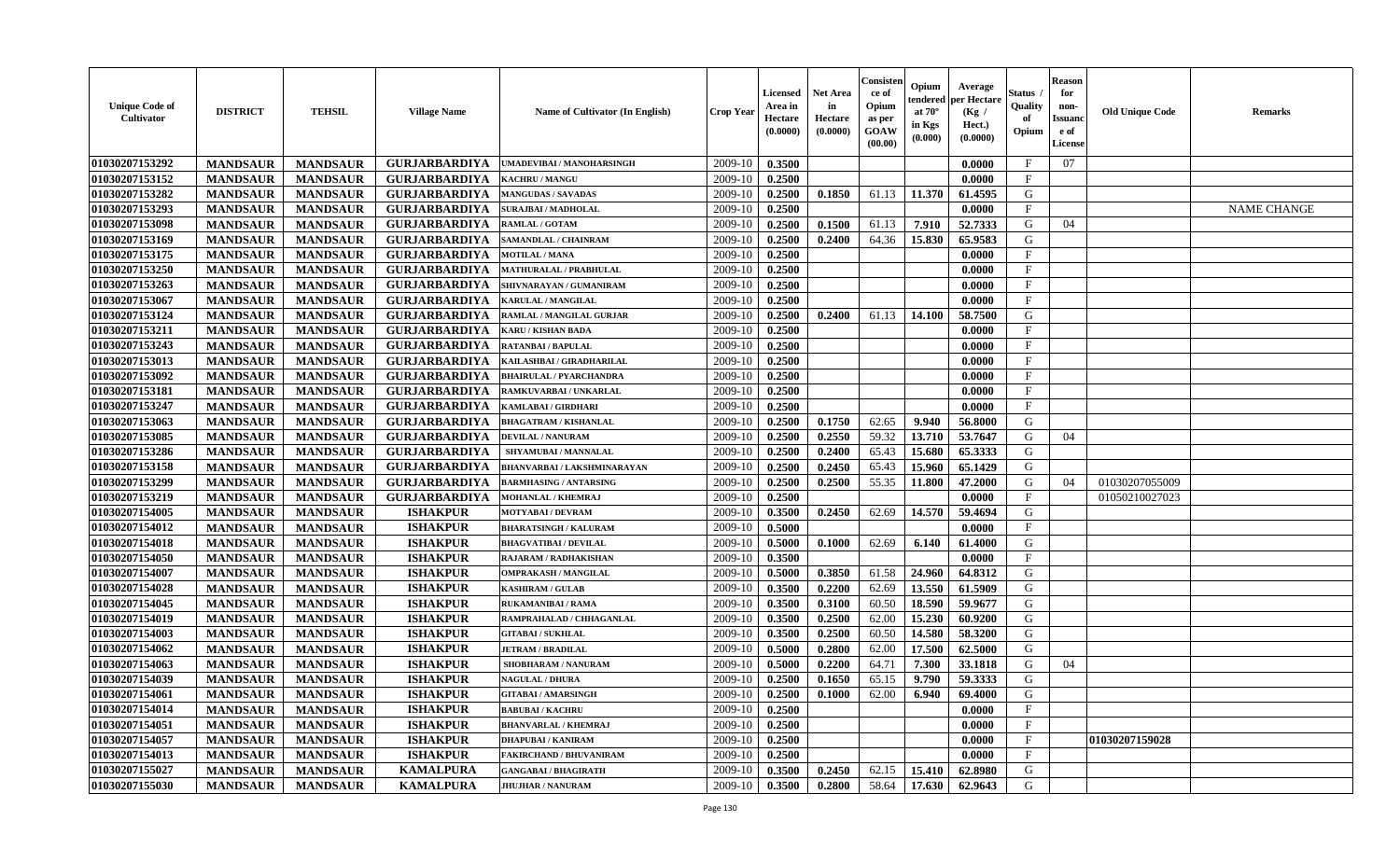| <b>Unique Code of</b><br>Cultivator | <b>DISTRICT</b> | <b>TEHSIL</b>   | <b>Village Name</b>  | Name of Cultivator (In English)  | <b>Crop Year</b> | Licensed<br>Area in<br>Hectare<br>(0.0000) | <b>Net Area</b><br>in<br>Hectare<br>(0.0000) | Consister<br>ce of<br>Opium<br>as per<br>GOAW<br>(00.00) | Opium<br>endered<br>at $70^\circ$<br>in Kgs<br>(0.000) | Average<br>per Hectare<br>(Kg /<br>Hect.)<br>(0.0000) | Status<br>Quality<br>of<br>Opium | <b>Reason</b><br>for<br>non-<br><b>Issuanc</b><br>e of<br>License | <b>Old Unique Code</b> | Remarks            |
|-------------------------------------|-----------------|-----------------|----------------------|----------------------------------|------------------|--------------------------------------------|----------------------------------------------|----------------------------------------------------------|--------------------------------------------------------|-------------------------------------------------------|----------------------------------|-------------------------------------------------------------------|------------------------|--------------------|
| 01030207153292                      | <b>MANDSAUR</b> | <b>MANDSAUR</b> | <b>GURJARBARDIYA</b> | UMADEVIBAI / MANOHARSINGH        | 2009-10          | 0.3500                                     |                                              |                                                          |                                                        | 0.0000                                                | $\mathbf{F}$                     | 07                                                                |                        |                    |
| 01030207153152                      | <b>MANDSAUR</b> | <b>MANDSAUR</b> | <b>GURJARBARDIYA</b> | <b>KACHRU / MANGU</b>            | 2009-10          | 0.2500                                     |                                              |                                                          |                                                        | 0.0000                                                | $\mathbf{F}$                     |                                                                   |                        |                    |
| 01030207153282                      | <b>MANDSAUR</b> | <b>MANDSAUR</b> | <b>GURJARBARDIYA</b> | <b>MANGUDAS / SAVADAS</b>        | 2009-10          | 0.2500                                     | 0.1850                                       | 61.13                                                    | 11.370                                                 | 61.4595                                               | G                                |                                                                   |                        |                    |
| 01030207153293                      | <b>MANDSAUR</b> | <b>MANDSAUR</b> | <b>GURJARBARDIYA</b> | <b>SURAJBAI / MADHOLAL</b>       | 2009-10          | 0.2500                                     |                                              |                                                          |                                                        | 0.0000                                                | $\mathbf{F}$                     |                                                                   |                        | <b>NAME CHANGE</b> |
| 01030207153098                      | <b>MANDSAUR</b> | <b>MANDSAUR</b> | <b>GURJARBARDIYA</b> | <b>RAMLAL / GOTAM</b>            | 2009-10          | 0.2500                                     | 0.1500                                       | 61.13                                                    | 7.910                                                  | 52.7333                                               | G                                | 04                                                                |                        |                    |
| 01030207153169                      | <b>MANDSAUR</b> | <b>MANDSAUR</b> | <b>GURJARBARDIYA</b> | SAMANDLAL / CHAINRAM             | 2009-10          | 0.2500                                     | 0.2400                                       | 64.36                                                    | 15.830                                                 | 65.9583                                               | G                                |                                                                   |                        |                    |
| 01030207153175                      | <b>MANDSAUR</b> | <b>MANDSAUR</b> | <b>GURJARBARDIYA</b> | <b>MOTILAL / MANA</b>            | 2009-10          | 0.2500                                     |                                              |                                                          |                                                        | 0.0000                                                | $\mathbf F$                      |                                                                   |                        |                    |
| 01030207153250                      | <b>MANDSAUR</b> | <b>MANDSAUR</b> | <b>GURJARBARDIYA</b> | <b>MATHURALAL / PRABHULAL</b>    | 2009-10          | 0.2500                                     |                                              |                                                          |                                                        | 0.0000                                                | $\mathbf{F}$                     |                                                                   |                        |                    |
| 01030207153263                      | <b>MANDSAUR</b> | <b>MANDSAUR</b> | <b>GURJARBARDIYA</b> | SHIVNARAYAN / GUMANIRAM          | 2009-10          | 0.2500                                     |                                              |                                                          |                                                        | 0.0000                                                | $\mathbf{F}$                     |                                                                   |                        |                    |
| 01030207153067                      | <b>MANDSAUR</b> | <b>MANDSAUR</b> | <b>GURJARBARDIYA</b> | KARULAL / MANGILAL               | 2009-10          | 0.2500                                     |                                              |                                                          |                                                        | 0.0000                                                | $\mathbf F$                      |                                                                   |                        |                    |
| 01030207153124                      | <b>MANDSAUR</b> | <b>MANDSAUR</b> | <b>GURJARBARDIYA</b> | <b>RAMLAL / MANGILAL GURJAR</b>  | 2009-10          | 0.2500                                     | 0.2400                                       | 61.13                                                    | 14.100                                                 | 58.7500                                               | G                                |                                                                   |                        |                    |
| 01030207153211                      | <b>MANDSAUR</b> | <b>MANDSAUR</b> | <b>GURJARBARDIYA</b> | <b>KARU / KISHAN BADA</b>        | 2009-10          | 0.2500                                     |                                              |                                                          |                                                        | 0.0000                                                | $\mathbf F$                      |                                                                   |                        |                    |
| 01030207153243                      | <b>MANDSAUR</b> | <b>MANDSAUR</b> | <b>GURJARBARDIYA</b> | <b>RATANBAI/BAPULAL</b>          | 2009-10          | 0.2500                                     |                                              |                                                          |                                                        | 0.0000                                                | $\mathbf{F}$                     |                                                                   |                        |                    |
| 01030207153013                      | <b>MANDSAUR</b> | <b>MANDSAUR</b> | <b>GURJARBARDIYA</b> | KAILASHBAI / GIRADHARILAL        | 2009-10          | 0.2500                                     |                                              |                                                          |                                                        | 0.0000                                                | $\mathbf{F}$                     |                                                                   |                        |                    |
| 01030207153092                      | <b>MANDSAUR</b> | <b>MANDSAUR</b> | <b>GURJARBARDIYA</b> | <b>BHAIRULAL / PYARCHANDRA</b>   | 2009-10          | 0.2500                                     |                                              |                                                          |                                                        | 0.0000                                                | $\mathbf{F}$                     |                                                                   |                        |                    |
| 01030207153181                      | <b>MANDSAUR</b> | <b>MANDSAUR</b> | <b>GURJARBARDIYA</b> | RAMKUVARBAI / UNKARLAL           | 2009-10          | 0.2500                                     |                                              |                                                          |                                                        | 0.0000                                                | $\mathbf F$                      |                                                                   |                        |                    |
| 01030207153247                      | <b>MANDSAUR</b> | <b>MANDSAUR</b> | <b>GURJARBARDIYA</b> | KAMLABAI / GIRDHARI              | 2009-10          | 0.2500                                     |                                              |                                                          |                                                        | 0.0000                                                | $\mathbf{F}$                     |                                                                   |                        |                    |
| 01030207153063                      | <b>MANDSAUR</b> | <b>MANDSAUR</b> | <b>GURJARBARDIYA</b> | <b>BHAGATRAM / KISHANLAL</b>     | 2009-10          | 0.2500                                     | 0.1750                                       | 62.65                                                    | 9.940                                                  | 56.8000                                               | G                                |                                                                   |                        |                    |
| 01030207153085                      | <b>MANDSAUR</b> | <b>MANDSAUR</b> | <b>GURJARBARDIYA</b> | <b>DEVILAL / NANURAM</b>         | 2009-10          | 0.2500                                     | 0.2550                                       | 59.32                                                    | 13.710                                                 | 53.7647                                               | G                                | 04                                                                |                        |                    |
| 01030207153286                      | <b>MANDSAUR</b> | <b>MANDSAUR</b> | <b>GURJARBARDIYA</b> | SHYAMUBAI / MANNALAL             | 2009-10          | 0.2500                                     | 0.2400                                       | 65.43                                                    | 15.680                                                 | 65.3333                                               | G                                |                                                                   |                        |                    |
| 01030207153158                      | <b>MANDSAUR</b> | <b>MANDSAUR</b> | <b>GURJARBARDIYA</b> | <b>BHANVARBAI/LAKSHMINARAYAN</b> | 2009-10          | 0.2500                                     | 0.2450                                       | 65.43                                                    | 15.960                                                 | 65.1429                                               | G                                |                                                                   |                        |                    |
| 01030207153299                      | <b>MANDSAUR</b> | <b>MANDSAUR</b> | <b>GURJARBARDIYA</b> | <b>BARMHASING / ANTARSING</b>    | 2009-10          | 0.2500                                     | 0.2500                                       | 55.35                                                    | 11.800                                                 | 47.2000                                               | G                                | 04                                                                | 01030207055009         |                    |
| 01030207153219                      | <b>MANDSAUR</b> | <b>MANDSAUR</b> | <b>GURJARBARDIYA</b> | <b>MOHANLAL / KHEMRAJ</b>        | 2009-10          | 0.2500                                     |                                              |                                                          |                                                        | 0.0000                                                | $\mathbf{F}$                     |                                                                   | 01050210027023         |                    |
| 01030207154005                      | <b>MANDSAUR</b> | <b>MANDSAUR</b> | <b>ISHAKPUR</b>      | <b>MOTYABAI/DEVRAM</b>           | 2009-10          | 0.3500                                     | 0.2450                                       | 62.69                                                    | 14.570                                                 | 59.4694                                               | G                                |                                                                   |                        |                    |
| 01030207154012                      | <b>MANDSAUR</b> | <b>MANDSAUR</b> | <b>ISHAKPUR</b>      | <b>BHARATSINGH / KALURAM</b>     | 2009-10          | 0.5000                                     |                                              |                                                          |                                                        | 0.0000                                                | $\mathbf F$                      |                                                                   |                        |                    |
| 01030207154018                      | <b>MANDSAUR</b> | <b>MANDSAUR</b> | <b>ISHAKPUR</b>      | <b>BHAGVATIBAI/DEVILAL</b>       | 2009-10          | 0.5000                                     | 0.1000                                       | 62.69                                                    | 6.140                                                  | 61.4000                                               | G                                |                                                                   |                        |                    |
| 01030207154050                      | <b>MANDSAUR</b> | <b>MANDSAUR</b> | <b>ISHAKPUR</b>      | RAJARAM / RADHAKISHAN            | 2009-10          | 0.3500                                     |                                              |                                                          |                                                        | 0.0000                                                | F                                |                                                                   |                        |                    |
| 01030207154007                      | <b>MANDSAUR</b> | <b>MANDSAUR</b> | <b>ISHAKPUR</b>      | <b>OMPRAKASH / MANGILAL</b>      | 2009-10          | 0.5000                                     | 0.3850                                       | 61.58                                                    | 24.960                                                 | 64.8312                                               | G                                |                                                                   |                        |                    |
| 01030207154028                      | <b>MANDSAUR</b> | <b>MANDSAUR</b> | <b>ISHAKPUR</b>      | <b>KASHIRAM / GULAB</b>          | 2009-10          | 0.3500                                     | 0.2200                                       | 62.69                                                    | 13.550                                                 | 61.5909                                               | G                                |                                                                   |                        |                    |
| 01030207154045                      | <b>MANDSAUR</b> | <b>MANDSAUR</b> | <b>ISHAKPUR</b>      | <b>RUKAMANIBAI / RAMA</b>        | 2009-10          | 0.3500                                     | 0.3100                                       | 60.50                                                    | 18.590                                                 | 59.9677                                               | G                                |                                                                   |                        |                    |
| 01030207154019                      | <b>MANDSAUR</b> | <b>MANDSAUR</b> | <b>ISHAKPUR</b>      | RAMPRAHALAD / CHHAGANLAL         | 2009-10          | 0.3500                                     | 0.2500                                       | 62.00                                                    | 15.230                                                 | 60.9200                                               | G                                |                                                                   |                        |                    |
| 01030207154003                      | <b>MANDSAUR</b> | <b>MANDSAUR</b> | <b>ISHAKPUR</b>      | <b>GITABAI/SUKHLAL</b>           | 2009-10          | 0.3500                                     | 0.2500                                       | 60.50                                                    | 14.580                                                 | 58.3200                                               | G                                |                                                                   |                        |                    |
| 01030207154062                      | <b>MANDSAUR</b> | <b>MANDSAUR</b> | <b>ISHAKPUR</b>      | <b>JETRAM / BRADILAL</b>         | 2009-10          | 0.5000                                     | 0.2800                                       | 62.00                                                    | 17.500                                                 | 62.5000                                               | G                                |                                                                   |                        |                    |
| 01030207154063                      | <b>MANDSAUR</b> | <b>MANDSAUR</b> | <b>ISHAKPUR</b>      | SHOBHARAM / NANURAM              | 2009-10          | 0.5000                                     | 0.2200                                       | 64.71                                                    | 7.300                                                  | 33.1818                                               | G                                | 04                                                                |                        |                    |
| 01030207154039                      | <b>MANDSAUR</b> | <b>MANDSAUR</b> | <b>ISHAKPUR</b>      | <b>NAGULAL / DHURA</b>           | 2009-10          | 0.2500                                     | 0.1650                                       | 65.15                                                    | 9.790                                                  | 59.3333                                               | G                                |                                                                   |                        |                    |
| 01030207154061                      | <b>MANDSAUR</b> | <b>MANDSAUR</b> | <b>ISHAKPUR</b>      | <b>GITABAI/AMARSINGH</b>         | 2009-10          | 0.2500                                     | 0.1000                                       | 62.00                                                    | 6.940                                                  | 69.4000                                               | G                                |                                                                   |                        |                    |
| 01030207154014                      | <b>MANDSAUR</b> | <b>MANDSAUR</b> | <b>ISHAKPUR</b>      | <b>BABUBAI/KACHRU</b>            | 2009-10          | 0.2500                                     |                                              |                                                          |                                                        | 0.0000                                                | $\mathbf F$                      |                                                                   |                        |                    |
| 01030207154051                      | <b>MANDSAUR</b> | <b>MANDSAUR</b> | <b>ISHAKPUR</b>      | <b>BHANVARLAL / KHEMRAJ</b>      | 2009-10          | 0.2500                                     |                                              |                                                          |                                                        | 0.0000                                                | $\mathbf{F}$                     |                                                                   |                        |                    |
| 01030207154057                      | <b>MANDSAUR</b> | <b>MANDSAUR</b> | <b>ISHAKPUR</b>      | <b>DHAPUBAI/KANIRAM</b>          | 2009-10          | 0.2500                                     |                                              |                                                          |                                                        | 0.0000                                                | $\mathbf{F}$                     |                                                                   | 01030207159028         |                    |
| 01030207154013                      | <b>MANDSAUR</b> | <b>MANDSAUR</b> | <b>ISHAKPUR</b>      | FAKIRCHAND / BHUVANIRAM          | 2009-10          | 0.2500                                     |                                              |                                                          |                                                        | 0.0000                                                | $\mathbf{F}$                     |                                                                   |                        |                    |
| 01030207155027                      | <b>MANDSAUR</b> | <b>MANDSAUR</b> | <b>KAMALPURA</b>     | <b>GANGABAI / BHAGIRATH</b>      | 2009-10          | 0.3500                                     | 0.2450                                       | 62.15                                                    | 15.410                                                 | 62.8980                                               | G                                |                                                                   |                        |                    |
| 01030207155030                      | <b>MANDSAUR</b> | <b>MANDSAUR</b> | <b>KAMALPURA</b>     | <b>JHUJHAR / NANURAM</b>         | 2009-10          | 0.3500                                     | 0.2800                                       | 58.64                                                    | 17.630                                                 | 62.9643                                               | G                                |                                                                   |                        |                    |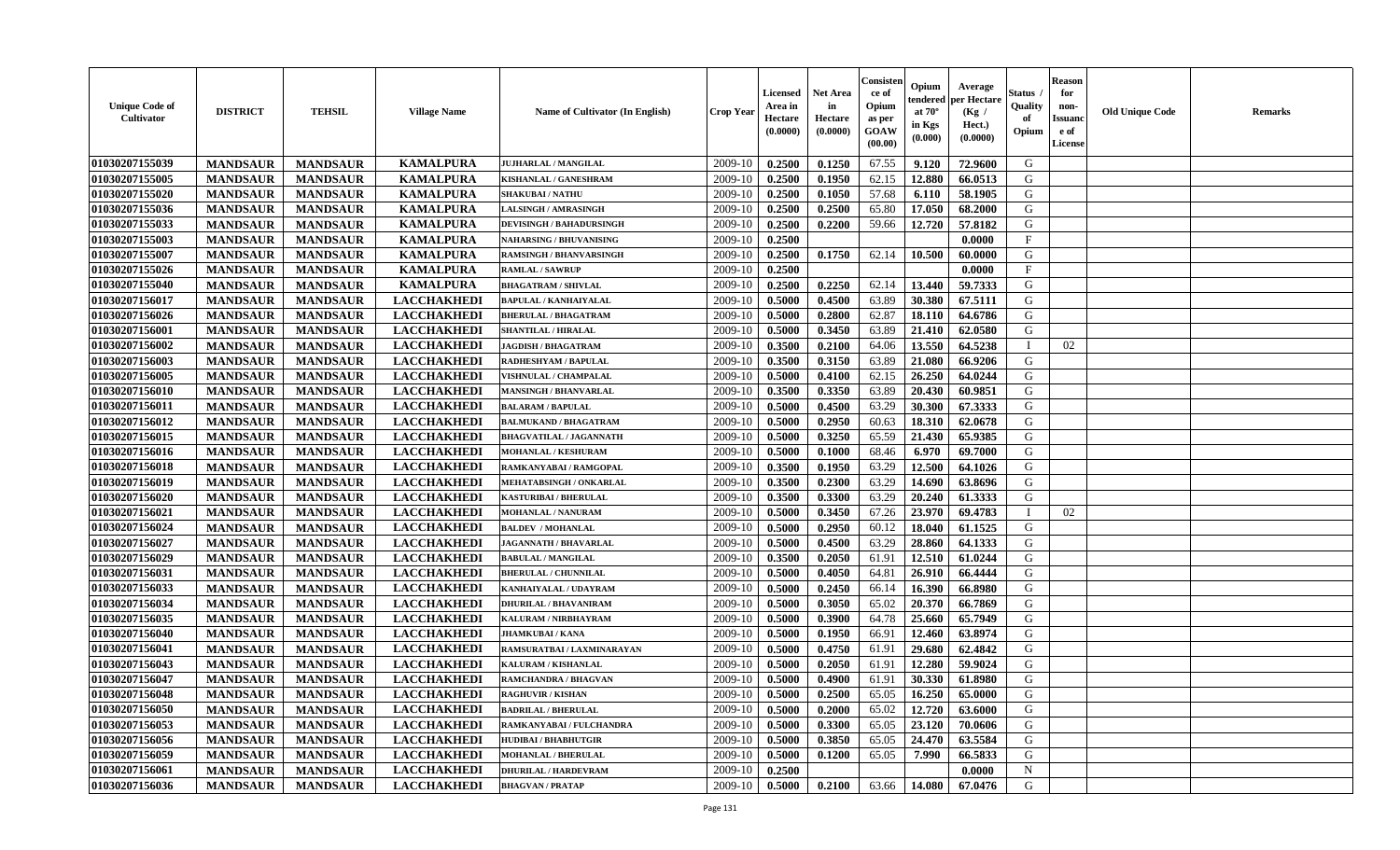| <b>Unique Code of</b><br><b>Cultivator</b> | <b>DISTRICT</b>                    | <b>TEHSIL</b>                      | <b>Village Name</b>                      | Name of Cultivator (In English) | <b>Crop Year</b>   | <b>Licensed</b><br>Area in<br>Hectare<br>(0.0000) | <b>Net Area</b><br>in<br>Hectare<br>(0.0000) | Consister<br>ce of<br>Opium<br>as per<br><b>GOAW</b><br>(00.00) | Opium<br>endered<br>at $70^\circ$<br>in Kgs<br>(0.000) | Average<br><b>per Hectare</b><br>(Kg /<br>Hect.)<br>(0.0000) | Status<br>Quality<br>of<br>Opium | <b>Reason</b><br>for<br>non-<br><b>Issuand</b><br>e of<br>License | <b>Old Unique Code</b> | <b>Remarks</b> |
|--------------------------------------------|------------------------------------|------------------------------------|------------------------------------------|---------------------------------|--------------------|---------------------------------------------------|----------------------------------------------|-----------------------------------------------------------------|--------------------------------------------------------|--------------------------------------------------------------|----------------------------------|-------------------------------------------------------------------|------------------------|----------------|
| 01030207155039                             | <b>MANDSAUR</b>                    | <b>MANDSAUR</b>                    | <b>KAMALPURA</b>                         | <b>JUJHARLAL / MANGILAL</b>     | 2009-10            | 0.2500                                            | 0.1250                                       | 67.55                                                           | 9.120                                                  | 72.9600                                                      | G                                |                                                                   |                        |                |
| 01030207155005                             | <b>MANDSAUR</b>                    | <b>MANDSAUR</b>                    | <b>KAMALPURA</b>                         | KISHANLAL / GANESHRAM           | 2009-10            | 0.2500                                            | 0.1950                                       | 62.15                                                           | 12.880                                                 | 66.0513                                                      | G                                |                                                                   |                        |                |
| 01030207155020                             | <b>MANDSAUR</b>                    | <b>MANDSAUR</b>                    | <b>KAMALPURA</b>                         | <b>SHAKUBAI/NATHU</b>           | 2009-10            | 0.2500                                            | 0.1050                                       | 57.68                                                           | 6.110                                                  | 58.1905                                                      | G                                |                                                                   |                        |                |
| 01030207155036                             | <b>MANDSAUR</b>                    | <b>MANDSAUR</b>                    | <b>KAMALPURA</b>                         | <b>LALSINGH / AMRASINGH</b>     | 2009-10            | 0.2500                                            | 0.2500                                       | 65.80                                                           | 17.050                                                 | 68.2000                                                      | G                                |                                                                   |                        |                |
| 01030207155033                             | <b>MANDSAUR</b>                    | <b>MANDSAUR</b>                    | <b>KAMALPURA</b>                         | <b>DEVISINGH / BAHADURSINGH</b> | 2009-10            | 0.2500                                            | 0.2200                                       | 59.66                                                           | 12.720                                                 | 57.8182                                                      | G                                |                                                                   |                        |                |
| 01030207155003                             | <b>MANDSAUR</b>                    | <b>MANDSAUR</b>                    | <b>KAMALPURA</b>                         | <b>NAHARSING / BHUVANISING</b>  | 2009-10            | 0.2500                                            |                                              |                                                                 |                                                        | 0.0000                                                       | $\mathbf{F}$                     |                                                                   |                        |                |
| 01030207155007                             | <b>MANDSAUR</b>                    | <b>MANDSAUR</b>                    | <b>KAMALPURA</b>                         | <b>RAMSINGH / BHANVARSINGH</b>  | 2009-10            | 0.2500                                            | 0.1750                                       | 62.14                                                           | 10.500                                                 | 60.0000                                                      | G                                |                                                                   |                        |                |
| 01030207155026                             | <b>MANDSAUR</b>                    | <b>MANDSAUR</b>                    | <b>KAMALPURA</b>                         | <b>RAMLAL / SAWRUP</b>          | 2009-10            | 0.2500                                            |                                              |                                                                 |                                                        | 0.0000                                                       | $\mathbf{F}$                     |                                                                   |                        |                |
| 01030207155040                             | <b>MANDSAUR</b>                    | <b>MANDSAUR</b>                    | <b>KAMALPURA</b>                         | <b>BHAGATRAM / SHIVLAL</b>      | 2009-10            | 0.2500                                            | 0.2250                                       | 62.14                                                           | 13.440                                                 | 59.7333                                                      | G                                |                                                                   |                        |                |
| 01030207156017                             | <b>MANDSAUR</b>                    | <b>MANDSAUR</b>                    | <b>LACCHAKHEDI</b>                       | <b>BAPULAL / KANHAIYALAL</b>    | 2009-10            | 0.5000                                            | 0.4500                                       | 63.89                                                           | 30.380                                                 | 67.5111                                                      | G                                |                                                                   |                        |                |
| 01030207156026                             | <b>MANDSAUR</b>                    | <b>MANDSAUR</b>                    | <b>LACCHAKHEDI</b>                       | <b>BHERULAL / BHAGATRAM</b>     | 2009-10            | 0.5000                                            | 0.2800                                       | 62.87                                                           | 18.110                                                 | 64.6786                                                      | G                                |                                                                   |                        |                |
| 01030207156001                             | <b>MANDSAUR</b>                    | <b>MANDSAUR</b>                    | <b>LACCHAKHEDI</b>                       | <b>SHANTILAL / HIRALAL</b>      | 2009-10            | 0.5000                                            | 0.3450                                       | 63.89                                                           | 21.410                                                 | 62.0580                                                      | G                                |                                                                   |                        |                |
| 01030207156002                             | <b>MANDSAUR</b>                    | <b>MANDSAUR</b>                    | <b>LACCHAKHEDI</b>                       | <b>JAGDISH / BHAGATRAM</b>      | 2009-10            | 0.3500                                            | 0.2100                                       | 64.06                                                           | 13.550                                                 | 64.5238                                                      | $\mathbf I$                      | 02                                                                |                        |                |
| 01030207156003                             | <b>MANDSAUR</b>                    | <b>MANDSAUR</b>                    | <b>LACCHAKHEDI</b>                       | RADHESHYAM / BAPULAL            | 2009-10            | 0.3500                                            | 0.3150                                       | 63.89                                                           | 21.080                                                 | 66.9206                                                      | G                                |                                                                   |                        |                |
| 01030207156005                             | <b>MANDSAUR</b>                    | <b>MANDSAUR</b>                    | <b>LACCHAKHEDI</b>                       | <b>VISHNULAL / CHAMPALAL</b>    | 2009-10            | 0.5000                                            | 0.4100                                       | 62.15                                                           | 26.250                                                 | 64.0244                                                      | ${\bf G}$                        |                                                                   |                        |                |
| 01030207156010                             | <b>MANDSAUR</b>                    | <b>MANDSAUR</b>                    | <b>LACCHAKHEDI</b>                       | <b>MANSINGH / BHANVARLAL</b>    | 2009-10            | 0.3500                                            | 0.3350                                       | 63.89                                                           | 20.430                                                 | 60.9851                                                      | G                                |                                                                   |                        |                |
| 01030207156011                             | <b>MANDSAUR</b>                    | <b>MANDSAUR</b>                    | <b>LACCHAKHEDI</b>                       | <b>BALARAM / BAPULAL</b>        | 2009-10            | 0.5000                                            | 0.4500                                       | 63.29                                                           | 30.300                                                 | 67.3333                                                      | G                                |                                                                   |                        |                |
| 01030207156012                             | <b>MANDSAUR</b>                    | <b>MANDSAUR</b>                    | <b>LACCHAKHEDI</b>                       | <b>BALMUKAND / BHAGATRAM</b>    | 2009-10            | 0.5000                                            | 0.2950                                       | 60.63                                                           | 18.310                                                 | 62.0678                                                      | G                                |                                                                   |                        |                |
| 01030207156015                             | <b>MANDSAUR</b>                    | <b>MANDSAUR</b>                    | <b>LACCHAKHEDI</b>                       | <b>BHAGVATILAL / JAGANNATH</b>  | 2009-10            | 0.5000                                            | 0.3250                                       | 65.59                                                           | 21.430                                                 | 65.9385                                                      | G                                |                                                                   |                        |                |
| 01030207156016                             | <b>MANDSAUR</b>                    | <b>MANDSAUR</b>                    | <b>LACCHAKHEDI</b>                       | MOHANLAL / KESHURAM             | 2009-10            | 0.5000                                            | 0.1000                                       | 68.46                                                           | 6.970                                                  | 69.7000                                                      | G                                |                                                                   |                        |                |
| 01030207156018                             | <b>MANDSAUR</b>                    | <b>MANDSAUR</b>                    | <b>LACCHAKHEDI</b>                       | RAMKANYABAI / RAMGOPAL          | 2009-10            | 0.3500                                            | 0.1950                                       | 63.29                                                           | 12.500                                                 | 64.1026                                                      | G                                |                                                                   |                        |                |
| 01030207156019                             | <b>MANDSAUR</b>                    | <b>MANDSAUR</b>                    | <b>LACCHAKHEDI</b>                       | MEHATABSINGH / ONKARLAL         | 2009-10            | 0.3500                                            | 0.2300                                       | 63.29                                                           | 14.690                                                 | 63.8696                                                      | G                                |                                                                   |                        |                |
| 01030207156020                             | <b>MANDSAUR</b>                    | <b>MANDSAUR</b>                    | <b>LACCHAKHEDI</b>                       | <b>KASTURIBAI / BHERULAL</b>    | 2009-10            | 0.3500                                            | 0.3300                                       | 63.29                                                           | 20.240                                                 | 61.3333                                                      | ${\bf G}$                        |                                                                   |                        |                |
| 01030207156021                             | <b>MANDSAUR</b>                    | <b>MANDSAUR</b>                    | <b>LACCHAKHEDI</b>                       | MOHANLAL / NANURAM              | 2009-10            | 0.5000                                            | 0.3450                                       | 67.26                                                           | 23.970                                                 | 69.4783                                                      | T                                | 02                                                                |                        |                |
| 01030207156024                             | <b>MANDSAUR</b>                    | <b>MANDSAUR</b>                    | <b>LACCHAKHEDI</b>                       | <b>BALDEV / MOHANLAL</b>        | 2009-10            | 0.5000                                            | 0.2950                                       | 60.12                                                           | 18.040                                                 | 61.1525                                                      | G                                |                                                                   |                        |                |
| 01030207156027                             | <b>MANDSAUR</b>                    | <b>MANDSAUR</b>                    | <b>LACCHAKHEDI</b>                       | <b>JAGANNATH / BHAVARLAL</b>    | 2009-10            | 0.5000                                            | 0.4500                                       | 63.29                                                           | 28.860                                                 | 64.1333                                                      | G                                |                                                                   |                        |                |
| 01030207156029                             | <b>MANDSAUR</b>                    | <b>MANDSAUR</b>                    | <b>LACCHAKHEDI</b>                       | <b>BABULAL / MANGILAL</b>       | 2009-10            | 0.3500                                            | 0.2050                                       | 61.91                                                           | 12.510                                                 | 61.0244                                                      | G                                |                                                                   |                        |                |
| 01030207156031                             | <b>MANDSAUR</b>                    | <b>MANDSAUR</b>                    | <b>LACCHAKHEDI</b>                       | <b>BHERULAL / CHUNNILAL</b>     | 2009-10            | 0.5000                                            | 0.4050                                       | 64.81                                                           | 26.910                                                 | 66.4444                                                      | G                                |                                                                   |                        |                |
| 01030207156033                             | <b>MANDSAUR</b>                    | <b>MANDSAUR</b>                    | <b>LACCHAKHEDI</b>                       | KANHAIYALAL / UDAYRAM           | 2009-10            | 0.5000                                            | 0.2450                                       | 66.14                                                           | 16.390                                                 | 66.8980                                                      | G                                |                                                                   |                        |                |
| 01030207156034                             | <b>MANDSAUR</b>                    | <b>MANDSAUR</b>                    | <b>LACCHAKHEDI</b>                       | <b>DHURILAL / BHAVANIRAM</b>    | 2009-10            | 0.5000                                            | 0.3050                                       | 65.02                                                           | 20.370                                                 | 66.7869                                                      | G                                |                                                                   |                        |                |
| 01030207156035                             | <b>MANDSAUR</b>                    | <b>MANDSAUR</b>                    | <b>LACCHAKHEDI</b>                       | KALURAM / NIRBHAYRAM            | 2009-10            | 0.5000                                            | 0.3900                                       | 64.78                                                           | 25.660                                                 | 65.7949                                                      | $\mathbf G$                      |                                                                   |                        |                |
| 01030207156040                             | <b>MANDSAUR</b>                    | <b>MANDSAUR</b>                    | <b>LACCHAKHEDI</b>                       | <b>JHAMKUBAI/KANA</b>           | 2009-10            | 0.5000                                            | 0.1950                                       | 66.91                                                           | 12.460                                                 | 63.8974                                                      | G                                |                                                                   |                        |                |
| 01030207156041                             | <b>MANDSAUR</b>                    | <b>MANDSAUR</b>                    | <b>LACCHAKHEDI</b>                       | RAMSURATBAI / LAXMINARAYAN      | 2009-10            | 0.5000                                            | 0.4750                                       | 61.91                                                           | 29.680                                                 | 62.4842                                                      | G                                |                                                                   |                        |                |
| 01030207156043                             | <b>MANDSAUR</b>                    | <b>MANDSAUR</b>                    | <b>LACCHAKHEDI</b>                       | <b>KALURAM / KISHANLAL</b>      | 2009-10            | 0.5000                                            | 0.2050                                       | 61.91                                                           | 12.280                                                 | 59.9024                                                      | G                                |                                                                   |                        |                |
| 01030207156047                             | <b>MANDSAUR</b>                    | <b>MANDSAUR</b>                    | <b>LACCHAKHEDI</b>                       | <b>RAMCHANDRA / BHAGVAN</b>     | 2009-10            | 0.5000                                            | 0.4900                                       | 61.91                                                           | 30.330                                                 | 61.8980                                                      | G                                |                                                                   |                        |                |
| 01030207156048                             |                                    |                                    |                                          | <b>RAGHUVIR / KISHAN</b>        | 2009-10            | 0.5000                                            | 0.2500                                       | 65.05                                                           | 16.250                                                 | 65.0000                                                      | G                                |                                                                   |                        |                |
| 01030207156050                             | <b>MANDSAUR</b>                    | <b>MANDSAUR</b>                    | <b>LACCHAKHEDI</b>                       | <b>BADRILAL / BHERULAL</b>      |                    |                                                   |                                              |                                                                 |                                                        |                                                              | G                                |                                                                   |                        |                |
| 01030207156053                             | <b>MANDSAUR</b><br><b>MANDSAUR</b> | <b>MANDSAUR</b><br><b>MANDSAUR</b> | <b>LACCHAKHEDI</b><br><b>LACCHAKHEDI</b> |                                 | 2009-10<br>2009-10 | 0.5000                                            | 0.2000                                       | 65.02<br>65.05                                                  | 12.720<br>23.120                                       | 63.6000                                                      | G                                |                                                                   |                        |                |
| 01030207156056                             |                                    |                                    |                                          | RAMKANYABAI / FULCHANDRA        |                    | 0.5000                                            | 0.3300                                       |                                                                 |                                                        | 70.0606                                                      | G                                |                                                                   |                        |                |
|                                            | <b>MANDSAUR</b>                    | <b>MANDSAUR</b>                    | <b>LACCHAKHEDI</b>                       | HUDIBAI / BHABHUTGIR            | 2009-10            | 0.5000                                            | 0.3850                                       | 65.05                                                           | 24.470                                                 | 63.5584                                                      |                                  |                                                                   |                        |                |
| 01030207156059                             | <b>MANDSAUR</b>                    | <b>MANDSAUR</b>                    | <b>LACCHAKHEDI</b>                       | <b>MOHANLAL / BHERULAL</b>      | 2009-10            | 0.5000                                            | 0.1200                                       | 65.05                                                           | 7.990                                                  | 66.5833                                                      | G                                |                                                                   |                        |                |
| 01030207156061                             | <b>MANDSAUR</b>                    | <b>MANDSAUR</b>                    | <b>LACCHAKHEDI</b>                       | <b>DHURILAL / HARDEVRAM</b>     | 2009-10            | 0.2500                                            |                                              |                                                                 |                                                        | 0.0000                                                       | $\mathbf N$                      |                                                                   |                        |                |
| 01030207156036                             | <b>MANDSAUR</b>                    | <b>MANDSAUR</b>                    | <b>LACCHAKHEDI</b>                       | <b>BHAGVAN / PRATAP</b>         | 2009-10            | 0.5000                                            | 0.2100                                       | 63.66                                                           | 14.080                                                 | 67.0476                                                      | G                                |                                                                   |                        |                |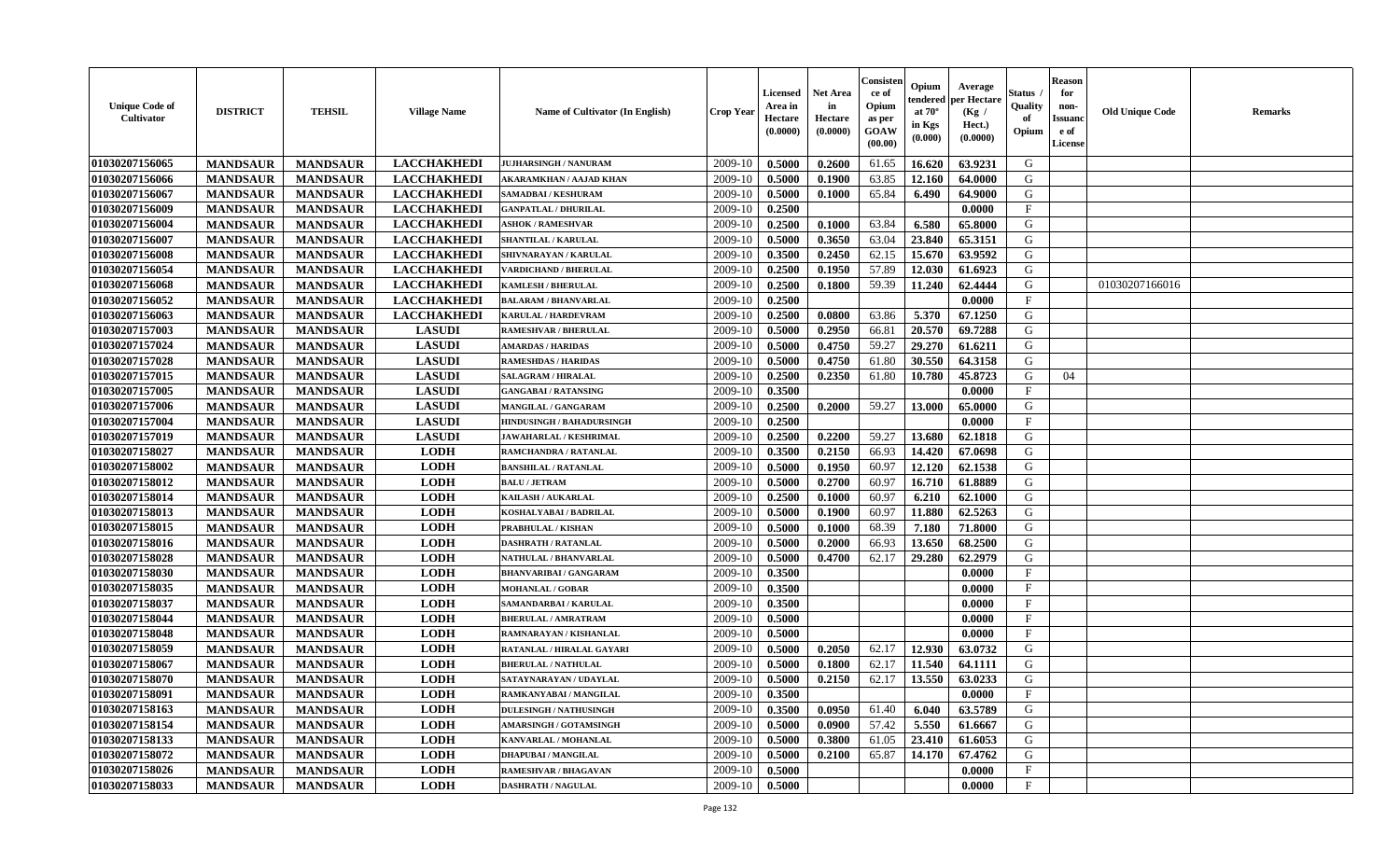| <b>Unique Code of</b><br><b>Cultivator</b> | <b>DISTRICT</b> | <b>TEHSIL</b>   | <b>Village Name</b> | Name of Cultivator (In English)  | <b>Crop Year</b> | <b>Licensed</b><br>Area in<br>Hectare<br>(0.0000) | <b>Net Area</b><br>in<br>Hectare<br>(0.0000) | Consisteı<br>ce of<br>Opium<br>as per<br><b>GOAW</b><br>(00.00) | Opium<br>endered<br>at $70^\circ$<br>in Kgs<br>$(\mathbf{0.000})$ | Average<br>per Hectare<br>(Kg /<br>Hect.)<br>(0.0000) | Status<br>Quality<br>of<br>Opium | <b>Reason</b><br>for<br>non-<br>Issuan<br>e of<br>License | <b>Old Unique Code</b> | <b>Remarks</b> |
|--------------------------------------------|-----------------|-----------------|---------------------|----------------------------------|------------------|---------------------------------------------------|----------------------------------------------|-----------------------------------------------------------------|-------------------------------------------------------------------|-------------------------------------------------------|----------------------------------|-----------------------------------------------------------|------------------------|----------------|
| 01030207156065                             | <b>MANDSAUR</b> | <b>MANDSAUR</b> | <b>LACCHAKHEDI</b>  | <b>JUJHARSINGH / NANURAM</b>     | 2009-10          | 0.5000                                            | 0.2600                                       | 61.65                                                           | 16.620                                                            | 63.9231                                               | G                                |                                                           |                        |                |
| 01030207156066                             | <b>MANDSAUR</b> | <b>MANDSAUR</b> | <b>LACCHAKHEDI</b>  | AKARAMKHAN / AAJAD KHAN          | 2009-10          | 0.5000                                            | 0.1900                                       | 63.85                                                           | 12.160                                                            | 64.0000                                               | G                                |                                                           |                        |                |
| 01030207156067                             | <b>MANDSAUR</b> | <b>MANDSAUR</b> | <b>LACCHAKHEDI</b>  | SAMADBAI / KESHURAM              | 2009-10          | 0.5000                                            | 0.1000                                       | 65.84                                                           | 6.490                                                             | 64.9000                                               | G                                |                                                           |                        |                |
| 01030207156009                             | <b>MANDSAUR</b> | <b>MANDSAUR</b> | <b>LACCHAKHEDI</b>  | <b>GANPATLAL / DHURILAL</b>      | 2009-10          | 0.2500                                            |                                              |                                                                 |                                                                   | 0.0000                                                | $\mathbf{F}$                     |                                                           |                        |                |
| 01030207156004                             | <b>MANDSAUR</b> | <b>MANDSAUR</b> | <b>LACCHAKHEDI</b>  | <b>ASHOK / RAMESHVAR</b>         | 2009-10          | 0.2500                                            | 0.1000                                       | 63.84                                                           | 6.580                                                             | 65.8000                                               | G                                |                                                           |                        |                |
| 01030207156007                             | <b>MANDSAUR</b> | <b>MANDSAUR</b> | <b>LACCHAKHEDI</b>  | <b>SHANTILAL / KARULAL</b>       | 2009-10          | 0.5000                                            | 0.3650                                       | 63.04                                                           | 23.840                                                            | 65.3151                                               | G                                |                                                           |                        |                |
| 01030207156008                             | <b>MANDSAUR</b> | <b>MANDSAUR</b> | <b>LACCHAKHEDI</b>  | <b>SHIVNARAYAN / KARULAL</b>     | 2009-10          | 0.3500                                            | 0.2450                                       | 62.15                                                           | 15.670                                                            | 63.9592                                               | G                                |                                                           |                        |                |
| 01030207156054                             | <b>MANDSAUR</b> | <b>MANDSAUR</b> | <b>LACCHAKHEDI</b>  | <b>VARDICHAND / BHERULAL</b>     | 2009-10          | 0.2500                                            | 0.1950                                       | 57.89                                                           | 12.030                                                            | 61.6923                                               | G                                |                                                           |                        |                |
| 01030207156068                             | <b>MANDSAUR</b> | <b>MANDSAUR</b> | <b>LACCHAKHEDI</b>  | <b>KAMLESH / BHERULAL</b>        | 2009-10          | 0.2500                                            | 0.1800                                       | 59.39                                                           | 11.240                                                            | 62.4444                                               | G                                |                                                           | 01030207166016         |                |
| 01030207156052                             | <b>MANDSAUR</b> | <b>MANDSAUR</b> | <b>LACCHAKHEDI</b>  | <b>BALARAM / BHANVARLAL</b>      | 2009-10          | 0.2500                                            |                                              |                                                                 |                                                                   | 0.0000                                                | $\mathbf{F}$                     |                                                           |                        |                |
| 01030207156063                             | <b>MANDSAUR</b> | <b>MANDSAUR</b> | <b>LACCHAKHEDI</b>  | KARULAL / HARDEVRAM              | 2009-10          | 0.2500                                            | 0.0800                                       | 63.86                                                           | 5.370                                                             | 67.1250                                               | G                                |                                                           |                        |                |
| 01030207157003                             | <b>MANDSAUR</b> | <b>MANDSAUR</b> | <b>LASUDI</b>       | <b>RAMESHVAR / BHERULAL</b>      | 2009-10          | 0.5000                                            | 0.2950                                       | 66.81                                                           | 20.570                                                            | 69.7288                                               | G                                |                                                           |                        |                |
| 01030207157024                             | <b>MANDSAUR</b> | <b>MANDSAUR</b> | <b>LASUDI</b>       | <b>AMARDAS / HARIDAS</b>         | 2009-10          | 0.5000                                            | 0.4750                                       | 59.27                                                           | 29.270                                                            | 61.6211                                               | G                                |                                                           |                        |                |
| 01030207157028                             | <b>MANDSAUR</b> | <b>MANDSAUR</b> | <b>LASUDI</b>       | <b>RAMESHDAS / HARIDAS</b>       | 2009-10          | 0.5000                                            | 0.4750                                       | 61.80                                                           | 30.550                                                            | 64.3158                                               | G                                |                                                           |                        |                |
| 01030207157015                             | <b>MANDSAUR</b> | <b>MANDSAUR</b> | <b>LASUDI</b>       | <b>SALAGRAM / HIRALAL</b>        | 2009-10          | 0.2500                                            | 0.2350                                       | 61.80                                                           | 10.780                                                            | 45.8723                                               | G                                | 04                                                        |                        |                |
| 01030207157005                             | <b>MANDSAUR</b> | <b>MANDSAUR</b> | <b>LASUDI</b>       | <b>GANGABAI/RATANSING</b>        | 2009-10          | 0.3500                                            |                                              |                                                                 |                                                                   | 0.0000                                                | F                                |                                                           |                        |                |
| 01030207157006                             | <b>MANDSAUR</b> | <b>MANDSAUR</b> | <b>LASUDI</b>       | <b>MANGILAL / GANGARAM</b>       | 2009-10          | 0.2500                                            | 0.2000                                       | 59.27                                                           | 13.000                                                            | 65.0000                                               | G                                |                                                           |                        |                |
| 01030207157004                             | <b>MANDSAUR</b> | <b>MANDSAUR</b> | <b>LASUDI</b>       | <b>HINDUSINGH / BAHADURSINGH</b> | 2009-10          | 0.2500                                            |                                              |                                                                 |                                                                   | 0.0000                                                | $\mathbf F$                      |                                                           |                        |                |
| 01030207157019                             | <b>MANDSAUR</b> | <b>MANDSAUR</b> | <b>LASUDI</b>       | <b>JAWAHARLAL / KESHRIMAL</b>    | 2009-10          | 0.2500                                            | 0.2200                                       | 59.27                                                           | 13.680                                                            | 62.1818                                               | G                                |                                                           |                        |                |
| 01030207158027                             | <b>MANDSAUR</b> | <b>MANDSAUR</b> | <b>LODH</b>         | RAMCHANDRA / RATANLAL            | 2009-10          | 0.3500                                            | 0.2150                                       | 66.93                                                           | 14.420                                                            | 67.0698                                               | G                                |                                                           |                        |                |
| 01030207158002                             | <b>MANDSAUR</b> | <b>MANDSAUR</b> | <b>LODH</b>         | <b>BANSHILAL / RATANLAL</b>      | 2009-10          | 0.5000                                            | 0.1950                                       | 60.97                                                           | 12.120                                                            | 62.1538                                               | G                                |                                                           |                        |                |
| 01030207158012                             | <b>MANDSAUR</b> | <b>MANDSAUR</b> | <b>LODH</b>         | <b>BALU / JETRAM</b>             | 2009-10          | 0.5000                                            | 0.2700                                       | 60.97                                                           | 16.710                                                            | 61.8889                                               | G                                |                                                           |                        |                |
| 01030207158014                             | <b>MANDSAUR</b> | <b>MANDSAUR</b> | <b>LODH</b>         | KAILASH / AUKARLAL               | 2009-10          | 0.2500                                            | 0.1000                                       | 60.97                                                           | 6.210                                                             | 62.1000                                               | G                                |                                                           |                        |                |
| 01030207158013                             | <b>MANDSAUR</b> | <b>MANDSAUR</b> | <b>LODH</b>         | KOSHALYABAI / BADRILAL           | 2009-10          | 0.5000                                            | 0.1900                                       | 60.97                                                           | 11.880                                                            | 62.5263                                               | G                                |                                                           |                        |                |
| 01030207158015                             | <b>MANDSAUR</b> | <b>MANDSAUR</b> | <b>LODH</b>         | PRABHULAL / KISHAN               | 2009-10          | 0.5000                                            | 0.1000                                       | 68.39                                                           | 7.180                                                             | 71.8000                                               | G                                |                                                           |                        |                |
| 01030207158016                             | <b>MANDSAUR</b> | <b>MANDSAUR</b> | <b>LODH</b>         | <b>DASHRATH / RATANLAL</b>       | 2009-10          | 0.5000                                            | 0.2000                                       | 66.93                                                           | 13.650                                                            | 68.2500                                               | G                                |                                                           |                        |                |
| 01030207158028                             | <b>MANDSAUR</b> | <b>MANDSAUR</b> | <b>LODH</b>         | <b>NATHULAL / BHANVARLAL</b>     | 2009-10          | 0.5000                                            | 0.4700                                       | 62.17                                                           | 29.280                                                            | 62.2979                                               | G                                |                                                           |                        |                |
| 01030207158030                             | <b>MANDSAUR</b> | <b>MANDSAUR</b> | <b>LODH</b>         | <b>BHANVARIBAI / GANGARAM</b>    | 2009-10          | 0.3500                                            |                                              |                                                                 |                                                                   | 0.0000                                                | $_{\rm F}$                       |                                                           |                        |                |
| 01030207158035                             | <b>MANDSAUR</b> | <b>MANDSAUR</b> | <b>LODH</b>         | <b>MOHANLAL / GOBAR</b>          | 2009-10          | 0.3500                                            |                                              |                                                                 |                                                                   | 0.0000                                                | $\mathbf{F}$                     |                                                           |                        |                |
| 01030207158037                             | <b>MANDSAUR</b> | <b>MANDSAUR</b> | <b>LODH</b>         | SAMANDARBAI / KARULAL            | 2009-10          | 0.3500                                            |                                              |                                                                 |                                                                   | 0.0000                                                | $_{\rm F}$                       |                                                           |                        |                |
| 01030207158044                             | <b>MANDSAUR</b> | <b>MANDSAUR</b> | <b>LODH</b>         | <b>BHERULAL / AMRATRAM</b>       | 2009-10          | 0.5000                                            |                                              |                                                                 |                                                                   | 0.0000                                                | $_{\rm F}$                       |                                                           |                        |                |
| 01030207158048                             | <b>MANDSAUR</b> | <b>MANDSAUR</b> | <b>LODH</b>         | RAMNARAYAN / KISHANLAL           | 2009-10          | 0.5000                                            |                                              |                                                                 |                                                                   | 0.0000                                                | $\mathbf{F}$                     |                                                           |                        |                |
| 01030207158059                             | <b>MANDSAUR</b> | <b>MANDSAUR</b> | <b>LODH</b>         | RATANLAL / HIRALAL GAYARI        | 2009-10          | 0.5000                                            | 0.2050                                       | 62.17                                                           | 12.930                                                            | 63.0732                                               | G                                |                                                           |                        |                |
| 01030207158067                             | <b>MANDSAUR</b> | <b>MANDSAUR</b> | <b>LODH</b>         | <b>BHERULAL / NATHULAL</b>       | 2009-10          | 0.5000                                            | 0.1800                                       | 62.17                                                           | 11.540                                                            | 64.1111                                               | G                                |                                                           |                        |                |
| 01030207158070                             | <b>MANDSAUR</b> | <b>MANDSAUR</b> | <b>LODH</b>         | SATAYNARAYAN / UDAYLAL           | 2009-10          | 0.5000                                            | 0.2150                                       | 62.17                                                           | 13.550                                                            | 63.0233                                               | G                                |                                                           |                        |                |
| 01030207158091                             | <b>MANDSAUR</b> | <b>MANDSAUR</b> | <b>LODH</b>         | RAMKANYABAI / MANGILAL           | $2009-10$ 0.3500 |                                                   |                                              |                                                                 |                                                                   | 0.0000                                                | F                                |                                                           |                        |                |
| 01030207158163                             | <b>MANDSAUR</b> | <b>MANDSAUR</b> | <b>LODH</b>         | <b>DULESINGH / NATHUSINGH</b>    | 2009-10          | 0.3500                                            | 0.0950                                       | 61.40                                                           | 6.040                                                             | 63.5789                                               | G                                |                                                           |                        |                |
| 01030207158154                             | <b>MANDSAUR</b> | <b>MANDSAUR</b> | <b>LODH</b>         | <b>AMARSINGH / GOTAMSINGH</b>    | 2009-10          | 0.5000                                            | 0.0900                                       | 57.42                                                           | 5.550                                                             | 61.6667                                               | G                                |                                                           |                        |                |
| 01030207158133                             | <b>MANDSAUR</b> | <b>MANDSAUR</b> | <b>LODH</b>         | KANVARLAL / MOHANLAL             | 2009-10          | 0.5000                                            | 0.3800                                       | 61.05                                                           | 23.410                                                            | 61.6053                                               | G                                |                                                           |                        |                |
| 01030207158072                             | <b>MANDSAUR</b> | <b>MANDSAUR</b> | <b>LODH</b>         | <b>DHAPUBAI/MANGILAL</b>         | 2009-10          | 0.5000                                            | 0.2100                                       | 65.87                                                           | 14.170                                                            | 67.4762                                               | G                                |                                                           |                        |                |
| 01030207158026                             | <b>MANDSAUR</b> | <b>MANDSAUR</b> | <b>LODH</b>         | <b>RAMESHVAR / BHAGAVAN</b>      | 2009-10          | 0.5000                                            |                                              |                                                                 |                                                                   | 0.0000                                                | $\mathbf{F}$                     |                                                           |                        |                |
| 01030207158033                             | <b>MANDSAUR</b> | <b>MANDSAUR</b> | <b>LODH</b>         | <b>DASHRATH / NAGULAL</b>        | 2009-10          | 0.5000                                            |                                              |                                                                 |                                                                   | 0.0000                                                | $\mathbf{F}$                     |                                                           |                        |                |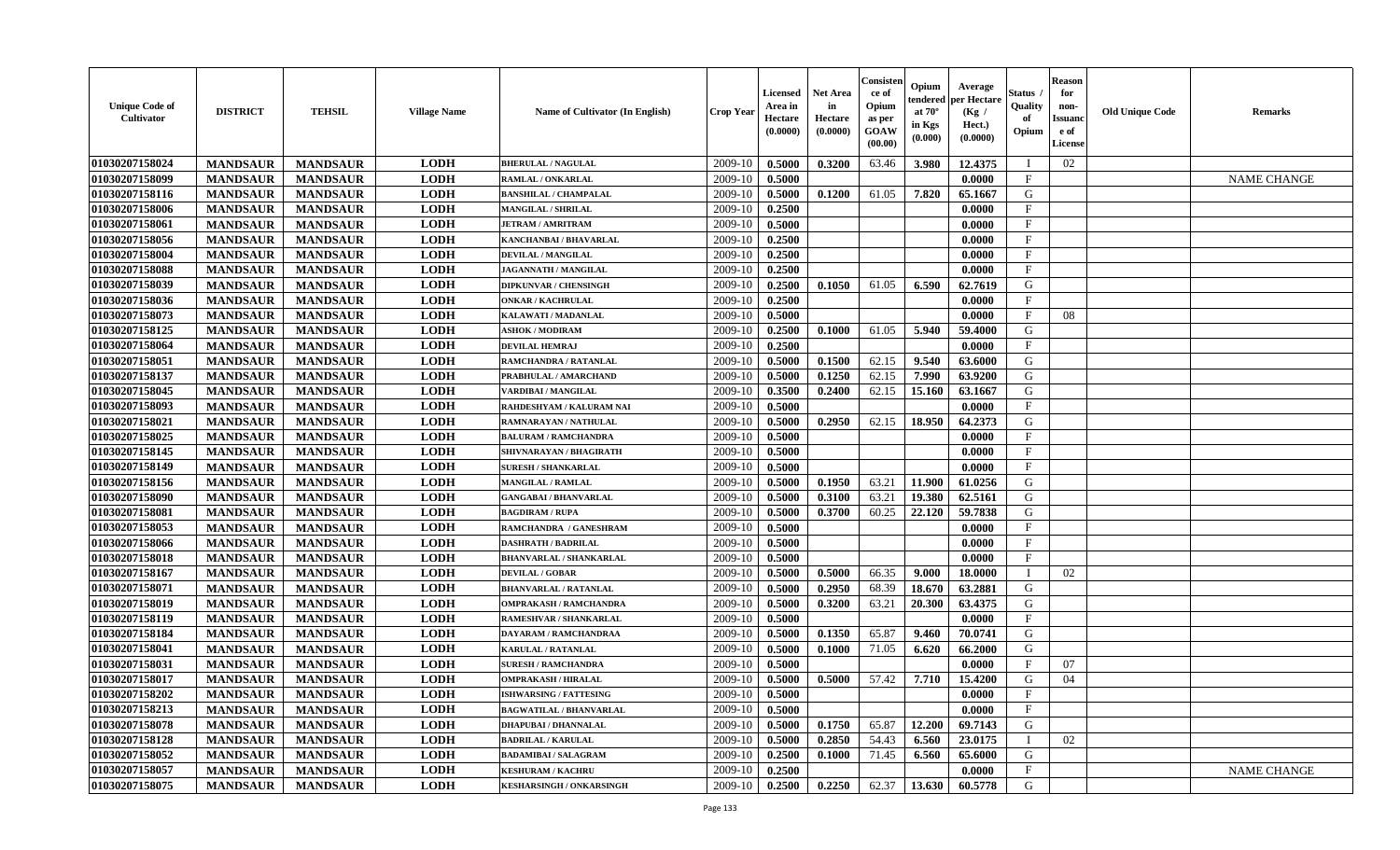| <b>Unique Code of</b><br><b>Cultivator</b> | <b>DISTRICT</b> | <b>TEHSIL</b>   | <b>Village Name</b> | <b>Name of Cultivator (In English)</b> | <b>Crop Year</b> | <b>Licensed</b><br>Area in<br>Hectare<br>(0.0000) | <b>Net Area</b><br>in<br>Hectare<br>(0.0000) | Consister<br>ce of<br>Opium<br>as per<br><b>GOAW</b><br>(00.00) | Opium<br>endered<br>at $70^\circ$<br>in Kgs<br>(0.000) | Average<br>per Hectare<br>(Kg /<br>Hect.)<br>(0.0000) | Status<br>Quality<br>of<br>Opium | <b>Reason</b><br>for<br>non-<br><b>Issuand</b><br>e of<br><b>License</b> | <b>Old Unique Code</b> | <b>Remarks</b>     |
|--------------------------------------------|-----------------|-----------------|---------------------|----------------------------------------|------------------|---------------------------------------------------|----------------------------------------------|-----------------------------------------------------------------|--------------------------------------------------------|-------------------------------------------------------|----------------------------------|--------------------------------------------------------------------------|------------------------|--------------------|
| 01030207158024                             | <b>MANDSAUR</b> | <b>MANDSAUR</b> | <b>LODH</b>         | <b>BHERULAL / NAGULAL</b>              | 2009-10          | 0.5000                                            | 0.3200                                       | 63.46                                                           | 3.980                                                  | 12.4375                                               | $\blacksquare$                   | 02                                                                       |                        |                    |
| 01030207158099                             | <b>MANDSAUR</b> | <b>MANDSAUR</b> | <b>LODH</b>         | <b>RAMLAL / ONKARLAL</b>               | 2009-10          | 0.5000                                            |                                              |                                                                 |                                                        | 0.0000                                                | $\mathbf F$                      |                                                                          |                        | <b>NAME CHANGE</b> |
| 01030207158116                             | <b>MANDSAUR</b> | <b>MANDSAUR</b> | <b>LODH</b>         | <b>BANSHILAL / CHAMPALAL</b>           | 2009-10          | 0.5000                                            | 0.1200                                       | 61.05                                                           | 7.820                                                  | 65.1667                                               | G                                |                                                                          |                        |                    |
| 01030207158006                             | <b>MANDSAUR</b> | <b>MANDSAUR</b> | <b>LODH</b>         | <b>MANGILAL / SHRILAL</b>              | 2009-10          | 0.2500                                            |                                              |                                                                 |                                                        | 0.0000                                                | $\mathbf{F}$                     |                                                                          |                        |                    |
| 01030207158061                             | <b>MANDSAUR</b> | <b>MANDSAUR</b> | <b>LODH</b>         | <b>JETRAM / AMRITRAM</b>               | 2009-10          | 0.5000                                            |                                              |                                                                 |                                                        | 0.0000                                                | $_{\rm F}$                       |                                                                          |                        |                    |
| 01030207158056                             | <b>MANDSAUR</b> | <b>MANDSAUR</b> | <b>LODH</b>         | KANCHANBAI / BHAVARLAL                 | 2009-10          | 0.2500                                            |                                              |                                                                 |                                                        | 0.0000                                                | $\mathbf{F}$                     |                                                                          |                        |                    |
| 01030207158004                             | <b>MANDSAUR</b> | <b>MANDSAUR</b> | <b>LODH</b>         | <b>DEVILAL / MANGILAL</b>              | 2009-10          | 0.2500                                            |                                              |                                                                 |                                                        | 0.0000                                                | F                                |                                                                          |                        |                    |
| 01030207158088                             | <b>MANDSAUR</b> | <b>MANDSAUR</b> | <b>LODH</b>         | JAGANNATH / MANGILAL                   | 2009-10          | 0.2500                                            |                                              |                                                                 |                                                        | 0.0000                                                | $\mathbf{F}$                     |                                                                          |                        |                    |
| 01030207158039                             | <b>MANDSAUR</b> | <b>MANDSAUR</b> | <b>LODH</b>         | <b>DIPKUNVAR / CHENSINGH</b>           | 2009-10          | 0.2500                                            | 0.1050                                       | 61.05                                                           | 6.590                                                  | 62.7619                                               | G                                |                                                                          |                        |                    |
| 01030207158036                             | <b>MANDSAUR</b> | <b>MANDSAUR</b> | <b>LODH</b>         | <b>ONKAR / KACHRULAL</b>               | 2009-10          | 0.2500                                            |                                              |                                                                 |                                                        | 0.0000                                                | $\mathbf{F}$                     |                                                                          |                        |                    |
| 01030207158073                             | <b>MANDSAUR</b> | <b>MANDSAUR</b> | <b>LODH</b>         | KALAWATI / MADANLAL                    | 2009-10          | 0.5000                                            |                                              |                                                                 |                                                        | 0.0000                                                | $\mathbf{F}$                     | 08                                                                       |                        |                    |
| 01030207158125                             | <b>MANDSAUR</b> | <b>MANDSAUR</b> | <b>LODH</b>         | <b>ASHOK / MODIRAM</b>                 | 2009-10          | 0.2500                                            | 0.1000                                       | 61.05                                                           | 5.940                                                  | 59.4000                                               | G                                |                                                                          |                        |                    |
| 01030207158064                             | <b>MANDSAUR</b> | <b>MANDSAUR</b> | <b>LODH</b>         | <b>DEVILAL HEMRAJ</b>                  | 2009-10          | 0.2500                                            |                                              |                                                                 |                                                        | 0.0000                                                | $\mathbf{F}$                     |                                                                          |                        |                    |
| 01030207158051                             | <b>MANDSAUR</b> | <b>MANDSAUR</b> | <b>LODH</b>         | RAMCHANDRA / RATANLAL                  | 2009-10          | 0.5000                                            | 0.1500                                       | 62.15                                                           | 9.540                                                  | 63.6000                                               | G                                |                                                                          |                        |                    |
| 01030207158137                             | <b>MANDSAUR</b> | <b>MANDSAUR</b> | <b>LODH</b>         | PRABHULAL / AMARCHAND                  | 2009-10          | 0.5000                                            | 0.1250                                       | 62.15                                                           | 7.990                                                  | 63.9200                                               | $\mathbf G$                      |                                                                          |                        |                    |
| 01030207158045                             | <b>MANDSAUR</b> | <b>MANDSAUR</b> | <b>LODH</b>         | VARDIBAI / MANGILAL                    | 2009-10          | 0.3500                                            | 0.2400                                       | 62.15                                                           | 15.160                                                 | 63.1667                                               | G                                |                                                                          |                        |                    |
| 01030207158093                             | <b>MANDSAUR</b> | <b>MANDSAUR</b> | <b>LODH</b>         | RAHDESHYAM / KALURAM NAI               | 2009-10          | 0.5000                                            |                                              |                                                                 |                                                        | 0.0000                                                | $\mathbf{F}$                     |                                                                          |                        |                    |
| 01030207158021                             | <b>MANDSAUR</b> | <b>MANDSAUR</b> | <b>LODH</b>         | RAMNARAYAN / NATHULAL                  | 2009-10          | 0.5000                                            | 0.2950                                       | 62.15                                                           | 18.950                                                 | 64.2373                                               | G                                |                                                                          |                        |                    |
| 01030207158025                             | <b>MANDSAUR</b> | <b>MANDSAUR</b> | <b>LODH</b>         | <b>BALURAM / RAMCHANDRA</b>            | 2009-10          | 0.5000                                            |                                              |                                                                 |                                                        | 0.0000                                                | $\mathbf{F}$                     |                                                                          |                        |                    |
| 01030207158145                             | <b>MANDSAUR</b> | <b>MANDSAUR</b> | <b>LODH</b>         | SHIVNARAYAN / BHAGIRATH                | 2009-10          | 0.5000                                            |                                              |                                                                 |                                                        | 0.0000                                                | $\rm F$                          |                                                                          |                        |                    |
| 01030207158149                             | <b>MANDSAUR</b> | <b>MANDSAUR</b> | <b>LODH</b>         | <b>SURESH / SHANKARLAL</b>             | 2009-10          | 0.5000                                            |                                              |                                                                 |                                                        | 0.0000                                                | $_{\rm F}$                       |                                                                          |                        |                    |
| 01030207158156                             | <b>MANDSAUR</b> | <b>MANDSAUR</b> | <b>LODH</b>         | <b>MANGILAL / RAMLAL</b>               | 2009-10          | 0.5000                                            | 0.1950                                       | 63.21                                                           | 11.900                                                 | 61.0256                                               | G                                |                                                                          |                        |                    |
| 01030207158090                             | <b>MANDSAUR</b> | <b>MANDSAUR</b> | <b>LODH</b>         | <b>GANGABAI / BHANVARLAL</b>           | 2009-10          | 0.5000                                            | 0.3100                                       | 63.21                                                           | 19.380                                                 | 62.5161                                               | ${\bf G}$                        |                                                                          |                        |                    |
| 01030207158081                             | <b>MANDSAUR</b> | <b>MANDSAUR</b> | <b>LODH</b>         | <b>BAGDIRAM / RUPA</b>                 | 2009-10          | 0.5000                                            | 0.3700                                       | 60.25                                                           | 22.120                                                 | 59.7838                                               | G                                |                                                                          |                        |                    |
| 01030207158053                             | <b>MANDSAUR</b> | <b>MANDSAUR</b> | <b>LODH</b>         | RAMCHANDRA / GANESHRAM                 | 2009-10          | 0.5000                                            |                                              |                                                                 |                                                        | 0.0000                                                | $\mathbf{F}$                     |                                                                          |                        |                    |
| 01030207158066                             | <b>MANDSAUR</b> | <b>MANDSAUR</b> | <b>LODH</b>         | <b>DASHRATH / BADRILAL</b>             | 2009-10          | 0.5000                                            |                                              |                                                                 |                                                        | 0.0000                                                | $\mathbf{F}$                     |                                                                          |                        |                    |
| 01030207158018                             | <b>MANDSAUR</b> | <b>MANDSAUR</b> | <b>LODH</b>         | <b>BHANVARLAL / SHANKARLAL</b>         | 2009-10          | 0.5000                                            |                                              |                                                                 |                                                        | 0.0000                                                | $\mathbf{F}$                     |                                                                          |                        |                    |
| 01030207158167                             | <b>MANDSAUR</b> | <b>MANDSAUR</b> | <b>LODH</b>         | <b>DEVILAL / GOBAR</b>                 | 2009-10          | 0.5000                                            | 0.5000                                       | 66.35                                                           | 9.000                                                  | 18.0000                                               | $\mathbf{I}$                     | 02                                                                       |                        |                    |
| 01030207158071                             | <b>MANDSAUR</b> | <b>MANDSAUR</b> | <b>LODH</b>         | <b>BHANVARLAL / RATANLAL</b>           | 2009-10          | 0.5000                                            | 0.2950                                       | 68.39                                                           | 18.670                                                 | 63.2881                                               | G                                |                                                                          |                        |                    |
| 01030207158019                             | <b>MANDSAUR</b> | <b>MANDSAUR</b> | <b>LODH</b>         | <b>OMPRAKASH / RAMCHANDRA</b>          | 2009-10          | 0.5000                                            | 0.3200                                       | 63.21                                                           | 20.300                                                 | 63.4375                                               | G                                |                                                                          |                        |                    |
| 01030207158119                             | <b>MANDSAUR</b> | <b>MANDSAUR</b> | <b>LODH</b>         | RAMESHVAR / SHANKARLAL                 | 2009-10          | 0.5000                                            |                                              |                                                                 |                                                        | 0.0000                                                | F                                |                                                                          |                        |                    |
| 01030207158184                             | <b>MANDSAUR</b> | <b>MANDSAUR</b> | <b>LODH</b>         | <b>DAYARAM / RAMCHANDRAA</b>           | 2009-10          | 0.5000                                            | 0.1350                                       | 65.87                                                           | 9.460                                                  | 70.0741                                               | G                                |                                                                          |                        |                    |
| 01030207158041                             | <b>MANDSAUR</b> | <b>MANDSAUR</b> | <b>LODH</b>         | <b>KARULAL / RATANLAL</b>              | 2009-10          | 0.5000                                            | 0.1000                                       | 71.05                                                           | 6.620                                                  | 66.2000                                               | G                                |                                                                          |                        |                    |
| 01030207158031                             | <b>MANDSAUR</b> | <b>MANDSAUR</b> | <b>LODH</b>         | <b>SURESH / RAMCHANDRA</b>             | 2009-10          | 0.5000                                            |                                              |                                                                 |                                                        | 0.0000                                                | $\mathbf F$                      | 07                                                                       |                        |                    |
| 01030207158017                             | <b>MANDSAUR</b> | <b>MANDSAUR</b> | <b>LODH</b>         | <b>OMPRAKASH / HIRALAL</b>             | 2009-10          | 0.5000                                            | 0.5000                                       | 57.42                                                           | 7.710                                                  | 15.4200                                               | G                                | 04                                                                       |                        |                    |
| 01030207158202                             | <b>MANDSAUR</b> | <b>MANDSAUR</b> | <b>LODH</b>         | <b>ISHWARSING / FATTESING</b>          | 2009-10          | 0.5000                                            |                                              |                                                                 |                                                        | 0.0000                                                | $\mathbf{F}$                     |                                                                          |                        |                    |
| 01030207158213                             | <b>MANDSAUR</b> | <b>MANDSAUR</b> | <b>LODH</b>         | <b>BAGWATILAL / BHANVARLAL</b>         | 2009-10          | 0.5000                                            |                                              |                                                                 |                                                        | 0.0000                                                | $\mathbf{F}$                     |                                                                          |                        |                    |
| 01030207158078                             | <b>MANDSAUR</b> | <b>MANDSAUR</b> | <b>LODH</b>         | <b>DHAPUBAI / DHANNALAL</b>            | 2009-10          | 0.5000                                            | 0.1750                                       | 65.87                                                           | 12.200                                                 | 69.7143                                               | G                                |                                                                          |                        |                    |
| 01030207158128                             | <b>MANDSAUR</b> | <b>MANDSAUR</b> | <b>LODH</b>         | <b>BADRILAL / KARULAL</b>              | 2009-10          | 0.5000                                            | 0.2850                                       | 54.43                                                           | 6.560                                                  | 23.0175                                               |                                  | 02                                                                       |                        |                    |
| 01030207158052                             | <b>MANDSAUR</b> | <b>MANDSAUR</b> | <b>LODH</b>         | <b>BADAMIBAI / SALAGRAM</b>            | 2009-10          | 0.2500                                            | 0.1000                                       | 71.45                                                           | 6.560                                                  | 65.6000                                               | G                                |                                                                          |                        |                    |
| 01030207158057                             | <b>MANDSAUR</b> | <b>MANDSAUR</b> | <b>LODH</b>         | <b>KESHURAM / KACHRU</b>               | 2009-10          | 0.2500                                            |                                              |                                                                 |                                                        | 0.0000                                                | $\mathbf{F}$                     |                                                                          |                        | <b>NAME CHANGE</b> |
| 01030207158075                             | <b>MANDSAUR</b> | <b>MANDSAUR</b> | <b>LODH</b>         | <b>KESHARSINGH / ONKARSINGH</b>        | 2009-10          | 0.2500                                            | 0.2250                                       | 62.37                                                           | 13.630                                                 | 60.5778                                               | G                                |                                                                          |                        |                    |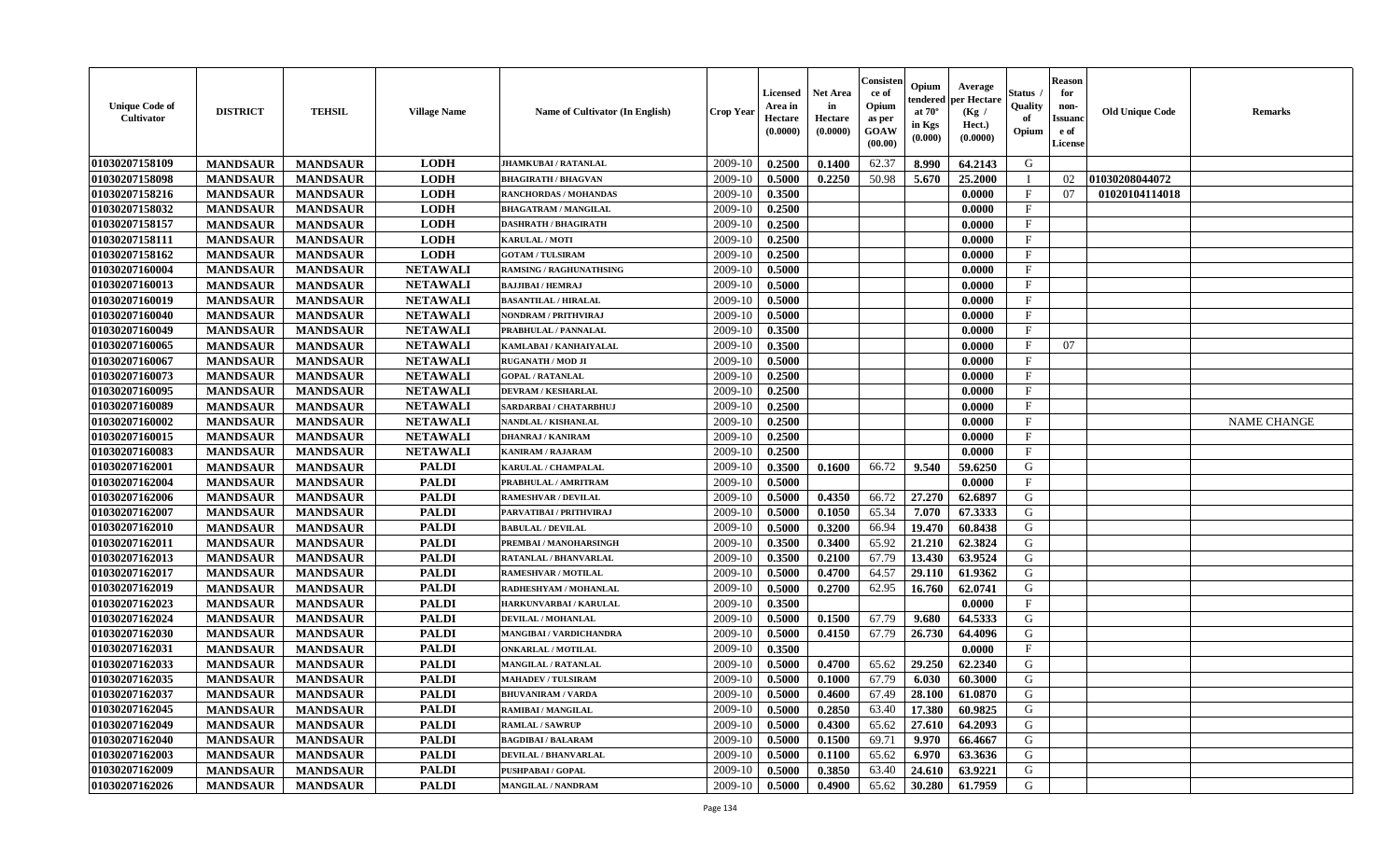| <b>Unique Code of</b><br><b>Cultivator</b> | <b>DISTRICT</b> | <b>TEHSIL</b>   | <b>Village Name</b> | Name of Cultivator (In English) | <b>Crop Year</b> | Licensed<br>Area in<br>Hectare<br>(0.0000) | <b>Net Area</b><br>in<br>Hectare<br>(0.0000) | Consisteı<br>ce of<br>Opium<br>as per<br>GOAW<br>(00.00) | Opium<br>endered<br>at $70^\circ$<br>in Kgs<br>(0.000) | Average<br>per Hectare<br>(Kg /<br>Hect.)<br>(0.0000) | Status<br>Quality<br>of<br>Opium | <b>Reason</b><br>for<br>non-<br><b>Issuand</b><br>e of<br>License | <b>Old Unique Code</b> | <b>Remarks</b>     |
|--------------------------------------------|-----------------|-----------------|---------------------|---------------------------------|------------------|--------------------------------------------|----------------------------------------------|----------------------------------------------------------|--------------------------------------------------------|-------------------------------------------------------|----------------------------------|-------------------------------------------------------------------|------------------------|--------------------|
| 01030207158109                             | <b>MANDSAUR</b> | <b>MANDSAUR</b> | <b>LODH</b>         | JHAMKUBAI / RATANLAL            | 2009-10          | 0.2500                                     | 0.1400                                       | 62.37                                                    | 8.990                                                  | 64.2143                                               | G                                |                                                                   |                        |                    |
| 01030207158098                             | <b>MANDSAUR</b> | <b>MANDSAUR</b> | <b>LODH</b>         | <b>BHAGIRATH / BHAGVAN</b>      | 2009-10          | 0.5000                                     | 0.2250                                       | 50.98                                                    | 5.670                                                  | 25.2000                                               | $\mathbf I$                      | 02                                                                | 01030208044072         |                    |
| 01030207158216                             | <b>MANDSAUR</b> | <b>MANDSAUR</b> | <b>LODH</b>         | RANCHORDAS / MOHANDAS           | 2009-10          | 0.3500                                     |                                              |                                                          |                                                        | 0.0000                                                | $\mathbf{F}$                     | 07                                                                | 01020104114018         |                    |
| 01030207158032                             | <b>MANDSAUR</b> | <b>MANDSAUR</b> | <b>LODH</b>         | <b>BHAGATRAM / MANGILAL</b>     | 2009-10          | 0.2500                                     |                                              |                                                          |                                                        | 0.0000                                                | $\mathbf{F}$                     |                                                                   |                        |                    |
| 01030207158157                             | <b>MANDSAUR</b> | <b>MANDSAUR</b> | <b>LODH</b>         | <b>DASHRATH / BHAGIRATH</b>     | 2009-10          | 0.2500                                     |                                              |                                                          |                                                        | 0.0000                                                | $\mathbf{F}$                     |                                                                   |                        |                    |
| 01030207158111                             | <b>MANDSAUR</b> | <b>MANDSAUR</b> | <b>LODH</b>         | <b>KARULAL / MOTI</b>           | 2009-10          | 0.2500                                     |                                              |                                                          |                                                        | 0.0000                                                | $\mathbf{F}$                     |                                                                   |                        |                    |
| 01030207158162                             | <b>MANDSAUR</b> | <b>MANDSAUR</b> | <b>LODH</b>         | <b>GOTAM / TULSIRAM</b>         | 2009-10          | 0.2500                                     |                                              |                                                          |                                                        | 0.0000                                                | $\rm F$                          |                                                                   |                        |                    |
| 01030207160004                             | <b>MANDSAUR</b> | <b>MANDSAUR</b> | <b>NETAWALI</b>     | <b>RAMSING / RAGHUNATHSING</b>  | 2009-10          | 0.5000                                     |                                              |                                                          |                                                        | 0.0000                                                | $\mathbf{F}$                     |                                                                   |                        |                    |
| 01030207160013                             | <b>MANDSAUR</b> | <b>MANDSAUR</b> | <b>NETAWALI</b>     | <b>BAJJIBAI / HEMRAJ</b>        | 2009-10          | 0.5000                                     |                                              |                                                          |                                                        | 0.0000                                                | $\mathbf{F}$                     |                                                                   |                        |                    |
| 01030207160019                             | <b>MANDSAUR</b> | <b>MANDSAUR</b> | <b>NETAWALI</b>     | <b>BASANTILAL / HIRALAL</b>     | 2009-10          | 0.5000                                     |                                              |                                                          |                                                        | 0.0000                                                | $\mathbf{F}$                     |                                                                   |                        |                    |
| 01030207160040                             | <b>MANDSAUR</b> | <b>MANDSAUR</b> | <b>NETAWALI</b>     | <b>NONDRAM / PRITHVIRAJ</b>     | 2009-10          | 0.5000                                     |                                              |                                                          |                                                        | 0.0000                                                | F                                |                                                                   |                        |                    |
| 01030207160049                             | <b>MANDSAUR</b> | <b>MANDSAUR</b> | <b>NETAWALI</b>     | PRABHULAL / PANNALAL            | 2009-10          | 0.3500                                     |                                              |                                                          |                                                        | 0.0000                                                | F                                |                                                                   |                        |                    |
| 01030207160065                             | <b>MANDSAUR</b> | <b>MANDSAUR</b> | <b>NETAWALI</b>     | KAMLABAI / KANHAIYALAL          | 2009-10          | 0.3500                                     |                                              |                                                          |                                                        | 0.0000                                                | $_{\rm F}$                       | 07                                                                |                        |                    |
| 01030207160067                             | <b>MANDSAUR</b> | <b>MANDSAUR</b> | <b>NETAWALI</b>     | <b>RUGANATH / MOD JI</b>        | 2009-10          | 0.5000                                     |                                              |                                                          |                                                        | 0.0000                                                | $_{\rm F}$                       |                                                                   |                        |                    |
| 01030207160073                             | <b>MANDSAUR</b> | <b>MANDSAUR</b> | <b>NETAWALI</b>     | <b>GOPAL / RATANLAL</b>         | 2009-10          | 0.2500                                     |                                              |                                                          |                                                        | 0.0000                                                | $\mathbf{F}$                     |                                                                   |                        |                    |
| 01030207160095                             | <b>MANDSAUR</b> | <b>MANDSAUR</b> | <b>NETAWALI</b>     | <b>DEVRAM / KESHARLAL</b>       | 2009-10          | 0.2500                                     |                                              |                                                          |                                                        | 0.0000                                                | $\rm F$                          |                                                                   |                        |                    |
| 01030207160089                             | <b>MANDSAUR</b> | <b>MANDSAUR</b> | <b>NETAWALI</b>     | SARDARBAI / CHATARBHUJ          | 2009-10          | 0.2500                                     |                                              |                                                          |                                                        | 0.0000                                                | $\mathbf{F}$                     |                                                                   |                        |                    |
| 01030207160002                             | <b>MANDSAUR</b> | <b>MANDSAUR</b> | <b>NETAWALI</b>     | NANDLAL / KISHANLAL             | 2009-10          | 0.2500                                     |                                              |                                                          |                                                        | 0.0000                                                | $\mathbf{F}$                     |                                                                   |                        | <b>NAME CHANGE</b> |
| 01030207160015                             | <b>MANDSAUR</b> | <b>MANDSAUR</b> | <b>NETAWALI</b>     | <b>DHANRAJ / KANIRAM</b>        | 2009-10          | 0.2500                                     |                                              |                                                          |                                                        | 0.0000                                                | $\mathbf{F}$                     |                                                                   |                        |                    |
| 01030207160083                             | <b>MANDSAUR</b> | <b>MANDSAUR</b> | <b>NETAWALI</b>     | <b>KANIRAM / RAJARAM</b>        | 2009-10          | 0.2500                                     |                                              |                                                          |                                                        | 0.0000                                                | $\mathbf{F}$                     |                                                                   |                        |                    |
| 01030207162001                             | <b>MANDSAUR</b> | <b>MANDSAUR</b> | <b>PALDI</b>        | <b>KARULAL / CHAMPALAL</b>      | 2009-10          | 0.3500                                     | 0.1600                                       | 66.72                                                    | 9.540                                                  | 59.6250                                               | G                                |                                                                   |                        |                    |
| 01030207162004                             | <b>MANDSAUR</b> | <b>MANDSAUR</b> | <b>PALDI</b>        | PRABHULAL / AMRITRAM            | 2009-10          | 0.5000                                     |                                              |                                                          |                                                        | 0.0000                                                | $\mathbf{F}$                     |                                                                   |                        |                    |
| 01030207162006                             | <b>MANDSAUR</b> | <b>MANDSAUR</b> | <b>PALDI</b>        | RAMESHVAR / DEVILAL             | 2009-10          | 0.5000                                     | 0.4350                                       | 66.72                                                    | 27.270                                                 | 62.6897                                               | G                                |                                                                   |                        |                    |
| 01030207162007                             | <b>MANDSAUR</b> | <b>MANDSAUR</b> | <b>PALDI</b>        | PARVATIBAI / PRITHVIRAJ         | 2009-10          | 0.5000                                     | 0.1050                                       | 65.34                                                    | 7.070                                                  | 67.3333                                               | G                                |                                                                   |                        |                    |
| 01030207162010                             | <b>MANDSAUR</b> | <b>MANDSAUR</b> | <b>PALDI</b>        | <b>BABULAL / DEVILAL</b>        | 2009-10          | 0.5000                                     | 0.3200                                       | 66.94                                                    | 19.470                                                 | 60.8438                                               | G                                |                                                                   |                        |                    |
| 01030207162011                             | <b>MANDSAUR</b> | <b>MANDSAUR</b> | <b>PALDI</b>        | PREMBAI / MANOHARSINGH          | 2009-10          | 0.3500                                     | 0.3400                                       | 65.92                                                    | 21.210                                                 | 62.3824                                               | G                                |                                                                   |                        |                    |
| 01030207162013                             | <b>MANDSAUR</b> | <b>MANDSAUR</b> | <b>PALDI</b>        | <b>RATANLAL / BHANVARLAL</b>    | 2009-10          | 0.3500                                     | 0.2100                                       | 67.79                                                    | 13.430                                                 | 63.9524                                               | G                                |                                                                   |                        |                    |
| 01030207162017                             | <b>MANDSAUR</b> | <b>MANDSAUR</b> | <b>PALDI</b>        | RAMESHVAR / MOTILAL             | 2009-10          | 0.5000                                     | 0.4700                                       | 64.57                                                    | 29.110                                                 | 61.9362                                               | G                                |                                                                   |                        |                    |
| 01030207162019                             | <b>MANDSAUR</b> | <b>MANDSAUR</b> | <b>PALDI</b>        | RADHESHYAM / MOHANLAL           | 2009-10          | 0.5000                                     | 0.2700                                       | 62.95                                                    | 16.760                                                 | 62.0741                                               | G                                |                                                                   |                        |                    |
| 01030207162023                             | <b>MANDSAUR</b> | <b>MANDSAUR</b> | <b>PALDI</b>        | HARKUNVARBAI / KARULAL          | 2009-10          | 0.3500                                     |                                              |                                                          |                                                        | 0.0000                                                | $\mathbf{F}$                     |                                                                   |                        |                    |
| 01030207162024                             | <b>MANDSAUR</b> | <b>MANDSAUR</b> | <b>PALDI</b>        | <b>DEVILAL / MOHANLAL</b>       | 2009-10          | 0.5000                                     | 0.1500                                       | 67.79                                                    | 9.680                                                  | 64.5333                                               | ${\bf G}$                        |                                                                   |                        |                    |
| 01030207162030                             | <b>MANDSAUR</b> | <b>MANDSAUR</b> | <b>PALDI</b>        | <b>MANGIBAI / VARDICHANDRA</b>  | 2009-10          | 0.5000                                     | 0.4150                                       | 67.79                                                    | 26.730                                                 | 64.4096                                               | G                                |                                                                   |                        |                    |
| 01030207162031                             | <b>MANDSAUR</b> | <b>MANDSAUR</b> | <b>PALDI</b>        | <b>ONKARLAL / MOTILAL</b>       | 2009-10          | 0.3500                                     |                                              |                                                          |                                                        | 0.0000                                                | $\mathbf{F}$                     |                                                                   |                        |                    |
| 01030207162033                             | <b>MANDSAUR</b> | <b>MANDSAUR</b> | <b>PALDI</b>        | <b>MANGILAL / RATANLAL</b>      | 2009-10          | 0.5000                                     | 0.4700                                       | 65.62                                                    | 29.250                                                 | 62.2340                                               | G                                |                                                                   |                        |                    |
| 01030207162035                             | <b>MANDSAUR</b> | <b>MANDSAUR</b> | <b>PALDI</b>        | <b>MAHADEV / TULSIRAM</b>       | 2009-10          | 0.5000                                     | 0.1000                                       | 67.79                                                    | 6.030                                                  | 60.3000                                               | G                                |                                                                   |                        |                    |
| 01030207162037                             | <b>MANDSAUR</b> | <b>MANDSAUR</b> | <b>PALDI</b>        | <b>BHUVANIRAM / VARDA</b>       | 2009-10          | 0.5000                                     | 0.4600                                       | 67.49                                                    | 28.100                                                 | 61.0870                                               | G                                |                                                                   |                        |                    |
| 01030207162045                             | <b>MANDSAUR</b> | <b>MANDSAUR</b> | <b>PALDI</b>        | <b>RAMIBAI / MANGILAL</b>       | 2009-10          | 0.5000                                     | 0.2850                                       | 63.40                                                    | 17.380                                                 | 60.9825                                               | G                                |                                                                   |                        |                    |
| 01030207162049                             | <b>MANDSAUR</b> | <b>MANDSAUR</b> | <b>PALDI</b>        | <b>RAMLAL / SAWRUF</b>          | 2009-10          | 0.5000                                     | 0.4300                                       | 65.62                                                    | 27.610                                                 | 64.2093                                               | G                                |                                                                   |                        |                    |
| 01030207162040                             | <b>MANDSAUR</b> | <b>MANDSAUR</b> | <b>PALDI</b>        | <b>BAGDIBAI / BALARAM</b>       | 2009-10          | 0.5000                                     | 0.1500                                       | 69.71                                                    | 9.970                                                  | 66.4667                                               | ${\bf G}$                        |                                                                   |                        |                    |
| 01030207162003                             | <b>MANDSAUR</b> | <b>MANDSAUR</b> | <b>PALDI</b>        | DEVILAL / BHANVARLAL            | 2009-10          | 0.5000                                     | 0.1100                                       | 65.62                                                    | 6.970                                                  | 63.3636                                               | G                                |                                                                   |                        |                    |
| 01030207162009                             | <b>MANDSAUR</b> | <b>MANDSAUR</b> | <b>PALDI</b>        | <b>PUSHPABAI/GOPAL</b>          | 2009-10          | 0.5000                                     | 0.3850                                       | 63.40                                                    | 24.610                                                 | 63.9221                                               | G                                |                                                                   |                        |                    |
| 01030207162026                             | <b>MANDSAUR</b> | <b>MANDSAUR</b> | <b>PALDI</b>        | <b>MANGILAL / NANDRAM</b>       | 2009-10          | 0.5000                                     | 0.4900                                       | 65.62                                                    | 30.280                                                 | 61.7959                                               | G                                |                                                                   |                        |                    |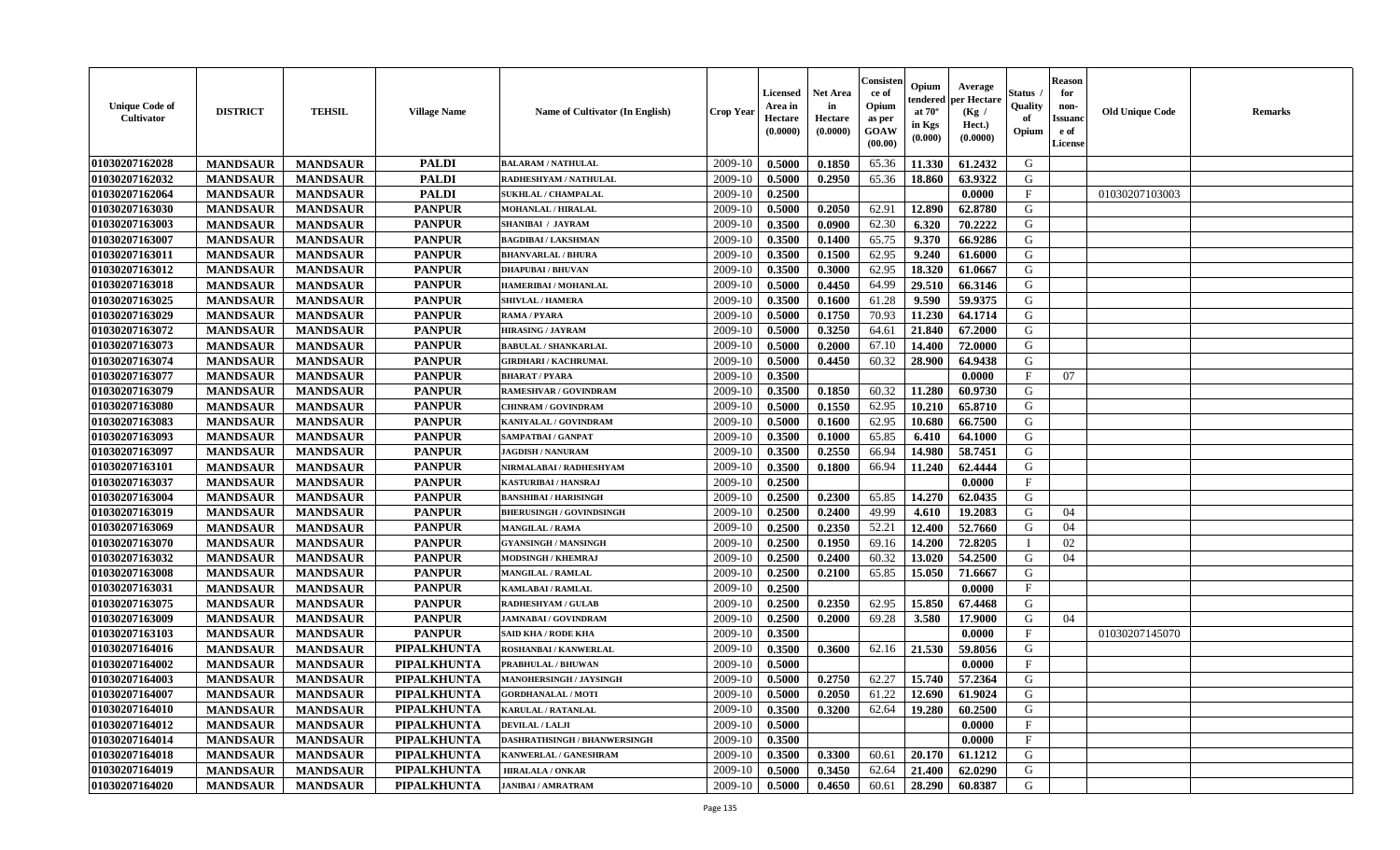| <b>Unique Code of</b><br><b>Cultivator</b> | <b>DISTRICT</b> | <b>TEHSIL</b>   | <b>Village Name</b> | Name of Cultivator (In English)     | <b>Crop Year</b> | <b>Licensed</b><br>Area in<br>Hectare<br>(0.0000) | Net Area<br>in<br>Hectare<br>(0.0000) | Consisteı<br>ce of<br>Opium<br>as per<br>GOAW<br>(00.00) | Opium<br>endered<br>at $70^\circ$<br>in Kgs<br>(0.000) | Average<br>per Hectare<br>(Kg /<br>Hect.)<br>(0.0000) | Status<br>Quality<br>of<br>Opium | <b>Reason</b><br>for<br>non-<br><b>Issuand</b><br>e of<br>License | <b>Old Unique Code</b> | Remarks |
|--------------------------------------------|-----------------|-----------------|---------------------|-------------------------------------|------------------|---------------------------------------------------|---------------------------------------|----------------------------------------------------------|--------------------------------------------------------|-------------------------------------------------------|----------------------------------|-------------------------------------------------------------------|------------------------|---------|
| 01030207162028                             | <b>MANDSAUR</b> | <b>MANDSAUR</b> | <b>PALDI</b>        | <b>BALARAM / NATHULAL</b>           | 2009-10          | 0.5000                                            | 0.1850                                | 65.36                                                    | 11.330                                                 | 61.2432                                               | G                                |                                                                   |                        |         |
| 01030207162032                             | <b>MANDSAUR</b> | <b>MANDSAUR</b> | <b>PALDI</b>        | RADHESHYAM / NATHULAL               | 2009-10          | 0.5000                                            | 0.2950                                | 65.36                                                    | 18.860                                                 | 63.9322                                               | G                                |                                                                   |                        |         |
| 01030207162064                             | <b>MANDSAUR</b> | <b>MANDSAUR</b> | <b>PALDI</b>        | <b>SUKHLAL / CHAMPALAL</b>          | 2009-10          | 0.2500                                            |                                       |                                                          |                                                        | 0.0000                                                | $\mathbf{F}$                     |                                                                   | 01030207103003         |         |
| 01030207163030                             | <b>MANDSAUR</b> | <b>MANDSAUR</b> | <b>PANPUR</b>       | <b>MOHANLAL / HIRALAL</b>           | 2009-10          | 0.5000                                            | 0.2050                                | 62.91                                                    | 12.890                                                 | 62.8780                                               | G                                |                                                                   |                        |         |
| 01030207163003                             | <b>MANDSAUR</b> | <b>MANDSAUR</b> | <b>PANPUR</b>       | <b>SHANIBAI / JAYRAM</b>            | 2009-10          | 0.3500                                            | 0.0900                                | 62.30                                                    | 6.320                                                  | 70.2222                                               | G                                |                                                                   |                        |         |
| 01030207163007                             | <b>MANDSAUR</b> | <b>MANDSAUR</b> | <b>PANPUR</b>       | <b>BAGDIBAI/LAKSHMAN</b>            | 2009-10          | 0.3500                                            | 0.1400                                | 65.75                                                    | 9.370                                                  | 66.9286                                               | G                                |                                                                   |                        |         |
| 01030207163011                             | <b>MANDSAUR</b> | <b>MANDSAUR</b> | <b>PANPUR</b>       | <b>BHANVARLAL / BHURA</b>           | 2009-10          | 0.3500                                            | 0.1500                                | 62.95                                                    | 9.240                                                  | 61.6000                                               | G                                |                                                                   |                        |         |
| 01030207163012                             | <b>MANDSAUR</b> | <b>MANDSAUR</b> | <b>PANPUR</b>       | <b>DHAPUBAI/BHUVAN</b>              | 2009-10          | 0.3500                                            | 0.3000                                | 62.95                                                    | 18.320                                                 | 61.0667                                               | G                                |                                                                   |                        |         |
| 01030207163018                             | <b>MANDSAUR</b> | <b>MANDSAUR</b> | <b>PANPUR</b>       | HAMERIBAI / MOHANLAL                | 2009-10          | 0.5000                                            | 0.4450                                | 64.99                                                    | 29.510                                                 | 66.3146                                               | G                                |                                                                   |                        |         |
| 01030207163025                             | <b>MANDSAUR</b> | <b>MANDSAUR</b> | <b>PANPUR</b>       | <b>SHIVLAL / HAMERA</b>             | 2009-10          | 0.3500                                            | 0.1600                                | 61.28                                                    | 9.590                                                  | 59.9375                                               | G                                |                                                                   |                        |         |
| 01030207163029                             | <b>MANDSAUR</b> | <b>MANDSAUR</b> | <b>PANPUR</b>       | <b>RAMA / PYARA</b>                 | 2009-10          | 0.5000                                            | 0.1750                                | 70.93                                                    | 11.230                                                 | 64.1714                                               | G                                |                                                                   |                        |         |
| 01030207163072                             | <b>MANDSAUR</b> | <b>MANDSAUR</b> | <b>PANPUR</b>       | <b>HIRASING / JAYRAM</b>            | 2009-10          | 0.5000                                            | 0.3250                                | 64.61                                                    | 21.840                                                 | 67.2000                                               | G                                |                                                                   |                        |         |
| 01030207163073                             | <b>MANDSAUR</b> | <b>MANDSAUR</b> | <b>PANPUR</b>       | <b>BABULAL / SHANKARLAL</b>         | 2009-10          | 0.5000                                            | 0.2000                                | 67.10                                                    | 14.400                                                 | 72.0000                                               | G                                |                                                                   |                        |         |
| 01030207163074                             | <b>MANDSAUR</b> | <b>MANDSAUR</b> | <b>PANPUR</b>       | <b>GIRDHARI / KACHRUMAL</b>         | 2009-10          | 0.5000                                            | 0.4450                                | 60.32                                                    | 28.900                                                 | 64.9438                                               | G                                |                                                                   |                        |         |
| 01030207163077                             | <b>MANDSAUR</b> | <b>MANDSAUR</b> | <b>PANPUR</b>       | <b>BHARAT / PYARA</b>               | 2009-10          | 0.3500                                            |                                       |                                                          |                                                        | 0.0000                                                | F                                | 07                                                                |                        |         |
| 01030207163079                             | <b>MANDSAUR</b> | <b>MANDSAUR</b> | <b>PANPUR</b>       | RAMESHVAR / GOVINDRAM               | 2009-10          | 0.3500                                            | 0.1850                                | 60.32                                                    | 11.280                                                 | 60.9730                                               | G                                |                                                                   |                        |         |
| 01030207163080                             | <b>MANDSAUR</b> | <b>MANDSAUR</b> | <b>PANPUR</b>       | <b>CHINRAM / GOVINDRAM</b>          | 2009-10          | 0.5000                                            | 0.1550                                | 62.95                                                    | 10.210                                                 | 65.8710                                               | G                                |                                                                   |                        |         |
| 01030207163083                             | <b>MANDSAUR</b> | <b>MANDSAUR</b> | <b>PANPUR</b>       | KANIYALAL / GOVINDRAM               | 2009-10          | 0.5000                                            | 0.1600                                | 62.95                                                    | 10.680                                                 | 66.7500                                               | G                                |                                                                   |                        |         |
| 01030207163093                             | <b>MANDSAUR</b> | <b>MANDSAUR</b> | <b>PANPUR</b>       | SAMPATBAI / GANPAT                  | 2009-10          | 0.3500                                            | 0.1000                                | 65.85                                                    | 6.410                                                  | 64.1000                                               | G                                |                                                                   |                        |         |
| 01030207163097                             | <b>MANDSAUR</b> | <b>MANDSAUR</b> | <b>PANPUR</b>       | <b>JAGDISH / NANURAM</b>            | 2009-10          | 0.3500                                            | 0.2550                                | 66.94                                                    | 14.980                                                 | 58.7451                                               | G                                |                                                                   |                        |         |
| 01030207163101                             | <b>MANDSAUR</b> | <b>MANDSAUR</b> | <b>PANPUR</b>       | NIRMALABAI / RADHESHYAM             | 2009-10          | 0.3500                                            | 0.1800                                | 66.94                                                    | 11.240                                                 | 62.4444                                               | G                                |                                                                   |                        |         |
| 01030207163037                             | <b>MANDSAUR</b> | <b>MANDSAUR</b> | <b>PANPUR</b>       | <b>KASTURIBAI/HANSRAJ</b>           | 2009-10          | 0.2500                                            |                                       |                                                          |                                                        | 0.0000                                                | $_{\rm F}$                       |                                                                   |                        |         |
| 01030207163004                             | <b>MANDSAUR</b> | <b>MANDSAUR</b> | <b>PANPUR</b>       | <b>BANSHIBAI / HARISINGH</b>        | 2009-10          | 0.2500                                            | 0.2300                                | 65.85                                                    | 14.270                                                 | 62.0435                                               | G                                |                                                                   |                        |         |
| 01030207163019                             | <b>MANDSAUR</b> | <b>MANDSAUR</b> | <b>PANPUR</b>       | <b>BHERUSINGH / GOVINDSINGH</b>     | 2009-10          | 0.2500                                            | 0.2400                                | 49.99                                                    | 4.610                                                  | 19.2083                                               | G                                | 04                                                                |                        |         |
| 01030207163069                             | <b>MANDSAUR</b> | <b>MANDSAUR</b> | <b>PANPUR</b>       | <b>MANGILAL / RAMA</b>              | 2009-10          | 0.2500                                            | 0.2350                                | 52.21                                                    | 12.400                                                 | 52.7660                                               | G                                | 04                                                                |                        |         |
| 01030207163070                             | <b>MANDSAUR</b> | <b>MANDSAUR</b> | <b>PANPUR</b>       | <b>GYANSINGH / MANSINGH</b>         | 2009-10          | 0.2500                                            | 0.1950                                | 69.16                                                    | 14.200                                                 | 72.8205                                               | <sup>1</sup>                     | 02                                                                |                        |         |
| 01030207163032                             | <b>MANDSAUR</b> | <b>MANDSAUR</b> | <b>PANPUR</b>       | <b>MODSINGH / KHEMRAJ</b>           | 2009-10          | 0.2500                                            | 0.2400                                | 60.32                                                    | 13.020                                                 | 54.2500                                               | G                                | 04                                                                |                        |         |
| 01030207163008                             | <b>MANDSAUR</b> | <b>MANDSAUR</b> | <b>PANPUR</b>       | <b>MANGILAL / RAMLAL</b>            | 2009-10          | 0.2500                                            | 0.2100                                | 65.85                                                    | 15.050                                                 | 71.6667                                               | G                                |                                                                   |                        |         |
| 01030207163031                             | <b>MANDSAUR</b> | <b>MANDSAUR</b> | <b>PANPUR</b>       | <b>KAMLABAI/RAMLAL</b>              | 2009-10          | 0.2500                                            |                                       |                                                          |                                                        | 0.0000                                                | $\mathbf{F}$                     |                                                                   |                        |         |
| 01030207163075                             | <b>MANDSAUR</b> | <b>MANDSAUR</b> | <b>PANPUR</b>       | <b>RADHESHYAM / GULAB</b>           | 2009-10          | 0.2500                                            | 0.2350                                | 62.95                                                    | 15.850                                                 | 67.4468                                               | G                                |                                                                   |                        |         |
| 01030207163009                             | <b>MANDSAUR</b> | <b>MANDSAUR</b> | <b>PANPUR</b>       | <b>JAMNABAI/GOVINDRAM</b>           | 2009-10          | 0.2500                                            | 0.2000                                | 69.28                                                    | 3.580                                                  | 17.9000                                               | G                                | 04                                                                |                        |         |
| 01030207163103                             | <b>MANDSAUR</b> | <b>MANDSAUR</b> | <b>PANPUR</b>       | SAID KHA / RODE KHA                 | 2009-10          | 0.3500                                            |                                       |                                                          |                                                        | 0.0000                                                | $\mathbf{F}$                     |                                                                   | 01030207145070         |         |
| 01030207164016                             | <b>MANDSAUR</b> | <b>MANDSAUR</b> | PIPALKHUNTA         | ROSHANBAI / KANWERLAL               | 2009-10          | 0.3500                                            | 0.3600                                | 62.16                                                    | 21.530                                                 | 59.8056                                               | G                                |                                                                   |                        |         |
| 01030207164002                             | <b>MANDSAUR</b> | <b>MANDSAUR</b> | <b>PIPALKHUNTA</b>  | PRABHULAL / BHUWAN                  | 2009-10          | 0.5000                                            |                                       |                                                          |                                                        | 0.0000                                                | $\mathbf F$                      |                                                                   |                        |         |
| 01030207164003                             | <b>MANDSAUR</b> | <b>MANDSAUR</b> | PIPALKHUNTA         | MANOHERSINGH / JAYSINGH             | 2009-10          | 0.5000                                            | 0.2750                                | 62.27                                                    | 15.740                                                 | 57.2364                                               | G                                |                                                                   |                        |         |
| 01030207164007                             | <b>MANDSAUR</b> | <b>MANDSAUR</b> | <b>PIPALKHUNTA</b>  | <b>GORDHANALAL / MOTI</b>           | 2009-10          | 0.5000                                            | 0.2050                                | 61.22                                                    | 12.690                                                 | 61.9024                                               | G                                |                                                                   |                        |         |
| 01030207164010                             | <b>MANDSAUR</b> | <b>MANDSAUR</b> | PIPALKHUNTA         | <b>KARULAL / RATANLAL</b>           | 2009-10          | 0.3500                                            | 0.3200                                | 62.64                                                    | 19.280                                                 | 60.2500                                               | G                                |                                                                   |                        |         |
| 01030207164012                             | <b>MANDSAUR</b> | <b>MANDSAUR</b> | <b>PIPALKHUNTA</b>  | <b>DEVILAL / LALJI</b>              | 2009-10          | 0.5000                                            |                                       |                                                          |                                                        | 0.0000                                                | $\mathbf{F}$                     |                                                                   |                        |         |
| 01030207164014                             | <b>MANDSAUR</b> | <b>MANDSAUR</b> | PIPALKHUNTA         | <b>DASHRATHSINGH / BHANWERSINGH</b> | 2009-10          | 0.3500                                            |                                       |                                                          |                                                        | 0.0000                                                | $\mathbf{F}$                     |                                                                   |                        |         |
| 01030207164018                             | <b>MANDSAUR</b> | <b>MANDSAUR</b> | <b>PIPALKHUNTA</b>  | KANWERLAL / GANESHRAM               | 2009-10          | 0.3500                                            | 0.3300                                | 60.61                                                    | 20.170                                                 | 61.1212                                               | G                                |                                                                   |                        |         |
| 01030207164019                             | <b>MANDSAUR</b> | <b>MANDSAUR</b> | PIPALKHUNTA         | <b>HIRALALA / ONKAR</b>             | 2009-10          | 0.5000                                            | 0.3450                                | 62.64                                                    | 21.400                                                 | 62.0290                                               | G                                |                                                                   |                        |         |
| 01030207164020                             | <b>MANDSAUR</b> | <b>MANDSAUR</b> | PIPALKHUNTA         | <b>JANIBAI / AMRATRAM</b>           | 2009-10          | 0.5000                                            | 0.4650                                | 60.61                                                    | 28.290                                                 | 60.8387                                               | G                                |                                                                   |                        |         |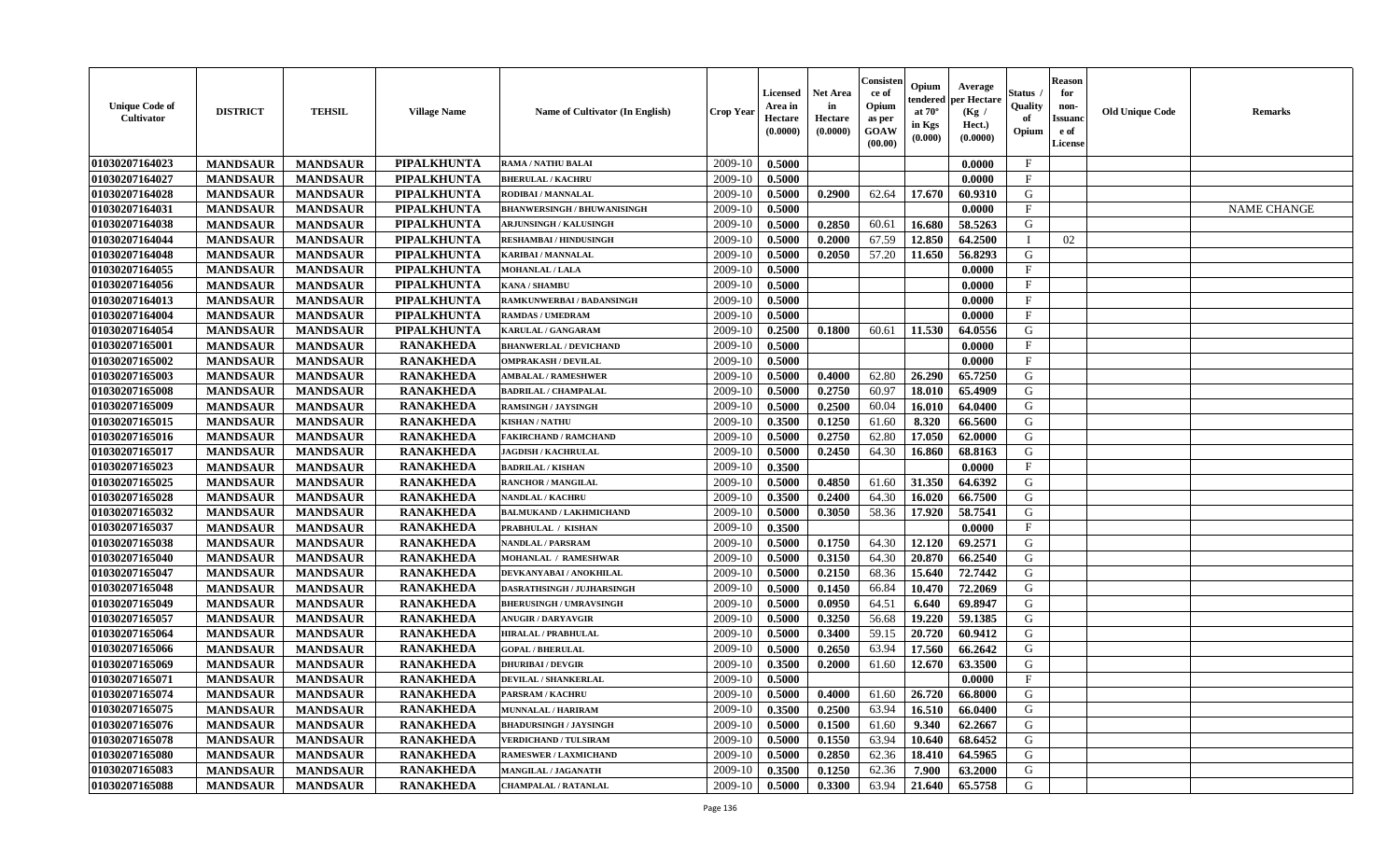| <b>Unique Code of</b><br>Cultivator | <b>DISTRICT</b> | <b>TEHSIL</b>   | <b>Village Name</b> | Name of Cultivator (In English)    | <b>Crop Year</b> | Licensed<br>Area in<br>Hectare<br>(0.0000) | Net Area<br>in<br>Hectare<br>(0.0000) | Consisten<br>ce of<br>Opium<br>as per<br>GOAW<br>(00.00) | Opium<br>tendered<br>at $70^\circ$<br>in Kgs<br>(0.000) | Average<br>per Hectare<br>(Kg /<br>Hect.)<br>(0.0000) | Status<br>Quality<br>of<br>Opium | Reason<br>for<br>non-<br>Issuanc<br>e of<br>License | <b>Old Unique Code</b> | <b>Remarks</b>     |
|-------------------------------------|-----------------|-----------------|---------------------|------------------------------------|------------------|--------------------------------------------|---------------------------------------|----------------------------------------------------------|---------------------------------------------------------|-------------------------------------------------------|----------------------------------|-----------------------------------------------------|------------------------|--------------------|
| 01030207164023                      | <b>MANDSAUR</b> | <b>MANDSAUR</b> | PIPALKHUNTA         | <b>RAMA / NATHU BALAI</b>          | 2009-10          | 0.5000                                     |                                       |                                                          |                                                         | 0.0000                                                | $\mathbf{F}$                     |                                                     |                        |                    |
| 01030207164027                      | <b>MANDSAUR</b> | <b>MANDSAUR</b> | <b>PIPALKHUNTA</b>  | <b>BHERULAL / KACHRU</b>           | 2009-10          | 0.5000                                     |                                       |                                                          |                                                         | 0.0000                                                | $\mathbf{F}$                     |                                                     |                        |                    |
| 01030207164028                      | <b>MANDSAUR</b> | <b>MANDSAUR</b> | <b>PIPALKHUNTA</b>  | RODIBAI / MANNALAL                 | 2009-10          | 0.5000                                     | 0.2900                                | 62.64                                                    | 17.670                                                  | 60.9310                                               | G                                |                                                     |                        |                    |
| 01030207164031                      | <b>MANDSAUR</b> | <b>MANDSAUR</b> | PIPALKHUNTA         | <b>BHANWERSINGH / BHUWANISINGH</b> | 2009-10          | 0.5000                                     |                                       |                                                          |                                                         | 0.0000                                                | $\mathbf F$                      |                                                     |                        | <b>NAME CHANGE</b> |
| 01030207164038                      | <b>MANDSAUR</b> | <b>MANDSAUR</b> | <b>PIPALKHUNTA</b>  | <b>ARJUNSINGH / KALUSINGH</b>      | 2009-10          | 0.5000                                     | 0.2850                                | 60.61                                                    | 16.680                                                  | 58.5263                                               | G                                |                                                     |                        |                    |
| 01030207164044                      | <b>MANDSAUR</b> | <b>MANDSAUR</b> | <b>PIPALKHUNTA</b>  | <b>RESHAMBAI/HINDUSINGH</b>        | 2009-10          | 0.5000                                     | 0.2000                                | 67.59                                                    | 12.850                                                  | 64.2500                                               |                                  | 02                                                  |                        |                    |
| 01030207164048                      | <b>MANDSAUR</b> | <b>MANDSAUR</b> | PIPALKHUNTA         | <b>KARIBAI/MANNALAL</b>            | 2009-10          | 0.5000                                     | 0.2050                                | 57.20                                                    | 11.650                                                  | 56.8293                                               | G                                |                                                     |                        |                    |
| 01030207164055                      | <b>MANDSAUR</b> | <b>MANDSAUR</b> | <b>PIPALKHUNTA</b>  | <b>MOHANLAL / LALA</b>             | 2009-10          | 0.5000                                     |                                       |                                                          |                                                         | 0.0000                                                | $\mathbf{F}$                     |                                                     |                        |                    |
| 01030207164056                      | <b>MANDSAUR</b> | <b>MANDSAUR</b> | <b>PIPALKHUNTA</b>  | <b>KANA / SHAMBU</b>               | 2009-10          | 0.5000                                     |                                       |                                                          |                                                         | 0.0000                                                | $\mathbf F$                      |                                                     |                        |                    |
| 01030207164013                      | <b>MANDSAUR</b> | <b>MANDSAUR</b> | PIPALKHUNTA         | RAMKUNWERBAI / BADANSINGH          | 2009-10          | 0.5000                                     |                                       |                                                          |                                                         | 0.0000                                                | $\mathbf F$                      |                                                     |                        |                    |
| 01030207164004                      | <b>MANDSAUR</b> | <b>MANDSAUR</b> | <b>PIPALKHUNTA</b>  | <b>RAMDAS / UMEDRAM</b>            | 2009-10          | 0.5000                                     |                                       |                                                          |                                                         | 0.0000                                                | $\mathbf{F}$                     |                                                     |                        |                    |
| 01030207164054                      | <b>MANDSAUR</b> | <b>MANDSAUR</b> | PIPALKHUNTA         | <b>KARULAL / GANGARAM</b>          | 2009-10          | 0.2500                                     | 0.1800                                | 60.61                                                    | 11.530                                                  | 64.0556                                               | G                                |                                                     |                        |                    |
| 01030207165001                      | <b>MANDSAUR</b> | <b>MANDSAUR</b> | <b>RANAKHEDA</b>    | <b>BHANWERLAL / DEVICHAND</b>      | 2009-10          | 0.5000                                     |                                       |                                                          |                                                         | 0.0000                                                | $\mathbf{F}$                     |                                                     |                        |                    |
| 01030207165002                      | <b>MANDSAUR</b> | <b>MANDSAUR</b> | <b>RANAKHEDA</b>    | <b>OMPRAKASH / DEVILAL</b>         | 2009-10          | 0.5000                                     |                                       |                                                          |                                                         | 0.0000                                                | $\mathbf{F}$                     |                                                     |                        |                    |
| 01030207165003                      | <b>MANDSAUR</b> | <b>MANDSAUR</b> | <b>RANAKHEDA</b>    | <b>AMBALAL / RAMESHWER</b>         | 2009-10          | 0.5000                                     | 0.4000                                | 62.80                                                    | 26.290                                                  | 65.7250                                               | G                                |                                                     |                        |                    |
| 01030207165008                      | <b>MANDSAUR</b> | <b>MANDSAUR</b> | <b>RANAKHEDA</b>    | <b>BADRILAL / CHAMPALAL</b>        | 2009-10          | 0.5000                                     | 0.2750                                | 60.97                                                    | 18.010                                                  | 65.4909                                               | G                                |                                                     |                        |                    |
| 01030207165009                      | <b>MANDSAUR</b> | <b>MANDSAUR</b> | <b>RANAKHEDA</b>    | RAMSINGH / JAYSINGH                | 2009-10          | 0.5000                                     | 0.2500                                | 60.04                                                    | 16.010                                                  | 64.0400                                               | G                                |                                                     |                        |                    |
| 01030207165015                      | <b>MANDSAUR</b> | <b>MANDSAUR</b> | <b>RANAKHEDA</b>    | <b>KISHAN / NATHU</b>              | 2009-10          | 0.3500                                     | 0.1250                                | 61.60                                                    | 8.320                                                   | 66.5600                                               | G                                |                                                     |                        |                    |
| 01030207165016                      | <b>MANDSAUR</b> | <b>MANDSAUR</b> | <b>RANAKHEDA</b>    | <b>FAKIRCHAND / RAMCHAND</b>       | 2009-10          | 0.5000                                     | 0.2750                                | 62.80                                                    | 17.050                                                  | 62.0000                                               | G                                |                                                     |                        |                    |
| 01030207165017                      | <b>MANDSAUR</b> | <b>MANDSAUR</b> | <b>RANAKHEDA</b>    | <b>JAGDISH / KACHRULAL</b>         | 2009-10          | 0.5000                                     | 0.2450                                | 64.30                                                    | 16.860                                                  | 68.8163                                               | G                                |                                                     |                        |                    |
| 01030207165023                      | <b>MANDSAUR</b> | <b>MANDSAUR</b> | <b>RANAKHEDA</b>    | <b>BADRILAL / KISHAN</b>           | 2009-10          | 0.3500                                     |                                       |                                                          |                                                         | 0.0000                                                | $\mathbf{F}$                     |                                                     |                        |                    |
| 01030207165025                      | <b>MANDSAUR</b> | <b>MANDSAUR</b> | <b>RANAKHEDA</b>    | <b>RANCHOR / MANGILAL</b>          | 2009-10          | 0.5000                                     | 0.4850                                | 61.60                                                    | 31.350                                                  | 64.6392                                               | G                                |                                                     |                        |                    |
| 01030207165028                      | <b>MANDSAUR</b> | <b>MANDSAUR</b> | <b>RANAKHEDA</b>    | <b>NANDLAL / KACHRU</b>            | 2009-10          | 0.3500                                     | 0.2400                                | 64.30                                                    | 16.020                                                  | 66.7500                                               | G                                |                                                     |                        |                    |
| 01030207165032                      | <b>MANDSAUR</b> | <b>MANDSAUR</b> | <b>RANAKHEDA</b>    | <b>BALMUKAND / LAKHMICHAND</b>     | 2009-10          | 0.5000                                     | 0.3050                                | 58.36                                                    | 17.920                                                  | 58.7541                                               | G                                |                                                     |                        |                    |
| 01030207165037                      | <b>MANDSAUR</b> | <b>MANDSAUR</b> | <b>RANAKHEDA</b>    | PRABHULAL / KISHAN                 | 2009-10          | 0.3500                                     |                                       |                                                          |                                                         | 0.0000                                                | $_{\rm F}$                       |                                                     |                        |                    |
| 01030207165038                      | <b>MANDSAUR</b> | <b>MANDSAUR</b> | <b>RANAKHEDA</b>    | <b>NANDLAL / PARSRAM</b>           | 2009-10          | 0.5000                                     | 0.1750                                | 64.30                                                    | 12.120                                                  | 69.2571                                               | G                                |                                                     |                        |                    |
| 01030207165040                      | <b>MANDSAUR</b> | <b>MANDSAUR</b> | <b>RANAKHEDA</b>    | MOHANLAL / RAMESHWAR               | 2009-10          | 0.5000                                     | 0.3150                                | 64.30                                                    | 20.870                                                  | 66.2540                                               | $\mathbf G$                      |                                                     |                        |                    |
| 01030207165047                      | <b>MANDSAUR</b> | <b>MANDSAUR</b> | <b>RANAKHEDA</b>    | DEVKANYABAI / ANOKHILAL            | 2009-10          | 0.5000                                     | 0.2150                                | 68.36                                                    | 15.640                                                  | 72.7442                                               | G                                |                                                     |                        |                    |
| 01030207165048                      | <b>MANDSAUR</b> | <b>MANDSAUR</b> | <b>RANAKHEDA</b>    | <b>DASRATHSINGH / JUJHARSINGH</b>  | 2009-10          | 0.5000                                     | 0.1450                                | 66.84                                                    | 10.470                                                  | 72.2069                                               | G                                |                                                     |                        |                    |
| 01030207165049                      | <b>MANDSAUR</b> | <b>MANDSAUR</b> | <b>RANAKHEDA</b>    | <b>BHERUSINGH / UMRAVSINGH</b>     | 2009-10          | 0.5000                                     | 0.0950                                | 64.51                                                    | 6.640                                                   | 69.8947                                               | G                                |                                                     |                        |                    |
| 01030207165057                      | <b>MANDSAUR</b> | <b>MANDSAUR</b> | <b>RANAKHEDA</b>    | <b>ANUGIR / DARYAVGIR</b>          | 2009-10          | 0.5000                                     | 0.3250                                | 56.68                                                    | 19.220                                                  | 59.1385                                               | G                                |                                                     |                        |                    |
| 01030207165064                      | <b>MANDSAUR</b> | <b>MANDSAUR</b> | <b>RANAKHEDA</b>    | <b>HIRALAL / PRABHULAL</b>         | 2009-10          | 0.5000                                     | 0.3400                                | 59.15                                                    | 20.720                                                  | 60.9412                                               | G                                |                                                     |                        |                    |
| 01030207165066                      | <b>MANDSAUR</b> | <b>MANDSAUR</b> | <b>RANAKHEDA</b>    | <b>GOPAL / BHERULAL</b>            | 2009-10          | 0.5000                                     | 0.2650                                | 63.94                                                    | 17.560                                                  | 66.2642                                               | G                                |                                                     |                        |                    |
| 01030207165069                      | <b>MANDSAUR</b> | <b>MANDSAUR</b> | <b>RANAKHEDA</b>    | <b>DHURIBAI / DEVGIR</b>           | 2009-10          | 0.3500                                     | 0.2000                                | 61.60                                                    | 12.670                                                  | 63.3500                                               | G                                |                                                     |                        |                    |
| 01030207165071                      | <b>MANDSAUR</b> | <b>MANDSAUR</b> | <b>RANAKHEDA</b>    | DEVILAL / SHANKERLAL               | 2009-10          | 0.5000                                     |                                       |                                                          |                                                         | 0.0000                                                | $\mathbf{F}$                     |                                                     |                        |                    |
| 01030207165074                      | <b>MANDSAUR</b> | <b>MANDSAUR</b> | <b>RANAKHEDA</b>    | <b>PARSRAM / KACHRU</b>            | 2009-10          | 0.5000                                     | 0.4000                                | 61.60                                                    | 26.720                                                  | 66.8000                                               | G                                |                                                     |                        |                    |
| 01030207165075                      | <b>MANDSAUR</b> | <b>MANDSAUR</b> | <b>RANAKHEDA</b>    | <b>MUNNALAL / HARIRAM</b>          | 2009-10          | 0.3500                                     | 0.2500                                | 63.94                                                    | 16.510                                                  | 66.0400                                               | G                                |                                                     |                        |                    |
| 01030207165076                      | <b>MANDSAUR</b> | <b>MANDSAUR</b> | <b>RANAKHEDA</b>    | <b>BHADURSINGH / JAYSINGH</b>      | 2009-10          | 0.5000                                     | 0.1500                                | 61.60                                                    | 9.340                                                   | 62.2667                                               | G                                |                                                     |                        |                    |
| 01030207165078                      | <b>MANDSAUR</b> | <b>MANDSAUR</b> | <b>RANAKHEDA</b>    | <b>VERDICHAND / TULSIRAM</b>       | 2009-10          | 0.5000                                     | 0.1550                                | 63.94                                                    | 10.640                                                  | 68.6452                                               | G                                |                                                     |                        |                    |
| 01030207165080                      | <b>MANDSAUR</b> | <b>MANDSAUR</b> | <b>RANAKHEDA</b>    | <b>RAMESWER / LAXMICHAND</b>       | 2009-10          | 0.5000                                     | 0.2850                                | 62.36                                                    | 18.410                                                  | 64.5965                                               | G                                |                                                     |                        |                    |
| 01030207165083                      | <b>MANDSAUR</b> | <b>MANDSAUR</b> | <b>RANAKHEDA</b>    | <b>MANGILAL / JAGANATH</b>         | 2009-10          | 0.3500                                     | 0.1250                                | 62.36                                                    | 7.900                                                   | 63.2000                                               | G                                |                                                     |                        |                    |
| 01030207165088                      | <b>MANDSAUR</b> | <b>MANDSAUR</b> | <b>RANAKHEDA</b>    | <b>CHAMPALAL / RATANLAL</b>        | 2009-10          | 0.5000                                     | 0.3300                                | 63.94                                                    | 21.640                                                  | 65.5758                                               | G                                |                                                     |                        |                    |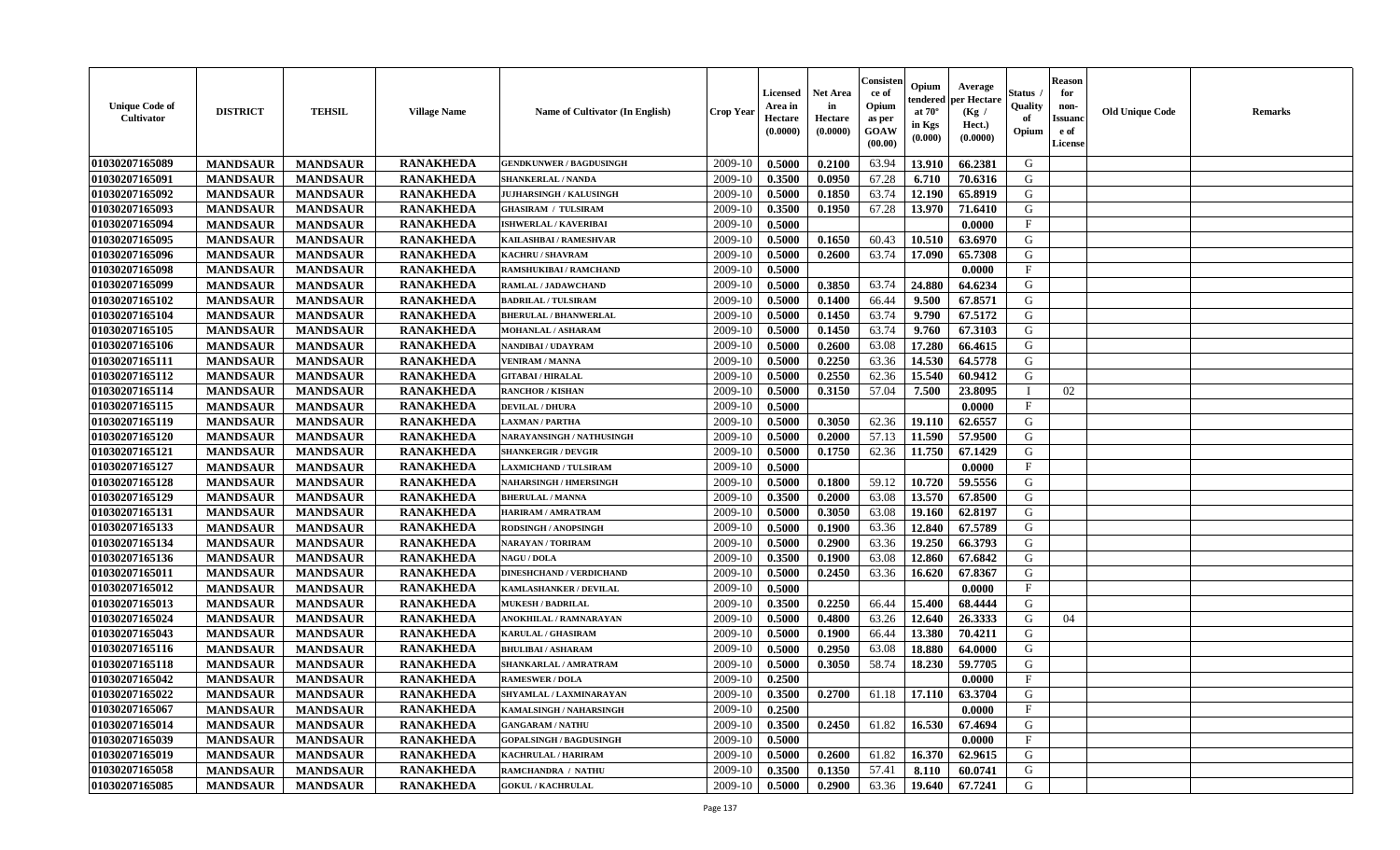| <b>Unique Code of</b><br><b>Cultivator</b> | <b>DISTRICT</b> | <b>TEHSIL</b>   | <b>Village Name</b> | <b>Name of Cultivator (In English)</b> | <b>Crop Year</b> | Licensed<br>Area in<br>Hectare<br>(0.0000) | Net Area<br>in<br>Hectare<br>(0.0000) | Consisteı<br>ce of<br>Opium<br>as per<br>GOAW<br>(00.00) | Opium<br>endered<br>at $70^\circ$<br>in Kgs<br>(0.000) | Average<br>per Hectare<br>(Kg /<br>Hect.)<br>(0.0000) | Status<br>Quality<br>of<br>Opium | <b>Reason</b><br>for<br>non-<br><b>Issuand</b><br>e of<br>License | <b>Old Unique Code</b> | Remarks |
|--------------------------------------------|-----------------|-----------------|---------------------|----------------------------------------|------------------|--------------------------------------------|---------------------------------------|----------------------------------------------------------|--------------------------------------------------------|-------------------------------------------------------|----------------------------------|-------------------------------------------------------------------|------------------------|---------|
| 01030207165089                             | <b>MANDSAUR</b> | <b>MANDSAUR</b> | <b>RANAKHEDA</b>    | <b>GENDKUNWER / BAGDUSINGH</b>         | 2009-10          | 0.5000                                     | 0.2100                                | 63.94                                                    | 13.910                                                 | 66.2381                                               | G                                |                                                                   |                        |         |
| 01030207165091                             | <b>MANDSAUR</b> | <b>MANDSAUR</b> | <b>RANAKHEDA</b>    | <b>SHANKERLAL / NANDA</b>              | 2009-10          | 0.3500                                     | 0.0950                                | 67.28                                                    | 6.710                                                  | 70.6316                                               | G                                |                                                                   |                        |         |
| 01030207165092                             | <b>MANDSAUR</b> | <b>MANDSAUR</b> | <b>RANAKHEDA</b>    | <b>JUJHARSINGH / KALUSINGH</b>         | 2009-10          | 0.5000                                     | 0.1850                                | 63.74                                                    | 12.190                                                 | 65.8919                                               | G                                |                                                                   |                        |         |
| 01030207165093                             | <b>MANDSAUR</b> | <b>MANDSAUR</b> | <b>RANAKHEDA</b>    | <b>GHASIRAM / TULSIRAM</b>             | 2009-10          | 0.3500                                     | 0.1950                                | 67.28                                                    | 13.970                                                 | 71.6410                                               | G                                |                                                                   |                        |         |
| 01030207165094                             | <b>MANDSAUR</b> | <b>MANDSAUR</b> | <b>RANAKHEDA</b>    | <b>ISHWERLAL / KAVERIBAI</b>           | 2009-10          | 0.5000                                     |                                       |                                                          |                                                        | 0.0000                                                | $_{\rm F}$                       |                                                                   |                        |         |
| 01030207165095                             | <b>MANDSAUR</b> | <b>MANDSAUR</b> | <b>RANAKHEDA</b>    | KAILASHBAI / RAMESHVAR                 | 2009-10          | 0.5000                                     | 0.1650                                | 60.43                                                    | 10.510                                                 | 63.6970                                               | G                                |                                                                   |                        |         |
| 01030207165096                             | <b>MANDSAUR</b> | <b>MANDSAUR</b> | <b>RANAKHEDA</b>    | <b>KACHRU / SHAVRAM</b>                | 2009-10          | 0.5000                                     | 0.2600                                | 63.74                                                    | 17.090                                                 | 65.7308                                               | G                                |                                                                   |                        |         |
| 01030207165098                             | <b>MANDSAUR</b> | <b>MANDSAUR</b> | <b>RANAKHEDA</b>    | RAMSHUKIBAI / RAMCHAND                 | 2009-10          | 0.5000                                     |                                       |                                                          |                                                        | 0.0000                                                | $\rm F$                          |                                                                   |                        |         |
| 01030207165099                             | <b>MANDSAUR</b> | <b>MANDSAUR</b> | <b>RANAKHEDA</b>    | RAMLAL / JADAWCHAND                    | 2009-10          | 0.5000                                     | 0.3850                                | 63.74                                                    | 24.880                                                 | 64.6234                                               | G                                |                                                                   |                        |         |
| 01030207165102                             | <b>MANDSAUR</b> | <b>MANDSAUR</b> | <b>RANAKHEDA</b>    | <b>BADRILAL / TULSIRAM</b>             | 2009-10          | 0.5000                                     | 0.1400                                | 66.44                                                    | 9.500                                                  | 67.8571                                               | G                                |                                                                   |                        |         |
| 01030207165104                             | <b>MANDSAUR</b> | <b>MANDSAUR</b> | <b>RANAKHEDA</b>    | <b>BHERULAL / BHANWERLAL</b>           | 2009-10          | 0.5000                                     | 0.1450                                | 63.74                                                    | 9.790                                                  | 67.5172                                               | G                                |                                                                   |                        |         |
| 01030207165105                             | <b>MANDSAUR</b> | <b>MANDSAUR</b> | <b>RANAKHEDA</b>    | MOHANLAL / ASHARAM                     | 2009-10          | 0.5000                                     | 0.1450                                | 63.74                                                    | 9.760                                                  | 67.3103                                               | G                                |                                                                   |                        |         |
| 01030207165106                             | <b>MANDSAUR</b> | <b>MANDSAUR</b> | <b>RANAKHEDA</b>    | <b>NANDIBAI / UDAYRAM</b>              | 2009-10          | 0.5000                                     | 0.2600                                | 63.08                                                    | 17.280                                                 | 66.4615                                               | G                                |                                                                   |                        |         |
| 01030207165111                             | <b>MANDSAUR</b> | <b>MANDSAUR</b> | <b>RANAKHEDA</b>    | <b>VENIRAM / MANNA</b>                 | 2009-10          | 0.5000                                     | 0.2250                                | 63.36                                                    | 14.530                                                 | 64.5778                                               | G                                |                                                                   |                        |         |
| 01030207165112                             | <b>MANDSAUR</b> | <b>MANDSAUR</b> | <b>RANAKHEDA</b>    | <b>GITABAI/HIRALAL</b>                 | 2009-10          | 0.5000                                     | 0.2550                                | 62.36                                                    | 15.540                                                 | 60.9412                                               | $\mathbf G$                      |                                                                   |                        |         |
| 01030207165114                             | <b>MANDSAUR</b> | <b>MANDSAUR</b> | <b>RANAKHEDA</b>    | <b>RANCHOR / KISHAN</b>                | 2009-10          | 0.5000                                     | 0.3150                                | 57.04                                                    | 7.500                                                  | 23.8095                                               |                                  | 02                                                                |                        |         |
| 01030207165115                             | <b>MANDSAUR</b> | <b>MANDSAUR</b> | <b>RANAKHEDA</b>    | <b>DEVILAL / DHURA</b>                 | 2009-10          | 0.5000                                     |                                       |                                                          |                                                        | 0.0000                                                | $\mathbf{F}$                     |                                                                   |                        |         |
| 01030207165119                             | <b>MANDSAUR</b> | <b>MANDSAUR</b> | <b>RANAKHEDA</b>    | <b>LAXMAN / PARTHA</b>                 | 2009-10          | 0.5000                                     | 0.3050                                | 62.36                                                    | 19.110                                                 | 62.6557                                               | G                                |                                                                   |                        |         |
| 01030207165120                             | <b>MANDSAUR</b> | <b>MANDSAUR</b> | <b>RANAKHEDA</b>    | NARAYANSINGH / NATHUSINGH              | 2009-10          | 0.5000                                     | 0.2000                                | 57.13                                                    | 11.590                                                 | 57.9500                                               | G                                |                                                                   |                        |         |
| 01030207165121                             | <b>MANDSAUR</b> | <b>MANDSAUR</b> | <b>RANAKHEDA</b>    | <b>SHANKERGIR / DEVGIR</b>             | 2009-10          | 0.5000                                     | 0.1750                                | 62.36                                                    | 11.750                                                 | 67.1429                                               | G                                |                                                                   |                        |         |
| 01030207165127                             | <b>MANDSAUR</b> | <b>MANDSAUR</b> | <b>RANAKHEDA</b>    | <b>LAXMICHAND / TULSIRAM</b>           | 2009-10          | 0.5000                                     |                                       |                                                          |                                                        | 0.0000                                                | $\mathbf{F}$                     |                                                                   |                        |         |
| 01030207165128                             | <b>MANDSAUR</b> | <b>MANDSAUR</b> | <b>RANAKHEDA</b>    | <b>NAHARSINGH / HMERSINGH</b>          | 2009-10          | 0.5000                                     | 0.1800                                | 59.12                                                    | 10.720                                                 | 59.5556                                               | G                                |                                                                   |                        |         |
| 01030207165129                             | <b>MANDSAUR</b> | <b>MANDSAUR</b> | <b>RANAKHEDA</b>    | <b>BHERULAL / MANNA</b>                | 2009-10          | 0.3500                                     | 0.2000                                | 63.08                                                    | 13.570                                                 | 67.8500                                               | G                                |                                                                   |                        |         |
| 01030207165131                             | <b>MANDSAUR</b> | <b>MANDSAUR</b> | <b>RANAKHEDA</b>    | HARIRAM / AMRATRAM                     | 2009-10          | 0.5000                                     | 0.3050                                | 63.08                                                    | 19.160                                                 | 62.8197                                               | G                                |                                                                   |                        |         |
| 01030207165133                             | <b>MANDSAUR</b> | <b>MANDSAUR</b> | <b>RANAKHEDA</b>    | RODSINGH / ANOPSINGH                   | 2009-10          | 0.5000                                     | 0.1900                                | 63.36                                                    | 12.840                                                 | 67.5789                                               | G                                |                                                                   |                        |         |
| 01030207165134                             | <b>MANDSAUR</b> | <b>MANDSAUR</b> | <b>RANAKHEDA</b>    | NARAYAN / TORIRAM                      | 2009-10          | 0.5000                                     | 0.2900                                | 63.36                                                    | 19.250                                                 | 66.3793                                               | G                                |                                                                   |                        |         |
| 01030207165136                             | <b>MANDSAUR</b> | <b>MANDSAUR</b> | <b>RANAKHEDA</b>    | <b>NAGU / DOLA</b>                     | 2009-10          | 0.3500                                     | 0.1900                                | 63.08                                                    | 12.860                                                 | 67.6842                                               | G                                |                                                                   |                        |         |
| 01030207165011                             | <b>MANDSAUR</b> | <b>MANDSAUR</b> | <b>RANAKHEDA</b>    | <b>DINESHCHAND / VERDICHAND</b>        | 2009-10          | 0.5000                                     | 0.2450                                | 63.36                                                    | 16.620                                                 | 67.8367                                               | G                                |                                                                   |                        |         |
| 01030207165012                             | <b>MANDSAUR</b> | <b>MANDSAUR</b> | <b>RANAKHEDA</b>    | <b>KAMLASHANKER / DEVILAL</b>          | 2009-10          | 0.5000                                     |                                       |                                                          |                                                        | 0.0000                                                | $\mathbf{F}$                     |                                                                   |                        |         |
| 01030207165013                             | <b>MANDSAUR</b> | <b>MANDSAUR</b> | <b>RANAKHEDA</b>    | <b>MUKESH / BADRILAL</b>               | 2009-10          | 0.3500                                     | 0.2250                                | 66.44                                                    | 15.400                                                 | 68.4444                                               | G                                |                                                                   |                        |         |
| 01030207165024                             | <b>MANDSAUR</b> | <b>MANDSAUR</b> | <b>RANAKHEDA</b>    | <b>ANOKHILAL / RAMNARAYAN</b>          | 2009-10          | 0.5000                                     | 0.4800                                | 63.26                                                    | 12.640                                                 | 26.3333                                               | G                                | 04                                                                |                        |         |
| 01030207165043                             | <b>MANDSAUR</b> | <b>MANDSAUR</b> | <b>RANAKHEDA</b>    | <b>KARULAL / GHASIRAM</b>              | 2009-10          | 0.5000                                     | 0.1900                                | 66.44                                                    | 13.380                                                 | 70.4211                                               | G                                |                                                                   |                        |         |
| 01030207165116                             | <b>MANDSAUR</b> | <b>MANDSAUR</b> | <b>RANAKHEDA</b>    | <b>BHULIBAI / ASHARAM</b>              | 2009-10          | 0.5000                                     | 0.2950                                | 63.08                                                    | 18.880                                                 | 64.0000                                               | G                                |                                                                   |                        |         |
| 01030207165118                             | <b>MANDSAUR</b> | <b>MANDSAUR</b> | <b>RANAKHEDA</b>    | SHANKARLAL / AMRATRAM                  | 2009-10          | 0.5000                                     | 0.3050                                | 58.74                                                    | 18.230                                                 | 59.7705                                               | G                                |                                                                   |                        |         |
| 01030207165042                             | <b>MANDSAUR</b> | <b>MANDSAUR</b> | <b>RANAKHEDA</b>    | <b>RAMESWER / DOLA</b>                 | 2009-10          | 0.2500                                     |                                       |                                                          |                                                        | 0.0000                                                | $\mathbf{F}$                     |                                                                   |                        |         |
| 01030207165022                             | <b>MANDSAUR</b> | <b>MANDSAUR</b> | <b>RANAKHEDA</b>    | SHYAMLAL / LAXMINARAYAN                | 2009-10          | 0.3500                                     | 0.2700                                | 61.18                                                    | 17.110                                                 | 63.3704                                               | G                                |                                                                   |                        |         |
| 01030207165067                             | <b>MANDSAUR</b> | <b>MANDSAUR</b> | <b>RANAKHEDA</b>    | KAMALSINGH / NAHARSINGH                | 2009-10          | 0.2500                                     |                                       |                                                          |                                                        | 0.0000                                                | $\rm F$                          |                                                                   |                        |         |
| 01030207165014                             | <b>MANDSAUR</b> | <b>MANDSAUR</b> | <b>RANAKHEDA</b>    | <b>GANGARAM / NATHU</b>                | 2009-10          | 0.3500                                     | 0.2450                                | 61.82                                                    | 16.530                                                 | 67.4694                                               | G                                |                                                                   |                        |         |
| 01030207165039                             | <b>MANDSAUR</b> | <b>MANDSAUR</b> | <b>RANAKHEDA</b>    | <b>GOPALSINGH / BAGDUSINGH</b>         | 2009-10          | 0.5000                                     |                                       |                                                          |                                                        | 0.0000                                                | $\mathbf{F}$                     |                                                                   |                        |         |
| 01030207165019                             | <b>MANDSAUR</b> | <b>MANDSAUR</b> | <b>RANAKHEDA</b>    | <b>KACHRULAL / HARIRAM</b>             | 2009-10          | 0.5000                                     | 0.2600                                | 61.82                                                    | 16.370                                                 | 62.9615                                               | G                                |                                                                   |                        |         |
| 01030207165058                             | <b>MANDSAUR</b> | <b>MANDSAUR</b> | <b>RANAKHEDA</b>    | RAMCHANDRA / NATHU                     | 2009-10          | 0.3500                                     | 0.1350                                | 57.41                                                    | 8.110                                                  | 60.0741                                               | G                                |                                                                   |                        |         |
| 01030207165085                             | <b>MANDSAUR</b> | <b>MANDSAUR</b> | <b>RANAKHEDA</b>    | <b>GOKUL / KACHRULAL</b>               | 2009-10          | 0.5000                                     | 0.2900                                | 63.36                                                    | 19.640                                                 | 67.7241                                               | G                                |                                                                   |                        |         |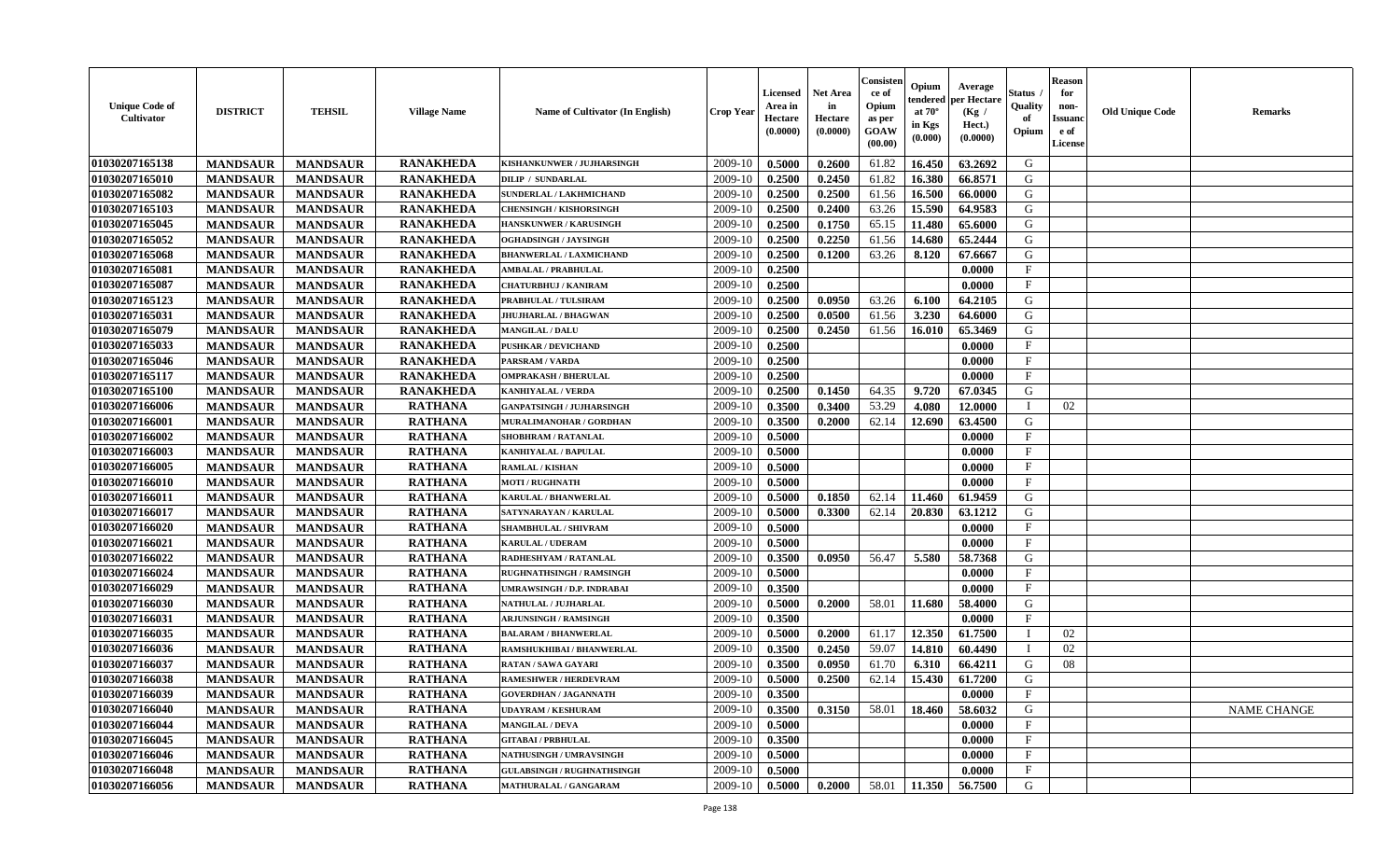| <b>Unique Code of</b><br>Cultivator | <b>DISTRICT</b> | <b>TEHSIL</b>   | <b>Village Name</b> | Name of Cultivator (In English)   | <b>Crop Year</b> | Licensed<br>Area in<br>Hectare<br>(0.0000) | <b>Net Area</b><br>in<br>Hectare<br>(0.0000) | Consister<br>ce of<br>Opium<br>as per<br>GOAW<br>(00.00) | Opium<br>endered<br>at $70^\circ$<br>in Kgs<br>(0.000) | Average<br>per Hectare<br>(Kg /<br>Hect.)<br>(0.0000) | <b>Status</b> .<br>Quality<br>of<br>Opium | <b>Reason</b><br>for<br>non-<br><b>Issuanc</b><br>e of<br>License | <b>Old Unique Code</b> | <b>Remarks</b>     |
|-------------------------------------|-----------------|-----------------|---------------------|-----------------------------------|------------------|--------------------------------------------|----------------------------------------------|----------------------------------------------------------|--------------------------------------------------------|-------------------------------------------------------|-------------------------------------------|-------------------------------------------------------------------|------------------------|--------------------|
| 01030207165138                      | <b>MANDSAUR</b> | <b>MANDSAUR</b> | <b>RANAKHEDA</b>    | KISHANKUNWER / JUJHARSINGH        | 2009-10          | 0.5000                                     | 0.2600                                       | 61.82                                                    | 16.450                                                 | 63.2692                                               | G                                         |                                                                   |                        |                    |
| 01030207165010                      | <b>MANDSAUR</b> | <b>MANDSAUR</b> | <b>RANAKHEDA</b>    | <b>DILIP / SUNDARLAL</b>          | 2009-10          | 0.2500                                     | 0.2450                                       | 61.82                                                    | 16.380                                                 | 66.8571                                               | G                                         |                                                                   |                        |                    |
| 01030207165082                      | <b>MANDSAUR</b> | <b>MANDSAUR</b> | <b>RANAKHEDA</b>    | SUNDERLAL / LAKHMICHAND           | 2009-10          | 0.2500                                     | 0.2500                                       | 61.56                                                    | 16.500                                                 | 66.0000                                               | G                                         |                                                                   |                        |                    |
| 01030207165103                      | <b>MANDSAUR</b> | <b>MANDSAUR</b> | <b>RANAKHEDA</b>    | <b>CHENSINGH / KISHORSINGH</b>    | 2009-10          | 0.2500                                     | 0.2400                                       | 63.26                                                    | 15.590                                                 | 64.9583                                               | G                                         |                                                                   |                        |                    |
| 01030207165045                      | <b>MANDSAUR</b> | <b>MANDSAUR</b> | <b>RANAKHEDA</b>    | <b>HANSKUNWER / KARUSINGH</b>     | 2009-10          | 0.2500                                     | 0.1750                                       | 65.15                                                    | 11.480                                                 | 65.6000                                               | G                                         |                                                                   |                        |                    |
| 01030207165052                      | <b>MANDSAUR</b> | <b>MANDSAUR</b> | <b>RANAKHEDA</b>    | OGHADSINGH / JAYSINGH             | 2009-10          | 0.2500                                     | 0.2250                                       | 61.56                                                    | 14.680                                                 | 65.2444                                               | G                                         |                                                                   |                        |                    |
| 01030207165068                      | <b>MANDSAUR</b> | <b>MANDSAUR</b> | <b>RANAKHEDA</b>    | <b>BHANWERLAL / LAXMICHAND</b>    | 2009-10          | 0.2500                                     | 0.1200                                       | 63.26                                                    | 8.120                                                  | 67.6667                                               | G                                         |                                                                   |                        |                    |
| 01030207165081                      | <b>MANDSAUR</b> | <b>MANDSAUR</b> | <b>RANAKHEDA</b>    | <b>AMBALAL / PRABHULAL</b>        | 2009-10          | 0.2500                                     |                                              |                                                          |                                                        | 0.0000                                                | $\mathbf F$                               |                                                                   |                        |                    |
| 01030207165087                      | <b>MANDSAUR</b> | <b>MANDSAUR</b> | <b>RANAKHEDA</b>    | <b>CHATURBHUJ / KANIRAM</b>       | 2009-10          | 0.2500                                     |                                              |                                                          |                                                        | 0.0000                                                | $\mathbf{F}$                              |                                                                   |                        |                    |
| 01030207165123                      | <b>MANDSAUR</b> | <b>MANDSAUR</b> | <b>RANAKHEDA</b>    | PRABHULAL / TULSIRAM              | 2009-10          | 0.2500                                     | 0.0950                                       | 63.26                                                    | 6.100                                                  | 64.2105                                               | G                                         |                                                                   |                        |                    |
| 01030207165031                      | <b>MANDSAUR</b> | <b>MANDSAUR</b> | <b>RANAKHEDA</b>    | <b>JHUJHARLAL / BHAGWAN</b>       | 2009-10          | 0.2500                                     | 0.0500                                       | 61.56                                                    | 3.230                                                  | 64.6000                                               | G                                         |                                                                   |                        |                    |
| 01030207165079                      | <b>MANDSAUR</b> | <b>MANDSAUR</b> | <b>RANAKHEDA</b>    | <b>MANGILAL / DALU</b>            | 2009-10          | 0.2500                                     | 0.2450                                       | 61.56                                                    | 16.010                                                 | 65.3469                                               | G                                         |                                                                   |                        |                    |
| 01030207165033                      | <b>MANDSAUR</b> | <b>MANDSAUR</b> | <b>RANAKHEDA</b>    | <b>PUSHKAR / DEVICHAND</b>        | 2009-10          | 0.2500                                     |                                              |                                                          |                                                        | 0.0000                                                | $\mathbf{F}$                              |                                                                   |                        |                    |
| 01030207165046                      | <b>MANDSAUR</b> | <b>MANDSAUR</b> | <b>RANAKHEDA</b>    | PARSRAM / VARDA                   | 2009-10          | 0.2500                                     |                                              |                                                          |                                                        | 0.0000                                                | $\mathbf{F}$                              |                                                                   |                        |                    |
| 01030207165117                      | <b>MANDSAUR</b> | <b>MANDSAUR</b> | <b>RANAKHEDA</b>    | <b>OMPRAKASH / BHERULAL</b>       | 2009-10          | 0.2500                                     |                                              |                                                          |                                                        | 0.0000                                                | $\mathbf{F}$                              |                                                                   |                        |                    |
| 01030207165100                      | <b>MANDSAUR</b> | <b>MANDSAUR</b> | <b>RANAKHEDA</b>    | <b>KANHIYALAL / VERDA</b>         | 2009-10          | 0.2500                                     | 0.1450                                       | 64.35                                                    | 9.720                                                  | 67.0345                                               | G                                         |                                                                   |                        |                    |
| 01030207166006                      | <b>MANDSAUR</b> | <b>MANDSAUR</b> | <b>RATHANA</b>      | <b>GANPATSINGH / JUJHARSINGH</b>  | 2009-10          | 0.3500                                     | 0.3400                                       | 53.29                                                    | 4.080                                                  | 12.0000                                               | $\mathbf{I}$                              | 02                                                                |                        |                    |
| 01030207166001                      | <b>MANDSAUR</b> | <b>MANDSAUR</b> | <b>RATHANA</b>      | MURALIMANOHAR / GORDHAN           | 2009-10          | 0.3500                                     | 0.2000                                       | 62.14                                                    | 12.690                                                 | 63.4500                                               | G                                         |                                                                   |                        |                    |
| 01030207166002                      | <b>MANDSAUR</b> | <b>MANDSAUR</b> | <b>RATHANA</b>      | SHOBHRAM / RATANLAL               | 2009-10          | 0.5000                                     |                                              |                                                          |                                                        | 0.0000                                                | $\mathbf{F}$                              |                                                                   |                        |                    |
| 01030207166003                      | <b>MANDSAUR</b> | <b>MANDSAUR</b> | <b>RATHANA</b>      | <b>KANHIYALAL / BAPULAL</b>       | 2009-10          | 0.5000                                     |                                              |                                                          |                                                        | 0.0000                                                | $\mathbf F$                               |                                                                   |                        |                    |
| 01030207166005                      | <b>MANDSAUR</b> | <b>MANDSAUR</b> | <b>RATHANA</b>      | <b>RAMLAL / KISHAN</b>            | 2009-10          | 0.5000                                     |                                              |                                                          |                                                        | 0.0000                                                | $\mathbf{F}$                              |                                                                   |                        |                    |
| 01030207166010                      | <b>MANDSAUR</b> | <b>MANDSAUR</b> | <b>RATHANA</b>      | <b>MOTI / RUGHNATH</b>            | 2009-10          | 0.5000                                     |                                              |                                                          |                                                        | 0.0000                                                | F                                         |                                                                   |                        |                    |
| 01030207166011                      | <b>MANDSAUR</b> | <b>MANDSAUR</b> | <b>RATHANA</b>      | KARULAL / BHANWERLAL              | 2009-10          | 0.5000                                     | 0.1850                                       | 62.14                                                    | 11.460                                                 | 61.9459                                               | G                                         |                                                                   |                        |                    |
| 01030207166017                      | <b>MANDSAUR</b> | <b>MANDSAUR</b> | <b>RATHANA</b>      | SATYNARAYAN / KARULAL             | 2009-10          | 0.5000                                     | 0.3300                                       | 62.14                                                    | 20.830                                                 | 63.1212                                               | G                                         |                                                                   |                        |                    |
| 01030207166020                      | <b>MANDSAUR</b> | <b>MANDSAUR</b> | <b>RATHANA</b>      | <b>SHAMBHULAL / SHIVRAM</b>       | 2009-10          | 0.5000                                     |                                              |                                                          |                                                        | 0.0000                                                | $\mathbf F$                               |                                                                   |                        |                    |
| 01030207166021                      | <b>MANDSAUR</b> | <b>MANDSAUR</b> | <b>RATHANA</b>      | <b>KARULAL / UDERAM</b>           | 2009-10          | 0.5000                                     |                                              |                                                          |                                                        | 0.0000                                                | $\mathbf{F}$                              |                                                                   |                        |                    |
| 01030207166022                      | <b>MANDSAUR</b> | <b>MANDSAUR</b> | <b>RATHANA</b>      | RADHESHYAM / RATANLAL             | 2009-10          | 0.3500                                     | 0.0950                                       | 56.47                                                    | 5.580                                                  | 58.7368                                               | G                                         |                                                                   |                        |                    |
| 01030207166024                      | <b>MANDSAUR</b> | <b>MANDSAUR</b> | <b>RATHANA</b>      | <b>RUGHNATHSINGH / RAMSINGH</b>   | 2009-10          | 0.5000                                     |                                              |                                                          |                                                        | 0.0000                                                | $\mathbf{F}$                              |                                                                   |                        |                    |
| 01030207166029                      | <b>MANDSAUR</b> | <b>MANDSAUR</b> | <b>RATHANA</b>      | UMRAWSINGH / D.P. INDRABAI        | 2009-10          | 0.3500                                     |                                              |                                                          |                                                        | 0.0000                                                | $\mathbf{F}$                              |                                                                   |                        |                    |
| 01030207166030                      | <b>MANDSAUR</b> | <b>MANDSAUR</b> | <b>RATHANA</b>      | NATHULAL / JUJHARLAL              | 2009-10          | 0.5000                                     | 0.2000                                       | 58.01                                                    | 11.680                                                 | 58.4000                                               | G                                         |                                                                   |                        |                    |
| 01030207166031                      | <b>MANDSAUR</b> | <b>MANDSAUR</b> | <b>RATHANA</b>      | <b>ARJUNSINGH / RAMSINGH</b>      | 2009-10          | 0.3500                                     |                                              |                                                          |                                                        | 0.0000                                                | $\mathbf F$                               |                                                                   |                        |                    |
| 01030207166035                      | <b>MANDSAUR</b> | <b>MANDSAUR</b> | <b>RATHANA</b>      | <b>BALARAM / BHANWERLAL</b>       | 2009-10          | 0.5000                                     | 0.2000                                       | 61.17                                                    | 12.350                                                 | 61.7500                                               |                                           | 02                                                                |                        |                    |
| 01030207166036                      | <b>MANDSAUR</b> | <b>MANDSAUR</b> | <b>RATHANA</b>      | RAMSHUKHIBAI / BHANWERLAL         | 2009-10          | 0.3500                                     | 0.2450                                       | 59.07                                                    | 14.810                                                 | 60.4490                                               | Т                                         | 02                                                                |                        |                    |
| 01030207166037                      | <b>MANDSAUR</b> | <b>MANDSAUR</b> | <b>RATHANA</b>      | <b>RATAN / SAWA GAYARI</b>        | 2009-10          | 0.3500                                     | 0.0950                                       | 61.70                                                    | 6.310                                                  | 66.4211                                               | G                                         | 08                                                                |                        |                    |
| 01030207166038                      | <b>MANDSAUR</b> | <b>MANDSAUR</b> | <b>RATHANA</b>      | <b>RAMESHWER / HERDEVRAM</b>      | 2009-10          | 0.5000                                     | 0.2500                                       | 62.14                                                    | 15.430                                                 | 61.7200                                               | G                                         |                                                                   |                        |                    |
| 01030207166039                      | <b>MANDSAUR</b> | <b>MANDSAUR</b> | <b>RATHANA</b>      | <b>GOVERDHAN / JAGANNATH</b>      | 2009-10          | 0.3500                                     |                                              |                                                          |                                                        | 0.0000                                                | F                                         |                                                                   |                        |                    |
| 01030207166040                      | <b>MANDSAUR</b> | <b>MANDSAUR</b> | <b>RATHANA</b>      | <b>UDAYRAM / KESHURAM</b>         | 2009-10          | 0.3500                                     | 0.3150                                       | 58.01                                                    | 18.460                                                 | 58.6032                                               | G                                         |                                                                   |                        | <b>NAME CHANGE</b> |
| 01030207166044                      | <b>MANDSAUR</b> | <b>MANDSAUR</b> | <b>RATHANA</b>      | <b>MANGILAL / DEVA</b>            | 2009-10          | 0.5000                                     |                                              |                                                          |                                                        | 0.0000                                                | $\mathbf{F}$                              |                                                                   |                        |                    |
| 01030207166045                      | <b>MANDSAUR</b> | <b>MANDSAUR</b> | <b>RATHANA</b>      | <b>GITABAI/PRBHULAL</b>           | 2009-10          | 0.3500                                     |                                              |                                                          |                                                        | 0.0000                                                | $\mathbf{F}$                              |                                                                   |                        |                    |
| 01030207166046                      | <b>MANDSAUR</b> | <b>MANDSAUR</b> | <b>RATHANA</b>      | <b>NATHUSINGH / UMRAVSINGH</b>    | 2009-10          | 0.5000                                     |                                              |                                                          |                                                        | 0.0000                                                | F                                         |                                                                   |                        |                    |
| 01030207166048                      | <b>MANDSAUR</b> | <b>MANDSAUR</b> | <b>RATHANA</b>      | <b>GULABSINGH / RUGHNATHSINGH</b> | 2009-10          | 0.5000                                     |                                              |                                                          |                                                        | 0.0000                                                | $\mathbf{F}$                              |                                                                   |                        |                    |
| 01030207166056                      | <b>MANDSAUR</b> | <b>MANDSAUR</b> | <b>RATHANA</b>      | <b>MATHURALAL / GANGARAM</b>      | 2009-10          | 0.5000                                     | 0.2000                                       | 58.01                                                    | 11.350                                                 | 56.7500                                               | G                                         |                                                                   |                        |                    |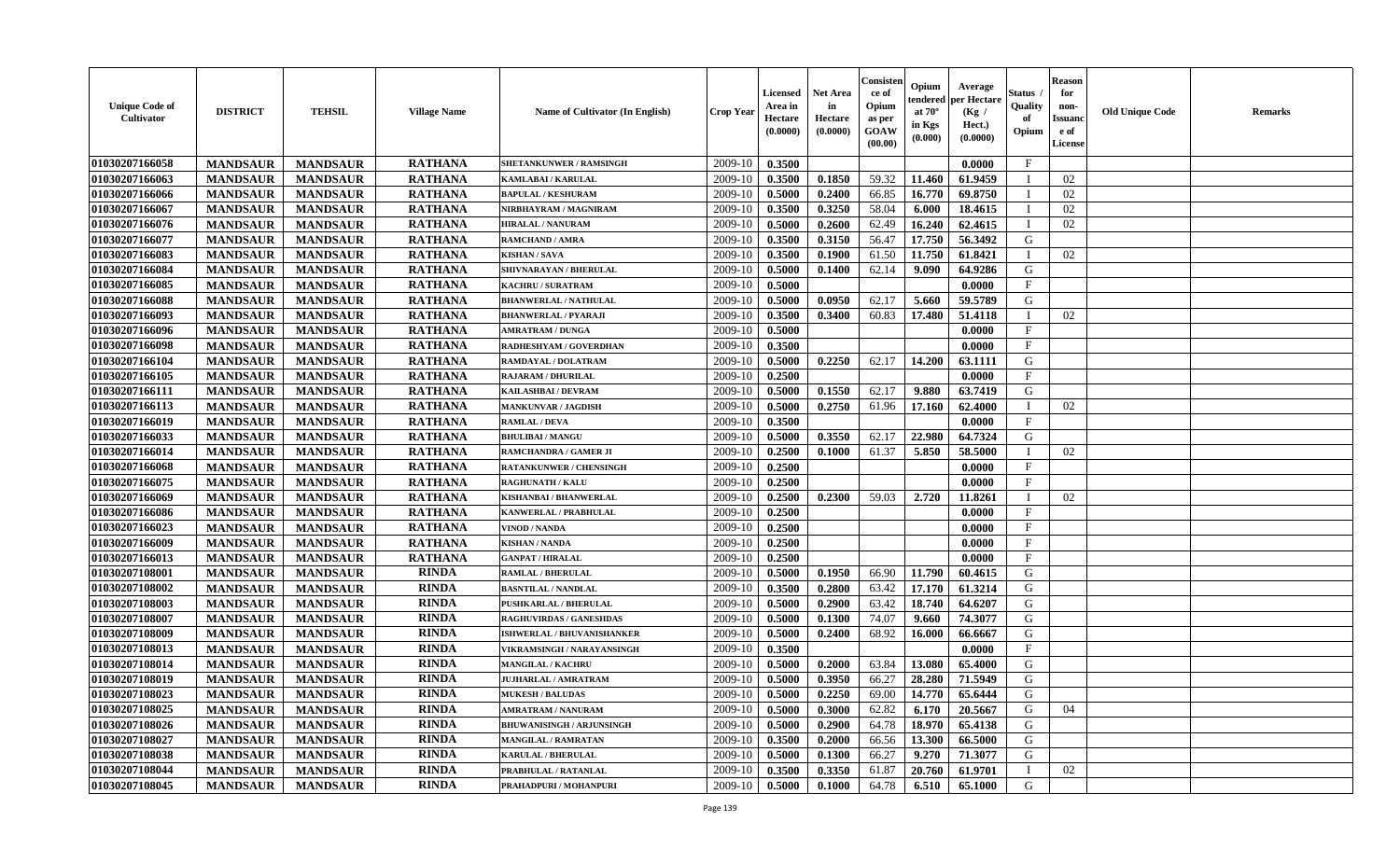| <b>Unique Code of</b><br><b>Cultivator</b> | <b>DISTRICT</b> | <b>TEHSIL</b>   | <b>Village Name</b> | Name of Cultivator (In English)  | <b>Crop Year</b> | Licensed<br>Area in<br>Hectare<br>(0.0000) | <b>Net Area</b><br>in<br>Hectare<br>(0.0000) | Consisteı<br>ce of<br>Opium<br>as per<br>GOAW<br>(00.00) | Opium<br>endered<br>at $70^\circ$<br>in Kgs<br>(0.000) | Average<br>per Hectare<br>(Kg /<br>Hect.)<br>(0.0000) | Status<br>Quality<br>of<br>Opium | <b>Reason</b><br>for<br>non-<br><b>Issuand</b><br>e of<br><b>License</b> | <b>Old Unique Code</b> | <b>Remarks</b> |
|--------------------------------------------|-----------------|-----------------|---------------------|----------------------------------|------------------|--------------------------------------------|----------------------------------------------|----------------------------------------------------------|--------------------------------------------------------|-------------------------------------------------------|----------------------------------|--------------------------------------------------------------------------|------------------------|----------------|
| 01030207166058                             | <b>MANDSAUR</b> | <b>MANDSAUR</b> | <b>RATHANA</b>      | <b>SHETANKUNWER / RAMSINGH</b>   | 2009-10          | 0.3500                                     |                                              |                                                          |                                                        | 0.0000                                                | $\mathbf{F}$                     |                                                                          |                        |                |
| 01030207166063                             | <b>MANDSAUR</b> | <b>MANDSAUR</b> | <b>RATHANA</b>      | KAMLABAI / KARULAL               | 2009-10          | 0.3500                                     | 0.1850                                       | 59.32                                                    | 11.460                                                 | 61.9459                                               | $\mathbf I$                      | 02                                                                       |                        |                |
| 01030207166066                             | <b>MANDSAUR</b> | <b>MANDSAUR</b> | <b>RATHANA</b>      | <b>BAPULAL / KESHURAM</b>        | 2009-10          | 0.5000                                     | 0.2400                                       | 66.85                                                    | 16.770                                                 | 69.8750                                               | $\mathbf I$                      | 02                                                                       |                        |                |
| 01030207166067                             | <b>MANDSAUR</b> | <b>MANDSAUR</b> | <b>RATHANA</b>      | NIRBHAYRAM / MAGNIRAM            | 2009-10          | 0.3500                                     | 0.3250                                       | 58.04                                                    | 6.000                                                  | 18.4615                                               | $\mathbf{I}$                     | 02                                                                       |                        |                |
| 01030207166076                             | <b>MANDSAUR</b> | <b>MANDSAUR</b> | <b>RATHANA</b>      | <b>HIRALAL / NANURAM</b>         | 2009-10          | 0.5000                                     | 0.2600                                       | 62.49                                                    | 16.240                                                 | 62.4615                                               | T                                | 02                                                                       |                        |                |
| 01030207166077                             | <b>MANDSAUR</b> | <b>MANDSAUR</b> | <b>RATHANA</b>      | RAMCHAND / AMRA                  | 2009-10          | 0.3500                                     | 0.3150                                       | 56.47                                                    | 17.750                                                 | 56.3492                                               | G                                |                                                                          |                        |                |
| 01030207166083                             | <b>MANDSAUR</b> | <b>MANDSAUR</b> | <b>RATHANA</b>      | <b>KISHAN / SAVA</b>             | 2009-10          | 0.3500                                     | 0.1900                                       | 61.50                                                    | 11.750                                                 | 61.8421                                               |                                  | 02                                                                       |                        |                |
| 01030207166084                             | <b>MANDSAUR</b> | <b>MANDSAUR</b> | <b>RATHANA</b>      | SHIVNARAYAN / BHERULAL           | 2009-10          | 0.5000                                     | 0.1400                                       | 62.14                                                    | 9.090                                                  | 64.9286                                               | G                                |                                                                          |                        |                |
| 01030207166085                             | <b>MANDSAUR</b> | <b>MANDSAUR</b> | <b>RATHANA</b>      | KACHRU / SURATRAM                | 2009-10          | 0.5000                                     |                                              |                                                          |                                                        | 0.0000                                                | $\mathbf{F}$                     |                                                                          |                        |                |
| 01030207166088                             | <b>MANDSAUR</b> | <b>MANDSAUR</b> | <b>RATHANA</b>      | <b>BHANWERLAL / NATHULAL</b>     | 2009-10          | 0.5000                                     | 0.0950                                       | 62.17                                                    | 5.660                                                  | 59.5789                                               | G                                |                                                                          |                        |                |
| 01030207166093                             | <b>MANDSAUR</b> | <b>MANDSAUR</b> | <b>RATHANA</b>      | <b>BHANWERLAL / PYARAJI</b>      | 2009-10          | 0.3500                                     | 0.3400                                       | 60.83                                                    | 17.480                                                 | 51.4118                                               | T                                | 02                                                                       |                        |                |
| 01030207166096                             | <b>MANDSAUR</b> | <b>MANDSAUR</b> | <b>RATHANA</b>      | <b>AMRATRAM / DUNGA</b>          | 2009-10          | 0.5000                                     |                                              |                                                          |                                                        | 0.0000                                                | $_{\rm F}$                       |                                                                          |                        |                |
| 01030207166098                             | <b>MANDSAUR</b> | <b>MANDSAUR</b> | <b>RATHANA</b>      | RADHESHYAM / GOVERDHAN           | 2009-10          | 0.3500                                     |                                              |                                                          |                                                        | 0.0000                                                | $_{\rm F}$                       |                                                                          |                        |                |
| 01030207166104                             | <b>MANDSAUR</b> | <b>MANDSAUR</b> | <b>RATHANA</b>      | RAMDAYAL / DOLATRAM              | 2009-10          | 0.5000                                     | 0.2250                                       | 62.17                                                    | 14.200                                                 | 63.1111                                               | G                                |                                                                          |                        |                |
| 01030207166105                             | <b>MANDSAUR</b> | <b>MANDSAUR</b> | <b>RATHANA</b>      | <b>RAJARAM / DHURILAL</b>        | 2009-10          | 0.2500                                     |                                              |                                                          |                                                        | 0.0000                                                | $\mathbf{F}$                     |                                                                          |                        |                |
| 01030207166111                             | <b>MANDSAUR</b> | <b>MANDSAUR</b> | <b>RATHANA</b>      | KAILASHBAI / DEVRAM              | 2009-10          | 0.5000                                     | 0.1550                                       | 62.17                                                    | 9.880                                                  | 63.7419                                               | G                                |                                                                          |                        |                |
| 01030207166113                             | <b>MANDSAUR</b> | <b>MANDSAUR</b> | <b>RATHANA</b>      | <b>MANKUNVAR / JAGDISH</b>       | 2009-10          | 0.5000                                     | 0.2750                                       | 61.96                                                    | 17.160                                                 | 62.4000                                               | <sup>1</sup>                     | 02                                                                       |                        |                |
| 01030207166019                             | <b>MANDSAUR</b> | <b>MANDSAUR</b> | <b>RATHANA</b>      | <b>RAMLAL / DEVA</b>             | 2009-10          | 0.3500                                     |                                              |                                                          |                                                        | 0.0000                                                | $\mathbf F$                      |                                                                          |                        |                |
| 01030207166033                             | <b>MANDSAUR</b> | <b>MANDSAUR</b> | <b>RATHANA</b>      | <b>BHULIBAI/MANGU</b>            | 2009-10          | 0.5000                                     | 0.3550                                       | 62.17                                                    | 22.980                                                 | 64.7324                                               | G                                |                                                                          |                        |                |
| 01030207166014                             | <b>MANDSAUR</b> | <b>MANDSAUR</b> | <b>RATHANA</b>      | RAMCHANDRA / GAMER JI            | 2009-10          | 0.2500                                     | 0.1000                                       | 61.37                                                    | 5.850                                                  | 58.5000                                               | $\mathbf{I}$                     | 02                                                                       |                        |                |
| 01030207166068                             | <b>MANDSAUR</b> | <b>MANDSAUR</b> | <b>RATHANA</b>      | <b>RATANKUNWER / CHENSINGH</b>   | 2009-10          | 0.2500                                     |                                              |                                                          |                                                        | 0.0000                                                | $_{\rm F}$                       |                                                                          |                        |                |
| 01030207166075                             | <b>MANDSAUR</b> | <b>MANDSAUR</b> | <b>RATHANA</b>      | <b>RAGHUNATH / KALU</b>          | 2009-10          | 0.2500                                     |                                              |                                                          |                                                        | 0.0000                                                | $\mathbf{F}$                     |                                                                          |                        |                |
| 01030207166069                             | <b>MANDSAUR</b> | <b>MANDSAUR</b> | <b>RATHANA</b>      | KISHANBAI / BHANWERLAL           | 2009-10          | 0.2500                                     | 0.2300                                       | 59.03                                                    | 2.720                                                  | 11.8261                                               |                                  | 02                                                                       |                        |                |
| 01030207166086                             | <b>MANDSAUR</b> | <b>MANDSAUR</b> | <b>RATHANA</b>      | KANWERLAL / PRABHULAL            | 2009-10          | 0.2500                                     |                                              |                                                          |                                                        | 0.0000                                                | $\mathbf{F}$                     |                                                                          |                        |                |
| 01030207166023                             | <b>MANDSAUR</b> | <b>MANDSAUR</b> | <b>RATHANA</b>      | VINOD / NANDA                    | 2009-10          | 0.2500                                     |                                              |                                                          |                                                        | 0.0000                                                | $\mathbf{F}$                     |                                                                          |                        |                |
| 01030207166009                             | <b>MANDSAUR</b> | <b>MANDSAUR</b> | <b>RATHANA</b>      | <b>KISHAN / NANDA</b>            | 2009-10          | 0.2500                                     |                                              |                                                          |                                                        | 0.0000                                                | $\mathbf F$                      |                                                                          |                        |                |
| 01030207166013                             | <b>MANDSAUR</b> | <b>MANDSAUR</b> | <b>RATHANA</b>      | <b>GANPAT / HIRALAL</b>          | 2009-10          | 0.2500                                     |                                              |                                                          |                                                        | 0.0000                                                | $\mathbf{F}$                     |                                                                          |                        |                |
| 01030207108001                             | <b>MANDSAUR</b> | <b>MANDSAUR</b> | <b>RINDA</b>        | RAMLAL / BHERULAL                | 2009-10          | 0.5000                                     | 0.1950                                       | 66.90                                                    | 11.790                                                 | 60.4615                                               | G                                |                                                                          |                        |                |
| 01030207108002                             | <b>MANDSAUR</b> | <b>MANDSAUR</b> | <b>RINDA</b>        | <b>BASNTILAL / NANDLAL</b>       | 2009-10          | 0.3500                                     | 0.2800                                       | 63.42                                                    | 17.170                                                 | 61.3214                                               | G                                |                                                                          |                        |                |
| 01030207108003                             | <b>MANDSAUR</b> | <b>MANDSAUR</b> | <b>RINDA</b>        | PUSHKARLAL / BHERULAL            | 2009-10          | 0.5000                                     | 0.2900                                       | 63.42                                                    | 18.740                                                 | 64.6207                                               | G                                |                                                                          |                        |                |
| 01030207108007                             | <b>MANDSAUR</b> | <b>MANDSAUR</b> | <b>RINDA</b>        | <b>RAGHUVIRDAS / GANESHDAS</b>   | 2009-10          | 0.5000                                     | 0.1300                                       | 74.07                                                    | 9.660                                                  | 74.3077                                               | ${\bf G}$                        |                                                                          |                        |                |
| 01030207108009                             | <b>MANDSAUR</b> | <b>MANDSAUR</b> | <b>RINDA</b>        | ISHWERLAL / BHUVANISHANKER       | 2009-10          | 0.5000                                     | 0.2400                                       | 68.92                                                    | 16.000                                                 | 66.6667                                               | G                                |                                                                          |                        |                |
| 01030207108013                             | <b>MANDSAUR</b> | <b>MANDSAUR</b> | <b>RINDA</b>        | VIKRAMSINGH / NARAYANSINGH       | 2009-10          | 0.3500                                     |                                              |                                                          |                                                        | 0.0000                                                | $\mathbf{F}$                     |                                                                          |                        |                |
| 01030207108014                             | <b>MANDSAUR</b> | <b>MANDSAUR</b> | <b>RINDA</b>        | <b>MANGILAL / KACHRU</b>         | 2009-10          | 0.5000                                     | 0.2000                                       | 63.84                                                    | 13.080                                                 | 65.4000                                               | G                                |                                                                          |                        |                |
| 01030207108019                             | <b>MANDSAUR</b> | <b>MANDSAUR</b> | <b>RINDA</b>        | <b>JUJHARLAL / AMRATRAM</b>      | 2009-10          | 0.5000                                     | 0.3950                                       | 66.27                                                    | 28.280                                                 | 71.5949                                               | G                                |                                                                          |                        |                |
| 01030207108023                             | <b>MANDSAUR</b> | <b>MANDSAUR</b> | <b>RINDA</b>        | <b>MUKESH / BALUDAS</b>          | 2009-10          | 0.5000                                     | 0.2250                                       | 69.00                                                    | 14.770                                                 | 65.6444                                               | G                                |                                                                          |                        |                |
| 01030207108025                             | <b>MANDSAUR</b> | <b>MANDSAUR</b> | <b>RINDA</b>        | <b>AMRATRAM / NANURAM</b>        | 2009-10          | 0.5000                                     | 0.3000                                       | 62.82                                                    | 6.170                                                  | 20.5667                                               | G                                | 04                                                                       |                        |                |
| 01030207108026                             | <b>MANDSAUR</b> | <b>MANDSAUR</b> | <b>RINDA</b>        | <b>BHUWANISINGH / ARJUNSINGH</b> | 2009-10          | 0.5000                                     | 0.2900                                       | 64.78                                                    | 18.970                                                 | 65.4138                                               | G                                |                                                                          |                        |                |
| 01030207108027                             | <b>MANDSAUR</b> | <b>MANDSAUR</b> | <b>RINDA</b>        | <b>MANGILAL / RAMRATAN</b>       | 2009-10          | 0.3500                                     | 0.2000                                       | 66.56                                                    | 13.300                                                 | 66.5000                                               | G                                |                                                                          |                        |                |
| 01030207108038                             | <b>MANDSAUR</b> | <b>MANDSAUR</b> | <b>RINDA</b>        | <b>KARULAL / BHERULAL</b>        | 2009-10          | 0.5000                                     | 0.1300                                       | 66.27                                                    | 9.270                                                  | 71.3077                                               | G                                |                                                                          |                        |                |
| 01030207108044                             | <b>MANDSAUR</b> | <b>MANDSAUR</b> | <b>RINDA</b>        | PRABHULAL / RATANLAL             | 2009-10          | 0.3500                                     | 0.3350                                       | 61.87                                                    | 20.760                                                 | 61.9701                                               | T                                | 02                                                                       |                        |                |
| 01030207108045                             | <b>MANDSAUR</b> | <b>MANDSAUR</b> | <b>RINDA</b>        | PRAHADPURI / MOHANPURI           | 2009-10          | 0.5000                                     | 0.1000                                       | 64.78                                                    | 6.510                                                  | 65.1000                                               | G                                |                                                                          |                        |                |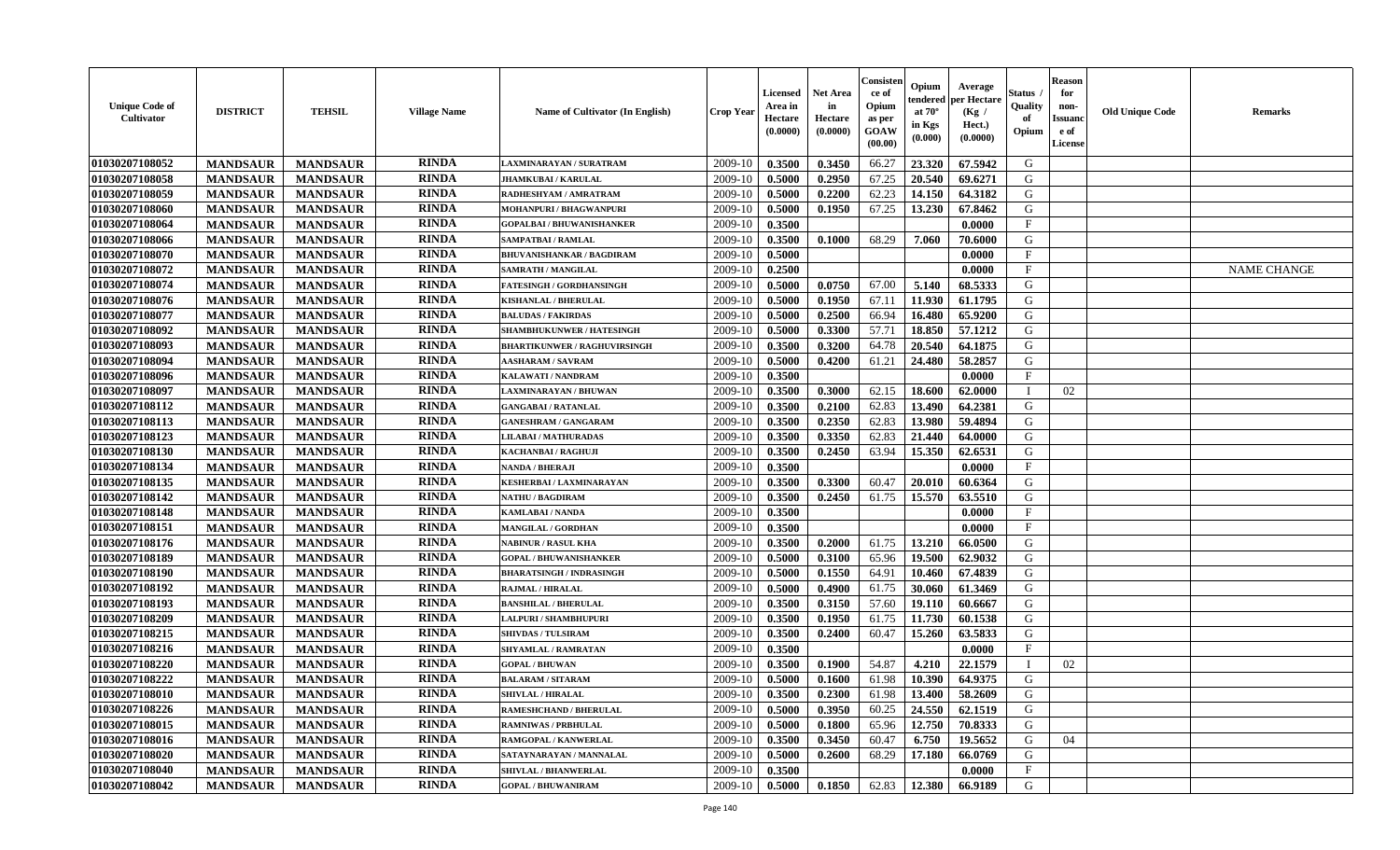| <b>Unique Code of</b><br>Cultivator | <b>DISTRICT</b> | <b>TEHSIL</b>   | <b>Village Name</b> | Name of Cultivator (In English)     | <b>Crop Year</b> | Licensed<br>Area in<br>Hectare<br>(0.0000) | <b>Net Area</b><br>in<br>Hectare<br>(0.0000) | Consisten<br>ce of<br>Opium<br>as per<br>GOAW<br>(00.00) | Opium<br>tendered<br>at $70^\circ$<br>in Kgs<br>(0.000) | Average<br>per Hectare<br>(Kg /<br>Hect.)<br>(0.0000) | Status<br>Quality<br>of<br>Opium | <b>Reason</b><br>for<br>non-<br>Issuanc<br>e of<br>License | <b>Old Unique Code</b> | <b>Remarks</b>     |
|-------------------------------------|-----------------|-----------------|---------------------|-------------------------------------|------------------|--------------------------------------------|----------------------------------------------|----------------------------------------------------------|---------------------------------------------------------|-------------------------------------------------------|----------------------------------|------------------------------------------------------------|------------------------|--------------------|
| 01030207108052                      | <b>MANDSAUR</b> | <b>MANDSAUR</b> | <b>RINDA</b>        | LAXMINARAYAN / SURATRAM             | 2009-10          | 0.3500                                     | 0.3450                                       | 66.27                                                    | 23.320                                                  | 67.5942                                               | G                                |                                                            |                        |                    |
| 01030207108058                      | <b>MANDSAUR</b> | <b>MANDSAUR</b> | <b>RINDA</b>        | <b>JHAMKUBAI/KARULAL</b>            | 2009-10          | 0.5000                                     | 0.2950                                       | 67.25                                                    | 20,540                                                  | 69.6271                                               | G                                |                                                            |                        |                    |
| 01030207108059                      | <b>MANDSAUR</b> | <b>MANDSAUR</b> | <b>RINDA</b>        | RADHESHYAM / AMRATRAM               | 2009-10          | 0.5000                                     | 0.2200                                       | 62.23                                                    | 14.150                                                  | 64.3182                                               | G                                |                                                            |                        |                    |
| 01030207108060                      | <b>MANDSAUR</b> | <b>MANDSAUR</b> | <b>RINDA</b>        | MOHANPURI / BHAGWANPURI             | 2009-10          | 0.5000                                     | 0.1950                                       | 67.25                                                    | 13.230                                                  | 67.8462                                               | G                                |                                                            |                        |                    |
| 01030207108064                      | <b>MANDSAUR</b> | <b>MANDSAUR</b> | <b>RINDA</b>        | <b>GOPALBAI/BHUWANISHANKER</b>      | 2009-10          | 0.3500                                     |                                              |                                                          |                                                         | 0.0000                                                | $\mathbf{F}$                     |                                                            |                        |                    |
| 01030207108066                      | <b>MANDSAUR</b> | <b>MANDSAUR</b> | <b>RINDA</b>        | <b>SAMPATBAI/RAMLAL</b>             | 2009-10          | 0.3500                                     | 0.1000                                       | 68.29                                                    | 7.060                                                   | 70.6000                                               | G                                |                                                            |                        |                    |
| 01030207108070                      | <b>MANDSAUR</b> | <b>MANDSAUR</b> | <b>RINDA</b>        | <b>BHUVANISHANKAR / BAGDIRAM</b>    | 2009-10          | 0.5000                                     |                                              |                                                          |                                                         | 0.0000                                                | $\mathbf{F}$                     |                                                            |                        |                    |
| 01030207108072                      | <b>MANDSAUR</b> | <b>MANDSAUR</b> | <b>RINDA</b>        | <b>SAMRATH / MANGILAL</b>           | 2009-10          | 0.2500                                     |                                              |                                                          |                                                         | 0.0000                                                | $\mathbf F$                      |                                                            |                        | <b>NAME CHANGE</b> |
| 01030207108074                      | <b>MANDSAUR</b> | <b>MANDSAUR</b> | <b>RINDA</b>        | <b>FATESINGH / GORDHANSINGH</b>     | 2009-10          | 0.5000                                     | 0.0750                                       | 67.00                                                    | 5.140                                                   | 68.5333                                               | G                                |                                                            |                        |                    |
| 01030207108076                      | <b>MANDSAUR</b> | <b>MANDSAUR</b> | <b>RINDA</b>        | KISHANLAL / BHERULAL                | 2009-10          | 0.5000                                     | 0.1950                                       | 67.11                                                    | 11.930                                                  | 61.1795                                               | G                                |                                                            |                        |                    |
| 01030207108077                      | <b>MANDSAUR</b> | <b>MANDSAUR</b> | <b>RINDA</b>        | <b>BALUDAS / FAKIRDAS</b>           | 2009-10          | 0.5000                                     | 0.2500                                       | 66.94                                                    | 16.480                                                  | 65.9200                                               | $\mathbf G$                      |                                                            |                        |                    |
| 01030207108092                      | <b>MANDSAUR</b> | <b>MANDSAUR</b> | <b>RINDA</b>        | <b>SHAMBHUKUNWER / HATESINGH</b>    | 2009-10          | 0.5000                                     | 0.3300                                       | 57.71                                                    | 18.850                                                  | 57.1212                                               | G                                |                                                            |                        |                    |
| 01030207108093                      | <b>MANDSAUR</b> | <b>MANDSAUR</b> | <b>RINDA</b>        | <b>BHARTIKUNWER / RAGHUVIRSINGH</b> | 2009-10          | 0.3500                                     | 0.3200                                       | 64.78                                                    | 20.540                                                  | 64.1875                                               | G                                |                                                            |                        |                    |
| 01030207108094                      | <b>MANDSAUR</b> | <b>MANDSAUR</b> | <b>RINDA</b>        | <b>AASHARAM / SAVRAM</b>            | 2009-10          | 0.5000                                     | 0.4200                                       | 61.21                                                    | 24.480                                                  | 58.2857                                               | G                                |                                                            |                        |                    |
| 01030207108096                      | <b>MANDSAUR</b> | <b>MANDSAUR</b> | <b>RINDA</b>        | KALAWATI / NANDRAM                  | 2009-10          | 0.3500                                     |                                              |                                                          |                                                         | 0.0000                                                | F                                |                                                            |                        |                    |
| 01030207108097                      | <b>MANDSAUR</b> | <b>MANDSAUR</b> | <b>RINDA</b>        | <b>LAXMINARAYAN / BHUWAN</b>        | 2009-10          | 0.3500                                     | 0.3000                                       | 62.15                                                    | 18.600                                                  | 62.0000                                               | $\mathbf I$                      | 02                                                         |                        |                    |
| 01030207108112                      | <b>MANDSAUR</b> | <b>MANDSAUR</b> | <b>RINDA</b>        | <b>GANGABAI/RATANLAL</b>            | 2009-10          | 0.3500                                     | 0.2100                                       | 62.83                                                    | 13.490                                                  | 64.2381                                               | G                                |                                                            |                        |                    |
| 01030207108113                      | <b>MANDSAUR</b> | <b>MANDSAUR</b> | <b>RINDA</b>        | <b>GANESHRAM / GANGARAM</b>         | 2009-10          | 0.3500                                     | 0.2350                                       | 62.83                                                    | 13.980                                                  | 59.4894                                               | G                                |                                                            |                        |                    |
| 01030207108123                      | <b>MANDSAUR</b> | <b>MANDSAUR</b> | <b>RINDA</b>        | <b>LILABAI/MATHURADAS</b>           | 2009-10          | 0.3500                                     | 0.3350                                       | 62.83                                                    | 21.440                                                  | 64.0000                                               | G                                |                                                            |                        |                    |
| 01030207108130                      | <b>MANDSAUR</b> | <b>MANDSAUR</b> | <b>RINDA</b>        | <b>KACHANBAI/RAGHUJI</b>            | 2009-10          | 0.3500                                     | 0.2450                                       | 63.94                                                    | 15.350                                                  | 62.6531                                               | G                                |                                                            |                        |                    |
| 01030207108134                      | <b>MANDSAUR</b> | <b>MANDSAUR</b> | <b>RINDA</b>        | <b>NANDA / BHERAJI</b>              | 2009-10          | 0.3500                                     |                                              |                                                          |                                                         | 0.0000                                                | $_{\rm F}$                       |                                                            |                        |                    |
| 01030207108135                      | <b>MANDSAUR</b> | <b>MANDSAUR</b> | <b>RINDA</b>        | <b>KESHERBAI/LAXMINARAYAN</b>       | 2009-10          | 0.3500                                     | 0.3300                                       | 60.47                                                    | 20.010                                                  | 60.6364                                               | G                                |                                                            |                        |                    |
| 01030207108142                      | <b>MANDSAUR</b> | <b>MANDSAUR</b> | <b>RINDA</b>        | <b>NATHU / BAGDIRAM</b>             | 2009-10          | 0.3500                                     | 0.2450                                       | 61.75                                                    | 15.570                                                  | 63.5510                                               | G                                |                                                            |                        |                    |
| 01030207108148                      | <b>MANDSAUR</b> | <b>MANDSAUR</b> | <b>RINDA</b>        | KAMLABAI / NANDA                    | 2009-10          | 0.3500                                     |                                              |                                                          |                                                         | 0.0000                                                | $\mathbf{F}$                     |                                                            |                        |                    |
| 01030207108151                      | <b>MANDSAUR</b> | <b>MANDSAUR</b> | <b>RINDA</b>        | <b>MANGILAL / GORDHAN</b>           | 2009-10          | 0.3500                                     |                                              |                                                          |                                                         | 0.0000                                                | $\mathbf{F}$                     |                                                            |                        |                    |
| 01030207108176                      | <b>MANDSAUR</b> | <b>MANDSAUR</b> | <b>RINDA</b>        | <b>NABINUR / RASUL KHA</b>          | 2009-10          | 0.3500                                     | 0.2000                                       | 61.75                                                    | 13.210                                                  | 66.0500                                               | G                                |                                                            |                        |                    |
| 01030207108189                      | <b>MANDSAUR</b> | <b>MANDSAUR</b> | <b>RINDA</b>        | <b>GOPAL / BHUWANISHANKER</b>       | 2009-10          | 0.5000                                     | 0.3100                                       | 65.96                                                    | 19.500                                                  | 62.9032                                               | G                                |                                                            |                        |                    |
| 01030207108190                      | <b>MANDSAUR</b> | <b>MANDSAUR</b> | <b>RINDA</b>        | <b>BHARATSINGH / INDRASINGH</b>     | 2009-10          | 0.5000                                     | 0.1550                                       | 64.91                                                    | 10.460                                                  | 67.4839                                               | G                                |                                                            |                        |                    |
| 01030207108192                      | <b>MANDSAUR</b> | <b>MANDSAUR</b> | <b>RINDA</b>        | RAJMAL / HIRALAL                    | 2009-10          | 0.5000                                     | 0.4900                                       | 61.75                                                    | 30.060                                                  | 61.3469                                               | G                                |                                                            |                        |                    |
| 01030207108193                      | <b>MANDSAUR</b> | <b>MANDSAUR</b> | <b>RINDA</b>        | <b>BANSHILAL / BHERULAL</b>         | 2009-10          | 0.3500                                     | 0.3150                                       | 57.60                                                    | 19.110                                                  | 60.6667                                               | G                                |                                                            |                        |                    |
| 01030207108209                      | <b>MANDSAUR</b> | <b>MANDSAUR</b> | <b>RINDA</b>        | <b>LALPURI / SHAMBHUPURI</b>        | 2009-10          | 0.3500                                     | 0.1950                                       | 61.75                                                    | 11.730                                                  | 60.1538                                               | G                                |                                                            |                        |                    |
| 01030207108215                      | <b>MANDSAUR</b> | <b>MANDSAUR</b> | <b>RINDA</b>        | <b>SHIVDAS / TULSIRAM</b>           | 2009-10          | 0.3500                                     | 0.2400                                       | 60.47                                                    | 15.260                                                  | 63.5833                                               | G                                |                                                            |                        |                    |
| 01030207108216                      | <b>MANDSAUR</b> | <b>MANDSAUR</b> | <b>RINDA</b>        | SHYAMLAL / RAMRATAN                 | 2009-10          | 0.3500                                     |                                              |                                                          |                                                         | 0.0000                                                | F                                |                                                            |                        |                    |
| 01030207108220                      | <b>MANDSAUR</b> | <b>MANDSAUR</b> | <b>RINDA</b>        | <b>GOPAL / BHUWAN</b>               | 2009-10          | 0.3500                                     | 0.1900                                       | 54.87                                                    | 4.210                                                   | 22.1579                                               | $\mathbf{I}$                     | 02                                                         |                        |                    |
| 01030207108222                      | <b>MANDSAUR</b> | <b>MANDSAUR</b> | <b>RINDA</b>        | <b>BALARAM / SITARAM</b>            | 2009-10          | 0.5000                                     | 0.1600                                       | 61.98                                                    | 10.390                                                  | 64.9375                                               | G                                |                                                            |                        |                    |
| 01030207108010                      | <b>MANDSAUR</b> | <b>MANDSAUR</b> | <b>RINDA</b>        | SHIVLAL / HIRALAL                   | 2009-10          | 0.3500                                     | 0.2300                                       | 61.98                                                    | 13.400                                                  | 58.2609                                               | G                                |                                                            |                        |                    |
| 01030207108226                      | <b>MANDSAUR</b> | <b>MANDSAUR</b> | <b>RINDA</b>        | RAMESHCHAND / BHERULAL              | 2009-10          | 0.5000                                     | 0.3950                                       | 60.25                                                    | 24.550                                                  | 62.1519                                               | G                                |                                                            |                        |                    |
| 01030207108015                      | <b>MANDSAUR</b> | <b>MANDSAUR</b> | <b>RINDA</b>        | <b>RAMNIWAS / PRBHULAI</b>          | 2009-10          | 0.5000                                     | 0.1800                                       | 65.96                                                    | 12.750                                                  | 70.8333                                               | G                                |                                                            |                        |                    |
| 01030207108016                      | <b>MANDSAUR</b> | <b>MANDSAUR</b> | <b>RINDA</b>        | RAMGOPAL / KANWERLAL                | 2009-10          | 0.3500                                     | 0.3450                                       | 60.47                                                    | 6.750                                                   | 19.5652                                               | G                                | 04                                                         |                        |                    |
| 01030207108020                      | <b>MANDSAUR</b> | <b>MANDSAUR</b> | <b>RINDA</b>        | SATAYNARAYAN / MANNALAL             | 2009-10          | 0.5000                                     | 0.2600                                       | 68.29                                                    | 17.180                                                  | 66.0769                                               | G                                |                                                            |                        |                    |
| 01030207108040                      | <b>MANDSAUR</b> | <b>MANDSAUR</b> | <b>RINDA</b>        | <b>SHIVLAL / BHANWERLAL</b>         | 2009-10          | 0.3500                                     |                                              |                                                          |                                                         | 0.0000                                                | $\mathbf{F}$                     |                                                            |                        |                    |
| 01030207108042                      | <b>MANDSAUR</b> | <b>MANDSAUR</b> | <b>RINDA</b>        | <b>GOPAL / BHUWANIRAM</b>           | 2009-10          | 0.5000                                     | 0.1850                                       | 62.83                                                    | 12.380                                                  | 66.9189                                               | G                                |                                                            |                        |                    |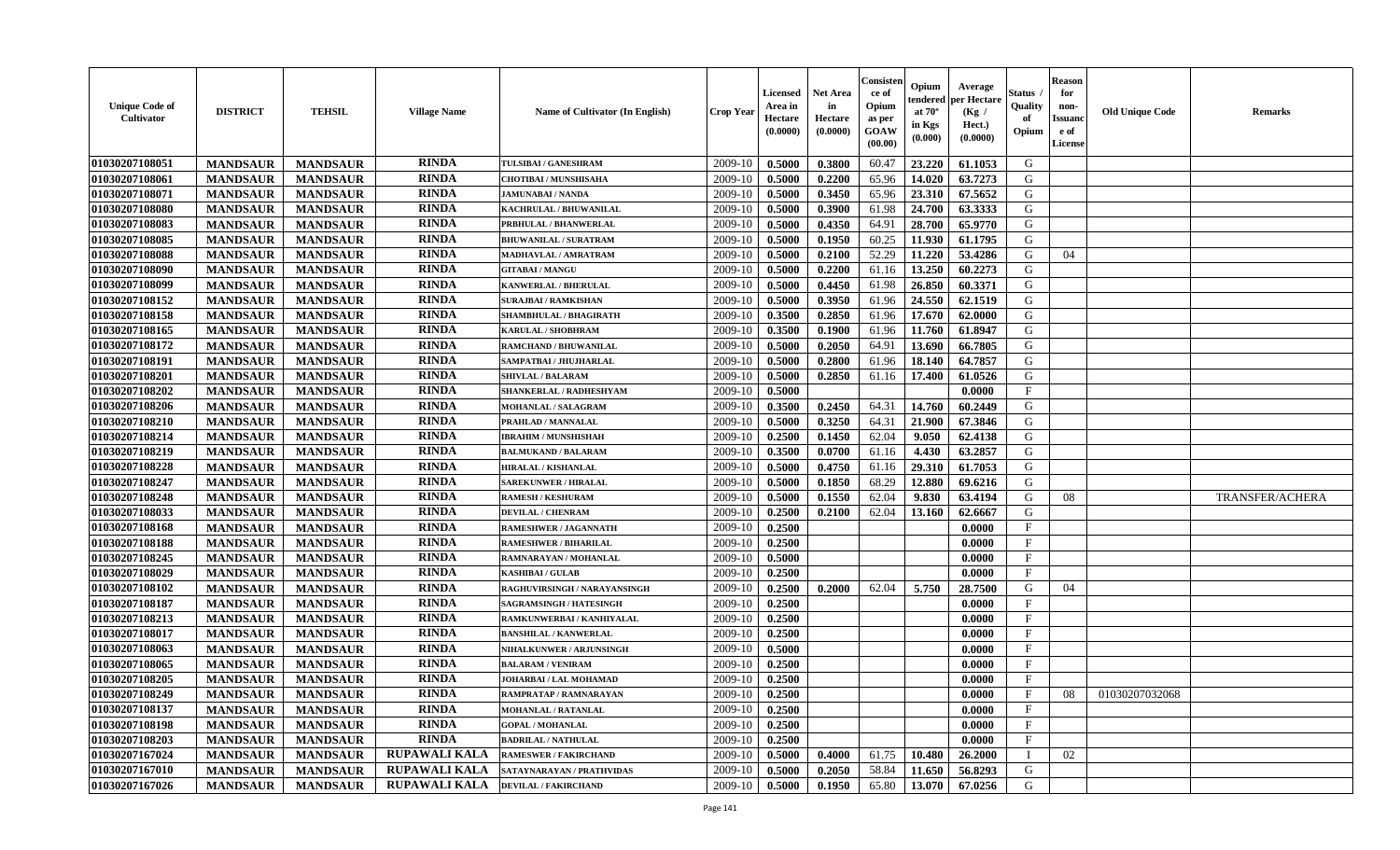| <b>Unique Code of</b><br><b>Cultivator</b> | <b>DISTRICT</b> | <b>TEHSIL</b>   | <b>Village Name</b>  | Name of Cultivator (In English) | <b>Crop Year</b> | <b>Licensed</b><br>Area in<br>Hectare<br>(0.0000) | <b>Net Area</b><br>in<br>Hectare<br>(0.0000) | Consisteı<br>ce of<br>Opium<br>as per<br><b>GOAW</b><br>(00.00) | Opium<br>endered<br>at $70^\circ$<br>in Kgs<br>$(\mathbf{0.000})$ | Average<br>per Hectare<br>(Kg /<br>Hect.)<br>(0.0000) | Status<br>Quality<br>of<br>Opium | Reason<br>for<br>non-<br>Issuan<br>e of<br><b>License</b> | <b>Old Unique Code</b> | <b>Remarks</b>         |
|--------------------------------------------|-----------------|-----------------|----------------------|---------------------------------|------------------|---------------------------------------------------|----------------------------------------------|-----------------------------------------------------------------|-------------------------------------------------------------------|-------------------------------------------------------|----------------------------------|-----------------------------------------------------------|------------------------|------------------------|
| 01030207108051                             | <b>MANDSAUR</b> | <b>MANDSAUR</b> | <b>RINDA</b>         | TULSIBAI / GANESHRAM            | 2009-10          | 0.5000                                            | 0.3800                                       | 60.47                                                           | 23.220                                                            | 61.1053                                               | G                                |                                                           |                        |                        |
| 01030207108061                             | <b>MANDSAUR</b> | <b>MANDSAUR</b> | <b>RINDA</b>         | <b>CHOTIBAI / MUNSHISAHA</b>    | 2009-10          | 0.5000                                            | 0.2200                                       | 65.96                                                           | 14.020                                                            | 63.7273                                               | G                                |                                                           |                        |                        |
| 01030207108071                             | <b>MANDSAUR</b> | <b>MANDSAUR</b> | <b>RINDA</b>         | <b>JAMUNABAI / NANDA</b>        | 2009-10          | 0.5000                                            | 0.3450                                       | 65.96                                                           | 23.310                                                            | 67.5652                                               | G                                |                                                           |                        |                        |
| 01030207108080                             | <b>MANDSAUR</b> | <b>MANDSAUR</b> | <b>RINDA</b>         | KACHRULAL / BHUWANILAL          | 2009-10          | 0.5000                                            | 0.3900                                       | 61.98                                                           | 24.700                                                            | 63.3333                                               | G                                |                                                           |                        |                        |
| 01030207108083                             | <b>MANDSAUR</b> | <b>MANDSAUR</b> | <b>RINDA</b>         | PRBHULAL / BHANWERLAL           | 2009-10          | 0.5000                                            | 0.4350                                       | 64.91                                                           | 28.700                                                            | 65.9770                                               | G                                |                                                           |                        |                        |
| 01030207108085                             | <b>MANDSAUR</b> | <b>MANDSAUR</b> | <b>RINDA</b>         | <b>BHUWANILAL / SURATRAM</b>    | 2009-10          | 0.5000                                            | 0.1950                                       | 60.25                                                           | 11.930                                                            | 61.1795                                               | G                                |                                                           |                        |                        |
| 01030207108088                             | <b>MANDSAUR</b> | <b>MANDSAUR</b> | <b>RINDA</b>         | <b>MADHAVLAL / AMRATRAM</b>     | 2009-10          | 0.5000                                            | 0.2100                                       | 52.29                                                           | 11.220                                                            | 53.4286                                               | G                                | 04                                                        |                        |                        |
| 01030207108090                             | <b>MANDSAUR</b> | <b>MANDSAUR</b> | <b>RINDA</b>         | <b>GITABAI/MANGU</b>            | 2009-10          | 0.5000                                            | 0.2200                                       | 61.16                                                           | 13.250                                                            | 60.2273                                               | G                                |                                                           |                        |                        |
| 01030207108099                             | <b>MANDSAUR</b> | <b>MANDSAUR</b> | <b>RINDA</b>         | KANWERLAL / BHERULAL            | 2009-10          | 0.5000                                            | 0.4450                                       | 61.98                                                           | 26.850                                                            | 60.3371                                               | G                                |                                                           |                        |                        |
| 01030207108152                             | <b>MANDSAUR</b> | <b>MANDSAUR</b> | <b>RINDA</b>         | <b>SURAJBAI / RAMKISHAN</b>     | 2009-10          | 0.5000                                            | 0.3950                                       | 61.96                                                           | 24.550                                                            | 62.1519                                               | G                                |                                                           |                        |                        |
| 01030207108158                             | <b>MANDSAUR</b> | <b>MANDSAUR</b> | <b>RINDA</b>         | SHAMBHULAL / BHAGIRATH          | 2009-10          | 0.3500                                            | 0.2850                                       | 61.96                                                           | 17.670                                                            | 62.0000                                               | G                                |                                                           |                        |                        |
| 01030207108165                             | <b>MANDSAUR</b> | <b>MANDSAUR</b> | <b>RINDA</b>         | <b>KARULAL / SHOBHRAM</b>       | 2009-10          | 0.3500                                            | 0.1900                                       | 61.96                                                           | 11.760                                                            | 61.8947                                               | G                                |                                                           |                        |                        |
| 01030207108172                             | <b>MANDSAUR</b> | <b>MANDSAUR</b> | <b>RINDA</b>         | RAMCHAND / BHUWANILAL           | 2009-10          | 0.5000                                            | 0.2050                                       | 64.91                                                           | 13.690                                                            | 66.7805                                               | G                                |                                                           |                        |                        |
| 01030207108191                             | <b>MANDSAUR</b> | <b>MANDSAUR</b> | <b>RINDA</b>         | SAMPATBAI / JHUJHARLAL          | 2009-10          | 0.5000                                            | 0.2800                                       | 61.96                                                           | 18.140                                                            | 64.7857                                               | G                                |                                                           |                        |                        |
| 01030207108201                             | <b>MANDSAUR</b> | <b>MANDSAUR</b> | <b>RINDA</b>         | <b>SHIVLAL / BALARAM</b>        | 2009-10          | 0.5000                                            | 0.2850                                       | 61.16                                                           | 17.400                                                            | 61.0526                                               | G                                |                                                           |                        |                        |
| 01030207108202                             | <b>MANDSAUR</b> | <b>MANDSAUR</b> | <b>RINDA</b>         | SHANKERLAL / RADHESHYAM         | 2009-10          | 0.5000                                            |                                              |                                                                 |                                                                   | 0.0000                                                | F                                |                                                           |                        |                        |
| 01030207108206                             | <b>MANDSAUR</b> | <b>MANDSAUR</b> | <b>RINDA</b>         | <b>MOHANLAL / SALAGRAM</b>      | 2009-10          | 0.3500                                            | 0.2450                                       | 64.31                                                           | 14.760                                                            | 60.2449                                               | G                                |                                                           |                        |                        |
| 01030207108210                             | <b>MANDSAUR</b> | <b>MANDSAUR</b> | <b>RINDA</b>         | PRAHLAD / MANNALAL              | 2009-10          | 0.5000                                            | 0.3250                                       | 64.31                                                           | 21.900                                                            | 67.3846                                               | G                                |                                                           |                        |                        |
| 01030207108214                             | <b>MANDSAUR</b> | <b>MANDSAUR</b> | <b>RINDA</b>         | <b>IBRAHIM / MUNSHISHAH</b>     | 2009-10          | 0.2500                                            | 0.1450                                       | 62.04                                                           | 9.050                                                             | 62.4138                                               | G                                |                                                           |                        |                        |
| 01030207108219                             | <b>MANDSAUR</b> | <b>MANDSAUR</b> | <b>RINDA</b>         | <b>BALMUKAND / BALARAM</b>      | 2009-10          | 0.3500                                            | 0.0700                                       | 61.16                                                           | 4.430                                                             | 63.2857                                               | G                                |                                                           |                        |                        |
| 01030207108228                             | <b>MANDSAUR</b> | <b>MANDSAUR</b> | <b>RINDA</b>         | HIRALAL / KISHANLAL             | 2009-10          | 0.5000                                            | 0.4750                                       | 61.16                                                           | 29.310                                                            | 61.7053                                               | G                                |                                                           |                        |                        |
| 01030207108247                             | <b>MANDSAUR</b> | <b>MANDSAUR</b> | <b>RINDA</b>         | <b>SAREKUNWER / HIRALAL</b>     | 2009-10          | 0.5000                                            | 0.1850                                       | 68.29                                                           | 12.880                                                            | 69.6216                                               | G                                |                                                           |                        |                        |
| 01030207108248                             | <b>MANDSAUR</b> | <b>MANDSAUR</b> | <b>RINDA</b>         | <b>RAMESH / KESHURAM</b>        | 2009-10          | 0.5000                                            | 0.1550                                       | 62.04                                                           | 9.830                                                             | 63.4194                                               | G                                | 08                                                        |                        | <b>TRANSFER/ACHERA</b> |
| 01030207108033                             | <b>MANDSAUR</b> | <b>MANDSAUR</b> | <b>RINDA</b>         | <b>DEVILAL / CHENRAM</b>        | 2009-10          | 0.2500                                            | 0.2100                                       | 62.04                                                           | 13.160                                                            | 62.6667                                               | G                                |                                                           |                        |                        |
| 01030207108168                             | <b>MANDSAUR</b> | <b>MANDSAUR</b> | RINDA                | RAMESHWER / JAGANNATH           | 2009-10          | 0.2500                                            |                                              |                                                                 |                                                                   | 0.0000                                                | $\mathbf{F}$                     |                                                           |                        |                        |
| 01030207108188                             | <b>MANDSAUR</b> | <b>MANDSAUR</b> | <b>RINDA</b>         | <b>RAMESHWER / BIHARILAL</b>    | 2009-10          | 0.2500                                            |                                              |                                                                 |                                                                   | 0.0000                                                | $\mathbf{F}$                     |                                                           |                        |                        |
| 01030207108245                             | <b>MANDSAUR</b> | <b>MANDSAUR</b> | <b>RINDA</b>         | RAMNARAYAN / MOHANLAL           | 2009-10          | 0.5000                                            |                                              |                                                                 |                                                                   | 0.0000                                                | $_{\rm F}$                       |                                                           |                        |                        |
| 01030207108029                             | <b>MANDSAUR</b> | <b>MANDSAUR</b> | <b>RINDA</b>         | <b>KASHIBAI / GULAB</b>         | 2009-10          | 0.2500                                            |                                              |                                                                 |                                                                   | 0.0000                                                | $\mathbf{F}$                     |                                                           |                        |                        |
| 01030207108102                             | <b>MANDSAUR</b> | <b>MANDSAUR</b> | <b>RINDA</b>         | RAGHUVIRSINGH / NARAYANSINGH    | 2009-10          | 0.2500                                            | 0.2000                                       | 62.04                                                           | 5.750                                                             | 28.7500                                               | G                                | 04                                                        |                        |                        |
| 01030207108187                             | <b>MANDSAUR</b> | <b>MANDSAUR</b> | <b>RINDA</b>         | <b>SAGRAMSINGH / HATESINGH</b>  | 2009-10          | 0.2500                                            |                                              |                                                                 |                                                                   | 0.0000                                                | $_{\rm F}$                       |                                                           |                        |                        |
| 01030207108213                             | <b>MANDSAUR</b> | <b>MANDSAUR</b> | <b>RINDA</b>         | RAMKUNWERBAI / KANHIYALAL       | 2009-10          | 0.2500                                            |                                              |                                                                 |                                                                   | 0.0000                                                | $_{\rm F}$                       |                                                           |                        |                        |
| 01030207108017                             | <b>MANDSAUR</b> | <b>MANDSAUR</b> | <b>RINDA</b>         | <b>BANSHILAL / KANWERLAL</b>    | 2009-10          | 0.2500                                            |                                              |                                                                 |                                                                   | 0.0000                                                | $\mathbf{F}$                     |                                                           |                        |                        |
| 01030207108063                             | <b>MANDSAUR</b> | <b>MANDSAUR</b> | <b>RINDA</b>         | <b>NIHALKUNWER / ARJUNSINGH</b> | 2009-10          | 0.5000                                            |                                              |                                                                 |                                                                   | 0.0000                                                | $\mathbf{F}$                     |                                                           |                        |                        |
| 01030207108065                             | <b>MANDSAUR</b> | <b>MANDSAUR</b> | <b>RINDA</b>         | <b>BALARAM / VENIRAM</b>        | 2009-10          | 0.2500                                            |                                              |                                                                 |                                                                   | 0.0000                                                | $_{\rm F}$                       |                                                           |                        |                        |
| 01030207108205                             | <b>MANDSAUR</b> | <b>MANDSAUR</b> | RINDA                | JOHARBAI / LAL MOHAMAD          | 2009-10          | 0.2500                                            |                                              |                                                                 |                                                                   | 0.0000                                                | $\mathbf{F}$                     |                                                           |                        |                        |
| 01030207108249                             | <b>MANDSAUR</b> | <b>MANDSAUR</b> | <b>RINDA</b>         | RAMPRATAP / RAMNARAYAN          | $2009-10$ 0.2500 |                                                   |                                              |                                                                 |                                                                   | 0.0000                                                | F                                | 08                                                        | 01030207032068         |                        |
| 01030207108137                             | <b>MANDSAUR</b> | <b>MANDSAUR</b> | <b>RINDA</b>         | <b>MOHANLAL / RATANLAL</b>      | 2009-10          | 0.2500                                            |                                              |                                                                 |                                                                   | 0.0000                                                | $_{\rm F}$                       |                                                           |                        |                        |
| 01030207108198                             | <b>MANDSAUR</b> | <b>MANDSAUR</b> | <b>RINDA</b>         | <b>GOPAL / MOHANLAL</b>         | 2009-10          | 0.2500                                            |                                              |                                                                 |                                                                   | 0.0000                                                | $\mathbf{F}$                     |                                                           |                        |                        |
| 01030207108203                             | <b>MANDSAUR</b> | <b>MANDSAUR</b> | <b>RINDA</b>         | <b>BADRILAL / NATHULAL</b>      | 2009-10          | 0.2500                                            |                                              |                                                                 |                                                                   | 0.0000                                                | $\mathbf{F}$                     |                                                           |                        |                        |
| 01030207167024                             | <b>MANDSAUR</b> | <b>MANDSAUR</b> | RUPAWALI KALA        | <b>RAMESWER / FAKIRCHAND</b>    | 2009-10          | 0.5000                                            | 0.4000                                       | 61.75                                                           | 10.480                                                            | 26.2000                                               |                                  | 02                                                        |                        |                        |
| 01030207167010                             |                 |                 | <b>RUPAWALI KALA</b> | SATAYNARAYAN / PRATHVIDAS       | 2009-10          |                                                   |                                              | 58.84                                                           |                                                                   |                                                       | G                                |                                                           |                        |                        |
| 01030207167026                             | <b>MANDSAUR</b> | <b>MANDSAUR</b> | <b>RUPAWALI KALA</b> |                                 |                  | 0.5000                                            | 0.2050                                       |                                                                 | 11.650                                                            | 56.8293                                               |                                  |                                                           |                        |                        |
|                                            | <b>MANDSAUR</b> | <b>MANDSAUR</b> |                      | <b>DEVILAL / FAKIRCHAND</b>     | 2009-10          | 0.5000                                            | 0.1950                                       | 65.80                                                           | 13.070                                                            | 67.0256                                               | G                                |                                                           |                        |                        |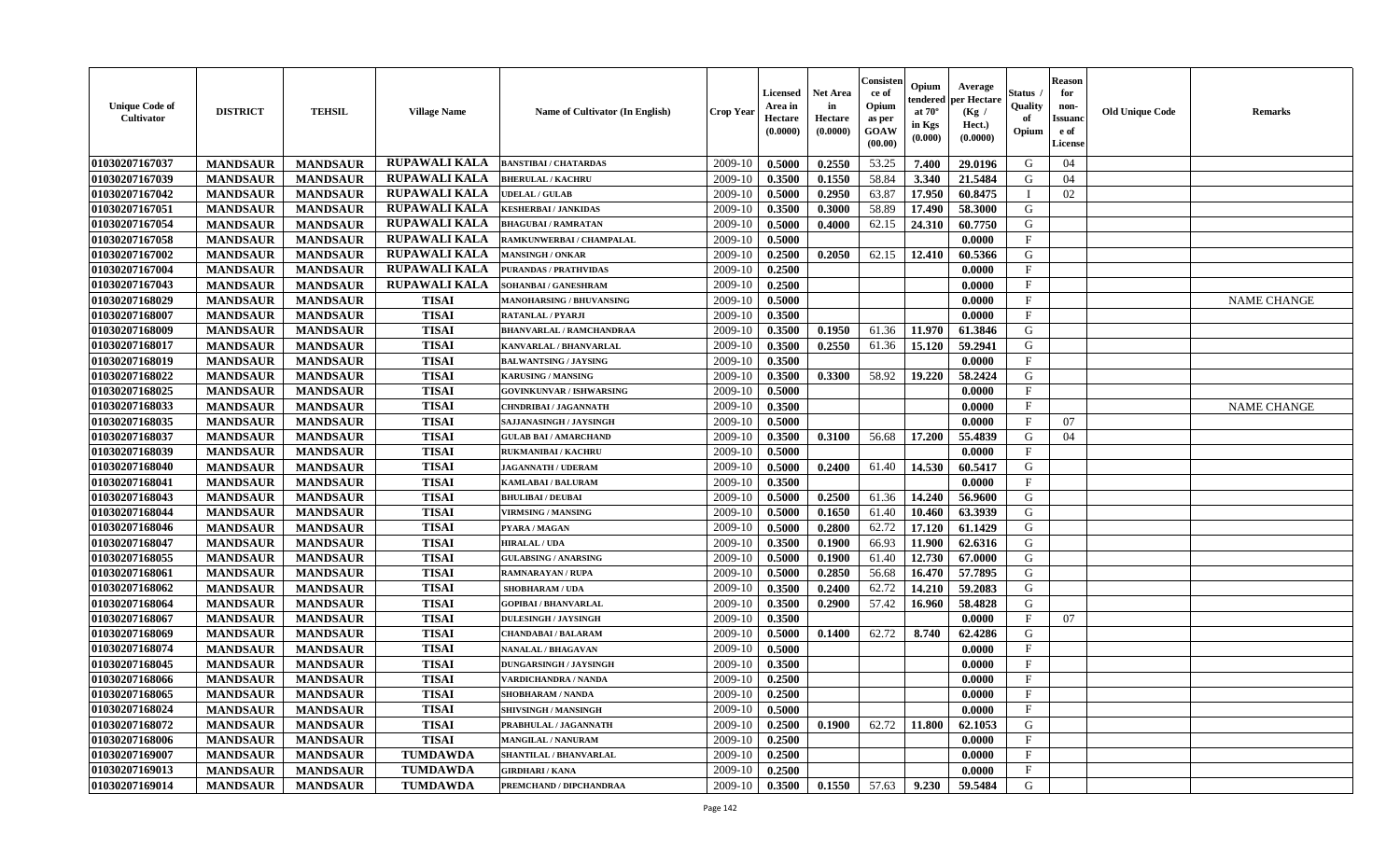| <b>Unique Code of</b><br><b>Cultivator</b> | <b>DISTRICT</b> | <b>TEHSIL</b>   | <b>Village Name</b>  | <b>Name of Cultivator (In English)</b> | <b>Crop Year</b> | <b>Licensed</b><br>Area in<br>Hectare<br>(0.0000) | <b>Net Area</b><br>in<br>Hectare<br>(0.0000) | Consisteı<br>ce of<br>Opium<br>as per<br><b>GOAW</b><br>(00.00) | Opium<br>endered<br>at $70^\circ$<br>in Kgs<br>(0.000) | Average<br>per Hectare<br>(Kg /<br>Hect.)<br>(0.0000) | Status<br>Quality<br>of<br>Opium | <b>Reason</b><br>for<br>non-<br>Issuan<br>e of<br>License | <b>Old Unique Code</b> | <b>Remarks</b>     |
|--------------------------------------------|-----------------|-----------------|----------------------|----------------------------------------|------------------|---------------------------------------------------|----------------------------------------------|-----------------------------------------------------------------|--------------------------------------------------------|-------------------------------------------------------|----------------------------------|-----------------------------------------------------------|------------------------|--------------------|
| 01030207167037                             | <b>MANDSAUR</b> | <b>MANDSAUR</b> | RUPAWALI KALA        | <b>BANSTIBAI / CHATARDAS</b>           | 2009-10          | 0.5000                                            | 0.2550                                       | 53.25                                                           | 7.400                                                  | 29.0196                                               | G                                | 04                                                        |                        |                    |
| 01030207167039                             | <b>MANDSAUR</b> | <b>MANDSAUR</b> | <b>RUPAWALI KALA</b> | <b>BHERULAL / KACHRU</b>               | 2009-10          | 0.3500                                            | 0.1550                                       | 58.84                                                           | 3.340                                                  | 21.5484                                               | G                                | 04                                                        |                        |                    |
| 01030207167042                             | <b>MANDSAUR</b> | <b>MANDSAUR</b> | <b>RUPAWALI KALA</b> | <b>UDELAL / GULAB</b>                  | 2009-10          | 0.5000                                            | 0.2950                                       | 63.87                                                           | 17.950                                                 | 60.8475                                               |                                  | 02                                                        |                        |                    |
| 01030207167051                             | <b>MANDSAUR</b> | <b>MANDSAUR</b> | <b>RUPAWALI KALA</b> | <b>KESHERBAI / JANKIDAS</b>            | 2009-10          | 0.3500                                            | 0.3000                                       | 58.89                                                           | 17.490                                                 | 58.3000                                               | G                                |                                                           |                        |                    |
| 01030207167054                             | <b>MANDSAUR</b> | <b>MANDSAUR</b> | RUPAWALI KALA        | <b>BHAGUBAI/RAMRATAN</b>               | 2009-10          | 0.5000                                            | 0.4000                                       | 62.15                                                           | 24.310                                                 | 60.7750                                               | G                                |                                                           |                        |                    |
| 01030207167058                             | <b>MANDSAUR</b> | <b>MANDSAUR</b> | <b>RUPAWALI KALA</b> | RAMKUNWERBAI / CHAMPALAL               | 2009-10          | 0.5000                                            |                                              |                                                                 |                                                        | 0.0000                                                | $\mathbf{F}$                     |                                                           |                        |                    |
| 01030207167002                             | <b>MANDSAUR</b> | <b>MANDSAUR</b> | <b>RUPAWALI KALA</b> | <b>MANSINGH / ONKAR</b>                | 2009-10          | 0.2500                                            | 0.2050                                       | 62.15                                                           | 12.410                                                 | 60.5366                                               | G                                |                                                           |                        |                    |
| 01030207167004                             | <b>MANDSAUR</b> | <b>MANDSAUR</b> | <b>RUPAWALI KALA</b> | <b>PURANDAS / PRATHVIDAS</b>           | 2009-10          | 0.2500                                            |                                              |                                                                 |                                                        | 0.0000                                                | $\mathbf{F}$                     |                                                           |                        |                    |
| 01030207167043                             | <b>MANDSAUR</b> | <b>MANDSAUR</b> | <b>RUPAWALI KALA</b> | SOHANBAI / GANESHRAM                   | 2009-10          | 0.2500                                            |                                              |                                                                 |                                                        | 0.0000                                                | $_{\rm F}$                       |                                                           |                        |                    |
| 01030207168029                             | <b>MANDSAUR</b> | <b>MANDSAUR</b> | <b>TISAI</b>         | <b>MANOHARSING / BHUVANSING</b>        | 2009-10          | 0.5000                                            |                                              |                                                                 |                                                        | 0.0000                                                | $_{\rm F}$                       |                                                           |                        | <b>NAME CHANGE</b> |
| 01030207168007                             | <b>MANDSAUR</b> | <b>MANDSAUR</b> | <b>TISAI</b>         | <b>RATANLAL / PYARJI</b>               | 2009-10          | 0.3500                                            |                                              |                                                                 |                                                        | 0.0000                                                | $\mathbf{F}$                     |                                                           |                        |                    |
| 01030207168009                             | <b>MANDSAUR</b> | <b>MANDSAUR</b> | <b>TISAI</b>         | <b>BHANVARLAL / RAMCHANDRAA</b>        | 2009-10          | 0.3500                                            | 0.1950                                       | 61.36                                                           | 11.970                                                 | 61.3846                                               | G                                |                                                           |                        |                    |
| 01030207168017                             | <b>MANDSAUR</b> | <b>MANDSAUR</b> | <b>TISAI</b>         | KANVARLAL / BHANVARLAL                 | 2009-10          | 0.3500                                            | 0.2550                                       | 61.36                                                           | 15.120                                                 | 59.2941                                               | G                                |                                                           |                        |                    |
| 01030207168019                             | <b>MANDSAUR</b> | <b>MANDSAUR</b> | <b>TISAI</b>         | <b>BALWANTSING / JAYSING</b>           | 2009-10          | 0.3500                                            |                                              |                                                                 |                                                        | 0.0000                                                | $\mathbf{F}$                     |                                                           |                        |                    |
| 01030207168022                             | <b>MANDSAUR</b> | <b>MANDSAUR</b> | <b>TISAI</b>         | <b>KARUSING / MANSING</b>              | 2009-10          | 0.3500                                            | 0.3300                                       | 58.92                                                           | 19,220                                                 | 58.2424                                               | G                                |                                                           |                        |                    |
| 01030207168025                             | <b>MANDSAUR</b> | <b>MANDSAUR</b> | <b>TISAI</b>         | <b>GOVINKUNVAR / ISHWARSING</b>        | 2009-10          | 0.5000                                            |                                              |                                                                 |                                                        | 0.0000                                                | F                                |                                                           |                        |                    |
| 01030207168033                             | <b>MANDSAUR</b> | <b>MANDSAUR</b> | <b>TISAI</b>         | <b>CHNDRIBAI / JAGANNATH</b>           | 2009-10          | 0.3500                                            |                                              |                                                                 |                                                        | 0.0000                                                | $\mathbf{F}$                     |                                                           |                        | <b>NAME CHANGE</b> |
| 01030207168035                             | <b>MANDSAUR</b> | <b>MANDSAUR</b> | <b>TISAI</b>         | SAJJANASINGH / JAYSINGH                | 2009-10          | 0.5000                                            |                                              |                                                                 |                                                        | 0.0000                                                | $\mathbf{F}$                     | 07                                                        |                        |                    |
| 01030207168037                             | <b>MANDSAUR</b> | <b>MANDSAUR</b> | <b>TISAI</b>         | <b>GULAB BAI/AMARCHAND</b>             | 2009-10          | 0.3500                                            | 0.3100                                       | 56.68                                                           | 17.200                                                 | 55.4839                                               | G                                | 04                                                        |                        |                    |
| 01030207168039                             | <b>MANDSAUR</b> | <b>MANDSAUR</b> | <b>TISAI</b>         | <b>RUKMANIBAI / KACHRU</b>             | 2009-10          | 0.5000                                            |                                              |                                                                 |                                                        | 0.0000                                                | $_{\rm F}$                       |                                                           |                        |                    |
| 01030207168040                             | <b>MANDSAUR</b> | <b>MANDSAUR</b> | <b>TISAI</b>         | <b>JAGANNATH / UDERAM</b>              | 2009-10          | 0.5000                                            | 0.2400                                       | 61.40                                                           | 14.530                                                 | 60.5417                                               | G                                |                                                           |                        |                    |
| 01030207168041                             | <b>MANDSAUR</b> | <b>MANDSAUR</b> | <b>TISAI</b>         | KAMLABAI / BALURAM                     | 2009-10          | 0.3500                                            |                                              |                                                                 |                                                        | 0.0000                                                | $\mathbf{F}$                     |                                                           |                        |                    |
| 01030207168043                             | <b>MANDSAUR</b> | <b>MANDSAUR</b> | <b>TISAI</b>         | <b>BHULIBAI / DEUBAI</b>               | 2009-10          | 0.5000                                            | 0.2500                                       | 61.36                                                           | 14.240                                                 | 56.9600                                               | G                                |                                                           |                        |                    |
| 01030207168044                             | <b>MANDSAUR</b> | <b>MANDSAUR</b> | <b>TISAI</b>         | <b>VIRMSING / MANSING</b>              | 2009-10          | 0.5000                                            | 0.1650                                       | 61.40                                                           | 10.460                                                 | 63.3939                                               | G                                |                                                           |                        |                    |
| 01030207168046                             | <b>MANDSAUR</b> | <b>MANDSAUR</b> | <b>TISAI</b>         | PYARA / MAGAN                          | 2009-10          | 0.5000                                            | 0.2800                                       | 62.72                                                           | 17.120                                                 | 61.1429                                               | G                                |                                                           |                        |                    |
| 01030207168047                             | <b>MANDSAUR</b> | <b>MANDSAUR</b> | <b>TISAI</b>         | <b>HIRALAL / UDA</b>                   | 2009-10          | 0.3500                                            | 0.1900                                       | 66.93                                                           | 11.900                                                 | 62.6316                                               | G                                |                                                           |                        |                    |
| 01030207168055                             | <b>MANDSAUR</b> | <b>MANDSAUR</b> | <b>TISAI</b>         | <b>GULABSING / ANARSING</b>            | 2009-10          | 0.5000                                            | 0.1900                                       | 61.40                                                           | 12.730                                                 | 67.0000                                               | G                                |                                                           |                        |                    |
| 01030207168061                             | <b>MANDSAUR</b> | <b>MANDSAUR</b> | <b>TISAI</b>         | <b>RAMNARAYAN / RUPA</b>               | 2009-10          | 0.5000                                            | 0.2850                                       | 56.68                                                           | 16.470                                                 | 57.7895                                               | G                                |                                                           |                        |                    |
| 01030207168062                             | <b>MANDSAUR</b> | <b>MANDSAUR</b> | <b>TISAI</b>         | <b>SHOBHARAM / UDA</b>                 | 2009-10          | 0.3500                                            | 0.2400                                       | 62.72                                                           | 14.210                                                 | 59.2083                                               | G                                |                                                           |                        |                    |
| 01030207168064                             | <b>MANDSAUR</b> | <b>MANDSAUR</b> | <b>TISAI</b>         | <b>GOPIBAI/BHANVARLAL</b>              | 2009-10          | 0.3500                                            | 0.2900                                       | 57.42                                                           | 16.960                                                 | 58.4828                                               | G                                |                                                           |                        |                    |
| 01030207168067                             | <b>MANDSAUR</b> | <b>MANDSAUR</b> | <b>TISAI</b>         | <b>DULESINGH / JAYSINGH</b>            | 2009-10          | 0.3500                                            |                                              |                                                                 |                                                        | 0.0000                                                | $_{\rm F}$                       | 07                                                        |                        |                    |
| 01030207168069                             | <b>MANDSAUR</b> | <b>MANDSAUR</b> | <b>TISAI</b>         | <b>CHANDABAI / BALARAM</b>             | 2009-10          | 0.5000                                            | 0.1400                                       | 62.72                                                           | 8.740                                                  | 62.4286                                               | G                                |                                                           |                        |                    |
| 01030207168074                             | <b>MANDSAUR</b> | <b>MANDSAUR</b> | <b>TISAI</b>         | <b>NANALAL / BHAGAVAN</b>              | 2009-10          | 0.5000                                            |                                              |                                                                 |                                                        | 0.0000                                                | $\mathbf{F}$                     |                                                           |                        |                    |
| 01030207168045                             | <b>MANDSAUR</b> | <b>MANDSAUR</b> | <b>TISAI</b>         | <b>DUNGARSINGH / JAYSINGH</b>          | 2009-10          | 0.3500                                            |                                              |                                                                 |                                                        | 0.0000                                                | $_{\rm F}$                       |                                                           |                        |                    |
| 01030207168066                             | <b>MANDSAUR</b> | <b>MANDSAUR</b> | <b>TISAI</b>         | <b>VARDICHANDRA / NANDA</b>            | 2009-10          | 0.2500                                            |                                              |                                                                 |                                                        | 0.0000                                                | $\mathbf{F}$                     |                                                           |                        |                    |
| 01030207168065                             | <b>MANDSAUR</b> | <b>MANDSAUR</b> | TISAI                | SHOBHARAM / NANDA                      | $2009-10$ 0.2500 |                                                   |                                              |                                                                 |                                                        | 0.0000                                                | F                                |                                                           |                        |                    |
| <b>01030207168024</b>                      | <b>MANDSAUR</b> | <b>MANDSAUR</b> | <b>TISAI</b>         | SHIVSINGH / MANSINGH                   | 2009-10          | 0.5000                                            |                                              |                                                                 |                                                        | 0.0000                                                | $_{\rm F}$                       |                                                           |                        |                    |
| 01030207168072                             | <b>MANDSAUR</b> | <b>MANDSAUR</b> | <b>TISAI</b>         | PRABHULAL / JAGANNATH                  | 2009-10          | 0.2500                                            | 0.1900                                       | 62.72                                                           | 11.800                                                 | 62.1053                                               | G                                |                                                           |                        |                    |
| 01030207168006                             | <b>MANDSAUR</b> | <b>MANDSAUR</b> | <b>TISAI</b>         | MANGILAL / NANURAM                     | 2009-10          | 0.2500                                            |                                              |                                                                 |                                                        | 0.0000                                                | $\mathbf{F}$                     |                                                           |                        |                    |
| 01030207169007                             | <b>MANDSAUR</b> | <b>MANDSAUR</b> | <b>TUMDAWDA</b>      | SHANTILAL / BHANVARLAL                 | 2009-10          | 0.2500                                            |                                              |                                                                 |                                                        | 0.0000                                                | $\mathbf{F}$                     |                                                           |                        |                    |
| 01030207169013                             | <b>MANDSAUR</b> | <b>MANDSAUR</b> | <b>TUMDAWDA</b>      | <b>GIRDHARI / KANA</b>                 | 2009-10          | 0.2500                                            |                                              |                                                                 |                                                        | 0.0000                                                | $\mathbf{F}$                     |                                                           |                        |                    |
| 01030207169014                             | <b>MANDSAUR</b> | <b>MANDSAUR</b> | <b>TUMDAWDA</b>      | PREMCHAND / DIPCHANDRAA                | 2009-10          | 0.3500                                            | 0.1550                                       | 57.63                                                           | 9.230                                                  | 59.5484                                               | G                                |                                                           |                        |                    |